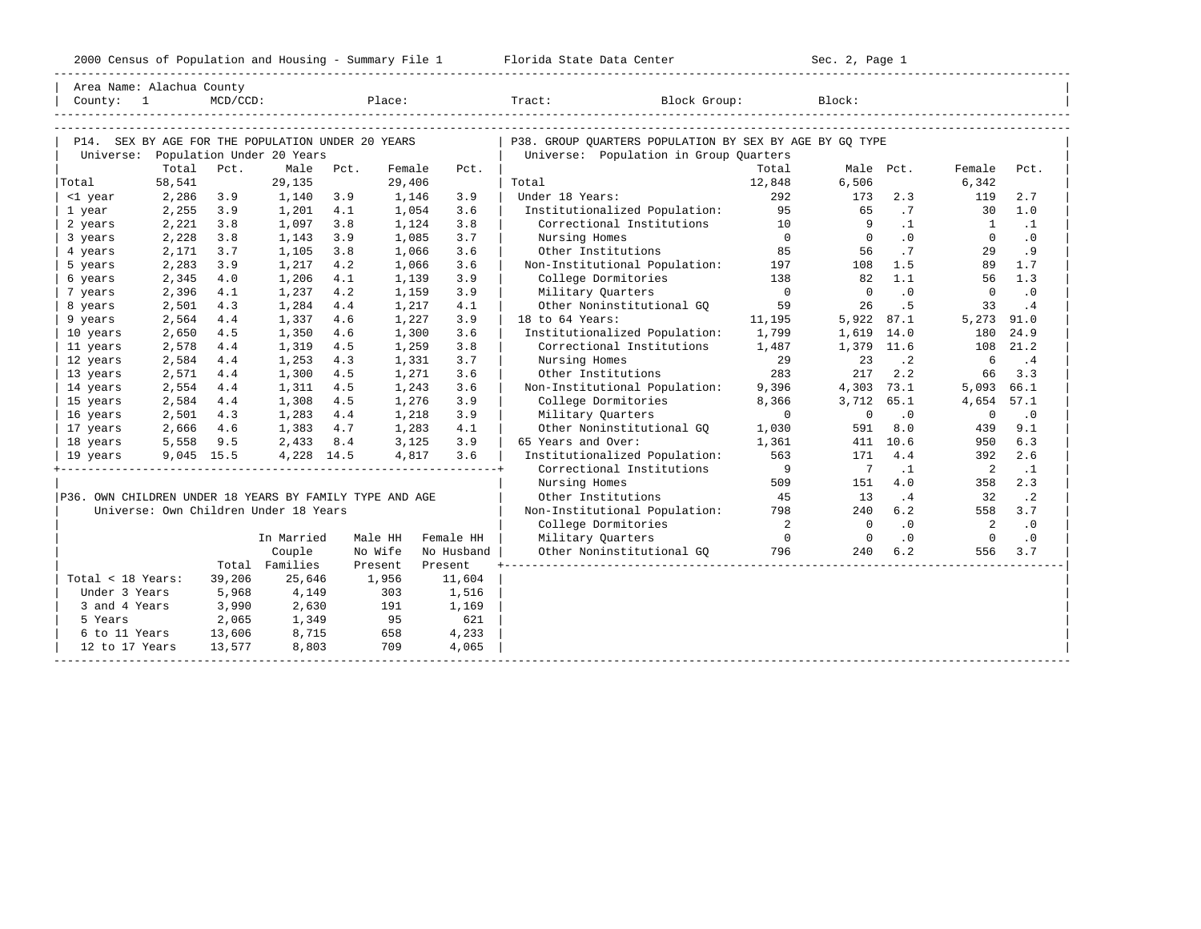2000 Census of Population and Housing - Summary File 1 Telorida State Data Center Sec. 2, Page 1 No

| Country: 1                                              | Area Name: Alachua County                                                                | $MCD/CCD$ : |                                                                                                                                                              |      | Place:  |            | Tract: Block Group:                                     |                                        |                         | Block:         |                |                            |             |  |
|---------------------------------------------------------|------------------------------------------------------------------------------------------|-------------|--------------------------------------------------------------------------------------------------------------------------------------------------------------|------|---------|------------|---------------------------------------------------------|----------------------------------------|-------------------------|----------------|----------------|----------------------------|-------------|--|
|                                                         |                                                                                          |             |                                                                                                                                                              |      |         |            |                                                         |                                        |                         |                |                |                            |             |  |
|                                                         | P14. SEX BY AGE FOR THE POPULATION UNDER 20 YEARS<br>Universe: Population Under 20 Years |             |                                                                                                                                                              |      |         |            | P38. GROUP OUARTERS POPULATION BY SEX BY AGE BY GO TYPE | Universe: Population in Group Quarters |                         |                |                |                            |             |  |
|                                                         | Total                                                                                    | Pct.        | Male                                                                                                                                                         | Pct. | Female  | Pct.       |                                                         |                                        | Total                   |                | Male Pct.      | Female                     | Pct.        |  |
| Total                                                   | 58,541                                                                                   |             | 29,135                                                                                                                                                       |      | 29,406  |            | Total                                                   |                                        | 12,848                  | 6,506          |                | 6,342                      |             |  |
| <1 year                                                 | 2,286                                                                                    | 3.9         | 1,140                                                                                                                                                        | 3.9  | 1,146   | 3.9        | Under 18 Years:                                         |                                        | 292                     | 173            | 2.3            | 119                        | 2.7         |  |
| 1 year                                                  | 2,255                                                                                    | 3.9         | 1,201                                                                                                                                                        | 4.1  | 1,054   | 3.6        |                                                         | Institutionalized Population: 95       |                         | 65             | .7             |                            | 30 1.0      |  |
| 2 years                                                 | 2,221                                                                                    | 3.8         | 1,097                                                                                                                                                        | 3.8  | 1,124   | 3.8        |                                                         | Correctional Institutions 10           |                         | $\overline{9}$ | $\ldots$ 1     | $\frac{1}{1}$              | $\cdot$ 1   |  |
| 3 years                                                 | 2,228                                                                                    | 3.8         | 1,143                                                                                                                                                        | 3.9  | 1,085   | 3.7        | Nursing Homes                                           |                                        | $\overline{0}$          | $\overline{0}$ | $\overline{0}$ | $\circ$                    | $\cdot$ 0   |  |
| 4 years                                                 | 2,171                                                                                    | 3.7         | 1,105                                                                                                                                                        | 3.8  | 1,066   | 3.6        |                                                         | Other Institutions                     | 85                      | 56             | .7             | 29                         | .9          |  |
| 5 years                                                 | 2,283                                                                                    | 3.9         | 1,217                                                                                                                                                        | 4.2  | 1,066   | 3.6        |                                                         | Non-Institutional Population: 197 108  |                         |                | 1.5            | 89                         | 1.7         |  |
| 6 years                                                 | 2,345                                                                                    | 4.0         | 1,206                                                                                                                                                        | 4.1  | 1,139   | 3.9        | College Dormitories                                     | 138                                    |                         | 82             | 1.1            | 56                         | 1.3         |  |
| 7 years                                                 | 2,396                                                                                    | 4.1         | 1,237                                                                                                                                                        | 4.2  | 1,159   | 3.9        | Military Quarters                                       |                                        | $\overline{0}$          | $\Omega$       | $\cdot$ 0      | $\Omega$                   | $\cdot$ 0   |  |
| 8 years                                                 | 2,501                                                                                    | 4.3         | 1,284                                                                                                                                                        | 4.4  | 1,217   | 4.1        |                                                         | Other Noninstitutional GO              | 59                      | 26             | .5             | 33                         | .4          |  |
| 9 years                                                 | 2,564                                                                                    | 4.4         | 1,337                                                                                                                                                        | 4.6  | 1,227   | 3.9        | 18 to 64 Years:                                         |                                        | 11,195                  | 5,922 87.1     |                | 5,273 91.0                 |             |  |
| 10 years                                                | 2,650                                                                                    | 4.5         | 1,350                                                                                                                                                        | 4.6  | 1,300   | 3.6        |                                                         | Institutionalized Population: 1,799    |                         | 1,619 14.0     |                | 180                        | 24.9        |  |
| 11 years                                                | 2,578                                                                                    | 4.4         | 1,319                                                                                                                                                        | 4.5  | 1,259   | 3.8        |                                                         | Correctional Institutions 1,487        |                         | 1,379 11.6     |                |                            | 108 21.2    |  |
| 12 years                                                | 2,584                                                                                    | 4.4         | 1,253                                                                                                                                                        | 4.3  | 1,331   | 3.7        | Nursing Homes                                           |                                        | 29                      | 23             | $\cdot$ 2      | $6\overline{6}$            | $\cdot$ 4   |  |
| 13 years                                                | 2,571                                                                                    | 4.4         | 1,300                                                                                                                                                        | 4.5  | 1,271   | 3.6        | Other Institutions                                      |                                        | 283                     | 217            | 2.2            | 66                         | 3.3         |  |
| 14 years                                                | 2,554                                                                                    | 4.4         | 1,311                                                                                                                                                        | 4.5  | 1,243   | 3.6        |                                                         | Non-Institutional Population:          | 9,396                   | 4,303 73.1     |                | 5,093 66.1                 |             |  |
| 15 years                                                | 2,584                                                                                    | 4.4         | 1,308                                                                                                                                                        | 4.5  | 1,276   | 3.9        | College Dormitories                                     |                                        | 8,366                   | 3,712 65.1     |                | 4,654                      | 57.1        |  |
| 16 years                                                | 2,501                                                                                    | 4.3         | 1,283 4.4                                                                                                                                                    |      | 1,218   | 3.9        | Military Quarters                                       |                                        | $\Omega$                | $\circ$        | $\cdot$ 0      | $\mathbf 0$                | $\cdot$ 0   |  |
| 17 years                                                |                                                                                          |             | $\begin{array}{cccc} 2\, , 666 & \quad 4\, .6 & \quad & 1\, , 383 & \quad 4\, .7 \\ 5\, , 558 & \quad 9\, .5 & \quad & 2\, , 433 & \quad 8\, .4 \end{array}$ |      | 1,283   | 4.1        |                                                         | Other Noninstitutional GQ              | 1,030                   | 591            | 8.0            | 439                        | 9.1         |  |
| 18 years                                                |                                                                                          |             |                                                                                                                                                              |      | 3,125   | 3.9        | 65 Years and Over:                                      |                                        | 1,361                   |                | 411 10.6       | 950                        | 6.3         |  |
| 19 years                                                | $9,045$ 15.5                                                                             |             | 4,228 14.5                                                                                                                                                   |      | 4,817   | 3.6        |                                                         | Institutionalized Population:          | 563                     |                | 171 4.4        | 392                        | 2.6         |  |
|                                                         |                                                                                          |             |                                                                                                                                                              |      |         |            |                                                         | Correctional Institutions              | $\overline{9}$          | 7              | $\cdot$ 1      | $\overline{\phantom{a}}^2$ | $\cdot$ 1   |  |
|                                                         |                                                                                          |             |                                                                                                                                                              |      |         |            | Nursing Homes                                           |                                        | 509                     | 151            | 4.0            | 358                        | 2.3         |  |
| P36. OWN CHILDREN UNDER 18 YEARS BY FAMILY TYPE AND AGE |                                                                                          |             |                                                                                                                                                              |      |         |            | Other Institutions                                      |                                        | 45                      | 13             | $\cdot$ 4      | 32                         | $\cdot$ . 2 |  |
|                                                         | Universe: Own Children Under 18 Years                                                    |             |                                                                                                                                                              |      |         |            |                                                         | Non-Institutional Population: 798      |                         | 240            | 6.2            | 558                        | 3.7         |  |
|                                                         |                                                                                          |             |                                                                                                                                                              |      |         |            |                                                         | College Dormitories                    | $\overline{\mathbf{2}}$ | $\overline{0}$ | $\cdot$ 0      | $\overline{2}$             | $\cdot$ 0   |  |
|                                                         |                                                                                          |             | In Married                                                                                                                                                   |      | Male HH | Female HH  | Military Ouarters                                       |                                        | $\overline{0}$          | $\overline{0}$ | $\overline{0}$ | $\overline{0}$             | $\cdot$ 0   |  |
|                                                         |                                                                                          |             | Couple                                                                                                                                                       |      | No Wife | No Husband |                                                         | Other Noninstitutional GQ 796          |                         | 240            | 6.2            | 556                        | 3.7         |  |
|                                                         |                                                                                          |             | Total Families                                                                                                                                               |      | Present | Present    |                                                         |                                        |                         |                |                |                            |             |  |
| Total < 18 Years:                                       |                                                                                          | 39,206      | 25,646                                                                                                                                                       |      | 1,956   | 11,604     |                                                         |                                        |                         |                |                |                            |             |  |
| Under 3 Years                                           |                                                                                          | 5,968       | 4,149                                                                                                                                                        |      | 303     | 1,516      |                                                         |                                        |                         |                |                |                            |             |  |
| 3 and 4 Years                                           |                                                                                          | 3,990       | 2,630                                                                                                                                                        |      | 191     | 1,169      |                                                         |                                        |                         |                |                |                            |             |  |
| 5 Years                                                 |                                                                                          | 2,065       | 1,349                                                                                                                                                        |      | 95      | 621        |                                                         |                                        |                         |                |                |                            |             |  |
| 6 to 11 Years                                           |                                                                                          | 13,606      | 8,715                                                                                                                                                        |      | 658     | 4,233      |                                                         |                                        |                         |                |                |                            |             |  |
| 12 to 17 Years                                          |                                                                                          | 13,577      | 8,803                                                                                                                                                        |      | 709     | 4,065      |                                                         |                                        |                         |                |                |                            |             |  |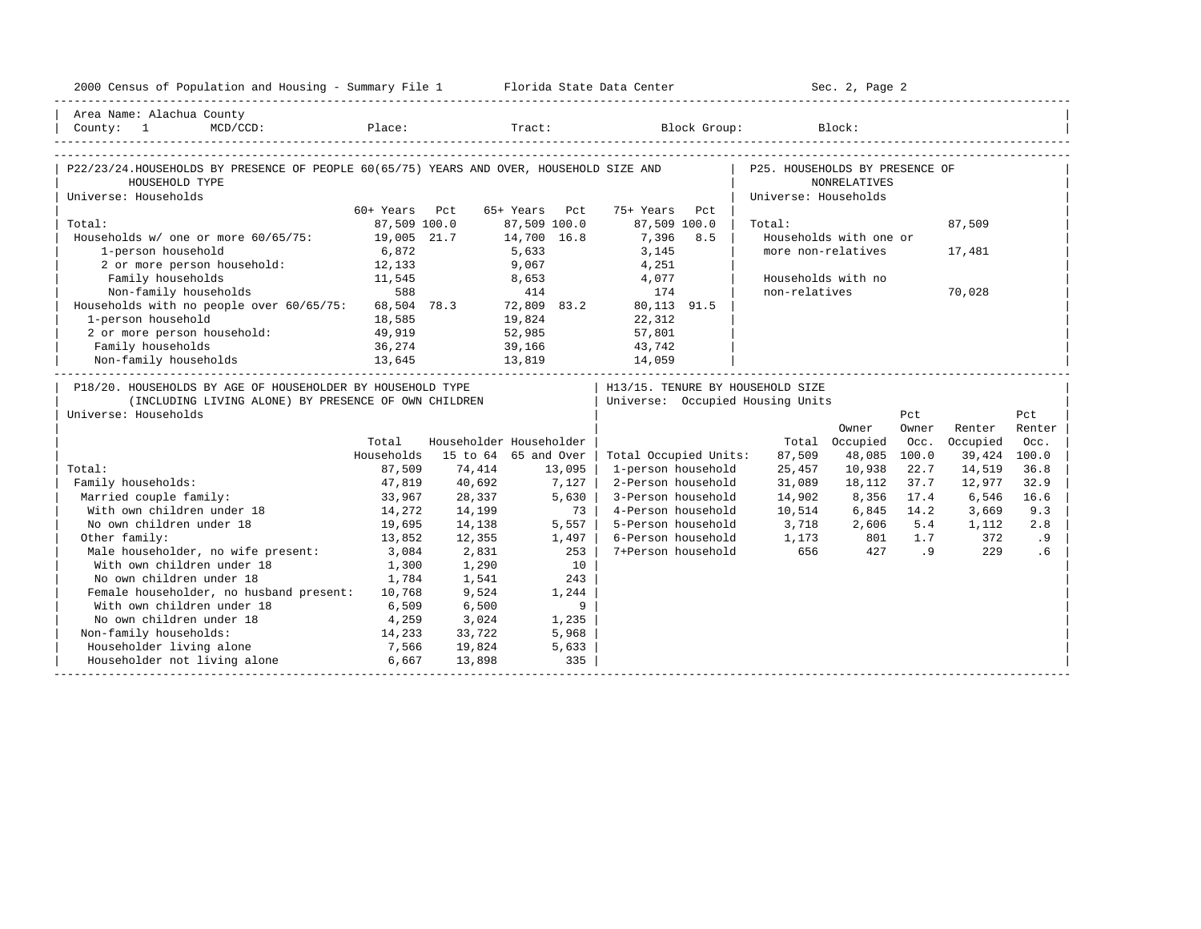| 2000 Census of Population and Housing - Summary File 1 Florida State Data Center                                                           |               |        |                         |                                                                        |                                                        | Sec. 2, Page 2         |       |              |        |
|--------------------------------------------------------------------------------------------------------------------------------------------|---------------|--------|-------------------------|------------------------------------------------------------------------|--------------------------------------------------------|------------------------|-------|--------------|--------|
| Area Name: Alachua County<br>County: 1                                                                                                     |               |        |                         | MCD/CCD: Place: Tract: Block Group: Block: Block:                      |                                                        |                        |       |              |        |
| P22/23/24.HOUSEHOLDS BY PRESENCE OF PEOPLE 60(65/75) YEARS AND OVER, HOUSEHOLD SIZE AND<br>HOUSEHOLD TYPE<br>Universe: Households          |               |        |                         |                                                                        | P25. HOUSEHOLDS BY PRESENCE OF<br>Universe: Households | <b>NONRELATIVES</b>    |       |              |        |
|                                                                                                                                            | 60+ Years Pct |        | 65+ Years Pct           | 75+ Years Pct                                                          |                                                        |                        |       |              |        |
| Total:                                                                                                                                     | 87,509 100.0  |        | 87,509 100.0            | 87,509 100.0                                                           | Total:                                                 |                        |       | 87,509       |        |
| Households w/ one or more 60/65/75: 19,005 21.7                                                                                            |               |        | 14,700 16.8             | 7,396 8.5                                                              |                                                        | Households with one or |       |              |        |
| 1-person household                                                                                                                         | 6,872         |        | 5,633<br>9,067          | 3,145                                                                  |                                                        | more non-relatives     |       | 17,481       |        |
| 2 or more person household: 12,133                                                                                                         |               |        |                         | 4,251                                                                  |                                                        |                        |       |              |        |
| Family households                                                                                                                          | 11,545        |        | 8,653                   | 4,077                                                                  |                                                        | Households with no     |       |              |        |
| Non-family households                                                                                                                      | 588           |        | 414                     | 174                                                                    | non-relatives                                          |                        |       | 70,028       |        |
| Households with no people over 60/65/75: 68,504 78.3 72,809 83.2                                                                           |               |        |                         | 80,113 91.5                                                            |                                                        |                        |       |              |        |
| 1-person household                                                                                                                         | 18,585        |        | 19,824                  | 22,312                                                                 |                                                        |                        |       |              |        |
| 2 or more person household:                                                                                                                | 49,919        |        | 52,985                  | 57,801                                                                 |                                                        |                        |       |              |        |
| Family households                                                                                                                          | 36,274        |        | 39,166                  | 43,742                                                                 |                                                        |                        |       |              |        |
| 13,645<br>Non-family households                                                                                                            |               | 13,819 |                         | 14,059                                                                 |                                                        |                        |       |              |        |
| P18/20. HOUSEHOLDS BY AGE OF HOUSEHOLDER BY HOUSEHOLD TYPE<br>(INCLUDING LIVING ALONE) BY PRESENCE OF OWN CHILDREN<br>Universe: Households |               |        |                         | H13/15. TENURE BY HOUSEHOLD SIZE<br>  Universe: Occupied Housing Units |                                                        |                        | Pct   |              | Pct    |
|                                                                                                                                            |               |        |                         |                                                                        |                                                        | Owner                  | Owner | Renter       | Renter |
|                                                                                                                                            | Total         |        | Householder Householder |                                                                        |                                                        | Total Occupied         | Occ.  | Occupied     | Occ.   |
|                                                                                                                                            | Households    |        | 15 to 64 65 and Over    | Total Occupied Units:                                                  | 87,509                                                 | 48,085                 | 100.0 | 39,424 100.0 |        |
| Total:                                                                                                                                     | 87,509        | 74,414 | 13,095                  | 1-person household                                                     | 25,457                                                 | 10,938                 | 22.7  | 14,519       | 36.8   |
| Family households:                                                                                                                         | 47,819        | 40,692 | 7,127                   | 2-Person household                                                     | 31,089                                                 | 18,112                 | 37.7  | 12,977       | 32.9   |
| Married couple family:                                                                                                                     | 33,967        | 28,337 | 5,630                   | 3-Person household                                                     | 14,902                                                 | 8,356                  | 17.4  | 6,546        | 16.6   |
| With own children under 18                                                                                                                 | 14,272        | 14,199 | 73 l                    | 4-Person household                                                     | 10,514                                                 | 6,845                  | 14.2  | 3,669        | 9.3    |
| No own children under 18                                                                                                                   | 19,695        | 14,138 | $5.557$                 | 5-Person household                                                     |                                                        | 3,718 2,606            | 5.4   | 1,112        | 2.8    |
| Other family:                                                                                                                              | 13,852        | 12,355 | 1,497                   | 6-Person household                                                     | 1,173 801                                              |                        | 1.7   | 372          | .9     |
| Male householder, no wife present:                                                                                                         | 3,084         | 2,831  | 253                     | 7+Person household                                                     | 656                                                    | 427                    | .9    | 229          | .6     |
| With own children under 18                                                                                                                 | 1,300         | 1,290  | 10                      |                                                                        |                                                        |                        |       |              |        |
| No own children under 18                                                                                                                   | 1,784         | 1,541  | 243                     |                                                                        |                                                        |                        |       |              |        |
| Female householder, no husband present: 10,768                                                                                             |               | 9,524  | 1,244                   |                                                                        |                                                        |                        |       |              |        |
| With own children under 18                                                                                                                 | 6,509         | 6,500  | 9                       |                                                                        |                                                        |                        |       |              |        |
| No own children under 18                                                                                                                   | 4,259         | 3,024  | 1,235                   |                                                                        |                                                        |                        |       |              |        |
| Non-family households:                                                                                                                     | 14,233        | 33,722 | 5,968                   |                                                                        |                                                        |                        |       |              |        |
| Householder living alone                                                                                                                   | 7,566         | 19,824 | 5,633                   |                                                                        |                                                        |                        |       |              |        |
| Householder not living alone 6,667                                                                                                         |               | 13,898 | 335                     |                                                                        |                                                        |                        |       |              |        |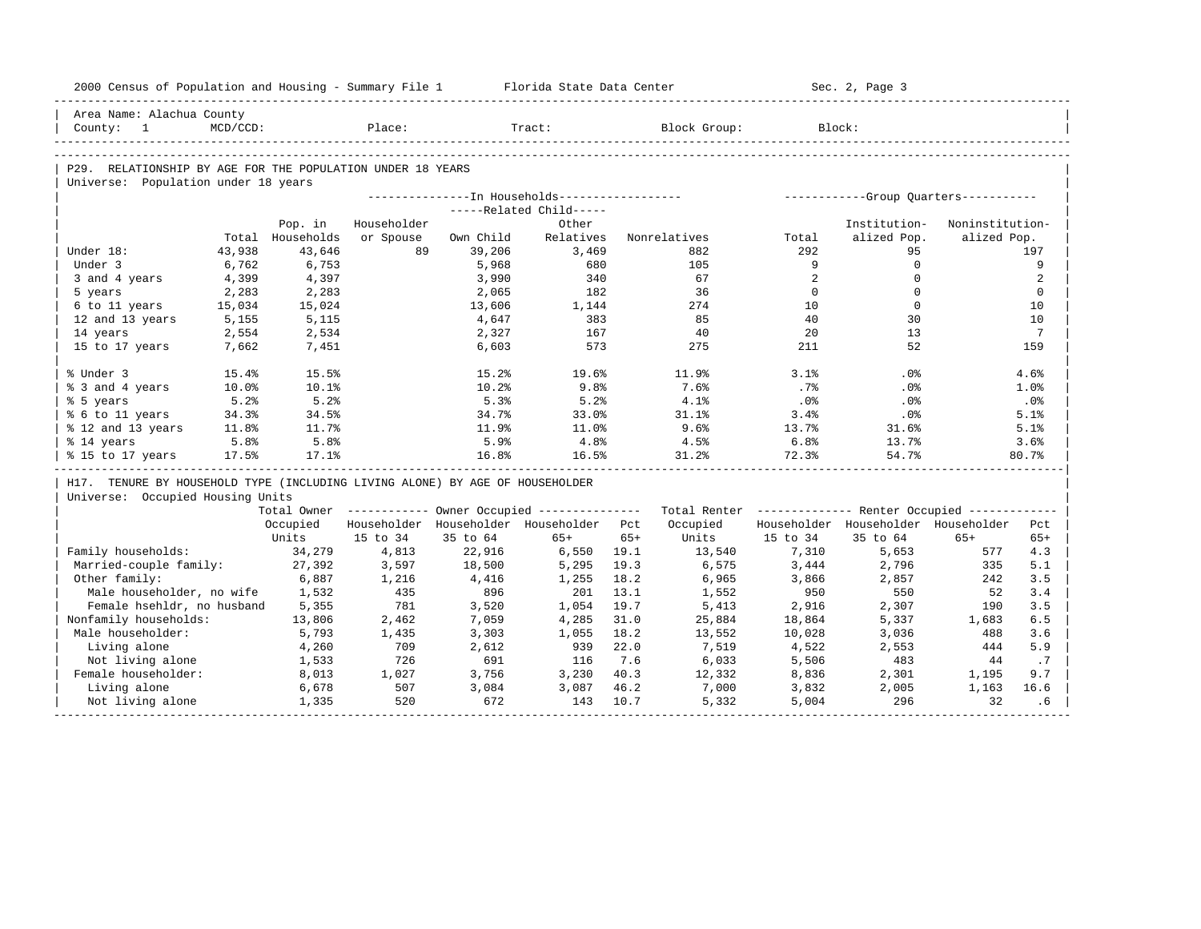| 2000 Census of Population and Housing - Summary File 1 Florida State Data Center |          |                  |             |           |                                         |       |                                                                                                               |          | Sec. 2, Page 3                      |                 |                 |
|----------------------------------------------------------------------------------|----------|------------------|-------------|-----------|-----------------------------------------|-------|---------------------------------------------------------------------------------------------------------------|----------|-------------------------------------|-----------------|-----------------|
| Area Name: Alachua County                                                        |          |                  |             |           |                                         |       |                                                                                                               |          |                                     |                 |                 |
| Country: 1                                                                       | MCD/CCD: |                  | Place:      |           | Tract:                                  |       | Block Group:                                                                                                  |          | Block:                              |                 |                 |
|                                                                                  |          |                  |             |           |                                         |       |                                                                                                               |          |                                     |                 |                 |
| P29. RELATIONSHIP BY AGE FOR THE POPULATION UNDER 18 YEARS                       |          |                  |             |           |                                         |       |                                                                                                               |          |                                     |                 |                 |
| Universe: Population under 18 years                                              |          |                  |             |           |                                         |       |                                                                                                               |          |                                     |                 |                 |
|                                                                                  |          |                  |             |           |                                         |       |                                                                                                               |          |                                     |                 |                 |
|                                                                                  |          |                  |             |           | -----Related Child-----                 |       |                                                                                                               |          |                                     |                 |                 |
|                                                                                  |          | Pop. in          | Householder |           | Other                                   |       |                                                                                                               |          | Institution-                        | Noninstitution- |                 |
|                                                                                  |          | Total Households | or Spouse   | Own Child | Relatives                               |       | Nonrelatives                                                                                                  | Total    | alized Pop.                         | alized Pop.     |                 |
| Under 18:                                                                        | 43,938   | 43,646           | 89          | 39,206    | 3,469                                   |       | 882                                                                                                           | 292      | 95                                  |                 | 197             |
| Under 3                                                                          | 6,762    | 6,753            |             | 5,968     | 680                                     |       | 105                                                                                                           | 9        | $\Omega$                            |                 | 9               |
| 3 and 4 years                                                                    | 4,399    | 4,397            |             | 3,990     | 340                                     |       | 67                                                                                                            | 2        | $\mathbf 0$                         |                 | 2               |
| 5 years                                                                          | 2,283    | 2,283            |             | 2,065     | 182                                     |       | 36                                                                                                            | $\Omega$ | $\Omega$                            |                 | $\Omega$        |
| 6 to 11 years                                                                    | 15,034   | 15,024           |             | 13,606    | 1,144                                   |       | 274                                                                                                           | 10       | $\mathbf 0$                         |                 | 10              |
| 12 and 13 years                                                                  | 5,155    | 5,115            |             | 4,647     | 383                                     |       | 85                                                                                                            | 40       | 30                                  |                 | 10              |
| 14 years                                                                         | 2,554    | 2,534            |             | 2,327     | 167                                     |       | 40                                                                                                            | 20       | 13                                  |                 | $7\phantom{.0}$ |
| 15 to 17 years                                                                   | 7,662    | 7,451            |             | 6,603     | 573                                     |       | 275                                                                                                           | 211      | 52                                  |                 | 159             |
| % Under 3                                                                        | 15.4%    | 15.5%            |             | 15.2%     | 19.6%                                   |       | 11.9%                                                                                                         | 3.1%     | $.0\%$                              |                 | 4.6%            |
| % 3 and 4 years                                                                  | 10.0%    | 10.1%            |             | 10.2%     | 9.8%                                    |       | 7.6%                                                                                                          | .7%      | .0%                                 |                 | 1.0%            |
| % 5 years                                                                        | 5.2%     | 5.2%             |             | 5.3%      | 5.2%                                    |       | 4.1%                                                                                                          | .0%      | .0%                                 |                 | $.0\%$          |
| % 6 to 11 years                                                                  | 34.3%    | 34.5%            |             | 34.7%     | 33.0%                                   |       | 31.1%                                                                                                         | 3.4%     | .0%                                 |                 | 5.1%            |
| % 12 and 13 years                                                                | 11.8%    | 11.7%            |             | 11.9%     | 11.0%                                   |       | 9.6%                                                                                                          | 13.7%    | 31.6%                               |                 | 5.1%            |
| % 14 years                                                                       | 5.8%     | 5.8%             |             | 5.9%      | 4.8%                                    |       | 4.5%                                                                                                          | 6.8%     | 13.7%                               |                 | 3.6%            |
| % 15 to 17 years                                                                 | 17.5%    | 17.1%            |             | 16.8%     | 16.5%                                   |       | 31.2%                                                                                                         | 72.3%    | 54.7%                               |                 | 80.7%           |
| H17. TENURE BY HOUSEHOLD TYPE (INCLUDING LIVING ALONE) BY AGE OF HOUSEHOLDER     |          |                  |             |           |                                         |       |                                                                                                               |          |                                     |                 |                 |
| Universe: Occupied Housing Units                                                 |          |                  |             |           |                                         |       |                                                                                                               |          |                                     |                 |                 |
|                                                                                  |          |                  |             |           |                                         |       | Total Owner ----------- Owner Occupied -------------- Total Renter ------------- Renter Occupied ------------ |          |                                     |                 |                 |
|                                                                                  |          | Occupied         |             |           | Householder Householder Householder Pct |       | Occupied                                                                                                      |          | Householder Householder Householder |                 | Pct             |
|                                                                                  |          | Units            | 15 to 34    | 35 to 64  | $65+$                                   | $65+$ | Units                                                                                                         | 15 to 34 | 35 to 64                            | $65+$           | $65+$           |
| Family households:                                                               |          | 34,279           | 4,813       | 22,916    | 6,550 19.1                              |       | 13,540                                                                                                        | 7,310    | 5,653                               | 577             | 4.3             |
| Married-couple family:                                                           |          | 27,392           | 3,597       | 18,500    | 5,295                                   | 19.3  | 6,575                                                                                                         | 3,444    | 2,796                               | 335             | 5.1             |
| Other family:                                                                    |          | 6,887            | 1,216       | 4,416     | 1,255                                   | 18.2  | 6,965                                                                                                         | 3,866    | 2,857                               | 242             | 3.5             |
| Male householder, no wife                                                        |          | 1,532            | 435         | 896       | 201                                     | 13.1  | 1,552                                                                                                         | 950      | 550                                 | 52              | 3.4             |
| Female hsehldr, no husband                                                       |          | 5,355            | 781         | 3,520     | 1,054                                   | 19.7  | 5,413                                                                                                         | 2,916    | 2,307                               | 190             | 3.5             |
| Nonfamily households:                                                            |          | 13,806           | 2,462       | 7,059     | 4,285                                   | 31.0  | 25,884                                                                                                        | 18,864   | 5,337                               | 1,683           | 6.5             |
| Male householder:                                                                |          | 5,793            | 1,435       | 3,303     | 1,055                                   | 18.2  | 13,552                                                                                                        | 10,028   | 3,036                               | 488             | 3.6             |
| Living alone                                                                     |          | 4,260            | 709         | 2,612     | 939                                     | 22.0  | 7,519                                                                                                         | 4,522    | 2,553                               | 444             | 5.9             |
| Not living alone                                                                 |          | 1,533            | 726         | 691       | 116                                     | 7.6   | 6,033                                                                                                         | 5,506    | 483                                 | 44              | .7              |
| Female householder:                                                              |          | 8,013            | 1,027       | 3,756     | 3,230                                   | 40.3  | 12,332                                                                                                        | 8,836    | 2,301                               | 1,195           | 9.7             |
| Living alone                                                                     |          | 6,678            | 507         | 3,084     | 3,087                                   | 46.2  | 7,000                                                                                                         | 3,832    | 2,005                               | 1,163           | 16.6            |
| Not living alone                                                                 |          | 1,335            | 520         | 672       | 143                                     | 10.7  | 5,332                                                                                                         | 5,004    | 296                                 | 32              | . 6             |
|                                                                                  |          |                  |             |           |                                         |       |                                                                                                               |          |                                     |                 |                 |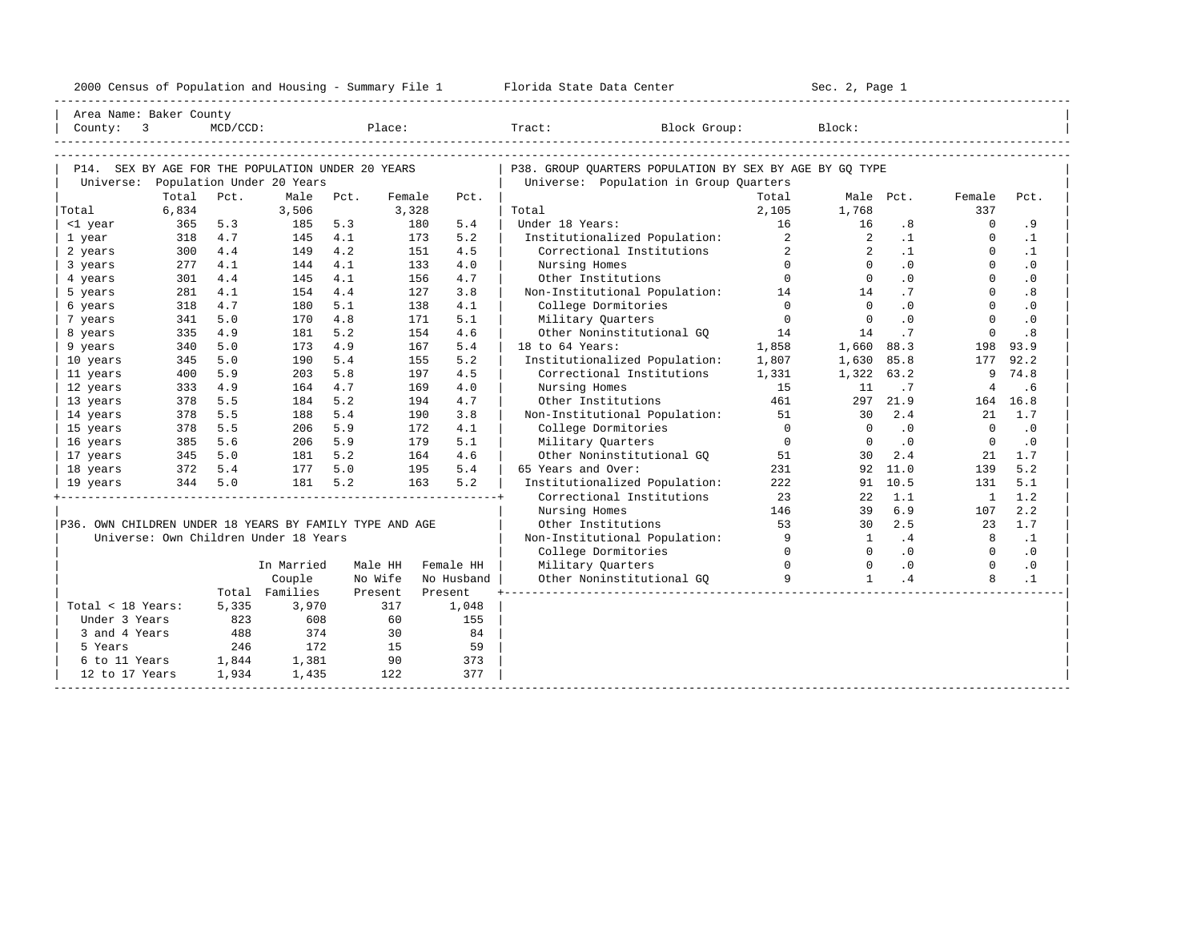|  |  |  |  |  | 2000 Census of Population and Housing - Summary File 1 |  |  |  |  |  |  |  |  |
|--|--|--|--|--|--------------------------------------------------------|--|--|--|--|--|--|--|--|
|--|--|--|--|--|--------------------------------------------------------|--|--|--|--|--|--|--|--|

|                                                         | Area Name: Baker County                           |                |                                                                     |     |                 |                   |                                                          |                |                                                           |           |                |            |  |
|---------------------------------------------------------|---------------------------------------------------|----------------|---------------------------------------------------------------------|-----|-----------------|-------------------|----------------------------------------------------------|----------------|-----------------------------------------------------------|-----------|----------------|------------|--|
| County: 3                                               |                                                   | $MCD/CCD$ :    |                                                                     |     |                 | Place:            | Tract: Block Group:                                      |                | Block:                                                    |           |                |            |  |
|                                                         |                                                   |                |                                                                     |     |                 |                   |                                                          |                |                                                           |           |                |            |  |
|                                                         |                                                   |                |                                                                     |     |                 |                   |                                                          |                |                                                           |           |                |            |  |
|                                                         | P14. SEX BY AGE FOR THE POPULATION UNDER 20 YEARS |                |                                                                     |     |                 |                   | P38. GROUP OUARTERS POPULATION BY SEX BY AGE BY GO TYPE  |                |                                                           |           |                |            |  |
|                                                         | Universe: Population Under 20 Years               |                |                                                                     |     |                 |                   | Universe: Population in Group Quarters                   |                |                                                           |           |                |            |  |
| Total                                                   | Total<br>6,834                                    | Pct.           | Male Pct.<br>3,506                                                  |     | Female<br>3,328 | Pct.              | Total                                                    | Total<br>2,105 | 1,768                                                     | Male Pct. | Female<br>337  | Pct.       |  |
| <1 year                                                 | 365                                               | 5.3            | 185                                                                 | 5.3 |                 | 180<br>5.4        | Under 18 Years:                                          | 16             | 16                                                        | .8        | $\Omega$       | . 9        |  |
| 1 year                                                  | 318                                               | 4.7            | 145                                                                 | 4.1 |                 | 5.2<br>173        | Institutionalized Population:                            | $\overline{a}$ | $\overline{\phantom{a}}$ 2                                | $\cdot$ 1 | $\mathbf{0}$   | $\cdot$ 1  |  |
| 2 years                                                 | 300                                               | 4.4            | 149 4.2                                                             |     |                 | 151<br>4.5        | Correctional Institutions                                | $2^{\circ}$    | $\overline{2}$                                            | $\cdot$ 1 | $\Omega$       | $\cdot$ 1  |  |
| 3 years                                                 | 277                                               | 4.1            | 144                                                                 | 4.1 |                 | 4.0<br>133        | Nursing Homes                                            | $\Omega$       | $\Omega$                                                  | .0        | $\Omega$       | $\cdot$ 0  |  |
| 4 years                                                 | 301                                               | 4.4            | 145                                                                 | 4.1 |                 | 4.7<br>156        |                                                          |                | $\Omega$                                                  | .0        | $\Omega$       | $\cdot$ 0  |  |
| 5 years                                                 | 281                                               | 4.1            | 154                                                                 | 4.4 |                 | 127<br>3.8        | Other Institutions 0<br>Non-Institutional Population: 14 |                | 14                                                        | .7        | $\Omega$       | .8         |  |
| 6 years                                                 | 318                                               | 4.7            | 180                                                                 | 5.1 |                 | 4.1<br>138        | College Dormitories                                      | $\overline{0}$ | $\overline{0}$                                            | .0        | $\Omega$       | $\cdot$ 0  |  |
| 7 years                                                 | 341                                               | 5.0            | 170                                                                 | 4.8 |                 | 5.1<br>171        | Military Quarters                                        | $\overline{0}$ | $\overline{0}$                                            | .0        | $\Omega$       | $\cdot$ 0  |  |
| 8 years                                                 | 335                                               | 4.9            | 181                                                                 | 5.2 |                 | 154<br>4.6        | Other Noninstitutional GO                                | 14             | 14                                                        | .7        | $\Omega$       | .8         |  |
| 9 years                                                 | 340                                               | 5.0            | 173                                                                 | 4.9 |                 | 167<br>5.4        | 18 to 64 Years:                                          | 1,858          | 1,660                                                     | 88.3      | 198            | 93.9       |  |
| 10 years                                                | 345                                               | 5.0            | 190                                                                 | 5.4 |                 | 5.2<br>155        | Institutionalized Population:                            | 1,807          | 1,630                                                     | 85.8      | 177            | 92.2       |  |
| 11 years                                                | 400                                               | 5.9            | 203                                                                 | 5.8 |                 | 4.5<br>197        | Correctional Institutions                                | 1,331          | 1,322 63.2                                                |           | 9              | 74.8       |  |
| 12 years                                                | 333                                               | 4.9            | 164                                                                 | 4.7 |                 | 169<br>4.0        | Nursing Homes                                            | 15             | 11                                                        | .7        | $\overline{4}$ | .6         |  |
| 13 years                                                | 378                                               | 5.5            | 184                                                                 | 5.2 |                 | 4.7<br>194        | Other Institutions                                       | 461            | 297                                                       | 21.9      |                | 164 16.8   |  |
| 14 years                                                | 378                                               | 5.5            | 188                                                                 | 5.4 |                 | 3.8<br>190        | Non-Institutional Population:                            | 51             | 30                                                        | 2.4       | 21             | 1.7        |  |
| 15 years                                                | 378                                               | 5.5            | 206 5.9                                                             |     |                 | 172<br>4.1        | College Dormitories                                      | $\Omega$       | $\overline{0}$                                            | .0        | $\Omega$       | $\cdot$ 0  |  |
| 16 years                                                | 385                                               | 5.6            | 206                                                                 | 5.9 |                 | 179<br>5.1        | Military Quarters                                        | $\overline{0}$ | $\overline{0}$                                            | $\cdot$ 0 | $\overline{0}$ | $\cdot$ 0  |  |
| 17 years                                                | 345 5.0                                           |                | $\begin{array}{ll} 181 & 5.2 \\ 177 & 5.0 \\ 181 & 5.2 \end{array}$ |     |                 | 4.6<br>164        | Other Noninstitutional GQ 51                             |                | 30                                                        | 2.4       | 21             | 1.7        |  |
| 18 years                                                | 372 5.4                                           |                |                                                                     |     |                 | 5.4<br>195        | 65 Years and Over:                                       | 231            |                                                           | 92 11.0   | 139            | 5.2        |  |
| 19 years                                                |                                                   | 344 5.0        |                                                                     |     |                 | 5.2<br>163        | Institutionalized Population:                            | 222            |                                                           | 91 10.5   | 131            | 5.1        |  |
|                                                         |                                                   |                |                                                                     |     |                 |                   | Correctional Institutions                                | 23             | 22                                                        | 1.1       | $\mathbf{1}$   | 1.2        |  |
|                                                         |                                                   |                |                                                                     |     |                 |                   | Nursing Homes                                            | 146            | 39                                                        | 6.9       | 107            | 2.2        |  |
| P36. OWN CHILDREN UNDER 18 YEARS BY FAMILY TYPE AND AGE |                                                   |                |                                                                     |     |                 |                   | Other Institutions                                       | 53             | $\frac{1}{30}$                                            | 2.5       |                | 23 1.7     |  |
|                                                         | Universe: Own Children Under 18 Years             |                |                                                                     |     |                 |                   | Non-Institutional Population: 9                          |                | $\sim$ 1                                                  | $\cdot$ 4 | 8              | $\ldots$ 1 |  |
|                                                         |                                                   |                |                                                                     |     |                 |                   | College Dormitories                                      | $\overline{0}$ | $\begin{array}{ccc} 0 & .0 \ 0 & .0 \ 1 & .4 \end{array}$ |           | $\overline{0}$ | $\cdot$ 0  |  |
|                                                         |                                                   |                | In Married                                                          |     |                 | Male HH Female HH | Military Quarters                                        | $\overline{0}$ |                                                           |           | $\overline{0}$ | $\cdot$ 0  |  |
|                                                         |                                                   |                | Couple                                                              |     | No Wife         | No Husband        | Other Noninstitutional GQ                                | 9              | $\mathbf{1}$                                              | $\cdot$ 4 | 8              | $\cdot$ 1  |  |
|                                                         |                                                   |                | Total Families                                                      |     | Present         | Present           |                                                          |                |                                                           |           |                |            |  |
| Total < 18 Years:                                       |                                                   | 5,335          | 3,970                                                               |     | 317             | 1,048             |                                                          |                |                                                           |           |                |            |  |
| Under 3 Years                                           |                                                   | 823            | 608                                                                 |     | 60              | 155               |                                                          |                |                                                           |           |                |            |  |
| 3 and 4 Years                                           |                                                   | 488            | 374                                                                 |     | 30              | 84                |                                                          |                |                                                           |           |                |            |  |
| 5 Years                                                 |                                                   | 246            | 172<br>1,381                                                        |     | 15<br>90        | 59                |                                                          |                |                                                           |           |                |            |  |
| 6 to 11 Years<br>12 to 17 Years                         |                                                   | 1,844<br>1,934 | 1,435                                                               |     | 122             | 373<br>377        |                                                          |                |                                                           |           |                |            |  |
|                                                         |                                                   |                |                                                                     |     |                 |                   |                                                          |                |                                                           |           |                |            |  |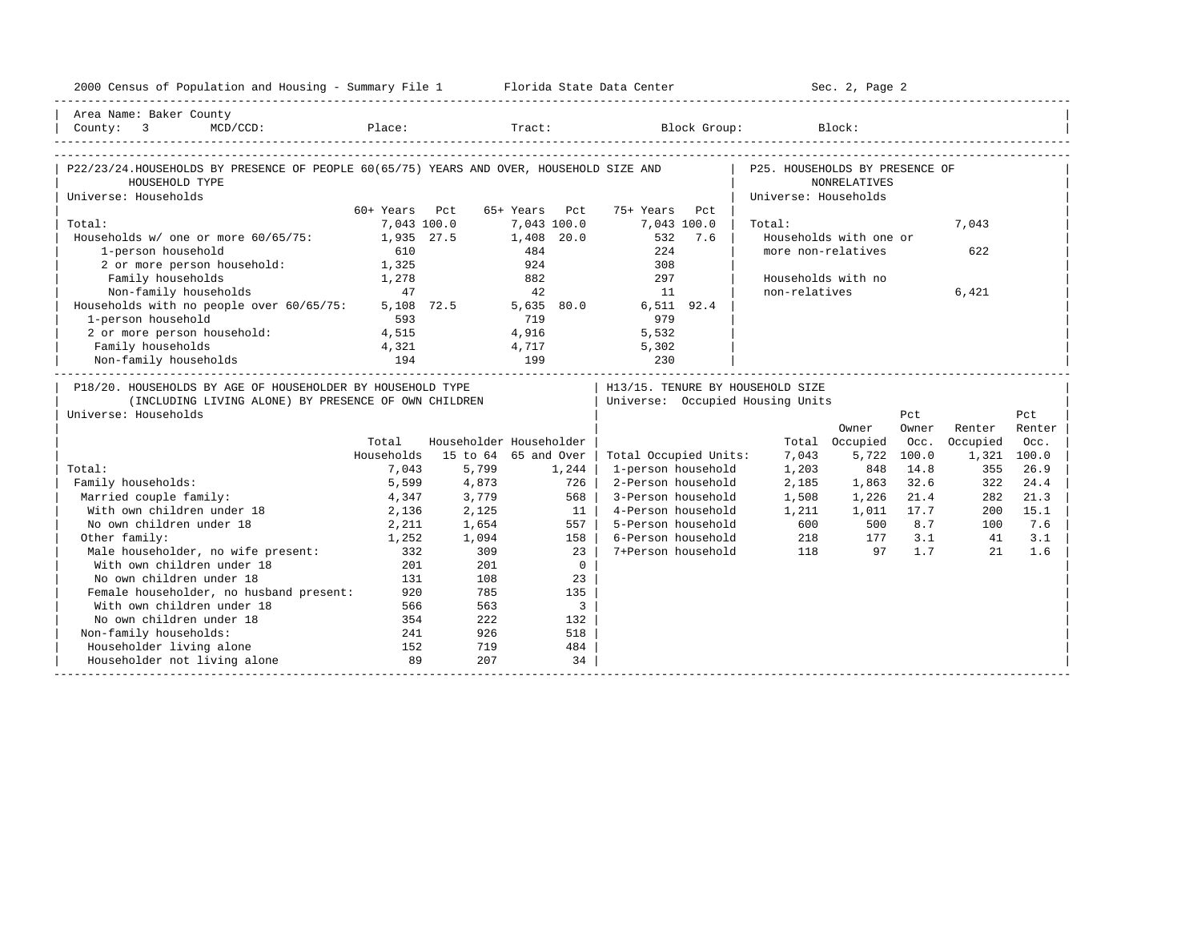| 2000 Census of Population and Housing - Summary File 1 Florida State Data Center                          |               |                         |             |                         |                                  |         |                                  | Sec. 2, Page 2         |             |             |        |
|-----------------------------------------------------------------------------------------------------------|---------------|-------------------------|-------------|-------------------------|----------------------------------|---------|----------------------------------|------------------------|-------------|-------------|--------|
| Area Name: Baker County                                                                                   |               |                         |             |                         |                                  |         |                                  |                        |             |             |        |
|                                                                                                           |               |                         |             |                         |                                  |         |                                  |                        |             |             |        |
|                                                                                                           |               |                         |             |                         |                                  |         |                                  |                        |             |             |        |
| P22/23/24.HOUSEHOLDS BY PRESENCE OF PEOPLE 60(65/75) YEARS AND OVER, HOUSEHOLD SIZE AND<br>HOUSEHOLD TYPE |               |                         |             |                         |                                  |         | P25. HOUSEHOLDS BY PRESENCE OF   | <b>NONRELATIVES</b>    |             |             |        |
| Universe: Households                                                                                      |               |                         |             |                         |                                  |         | Universe: Households             |                        |             |             |        |
|                                                                                                           | 60+ Years Pct |                         | 65+ Years   | Pct                     | 75+ Years                        | Pct     |                                  |                        |             |             |        |
| Total:                                                                                                    | 7,043 100.0   |                         | 7,043 100.0 |                         | 7,043 100.0                      |         | Total:                           |                        |             | 7,043       |        |
| Households w/ one or more 60/65/75:                                                                       | 1,935 27.5    |                         | 1,408 20.0  |                         |                                  | 532 7.6 |                                  | Households with one or |             |             |        |
| 1-person household                                                                                        | 610           |                         | 484         |                         | 224                              |         | more non-relatives               |                        |             | 622         |        |
| 2 or more person household:                                                                               | 1,325         |                         | 924         |                         | 308                              |         |                                  |                        |             |             |        |
| Family households                                                                                         | 1,278         |                         | 882         |                         | 297                              |         | Households with no               |                        |             |             |        |
| Non-family households                                                                                     | 47            |                         | 42          |                         | 11                               |         | non-relatives                    |                        |             | 6,421       |        |
| Households with no people over 60/65/75:                                                                  |               | 5,108 72.5 5,635 80.0   |             |                         | 6,511 92.4                       |         |                                  |                        |             |             |        |
| 1-person household                                                                                        | 593           |                         | 719         |                         | 979                              |         |                                  |                        |             |             |        |
| 2 or more person household:                                                                               | 4,515         |                         | 4,916       |                         | 5,532                            |         |                                  |                        |             |             |        |
| Family households                                                                                         | 4,321         |                         | 4,717       |                         | 5,302                            |         |                                  |                        |             |             |        |
| Non-family households                                                                                     | 194           |                         | 199         |                         | 230                              |         |                                  |                        |             |             |        |
| P18/20. HOUSEHOLDS BY AGE OF HOUSEHOLDER BY HOUSEHOLD TYPE                                                |               |                         |             |                         |                                  |         | H13/15. TENURE BY HOUSEHOLD SIZE |                        |             |             |        |
| (INCLUDING LIVING ALONE) BY PRESENCE OF OWN CHILDREN                                                      |               |                         |             |                         | Universe: Occupied Housing Units |         |                                  |                        |             |             |        |
| Universe: Households                                                                                      |               |                         |             |                         |                                  |         |                                  |                        | Pct         |             | Pct    |
|                                                                                                           |               |                         |             |                         |                                  |         |                                  | Owner                  | Owner       | Renter      | Renter |
|                                                                                                           | Total         | Householder Householder |             |                         |                                  |         |                                  | Total Occupied         | Occ.        | Occupied    | Occ.   |
|                                                                                                           | Households    | 15 to 64 65 and Over    |             |                         | Total Occupied Units:            |         | 7,043                            |                        | 5,722 100.0 | 1,321 100.0 |        |
| Total:                                                                                                    | 7,043         | 5,799                   |             | 1,244                   | 1-person household               |         | 1,203                            | 848                    | 14.8        | 355         | 26.9   |
| Family households:                                                                                        | 5,599         | 4,873                   |             | 726                     | 2-Person household               |         | 2,185                            | 1,863                  | 32.6        | 322         | 24.4   |
| Married couple family:                                                                                    | 4,347         | 3,779                   |             | 568                     | 3-Person household               |         | 1,508                            | 1,226                  | 21.4        | 282         | 21.3   |
| With own children under 18                                                                                | 2,136         | 2,125                   |             | 11                      | 4-Person household               |         | 1,211                            | 1,011                  | 17.7        | 200         | 15.1   |
| No own children under 18                                                                                  | 2,211         | 1,654                   |             | 557                     | 5-Person household               |         | 600                              | 500                    | 8.7         | 100         | 7.6    |
| Other family:                                                                                             | 1,252         | 1,094                   |             | 158                     | 6-Person household               |         | 218                              | 177                    | 3.1         | 41          | 3.1    |
| Male householder, no wife present:                                                                        | 332           | 309                     |             | 23                      | 7+Person household               |         | 118                              | 97                     | 1.7         | 21          | 1.6    |
| With own children under 18                                                                                | 201           | 201                     |             | $\mathbf{0}$            |                                  |         |                                  |                        |             |             |        |
| No own children under 18                                                                                  | 131           | 108                     |             | 23                      |                                  |         |                                  |                        |             |             |        |
| Female householder, no husband present:                                                                   | 920           | 785                     |             | 135                     |                                  |         |                                  |                        |             |             |        |
| With own children under 18                                                                                | 566           | 563                     |             | $\overline{\mathbf{3}}$ |                                  |         |                                  |                        |             |             |        |
| No own children under 18                                                                                  | 354           | 222                     |             | 132                     |                                  |         |                                  |                        |             |             |        |
| Non-family households:                                                                                    | 241           | 926                     |             | 518                     |                                  |         |                                  |                        |             |             |        |
| Householder living alone                                                                                  | 152           | 719                     |             | 484                     |                                  |         |                                  |                        |             |             |        |
| Householder not living alone                                                                              | 89            | 207                     |             | 34                      |                                  |         |                                  |                        |             |             |        |
|                                                                                                           |               |                         |             |                         |                                  |         |                                  |                        |             |             |        |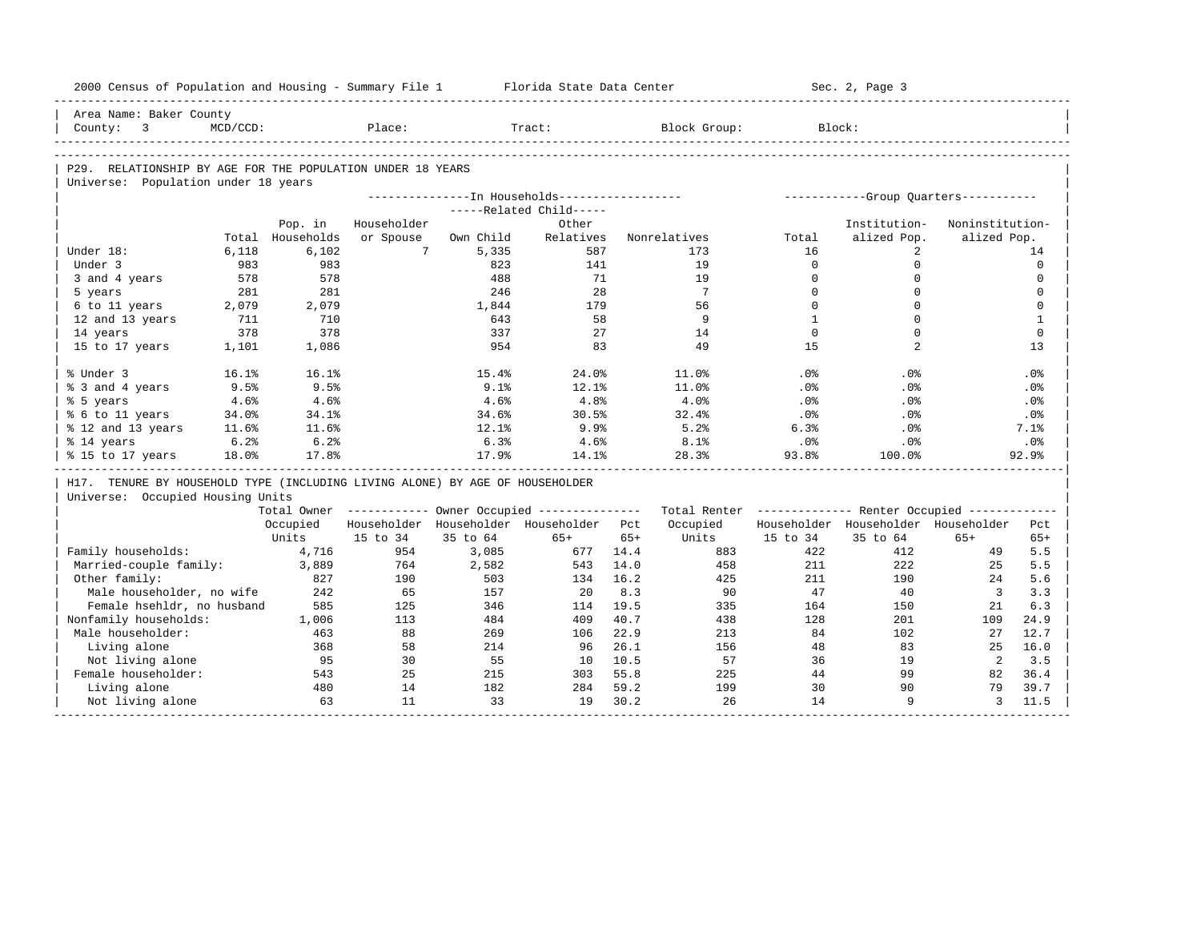| 2000 Census of Population and Housing - Summary File 1                       |             |            |             |            | Florida State Data Center                               |              |                                                         |              | Sec. 2, Page 3                                  |                 |                                                                                |
|------------------------------------------------------------------------------|-------------|------------|-------------|------------|---------------------------------------------------------|--------------|---------------------------------------------------------|--------------|-------------------------------------------------|-----------------|--------------------------------------------------------------------------------|
| Area Name: Baker County                                                      |             |            |             |            |                                                         |              |                                                         |              |                                                 |                 |                                                                                |
| $\overline{\phantom{a}}$<br>County:                                          | $MCD/CCD$ : |            | Place:      |            | Tract:                                                  |              | Block Group:                                            | Block:       |                                                 |                 |                                                                                |
|                                                                              |             |            |             |            |                                                         |              |                                                         |              |                                                 |                 |                                                                                |
| P29. RELATIONSHIP BY AGE FOR THE POPULATION UNDER 18 YEARS                   |             |            |             |            |                                                         |              |                                                         |              |                                                 |                 |                                                                                |
| Universe: Population under 18 years                                          |             |            |             |            | ---------------In Households------------------          |              |                                                         |              |                                                 |                 |                                                                                |
|                                                                              |             |            |             |            | -----Related Child-----                                 |              |                                                         |              | -----------Group Ouarters-----------            |                 |                                                                                |
|                                                                              |             | Pop. in    | Householder |            | Other                                                   |              |                                                         |              | Institution-                                    | Noninstitution- |                                                                                |
|                                                                              | Total       | Households | or Spouse   | Own Child  | Relatives                                               |              | Nonrelatives                                            | Total        | alized Pop.                                     | alized Pop.     |                                                                                |
| Under 18:                                                                    | 6,118       | 6,102      | $7^{\circ}$ | 5,335      | 587                                                     |              | 173                                                     | 16           | 2                                               |                 | 14                                                                             |
| Under 3                                                                      | 983         | 983        |             | 823        | 141                                                     |              | 19                                                      | $\Omega$     | $\mathbf 0$                                     |                 | $\mathbf 0$                                                                    |
| 3 and 4 years                                                                | 578         | 578        |             | 488        | 71                                                      |              | 19                                                      | $\mathbf{0}$ | $\mathbf 0$                                     |                 | $\mathbf 0$                                                                    |
| 5 years                                                                      | 281         | 281        |             | 246        | 28                                                      |              | 7                                                       | $\Omega$     | $\Omega$                                        |                 | $\mathbf 0$                                                                    |
| 6 to 11 years                                                                | 2,079       | 2,079      |             | 1,844      | 179                                                     |              | 56                                                      | $\Omega$     | $\mathbf 0$                                     |                 | 0                                                                              |
| 12 and 13 years                                                              | 711         | 710        |             | 643        | 58                                                      |              | 9                                                       | $\mathbf{1}$ | $\Omega$                                        |                 | $\mathbf{1}$                                                                   |
| 14 years                                                                     | 378         | 378        |             | 337        | 27                                                      |              | 14                                                      | $\mathbf 0$  | $\mathbf 0$                                     |                 | $\mathbf 0$                                                                    |
| 15 to 17 years                                                               | 1,101       | 1,086      |             | 954        | 83                                                      |              | 49                                                      | 15           | 2                                               |                 | 13                                                                             |
| % Under 3                                                                    | 16.1%       | 16.1%      |             | 15.4%      | 24.0%                                                   |              | 11.0%                                                   | .0%          | .0%                                             |                 | .0%                                                                            |
| % 3 and 4 years                                                              | 9.5%        | 9.5%       |             | 9.1%       | 12.1%                                                   |              | 11.0%                                                   | $.0\%$       | $.0\%$                                          |                 | $.0\%$                                                                         |
| % 5 years                                                                    | 4.6%        | 4.6%       |             | 4.6%       | 4.8%                                                    |              | 4.0%                                                    | .0%          | .0%                                             |                 | .0%                                                                            |
| % 6 to 11 years                                                              | 34.0%       | 34.1%      |             | 34.6%      | 30.5%                                                   |              | 32.4%                                                   | .0%          | $.0\%$                                          |                 | $.0\%$                                                                         |
| % 12 and 13 years                                                            | 11.6%       | 11.6%      |             | 12.1%      | 9.9%                                                    |              | 5.2%                                                    | 6.3%         | .0%                                             |                 | 7.1%                                                                           |
| % 14 years                                                                   | 6.2%        | 6.2%       |             | 6.3%       | 4.6%                                                    |              | 8.1%                                                    | $.0\%$       | $.0\%$                                          |                 | $.0\%$                                                                         |
| % 15 to 17 years                                                             | 18.0%       | 17.8%      |             | 17.9%      | 14.1%                                                   |              | 28.3%                                                   | 93.8%        | 100.0%                                          |                 | 92.9%                                                                          |
| H17. TENURE BY HOUSEHOLD TYPE (INCLUDING LIVING ALONE) BY AGE OF HOUSEHOLDER |             |            |             |            |                                                         |              |                                                         |              |                                                 |                 |                                                                                |
| Universe: Occupied Housing Units                                             |             |            |             |            |                                                         |              |                                                         |              |                                                 |                 |                                                                                |
|                                                                              |             |            |             |            | Total Owner ------------ Owner Occupied --------------- |              | Total Renter ------------- Renter Occupied ------------ |              |                                                 |                 |                                                                                |
|                                                                              |             | Occupied   | 15 to 34    | 35 to 64   | Householder Householder Householder Pct<br>$65+$        |              | Occupied<br>Units                                       | 15 to 34     | Householder Householder Householder<br>35 to 64 | $65+$           | Pct<br>$65+$                                                                   |
|                                                                              |             |            |             |            |                                                         |              |                                                         |              |                                                 |                 |                                                                                |
|                                                                              |             | Units      |             |            |                                                         | $65+$        |                                                         |              |                                                 |                 |                                                                                |
|                                                                              |             | 4,716      | 954         | 3,085      | 677                                                     | 14.4         | 883                                                     | 422          | 412                                             | 49              |                                                                                |
| Married-couple family:                                                       |             | 3,889      | 764         | 2,582      | 543                                                     | 14.0         | 458                                                     | 211          | 222                                             | 25              |                                                                                |
| Other family:                                                                |             | 827        | 190         | 503        | 134                                                     | 16.2         | 425                                                     | 211          | 190                                             | 24              |                                                                                |
| Male householder, no wife                                                    |             | 242        | 65          | 157        | 20                                                      | 8.3          | 90                                                      | 47           | 40                                              | $\overline{3}$  |                                                                                |
| Female hsehldr, no husband                                                   |             | 585        | 125         | 346        | 114                                                     | 19.5         | 335                                                     | 164          | 150                                             | 21              |                                                                                |
| Family households:                                                           |             | 1,006      | 113         | 484        | 409                                                     | 40.7         | 438                                                     | 128          | 201                                             | 109             |                                                                                |
| Male householder:                                                            |             | 463        | 88          | 269        | 106                                                     | 22.9         | 213                                                     | 84           | 102                                             | 27<br>25        |                                                                                |
| Living alone                                                                 |             | 368<br>95  | 58<br>30    | 214<br>55  | 96<br>10                                                | 26.1<br>10.5 | 156<br>57                                               | 48<br>36     | 83<br>19                                        | 2               |                                                                                |
| Not living alone                                                             |             |            |             |            |                                                         |              |                                                         |              | 99                                              |                 |                                                                                |
| Nonfamily households:<br>Female householder:<br>Living alone                 |             | 543<br>480 | 25<br>14    | 215<br>182 | 303<br>284                                              | 55.8<br>59.2 | 225<br>199                                              | 44<br>30     | 90                                              | 82<br>79        | 5.5<br>5.5<br>5.6<br>3.3<br>6.3<br>24.9<br>12.7<br>16.0<br>3.5<br>36.4<br>39.7 |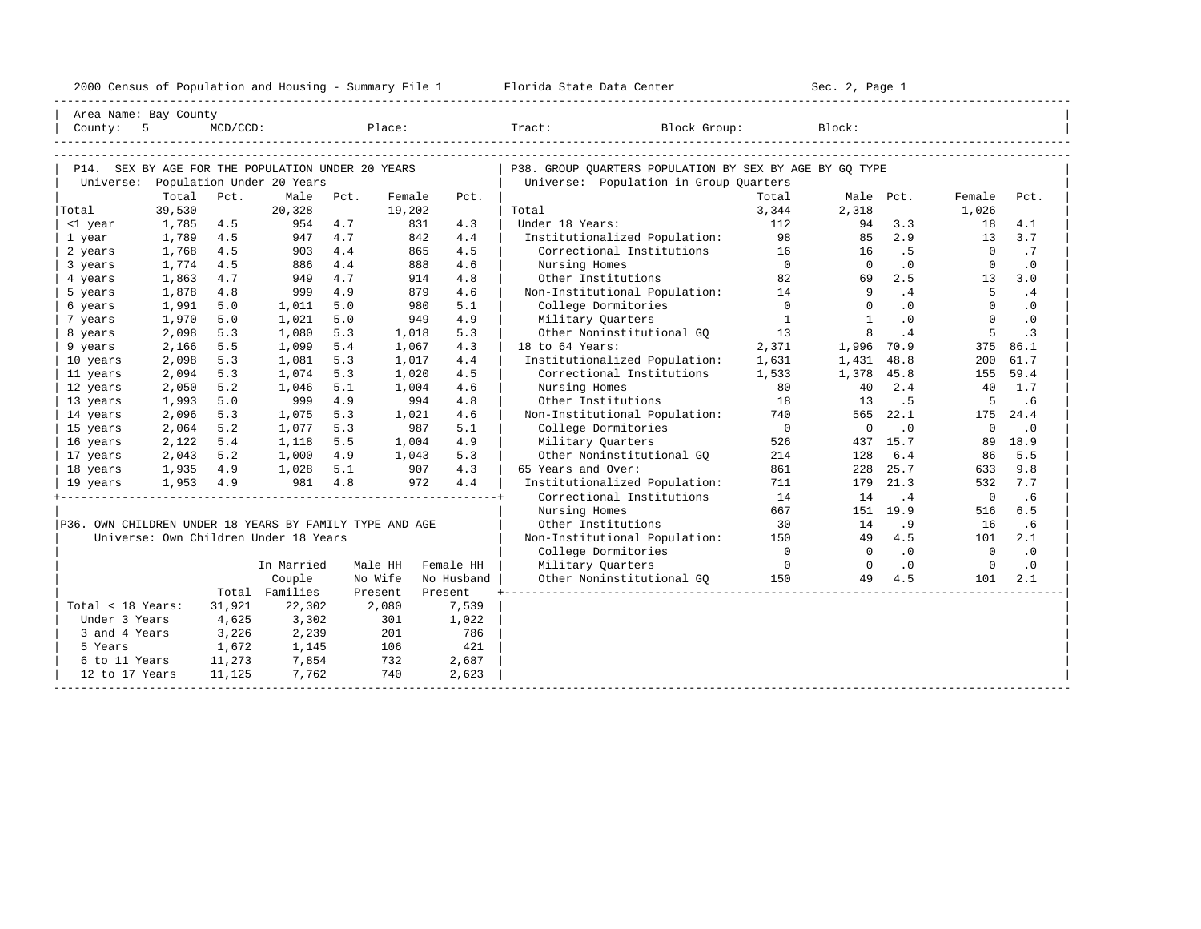|  |  |  | 2000 Census of Population and Housing - Summary File 1 |  |  |  |  |  |  |  |
|--|--|--|--------------------------------------------------------|--|--|--|--|--|--|--|
|--|--|--|--------------------------------------------------------|--|--|--|--|--|--|--|

|                                                         | Area Name: Bay County                             |             |                |            |            |            |                                                            |                |                |            |                |            |  |
|---------------------------------------------------------|---------------------------------------------------|-------------|----------------|------------|------------|------------|------------------------------------------------------------|----------------|----------------|------------|----------------|------------|--|
| County: 5                                               |                                                   | $MCD/CCD$ : |                |            |            | Place:     | Tract: Block Group:                                        |                | Block:         |            |                |            |  |
|                                                         |                                                   |             |                |            |            |            |                                                            |                |                |            |                |            |  |
|                                                         |                                                   |             |                |            |            |            |                                                            |                |                |            |                |            |  |
|                                                         | P14. SEX BY AGE FOR THE POPULATION UNDER 20 YEARS |             |                |            |            |            | P38. GROUP QUARTERS POPULATION BY SEX BY AGE BY GQ TYPE    |                |                |            |                |            |  |
|                                                         | Universe: Population Under 20 Years               |             |                |            |            |            | Universe: Population in Group Quarters                     |                |                |            |                |            |  |
|                                                         | Total                                             | Pct.        | Male           | Pct.       | Female     | Pct.       |                                                            | Total          |                | Male Pct.  | Female         | Pct.       |  |
| Total                                                   | 39,530                                            |             | 20,328         |            | 19,202     |            | Total                                                      | 3,344          | 2,318          |            | 1,026          |            |  |
| <1 year                                                 | 1,785                                             | 4.5         | 954            | 4.7<br>4.7 | 831        | 4.3        | Under 18 Years:                                            | 112            | 94             | 3.3<br>2.9 | 18             | 4.1<br>3.7 |  |
| 1 year                                                  | 1,789<br>1,768                                    | 4.5<br>4.5  | 947            |            | 842<br>865 | 4.4<br>4.5 | Institutionalized Population:<br>Correctional Institutions | 98<br>16       | 85<br>16       | .5         | 13<br>$\Omega$ | .7         |  |
| 2 years                                                 | 1,774                                             | 4.5         | 903<br>886     | 4.4<br>4.4 | 888        | 4.6        |                                                            | $\overline{0}$ | $\Omega$       | $\cdot$ 0  | $\Omega$       | $\cdot$ 0  |  |
| 3 years<br>4 years                                      | 1,863                                             | 4.7         | 949            | 4.7        | 914        | 4.8        | Nursing Homes<br>Other Institutions                        | 82             | 69             | 2.5        | 13             | 3.0        |  |
| 5 years                                                 | 1,878                                             | 4.8         | 999            | 4.9        | 879        | 4.6        | Non-Institutional Population:                              | 14             | 9              | .4         | 5              | .4         |  |
| 6 years                                                 | 1,991                                             | 5.0         | 1,011          | 5.0        | 980        | 5.1        | College Dormitories                                        | $\overline{0}$ | $\Omega$       | $\cdot$ 0  | $\Omega$       | $\cdot$ 0  |  |
| 7 years                                                 | 1,970                                             | 5.0         | 1,021          | 5.0        | 949        | 4.9        | Military Quarters                                          | $\overline{1}$ | <sup>1</sup>   | .0         | $\Omega$       | $\cdot$ 0  |  |
|                                                         | 2,098                                             | 5.3         | 1,080          | 5.3        | 1,018      | 5.3        | Other Noninstitutional GO                                  | 13             | 8              | .4         | 5              | $\cdot$ 3  |  |
| 8 years<br>9 years                                      | 2,166                                             | 5.5         | 1,099          | 5.4        | 1,067      | 4.3        | 18 to 64 Years:                                            | 2,371          | 1,996          | 70.9       | 375            | 86.1       |  |
| 10 years                                                | 2,098                                             | 5.3         | 1,081          | 5.3        | 1,017      | 4.4        | Institutionalized Population:                              | 1,631          | 1,431          | 48.8       | 200            | 61.7       |  |
| 11 years                                                | 2,094                                             | 5.3         | 1,074          | 5.3        | 1,020      | 4.5        | Correctional Institutions                                  | 1,533          | 1,378          | 45.8       | 155            | 59.4       |  |
| 12 years                                                | 2,050                                             | 5.2         | 1,046          | 5.1        | 1,004      | 4.6        | Nursing Homes                                              | 80             | 40             | 2.4        | 40             | 1.7        |  |
| 13 years                                                | 1,993                                             | 5.0         | 999            | 4.9        | 994        | 4.8        | Other Institutions                                         | 18             | 13             | .5         | 5              | .6         |  |
| 14 years                                                | 2,096                                             | 5.3         | 1,075          | 5.3        | 1,021      | 4.6        | Non-Institutional Population:                              | 740            | 565            | 22.1       | 175            | 24.4       |  |
| 15 years                                                | 2,064                                             | 5.2         | 1,077          | 5.3        | 987        | 5.1        | College Dormitories                                        | $\overline{0}$ | $\circ$        | $\cdot$ 0  | $\mathbf 0$    | $\cdot$ 0  |  |
| 16 years                                                | 2,122                                             | 5.4         | 1,118          | 5.5        | 1,004      | 4.9        | Military Quarters                                          | 526            |                | 437 15.7   | 89             | 18.9       |  |
| 17 years                                                | 2,043                                             | 5.2         | 1,000          | 4.9        | 1,043      | 5.3        | Other Noninstitutional GQ                                  | 214            | 128            | 6.4        | 86             | 5.5        |  |
| 18 years                                                | 1,935 4.9                                         |             | 1,028          | 5.1        | 907        | 4.3        | 65 Years and Over:                                         | 861            | 228            | 25.7       | 633            | 9.8        |  |
| 19 years                                                | $1,953$ 4.9                                       |             | 981            | 4.8        | 972        | 4.4        | Institutionalized Population:                              | 711            | 179            | 21.3       | 532            | 7.7        |  |
|                                                         |                                                   |             |                |            |            |            | Correctional Institutions                                  | 14             | 14             | .4         | $\overline{0}$ | .6         |  |
|                                                         |                                                   |             |                |            |            |            | Nursing Homes                                              | 667            |                | 151 19.9   | 516            | 6.5        |  |
| P36. OWN CHILDREN UNDER 18 YEARS BY FAMILY TYPE AND AGE |                                                   |             |                |            |            |            | Other Institutions                                         | 30             | 14             | .9         | 16             | .6         |  |
|                                                         | Universe: Own Children Under 18 Years             |             |                |            |            |            | Non-Institutional Population: 150                          |                | 49             | 4.5        | 101            | 2.1        |  |
|                                                         |                                                   |             |                |            |            |            | College Dormitories                                        | $\overline{0}$ | $\overline{0}$ | .0         | $\overline{0}$ | $\cdot$ 0  |  |
|                                                         |                                                   |             | In Married     |            | Male HH    | Female HH  | Military Quarters                                          | $\overline{0}$ | $\overline{0}$ | $\cdot$ 0  | $\overline{0}$ | $\cdot$ 0  |  |
|                                                         |                                                   |             | Couple         |            | No Wife    | No Husband | Other Noninstitutional GO                                  | 150            | 49             | 4.5        | 101            | 2.1        |  |
|                                                         |                                                   |             | Total Families |            | Present    | Present    |                                                            |                |                |            |                |            |  |
| Total < 18 Years:                                       |                                                   | 31,921      | 22,302         |            | 2,080      | 7,539      |                                                            |                |                |            |                |            |  |
| Under 3 Years                                           |                                                   | 4,625       | 3,302          |            | 301        | 1,022      |                                                            |                |                |            |                |            |  |
| 3 and 4 Years                                           |                                                   | 3,226       | 2,239          |            | 201        | 786        |                                                            |                |                |            |                |            |  |
| 5 Years                                                 |                                                   | 1,672       | 1,145          |            | 106        | 421        |                                                            |                |                |            |                |            |  |
| 6 to 11 Years                                           |                                                   | 11,273      | 7,854          |            | 732        | 2,687      |                                                            |                |                |            |                |            |  |
| 12 to 17 Years                                          |                                                   | 11,125      | 7,762          |            | 740        | 2,623      |                                                            |                |                |            |                |            |  |
|                                                         |                                                   |             |                |            |            |            |                                                            |                |                |            |                |            |  |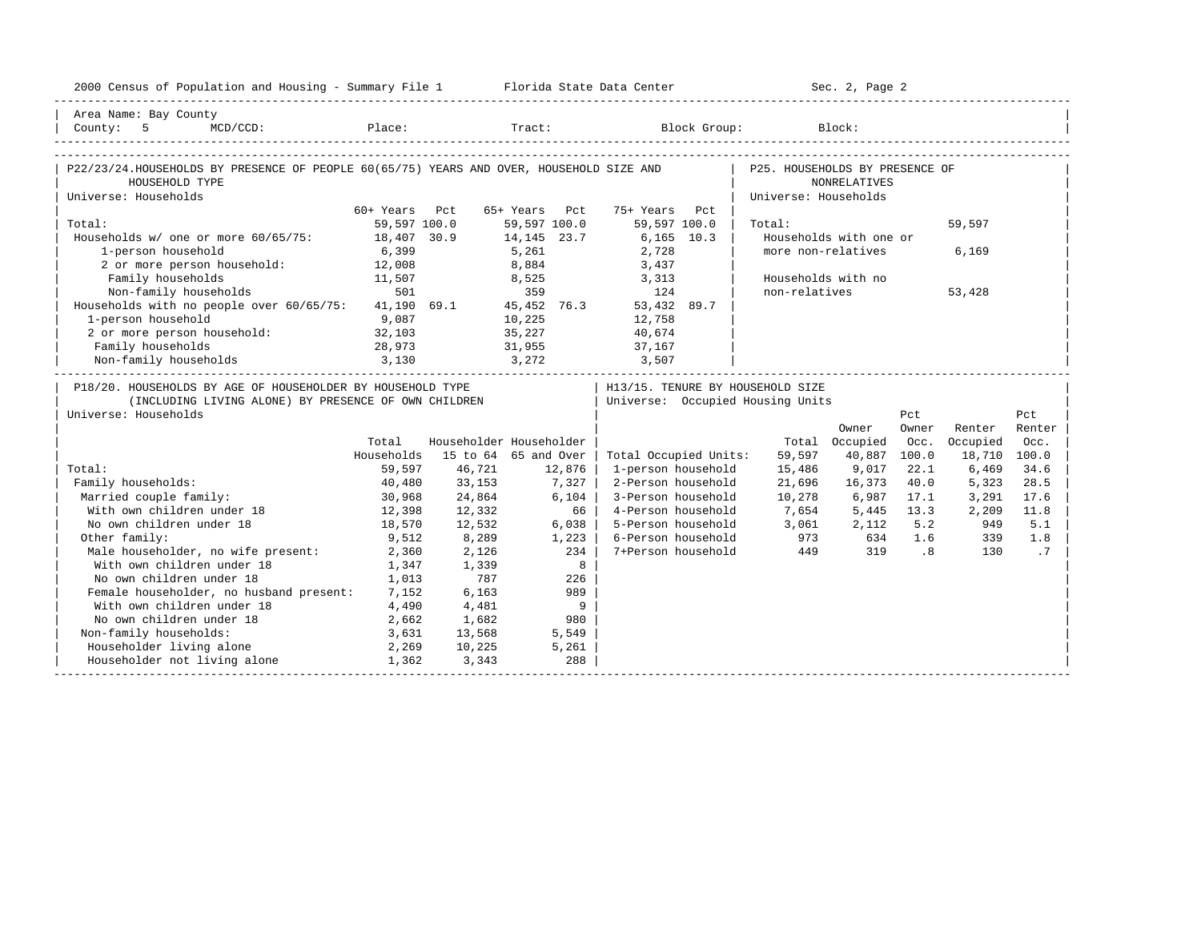| 2000 Census of Population and Housing - Summary File 1 Florida State Data Center                                                                                                                                                      |               |                         |               |                |                                  |                                | Sec. 2, Page 2         |       |              |        |
|---------------------------------------------------------------------------------------------------------------------------------------------------------------------------------------------------------------------------------------|---------------|-------------------------|---------------|----------------|----------------------------------|--------------------------------|------------------------|-------|--------------|--------|
| Area Name: Bay County                                                                                                                                                                                                                 |               |                         |               |                |                                  |                                |                        |       |              |        |
|                                                                                                                                                                                                                                       |               |                         |               |                |                                  |                                |                        |       |              |        |
|                                                                                                                                                                                                                                       |               |                         |               |                |                                  |                                |                        |       |              |        |
| P22/23/24.HOUSEHOLDS BY PRESENCE OF PEOPLE 60(65/75) YEARS AND OVER, HOUSEHOLD SIZE AND                                                                                                                                               |               |                         |               |                |                                  | P25. HOUSEHOLDS BY PRESENCE OF |                        |       |              |        |
| HOUSEHOLD TYPE                                                                                                                                                                                                                        |               |                         |               |                |                                  |                                | <b>NONRELATIVES</b>    |       |              |        |
| Universe: Households                                                                                                                                                                                                                  |               |                         |               |                |                                  | Universe: Households           |                        |       |              |        |
|                                                                                                                                                                                                                                       | 60+ Years Pct |                         | 65+ Years Pct |                | 75+ Years<br>P.c.t.              |                                |                        |       |              |        |
| Total:                                                                                                                                                                                                                                | 59,597 100.0  |                         | 59,597 100.0  |                | 59,597 100.0                     | Total:                         |                        |       | 59,597       |        |
| Households w/ one or more 60/65/75:                                                                                                                                                                                                   | 18,407 30.9   |                         | 14, 145 23.7  |                | $6,165$ 10.3                     |                                | Households with one or |       |              |        |
| 1-person household                                                                                                                                                                                                                    | 6,399         |                         | 5,261         |                | 2,728                            | more non-relatives             |                        |       | 6,169        |        |
| 2 or more person household: 12,008                                                                                                                                                                                                    |               |                         | 8,884         |                | 3,437                            |                                |                        |       |              |        |
| $\noindent \begin{minipage}{0.9\linewidth} \texttt{Family households} & \begin{minipage}{0.9\linewidth} 11,507 \\ \texttt{Non-family households} & \begin{minipage}{0.9\linewidth} 501 \end{minipage} \end{minipage} \vspace{0.04cm}$ |               |                         | 8,525<br>359  |                | 3,313                            | Households with no             |                        |       |              |        |
|                                                                                                                                                                                                                                       |               |                         |               |                | 124                              | non-relatives                  |                        |       | 53,428       |        |
| Households with no people over 60/65/75: 41,190 69.1 45,452 76.3 53,432 89.7                                                                                                                                                          |               |                         |               |                |                                  |                                |                        |       |              |        |
| 1-person household<br>1-person household 9,087<br>2 or more person household: 32,103                                                                                                                                                  |               |                         |               |                | 10,225 12,758<br>35,227 40,674   |                                |                        |       |              |        |
|                                                                                                                                                                                                                                       |               |                         |               |                |                                  |                                |                        |       |              |        |
| Family households                                                                                                                                                                                                                     | 28,973        |                         |               |                | 31,955 37,167                    |                                |                        |       |              |        |
| $3,130 \hspace{1.5cm} 3,272 \hspace{1.5cm} 3,507 \hspace{1.5cm}  $                                                                                                                                                                    |               |                         |               |                |                                  |                                |                        |       |              |        |
| P18/20. HOUSEHOLDS BY AGE OF HOUSEHOLDER BY HOUSEHOLD TYPE                                                                                                                                                                            |               |                         |               |                | H13/15. TENURE BY HOUSEHOLD SIZE |                                |                        |       |              |        |
| (INCLUDING LIVING ALONE) BY PRESENCE OF OWN CHILDREN                                                                                                                                                                                  |               |                         |               |                | Universe: Occupied Housing Units |                                |                        |       |              |        |
| Universe: Households                                                                                                                                                                                                                  |               |                         |               |                |                                  |                                |                        | Pct   |              | Pct    |
|                                                                                                                                                                                                                                       |               |                         |               |                |                                  |                                | Owner                  | Owner | Renter       | Renter |
|                                                                                                                                                                                                                                       | Total         | Householder Householder |               |                |                                  |                                | Total Occupied         | Occ.  | Occupied     | Occ.   |
|                                                                                                                                                                                                                                       | Households    | 15 to 64 65 and Over    |               |                | Total Occupied Units:            | 59,597                         | 40,887                 | 100.0 | 18,710 100.0 |        |
| Total:                                                                                                                                                                                                                                | 59,597        | 46,721                  |               | 12,876         | 1-person household               | 15,486                         | 9,017                  | 22.1  | 6,469        | 34.6   |
| Family households:                                                                                                                                                                                                                    | 40,480        | 33,153                  | 7,327         |                | 2-Person household               | 21,696                         | 16,373                 | 40.0  | 5,323        | 28.5   |
| Married couple family:                                                                                                                                                                                                                | 30,968        | 24,864                  |               | 6,104          | 3-Person household               | 10,278                         | 6,987                  | 17.1  | 3,291        | 17.6   |
| With own children under 18                                                                                                                                                                                                            | 12,398        | 12,332                  |               | 66             | 4-Person household               |                                | 7,654 5,445 13.3       |       | 2,209        | 11.8   |
| No own children under 18                                                                                                                                                                                                              | 18,570        | 12,532                  |               | 6,038          | 5-Person household               |                                | 3,061 2,112            | 5.2   | 949          | 5.1    |
| Other family:                                                                                                                                                                                                                         | 9,512         | 8,289                   |               | 1,223          | 6-Person household               | 973 634 1.6<br>449 319 .8      |                        |       | 339          | 1.8    |
| Male householder, no wife present:                                                                                                                                                                                                    | 2,360         | 2,126                   |               | 234            | 7+Person household               |                                |                        |       | 130          | .7     |
| With own children under 18                                                                                                                                                                                                            | 1,347         | 1,339                   |               | 8              |                                  |                                |                        |       |              |        |
| No own children under 18                                                                                                                                                                                                              | 1,013         | 787                     |               | 226            |                                  |                                |                        |       |              |        |
| Female householder, no husband present: 7,152                                                                                                                                                                                         |               | 6,163                   |               | 989            |                                  |                                |                        |       |              |        |
| With own children under 18                                                                                                                                                                                                            | 4,490         | 4,481                   |               | $\overline{9}$ |                                  |                                |                        |       |              |        |
| No own children under 18<br>2,662                                                                                                                                                                                                     |               | 1,682                   |               | 980            |                                  |                                |                        |       |              |        |
| Non-family households:                                                                                                                                                                                                                | 3,631         | 13,568                  |               | 5,549          |                                  |                                |                        |       |              |        |
| Householder living alone                                                                                                                                                                                                              | 2,269         | 10,225                  |               | 5,261          |                                  |                                |                        |       |              |        |
| Householder not living alone                                                                                                                                                                                                          | 1,362         | 3,343                   |               | 288            |                                  |                                |                        |       |              |        |
|                                                                                                                                                                                                                                       |               |                         |               |                |                                  |                                |                        |       |              |        |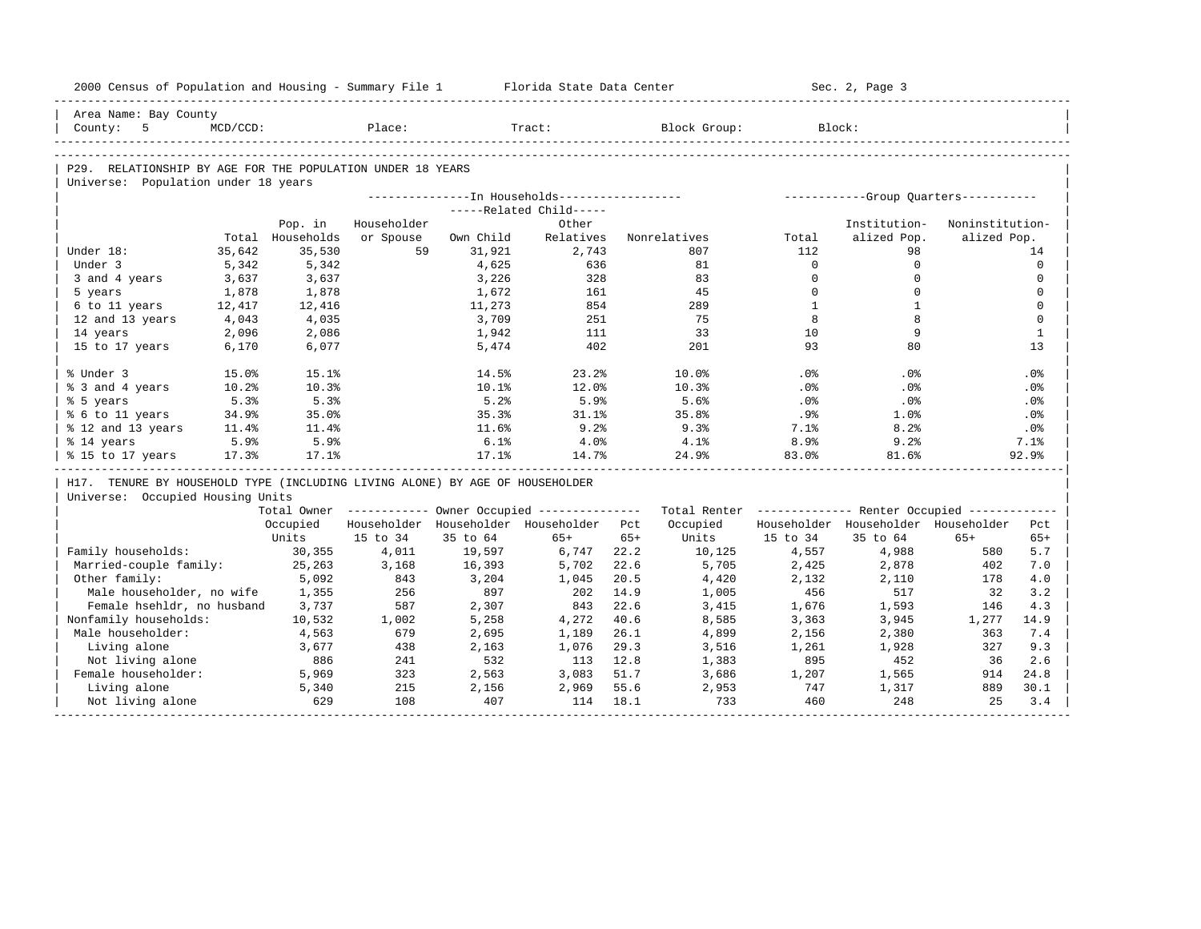| 2000 Census of Population and Housing - Summary File 1 Florida State Data Center |             |                  |             |           |                                                       |       |                                                         |              | Sec. 2, Page 3                      |                 |              |
|----------------------------------------------------------------------------------|-------------|------------------|-------------|-----------|-------------------------------------------------------|-------|---------------------------------------------------------|--------------|-------------------------------------|-----------------|--------------|
| Area Name: Bay County                                                            |             |                  |             |           |                                                       |       |                                                         |              |                                     |                 |              |
| County: 5                                                                        | $MCD/CCD$ : |                  | Place:      |           | Tract:                                                |       | Block Group:                                            |              | Block:                              |                 |              |
|                                                                                  |             |                  |             |           |                                                       |       |                                                         |              |                                     |                 |              |
| P29. RELATIONSHIP BY AGE FOR THE POPULATION UNDER 18 YEARS                       |             |                  |             |           |                                                       |       |                                                         |              |                                     |                 |              |
| Universe: Population under 18 years                                              |             |                  |             |           |                                                       |       |                                                         |              |                                     |                 |              |
|                                                                                  |             |                  |             |           |                                                       |       |                                                         |              |                                     |                 |              |
|                                                                                  |             |                  |             |           | -----Related Child-----                               |       |                                                         |              |                                     |                 |              |
|                                                                                  |             | Pop. in          | Householder |           | Other                                                 |       |                                                         |              | Institution-                        | Noninstitution- |              |
|                                                                                  |             | Total Households | or Spouse   | Own Child | Relatives                                             |       | Nonrelatives                                            | Total        | alized Pop.                         | alized Pop.     |              |
| Under 18:                                                                        | 35,642      | 35,530           | 59          | 31,921    | 2,743                                                 |       | 807                                                     | 112          | 98                                  |                 | 14           |
| Under 3                                                                          | 5,342       | 5,342            |             | 4,625     | 636                                                   |       | 81                                                      | $\Omega$     | $\mathbf 0$                         |                 | $\mathbf 0$  |
| 3 and 4 years                                                                    | 3,637       | 3,637            |             | 3,226     | 328                                                   |       | 83                                                      | $\Omega$     | $\Omega$                            |                 | $\Omega$     |
| 5 years                                                                          | 1,878       | 1,878            |             | 1,672     | 161                                                   |       | 45                                                      | $\Omega$     | $\Omega$                            |                 | $\mathbf{0}$ |
| 6 to 11 years                                                                    | 12,417      | 12,416           |             | 11,273    | 854                                                   |       | 289                                                     | $\mathbf{1}$ | $\mathbf{1}$                        |                 | $\mathbf 0$  |
| 12 and 13 years                                                                  | 4,043       | 4,035            |             | 3,709     | 251                                                   |       | 75                                                      | 8            | 8                                   |                 | $\mathbf{0}$ |
| 14 years                                                                         | 2,096       | 2,086            |             | 1,942     | 111                                                   |       | 33                                                      | 10           | 9                                   |                 | $\mathbf{1}$ |
| 15 to 17 years                                                                   | 6,170       | 6,077            |             | 5,474     | 402                                                   |       | 201                                                     | 93           | 80                                  |                 | 13           |
| % Under 3                                                                        | 15.0%       | 15.1%            |             | $14.5\%$  | 23.2%                                                 |       | 10.0%                                                   | $.0\%$       | .0%                                 |                 | .0%          |
| % 3 and 4 years                                                                  | 10.2%       | 10.3%            |             | 10.1%     | 12.0%                                                 |       | 10.3%                                                   | .0%          | $.0\%$                              |                 | .0%          |
| % 5 years                                                                        | 5.3%        | 5.3%             |             | 5.2%      | 5.9%                                                  |       | 5.6%                                                    | .0%          | .0%                                 |                 | .0%          |
| % 6 to 11 years                                                                  | 34.9%       | 35.0%            |             | 35.3%     | 31.1%                                                 |       | 35.8%                                                   | .9%          | 1.0%                                |                 | .0%          |
| % 12 and 13 years                                                                | 11.4%       | 11.4%            |             | 11.6%     | 9.2%                                                  |       | 9.3%                                                    | 7.1%         | 8.2%                                |                 | . 0%         |
| % 14 years                                                                       | 5.9%        | 5.9%             |             | 6.1%      | $4.0\%$                                               |       | 4.1%                                                    | 8.9%         | 9.2%                                |                 | 7.1%         |
| % 15 to 17 years                                                                 | 17.3%       | 17.1%            |             | 17.1%     | 14.7%                                                 |       | 24.9%                                                   | 83.0%        | 81.6%                               |                 | 92.9%        |
| H17. TENURE BY HOUSEHOLD TYPE (INCLUDING LIVING ALONE) BY AGE OF HOUSEHOLDER     |             |                  |             |           |                                                       |       |                                                         |              |                                     |                 |              |
| Universe: Occupied Housing Units                                                 |             |                  |             |           |                                                       |       |                                                         |              |                                     |                 |              |
|                                                                                  |             |                  |             |           | Total Owner ----------- Owner Occupied -------------- |       | Total Renter ------------- Renter Occupied ------------ |              |                                     |                 |              |
|                                                                                  |             | Occupied         |             |           | Householder Householder Householder Pct               |       | Occupied                                                |              | Householder Householder Householder |                 | Pct          |
|                                                                                  |             | Units            | 15 to 34    | 35 to 64  | $65+$                                                 | $65+$ | Units                                                   | 15 to 34     | 35 to 64                            | $65+$           | $65+$        |
| Family households:                                                               |             | 30,355           | 4,011       | 19,597    | 6,747                                                 | 22.2  | 10,125                                                  | 4,557        | 4,988                               | 580             | 5.7          |
| Married-couple family:                                                           |             | 25, 263          | 3,168       | 16,393    | 5,702                                                 | 22.6  | 5,705                                                   | 2,425        | 2,878                               | 402             | 7.0          |
| Other family:                                                                    |             | 5,092            | 843         | 3,204     | 1,045                                                 | 20.5  | 4,420                                                   | 2,132        | 2,110                               | 178             | 4.0          |
| Male householder, no wife                                                        |             | 1,355            | 256         | 897       | 202                                                   | 14.9  | 1,005                                                   | 456          | 517                                 | 32              | 3.2          |
| Female hsehldr, no husband                                                       |             | 3,737            | 587         | 2,307     | 843                                                   | 22.6  | 3,415                                                   | 1,676        | 1,593                               | 146             | 4.3          |
| Nonfamily households:                                                            |             | 10,532           | 1,002       | 5,258     | 4,272                                                 | 40.6  | 8,585                                                   | 3,363        | 3,945                               | 1,277           | 14.9         |
| Male householder:                                                                |             | 4,563            | 679         | 2,695     | 1,189                                                 | 26.1  | 4,899                                                   | 2,156        | 2,380                               | 363             | 7.4          |
| Living alone                                                                     |             | 3,677            | 438         | 2,163     | 1,076                                                 | 29.3  | 3,516                                                   | 1,261        | 1,928                               | 327             | 9.3          |
| Not living alone                                                                 |             | 886              | 241         | 532       | 113                                                   | 12.8  | 1,383                                                   | 895          | 452                                 | 36              | 2.6          |
| Female householder:                                                              |             | 5,969            | 323         | 2,563     | 3,083                                                 | 51.7  | 3,686                                                   | 1,207        | 1,565                               | 914             | 24.8         |
| Living alone                                                                     |             | 5,340            | 215         | 2,156     | 2,969                                                 | 55.6  | 2,953                                                   | 747          | 1,317                               | 889             | 30.1         |
| Not living alone                                                                 |             | 629              | 108         | 407       | 114                                                   | 18.1  | 733                                                     | 460          | 248                                 | 25              | 3.4          |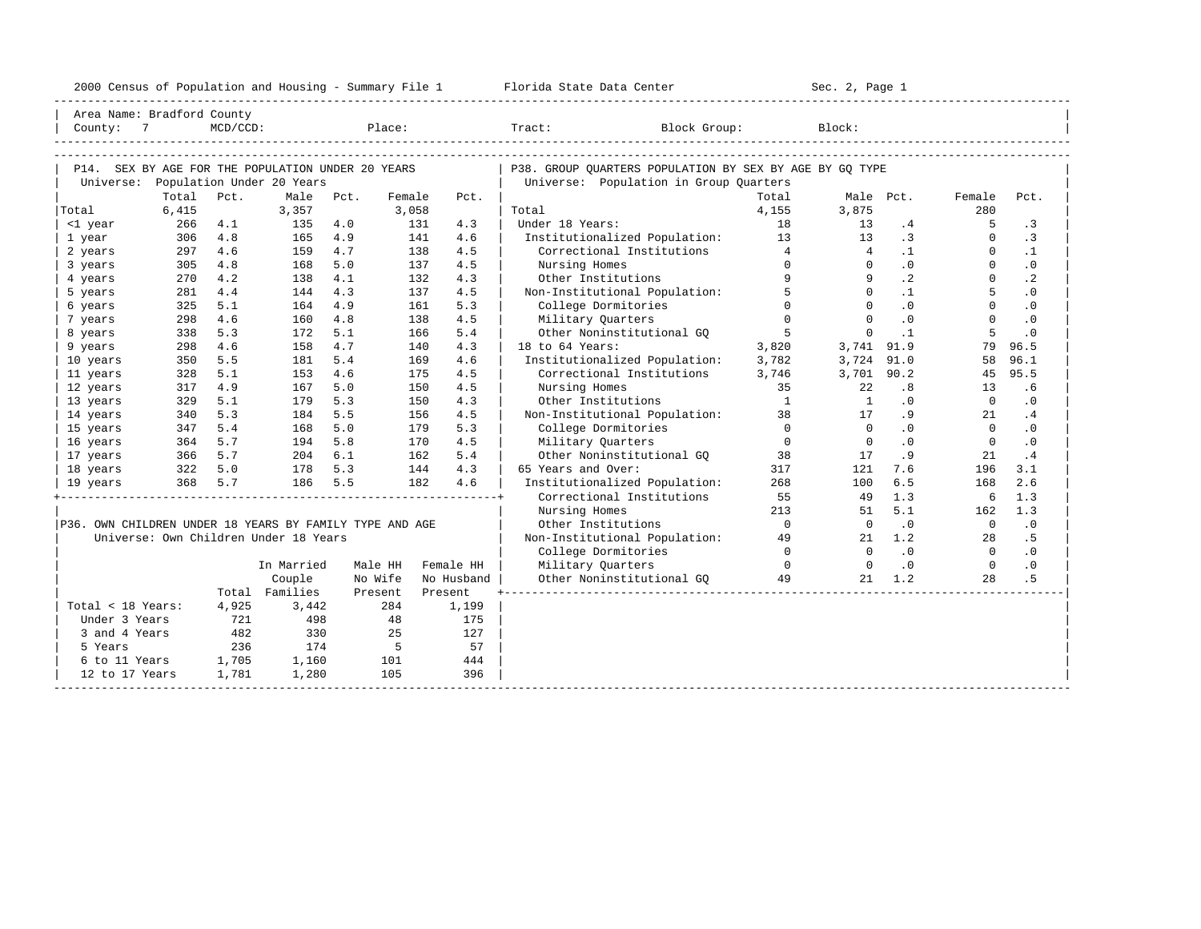| 2000<br>ensus! | and<br>Population | ---<br>Summa:<br>$-$<br>Housing | lorida<br>Data<br>otatt<br>cence. | ، م ج<br>Page<br>$3-1$ |  |
|----------------|-------------------|---------------------------------|-----------------------------------|------------------------|--|
|                |                   |                                 |                                   |                        |  |

| County: 7<br>MCD/CCD:<br>Place:<br>Tract: Block Group:<br>Block:<br>P14. SEX BY AGE FOR THE POPULATION UNDER 20 YEARS<br>P38. GROUP OUARTERS POPULATION BY SEX BY AGE BY GO TYPE<br>Population Under 20 Years<br>Universe: Population in Group Quarters<br>Universe:<br>Total<br>Pct.<br>Male<br>Total<br>Female<br>Pct.<br>Female<br>Pct.<br>Male Pct.<br>Pct.<br>280<br>6,415<br>Total<br>3,357<br>3,058<br>Total<br>4,155<br>3,875<br>Under 18 Years:<br>18<br>$\cdot$ 3<br><1 year<br>266<br>4.1<br>135<br>4.0<br>131<br>4.3<br>13<br>.4<br>-5<br>Institutionalized Population: 13<br>.3<br>$\cdot$ 3<br>306<br>4.8<br>4.9<br>141<br>4.6<br>13<br>$\Omega$<br>1 year<br>165<br>$\overline{4}$<br>$\cdot$ 1<br>297<br>4.6<br>4.7<br>138<br>4.5<br>Correctional Institutions<br>$\overline{4}$<br>$\Omega$<br>$\cdot$ 1<br>2 years<br>159<br>4.8<br>5.0<br>4.5<br>$\Omega$<br>.0<br>$\Omega$<br>$\cdot$ 0<br>305<br>137<br>Nursing Homes<br>$\Omega$<br>3 years<br>168<br>$\cdot$ 2<br>$\mathsf{Q}$<br>$\Omega$<br>$\cdot$ 2<br>4.2<br>4.1<br>4.3<br>9<br>4 years<br>270<br>138<br>132<br>Other Institutions<br>Non-Institutional Population:<br>5<br>5<br>281<br>4.3<br>137<br>4.5<br>$\Omega$<br>$\cdot$ 1<br>$\cdot$ 0<br>5 years<br>4.4<br>144<br>$\cap$<br>$\Omega$<br>$\cdot$ 0<br>325<br>5.1<br>4.9<br>5.3<br>College Dormitories<br>$\Omega$<br>$\cdot$ 0<br>6 years<br>164<br>161<br>$\Omega$<br>4.5<br>$\Omega$<br>.0<br>$\Omega$<br>$\cdot$ 0<br>4.6<br>160<br>4.8<br>Military Quarters<br>7 years<br>298<br>138<br>5<br>$\Omega$<br>5<br>5.3<br>5.1<br>5.4<br>Other Noninstitutional GO<br>$\cdot$ 1<br>$\cdot$ 0<br>338<br>172<br>166<br>8 years<br>4.6<br>4.7<br>18 to 64 Years:<br>3,820<br>3,741<br>79<br>96.5<br>9 years<br>298<br>158<br>140<br>4.3<br>91.9<br>96.1<br>350<br>5.5<br>181<br>5.4<br>Institutionalized Population:<br>3,782<br>3,724<br>91.0<br>58<br>10 years<br>169<br>4.6<br>5.1<br>4.6<br>90.2<br>95.5<br>328<br>153<br>175<br>4.5<br>Correctional Institutions<br>3,746<br>3,701<br>45<br>11 years<br>4.9<br>35<br>.8<br>.6<br>12 years<br>317<br>167<br>5.0<br>150<br>4.5<br>Nursing Homes<br>22<br>13<br>5.3<br>$\overline{1}$<br>$\overline{1}$<br>$\cdot$ 0<br>13 years<br>329<br>5.1<br>179<br>150<br>4.3<br>Other Institutions<br>$\cdot$ 0<br>$\Omega$<br>5.3<br>5.5<br>Non-Institutional Population:<br>38<br>.9<br>14 years<br>340<br>184<br>156<br>4.5<br>17<br>21<br>.4<br>$\overline{0}$<br>.0<br>$\cdot$ 0<br>5.4<br>5.0<br>5.3<br>College Dormitories<br>$\overline{0}$<br>$\Omega$<br>15 years<br>347<br>168<br>179<br>$\overline{0}$<br>5.7<br>$\Omega$<br>$\cdot$ 0<br>$\mathbf{0}$<br>$\cdot$ 0<br>364<br>5.8<br>170<br>4.5<br>Military Ouarters<br>16 years<br>194<br>Other Noninstitutional GQ<br>366 5.7<br>.4<br>17 years<br>204<br>6.1<br>162<br>5.4<br>38<br>17<br>. 9<br>21<br>5.0<br>5.3<br>4.3<br>65 Years and Over:<br>3.1<br>18 years<br>322<br>178<br>144<br>317<br>121<br>7.6<br>196<br>2.6<br>368 5.7<br>5.5<br>182<br>4.6<br>Institutionalized Population:<br>268<br>6.5<br>168<br>19 years<br>186<br>100<br>Correctional Institutions<br>55<br>1.3<br>6<br>1.3<br>49<br>Nursing Homes<br>213<br>5.1<br>1.3<br>51<br>162<br>$\overline{0}$<br>$\cdot$ 0<br>P36. OWN CHILDREN UNDER 18 YEARS BY FAMILY TYPE AND AGE<br>.0<br>Other Institutions<br>$\overline{0}$<br>$\overline{0}$<br>Universe: Own Children Under 18 Years<br>Non-Institutional Population:<br>1.2<br>.5<br>49<br>21<br>28<br>$\overline{0}$<br>.0<br>$\overline{0}$<br>$\cdot$ 0<br>College Dormitories<br>$\Omega$<br>Military Ouarters<br>$\overline{0}$<br>$\cdot$ 0<br>$\overline{0}$<br>$\cdot$ 0<br>In Married<br>Male HH<br>Female HH<br>$\Omega$<br>49<br>. 5<br>Couple<br>No Wife<br>No Husband<br>Other Noninstitutional GO<br>1.2<br>28<br>21<br>Total Families<br>Present<br>Present<br>Total < 18 Years:<br>4,925<br>3,442<br>284<br>1,199<br>721<br>Under 3 Years<br>498<br>48<br>175<br>482<br>330<br>25<br>127<br>3 and 4 Years<br>$5^{\circ}$<br>57<br>236<br>174<br>5 Years<br>1,705<br>6 to 11 Years<br>1,160<br>101<br>444<br>1,781<br>1,280<br>105<br>396<br>12 to 17 Years | Area Name: Bradford County |  |  |  |  |  |  |
|--------------------------------------------------------------------------------------------------------------------------------------------------------------------------------------------------------------------------------------------------------------------------------------------------------------------------------------------------------------------------------------------------------------------------------------------------------------------------------------------------------------------------------------------------------------------------------------------------------------------------------------------------------------------------------------------------------------------------------------------------------------------------------------------------------------------------------------------------------------------------------------------------------------------------------------------------------------------------------------------------------------------------------------------------------------------------------------------------------------------------------------------------------------------------------------------------------------------------------------------------------------------------------------------------------------------------------------------------------------------------------------------------------------------------------------------------------------------------------------------------------------------------------------------------------------------------------------------------------------------------------------------------------------------------------------------------------------------------------------------------------------------------------------------------------------------------------------------------------------------------------------------------------------------------------------------------------------------------------------------------------------------------------------------------------------------------------------------------------------------------------------------------------------------------------------------------------------------------------------------------------------------------------------------------------------------------------------------------------------------------------------------------------------------------------------------------------------------------------------------------------------------------------------------------------------------------------------------------------------------------------------------------------------------------------------------------------------------------------------------------------------------------------------------------------------------------------------------------------------------------------------------------------------------------------------------------------------------------------------------------------------------------------------------------------------------------------------------------------------------------------------------------------------------------------------------------------------------------------------------------------------------------------------------------------------------------------------------------------------------------------------------------------------------------------------------------------------------------------------------------------------------------------------------------------------------------------------------------------------------------------------------------------------------------------------------------------------------------------------------------------------------------------------------------------------------------------------------------------------------------------------------------------------------------------------------------------------------------------------------------------------------------------------------------------------------------------------------------------------------------------------------|----------------------------|--|--|--|--|--|--|
|                                                                                                                                                                                                                                                                                                                                                                                                                                                                                                                                                                                                                                                                                                                                                                                                                                                                                                                                                                                                                                                                                                                                                                                                                                                                                                                                                                                                                                                                                                                                                                                                                                                                                                                                                                                                                                                                                                                                                                                                                                                                                                                                                                                                                                                                                                                                                                                                                                                                                                                                                                                                                                                                                                                                                                                                                                                                                                                                                                                                                                                                                                                                                                                                                                                                                                                                                                                                                                                                                                                                                                                                                                                                                                                                                                                                                                                                                                                                                                                                                                                                                                                                            |                            |  |  |  |  |  |  |
|                                                                                                                                                                                                                                                                                                                                                                                                                                                                                                                                                                                                                                                                                                                                                                                                                                                                                                                                                                                                                                                                                                                                                                                                                                                                                                                                                                                                                                                                                                                                                                                                                                                                                                                                                                                                                                                                                                                                                                                                                                                                                                                                                                                                                                                                                                                                                                                                                                                                                                                                                                                                                                                                                                                                                                                                                                                                                                                                                                                                                                                                                                                                                                                                                                                                                                                                                                                                                                                                                                                                                                                                                                                                                                                                                                                                                                                                                                                                                                                                                                                                                                                                            |                            |  |  |  |  |  |  |
|                                                                                                                                                                                                                                                                                                                                                                                                                                                                                                                                                                                                                                                                                                                                                                                                                                                                                                                                                                                                                                                                                                                                                                                                                                                                                                                                                                                                                                                                                                                                                                                                                                                                                                                                                                                                                                                                                                                                                                                                                                                                                                                                                                                                                                                                                                                                                                                                                                                                                                                                                                                                                                                                                                                                                                                                                                                                                                                                                                                                                                                                                                                                                                                                                                                                                                                                                                                                                                                                                                                                                                                                                                                                                                                                                                                                                                                                                                                                                                                                                                                                                                                                            |                            |  |  |  |  |  |  |
|                                                                                                                                                                                                                                                                                                                                                                                                                                                                                                                                                                                                                                                                                                                                                                                                                                                                                                                                                                                                                                                                                                                                                                                                                                                                                                                                                                                                                                                                                                                                                                                                                                                                                                                                                                                                                                                                                                                                                                                                                                                                                                                                                                                                                                                                                                                                                                                                                                                                                                                                                                                                                                                                                                                                                                                                                                                                                                                                                                                                                                                                                                                                                                                                                                                                                                                                                                                                                                                                                                                                                                                                                                                                                                                                                                                                                                                                                                                                                                                                                                                                                                                                            |                            |  |  |  |  |  |  |
|                                                                                                                                                                                                                                                                                                                                                                                                                                                                                                                                                                                                                                                                                                                                                                                                                                                                                                                                                                                                                                                                                                                                                                                                                                                                                                                                                                                                                                                                                                                                                                                                                                                                                                                                                                                                                                                                                                                                                                                                                                                                                                                                                                                                                                                                                                                                                                                                                                                                                                                                                                                                                                                                                                                                                                                                                                                                                                                                                                                                                                                                                                                                                                                                                                                                                                                                                                                                                                                                                                                                                                                                                                                                                                                                                                                                                                                                                                                                                                                                                                                                                                                                            |                            |  |  |  |  |  |  |
|                                                                                                                                                                                                                                                                                                                                                                                                                                                                                                                                                                                                                                                                                                                                                                                                                                                                                                                                                                                                                                                                                                                                                                                                                                                                                                                                                                                                                                                                                                                                                                                                                                                                                                                                                                                                                                                                                                                                                                                                                                                                                                                                                                                                                                                                                                                                                                                                                                                                                                                                                                                                                                                                                                                                                                                                                                                                                                                                                                                                                                                                                                                                                                                                                                                                                                                                                                                                                                                                                                                                                                                                                                                                                                                                                                                                                                                                                                                                                                                                                                                                                                                                            |                            |  |  |  |  |  |  |
|                                                                                                                                                                                                                                                                                                                                                                                                                                                                                                                                                                                                                                                                                                                                                                                                                                                                                                                                                                                                                                                                                                                                                                                                                                                                                                                                                                                                                                                                                                                                                                                                                                                                                                                                                                                                                                                                                                                                                                                                                                                                                                                                                                                                                                                                                                                                                                                                                                                                                                                                                                                                                                                                                                                                                                                                                                                                                                                                                                                                                                                                                                                                                                                                                                                                                                                                                                                                                                                                                                                                                                                                                                                                                                                                                                                                                                                                                                                                                                                                                                                                                                                                            |                            |  |  |  |  |  |  |
|                                                                                                                                                                                                                                                                                                                                                                                                                                                                                                                                                                                                                                                                                                                                                                                                                                                                                                                                                                                                                                                                                                                                                                                                                                                                                                                                                                                                                                                                                                                                                                                                                                                                                                                                                                                                                                                                                                                                                                                                                                                                                                                                                                                                                                                                                                                                                                                                                                                                                                                                                                                                                                                                                                                                                                                                                                                                                                                                                                                                                                                                                                                                                                                                                                                                                                                                                                                                                                                                                                                                                                                                                                                                                                                                                                                                                                                                                                                                                                                                                                                                                                                                            |                            |  |  |  |  |  |  |
|                                                                                                                                                                                                                                                                                                                                                                                                                                                                                                                                                                                                                                                                                                                                                                                                                                                                                                                                                                                                                                                                                                                                                                                                                                                                                                                                                                                                                                                                                                                                                                                                                                                                                                                                                                                                                                                                                                                                                                                                                                                                                                                                                                                                                                                                                                                                                                                                                                                                                                                                                                                                                                                                                                                                                                                                                                                                                                                                                                                                                                                                                                                                                                                                                                                                                                                                                                                                                                                                                                                                                                                                                                                                                                                                                                                                                                                                                                                                                                                                                                                                                                                                            |                            |  |  |  |  |  |  |
|                                                                                                                                                                                                                                                                                                                                                                                                                                                                                                                                                                                                                                                                                                                                                                                                                                                                                                                                                                                                                                                                                                                                                                                                                                                                                                                                                                                                                                                                                                                                                                                                                                                                                                                                                                                                                                                                                                                                                                                                                                                                                                                                                                                                                                                                                                                                                                                                                                                                                                                                                                                                                                                                                                                                                                                                                                                                                                                                                                                                                                                                                                                                                                                                                                                                                                                                                                                                                                                                                                                                                                                                                                                                                                                                                                                                                                                                                                                                                                                                                                                                                                                                            |                            |  |  |  |  |  |  |
|                                                                                                                                                                                                                                                                                                                                                                                                                                                                                                                                                                                                                                                                                                                                                                                                                                                                                                                                                                                                                                                                                                                                                                                                                                                                                                                                                                                                                                                                                                                                                                                                                                                                                                                                                                                                                                                                                                                                                                                                                                                                                                                                                                                                                                                                                                                                                                                                                                                                                                                                                                                                                                                                                                                                                                                                                                                                                                                                                                                                                                                                                                                                                                                                                                                                                                                                                                                                                                                                                                                                                                                                                                                                                                                                                                                                                                                                                                                                                                                                                                                                                                                                            |                            |  |  |  |  |  |  |
|                                                                                                                                                                                                                                                                                                                                                                                                                                                                                                                                                                                                                                                                                                                                                                                                                                                                                                                                                                                                                                                                                                                                                                                                                                                                                                                                                                                                                                                                                                                                                                                                                                                                                                                                                                                                                                                                                                                                                                                                                                                                                                                                                                                                                                                                                                                                                                                                                                                                                                                                                                                                                                                                                                                                                                                                                                                                                                                                                                                                                                                                                                                                                                                                                                                                                                                                                                                                                                                                                                                                                                                                                                                                                                                                                                                                                                                                                                                                                                                                                                                                                                                                            |                            |  |  |  |  |  |  |
|                                                                                                                                                                                                                                                                                                                                                                                                                                                                                                                                                                                                                                                                                                                                                                                                                                                                                                                                                                                                                                                                                                                                                                                                                                                                                                                                                                                                                                                                                                                                                                                                                                                                                                                                                                                                                                                                                                                                                                                                                                                                                                                                                                                                                                                                                                                                                                                                                                                                                                                                                                                                                                                                                                                                                                                                                                                                                                                                                                                                                                                                                                                                                                                                                                                                                                                                                                                                                                                                                                                                                                                                                                                                                                                                                                                                                                                                                                                                                                                                                                                                                                                                            |                            |  |  |  |  |  |  |
|                                                                                                                                                                                                                                                                                                                                                                                                                                                                                                                                                                                                                                                                                                                                                                                                                                                                                                                                                                                                                                                                                                                                                                                                                                                                                                                                                                                                                                                                                                                                                                                                                                                                                                                                                                                                                                                                                                                                                                                                                                                                                                                                                                                                                                                                                                                                                                                                                                                                                                                                                                                                                                                                                                                                                                                                                                                                                                                                                                                                                                                                                                                                                                                                                                                                                                                                                                                                                                                                                                                                                                                                                                                                                                                                                                                                                                                                                                                                                                                                                                                                                                                                            |                            |  |  |  |  |  |  |
|                                                                                                                                                                                                                                                                                                                                                                                                                                                                                                                                                                                                                                                                                                                                                                                                                                                                                                                                                                                                                                                                                                                                                                                                                                                                                                                                                                                                                                                                                                                                                                                                                                                                                                                                                                                                                                                                                                                                                                                                                                                                                                                                                                                                                                                                                                                                                                                                                                                                                                                                                                                                                                                                                                                                                                                                                                                                                                                                                                                                                                                                                                                                                                                                                                                                                                                                                                                                                                                                                                                                                                                                                                                                                                                                                                                                                                                                                                                                                                                                                                                                                                                                            |                            |  |  |  |  |  |  |
|                                                                                                                                                                                                                                                                                                                                                                                                                                                                                                                                                                                                                                                                                                                                                                                                                                                                                                                                                                                                                                                                                                                                                                                                                                                                                                                                                                                                                                                                                                                                                                                                                                                                                                                                                                                                                                                                                                                                                                                                                                                                                                                                                                                                                                                                                                                                                                                                                                                                                                                                                                                                                                                                                                                                                                                                                                                                                                                                                                                                                                                                                                                                                                                                                                                                                                                                                                                                                                                                                                                                                                                                                                                                                                                                                                                                                                                                                                                                                                                                                                                                                                                                            |                            |  |  |  |  |  |  |
|                                                                                                                                                                                                                                                                                                                                                                                                                                                                                                                                                                                                                                                                                                                                                                                                                                                                                                                                                                                                                                                                                                                                                                                                                                                                                                                                                                                                                                                                                                                                                                                                                                                                                                                                                                                                                                                                                                                                                                                                                                                                                                                                                                                                                                                                                                                                                                                                                                                                                                                                                                                                                                                                                                                                                                                                                                                                                                                                                                                                                                                                                                                                                                                                                                                                                                                                                                                                                                                                                                                                                                                                                                                                                                                                                                                                                                                                                                                                                                                                                                                                                                                                            |                            |  |  |  |  |  |  |
|                                                                                                                                                                                                                                                                                                                                                                                                                                                                                                                                                                                                                                                                                                                                                                                                                                                                                                                                                                                                                                                                                                                                                                                                                                                                                                                                                                                                                                                                                                                                                                                                                                                                                                                                                                                                                                                                                                                                                                                                                                                                                                                                                                                                                                                                                                                                                                                                                                                                                                                                                                                                                                                                                                                                                                                                                                                                                                                                                                                                                                                                                                                                                                                                                                                                                                                                                                                                                                                                                                                                                                                                                                                                                                                                                                                                                                                                                                                                                                                                                                                                                                                                            |                            |  |  |  |  |  |  |
|                                                                                                                                                                                                                                                                                                                                                                                                                                                                                                                                                                                                                                                                                                                                                                                                                                                                                                                                                                                                                                                                                                                                                                                                                                                                                                                                                                                                                                                                                                                                                                                                                                                                                                                                                                                                                                                                                                                                                                                                                                                                                                                                                                                                                                                                                                                                                                                                                                                                                                                                                                                                                                                                                                                                                                                                                                                                                                                                                                                                                                                                                                                                                                                                                                                                                                                                                                                                                                                                                                                                                                                                                                                                                                                                                                                                                                                                                                                                                                                                                                                                                                                                            |                            |  |  |  |  |  |  |
|                                                                                                                                                                                                                                                                                                                                                                                                                                                                                                                                                                                                                                                                                                                                                                                                                                                                                                                                                                                                                                                                                                                                                                                                                                                                                                                                                                                                                                                                                                                                                                                                                                                                                                                                                                                                                                                                                                                                                                                                                                                                                                                                                                                                                                                                                                                                                                                                                                                                                                                                                                                                                                                                                                                                                                                                                                                                                                                                                                                                                                                                                                                                                                                                                                                                                                                                                                                                                                                                                                                                                                                                                                                                                                                                                                                                                                                                                                                                                                                                                                                                                                                                            |                            |  |  |  |  |  |  |
|                                                                                                                                                                                                                                                                                                                                                                                                                                                                                                                                                                                                                                                                                                                                                                                                                                                                                                                                                                                                                                                                                                                                                                                                                                                                                                                                                                                                                                                                                                                                                                                                                                                                                                                                                                                                                                                                                                                                                                                                                                                                                                                                                                                                                                                                                                                                                                                                                                                                                                                                                                                                                                                                                                                                                                                                                                                                                                                                                                                                                                                                                                                                                                                                                                                                                                                                                                                                                                                                                                                                                                                                                                                                                                                                                                                                                                                                                                                                                                                                                                                                                                                                            |                            |  |  |  |  |  |  |
|                                                                                                                                                                                                                                                                                                                                                                                                                                                                                                                                                                                                                                                                                                                                                                                                                                                                                                                                                                                                                                                                                                                                                                                                                                                                                                                                                                                                                                                                                                                                                                                                                                                                                                                                                                                                                                                                                                                                                                                                                                                                                                                                                                                                                                                                                                                                                                                                                                                                                                                                                                                                                                                                                                                                                                                                                                                                                                                                                                                                                                                                                                                                                                                                                                                                                                                                                                                                                                                                                                                                                                                                                                                                                                                                                                                                                                                                                                                                                                                                                                                                                                                                            |                            |  |  |  |  |  |  |
|                                                                                                                                                                                                                                                                                                                                                                                                                                                                                                                                                                                                                                                                                                                                                                                                                                                                                                                                                                                                                                                                                                                                                                                                                                                                                                                                                                                                                                                                                                                                                                                                                                                                                                                                                                                                                                                                                                                                                                                                                                                                                                                                                                                                                                                                                                                                                                                                                                                                                                                                                                                                                                                                                                                                                                                                                                                                                                                                                                                                                                                                                                                                                                                                                                                                                                                                                                                                                                                                                                                                                                                                                                                                                                                                                                                                                                                                                                                                                                                                                                                                                                                                            |                            |  |  |  |  |  |  |
|                                                                                                                                                                                                                                                                                                                                                                                                                                                                                                                                                                                                                                                                                                                                                                                                                                                                                                                                                                                                                                                                                                                                                                                                                                                                                                                                                                                                                                                                                                                                                                                                                                                                                                                                                                                                                                                                                                                                                                                                                                                                                                                                                                                                                                                                                                                                                                                                                                                                                                                                                                                                                                                                                                                                                                                                                                                                                                                                                                                                                                                                                                                                                                                                                                                                                                                                                                                                                                                                                                                                                                                                                                                                                                                                                                                                                                                                                                                                                                                                                                                                                                                                            |                            |  |  |  |  |  |  |
|                                                                                                                                                                                                                                                                                                                                                                                                                                                                                                                                                                                                                                                                                                                                                                                                                                                                                                                                                                                                                                                                                                                                                                                                                                                                                                                                                                                                                                                                                                                                                                                                                                                                                                                                                                                                                                                                                                                                                                                                                                                                                                                                                                                                                                                                                                                                                                                                                                                                                                                                                                                                                                                                                                                                                                                                                                                                                                                                                                                                                                                                                                                                                                                                                                                                                                                                                                                                                                                                                                                                                                                                                                                                                                                                                                                                                                                                                                                                                                                                                                                                                                                                            |                            |  |  |  |  |  |  |
|                                                                                                                                                                                                                                                                                                                                                                                                                                                                                                                                                                                                                                                                                                                                                                                                                                                                                                                                                                                                                                                                                                                                                                                                                                                                                                                                                                                                                                                                                                                                                                                                                                                                                                                                                                                                                                                                                                                                                                                                                                                                                                                                                                                                                                                                                                                                                                                                                                                                                                                                                                                                                                                                                                                                                                                                                                                                                                                                                                                                                                                                                                                                                                                                                                                                                                                                                                                                                                                                                                                                                                                                                                                                                                                                                                                                                                                                                                                                                                                                                                                                                                                                            |                            |  |  |  |  |  |  |
|                                                                                                                                                                                                                                                                                                                                                                                                                                                                                                                                                                                                                                                                                                                                                                                                                                                                                                                                                                                                                                                                                                                                                                                                                                                                                                                                                                                                                                                                                                                                                                                                                                                                                                                                                                                                                                                                                                                                                                                                                                                                                                                                                                                                                                                                                                                                                                                                                                                                                                                                                                                                                                                                                                                                                                                                                                                                                                                                                                                                                                                                                                                                                                                                                                                                                                                                                                                                                                                                                                                                                                                                                                                                                                                                                                                                                                                                                                                                                                                                                                                                                                                                            |                            |  |  |  |  |  |  |
|                                                                                                                                                                                                                                                                                                                                                                                                                                                                                                                                                                                                                                                                                                                                                                                                                                                                                                                                                                                                                                                                                                                                                                                                                                                                                                                                                                                                                                                                                                                                                                                                                                                                                                                                                                                                                                                                                                                                                                                                                                                                                                                                                                                                                                                                                                                                                                                                                                                                                                                                                                                                                                                                                                                                                                                                                                                                                                                                                                                                                                                                                                                                                                                                                                                                                                                                                                                                                                                                                                                                                                                                                                                                                                                                                                                                                                                                                                                                                                                                                                                                                                                                            |                            |  |  |  |  |  |  |
|                                                                                                                                                                                                                                                                                                                                                                                                                                                                                                                                                                                                                                                                                                                                                                                                                                                                                                                                                                                                                                                                                                                                                                                                                                                                                                                                                                                                                                                                                                                                                                                                                                                                                                                                                                                                                                                                                                                                                                                                                                                                                                                                                                                                                                                                                                                                                                                                                                                                                                                                                                                                                                                                                                                                                                                                                                                                                                                                                                                                                                                                                                                                                                                                                                                                                                                                                                                                                                                                                                                                                                                                                                                                                                                                                                                                                                                                                                                                                                                                                                                                                                                                            |                            |  |  |  |  |  |  |
|                                                                                                                                                                                                                                                                                                                                                                                                                                                                                                                                                                                                                                                                                                                                                                                                                                                                                                                                                                                                                                                                                                                                                                                                                                                                                                                                                                                                                                                                                                                                                                                                                                                                                                                                                                                                                                                                                                                                                                                                                                                                                                                                                                                                                                                                                                                                                                                                                                                                                                                                                                                                                                                                                                                                                                                                                                                                                                                                                                                                                                                                                                                                                                                                                                                                                                                                                                                                                                                                                                                                                                                                                                                                                                                                                                                                                                                                                                                                                                                                                                                                                                                                            |                            |  |  |  |  |  |  |
|                                                                                                                                                                                                                                                                                                                                                                                                                                                                                                                                                                                                                                                                                                                                                                                                                                                                                                                                                                                                                                                                                                                                                                                                                                                                                                                                                                                                                                                                                                                                                                                                                                                                                                                                                                                                                                                                                                                                                                                                                                                                                                                                                                                                                                                                                                                                                                                                                                                                                                                                                                                                                                                                                                                                                                                                                                                                                                                                                                                                                                                                                                                                                                                                                                                                                                                                                                                                                                                                                                                                                                                                                                                                                                                                                                                                                                                                                                                                                                                                                                                                                                                                            |                            |  |  |  |  |  |  |
|                                                                                                                                                                                                                                                                                                                                                                                                                                                                                                                                                                                                                                                                                                                                                                                                                                                                                                                                                                                                                                                                                                                                                                                                                                                                                                                                                                                                                                                                                                                                                                                                                                                                                                                                                                                                                                                                                                                                                                                                                                                                                                                                                                                                                                                                                                                                                                                                                                                                                                                                                                                                                                                                                                                                                                                                                                                                                                                                                                                                                                                                                                                                                                                                                                                                                                                                                                                                                                                                                                                                                                                                                                                                                                                                                                                                                                                                                                                                                                                                                                                                                                                                            |                            |  |  |  |  |  |  |
|                                                                                                                                                                                                                                                                                                                                                                                                                                                                                                                                                                                                                                                                                                                                                                                                                                                                                                                                                                                                                                                                                                                                                                                                                                                                                                                                                                                                                                                                                                                                                                                                                                                                                                                                                                                                                                                                                                                                                                                                                                                                                                                                                                                                                                                                                                                                                                                                                                                                                                                                                                                                                                                                                                                                                                                                                                                                                                                                                                                                                                                                                                                                                                                                                                                                                                                                                                                                                                                                                                                                                                                                                                                                                                                                                                                                                                                                                                                                                                                                                                                                                                                                            |                            |  |  |  |  |  |  |
|                                                                                                                                                                                                                                                                                                                                                                                                                                                                                                                                                                                                                                                                                                                                                                                                                                                                                                                                                                                                                                                                                                                                                                                                                                                                                                                                                                                                                                                                                                                                                                                                                                                                                                                                                                                                                                                                                                                                                                                                                                                                                                                                                                                                                                                                                                                                                                                                                                                                                                                                                                                                                                                                                                                                                                                                                                                                                                                                                                                                                                                                                                                                                                                                                                                                                                                                                                                                                                                                                                                                                                                                                                                                                                                                                                                                                                                                                                                                                                                                                                                                                                                                            |                            |  |  |  |  |  |  |
|                                                                                                                                                                                                                                                                                                                                                                                                                                                                                                                                                                                                                                                                                                                                                                                                                                                                                                                                                                                                                                                                                                                                                                                                                                                                                                                                                                                                                                                                                                                                                                                                                                                                                                                                                                                                                                                                                                                                                                                                                                                                                                                                                                                                                                                                                                                                                                                                                                                                                                                                                                                                                                                                                                                                                                                                                                                                                                                                                                                                                                                                                                                                                                                                                                                                                                                                                                                                                                                                                                                                                                                                                                                                                                                                                                                                                                                                                                                                                                                                                                                                                                                                            |                            |  |  |  |  |  |  |
|                                                                                                                                                                                                                                                                                                                                                                                                                                                                                                                                                                                                                                                                                                                                                                                                                                                                                                                                                                                                                                                                                                                                                                                                                                                                                                                                                                                                                                                                                                                                                                                                                                                                                                                                                                                                                                                                                                                                                                                                                                                                                                                                                                                                                                                                                                                                                                                                                                                                                                                                                                                                                                                                                                                                                                                                                                                                                                                                                                                                                                                                                                                                                                                                                                                                                                                                                                                                                                                                                                                                                                                                                                                                                                                                                                                                                                                                                                                                                                                                                                                                                                                                            |                            |  |  |  |  |  |  |
|                                                                                                                                                                                                                                                                                                                                                                                                                                                                                                                                                                                                                                                                                                                                                                                                                                                                                                                                                                                                                                                                                                                                                                                                                                                                                                                                                                                                                                                                                                                                                                                                                                                                                                                                                                                                                                                                                                                                                                                                                                                                                                                                                                                                                                                                                                                                                                                                                                                                                                                                                                                                                                                                                                                                                                                                                                                                                                                                                                                                                                                                                                                                                                                                                                                                                                                                                                                                                                                                                                                                                                                                                                                                                                                                                                                                                                                                                                                                                                                                                                                                                                                                            |                            |  |  |  |  |  |  |
|                                                                                                                                                                                                                                                                                                                                                                                                                                                                                                                                                                                                                                                                                                                                                                                                                                                                                                                                                                                                                                                                                                                                                                                                                                                                                                                                                                                                                                                                                                                                                                                                                                                                                                                                                                                                                                                                                                                                                                                                                                                                                                                                                                                                                                                                                                                                                                                                                                                                                                                                                                                                                                                                                                                                                                                                                                                                                                                                                                                                                                                                                                                                                                                                                                                                                                                                                                                                                                                                                                                                                                                                                                                                                                                                                                                                                                                                                                                                                                                                                                                                                                                                            |                            |  |  |  |  |  |  |
|                                                                                                                                                                                                                                                                                                                                                                                                                                                                                                                                                                                                                                                                                                                                                                                                                                                                                                                                                                                                                                                                                                                                                                                                                                                                                                                                                                                                                                                                                                                                                                                                                                                                                                                                                                                                                                                                                                                                                                                                                                                                                                                                                                                                                                                                                                                                                                                                                                                                                                                                                                                                                                                                                                                                                                                                                                                                                                                                                                                                                                                                                                                                                                                                                                                                                                                                                                                                                                                                                                                                                                                                                                                                                                                                                                                                                                                                                                                                                                                                                                                                                                                                            |                            |  |  |  |  |  |  |
|                                                                                                                                                                                                                                                                                                                                                                                                                                                                                                                                                                                                                                                                                                                                                                                                                                                                                                                                                                                                                                                                                                                                                                                                                                                                                                                                                                                                                                                                                                                                                                                                                                                                                                                                                                                                                                                                                                                                                                                                                                                                                                                                                                                                                                                                                                                                                                                                                                                                                                                                                                                                                                                                                                                                                                                                                                                                                                                                                                                                                                                                                                                                                                                                                                                                                                                                                                                                                                                                                                                                                                                                                                                                                                                                                                                                                                                                                                                                                                                                                                                                                                                                            |                            |  |  |  |  |  |  |
|                                                                                                                                                                                                                                                                                                                                                                                                                                                                                                                                                                                                                                                                                                                                                                                                                                                                                                                                                                                                                                                                                                                                                                                                                                                                                                                                                                                                                                                                                                                                                                                                                                                                                                                                                                                                                                                                                                                                                                                                                                                                                                                                                                                                                                                                                                                                                                                                                                                                                                                                                                                                                                                                                                                                                                                                                                                                                                                                                                                                                                                                                                                                                                                                                                                                                                                                                                                                                                                                                                                                                                                                                                                                                                                                                                                                                                                                                                                                                                                                                                                                                                                                            |                            |  |  |  |  |  |  |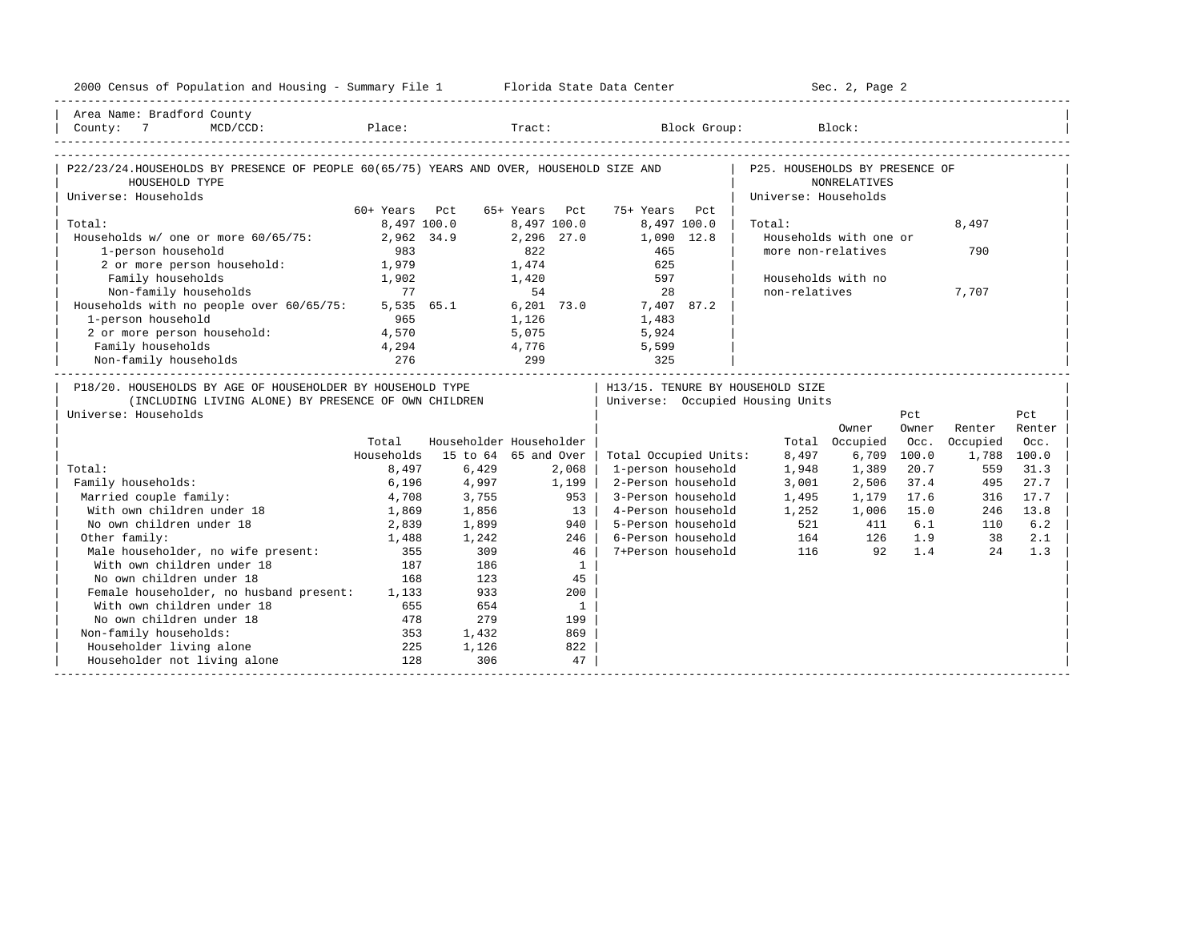| 2000 Census of Population and Housing - Summary File 1 Florida State Data Center                                                           |               |              |                         |                                                                      |                                                        | Sec. 2, Page 2         |             |                                    |             |
|--------------------------------------------------------------------------------------------------------------------------------------------|---------------|--------------|-------------------------|----------------------------------------------------------------------|--------------------------------------------------------|------------------------|-------------|------------------------------------|-------------|
| Area Name: Bradford County<br>County: 7                                                                                                    |               |              |                         | MCD/CCD: Place: Tract: Block Group:                                  |                                                        | Block:                 |             |                                    |             |
| P22/23/24.HOUSEHOLDS BY PRESENCE OF PEOPLE 60(65/75) YEARS AND OVER, HOUSEHOLD SIZE AND<br>HOUSEHOLD TYPE<br>Universe: Households          |               |              |                         |                                                                      | P25. HOUSEHOLDS BY PRESENCE OF<br>Universe: Households | <b>NONRELATIVES</b>    |             |                                    |             |
|                                                                                                                                            | 60+ Years Pct |              | 65+ Years Pct           | 75+ Years Pct                                                        |                                                        |                        |             |                                    |             |
| Total:                                                                                                                                     |               | 8,497 100.0  | 8,497 100.0             | 8,497 100.0                                                          | Total:                                                 |                        |             | 8,497                              |             |
| Households w/ one or more 60/65/75:                                                                                                        |               | 2,962 34.9   | 2,296 27.0              | $1,090$ $12.8$                                                       |                                                        | Households with one or |             |                                    |             |
| 1-person household                                                                                                                         | 983           |              | 822                     | 465                                                                  |                                                        | more non-relatives     |             | 790                                |             |
| 2 or more person household:                                                                                                                | 1,979         |              | 1,474                   | 625                                                                  |                                                        |                        |             |                                    |             |
| Family households                                                                                                                          | 1,902         |              | 1,420                   | 597                                                                  |                                                        | Households with no     |             |                                    |             |
| Non-family households                                                                                                                      | 77            |              | 54                      | 28                                                                   | non-relatives                                          |                        |             | 7,707                              |             |
| Households with no people over 60/65/75:                                                                                                   |               | 5,535 65.1   | $6,201$ 73.0            | 7,407 87.2                                                           |                                                        |                        |             |                                    |             |
| 1-person household                                                                                                                         | 965           |              | 1,126                   | 1,483                                                                |                                                        |                        |             |                                    |             |
| 2 or more person household:                                                                                                                | 4,570         |              | 5,075                   | 5,924                                                                |                                                        |                        |             |                                    |             |
| Family households                                                                                                                          | 4,294         |              | 4,776                   | 5,599                                                                |                                                        |                        |             |                                    |             |
| Non-family households                                                                                                                      | 276           | 299          |                         | 325                                                                  |                                                        |                        |             | __________________________________ |             |
| P18/20. HOUSEHOLDS BY AGE OF HOUSEHOLDER BY HOUSEHOLD TYPE<br>(INCLUDING LIVING ALONE) BY PRESENCE OF OWN CHILDREN<br>Universe: Households |               |              |                         | H13/15. TENURE BY HOUSEHOLD SIZE<br>Universe: Occupied Housing Units |                                                        |                        | Pct         |                                    | Pct         |
|                                                                                                                                            |               |              |                         |                                                                      |                                                        | Owner                  | Owner       | Renter                             | Renter      |
|                                                                                                                                            | Total         |              | Householder Householder |                                                                      |                                                        | Total Occupied         | Occ.        | Occupied                           | Occ.        |
|                                                                                                                                            | Households    |              | 15 to 64 65 and Over    | Total Occupied Units:                                                | 8,497                                                  | 6,709                  | 100.0       | 1,788 100.0                        |             |
| Total:                                                                                                                                     | 8,497         | 6,429        | 2,068                   |                                                                      |                                                        |                        | 20.7        |                                    |             |
| Family households:                                                                                                                         |               |              |                         |                                                                      |                                                        |                        |             |                                    |             |
|                                                                                                                                            |               |              |                         | 1-person household                                                   | 1,948                                                  | 1,389                  |             | 559                                | 31.3        |
|                                                                                                                                            | 6,196         | 4,997        | 1,199                   | 2-Person household                                                   | 3,001                                                  | 2,506                  | 37.4        | 495                                | 27.7        |
| Married couple family:                                                                                                                     | 4,708         | 3,755        | 953                     | 3-Person household                                                   | 1,495                                                  | 1,179                  | 17.6        | 316                                | 17.7        |
| With own children under 18<br>No own children under 18                                                                                     | 1,869         | 1,856        | 13 <sup>1</sup><br>940  | 4-Person household<br>5-Person household                             | 1,252<br>521                                           | 1,006<br>411           | 15.0<br>6.1 | 246<br>110                         | 13.8<br>6.2 |
|                                                                                                                                            | 2,839         | 1,899        | 246                     | 6-Person household                                                   |                                                        | 126                    | 1.9         | 38                                 | 2.1         |
| Other family:                                                                                                                              | 1,488<br>355  | 1,242<br>309 | 46                      | 7+Person household                                                   | 116                                                    | 164<br>92              | 1.4         | 2.4                                | 1.3         |
|                                                                                                                                            | 187           | 186          |                         |                                                                      |                                                        |                        |             |                                    |             |
| )ther family.<br>Male householder, no wife present:<br>Alexander 18<br>No own children under 18                                            | 168           | 123          | $\mathbf{1}$<br>45      |                                                                      |                                                        |                        |             |                                    |             |
|                                                                                                                                            |               | 933          | 200                     |                                                                      |                                                        |                        |             |                                    |             |
| Female householder, no husband present: 1,133<br>With own children under 18                                                                | 655           | 654          | $\mathbf{1}$            |                                                                      |                                                        |                        |             |                                    |             |
| No own children under 18                                                                                                                   | 478           | 279          | 199                     |                                                                      |                                                        |                        |             |                                    |             |
|                                                                                                                                            | 353           | 1,432        | 869                     |                                                                      |                                                        |                        |             |                                    |             |
| Non-family households:                                                                                                                     | 225           | 1,126        | 822                     |                                                                      |                                                        |                        |             |                                    |             |
| Householder living alone<br>Householder not living alone                                                                                   | 128           | 306          | 47                      |                                                                      |                                                        |                        |             |                                    |             |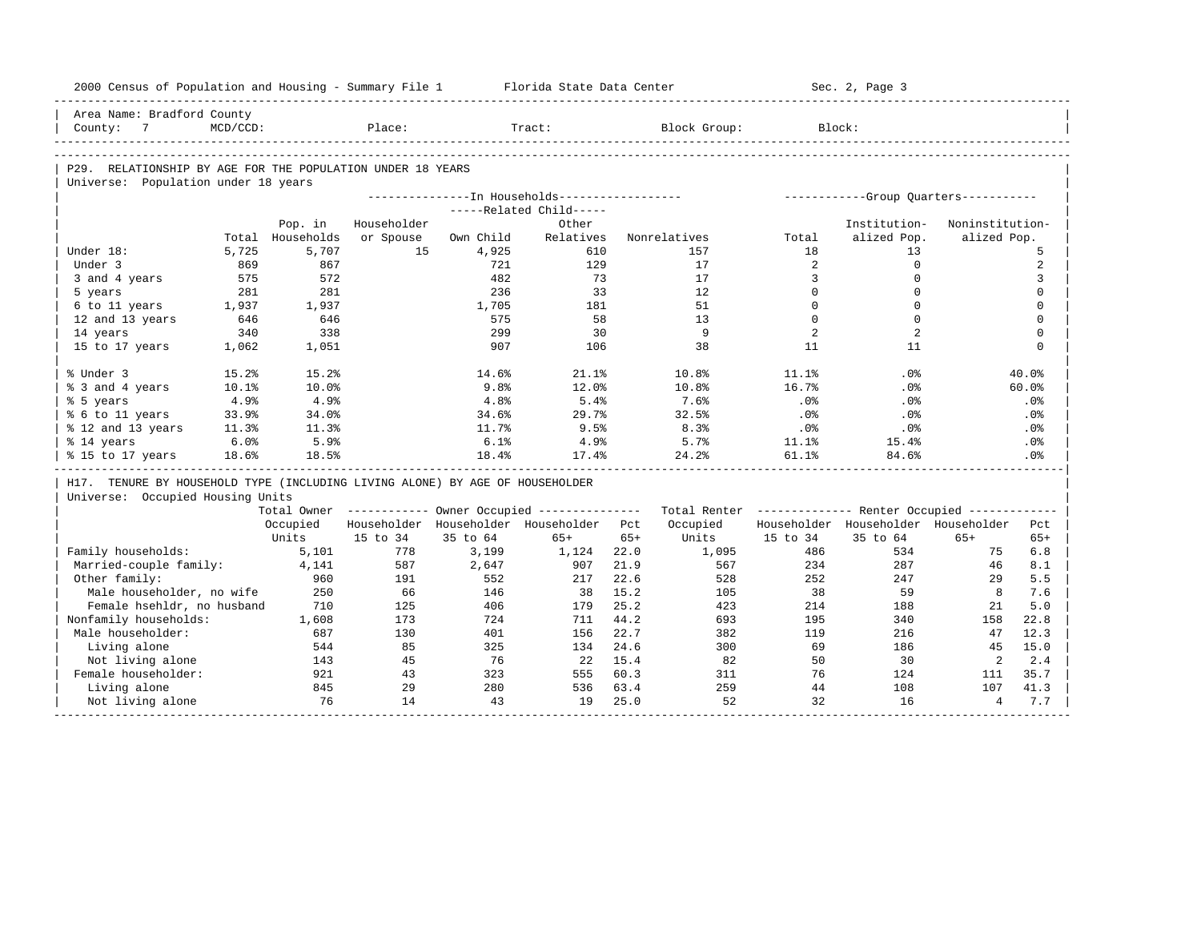|            | 2000 Census of Population and Housing - Summary File 1                       |             |            |             |           | Florida State Data Center                             |              |                                                         |             | Sec. 2, Page 3                       |                 |                      |
|------------|------------------------------------------------------------------------------|-------------|------------|-------------|-----------|-------------------------------------------------------|--------------|---------------------------------------------------------|-------------|--------------------------------------|-----------------|----------------------|
|            | Area Name: Bradford County                                                   |             |            | Place:      |           |                                                       |              |                                                         | Block:      |                                      |                 |                      |
|            | County: 7                                                                    | $MCD/CCD$ : |            |             |           | Tract:                                                |              | Block Group:                                            |             |                                      |                 |                      |
|            |                                                                              |             |            |             |           |                                                       |              |                                                         |             |                                      |                 |                      |
|            | P29. RELATIONSHIP BY AGE FOR THE POPULATION UNDER 18 YEARS                   |             |            |             |           |                                                       |              |                                                         |             |                                      |                 |                      |
|            | Universe: Population under 18 years                                          |             |            |             |           | ---------------In Households-----------------         |              |                                                         |             |                                      |                 |                      |
|            |                                                                              |             |            |             |           | -----Related Child-----                               |              |                                                         |             | -----------Group Ouarters----------- |                 |                      |
|            |                                                                              |             | Pop. in    | Householder |           | Other                                                 |              |                                                         |             | Institution-                         | Noninstitution- |                      |
|            |                                                                              | Total       | Households | or Spouse   | Own Child | Relatives                                             |              | Nonrelatives                                            | Total       | alized Pop.                          | alized Pop.     |                      |
| Under 18:  |                                                                              | 5,725       | 5,707      | 15          | 4,925     | 610                                                   |              | 157                                                     | 18          | 13                                   |                 | 5                    |
| Under 3    |                                                                              | 869         | 867        |             | 721       | 129                                                   |              | 17                                                      | 2           | $\mathbf 0$                          |                 | 2                    |
|            | 3 and 4 years                                                                | 575         | 572        |             | 482       | 73                                                    |              | 17                                                      | 3           | $\mathbf 0$                          |                 | 3                    |
| 5 years    |                                                                              | 281         | 281        |             | 236       | 33                                                    |              | 12                                                      | $\Omega$    | $\Omega$                             |                 | $\mathbf 0$          |
|            | 6 to 11 years                                                                | 1,937       | 1,937      |             | 1,705     | 181                                                   |              | 51                                                      | $\mathbf 0$ | $\mathbf 0$                          |                 | $\mathbf 0$          |
|            | 12 and 13 years                                                              | 646         | 646        |             | 575       | 58                                                    |              | 13                                                      | $\Omega$    | $\Omega$                             |                 | $\mathbf 0$          |
| 14 years   |                                                                              | 340         | 338        |             | 299       | 30                                                    |              | $\mathbf{Q}$                                            | 2           | 2                                    |                 | $\Omega$             |
|            | 15 to 17 years                                                               | 1,062       | 1,051      |             | 907       | 106                                                   |              | 38                                                      | 11          | 11                                   |                 | $\Omega$             |
| % Under 3  |                                                                              | 15.2%       | 15.2%      |             | 14.6%     | 21.1%                                                 |              | 10.8%                                                   | 11.1%       | .0%                                  |                 | 40.0%                |
|            | % 3 and 4 years                                                              | 10.1%       | 10.0%      |             | 9.8%      | 12.0%                                                 |              | 10.8%                                                   | 16.7%       | $.0\%$                               |                 | $60.0$ <sup>\$</sup> |
| % 5 years  |                                                                              | 4.9%        | 4.9%       |             | 4.8%      | 5.4%                                                  |              | 7.6%                                                    | .0%         | .0%                                  |                 | .0%                  |
|            | % 6 to 11 years                                                              | 33.9%       | 34.0%      |             | 34.6%     | 29.7%                                                 |              | 32.5%                                                   | .0%         | $.0\%$                               |                 | $.0\%$               |
|            | % 12 and 13 years                                                            | 11.3%       | 11.3%      |             | 11.7%     | 9.5%                                                  |              | 8.3%                                                    | .0%         | .0%                                  |                 | .0%                  |
| % 14 years |                                                                              | 6.0%        | 5.9%       |             | 6.1%      | 4.9%                                                  |              | 5.7%                                                    | 11.1%       | 15.4%                                |                 | $.0\%$               |
|            | % 15 to 17 years                                                             | 18.6%       | 18.5%      |             | 18.4%     | 17.4%                                                 |              | 24.2%                                                   | 61.1%       | 84.6%                                |                 | .0%                  |
|            | H17. TENURE BY HOUSEHOLD TYPE (INCLUDING LIVING ALONE) BY AGE OF HOUSEHOLDER |             |            |             |           |                                                       |              |                                                         |             |                                      |                 |                      |
|            |                                                                              |             |            |             |           |                                                       |              |                                                         |             |                                      |                 |                      |
|            | Universe: Occupied Housing Units                                             |             |            |             |           |                                                       |              |                                                         |             |                                      |                 |                      |
|            |                                                                              |             |            |             |           | Total Owner ----------- Owner Occupied -------------- |              | Total Renter ------------- Renter Occupied ------------ |             |                                      |                 |                      |
|            |                                                                              |             | Occupied   |             |           | Householder Householder Householder Pct               |              | Occupied                                                |             | Householder Householder Householder  |                 | Pct                  |
|            |                                                                              |             | Units      | 15 to 34    | 35 to 64  | $65+$                                                 | $65+$        | Units                                                   | 15 to 34    | 35 to 64                             | $65+$           | $65+$                |
|            | Family households:                                                           |             | 5,101      | 778         | 3,199     | 1,124                                                 | 22.0         | 1,095                                                   | 486         | 534                                  | 75              | 6.8                  |
|            | Married-couple family:                                                       |             | 4,141      | 587         | 2,647     | 907                                                   | 21.9         | 567                                                     | 234         | 287                                  | 46              | 8.1                  |
|            | Other family:                                                                |             | 960        | 191         | 552       | 217                                                   | 22.6         | 528                                                     | 252         | 247                                  | 29              | 5.5                  |
|            | Male householder, no wife                                                    |             | 250        | 66          | 146       | 38                                                    | 15.2         | 105                                                     | 38          | 59                                   | 8               | 7.6                  |
|            | Female hsehldr, no husband                                                   |             | 710        | 125         | 406       | 179                                                   | 25.2         | 423                                                     | 214         | 188                                  | 21              | 5.0                  |
|            | Nonfamily households:                                                        |             | 1,608      | 173         | 724       | 711                                                   | 44.2         | 693                                                     | 195         | 340                                  | 158             | 22.8                 |
|            | Male householder:                                                            |             | 687        | 130         | 401       | 156                                                   | 22.7         | 382                                                     | 119         | 216                                  | 47              | 12.3                 |
|            | Living alone                                                                 |             | 544        | 85          | 325       | 134                                                   | 24.6         | 300                                                     | 69          | 186                                  | 45              | 15.0                 |
|            | Not living alone                                                             |             | 143<br>921 | 45<br>43    | 76<br>323 | 22<br>555                                             | 15.4<br>60.3 | 82<br>311                                               | 50<br>76    | 30<br>124                            | 2<br>111        | 2.4<br>35.7          |
|            | Female householder:<br>Living alone                                          |             | 845        | 29          | 280       | 536                                                   | 63.4         | 259                                                     | 44          | 108                                  | 107             | 41.3                 |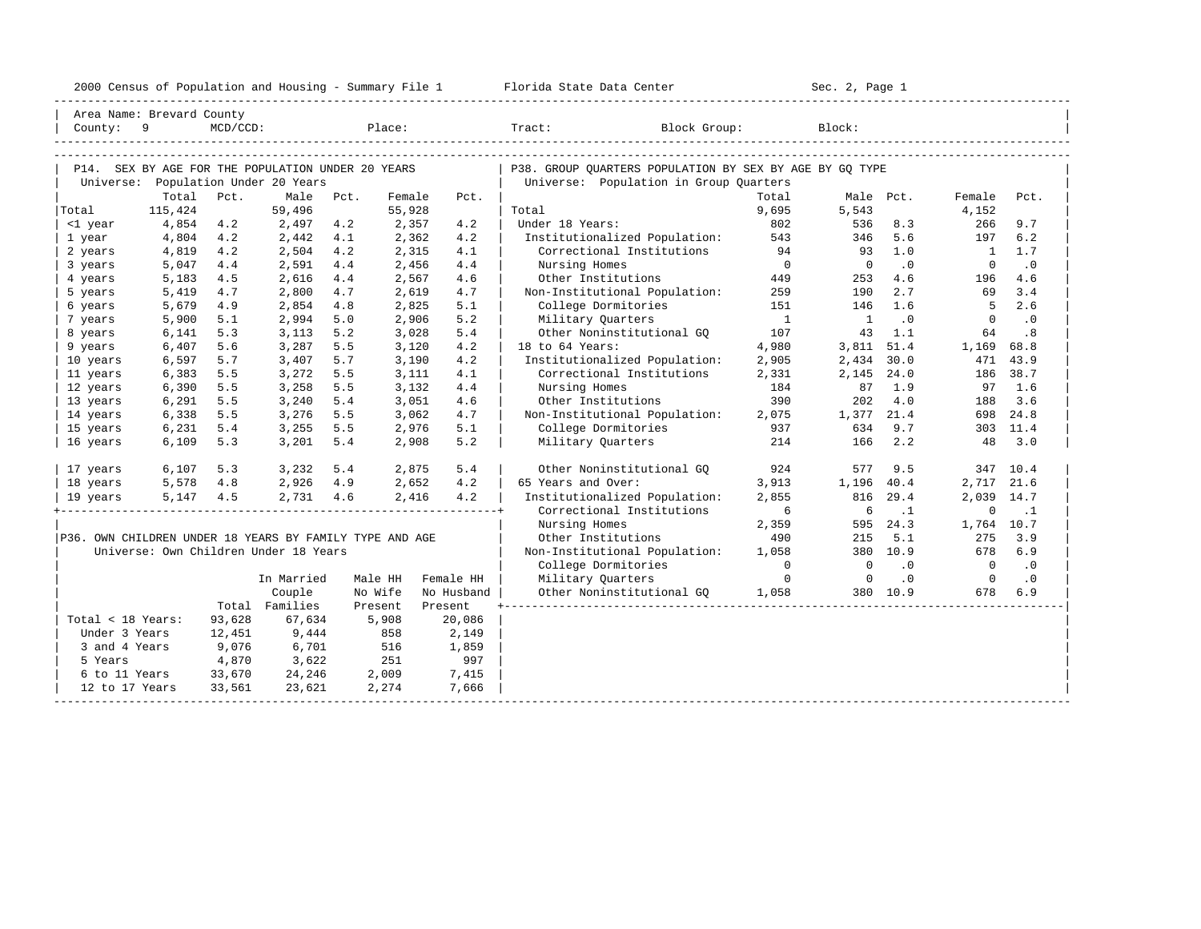|  |  |  |  |  |  |  | 2000 Census of Population and Housing - Summary File 1 |  |  |  |  |  |
|--|--|--|--|--|--|--|--------------------------------------------------------|--|--|--|--|--|
|--|--|--|--|--|--|--|--------------------------------------------------------|--|--|--|--|--|

| Area Name: Brevard County                               |            |             |                                                   |        |         |            |                                                         |                |                |           |                |           |
|---------------------------------------------------------|------------|-------------|---------------------------------------------------|--------|---------|------------|---------------------------------------------------------|----------------|----------------|-----------|----------------|-----------|
| County: 9                                               |            | $MCD/CCD$ : |                                                   | Place: |         |            | Tract:<br>Block Group:                                  |                | Block:         |           |                |           |
|                                                         |            |             |                                                   |        |         |            |                                                         |                |                |           |                |           |
|                                                         |            |             | P14. SEX BY AGE FOR THE POPULATION UNDER 20 YEARS |        |         |            | P38. GROUP OUARTERS POPULATION BY SEX BY AGE BY GO TYPE |                |                |           |                |           |
|                                                         |            |             | Universe: Population Under 20 Years               |        |         |            | Universe: Population in Group Quarters                  |                |                |           |                |           |
|                                                         | Total      | Pct.        | Male                                              | Pct.   | Female  | Pct.       |                                                         | Total          | Male Pct.      |           | Female         | Pct.      |
| Total                                                   | 115,424    |             | 59,496                                            |        | 55,928  |            | Total                                                   | 9,695          | 5,543          |           | 4,152          |           |
| <1 year                                                 | 4,854      | 4.2         | 2,497                                             | 4.2    | 2,357   | 4.2        | Under 18 Years:                                         | 802            | 536            | 8.3       | 266            | 9.7       |
| 1 year                                                  | 4,804      | 4.2         | 2,442                                             | 4.1    | 2,362   | 4.2        | Institutionalized Population:                           | 543            | 346            | 5.6       | 197            | 6.2       |
| 2 years                                                 | 4,819      | 4.2         | 2,504                                             | 4.2    | 2,315   | 4.1        | Correctional Institutions                               | 94             | 93             | 1.0       | $\mathbf{1}$   | 1.7       |
| 3 years                                                 | 5,047      | 4.4         | 2,591                                             | 4.4    | 2,456   | 4.4        | Nursing Homes                                           | $\overline{0}$ | $\Omega$       | $\cdot$ 0 | $\Omega$       | $\cdot$ 0 |
| 4 years                                                 | 5,183      | 4.5         | 2,616                                             | 4.4    | 2,567   | 4.6        | Other Institutions                                      | 449            | 253            | 4.6       | 196            | 4.6       |
| 5 years                                                 | 5,419      | 4.7         | 2,800                                             | 4.7    | 2,619   | 4.7        | Non-Institutional Population:                           | 259            | 190            | 2.7       | 69             | 3.4       |
| 6 years                                                 | 5,679      | 4.9         | 2,854                                             | 4.8    | 2,825   | 5.1        | College Dormitories                                     | 151            | 146            | 1.6       | 5              | 2.6       |
| 7 years                                                 | 5,900      | 5.1         | 2,994                                             | 5.0    | 2,906   | 5.2        | Military Quarters                                       | $\overline{1}$ | $\mathbf{1}$   | $\cdot$ 0 | $\Omega$       | $\cdot$ 0 |
| 8 years                                                 | 6,141      | 5.3         | 3,113                                             | 5.2    | 3,028   | 5.4        | Other Noninstitutional GO                               | 107            | 43             | 1.1       | 64             | .8        |
| 9 years                                                 | 6,407      | 5.6         | 3,287                                             | 5.5    | 3,120   | 4.2        | 18 to 64 Years:                                         | 4,980          | 3,811 51.4     |           | 1,169          | 68.8      |
| 10 years                                                | 6,597      | 5.7         | 3,407                                             | 5.7    | 3,190   | 4.2        | Institutionalized Population:                           | 2,905          | 2,434 30.0     |           | 471            | 43.9      |
| 11 years                                                | 6,383      | 5.5         | 3,272                                             | 5.5    | 3,111   | 4.1        | Correctional Institutions                               | 2,331          | 2,145          | 24.0      | 186            | 38.7      |
| 12 years                                                | 6,390      | 5.5         | 3,258                                             | 5.5    | 3,132   | 4.4        | Nursing Homes                                           | 184            | 87             | 1.9       | 97             | 1.6       |
| 13 years                                                | 6,291      | 5.5         | 3,240                                             | 5.4    | 3,051   | 4.6        | Other Institutions                                      | 390            | 202            | 4.0       | 188            | 3.6       |
| 14 years                                                | 6,338      | 5.5         | 3,276                                             | 5.5    | 3,062   | 4.7        | Non-Institutional Population:                           | 2,075          | 1,377 21.4     |           | 698            | 24.8      |
| 15 years                                                | 6,231      | 5.4         | 3,255                                             | 5.5    | 2,976   | 5.1        | College Dormitories                                     | 937            | 634            | 9.7       |                | 303 11.4  |
| 16 years                                                | 6,109      | 5.3         | 3,201                                             | 5.4    | 2,908   | 5.2        | Military Quarters                                       | 214            | 166            | 2.2       | 48             | 3.0       |
| 17 years                                                | 6,107      | 5.3         | 3,232                                             | 5.4    | 2,875   | 5.4        | Other Noninstitutional GQ                               | 924            | 577            | 9.5       | 347            | 10.4      |
| 18 years                                                | 5,578 4.8  |             | 2,926 4.9                                         |        | 2,652   | 4.2        | 65 Years and Over:                                      | 3,913          | 1,196          | 40.4      | 2,717          | 21.6      |
| 19 years                                                | 5, 147 4.5 |             | 2,731 4.6                                         |        | 2,416   | 4.2        | Institutionalized Population:                           | 2,855          | 816            | 29.4      | 2,039          | 14.7      |
|                                                         |            |             |                                                   |        |         |            | Correctional Institutions                               | 6              | 6              | $\cdot$ 1 | $\mathbf 0$    | $\cdot$ 1 |
|                                                         |            |             |                                                   |        |         |            | Nursing Homes                                           | 2,359          |                | 595 24.3  | 1,764 10.7     |           |
| P36. OWN CHILDREN UNDER 18 YEARS BY FAMILY TYPE AND AGE |            |             |                                                   |        |         |            | Other Institutions                                      | 490            | 215            | 5.1       | 275            | 3.9       |
|                                                         |            |             | Universe: Own Children Under 18 Years             |        |         |            | Non-Institutional Population:                           | 1,058          |                | 380 10.9  | 678            | 6.9       |
|                                                         |            |             |                                                   |        |         |            | College Dormitories                                     | $\Omega$       | $\overline{0}$ | $\cdot$ 0 | $\overline{0}$ | $\cdot$ 0 |
|                                                         |            |             | In Married                                        |        | Male HH | Female HH  | Military Quarters                                       | $\Omega$       | $\overline{0}$ | $\cdot$ 0 | $\overline{0}$ | $\cdot$ 0 |
|                                                         |            |             | Couple                                            |        | No Wife | No Husband | Other Noninstitutional GO                               | 1,058          |                | 380 10.9  | 678            | 6.9       |
|                                                         |            |             | Total Families                                    |        | Present | Present    |                                                         |                |                |           |                |           |
| Total < 18 Years:                                       |            | 93,628      | 67,634                                            |        | 5,908   | 20,086     |                                                         |                |                |           |                |           |
| Under 3 Years                                           |            | 12,451      | 9,444                                             |        | 858     | 2,149      |                                                         |                |                |           |                |           |
| 3 and 4 Years                                           |            | 9,076       | 6,701                                             |        | 516     | 1,859      |                                                         |                |                |           |                |           |
| 5 Years                                                 |            | 4,870       | 3,622                                             |        | 251     | 997        |                                                         |                |                |           |                |           |
| 6 to 11 Years                                           |            | 33,670      | 24,246                                            |        | 2,009   | 7,415      |                                                         |                |                |           |                |           |
| 12 to 17 Years                                          |            | 33,561      | 23,621                                            |        | 2,274   | 7,666      |                                                         |                |                |           |                |           |
|                                                         |            |             |                                                   |        |         |            |                                                         |                |                |           |                |           |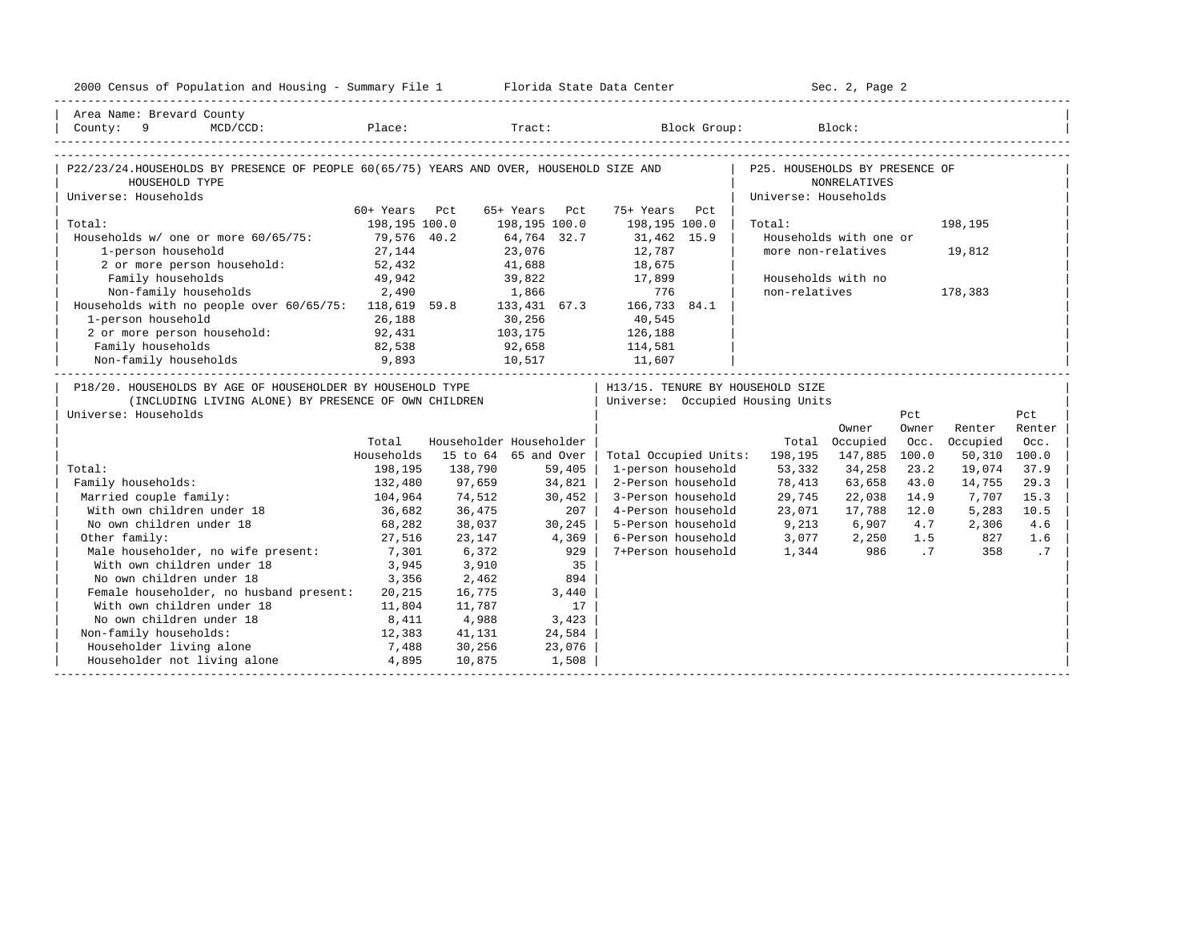| 2000 Census of Population and Housing - Summary File 1 Florida State Data Center                                                           |               |         |                         |                                   | Sec. 2, Page 2                  |                        |                |               |        |
|--------------------------------------------------------------------------------------------------------------------------------------------|---------------|---------|-------------------------|-----------------------------------|---------------------------------|------------------------|----------------|---------------|--------|
| Area Name: Brevard County                                                                                                                  |               |         |                         |                                   |                                 |                        |                |               |        |
| County: 9 MCD/CCD:                                                                                                                         |               |         |                         | Place: Tract: Block Group: Block: |                                 |                        |                |               |        |
|                                                                                                                                            |               |         |                         |                                   |                                 |                        |                |               |        |
| P22/23/24.HOUSEHOLDS BY PRESENCE OF PEOPLE 60(65/75) YEARS AND OVER, HOUSEHOLD SIZE AND   P25. HOUSEHOLDS BY PRESENCE OF<br>HOUSEHOLD TYPE |               |         |                         |                                   |                                 | <b>NONRELATIVES</b>    |                |               |        |
| Universe: Households                                                                                                                       |               |         |                         |                                   | Universe: Households            |                        |                |               |        |
|                                                                                                                                            | 60+ Years Pct |         | 65+ Years Pct           | 75+ Years Pct                     |                                 |                        |                |               |        |
| Total:                                                                                                                                     | 198,195 100.0 |         | 198,195 100.0           | 198,195 100.0                     | Total:                          |                        |                | 198,195       |        |
| Households w/ one or more 60/65/75: 79,576 40.2                                                                                            |               |         |                         | 64,764 32.7 31,462 15.9           |                                 | Households with one or |                |               |        |
| 1-person household                                                                                                                         | 27,144        |         | 23,076<br>41,688        | 12,787                            |                                 | more non-relatives     |                | 19,812        |        |
| 2 or more person household:                                                                                                                | 52,432        |         |                         | 18,675                            |                                 |                        |                |               |        |
| Family households                                                                                                                          | 49,942        |         | 39,822 17,899           |                                   |                                 | Households with no     |                |               |        |
| Non-family households 2,490 1,866 776<br>Households with no people over 60/65/75: 118,619 59.8 133,431 67.3 166,733 84.1                   |               |         |                         |                                   | non-relatives                   |                        |                | 178,383       |        |
|                                                                                                                                            |               |         |                         |                                   |                                 |                        |                |               |        |
| 1-person household                                                                                                                         | 26,188        |         | $30,256$ $40,545$       |                                   |                                 |                        |                |               |        |
| 2 or more person household: 92,431                                                                                                         |               |         | 103,175 126,188         |                                   |                                 |                        |                |               |        |
|                                                                                                                                            |               |         |                         | 114,581                           |                                 |                        |                |               |        |
| Family households<br>Non-family households<br>9,893<br>10,517<br>9,893<br>10,517                                                           |               |         |                         | 11,607                            |                                 |                        |                |               |        |
| P18/20. HOUSEHOLDS BY AGE OF HOUSEHOLDER BY HOUSEHOLD TYPE                                                                                 |               |         |                         | H13/15. TENURE BY HOUSEHOLD SIZE  |                                 |                        |                |               |        |
| (INCLUDING LIVING ALONE) BY PRESENCE OF OWN CHILDREN                                                                                       |               |         |                         | Universe: Occupied Housing Units  |                                 |                        |                |               |        |
| Universe: Households                                                                                                                       |               |         |                         |                                   |                                 |                        | Pct            |               | Pct    |
|                                                                                                                                            |               |         |                         |                                   |                                 | Owner                  | Owner          | Renter        | Renter |
|                                                                                                                                            | Total         |         | Householder Householder |                                   |                                 | Total Occupied         |                | Occ. Occupied | Occ.   |
|                                                                                                                                            | Households    |         | 15 to 64 65 and Over    | Total Occupied Units: 198,195     |                                 | 147,885                | 100.0          | 50,310 100.0  |        |
| Total:                                                                                                                                     | 198,195       | 138,790 | 59,405                  | 1-person household                | 53,332                          | 34,258                 | 23.2           | 19,074        | 37.9   |
| Family households:                                                                                                                         | 132,480       | 97,659  | 34,821                  | 2-Person household                | 78,413                          | 63,658                 | 43.0           | 14,755        | 29.3   |
| Married couple family:                                                                                                                     | 104,964       | 74,512  | 30,452                  | 3-Person household                | 29,745                          | 22,038                 | 14.9           | 7,707         | 15.3   |
| With own children under 18                                                                                                                 | 36,682        | 36,475  | 207                     | 4-Person household                | 23,071                          | 17,788                 | 12.0           | 5,283         | 10.5   |
| No own children under 18                                                                                                                   | 68,282        | 38,037  | 30,245                  | 5-Person household                | 9,213                           | 6,907                  | 4.7            | 2,306         | 4.6    |
| Other family:                                                                                                                              | 27,516        | 23,147  | 4,369                   | 6-Person household                | 3,077 2,250 1.5<br>1,344 986 .7 |                        |                | 827           | 1.6    |
| Male householder, no wife present: 7,301                                                                                                   |               | 6,372   | 929                     | 7+Person household                |                                 |                        | $\overline{7}$ | 358           | .7     |
| With own children under 18                                                                                                                 | 3,945         | 3,910   | 35                      |                                   |                                 |                        |                |               |        |
| No own children under 18                                                                                                                   | 3,356         | 2,462   | 894                     |                                   |                                 |                        |                |               |        |
| Female householder, no husband present: 20,215                                                                                             |               | 16,775  | 3,440                   |                                   |                                 |                        |                |               |        |
| With own children under 18                                                                                                                 | 11,804        | 11,787  | 17                      |                                   |                                 |                        |                |               |        |
| No own children under 18<br>8,411                                                                                                          |               | 4,988   | 3,423                   |                                   |                                 |                        |                |               |        |
| Non-family households:                                                                                                                     | 12,383        | 41,131  | 24,584                  |                                   |                                 |                        |                |               |        |
| Householder living alone                                                                                                                   | 7,488         | 30,256  | 23,076                  |                                   |                                 |                        |                |               |        |
| Householder not living alone 5 1,895                                                                                                       |               | 10,875  | 1,508                   |                                   |                                 |                        |                |               |        |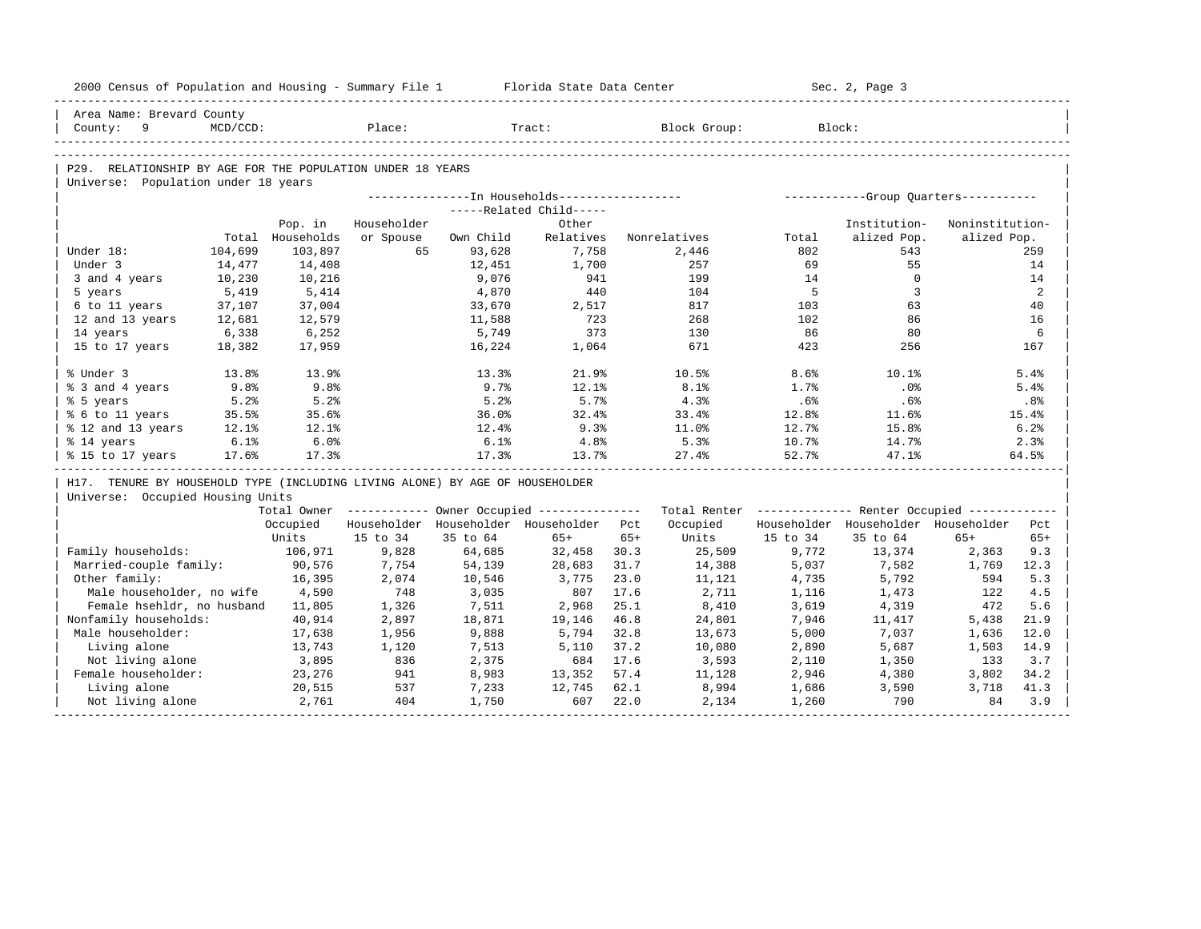| 2000 Census of Population and Housing - Summary File 1 Florida State Data Center |          |                             |                          |                                                        |                         |       |                                                         |          | Sec. 2, Page 3                      |                                |       |
|----------------------------------------------------------------------------------|----------|-----------------------------|--------------------------|--------------------------------------------------------|-------------------------|-------|---------------------------------------------------------|----------|-------------------------------------|--------------------------------|-------|
| Area Name: Brevard County                                                        |          |                             |                          |                                                        |                         |       |                                                         |          |                                     |                                |       |
| County: 9                                                                        | MCD/CCD: |                             | Place:                   |                                                        | Tract:                  |       | Block Group:                                            |          | Block:                              |                                |       |
|                                                                                  |          |                             |                          |                                                        |                         |       |                                                         |          |                                     |                                |       |
| P29. RELATIONSHIP BY AGE FOR THE POPULATION UNDER 18 YEARS                       |          |                             |                          |                                                        |                         |       |                                                         |          |                                     |                                |       |
| Universe: Population under 18 years                                              |          |                             |                          |                                                        |                         |       |                                                         |          |                                     |                                |       |
|                                                                                  |          |                             |                          |                                                        |                         |       |                                                         |          |                                     |                                |       |
|                                                                                  |          |                             |                          |                                                        | -----Related Child----- |       |                                                         |          |                                     |                                |       |
|                                                                                  |          | Pop. in<br>Total Households | Householder<br>or Spouse | Own Child                                              | Other<br>Relatives      |       | Nonrelatives                                            | Total    | Institution-<br>alized Pop.         | Noninstitution-<br>alized Pop. |       |
| Under 18:                                                                        | 104,699  | 103,897                     | 65                       | 93,628                                                 | 7,758                   |       | 2,446                                                   | 802      | 543                                 |                                | 259   |
| Under 3                                                                          | 14,477   | 14,408                      |                          | 12,451                                                 | 1,700                   |       | 257                                                     | 69       | 55                                  |                                | 14    |
| 3 and 4 years                                                                    | 10,230   |                             |                          | 9,076                                                  | 941                     |       | 199                                                     | 14       | $\Omega$                            |                                | 14    |
| 5 years                                                                          | 5,419    | 10,216<br>5,414             |                          | 4,870                                                  | 440                     |       | 104                                                     | $-5$     | $\overline{3}$                      |                                | 2     |
| 6 to 11 years                                                                    | 37,107   | 37,004                      |                          | 33,670                                                 | 2,517                   |       | 817                                                     | 103      | 63                                  |                                | 40    |
| 12 and 13 years                                                                  | 12,681   | 12,579                      |                          | 11,588                                                 | 723                     |       | 268                                                     | 102      | 86                                  |                                | 16    |
| 14 years                                                                         | 6,338    | 6,252                       |                          | 5,749                                                  | 373                     |       | 130                                                     | 86       | 80                                  |                                | 6     |
| 15 to 17 years                                                                   | 18,382   | 17,959                      |                          | 16,224                                                 | 1,064                   |       | 671                                                     | 423      | 256                                 |                                | 167   |
|                                                                                  |          |                             |                          |                                                        |                         |       |                                                         |          |                                     |                                |       |
| % Under 3                                                                        | 13.8%    | 13.9%                       |                          | 13.3%                                                  | 21.9%                   |       | 10.5%                                                   | 8.6%     | 10.1%                               |                                | 5.4%  |
| % 3 and 4 years                                                                  | 9.8%     | 9.8%                        |                          | 9.7%                                                   | 12.1%                   |       | 8.1%                                                    | 1.7%     | $.0\%$                              |                                | 5.4%  |
| % 5 years                                                                        | 5.2%     | 5.2%                        |                          | 5.2%                                                   | 5.7%                    |       | 4.3%                                                    | .6%      | .6%                                 |                                | .8%   |
| % 6 to 11 years                                                                  | 35.5%    | 35.6%                       |                          | 36.0%                                                  | 32.4%                   |       | 33.4%                                                   | 12.8%    | 11.6%                               |                                | 15.4% |
| % 12 and 13 years                                                                | 12.1%    | $12.1$ $%$                  |                          | 12.4%                                                  | 9.3%                    |       | 11.0%                                                   | 12.7%    | 15.8%                               |                                | 6.2%  |
| % 14 years                                                                       | 6.1%     | 6.0%                        |                          | 6.1%                                                   | 4.8%                    |       | 5.3%                                                    | 10.7%    | 14.7%                               |                                | 2.3%  |
| % 15 to 17 years                                                                 | 17.6%    | 17.3%                       |                          | 17.3%                                                  | 13.7%                   |       | 27.4%                                                   | 52.7%    | 47.1%                               |                                | 64.5% |
| H17. TENURE BY HOUSEHOLD TYPE (INCLUDING LIVING ALONE) BY AGE OF HOUSEHOLDER     |          |                             |                          |                                                        |                         |       |                                                         |          |                                     |                                |       |
| Universe: Occupied Housing Units                                                 |          |                             |                          |                                                        |                         |       |                                                         |          |                                     |                                |       |
|                                                                                  |          |                             |                          | Total Owner ------------ Owner Occupied -------------- |                         |       | Total Renter ------------- Renter Occupied ------------ |          |                                     |                                |       |
|                                                                                  |          | Occupied                    |                          | Householder Householder Householder Pct                |                         |       | Occupied                                                |          | Householder Householder Householder |                                | Pct   |
|                                                                                  |          | Units                       | 15 to 34                 | 35 to 64                                               | $65+$                   | $65+$ | Units                                                   | 15 to 34 | 35 to 64                            | $65+$                          | $65+$ |
| Family households:                                                               |          | 106,971                     | 9,828                    | 64,685                                                 | 32,458 30.3             |       | 25,509                                                  | 9,772    | 13,374                              | 2,363                          | 9.3   |
| Married-couple family:                                                           |          | 90,576                      | 7,754                    | 54,139                                                 | 28,683                  | 31.7  | 14,388                                                  | 5,037    | 7,582                               | 1,769                          | 12.3  |
| Other family:                                                                    |          | 16,395                      | 2,074                    | 10,546                                                 | 3,775                   | 23.0  | 11,121                                                  | 4,735    | 5,792                               | 594                            | 5.3   |
| Male householder, no wife 4,590                                                  |          |                             | 748                      | 3,035                                                  | 807                     | 17.6  | 2,711                                                   | 1,116    | 1,473                               | 122                            | 4.5   |
| Female hsehldr, no husband 11,805                                                |          |                             | 1,326                    | 7,511                                                  | 2,968                   | 25.1  | 8,410                                                   | 3,619    | 4,319                               | 472                            | 5.6   |
| Nonfamily households:                                                            |          | 40,914                      | 2,897                    | 18,871                                                 | 19,146                  | 46.8  | 24,801                                                  | 7,946    | 11,417                              | 5,438                          | 21.9  |
| Male householder:                                                                |          | 17,638                      | 1,956                    | 9,888                                                  | 5,794                   | 32.8  | 13,673                                                  | 5,000    | 7,037                               | 1,636                          | 12.0  |
| Living alone                                                                     |          | 13,743                      | 1,120                    | 7,513                                                  | 5,110                   | 37.2  | 10,080                                                  | 2,890    | 5,687                               | 1,503                          | 14.9  |
| Not living alone                                                                 |          | 3,895                       | 836                      | 2,375                                                  | 684 17.6                |       | 3,593                                                   | 2,110    | 1,350                               | 133                            | 3.7   |
| Female householder:                                                              |          | 23,276                      | 941                      | 8,983                                                  | 13,352                  | 57.4  | 11,128                                                  | 2,946    | 4,380                               | 3,802                          | 34.2  |
| Living alone                                                                     |          | 20,515                      | 537                      | 7,233                                                  | 12,745                  | 62.1  | 8,994                                                   | 1,686    | 3,590                               | 3,718                          | 41.3  |
| Not living alone                                                                 |          | 2,761                       | 404                      | 1,750                                                  | 607                     | 22.0  | 2,134                                                   | 1,260    | 790                                 | 84                             | 3.9   |
|                                                                                  |          |                             |                          |                                                        |                         |       |                                                         |          |                                     |                                |       |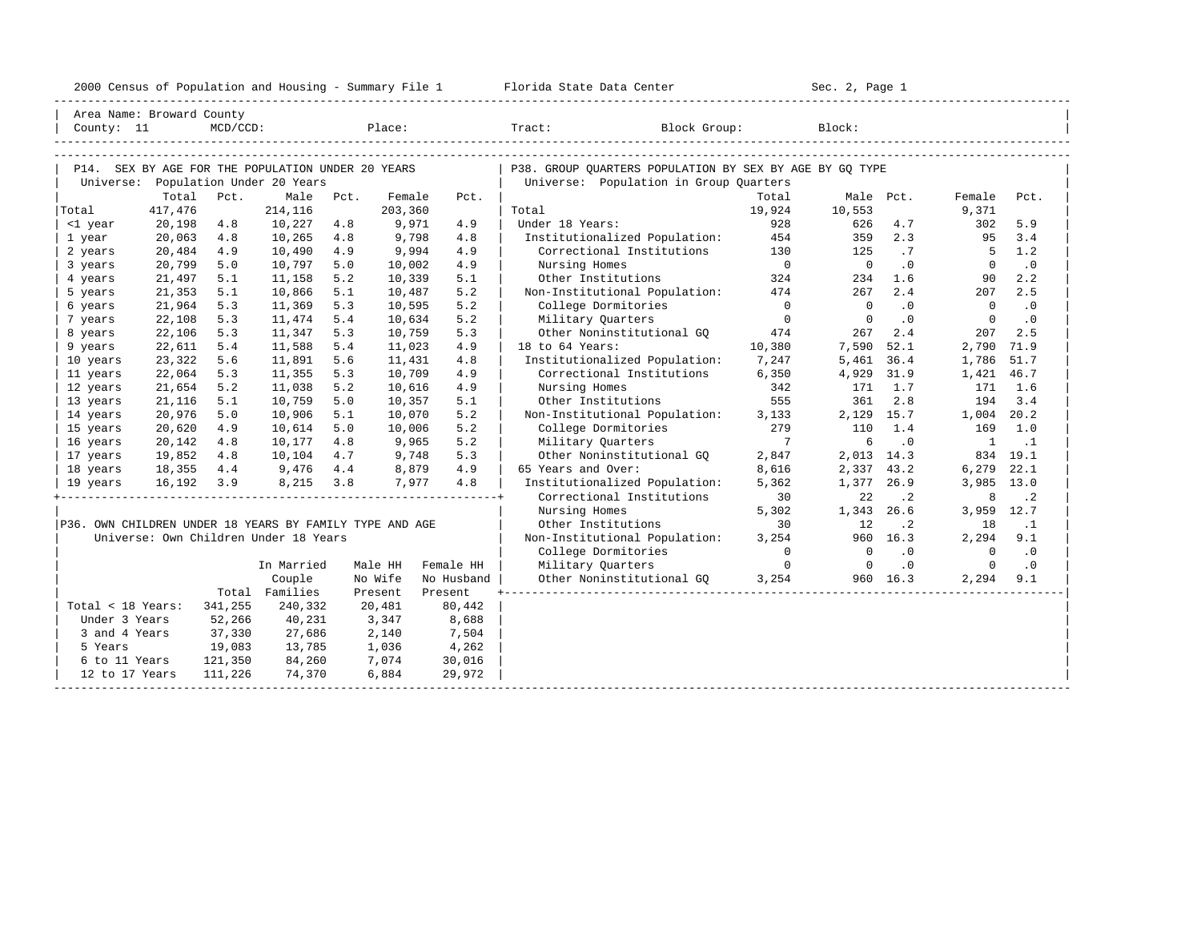| 2000<br>ensus! | and<br>Population | ---<br>Summa:<br>$-$<br>Housing | lorida<br>Data<br>otatt<br>cence. | ، م ج<br>Page<br>$3-1$ |  |
|----------------|-------------------|---------------------------------|-----------------------------------|------------------------|--|
|                |                   |                                 |                                   |                        |  |

|                                                         | Area Name: Broward County<br>County: 11<br>$MCD/CCD$ :                                      |         |                                       |      | Place:  |            | Tract: Block Group:                                     |                | Block:         |                            |                |           |
|---------------------------------------------------------|---------------------------------------------------------------------------------------------|---------|---------------------------------------|------|---------|------------|---------------------------------------------------------|----------------|----------------|----------------------------|----------------|-----------|
|                                                         | P14. SEX BY AGE FOR THE POPULATION UNDER 20 YEARS<br>Population Under 20 Years<br>Universe: |         |                                       |      |         |            |                                                         |                |                |                            |                |           |
|                                                         |                                                                                             |         |                                       |      |         |            | P38. GROUP OUARTERS POPULATION BY SEX BY AGE BY GO TYPE |                |                |                            |                |           |
|                                                         |                                                                                             |         |                                       |      |         |            | Universe: Population in Group Quarters                  |                |                |                            |                |           |
|                                                         | Total                                                                                       | Pct.    | Male                                  | Pct. | Female  | Pct.       |                                                         | Total          | Male Pct.      |                            | Female         | Pct.      |
| Total                                                   | 417,476                                                                                     |         | 214,116                               |      | 203,360 |            | Total                                                   | 19,924         | 10,553         |                            | 9,371          |           |
| <1 year                                                 | 20,198                                                                                      | 4.8     | 10,227                                | 4.8  | 9,971   | 4.9        | Under 18 Years:                                         | 928            | 626            | 4.7                        | 302            | 5.9       |
| 1 year                                                  | 20,063                                                                                      | 4.8     | 10,265                                | 4.8  | 9,798   | 4.8        | Institutionalized Population:                           | 454            | 359            | 2.3                        | 95             | 3.4       |
| 2 years                                                 | 20,484                                                                                      | 4.9     | 10,490                                | 4.9  | 9,994   | 4.9        | Correctional Institutions                               | 130            | 125            | .7                         | - 5            | 1.2       |
| 3 years                                                 | 20,799                                                                                      | 5.0     | 10,797                                | 5.0  | 10,002  | 4.9        | Nursing Homes                                           | $\overline{0}$ | $\Omega$       | $\overline{\phantom{0}}$ . | $\overline{0}$ | $\cdot$ 0 |
| 4 years                                                 | 21,497                                                                                      | 5.1     | 11,158                                | 5.2  | 10,339  | 5.1        | Other Institutions                                      | 324            | 234            | 1.6                        | 90             | 2.2       |
| 5 years                                                 | 21,353                                                                                      | 5.1     | 10,866                                | 5.1  | 10,487  | 5.2        | Non-Institutional Population:                           | 474            | 267            | 2.4                        | 207            | 2.5       |
| 6 years                                                 | 21,964                                                                                      | 5.3     | 11,369                                | 5.3  | 10,595  | 5.2        | College Dormitories                                     | $\overline{0}$ | $\Omega$       | $\cdot$ 0                  | $\overline{0}$ | $\cdot$ 0 |
| 7 years                                                 | 22,108                                                                                      | 5.3     | 11,474                                | 5.4  | 10,634  | 5.2        | Military Quarters                                       | $\overline{0}$ | $\mathbf 0$    | $\cdot$ 0                  | $\mathbf 0$    | $\cdot$ 0 |
| 8 years                                                 | 22,106                                                                                      | 5.3     | 11,347                                | 5.3  | 10,759  | 5.3        | Other Noninstitutional GQ                               | 474            | 267            | 2.4                        | 207            | 2.5       |
| 9 years                                                 | 22,611                                                                                      | 5.4     | 11,588                                | 5.4  | 11,023  | 4.9        | 18 to 64 Years:                                         | 10,380         | 7,590          | 52.1                       | 2,790          | 71.9      |
| 10 years                                                | 23,322                                                                                      | 5.6     | 11,891                                | 5.6  | 11,431  | 4.8        | Institutionalized Population:                           | 7,247          | 5,461          | 36.4                       | 1,786          | 51.7      |
| 11 years                                                | 22,064                                                                                      | 5.3     | 11,355                                | 5.3  | 10,709  | 4.9        | Correctional Institutions                               | 6,350          | 4,929          | 31.9                       | 1,421          | 46.7      |
| 12 years                                                | 21,654                                                                                      | 5.2     | 11,038                                | 5.2  | 10,616  | 4.9        | Nursing Homes                                           | 342            | 171            | 1.7                        | 171            | 1.6       |
| 13 years                                                | 21,116                                                                                      | 5.1     | 10,759                                | 5.0  | 10,357  | 5.1        | Other Institutions                                      | 555            | 361            | 2.8                        | 194            | 3.4       |
| 14 years                                                | 20,976                                                                                      | 5.0     | 10,906                                | 5.1  | 10,070  | 5.2        | Non-Institutional Population:                           | 3,133          | 2,129          | 15.7                       | 1,004 20.2     |           |
| 15 years                                                | 20,620                                                                                      | 4.9     | 10,614                                | 5.0  | 10,006  | 5.2        | College Dormitories                                     | 279            | 110            | 1.4                        | 169            | 1.0       |
| 16 years                                                | 20,142                                                                                      | 4.8     | 10,177                                | 4.8  | 9,965   | 5.2        | Military Ouarters                                       | $\overline{7}$ | 6              | $\cdot$ 0                  | $\mathbf{1}$   | $\ldots$  |
| 17 years                                                | 19,852                                                                                      | 4.8     | 10,104                                | 4.7  | 9,748   | 5.3        | Other Noninstitutional GO                               | 2,847          | 2,013          | 14.3                       | 834            | 19.1      |
| 18 years                                                | 18,355                                                                                      | 4.4     | 9,476                                 | 4.4  | 8,879   | 4.9        | 65 Years and Over:                                      | 8,616          | 2,337          | 43.2                       | 6,279          | 22.1      |
| 19 years                                                | 16,192                                                                                      | 3.9     | 8,215                                 | 3.8  | 7,977   | 4.8        | Institutionalized Population:                           | 5,362          | 1,377          | 26.9                       | 3,985          | 13.0      |
|                                                         |                                                                                             |         |                                       |      |         |            | Correctional Institutions                               | 30             | 22             | $\cdot$ 2                  | 8              | $\cdot$ 2 |
|                                                         |                                                                                             |         |                                       |      |         |            | Nursing Homes                                           | 5,302          | 1,343          | 26.6                       | 3,959          | 12.7      |
| P36. OWN CHILDREN UNDER 18 YEARS BY FAMILY TYPE AND AGE |                                                                                             |         |                                       |      |         |            | Other Institutions                                      | 30             | 12             | $\cdot$ 2                  | 18             | $\cdot$ 1 |
|                                                         |                                                                                             |         | Universe: Own Children Under 18 Years |      |         |            | Non-Institutional Population:                           | 3,254          | 960            | 16.3                       | 2,294          | 9.1       |
|                                                         |                                                                                             |         |                                       |      |         |            | College Dormitories                                     | $\Omega$       | $\overline{0}$ | $\cdot$ 0                  | $\Omega$       | $\cdot$ 0 |
|                                                         |                                                                                             |         | In Married                            |      | Male HH | Female HH  | Military Quarters                                       | $\mathbf{0}$   | $\overline{0}$ | $\cdot$ 0                  | $\circ$        | $\cdot$ 0 |
|                                                         |                                                                                             |         | Couple                                |      | No Wife | No Husband | Other Noninstitutional GQ                               | 3,254          |                | 960 16.3                   | 2,294          | 9.1       |
|                                                         |                                                                                             |         | Total Families                        |      | Present | Present    |                                                         |                |                |                            |                |           |
| Total < 18 Years:                                       |                                                                                             | 341,255 | 240,332                               |      | 20,481  | 80,442     |                                                         |                |                |                            |                |           |
| Under 3 Years                                           |                                                                                             | 52,266  | 40,231                                |      | 3,347   | 8,688      |                                                         |                |                |                            |                |           |
| 3 and 4 Years                                           |                                                                                             | 37,330  | 27,686                                |      | 2,140   | 7,504      |                                                         |                |                |                            |                |           |
| 5 Years                                                 |                                                                                             | 19,083  | 13,785                                |      | 1,036   | 4,262      |                                                         |                |                |                            |                |           |
| 6 to 11 Years                                           |                                                                                             | 121,350 | 84,260                                |      | 7,074   | 30,016     |                                                         |                |                |                            |                |           |
| 12 to 17 Years                                          |                                                                                             | 111,226 | 74,370                                |      | 6,884   | 29,972     |                                                         |                |                |                            |                |           |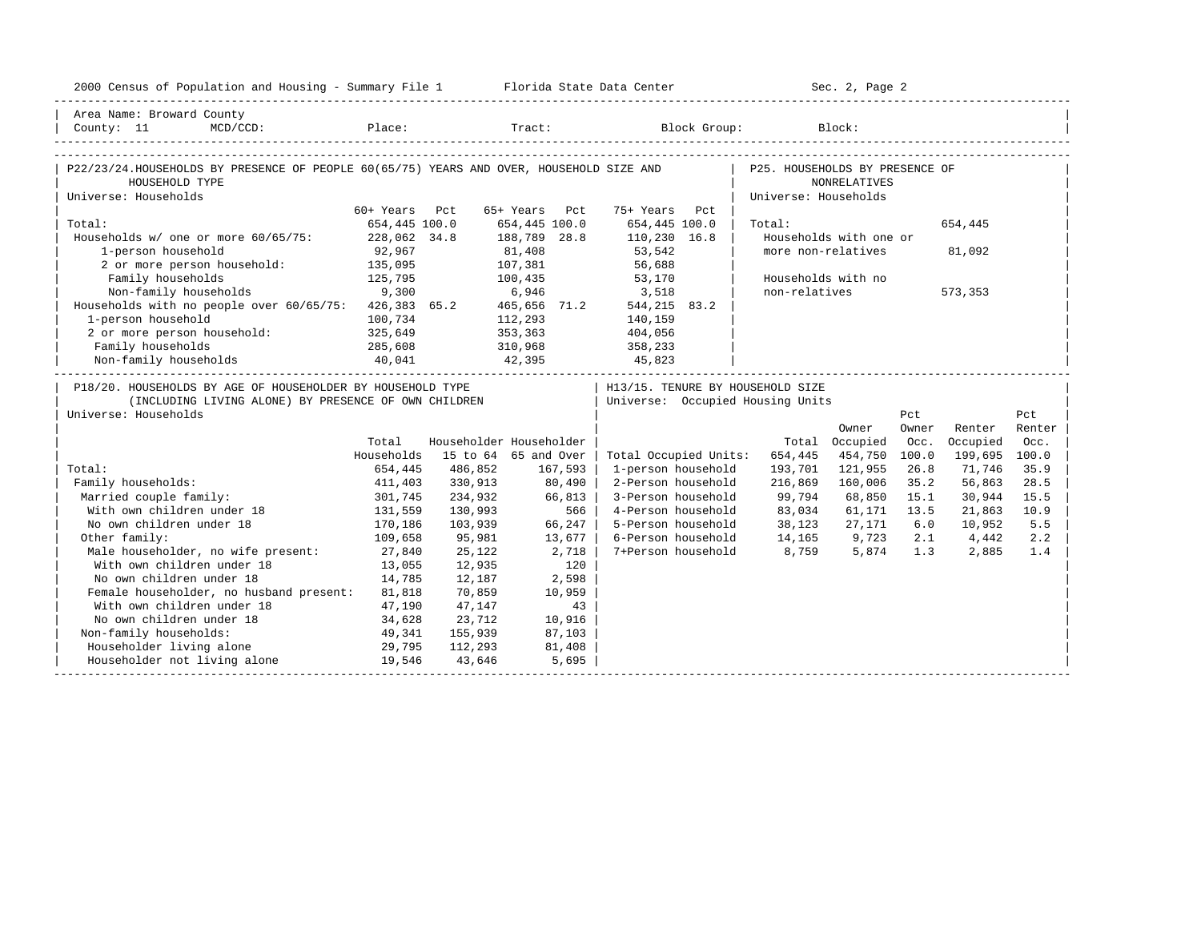| 2000 Census of Population and Housing - Summary File 1 Florida State Data Center                                                           |               |         |                         |                                   | Sec. 2, Page 2       |                        |       |               |        |
|--------------------------------------------------------------------------------------------------------------------------------------------|---------------|---------|-------------------------|-----------------------------------|----------------------|------------------------|-------|---------------|--------|
| Area Name: Broward County                                                                                                                  |               |         |                         |                                   |                      |                        |       |               |        |
| County: 11<br>MCD/CCD:                                                                                                                     |               |         |                         | Place: Tract: Block Group: Block: |                      |                        |       |               |        |
|                                                                                                                                            |               |         |                         |                                   |                      |                        |       |               |        |
| P22/23/24.HOUSEHOLDS BY PRESENCE OF PEOPLE 60(65/75) YEARS AND OVER, HOUSEHOLD SIZE AND   P25. HOUSEHOLDS BY PRESENCE OF<br>HOUSEHOLD TYPE |               |         |                         |                                   |                      | <b>NONRELATIVES</b>    |       |               |        |
| Universe: Households                                                                                                                       |               |         |                         |                                   | Universe: Households |                        |       |               |        |
|                                                                                                                                            | 60+ Years Pct |         | 65+ Years Pct           | 75+ Years Pct                     |                      |                        |       |               |        |
| Total:                                                                                                                                     | 654,445 100.0 |         | 654,445 100.0           | 654,445 100.0                     | Total:               |                        |       | 654,445       |        |
| Households w/ one or more 60/65/75: 228,062 34.8                                                                                           |               |         | 188,789 28.8            | 110,230 16.8                      |                      | Households with one or |       |               |        |
| 1-person household                                                                                                                         | 92,967        |         | 81,408                  | 53,542<br>56,688                  | more non-relatives   |                        |       | 81,092        |        |
| 2 or more person household: 135,095                                                                                                        |               |         | 107,381                 |                                   |                      |                        |       |               |        |
| 125,795<br>Family households                                                                                                               |               | 100,435 |                         | 53,170                            | Households with no   |                        |       |               |        |
| Non-family households 9,300 6,946 3,518<br>Households with no people over 60/65/75: 426,383 65.2 465,656 71.2 544,215 83.2                 |               |         |                         |                                   | non-relatives        |                        |       | 573,353       |        |
|                                                                                                                                            |               |         |                         |                                   |                      |                        |       |               |        |
| 1-person household                                                                                                                         | 100,734       |         | 112,293                 | 140,159                           |                      |                        |       |               |        |
| 2 or more person household: 325,649                                                                                                        |               |         | 353, 363 404, 056       |                                   |                      |                        |       |               |        |
|                                                                                                                                            |               |         |                         | 358,233                           |                      |                        |       |               |        |
| Family households<br>Non-family households<br>$285,608$ 310,968<br>40,041 42,395                                                           |               |         |                         | 45,823                            |                      |                        |       |               |        |
| P18/20. HOUSEHOLDS BY AGE OF HOUSEHOLDER BY HOUSEHOLD TYPE                                                                                 |               |         |                         | H13/15. TENURE BY HOUSEHOLD SIZE  |                      |                        |       |               |        |
| (INCLUDING LIVING ALONE) BY PRESENCE OF OWN CHILDREN                                                                                       |               |         |                         | Universe: Occupied Housing Units  |                      |                        |       |               |        |
| Universe: Households                                                                                                                       |               |         |                         |                                   |                      |                        | Pct   |               | Pct    |
|                                                                                                                                            |               |         |                         |                                   |                      | Owner                  | Owner | Renter        | Renter |
|                                                                                                                                            | Total         |         | Householder Householder |                                   |                      | Total Occupied         | Occ.  | Occupied      | Occ.   |
|                                                                                                                                            | Households    |         | 15 to 64 65 and Over    | Total Occupied Units:             | 654,445              | 454,750                | 100.0 | 199,695 100.0 |        |
| Total:                                                                                                                                     | 654,445       | 486,852 | 167,593                 | 1-person household                | 193,701              | 121,955                | 26.8  | 71,746        | 35.9   |
| Family households:                                                                                                                         | 411,403       | 330,913 | 80,490                  | 2-Person household                | 216,869              | 160,006                | 35.2  | 56,863        | 28.5   |
| Married couple family:                                                                                                                     | 301,745       | 234,932 | 66,813                  | 3-Person household                | 99,794               | 68,850                 | 15.1  | 30,944        | 15.5   |
| With own children under 18                                                                                                                 | 131,559       | 130,993 | 566                     | 4-Person household                | 83,034               | 61,171                 | 13.5  | 21,863        | 10.9   |
| No own children under 18                                                                                                                   | 170,186       | 103,939 | 66,247                  | 5-Person household                | 38,123               | 27,171                 | 6.0   | 10,952        | 5.5    |
| Other family:                                                                                                                              | 109,658       | 95,981  | 13,677                  | 6-Person household                | 14,165 9,723         |                        | 2.1   | 4,442         | 2.2    |
| Male householder, no wife present: 27,840                                                                                                  |               | 25,122  | 2,718                   | 7+Person household                | 8,759                | 5,874                  | 1.3   | 2,885         | 1.4    |
| With own children under 18                                                                                                                 | 13,055        | 12,935  | 120                     |                                   |                      |                        |       |               |        |
| No own children under 18                                                                                                                   | 14,785        | 12,187  | 2,598                   |                                   |                      |                        |       |               |        |
| Female householder, no husband present: 81,818                                                                                             |               | 70,859  | 10,959                  |                                   |                      |                        |       |               |        |
| With own children under 18                                                                                                                 | 47,190        | 47,147  | 43                      |                                   |                      |                        |       |               |        |
| No own children under 18<br>34,628                                                                                                         |               | 23,712  | 10,916                  |                                   |                      |                        |       |               |        |
| Non-family households:                                                                                                                     | 49,341        | 155,939 | 87,103                  |                                   |                      |                        |       |               |        |
| Householder living alone                                                                                                                   |               | 112,293 | 81,408                  |                                   |                      |                        |       |               |        |
| Householder not living alone 19,546                                                                                                        |               | 43,646  | 5,695                   |                                   |                      |                        |       |               |        |
|                                                                                                                                            |               |         |                         |                                   |                      |                        |       |               |        |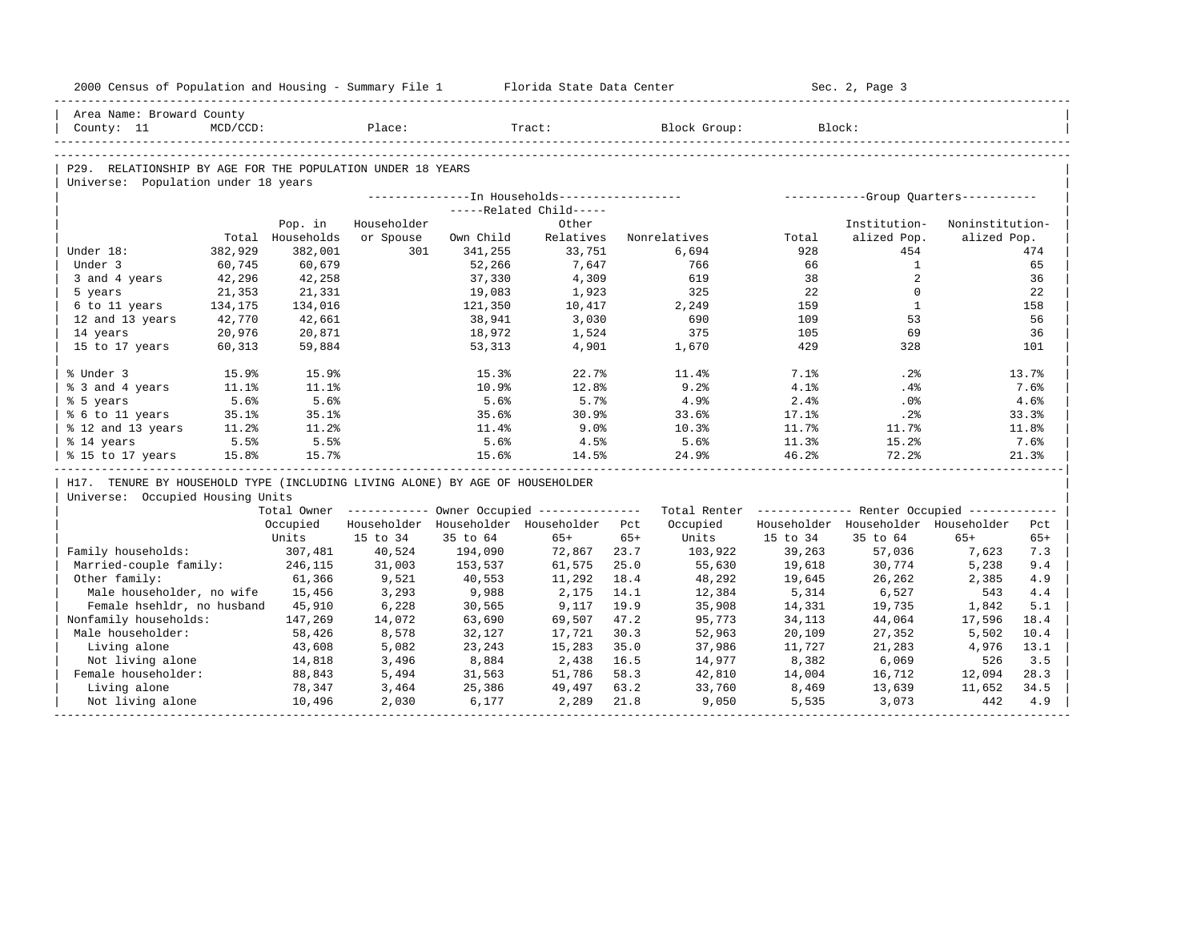| 2000 Census of Population and Housing - Summary File 1 Florida State Data Center |          |                  |             |           |                                                  |       |                                                                                                                |                | Sec. 2, Page 3                               |                 |       |
|----------------------------------------------------------------------------------|----------|------------------|-------------|-----------|--------------------------------------------------|-------|----------------------------------------------------------------------------------------------------------------|----------------|----------------------------------------------|-----------------|-------|
| Area Name: Broward County                                                        |          |                  |             |           |                                                  |       |                                                                                                                |                |                                              |                 |       |
| County: 11                                                                       | MCD/CCD: |                  | Place:      |           | Tract:                                           |       | Block Group:                                                                                                   |                | Block:                                       |                 |       |
|                                                                                  |          |                  |             |           |                                                  |       |                                                                                                                |                |                                              |                 |       |
| P29. RELATIONSHIP BY AGE FOR THE POPULATION UNDER 18 YEARS                       |          |                  |             |           |                                                  |       |                                                                                                                |                |                                              |                 |       |
| Universe: Population under 18 years                                              |          |                  |             |           |                                                  |       |                                                                                                                |                |                                              |                 |       |
|                                                                                  |          |                  |             |           |                                                  |       |                                                                                                                |                |                                              |                 |       |
|                                                                                  |          |                  |             |           | -----Related Child-----                          |       |                                                                                                                |                |                                              |                 |       |
|                                                                                  |          | Pop. in          | Householder |           | Other                                            |       |                                                                                                                |                | Institution-                                 | Noninstitution- |       |
|                                                                                  |          | Total Households | or Spouse   | Own Child | Relatives                                        |       | Nonrelatives                                                                                                   | Total          | alized Pop.                                  | alized Pop.     |       |
| Under 18:                                                                        | 382,929  | 382,001          | 301         | 341,255   | 33,751                                           |       | 6,694                                                                                                          | 928            | 454                                          |                 | 474   |
| Under 3                                                                          | 60,745   | 60,679           |             | 52,266    | 7,647                                            |       | 766                                                                                                            | 66             | $\mathbf{1}$                                 |                 | 65    |
| 3 and 4 years                                                                    | 42,296   | 42,258           |             | 37,330    | 4,309                                            |       | 619                                                                                                            | 38             | 2                                            |                 | 36    |
| 5 years                                                                          | 21,353   | 21,331           |             | 19,083    | 1,923                                            |       | 325                                                                                                            | 22             | $\Omega$                                     |                 | 22    |
| 6 to 11 years                                                                    | 134,175  | 134,016          |             | 121,350   | 10,417                                           |       | 2,249                                                                                                          | 159            | $\mathbf{1}$                                 |                 | 158   |
| 12 and 13 years                                                                  | 42,770   | 42,661           |             | 38,941    | 3,030                                            |       | 690                                                                                                            | 109            | 53                                           |                 | 56    |
| 14 years                                                                         | 20,976   | 20,871           |             | 18,972    | 1,524                                            |       | 375                                                                                                            | 105            | 69                                           |                 | 36    |
| 15 to 17 years                                                                   | 60,313   | 59,884           |             | 53,313    | 4,901                                            |       | 1,670                                                                                                          | 429            | 328                                          |                 | 101   |
| % Under 3                                                                        | 15.9%    | 15.9%            |             | 15.3%     | 22.7%                                            |       | 11.4%                                                                                                          | 7.1%           | .2%                                          |                 | 13.7% |
| % 3 and 4 years                                                                  | 11.1%    | 11.1%            |             | 10.9%     | 12.8%                                            |       | 9.2%                                                                                                           | 4.1%           | .4%                                          |                 | 7.6%  |
| % 5 years                                                                        | 5.6%     | 5.6%             |             | 5.6%      | 5.7%                                             |       | 4.9%                                                                                                           | 2.4%           | $.0\%$                                       |                 | 4.6%  |
| % 6 to 11 years                                                                  | 35.1%    | 35.1%            |             | 35.6%     | 30.9%                                            |       | 33.6%                                                                                                          | 17.1%          | .2%                                          |                 | 33.3% |
| % 12 and 13 years                                                                | 11.2%    | 11.2%            |             | 11.4%     | 9.0%                                             |       | 10.3%                                                                                                          | 11.7%          | 11.7%                                        |                 | 11.8% |
| % 14 years                                                                       | 5.5%     | 5.5%             |             | 5.6%      | 4.5%                                             |       | 5.6%                                                                                                           | 11.3%          | 15.2%                                        |                 | 7.6%  |
| % 15 to 17 years                                                                 | 15.8%    | 15.7%            |             | 15.6%     | 14.5%                                            |       | 24.9%                                                                                                          | 46.2%          | 72.2%                                        |                 | 21.3% |
| H17. TENURE BY HOUSEHOLD TYPE (INCLUDING LIVING ALONE) BY AGE OF HOUSEHOLDER     |          |                  |             |           |                                                  |       |                                                                                                                |                |                                              |                 |       |
| Universe: Occupied Housing Units                                                 |          |                  |             |           |                                                  |       |                                                                                                                |                |                                              |                 |       |
|                                                                                  |          |                  |             |           |                                                  |       | Total Owner ------------ Owner Occupied -------------- Total Renter ------------- Renter Occupied ------------ |                |                                              |                 |       |
|                                                                                  |          |                  |             |           | Occupied Householder Householder Householder Pct |       |                                                                                                                |                | Occupied Householder Householder Householder |                 | Pct   |
|                                                                                  |          | Units            | 15 to 34    | 35 to 64  | 65+                                              | $65+$ |                                                                                                                | Units 15 to 34 | 35 to 64                                     | $65+$           | $65+$ |
| Family households:                                                               |          | 307,481          | 40,524      | 194,090   | 72,867 23.7                                      |       | 103,922                                                                                                        | 39,263         | 57,036                                       | 7,623           | 7.3   |
| Married-couple family: 246,115                                                   |          |                  | 31,003      | 153,537   | 61,575                                           | 25.0  | 55,630                                                                                                         | 19,618         | 30,774                                       | 5,238           | 9.4   |
| Other family:                                                                    |          | 61,366           | 9,521       | 40,553    | 11,292                                           | 18.4  | 48,292                                                                                                         | 19,645         | 26,262                                       | 2,385           | 4.9   |
| Male householder, no wife 15,456                                                 |          |                  | 3,293       | 9,988     | 2,175                                            | 14.1  | 12,384                                                                                                         | 5,314          | 6,527                                        | 543             | 4.4   |
| Female hsehldr, no husband 45,910                                                |          |                  | 6,228       | 30,565    | 9,117                                            | 19.9  | 35,908                                                                                                         | 14,331         | 19,735                                       | 1,842           | 5.1   |
| Nonfamily households:                                                            |          | 147,269          | 14,072      | 63,690    | 69,507                                           | 47.2  | 95,773                                                                                                         | 34,113         | 44,064                                       | 17,596          | 18.4  |
| Male householder:                                                                |          | 58,426           | 8,578       | 32,127    | 17,721                                           | 30.3  | 52,963                                                                                                         | 20,109         | 27,352                                       | 5,502           | 10.4  |
| Living alone                                                                     |          | 43,608           | 5,082       | 23,243    | 15,283                                           | 35.0  | 37,986                                                                                                         | 11,727         | 21,283                                       | 4,976           | 13.1  |
| Not living alone                                                                 |          | 14,818           | 3,496       | 8,884     | 2,438                                            | 16.5  | 14,977                                                                                                         | 8,382          | 6,069                                        | 526             | 3.5   |
| Female householder:                                                              |          | 88,843           | 5,494       | 31,563    | 51,786                                           | 58.3  | 42,810                                                                                                         | 14,004         | 16,712                                       | 12,094          | 28.3  |
| Living alone                                                                     |          | 78,347           | 3,464       | 25,386    | 49,497                                           | 63.2  | 33,760                                                                                                         | 8,469          | 13,639                                       | 11,652          | 34.5  |
| Not living alone                                                                 |          | 10,496           | 2,030       | 6,177     | 2,289                                            | 21.8  | 9,050                                                                                                          | 5,535          | 3,073                                        | 442             | 4.9   |
|                                                                                  |          |                  |             |           |                                                  |       |                                                                                                                |                |                                              |                 |       |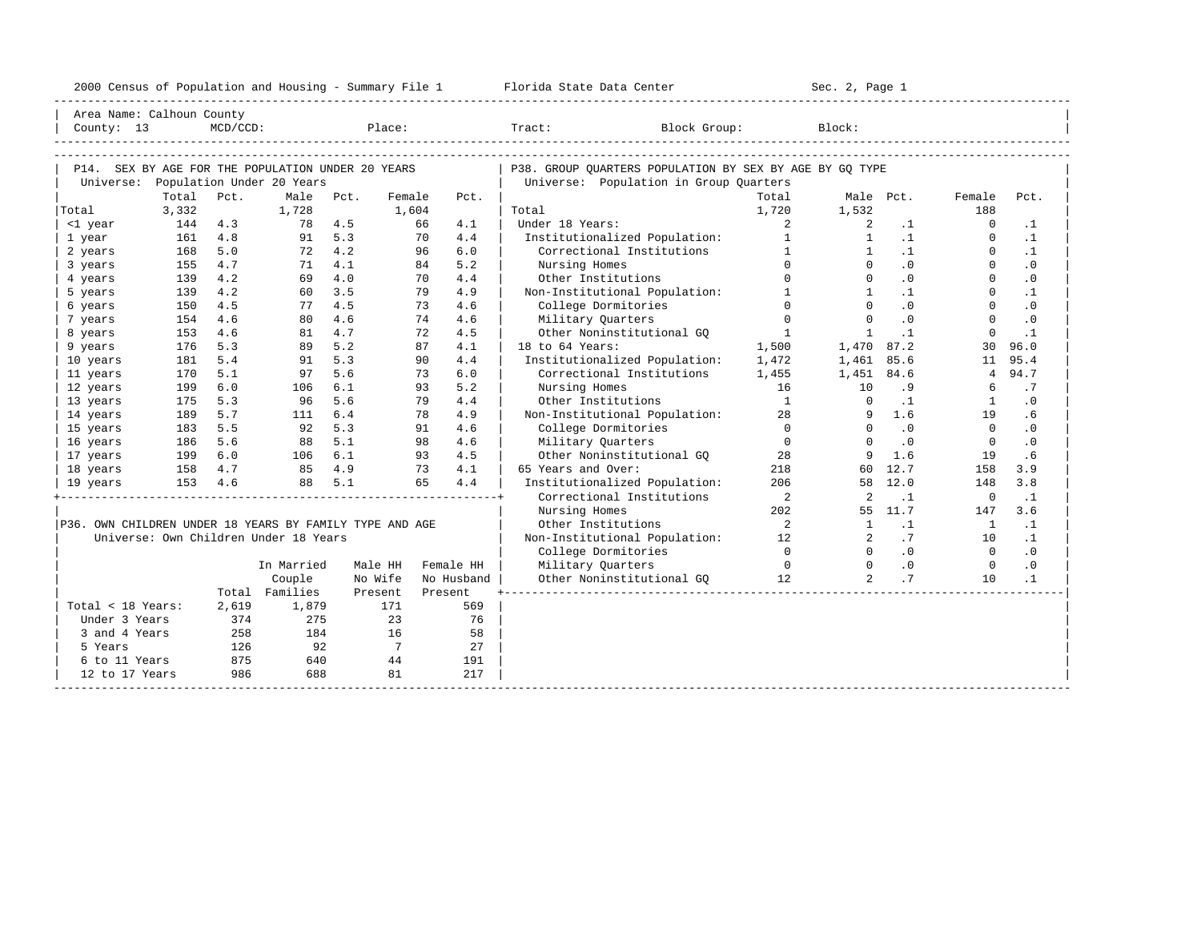|  |  |  | 2000 Census of Population and Housing - Summary File 1 |  |  |  |  |  |  |  |
|--|--|--|--------------------------------------------------------|--|--|--|--|--|--|--|
|--|--|--|--------------------------------------------------------|--|--|--|--|--|--|--|

| Area Name: Calhoun County                               |                  |             |                                       |        |                   |         |            | __________________________                              |                            |                       |                             |                 |           |  |
|---------------------------------------------------------|------------------|-------------|---------------------------------------|--------|-------------------|---------|------------|---------------------------------------------------------|----------------------------|-----------------------|-----------------------------|-----------------|-----------|--|
| County: 13                                              |                  | $MCD/CCD$ : |                                       |        | Place:            |         |            | Tract:<br>Block Group:                                  |                            | Block:                |                             |                 |           |  |
|                                                         |                  |             |                                       |        |                   |         |            |                                                         |                            |                       |                             |                 |           |  |
|                                                         |                  |             |                                       |        |                   |         |            |                                                         |                            |                       |                             |                 |           |  |
| P14. SEX BY AGE FOR THE POPULATION UNDER 20 YEARS       |                  |             |                                       |        |                   |         |            | P38. GROUP OUARTERS POPULATION BY SEX BY AGE BY GO TYPE |                            |                       |                             |                 |           |  |
|                                                         |                  |             | Universe: Population Under 20 Years   |        |                   |         |            | Universe: Population in Group Quarters                  |                            |                       |                             |                 |           |  |
|                                                         | Total            | Pct.        | Male Pct.                             |        | Female            |         | Pct.       | Total                                                   | Total                      |                       | Male Pct.                   | Female<br>188   | Pct.      |  |
| Total<br><1 year                                        | 3,332<br>144 4.3 |             | 1,728<br>78 4.5                       |        | 1,604             | 66      | 4.1        | Under 18 Years:                                         | 1,720<br>$\overline{a}$    | 1,532<br>$\mathbf{2}$ | $\cdot$ 1                   | $\Omega$        | $\cdot$ 1 |  |
| 1 year                                                  | 161              | 4.8         |                                       | 91 5.3 |                   | 70      | 4.4        | Institutionalized Population:                           | $1 \qquad \qquad$          | $\mathbf{1}$          | $\cdot$ 1                   | $\mathbf{0}$    | $\cdot$ 1 |  |
| 2 years                                                 | 168              | 5.0         |                                       | 72 4.2 |                   | 96      | 6.0        | Correctional Institutions                               | $\sim$ 1                   | $\mathbf{1}$          | $\cdot$ 1                   | $\Omega$        | $\cdot$ 1 |  |
| 3 years                                                 | 155              | 4.7         |                                       | 71 4.1 |                   | 84      | 5.2        | Nursing Homes                                           | $\cap$                     | $\Omega$              | .0                          | $\Omega$        | $\cdot$ 0 |  |
| 4 years                                                 | 139              | 4.2         |                                       | 69 4.0 |                   | 70      | 4.4        | Other Institutions                                      | $\Omega$                   | $\Omega$              | .0                          | $\Omega$        | $\cdot$ 0 |  |
| 5 years                                                 | 139              | 4.2         | 60                                    | 3.5    |                   | 79      | 4.9        | Non-Institutional Population:                           | $\mathbf{1}$               | $\frac{1}{2}$         | $\cdot$ 1                   | $\Omega$        | $\cdot$ 1 |  |
| 6 years                                                 | 150              | 4.5         |                                       | 77 4.5 |                   | 73      | 4.6        | College Dormitories                                     | $\Omega$                   | $\Omega$              | .0                          | $\Omega$        | $\cdot$ 0 |  |
| 7 years                                                 | 154              | 4.6         | 80                                    | 4.6    |                   | 74      | 4.6        | Military Quarters                                       | $\Omega$                   | $\Omega$              | .0                          | $\Omega$        | $\cdot$ 0 |  |
| 8 years                                                 | 153              | 4.6         |                                       | 81 4.7 |                   | 72      | 4.5        | Other Noninstitutional GO                               | $\overline{1}$             | $\mathbf{1}$          | $\cdot$ 1                   | $\Omega$        | $\cdot$ 1 |  |
| 9 years                                                 | 176              | 5.3         |                                       | 89 5.2 |                   | 87      | 4.1        | 18 to 64 Years:                                         | 1,500                      | 1,470 87.2            |                             | 30              | 96.0      |  |
| 10 years                                                | 181              | 5.4         | 91                                    | 5.3    |                   | 90      | 4.4        | Institutionalized Population:                           | 1,472                      | 1,461                 | 85.6                        | 11              | 95.4      |  |
| 11 years                                                | 170              | 5.1         | 97                                    | 5.6    |                   | 73      | $6.0$      | Correctional Institutions                               | 1,455                      | 1,451                 | 84.6                        | $4\overline{ }$ | 94.7      |  |
| 12 years                                                | 199              | 6.0         | 106                                   | 6.1    |                   | 93      | 5.2        | Nursing Homes                                           | 16                         | 10                    | .9                          | 6               | .7        |  |
| 13 years                                                | 175              | 5.3         | 96                                    | 5.6    |                   | 79      | 4.4        | Other Institutions                                      | $\overline{1}$             | $\overline{0}$        | $\cdot$ 1                   | 1               | $\cdot$ 0 |  |
| 14 years                                                | 189              | 5.7         | 111 6.4                               |        |                   | 78      | 4.9        | Non-Institutional Population:                           | 28                         | 9                     | 1.6                         | 19              | . 6       |  |
| 15 years                                                | 183              | 5.5         | 92 5.3                                |        |                   | 91      | 4.6        | College Dormitories                                     | $\Omega$                   | $\Omega$              | $\overline{\phantom{0}}$ .0 | $\Omega$        | $\cdot$ 0 |  |
| 16 years                                                | 186              | 5.6         | 88 5.1                                |        |                   | 98      | 4.6        | Military Quarters                                       | $\overline{0}$             | $\Omega$              | $\cdot$ 0                   | $\overline{0}$  | $\cdot$ 0 |  |
| 17 years                                                | 199 6.0          |             | 106 6.1                               |        |                   | 93      | 4.5        | Other Noninstitutional GQ 38                            |                            | 9                     | 1.6                         | 19              | .6        |  |
| 18 years                                                | 158 4.7          |             | 85 4.9                                |        |                   | 73      | 4.1        | 65 Years and Over:                                      | 218                        |                       | 60 12.7                     | 158             | 3.9       |  |
| 19 years                                                | 153 4.6          |             |                                       | 88 5.1 |                   | 65      | 4.4        | Institutionalized Population:                           | 206                        |                       | 58 12.0                     | 148             | 3.8       |  |
|                                                         |                  |             |                                       |        |                   |         |            | Correctional Institutions                               | $\overline{\phantom{a}}$   | 2                     | $\cdot$ 1                   | $\overline{0}$  | $\cdot$ 1 |  |
|                                                         |                  |             |                                       |        |                   |         |            | Nursing Homes                                           | 202                        |                       | 55 11.7                     | 147             | 3.6       |  |
| P36. OWN CHILDREN UNDER 18 YEARS BY FAMILY TYPE AND AGE |                  |             |                                       |        |                   |         |            | Other Institutions                                      | $\overline{\phantom{a}}$ 2 | 1                     | $\ldots$ 1                  | $\overline{1}$  | $\cdot$ 1 |  |
|                                                         |                  |             | Universe: Own Children Under 18 Years |        |                   |         |            | Non-Institutional Population: 12                        |                            | $\overline{2}$        | .7                          | 10              | $\cdot$ 1 |  |
|                                                         |                  |             |                                       |        |                   |         |            | College Dormitories                                     | $\overline{0}$             | $\bigcirc$            | $\overline{0}$              | $\overline{0}$  | $\cdot$ 0 |  |
|                                                         |                  |             | In Married                            |        | Male HH Female HH |         |            | Military Quarters                                       | $\sim$ 0                   | $\overline{0}$        | $\overline{0}$              | $\overline{0}$  | $\cdot$ 0 |  |
|                                                         |                  |             | Couple                                |        | No Wife           |         | No Husband | Other Noninstitutional GQ 12                            |                            | $\overline{2}$        | .7                          | 10              | $\cdot$ 1 |  |
|                                                         |                  |             | Total Families                        |        | Present           | Present |            |                                                         |                            |                       |                             |                 |           |  |
| Total < 18 Years:                                       |                  | 2,619       | 1,879                                 |        | 171               |         | 569        |                                                         |                            |                       |                             |                 |           |  |
| Under 3 Years                                           |                  | 374         | 275                                   |        | 23                |         | 76         |                                                         |                            |                       |                             |                 |           |  |
| 3 and 4 Years                                           |                  | 258         | 184                                   |        | 16                |         | 58         |                                                         |                            |                       |                             |                 |           |  |
| 5 Years                                                 |                  | 126         | 92                                    |        | $\overline{7}$    |         | 27         |                                                         |                            |                       |                             |                 |           |  |
| 6 to 11 Years                                           |                  | 875         | 640                                   |        | 44                |         | 191        |                                                         |                            |                       |                             |                 |           |  |
| 12 to 17 Years                                          |                  | 986         | 688                                   |        | 81                |         | 217        |                                                         |                            |                       |                             |                 |           |  |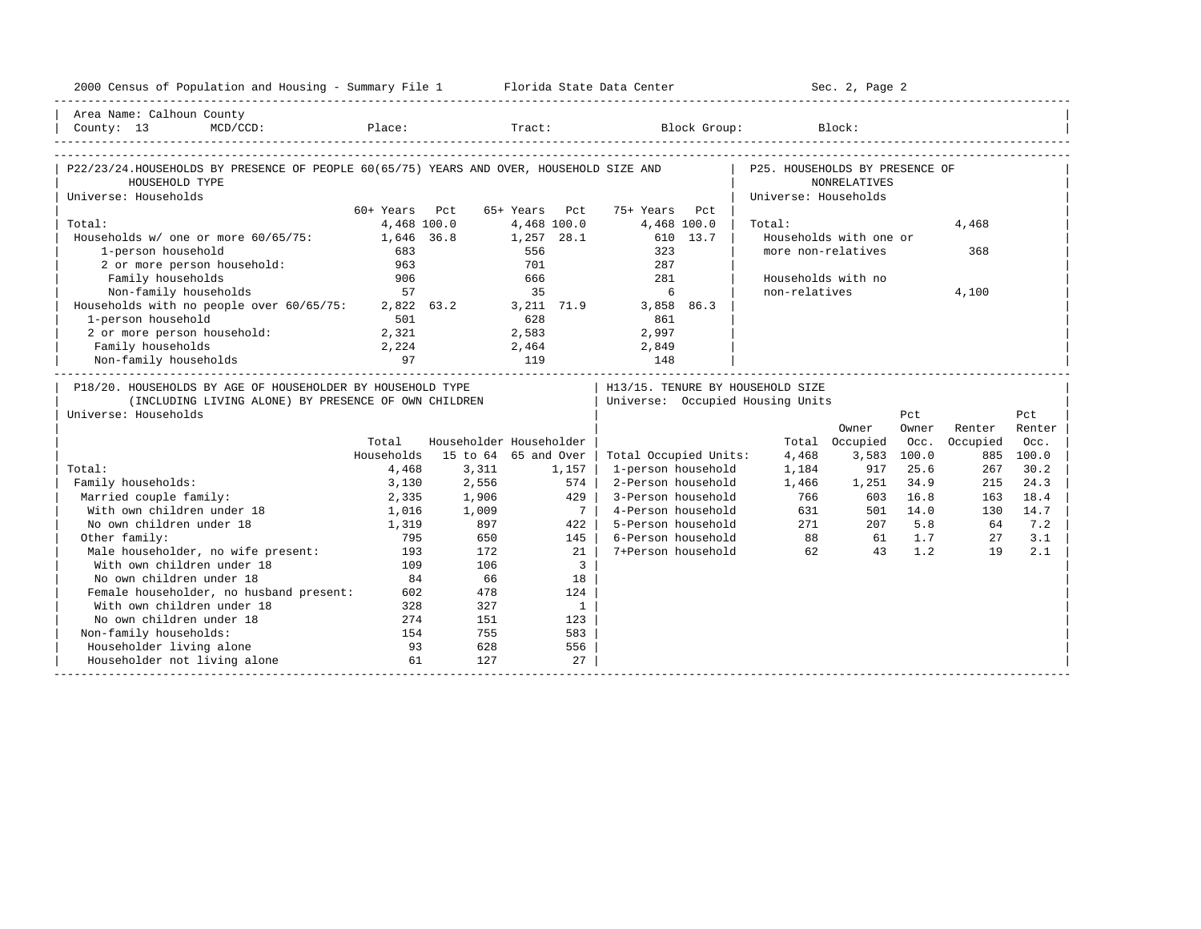| 2000 Census of Population and Housing - Summary File 1 Florida State Data Center                                                                                                 |               |                         |                                   |                |                       |          |                                  | Sec. 2, Page 2         |             |          |           |
|----------------------------------------------------------------------------------------------------------------------------------------------------------------------------------|---------------|-------------------------|-----------------------------------|----------------|-----------------------|----------|----------------------------------|------------------------|-------------|----------|-----------|
| Area Name: Calhoun County                                                                                                                                                        |               |                         |                                   |                |                       |          |                                  |                        |             |          |           |
| $\begin{tabular}{lllll} County: & 13 & \texttt{MCD/CCD}: & \texttt{Place:} & \texttt{Track:} & \texttt{Block Group:} & \texttt{Block:} & \\ & & & & & & \\ \hline \end{tabular}$ |               |                         |                                   |                |                       |          |                                  |                        |             |          |           |
|                                                                                                                                                                                  |               |                         |                                   |                |                       |          |                                  |                        |             |          |           |
| P22/23/24.HOUSEHOLDS BY PRESENCE OF PEOPLE 60(65/75) YEARS AND OVER, HOUSEHOLD SIZE AND                                                                                          |               |                         |                                   |                |                       |          | P25. HOUSEHOLDS BY PRESENCE OF   |                        |             |          |           |
| HOUSEHOLD TYPE                                                                                                                                                                   |               |                         |                                   |                |                       |          |                                  | <b>NONRELATIVES</b>    |             |          |           |
| Universe: Households                                                                                                                                                             |               |                         |                                   |                |                       |          | Universe: Households             |                        |             |          |           |
|                                                                                                                                                                                  | 60+ Years Pct |                         | 65+ Years Pct                     |                | 75+ Years             | Pct.     |                                  |                        |             |          |           |
| Total:                                                                                                                                                                           | 4,468 100.0   |                         |                                   | 4,468 100.0    | 4,468 100.0           |          | Total:                           |                        |             | 4,468    |           |
| Households w/ one or more 60/65/75:                                                                                                                                              | 1,646 36.8    |                         |                                   | 1,257 28.1     |                       | 610 13.7 |                                  | Households with one or |             |          |           |
| 1-person household                                                                                                                                                               | 683           |                         | 556                               |                | 323                   |          | more non-relatives               |                        |             | 368      |           |
| 2 or more person household:                                                                                                                                                      | 963           |                         | 701                               |                | 287                   |          |                                  |                        |             |          |           |
| Family households                                                                                                                                                                | 906           |                         | 666                               |                | 281                   |          | Households with no               |                        |             |          |           |
| Non-family households                                                                                                                                                            | 57            |                         | 35                                |                | 6                     |          | non-relatives                    |                        |             | 4,100    |           |
| Households with no people over 60/65/75: 2,822 63.2 3,211 71.9                                                                                                                   |               |                         | $\frac{1}{2}$ , 211<br>628<br>2 - |                | 3,858 86.3            |          |                                  |                        |             |          |           |
| 1-person household                                                                                                                                                               | 501           |                         |                                   |                | 861                   |          |                                  |                        |             |          |           |
| 2 or more person household: 2,321                                                                                                                                                |               |                         |                                   |                | 2,997                 |          |                                  |                        |             |          |           |
| Family households                                                                                                                                                                | 2,224         |                         |                                   |                | 2,464 2,849           |          |                                  |                        |             |          |           |
| Non-family households                                                                                                                                                            | 97            |                         | 119                               |                | 148                   |          |                                  |                        |             |          |           |
| P18/20. HOUSEHOLDS BY AGE OF HOUSEHOLDER BY HOUSEHOLD TYPE                                                                                                                       |               |                         |                                   |                |                       |          | H13/15. TENURE BY HOUSEHOLD SIZE |                        |             |          |           |
| (INCLUDING LIVING ALONE) BY PRESENCE OF OWN CHILDREN                                                                                                                             |               |                         |                                   |                |                       |          | Universe: Occupied Housing Units |                        |             |          |           |
| Universe: Households                                                                                                                                                             |               |                         |                                   |                |                       |          |                                  |                        | Pct         |          | Pct       |
|                                                                                                                                                                                  |               |                         |                                   |                |                       |          |                                  | Owner                  | Owner       | Renter   | Renter    |
|                                                                                                                                                                                  | Total         | Householder Householder |                                   |                |                       |          |                                  | Total Occupied         | Occ.        | Occupied | Occ.      |
|                                                                                                                                                                                  | Households    | 15 to 64 65 and Over    |                                   |                | Total Occupied Units: |          | 4,468                            |                        | 3,583 100.0 |          | 885 100.0 |
| Total:                                                                                                                                                                           | 4,468         | 3,311                   |                                   | 1,157          | 1-person household    |          | 1,184                            |                        | 917 25.6    | 267      | 30.2      |
| Family households:                                                                                                                                                               | 3,130         | 2,556                   |                                   | 574            | 2-Person household    |          | 1,466                            | 1,251                  | 34.9        | 215      | 24.3      |
| Married couple family:                                                                                                                                                           | 2,335         | 1,906                   |                                   | 429            | 3-Person household    |          | 766                              | 603                    | 16.8        | 163      | 18.4      |
| With own children under 18                                                                                                                                                       | 1,016         | 1,906<br>1,009          |                                   | 7 <sup>1</sup> | 4-Person household    |          | 631                              |                        | 501 14.0    | 130      | 14.7      |
| No own children under 18                                                                                                                                                         | 1,319         | 897                     |                                   | 422            | 5-Person household    |          |                                  | 271<br>207             | 5.8         | 64       | 7.2       |
| Other family:                                                                                                                                                                    | 795           | 650                     |                                   | 145            | 6-Person household    |          |                                  | 88<br>61 —             | 1.7         | 27       | 3.1       |
| Male householder, no wife present:                                                                                                                                               | 193           | 172                     |                                   | 21             | 7+Person household    |          | 62                               | 43                     | 1.2         | 19       | 2.1       |
| With own children under 18                                                                                                                                                       | 109           | 106                     |                                   | $\overline{3}$ |                       |          |                                  |                        |             |          |           |
| No own children under 18                                                                                                                                                         | 84            | 66                      |                                   | 18             |                       |          |                                  |                        |             |          |           |
| Female householder, no husband present:                                                                                                                                          | 602           | 478                     |                                   | 124            |                       |          |                                  |                        |             |          |           |
| With own children under 18                                                                                                                                                       | 328           | 327                     |                                   | $\mathbf{1}$   |                       |          |                                  |                        |             |          |           |
| No own children under 18                                                                                                                                                         | 274           | 151                     |                                   | 123            |                       |          |                                  |                        |             |          |           |
| Non-family households:                                                                                                                                                           | 154           | 755                     |                                   | 583            |                       |          |                                  |                        |             |          |           |
| Householder living alone                                                                                                                                                         | 93            | 628                     |                                   | 556            |                       |          |                                  |                        |             |          |           |
| Householder not living alone                                                                                                                                                     | 61            | 127                     |                                   | 27             |                       |          |                                  |                        |             |          |           |
|                                                                                                                                                                                  |               |                         |                                   |                |                       |          |                                  |                        |             |          |           |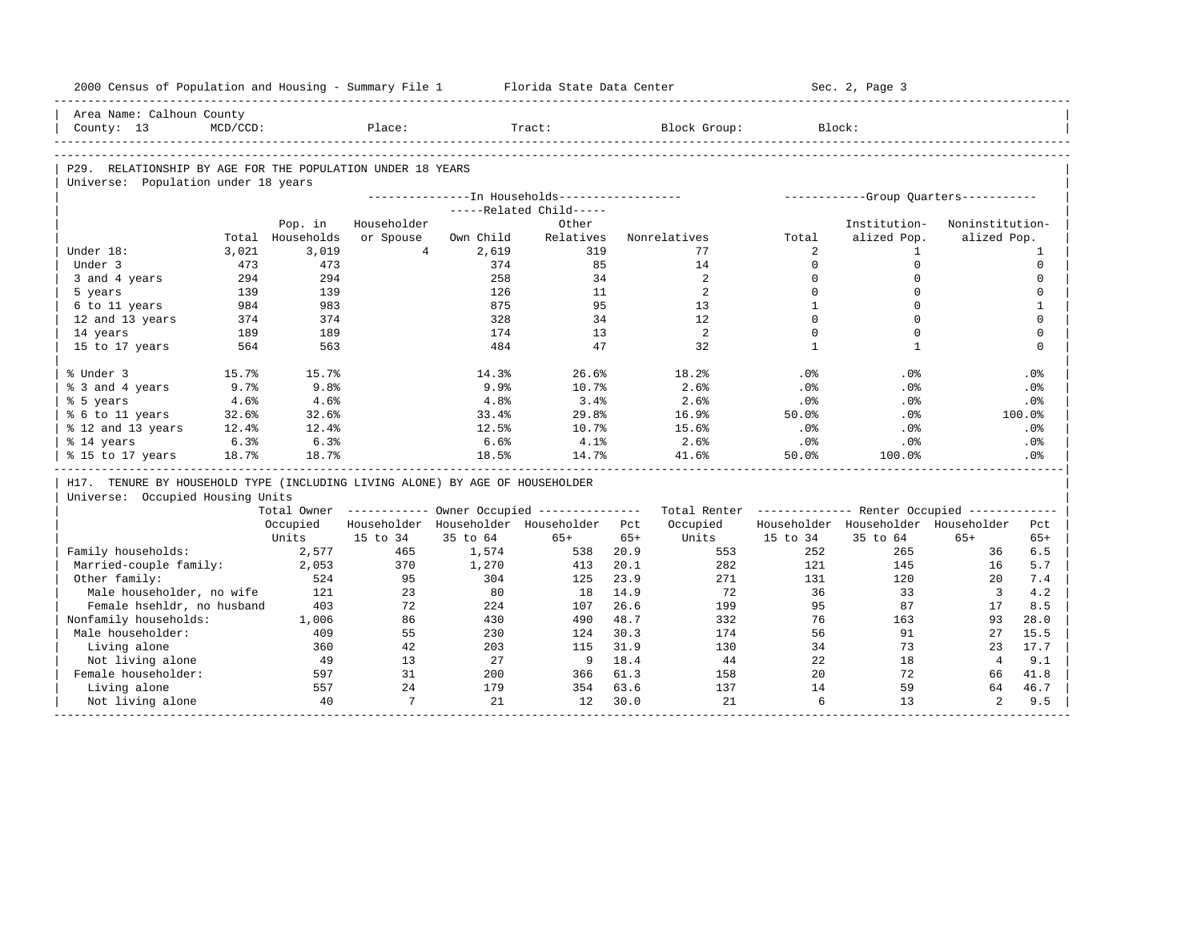|                        | 2000 Census of Population and Housing - Summary File 1                                                           |                  |                 |           | Florida State Data Center                             |       |                   |                 | Sec. 2, Page 3                                          |                 |              |
|------------------------|------------------------------------------------------------------------------------------------------------------|------------------|-----------------|-----------|-------------------------------------------------------|-------|-------------------|-----------------|---------------------------------------------------------|-----------------|--------------|
|                        | Area Name: Calhoun County                                                                                        |                  |                 |           |                                                       |       |                   |                 |                                                         |                 |              |
| County: 13             | $MCD/CCD$ :                                                                                                      |                  | Place:          |           | Tract:                                                |       | Block Group:      |                 | Block:                                                  |                 |              |
|                        |                                                                                                                  |                  |                 |           |                                                       |       |                   |                 |                                                         |                 |              |
|                        | P29. RELATIONSHIP BY AGE FOR THE POPULATION UNDER 18 YEARS                                                       |                  |                 |           |                                                       |       |                   |                 |                                                         |                 |              |
|                        | Universe: Population under 18 years                                                                              |                  |                 |           | ---------------- In Households------------------      |       |                   |                 | -----------Group Quarters-----------                    |                 |              |
|                        |                                                                                                                  |                  |                 |           | -----Related Child-----                               |       |                   |                 |                                                         |                 |              |
|                        |                                                                                                                  | Pop. in          | Householder     |           | Other                                                 |       |                   |                 | Institution-                                            | Noninstitution- |              |
|                        |                                                                                                                  | Total Households | or Spouse       | Own Child | Relatives                                             |       | Nonrelatives      | Total           | alized Pop.                                             | alized Pop.     |              |
| Under 18:              | 3,021                                                                                                            | 3,019            | $4\overline{ }$ | 2,619     | 319                                                   |       | 77                | 2               | $\mathbf{1}$                                            |                 | 1            |
| Under 3                | 473                                                                                                              | 473              |                 | 374       | 85                                                    |       | 14                | $\Omega$        | $\Omega$                                                |                 | $\mathbf 0$  |
| 3 and 4 years          | 294                                                                                                              | 294              |                 | 258       | 34                                                    |       | 2                 | $\mathbf 0$     | $\mathbf 0$                                             |                 | $\mathbf 0$  |
| 5 years                | 139                                                                                                              | 139              |                 | 126       | 11                                                    |       | 2                 | $\Omega$        | $\Omega$                                                |                 | $\mathbf 0$  |
| 6 to 11 years          | 984                                                                                                              | 983              |                 | 875       | 95                                                    |       | 13                | $\mathbf{1}$    | $\Omega$                                                |                 | $\mathbf{1}$ |
| 12 and 13 years        | 374                                                                                                              | 374              |                 | 328       | 34                                                    |       | $12 \overline{ }$ | $\Omega$        | $\Omega$                                                |                 | $\mathbf 0$  |
| 14 years               | 189                                                                                                              | 189              |                 | 174       | 13                                                    |       | 2                 | $\Omega$        | $\Omega$                                                |                 | $\Omega$     |
| 15 to 17 years         | 564                                                                                                              | 563              |                 | 484       | 47                                                    |       | 32                | $\mathbf{1}$    | $\mathbf{1}$                                            |                 | $\mathbf 0$  |
|                        |                                                                                                                  |                  |                 |           |                                                       |       |                   |                 |                                                         |                 |              |
| % Under 3              | 15.7%                                                                                                            | 15.7%            |                 | 14.3%     | 26.6%                                                 |       | 18.2%             | .0 <sup>8</sup> | .0%                                                     |                 | .0%          |
| % 3 and 4 years        | 9.7%                                                                                                             | 9.8%             |                 | 9.9%      | 10.7%                                                 |       | 2.6%              | .0%             | .0%                                                     |                 | .0%          |
| % 5 years              | 4.6%                                                                                                             | 4.6%             |                 | 4.8%      | 3.4%                                                  |       | 2.6%              | .0%             | .0%                                                     |                 | .0%          |
| % 6 to 11 years        | 32.6%                                                                                                            | 32.6%            |                 | 33.4%     | 29.8%                                                 |       | 16.9%             | 50.0%           | .0%                                                     |                 | 100.0%       |
| % 12 and 13 years      | 12.4%                                                                                                            | 12.4%            |                 | 12.5%     | 10.7%                                                 |       | 15.6%             | .0%             | .0%                                                     |                 | .0%          |
| % 14 years             | 6.3%                                                                                                             | 6.3%             |                 | 6.6%      | 4.1%                                                  |       | 2.6%              | .0%             | .0%                                                     |                 | .0%          |
| % 15 to 17 years       | 18.7%                                                                                                            | 18.7%            |                 | 18.5%     | 14.7%                                                 |       | 41.6%             | 50.0%           | 100.0%                                                  |                 | .0%          |
|                        |                                                                                                                  |                  |                 |           |                                                       |       |                   |                 |                                                         |                 |              |
|                        | H17. TENURE BY HOUSEHOLD TYPE (INCLUDING LIVING ALONE) BY AGE OF HOUSEHOLDER<br>Universe: Occupied Housing Units |                  |                 |           |                                                       |       |                   |                 |                                                         |                 |              |
|                        |                                                                                                                  |                  |                 |           | Total Owner ----------- Owner Occupied -------------- |       |                   |                 | Total Renter ------------- Renter Occupied ------------ |                 |              |
|                        |                                                                                                                  | Occupied         |                 |           | Householder Householder Householder Pct               |       | Occupied          |                 | Householder Householder Householder                     |                 | Pct          |
|                        |                                                                                                                  | Units            | 15 to 34        | 35 to 64  | $65+$                                                 | $65+$ | Units             | 15 to 34        | 35 to 64                                                | $65+$           | $65+$        |
| Family households:     |                                                                                                                  | 2,577            | 465             | 1,574     | 538                                                   | 20.9  | 553               | 252             | 265                                                     | 36              | 6.5          |
| Married-couple family: |                                                                                                                  | 2,053            | 370             | 1,270     | 413                                                   | 20.1  | 282               | 121             | 145                                                     | 16              | 5.7          |
| Other family:          |                                                                                                                  | 524              | 95              | 304       | 125                                                   | 23.9  | 271               | 131             | 120                                                     | 20              | 7.4          |
|                        | Male householder, no wife                                                                                        | 121              | 23              | 80        | 18                                                    | 14.9  | 72                | 36              | 33                                                      | $\overline{3}$  | 4.2          |
|                        | Female hsehldr, no husband                                                                                       | 403              | 72              | 224       | 107                                                   | 26.6  | 199               | 95              | 87                                                      | 17              | 8.5          |
| Nonfamily households:  |                                                                                                                  | 1,006            | 86              | 430       | 490                                                   | 48.7  | 332               | 76              | 163                                                     | 93              | 28.0         |
| Male householder:      |                                                                                                                  | 409              | 55              | 230       | 124                                                   | 30.3  | 174               | 56              | 91                                                      | 27              | 15.5         |
| Living alone           |                                                                                                                  | 360              | 42              | 203       | 115                                                   | 31.9  | 130               | 34              | 73                                                      | 23              | 17.7         |
| Not living alone       |                                                                                                                  | 49               | 13              | 27        | 9                                                     | 18.4  | 44                | 22              | 18                                                      | $\overline{4}$  | 9.1          |
| Female householder:    |                                                                                                                  | 597              | 31              | 200       | 366                                                   | 61.3  | 158               | 20              | 72                                                      | 66              | 41.8         |
| Living alone           |                                                                                                                  | 557              | 24              | 179       | 354                                                   | 63.6  | 137               | 14              | 59                                                      | 64              | 46.7         |
| Not living alone       |                                                                                                                  | 40               | 7               | 21        | 12                                                    | 30.0  | 21                | 6               | 13                                                      | $\overline{a}$  | 9.5          |
|                        |                                                                                                                  |                  |                 |           |                                                       |       |                   |                 |                                                         |                 |              |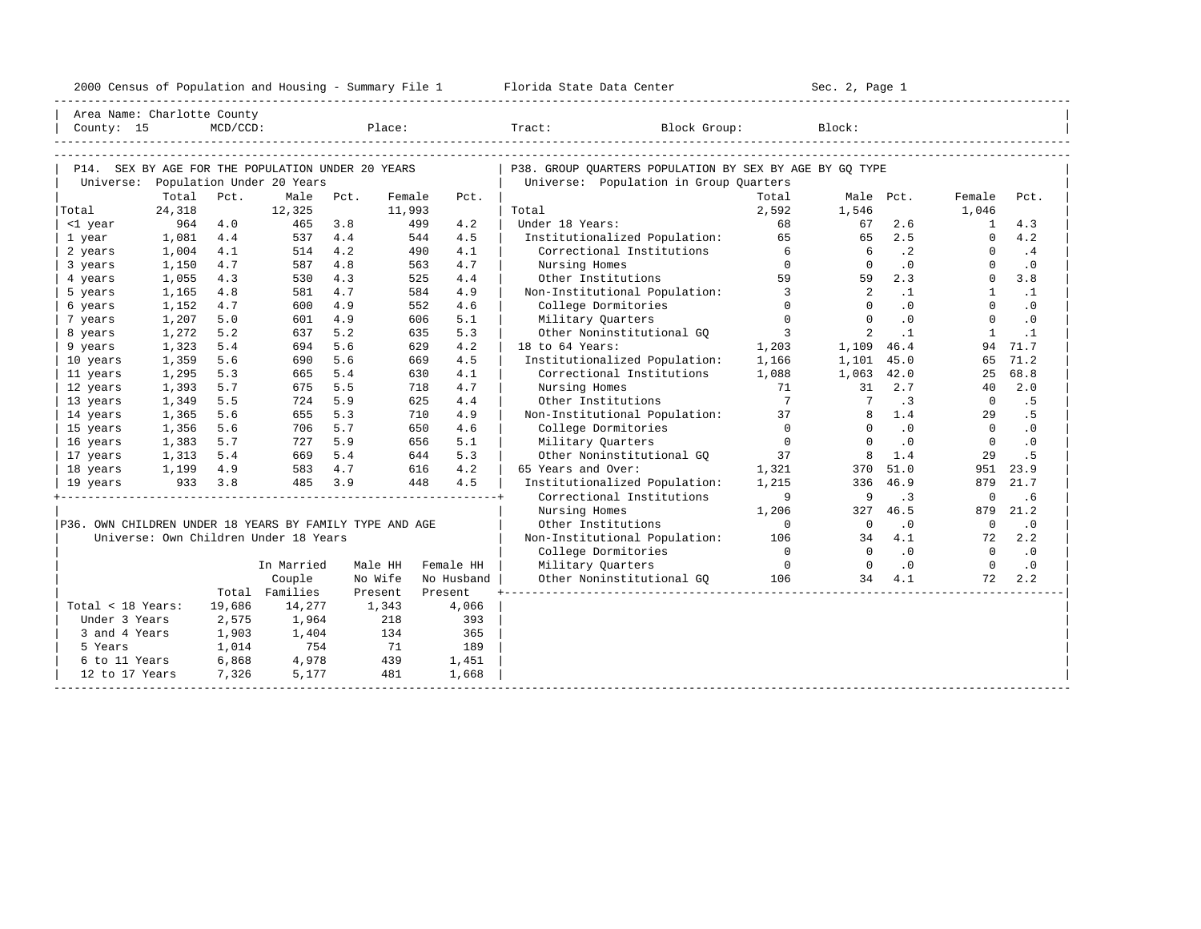|  |  |  | 2000 Census of Population and Housing - Summary File 1 |  |  |  |  |  |  |  |
|--|--|--|--------------------------------------------------------|--|--|--|--|--|--|--|
|--|--|--|--------------------------------------------------------|--|--|--|--|--|--|--|

|                                                         | Area Name: Charlotte County                       |             |                |         |                  |                                                                                                                                                                                                                                |                                                         |                          |                 |           |                 |                |
|---------------------------------------------------------|---------------------------------------------------|-------------|----------------|---------|------------------|--------------------------------------------------------------------------------------------------------------------------------------------------------------------------------------------------------------------------------|---------------------------------------------------------|--------------------------|-----------------|-----------|-----------------|----------------|
| County: 15                                              |                                                   | $MCD/CCD$ : |                |         |                  | Place: The contract of the contract of the contract of the contract of the contract of the contract of the contract of the contract of the contract of the contract of the contract of the contract of the contract of the con | Tract:<br>Block Group:                                  |                          | Block:          |           |                 |                |
|                                                         |                                                   |             |                |         |                  |                                                                                                                                                                                                                                |                                                         |                          |                 |           |                 |                |
|                                                         |                                                   |             |                |         |                  |                                                                                                                                                                                                                                |                                                         |                          |                 |           |                 |                |
|                                                         | P14. SEX BY AGE FOR THE POPULATION UNDER 20 YEARS |             |                |         |                  |                                                                                                                                                                                                                                | P38. GROUP OUARTERS POPULATION BY SEX BY AGE BY GO TYPE |                          |                 |           |                 |                |
|                                                         | Universe: Population Under 20 Years               |             |                |         |                  |                                                                                                                                                                                                                                | Universe: Population in Group Quarters                  |                          |                 |           |                 |                |
|                                                         | Total<br>24,318                                   | Pct.        | Male<br>12,325 | Pct.    | Female<br>11,993 | Pct.                                                                                                                                                                                                                           | Total                                                   | Total<br>2,592           | 1,546           | Male Pct. | Female<br>1,046 | Pct.           |
| Total<br><1 year                                        | 964                                               | 4.0         | 465            | 3.8     | 499              | 4.2                                                                                                                                                                                                                            | Under 18 Years:                                         | 68                       | 67              | 2.6       | $\mathbf{1}$    | 4.3            |
| 1 year                                                  | 1,081                                             | 4.4         | 537            | 4.4     | 544              | 4.5                                                                                                                                                                                                                            | Institutionalized Population:                           | 65                       | 65              | 2.5       | $\Omega$        | 4.2            |
| 2 years                                                 | 1,004                                             | 4.1         | 514            | 4.2     | 490              | 4.1                                                                                                                                                                                                                            | Correctional Institutions                               | 6                        | - 6             | $\cdot$ 2 | $\Omega$        | .4             |
| 3 years                                                 | 1,150                                             | 4.7         | 587            | 4.8     | 563              | 4.7                                                                                                                                                                                                                            | Nursing Homes                                           | $\Omega$                 | $\Omega$        | .0        | $\Omega$        | $\cdot$ 0      |
| 4 years                                                 | 1,055                                             | 4.3         | 530            | 4.3     | 525              | 4.4                                                                                                                                                                                                                            | Other Institutions                                      | 59                       | 59              | 2.3       | $\circ$         | 3.8            |
| 5 years                                                 | 1,165                                             | 4.8         | 581            | 4.7     | 584              | 4.9                                                                                                                                                                                                                            | Non-Institutional Population:                           | $\overline{\phantom{a}}$ | 2               | $\cdot$ 1 | $\mathbf{1}$    | $\cdot$ 1      |
| 6 years                                                 | 1,152                                             | 4.7         | 600            | 4.9     | 552              | 4.6                                                                                                                                                                                                                            | College Dormitories                                     | $\Omega$                 | $\Omega$        | $\cdot$ 0 | $\Omega$        | $\cdot$ 0      |
| 7 years                                                 | 1,207                                             | 5.0         | 601            | 4.9     | 606              | 5.1                                                                                                                                                                                                                            | Military Quarters                                       | $\mathbf{0}$             | $\Omega$        | .0        | $\circ$         | $\cdot$ 0      |
| 8 years                                                 | 1,272                                             | 5.2         | 637            | 5.2     | 635              | 5.3                                                                                                                                                                                                                            | Other Noninstitutional GO                               | $\overline{\phantom{a}}$ | 2               | $\cdot$ 1 | $\mathbf{1}$    | $\cdot$ 1      |
| 9 years                                                 | 1,323                                             | 5.4         | 694            | 5.6     | 629              | 4.2                                                                                                                                                                                                                            | 18 to 64 Years:                                         | 1,203                    | 1,109 46.4      |           | 94              | 71.7           |
| 10 years                                                | 1,359                                             | 5.6         | 690            | 5.6     | 669              | 4.5                                                                                                                                                                                                                            | Institutionalized Population:                           | 1,166                    | 1,101           | 45.0      | 65              | 71.2           |
| 11 years                                                | 1,295                                             | 5.3         | 665            | 5.4     | 630              | 4.1                                                                                                                                                                                                                            | Correctional Institutions                               | 1,088                    | 1,063           | 42.0      | 25              | 68.8           |
| 12 years                                                | 1,393                                             | 5.7         | 675            | 5.5     | 718              | 4.7                                                                                                                                                                                                                            | Nursing Homes                                           | 71                       | 31              | 2.7       | 40              | 2.0            |
| 13 years                                                | 1,349                                             | 5.5         | 724            | 5.9     | 625              | 4.4                                                                                                                                                                                                                            | Other Institutions                                      | $\overline{7}$           | $7\overline{ }$ | .3        | $\overline{0}$  | .5             |
| 14 years                                                | 1,365                                             | 5.6         | 655            | 5.3     | 710              | 4.9                                                                                                                                                                                                                            | Non-Institutional Population:                           | 37                       | 8               | 1.4       | 29              | .5             |
| 15 years                                                | 1,356                                             | 5.6         | 706            | 5.7     | 650              | 4.6                                                                                                                                                                                                                            | College Dormitories                                     | $\Omega$                 | $\Omega$        | $\cdot$ 0 | $\Omega$        | $\cdot$ 0      |
| 16 years                                                | 1,383                                             | 5.7         | 727            | 5.9     |                  | 5.1<br>656                                                                                                                                                                                                                     | Military Quarters                                       | $\overline{0}$           | $\Omega$        | $\cdot$ 0 | $\mathbf{0}$    | $\cdot$ 0      |
| 17 years                                                | 1,313                                             | 5.4         | 669            | 5.4     |                  | 5.3<br>644                                                                                                                                                                                                                     | Other Noninstitutional GQ                               | 37                       | 8               | 1.4       | 29              | . 5            |
| 18 years                                                | 1,199 4.9                                         |             |                | 583 4.7 | 616              | 4.2                                                                                                                                                                                                                            | 65 Years and Over:                                      | 1,321                    | 370             | 51.0      | 951             | 23.9           |
| 19 years                                                | 933                                               | 3.8         | 485            | 3.9     | 448              | 4.5                                                                                                                                                                                                                            | Institutionalized Population:                           | 1,215                    |                 | 336 46.9  | 879             | 21.7           |
|                                                         |                                                   |             |                |         |                  |                                                                                                                                                                                                                                | Correctional Institutions                               | 9                        | 9               | .3        | $\mathbf 0$     | .6             |
|                                                         |                                                   |             |                |         |                  |                                                                                                                                                                                                                                | Nursing Homes                                           | 1,206                    | 327             | 46.5      | 879             | 21.2           |
| P36. OWN CHILDREN UNDER 18 YEARS BY FAMILY TYPE AND AGE |                                                   |             |                |         |                  |                                                                                                                                                                                                                                | Other Institutions                                      | $\Omega$                 | $\overline{0}$  | $\cdot$ 0 | $\overline{0}$  | $\cdot$ 0      |
|                                                         | Universe: Own Children Under 18 Years             |             |                |         |                  |                                                                                                                                                                                                                                | Non-Institutional Population: 106                       |                          | 34              | 4.1       | 72              | 2.2            |
|                                                         |                                                   |             |                |         |                  |                                                                                                                                                                                                                                | College Dormitories                                     | $\overline{0}$           | $\Omega$        | .0        | $\Omega$        | $\overline{0}$ |
|                                                         |                                                   |             | In Married     |         | Male HH          | Female HH                                                                                                                                                                                                                      | Military Quarters                                       | $\overline{0}$           | $\Omega$        | $\cdot$ 0 | $\Omega$        | $\cdot$ 0      |
|                                                         |                                                   |             | Couple         |         | No Wife          | No Husband                                                                                                                                                                                                                     | Other Noninstitutional GO 106                           |                          | 34              | 4.1       | 72              | 2.2            |
|                                                         |                                                   |             | Total Families |         | Present          | Present                                                                                                                                                                                                                        |                                                         |                          |                 |           |                 |                |
| Total < 18 Years:                                       |                                                   | 19,686      | 14,277         |         |                  |                                                                                                                                                                                                                                |                                                         |                          |                 |           |                 |                |
| Under 3 Years                                           |                                                   | 2,575       | 1,964          |         | 1,343<br>218     | 4,066<br>393                                                                                                                                                                                                                   |                                                         |                          |                 |           |                 |                |
| 3 and 4 Years                                           |                                                   | 1,903       | 1,404          |         | 134              | 365                                                                                                                                                                                                                            |                                                         |                          |                 |           |                 |                |
| 5 Years                                                 |                                                   | 1,014       | 754            |         | 71               | 189                                                                                                                                                                                                                            |                                                         |                          |                 |           |                 |                |
| 6 to 11 Years                                           |                                                   | 6,868       | 4,978          |         | 439              | 1,451                                                                                                                                                                                                                          |                                                         |                          |                 |           |                 |                |
| 12 to 17 Years                                          |                                                   | 7,326       | 5,177          |         | 481              | 1,668                                                                                                                                                                                                                          |                                                         |                          |                 |           |                 |                |
|                                                         |                                                   |             |                |         |                  |                                                                                                                                                                                                                                |                                                         |                          |                 |           |                 |                |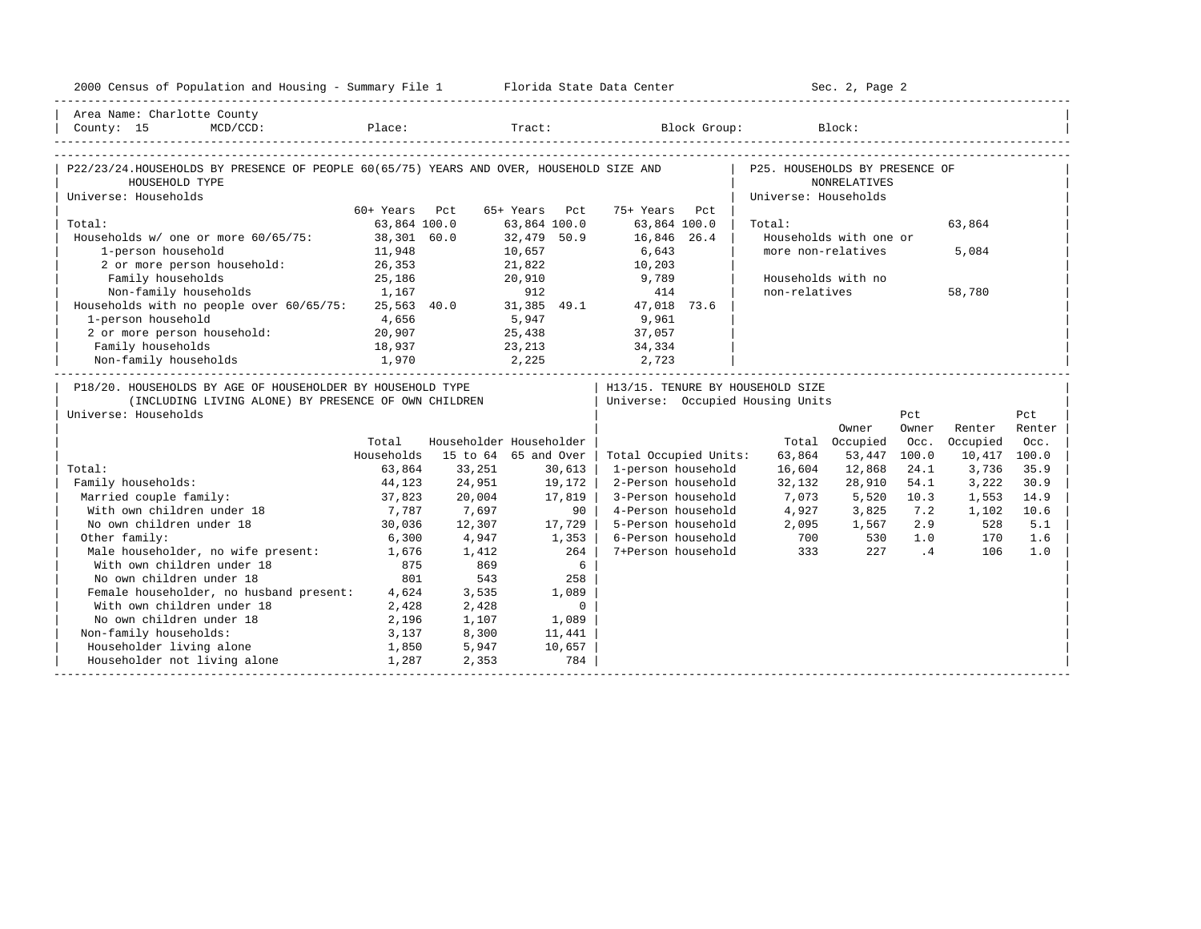| 2000 Census of Population and Housing - Summary File 1 Florida State Data Center                                                           |               |        |                         |                                                                      |                                | Sec. 2, Page 2         |                |              |        |
|--------------------------------------------------------------------------------------------------------------------------------------------|---------------|--------|-------------------------|----------------------------------------------------------------------|--------------------------------|------------------------|----------------|--------------|--------|
| Area Name: Charlotte County<br>MCD/CCD: Place: Tract: Block Group: Block:<br>County: 15                                                    |               |        |                         |                                                                      |                                |                        |                |              |        |
|                                                                                                                                            |               |        |                         |                                                                      |                                |                        |                |              |        |
| P22/23/24.HOUSEHOLDS BY PRESENCE OF PEOPLE 60(65/75) YEARS AND OVER, HOUSEHOLD SIZE AND<br>HOUSEHOLD TYPE                                  |               |        |                         |                                                                      | P25. HOUSEHOLDS BY PRESENCE OF | <b>NONRELATIVES</b>    |                |              |        |
| Universe: Households                                                                                                                       | 60+ Years Pct |        | 65+ Years Pct           | 75+ Years Pct                                                        | Universe: Households           |                        |                |              |        |
| Total:                                                                                                                                     | 63,864 100.0  |        | 63,864 100.0            | 63,864 100.0                                                         | Total:                         |                        |                | 63,864       |        |
| Households w/ one or more 60/65/75: 38,301 60.0                                                                                            |               |        | 32,479 50.9             | 16,846 26.4                                                          |                                | Households with one or |                |              |        |
| 1-person household                                                                                                                         | 11,948        |        | 10,657                  | 6,643                                                                |                                | more non-relatives     |                | 5,084        |        |
| 2 or more person household: 26,353                                                                                                         |               |        | $\frac{1}{21}$ , 822    | 10,203                                                               |                                |                        |                |              |        |
| Family households                                                                                                                          | 25,186        |        | 20,910                  | 9,789                                                                |                                | Households with no     |                |              |        |
| Non-family households                                                                                                                      | 1,167         |        | 912                     | 414                                                                  | non-relatives                  |                        |                | 58,780       |        |
| Households with no people over 60/65/75: 25,563 40.0 31,385 49.1 47,018 73.6                                                               |               |        |                         |                                                                      |                                |                        |                |              |        |
| 1-person household                                                                                                                         | 4,656         |        | 5,947                   | 9,961                                                                |                                |                        |                |              |        |
| 2 or more person household:                                                                                                                | 20,907        |        | 25,438                  | 37,057                                                               |                                |                        |                |              |        |
| Family households                                                                                                                          | 18,937        |        | 23,213                  | 34,334                                                               |                                |                        |                |              |        |
| 1,970<br>Non-family households                                                                                                             |               | 2, 225 |                         | 2,723                                                                |                                |                        |                |              |        |
| P18/20. HOUSEHOLDS BY AGE OF HOUSEHOLDER BY HOUSEHOLD TYPE<br>(INCLUDING LIVING ALONE) BY PRESENCE OF OWN CHILDREN<br>Universe: Households |               |        |                         | H13/15. TENURE BY HOUSEHOLD SIZE<br>Universe: Occupied Housing Units |                                |                        | Pct            |              | Pct    |
|                                                                                                                                            |               |        |                         |                                                                      |                                | Owner                  | Owner          | Renter       | Renter |
|                                                                                                                                            | Total         |        | Householder Householder |                                                                      |                                | Total Occupied         | Occ.           | Occupied     | Occ.   |
|                                                                                                                                            | Households    |        | 15 to 64 65 and Over    | Total Occupied Units:                                                | 63,864                         | 53,447                 | 100.0          | 10,417 100.0 |        |
| Total:                                                                                                                                     | 63,864        | 33,251 | 30,613                  | 1-person household                                                   | 16,604                         | 12,868                 | 24.1           | 3,736        | 35.9   |
| Family households:                                                                                                                         | 44,123        | 24,951 | 19,172                  | 2-Person household                                                   | 32,132                         | 28,910                 | 54.1           | 3,222        | 30.9   |
| Married couple family:                                                                                                                     | 37,823        | 20,004 | 17,819                  | 3-Person household                                                   | 7,073                          | 5,520                  | 10.3           | 1,553        | 14.9   |
| With own children under 18                                                                                                                 | 7,787         | 7,697  |                         | 4-Person household<br>90 I                                           | 4,927                          | 3,825                  | 7.2            | 1,102        | 10.6   |
| No own children under 18                                                                                                                   | 30,036        | 12,307 | $17,729$                | 5-Person household                                                   | 2,095                          | 1,567                  | 2.9            | 528          | 5.1    |
| Other family:                                                                                                                              | 6,300         | 4,947  | 1,353                   | 6-Person household                                                   | 700                            | 530                    | 1.0            | 170          | 1.6    |
| Male householder, no wife present:<br>With own children under 18                                                                           | 1,676         | 1,412  | 264                     | 7+Person household                                                   | 333                            | 227                    | $\overline{4}$ | 106          | 1.0    |
|                                                                                                                                            | 875           | 869    |                         | 6                                                                    |                                |                        |                |              |        |
| No own children under 18                                                                                                                   | 801           | 543    | 258                     |                                                                      |                                |                        |                |              |        |
| Female householder, no husband present: 4,624                                                                                              |               | 3,535  | 1,089                   |                                                                      |                                |                        |                |              |        |
| With own children under 18                                                                                                                 | 2,428         | 2,428  |                         | $\mathbf 0$                                                          |                                |                        |                |              |        |
| No own children under 18                                                                                                                   | 2,196         | 1,107  | 1,089                   |                                                                      |                                |                        |                |              |        |
| Non-family households:                                                                                                                     | 3,137         | 8,300  | 11,441                  |                                                                      |                                |                        |                |              |        |
| Householder living alone                                                                                                                   | 1,850         | 5,947  | 10,657                  |                                                                      |                                |                        |                |              |        |
| Householder not living alone                                                                                                               | 1,287         | 2,353  |                         | 784                                                                  |                                |                        |                |              |        |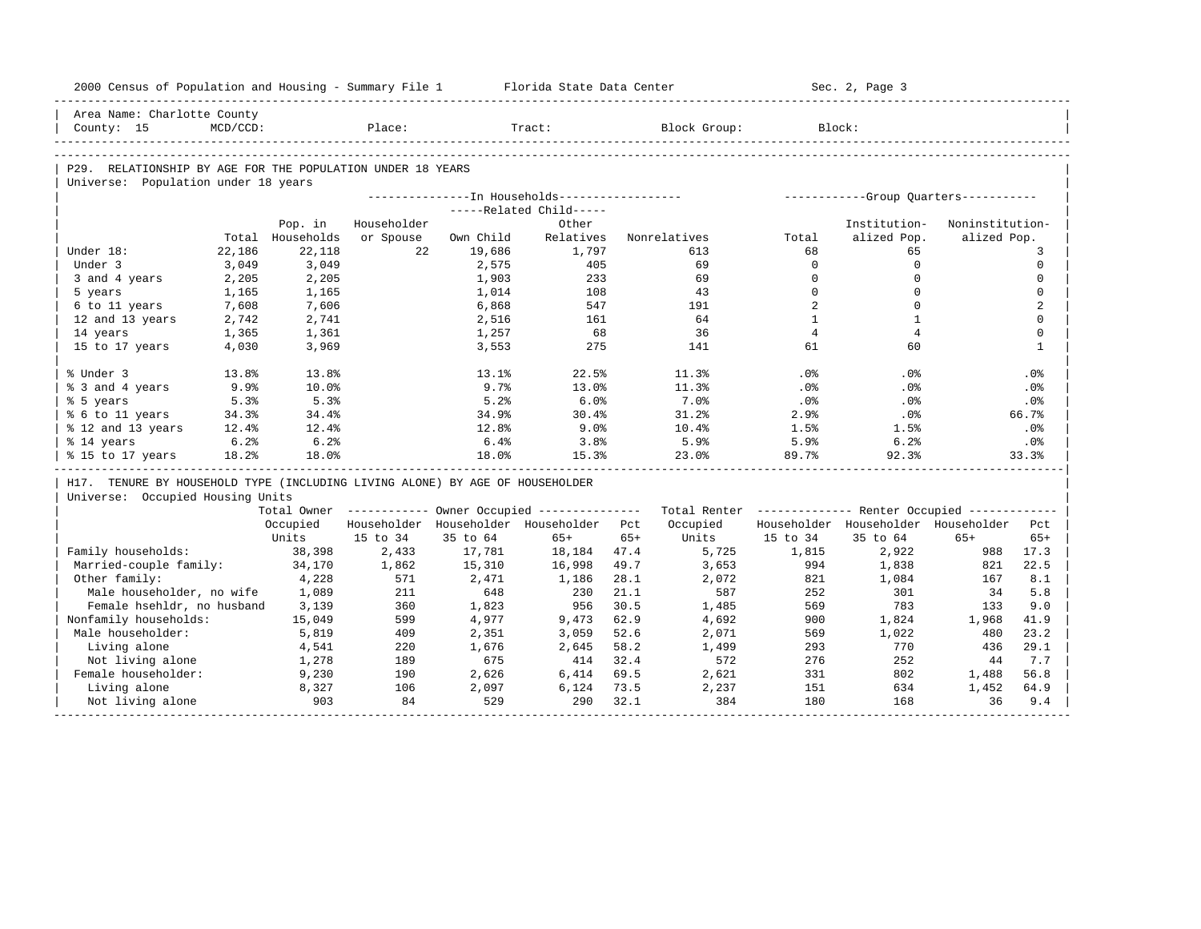|                    | 2000 Census of Population and Housing - Summary File 1                       |                  |             |              | Florida State Data Center                             |              |                                                         |                | Sec. 2, Page 3                        |                 |                |
|--------------------|------------------------------------------------------------------------------|------------------|-------------|--------------|-------------------------------------------------------|--------------|---------------------------------------------------------|----------------|---------------------------------------|-----------------|----------------|
|                    | Area Name: Charlotte County                                                  |                  |             |              |                                                       |              |                                                         |                |                                       |                 |                |
| County: 15         | $MCD/CCD$ :                                                                  |                  | Place:      |              | Tract:                                                |              | Block Group:                                            |                | Block:                                |                 |                |
|                    |                                                                              |                  |             |              |                                                       |              |                                                         |                |                                       |                 |                |
|                    | P29. RELATIONSHIP BY AGE FOR THE POPULATION UNDER 18 YEARS                   |                  |             |              |                                                       |              |                                                         |                |                                       |                 |                |
|                    | Universe: Population under 18 years                                          |                  |             |              |                                                       |              |                                                         |                |                                       |                 |                |
|                    |                                                                              |                  |             |              | ---------------- In Households------------------      |              |                                                         |                | ------------Group Quarters----------- |                 |                |
|                    |                                                                              |                  |             |              | -----Related Child-----                               |              |                                                         |                |                                       |                 |                |
|                    |                                                                              | Pop. in          | Householder |              | Other                                                 |              |                                                         |                | Institution-                          | Noninstitution- |                |
|                    |                                                                              | Total Households | or Spouse   | Own Child    | Relatives                                             |              | Nonrelatives                                            | Total          | alized Pop.                           | alized Pop.     |                |
| Under 18:          | 22,186                                                                       | 22,118           | 22          | 19,686       | 1,797                                                 |              | 613                                                     | 68             | 65                                    |                 | 3              |
| Under 3            | 3,049                                                                        | 3,049            |             | 2,575        | 405                                                   |              | 69                                                      | $\Omega$       | $\Omega$                              |                 | $\mathbf{0}$   |
| 3 and 4 years      | 2,205                                                                        | 2,205            |             | 1,903        | 233                                                   |              | 69                                                      | $\Omega$       | $\mathbf 0$                           |                 | $\mathbf 0$    |
| 5 years            | 1,165                                                                        | 1,165            |             | 1,014        | 108                                                   |              | 43                                                      | $\Omega$       | $\Omega$                              |                 | $\Omega$       |
| 6 to 11 years      | 7,608                                                                        | 7,606            |             | 6,868        | 547                                                   |              | 191                                                     | $\overline{2}$ | $\Omega$                              |                 | $\overline{2}$ |
| 12 and 13 years    | 2,742                                                                        | 2,741            |             | 2,516        | 161                                                   |              | 64                                                      | $\mathbf{1}$   | $\mathbf{1}$                          |                 | $\Omega$       |
| 14 years           | 1,365                                                                        | 1,361            |             | 1,257        | 68                                                    |              | 36                                                      | $\overline{4}$ | $\overline{4}$                        |                 | $\mathbf 0$    |
| 15 to 17 years     | 4,030                                                                        | 3,969            |             | 3,553        | 275                                                   |              | 141                                                     | 61             | 60                                    |                 | $\mathbf{1}$   |
| % Under 3          | 13.8%                                                                        | 13.8%            |             | 13.1%        | 22.5%                                                 |              | 11.3%                                                   | .0%            | .0%                                   |                 | .0%            |
| % 3 and 4 years    | 9.9%                                                                         | 10.0%            |             | 9.7%         | 13.0%                                                 |              | 11.3%                                                   | .0%            | .0%                                   |                 | .0%            |
| % 5 years          | 5.3%                                                                         | 5.3%             |             | 5.2%         | 6.0%                                                  |              | 7.0%                                                    | .0%            | .0%                                   |                 | .0%            |
| % 6 to 11 years    | 34.3%                                                                        | 34.4%            |             | 34.9%        | 30.4%                                                 |              | 31.2%                                                   | 2.9%           | .0%                                   |                 | 66.7%          |
| % 12 and 13 years  | 12.4%                                                                        | 12.4%            |             | 12.8%        | 9.0%                                                  |              | 10.4%                                                   | 1.5%           | 1.5%                                  |                 | .0%            |
| % 14 years         | 6.2%                                                                         | 6.2%             |             | 6.4%         | 3.8%                                                  |              | 5.9%                                                    | 5.9%           | 6.2%                                  |                 | .0%            |
| % 15 to 17 years   | 18.2%                                                                        | 18.0%            |             | 18.0%        | 15.3%                                                 |              | 23.0%                                                   | 89.7%          | 92.3%                                 |                 | 33.3%          |
|                    | H17. TENURE BY HOUSEHOLD TYPE (INCLUDING LIVING ALONE) BY AGE OF HOUSEHOLDER |                  |             |              |                                                       |              |                                                         |                |                                       |                 |                |
|                    | Universe: Occupied Housing Units                                             |                  |             |              |                                                       |              |                                                         |                |                                       |                 |                |
|                    |                                                                              |                  |             |              | Total Owner ----------- Owner Occupied -------------- |              | Total Renter ------------- Renter Occupied ------------ |                |                                       |                 |                |
|                    |                                                                              | Occupied         |             |              | Householder Householder Householder Pct               |              | Occupied                                                |                | Householder Householder Householder   |                 | Pct            |
|                    |                                                                              | Units            | 15 to 34    | 35 to 64     | $65+$                                                 | $65+$        | Units                                                   | 15 to 34       | 35 to 64                              | $65+$           | $65+$          |
| Family households: |                                                                              | 38,398           | 2,433       | 17,781       | 18,184                                                | 47.4         | 5,725                                                   | 1,815          | 2,922                                 | 988             | 17.3           |
|                    | Married-couple family:                                                       | 34,170           | 1,862       | 15,310       | 16,998                                                | 49.7         | 3,653                                                   | 994            | 1,838                                 | 821             | 22.5           |
| Other family:      |                                                                              | 4,228            | 571         | 2,471        | 1,186                                                 | 28.1         | 2,072                                                   | 821            | 1,084                                 | 167             | 8.1            |
|                    | Male householder, no wife                                                    | 1,089            | 211         | 648          | 230                                                   | 21.1         | 587                                                     | 252            | 301                                   | 34              | 5.8            |
|                    | Female hsehldr, no husband                                                   | 3,139            | 360         | 1,823        | 956                                                   | 30.5         | 1,485                                                   | 569            | 783                                   | 133             | 9.0            |
|                    | Nonfamily households:                                                        | 15,049           | 599         | 4,977        | 9,473                                                 | 62.9         | 4,692                                                   | 900            | 1,824                                 | 1,968           | 41.9           |
| Male householder:  |                                                                              | 5,819            | 409         | 2,351        | 3,059                                                 | 52.6         | 2,071                                                   | 569            | 1,022                                 | 480             | 23.2           |
| Living alone       |                                                                              | 4,541            | 220         | 1,676        | 2,645                                                 | 58.2         | 1,499                                                   | 293            | 770                                   | 436             | 29.1           |
|                    | Not living alone                                                             | 1,278            | 189         | 675          | 414                                                   | 32.4         | 572                                                     | 276            | 252                                   | 44              | 7.7            |
|                    | Female householder:                                                          | 9,230            | 190         | 2,626        | 6,414                                                 | 69.5         | 2,621                                                   | 331            | 802                                   | 1,488           | 56.8           |
| Living alone       |                                                                              | 8,327            | 106<br>84   | 2,097<br>529 | 6,124<br>290                                          | 73.5<br>32.1 | 2,237<br>384                                            | 151            | 634                                   | 1,452<br>36     | 64.9<br>9.4    |
|                    | Not living alone                                                             | 903              |             |              |                                                       |              |                                                         | 180            | 168                                   |                 |                |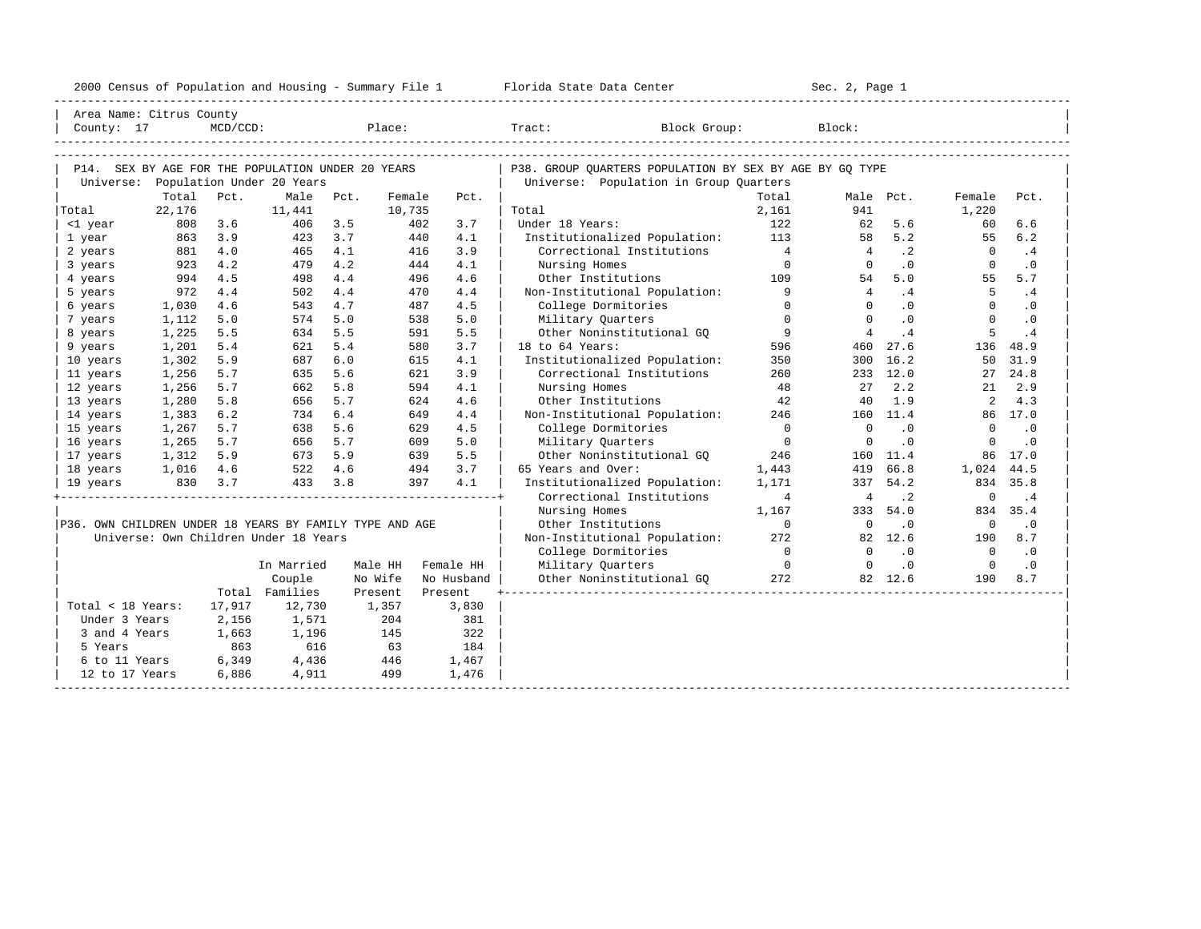|                                                         |                          |             |                                                   |            |         |                          | 2000 Census of Population and Housing - Summary File 1 Florida State Data Center |                               |                | Sec. 2, Page 1 |             |                |            |
|---------------------------------------------------------|--------------------------|-------------|---------------------------------------------------|------------|---------|--------------------------|----------------------------------------------------------------------------------|-------------------------------|----------------|----------------|-------------|----------------|------------|
|                                                         | Area Name: Citrus County |             |                                                   |            |         |                          |                                                                                  |                               |                |                |             |                |            |
| County: 17                                              |                          | $MCD/CCD$ : |                                                   |            |         | explorer that the place: | Tract: Block Group:                                                              |                               |                | Block:         |             |                |            |
|                                                         |                          |             |                                                   |            |         |                          |                                                                                  |                               |                |                |             |                |            |
|                                                         |                          |             | P14. SEX BY AGE FOR THE POPULATION UNDER 20 YEARS |            |         |                          | P38. GROUP OUARTERS POPULATION BY SEX BY AGE BY GO TYPE                          |                               |                |                |             |                |            |
|                                                         |                          |             | Universe: Population Under 20 Years               |            |         |                          | Universe: Population in Group Quarters                                           |                               |                |                |             |                |            |
|                                                         | Total                    | Pct.        | Male                                              | Pct.       | Female  | Pct.                     |                                                                                  |                               | Total          | Male Pct.      |             | Female         | Pct.       |
| Total                                                   | 22,176                   |             | 11,441                                            |            | 10,735  |                          | Total                                                                            |                               | 2,161          | 941            |             | 1,220          |            |
| <1 year                                                 | 808                      | 3.6<br>3.9  | 406                                               | 3.5<br>3.7 |         | 402<br>3.7<br>440        | Under 18 Years:                                                                  |                               | 122<br>113     | 62<br>58       | 5.6<br>5.2  | 60<br>55       | 6.6<br>6.2 |
| 1 year<br>2 years                                       | 863<br>881               | 4.0         | 423<br>465                                        | 4.1        |         | 4.1<br>3.9<br>416        | Institutionalized Population:                                                    | Correctional Institutions     | $\overline{4}$ | $\frac{4}{3}$  | $\cdot$ 2   | $\overline{0}$ | . 4        |
| 3 years                                                 | 923                      | 4.2         | 479                                               | 4.2        |         | 444<br>4.1               | Nursing Homes                                                                    |                               | $\overline{0}$ | $\Omega$       | $\cdot$ 0   | $\Omega$       | $\cdot$ 0  |
| 4 years                                                 | 994                      | 4.5         | 498                                               | 4.4        |         | 496<br>4.6               | Other Institutions                                                               |                               | 109            | 54             | 5.0         | 55             | 5.7        |
| 5 years                                                 | 972                      | 4.4         | 502                                               | 4.4        |         | 470<br>4.4               | Non-Institutional Population:                                                    |                               | $\overline{9}$ | 4              | .4          | -5             | .4         |
| 6 years                                                 | 1,030                    | 4.6         | 543                                               | 4.7        |         | 487<br>4.5               | College Dormitories                                                              |                               | $\Omega$       | $\Omega$       | $\cdot$ 0   | $\Omega$       | $\cdot$ 0  |
| 7 years                                                 | 1,112                    | 5.0         | 574                                               | 5.0        |         | 538<br>5.0               | Military Quarters                                                                |                               | $\Omega$       | $\Omega$       | $\cdot$ 0   | $\Omega$       | $\cdot$ 0  |
| 8 years                                                 | 1,225                    | 5.5         | 634                                               | 5.5        |         | 591<br>5.5               | Other Noninstitutional GQ                                                        |                               | 9              | $\overline{4}$ | .4          | 5              | .4         |
| 9 years                                                 | 1,201                    | 5.4         | 621                                               | 5.4        |         | 3.7<br>580               | 18 to 64 Years:                                                                  |                               | 596            |                | 460 27.6    | 136            | 48.9       |
| 10 years                                                | 1,302                    | 5.9         | 687                                               | 6.0        |         | 4.1<br>615               | Institutionalized Population:                                                    |                               | 350            |                | 300 16.2    | 50             | 31.9       |
| 11 years                                                | 1,256                    | 5.7         | 635                                               | 5.6        |         | 621<br>3.9               | Correctional Institutions                                                        |                               | 260            |                | 233 12.0    |                | 27 24.8    |
| 12 years                                                | 1,256                    | 5.7         | 662                                               | 5.8        |         | 4.1<br>594               | Nursing Homes                                                                    |                               | 48             | 27             | 2.2         | 21             | 2.9        |
| 13 years                                                | 1,280                    | 5.8         | 656                                               | 5.7        |         | 624<br>4.6               | Other Institutions                                                               |                               | 42             | 40             | 1.9         | $\overline{a}$ | 4.3        |
| 14 years                                                | 1,383                    | 6.2         | 734                                               | 6.4        |         | 649<br>4.4               | Non-Institutional Population:                                                    |                               | 246            |                | 160 11.4    |                | 86 17.0    |
| 15 years                                                | 1,267                    | 5.7         | 638                                               | 5.6        |         | 629<br>4.5               | College Dormitories                                                              |                               | $\Omega$       | $\Omega$       | $\cdot$ 0   | $\Omega$       | $\cdot$ 0  |
| 16 years                                                | 1,265                    | 5.7         | 656                                               | 5.7        |         | 609<br>5.0               | Military Quarters                                                                |                               | $\Omega$       | $\Omega$       | $\cdot$ 0   | $\Omega$       | $\cdot$ 0  |
| 17 years                                                | 1,312                    | 5.9         | 673                                               | 5.9        |         | 639<br>5.5               | Other Noninstitutional GO                                                        |                               | 246            |                | 160 11.4    | 86             | 17.0       |
| 18 years                                                | 1,016                    | 4.6         | 522 4.6                                           |            |         | 494<br>3.7               | 65 Years and Over:                                                               |                               | 1,443          |                | 419 66.8    | 1,024          | 44.5       |
| 19 years                                                |                          | 830 3.7     | 433                                               | 3.8        |         | 397<br>4.1               | Institutionalized Population:                                                    |                               | 1,171          |                | 337 54.2    |                | 834 35.8   |
|                                                         |                          |             |                                                   |            |         |                          | Correctional Institutions                                                        |                               | 4              | 4              | $\cdot$ . 2 | $\mathbf 0$    | $\cdot$ 4  |
|                                                         |                          |             |                                                   |            |         |                          | Nursing Homes                                                                    |                               | 1,167          |                | 333 54.0    | 834            | 35.4       |
| P36. OWN CHILDREN UNDER 18 YEARS BY FAMILY TYPE AND AGE |                          |             |                                                   |            |         |                          | Other Institutions                                                               |                               | $\Omega$       | $\overline{0}$ | $\cdot$ 0   | $\overline{0}$ | $\cdot$ 0  |
|                                                         |                          |             | Universe: Own Children Under 18 Years             |            |         |                          | Non-Institutional Population:                                                    |                               | 272            |                | 82 12.6     | 190            | 8.7        |
|                                                         |                          |             |                                                   |            |         |                          | College Dormitories                                                              |                               | $\overline{0}$ | $\Omega$       | $\cdot$ 0   | $\overline{0}$ | $\cdot$ 0  |
|                                                         |                          |             | In Married                                        |            | Male HH | Female HH                | Military Quarters                                                                |                               | $\overline{0}$ | $\overline{0}$ | $\cdot$ 0   | $\overline{0}$ | $\cdot$ 0  |
|                                                         |                          |             | Couple                                            |            | No Wife | No Husband               |                                                                                  | Other Noninstitutional GO 372 |                |                | 82 12.6     | 190            | 8.7        |
|                                                         |                          |             | Total Families                                    |            | Present | Present                  |                                                                                  |                               |                |                |             |                |            |
| Total < 18 Years:                                       |                          | 17,917      | 12,730                                            |            | 1,357   | 3,830                    |                                                                                  |                               |                |                |             |                |            |
| Under 3 Years                                           |                          | 2,156       | 1,571                                             |            | 204     | 381                      |                                                                                  |                               |                |                |             |                |            |
| 3 and 4 Years                                           |                          | 1,663       | 1,196                                             |            | 145     | 322                      |                                                                                  |                               |                |                |             |                |            |
| 5 Years                                                 |                          | 863         | 616                                               |            | 63      | 184                      |                                                                                  |                               |                |                |             |                |            |
| 6 to 11 Years                                           |                          | 6,349       | 4,436                                             |            | 446     | 1,467                    |                                                                                  |                               |                |                |             |                |            |
| 12 to 17 Years                                          |                          | 6,886       | 4,911                                             |            | 499     | 1,476                    |                                                                                  |                               |                |                |             |                |            |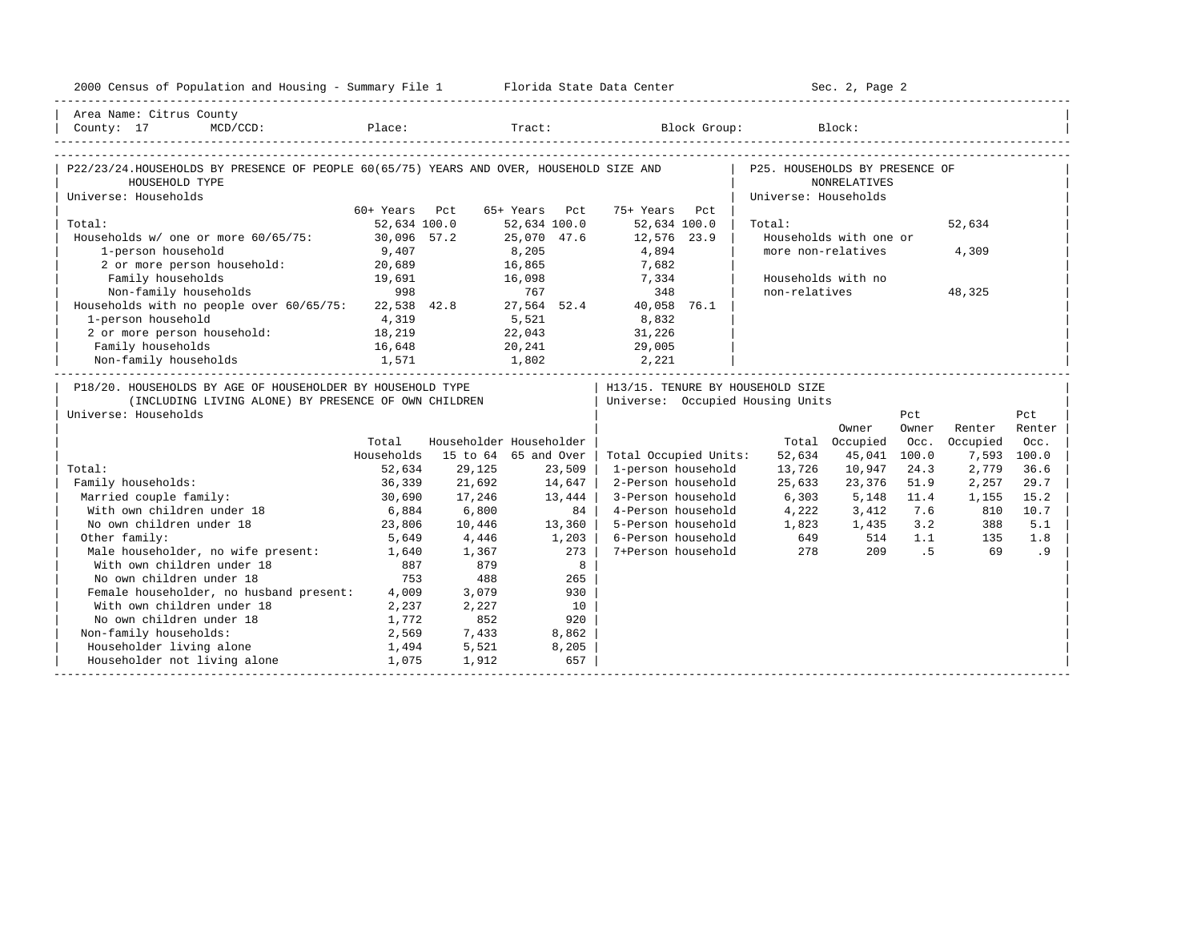| 2000 Census of Population and Housing - Summary File 1 Florida State Data Center                          |                |                |                         |                                            |                                | Sec. 2, Page 2         |       |          |             |
|-----------------------------------------------------------------------------------------------------------|----------------|----------------|-------------------------|--------------------------------------------|--------------------------------|------------------------|-------|----------|-------------|
| Area Name: Citrus County                                                                                  |                |                |                         |                                            |                                |                        |       |          |             |
| County: 17                                                                                                |                |                |                         | MCD/CCD: Place: Tract: Block Group: Block: |                                |                        |       |          |             |
|                                                                                                           |                |                |                         |                                            |                                |                        |       |          |             |
| P22/23/24.HOUSEHOLDS BY PRESENCE OF PEOPLE 60(65/75) YEARS AND OVER, HOUSEHOLD SIZE AND<br>HOUSEHOLD TYPE |                |                |                         |                                            | P25. HOUSEHOLDS BY PRESENCE OF | <b>NONRELATIVES</b>    |       |          |             |
| Universe: Households                                                                                      |                |                |                         |                                            | Universe: Households           |                        |       |          |             |
|                                                                                                           | 60+ Years Pct  |                | 65+ Years Pct           | 75+ Years Pct                              |                                |                        |       |          |             |
| Total:                                                                                                    | 52,634 100.0   |                | 52,634 100.0            | 52,634 100.0                               | Total:                         |                        |       | 52,634   |             |
| Households w/ one or more 60/65/75: 30,096 57.2                                                           |                |                | 25,070 47.6             | 12,576 23.9                                |                                | Households with one or |       |          |             |
| 1-person household                                                                                        | 9,407          |                | 8,205                   | 4,894                                      |                                | more non-relatives     |       | 4,309    |             |
| 2 or more person household: 20,689                                                                        |                |                | 16,865                  | 7,682                                      |                                |                        |       |          |             |
| Family households                                                                                         | 19,691<br>998  |                | 16,098                  | 7,334                                      |                                | Households with no     |       |          |             |
| Non-family households                                                                                     |                |                | 767                     | 348                                        | non-relatives                  |                        |       | 48,325   |             |
| Households with no people over 60/65/75: 22,538 42.8 27,564 52.4                                          |                |                |                         | 40,058 76.1                                |                                |                        |       |          |             |
| 1-person household                                                                                        | 4,319          |                | 5,521                   | 8,832                                      |                                |                        |       |          |             |
| 2 or more person household:                                                                               | 18,219         |                | 22,043                  | 31,226                                     |                                |                        |       |          |             |
| Family households                                                                                         | 16,648         |                | 20,241                  | 29,005                                     |                                |                        |       |          |             |
| 1,571<br>Non-family households                                                                            |                |                | 1,802 2,221             |                                            |                                |                        |       |          |             |
| P18/20. HOUSEHOLDS BY AGE OF HOUSEHOLDER BY HOUSEHOLD TYPE                                                |                |                |                         | H13/15. TENURE BY HOUSEHOLD SIZE           |                                |                        |       |          |             |
| (INCLUDING LIVING ALONE) BY PRESENCE OF OWN CHILDREN                                                      |                |                |                         | Universe: Occupied Housing Units           |                                |                        |       |          |             |
| Universe: Households                                                                                      |                |                |                         |                                            |                                |                        | Pct   |          | Pct         |
|                                                                                                           |                |                |                         |                                            |                                | Owner                  | Owner | Renter   | Renter      |
|                                                                                                           | Total          |                | Householder Householder |                                            |                                | Total Occupied         | Occ.  | Occupied | Occ.        |
|                                                                                                           | Households     |                | 15 to 64 65 and Over    | Total Occupied Units:                      | 52,634                         | 45,041                 | 100.0 |          | 7,593 100.0 |
| Total:                                                                                                    | 52,634         | 29,125         | 23,509                  | 1-person household                         | 13,726                         | 10,947                 | 24.3  | 2,779    | 36.6        |
| Family households:                                                                                        | 36,339         | 21,692         | 14,647                  | 2-Person household                         | 25,633                         | 23,376                 | 51.9  | 2,257    | 29.7        |
| Married couple family:                                                                                    | 30,690         | 17,246         | 13,444                  | 3-Person household                         | 6,303                          | 5,148                  | 11.4  | 1,155    | 15.2        |
| With own children under 18                                                                                | 6,884          | 6,800          | 84                      | 4-Person household                         | 4,222                          | 3,412                  | 7.6   | 810      | 10.7        |
| No own children under 18                                                                                  | 23,806         | 10,446         | $13,360$                | 5-Person household 1,823                   |                                | 1,435                  | 3.2   | 388      | 5.1         |
| Other family:                                                                                             | 5,649          | 4,446          | 1,203                   | 6-Person household                         | 649                            | 514                    | 1.1   | 135      | 1.8         |
| Male householder, no wife present: 1,640<br>With own children under 18 887                                |                | 1,367          | 273                     | 7+Person household                         | 278                            | 209                    | .5    | 69       | .9          |
|                                                                                                           |                | 879            | 8                       |                                            |                                |                        |       |          |             |
| No own children under 18                                                                                  | 753            | 488            | 265                     |                                            |                                |                        |       |          |             |
| Female householder, no husband present: 4,009                                                             |                | 3,079          | 930                     |                                            |                                |                        |       |          |             |
| With own children under 18<br>No own children under 18                                                    | 2,237          | 2,227          | 10                      |                                            |                                |                        |       |          |             |
|                                                                                                           | 1,772          | 852            | 920                     |                                            |                                |                        |       |          |             |
| Non-family households:<br>Householder living alone                                                        | 2,569          | 7,433          | 8,862                   |                                            |                                |                        |       |          |             |
| Householder not living alone                                                                              | 1,494<br>1,075 | 5,521<br>1,912 | 8,205<br>657            |                                            |                                |                        |       |          |             |
|                                                                                                           |                |                |                         |                                            |                                |                        |       |          |             |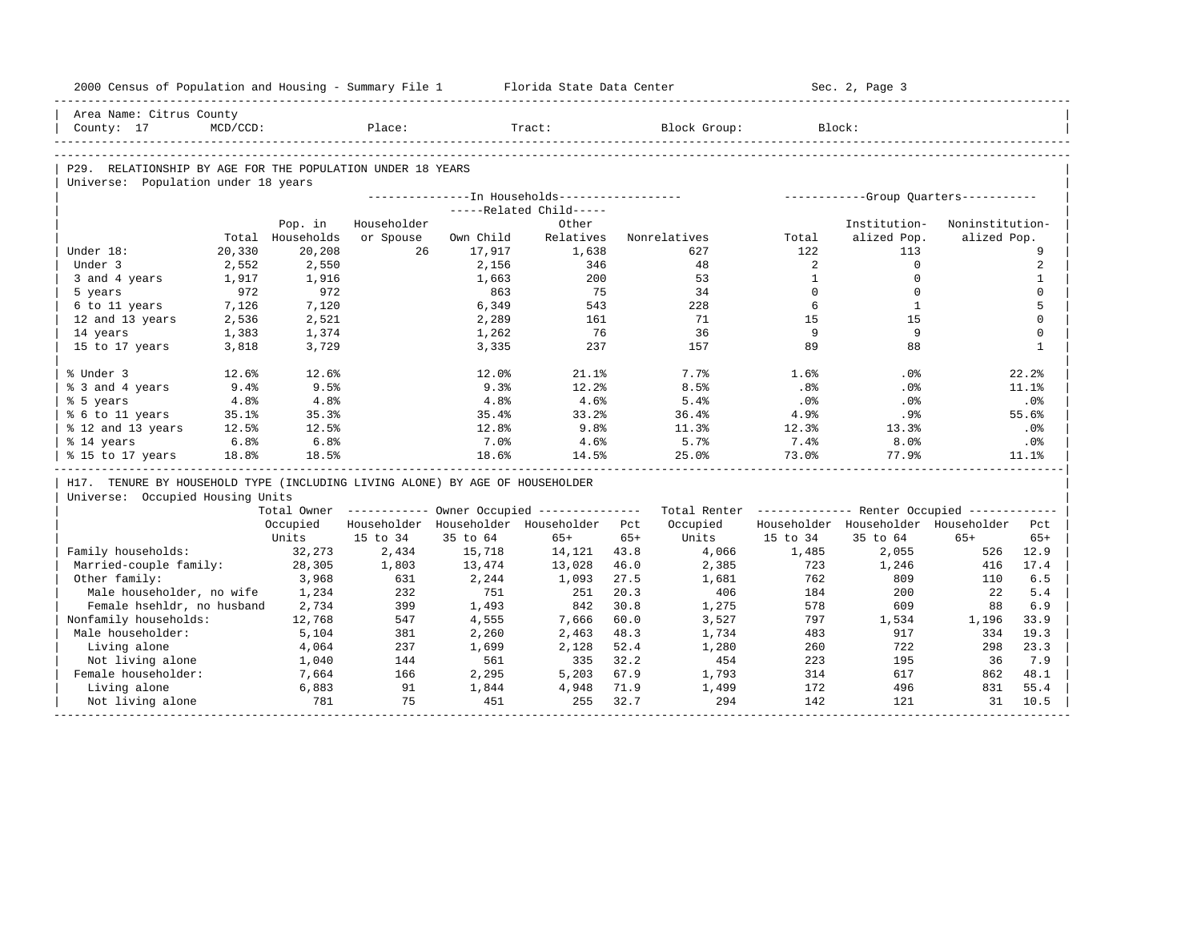| 2000 Census of Population and Housing - Summary File 1 Florida State Data Center |          |                  |             |           |                                                       |       |                                                         |              | Sec. 2, Page 3                          |                 |              |
|----------------------------------------------------------------------------------|----------|------------------|-------------|-----------|-------------------------------------------------------|-------|---------------------------------------------------------|--------------|-----------------------------------------|-----------------|--------------|
| Area Name: Citrus County                                                         |          |                  |             |           |                                                       |       |                                                         |              |                                         |                 |              |
| County: 17                                                                       | MCD/CCD: |                  | Place:      |           | Tract:                                                |       | Block Group:                                            |              | Block:                                  |                 |              |
|                                                                                  |          |                  |             |           |                                                       |       |                                                         |              |                                         |                 |              |
| P29. RELATIONSHIP BY AGE FOR THE POPULATION UNDER 18 YEARS                       |          |                  |             |           |                                                       |       |                                                         |              |                                         |                 |              |
| Universe: Population under 18 years                                              |          |                  |             |           |                                                       |       |                                                         |              |                                         |                 |              |
|                                                                                  |          |                  |             |           | --------------In Households------------------         |       |                                                         |              | ------------Group Quarters-----------   |                 |              |
|                                                                                  |          |                  |             |           | -----Related Child-----                               |       |                                                         |              |                                         |                 |              |
|                                                                                  |          | Pop. in          | Householder |           | Other                                                 |       |                                                         |              | Institution-                            | Noninstitution- |              |
|                                                                                  |          | Total Households | or Spouse   | Own Child | Relatives                                             |       | Nonrelatives                                            | Total        | alized Pop.                             | alized Pop.     |              |
| Under 18:                                                                        | 20,330   | 20,208           | 26          | 17,917    | 1,638                                                 |       | 627                                                     | 122          | 113                                     |                 | 9            |
| Under 3                                                                          | 2,552    | 2,550            |             | 2,156     | 346                                                   |       | 48                                                      | 2            | $\mathbf{0}$                            |                 | 2            |
| 3 and 4 years                                                                    | 1,917    | 1,916            |             | 1,663     | 200                                                   |       | 53                                                      | $\mathbf{1}$ | $\Omega$                                |                 | $\mathbf{1}$ |
| 5 years                                                                          | 972      | 972              |             | 863       | 75                                                    |       | 34                                                      | $\Omega$     | $\Omega$                                |                 | $\mathbf{0}$ |
| 6 to 11 years                                                                    | 7,126    | 7,120            |             | 6,349     | 543                                                   |       | 228                                                     | 6            | <sup>1</sup>                            |                 | 5            |
| 12 and 13 years                                                                  | 2,536    | 2,521            |             | 2,289     | 161                                                   |       | 71                                                      | 15           | 15                                      |                 | $\mathbf 0$  |
| 14 years                                                                         | 1,383    | 1,374            |             | 1,262     | 76                                                    |       | 36                                                      | 9            | 9                                       |                 | $\mathbf 0$  |
| 15 to 17 years                                                                   | 3,818    | 3,729            |             | 3,335     | 237                                                   |       | 157                                                     | 89           | 88                                      |                 | $\mathbf{1}$ |
| % Under 3                                                                        | 12.6%    | 12.6%            |             | 12.0%     | 21.1%                                                 |       | 7.7%                                                    | 1.6%         | .0%                                     |                 | 22.2%        |
| % 3 and 4 years                                                                  | 9.4%     | 9.5%             |             | 9.3%      | 12.2%                                                 |       | 8.5%                                                    | .8%          | $.0\%$                                  |                 | 11.1%        |
| % 5 years                                                                        | 4.8%     | 4.8%             |             | 4.8%      | 4.6%                                                  |       | 5.4%                                                    | .0%          | .0%                                     |                 | .0%          |
| % 6 to 11 years                                                                  | 35.1%    | 35.3%            |             | 35.4%     | 33.2%                                                 |       | 36.4%                                                   | 4.9%         | .9%                                     |                 | 55.6%        |
| % 12 and 13 years                                                                | 12.5%    | 12.5%            |             | 12.8%     | 9.8%                                                  |       | 11.3%                                                   | 12.3%        | 13.3%                                   |                 | .0%          |
| % 14 years                                                                       | 6.8%     | 6.8%             |             | 7.0%      | 4.6%                                                  |       | 5.7%                                                    | 7.4%         | 8.0%                                    |                 | .0%          |
| % 15 to 17 years                                                                 | 18.8%    | 18.5%            |             | 18.6%     | 14.5%                                                 |       | 25.0%                                                   | 73.0%        | 77.9%                                   |                 | 11.1%        |
| H17. TENURE BY HOUSEHOLD TYPE (INCLUDING LIVING ALONE) BY AGE OF HOUSEHOLDER     |          |                  |             |           |                                                       |       |                                                         |              |                                         |                 |              |
| Universe: Occupied Housing Units                                                 |          |                  |             |           |                                                       |       |                                                         |              |                                         |                 |              |
|                                                                                  |          |                  |             |           | Total Owner ----------- Owner Occupied -------------- |       | Total Renter ------------- Renter Occupied ------------ |              |                                         |                 |              |
|                                                                                  |          | Occupied         |             |           | Householder Householder Householder Pct               |       | Occupied                                                |              | Householder Householder Householder Pct |                 |              |
|                                                                                  |          | Units            | 15 to 34    | 35 to 64  | $65+$                                                 | $65+$ | Units                                                   | 15 to 34     | 35 to 64                                | $65+$           | $65+$        |
| Family households:                                                               |          | 32,273           | 2,434       | 15,718    | 14,121 43.8                                           |       | 4,066                                                   | 1,485        | 2,055                                   | 526             | 12.9         |
| Married-couple family:                                                           |          | 28,305           | 1,803       | 13,474    | 13,028                                                | 46.0  | 2,385                                                   | 723          | 1,246                                   | 416             | 17.4         |
| Other family:                                                                    |          | 3,968            | 631         | 2,244     | 1,093                                                 | 27.5  | 1,681                                                   | 762          | 809                                     | 110             | 6.5          |
| Male householder, no wife                                                        |          | 1,234            | 232         | 751       | 251                                                   | 20.3  | 406                                                     | 184          | 200                                     | 22              | 5.4          |
| Female hsehldr, no husband                                                       |          | 2,734            | 399         | 1,493     | 842                                                   | 30.8  | 1,275                                                   | 578          | 609                                     | 88              | 6.9          |
| Nonfamily households:                                                            |          | 12,768           | 547         | 4,555     | 7,666                                                 | 60.0  | 3,527                                                   | 797          | 1,534                                   | 1,196           | 33.9         |
| Male householder:                                                                |          | 5,104            | 381         | 2,260     | 2,463                                                 | 48.3  | 1,734                                                   | 483          | 917                                     | 334             | 19.3         |
| Living alone                                                                     |          | 4,064            | 237         | 1,699     | 2,128                                                 | 52.4  | 1,280                                                   | 260          | 722                                     | 298             | 23.3         |
| Not living alone                                                                 |          | 1,040            | 144         | 561       | 335                                                   | 32.2  | 454                                                     | 223          | 195                                     | 36              | 7.9          |
| Female householder:                                                              |          | 7,664            | 166         | 2,295     | 5,203                                                 | 67.9  | 1,793                                                   | 314          | 617                                     | 862             | 48.1         |
| Living alone                                                                     |          | 6,883            | 91          | 1,844     | 4,948                                                 | 71.9  | 1,499                                                   | 172          | 496                                     | 831             | 55.4         |
| Not living alone                                                                 |          | 781              | 75          | 451       | 255                                                   | 32.7  | 294                                                     | 142          | 121                                     | 31              | 10.5         |
|                                                                                  |          |                  |             |           |                                                       |       |                                                         |              |                                         |                 |              |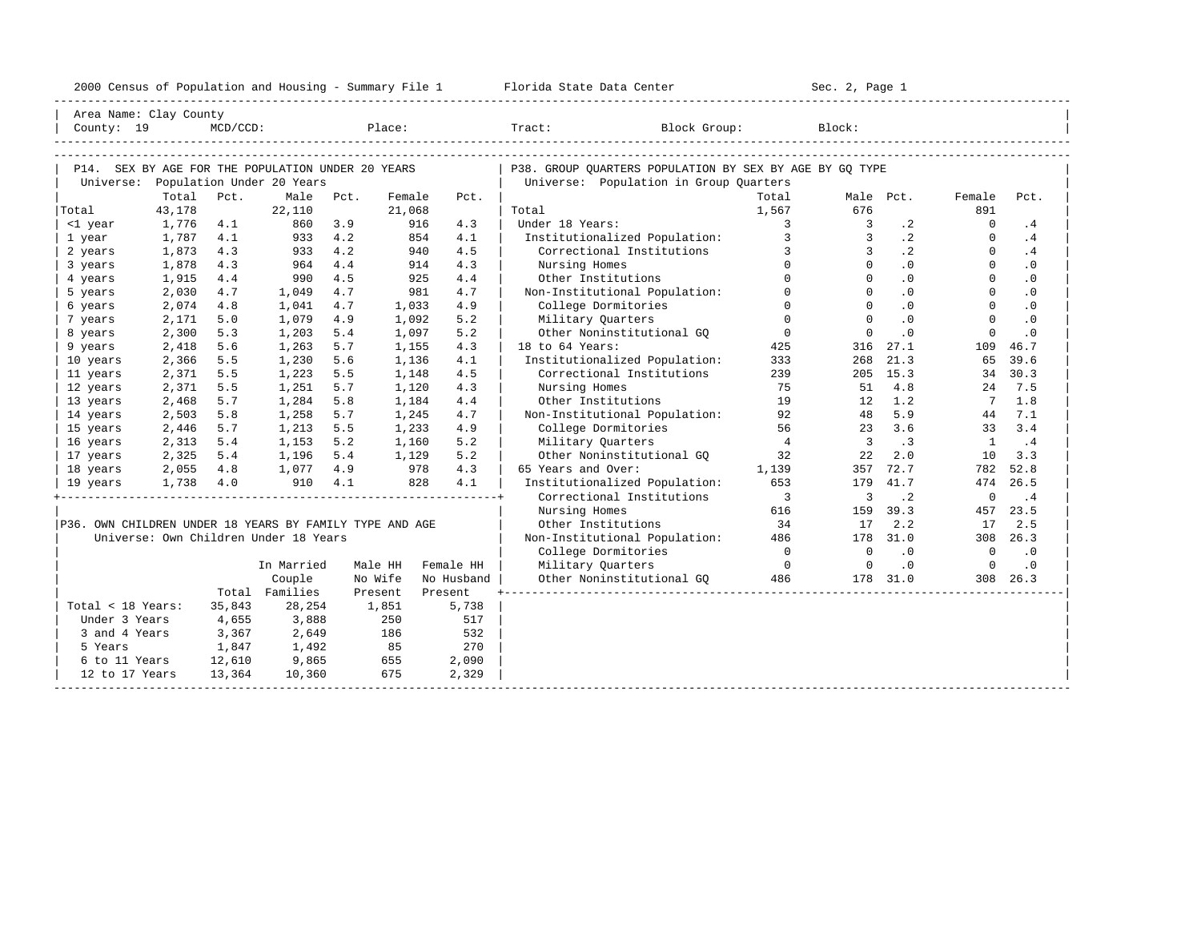|                                                         |           |             |                                       |         |         |            | 2000 Census of Population and Housing - Summary File 1 Florida State Data Center |                         | Sec. 2, Page 1          |            |                 |           |  |
|---------------------------------------------------------|-----------|-------------|---------------------------------------|---------|---------|------------|----------------------------------------------------------------------------------|-------------------------|-------------------------|------------|-----------------|-----------|--|
| Area Name: Clay County                                  |           |             |                                       |         |         |            |                                                                                  |                         |                         |            |                 |           |  |
| County: 19                                              |           | $MCD/CCD$ : |                                       |         |         |            | Place: Tract: Block Group:                                                       |                         | Block:                  |            |                 |           |  |
|                                                         |           |             |                                       |         |         |            |                                                                                  |                         |                         |            |                 |           |  |
| P14. SEX BY AGE FOR THE POPULATION UNDER 20 YEARS       |           |             |                                       |         |         |            | P38. GROUP OUARTERS POPULATION BY SEX BY AGE BY GO TYPE                          |                         |                         |            |                 |           |  |
| Universe:                                               |           |             | Population Under 20 Years             |         |         |            | Universe: Population in Group Quarters                                           |                         |                         |            |                 |           |  |
|                                                         | Total     | Pct.        | Male                                  | Pct.    | Female  | Pct.       |                                                                                  | Total                   |                         | Male Pct.  | Female          | Pct.      |  |
| Total                                                   | 43,178    |             | 22,110                                |         | 21,068  |            | Total                                                                            | 1,567                   | 676                     |            | 891             |           |  |
| <1 year                                                 | 1,776     | 4.1         | 860                                   | 3.9     | 916     | 4.3        | Under 18 Years:                                                                  | 3                       | $\overline{\mathbf{3}}$ | $\cdot$ 2  | $\Omega$        | .4        |  |
| 1 year                                                  | 1,787     | 4.1         |                                       | 933 4.2 | 854     | 4.1        | Institutionalized Population:                                                    | 3                       | $\overline{\mathbf{3}}$ | $\cdot$ 2  | $\Omega$        | .4        |  |
| 2 years                                                 | 1,873     | 4.3         | 933                                   | 4.2     | 940     | 4.5        | Correctional Institutions                                                        | $\mathbf{3}$            | $\overline{3}$          | $\cdot$ 2  | $\Omega$        | .4        |  |
| 3 years                                                 | 1,878     | 4.3         | 964                                   | 4.4     | 914     | 4.3        | Nursing Homes                                                                    | $\Omega$                | $\overline{0}$          | $.0 \cdot$ | $\mathbf 0$     | $\cdot$ 0 |  |
| 4 years                                                 | 1,915     | 4.4         | 990                                   | 4.5     | 925     | 4.4        | Other Institutions                                                               | $\Omega$                | $\Omega$                | .0         | $\Omega$        | $\cdot$ 0 |  |
| 5 years                                                 | 2,030     | 4.7         | 1,049                                 | 4.7     | 981     | 4.7        | Non-Institutional Population:                                                    | $\Omega$                | $\Omega$                | $\cdot$ 0  | $\Omega$        | $\cdot$ 0 |  |
| 6 years                                                 | 2,074     | 4.8         | 1,041                                 | 4.7     | 1,033   | 4.9        | College Dormitories                                                              | $\Omega$                | $\Omega$                | $\cdot$ 0  | $\Omega$        | $\cdot$ 0 |  |
| 7 years                                                 | 2,171     | 5.0         | 1,079                                 | 4.9     | 1,092   | 5.2        | Military Quarters                                                                | $\Omega$                | $\Omega$                | $\cdot$ 0  | $\Omega$        | $\cdot$ 0 |  |
| 8 years                                                 | 2,300     | 5.3         | 1,203                                 | 5.4     | 1,097   | 5.2        | Other Noninstitutional GQ                                                        | $\circ$                 | $\mathbf 0$             | $\cdot$ 0  | $\mathbf 0$     | $\cdot$ 0 |  |
| 9 years                                                 | 2,418     | 5.6         | 1,263                                 | 5.7     | 1,155   | 4.3        | 18 to 64 Years:                                                                  | 425                     | 316                     | 27.1       | 109             | 46.7      |  |
| 10 years                                                | 2,366     | 5.5         | 1,230                                 | 5.6     | 1,136   | 4.1        | Institutionalized Population:                                                    | 333                     | 268                     | 21.3       | 65              | 39.6      |  |
| 11 years                                                | 2,371     | 5.5         | 1,223                                 | 5.5     | 1,148   | 4.5        | Correctional Institutions                                                        | 239                     | 205                     | 15.3       | 34              | 30.3      |  |
| 12 years                                                | 2,371     | 5.5         | 1,251                                 | 5.7     | 1,120   | 4.3        | Nursing Homes                                                                    | 75                      | 51                      | 4.8        | 24              | 7.5       |  |
| 13 years                                                | 2,468     | 5.7         | 1,284                                 | 5.8     | 1,184   | 4.4        | Other Institutions                                                               | 19                      | 12                      | 1.2        | $7\overline{ }$ | 1.8       |  |
| 14 years                                                | 2,503     | 5.8         | 1,258                                 | 5.7     | 1,245   | 4.7        | Non-Institutional Population:                                                    | 92                      | 48                      | 5.9        | 44              | 7.1       |  |
| 15 years                                                | 2,446     | 5.7         | 1,213                                 | 5.5     | 1,233   | 4.9        | College Dormitories                                                              | 56                      | 23                      | 3.6        | 33              | 3.4       |  |
| 16 years                                                | 2,313     | 5.4         | 1,153                                 | 5.2     | 1,160   | 5.2        | Military Quarters                                                                | $\overline{4}$          | $\overline{\mathbf{3}}$ | $\cdot$ 3  | <sup>1</sup>    | .4        |  |
| 17 years                                                | 2,325     | 5.4         | 1,196                                 | 5.4     | 1,129   | 5.2        | Other Noninstitutional GO                                                        | 32                      | 22                      | 2.0        | 10              | 3.3       |  |
| 18 years                                                | 2,055 4.8 |             | 1,077 4.9                             |         | 978     | 4.3        | 65 Years and Over:                                                               | 1,139                   | 357                     | 72.7       | 782             | 52.8      |  |
| 19 years                                                | 1,738 4.0 |             | 910 4.1                               |         | 828     | 4.1        | Institutionalized Population:                                                    | 653                     | 179                     | 41.7       | 474             | 26.5      |  |
|                                                         |           |             |                                       |         |         |            | Correctional Institutions                                                        | $\overline{\mathbf{3}}$ | 3                       | $\cdot$ 2  | $\Omega$        | . 4       |  |
|                                                         |           |             |                                       |         |         |            | Nursing Homes                                                                    | 616                     | 159                     | 39.3       | 457             | 23.5      |  |
| P36. OWN CHILDREN UNDER 18 YEARS BY FAMILY TYPE AND AGE |           |             |                                       |         |         |            | Other Institutions                                                               | 34                      | 17                      | 2.2        | 17              | 2.5       |  |
|                                                         |           |             | Universe: Own Children Under 18 Years |         |         |            | Non-Institutional Population:                                                    | 486                     |                         | 178 31.0   |                 | 308 26.3  |  |
|                                                         |           |             |                                       |         |         |            | College Dormitories                                                              | $\overline{0}$          | $\overline{0}$          | $\cdot$ 0  | $\bigcirc$      | $\cdot$ 0 |  |
|                                                         |           |             | In Married                            |         | Male HH | Female HH  | Military Quarters                                                                | $\sim$ 0                | $\overline{0}$          | $\cdot$ 0  | $\overline{0}$  | $\cdot$ 0 |  |
|                                                         |           |             | Couple                                |         | No Wife | No Husband | Other Noninstitutional GQ 486 178 31.0                                           |                         |                         |            |                 | 308 26.3  |  |
|                                                         |           |             | Total Families                        |         | Present | Present    |                                                                                  |                         |                         |            |                 |           |  |
| Total < 18 Years:                                       |           | 35,843      | 28,254                                |         | 1,851   | 5,738      |                                                                                  |                         |                         |            |                 |           |  |
| Under 3 Years                                           |           | 4,655       | 3,888                                 |         | 250     | 517        |                                                                                  |                         |                         |            |                 |           |  |
| 3 and 4 Years                                           |           | 3,367       | 2,649                                 |         | 186     | 532        |                                                                                  |                         |                         |            |                 |           |  |
| 5 Years                                                 |           | 1,847       | 1,492                                 |         | 85      | 270        |                                                                                  |                         |                         |            |                 |           |  |

| 6 to 11 Years 12,610 9,865 655 2,090 | | | 12 to 17 Years 13,364 10,360 675 2,329 | | -----------------------------------------------------------------------------------------------------------------------------------------------------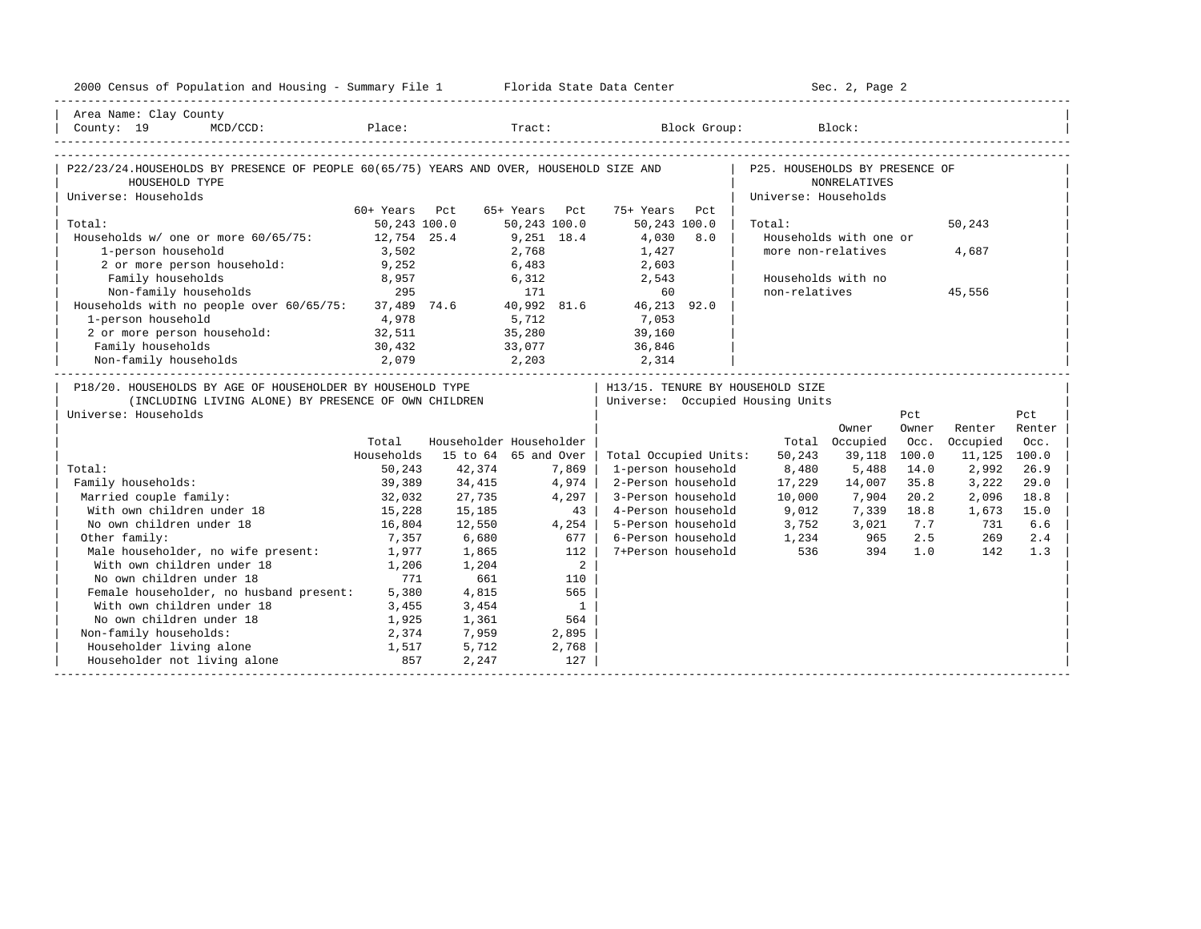| 2000 Census of Population and Housing - Summary File 1 Florida State Data Center                                                                           |               |                         |               |                          |                             |     |                                                            | Sec. 2, Page 2         |       |              |        |
|------------------------------------------------------------------------------------------------------------------------------------------------------------|---------------|-------------------------|---------------|--------------------------|-----------------------------|-----|------------------------------------------------------------|------------------------|-------|--------------|--------|
| Area Name: Clay County                                                                                                                                     |               |                         |               |                          |                             |     |                                                            |                        |       |              |        |
| $\begin{array}{ l } \hline \text{County: 19} & \text{MCD/CCD:} & \text{Place:} & \text{Track:} & \text{Block Group:} & \text{Block:} \\\hline \end{array}$ |               |                         |               |                          |                             |     |                                                            |                        |       |              |        |
|                                                                                                                                                            |               |                         |               |                          |                             |     |                                                            |                        |       |              |        |
| P22/23/24.HOUSEHOLDS BY PRESENCE OF PEOPLE 60(65/75) YEARS AND OVER, HOUSEHOLD SIZE AND                                                                    |               |                         |               |                          |                             |     | P25. HOUSEHOLDS BY PRESENCE OF                             |                        |       |              |        |
| HOUSEHOLD TYPE                                                                                                                                             |               |                         |               |                          |                             |     |                                                            | <b>NONRELATIVES</b>    |       |              |        |
| Universe: Households                                                                                                                                       |               |                         |               |                          |                             |     | Universe: Households                                       |                        |       |              |        |
|                                                                                                                                                            | 60+ Years Pct |                         | 65+ Years Pct |                          | 75+ Years                   | Pct |                                                            |                        |       |              |        |
| Total:                                                                                                                                                     | 50,243 100.0  |                         | 50,243 100.0  |                          | 50,243 100.0                |     | Total:                                                     |                        |       | 50,243       |        |
| Households w/ one or more 60/65/75:                                                                                                                        | 12,754 25.4   |                         | $9,251$ 18.4  |                          | 4,030 8.0                   |     |                                                            | Households with one or |       |              |        |
| 1-person household                                                                                                                                         | 3,502         |                         | 2,768         |                          | 1,427                       |     |                                                            | more non-relatives     |       | 4,687        |        |
| 2 or more person household: 9,252                                                                                                                          |               |                         |               |                          | 6,483 2,603                 |     |                                                            |                        |       |              |        |
| Family households 8,957 6,312 2,543<br>Non-family households 295 171 60<br>Households with no people over $60/65/75$ : 37,489 74.6 40,992 81.6 46,213 92.0 |               |                         |               |                          |                             |     |                                                            | Households with no     |       |              |        |
|                                                                                                                                                            |               |                         |               |                          |                             |     | non-relatives                                              |                        |       | 45,556       |        |
|                                                                                                                                                            |               |                         |               |                          |                             |     |                                                            |                        |       |              |        |
| 1-person household $4,978$<br>2 or more person household: $32,511$                                                                                         |               |                         |               |                          | $5,712$<br>35,280<br>39,160 |     |                                                            |                        |       |              |        |
|                                                                                                                                                            |               |                         |               |                          |                             |     |                                                            |                        |       |              |        |
| Family households                                                                                                                                          | 30,432        |                         |               |                          | 33,077 36,846               |     |                                                            |                        |       |              |        |
|                                                                                                                                                            |               |                         |               |                          |                             |     |                                                            |                        |       |              |        |
| P18/20. HOUSEHOLDS BY AGE OF HOUSEHOLDER BY HOUSEHOLD TYPE                                                                                                 |               |                         |               |                          |                             |     | H13/15. TENURE BY HOUSEHOLD SIZE                           |                        |       |              |        |
| (INCLUDING LIVING ALONE) BY PRESENCE OF OWN CHILDREN                                                                                                       |               |                         |               |                          |                             |     | Universe: Occupied Housing Units                           |                        |       |              |        |
| Universe: Households                                                                                                                                       |               |                         |               |                          |                             |     |                                                            |                        | Pct   |              | Pct    |
|                                                                                                                                                            |               |                         |               |                          |                             |     |                                                            | Owner                  | Owner | Renter       | Renter |
|                                                                                                                                                            | Total         | Householder Householder |               |                          |                             |     |                                                            | Total Occupied         | Occ.  | Occupied     | Occ.   |
|                                                                                                                                                            | Households    | 15 to 64 65 and Over    |               |                          | Total Occupied Units:       |     | 50,243                                                     | 39,118                 | 100.0 | 11,125 100.0 |        |
| Total:                                                                                                                                                     | 50,243        | 42,374                  |               | 7,869                    | 1-person household          |     | 8,480                                                      | 5,488                  | 14.0  | 2,992        | 26.9   |
| Family households:                                                                                                                                         | 39,389        | 34,415                  | 4,974         |                          | 2-Person household          |     | 17,229                                                     | 14,007                 | 35.8  | 3,222        | 29.0   |
| Married couple family:                                                                                                                                     | 32,032        | 27,735                  |               | 4,297                    | 3-Person household          |     | 10,000                                                     | 7,904                  | 20.2  | 2,096        | 18.8   |
| With own children under 18                                                                                                                                 | 15,228        | 15,185                  |               | 43                       | 4-Person household          |     | 9,012                                                      | 7,339 18.8             |       | 1,673        | 15.0   |
| No own children under 18                                                                                                                                   | 16,804        | 12,550                  |               | 4,254                    | 5-Person household          |     | 3,752                                                      | 3,021                  | 7.7   | 731          | 6.6    |
| Other family:                                                                                                                                              | 7,357         | 6,680                   |               | 677                      |                             |     | 6-Person household 1,234 965<br>7+Person household 536 394 |                        | 2.5   | 269          | 2.4    |
| Male householder, no wife present:                                                                                                                         | 1,977         | 1,865                   |               | 112                      |                             |     |                                                            |                        | 1.0   | 142          | 1.3    |
| With own children under 18                                                                                                                                 | 1,206         | 1,204                   |               | 2                        |                             |     |                                                            |                        |       |              |        |
| No own children under 18                                                                                                                                   | 771           | 661                     |               | 110                      |                             |     |                                                            |                        |       |              |        |
| Female householder, no husband present: 5,380                                                                                                              |               | 4,815                   |               | 565                      |                             |     |                                                            |                        |       |              |        |
| With own children under 18                                                                                                                                 | 3,455         | 3,454                   |               | $\overline{\phantom{0}}$ |                             |     |                                                            |                        |       |              |        |
| No own children under 18                                                                                                                                   | 1,925         | 1,361                   |               | 564                      |                             |     |                                                            |                        |       |              |        |
| Non-family households:                                                                                                                                     | 2,374         | 7,959                   |               | 2,895                    |                             |     |                                                            |                        |       |              |        |
| Householder living alone                                                                                                                                   | 1,517         | 5,712                   |               | 2,768                    |                             |     |                                                            |                        |       |              |        |
| Householder not living alone 657                                                                                                                           |               | 2,247                   |               | 127                      |                             |     |                                                            |                        |       |              |        |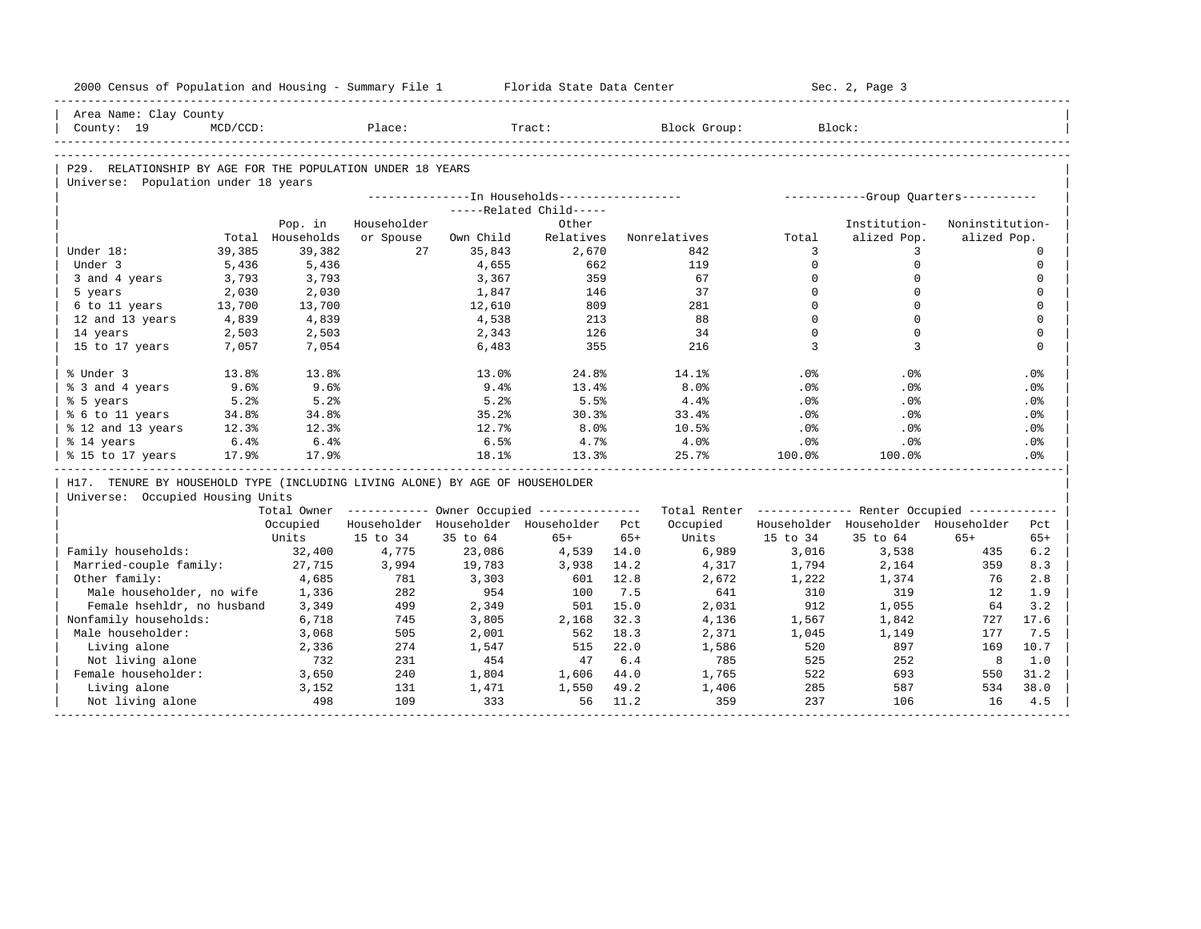| 2000 Census of Population and Housing - Summary File 1 Florida State Data Center |             |                  |             |           |                                                       |       |                                                         |          | Sec. 2, Page 3                      |                 |             |
|----------------------------------------------------------------------------------|-------------|------------------|-------------|-----------|-------------------------------------------------------|-------|---------------------------------------------------------|----------|-------------------------------------|-----------------|-------------|
| Area Name: Clay County                                                           |             |                  |             |           |                                                       |       |                                                         |          |                                     |                 |             |
| County: 19                                                                       | $MCD/CCD$ : |                  | Place:      |           | Tract:                                                |       | Block Group:                                            |          | Block:                              |                 |             |
|                                                                                  |             |                  |             |           |                                                       |       |                                                         |          |                                     |                 |             |
| P29. RELATIONSHIP BY AGE FOR THE POPULATION UNDER 18 YEARS                       |             |                  |             |           |                                                       |       |                                                         |          |                                     |                 |             |
| Universe: Population under 18 years                                              |             |                  |             |           |                                                       |       |                                                         |          |                                     |                 |             |
|                                                                                  |             |                  |             |           |                                                       |       |                                                         |          |                                     |                 |             |
|                                                                                  |             |                  |             |           | -----Related Child-----                               |       |                                                         |          |                                     |                 |             |
|                                                                                  |             | Pop. in          | Householder |           | Other                                                 |       |                                                         |          | Institution-                        | Noninstitution- |             |
|                                                                                  |             | Total Households | or Spouse   | Own Child | Relatives                                             |       | Nonrelatives                                            | Total    | alized Pop.                         | alized Pop.     |             |
| Under 18:                                                                        | 39,385      | 39,382           | 27          | 35,843    | 2,670                                                 |       | 842                                                     | 3        | 3                                   |                 | $\Omega$    |
| Under 3                                                                          | 5,436       | 5,436            |             | 4,655     | 662                                                   |       | 119                                                     | $\Omega$ | $\mathbf 0$                         |                 | $\mathbf 0$ |
| 3 and 4 years                                                                    | 3,793       | 3,793            |             | 3,367     | 359                                                   |       | 67                                                      | $\Omega$ | $\Omega$                            |                 | $\mathbf 0$ |
| 5 years                                                                          | 2,030       | 2,030            |             | 1,847     | 146                                                   |       | 37                                                      | $\Omega$ | $\Omega$                            |                 | $\mathbf 0$ |
| 6 to 11 years                                                                    | 13,700      | 13,700           |             | 12,610    | 809                                                   |       | 281                                                     | $\Omega$ | $\Omega$                            |                 | $\mathbf 0$ |
| 12 and 13 years                                                                  | 4,839       | 4,839            |             | 4,538     | 213                                                   |       | 88                                                      | $\Omega$ | $\Omega$                            |                 | $\mathbf 0$ |
| 14 years                                                                         | 2,503       | 2,503            |             | 2,343     | 126                                                   |       | 34                                                      | $\Omega$ | $\Omega$                            |                 | $\mathbf 0$ |
| 15 to 17 years                                                                   | 7,057       | 7,054            |             | 6,483     | 355                                                   |       | 216                                                     | 3        | 3                                   |                 | $\Omega$    |
| % Under 3                                                                        | 13.8%       | 13.8%            |             | 13.0%     | 24.8%                                                 |       | 14.1%                                                   | .0%      | .0%                                 |                 | .0%         |
| % 3 and 4 years                                                                  | 9.6%        | 9.6%             |             | $9.4\%$   | 13.4%                                                 |       | 8.0%                                                    | .0%      | $.0\%$                              |                 | .0%         |
| % 5 years                                                                        | 5.2%        | 5.2%             |             | 5.2%      | 5.5%                                                  |       | 4.4%                                                    | .0%      | .0%                                 |                 | .0%         |
| % 6 to 11 years                                                                  | 34.8%       | 34.8%            |             | 35.2%     | 30.3%                                                 |       | 33.4%                                                   | .0%      | .0%                                 |                 | .0%         |
| % 12 and 13 years                                                                | 12.3%       | 12.3%            |             | 12.7%     | 8.0%                                                  |       | 10.5%                                                   | .0%      | .0%                                 |                 | .0%         |
| % 14 years                                                                       | 6.4%        | 6.4%             |             | 6.5%      | 4.7%                                                  |       | $4.0\%$                                                 | $.0\%$   | $.0\%$                              |                 | .0%         |
| % 15 to 17 years                                                                 | 17.9%       | 17.9%            |             | 18.1%     | 13.3%                                                 |       | 25.7%                                                   | 100.0%   | 100.0%                              |                 | .0%         |
| H17. TENURE BY HOUSEHOLD TYPE (INCLUDING LIVING ALONE) BY AGE OF HOUSEHOLDER     |             |                  |             |           |                                                       |       |                                                         |          |                                     |                 |             |
| Universe: Occupied Housing Units                                                 |             |                  |             |           |                                                       |       |                                                         |          |                                     |                 |             |
|                                                                                  |             |                  |             |           | Total Owner ----------- Owner Occupied -------------- |       | Total Renter ------------- Renter Occupied ------------ |          |                                     |                 |             |
|                                                                                  |             | Occupied         |             |           | Householder Householder Householder Pct               |       | Occupied                                                |          | Householder Householder Householder |                 | Pct         |
|                                                                                  |             | Units            | 15 to 34    | 35 to 64  | $65+$                                                 | $65+$ | Units                                                   | 15 to 34 | 35 to 64                            | $65+$           | $65+$       |
| Family households:                                                               |             | 32,400           | 4,775       | 23,086    | 4,539 14.0                                            |       | 6,989                                                   | 3,016    | 3,538                               | 435             | 6.2         |
| Married-couple family:                                                           |             | 27,715           | 3,994       | 19,783    | 3,938                                                 | 14.2  | 4,317                                                   | 1,794    | 2,164                               | 359             | 8.3         |
| Other family:                                                                    |             | 4,685            | 781         | 3,303     | 601                                                   | 12.8  | 2,672                                                   | 1,222    | 1,374                               | 76              | 2.8         |
| Male householder, no wife                                                        |             | 1,336            | 282         | 954       | 100                                                   | 7.5   | 641                                                     | 310      | 319                                 | 12              | 1.9         |
| Female hsehldr, no husband                                                       |             | 3,349            | 499         | 2,349     | 501                                                   | 15.0  | 2,031                                                   | 912      | 1,055                               | 64              | 3.2         |
| Nonfamily households:                                                            |             | 6,718            | 745         | 3,805     | 2,168                                                 | 32.3  | 4,136                                                   | 1,567    | 1,842                               | 727             | 17.6        |
| Male householder:                                                                |             | 3,068            | 505         | 2,001     | 562                                                   | 18.3  | 2,371                                                   | 1,045    | 1,149                               | 177             | 7.5         |
| Living alone                                                                     |             | 2,336            | 274         | 1,547     | 515                                                   | 22.0  | 1,586                                                   | 520      | 897                                 | 169             | 10.7        |
| Not living alone                                                                 |             | 732              | 231         | 454       | 47                                                    | 6.4   | 785                                                     | 525      | 252                                 | 8               | 1.0         |
| Female householder:                                                              |             | 3,650            | 240         | 1,804     | 1,606 44.0                                            |       | 1,765                                                   | 522      | 693                                 | 550             | 31.2        |
|                                                                                  |             |                  |             |           |                                                       |       |                                                         | 285      | 587                                 | 534             | 38.0        |
| Living alone                                                                     |             | 3,152            | 131         | 1,471     | 1,550                                                 | 49.2  | 1,406                                                   |          |                                     |                 |             |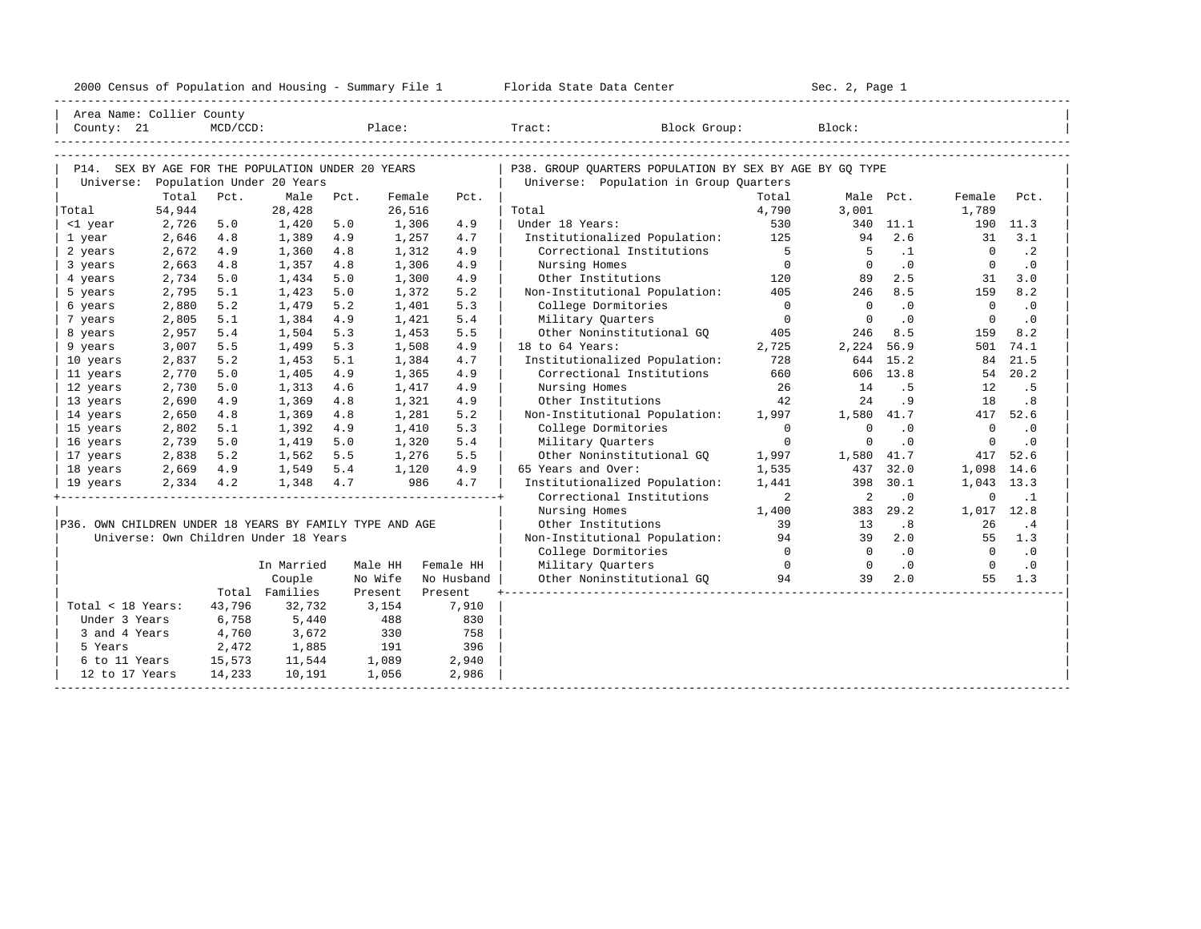| 2000 Census of Population and Housing - Summary File 1 |  | Florida State Data Center | Sec. 2, Page 1 |
|--------------------------------------------------------|--|---------------------------|----------------|
|--------------------------------------------------------|--|---------------------------|----------------|

| Area Name: Collier County<br>County: 21                 |        | $MCD/CCD$ : |                                                                                |      | Place:  |            | Tract:                                                                                            | Block Group:   | Block:         |           |                                                                                                                                                                                                                                                                            |           |
|---------------------------------------------------------|--------|-------------|--------------------------------------------------------------------------------|------|---------|------------|---------------------------------------------------------------------------------------------------|----------------|----------------|-----------|----------------------------------------------------------------------------------------------------------------------------------------------------------------------------------------------------------------------------------------------------------------------------|-----------|
| Universe:                                               |        |             | P14. SEX BY AGE FOR THE POPULATION UNDER 20 YEARS<br>Population Under 20 Years |      |         |            | P38. GROUP OUARTERS POPULATION BY SEX BY AGE BY GO TYPE<br>Universe: Population in Group Quarters |                |                |           |                                                                                                                                                                                                                                                                            |           |
|                                                         | Total  | Pct.        | Male                                                                           | Pct. | Female  | Pct.       |                                                                                                   | Total          | Male Pct.      |           |                                                                                                                                                                                                                                                                            | Pct.      |
| Total                                                   | 54,944 |             | 28,428                                                                         |      | 26,516  |            | Total                                                                                             | 4,790          | 3,001          |           |                                                                                                                                                                                                                                                                            |           |
| <1 year                                                 | 2,726  | 5.0         | 1,420                                                                          | 5.0  | 1,306   | 4.9        | Under 18 Years:                                                                                   | 530            |                | 340 11.1  |                                                                                                                                                                                                                                                                            |           |
| 1 year                                                  | 2,646  | 4.8         | 1,389                                                                          | 4.9  | 1,257   | 4.7        | Institutionalized Population:                                                                     | 125            | 94             | 2.6       |                                                                                                                                                                                                                                                                            | 3.1       |
| 2 years                                                 | 2,672  | 4.9         | 1,360                                                                          | 4.8  | 1,312   | 4.9        | Correctional Institutions                                                                         | $5^{\circ}$    | -5             | $\cdot$ 1 |                                                                                                                                                                                                                                                                            | $\cdot$ 2 |
| 3 years                                                 | 2,663  | 4.8         | 1,357                                                                          | 4.8  | 1,306   | 4.9        | Nursing Homes                                                                                     | $\overline{0}$ | $\mathbf{0}$   | .0        |                                                                                                                                                                                                                                                                            | $\cdot$ 0 |
| 4 years                                                 | 2,734  | 5.0         | 1,434                                                                          | 5.0  | 1,300   | 4.9        | Other Institutions                                                                                | 120            | 89             | 2.5       |                                                                                                                                                                                                                                                                            | 3.0       |
| 5 years                                                 | 2,795  | 5.1         | 1,423                                                                          | 5.0  | 1,372   | 5.2        | Non-Institutional Population:                                                                     | 405            | 246            | 8.5       |                                                                                                                                                                                                                                                                            | 8.2       |
| 6 years                                                 | 2,880  | 5.2         | 1,479                                                                          | 5.2  | 1,401   | 5.3        | College Dormitories                                                                               | $\circ$        | $\mathbf{0}$   | .0        |                                                                                                                                                                                                                                                                            | $\cdot$ 0 |
| 7 years                                                 | 2,805  | 5.1         | 1,384                                                                          | 4.9  | 1,421   | 5.4        | Military Quarters                                                                                 | $\overline{0}$ | $\overline{0}$ | .0        |                                                                                                                                                                                                                                                                            | $\cdot$ 0 |
| 8 years                                                 | 2,957  | 5.4         | 1,504                                                                          | 5.3  | 1,453   | 5.5        | Other Noninstitutional GO                                                                         | 405            | 246            | 8.5       |                                                                                                                                                                                                                                                                            | 8.2       |
| 9 years                                                 | 3,007  | 5.5         | 1,499                                                                          | 5.3  | 1,508   | 4.9        | 18 to 64 Years:                                                                                   | 2,725          | 2,224          | 56.9      |                                                                                                                                                                                                                                                                            | 74.1      |
| 10 years                                                | 2,837  | 5.2         | 1,453                                                                          | 5.1  | 1,384   | 4.7        | Institutionalized Population:                                                                     | 728            | 644            | 15.2      |                                                                                                                                                                                                                                                                            | 21.5      |
| 11 years                                                | 2,770  | 5.0         | 1,405                                                                          | 4.9  | 1,365   | 4.9        | Correctional Institutions                                                                         | 660            |                | 606 13.8  |                                                                                                                                                                                                                                                                            | 20.2      |
| 12 years                                                | 2,730  | 5.0         | 1,313                                                                          | 4.6  | 1,417   | 4.9        | Nursing Homes                                                                                     | 26             | 14             | . 5       |                                                                                                                                                                                                                                                                            | . 5       |
| 13 years                                                | 2,690  | 4.9         | 1,369                                                                          | 4.8  | 1,321   | 4.9        | Other Institutions                                                                                | 42             | 24             | .9        |                                                                                                                                                                                                                                                                            | .8        |
| 14 years                                                | 2,650  | 4.8         | 1,369                                                                          | 4.8  | 1,281   | 5.2        | Non-Institutional Population:                                                                     | 1,997          | 1,580 41.7     |           |                                                                                                                                                                                                                                                                            | 52.6      |
| 15 years                                                | 2,802  | 5.1         | 1,392                                                                          | 4.9  | 1,410   | 5.3        | College Dormitories                                                                               | $\Omega$       | $\mathbf 0$    | $\cdot$ 0 |                                                                                                                                                                                                                                                                            | $\cdot$ 0 |
| 16 years                                                | 2,739  | 5.0         | 1,419                                                                          | 5.0  | 1,320   | 5.4        | Military Quarters                                                                                 | $\circ$        | $\circ$        | $\cdot$ 0 |                                                                                                                                                                                                                                                                            | .0        |
| 17 years                                                | 2,838  | 5.2         | 1,562                                                                          | 5.5  | 1,276   | 5.5        | Other Noninstitutional GO                                                                         | 1,997          | 1,580 41.7     |           |                                                                                                                                                                                                                                                                            | 52.6      |
| 18 years                                                | 2,669  | 4.9         | 1,549                                                                          | 5.4  | 1,120   | 4.9        | 65 Years and Over:                                                                                | 1,535          | 437            | 32.0      |                                                                                                                                                                                                                                                                            | 14.6      |
| 19 years                                                | 2,334  | 4.2         | 1,348                                                                          | 4.7  | 986     | 4.7        | Institutionalized Population:                                                                     | 1,441          | 398            | 30.1      |                                                                                                                                                                                                                                                                            | 13.3      |
|                                                         |        |             |                                                                                |      |         |            | Correctional Institutions                                                                         | 2              | 2              | $\cdot$ 0 |                                                                                                                                                                                                                                                                            | $\cdot$ 1 |
|                                                         |        |             |                                                                                |      |         |            | Nursing Homes                                                                                     | 1,400          | 383            | 29.2      |                                                                                                                                                                                                                                                                            | 12.8      |
| P36. OWN CHILDREN UNDER 18 YEARS BY FAMILY TYPE AND AGE |        |             |                                                                                |      |         |            | Other Institutions                                                                                | 39             | 13             | .8        | Female<br>1,789<br>190 11.3<br>31<br>$\mathbf{0}$<br>$\circ$<br>31<br>159<br>$\mathbf{0}$<br>$\mathbf 0$<br>159<br>501<br>84<br>54<br>12<br>18<br>417<br>$\circ$<br>$\circ$<br>417<br>1,098<br>1,043<br>$\mathbf 0$<br>1,017<br>26<br>55 1.3<br>$\Omega$<br>$\Omega$<br>55 | $\cdot$ 4 |
|                                                         |        |             | Universe: Own Children Under 18 Years                                          |      |         |            | Non-Institutional Population:                                                                     | 94             | 39             | 2.0       |                                                                                                                                                                                                                                                                            |           |
|                                                         |        |             |                                                                                |      |         |            | College Dormitories                                                                               | $\Omega$       | $\Omega$       | .0        |                                                                                                                                                                                                                                                                            | $\cdot$ 0 |
|                                                         |        |             | In Married                                                                     |      | Male HH | Female HH  | Military Quarters                                                                                 | $\Omega$       | $\Omega$       | $\cdot$ 0 |                                                                                                                                                                                                                                                                            | $\cdot$ 0 |
|                                                         |        |             | Couple                                                                         |      | No Wife | No Husband | Other Noninstitutional GQ                                                                         | 94             | 39             | 2.0       |                                                                                                                                                                                                                                                                            | 1.3       |
|                                                         |        |             | Total Families                                                                 |      | Present | Present    |                                                                                                   |                |                |           |                                                                                                                                                                                                                                                                            |           |
| Total < 18 Years:                                       |        | 43,796      | 32,732                                                                         |      | 3,154   | 7,910      |                                                                                                   |                |                |           |                                                                                                                                                                                                                                                                            |           |
| Under 3 Years                                           |        | 6,758       | 5,440                                                                          |      | 488     | 830        |                                                                                                   |                |                |           |                                                                                                                                                                                                                                                                            |           |
| 3 and 4 Years                                           |        | 4,760       | 3,672                                                                          |      | 330     | 758        |                                                                                                   |                |                |           |                                                                                                                                                                                                                                                                            |           |
| 5 Years                                                 |        | 2,472       |                                                                                |      | 191     | 396        |                                                                                                   |                |                |           |                                                                                                                                                                                                                                                                            |           |
| 6 to 11 Years                                           |        | 15,573      | 1,885<br>11,544                                                                |      | 1,089   | 2,940      |                                                                                                   |                |                |           |                                                                                                                                                                                                                                                                            |           |
|                                                         |        |             |                                                                                |      |         |            |                                                                                                   |                |                |           |                                                                                                                                                                                                                                                                            |           |
| 12 to 17 Years                                          |        | 14,233      | 10,191                                                                         |      | 1,056   | 2,986      |                                                                                                   |                |                |           |                                                                                                                                                                                                                                                                            |           |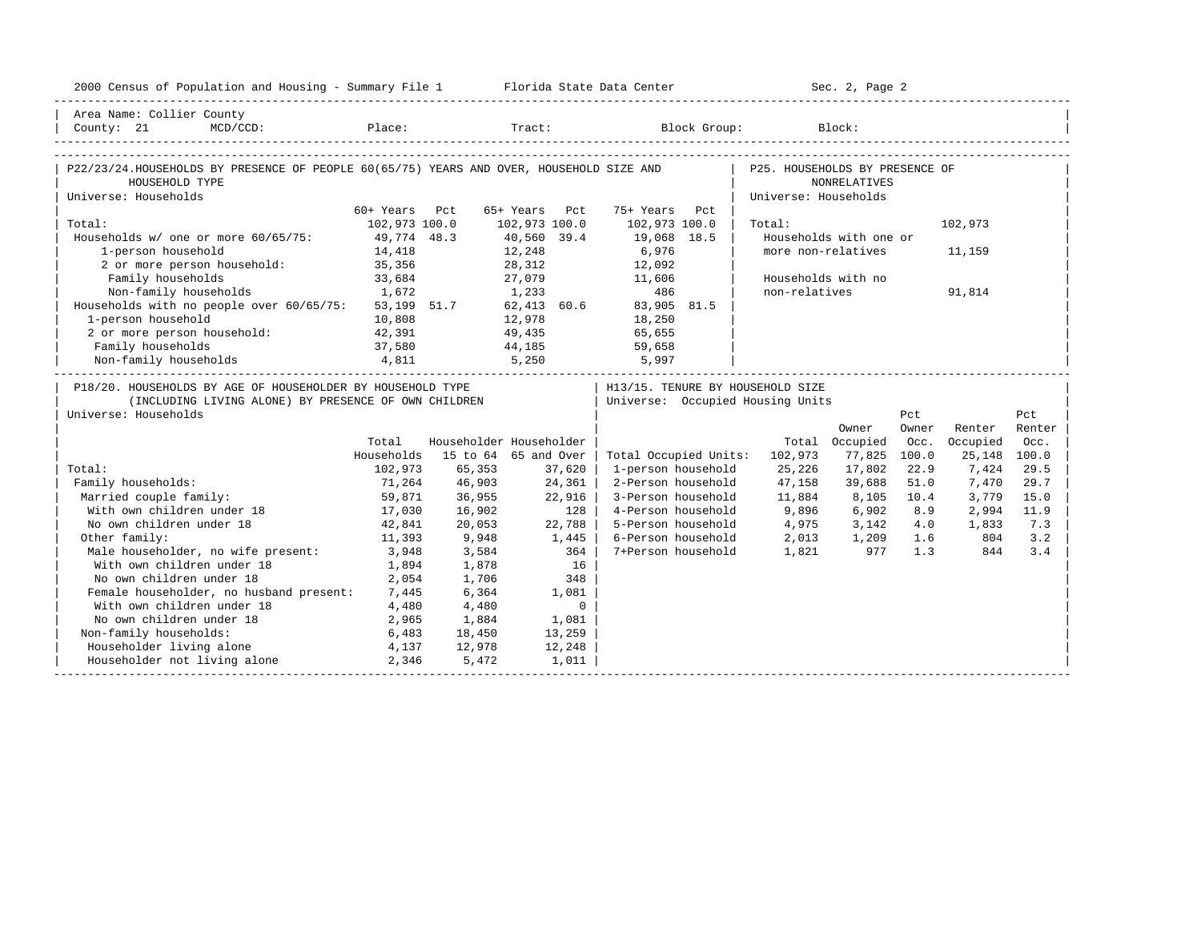| 2000 Census of Population and Housing - Summary File 1 Florida State Data Center                                               |               |        |                         |                                   | Sec. 2, Page 2          |                        |       |              |        |  |  |
|--------------------------------------------------------------------------------------------------------------------------------|---------------|--------|-------------------------|-----------------------------------|-------------------------|------------------------|-------|--------------|--------|--|--|
| Area Name: Collier County                                                                                                      |               |        |                         |                                   |                         |                        |       |              |        |  |  |
| County: 21<br>$MCD / CCD$ :                                                                                                    |               |        |                         | Place: Tract: Block Group: Block: |                         |                        |       |              |        |  |  |
| P22/23/24.HOUSEHOLDS BY PRESENCE OF PEOPLE 60(65/75) YEARS AND OVER, HOUSEHOLD SIZE AND   P25. HOUSEHOLDS BY PRESENCE OF       |               |        |                         |                                   |                         |                        |       |              |        |  |  |
| HOUSEHOLD TYPE                                                                                                                 |               |        |                         |                                   |                         | <b>NONRELATIVES</b>    |       |              |        |  |  |
| Universe: Households                                                                                                           |               |        |                         |                                   | Universe: Households    |                        |       |              |        |  |  |
|                                                                                                                                | 60+ Years Pct |        | 65+ Years Pct           | 75+ Years Pct                     |                         |                        |       |              |        |  |  |
| Total:                                                                                                                         | 102,973 100.0 |        | 102,973 100.0           | 102,973 100.0                     | Total:                  |                        |       | 102,973      |        |  |  |
| Households w/ one or more 60/65/75: 49,774 48.3                                                                                |               |        | 40,560 39.4             | 19,068 18.5                       |                         | Households with one or |       |              |        |  |  |
| 1-person household                                                                                                             | 14,418        |        | 12,248<br>28,312        | 6,976                             |                         | more non-relatives     |       | 11,159       |        |  |  |
| 2 or more person household:                                                                                                    | 35, 356       |        |                         | 12,092                            |                         |                        |       |              |        |  |  |
| Family households                                                                                                              | 33,684        |        | 27,079 11,606           |                                   |                         | Households with no     |       |              |        |  |  |
| 1,672<br>Non-family households 1,672 1,233 486<br>Households with no people over 60/65/75: 53,199 51.7 62,413 60.6 83,905 81.5 |               |        |                         |                                   | non-relatives           |                        |       | 91,814       |        |  |  |
|                                                                                                                                |               |        |                         |                                   |                         |                        |       |              |        |  |  |
| 1-person household                                                                                                             | 10,808        | 12,978 |                         | 18,250                            |                         |                        |       |              |        |  |  |
| 2 or more person household: 42,391                                                                                             |               |        | 49,435 65,655           |                                   |                         |                        |       |              |        |  |  |
|                                                                                                                                |               |        |                         |                                   |                         |                        |       |              |        |  |  |
|                                                                                                                                |               |        |                         |                                   |                         |                        |       |              |        |  |  |
| P18/20. HOUSEHOLDS BY AGE OF HOUSEHOLDER BY HOUSEHOLD TYPE                                                                     |               |        |                         | H13/15. TENURE BY HOUSEHOLD SIZE  |                         |                        |       |              |        |  |  |
| (INCLUDING LIVING ALONE) BY PRESENCE OF OWN CHILDREN                                                                           |               |        |                         | Universe: Occupied Housing Units  |                         |                        |       |              |        |  |  |
| Universe: Households                                                                                                           |               |        |                         |                                   |                         |                        | Pct   |              | Pct    |  |  |
|                                                                                                                                |               |        |                         |                                   |                         | Owner                  | Owner | Renter       | Renter |  |  |
|                                                                                                                                | Total         |        | Householder Householder |                                   |                         | Total Occupied         | Occ.  | Occupied     | Occ.   |  |  |
|                                                                                                                                | Households    |        | 15 to 64 65 and Over    | Total Occupied Units:             | 102,973                 | 77,825                 | 100.0 | 25,148 100.0 |        |  |  |
| Total:                                                                                                                         | 102,973       | 65,353 | 37,620                  | 1-person household                | 25,226                  | 17,802                 | 22.9  | 7,424        | 29.5   |  |  |
| Family households:                                                                                                             | 71,264        | 46,903 | 24,361                  | 2-Person household                | 47,158                  | 39,688                 | 51.0  | 7,470        | 29.7   |  |  |
| Married couple family:                                                                                                         | 59,871        | 36,955 | 22,916                  | 3-Person household                | 11,884                  | 8,105                  | 10.4  | 3,779        | 15.0   |  |  |
| With own children under 18                                                                                                     | 17,030        | 16,902 | 128                     | 4-Person household                | 9,896                   | 6,902                  | 8.9   | 2,994        | 11.9   |  |  |
| No own children under 18                                                                                                       | 42,841        | 20,053 | 22,788                  | 5-Person household                | 4,975                   | 3,142                  | 4.0   | 1,833        | 7.3    |  |  |
| Other family:                                                                                                                  | 11,393        | 9,948  | 1,445                   | 6-Person household                | 2,013<br>2,013<br>1,821 | 1,209 1.6              |       | 804          | 3.2    |  |  |
| Male householder, no wife present: 3,948                                                                                       |               | 3,584  | 364 l                   | 7+Person household                |                         | 977                    | 1.3   | 844          | 3.4    |  |  |
| With own children under 18                                                                                                     | 1,894         | 1,878  | 16                      |                                   |                         |                        |       |              |        |  |  |
| No own children under 18                                                                                                       | 2,054         | 1,706  | 348                     |                                   |                         |                        |       |              |        |  |  |
| Female householder, no husband present: 7,445                                                                                  |               | 6,364  | 1,081                   |                                   |                         |                        |       |              |        |  |  |
| With own children under 18                                                                                                     | 4,480         | 4,480  | $\sim$ 0                |                                   |                         |                        |       |              |        |  |  |
| No own children under 18<br>2,965                                                                                              |               | 1,884  | 1,081                   |                                   |                         |                        |       |              |        |  |  |
| Non-family households:                                                                                                         | 6,483         | 18,450 | 13,259                  |                                   |                         |                        |       |              |        |  |  |
| Householder living alone                                                                                                       | 4,137         | 12,978 | 12,248                  |                                   |                         |                        |       |              |        |  |  |
| Householder not living alone 2,346                                                                                             |               | 5,472  | 1,011                   |                                   |                         |                        |       |              |        |  |  |
|                                                                                                                                |               |        |                         |                                   |                         |                        |       |              |        |  |  |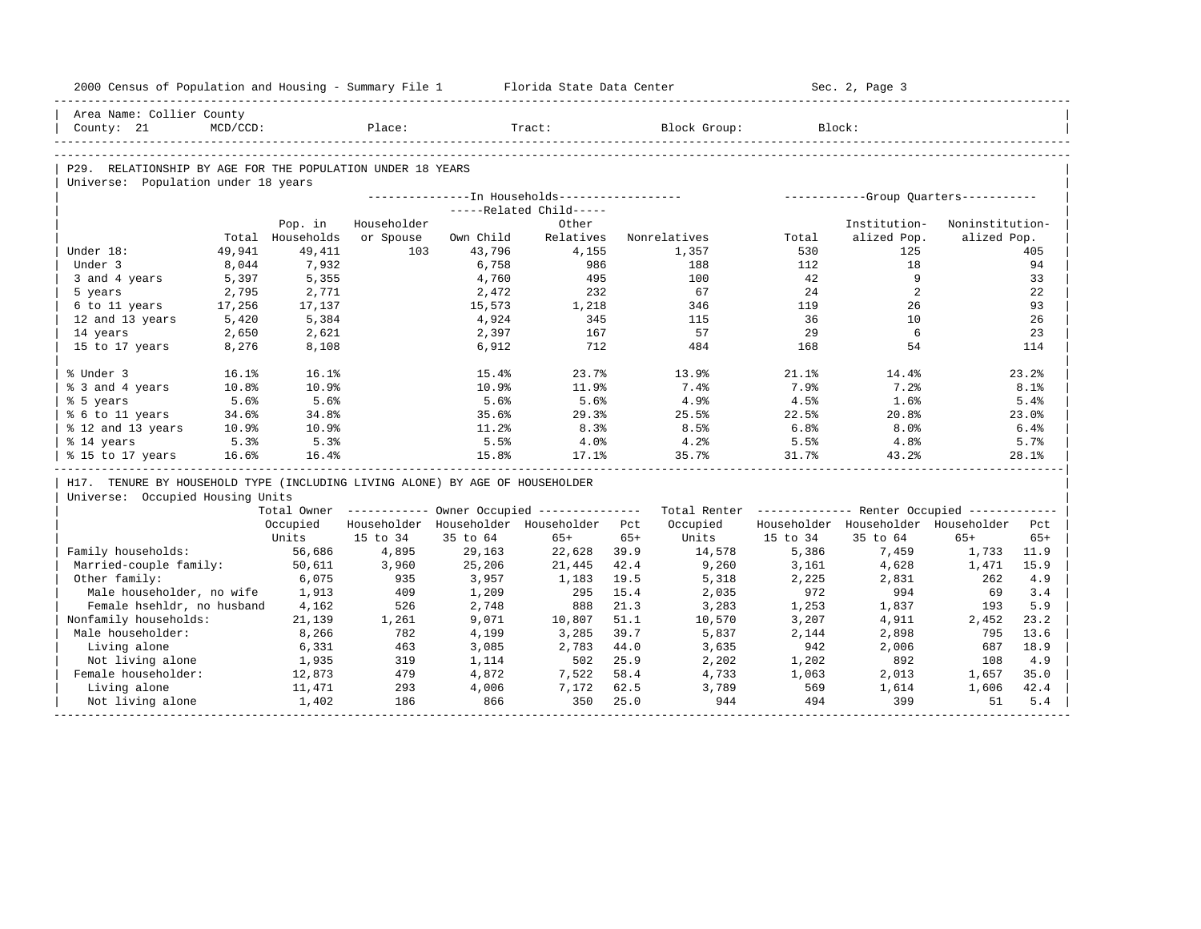| 2000 Census of Population and Housing - Summary File 1 Florida State Data Center |                |                  |             |                |                                         |       |                                                                                                               |          | Sec. 2, Page 3                          |                 |          |
|----------------------------------------------------------------------------------|----------------|------------------|-------------|----------------|-----------------------------------------|-------|---------------------------------------------------------------------------------------------------------------|----------|-----------------------------------------|-----------------|----------|
| Area Name: Collier County                                                        |                |                  |             |                |                                         |       |                                                                                                               |          |                                         |                 |          |
| County: 21                                                                       | $MCD/CCD$ :    |                  | Place:      |                | Tract:                                  |       | Block Group:                                                                                                  |          | Block:                                  |                 |          |
|                                                                                  |                |                  |             |                |                                         |       |                                                                                                               |          |                                         |                 |          |
| P29. RELATIONSHIP BY AGE FOR THE POPULATION UNDER 18 YEARS                       |                |                  |             |                |                                         |       |                                                                                                               |          |                                         |                 |          |
| Universe: Population under 18 years                                              |                |                  |             |                |                                         |       |                                                                                                               |          |                                         |                 |          |
|                                                                                  |                |                  |             |                |                                         |       |                                                                                                               |          |                                         |                 |          |
|                                                                                  |                |                  |             |                | -----Related Child-----                 |       |                                                                                                               |          |                                         |                 |          |
|                                                                                  |                | Pop. in          | Householder |                | Other                                   |       |                                                                                                               |          | Institution-                            | Noninstitution- |          |
|                                                                                  |                | Total Households | or Spouse   | Own Child      | Relatives                               |       | Nonrelatives                                                                                                  | Total    | alized Pop.                             | alized Pop.     |          |
| Under 18:<br>Under 3                                                             | 49,941         | 49,411<br>7,932  | 103         | 43,796         | 4,155                                   |       | 1,357                                                                                                         | 530      | 125                                     |                 | 405      |
|                                                                                  | 8,044          |                  |             | 6,758          | 986                                     |       | 188                                                                                                           | 112      | 18<br>9                                 |                 | 94       |
| 3 and 4 years<br>5 years                                                         | 5,397<br>2,795 | 5,355<br>2,771   |             | 4,760<br>2,472 | 495<br>232                              |       | 100<br>67                                                                                                     | 42<br>24 | 2                                       |                 | 33<br>22 |
| 6 to 11 years                                                                    | 17,256         | 17,137           |             | 15,573         | 1,218                                   |       | 346                                                                                                           | 119      | 26                                      |                 | 93       |
| 12 and 13 years                                                                  | 5,420          | 5,384            |             | 4,924          | 345                                     |       | 115                                                                                                           | 36       | 10                                      |                 | 26       |
| 14 years                                                                         | 2,650          | 2,621            |             | 2,397          | 167                                     |       | 57                                                                                                            | 29       | 6                                       |                 | 23       |
| 15 to 17 years                                                                   | 8,276          | 8,108            |             | 6,912          | 712                                     |       | 484                                                                                                           | 168      | 54                                      |                 | 114      |
|                                                                                  |                |                  |             |                |                                         |       |                                                                                                               |          |                                         |                 |          |
| % Under 3                                                                        | 16.1%          | 16.1%            |             | 15.4%          | 23.7%                                   |       | 13.9%                                                                                                         | 21.1%    | 14.4%                                   |                 | 23.2%    |
| % 3 and 4 years                                                                  | 10.8%          | 10.9%            |             | 10.9%          | 11.9%                                   |       | 7.4%                                                                                                          | 7.9%     | 7.2%                                    |                 | 8.1%     |
| % 5 years                                                                        | 5.6%           | 5.6%             |             | 5.6%           | 5.6%                                    |       | 4.9%                                                                                                          | 4.5%     | 1.6%                                    |                 | 5.4%     |
| % 6 to 11 years                                                                  | 34.6%          | 34.8%            |             | 35.6%          | 29.3%                                   |       | 25.5%                                                                                                         | 22.5%    | 20.8%                                   |                 | 23.0%    |
| % 12 and 13 years                                                                | 10.9%          | 10.9%            |             | 11.2%          | 8.3%                                    |       | 8.5%                                                                                                          | 6.8%     | 8.0%                                    |                 | 6.4%     |
| % 14 years                                                                       | 5.3%           | 5.3%             |             | 5.5%           | 4.0%                                    |       | 4.2%                                                                                                          | 5.5%     | $4.8\%$                                 |                 | 5.7%     |
| % 15 to 17 years                                                                 | 16.6%          | 16.4%            |             | 15.8%          | 17.1%                                   |       | 35.7%                                                                                                         | 31.7%    | 43.2%                                   |                 | 28.1%    |
| H17. TENURE BY HOUSEHOLD TYPE (INCLUDING LIVING ALONE) BY AGE OF HOUSEHOLDER     |                |                  |             |                |                                         |       |                                                                                                               |          |                                         |                 |          |
| Universe: Occupied Housing Units                                                 |                |                  |             |                |                                         |       |                                                                                                               |          |                                         |                 |          |
|                                                                                  |                |                  |             |                |                                         |       | Total Owner ----------- Owner Occupied -------------- Total Renter ------------- Renter Occupied ------------ |          |                                         |                 |          |
|                                                                                  |                | Occupied         |             |                | Householder Householder Householder Pct |       | Occupied                                                                                                      |          | Householder Householder Householder Pct |                 |          |
|                                                                                  |                | Units            | 15 to 34    | 35 to 64       | $65+$                                   | $65+$ | Units                                                                                                         | 15 to 34 | 35 to 64                                | $65+$           | $65+$    |
| Family households:                                                               |                | 56,686           | 4,895       | 29,163         | 22,628                                  | 39.9  | 14,578                                                                                                        | 5,386    | 7,459                                   | 1,733           | 11.9     |
| Married-couple family:                                                           |                | 50,611           | 3,960       | 25,206         | 21,445                                  | 42.4  | 9,260                                                                                                         | 3,161    | 4,628                                   | 1,471           | 15.9     |
| Other family:                                                                    |                | 6,075            | 935         | 3,957          | 1,183                                   | 19.5  | 5,318                                                                                                         | 2,225    | 2,831                                   | 262             | 4.9      |
| Male householder, no wife                                                        |                | 1,913            | 409         | 1,209          | 295                                     | 15.4  | 2,035                                                                                                         | 972      | 994                                     | 69              | 3.4      |
| Female hsehldr, no husband                                                       |                | 4,162            | 526         | 2,748          | 888                                     | 21.3  | 3,283                                                                                                         | 1,253    | 1,837                                   | 193             | 5.9      |
| Nonfamily households:                                                            |                | 21,139           | 1,261       | 9,071          | 10,807                                  | 51.1  | 10,570                                                                                                        | 3,207    | 4,911                                   | 2,452           | 23.2     |
| Male householder:                                                                |                | 8,266            | 782         | 4,199          | 3,285                                   | 39.7  | 5,837                                                                                                         | 2,144    | 2,898                                   | 795             | 13.6     |
| Living alone                                                                     |                | 6,331            | 463         | 3,085          | 2,783                                   | 44.0  | 3,635                                                                                                         | 942      | 2,006                                   | 687             | 18.9     |
| Not living alone                                                                 |                | 1,935            | 319         | 1,114          | 502                                     | 25.9  | 2,202                                                                                                         | 1,202    | 892                                     | 108             | 4.9      |
| Female householder:                                                              |                | 12,873           | 479         | 4,872          | 7,522                                   | 58.4  | 4,733                                                                                                         | 1,063    | 2,013                                   | 1,657           | 35.0     |
| Living alone                                                                     |                | 11,471           | 293         | 4,006          | 7,172                                   | 62.5  | 3,789                                                                                                         | 569      | 1,614                                   | 1,606           | 42.4     |
| Not living alone                                                                 |                | 1,402            | 186         | 866            | 350                                     | 25.0  | 944                                                                                                           | 494      | 399                                     | 51              | 5.4      |
|                                                                                  |                |                  |             |                |                                         |       |                                                                                                               |          |                                         |                 |          |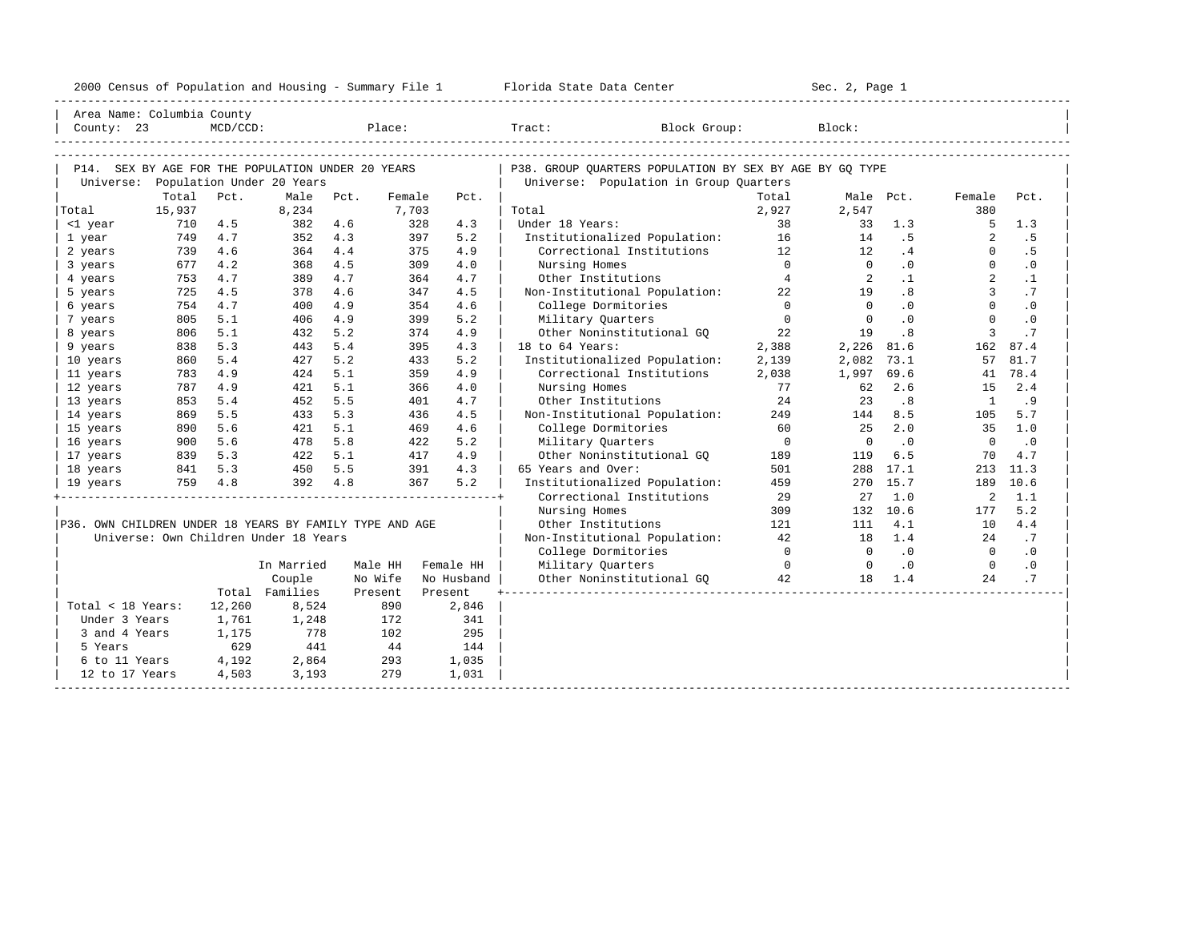| 2000<br>ensus! | and<br>Population | ---<br>Summa:<br>$-$<br>Housing | lorida<br>Data<br>otatt<br>cence. | ، م ج<br>Page<br>$3-1$ |  |
|----------------|-------------------|---------------------------------|-----------------------------------|------------------------|--|
|                |                   |                                 |                                   |                        |  |

| Area Name: Columbia County                              |        |             |                                       |      |         |            |                                                         |                |                |           |                |           |
|---------------------------------------------------------|--------|-------------|---------------------------------------|------|---------|------------|---------------------------------------------------------|----------------|----------------|-----------|----------------|-----------|
| County: 23                                              |        | $MCD/CCD$ : |                                       |      | Place:  |            | Tract:<br>Block Group:                                  |                | Block:         |           |                |           |
|                                                         |        |             |                                       |      |         |            |                                                         |                |                |           |                |           |
|                                                         |        |             |                                       |      |         |            |                                                         |                |                |           |                |           |
| P14. SEX BY AGE FOR THE POPULATION UNDER 20 YEARS       |        |             |                                       |      |         |            | P38. GROUP OUARTERS POPULATION BY SEX BY AGE BY GO TYPE |                |                |           |                |           |
| Universe:                                               |        |             | Population Under 20 Years             |      |         |            | Universe: Population in Group Quarters                  |                |                |           |                |           |
|                                                         | Total  | Pct.        | Male                                  | Pct. | Female  | Pct.       |                                                         | Total          |                | Male Pct. | Female         | Pct.      |
| Total                                                   | 15,937 |             | 8,234                                 |      | 7,703   |            | Total                                                   | 2,927          | 2,547          |           | 380            |           |
| <1 year                                                 | 710    | 4.5         | 382                                   | 4.6  |         | 328<br>4.3 | Under 18 Years:                                         | 38             | 33             | 1.3       | 5              | 1.3       |
| 1 year                                                  | 749    | 4.7         | 352                                   | 4.3  |         | 5.2<br>397 | Institutionalized Population: 16                        |                | 14             | .5        | 2              | . 5       |
| 2 years                                                 | 739    | 4.6         | 364                                   | 4.4  |         | 4.9<br>375 | Correctional Institutions                               | 12             | 12             | .4        | $\Omega$       | . 5       |
| 3 years                                                 | 677    | 4.2         | 368                                   | 4.5  |         | 4.0<br>309 | Nursing Homes                                           | $\Omega$       | $\Omega$       | .0        | $\Omega$       | $\cdot$ 0 |
| 4 years                                                 | 753    | 4.7         | 389                                   | 4.7  |         | 4.7<br>364 | Other Institutions                                      | $\overline{4}$ | 2              | $\cdot$ 1 | $\overline{a}$ | $\cdot$ 1 |
| 5 years                                                 | 725    | 4.5         | 378                                   | 4.6  |         | 347<br>4.5 | Non-Institutional Population:                           | 22             | 19             | .8        | 3              | .7        |
| 6 years                                                 | 754    | 4.7         | 400                                   | 4.9  |         | 4.6<br>354 | College Dormitories                                     | $\Omega$       | $\Omega$       | .0        | $\Omega$       | $\cdot$ 0 |
| 7 years                                                 | 805    | 5.1         | 406                                   | 4.9  |         | 399<br>5.2 | Military Quarters                                       | $\mathbf{0}$   | $\overline{0}$ | .0        | $\Omega$       | $\cdot$ 0 |
| 8 years                                                 | 806    | 5.1         | 432                                   | 5.2  |         | 374<br>4.9 | Other Noninstitutional GO                               | 22             | 19             | .8        | 3              | .7        |
| 9 years                                                 | 838    | 5.3         | 443                                   | 5.4  |         | 4.3<br>395 | 18 to 64 Years:                                         | 2,388          | 2,226          | 81.6      | 162            | 87.4      |
| 10 years                                                | 860    | 5.4         | 427                                   | 5.2  |         | 433<br>5.2 | Institutionalized Population:                           | 2,139          | 2,082          | 73.1      | 57             | 81.7      |
| 11 years                                                | 783    | 4.9         | 424                                   | 5.1  |         | 359<br>4.9 | Correctional Institutions                               | 2,038          | 1,997          | 69.6      | 41             | 78.4      |
| 12 years                                                | 787    | 4.9         | 421                                   | 5.1  |         | 366<br>4.0 | Nursing Homes                                           | 77             | 62             | 2.6       | 15             | 2.4       |
| 13 years                                                | 853    | 5.4         | 452                                   | 5.5  |         | 4.7<br>401 | Other Institutions                                      | 2.4            | 23             | .8        | $\overline{1}$ | .9        |
| 14 years                                                | 869    | 5.5         | 433                                   | 5.3  |         | 4.5<br>436 | Non-Institutional Population:                           | 249            | 144            | 8.5       | 105            | 5.7       |
| 15 years                                                | 890    | 5.6         | 421                                   | 5.1  |         | 4.6<br>469 | College Dormitories                                     | 60             | 25             | 2.0       | 35             | 1.0       |
| 16 years                                                | 900    | 5.6         | 478                                   | 5.8  |         | 5.2<br>422 | Military Ouarters                                       | $\Omega$       | $\Omega$       | $\cdot$ 0 | $\Omega$       | .0        |
| 17 years                                                | 839    | 5.3         | 422                                   | 5.1  |         | 4.9<br>417 | Other Noninstitutional GO                               | 189            | 119            | 6.5       | 70             | 4.7       |
| 18 years                                                | 841    | 5.3         | 450                                   | 5.5  |         | 4.3<br>391 | 65 Years and Over:                                      | 501            |                | 288 17.1  | 213            | 11.3      |
| 19 years                                                |        | 759 4.8     | 392 4.8                               |      |         | 367<br>5.2 | Institutionalized Population:                           | 459            | 270            | 15.7      | 189            | 10.6      |
|                                                         |        |             |                                       |      |         |            | Correctional Institutions                               | 29             | 27             | 1.0       | 2              | 1.1       |
|                                                         |        |             |                                       |      |         |            | Nursing Homes                                           | 309            |                | 132 10.6  | 177            | 5.2       |
| P36. OWN CHILDREN UNDER 18 YEARS BY FAMILY TYPE AND AGE |        |             |                                       |      |         |            | Other Institutions                                      | 121            | 111            | 4.1       | 10             | 4.4       |
|                                                         |        |             | Universe: Own Children Under 18 Years |      |         |            | Non-Institutional Population:                           | 42             | 18             | 1.4       | 2.4            | .7        |
|                                                         |        |             |                                       |      |         |            | College Dormitories                                     | $\overline{0}$ | $\overline{0}$ | $\cdot$ 0 | $\bigcirc$     | .0        |
|                                                         |        |             | In Married                            |      | Male HH | Female HH  | Military Quarters                                       | $\overline{0}$ | $\overline{0}$ | $\cdot$ 0 | $\overline{0}$ | $\cdot$ 0 |
|                                                         |        |             | Couple                                |      | No Wife | No Husband | Other Noninstitutional GQ 42                            |                | 18             | 1.4       | 2.4            | .7        |
|                                                         |        |             | Total Families                        |      | Present | Present    |                                                         |                |                |           |                |           |
| Total < 18 Years:                                       |        | 12,260      | 8,524                                 |      | 890     | 2,846      |                                                         |                |                |           |                |           |
| Under 3 Years                                           |        | 1,761       | 1,248                                 |      | 172     | 341        |                                                         |                |                |           |                |           |
| 3 and 4 Years                                           |        | 1,175       | 778                                   |      | 102     | 295        |                                                         |                |                |           |                |           |
| 5 Years                                                 |        | 629         | 441                                   |      | 44      | 144        |                                                         |                |                |           |                |           |
| 6 to 11 Years                                           |        | 4,192       | 2,864                                 |      | 293     | 1,035      |                                                         |                |                |           |                |           |
| 12 to 17 Years                                          |        | 4,503       | 3,193                                 |      | 279     | 1,031      |                                                         |                |                |           |                |           |
|                                                         |        |             |                                       |      |         |            |                                                         |                |                |           |                |           |
|                                                         |        |             |                                       |      |         |            |                                                         |                |                |           |                |           |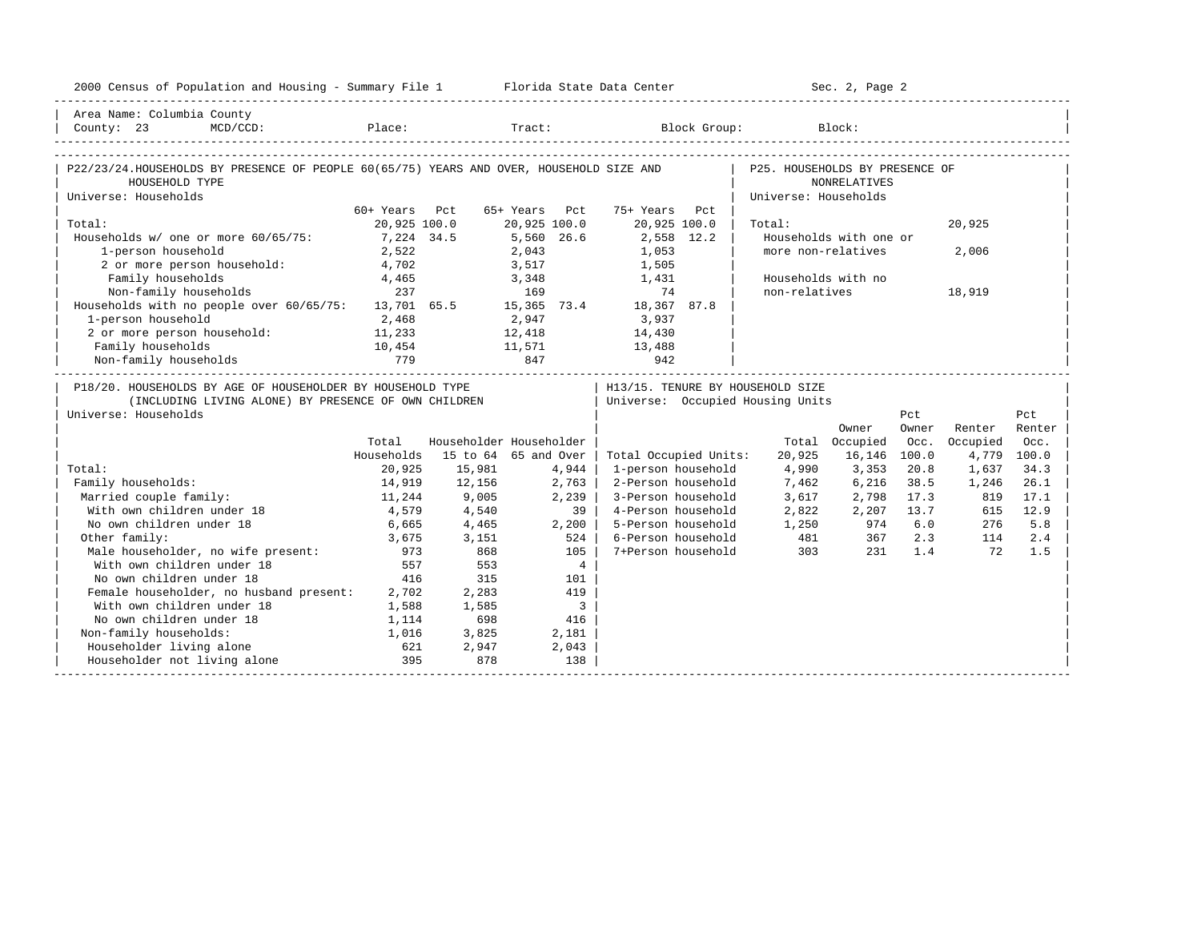| 2000 Census of Population and Housing - Summary File 1 Florida State Data Center                                                           |               |        |                                  |                                   | Sec. 2, Page 2       |                        |       |          |             |  |
|--------------------------------------------------------------------------------------------------------------------------------------------|---------------|--------|----------------------------------|-----------------------------------|----------------------|------------------------|-------|----------|-------------|--|
| Area Name: Columbia County                                                                                                                 |               |        |                                  |                                   |                      |                        |       |          |             |  |
| County: 23<br>$MCD/CCD$ :                                                                                                                  |               |        |                                  | Place: Tract: Block Group: Block: |                      |                        |       |          |             |  |
| P22/23/24.HOUSEHOLDS BY PRESENCE OF PEOPLE 60(65/75) YEARS AND OVER, HOUSEHOLD SIZE AND   P25. HOUSEHOLDS BY PRESENCE OF<br>HOUSEHOLD TYPE |               |        |                                  |                                   |                      | NONRELATIVES           |       |          |             |  |
| Universe: Households                                                                                                                       |               |        |                                  |                                   | Universe: Households |                        |       |          |             |  |
|                                                                                                                                            | 60+ Years Pct |        | 65+ Years Pct                    | 75+ Years Pct                     |                      |                        |       |          |             |  |
| Total:                                                                                                                                     | 20,925 100.0  |        | 20,925 100.0                     | 20,925 100.0                      | Total:               |                        |       | 20,925   |             |  |
| Households w/ one or more 60/65/75: 7,224 34.5                                                                                             |               |        | 5,560 26.6                       | 2,558 12.2                        |                      | Households with one or |       |          |             |  |
| 1-person household                                                                                                                         | 2,522         |        | 2,043<br>3,517                   | 1,053                             |                      | more non-relatives     |       | 2,006    |             |  |
| 2 or more person household:                                                                                                                | 4,702         |        |                                  | 1,505                             |                      |                        |       |          |             |  |
| Family households                                                                                                                          | 4,465         |        | 3,348 1,431                      |                                   |                      | Households with no     |       |          |             |  |
| 237<br>Non-family households 237 169 74<br>Households with no people over 60/65/75: 13,701 65.5 15,365 73.4 18,367 87.8                    |               |        |                                  |                                   | non-relatives        |                        |       | 18,919   |             |  |
|                                                                                                                                            |               |        |                                  |                                   |                      |                        |       |          |             |  |
| 1-person household                                                                                                                         | 2,468         |        | 2,947                            | 3,937                             |                      |                        |       |          |             |  |
| 2 or more person household: 11,233                                                                                                         |               |        | 12,418 14,430                    |                                   |                      |                        |       |          |             |  |
| Family households                                                                                                                          |               |        |                                  |                                   |                      |                        |       |          |             |  |
| Non-family households                                                                                                                      | 10,454<br>779 |        | $11,571$ $13,488$<br>$847$ $942$ |                                   |                      |                        |       |          |             |  |
| P18/20. HOUSEHOLDS BY AGE OF HOUSEHOLDER BY HOUSEHOLD TYPE                                                                                 |               |        |                                  | H13/15. TENURE BY HOUSEHOLD SIZE  |                      |                        |       |          |             |  |
| (INCLUDING LIVING ALONE) BY PRESENCE OF OWN CHILDREN                                                                                       |               |        |                                  | Universe: Occupied Housing Units  |                      |                        |       |          |             |  |
| Universe: Households                                                                                                                       |               |        |                                  |                                   |                      |                        | Pct   |          | Pct         |  |
|                                                                                                                                            |               |        |                                  |                                   |                      | Owner                  | Owner | Renter   | Renter      |  |
|                                                                                                                                            | Total         |        | Householder Householder          |                                   |                      | Total Occupied         | Occ.  | Occupied | Occ.        |  |
|                                                                                                                                            | Households    |        | 15 to 64 65 and Over             | Total Occupied Units:             | 20,925               | 16,146                 | 100.0 |          | 4,779 100.0 |  |
| Total:                                                                                                                                     | 20,925        | 15,981 | 4,944                            | 1-person household                | 4,990                | 3,353                  | 20.8  | 1,637    | 34.3        |  |
| Family households:                                                                                                                         | 14,919        | 12,156 | 2,763                            | 2-Person household                | 7,462                | 6,216                  | 38.5  | 1,246    | 26.1        |  |
| Married couple family:                                                                                                                     | 11,244        | 9,005  | 2,239                            | 3-Person household                | 3,617                | 2,798                  | 17.3  | 819      | 17.1        |  |
| With own children under 18                                                                                                                 | 4,579         | 4,540  | 39                               | 4-Person household                | 2,822                | 2,207                  | 13.7  | 615      | 12.9        |  |
| No own children under 18                                                                                                                   | 6,665         | 4,465  | $2,200$                          | 5-Person household                | 1,250                | 974                    | 6.0   | 276      | 5.8         |  |
| Other family:                                                                                                                              | 3,675         | 3,151  | 524                              | 6-Person household                |                      | 367                    | 2.3   | 114      | 2.4         |  |
| Male householder, no wife present: 973                                                                                                     |               | 868    | 105                              | 7+Person household                | 303                  | 481<br>303<br>231      | 1.4   | 72       | 1.5         |  |
| With own children under 18                                                                                                                 | 557           | 553    | $4\overline{ }$                  |                                   |                      |                        |       |          |             |  |
| No own children under 18                                                                                                                   | 416           | 315    | 101                              |                                   |                      |                        |       |          |             |  |
| Female householder, no husband present: 2,702                                                                                              |               | 2,283  | 419                              |                                   |                      |                        |       |          |             |  |
| With own children under 18                                                                                                                 | 1,588         | 1,585  | $\overline{\phantom{a}}$         |                                   |                      |                        |       |          |             |  |
| No own children under 18                                                                                                                   | 1,114         | 698    | 416                              |                                   |                      |                        |       |          |             |  |
| Non-family households:                                                                                                                     | 1,016         | 3,825  | 2,181                            |                                   |                      |                        |       |          |             |  |
| Householder living alone                                                                                                                   | 621           | 2,947  | 2,043                            |                                   |                      |                        |       |          |             |  |
| Householder not living alone                                                                                                               | 395           | 878    | 138                              |                                   |                      |                        |       |          |             |  |
|                                                                                                                                            |               |        |                                  |                                   |                      |                        |       |          |             |  |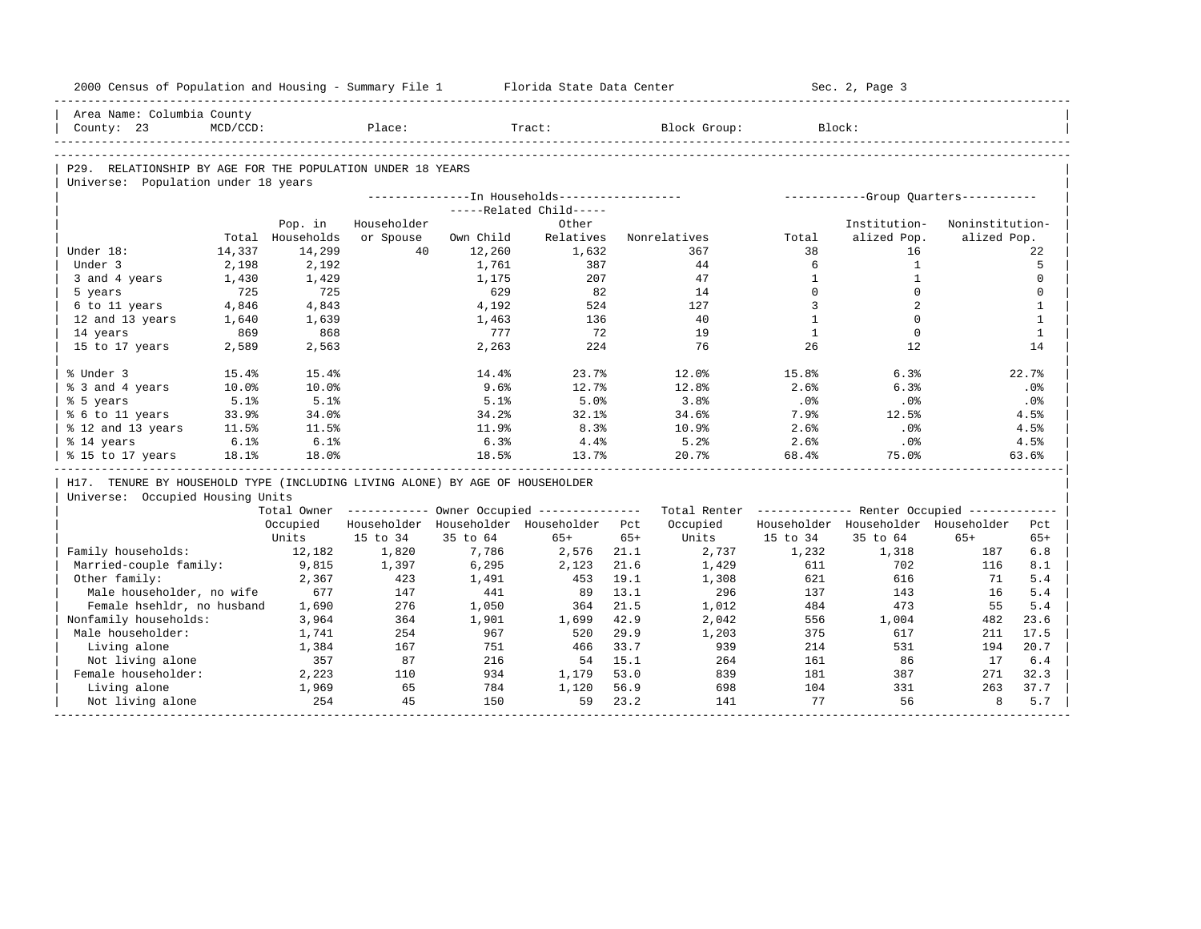| 2000 Census of Population and Housing - Summary File 1                       |             |                  |             |           | Florida State Data Center                              |       |                                                         |              | Sec. 2, Page 3                        |                 |              |
|------------------------------------------------------------------------------|-------------|------------------|-------------|-----------|--------------------------------------------------------|-------|---------------------------------------------------------|--------------|---------------------------------------|-----------------|--------------|
| Area Name: Columbia County                                                   |             |                  |             |           |                                                        |       |                                                         |              |                                       |                 |              |
| County: 23                                                                   | $MCD/CCD$ : |                  | Place:      |           | Tract:                                                 |       | Block Group:                                            |              | Block:                                |                 |              |
|                                                                              |             |                  |             |           |                                                        |       |                                                         |              |                                       |                 |              |
| P29. RELATIONSHIP BY AGE FOR THE POPULATION UNDER 18 YEARS                   |             |                  |             |           |                                                        |       |                                                         |              |                                       |                 |              |
| Universe: Population under 18 years                                          |             |                  |             |           |                                                        |       |                                                         |              |                                       |                 |              |
|                                                                              |             |                  |             |           | ---------------In Households-----------------          |       |                                                         |              | ------------Group Quarters----------- |                 |              |
|                                                                              |             |                  |             |           | -----Related Child-----                                |       |                                                         |              |                                       |                 |              |
|                                                                              |             | Pop. in          | Householder |           | Other                                                  |       |                                                         |              | Institution-                          | Noninstitution- |              |
|                                                                              |             | Total Households | or Spouse   | Own Child | Relatives                                              |       | Nonrelatives                                            | Total        | alized Pop.                           | alized Pop.     |              |
| Under 18:                                                                    | 14,337      | 14,299           | 40          | 12,260    | 1,632                                                  |       | 367                                                     | 38           | 16                                    |                 | 22           |
| Under 3                                                                      | 2,198       | 2,192            |             | 1,761     | 387                                                    |       | 44                                                      | 6            | $\mathbf{1}$                          |                 | 5            |
| 3 and 4 years                                                                | 1,430       | 1,429            |             | 1,175     | 207                                                    |       | 47                                                      | $\mathbf{1}$ | $\mathbf{1}$                          |                 | $\mathbf 0$  |
| 5 years                                                                      | 725         | 725              |             | 629       | 82                                                     |       | 14                                                      | $\Omega$     | $\Omega$                              |                 | $\Omega$     |
| 6 to 11 years                                                                | 4,846       | 4,843            |             | 4,192     | 524                                                    |       | 127                                                     | 3            | 2                                     |                 | $\mathbf{1}$ |
| 12 and 13 years                                                              | 1,640       | 1,639            |             | 1,463     | 136                                                    |       | 40                                                      | $\mathbf{1}$ | $\Omega$                              |                 | $\mathbf{1}$ |
| 14 years                                                                     | 869         | 868              |             | 777       | 72                                                     |       | 19                                                      | $\mathbf{1}$ | $\Omega$                              |                 | $\mathbf{1}$ |
| 15 to 17 years                                                               | 2,589       | 2,563            |             | 2,263     | 224                                                    |       | 76                                                      | 26           | 12                                    |                 | 14           |
| % Under 3                                                                    | 15.4%       | 15.4%            |             | 14.4%     | 23.7%                                                  |       | 12.0%                                                   | 15.8%        | 6.3%                                  |                 | 22.7%        |
| % 3 and 4 years                                                              | 10.0%       | 10.0%            |             | 9.6%      | 12.7%                                                  |       | 12.8%                                                   | 2.6%         | 6.3%                                  |                 | .0%          |
| % 5 years                                                                    | 5.1%        | 5.1%             |             | 5.1%      | 5.0%                                                   |       | 3.8%                                                    | .0%          | .0%                                   |                 | .0%          |
| % 6 to 11 years                                                              | 33.9%       | 34.0%            |             | 34.2%     | 32.1%                                                  |       | 34.6%                                                   | 7.9%         | 12.5%                                 |                 | 4.5%         |
| % 12 and 13 years                                                            | 11.5%       | 11.5%            |             | 11.9%     | 8.3%                                                   |       | 10.9%                                                   | 2.6%         | .0%                                   |                 | 4.5%         |
| % 14 years                                                                   | 6.1%        | 6.1%             |             | 6.3%      | 4.4%                                                   |       | 5.2%                                                    | 2.6%         | .0%                                   |                 | 4.5%         |
| % 15 to 17 years                                                             | 18.1%       | 18.0%            |             | 18.5%     | 13.7%                                                  |       | 20.7%                                                   | 68.4%        | 75.0%                                 |                 | 63.6%        |
| H17. TENURE BY HOUSEHOLD TYPE (INCLUDING LIVING ALONE) BY AGE OF HOUSEHOLDER |             |                  |             |           |                                                        |       |                                                         |              |                                       |                 |              |
| Universe: Occupied Housing Units                                             |             |                  |             |           |                                                        |       |                                                         |              |                                       |                 |              |
|                                                                              |             |                  |             |           | Total Owner ------------ Owner Occupied -------------- |       | Total Renter ------------- Renter Occupied ------------ |              |                                       |                 |              |
|                                                                              |             | Occupied         |             |           | Householder Householder Householder Pct                |       | Occupied                                                |              | Householder Householder Householder   |                 | Pct          |
|                                                                              |             | Units            | 15 to 34    | 35 to 64  | $65+$                                                  | $65+$ | Units                                                   | 15 to 34     | 35 to 64                              | $65+$           | $65+$        |
| Family households:                                                           |             | 12,182           | 1,820       | 7,786     | 2,576                                                  | 21.1  | 2,737                                                   | 1,232        | 1,318                                 | 187             | 6.8          |
| Married-couple family:                                                       |             | 9,815            | 1,397       | 6,295     | 2,123                                                  | 21.6  | 1,429                                                   | 611          | 702                                   | 116             | 8.1          |
| Other family:                                                                |             | 2,367            | 423         | 1,491     | 453                                                    | 19.1  | 1,308                                                   | 621          | 616                                   | 71              | 5.4          |
| Male householder, no wife                                                    |             | 677              | 147         | 441       | 89                                                     | 13.1  | 296                                                     | 137          | 143                                   | 16              | 5.4          |
| Female hsehldr, no husband                                                   |             | 1,690            | 276         | 1,050     | 364                                                    | 21.5  | 1,012                                                   | 484          | 473                                   | 55              | 5.4          |
| Nonfamily households:                                                        |             | 3,964            | 364         | 1,901     | 1,699                                                  | 42.9  | 2,042                                                   | 556          | 1,004                                 | 482             | 23.6         |
| Male householder:                                                            |             | 1,741            | 254         | 967       | 520                                                    | 29.9  | 1,203                                                   | 375          | 617                                   | 211             | 17.5         |
| Living alone                                                                 |             | 1,384            | 167         | 751       | 466                                                    | 33.7  | 939                                                     | 214          | 531                                   | 194             | 20.7         |
| Not living alone                                                             |             | 357              | 87          | 216       | 54                                                     | 15.1  | 264                                                     | 161          | 86                                    | 17              | 6.4          |
| Female householder:                                                          |             | 2,223            | 110         | 934       | 1,179                                                  | 53.0  | 839                                                     | 181          | 387                                   | 271             | 32.3         |
| Living alone                                                                 |             | 1,969            | 65          | 784       | 1,120                                                  | 56.9  | 698                                                     | 104          | 331                                   | 263             | 37.7         |
| Not living alone                                                             |             | 254              | 45          | 150       | 59                                                     | 23.2  | 141                                                     | 77           | 56                                    | 8               | 5.7          |
|                                                                              |             |                  |             |           |                                                        |       |                                                         |              |                                       |                 |              |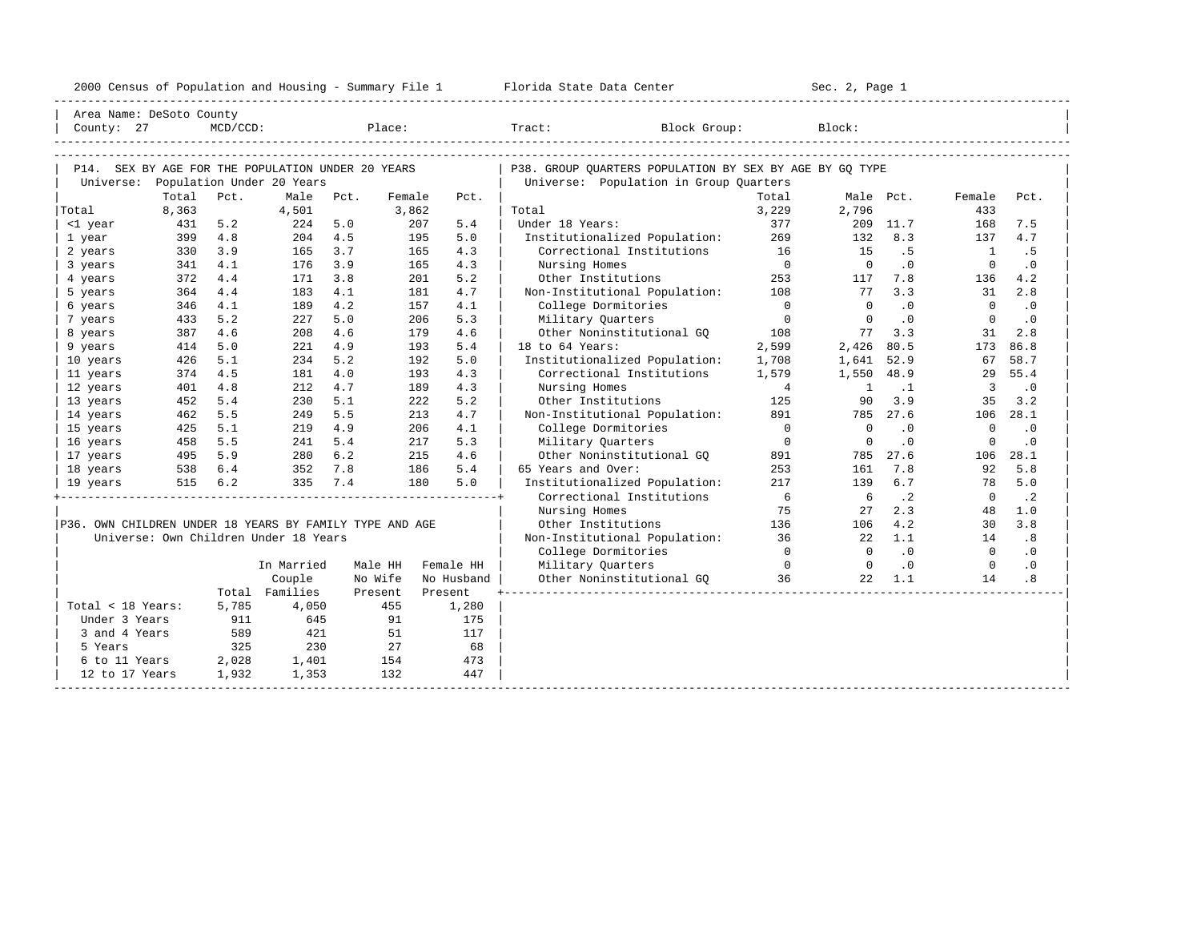|                                                         |       |         |                                               |         |        |            | 2000 Census of Population and Housing - Summary File 1 Florida State Data Center | ______________________________ | Sec. 2, Page 1 |           |                         |           |  |
|---------------------------------------------------------|-------|---------|-----------------------------------------------|---------|--------|------------|----------------------------------------------------------------------------------|--------------------------------|----------------|-----------|-------------------------|-----------|--|
| Area Name: DeSoto County                                |       |         |                                               |         |        |            |                                                                                  |                                |                |           |                         |           |  |
|                                                         |       |         |                                               |         |        |            |                                                                                  |                                |                |           |                         |           |  |
|                                                         |       |         |                                               |         |        |            |                                                                                  |                                |                |           |                         |           |  |
| P14. SEX BY AGE FOR THE POPULATION UNDER 20 YEARS       |       |         |                                               |         |        |            | P38. GROUP OUARTERS POPULATION BY SEX BY AGE BY GO TYPE                          |                                |                |           |                         |           |  |
|                                                         |       |         | Universe: Population Under 20 Years           |         |        |            | Universe: Population in Group Quarters                                           |                                |                |           |                         |           |  |
|                                                         | Total | Pct.    | Male                                          | Pct.    | Female | Pct.       |                                                                                  | Total                          |                | Male Pct. | Female                  | Pct.      |  |
| Total                                                   | 8,363 |         | 4,501                                         |         | 3,862  |            | Total                                                                            | 3,229                          | 2,796          |           | 433                     |           |  |
| <1 year                                                 | 431   | 5.2     | 224                                           | 5.0     | 207    | 5.4        | Under 18 Years:                                                                  | 377                            |                | 209 11.7  | 168                     | 7.5       |  |
| 1 year                                                  | 399   | 4.8     | 204                                           | 4.5     | 195    | 5.0        | Institutionalized Population: 269                                                |                                | 132            | 8.3       | 137                     | 4.7       |  |
| 2 years                                                 | 330   | 3.9     | 165                                           | 3.7     | 165    | 4.3        | Correctional Institutions 16                                                     |                                | 15             | .5        | $\overline{1}$          | . 5       |  |
| 3 years                                                 | 341   | 4.1     | 176                                           | 3.9     | 165    | 4.3        | Nursing Homes                                                                    | $\overline{0}$                 | $\overline{0}$ | .0        | $\Omega$                | $\cdot$ 0 |  |
| 4 years                                                 | 372   | 4.4     | 171                                           | 3.8     | 201    | 5.2        | Other Institutions 253<br>Non-Institutional Population: 108                      |                                | 117            | 7.8       | 136                     | 4.2       |  |
| 5 years                                                 | 364   | 4.4     | 183                                           | 4.1     | 181    | 4.7        |                                                                                  |                                | 77             | 3.3       | 31                      | 2.8       |  |
| 6 years                                                 | 346   | 4.1     | 189                                           | 4.2     | 157    | 4.1        | College Dormitories                                                              | $\overline{0}$                 | $\overline{0}$ | .0        | $\overline{0}$          | $\cdot$ 0 |  |
| 7 years                                                 | 433   | 5.2     | 227                                           | 5.0     | 206    | 5.3        | Military Quarters                                                                | $\overline{0}$                 | $\overline{0}$ | $\cdot$ 0 | $\overline{0}$          | .0        |  |
| 8 years                                                 | 387   | 4.6     | 208                                           | 4.6     | 179    | 4.6        | Other Noninstitutional GQ 108                                                    |                                |                | 77 3.3    | 31                      | 2.8       |  |
| 9 years                                                 | 414   | 5.0     | 221                                           | 4.9     | 193    | 5.4        | 18 to 64 Years:                                                                  | 2,599                          | 2,426          | 80.5      | 173                     | 86.8      |  |
| 10 years                                                | 426   | 5.1     | 234                                           | 5.2     | 192    | 5.0        | Institutionalized Population:                                                    | 1,708                          | 1,641          | 52.9      | 67                      | 58.7      |  |
| 11 years                                                | 374   | 4.5     | 181                                           | 4.0     | 193    | 4.3        | Correctional Institutions                                                        | 1,579                          | 1,550 48.9     |           |                         | 29 55.4   |  |
| 12 years                                                | 401   | 4.8     | 212                                           | 4.7     | 189    | 4.3        | Nursing Homes                                                                    | $\overline{4}$                 | $\overline{1}$ | $\cdot$ 1 | $\overline{\mathbf{3}}$ | $\cdot$ 0 |  |
| 13 years                                                | 452   | 5.4     | 230                                           | 5.1     | 222    | 5.2        | Other Institutions                                                               | 125                            | 90             | 3.9       | 35                      | 3.2       |  |
| 14 years                                                | 462   | 5.5     | 249                                           | 5.5     | 213    | 4.7        | Non-Institutional Population:                                                    | 891                            |                | 785 27.6  | 106                     | 28.1      |  |
| 15 years                                                | 425   | 5.1     | 219                                           | 4.9     | 206    | 4.1        | College Dormitories                                                              | $\overline{0}$                 | $\overline{0}$ | $\cdot$ 0 | $\overline{0}$          | $\cdot$ 0 |  |
| 16 years                                                | 458   | 5.5     | 241                                           | 5.4     | 217    | 5.3        | Military Quarters                                                                | $\overline{0}$                 | $\overline{0}$ | $\cdot$ 0 | $\mathbf 0$             | $\cdot$ 0 |  |
| 17 years                                                |       |         | 495 5.9 280 6.2<br>538 6.4 352 7.8<br>280 6.2 |         | 215    | 4.6        | Other Noninstitutional GQ                                                        | 891                            | 785            | 27.6      | 106                     | 28.1      |  |
| 18 years                                                |       |         |                                               |         | 186    | 5.4        | 65 Years and Over:                                                               | 253                            | 161            | 7.8       | 92                      | 5.8       |  |
| 19 years                                                |       | 515 6.2 | 335                                           | 7.4     | 180    | 5.0        | Institutionalized Population:                                                    | 217                            | 139            | 6.7       | 78                      | 5.0       |  |
|                                                         |       |         |                                               |         |        |            | Correctional Institutions                                                        | 6                              | 6              | $\cdot$ 2 | $\overline{0}$          | $\cdot$ 2 |  |
|                                                         |       |         |                                               |         |        |            | Nursing Homes                                                                    | 75                             | 27             | 2.3       | 48                      | 1.0       |  |
| P36. OWN CHILDREN UNDER 18 YEARS BY FAMILY TYPE AND AGE |       |         |                                               |         |        |            | Other Institutions                                                               | 136                            | 106            | 4.2       | 30                      | 3.8       |  |
|                                                         |       |         | Universe: Own Children Under 18 Years         |         |        |            | Non-Institutional Population: 36                                                 |                                | 22             | 1.1       | 14                      | .8        |  |
|                                                         |       |         |                                               |         |        |            | College Dormitories                                                              | $\overline{0}$                 | $\overline{0}$ | .0        | $\overline{0}$          | $\cdot$ 0 |  |
|                                                         |       |         | In Married                                    | Male HH |        | Female HH  | Military Quarters                                                                | $\overline{0}$ 0 0             |                | $\cdot$ 0 | $\overline{0}$          | $\cdot$ 0 |  |
|                                                         |       |         | Couple                                        | No Wife |        | No Husband | Other Noninstitutional GQ 36                                                     |                                | 22             | 1.1       | 14                      | .8        |  |
|                                                         |       |         | Total Families                                | Present |        | Present    |                                                                                  |                                |                |           |                         |           |  |
| Total < 18 Years:                                       |       | 5,785   | 4,050                                         |         | 455    | 1,280      |                                                                                  |                                |                |           |                         |           |  |
| Under 3 Years                                           |       | 911     | 645                                           |         | 91     | 175        |                                                                                  |                                |                |           |                         |           |  |
| 3 and 4 Years                                           |       | 589     | 421                                           |         | 51     | 117        |                                                                                  |                                |                |           |                         |           |  |
| 5 Years                                                 |       | 325     | 230                                           |         | 27     | 68         |                                                                                  |                                |                |           |                         |           |  |
| 6 to 11 Years                                           |       | 2,028   | 1,401                                         |         | 154    | 473        |                                                                                  |                                |                |           |                         |           |  |
| 12 to 17 Years                                          |       | 1,932   | 1,353                                         |         | 132    | 447        |                                                                                  |                                |                |           |                         |           |  |

-----------------------------------------------------------------------------------------------------------------------------------------------------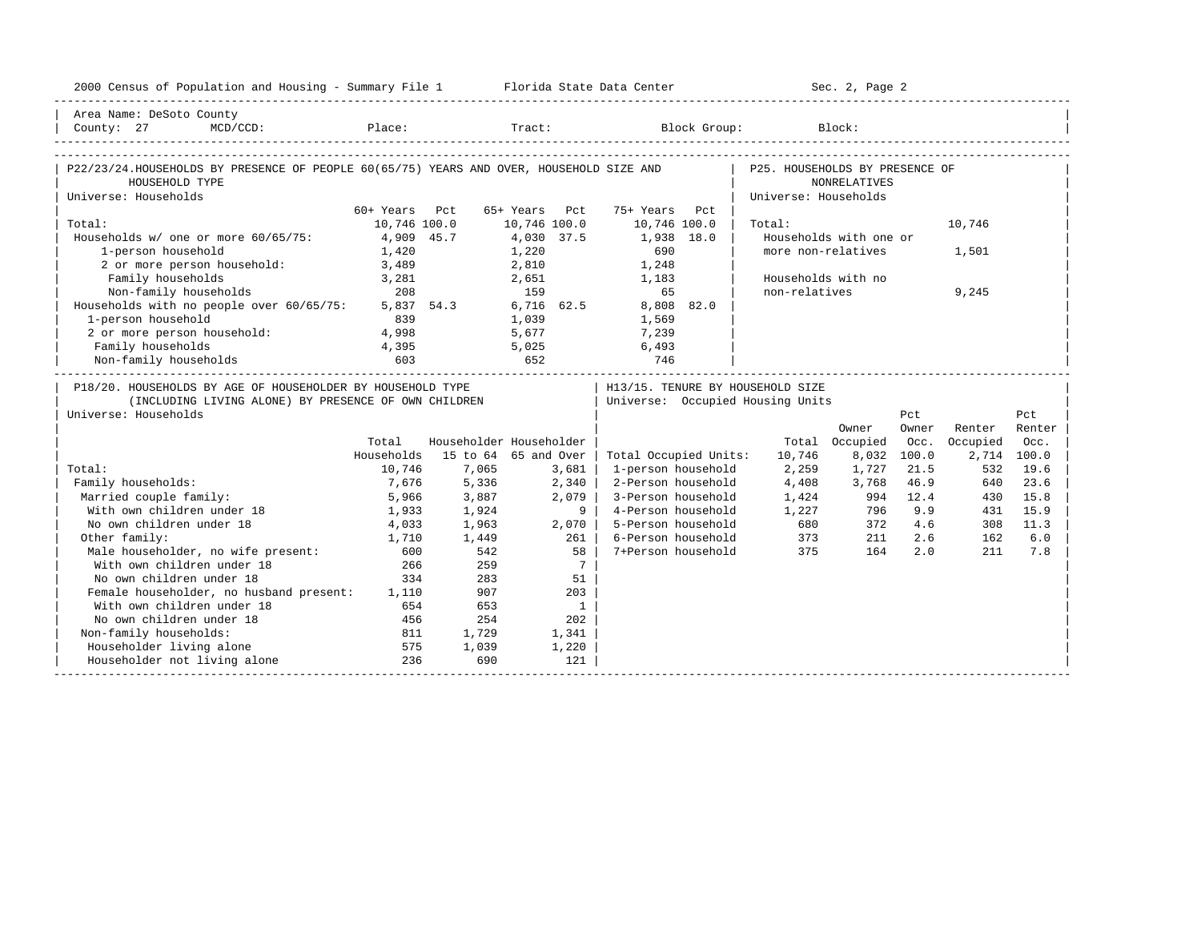| 2000 Census of Population and Housing - Summary File 1 Florida State Data Center                                         |                |                         |               |                 |                                   |                      | Sec. 2, Page 2         |       |             |        |
|--------------------------------------------------------------------------------------------------------------------------|----------------|-------------------------|---------------|-----------------|-----------------------------------|----------------------|------------------------|-------|-------------|--------|
| Area Name: DeSoto County                                                                                                 |                |                         |               |                 |                                   |                      |                        |       |             |        |
| County: 27<br>$MCD / CCD$ :                                                                                              |                |                         |               |                 | Place: Tract: Block Group: Block: |                      |                        |       |             |        |
| P22/23/24.HOUSEHOLDS BY PRESENCE OF PEOPLE 60(65/75) YEARS AND OVER, HOUSEHOLD SIZE AND   P25. HOUSEHOLDS BY PRESENCE OF |                |                         |               |                 |                                   |                      |                        |       |             |        |
| HOUSEHOLD TYPE                                                                                                           |                |                         |               |                 |                                   |                      | NONRELATIVES           |       |             |        |
| Universe: Households                                                                                                     |                |                         |               |                 |                                   | Universe: Households |                        |       |             |        |
|                                                                                                                          | 60+ Years Pct  |                         | 65+ Years Pct |                 | 75+ Years Pct                     |                      |                        |       |             |        |
| Total:                                                                                                                   | 10,746 100.0   |                         | 10,746 100.0  |                 | 10,746 100.0                      | Total:               |                        |       | 10,746      |        |
| Households w/ one or more $60/65/75$ : 4,909 45.7                                                                        |                |                         | 4,030 37.5    |                 | 1,938 18.0                        |                      | Households with one or |       |             |        |
| 1-person household                                                                                                       | 1,420          |                         | 1,220         |                 | 690                               |                      | more non-relatives     |       | 1,501       |        |
| 2 or more person household:                                                                                              | 3,489          |                         | 2,810         |                 | 1,248                             |                      |                        |       |             |        |
| Family households                                                                                                        | 3,281          |                         | 2,651         |                 | 1,183                             |                      | Households with no     |       |             |        |
| Non-family households                                                                                                    | 208            |                         | 159           |                 | 65                                | non-relatives        |                        |       | 9,245       |        |
| Households with no people over 60/65/75:                                                                                 |                | $5,837$ $54.3$          |               |                 | 6,716 62.5 8,808 82.0             |                      |                        |       |             |        |
| 1-person household                                                                                                       | 839            |                         | 1,039         |                 | 1,569                             |                      |                        |       |             |        |
| 2 or more person household: 4,998                                                                                        |                |                         |               |                 | 5,677 7,239                       |                      |                        |       |             |        |
| Family households                                                                                                        | $4,395$<br>603 | $5,025$<br>652          |               |                 | 6,493                             |                      |                        |       |             |        |
| Non-family households                                                                                                    |                |                         |               |                 | 746                               |                      |                        |       |             |        |
| P18/20. HOUSEHOLDS BY AGE OF HOUSEHOLDER BY HOUSEHOLD TYPE                                                               |                |                         |               |                 | H13/15. TENURE BY HOUSEHOLD SIZE  |                      |                        |       |             |        |
| (INCLUDING LIVING ALONE) BY PRESENCE OF OWN CHILDREN                                                                     |                |                         |               |                 | Universe: Occupied Housing Units  |                      |                        |       |             |        |
| Universe: Households                                                                                                     |                |                         |               |                 |                                   |                      |                        | Pct   |             | Pct.   |
|                                                                                                                          |                |                         |               |                 |                                   |                      | Owner                  | Owner | Renter      | Renter |
|                                                                                                                          | Total          | Householder Householder |               |                 |                                   |                      | Total Occupied         | Occ.  | Occupied    | Occ.   |
|                                                                                                                          | Households     | 15 to 64 65 and Over    |               |                 | Total Occupied Units:             | 10,746               | 8,032                  | 100.0 | 2,714 100.0 |        |
| Total:                                                                                                                   | 10,746         | 7,065                   |               | 3,681           | 1-person household                | 2,259                | 1,727                  | 21.5  | 532         | 19.6   |
| Family households:                                                                                                       | 7,676          | 5,336                   | 2,340         |                 | 2-Person household                | 4,408                | 3,768                  | 46.9  | 640         | 23.6   |
| Married couple family:                                                                                                   | 5,966          | 3,887                   |               | 2,079           | 3-Person household                | 1,424                | 994                    | 12.4  | 430         | 15.8   |
| With own children under 18                                                                                               | 1,933          | 1,924                   |               | 91              | 4-Person household                |                      | 1,227 796              | 9.9   | 431         | 15.9   |
| No own children under 18                                                                                                 | 4,033          | 1,963                   |               | 2,070           | 5-Person household                | 680                  | 372                    | 4.6   | 308         | 11.3   |
| Other family:                                                                                                            | 1,710          | 1,449                   |               | 261             | 6-Person household                | 373<br>375           | 211                    | 2.6   | 162         | 6.0    |
| Male householder, no wife present:                                                                                       | 600            | 542                     |               | 58              | 7+Person household                | 375                  | 164                    | 2.0   | 211         | 7.8    |
| With own children under 18                                                                                               | 266            | 259                     |               | $7\overline{ }$ |                                   |                      |                        |       |             |        |
| No own children under 18                                                                                                 | 334            | 283                     |               | 51              |                                   |                      |                        |       |             |        |
| Female householder, no husband present: 1,110                                                                            |                | 907                     |               | 203             |                                   |                      |                        |       |             |        |
| With own children under 18                                                                                               | 654            | 653                     |               | $\overline{1}$  |                                   |                      |                        |       |             |        |
| No own children under 18                                                                                                 | 456            | 254                     |               | 202             |                                   |                      |                        |       |             |        |
| Non-family households:                                                                                                   | 811            | 1,729                   |               | 1,341           |                                   |                      |                        |       |             |        |
| Householder living alone                                                                                                 | 575            | 1,039                   |               | 1,220           |                                   |                      |                        |       |             |        |
| Householder not living alone                                                                                             | 236            | 690                     |               | 121             |                                   |                      |                        |       |             |        |
|                                                                                                                          |                |                         |               |                 |                                   |                      |                        |       |             |        |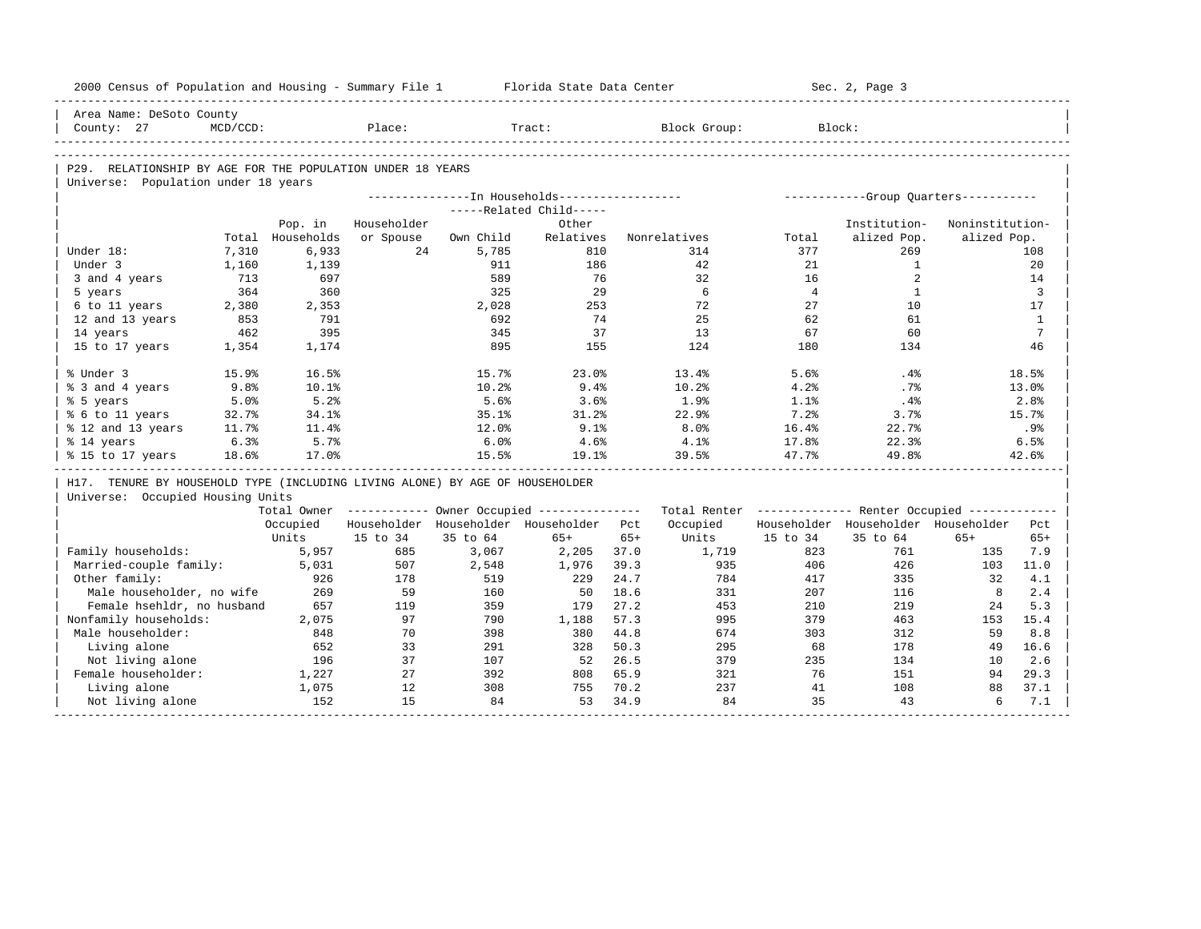| 2000 Census of Population and Housing - Summary File 1                       |             |                  |             |           | Florida State Data Center                               |       |                                                         |                | Sec. 2, Page 3                      |                                       |                  |
|------------------------------------------------------------------------------|-------------|------------------|-------------|-----------|---------------------------------------------------------|-------|---------------------------------------------------------|----------------|-------------------------------------|---------------------------------------|------------------|
| Area Name: DeSoto County                                                     |             |                  |             |           |                                                         |       |                                                         |                |                                     |                                       |                  |
| County: 27                                                                   | $MCD/CCD$ : |                  | Place:      |           | Tract:                                                  |       | Block Group:                                            | Block:         |                                     |                                       |                  |
|                                                                              |             |                  |             |           |                                                         |       |                                                         |                |                                     |                                       |                  |
| P29. RELATIONSHIP BY AGE FOR THE POPULATION UNDER 18 YEARS                   |             |                  |             |           |                                                         |       |                                                         |                |                                     |                                       |                  |
| Universe: Population under 18 years                                          |             |                  |             |           |                                                         |       |                                                         |                |                                     |                                       |                  |
|                                                                              |             |                  |             |           | ---------------- In Households------------------        |       |                                                         |                |                                     | ------------Group Ouarters----------- |                  |
|                                                                              |             |                  |             |           | -----Related Child-----                                 |       |                                                         |                |                                     |                                       |                  |
|                                                                              |             | Pop. in          | Householder |           | Other                                                   |       |                                                         |                | Institution-                        | Noninstitution-                       |                  |
|                                                                              |             | Total Households | or Spouse   | Own Child | Relatives                                               |       | Nonrelatives                                            | Total          | alized Pop.                         | alized Pop.                           |                  |
| Under 18:                                                                    | 7,310       | 6,933            | 24          | 5,785     | 810                                                     |       | 314                                                     | 377            | 269                                 |                                       | 108              |
| Under 3                                                                      | 1,160       | 1,139            |             | 911       | 186                                                     |       | 42                                                      | 21             | $\mathbf{1}$                        |                                       | 20               |
| 3 and 4 years                                                                | 713         | 697              |             | 589       | 76                                                      |       | 32                                                      | 16             | 2                                   |                                       | 14               |
| 5 years                                                                      | 364         | 360              |             | 325       | 29                                                      |       | 6                                                       | $\overline{4}$ | $\mathbf{1}$                        |                                       | $\overline{3}$   |
| 6 to 11 years                                                                | 2,380       | 2,353            |             | 2,028     | 253                                                     |       | 72                                                      | 27             | 10                                  |                                       | 17               |
| 12 and 13 years                                                              | 853         | 791              |             | 692       | 74                                                      |       | 25                                                      | 62             | 61                                  |                                       | $\mathbf{1}$     |
| 14 years                                                                     | 462         | 395              |             | 345       | 37                                                      |       | 13                                                      | 67             | 60                                  |                                       | $7\phantom{.0}$  |
| 15 to 17 years                                                               | 1,354       | 1,174            |             | 895       | 155                                                     |       | 124                                                     | 180            | 134                                 |                                       | 46               |
| % Under 3                                                                    | 15.9%       | 16.5%            |             | 15.7%     | 23.0%                                                   |       | 13.4%                                                   | 5.6%           | $.4\%$                              |                                       | 18.5%            |
| % 3 and 4 years                                                              | 9.8%        | 10.1%            |             | 10.2%     | 9.4%                                                    |       | 10.2%                                                   | 4.2%           | .7%                                 |                                       | 13.0%            |
| % 5 years                                                                    | 5.0%        | 5.2%             |             | 5.6%      | 3.6%                                                    |       | 1.9%                                                    | 1.1%           | .4%                                 |                                       | 2.8 <sup>8</sup> |
| % 6 to 11 years                                                              | 32.7%       | 34.1%            |             | 35.1%     | 31.2%                                                   |       | 22.9%                                                   | 7.2%           | 3.7%                                |                                       | 15.7%            |
| % 12 and 13 years                                                            | 11.7%       | 11.4%            |             | 12.0%     | 9.1%                                                    |       | 8.0%                                                    | 16.4%          | 22.7%                               |                                       | .9%              |
| % 14 years                                                                   | 6.3%        | 5.7%             |             | 6.0%      | 4.6%                                                    |       | 4.1%                                                    | 17.8%          | 22.3%                               |                                       | 6.5%             |
| % 15 to 17 years                                                             | 18.6%       | 17.0%            |             | 15.5%     | 19.1%                                                   |       | 39.5%                                                   | 47.7%          | 49.8%                               |                                       | 42.6%            |
| H17. TENURE BY HOUSEHOLD TYPE (INCLUDING LIVING ALONE) BY AGE OF HOUSEHOLDER |             |                  |             |           |                                                         |       |                                                         |                |                                     |                                       |                  |
| Universe: Occupied Housing Units                                             |             |                  |             |           |                                                         |       |                                                         |                |                                     |                                       |                  |
|                                                                              |             |                  |             |           | Total Owner ------------ Owner Occupied --------------- |       | Total Renter ------------- Renter Occupied ------------ |                |                                     |                                       |                  |
|                                                                              |             | Occupied         |             |           | Householder Householder Householder                     | Pct   | Occupied                                                |                | Householder Householder Householder |                                       | Pct              |
|                                                                              |             | Units            | 15 to 34    | 35 to 64  | $65+$                                                   | $65+$ | Units                                                   | 15 to 34       | 35 to 64                            | $65+$                                 | $65+$            |
| Family households:                                                           |             | 5,957            | 685         | 3,067     | 2,205                                                   | 37.0  | 1,719                                                   | 823            | 761                                 | 135                                   | 7.9              |
| Married-couple family:                                                       |             | 5,031            | 507         | 2,548     | 1,976                                                   | 39.3  | 935                                                     | 406            | 426                                 | 103                                   | 11.0             |
| Other family:                                                                |             | 926              | 178         | 519       | 229                                                     | 24.7  | 784                                                     | 417            | 335                                 | 32                                    | 4.1              |
| Male householder, no wife                                                    |             | 269              | 59          | 160       | 50                                                      | 18.6  | 331                                                     | 207            | 116                                 | 8                                     | 2.4              |
| Female hsehldr, no husband                                                   |             | 657              | 119         | 359       | 179                                                     | 27.2  | 453                                                     | 210            | 219                                 | 24                                    | 5.3              |
| Nonfamily households:                                                        |             | 2,075            | 97          | 790       | 1,188                                                   | 57.3  | 995                                                     | 379            | 463                                 | 153                                   | 15.4             |
| Male householder:                                                            |             | 848              | 70          | 398       | 380                                                     | 44.8  | 674                                                     | 303            | 312                                 | 59                                    | 8.8              |
| Living alone                                                                 |             | 652              | 33          | 291       | 328                                                     | 50.3  | 295                                                     | 68             | 178                                 | 49                                    | 16.6             |
| Not living alone                                                             |             | 196              | 37          | 107       | 52                                                      | 26.5  | 379                                                     | 235            | 134                                 | $10^{-}$                              | 2.6              |
| Female householder:                                                          |             | 1,227            | 27          | 392       | 808                                                     | 65.9  | 321                                                     | 76             | 151                                 | 94                                    | 29.3             |
| Living alone                                                                 |             | 1,075            | 12          | 308       | 755                                                     | 70.2  | 237                                                     | 41             | 108                                 | 88                                    | 37.1             |
| Not living alone                                                             |             | 152              | 15          | 84        | 53                                                      | 34.9  | 84                                                      | 35             | 43                                  | 6                                     | 7.1              |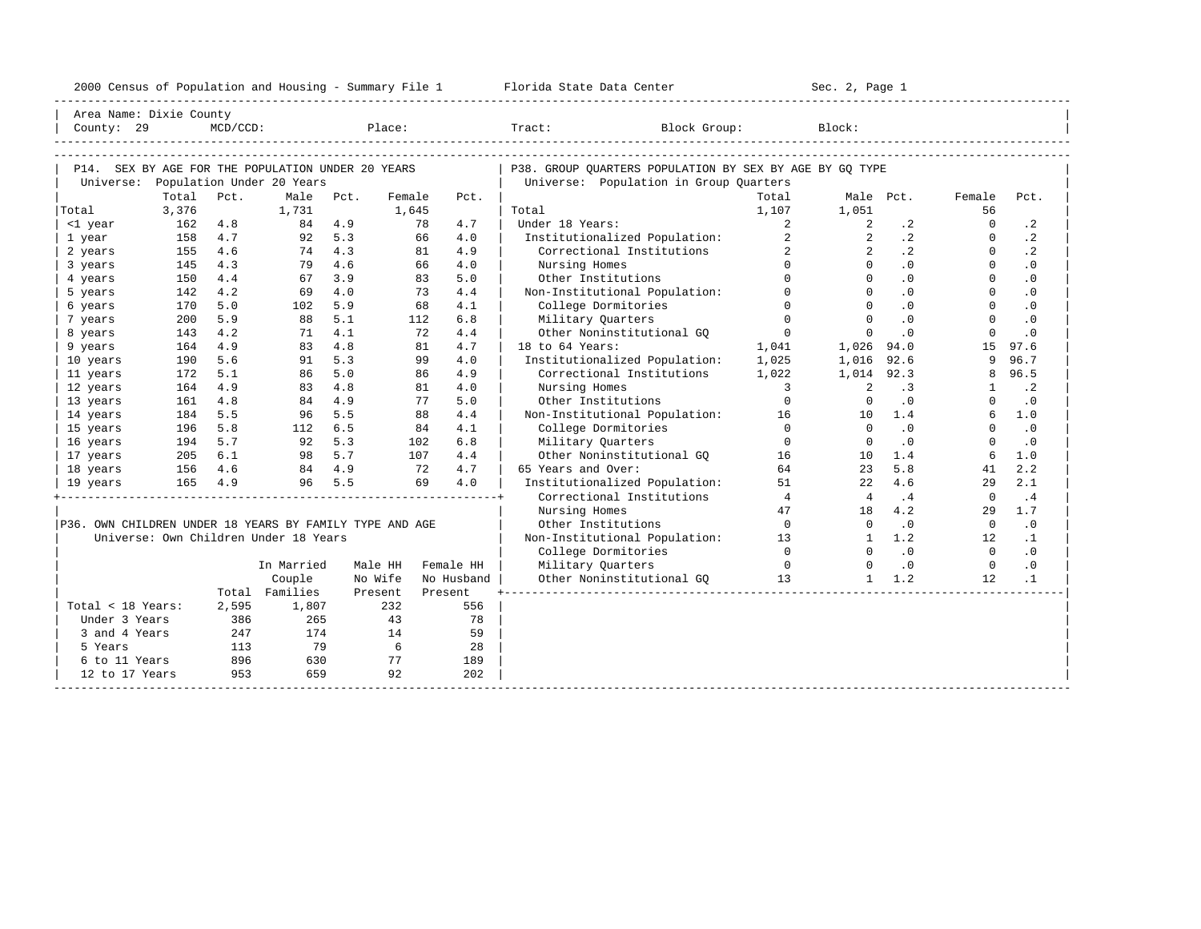| 2000<br>ensus! | and<br>Population | ---<br>Summa:<br>$-$<br>Housing | lorida<br>Data<br>otatt<br>cence. | ، م ج<br>Page<br>$3-1$ |  |
|----------------|-------------------|---------------------------------|-----------------------------------|------------------------|--|
|                |                   |                                 |                                   |                        |  |

| County: 29<br>$MCD/CCD$ :<br>Place:<br>Tract:<br>Block Group:<br>Block:<br>P14. SEX BY AGE FOR THE POPULATION UNDER 20 YEARS<br>P38. GROUP OUARTERS POPULATION BY SEX BY AGE BY GO TYPE<br>Universe: Population Under 20 Years<br>Universe: Population in Group Quarters<br>Total<br>Pct.<br>Male<br>Total<br>Pct.<br>Female<br>Pct.<br>Male Pct.<br>Female<br>Pct.<br>3,376<br>1,731<br>1,107<br>1,051<br>56<br>Total<br>1,645<br>Total<br>4.7<br>Under 18 Years:<br>$\overline{a}$<br>$\Omega$<br>$\cdot$ 2<br>162<br>4.8<br>84 4.9<br>78<br>2<br>$\cdot$ 2<br><1 year<br>$\overline{2}$<br>$\cdot$ 2<br>$\cdot$ 2<br>158<br>4.7<br>92<br>5.3<br>66<br>4.0<br>Institutionalized Population:<br>$\overline{2}$<br>$\Omega$<br>1 year<br>$\cdot$ 2<br>4.3<br>Correctional Institutions<br>$\cdot$ 2<br>4.6<br>74<br>4.9<br>$\Omega$<br>2 years<br>155<br>81<br>4.6<br>4.0<br>$\Omega$<br>$\Omega$<br>.0<br>$\Omega$<br>.0<br>4.3<br>79<br>66<br>Nursing Homes<br>3 years<br>145<br>$\Omega$<br>$\Omega$<br>$\cdot$ 0<br>$\Omega$<br>4.4<br>3.9<br>5.0<br>.0<br>150<br>67<br>83<br>Other Institutions<br>4 years<br>Non-Institutional Population:<br>4.2<br>4.0<br>$\Omega$<br>$\Omega$<br>$\cdot$ 0<br>$\Omega$<br>$\cdot$ 0<br>5 years<br>142<br>69<br>73<br>4.4<br>$\Omega$<br>$\cdot$ 0<br>5.0<br>5.9<br>4.1<br>College Dormitories<br>$\Omega$<br>$\cdot$ 0<br>6 years<br>170<br>102<br>68<br>5.1<br>6.8<br>$\Omega$<br>$\Omega$<br>$\ddotsc 0$<br>5.9<br>88<br>Military Quarters<br>$\Omega$<br>$\cdot$ 0<br>7 years<br>200<br>112<br>$\Omega$<br>4.2<br>4.1<br>Other Noninstitutional GO<br>$\Omega$<br>$\cdot$ 0<br>$\Omega$<br>.0<br>72<br>4.4<br>8 years<br>143<br>71<br>4.8<br>81<br>4.7<br>18 to 64 Years:<br>15<br>97.6<br>9 years<br>164<br>4.9<br>83<br>1,041<br>1,026<br>94.0<br>5.3<br>96.7<br>5.6<br>4.0<br>Institutionalized Population:<br>1,025<br>9<br>10 years<br>190<br>91<br>99<br>1,016<br>92.6<br>5.0<br>96.5<br>5.1<br>86<br>4.9<br>Correctional Institutions<br>1,022<br>1,014<br>92.3<br>11 years<br>172<br>86<br>8<br>4.9<br>4.8<br>$\cdot$ 2<br>164<br>83<br>81<br>4.0<br>Nursing Homes<br>$\overline{3}$<br>$\overline{2}$<br>.3<br>$\mathbf{1}$<br>12 years<br>4.9<br>$\cdot$ 0<br>13 years<br>161<br>4.8<br>84<br>77<br>5.0<br>Other Institutions<br>$\Omega$<br>$\cdot$ 0<br>$\Omega$<br>$\Omega$<br>5.5<br>5.5<br>Non-Institutional Population: 16<br>$6\overline{6}$<br>1.0<br>184<br>88<br>4.4<br>1.4<br>14 years<br>96<br>10<br>$\overline{0}$<br>.0<br>$\cdot$ 0<br>5.8<br>6.5<br>4.1<br>College Dormitories<br>$\Omega$<br>$\Omega$<br>15 years<br>196<br>112<br>84<br>5.3<br>$\Omega$<br>.0<br>$\Omega$<br>194<br>5.7<br>92<br>102<br>6.8<br>Military Ouarters<br>$\Omega$<br>$\cdot$ 0<br>16 years<br>205<br>98 5.7<br>17 years<br>6.1<br>107<br>4.4<br>Other Noninstitutional GO<br>16<br>1.4<br>6<br>1.0<br>10<br>2.2<br>84 4.9<br>4.7<br>65 Years and Over:<br>64<br>5.8<br>18 years<br>156<br>4.6<br>72<br>23<br>41<br>5.5<br>4.6<br>2.1<br>4.9<br>69<br>4.0<br>Institutionalized Population:<br>51<br>29<br>165<br>96<br>2.2<br>19 years<br>$\overline{4}$<br>.4<br>Correctional Institutions<br>.4<br>$\Omega$<br>$\overline{4}$<br>1.7<br>Nursing Homes<br>47<br>4.2<br>18<br>29<br>$\bigcirc$<br>.0<br>.0<br>P36. OWN CHILDREN UNDER 18 YEARS BY FAMILY TYPE AND AGE<br>Other Institutions<br>$\Omega$<br>$\overline{0}$<br>Universe: Own Children Under 18 Years<br>1.2<br>Non-Institutional Population: 13<br>$\cdot$ 1<br>1<br>12<br>$\bigcap$<br>.0<br>.0<br>$\bigcap$<br>College Dormitories<br>$\Omega$<br>Military Ouarters<br>$\overline{0}$<br>.0<br>$\bigcirc$<br>$\cdot$ 0<br>In Married<br>Male HH<br>Female HH<br>Couple<br>No Wife<br>Other Noninstitutional GQ 13<br>$1 \quad 1.2$<br>12<br>$\cdot$ 1<br>No Husband<br>Total Families<br>Present<br>Present<br>232<br>Total < 18 Years:<br>2,595<br>1,807<br>556<br>Under 3 Years<br>386<br>265<br>43<br>78<br>174<br>14<br>3 and 4 Years<br>247<br>59<br>79<br>$6\overline{6}$<br>113<br>28<br>5 Years<br>896<br>6 to 11 Years<br>630<br>77<br>189<br>953<br>659<br>92<br>202<br>12 to 17 Years | Area Name: Dixie County |  |  |  |  |  |  |  |
|--------------------------------------------------------------------------------------------------------------------------------------------------------------------------------------------------------------------------------------------------------------------------------------------------------------------------------------------------------------------------------------------------------------------------------------------------------------------------------------------------------------------------------------------------------------------------------------------------------------------------------------------------------------------------------------------------------------------------------------------------------------------------------------------------------------------------------------------------------------------------------------------------------------------------------------------------------------------------------------------------------------------------------------------------------------------------------------------------------------------------------------------------------------------------------------------------------------------------------------------------------------------------------------------------------------------------------------------------------------------------------------------------------------------------------------------------------------------------------------------------------------------------------------------------------------------------------------------------------------------------------------------------------------------------------------------------------------------------------------------------------------------------------------------------------------------------------------------------------------------------------------------------------------------------------------------------------------------------------------------------------------------------------------------------------------------------------------------------------------------------------------------------------------------------------------------------------------------------------------------------------------------------------------------------------------------------------------------------------------------------------------------------------------------------------------------------------------------------------------------------------------------------------------------------------------------------------------------------------------------------------------------------------------------------------------------------------------------------------------------------------------------------------------------------------------------------------------------------------------------------------------------------------------------------------------------------------------------------------------------------------------------------------------------------------------------------------------------------------------------------------------------------------------------------------------------------------------------------------------------------------------------------------------------------------------------------------------------------------------------------------------------------------------------------------------------------------------------------------------------------------------------------------------------------------------------------------------------------------------------------------------------------------------------------------------------------------------------------------------------------------------------------------------------------------------------------------------------------------------------------------------------------------------------------------------------------------------------------------------------------------------------------------------------------------------------------------------------------------------------|-------------------------|--|--|--|--|--|--|--|
|                                                                                                                                                                                                                                                                                                                                                                                                                                                                                                                                                                                                                                                                                                                                                                                                                                                                                                                                                                                                                                                                                                                                                                                                                                                                                                                                                                                                                                                                                                                                                                                                                                                                                                                                                                                                                                                                                                                                                                                                                                                                                                                                                                                                                                                                                                                                                                                                                                                                                                                                                                                                                                                                                                                                                                                                                                                                                                                                                                                                                                                                                                                                                                                                                                                                                                                                                                                                                                                                                                                                                                                                                                                                                                                                                                                                                                                                                                                                                                                                                                                                                                                    |                         |  |  |  |  |  |  |  |
|                                                                                                                                                                                                                                                                                                                                                                                                                                                                                                                                                                                                                                                                                                                                                                                                                                                                                                                                                                                                                                                                                                                                                                                                                                                                                                                                                                                                                                                                                                                                                                                                                                                                                                                                                                                                                                                                                                                                                                                                                                                                                                                                                                                                                                                                                                                                                                                                                                                                                                                                                                                                                                                                                                                                                                                                                                                                                                                                                                                                                                                                                                                                                                                                                                                                                                                                                                                                                                                                                                                                                                                                                                                                                                                                                                                                                                                                                                                                                                                                                                                                                                                    |                         |  |  |  |  |  |  |  |
|                                                                                                                                                                                                                                                                                                                                                                                                                                                                                                                                                                                                                                                                                                                                                                                                                                                                                                                                                                                                                                                                                                                                                                                                                                                                                                                                                                                                                                                                                                                                                                                                                                                                                                                                                                                                                                                                                                                                                                                                                                                                                                                                                                                                                                                                                                                                                                                                                                                                                                                                                                                                                                                                                                                                                                                                                                                                                                                                                                                                                                                                                                                                                                                                                                                                                                                                                                                                                                                                                                                                                                                                                                                                                                                                                                                                                                                                                                                                                                                                                                                                                                                    |                         |  |  |  |  |  |  |  |
|                                                                                                                                                                                                                                                                                                                                                                                                                                                                                                                                                                                                                                                                                                                                                                                                                                                                                                                                                                                                                                                                                                                                                                                                                                                                                                                                                                                                                                                                                                                                                                                                                                                                                                                                                                                                                                                                                                                                                                                                                                                                                                                                                                                                                                                                                                                                                                                                                                                                                                                                                                                                                                                                                                                                                                                                                                                                                                                                                                                                                                                                                                                                                                                                                                                                                                                                                                                                                                                                                                                                                                                                                                                                                                                                                                                                                                                                                                                                                                                                                                                                                                                    |                         |  |  |  |  |  |  |  |
|                                                                                                                                                                                                                                                                                                                                                                                                                                                                                                                                                                                                                                                                                                                                                                                                                                                                                                                                                                                                                                                                                                                                                                                                                                                                                                                                                                                                                                                                                                                                                                                                                                                                                                                                                                                                                                                                                                                                                                                                                                                                                                                                                                                                                                                                                                                                                                                                                                                                                                                                                                                                                                                                                                                                                                                                                                                                                                                                                                                                                                                                                                                                                                                                                                                                                                                                                                                                                                                                                                                                                                                                                                                                                                                                                                                                                                                                                                                                                                                                                                                                                                                    |                         |  |  |  |  |  |  |  |
|                                                                                                                                                                                                                                                                                                                                                                                                                                                                                                                                                                                                                                                                                                                                                                                                                                                                                                                                                                                                                                                                                                                                                                                                                                                                                                                                                                                                                                                                                                                                                                                                                                                                                                                                                                                                                                                                                                                                                                                                                                                                                                                                                                                                                                                                                                                                                                                                                                                                                                                                                                                                                                                                                                                                                                                                                                                                                                                                                                                                                                                                                                                                                                                                                                                                                                                                                                                                                                                                                                                                                                                                                                                                                                                                                                                                                                                                                                                                                                                                                                                                                                                    |                         |  |  |  |  |  |  |  |
|                                                                                                                                                                                                                                                                                                                                                                                                                                                                                                                                                                                                                                                                                                                                                                                                                                                                                                                                                                                                                                                                                                                                                                                                                                                                                                                                                                                                                                                                                                                                                                                                                                                                                                                                                                                                                                                                                                                                                                                                                                                                                                                                                                                                                                                                                                                                                                                                                                                                                                                                                                                                                                                                                                                                                                                                                                                                                                                                                                                                                                                                                                                                                                                                                                                                                                                                                                                                                                                                                                                                                                                                                                                                                                                                                                                                                                                                                                                                                                                                                                                                                                                    |                         |  |  |  |  |  |  |  |
|                                                                                                                                                                                                                                                                                                                                                                                                                                                                                                                                                                                                                                                                                                                                                                                                                                                                                                                                                                                                                                                                                                                                                                                                                                                                                                                                                                                                                                                                                                                                                                                                                                                                                                                                                                                                                                                                                                                                                                                                                                                                                                                                                                                                                                                                                                                                                                                                                                                                                                                                                                                                                                                                                                                                                                                                                                                                                                                                                                                                                                                                                                                                                                                                                                                                                                                                                                                                                                                                                                                                                                                                                                                                                                                                                                                                                                                                                                                                                                                                                                                                                                                    |                         |  |  |  |  |  |  |  |
|                                                                                                                                                                                                                                                                                                                                                                                                                                                                                                                                                                                                                                                                                                                                                                                                                                                                                                                                                                                                                                                                                                                                                                                                                                                                                                                                                                                                                                                                                                                                                                                                                                                                                                                                                                                                                                                                                                                                                                                                                                                                                                                                                                                                                                                                                                                                                                                                                                                                                                                                                                                                                                                                                                                                                                                                                                                                                                                                                                                                                                                                                                                                                                                                                                                                                                                                                                                                                                                                                                                                                                                                                                                                                                                                                                                                                                                                                                                                                                                                                                                                                                                    |                         |  |  |  |  |  |  |  |
|                                                                                                                                                                                                                                                                                                                                                                                                                                                                                                                                                                                                                                                                                                                                                                                                                                                                                                                                                                                                                                                                                                                                                                                                                                                                                                                                                                                                                                                                                                                                                                                                                                                                                                                                                                                                                                                                                                                                                                                                                                                                                                                                                                                                                                                                                                                                                                                                                                                                                                                                                                                                                                                                                                                                                                                                                                                                                                                                                                                                                                                                                                                                                                                                                                                                                                                                                                                                                                                                                                                                                                                                                                                                                                                                                                                                                                                                                                                                                                                                                                                                                                                    |                         |  |  |  |  |  |  |  |
|                                                                                                                                                                                                                                                                                                                                                                                                                                                                                                                                                                                                                                                                                                                                                                                                                                                                                                                                                                                                                                                                                                                                                                                                                                                                                                                                                                                                                                                                                                                                                                                                                                                                                                                                                                                                                                                                                                                                                                                                                                                                                                                                                                                                                                                                                                                                                                                                                                                                                                                                                                                                                                                                                                                                                                                                                                                                                                                                                                                                                                                                                                                                                                                                                                                                                                                                                                                                                                                                                                                                                                                                                                                                                                                                                                                                                                                                                                                                                                                                                                                                                                                    |                         |  |  |  |  |  |  |  |
|                                                                                                                                                                                                                                                                                                                                                                                                                                                                                                                                                                                                                                                                                                                                                                                                                                                                                                                                                                                                                                                                                                                                                                                                                                                                                                                                                                                                                                                                                                                                                                                                                                                                                                                                                                                                                                                                                                                                                                                                                                                                                                                                                                                                                                                                                                                                                                                                                                                                                                                                                                                                                                                                                                                                                                                                                                                                                                                                                                                                                                                                                                                                                                                                                                                                                                                                                                                                                                                                                                                                                                                                                                                                                                                                                                                                                                                                                                                                                                                                                                                                                                                    |                         |  |  |  |  |  |  |  |
|                                                                                                                                                                                                                                                                                                                                                                                                                                                                                                                                                                                                                                                                                                                                                                                                                                                                                                                                                                                                                                                                                                                                                                                                                                                                                                                                                                                                                                                                                                                                                                                                                                                                                                                                                                                                                                                                                                                                                                                                                                                                                                                                                                                                                                                                                                                                                                                                                                                                                                                                                                                                                                                                                                                                                                                                                                                                                                                                                                                                                                                                                                                                                                                                                                                                                                                                                                                                                                                                                                                                                                                                                                                                                                                                                                                                                                                                                                                                                                                                                                                                                                                    |                         |  |  |  |  |  |  |  |
|                                                                                                                                                                                                                                                                                                                                                                                                                                                                                                                                                                                                                                                                                                                                                                                                                                                                                                                                                                                                                                                                                                                                                                                                                                                                                                                                                                                                                                                                                                                                                                                                                                                                                                                                                                                                                                                                                                                                                                                                                                                                                                                                                                                                                                                                                                                                                                                                                                                                                                                                                                                                                                                                                                                                                                                                                                                                                                                                                                                                                                                                                                                                                                                                                                                                                                                                                                                                                                                                                                                                                                                                                                                                                                                                                                                                                                                                                                                                                                                                                                                                                                                    |                         |  |  |  |  |  |  |  |
|                                                                                                                                                                                                                                                                                                                                                                                                                                                                                                                                                                                                                                                                                                                                                                                                                                                                                                                                                                                                                                                                                                                                                                                                                                                                                                                                                                                                                                                                                                                                                                                                                                                                                                                                                                                                                                                                                                                                                                                                                                                                                                                                                                                                                                                                                                                                                                                                                                                                                                                                                                                                                                                                                                                                                                                                                                                                                                                                                                                                                                                                                                                                                                                                                                                                                                                                                                                                                                                                                                                                                                                                                                                                                                                                                                                                                                                                                                                                                                                                                                                                                                                    |                         |  |  |  |  |  |  |  |
|                                                                                                                                                                                                                                                                                                                                                                                                                                                                                                                                                                                                                                                                                                                                                                                                                                                                                                                                                                                                                                                                                                                                                                                                                                                                                                                                                                                                                                                                                                                                                                                                                                                                                                                                                                                                                                                                                                                                                                                                                                                                                                                                                                                                                                                                                                                                                                                                                                                                                                                                                                                                                                                                                                                                                                                                                                                                                                                                                                                                                                                                                                                                                                                                                                                                                                                                                                                                                                                                                                                                                                                                                                                                                                                                                                                                                                                                                                                                                                                                                                                                                                                    |                         |  |  |  |  |  |  |  |
|                                                                                                                                                                                                                                                                                                                                                                                                                                                                                                                                                                                                                                                                                                                                                                                                                                                                                                                                                                                                                                                                                                                                                                                                                                                                                                                                                                                                                                                                                                                                                                                                                                                                                                                                                                                                                                                                                                                                                                                                                                                                                                                                                                                                                                                                                                                                                                                                                                                                                                                                                                                                                                                                                                                                                                                                                                                                                                                                                                                                                                                                                                                                                                                                                                                                                                                                                                                                                                                                                                                                                                                                                                                                                                                                                                                                                                                                                                                                                                                                                                                                                                                    |                         |  |  |  |  |  |  |  |
|                                                                                                                                                                                                                                                                                                                                                                                                                                                                                                                                                                                                                                                                                                                                                                                                                                                                                                                                                                                                                                                                                                                                                                                                                                                                                                                                                                                                                                                                                                                                                                                                                                                                                                                                                                                                                                                                                                                                                                                                                                                                                                                                                                                                                                                                                                                                                                                                                                                                                                                                                                                                                                                                                                                                                                                                                                                                                                                                                                                                                                                                                                                                                                                                                                                                                                                                                                                                                                                                                                                                                                                                                                                                                                                                                                                                                                                                                                                                                                                                                                                                                                                    |                         |  |  |  |  |  |  |  |
|                                                                                                                                                                                                                                                                                                                                                                                                                                                                                                                                                                                                                                                                                                                                                                                                                                                                                                                                                                                                                                                                                                                                                                                                                                                                                                                                                                                                                                                                                                                                                                                                                                                                                                                                                                                                                                                                                                                                                                                                                                                                                                                                                                                                                                                                                                                                                                                                                                                                                                                                                                                                                                                                                                                                                                                                                                                                                                                                                                                                                                                                                                                                                                                                                                                                                                                                                                                                                                                                                                                                                                                                                                                                                                                                                                                                                                                                                                                                                                                                                                                                                                                    |                         |  |  |  |  |  |  |  |
|                                                                                                                                                                                                                                                                                                                                                                                                                                                                                                                                                                                                                                                                                                                                                                                                                                                                                                                                                                                                                                                                                                                                                                                                                                                                                                                                                                                                                                                                                                                                                                                                                                                                                                                                                                                                                                                                                                                                                                                                                                                                                                                                                                                                                                                                                                                                                                                                                                                                                                                                                                                                                                                                                                                                                                                                                                                                                                                                                                                                                                                                                                                                                                                                                                                                                                                                                                                                                                                                                                                                                                                                                                                                                                                                                                                                                                                                                                                                                                                                                                                                                                                    |                         |  |  |  |  |  |  |  |
|                                                                                                                                                                                                                                                                                                                                                                                                                                                                                                                                                                                                                                                                                                                                                                                                                                                                                                                                                                                                                                                                                                                                                                                                                                                                                                                                                                                                                                                                                                                                                                                                                                                                                                                                                                                                                                                                                                                                                                                                                                                                                                                                                                                                                                                                                                                                                                                                                                                                                                                                                                                                                                                                                                                                                                                                                                                                                                                                                                                                                                                                                                                                                                                                                                                                                                                                                                                                                                                                                                                                                                                                                                                                                                                                                                                                                                                                                                                                                                                                                                                                                                                    |                         |  |  |  |  |  |  |  |
|                                                                                                                                                                                                                                                                                                                                                                                                                                                                                                                                                                                                                                                                                                                                                                                                                                                                                                                                                                                                                                                                                                                                                                                                                                                                                                                                                                                                                                                                                                                                                                                                                                                                                                                                                                                                                                                                                                                                                                                                                                                                                                                                                                                                                                                                                                                                                                                                                                                                                                                                                                                                                                                                                                                                                                                                                                                                                                                                                                                                                                                                                                                                                                                                                                                                                                                                                                                                                                                                                                                                                                                                                                                                                                                                                                                                                                                                                                                                                                                                                                                                                                                    |                         |  |  |  |  |  |  |  |
|                                                                                                                                                                                                                                                                                                                                                                                                                                                                                                                                                                                                                                                                                                                                                                                                                                                                                                                                                                                                                                                                                                                                                                                                                                                                                                                                                                                                                                                                                                                                                                                                                                                                                                                                                                                                                                                                                                                                                                                                                                                                                                                                                                                                                                                                                                                                                                                                                                                                                                                                                                                                                                                                                                                                                                                                                                                                                                                                                                                                                                                                                                                                                                                                                                                                                                                                                                                                                                                                                                                                                                                                                                                                                                                                                                                                                                                                                                                                                                                                                                                                                                                    |                         |  |  |  |  |  |  |  |
|                                                                                                                                                                                                                                                                                                                                                                                                                                                                                                                                                                                                                                                                                                                                                                                                                                                                                                                                                                                                                                                                                                                                                                                                                                                                                                                                                                                                                                                                                                                                                                                                                                                                                                                                                                                                                                                                                                                                                                                                                                                                                                                                                                                                                                                                                                                                                                                                                                                                                                                                                                                                                                                                                                                                                                                                                                                                                                                                                                                                                                                                                                                                                                                                                                                                                                                                                                                                                                                                                                                                                                                                                                                                                                                                                                                                                                                                                                                                                                                                                                                                                                                    |                         |  |  |  |  |  |  |  |
|                                                                                                                                                                                                                                                                                                                                                                                                                                                                                                                                                                                                                                                                                                                                                                                                                                                                                                                                                                                                                                                                                                                                                                                                                                                                                                                                                                                                                                                                                                                                                                                                                                                                                                                                                                                                                                                                                                                                                                                                                                                                                                                                                                                                                                                                                                                                                                                                                                                                                                                                                                                                                                                                                                                                                                                                                                                                                                                                                                                                                                                                                                                                                                                                                                                                                                                                                                                                                                                                                                                                                                                                                                                                                                                                                                                                                                                                                                                                                                                                                                                                                                                    |                         |  |  |  |  |  |  |  |
|                                                                                                                                                                                                                                                                                                                                                                                                                                                                                                                                                                                                                                                                                                                                                                                                                                                                                                                                                                                                                                                                                                                                                                                                                                                                                                                                                                                                                                                                                                                                                                                                                                                                                                                                                                                                                                                                                                                                                                                                                                                                                                                                                                                                                                                                                                                                                                                                                                                                                                                                                                                                                                                                                                                                                                                                                                                                                                                                                                                                                                                                                                                                                                                                                                                                                                                                                                                                                                                                                                                                                                                                                                                                                                                                                                                                                                                                                                                                                                                                                                                                                                                    |                         |  |  |  |  |  |  |  |
|                                                                                                                                                                                                                                                                                                                                                                                                                                                                                                                                                                                                                                                                                                                                                                                                                                                                                                                                                                                                                                                                                                                                                                                                                                                                                                                                                                                                                                                                                                                                                                                                                                                                                                                                                                                                                                                                                                                                                                                                                                                                                                                                                                                                                                                                                                                                                                                                                                                                                                                                                                                                                                                                                                                                                                                                                                                                                                                                                                                                                                                                                                                                                                                                                                                                                                                                                                                                                                                                                                                                                                                                                                                                                                                                                                                                                                                                                                                                                                                                                                                                                                                    |                         |  |  |  |  |  |  |  |
|                                                                                                                                                                                                                                                                                                                                                                                                                                                                                                                                                                                                                                                                                                                                                                                                                                                                                                                                                                                                                                                                                                                                                                                                                                                                                                                                                                                                                                                                                                                                                                                                                                                                                                                                                                                                                                                                                                                                                                                                                                                                                                                                                                                                                                                                                                                                                                                                                                                                                                                                                                                                                                                                                                                                                                                                                                                                                                                                                                                                                                                                                                                                                                                                                                                                                                                                                                                                                                                                                                                                                                                                                                                                                                                                                                                                                                                                                                                                                                                                                                                                                                                    |                         |  |  |  |  |  |  |  |
|                                                                                                                                                                                                                                                                                                                                                                                                                                                                                                                                                                                                                                                                                                                                                                                                                                                                                                                                                                                                                                                                                                                                                                                                                                                                                                                                                                                                                                                                                                                                                                                                                                                                                                                                                                                                                                                                                                                                                                                                                                                                                                                                                                                                                                                                                                                                                                                                                                                                                                                                                                                                                                                                                                                                                                                                                                                                                                                                                                                                                                                                                                                                                                                                                                                                                                                                                                                                                                                                                                                                                                                                                                                                                                                                                                                                                                                                                                                                                                                                                                                                                                                    |                         |  |  |  |  |  |  |  |
|                                                                                                                                                                                                                                                                                                                                                                                                                                                                                                                                                                                                                                                                                                                                                                                                                                                                                                                                                                                                                                                                                                                                                                                                                                                                                                                                                                                                                                                                                                                                                                                                                                                                                                                                                                                                                                                                                                                                                                                                                                                                                                                                                                                                                                                                                                                                                                                                                                                                                                                                                                                                                                                                                                                                                                                                                                                                                                                                                                                                                                                                                                                                                                                                                                                                                                                                                                                                                                                                                                                                                                                                                                                                                                                                                                                                                                                                                                                                                                                                                                                                                                                    |                         |  |  |  |  |  |  |  |
|                                                                                                                                                                                                                                                                                                                                                                                                                                                                                                                                                                                                                                                                                                                                                                                                                                                                                                                                                                                                                                                                                                                                                                                                                                                                                                                                                                                                                                                                                                                                                                                                                                                                                                                                                                                                                                                                                                                                                                                                                                                                                                                                                                                                                                                                                                                                                                                                                                                                                                                                                                                                                                                                                                                                                                                                                                                                                                                                                                                                                                                                                                                                                                                                                                                                                                                                                                                                                                                                                                                                                                                                                                                                                                                                                                                                                                                                                                                                                                                                                                                                                                                    |                         |  |  |  |  |  |  |  |
|                                                                                                                                                                                                                                                                                                                                                                                                                                                                                                                                                                                                                                                                                                                                                                                                                                                                                                                                                                                                                                                                                                                                                                                                                                                                                                                                                                                                                                                                                                                                                                                                                                                                                                                                                                                                                                                                                                                                                                                                                                                                                                                                                                                                                                                                                                                                                                                                                                                                                                                                                                                                                                                                                                                                                                                                                                                                                                                                                                                                                                                                                                                                                                                                                                                                                                                                                                                                                                                                                                                                                                                                                                                                                                                                                                                                                                                                                                                                                                                                                                                                                                                    |                         |  |  |  |  |  |  |  |
|                                                                                                                                                                                                                                                                                                                                                                                                                                                                                                                                                                                                                                                                                                                                                                                                                                                                                                                                                                                                                                                                                                                                                                                                                                                                                                                                                                                                                                                                                                                                                                                                                                                                                                                                                                                                                                                                                                                                                                                                                                                                                                                                                                                                                                                                                                                                                                                                                                                                                                                                                                                                                                                                                                                                                                                                                                                                                                                                                                                                                                                                                                                                                                                                                                                                                                                                                                                                                                                                                                                                                                                                                                                                                                                                                                                                                                                                                                                                                                                                                                                                                                                    |                         |  |  |  |  |  |  |  |
|                                                                                                                                                                                                                                                                                                                                                                                                                                                                                                                                                                                                                                                                                                                                                                                                                                                                                                                                                                                                                                                                                                                                                                                                                                                                                                                                                                                                                                                                                                                                                                                                                                                                                                                                                                                                                                                                                                                                                                                                                                                                                                                                                                                                                                                                                                                                                                                                                                                                                                                                                                                                                                                                                                                                                                                                                                                                                                                                                                                                                                                                                                                                                                                                                                                                                                                                                                                                                                                                                                                                                                                                                                                                                                                                                                                                                                                                                                                                                                                                                                                                                                                    |                         |  |  |  |  |  |  |  |
|                                                                                                                                                                                                                                                                                                                                                                                                                                                                                                                                                                                                                                                                                                                                                                                                                                                                                                                                                                                                                                                                                                                                                                                                                                                                                                                                                                                                                                                                                                                                                                                                                                                                                                                                                                                                                                                                                                                                                                                                                                                                                                                                                                                                                                                                                                                                                                                                                                                                                                                                                                                                                                                                                                                                                                                                                                                                                                                                                                                                                                                                                                                                                                                                                                                                                                                                                                                                                                                                                                                                                                                                                                                                                                                                                                                                                                                                                                                                                                                                                                                                                                                    |                         |  |  |  |  |  |  |  |
|                                                                                                                                                                                                                                                                                                                                                                                                                                                                                                                                                                                                                                                                                                                                                                                                                                                                                                                                                                                                                                                                                                                                                                                                                                                                                                                                                                                                                                                                                                                                                                                                                                                                                                                                                                                                                                                                                                                                                                                                                                                                                                                                                                                                                                                                                                                                                                                                                                                                                                                                                                                                                                                                                                                                                                                                                                                                                                                                                                                                                                                                                                                                                                                                                                                                                                                                                                                                                                                                                                                                                                                                                                                                                                                                                                                                                                                                                                                                                                                                                                                                                                                    |                         |  |  |  |  |  |  |  |
|                                                                                                                                                                                                                                                                                                                                                                                                                                                                                                                                                                                                                                                                                                                                                                                                                                                                                                                                                                                                                                                                                                                                                                                                                                                                                                                                                                                                                                                                                                                                                                                                                                                                                                                                                                                                                                                                                                                                                                                                                                                                                                                                                                                                                                                                                                                                                                                                                                                                                                                                                                                                                                                                                                                                                                                                                                                                                                                                                                                                                                                                                                                                                                                                                                                                                                                                                                                                                                                                                                                                                                                                                                                                                                                                                                                                                                                                                                                                                                                                                                                                                                                    |                         |  |  |  |  |  |  |  |
|                                                                                                                                                                                                                                                                                                                                                                                                                                                                                                                                                                                                                                                                                                                                                                                                                                                                                                                                                                                                                                                                                                                                                                                                                                                                                                                                                                                                                                                                                                                                                                                                                                                                                                                                                                                                                                                                                                                                                                                                                                                                                                                                                                                                                                                                                                                                                                                                                                                                                                                                                                                                                                                                                                                                                                                                                                                                                                                                                                                                                                                                                                                                                                                                                                                                                                                                                                                                                                                                                                                                                                                                                                                                                                                                                                                                                                                                                                                                                                                                                                                                                                                    |                         |  |  |  |  |  |  |  |
|                                                                                                                                                                                                                                                                                                                                                                                                                                                                                                                                                                                                                                                                                                                                                                                                                                                                                                                                                                                                                                                                                                                                                                                                                                                                                                                                                                                                                                                                                                                                                                                                                                                                                                                                                                                                                                                                                                                                                                                                                                                                                                                                                                                                                                                                                                                                                                                                                                                                                                                                                                                                                                                                                                                                                                                                                                                                                                                                                                                                                                                                                                                                                                                                                                                                                                                                                                                                                                                                                                                                                                                                                                                                                                                                                                                                                                                                                                                                                                                                                                                                                                                    |                         |  |  |  |  |  |  |  |
|                                                                                                                                                                                                                                                                                                                                                                                                                                                                                                                                                                                                                                                                                                                                                                                                                                                                                                                                                                                                                                                                                                                                                                                                                                                                                                                                                                                                                                                                                                                                                                                                                                                                                                                                                                                                                                                                                                                                                                                                                                                                                                                                                                                                                                                                                                                                                                                                                                                                                                                                                                                                                                                                                                                                                                                                                                                                                                                                                                                                                                                                                                                                                                                                                                                                                                                                                                                                                                                                                                                                                                                                                                                                                                                                                                                                                                                                                                                                                                                                                                                                                                                    |                         |  |  |  |  |  |  |  |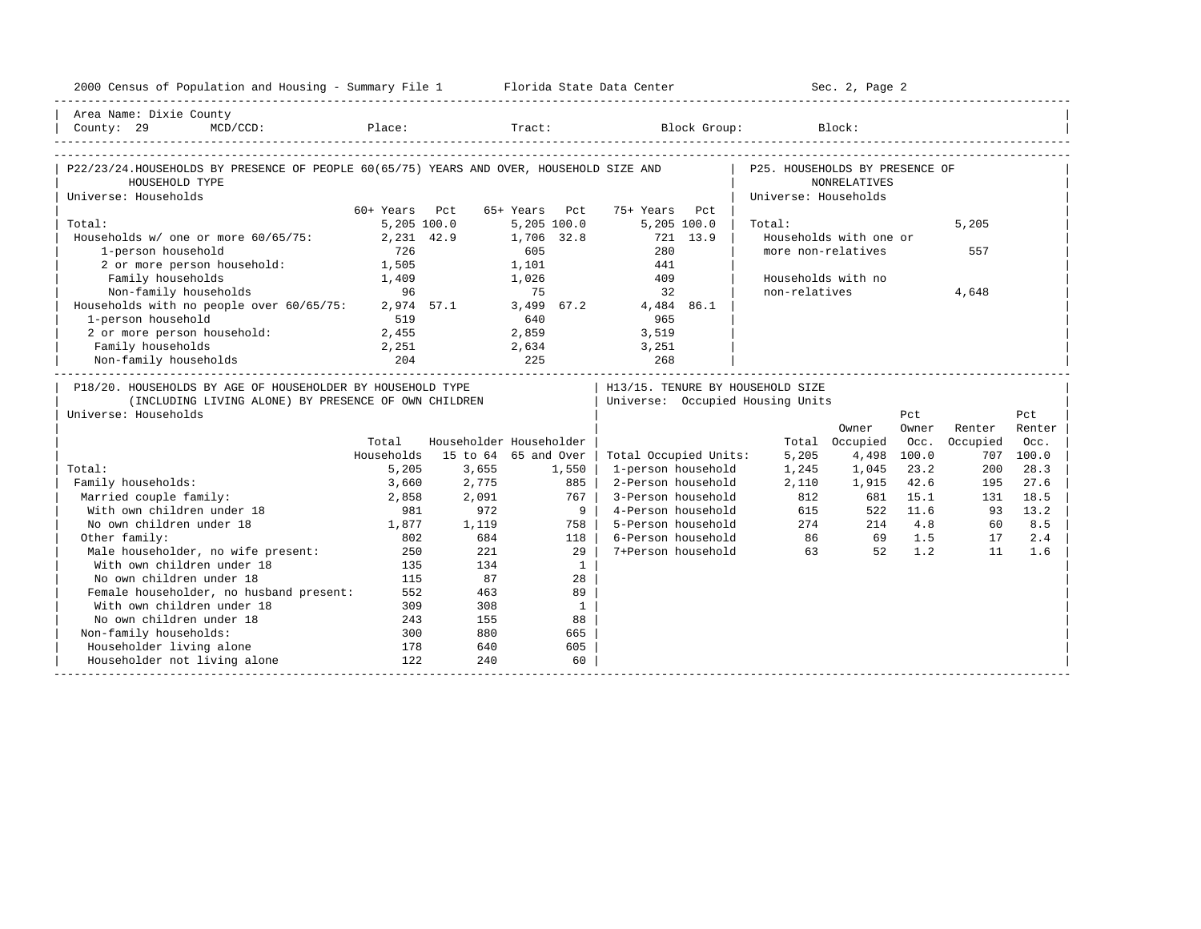| 2000 Census of Population and Housing - Summary File 1 Florida State Data Center        |               |                         |               |              |                       |          |                                  | Sec. 2, Page 2         |          |          |           |
|-----------------------------------------------------------------------------------------|---------------|-------------------------|---------------|--------------|-----------------------|----------|----------------------------------|------------------------|----------|----------|-----------|
| Area Name: Dixie County                                                                 |               |                         |               |              |                       |          |                                  |                        |          |          |           |
|                                                                                         |               |                         |               |              |                       |          |                                  |                        |          |          |           |
|                                                                                         |               |                         |               |              |                       |          |                                  |                        |          |          |           |
| P22/23/24.HOUSEHOLDS BY PRESENCE OF PEOPLE 60(65/75) YEARS AND OVER, HOUSEHOLD SIZE AND |               |                         |               |              |                       |          | P25. HOUSEHOLDS BY PRESENCE OF   |                        |          |          |           |
| HOUSEHOLD TYPE                                                                          |               |                         |               |              |                       |          |                                  | <b>NONRELATIVES</b>    |          |          |           |
| Universe: Households                                                                    |               |                         |               |              |                       |          | Universe: Households             |                        |          |          |           |
|                                                                                         | 60+ Years Pct |                         | 65+ Years Pct |              | 75+ Years Pct         |          |                                  |                        |          |          |           |
| Total:                                                                                  | 5,205,100.0   |                         |               | 5,205,100.0  | 5,205 100.0           |          | Total:                           |                        |          | 5,205    |           |
| Households w/ one or more 60/65/75:                                                     | 2,231 42.9    |                         |               | 1,706 32.8   |                       | 721 13.9 |                                  | Households with one or |          |          |           |
| 1-person household                                                                      | 726           |                         | 605           |              | 280                   |          | more non-relatives               |                        |          | 557      |           |
| 2 or more person household: 1,505                                                       |               |                         | 1,101         |              | 441                   |          |                                  |                        |          |          |           |
| Family households                                                                       | 1,409         |                         | 1,026         |              | 409                   |          | Households with no               |                        |          |          |           |
| Non-family households                                                                   | 96            |                         | 75            |              | 32                    |          | non-relatives                    |                        |          | 4,648    |           |
| Households with no people over 60/65/75: 2,974 57.1 3,499 67.2 4,484 86.1               |               |                         |               |              |                       |          |                                  |                        |          |          |           |
| 1-person household                                                                      | 519           |                         | 640           |              | 965                   |          |                                  |                        |          |          |           |
| 2 or more person household:                                                             | 2,455         |                         | 2,859         |              | 3,519                 |          |                                  |                        |          |          |           |
| Family households                                                                       | 2,251         |                         |               |              | 2,634 3,251           |          |                                  |                        |          |          |           |
| Non-family households                                                                   |               | 225                     |               |              |                       |          |                                  |                        |          |          |           |
| P18/20. HOUSEHOLDS BY AGE OF HOUSEHOLDER BY HOUSEHOLD TYPE                              |               |                         |               |              |                       |          | H13/15. TENURE BY HOUSEHOLD SIZE |                        |          |          |           |
| (INCLUDING LIVING ALONE) BY PRESENCE OF OWN CHILDREN                                    |               |                         |               |              |                       |          | Universe: Occupied Housing Units |                        |          |          |           |
| Universe: Households                                                                    |               |                         |               |              |                       |          |                                  |                        | Pct      |          | Pct       |
|                                                                                         |               |                         |               |              |                       |          |                                  | Owner                  | Owner    | Renter   | Renter    |
|                                                                                         | Total         | Householder Householder |               |              |                       |          |                                  | Total Occupied         | Occ.     | Occupied | Occ.      |
|                                                                                         | Households    | 15 to 64 65 and Over    |               |              | Total Occupied Units: |          | 5,205                            | 4,498 100.0            |          |          | 707 100.0 |
| Total:                                                                                  | 5,205         | 3,655                   |               | 1,550        | 1-person household    |          | 1,245                            | 1,045                  | 23.2     | 200      | 28.3      |
| Family households:                                                                      | 3,660         | 2,775                   |               | 885          | 2-Person household    |          | 2,110                            | 1,915                  | 42.6     | 195      | 27.6      |
| Married couple family:                                                                  | 2,858         | 2,091                   |               | 767          | 3-Person household    |          | 812                              | 681                    | 15.1     | 131      | 18.5      |
| With own children under 18                                                              | 981           | 972                     |               | 91           | 4-Person household    |          | 615                              |                        | 522 11.6 | 93       | 13.2      |
| No own children under 18                                                                | 1,877         | 1,119                   |               | 758          | 5-Person household    |          | 274                              |                        | 214 4.8  | 60       | 8.5       |
| Other family:                                                                           | 802           | 684                     |               | 118          | 6-Person household    |          | 86                               |                        | 69 1.5   | 17       | 2.4       |
| Male householder, no wife present:                                                      | 250           | 221                     |               | 29           | 7+Person household    |          | 63                               | 52                     | 1.2      | 11       | 1.6       |
| With own children under 18                                                              | 135           | 134                     |               | $\mathbf{1}$ |                       |          |                                  |                        |          |          |           |
| No own children under 18                                                                | 115           | 87                      |               | 28           |                       |          |                                  |                        |          |          |           |
| Female householder, no husband present:                                                 | 552           | 463                     |               | 89           |                       |          |                                  |                        |          |          |           |
| With own children under 18                                                              | 309           | 308                     |               | $\mathbf{1}$ |                       |          |                                  |                        |          |          |           |
| No own children under 18                                                                | 243           | 155                     |               | 88           |                       |          |                                  |                        |          |          |           |
| Non-family households:                                                                  | 300           | 880                     |               | 665          |                       |          |                                  |                        |          |          |           |
| Householder living alone                                                                | 178           | 640                     |               | 605          |                       |          |                                  |                        |          |          |           |
| Householder not living alone                                                            | 122           | 240                     |               | 60           |                       |          |                                  |                        |          |          |           |
|                                                                                         |               |                         |               |              |                       |          |                                  |                        |          |          |           |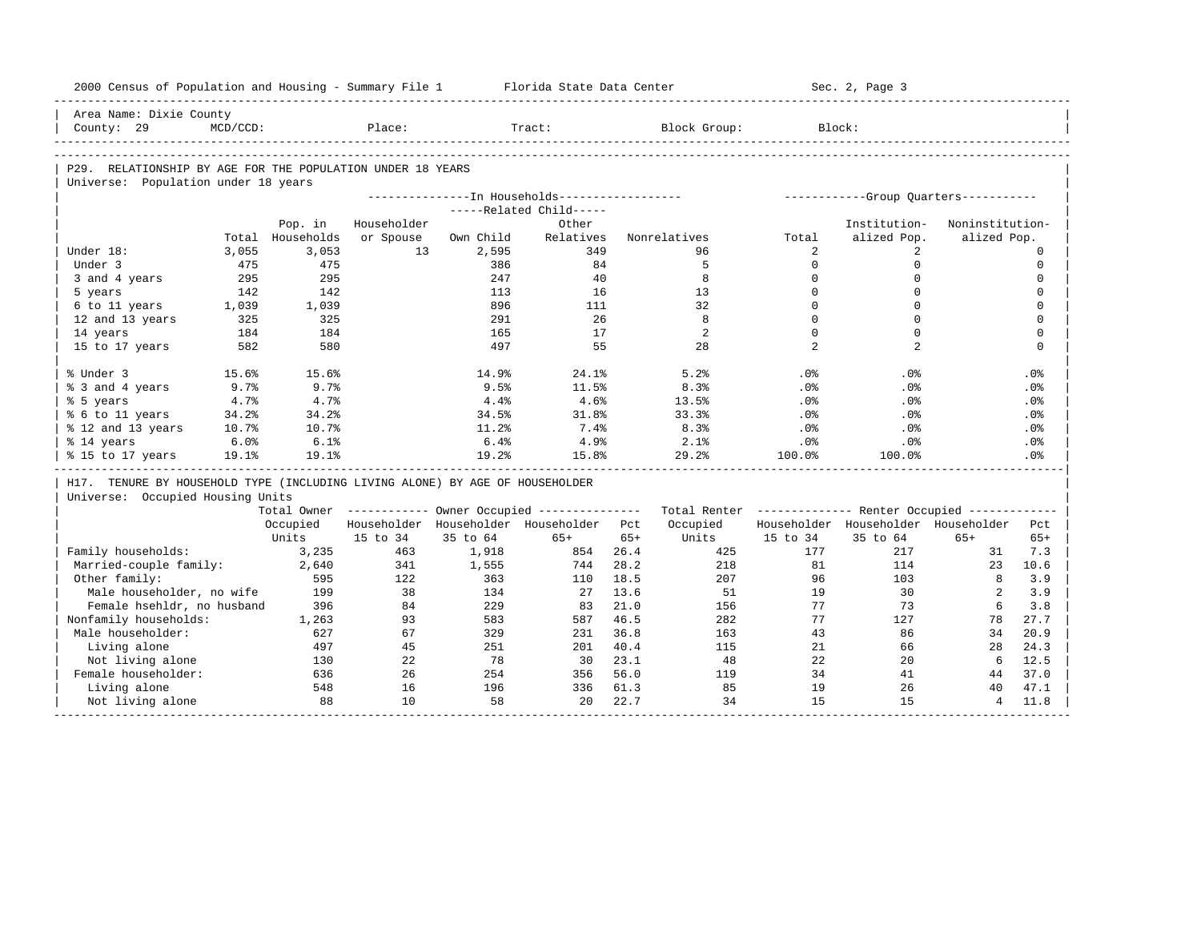| 2000 Census of Population and Housing - Summary File 1                       |             |                  |             |           | Florida State Data Center                             |       |                                                         |                | Sec. 2, Page 3                        |                 |             |
|------------------------------------------------------------------------------|-------------|------------------|-------------|-----------|-------------------------------------------------------|-------|---------------------------------------------------------|----------------|---------------------------------------|-----------------|-------------|
| Area Name: Dixie County                                                      |             |                  |             |           |                                                       |       |                                                         |                |                                       |                 |             |
| County: 29                                                                   | $MCD/CCD$ : |                  | Place:      |           | Tract:                                                |       | Block Group:                                            | Block:         |                                       |                 |             |
|                                                                              |             |                  |             |           |                                                       |       |                                                         |                |                                       |                 |             |
| P29. RELATIONSHIP BY AGE FOR THE POPULATION UNDER 18 YEARS                   |             |                  |             |           |                                                       |       |                                                         |                |                                       |                 |             |
| Universe: Population under 18 years                                          |             |                  |             |           | ---------------- In Households------------------      |       |                                                         |                | ------------Group Quarters----------- |                 |             |
|                                                                              |             |                  |             |           | -----Related Child-----                               |       |                                                         |                |                                       |                 |             |
|                                                                              |             | Pop. in          | Householder |           | Other                                                 |       |                                                         |                | Institution-                          | Noninstitution- |             |
|                                                                              |             | Total Households | or Spouse   | Own Child | Relatives                                             |       | Nonrelatives                                            | Total          | alized Pop.                           | alized Pop.     |             |
| Under 18:                                                                    | 3,055       | 3.053            | 13          | 2,595     | 349                                                   |       | 96                                                      | 2              | 2                                     |                 | $\Omega$    |
| Under 3                                                                      | 475         | 475              |             | 386       | 84                                                    |       | 5                                                       | $\Omega$       | $\mathbf 0$                           |                 | $\mathbf 0$ |
| 3 and 4 years                                                                | 295         | 295              |             | 247       | 40                                                    |       | 8                                                       | $\mathbf 0$    | $\mathbf 0$                           |                 | $\mathbf 0$ |
| 5 years                                                                      | 142         | 142              |             | 113       | 16                                                    |       | 13                                                      | $\Omega$       | $\Omega$                              |                 | $\Omega$    |
| 6 to 11 years                                                                | 1,039       | 1,039            |             | 896       | 111                                                   |       | 32                                                      | $\Omega$       | $\Omega$                              |                 | $\Omega$    |
| 12 and 13 years                                                              | 325         | 325              |             | 291       | 26                                                    |       | 8                                                       | $\Omega$       | $\Omega$                              |                 | $\mathbf 0$ |
| 14 years                                                                     | 184         | 184              |             | 165       | 17                                                    |       | 2                                                       | $\Omega$       | $\Omega$                              |                 | $\mathbf 0$ |
| 15 to 17 years                                                               | 582         | 580              |             | 497       | 55                                                    |       | 28                                                      | $\mathfrak{D}$ | $\overline{2}$                        |                 | $\mathbf 0$ |
| % Under 3                                                                    | 15.6%       | 15.6%            |             | 14.9%     | 24.1%                                                 |       | 5.2%                                                    | .0%            | .0%                                   |                 | .0%         |
| % 3 and 4 years                                                              | 9.7%        | 9.7%             |             | 9.5%      | 11.5%                                                 |       | 8.3%                                                    | .0%            | $.0\%$                                |                 | .0%         |
| % 5 years                                                                    | 4.7%        | 4.7%             |             | 4.4%      | 4.6%                                                  |       | 13.5%                                                   | .0%            | .0%                                   |                 | .0%         |
| % 6 to 11 years                                                              | 34.2%       | 34.2%            |             | 34.5%     | 31.8%                                                 |       | 33.3%                                                   | .0%            | $.0\%$                                |                 | $.0\%$      |
| % 12 and 13 years                                                            | 10.7%       | 10.7%            |             | 11.2%     | 7.4%                                                  |       | 8.3%                                                    | $.0\%$         | $.0\%$                                |                 | $.0\%$      |
| % 14 years                                                                   | 6.0%        | 6.1%             |             | 6.4%      | 4.9%                                                  |       | 2.1%                                                    | .0%            | .0%                                   |                 | .0%         |
| % 15 to 17 years                                                             | 19.1%       | 19.1%            |             | 19.2%     | 15.8%                                                 |       | 29.2%                                                   | 100.0%         | 100.0%                                |                 | .0%         |
| H17. TENURE BY HOUSEHOLD TYPE (INCLUDING LIVING ALONE) BY AGE OF HOUSEHOLDER |             |                  |             |           |                                                       |       |                                                         |                |                                       |                 |             |
| Universe: Occupied Housing Units                                             |             |                  |             |           |                                                       |       |                                                         |                |                                       |                 |             |
|                                                                              |             |                  |             |           | Total Owner ----------- Owner Occupied -------------- |       | Total Renter ------------- Renter Occupied ------------ |                |                                       |                 |             |
|                                                                              |             | Occupied         |             |           | Householder Householder Householder Pct               |       | Occupied                                                |                | Householder Householder Householder   |                 | Pct         |
|                                                                              |             | Units            | 15 to 34    | 35 to 64  | $65+$                                                 | $65+$ | Units                                                   | 15 to 34       | 35 to 64                              | $65+$           | $65+$       |
| Family households:                                                           |             | 3,235            | 463         | 1,918     | 854                                                   | 26.4  | 425                                                     | 177            | 217                                   | 31              | 7.3         |
| Married-couple family:                                                       |             | 2,640            | 341         | 1,555     | 744                                                   | 28.2  | 218                                                     | 81             | 114                                   | 23              | 10.6        |
| Other family:                                                                |             | 595              | 122         | 363       | 110                                                   | 18.5  | 207                                                     | 96             | 103                                   | 8               | 3.9         |
| Male householder, no wife                                                    |             | 199              | 38          | 134       | 27                                                    | 13.6  | 51                                                      | 19             | 30                                    | 2               | 3.9         |
| Female hsehldr, no husband                                                   |             | 396              | 84          | 229       | 83                                                    | 21.0  | 156                                                     | 77             | 73                                    | 6               | 3.8         |
| Nonfamily households:                                                        |             | 1,263            | 93          | 583       | 587                                                   | 46.5  | 282                                                     | 77             | 127                                   | 78              | 27.7        |
| Male householder:                                                            |             | 627              | 67          | 329       | 231                                                   | 36.8  | 163                                                     | 43             | 86                                    | 34              | 20.9        |
| Living alone                                                                 |             | 497              | 45          | 251       | 201                                                   | 40.4  | 115                                                     | 21             | 66                                    | 28              | 24.3        |
| Not living alone                                                             |             | 130              | 22          | 78        | 30                                                    | 23.1  | 48                                                      | 22             | 20                                    | 6               | 12.5        |
| Female householder:                                                          |             | 636              | 26          | 254       | 356                                                   | 56.0  | 119                                                     | 34             | 41                                    | 44              | 37.0        |
| Living alone                                                                 |             | 548              | 16          | 196       | 336                                                   | 61.3  | 85                                                      | 19             | 26                                    | 40              | 47.1        |
| Not living alone                                                             |             | 88               | 10          | 58        | 20                                                    | 22.7  | 34                                                      | 15             | 15                                    | $\overline{4}$  | 11.8        |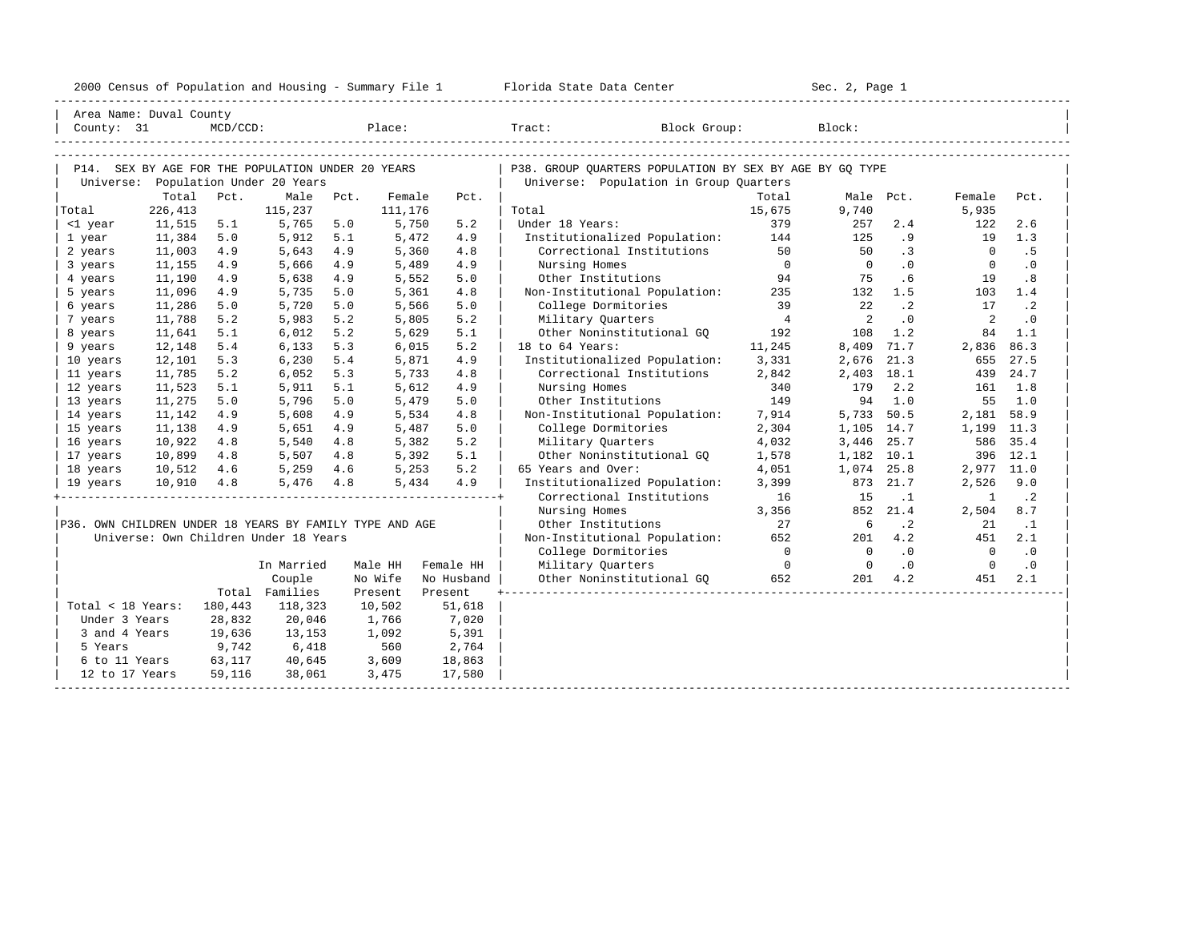|                                                         |            |         |                                       |       |         |                 | 2000 Census of Population and Housing - Summary File 1 Florida State Data Center |                | Sec. 2, Page 1 |           |                |           |
|---------------------------------------------------------|------------|---------|---------------------------------------|-------|---------|-----------------|----------------------------------------------------------------------------------|----------------|----------------|-----------|----------------|-----------|
| Area Name: Duval County<br>County: 31                   |            |         |                                       |       |         | MCD/CCD: Place: | Tract: Block Group: Block:                                                       |                |                |           |                |           |
|                                                         |            |         |                                       |       |         |                 |                                                                                  |                |                |           |                |           |
| P14. SEX BY AGE FOR THE POPULATION UNDER 20 YEARS       |            |         |                                       |       |         |                 | P38. GROUP OUARTERS POPULATION BY SEX BY AGE BY GO TYPE                          |                |                |           |                |           |
|                                                         |            |         | Universe: Population Under 20 Years   |       |         |                 | Universe: Population in Group Quarters                                           |                |                |           |                |           |
|                                                         | Total      | Pct.    | Male                                  | Pct.  | Female  | Pct.            |                                                                                  | Total          | Male Pct.      |           | Female         | Pct.      |
| Total                                                   | 226,413    |         | 115,237                               |       | 111,176 |                 | Total                                                                            | 15,675         | 9,740          |           | 5,935          |           |
| <1 year                                                 | 11,515     | 5.1     | 5,765                                 | 5.0   | 5,750   | 5.2             | Under 18 Years:                                                                  | 379            | 257            | 2.4       | 122            | 2.6       |
| 1 year                                                  | 11,384     | 5.0     | 5,912                                 | 5.1   | 5,472   | 4.9             | Institutionalized Population:                                                    | 144            | 125            | .9        | 19             | 1.3       |
| 2 years                                                 | 11,003     | 4.9     | 5,643                                 | 4.9   | 5,360   | 4.8             | Correctional Institutions                                                        | 50             | 50             | $\cdot$ 3 | $\overline{0}$ | . 5       |
| 3 years                                                 | 11,155     | 4.9     | 5,666                                 | 4.9   | 5,489   | 4.9             | Nursing Homes                                                                    | $\overline{0}$ | $\overline{0}$ | $\cdot$ 0 | $\overline{0}$ | $\cdot$ 0 |
| 4 years                                                 | 11,190     | 4.9     | 5,638                                 | 4.9   | 5,552   | 5.0             | Other Institutions                                                               | 94             | 75             | .6        | 19             | .8        |
| 5 years                                                 | 11,096     | 4.9     | 5,735                                 | 5.0   | 5,361   | 4.8             | Non-Institutional Population:                                                    | 235            | 132            | 1.5       | 103            | 1.4       |
| 6 years                                                 | 11,286     | 5.0     | 5,720                                 | 5.0   | 5,566   | 5.0             | College Dormitories                                                              | 39             | 2.2            | $\cdot$ 2 | 17             | $\cdot$ 2 |
| 7 years                                                 | 11,788     | 5.2     | 5,983                                 | 5.2   | 5,805   | 5.2             | Military Quarters                                                                | $\overline{4}$ | $\overline{2}$ | $\cdot$ 0 | 2              | .0        |
| 8 years                                                 | 11,641     | 5.1     | 6,012                                 | 5.2   | 5,629   | 5.1             | Other Noninstitutional GQ                                                        | 192            | 108            | 1.2       | 84             | 1.1       |
| 9 years                                                 | 12,148     | 5.4     | 6,133                                 | 5.3   | 6,015   | 5.2             | 18 to 64 Years:                                                                  | 11,245         | 8,409 71.7     |           | 2,836          | 86.3      |
| 10 years                                                | 12,101     | 5.3     | 6,230                                 | 5.4   | 5,871   | 4.9             | Institutionalized Population:                                                    | 3,331          | 2,676          | 21.3      | 655            | 27.5      |
| 11 years                                                | 11,785     | 5.2     | 6,052                                 | 5.3   | 5,733   | 4.8             | Correctional Institutions                                                        | 2,842          | 2,403 18.1     |           | 439            | 24.7      |
| 12 years                                                | 11,523     | 5.1     | 5,911                                 | 5.1   | 5,612   | 4.9             | Nursing Homes                                                                    | 340            | 179            | 2.2       | 161            | 1.8       |
| 13 years                                                | 11,275     | 5.0     | 5,796                                 | 5.0   | 5,479   | 5.0             | Other Institutions                                                               | 149            | 94             | 1.0       | 55             | 1.0       |
| 14 years                                                | 11,142     | 4.9     | 5,608                                 | 4.9   | 5,534   | 4.8             | Non-Institutional Population:                                                    | 7,914          | 5,733 50.5     |           | 2,181 58.9     |           |
| 15 years                                                | 11,138     | 4.9     | 5,651                                 | 4.9   | 5,487   | 5.0             | College Dormitories                                                              | 2,304          | 1,105 14.7     |           | 1,199 11.3     |           |
| 16 years                                                | 10,922     | 4.8     | 5,540                                 | 4.8   | 5,382   | 5.2             | Military Quarters                                                                | 4,032          | 3,446 25.7     |           | 586            | 35.4      |
| 17 years                                                | 10,899     | 4.8     | 5,507                                 | 4.8   | 5,392   | 5.1             | Other Noninstitutional GO                                                        | 1,578          | 1,182 10.1     |           |                | 396 12.1  |
| 18 years                                                | 10,512     | 4.6     | 5,259                                 | 4.6   | 5,253   | 5.2             | 65 Years and Over:                                                               | 4,051          | 1,074 25.8     |           | 2,977 11.0     |           |
| 19 years                                                | 10,910 4.8 |         | 5,476                                 | 4.8   |         | 4.9<br>5,434    | Institutionalized Population:                                                    | 3,399          |                | 873 21.7  | 2,526          | 9.0       |
|                                                         |            |         |                                       |       |         |                 | Correctional Institutions                                                        | 16             | 15             | $\cdot$ 1 | 1              | $\cdot$ 2 |
|                                                         |            |         |                                       |       |         |                 | Nursing Homes                                                                    | 3,356          | 852            | 21.4      | 2,504          | 8.7       |
| P36. OWN CHILDREN UNDER 18 YEARS BY FAMILY TYPE AND AGE |            |         |                                       |       |         |                 | Other Institutions                                                               | 27             | 6              | $\cdot$ 2 | 21             | $\cdot$ 1 |
|                                                         |            |         | Universe: Own Children Under 18 Years |       |         |                 | Non-Institutional Population:                                                    | 652            | 201            | 4.2       | 451            | 2.1       |
|                                                         |            |         |                                       |       |         |                 | College Dormitories                                                              | $\overline{0}$ | $\bigcirc$     | .0        | $\Omega$       | $\cdot$ 0 |
|                                                         |            |         | In Married                            |       | Male HH | Female HH       | Military Quarters                                                                | $\overline{0}$ | $\overline{0}$ | $\cdot$ 0 | $\overline{0}$ | $\cdot$ 0 |
|                                                         |            |         | Couple                                |       | No Wife | No Husband      | Other Noninstitutional GO                                                        | 652            | 201            | 4.2       | 451            | 2.1       |
|                                                         |            |         | Total Families                        |       | Present | Present         |                                                                                  |                |                |           |                |           |
| Total < 18 Years:                                       |            | 180,443 | 118,323                               |       | 10,502  | 51,618          |                                                                                  |                |                |           |                |           |
| Under 3 Years                                           |            | 28,832  | 20,046                                |       | 1,766   | 7,020           |                                                                                  |                |                |           |                |           |
| 3 and 4 Years                                           |            | 19,636  | 13,153                                |       | 1,092   | 5,391           |                                                                                  |                |                |           |                |           |
| 5 Years                                                 |            | 9,742   | 6,418                                 |       | 560     | 2,764           |                                                                                  |                |                |           |                |           |
| 6 to 11 Years                                           |            | 63,117  | 40,645                                |       | 3,609   | 18,863          |                                                                                  |                |                |           |                |           |
| 12 to 17 Years                                          |            | 59,116  | 38,061                                | 3,475 |         | 17,580          |                                                                                  |                |                |           |                |           |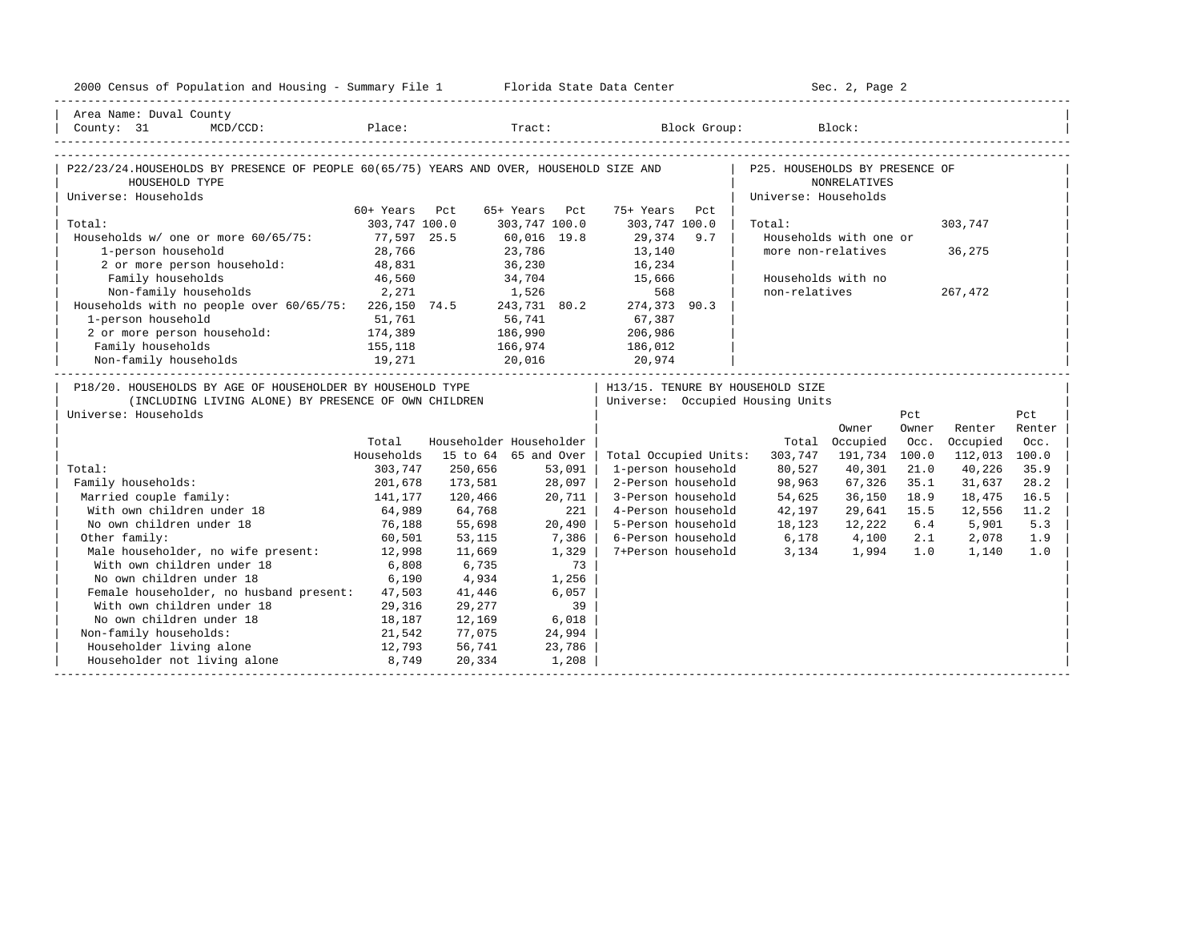| 2000 Census of Population and Housing - Summary File 1 Florida State Data Center                                                           |                    |         |                         |                                   | Sec. 2, Page 2                                 |                        |       |               |        |
|--------------------------------------------------------------------------------------------------------------------------------------------|--------------------|---------|-------------------------|-----------------------------------|------------------------------------------------|------------------------|-------|---------------|--------|
| Area Name: Duval County                                                                                                                    |                    |         |                         |                                   |                                                |                        |       |               |        |
| County: 31<br>$MCD/CCD$ :                                                                                                                  |                    |         |                         | Place: Tract: Block Group: Block: |                                                |                        |       |               |        |
|                                                                                                                                            |                    |         |                         |                                   |                                                |                        |       |               |        |
| P22/23/24.HOUSEHOLDS BY PRESENCE OF PEOPLE 60(65/75) YEARS AND OVER, HOUSEHOLD SIZE AND   P25. HOUSEHOLDS BY PRESENCE OF<br>HOUSEHOLD TYPE |                    |         |                         |                                   |                                                | <b>NONRELATIVES</b>    |       |               |        |
| Universe: Households                                                                                                                       |                    |         |                         |                                   | Universe: Households                           |                        |       |               |        |
|                                                                                                                                            | 60+ Years Pct      |         | 65+ Years Pct           | 75+ Years Pct                     |                                                |                        |       |               |        |
| Total:                                                                                                                                     | 303,747 100.0      |         | 303,747 100.0           | 303,747 100.0                     | Total:                                         |                        |       | 303,747       |        |
| Households w/ one or more 60/65/75: 77,597 25.5                                                                                            |                    |         | 60,016 19.8             | 29,374 9.7                        |                                                | Households with one or |       |               |        |
| 1-person household                                                                                                                         | 28,766             |         | 23,786<br>36,230        | 13,140<br>$16,234$<br>$-666$      |                                                | more non-relatives     |       | 36,275        |        |
| 2 or more person household:                                                                                                                | 48,831             |         |                         |                                   |                                                |                        |       |               |        |
| Family households                                                                                                                          | 46,560             |         | 34,704 15,666           |                                   |                                                | Households with no     |       |               |        |
| 2,271<br>Non-family households 2,271 1,526 568<br>Households with no people over 60/65/75: 226,150 74.5 243,731 80.2 274,373 90.3          |                    |         |                         |                                   | non-relatives                                  |                        |       | 267,472       |        |
|                                                                                                                                            |                    |         |                         |                                   |                                                |                        |       |               |        |
| 1-person household                                                                                                                         | 51,761             |         | 56,741 67,387           |                                   |                                                |                        |       |               |        |
| 2 or more person household: 174,389                                                                                                        |                    |         | 186,990 206,986         |                                   |                                                |                        |       |               |        |
|                                                                                                                                            |                    |         |                         |                                   |                                                |                        |       |               |        |
| Family households 155,118 166,974 186,012<br>Non-family households 19,271 20,016 20,974                                                    |                    |         |                         |                                   |                                                |                        |       |               |        |
| P18/20. HOUSEHOLDS BY AGE OF HOUSEHOLDER BY HOUSEHOLD TYPE                                                                                 |                    |         |                         | H13/15. TENURE BY HOUSEHOLD SIZE  |                                                |                        |       |               |        |
| (INCLUDING LIVING ALONE) BY PRESENCE OF OWN CHILDREN                                                                                       |                    |         |                         | Universe: Occupied Housing Units  |                                                |                        |       |               |        |
| Universe: Households                                                                                                                       |                    |         |                         |                                   |                                                |                        | Pct   |               | Pct    |
|                                                                                                                                            |                    |         |                         |                                   |                                                | Owner                  | Owner | Renter        | Renter |
|                                                                                                                                            | Total              |         | Householder Householder |                                   |                                                | Total Occupied         | Occ.  | Occupied      | Occ.   |
|                                                                                                                                            | Households         |         | 15 to 64 65 and Over    | Total Occupied Units:             | 303,747                                        | 191,734 100.0          |       | 112,013 100.0 |        |
| Total:                                                                                                                                     | 303,747            | 250,656 | 53,091                  | 1-person household                | 80,527                                         | 40,301                 | 21.0  | 40,226        | 35.9   |
| Family households:                                                                                                                         |                    | 173,581 | 28,097                  | 2-Person household                | 98,963                                         | 67,326                 | 35.1  | 31,637        | 28.2   |
| Married couple family:                                                                                                                     | 201,678<br>141,177 | 120,466 | $20,711$                | 3-Person household                | 54,625                                         | 36,150                 | 18.9  | 18,475        | 16.5   |
| With own children under 18                                                                                                                 | 64,989             | 64,768  | 221                     | 4-Person household                | 42,197                                         | 29,641                 | 15.5  | 12,556        | 11.2   |
| No own children under 18                                                                                                                   | 76,188             | 55,698  | 20,490                  | 5-Person household                | 18,123                                         | 12,222                 | 6.4   | 5,901         | 5.3    |
| Other family:                                                                                                                              | 60,501             | 53,115  | 7,386                   | 6-Person household                |                                                |                        |       | $2.1$ $2.078$ | 1.9    |
| Male householder, no wife present: 12,998                                                                                                  |                    | 11,669  | 1,329                   | 7+Person household                | $6,178$ $4,100$ $2.1$<br>$3,134$ $1,994$ $1.0$ |                        |       | 1,140         | 1.0    |
| With own children under 18                                                                                                                 | 6,808              | 6,735   | 73                      |                                   |                                                |                        |       |               |        |
| No own children under 18                                                                                                                   | 6,190              | 4,934   | 1,256                   |                                   |                                                |                        |       |               |        |
| Female householder, no husband present:                                                                                                    | 47,503             | 41,446  | 6,057                   |                                   |                                                |                        |       |               |        |
| With own children under 18                                                                                                                 | 29,316             | 29,277  | 39                      |                                   |                                                |                        |       |               |        |
| No own children under 18<br>18,187                                                                                                         |                    | 12,169  | 6,018                   |                                   |                                                |                        |       |               |        |
| Non-family households:                                                                                                                     | 21,542             | 77,075  | 24,994                  |                                   |                                                |                        |       |               |        |
| Householder living alone                                                                                                                   | 12,793             | 56,741  | 23,786                  |                                   |                                                |                        |       |               |        |
| Householder not living alone 8,749                                                                                                         |                    | 20,334  | 1,208                   |                                   |                                                |                        |       |               |        |
|                                                                                                                                            |                    |         |                         |                                   |                                                |                        |       |               |        |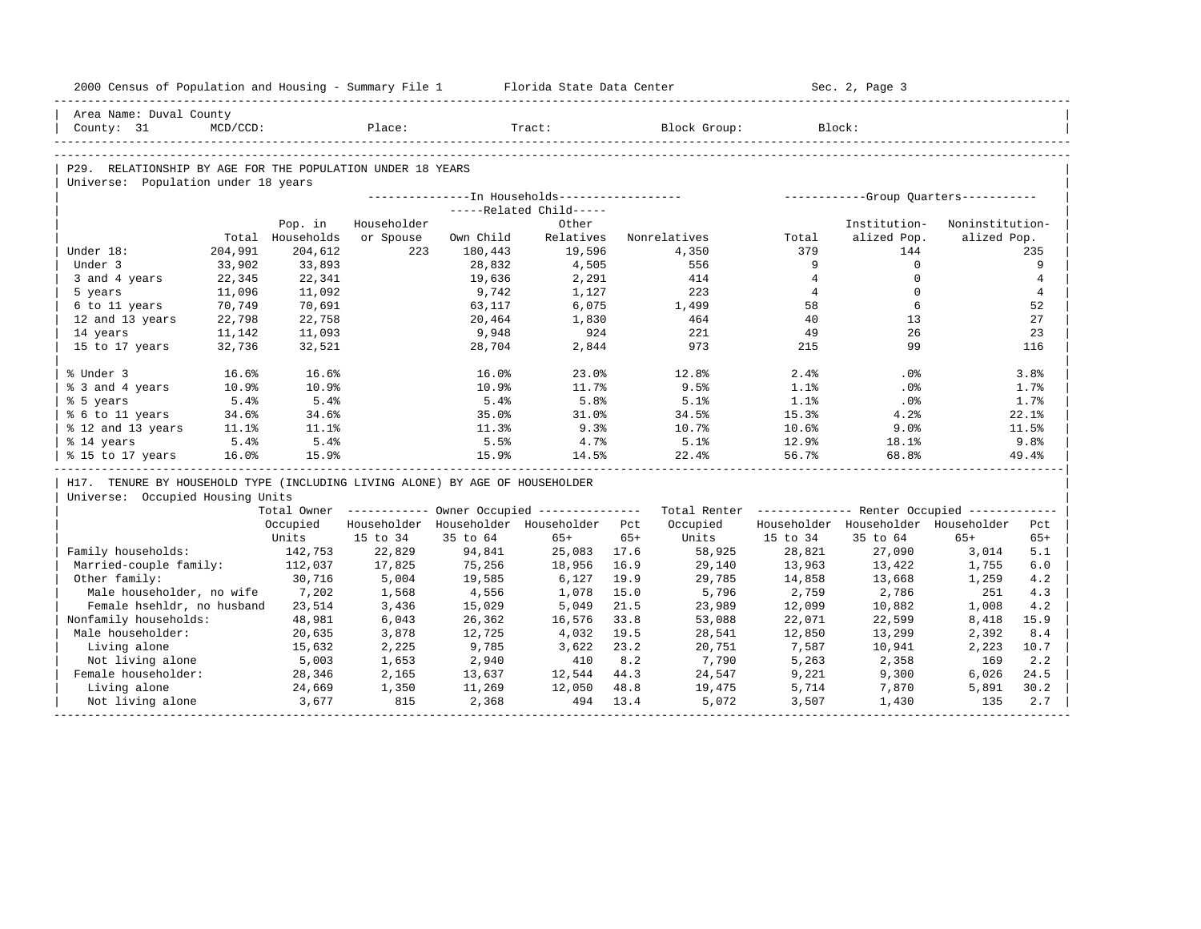|                       | 2000 Census of Population and Housing - Summary File 1 Florida State Data Center |                  |             |           |                                         |      |                                                                                                                |                | Sec. 2, Page 3 |                 |                |
|-----------------------|----------------------------------------------------------------------------------|------------------|-------------|-----------|-----------------------------------------|------|----------------------------------------------------------------------------------------------------------------|----------------|----------------|-----------------|----------------|
|                       | Area Name: Duval County                                                          |                  |             |           |                                         |      |                                                                                                                |                |                |                 |                |
| County: 31            | MCD/CCD:                                                                         |                  | Place:      |           | Tract:                                  |      | Block Group: Block:                                                                                            |                |                |                 |                |
|                       |                                                                                  |                  |             |           |                                         |      |                                                                                                                |                |                |                 |                |
|                       | P29. RELATIONSHIP BY AGE FOR THE POPULATION UNDER 18 YEARS                       |                  |             |           |                                         |      |                                                                                                                |                |                |                 |                |
|                       | Universe: Population under 18 years                                              |                  |             |           |                                         |      |                                                                                                                |                |                |                 |                |
|                       |                                                                                  |                  |             |           |                                         |      |                                                                                                                |                |                |                 |                |
|                       |                                                                                  |                  |             |           | -----Related Child-----                 |      |                                                                                                                |                |                |                 |                |
|                       |                                                                                  | Pop. in          | Householder |           | Other                                   |      |                                                                                                                |                | Institution-   | Noninstitution- |                |
|                       |                                                                                  | Total Households | or Spouse   | Own Child | Relatives                               |      | Nonrelatives                                                                                                   | Total          | alized Pop.    | alized Pop.     |                |
| Under 18:             | 204,991                                                                          | 204,612          | 223         | 180,443   | 19,596                                  |      | 4,350                                                                                                          | 379            | 144            |                 | 235            |
| Under 3               | 33,902                                                                           | 33,893           |             | 28,832    | 4,505                                   |      | 556                                                                                                            | 9              | $\circ$        |                 | 9              |
| 3 and 4 years         | 22,345                                                                           | 22,341           |             | 19,636    | 2,291                                   |      | 414                                                                                                            | $\overline{4}$ | $\mathbf 0$    |                 | $\overline{4}$ |
| 5 years               | 11,096                                                                           | 11,092           |             | 9,742     | 1,127                                   |      | 223                                                                                                            | $\overline{4}$ | $\mathbf 0$    |                 | $\overline{4}$ |
| 6 to 11 years         | 70,749                                                                           | 70,691           |             | 63,117    | 6,075                                   |      | 1,499                                                                                                          | 58             | 6              |                 | 52             |
| 12 and 13 years       | 22,798                                                                           | 22,758           |             | 20,464    | 1,830                                   |      | 464                                                                                                            | 40             | 13<br>26       |                 | 27             |
| 14 years              | 11,142                                                                           | 11,093           |             | 9,948     | 924                                     |      | 221<br>973                                                                                                     | 49             | 99             |                 | 23             |
| 15 to 17 years        | 32,736                                                                           | 32,521           |             | 28,704    | 2,844                                   |      |                                                                                                                | 215            |                |                 | 116            |
| % Under 3             | 16.6%                                                                            | 16.6%            |             | 16.0%     | 23.0%                                   |      | 12.8%                                                                                                          | 2.4%           | $.0\%$         |                 | 3.8%           |
| % 3 and 4 years       | 10.9%                                                                            | 10.9%            |             | 10.9%     | 11.7%                                   |      | 9.5%                                                                                                           | $1.1$ %        | $.0\%$         |                 | 1.7%           |
| % 5 years             | 5.4%                                                                             | 5.4%             |             | 5.4%      | 5.8%                                    |      | 5.1%                                                                                                           | 1.1%           | $.0\%$         |                 | 1.7%           |
| % 6 to 11 years       | 34.6%                                                                            | 34.6%            |             | 35.0%     | 31.0%                                   |      | 34.5%                                                                                                          | 15.3%          | 4.2%           |                 | 22.1%          |
| % 12 and 13 years     | 11.1%                                                                            | $11.1$ $%$       |             | 11.3%     | 9.3%                                    |      | 10.7%                                                                                                          | 10.6%          | 9.0%           |                 | 11.5%          |
| % 14 years            | 5.4%                                                                             | 5.4%             |             | 5.5%      | 4.7%                                    |      | 5.1%                                                                                                           | 12.9%          | $18.1\%$       |                 | 9.8%           |
| % 15 to 17 years      | 16.0%                                                                            | 15.9%            |             | 15.9%     | 14.5%                                   |      | 22.4%                                                                                                          | 56.7%          | 68.8%          |                 | 49.4%          |
|                       | H17. TENURE BY HOUSEHOLD TYPE (INCLUDING LIVING ALONE) BY AGE OF HOUSEHOLDER     |                  |             |           |                                         |      |                                                                                                                |                |                |                 |                |
|                       | Universe: Occupied Housing Units                                                 |                  |             |           |                                         |      |                                                                                                                |                |                |                 |                |
|                       |                                                                                  |                  |             |           |                                         |      | Total Owner ------------ Owner Occupied -------------- Total Renter ------------- Renter Occupied ------------ |                |                |                 |                |
|                       |                                                                                  | Occupied         |             |           | Householder Householder Householder Pct |      | Occupied – Householder Householder Householder                                                                 |                |                |                 | Pct            |
|                       |                                                                                  | Units            | 15 to 34    | 35 to 64  | 65+                                     | 65+  |                                                                                                                | Units 15 to 34 | 35 to 64       | $65+$           | $65+$          |
| Family households:    |                                                                                  | 142,753          | 22,829      | 94,841    | 25,083 17.6                             |      | 58,925                                                                                                         | 28,821         | 27,090         | 3,014           | 5.1            |
|                       | Married-couple family: 112,037                                                   |                  | 17,825      | 75,256    | 18,956                                  | 16.9 | 29,140                                                                                                         | 13,963         | 13,422         | 1,755           | 6.0            |
| Other family:         |                                                                                  | 30,716           | 5,004       | 19,585    | 6,127                                   | 19.9 | 29,785                                                                                                         | 14,858         | 13,668         | 1,259           | 4.2            |
|                       | Male householder, no wife 7,202                                                  |                  | 1,568       | 4,556     | 1,078                                   | 15.0 | 5,796                                                                                                          | 2,759          | 2,786          | 251             | 4.3            |
|                       | Female hsehldr, no husband 23,514                                                |                  | 3,436       | 15,029    | 5,049                                   | 21.5 | 23,989                                                                                                         | 12,099         | 10,882         | 1,008           | 4.2            |
| Nonfamily households: |                                                                                  | 48,981           | 6,043       | 26,362    | 16,576                                  | 33.8 | 53,088                                                                                                         | 22,071         | 22,599         | 8,418           | 15.9           |
| Male householder:     |                                                                                  | 20,635           | 3,878       | 12,725    | 4,032                                   | 19.5 | 28,541                                                                                                         | 12,850         | 13,299         | 2,392           | 8.4            |
| Living alone          |                                                                                  | 15,632           | 2,225       | 9,785     | 3,622                                   | 23.2 | 20,751                                                                                                         | 7,587          | 10,941         | 2,223           | 10.7           |
|                       | Not living alone                                                                 | 5,003            | 1,653       | 2,940     | 410                                     | 8.2  | 7,790                                                                                                          | 5,263          | 2,358          | 169             | 2.2            |
| Female householder:   |                                                                                  | 28,346           | 2,165       | 13,637    | $12,544$ $44.3$                         |      | 24,547                                                                                                         | 9,221          | 9,300          | 6,026           | 24.5           |
| Living alone          |                                                                                  | 24,669           | 1,350       | 11,269    | 12,050 48.8                             |      | $\frac{1}{19}$ , 475                                                                                           | 5,714          | 7,870          | 5,891           | 30.2           |
|                       | Not living alone                                                                 | 3,677            | 815         | 2,368     | 494                                     | 13.4 | 5,072                                                                                                          | 3,507          | 1,430          | 135             | 2.7            |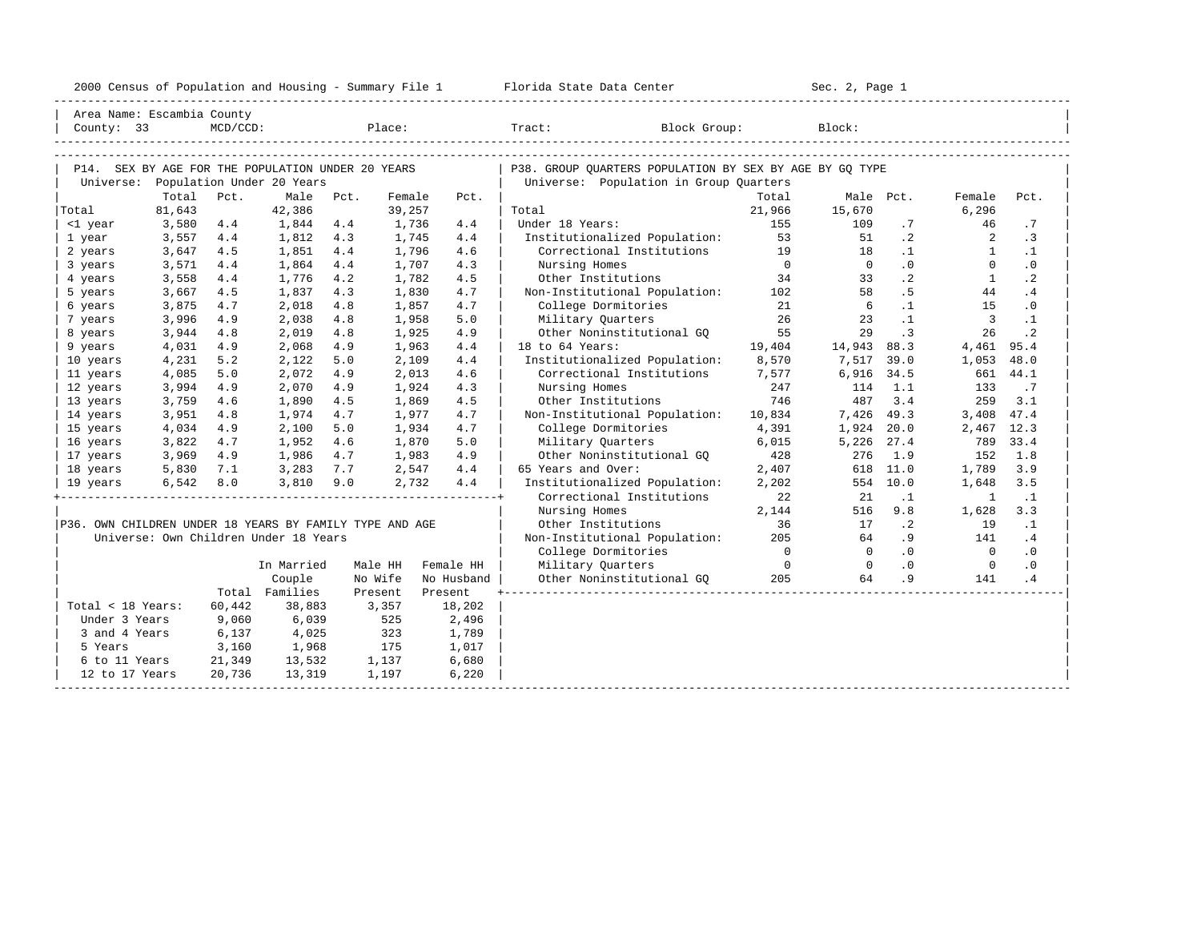| 2000<br>ensus! | and<br>Population | ---<br>Summa:<br>$-$<br>Housing | lorida<br>Data<br>otatt<br>cence. | ، م ج<br>Page<br>$3-1$ |  |
|----------------|-------------------|---------------------------------|-----------------------------------|------------------------|--|
|                |                   |                                 |                                   |                        |  |

| Area Name: Escambia County                              |               |          |                                       |      |         |            |                                                         |                |                 |                |                         |             |
|---------------------------------------------------------|---------------|----------|---------------------------------------|------|---------|------------|---------------------------------------------------------|----------------|-----------------|----------------|-------------------------|-------------|
| County: 33                                              |               | MCD/CCD: |                                       |      | Place:  |            | Tract: Block Group:                                     |                | Block:          |                |                         |             |
|                                                         |               |          |                                       |      |         |            |                                                         |                |                 |                |                         |             |
|                                                         |               |          |                                       |      |         |            |                                                         |                |                 |                |                         |             |
| P14. SEX BY AGE FOR THE POPULATION UNDER 20 YEARS       |               |          |                                       |      |         |            | P38. GROUP QUARTERS POPULATION BY SEX BY AGE BY GQ TYPE |                |                 |                |                         |             |
| Universe: Population Under 20 Years                     |               |          |                                       |      |         |            | Universe: Population in Group Quarters                  |                |                 |                |                         |             |
|                                                         | Total         | Pct.     | Male                                  | Pct. | Female  | Pct.       |                                                         | Total          |                 | Male Pct.      | Female                  | Pct.        |
| Total                                                   | 81,643        |          | 42,386                                |      | 39,257  |            | Total                                                   | 21,966         | 15,670          |                | 6,296                   |             |
| <1 year                                                 | 3,580         | 4.4      | 1,844                                 | 4.4  | 1,736   | 4.4        | Under 18 Years:                                         | 155            | 109             | .7             | 46                      | .7          |
| 1 year                                                  | 3,557         | 4.4      | 1,812                                 | 4.3  | 1,745   | 4.4        | Institutionalized Population:                           | 53             | 51              | $\cdot$ 2      | 2                       | $\cdot$ 3   |
| 2 years                                                 | 3,647         | 4.5      | 1,851                                 | 4.4  | 1,796   | 4.6        | Correctional Institutions                               | 19             | 18              | $\cdot$ 1      | $\mathbf{1}$            | $\cdot$ 1   |
| 3 years                                                 | 3,571         | 4.4      | 1,864                                 | 4.4  | 1,707   | 4.3        | Nursing Homes                                           | $\overline{0}$ | $\overline{0}$  | $\cdot$ 0      | $\circ$                 | $\cdot$ 0   |
| 4 years                                                 | 3,558         | 4.4      | 1,776                                 | 4.2  | 1,782   | 4.5        | Other Institutions                                      | 34             | 33              | $\cdot$ 2      | 1                       | $\cdot$ 2   |
| 5 years                                                 | 3,667         | 4.5      | 1,837                                 | 4.3  | 1,830   | 4.7        | Non-Institutional Population: 102                       |                | 58              | .5             | 44                      | .4          |
| 6 years                                                 | 3,875         | 4.7      | 2,018                                 | 4.8  | 1,857   | 4.7        | College Dormitories                                     | 21             | $6\overline{6}$ | $\cdot$ 1      | 15                      | $\cdot$ 0   |
| 7 years                                                 | 3,996         | 4.9      | 2,038                                 | 4.8  | 1,958   | 5.0        | Military Quarters                                       | 26             | 23              | $\cdot$ 1      | $\overline{\mathbf{3}}$ | $\cdot$ 1   |
| 8 years                                                 | 3,944         | 4.8      | 2,019                                 | 4.8  | 1,925   | 4.9        | Other Noninstitutional GQ                               | 55             | 29              | $\cdot$ 3      | 26                      | $\cdot$ . 2 |
| 9 years                                                 | 4,031         | 4.9      | 2,068                                 | 4.9  | 1,963   | 4.4        | 19,404<br>18 to 64 Years:                               |                | 14,943          | 88.3           | 4,461 95.4              |             |
| 10 years                                                | 4,231         | 5.2      | 2,122                                 | 5.0  | 2,109   | 4.4        | Institutionalized Population:                           | 8,570          | 7,517           | 39.0           | 1,053                   | 48.0        |
| 11 years                                                | 4,085         | 5.0      | 2,072                                 | 4.9  | 2,013   | 4.6        | Correctional Institutions 7,577                         |                | 6,916           | 34.5           | 661                     | 44.1        |
| 12 years                                                | 3,994         | 4.9      | 2,070                                 | 4.9  | 1,924   | 4.3        | Nursing Homes                                           | 247            | 114             | 1.1            | 133                     | $\cdot$ 7   |
| 13 years                                                | 3,759         | 4.6      | 1,890                                 | 4.5  | 1,869   | 4.5        | Other Institutions                                      | 746            | 487             | 3.4            | 259                     | 3.1         |
| 14 years                                                | 3,951         | 4.8      | 1,974                                 | 4.7  | 1,977   | 4.7        | Non-Institutional Population: 10,834                    |                | 7,426 49.3      |                | 3,408                   | 47.4        |
| 15 years                                                | 4,034         | 4.9      | 2,100                                 | 5.0  | 1,934   | 4.7        | College Dormitories                                     | 4,391          | 1,924 20.0      |                | 2,467 12.3              |             |
| 16 years                                                | 3,822         | 4.7      | 1,952                                 | 4.6  | 1,870   | 5.0        | Military Ouarters                                       | 6,015          | 5,226 27.4      |                | 789                     | 33.4        |
| 17 years                                                | 3,969         | 4.9      | 1,986                                 | 4.7  | 1,983   | 4.9        | Other Noninstitutional GO                               | 428            | 276             | 1.9            | 152                     | 1.8         |
| 18 years                                                | 5,830         | 7.1      | 3,283                                 | 7.7  | 2,547   | 4.4        | 65 Years and Over:                                      | 2,407          | 618             | 11.0           | 1,789                   | 3.9         |
| 19 years                                                | $6,542$ $8.0$ |          | 3,810                                 | 9.0  | 2,732   | 4.4        | Institutionalized Population:                           | 2,202          |                 | 554 10.0       | 1,648                   | 3.5         |
|                                                         |               |          |                                       |      |         |            | Correctional Institutions                               | 22             | 21              | $\cdot$ 1      | $\overline{1}$          | $\cdot$ 1   |
|                                                         |               |          |                                       |      |         |            | Nursing Homes                                           | 2,144          | 516             | 9.8            | 1,628                   | 3.3         |
| P36. OWN CHILDREN UNDER 18 YEARS BY FAMILY TYPE AND AGE |               |          |                                       |      |         |            | Other Institutions                                      | 36             | 17              | $\cdot$ 2      | 19                      | $\cdot$ 1   |
|                                                         |               |          | Universe: Own Children Under 18 Years |      |         |            | Non-Institutional Population:                           | 205            | 64              | .9             | 141                     | .4          |
|                                                         |               |          |                                       |      |         |            | College Dormitories                                     | $\overline{0}$ | $\overline{0}$  | .0             | $\overline{0}$          | $\cdot$ 0   |
|                                                         |               |          | In Married                            |      | Male HH | Female HH  | Military Quarters                                       | $\overline{0}$ | $\overline{0}$  | $\overline{0}$ | $\overline{0}$          | $\cdot$ 0   |
|                                                         |               |          | Couple                                |      | No Wife | No Husband | Other Noninstitutional GO                               | 205            | 64              | .9             | 141                     | .4          |
|                                                         |               |          | Total Families                        |      | Present | Present    |                                                         |                |                 |                |                         |             |
| Total < 18 Years:                                       |               | 60,442   | 38,883                                |      | 3,357   | 18,202     |                                                         |                |                 |                |                         |             |
| Under 3 Years                                           |               | 9,060    | 6,039                                 |      | 525     | 2,496      |                                                         |                |                 |                |                         |             |
| 3 and 4 Years                                           |               | 6,137    | 4,025                                 |      | 323     | 1,789      |                                                         |                |                 |                |                         |             |
| 5 Years                                                 |               | 3,160    | 1,968                                 | 175  |         | 1,017      |                                                         |                |                 |                |                         |             |
| 6 to 11 Years                                           |               | 21,349   | 13,532                                |      | 1,137   | 6,680      |                                                         |                |                 |                |                         |             |
| 12 to 17 Years                                          |               | 20,736   | 13,319                                |      | 1,197   | 6,220      |                                                         |                |                 |                |                         |             |
|                                                         |               |          |                                       |      |         |            |                                                         |                |                 |                |                         |             |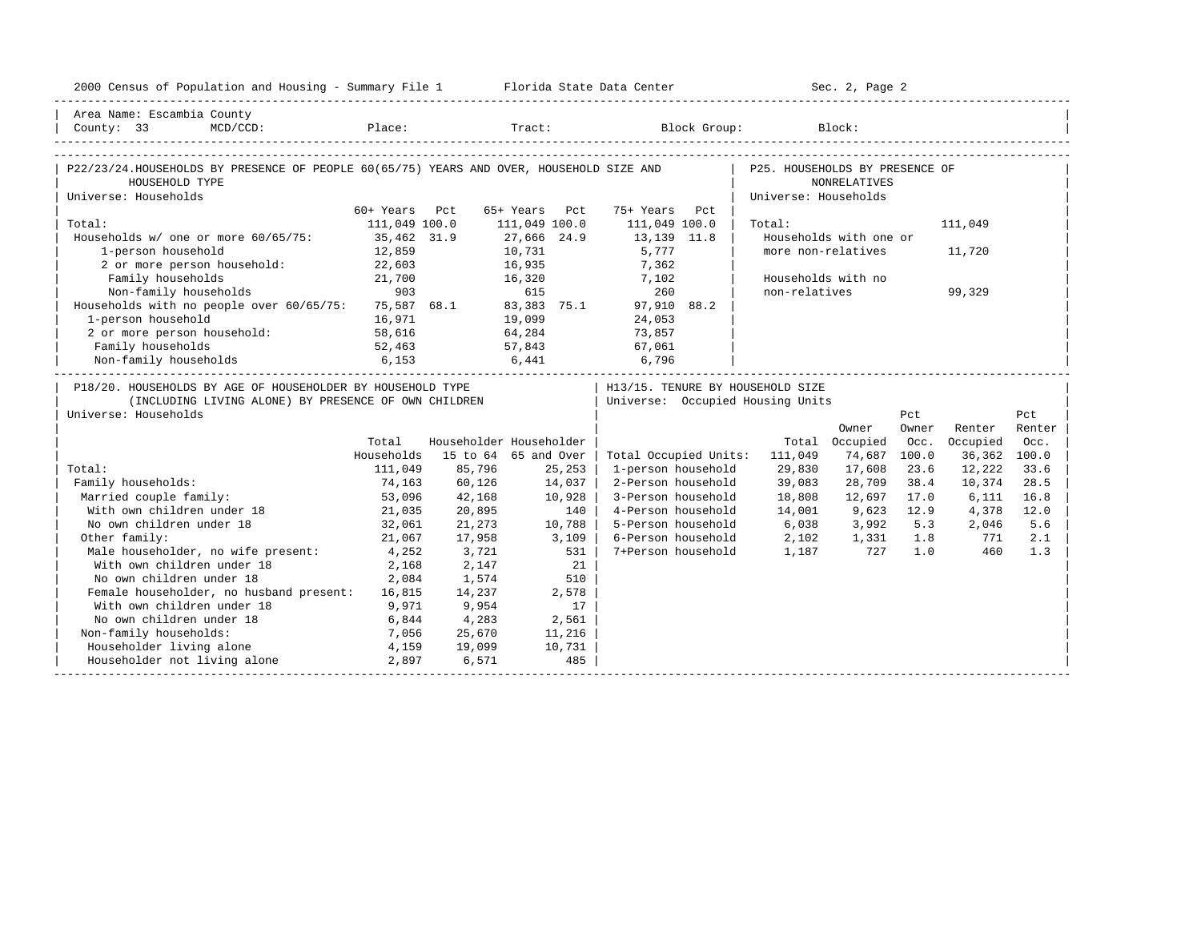| 2000 Census of Population and Housing - Summary File 1 Florida State Data Center                                                           |               |        |                         |                                   | Sec. 2, Page 2       |                        |       |              |        |
|--------------------------------------------------------------------------------------------------------------------------------------------|---------------|--------|-------------------------|-----------------------------------|----------------------|------------------------|-------|--------------|--------|
| Area Name: Escambia County                                                                                                                 |               |        |                         |                                   |                      |                        |       |              |        |
| County: $33$<br>$MCD / CCD$ :                                                                                                              |               |        |                         | Place: Tract: Block Group: Block: |                      |                        |       |              |        |
|                                                                                                                                            |               |        |                         |                                   |                      |                        |       |              |        |
| P22/23/24.HOUSEHOLDS BY PRESENCE OF PEOPLE 60(65/75) YEARS AND OVER, HOUSEHOLD SIZE AND   P25. HOUSEHOLDS BY PRESENCE OF<br>HOUSEHOLD TYPE |               |        |                         |                                   |                      | <b>NONRELATIVES</b>    |       |              |        |
| Universe: Households                                                                                                                       |               |        |                         |                                   | Universe: Households |                        |       |              |        |
|                                                                                                                                            | 60+ Years Pct |        | 65+ Years Pct           | 75+ Years<br>Pct                  |                      |                        |       |              |        |
| Total:                                                                                                                                     | 111,049 100.0 |        | 111,049 100.0           | 111,049 100.0                     | Total:               |                        |       | 111,049      |        |
| Households w/ one or more 60/65/75: 35,462 31.9                                                                                            |               |        | 27,666 24.9             | 13,139 11.8                       |                      | Households with one or |       |              |        |
| 1-person household                                                                                                                         | 12,859        |        | 10,731<br>16,935        | 5,777<br>7,362                    |                      | more non-relatives     |       | 11,720       |        |
| 2 or more person household:                                                                                                                | 22,603        |        |                         |                                   |                      |                        |       |              |        |
| Family households                                                                                                                          | 21,700        |        | 16,320 7,102            |                                   |                      | Households with no     |       |              |        |
| 903<br>Non-family households 903 615 260<br>Households with no people over 60/65/75: 75,587 68.1 83,383 75.1 97,910 88.2                   |               |        |                         |                                   | non-relatives        |                        |       | 99,329       |        |
|                                                                                                                                            |               |        |                         |                                   |                      |                        |       |              |        |
| 1-person household                                                                                                                         | 16,971        |        | 19,099                  | 24,053                            |                      |                        |       |              |        |
| 2 or more person household: 58,616                                                                                                         |               |        | 64, 284 73, 857         |                                   |                      |                        |       |              |        |
|                                                                                                                                            |               |        |                         |                                   |                      |                        |       |              |        |
| Family households 52,463 57,843 67,061 57,061 57,169 6,796 57,061 57,061 6,153 6,441 6,796                                                 |               |        |                         |                                   |                      |                        |       |              |        |
| P18/20. HOUSEHOLDS BY AGE OF HOUSEHOLDER BY HOUSEHOLD TYPE                                                                                 |               |        |                         | H13/15. TENURE BY HOUSEHOLD SIZE  |                      |                        |       |              |        |
| (INCLUDING LIVING ALONE) BY PRESENCE OF OWN CHILDREN                                                                                       |               |        |                         | Universe: Occupied Housing Units  |                      |                        |       |              |        |
| Universe: Households                                                                                                                       |               |        |                         |                                   |                      |                        | Pct   |              | Pct    |
|                                                                                                                                            |               |        |                         |                                   |                      | Owner                  | Owner | Renter       | Renter |
|                                                                                                                                            | Total         |        | Householder Householder |                                   |                      | Total Occupied         | Occ.  | Occupied     | Occ.   |
|                                                                                                                                            | Households    |        | 15 to 64 65 and Over    | Total Occupied Units:             | 111,049              | 74,687                 | 100.0 | 36,362 100.0 |        |
| Total:                                                                                                                                     | 111,049       | 85,796 | 25,253                  | 1-person household                | 29,830               | 17,608                 | 23.6  | 12,222       | 33.6   |
| Family households:                                                                                                                         | 74,163        | 60,126 | 14,037                  | 2-Person household                | 39,083               | 28,709                 | 38.4  | 10,374       | 28.5   |
| Married couple family:                                                                                                                     | 53,096        | 42,168 | 10,928                  | 3-Person household                | 18,808               | 12,697                 | 17.0  | 6,111        | 16.8   |
| With own children under 18                                                                                                                 | 21,035        | 20,895 | 140                     | 4-Person household                | 14,001               | 9,623                  | 12.9  | 4,378        | 12.0   |
| No own children under 18                                                                                                                   | 32,061        | 21,273 | 10,788                  | 5-Person household                | 6,038                | 3,992                  | 5.3   | 2,046        | 5.6    |
| Other family:                                                                                                                              | 21,067        | 17,958 | 3,109                   | 6-Person household                | 2,102                | 1,331 1.8              |       | 771          | 2.1    |
| Male householder, no wife present: 4,252                                                                                                   |               | 3,721  | 531                     | 7+Person household                | 1,187                | 727                    | 1.0   | 460          | 1.3    |
| With own children under 18                                                                                                                 | 2,168         | 2,147  | 21                      |                                   |                      |                        |       |              |        |
| No own children under 18                                                                                                                   | 2,084         | 1,574  | 510                     |                                   |                      |                        |       |              |        |
| Female householder, no husband present: 16,815                                                                                             |               | 14,237 | 2,578                   |                                   |                      |                        |       |              |        |
| With own children under 18                                                                                                                 | 9,971         | 9,954  | 17                      |                                   |                      |                        |       |              |        |
| No own children under 18<br>6,844                                                                                                          |               | 4,283  | 2,561                   |                                   |                      |                        |       |              |        |
| Non-family households:                                                                                                                     | 7,056         | 25,670 | 11,216                  |                                   |                      |                        |       |              |        |
| Householder living alone                                                                                                                   | 4,159         | 19,099 | 10,731                  |                                   |                      |                        |       |              |        |
| Householder not living alone                                                                                                               | 2,897         | 6,571  | 485                     |                                   |                      |                        |       |              |        |
|                                                                                                                                            |               |        |                         |                                   |                      |                        |       |              |        |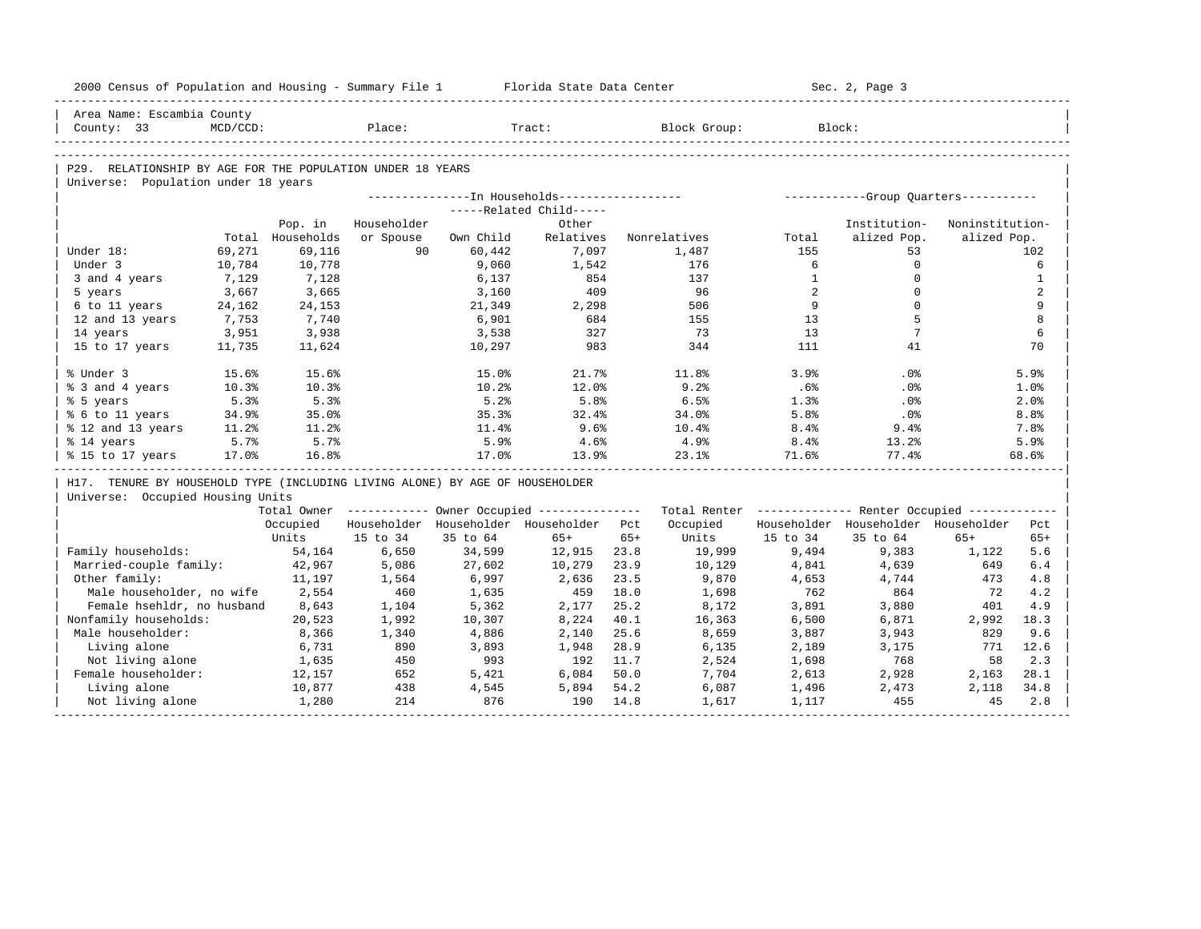| Institution-<br>Noninstitution-<br>alized Pop.<br>alized Pop.<br>53<br>102<br>$\Omega$<br>$\mathbf 0$<br>$\Omega$<br>$\Omega$<br>5 |                                                                                                                                                                                                  |  |
|------------------------------------------------------------------------------------------------------------------------------------|--------------------------------------------------------------------------------------------------------------------------------------------------------------------------------------------------|--|
|                                                                                                                                    |                                                                                                                                                                                                  |  |
|                                                                                                                                    |                                                                                                                                                                                                  |  |
|                                                                                                                                    |                                                                                                                                                                                                  |  |
|                                                                                                                                    |                                                                                                                                                                                                  |  |
|                                                                                                                                    |                                                                                                                                                                                                  |  |
|                                                                                                                                    |                                                                                                                                                                                                  |  |
|                                                                                                                                    |                                                                                                                                                                                                  |  |
|                                                                                                                                    |                                                                                                                                                                                                  |  |
|                                                                                                                                    |                                                                                                                                                                                                  |  |
|                                                                                                                                    |                                                                                                                                                                                                  |  |
|                                                                                                                                    |                                                                                                                                                                                                  |  |
|                                                                                                                                    |                                                                                                                                                                                                  |  |
|                                                                                                                                    |                                                                                                                                                                                                  |  |
|                                                                                                                                    |                                                                                                                                                                                                  |  |
|                                                                                                                                    |                                                                                                                                                                                                  |  |
|                                                                                                                                    |                                                                                                                                                                                                  |  |
|                                                                                                                                    |                                                                                                                                                                                                  |  |
| 5.9%                                                                                                                               |                                                                                                                                                                                                  |  |
| 1.0%                                                                                                                               |                                                                                                                                                                                                  |  |
| 2.0%                                                                                                                               |                                                                                                                                                                                                  |  |
| 8.8%                                                                                                                               |                                                                                                                                                                                                  |  |
| 7.8%                                                                                                                               |                                                                                                                                                                                                  |  |
| 5.9%                                                                                                                               |                                                                                                                                                                                                  |  |
| 68.6%                                                                                                                              |                                                                                                                                                                                                  |  |
|                                                                                                                                    |                                                                                                                                                                                                  |  |
|                                                                                                                                    |                                                                                                                                                                                                  |  |
| Total Owner ----------- Owner Occupied -------------- Total Renter ------------- Renter Occupied ------------                      |                                                                                                                                                                                                  |  |
| Householder Householder Householder<br>Pct                                                                                         |                                                                                                                                                                                                  |  |
| $65+$                                                                                                                              |                                                                                                                                                                                                  |  |
| 1,122                                                                                                                              |                                                                                                                                                                                                  |  |
| 649                                                                                                                                |                                                                                                                                                                                                  |  |
| 473                                                                                                                                |                                                                                                                                                                                                  |  |
| 72                                                                                                                                 |                                                                                                                                                                                                  |  |
| 401                                                                                                                                |                                                                                                                                                                                                  |  |
| 2,992<br>18.3                                                                                                                      |                                                                                                                                                                                                  |  |
| 829                                                                                                                                |                                                                                                                                                                                                  |  |
| 12.6<br>771                                                                                                                        |                                                                                                                                                                                                  |  |
| 58<br>2.3                                                                                                                          |                                                                                                                                                                                                  |  |
| 28.1<br>2,163                                                                                                                      |                                                                                                                                                                                                  |  |
| 2,118<br>34.8                                                                                                                      |                                                                                                                                                                                                  |  |
| 45                                                                                                                                 |                                                                                                                                                                                                  |  |
|                                                                                                                                    | $7\phantom{.0}$<br>41<br>$.0\%$<br>.0%<br>.0%<br>.0%<br>9.4%<br>13.2%<br>77.4%<br>35 to 64<br>9,383<br>4,639<br>4,744<br>864<br>3,880<br>6,871<br>3,943<br>3,175<br>768<br>2,928<br>2,473<br>455 |  |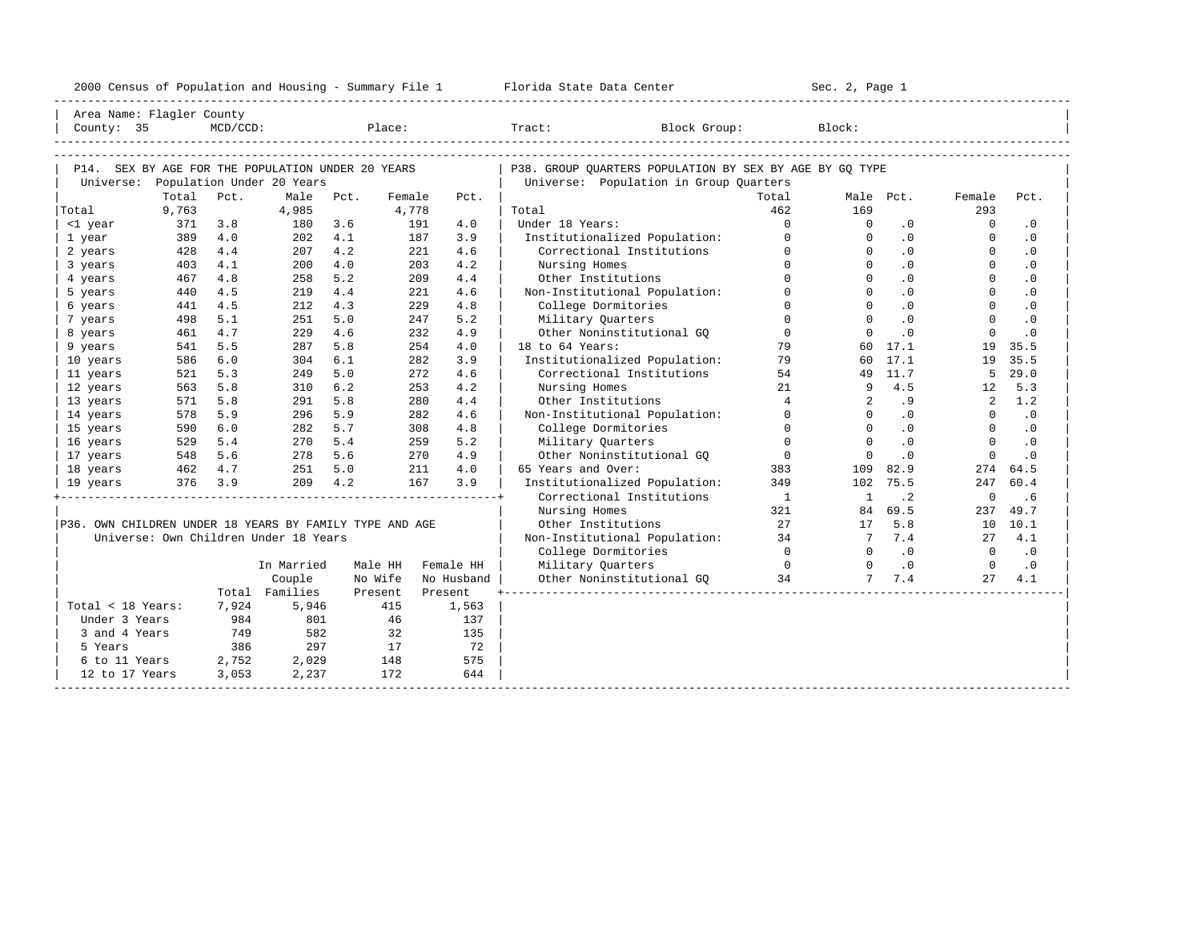| 2000<br>ensus! | and<br>Population | ---<br>Summa:<br>$-$<br>Housing | lorida<br>Data<br>otatt<br>cence. | ، م ج<br>Page<br>$3-1$ |  |
|----------------|-------------------|---------------------------------|-----------------------------------|------------------------|--|
|                |                   |                                 |                                   |                        |  |

| Area Name: Flagler County<br>Place:<br>$MCD/CCD$ :      |            |            |                                       |            |         |                   |                                                            |                 |                      |                  |                      |                             |
|---------------------------------------------------------|------------|------------|---------------------------------------|------------|---------|-------------------|------------------------------------------------------------|-----------------|----------------------|------------------|----------------------|-----------------------------|
|                                                         | County: 35 |            |                                       |            |         |                   | Tract:<br>Block Group:                                     |                 | Block:               |                  |                      |                             |
|                                                         |            |            |                                       |            |         |                   |                                                            |                 |                      |                  |                      |                             |
|                                                         |            |            |                                       |            |         |                   |                                                            |                 |                      |                  |                      |                             |
| P14. SEX BY AGE FOR THE POPULATION UNDER 20 YEARS       |            |            |                                       |            |         |                   | P38. GROUP QUARTERS POPULATION BY SEX BY AGE BY GQ TYPE    |                 |                      |                  |                      |                             |
| Universe: Population Under 20 Years                     |            |            |                                       |            |         |                   | Universe: Population in Group Quarters                     |                 |                      |                  |                      |                             |
|                                                         | Total      | Pct.       | Male                                  | Pct.       | Female  | Pct.              |                                                            | Total           |                      | Male Pct.        | Female               | Pct.                        |
| Total                                                   | 9,763      |            | 4,985                                 |            | 4,778   |                   | Total<br>Under 18 Years:                                   | 462<br>$\Omega$ | 169                  |                  | 293                  |                             |
| <1 year                                                 | 371<br>389 | 3.8        | 180                                   | 3.6        | 191     | 4.0<br>3.9        |                                                            | $\Omega$        | $\Omega$<br>$\Omega$ | $.0 \cdot$       | $\Omega$<br>$\Omega$ | $\cdot$ 0                   |
| 1 year                                                  | 428        | 4.0<br>4.4 | 202<br>207                            | 4.1<br>4.2 |         | 187<br>221<br>4.6 | Institutionalized Population:<br>Correctional Institutions | $\Omega$        | $\Omega$             | .0<br>.0         | $\Omega$             | $\cdot$ 0<br>$\cdot$ 0      |
| 2 years<br>3 years                                      | 403        | 4.1        | 200                                   | 4.0        |         | 203<br>4.2        | Nursing Homes                                              | $\Omega$        | $\Omega$             | .0               | $\Omega$             | .0                          |
| 4 years                                                 | 467        | 4.8        | 258                                   | 5.2        |         | 209<br>4.4        | Other Institutions                                         | $\Omega$        | $\Omega$             | .0               | $\Omega$             | $\cdot$ 0                   |
| 5 years                                                 | 440        | 4.5        | 219                                   | 4.4        |         | 221<br>4.6        | Non-Institutional Population:                              | $\Omega$        | $\Omega$             | .0               | $\Omega$             | $\cdot$ 0                   |
| 6 years                                                 | 441        | 4.5        | 212                                   | 4.3        |         | 229<br>4.8        | College Dormitories                                        | $\Omega$        | $\Omega$             | .0               | $\Omega$             | $\cdot$ 0                   |
| 7 years                                                 | 498        | 5.1        | 251                                   | 5.0        |         | 5.2<br>247        | Military Quarters                                          | $\Omega$        | $\Omega$             | .0               | $\Omega$             | .0                          |
| 8 years                                                 | 461        | 4.7        | 229                                   | 4.6        |         | 2.32.<br>4.9      | Other Noninstitutional GQ                                  | $\Omega$        | $\Omega$             | .0               | $\Omega$             | $\cdot$ 0                   |
| 9 years                                                 | 541        | 5.5        | 287                                   | 5.8        |         | 254<br>4.0        | 18 to 64 Years:                                            | 79              |                      | 60 17.1          | 19                   | 35.5                        |
| 10 years                                                | 586        | 6.0        | 304                                   | 6.1        |         | 282<br>3.9        | Institutionalized Population:                              | 79              |                      | 60 17.1          | 19                   | 35.5                        |
| 11 years                                                | 521        | 5.3        | 249                                   | 5.0        |         | 272<br>4.6        | Correctional Institutions                                  | 54              |                      | 49 11.7          | 5                    | 29.0                        |
| 12 years                                                | 563        | 5.8        | 310                                   | 6.2        |         | 253<br>4.2        | Nursing Homes                                              | 21              | 9                    | 4.5              | 12                   | 5.3                         |
| 13 years                                                | 571        | 5.8        | 291                                   | 5.8        |         | 280<br>4.4        | Other Institutions                                         | $\overline{4}$  | $\overline{2}$       | .9               | $\overline{2}$       | 1.2                         |
| 14 years                                                | 578        | 5.9        | 296                                   | 5.9        |         | 282<br>4.6        | Non-Institutional Population:                              | $\Omega$        | $\Omega$             | .0               | $\overline{0}$       | $\cdot$ 0                   |
| 15 years                                                | 590        | 6.0        | 282                                   | 5.7        |         | 308<br>4.8        | College Dormitories                                        | $\overline{0}$  | $\Omega$             | .0               | $\Omega$             | $\cdot$ 0                   |
| 16 years                                                | 529        | 5.4        | 270                                   | 5.4        |         | 5.2<br>259        | Military Quarters                                          | $\Omega$        | $\Omega$             | .0               | $\Omega$             | $\cdot$ 0                   |
| 17 years                                                | 548        | 5.6        | 278                                   | 5.6        |         | 270<br>4.9        | Other Noninstitutional GO                                  | $\Omega$        | $\Omega$             | $\cdot$ 0        | $\Omega$             | $\cdot$ 0                   |
| 18 years                                                | 462 4.7    |            | 251                                   | 5.0        |         | 211<br>4.0        | 65 Years and Over:                                         | 383             | 109                  | 82.9             | 274                  | 64.5                        |
| 19 years                                                |            | 376 3.9    | 209                                   | 4.2        |         | 167<br>3.9        | Institutionalized Population:                              | 349             | 102                  | 75.5             | 247                  | 60.4                        |
|                                                         |            |            |                                       |            |         |                   | Correctional Institutions                                  | $\overline{1}$  | $\mathbf{1}$         | $\cdot$ 2        | $\overline{0}$       | .6                          |
|                                                         |            |            |                                       |            |         |                   | Nursing Homes                                              | 321             | 84                   | 69.5             | 237                  | 49.7                        |
| P36. OWN CHILDREN UNDER 18 YEARS BY FAMILY TYPE AND AGE |            |            |                                       |            |         |                   | Other Institutions                                         | 2.7             | 17                   | 5.8              | 10                   | 10.1                        |
|                                                         |            |            | Universe: Own Children Under 18 Years |            |         |                   | Non-Institutional Population: 34                           |                 | 7                    | 7.4              |                      | 27, 4.1                     |
|                                                         |            |            |                                       |            |         |                   | College Dormitories                                        | $\overline{0}$  | $\Omega$             | $\overline{0}$ . | $\overline{0}$       | $\overline{\phantom{0}}$ .0 |
|                                                         |            |            | In Married                            |            | Male HH | Female HH         | $\overline{0}$<br>Military Quarters                        |                 | $\Omega$             | $\cdot$ 0        | $\overline{0}$       | $\cdot$ 0                   |
|                                                         |            |            | Couple                                |            | No Wife | No Husband        | Other Noninstitutional GQ 34                               |                 | 7                    | 7.4              | 27                   | 4.1                         |
|                                                         |            |            | Total Families                        |            | Present | Present           |                                                            |                 |                      |                  |                      |                             |
| Total < 18 Years:                                       |            | 7,924      | 5,946                                 |            | 415     | 1,563             |                                                            |                 |                      |                  |                      |                             |
| Under 3 Years                                           |            | 984        | 801                                   |            | - 46    | 137               |                                                            |                 |                      |                  |                      |                             |
| 3 and 4 Years                                           |            | 749        | 582                                   |            | 32      | 135               |                                                            |                 |                      |                  |                      |                             |
| 5 Years                                                 |            | 386        | 297                                   |            | 17      | 72                |                                                            |                 |                      |                  |                      |                             |
| 6 to 11 Years                                           |            | 2,752      | 2,029                                 |            | 148     | 575               |                                                            |                 |                      |                  |                      |                             |
| 12 to 17 Years                                          |            | 3,053      | 2,237                                 |            | 172     | 644               |                                                            |                 |                      |                  |                      |                             |
|                                                         |            |            |                                       |            |         |                   |                                                            |                 |                      |                  |                      |                             |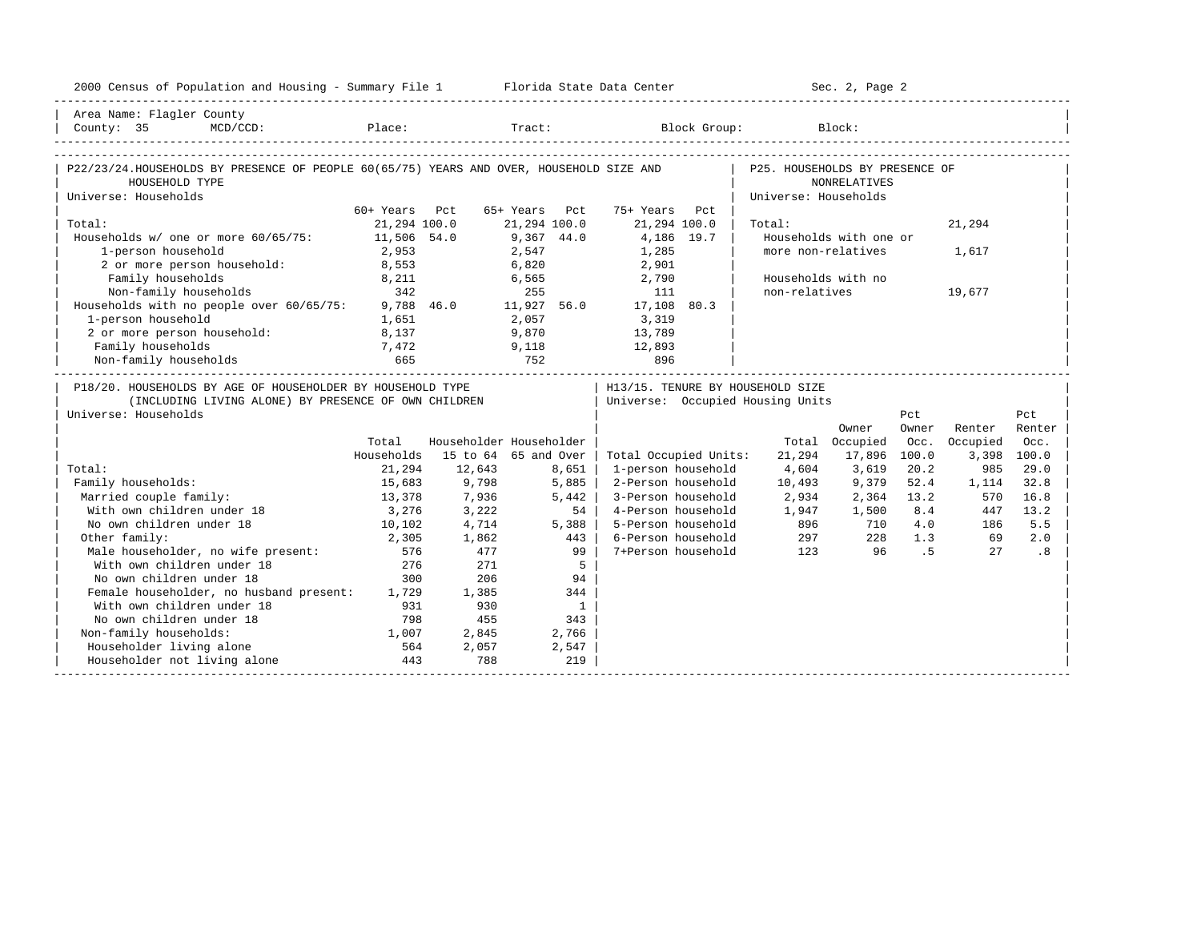| 2000 Census of Population and Housing - Summary File 1 Florida State Data Center                                                           |                                             |                         |                |                |                                   |                      | Sec. 2, Page 2         |       |          |             |
|--------------------------------------------------------------------------------------------------------------------------------------------|---------------------------------------------|-------------------------|----------------|----------------|-----------------------------------|----------------------|------------------------|-------|----------|-------------|
| Area Name: Flagler County                                                                                                                  |                                             |                         |                |                |                                   |                      |                        |       |          |             |
| County: 35<br>$MCD/CCD$ :                                                                                                                  |                                             |                         |                |                | Place: Tract: Block Group: Block: |                      |                        |       |          |             |
|                                                                                                                                            |                                             |                         |                |                |                                   |                      |                        |       |          |             |
| P22/23/24.HOUSEHOLDS BY PRESENCE OF PEOPLE 60(65/75) YEARS AND OVER, HOUSEHOLD SIZE AND   P25. HOUSEHOLDS BY PRESENCE OF<br>HOUSEHOLD TYPE |                                             |                         |                |                |                                   |                      | NONRELATIVES           |       |          |             |
| Universe: Households                                                                                                                       |                                             |                         |                |                |                                   | Universe: Households |                        |       |          |             |
|                                                                                                                                            | 60+ Years Pct                               |                         | 65+ Years Pct  |                | 75+ Years Pct                     |                      |                        |       |          |             |
| Total:                                                                                                                                     | 21,294 100.0                                |                         | 21,294 100.0   |                | 21,294 100.0                      | Total:               |                        |       | 21,294   |             |
| Households w/ one or more 60/65/75: 11,506 54.0                                                                                            |                                             |                         | $9,367$ $44.0$ |                | 4,186 19.7                        |                      | Households with one or |       |          |             |
| 1-person household                                                                                                                         | 2,953                                       |                         | 2,547          |                | 1,285                             |                      | more non-relatives     |       | 1,617    |             |
| 2 or more person household:                                                                                                                | 8,553                                       |                         | 6,820          |                | 2,901                             |                      |                        |       |          |             |
| Family households                                                                                                                          | 8,211                                       |                         |                |                | 6,565 2,790                       |                      | Households with no     |       |          |             |
| Non-family households 342 255 111<br>Households with no people over 60/65/75: 9,788 46.0 11,927 56.0 17,108 80.3                           |                                             |                         |                |                |                                   | non-relatives        |                        |       | 19,677   |             |
|                                                                                                                                            |                                             |                         |                |                |                                   |                      |                        |       |          |             |
| 1-person household                                                                                                                         | 1,651                                       |                         | 2,057          |                | 3,319                             |                      |                        |       |          |             |
| 2 or more person household: 8,137                                                                                                          |                                             | 9,870                   |                |                | 13,789                            |                      |                        |       |          |             |
| Family households                                                                                                                          | $\begin{array}{c} 7,472 \\ 665 \end{array}$ |                         |                |                | 12,893                            |                      |                        |       |          |             |
| Non-family households                                                                                                                      |                                             | $9,118$<br>$752$        |                |                | 896                               |                      |                        |       |          |             |
| P18/20. HOUSEHOLDS BY AGE OF HOUSEHOLDER BY HOUSEHOLD TYPE                                                                                 |                                             |                         |                |                | H13/15. TENURE BY HOUSEHOLD SIZE  |                      |                        |       |          |             |
| (INCLUDING LIVING ALONE) BY PRESENCE OF OWN CHILDREN                                                                                       |                                             |                         |                |                | Universe: Occupied Housing Units  |                      |                        |       |          |             |
| Universe: Households                                                                                                                       |                                             |                         |                |                |                                   |                      |                        | Pct   |          | Pct         |
|                                                                                                                                            |                                             |                         |                |                |                                   |                      | Owner                  | Owner | Renter   | Renter      |
|                                                                                                                                            | Total                                       | Householder Householder |                |                |                                   |                      | Total Occupied         | Occ.  | Occupied | Occ.        |
|                                                                                                                                            | Households                                  | 15 to 64 65 and Over    |                |                | Total Occupied Units:             | 21,294               | 17,896                 | 100.0 |          | 3,398 100.0 |
| Total:                                                                                                                                     | 21,294                                      | 12,643                  |                | 8,651          | 1-person household                | 4,604                | 3,619                  | 20.2  | 985      | 29.0        |
| Family households:                                                                                                                         | 15,683                                      | 9,798                   | 5,885          |                | 2-Person household                | 10,493               | 9,379                  | 52.4  | 1,114    | 32.8        |
| Married couple family:                                                                                                                     | 13,378                                      | 7,936                   |                | 5,442          | 3-Person household                | 2,934                | 2,364 13.2             |       | 570      | 16.8        |
| With own children under 18                                                                                                                 | 3,276                                       | 3,222                   |                | 54             | 4-Person household                | 1,947                | 1,500                  | 8.4   | 447      | 13.2        |
| No own children under 18                                                                                                                   | 10, 102                                     | 4,714                   |                | 5,388          | 5-Person household                | 896                  | 710                    | 4.0   | 186      | 5.5         |
| Other family:                                                                                                                              | 2,305                                       | 1,862                   |                | 443            | 6-Person household                | 297                  | 228                    | 1.3   | 69       | 2.0         |
| Male householder, no wife present:                                                                                                         | 576                                         | 477                     |                | 99             | 7+Person household                | 123                  | 96                     | .5    | 27       | .8          |
| With own children under 18                                                                                                                 | 276                                         | 271                     |                | 5              |                                   |                      |                        |       |          |             |
| No own children under 18                                                                                                                   | 300                                         | 206                     |                | 94             |                                   |                      |                        |       |          |             |
| Female householder, no husband present: 1,729                                                                                              |                                             | 1,385                   |                | 344            |                                   |                      |                        |       |          |             |
| With own children under 18                                                                                                                 | 931                                         | 930                     |                | $\overline{1}$ |                                   |                      |                        |       |          |             |
| No own children under 18                                                                                                                   | 798                                         | 455                     |                | 343            |                                   |                      |                        |       |          |             |
| Non-family households:                                                                                                                     | 1,007                                       | 2,845                   |                | 2,766          |                                   |                      |                        |       |          |             |
| Householder living alone                                                                                                                   | 564                                         | 2,057                   |                | 2,547          |                                   |                      |                        |       |          |             |
| Householder not living alone                                                                                                               | 443                                         | 788                     |                | 219            |                                   |                      |                        |       |          |             |
|                                                                                                                                            |                                             |                         |                |                |                                   |                      |                        |       |          |             |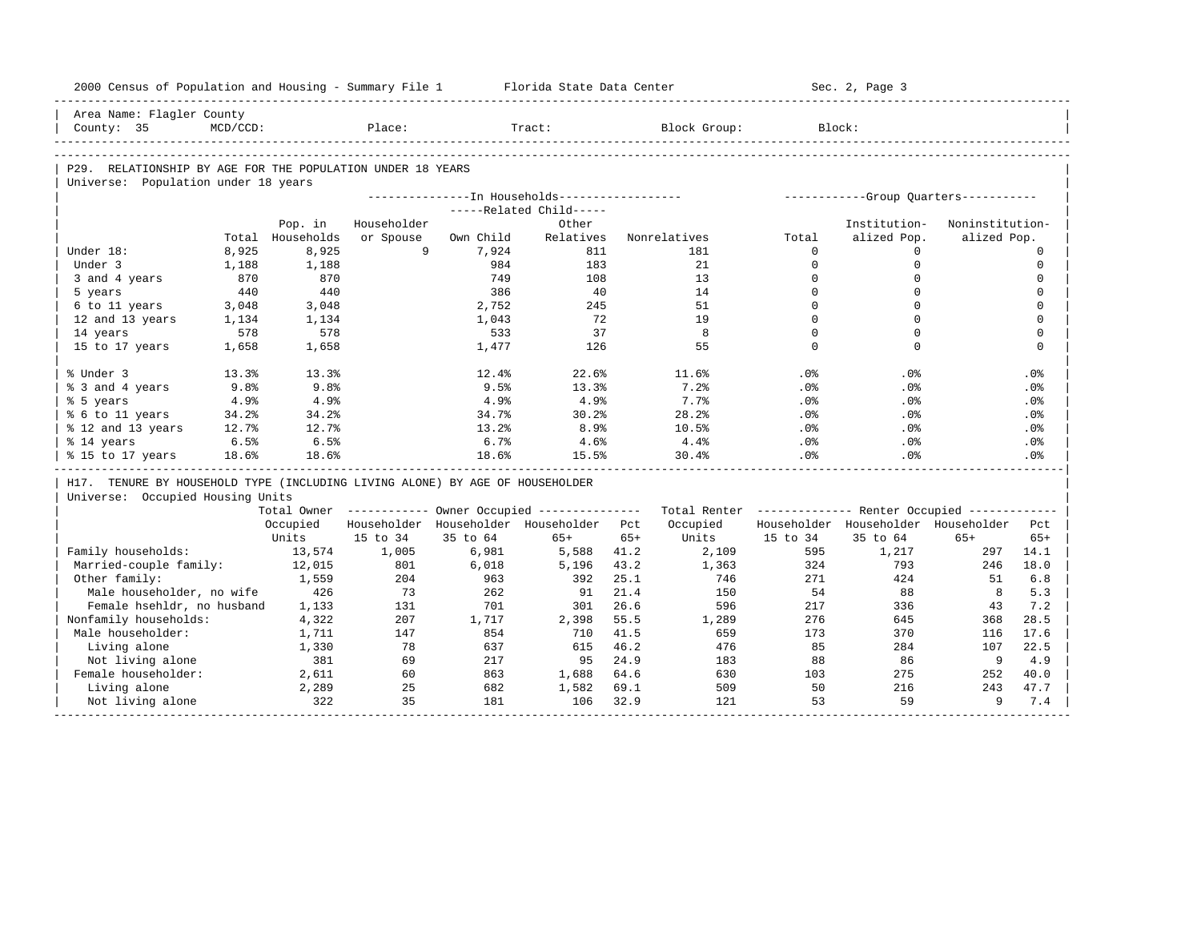| 2000 Census of Population and Housing - Summary File 1 Florida State Data Center |                |                |             |              |                                                       |       |                                                         |                         | Sec. 2, Page 3                          |                 |                         |
|----------------------------------------------------------------------------------|----------------|----------------|-------------|--------------|-------------------------------------------------------|-------|---------------------------------------------------------|-------------------------|-----------------------------------------|-----------------|-------------------------|
| Area Name: Flagler County                                                        |                |                |             |              |                                                       |       |                                                         |                         |                                         |                 |                         |
| County: 35                                                                       | $MCD/CCD$ :    |                | Place:      |              | Tract:                                                |       | Block Group:                                            |                         | Block:                                  |                 |                         |
|                                                                                  |                |                |             |              |                                                       |       |                                                         |                         |                                         |                 |                         |
| P29. RELATIONSHIP BY AGE FOR THE POPULATION UNDER 18 YEARS                       |                |                |             |              |                                                       |       |                                                         |                         |                                         |                 |                         |
| Universe: Population under 18 years                                              |                |                |             |              |                                                       |       |                                                         |                         |                                         |                 |                         |
|                                                                                  |                |                |             |              | ---------------In Households-----------------         |       |                                                         |                         | ------------Group Quarters-----------   |                 |                         |
|                                                                                  |                |                |             |              | -----Related Child-----                               |       |                                                         |                         |                                         |                 |                         |
|                                                                                  |                | Pop. in        | Householder |              | Other                                                 |       |                                                         |                         | Institution-                            | Noninstitution- |                         |
|                                                                                  | Total          | Households     | or Spouse   | Own Child    | Relatives                                             |       | Nonrelatives                                            | Total                   | alized Pop.                             | alized Pop.     |                         |
| Under 18:                                                                        | 8,925          | 8,925          | 9           | 7,924        | 811                                                   |       | 181                                                     | $\Omega$                | $\Omega$                                |                 | $\mathbf 0$             |
| Under 3                                                                          | 1,188          | 1,188          |             | 984          | 183                                                   |       | 21                                                      | $\Omega$                | $\mathbf 0$                             |                 | $\mathbf 0$             |
| 3 and 4 years                                                                    | 870            | 870            |             | 749          | 108                                                   |       | 13                                                      | $\mathbf 0$<br>$\Omega$ | $\mathbf 0$<br>$\Omega$                 |                 | $\mathbf 0$<br>$\Omega$ |
| 5 years                                                                          | 440            | 440            |             | 386<br>2,752 | 40<br>245                                             |       | 14<br>51                                                | $\Omega$                | $\Omega$                                |                 | $\mathbf 0$             |
| 6 to 11 years                                                                    | 3,048<br>1,134 | 3,048<br>1,134 |             | 1,043        | 72                                                    |       | 19                                                      | $\Omega$                | $\Omega$                                |                 | $\Omega$                |
| 12 and 13 years<br>14 years                                                      | 578            | 578            |             | 533          | 37                                                    |       | 8                                                       | $\Omega$                | $\Omega$                                |                 | $\mathbf 0$             |
| 15 to 17 years                                                                   | 1,658          | 1,658          |             | 1,477        | 126                                                   |       | 55                                                      | $\Omega$                | $\Omega$                                |                 | $\Omega$                |
|                                                                                  |                |                |             |              |                                                       |       |                                                         |                         |                                         |                 |                         |
| % Under 3                                                                        | 13.3%          | 13.3%          |             | 12.4%        | 22.6%                                                 |       | 11.6%                                                   | $.0\%$                  | $.0\%$                                  |                 | .0%                     |
| % 3 and 4 years                                                                  | 9.8%           | 9.8%           |             | 9.5%         | 13.3%                                                 |       | 7.2%                                                    | .0%                     | $.0\%$                                  |                 | .0%                     |
| % 5 years                                                                        | 4.9%           | 4.9%           |             | 4.9%         | 4.9%                                                  |       | 7.7%                                                    | .0%                     | .0%                                     |                 | .0%                     |
| % 6 to 11 years                                                                  | 34.2%          | 34.2%          |             | 34.7%        | 30.2%                                                 |       | 28.2%                                                   | $.0\%$                  | $.0\%$                                  |                 | .0%                     |
| % 12 and 13 years                                                                | 12.7%          | 12.7%          |             | 13.2%        | 8.9%                                                  |       | 10.5%                                                   | .0%                     | .0%                                     |                 | .0%                     |
| % 14 years                                                                       | 6.5%           | 6.5%           |             | 6.7%         | 4.6%                                                  |       | $4.4\%$                                                 | $.0\%$                  | $.0\%$                                  |                 | $.0\%$                  |
| % 15 to 17 years                                                                 | 18.6%          | 18.6%          |             | 18.6%        | 15.5%                                                 |       | 30.4%                                                   | .0%                     | .0%                                     |                 | .0 <sup>8</sup>         |
| H17. TENURE BY HOUSEHOLD TYPE (INCLUDING LIVING ALONE) BY AGE OF HOUSEHOLDER     |                |                |             |              |                                                       |       |                                                         |                         |                                         |                 |                         |
| Universe: Occupied Housing Units                                                 |                |                |             |              |                                                       |       |                                                         |                         |                                         |                 |                         |
|                                                                                  |                |                |             |              | Total Owner ----------- Owner Occupied -------------- |       | Total Renter ------------- Renter Occupied ------------ |                         |                                         |                 |                         |
|                                                                                  |                | Occupied       |             |              | Householder Householder Householder Pct               |       | Occupied                                                |                         | Householder Householder Householder Pct |                 |                         |
|                                                                                  |                | Units          | 15 to 34    | 35 to 64     | $65+$                                                 | $65+$ | Units                                                   | 15 to 34                | 35 to 64                                | $65+$           | $65+$                   |
| Family households:                                                               |                | 13,574         | 1,005       | 6,981        | 5,588                                                 | 41.2  | 2,109                                                   | 595                     | 1,217                                   | 297             | 14.1                    |
| Married-couple family:                                                           |                | 12,015         | 801         | 6,018        | 5,196                                                 | 43.2  | 1,363                                                   | 324                     | 793                                     | 246             | 18.0                    |
| Other family:                                                                    |                | 1,559          | 204         | 963          | 392                                                   | 25.1  | 746                                                     | 271                     | 424                                     | 51              | 6.8                     |
| Male householder, no wife                                                        |                | 426            | 73          | 262          | 91                                                    | 21.4  | 150                                                     | 54                      | 88                                      | 8               | 5.3                     |
| Female hsehldr, no husband                                                       |                | 1,133          | 131         | 701          | 301                                                   | 26.6  | 596                                                     | 217                     | 336                                     | 43              | 7.2                     |
| Nonfamily households:                                                            |                | 4,322          | 207         | 1,717        | 2,398                                                 | 55.5  | 1,289                                                   | 276                     | 645                                     | 368             | 28.5                    |
| Male householder:                                                                |                | 1,711          | 147         | 854          | 710                                                   | 41.5  | 659                                                     | 173                     | 370                                     | 116             | 17.6                    |
| Living alone                                                                     |                | 1,330          | 78          | 637          | 615                                                   | 46.2  | 476                                                     | 85                      | 284                                     | 107             | 22.5                    |
| Not living alone                                                                 |                | 381            | 69          | 217          | 95                                                    | 24.9  | 183                                                     | 88                      | 86                                      | 9               | 4.9                     |
| Female householder:                                                              |                | 2,611          | 60          | 863          | 1,688                                                 | 64.6  | 630                                                     | 103                     | 275                                     | 252             | 40.0                    |
| Living alone                                                                     |                | 2,289          | 25          | 682          | 1,582                                                 | 69.1  | 509                                                     | 50                      | 216                                     | 243             | 47.7                    |
| Not living alone                                                                 |                | 322            | 35          | 181          | 106                                                   | 32.9  | 121                                                     | 53                      | 59                                      | 9               | 7.4                     |
|                                                                                  |                |                |             |              |                                                       |       |                                                         |                         |                                         |                 |                         |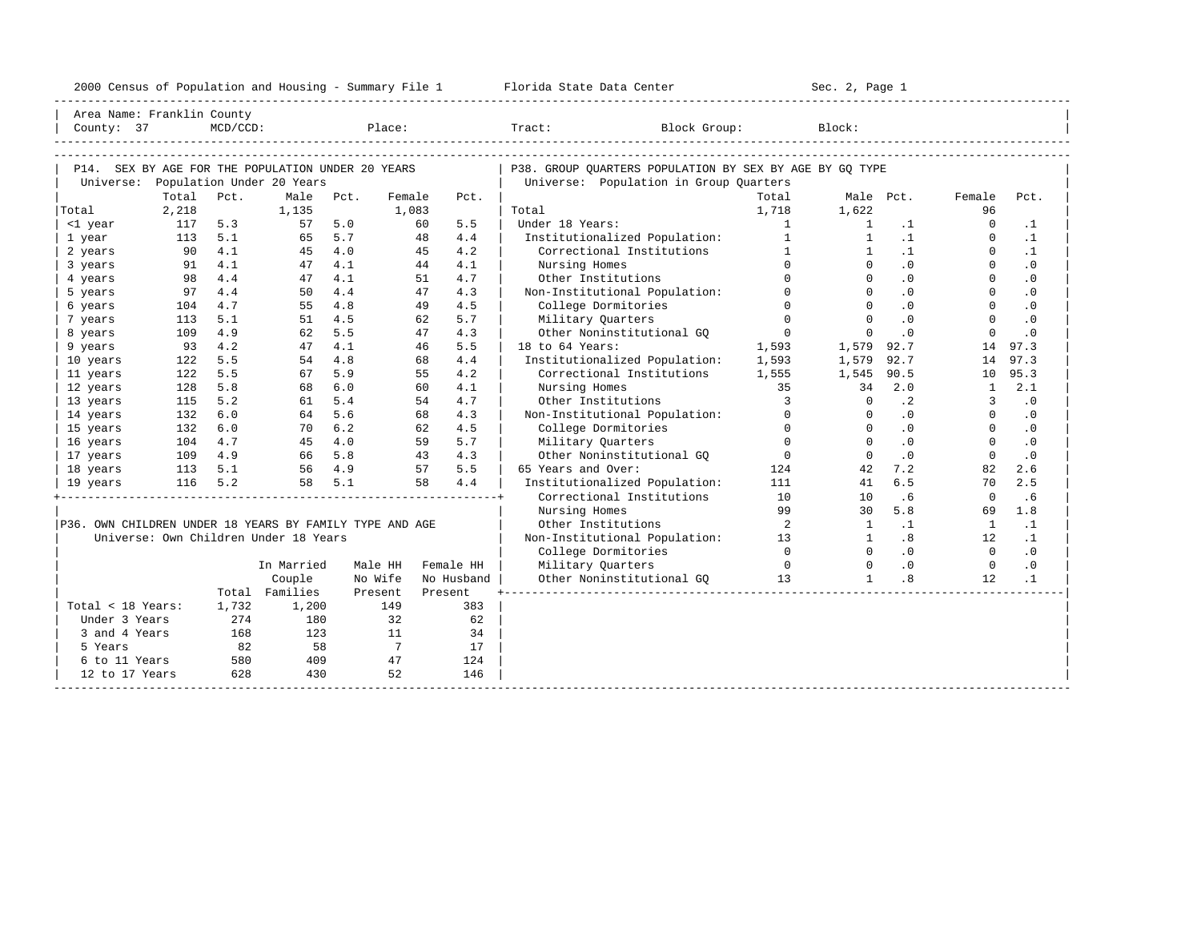|  |  |  |  | 2000 Census of Population and Housing - Summary File 1 |  |  |  |  |  |  |  |
|--|--|--|--|--------------------------------------------------------|--|--|--|--|--|--|--|
|--|--|--|--|--------------------------------------------------------|--|--|--|--|--|--|--|

| Area Name: Franklin County                              |         |              |                                                  |        |                 |                   | _____________________________                                                                                                                                                                                                                  |                   |                |                |                |                                |  |
|---------------------------------------------------------|---------|--------------|--------------------------------------------------|--------|-----------------|-------------------|------------------------------------------------------------------------------------------------------------------------------------------------------------------------------------------------------------------------------------------------|-------------------|----------------|----------------|----------------|--------------------------------|--|
| County: 37                                              |         | $MCD/CCD$ :  |                                                  |        |                 | Place:            | Tract: The Communication of the Communication of the Communication of the Communication of the Communication of the Communication of the Communication of the Communication of the Communication of the Communication of the C<br>Block Group: |                   | Block:         |                |                |                                |  |
|                                                         |         |              |                                                  |        |                 |                   |                                                                                                                                                                                                                                                |                   |                |                |                |                                |  |
|                                                         |         |              |                                                  |        |                 |                   |                                                                                                                                                                                                                                                |                   |                |                |                |                                |  |
| P14. SEX BY AGE FOR THE POPULATION UNDER 20 YEARS       |         |              |                                                  |        |                 |                   | P38. GROUP OUARTERS POPULATION BY SEX BY AGE BY GO TYPE                                                                                                                                                                                        |                   |                |                |                |                                |  |
|                                                         | Total   | Pct.         | Universe: Population Under 20 Years<br>Male Pct. |        | Female          | Pct.              | Universe: Population in Group Quarters                                                                                                                                                                                                         | Total             |                | Male Pct.      | Female         | Pct.                           |  |
| Total                                                   | 2,218   |              | 1,135                                            |        | 1,083           |                   | Total                                                                                                                                                                                                                                          | 1,718             | 1,622          |                | 96             |                                |  |
| <1 year                                                 | 117 5.3 |              |                                                  | 57 5.0 | 60              | 5.5               | Under 18 Years:                                                                                                                                                                                                                                | $\overline{1}$    | $\overline{1}$ | $\cdot$ 1      | $\Omega$       | $\cdot$ 1                      |  |
| 1 year                                                  | 113 5.1 |              |                                                  | 65 5.7 | 48              | 4.4               | Institutionalized Population:                                                                                                                                                                                                                  | $1 \qquad \qquad$ | $\mathbf{1}$   | $\cdot$ 1      | $\overline{0}$ | $\cdot$ 1                      |  |
| 2 years                                                 | 90 4.1  |              |                                                  | 45 4.0 | 45              | 4.2               | Correctional Institutions                                                                                                                                                                                                                      | 1                 | $\mathbf{1}$   | $\cdot$ 1      | $\Omega$       | $\cdot$ 1                      |  |
| 3 years                                                 | 91      | 4.1          | 47                                               | 4.1    | 44              | 4.1               | Nursing Homes                                                                                                                                                                                                                                  | $\cap$            | $\Omega$       | .0             | $\Omega$       | $\cdot$ 0                      |  |
| 4 years                                                 | 98 4.4  |              | 47 4.1                                           |        | 51              | 4.7               | Other Institutions                                                                                                                                                                                                                             | $\Omega$          | $\Omega$       | .0             | $\Omega$       | $\cdot$ 0                      |  |
| 5 years                                                 | 97 4.4  |              |                                                  | 50 4.4 | 47              | 4.3               | Non-Institutional Population:                                                                                                                                                                                                                  | $\Omega$          | $\Omega$       | .0             | $\Omega$       | $\cdot$ 0                      |  |
| 6 years                                                 | 104     | 4.7          |                                                  | 55 4.8 | 49              | 4.5               | College Dormitories                                                                                                                                                                                                                            | $\Omega$          | $\Omega$       | $\cdot$ 0      | $\Omega$       | $\cdot$ 0                      |  |
| 7 years                                                 | 113     | 5.1          | 51                                               | 4.5    | 62              | 5.7               | Military Quarters                                                                                                                                                                                                                              | $\Omega$          | $\Omega$       | .0             | $\Omega$       | $\cdot$ 0                      |  |
| 8 years                                                 | 109     | 4.9          | 62                                               | 5.5    | 47              | 4.3               | Other Noninstitutional GO                                                                                                                                                                                                                      | $\overline{0}$    | $\Omega$       | .0             | $\Omega$       | $\cdot$ 0                      |  |
| 9 years                                                 | 93      | 4.2          | 47                                               | 4.1    | 46              | 5.5               | 18 to 64 Years:                                                                                                                                                                                                                                | 1,593             | 1,579 92.7     |                | 14             | 97.3                           |  |
| 10 years                                                | 122     | 5.5          | 54                                               | 4.8    | 68              | 4.4               | Institutionalized Population:                                                                                                                                                                                                                  | 1,593             | 1,579          | 92.7           | 14             | 97.3                           |  |
| 11 years                                                | 122     | 5.5          | 67                                               | 5.9    | 55              | 4.2               | Correctional Institutions                                                                                                                                                                                                                      | 1,555             | 1,545          | 90.5           | 10             | 95.3                           |  |
| 12 years                                                | 128     | 5.8          |                                                  | 68 6.0 | 60              | 4.1               | Nursing Homes                                                                                                                                                                                                                                  | 35                | 34             | 2.0            | $\overline{1}$ | 2.1                            |  |
| 13 years                                                | 115     | 5.2          |                                                  | 61 5.4 | 54              | 4.7               | Other Institutions                                                                                                                                                                                                                             | $\mathcal{L}$     | $\Omega$       | $\cdot$ 2      | 3              | $\cdot$ 0                      |  |
| 14 years                                                | 132     | 6.0          |                                                  | 64 5.6 | 68              | 4.3               | Non-Institutional Population:                                                                                                                                                                                                                  | $\Omega$          | $\Omega$       | .0             | $\Omega$       | $\cdot$ 0                      |  |
| 15 years                                                | 132     | 6.0          |                                                  | 70 6.2 | 62              | 4.5               | College Dormitories                                                                                                                                                                                                                            | $\Omega$          | $\Omega$       | $\cdot$ 0      |                | $0 \qquad \qquad$<br>$\cdot$ 0 |  |
| 16 years                                                |         | 104 4.7      | 45 4.0                                           |        | 59              | 5.7               | Military Quarters                                                                                                                                                                                                                              | $\Omega$          | $\Omega$       | .0             | $\Omega$       | $\cdot$ 0                      |  |
| 17 years                                                | 109 4.9 |              | 66 5.8                                           |        |                 | 4.3<br>43         | Other Noninstitutional GQ 0                                                                                                                                                                                                                    |                   | $\overline{0}$ | .0             | $\Omega$       | $\cdot$ 0                      |  |
| 18 years                                                | 113 5.1 |              | $56$ $4.9$<br>$58$ $5.1$                         |        | 57              | 5.5               | 65 Years and Over:                                                                                                                                                                                                                             | 124               | 42             | 7.2            | 82             | 2.6                            |  |
| 19 years                                                | 116 5.2 |              |                                                  | 58 5.1 | 58              | 4.4               | Institutionalized Population:                                                                                                                                                                                                                  | 111               | 41             | 6.5            | 70             | 2.5                            |  |
|                                                         |         |              |                                                  |        |                 |                   | Correctional Institutions                                                                                                                                                                                                                      | 10                | 10             | .6             | $\Omega$       | .6                             |  |
|                                                         |         |              |                                                  |        |                 |                   | Nursing Homes                                                                                                                                                                                                                                  | 99                | 30             | 5.8            | 69             | 1.8                            |  |
| P36. OWN CHILDREN UNDER 18 YEARS BY FAMILY TYPE AND AGE |         |              |                                                  |        |                 |                   | Other Institutions                                                                                                                                                                                                                             | $\overline{2}$    | $\mathbf{1}$   | $\ldots$ 1     | $\overline{1}$ | $\cdot$ 1                      |  |
|                                                         |         |              | Universe: Own Children Under 18 Years            |        |                 |                   | Non-Institutional Population: 13                                                                                                                                                                                                               |                   | <sup>1</sup>   | .8             | 12             | $\cdot$ 1                      |  |
|                                                         |         |              |                                                  |        |                 |                   | College Dormitories                                                                                                                                                                                                                            | $\overline{0}$    | $\overline{0}$ | $\cdot$ 0      | $\bigcirc$     | $\boldsymbol{\cdot}$ 0         |  |
|                                                         |         |              | In Married                                       |        |                 | Male HH Female HH | Military Quarters                                                                                                                                                                                                                              | $\overline{0}$    | $\overline{0}$ | $\overline{0}$ | $\overline{0}$ | $\cdot$ 0                      |  |
|                                                         |         |              | Couple                                           |        | No Wife         | No Husband        | Other Noninstitutional GQ 13                                                                                                                                                                                                                   |                   | 1              | .8             | 12             | $\cdot$ 1                      |  |
|                                                         |         |              | Total Families                                   |        | Present         | Present           |                                                                                                                                                                                                                                                |                   |                |                |                |                                |  |
| Total < 18 Years:<br>Under 3 Years                      |         | 1,732<br>274 | 1,200<br>180                                     |        | 149             | 383<br>62         |                                                                                                                                                                                                                                                |                   |                |                |                |                                |  |
| 3 and 4 Years                                           |         |              |                                                  |        | 32<br>11        |                   |                                                                                                                                                                                                                                                |                   |                |                |                |                                |  |
| 5 Years                                                 |         | 168<br>82    | 123<br>58                                        |        | $7\overline{7}$ | 34<br>17          |                                                                                                                                                                                                                                                |                   |                |                |                |                                |  |
| 6 to 11 Years                                           |         | 580          | 409                                              |        | 47              | 124               |                                                                                                                                                                                                                                                |                   |                |                |                |                                |  |
| 12 to 17 Years                                          |         | 628          | 430                                              |        | 52              | 146               |                                                                                                                                                                                                                                                |                   |                |                |                |                                |  |
|                                                         |         |              |                                                  |        |                 |                   |                                                                                                                                                                                                                                                |                   |                |                |                |                                |  |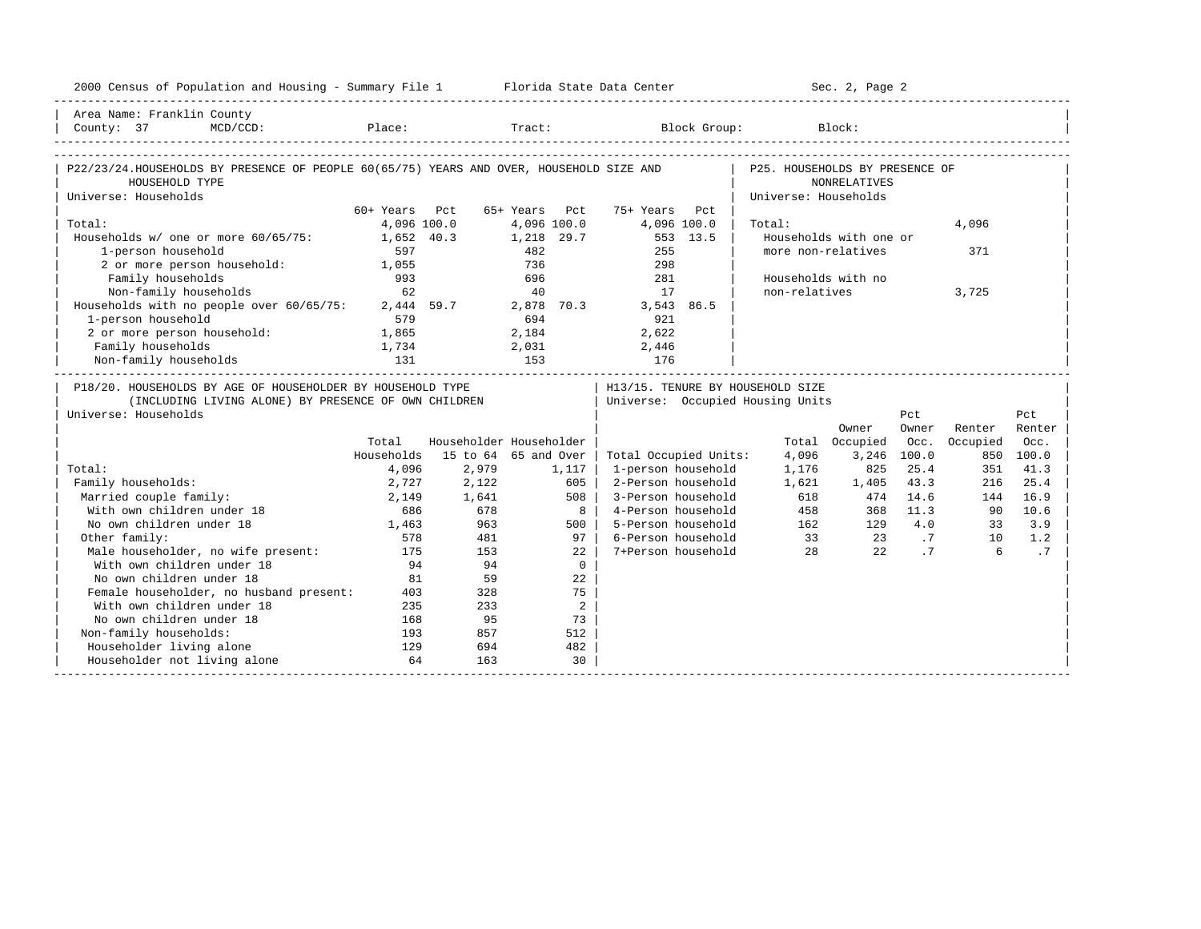| 2000 Census of Population and Housing - Summary File 1 Florida State Data Center                                                           |                                             |       |                         |                                   |                      | Sec. 2, Page 2         |             |          |        |
|--------------------------------------------------------------------------------------------------------------------------------------------|---------------------------------------------|-------|-------------------------|-----------------------------------|----------------------|------------------------|-------------|----------|--------|
| Area Name: Franklin County                                                                                                                 |                                             |       |                         |                                   |                      |                        |             |          |        |
| County: 37<br>$MCD / CCD$ :                                                                                                                |                                             |       |                         | Place: Tract: Block Group: Block: |                      |                        |             |          |        |
|                                                                                                                                            |                                             |       |                         |                                   |                      |                        |             |          |        |
| P22/23/24.HOUSEHOLDS BY PRESENCE OF PEOPLE 60(65/75) YEARS AND OVER, HOUSEHOLD SIZE AND   P25. HOUSEHOLDS BY PRESENCE OF<br>HOUSEHOLD TYPE |                                             |       |                         |                                   |                      | NONRELATIVES           |             |          |        |
| Universe: Households                                                                                                                       |                                             |       |                         |                                   | Universe: Households |                        |             |          |        |
|                                                                                                                                            | 60+ Years Pct                               |       |                         | 65+ Years Pct 75+ Years Pct       |                      |                        |             |          |        |
| Total:                                                                                                                                     | 4,096 100.0                                 |       | 4,096 100.0             | 4,096 100.0                       | Total:               |                        |             | 4,096    |        |
| Households w/ one or more 60/65/75: 1,652 40.3 1,218 29.7                                                                                  |                                             |       |                         | 553 13.5                          |                      | Households with one or |             |          |        |
| 1-person household                                                                                                                         | 597                                         |       | 482<br>736              | 255                               |                      | more non-relatives     |             | 371      |        |
| 2 or more person household:                                                                                                                | 1,055                                       |       |                         | 298                               |                      |                        |             |          |        |
| Family households                                                                                                                          | 993                                         |       | 696                     | 281                               |                      | Households with no     |             |          |        |
| Non-family households                                                                                                                      | 62                                          |       | 40                      | 17                                | non-relatives        |                        |             | 3,725    |        |
| Non-Lamily households<br>Households with no people over 60/65/75: 2,444 59.7                                                               |                                             |       |                         | 2,878 70.3 3,543 86.5             |                      |                        |             |          |        |
| 1-person household                                                                                                                         | 579                                         |       | 694                     | 921                               |                      |                        |             |          |        |
| 2 or more person household: 1,865                                                                                                          |                                             |       |                         | 2, 184 2, 622                     |                      |                        |             |          |        |
| Family households                                                                                                                          | $\begin{array}{c} 1,734 \\ 131 \end{array}$ |       | $2,031$<br>153          | 2,446                             |                      |                        |             |          |        |
| Non-family households                                                                                                                      |                                             |       |                         | 176                               |                      |                        |             |          |        |
| P18/20. HOUSEHOLDS BY AGE OF HOUSEHOLDER BY HOUSEHOLD TYPE                                                                                 |                                             |       |                         | H13/15. TENURE BY HOUSEHOLD SIZE  |                      |                        |             |          |        |
| (INCLUDING LIVING ALONE) BY PRESENCE OF OWN CHILDREN                                                                                       |                                             |       |                         | Universe: Occupied Housing Units  |                      |                        |             |          |        |
| Universe: Households                                                                                                                       |                                             |       |                         |                                   |                      |                        | Pct         |          | Pct    |
|                                                                                                                                            |                                             |       |                         |                                   |                      | Owner                  | Owner       | Renter   | Renter |
|                                                                                                                                            | Total                                       |       | Householder Householder |                                   |                      | Total Occupied         | Occ.        | Occupied | Occ.   |
|                                                                                                                                            | Households                                  |       | 15 to 64 65 and Over    | Total Occupied Units:             | 4,096                |                        | 3,246 100.0 | 850      | 100.0  |
| Total:                                                                                                                                     | 4,096                                       | 2,979 | 1,117                   | 1-person household                | 1,176                | 825                    | 25.4        | 351      | 41.3   |
| Family households:                                                                                                                         | 2,727                                       | 2,122 | 605                     | 2-Person household                | 1,621                | 1,405                  | 43.3        | 216      | 25.4   |
| Married couple family:                                                                                                                     | 2,149                                       | 1,641 | 508                     | 3-Person household                | 618                  | 474                    | 14.6        | 144      | 16.9   |
| With own children under 18                                                                                                                 | 686                                         | 678   | 8                       | 4-Person household                |                      | 458                    | 368 11.3    | 90       | 10.6   |
| No own children under 18                                                                                                                   | 1,463                                       | 963   | 500                     | 5-Person household                |                      | 162<br>129             | 4.0         | 33       | 3.9    |
| Other family:                                                                                                                              | 578                                         | 481   | $97 \mid$               | 6-Person household                |                      | 33 23 .7               |             | 10       | 1.2    |
| Male householder, no wife present:                                                                                                         | 175                                         | 153   | 22                      | 7+Person household                | 28                   | 22                     | .7          | 6        | .7     |
| With own children under 18                                                                                                                 | 94                                          | 94    | $\Omega$                |                                   |                      |                        |             |          |        |
| No own children under 18                                                                                                                   | 81                                          | 59    | 22                      |                                   |                      |                        |             |          |        |
| Female householder, no husband present:                                                                                                    | 403                                         | 328   | 75                      |                                   |                      |                        |             |          |        |
| With own children under 18                                                                                                                 | 235                                         | 233   | 2                       |                                   |                      |                        |             |          |        |
| No own children under 18                                                                                                                   | 168                                         | 95    | 73                      |                                   |                      |                        |             |          |        |
| Non-family households:                                                                                                                     | 193                                         | 857   | 512                     |                                   |                      |                        |             |          |        |
| Householder living alone                                                                                                                   | 129                                         | 694   | 482                     |                                   |                      |                        |             |          |        |
| Householder not living alone                                                                                                               | 64                                          | 163   | 30                      |                                   |                      |                        |             |          |        |
|                                                                                                                                            |                                             |       |                         |                                   |                      |                        |             |          |        |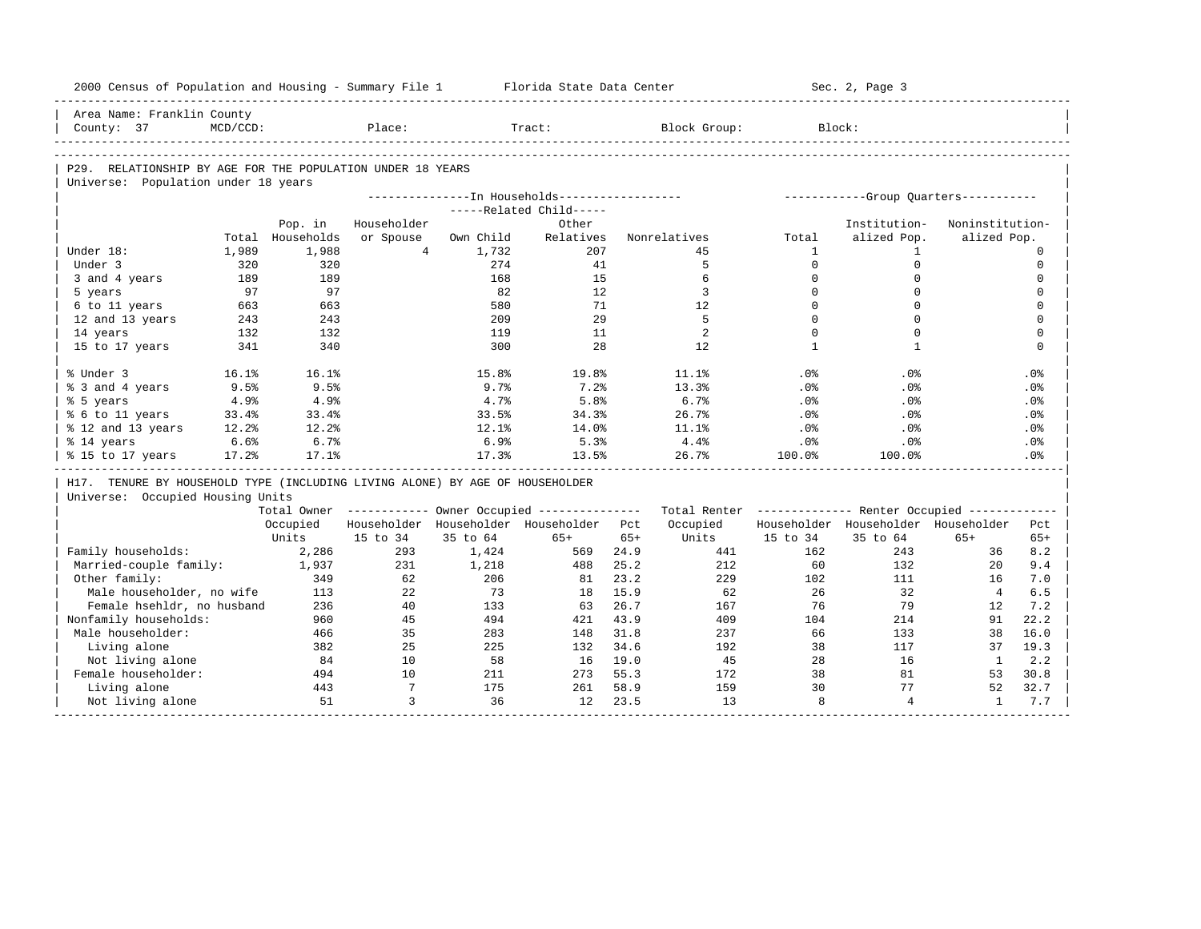| 2000 Census of Population and Housing - Summary File 1<br>Area Name: Franklin County |          |                  |                      |           | Florida State Data Center                             |              |                                                         |              | Sec. 2, Page 3                       |                    |              |
|--------------------------------------------------------------------------------------|----------|------------------|----------------------|-----------|-------------------------------------------------------|--------------|---------------------------------------------------------|--------------|--------------------------------------|--------------------|--------------|
|                                                                                      | MCD/CCD: |                  | Place:               |           | Tract:                                                |              |                                                         |              | Block:                               |                    |              |
| County: 37                                                                           |          |                  |                      |           |                                                       |              | Block Group:                                            |              |                                      |                    |              |
|                                                                                      |          |                  |                      |           |                                                       |              |                                                         |              |                                      |                    |              |
| P29. RELATIONSHIP BY AGE FOR THE POPULATION UNDER 18 YEARS                           |          |                  |                      |           |                                                       |              |                                                         |              |                                      |                    |              |
| Universe: Population under 18 years                                                  |          |                  |                      |           | ---------------In Households-----------------         |              |                                                         |              |                                      |                    |              |
|                                                                                      |          |                  |                      |           | -----Related Child-----                               |              |                                                         |              | -----------Group Ouarters----------- |                    |              |
|                                                                                      |          | Pop. in          | Householder          |           | Other                                                 |              |                                                         |              | Institution-                         | Noninstitution-    |              |
|                                                                                      |          | Total Households | or Spouse            | Own Child | Relatives                                             |              | Nonrelatives                                            | Total        | alized Pop.                          | alized Pop.        |              |
| Under 18:                                                                            | 1,989    | 1,988            | $\overline{4}$       | 1,732     | 207                                                   |              | 45                                                      | $\mathbf{1}$ | $\mathbf{1}$                         |                    | $\mathbf 0$  |
| Under 3                                                                              | 320      | 320              |                      | 274       | 41                                                    |              | 5                                                       | $\Omega$     | $\mathbf 0$                          |                    | $\mathbf 0$  |
| 3 and 4 years                                                                        | 189      | 189              |                      | 168       | 15                                                    |              | 6                                                       | $\mathbf 0$  | $\mathbf 0$                          |                    | $\mathsf{O}$ |
| 5 years                                                                              | 97       | 97               |                      | 82        | 12                                                    |              | 3                                                       | $\Omega$     | $\Omega$                             |                    | $\mathbf 0$  |
| 6 to 11 years                                                                        | 663      | 663              |                      | 580       | 71                                                    |              | 12                                                      | $\Omega$     | $\Omega$                             |                    | $\mathbf 0$  |
| 12 and 13 years                                                                      | 243      | 243              |                      | 209       | 29                                                    |              | 5                                                       | $\Omega$     | $\Omega$                             |                    | $\mathbf 0$  |
| 14 years                                                                             | 132      | 132              |                      | 119       | 11                                                    |              | 2                                                       | $\mathbf 0$  | $\Omega$                             |                    | $\mathbf 0$  |
| 15 to 17 years                                                                       | 341      | 340              |                      | 300       | 28                                                    |              | 12                                                      | $\mathbf{1}$ | $\mathbf{1}$                         |                    | $\mathbf 0$  |
|                                                                                      |          |                  |                      |           |                                                       |              |                                                         |              |                                      |                    |              |
| % Under 3                                                                            | 16.1%    | 16.1%            |                      | 15.8%     | 19.8%                                                 |              | 11.1%                                                   | .0%          | .0%                                  |                    | .0%          |
| % 3 and 4 years                                                                      | 9.5%     | 9.5%             |                      | 9.7%      | 7.2%                                                  |              | 13.3%                                                   | .0%          | .0%                                  |                    | .0%          |
| % 5 years                                                                            | 4.9%     | 4.9%             |                      | 4.7%      | 5.8%                                                  |              | 6.7%                                                    | .0%          | .0%                                  |                    | .0%          |
| % 6 to 11 years                                                                      | 33.4%    | 33.4%            |                      | 33.5%     | 34.3%                                                 |              | 26.7%                                                   | .0%          | .0%                                  |                    | .0%          |
| % 12 and 13 years                                                                    | 12.2%    | 12.2%            |                      | 12.1%     | 14.0%                                                 |              | 11.1%                                                   | $.0\%$       | .0%                                  |                    | .0%          |
| % 14 years                                                                           | 6.6%     | 6.7%             |                      | 6.9%      | 5.3%                                                  |              | 4.4%                                                    | $.0\%$       | $.0\%$                               |                    | $.0\%$       |
| % 15 to 17 years                                                                     | 17.2%    | 17.1%            |                      | 17.3%     | 13.5%                                                 |              | 26.7%                                                   | $100.0$ %    | 100.0%                               |                    | .0%          |
|                                                                                      |          |                  |                      |           |                                                       |              |                                                         |              |                                      |                    |              |
| H17. TENURE BY HOUSEHOLD TYPE (INCLUDING LIVING ALONE) BY AGE OF HOUSEHOLDER         |          |                  |                      |           |                                                       |              |                                                         |              |                                      |                    |              |
| Universe: Occupied Housing Units                                                     |          |                  |                      |           |                                                       |              |                                                         |              |                                      |                    |              |
|                                                                                      |          |                  |                      |           | Total Owner ----------- Owner Occupied -------------- |              | Total Renter ------------- Renter Occupied ------------ |              |                                      |                    |              |
|                                                                                      |          | Occupied         |                      |           | Householder Householder Householder Pct               |              | Occupied                                                |              | Householder Householder Householder  |                    | Pct          |
|                                                                                      |          | Units            | 15 to 34             | 35 to 64  | $65+$                                                 | $65+$        | Units                                                   | 15 to 34     | 35 to 64                             | $65+$              | $65+$        |
| Family households:                                                                   |          | 2,286            | 293                  | 1,424     | 569                                                   | 24.9         | 441                                                     | 162          | 243                                  | 36                 | 8.2          |
| Married-couple family:                                                               |          | 1,937            | 231                  | 1,218     | 488                                                   | 25.2         | 212                                                     | 60           | 132                                  | 20                 | 9.4          |
| Other family:                                                                        |          | 349              | 62                   | 206       | 81                                                    | 23.2         | 229                                                     | 102          | 111                                  | 16                 | 7.0          |
| Male householder, no wife                                                            |          | 113              | 22                   | 73        | 18                                                    | 15.9         | 62                                                      | 26           | 32                                   | $\overline{4}$     | 6.5          |
| Female hsehldr, no husband                                                           |          | 236              | 40                   | 133       | 63                                                    | 26.7         | 167                                                     | 76           | 79                                   | 12                 | 7.2          |
| Nonfamily households:                                                                |          | 960              | 45                   | 494       | 421                                                   | 43.9         | 409                                                     | 104          | 214                                  | 91                 | 22.2         |
| Male householder:                                                                    |          | 466              | 35                   | 283       | 148                                                   | 31.8         | 237                                                     | 66           | 133                                  | 38                 | 16.0         |
|                                                                                      |          | 382              | 25                   | 225       | 132                                                   | 34.6         | 192                                                     | 38           | 117                                  | 37                 | 19.3         |
| Living alone                                                                         |          |                  | 10                   | 58        | 16                                                    | 19.0         | 45                                                      | 28           | 16                                   | $\mathbf{1}$       | 2.2          |
| Not living alone                                                                     |          | 84               |                      |           |                                                       |              |                                                         |              |                                      |                    | 30.8         |
| Female householder:                                                                  |          | 494              | 10                   | 211       | 273                                                   | 55.3         | 172                                                     | 38           | 81                                   | 53                 |              |
| Living alone<br>Not living alone                                                     |          | 443<br>51        | $7\overline{ }$<br>3 | 175<br>36 | 261<br>12                                             | 58.9<br>23.5 | 159<br>13                                               | 30<br>8      | 77<br>$\overline{4}$                 | 52<br>$\mathbf{1}$ | 32.7<br>7.7  |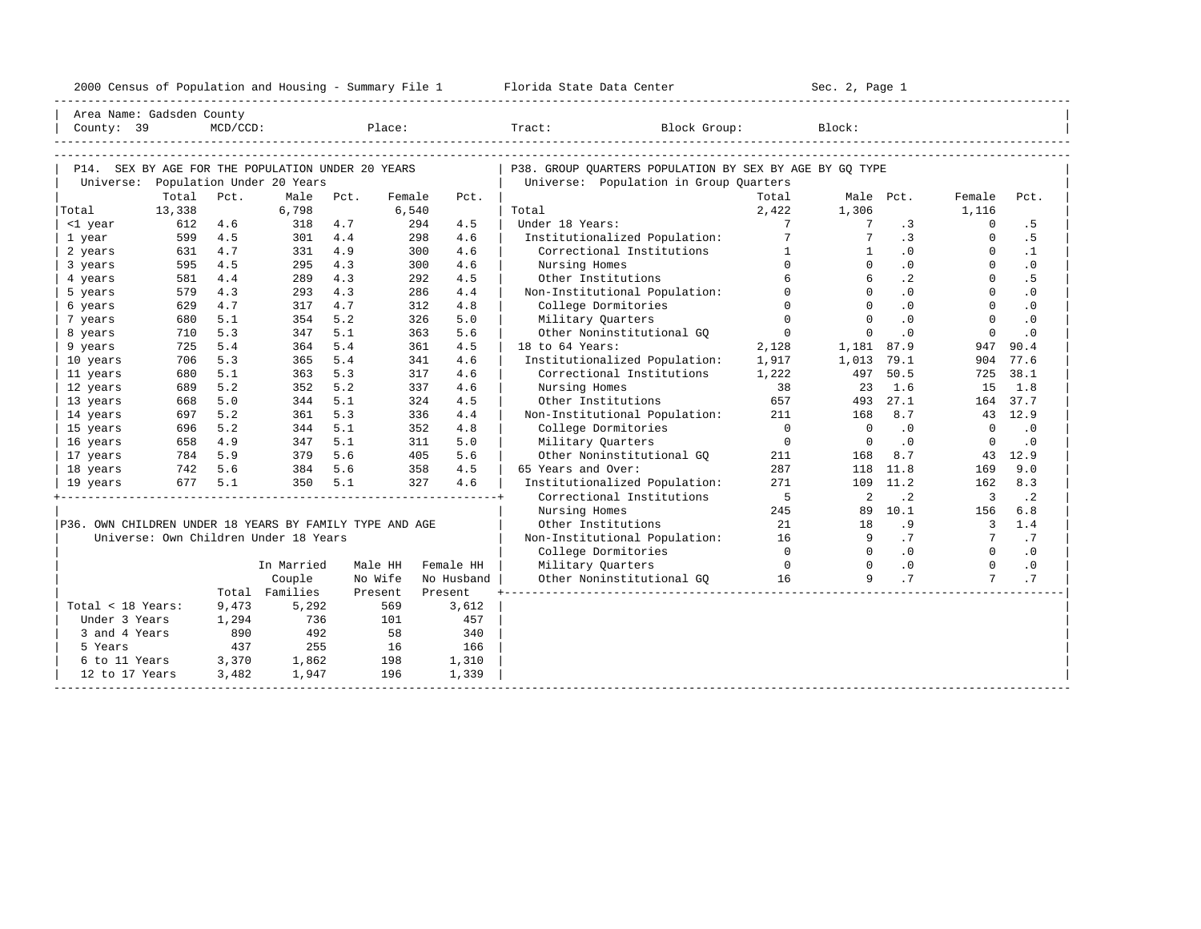|  |  |  | 2000 Census of Population and Housing - Summary File 1 |  |  |  |  |  |  |  |
|--|--|--|--------------------------------------------------------|--|--|--|--|--|--|--|
|--|--|--|--------------------------------------------------------|--|--|--|--|--|--|--|

| Area Name: Gadsden County                               |         |             |                                                   |     |                |                   |                            |                                                         |                |                                                   |                            |                         |           |  |
|---------------------------------------------------------|---------|-------------|---------------------------------------------------|-----|----------------|-------------------|----------------------------|---------------------------------------------------------|----------------|---------------------------------------------------|----------------------------|-------------------------|-----------|--|
| County: 39                                              |         | $MCD/CCD$ : |                                                   |     |                |                   | Place: Tract: Block Group: |                                                         |                | Block:                                            |                            |                         |           |  |
|                                                         |         |             |                                                   |     |                |                   |                            |                                                         |                |                                                   |                            |                         |           |  |
|                                                         |         |             |                                                   |     |                |                   |                            |                                                         |                |                                                   |                            |                         |           |  |
|                                                         |         |             | P14. SEX BY AGE FOR THE POPULATION UNDER 20 YEARS |     |                |                   |                            | P38. GROUP OUARTERS POPULATION BY SEX BY AGE BY GO TYPE |                |                                                   |                            |                         |           |  |
|                                                         | Total   | Pct.        | Universe: Population Under 20 Years<br>Male Pct.  |     | Female         |                   |                            | Universe: Population in Group Quarters                  | Total          |                                                   | Male Pct.                  | Female                  | Pct.      |  |
| Total                                                   | 13,338  |             | 6,798                                             |     | 6,540          | Pct.              | Total                      |                                                         | 2,422          | 1,306                                             |                            | 1,116                   |           |  |
| <1 year                                                 | 612     | 4.6         | 318                                               | 4.7 |                | 294<br>4.5        | Under 18 Years:            |                                                         | $7^{\circ}$    | 7                                                 | .3                         | $\Omega$                | .5        |  |
| 1 year                                                  | 599     | 4.5         | $301 \t 4.4$                                      |     |                | 4.6<br>298        |                            | Institutionalized Population:                           | 7              | $7^{\circ}$                                       | $\cdot$ 3                  | $\overline{0}$          | . 5       |  |
| 2 years                                                 | 631     | 4.7         | 331 4.9                                           |     |                | 300<br>4.6        |                            | Correctional Institutions                               | 1              | $\frac{1}{2}$                                     | $\cdot$ 0                  | $\Omega$                | $\cdot$ 1 |  |
| 3 years                                                 | 595     | 4.5         | 295                                               | 4.3 |                | 300<br>4.6        | Nursing Homes              |                                                         | $\cap$         | $\Omega$                                          | $\cdot$ 0                  | $\Omega$                | $\cdot$ 0 |  |
| 4 years                                                 | 581     | 4.4         | 289                                               | 4.3 |                | 292<br>4.5        | Other Institutions         |                                                         | 6              | 6                                                 | $\cdot$ 2                  | $\Omega$                | . 5       |  |
| 5 years                                                 | 579     | 4.3         | 293                                               | 4.3 |                | 286<br>4.4        |                            | Non-Institutional Population:                           | $\Omega$       | $\Omega$                                          | $\cdot$ 0                  | $\Omega$                | $\cdot$ 0 |  |
| 6 years                                                 | 629     | 4.7         | 317                                               | 4.7 |                | 312<br>4.8        | College Dormitories        |                                                         | $\Omega$       | $\Omega$                                          | $\overline{\phantom{0}}$ . | $\Omega$                | $\cdot$ 0 |  |
| 7 years                                                 | 680     | 5.1         | 354                                               | 5.2 |                | 326<br>5.0        | Military Quarters          |                                                         | $\Omega$       | $\overline{0}$                                    | .0                         | $\Omega$                | $\cdot$ 0 |  |
| 8 years                                                 | 710     | 5.3         | 347                                               | 5.1 |                | 363<br>5.6        |                            | Other Noninstitutional GO                               | $\overline{0}$ | $\Omega$                                          | $\cdot$ 0                  | $\Omega$                | $\cdot$ 0 |  |
| 9 years                                                 | 725     | 5.4         | 364                                               | 5.4 |                | 361<br>4.5        | 18 to 64 Years:            |                                                         | 2,128          | 1,181 87.9                                        |                            | 947                     | 90.4      |  |
| 10 years                                                | 706     | 5.3         | 365                                               | 5.4 |                | 341<br>4.6        |                            | Institutionalized Population:                           | 1,917          | 1,013 79.1                                        |                            |                         | 904 77.6  |  |
| 11 years                                                | 680     | 5.1         | 363                                               | 5.3 |                | 317<br>4.6        |                            | Correctional Institutions                               | 1,222          | 497                                               | 50.5                       | 725                     | 38.1      |  |
| 12 years                                                | 689     | 5.2         | 352                                               | 5.2 |                | 337<br>4.6        | Nursing Homes              |                                                         | 38             | 23                                                | 1.6                        | 15                      | 1.8       |  |
| 13 years                                                | 668     | 5.0         | 344                                               | 5.1 |                | 4.5<br>324        | Other Institutions         |                                                         | 657            | 493                                               | 27.1                       |                         | 164 37.7  |  |
| 14 years                                                | 697     | 5.2         | 361                                               | 5.3 |                | 336<br>4.4        |                            | Non-Institutional Population:                           | 211            | 168                                               | 8.7                        |                         | 43 12.9   |  |
| 15 years                                                | 696     | 5.2         | 344 5.1                                           |     |                | 352<br>4.8        | College Dormitories        |                                                         | $\overline{0}$ | $\overline{0}$                                    | .0                         | $\Omega$                | $\cdot$ 0 |  |
| 16 years                                                |         | 658 4.9     | 347 5.1                                           |     |                | 311<br>5.0        | Military Quarters          |                                                         | $\overline{0}$ | $\overline{\phantom{0}}$                          | $\cdot$ 0                  | $\overline{0}$          | $\cdot$ 0 |  |
| 17 years                                                | 784 5.9 |             | $379$ 5.6<br>$384$ 5.6<br>$350$ 5.1               |     |                | 5.6<br>405        |                            | Other Noninstitutional GQ                               | 211            | 168                                               | 8.7                        |                         | 43 12.9   |  |
| 18 years                                                | 742 5.6 |             |                                                   |     |                | 358<br>4.5        | 65 Years and Over:         |                                                         | 287            |                                                   | 118 11.8                   | 169                     | 9.0       |  |
| 19 years                                                |         | 677 5.1     | 350 5.1                                           |     |                | 4.6<br>327        |                            | Institutionalized Population:                           | 271            |                                                   | 109 11.2                   | 162                     | 8.3       |  |
|                                                         |         |             |                                                   |     |                |                   |                            | Correctional Institutions                               | $5^{\circ}$    | $\overline{\phantom{0}}^2$                        | $\cdot$ 2                  | $\overline{\mathbf{3}}$ | $\cdot$ 2 |  |
|                                                         |         |             |                                                   |     |                |                   | Nursing Homes              |                                                         | 245            |                                                   | 89 10.1                    | 156                     | 6.8       |  |
| P36. OWN CHILDREN UNDER 18 YEARS BY FAMILY TYPE AND AGE |         |             |                                                   |     |                |                   | Other Institutions         |                                                         | 21             |                                                   | 18 .9                      |                         | $3 \t1.4$ |  |
|                                                         |         |             | Universe: Own Children Under 18 Years             |     |                |                   |                            | Non-Institutional Population: 16                        |                | 9                                                 | .7                         |                         | 7.7       |  |
|                                                         |         |             |                                                   |     |                |                   | College Dormitories        |                                                         | $\overline{0}$ | $\overline{0}$                                    | $\overline{0}$             | $\overline{0}$          | $\cdot$ 0 |  |
|                                                         |         |             | In Married                                        |     |                | Male HH Female HH | Military Quarters          |                                                         | $\sim$ 0       | $\begin{array}{ccc} 0 & .0 \\ 9 & .7 \end{array}$ |                            | $\overline{0}$          | .0        |  |
|                                                         |         |             | Couple                                            |     | No Wife        | No Husband        |                            | Other Noninstitutional GQ 16                            |                |                                                   | .7                         |                         | .7        |  |
|                                                         |         |             | Total Families                                    |     | Present<br>569 | Present           |                            |                                                         |                |                                                   |                            |                         |           |  |
| Total < 18 Years:                                       |         | 9,473       | 5,292<br>736                                      |     | 101            | 3,612<br>457      |                            |                                                         |                |                                                   |                            |                         |           |  |
| Under 3 Years                                           |         | 1,294       |                                                   |     |                |                   |                            |                                                         |                |                                                   |                            |                         |           |  |
| 3 and 4 Years<br>5 Years                                |         | 890<br>437  | 492<br>255                                        |     | 58<br>16       | 340<br>166        |                            |                                                         |                |                                                   |                            |                         |           |  |
| 6 to 11 Years                                           |         | 3,370       | 1,862                                             |     | 198            | 1,310             |                            |                                                         |                |                                                   |                            |                         |           |  |
| 12 to 17 Years                                          |         | 3,482       | 1,947                                             |     | 196            | 1,339             |                            |                                                         |                |                                                   |                            |                         |           |  |
|                                                         |         |             |                                                   |     |                |                   |                            |                                                         |                |                                                   |                            |                         |           |  |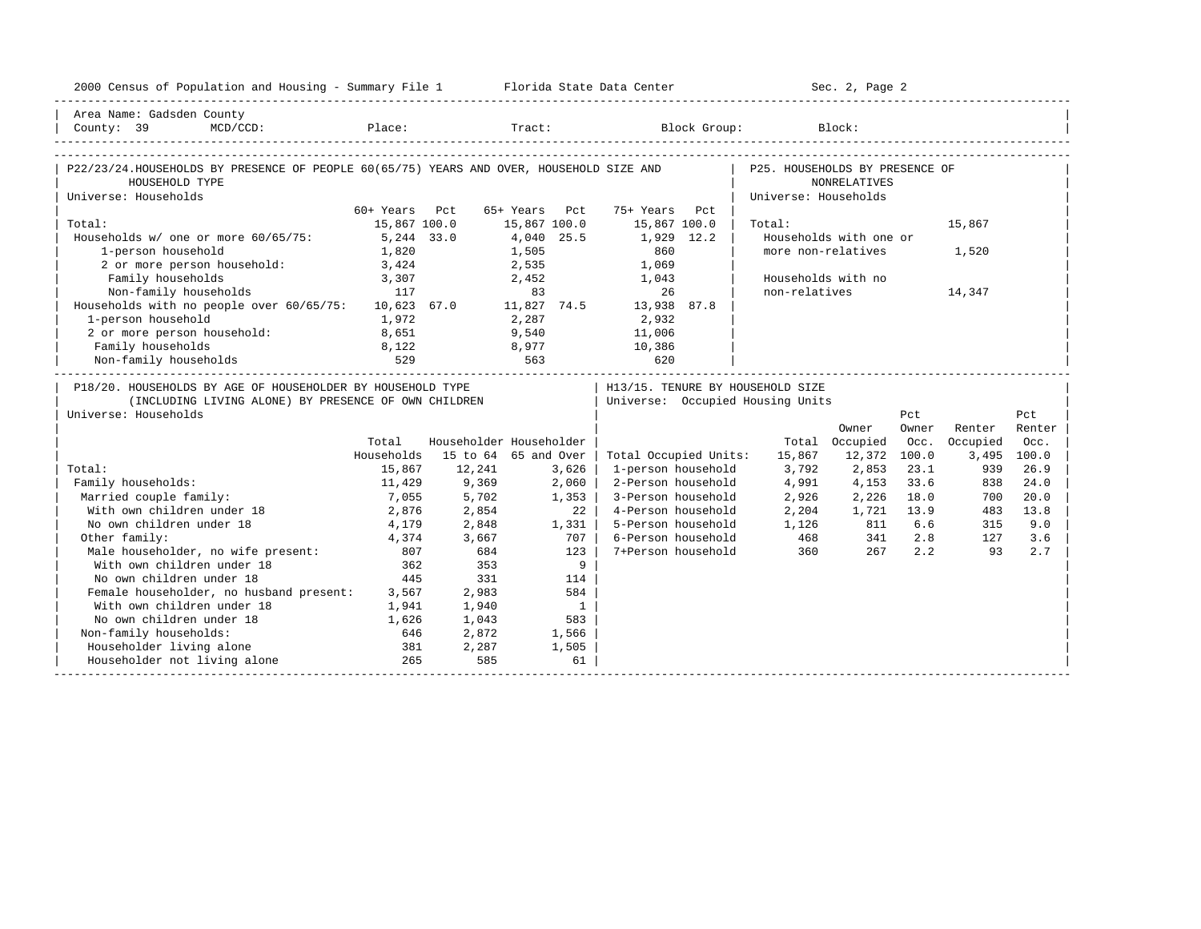| 2000 Census of Population and Housing - Summary File 1 Florida State Data Center        |               |                         |               |                          |                                            |                                | Sec. 2, Page 2         |       |          |             |
|-----------------------------------------------------------------------------------------|---------------|-------------------------|---------------|--------------------------|--------------------------------------------|--------------------------------|------------------------|-------|----------|-------------|
| Area Name: Gadsden County                                                               |               |                         |               |                          |                                            |                                |                        |       |          |             |
| County: 39                                                                              |               |                         |               |                          | MCD/CCD: Place: Tract: Block Group: Block: |                                |                        |       |          |             |
|                                                                                         |               |                         |               |                          |                                            |                                |                        |       |          |             |
| P22/23/24.HOUSEHOLDS BY PRESENCE OF PEOPLE 60(65/75) YEARS AND OVER, HOUSEHOLD SIZE AND |               |                         |               |                          |                                            | P25. HOUSEHOLDS BY PRESENCE OF |                        |       |          |             |
| HOUSEHOLD TYPE<br>Universe: Households                                                  |               |                         |               |                          |                                            | Universe: Households           | NONRELATIVES           |       |          |             |
|                                                                                         | 60+ Years Pct |                         | 65+ Years Pct |                          | 75+ Years Pct                              |                                |                        |       |          |             |
| Total:                                                                                  | 15,867 100.0  |                         | 15,867 100.0  |                          | 15,867 100.0                               | Total:                         |                        |       | 15,867   |             |
| Households w/ one or more 60/65/75:                                                     | 5,244 33.0    |                         | 4,040 25.5    |                          | 1,929 12.2                                 |                                | Households with one or |       |          |             |
| 1-person household                                                                      | 1,820         |                         | 1,505         |                          | 860                                        |                                | more non-relatives     |       | 1,520    |             |
| 2 or more person household:                                                             | 3,424         |                         | 2,535         |                          | 1,069                                      |                                |                        |       |          |             |
| Family households                                                                       | 3,307         |                         |               | 2,452                    | 1,043                                      |                                | Households with no     |       |          |             |
| Non-family households                                                                   | 117           |                         | 83            |                          | 26                                         | non-relatives                  |                        |       | 14,347   |             |
| Households with no people over 60/65/75:                                                |               |                         |               |                          | 10,623 67.0    11,827 74.5    13,938 87.8  |                                |                        |       |          |             |
| 1-person household                                                                      | 1,972         |                         | 2,287         |                          | 2,932                                      |                                |                        |       |          |             |
| 2 or more person household:                                                             | 8,651         |                         | 9,540         |                          | 11,006                                     |                                |                        |       |          |             |
| Family households                                                                       | 8,122         |                         | 8,977         |                          | 10,386                                     |                                |                        |       |          |             |
| Non-family households                                                                   | 529           | 563                     |               |                          | 620                                        |                                |                        |       |          |             |
| P18/20. HOUSEHOLDS BY AGE OF HOUSEHOLDER BY HOUSEHOLD TYPE                              |               |                         |               |                          | H13/15. TENURE BY HOUSEHOLD SIZE           |                                |                        |       |          |             |
| (INCLUDING LIVING ALONE) BY PRESENCE OF OWN CHILDREN                                    |               |                         |               |                          | Universe: Occupied Housing Units           |                                |                        |       |          |             |
| Universe: Households                                                                    |               |                         |               |                          |                                            |                                |                        | Pct   |          | Pct         |
|                                                                                         |               |                         |               |                          |                                            |                                | Owner                  | Owner | Renter   | Renter      |
|                                                                                         | Total         | Householder Householder |               |                          |                                            |                                | Total Occupied         | Occ.  | Occupied | Occ.        |
|                                                                                         | Households    | 15 to 64 65 and Over    |               |                          | Total Occupied Units:                      | 15,867                         | 12,372                 | 100.0 |          | 3,495 100.0 |
| Total:                                                                                  | 15,867        | 12,241                  |               | 3,626                    | 1-person household                         | 3,792                          | 2,853                  | 23.1  | 939      | 26.9        |
| Family households:                                                                      | 11,429        | 9,369                   |               | 2,060                    | 2-Person household                         | 4,991                          | 4,153                  | 33.6  | 838      | 24.0        |
| Married couple family:                                                                  | 7,055         | 5,702                   |               | 1,353                    | 3-Person household                         | 2,926                          | 2,226                  | 18.0  | 700      | 20.0        |
| With own children under 18                                                              | 2,876         | 2,854                   |               | 22                       | 4-Person household                         | 2,204                          | 1,721                  | 13.9  | 483      | 13.8        |
| No own children under 18                                                                | 4,179         | 2,848                   |               | 1,331                    | 5-Person household                         | 1,126                          | 811                    | 6.6   | 315      | 9.0         |
| Other family:                                                                           | 4,374         | 3,667                   |               | 707                      | 6-Person household                         | 468                            | 341                    | 2.8   | 127      | 3.6         |
| Male householder, no wife present:<br>With own children under 18                        | 807           | 684                     |               | 123                      | 7+Person household                         | 360                            | 267                    | 2.2   | 93       | 2.7         |
| With own children under 18                                                              | 362           | 353                     |               | 9                        |                                            |                                |                        |       |          |             |
| No own children under 18                                                                | 445           | 331                     |               | 114                      |                                            |                                |                        |       |          |             |
| Female householder, no husband present: 3,567                                           |               | 2,983                   |               | 584                      |                                            |                                |                        |       |          |             |
| With own children under 18                                                              | 1,941         | 1,940                   |               | $\overline{\phantom{1}}$ |                                            |                                |                        |       |          |             |
| No own children under 18                                                                | 1,626         | 1,043                   |               | 583                      |                                            |                                |                        |       |          |             |
| Non-family households:                                                                  | 646           | 2,872                   |               | 1,566                    |                                            |                                |                        |       |          |             |
| Householder living alone                                                                | 381           | 2,287                   |               | 1,505                    |                                            |                                |                        |       |          |             |
| Householder not living alone                                                            | 265           | 585                     |               | 61                       |                                            |                                |                        |       |          |             |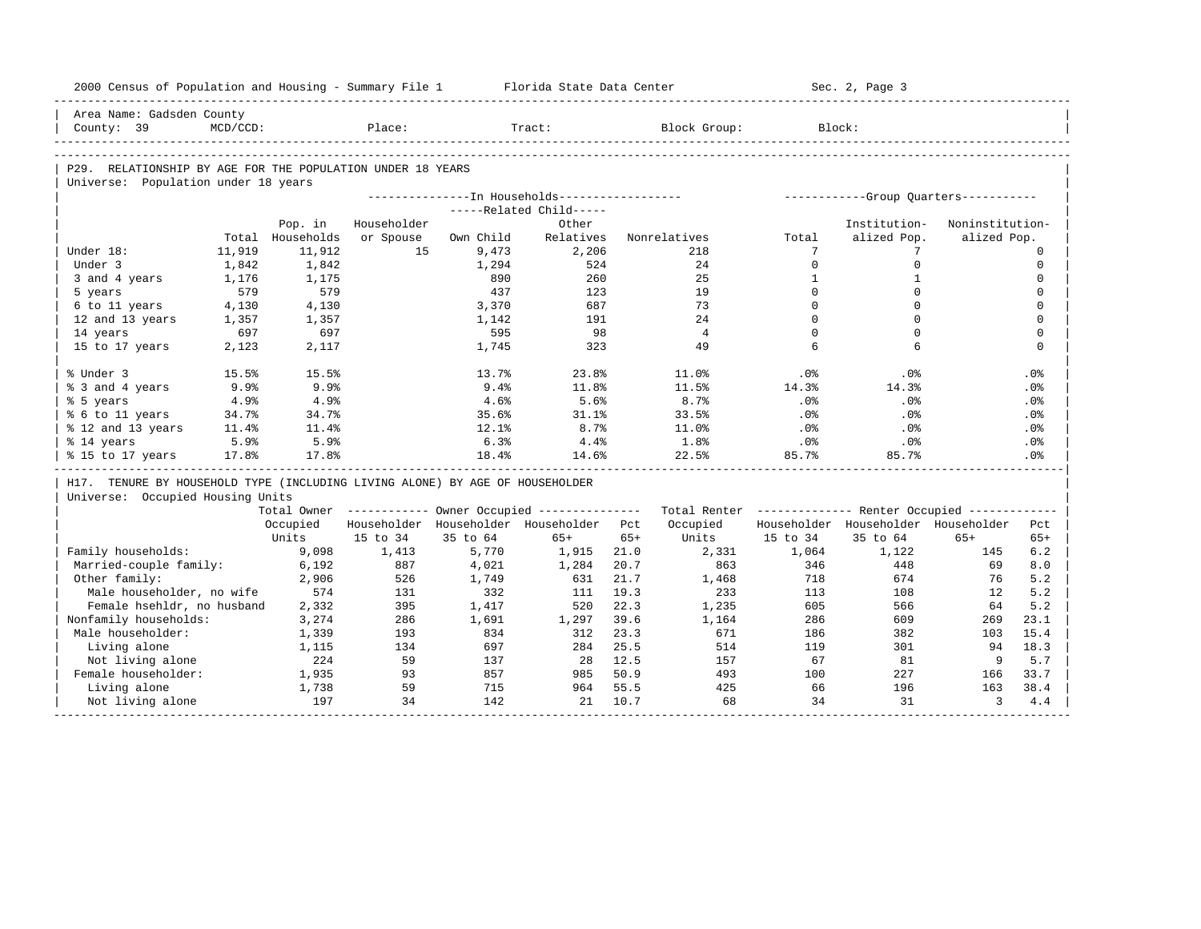| 2000 Census of Population and Housing - Summary File 1                       |                    |                  |             |            | Florida State Data Center                             |       |                                                         |                          | Sec. 2, Page 3                        |                 |                         |
|------------------------------------------------------------------------------|--------------------|------------------|-------------|------------|-------------------------------------------------------|-------|---------------------------------------------------------|--------------------------|---------------------------------------|-----------------|-------------------------|
| Area Name: Gadsden County                                                    |                    |                  |             |            |                                                       |       |                                                         |                          |                                       |                 |                         |
| County: 39                                                                   | $MCD/CCD$ :        |                  | Place:      |            | Tract:                                                |       | Block Group:                                            |                          | Block:                                |                 |                         |
|                                                                              |                    |                  |             |            |                                                       |       |                                                         |                          |                                       |                 |                         |
| P29. RELATIONSHIP BY AGE FOR THE POPULATION UNDER 18 YEARS                   |                    |                  |             |            |                                                       |       |                                                         |                          |                                       |                 |                         |
| Universe: Population under 18 years                                          |                    |                  |             |            |                                                       |       |                                                         |                          |                                       |                 |                         |
|                                                                              |                    |                  |             |            | ---------------In Households------------------        |       |                                                         |                          | ------------Group Quarters----------- |                 |                         |
|                                                                              |                    |                  |             |            | -----Related Child-----                               |       |                                                         |                          |                                       |                 |                         |
|                                                                              |                    | Pop. in          | Householder |            | Other                                                 |       |                                                         |                          | Institution-                          | Noninstitution- |                         |
|                                                                              |                    | Total Households | or Spouse   | Own Child  | Relatives                                             |       | Nonrelatives                                            | Total<br>$7\phantom{.0}$ | alized Pop.                           | alized Pop.     |                         |
| Under 18:<br>Under 3                                                         | 11,919             | 11,912           | 15          | 9,473      | 2,206<br>524                                          |       | 218<br>24                                               | $\Omega$                 | 7<br>$\mathbf 0$                      |                 | $\Omega$<br>$\mathbf 0$ |
|                                                                              | 1,842              | 1,842            |             | 1,294      | 260                                                   |       | 25                                                      | $\mathbf{1}$             | $\mathbf{1}$                          |                 | $\mathbf 0$             |
| 3 and 4 years<br>5 years                                                     | 1,176<br>579       | 1,175<br>579     |             | 890<br>437 | 123                                                   |       | 19                                                      | $\Omega$                 | $\Omega$                              |                 | $\Omega$                |
| 6 to 11 years                                                                | 4,130              | 4,130            |             | 3,370      | 687                                                   |       | 73                                                      | $\Omega$                 | $\Omega$                              |                 | $\mathbf 0$             |
| 12 and 13 years                                                              | 1,357              | 1,357            |             | 1,142      | 191                                                   |       | 2.4                                                     | $\Omega$                 | $\Omega$                              |                 | $\Omega$                |
| 14 years                                                                     | 697                | 697              |             | 595        | 98                                                    |       | $\overline{4}$                                          | $\Omega$                 | $\Omega$                              |                 | $\mathbf 0$             |
| 15 to 17 years                                                               | 2,123              | 2,117            |             | 1,745      | 323                                                   |       | 49                                                      | 6                        | 6                                     |                 | $\mathbf 0$             |
|                                                                              |                    |                  |             |            |                                                       |       |                                                         |                          |                                       |                 |                         |
| % Under 3                                                                    | 15.5%              | 15.5%            |             | 13.7%      | 23.8%                                                 |       | 11.0%                                                   | .0%                      | $.0\%$                                |                 | .0%                     |
| % 3 and 4 years                                                              | $9.9$ <sup>8</sup> | 9.9%             |             | 9.4%       | 11.8%                                                 |       | 11.5%                                                   | 14.3%                    | 14.3%                                 |                 | .0%                     |
| % 5 years                                                                    | 4.9%               | 4.9%             |             | 4.6%       | 5.6%                                                  |       | 8.7%                                                    | .0%                      | $.0\%$                                |                 | .0%                     |
| % 6 to 11 years                                                              | 34.7%              | 34.7%            |             | 35.6%      | 31.1%                                                 |       | 33.5%                                                   | .0%                      | .0%                                   |                 | .0%                     |
| % 12 and 13 years                                                            | 11.4%              | 11.4%            |             | 12.1%      | 8.7%                                                  |       | 11.0%                                                   | .0%                      | $.0\%$                                |                 | .0%                     |
| % 14 years                                                                   | 5.9%               | 5.9%             |             | 6.3%       | 4.4%                                                  |       | $1.8\%$                                                 | .0%                      | $.0\%$                                |                 | .0%                     |
| % 15 to 17 years                                                             | 17.8%              | 17.8%            |             | 18.4%      | 14.6%                                                 |       | 22.5%                                                   | 85.7%                    | 85.7%                                 |                 | .0%                     |
| H17. TENURE BY HOUSEHOLD TYPE (INCLUDING LIVING ALONE) BY AGE OF HOUSEHOLDER |                    |                  |             |            |                                                       |       |                                                         |                          |                                       |                 |                         |
| Universe: Occupied Housing Units                                             |                    |                  |             |            |                                                       |       |                                                         |                          |                                       |                 |                         |
|                                                                              |                    |                  |             |            | Total Owner ----------- Owner Occupied -------------- |       | Total Renter ------------- Renter Occupied ------------ |                          |                                       |                 |                         |
|                                                                              |                    | Occupied         |             |            | Householder Householder Householder Pct               |       | Occupied                                                |                          | Householder Householder Householder   |                 | Pct                     |
|                                                                              |                    | Units            | 15 to 34    | 35 to 64   | $65+$                                                 | $65+$ | Units                                                   | 15 to 34                 | 35 to 64                              | $65+$           | $65+$                   |
| Family households:                                                           |                    | 9,098            | 1,413       | 5,770      | 1,915                                                 | 21.0  | 2,331                                                   | 1,064                    | 1,122                                 | 145             | 6.2                     |
| Married-couple family:                                                       |                    | 6,192            | 887         | 4,021      | 1,284                                                 | 20.7  | 863                                                     | 346                      | 448                                   | 69              | 8.0                     |
| Other family:                                                                |                    | 2,906            | 526         | 1,749      | 631                                                   | 21.7  | 1,468                                                   | 718                      | 674                                   | 76              | 5.2                     |
| Male householder, no wife                                                    |                    | 574              | 131         | 332        | 111                                                   | 19.3  | 233                                                     | 113                      | 108                                   | 12              | 5.2                     |
| Female hsehldr, no husband                                                   |                    | 2,332            | 395         | 1,417      | 520                                                   | 22.3  | 1,235                                                   | 605                      | 566                                   | 64              | 5.2                     |
| Nonfamily households:                                                        |                    | 3,274            | 286         | 1,691      | 1,297                                                 | 39.6  | 1,164                                                   | 286                      | 609                                   | 269             | 23.1                    |
| Male householder:                                                            |                    | 1,339            | 193         | 834        | 312                                                   | 23.3  | 671                                                     | 186                      | 382                                   | 103             | 15.4                    |
| Living alone                                                                 |                    | 1,115            | 134         | 697        | 284                                                   | 25.5  | 514                                                     | 119                      | 301                                   | 94              | 18.3                    |
| Not living alone                                                             |                    | 224              | 59          | 137        | 28                                                    | 12.5  | 157                                                     | 67                       | 81                                    | 9               | 5.7                     |
| Female householder:                                                          |                    | 1,935            | 93          | 857        | 985                                                   | 50.9  | 493                                                     | 100                      | 227                                   | 166             | 33.7                    |
| Living alone                                                                 |                    | 1,738            | 59          | 715        | 964                                                   | 55.5  | 425                                                     | 66                       | 196                                   | 163             | 38.4                    |
| Not living alone                                                             |                    | 197              | 34          | 142        | 21                                                    | 10.7  | 68                                                      | 34                       | 31                                    | $\overline{3}$  | 4.4                     |
|                                                                              |                    |                  |             |            |                                                       |       |                                                         |                          |                                       |                 |                         |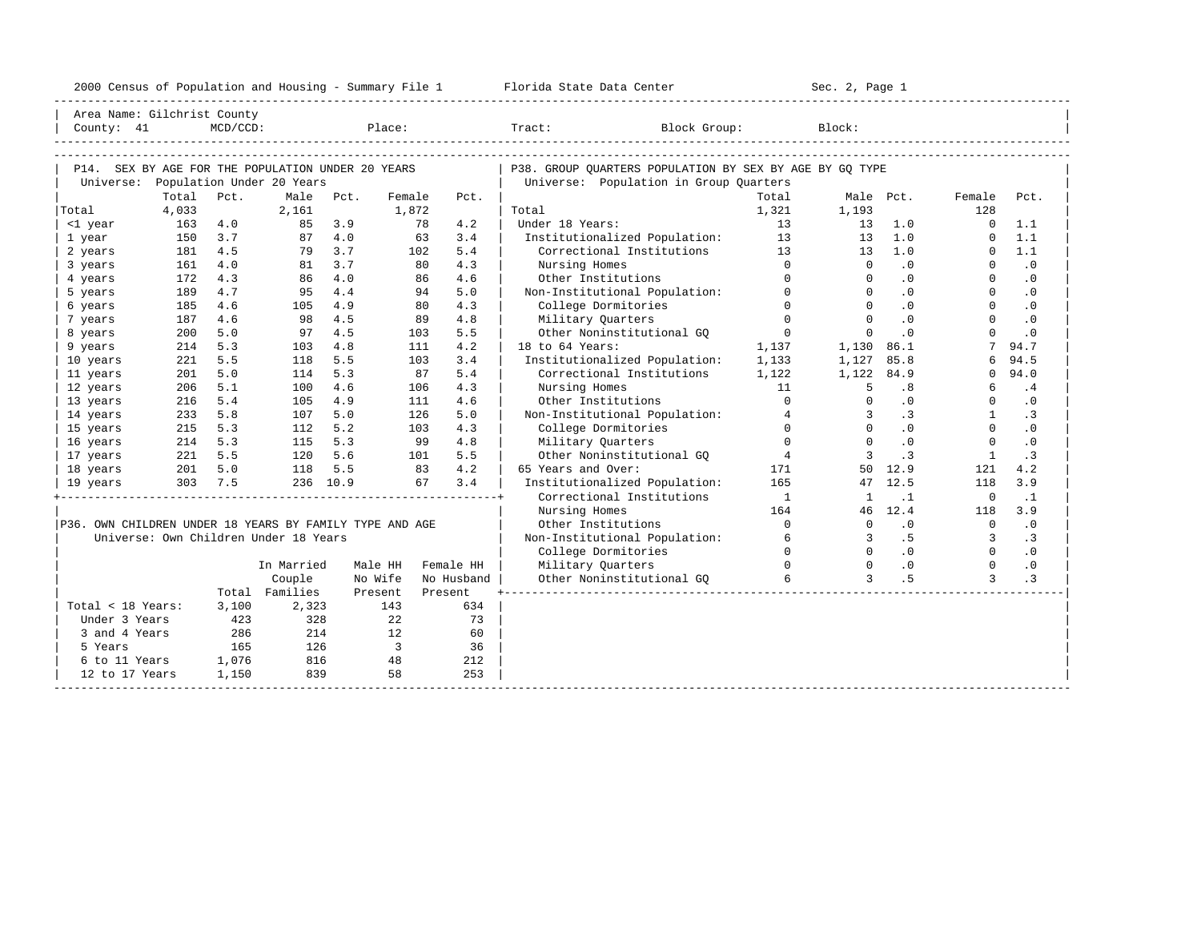| 2000<br>ensus! | and<br>Population | ---<br>Summa:<br>$-$<br>Housing | lorida<br>Data<br>otatt<br>cence. | ، م ج<br>Page<br>$3-1$ |  |
|----------------|-------------------|---------------------------------|-----------------------------------|------------------------|--|
|                |                   |                                 |                                   |                        |  |

| Area Name: Gilchrist County                             |       |          |                                       |          |                         |           |            |                                                         |                |                |           |                |           |  |
|---------------------------------------------------------|-------|----------|---------------------------------------|----------|-------------------------|-----------|------------|---------------------------------------------------------|----------------|----------------|-----------|----------------|-----------|--|
| County: 41                                              |       | MCD/CCD: |                                       |          | Place:                  |           |            | Tract: Tract:<br>Block Group:                           |                | Block:         |           |                |           |  |
|                                                         |       |          |                                       |          |                         |           |            |                                                         |                |                |           |                |           |  |
|                                                         |       |          |                                       |          |                         |           |            |                                                         |                |                |           |                |           |  |
| P14. SEX BY AGE FOR THE POPULATION UNDER 20 YEARS       |       |          |                                       |          |                         |           |            | P38. GROUP OUARTERS POPULATION BY SEX BY AGE BY GO TYPE |                |                |           |                |           |  |
| Universe: Population Under 20 Years                     |       |          |                                       |          |                         |           |            | Universe: Population in Group Quarters                  |                |                |           |                |           |  |
|                                                         | Total | Pct.     | Male                                  | Pct.     | Female                  |           | Pct.       |                                                         | Total          |                | Male Pct. | Female         | Pct.      |  |
| Total                                                   | 4,033 |          | 2,161                                 |          | 1,872                   |           |            | Total                                                   | 1,321          | 1,193          |           | 128            |           |  |
| <1 year                                                 | 163   | 4.0      | 85                                    | 3.9      |                         | 78        | 4.2        | Under 18 Years:                                         | 13             | 13             | 1.0       | $\Omega$       | 1.1       |  |
| 1 year                                                  | 150   | 3.7      | 87                                    | 4.0      |                         | 63        | 3.4        | Institutionalized Population: 13                        |                | 13             | 1.0       | $\Omega$       | 1.1       |  |
| 2 years                                                 | 181   | 4.5      | 79                                    | 3.7      |                         | 102       | 5.4        | Correctional Institutions 13                            |                | 13             | 1.0       | $\Omega$       | 1.1       |  |
| 3 years                                                 | 161   | 4.0      | 81                                    | 3.7      |                         | 80        | 4.3        | Nursing Homes                                           | $\Omega$       | $\circ$        | .0        | $\Omega$       | $\cdot$ 0 |  |
| 4 years                                                 | 172   | 4.3      | 86                                    | 4.0      |                         | 86        | 4.6        | Other Institutions                                      | $\Omega$       | $\Omega$       | $\cdot$ 0 | $\Omega$       | $\cdot$ 0 |  |
| 5 years                                                 | 189   | 4.7      | 95                                    | 4.4      |                         | 94        | 5.0        | Non-Institutional Population:                           | $\Omega$       | $\Omega$       | $\cdot$ 0 | $\Omega$       | $\cdot$ 0 |  |
| 6 years                                                 | 185   | 4.6      | 105                                   | 4.9      |                         | 80        | 4.3        | College Dormitories                                     | $\Omega$       | $\Omega$       | .0        | $\Omega$       | $\cdot$ 0 |  |
| 7 years                                                 | 187   | 4.6      | 98                                    | 4.5      |                         | 89        | 4.8        | Military Quarters                                       | $\overline{0}$ | $\mathbf{0}$   | .0        | $\Omega$       | $\cdot$ 0 |  |
| 8 years                                                 | 200   | 5.0      | 97                                    | 4.5      |                         | 103       | 5.5        | Other Noninstitutional GO                               | $\mathbf{0}$   | $\mathbf 0$    | $\cdot$ 0 | $\Omega$       | $\cdot$ 0 |  |
| 9 years                                                 | 214   | 5.3      | 103                                   | 4.8      |                         | 111       | 4.2        | 18 to 64 Years:                                         | 1,137          | 1,130          | 86.1      |                | 94.7      |  |
| 10 years                                                | 221   | 5.5      | 118                                   | 5.5      |                         | 103       | 3.4        | Institutionalized Population:                           | 1,133          | 1,127          | 85.8      | 6              | 94.5      |  |
| 11 years                                                | 201   | 5.0      | 114                                   | 5.3      |                         | 87        | 5.4        | Correctional Institutions                               | 1,122          | 1,122          | 84.9      | $\Omega$       | 94.0      |  |
| 12 years                                                | 206   | 5.1      | 100                                   | 4.6      |                         | 106       | 4.3        | Nursing Homes                                           | 11             | 5              | .8        | 6              | .4        |  |
| 13 years                                                | 216   | 5.4      | 105                                   | 4.9      |                         | 111       | 4.6        | Other Institutions                                      | $\Omega$       | $\Omega$       | .0        | $\Omega$       | $\cdot$ 0 |  |
| 14 years                                                | 233   | 5.8      | 107                                   | 5.0      |                         | 126       | 5.0        | Non-Institutional Population:                           | $\overline{4}$ | 3              | $\cdot$ 3 | $\mathbf{1}$   | $\cdot$ 3 |  |
| 15 years                                                | 215   | 5.3      | 112                                   | 5.2      |                         | 103       | 4.3        | College Dormitories                                     | $\Omega$       | $\Omega$       | .0        | $\Omega$       | $\cdot$ 0 |  |
| 16 years                                                | 214   | 5.3      | 115                                   | 5.3      |                         | 99        | 4.8        | Military Quarters                                       | $\Omega$       | $\Omega$       | .0        | $\Omega$       | $\cdot$ 0 |  |
| 17 years                                                | 221   | 5.5      | 120                                   | 5.6      |                         | 101       | 5.5        | Other Noninstitutional GQ                               | $\overline{4}$ | 3              | $\cdot$ 3 |                | $\cdot$ 3 |  |
| 18 years                                                | 201   | 5.0      | 118                                   | 5.5      | 83                      |           | 4.2        | 65 Years and Over:                                      | 171            |                | 50 12.9   | 121            | 4.2       |  |
| 19 years                                                |       | 303 7.5  |                                       | 236 10.9 |                         | 67        | 3.4        | Institutionalized Population:                           | 165            |                | 47 12.5   | 118            | 3.9       |  |
|                                                         |       |          |                                       |          |                         |           |            | Correctional Institutions                               | $\overline{1}$ | <sup>1</sup>   | $\cdot$ 1 | $\overline{0}$ | $\cdot$ 1 |  |
|                                                         |       |          |                                       |          |                         |           |            | Nursing Homes                                           | 164            |                | 46 12.4   | 118            | 3.9       |  |
| P36. OWN CHILDREN UNDER 18 YEARS BY FAMILY TYPE AND AGE |       |          |                                       |          |                         |           |            | Other Institutions                                      | $\Omega$       | $\Omega$       | .0        | $\overline{0}$ | $\cdot$ 0 |  |
|                                                         |       |          | Universe: Own Children Under 18 Years |          |                         |           |            | Non-Institutional Population:                           | 6              | $\overline{3}$ | .5        | 3              | $\cdot$ 3 |  |
|                                                         |       |          |                                       |          |                         |           |            | College Dormitories                                     | $\Omega$       | $\Omega$       | $\cdot$ 0 | $\Omega$       | $\cdot$ 0 |  |
|                                                         |       |          | In Married                            |          | Male HH                 | Female HH |            | Military Quarters                                       | $\Omega$       | $\Omega$       | $\cdot$ 0 | $\Omega$       | $\cdot$ 0 |  |
|                                                         |       |          | Couple                                |          | No Wife                 |           | No Husband | Other Noninstitutional GQ                               | 6              | $\mathbf{3}$   | .5        | 3              | .3        |  |
|                                                         |       |          | Total Families                        |          | Present                 | Present   |            |                                                         |                |                |           |                |           |  |
| Total < 18 Years:                                       |       | 3,100    | 2,323                                 |          | 143                     |           | 634        |                                                         |                |                |           |                |           |  |
| Under 3 Years                                           |       | 423      | 328                                   |          | 22                      |           | 73         |                                                         |                |                |           |                |           |  |
| 3 and 4 Years                                           |       | 286      | 214                                   |          | 12                      |           | 60         |                                                         |                |                |           |                |           |  |
| 5 Years                                                 |       | 165      | 126                                   |          | $\overline{\mathbf{3}}$ |           | 36         |                                                         |                |                |           |                |           |  |
| 6 to 11 Years                                           |       | 1,076    | 816                                   |          | 48                      |           | 212        |                                                         |                |                |           |                |           |  |
| 12 to 17 Years                                          |       | 1,150    | 839                                   |          | 58                      |           | 253        |                                                         |                |                |           |                |           |  |
|                                                         |       |          |                                       |          |                         |           |            |                                                         |                |                |           |                |           |  |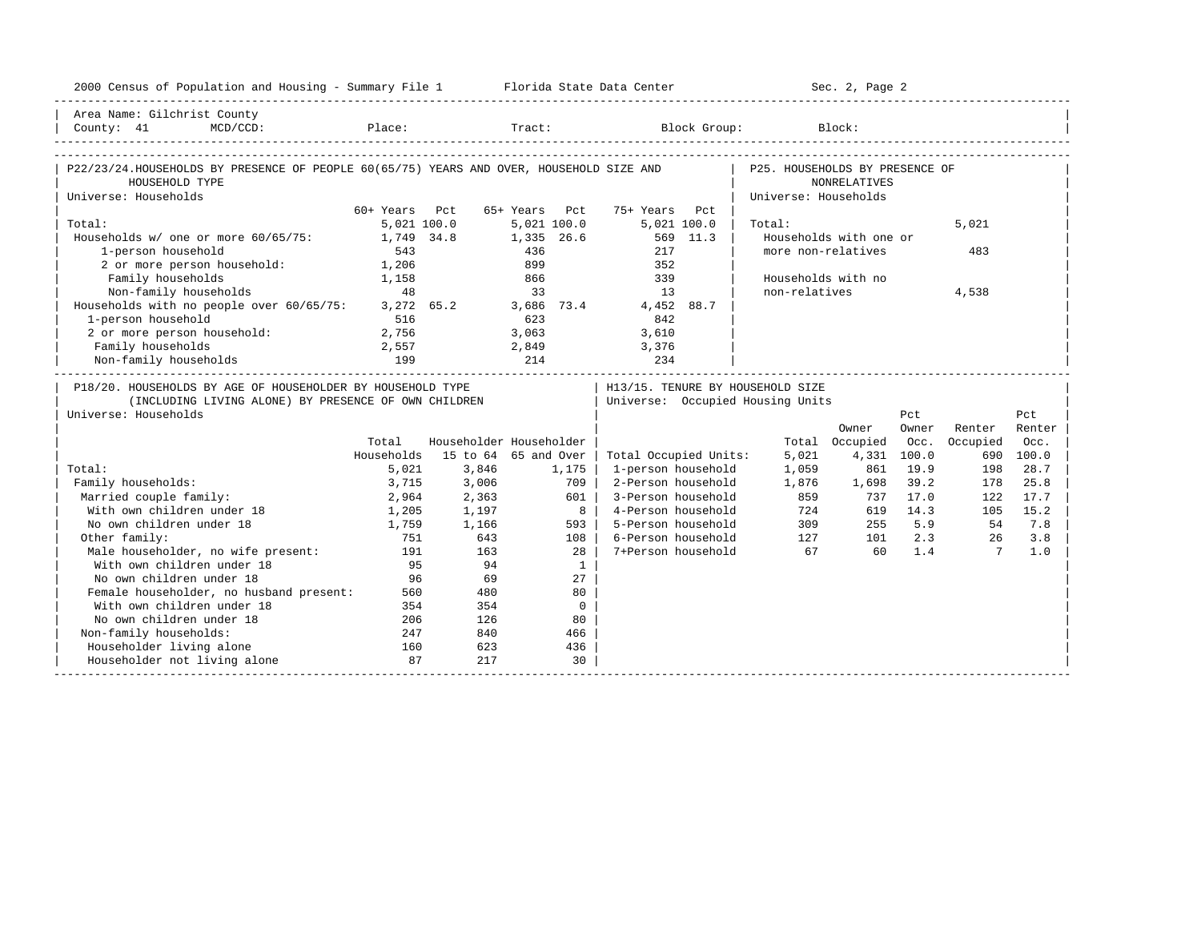| 2000 Census of Population and Housing - Summary File 1 Florida State Data Center                                                           |               |                         |               |                 |                                  |                      | Sec. 2, Page 2         |             |                |        |
|--------------------------------------------------------------------------------------------------------------------------------------------|---------------|-------------------------|---------------|-----------------|----------------------------------|----------------------|------------------------|-------------|----------------|--------|
| Area Name: Gilchrist County                                                                                                                |               |                         |               |                 |                                  |                      |                        |             |                |        |
| County: 41<br>$MCD/CCD$ :                                                                                                                  |               |                         |               |                 | Place: Tract: Block Group:       |                      | Block:                 |             |                |        |
|                                                                                                                                            |               |                         |               |                 |                                  |                      |                        |             |                |        |
| P22/23/24.HOUSEHOLDS BY PRESENCE OF PEOPLE 60(65/75) YEARS AND OVER, HOUSEHOLD SIZE AND   P25. HOUSEHOLDS BY PRESENCE OF<br>HOUSEHOLD TYPE |               |                         |               |                 |                                  |                      | <b>NONRELATIVES</b>    |             |                |        |
| Universe: Households                                                                                                                       |               |                         |               |                 |                                  | Universe: Households |                        |             |                |        |
|                                                                                                                                            | 60+ Years Pct |                         | 65+ Years Pct |                 | 75+ Years Pct                    |                      |                        |             |                |        |
| Total:                                                                                                                                     | 5,021 100.0   |                         | 5,021 100.0   |                 | $5,021$ $100.0$                  | Total:               |                        |             | 5,021          |        |
| Households w/ one or more 60/65/75: 1,749 34.8                                                                                             |               |                         | 1,335 26.6    |                 | 569 11.3                         |                      | Households with one or |             |                |        |
| 1-person household                                                                                                                         | 543           |                         |               |                 | 217                              | more non-relatives   |                        |             | 483            |        |
| 2 or more person household:                                                                                                                | 1,206         |                         | 436<br>899    |                 | 352                              |                      |                        |             |                |        |
| Family households                                                                                                                          | 1,158         |                         | 866           |                 | 339                              | Households with no   |                        |             |                |        |
| Non-family households                                                                                                                      | 48            |                         | 33            |                 | 13                               | non-relatives        |                        |             | 4,538          |        |
| Households with no people over 60/65/75:                                                                                                   |               | $48$<br>3,272 65.2      |               |                 | 3,686 73.4 4,452 88.7            |                      |                        |             |                |        |
| 1-person household                                                                                                                         | 516           |                         | 623           |                 | 842                              |                      |                        |             |                |        |
| 2 or more person household: 2,756                                                                                                          |               | 3,063                   |               |                 | 3,610                            |                      |                        |             |                |        |
| Family households                                                                                                                          |               |                         |               |                 | 3,376                            |                      |                        |             |                |        |
| Non-family households                                                                                                                      | 2,557<br>199  | $2,849$<br>$214$        |               |                 | 234                              |                      |                        |             |                |        |
| P18/20. HOUSEHOLDS BY AGE OF HOUSEHOLDER BY HOUSEHOLD TYPE                                                                                 |               |                         |               |                 | H13/15. TENURE BY HOUSEHOLD SIZE |                      |                        |             |                |        |
| (INCLUDING LIVING ALONE) BY PRESENCE OF OWN CHILDREN                                                                                       |               |                         |               |                 | Universe: Occupied Housing Units |                      |                        |             |                |        |
| Universe: Households                                                                                                                       |               |                         |               |                 |                                  |                      |                        | Pct         |                | Pct.   |
|                                                                                                                                            |               |                         |               |                 |                                  |                      | Owner                  | Owner       | Renter         | Renter |
|                                                                                                                                            | Total         | Householder Householder |               |                 |                                  |                      | Total Occupied         | Occ.        | Occupied       | Occ.   |
|                                                                                                                                            | Households    | 15 to 64 65 and Over    |               |                 | Total Occupied Units:            | 5,021                |                        | 4,331 100.0 | 690            | 100.0  |
| Total:                                                                                                                                     | 5,021         | 3,846                   | 1,175         |                 | 1-person household               | 1,059                |                        | 861 19.9    | 198            | 28.7   |
| Family households:                                                                                                                         | 3,715         | 3,006                   |               | 709             | 2-Person household               | 1,876                | 1,698                  | 39.2        | 178            | 25.8   |
| Married couple family:                                                                                                                     | 2,964         | 2,363                   |               | 601             | 3-Person household               | 859                  | 737                    | 17.0        | 122            | 17.7   |
| With own children under 18                                                                                                                 | 1,205         | 1,197                   |               | 8 <sup>1</sup>  | 4-Person household               |                      | 724                    | 619 14.3    | 105            | 15.2   |
| No own children under 18                                                                                                                   | 1,759         | 1,166                   |               | 593             | 5-Person household               |                      | 309<br>255             | 5.9         | 54             | 7.8    |
| Other family:                                                                                                                              | 751           | 643                     |               | 108             | 6-Person household               | 127                  | 101                    | 2.3         | 26             | 3.8    |
| Male householder, no wife present:                                                                                                         | 191           | 163                     |               | 28 <sup>1</sup> | 7+Person household               | 67                   | 60 —                   | 1.4         | $\overline{7}$ | 1.0    |
| With own children under 18                                                                                                                 | 95            | 94                      |               | <sup>1</sup>    |                                  |                      |                        |             |                |        |
| No own children under 18                                                                                                                   | 96            | 69                      |               | 27              |                                  |                      |                        |             |                |        |
| Female householder, no husband present:                                                                                                    | 560           | 480                     |               | 80              |                                  |                      |                        |             |                |        |
| With own children under 18                                                                                                                 | 354           | 354                     |               | $\overline{0}$  |                                  |                      |                        |             |                |        |
| No own children under 18                                                                                                                   | 206           | 126                     |               | 80              |                                  |                      |                        |             |                |        |
| Non-family households:                                                                                                                     | 247           | 840                     |               | 466             |                                  |                      |                        |             |                |        |
| Householder living alone                                                                                                                   | 160           | 623                     |               | 436             |                                  |                      |                        |             |                |        |
| Householder not living alone                                                                                                               | 87            | 217                     |               | 30              |                                  |                      |                        |             |                |        |
|                                                                                                                                            |               |                         |               |                 |                                  |                      |                        |             |                |        |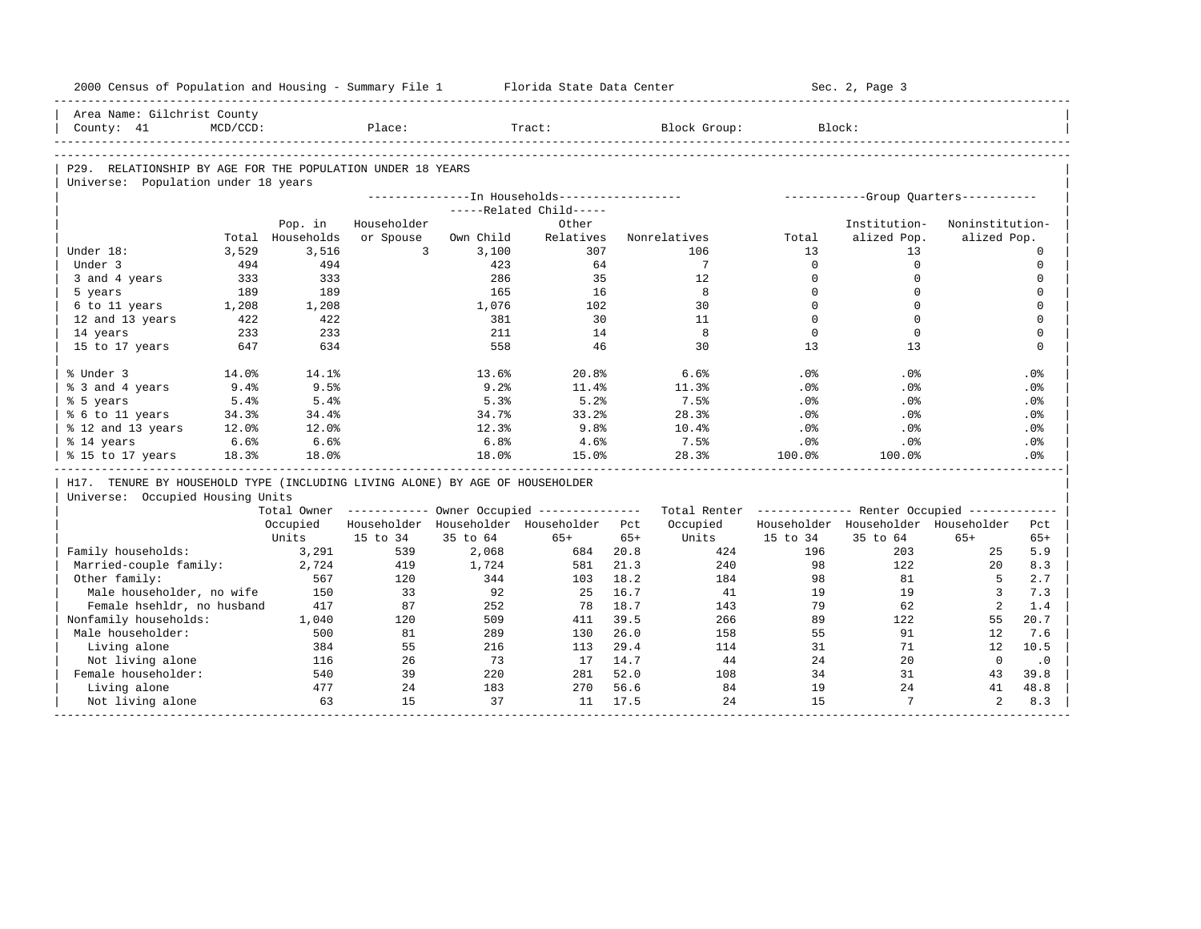| 2000 Census of Population and Housing - Summary File 1 Florida State Data Center |             |            |                |           |                                                       |       |                                                         |              | Sec. 2, Page 3                       |                 |             |
|----------------------------------------------------------------------------------|-------------|------------|----------------|-----------|-------------------------------------------------------|-------|---------------------------------------------------------|--------------|--------------------------------------|-----------------|-------------|
| Area Name: Gilchrist County                                                      |             |            |                |           |                                                       |       |                                                         |              |                                      |                 |             |
| County: 41                                                                       | $MCD/CCD$ : |            | Place:         |           | Tract:                                                |       | Block Group:                                            |              | Block:                               |                 |             |
|                                                                                  |             |            |                |           |                                                       |       |                                                         |              |                                      |                 |             |
| P29. RELATIONSHIP BY AGE FOR THE POPULATION UNDER 18 YEARS                       |             |            |                |           |                                                       |       |                                                         |              |                                      |                 |             |
| Universe: Population under 18 years                                              |             |            |                |           | ---------------In Households-----------------         |       |                                                         |              | -----------Group Ouarters----------- |                 |             |
|                                                                                  |             |            |                |           | -----Related Child-----                               |       |                                                         |              |                                      |                 |             |
|                                                                                  |             | Pop. in    | Householder    |           | Other                                                 |       |                                                         |              | Institution-                         | Noninstitution- |             |
|                                                                                  | Total       | Households | or Spouse      | Own Child | Relatives                                             |       | Nonrelatives                                            | Total        | alized Pop.                          | alized Pop.     |             |
| Under 18:                                                                        | 3,529       | 3,516      | $\overline{3}$ | 3,100     | 307                                                   |       | 106                                                     | 13           | 13                                   |                 | $\circ$     |
| Under 3                                                                          | 494         | 494        |                | 423       | 64                                                    |       | $7\overline{ }$                                         | $\Omega$     | $\mathbf 0$                          |                 | $\mathbf 0$ |
| 3 and 4 years                                                                    | 333         | 333        |                | 286       | 35                                                    |       | 12                                                      | $\mathbf{0}$ | $\mathbf 0$                          |                 | $\mathbf 0$ |
| 5 years                                                                          | 189         | 189        |                | 165       | 16                                                    |       | 8                                                       | $\Omega$     | $\mathbf 0$                          |                 | $\mathbf 0$ |
| 6 to 11 years                                                                    | 1,208       | 1,208      |                | 1,076     | 102                                                   |       | 30                                                      | $\mathbf{0}$ | $\mathbf 0$                          |                 | $\mathbf 0$ |
| 12 and 13 years                                                                  | 422         | 422        |                | 381       | 30                                                    |       | 11                                                      | $\Omega$     | $\mathbf 0$                          |                 | $\mathbf 0$ |
| 14 years                                                                         | 233         | 233        |                | 211       | 14                                                    |       | 8                                                       | $\Omega$     | $\mathbf 0$                          |                 | $\mathbf 0$ |
| 15 to 17 years                                                                   | 647         | 634        |                | 558       | 46                                                    |       | 30                                                      | 13           | 13                                   |                 | $\mathbf 0$ |
| % Under 3                                                                        | 14.0%       | 14.1%      |                | 13.6%     | 20.8%                                                 |       | 6.6%                                                    | . 0 %        | .0%                                  |                 | .0%         |
| % 3 and 4 years                                                                  | 9.4%        | 9.5%       |                | 9.2%      | 11.4%                                                 |       | 11.3%                                                   | .0%          | .0%                                  |                 | .0%         |
| % 5 years                                                                        | 5.4%        | 5.4%       |                | 5.3%      | 5.2%                                                  |       | 7.5%                                                    | .0%          | $.0\%$                               |                 | $.0\%$      |
| % 6 to 11 years                                                                  | 34.3%       | 34.4%      |                | 34.7%     | 33.2%                                                 |       | 28.3%                                                   | .0%          | $.0\%$                               |                 | .0%         |
| % 12 and 13 years                                                                | 12.0%       | 12.0%      |                | 12.3%     | 9.8%                                                  |       | 10.4%                                                   | $.0\%$       | $.0\%$                               |                 | $.0\%$      |
| % 14 years                                                                       | 6.6%        | 6.6%       |                | 6.8%      | 4.6%                                                  |       | 7.5%                                                    | .0%          | $.0\%$                               |                 | $.0\%$      |
| % 15 to 17 years                                                                 | 18.3%       | 18.0%      |                | 18.0%     | 15.0%                                                 |       | 28.3%                                                   | 100.0%       | 100.0%                               |                 | .0%         |
| H17. TENURE BY HOUSEHOLD TYPE (INCLUDING LIVING ALONE) BY AGE OF HOUSEHOLDER     |             |            |                |           |                                                       |       |                                                         |              |                                      |                 |             |
| Universe: Occupied Housing Units                                                 |             |            |                |           |                                                       |       |                                                         |              |                                      |                 |             |
|                                                                                  |             |            |                |           | Total Owner ----------- Owner Occupied -------------- |       | Total Renter ------------- Renter Occupied ------------ |              |                                      |                 |             |
|                                                                                  |             | Occupied   |                |           | Householder Householder Householder Pct               |       | Occupied                                                |              | Householder Householder Householder  |                 | Pct         |
|                                                                                  |             | Units      | 15 to 34       | 35 to 64  | $65+$                                                 | $65+$ | Units                                                   | 15 to 34     | 35 to 64                             | $65+$           | $65+$       |
| Family households:                                                               |             | 3,291      | 539            | 2,068     | 684                                                   | 20.8  | 424                                                     | 196          | 203                                  | 25              | 5.9         |
| Married-couple family:                                                           |             | 2,724      | 419            | 1,724     | 581                                                   | 21.3  | 240                                                     | 98           | 122                                  | 20              | 8.3         |
| Other family:                                                                    |             | 567        | 120            | 344       | 103                                                   | 18.2  | 184                                                     | 98           | 81                                   | 5               | 2.7         |
| Male householder, no wife                                                        |             | 150        | 33             | 92        | 25                                                    | 16.7  | 41                                                      | 19           | 19                                   | $\overline{3}$  | 7.3         |
| Female hsehldr, no husband                                                       |             | 417        | 87             | 252       | 78                                                    | 18.7  | 143                                                     | 79           | 62                                   | 2               | 1.4         |
| Nonfamily households:                                                            |             | 1,040      | 120            | 509       | 411                                                   | 39.5  | 266                                                     | 89           | 122                                  | 55              | 20.7        |
| Male householder:                                                                |             | 500        | 81             | 289       | 130                                                   | 26.0  | 158                                                     | 55           | 91                                   | 12              | 7.6         |
| Living alone                                                                     |             | 384        | 55             | 216       | 113                                                   | 29.4  | 114                                                     | 31           | 71                                   | 12              | 10.5        |
| Not living alone                                                                 |             | 116        | 26             | 73        | 17                                                    | 14.7  | 44                                                      | 24           | 20                                   | $\mathbf{0}$    | $\cdot$ 0   |
| Female householder:                                                              |             | 540        | 39             | 220       | 281                                                   | 52.0  | 108                                                     | 34           | 31                                   | 43              | 39.8        |
| Living alone                                                                     |             | 477<br>63  | 24<br>15       | 183<br>37 | 270<br>11                                             | 56.6  | 84<br>24                                                | 19<br>15     | 24<br>$7\phantom{.0}$                | 41<br>2         | 48.8        |
| Not living alone                                                                 |             |            |                |           |                                                       | 17.5  |                                                         |              |                                      |                 | 8.3         |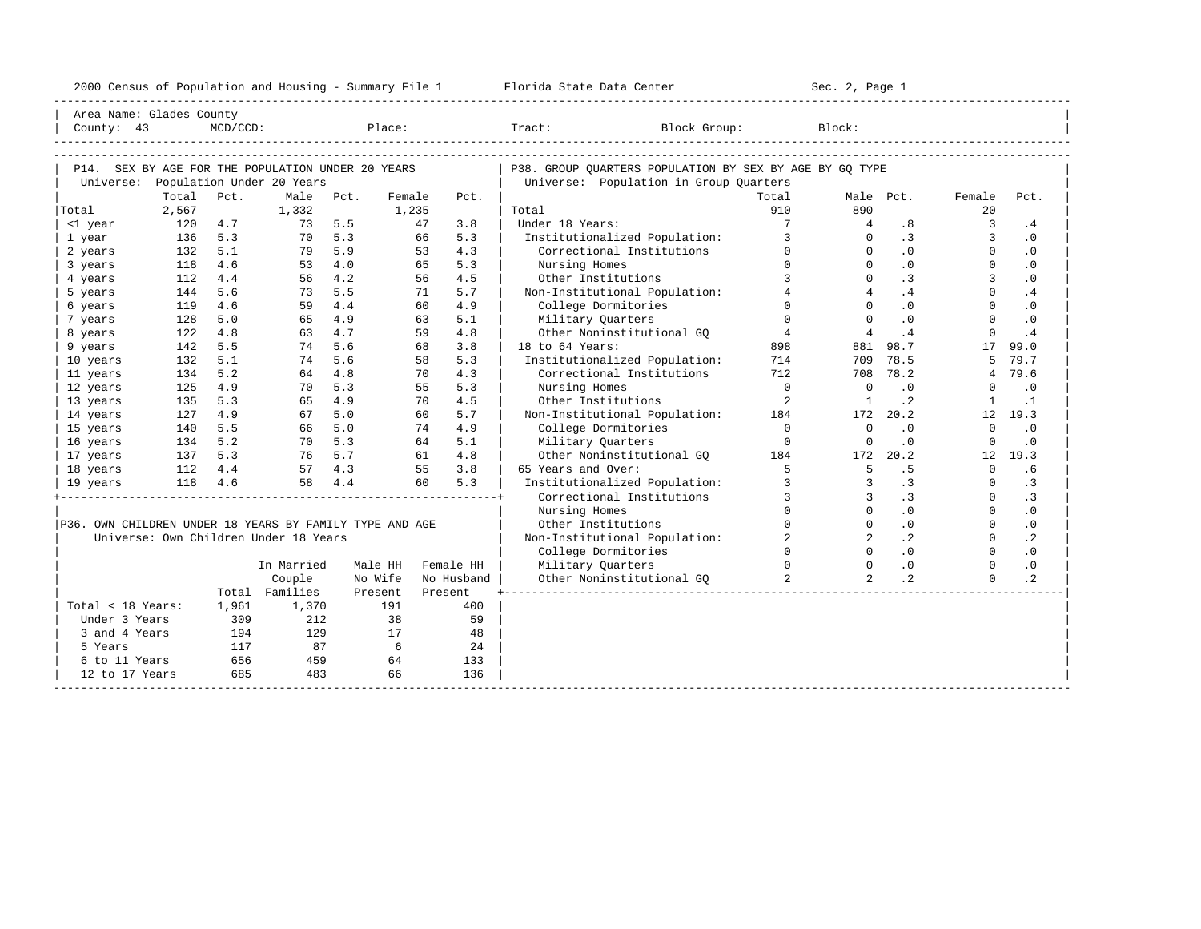|                                                         |                      |         |                                       |           |         |            | 2000 Census of Population and Housing - Summary File 1 Florida State Data Center |                 | Sec. 2, Page 1  |                |                |           |  |
|---------------------------------------------------------|----------------------|---------|---------------------------------------|-----------|---------|------------|----------------------------------------------------------------------------------|-----------------|-----------------|----------------|----------------|-----------|--|
| Area Name: Glades County                                |                      |         |                                       |           |         |            |                                                                                  |                 |                 |                |                |           |  |
|                                                         |                      |         |                                       |           |         |            |                                                                                  |                 |                 |                |                |           |  |
|                                                         |                      |         |                                       |           |         |            |                                                                                  |                 |                 |                |                |           |  |
| P14. SEX BY AGE FOR THE POPULATION UNDER 20 YEARS       |                      |         |                                       |           |         |            | P38. GROUP OUARTERS POPULATION BY SEX BY AGE BY GO TYPE                          |                 |                 |                |                |           |  |
|                                                         |                      |         | Universe: Population Under 20 Years   |           |         |            | Universe: Population in Group Quarters                                           |                 |                 |                |                |           |  |
|                                                         | Total                | Pct.    |                                       | Male Pct. | Female  | Pct.       |                                                                                  | Total           |                 | Male Pct.      | Female         | Pct.      |  |
| Total                                                   | 2,567                |         | 1,332                                 |           | 1,235   |            | Total                                                                            | 910             | 890             |                | 20             |           |  |
| <1 year                                                 | 120                  | 4.7     |                                       | 73 5.5    | 47      | 3.8        | Under 18 Years:                                                                  | $7\overline{ }$ | $\overline{4}$  | .8             | $\overline{3}$ | .4        |  |
| 1 year                                                  | 136                  | 5.3     | 70                                    | 5.3       | 66      | 5.3        | Institutionalized Population:                                                    | 3               | $\cap$          | $\cdot$ 3      | $\overline{3}$ | $\cdot$ 0 |  |
| 2 years                                                 | 132                  | 5.1     | 79                                    | 5.9       | 53      | 4.3        | Correctional Institutions                                                        | $\Omega$        | $\Omega$        | .0             | $\Omega$       | $\cdot$ 0 |  |
| 3 years                                                 | 118                  | 4.6     | 53                                    | 4.0       | 65      | 5.3        | Nursing Homes                                                                    | $\Omega$        | $\Omega$        | .0             | $\Omega$       | $\cdot$ 0 |  |
| 4 years                                                 | 112                  | 4.4     | 56                                    | 4.2       | 56      | 4.5        | Other Institutions                                                               | $\mathbf{R}$    | $\Omega$        | $\cdot$ 3      | 3              | .0        |  |
| 5 years                                                 | 144                  | 5.6     | 73                                    | 5.5       | 71      | 5.7        | Non-Institutional Population:                                                    | $\overline{4}$  | $\overline{4}$  | .4             | $\Omega$       | .4        |  |
| 6 years                                                 | 119                  | 4.6     | 59                                    | 4.4       | 60      | 4.9        | College Dormitories                                                              | $\Omega$        | $\Omega$        | .0             | $\Omega$       | $\cdot$ 0 |  |
| 7 years                                                 | 128                  | 5.0     | 65                                    | 4.9       | 63      | 5.1        | Military Quarters                                                                | $\Omega$        | $\Omega$        | .0             | $\Omega$       | $\cdot$ 0 |  |
| 8 years                                                 | 122                  | 4.8     | 63                                    | 4.7       | 59      | 4.8        | Other Noninstitutional GO                                                        | $4\overline{4}$ | $4\overline{ }$ | .4             | $\mathbf 0$    | .4        |  |
| 9 years                                                 | 142                  | 5.5     | 74                                    | 5.6       | 68      | 3.8        | 18 to 64 Years:                                                                  | 898             | 881             | 98.7           | 17             | 99.0      |  |
| 10 years                                                | 132                  | 5.1     | 74                                    | 5.6       | 58      | 5.3        | Institutionalized Population:                                                    | 714             | 709             | 78.5           | 5              | 79.7      |  |
| 11 years                                                | 134                  | 5.2     | 64                                    | 4.8       | 70      | 4.3        | Correctional Institutions                                                        | 712             | 708             | 78.2           | $\overline{4}$ | 79.6      |  |
| 12 years                                                | 125                  | 4.9     | 70                                    | 5.3       | 55      | 5.3        | Nursing Homes                                                                    | $\overline{0}$  | $\bigcap$       | .0             | $\Omega$       | $\cdot$ 0 |  |
| 13 years                                                | 135                  | 5.3     | 65                                    | 4.9       | 70      | 4.5        | Other Institutions                                                               | $\overline{2}$  | $\overline{1}$  | $\cdot$ 2      | 1              | $\cdot$ 1 |  |
| 14 years                                                | 127                  | 4.9     | 67                                    | 5.0       | 60      | 5.7        | Non-Institutional Population:                                                    | 184             | 172             | 20.2           |                | 12 19.3   |  |
| 15 years                                                | 140                  | 5.5     |                                       | 66 5.0    | 74      | 4.9        | College Dormitories                                                              | $\bigcirc$      | $\overline{0}$  | $\cdot$ 0      | $\Omega$       | $\cdot$ 0 |  |
| 16 years                                                | 134                  | 5.2     |                                       | 70 5.3    | 64      | 5.1        | Military Quarters                                                                | $\overline{0}$  | $\overline{0}$  | $\cdot$ 0      | $\mathbf 0$    | $\cdot$ 0 |  |
| 17 years                                                | $137$ 5.3<br>112 4.4 |         |                                       | 76 5.7    | 61      | 4.8        | Other Noninstitutional GQ                                                        | 184             | 172             | 20.2           |                | 12, 19.3  |  |
| 18 years                                                |                      |         |                                       | 57 4.3    | 55      | 3.8        | 65 Years and Over:                                                               | $5^{\circ}$     | $5^{\circ}$     | .5             | $\Omega$       | .6        |  |
| 19 years                                                |                      | 118 4.6 | 58                                    | 4.4       | 60      | 5.3        | Institutionalized Population:                                                    | $\mathcal{L}$   | $\mathcal{L}$   | $\cdot$ 3      | $\Omega$       | .3        |  |
|                                                         |                      |         |                                       |           |         |            | Correctional Institutions                                                        | $\overline{3}$  | 3               | $\cdot$ 3      | $\Omega$       | .3        |  |
|                                                         |                      |         |                                       |           |         |            | Nursing Homes                                                                    | $\Omega$        | $\Omega$        | .0             | $\Omega$       | $\cdot$ 0 |  |
| P36. OWN CHILDREN UNDER 18 YEARS BY FAMILY TYPE AND AGE |                      |         |                                       |           |         |            | Other Institutions                                                               |                 | $\Omega$        | $\cdot$ 0      | $\Omega$       | $\cdot$ 0 |  |
|                                                         |                      |         | Universe: Own Children Under 18 Years |           |         |            | Non-Institutional Population:                                                    | $\overline{2}$  | $\overline{a}$  | $\cdot$ 2      | $\overline{0}$ | $\cdot$ 2 |  |
|                                                         |                      |         |                                       |           |         |            | College Dormitories                                                              | $\Omega$        | $\Omega$        | $\overline{0}$ | $\Omega$       | .0        |  |
|                                                         |                      |         | In Married                            |           | Male HH | Female HH  | Military Quarters                                                                | $\Omega$        | $\Omega$        | $\cdot$ 0      | $\Omega$       | $\cdot$ 0 |  |
|                                                         |                      |         | Couple                                | No Wife   |         | No Husband | Other Noninstitutional GO                                                        | $\overline{2}$  | $\overline{2}$  | $\cdot$ 2      | $\Omega$       | $\cdot$ 2 |  |
|                                                         |                      |         | Total Families                        | Present   |         | Present    |                                                                                  |                 |                 |                |                |           |  |
| Total < 18 Years:                                       |                      | 1,961   | 1,370                                 |           | 191     | 400        |                                                                                  |                 |                 |                |                |           |  |
| Under 3 Years                                           |                      | 309     | 212                                   |           | 38      | 59         |                                                                                  |                 |                 |                |                |           |  |
| 3 and 4 Years                                           |                      | 194     | 129                                   |           | 17      | 48         |                                                                                  |                 |                 |                |                |           |  |
| 5 Years                                                 |                      | 117     | 87                                    |           | 6       | 24         |                                                                                  |                 |                 |                |                |           |  |
| 6 to 11 Years                                           |                      | 656     | 459                                   |           | 64      | 133        |                                                                                  |                 |                 |                |                |           |  |
| 12 to 17 Years                                          |                      | 685     | 483                                   |           | 66      | 136        |                                                                                  |                 |                 |                |                |           |  |

-----------------------------------------------------------------------------------------------------------------------------------------------------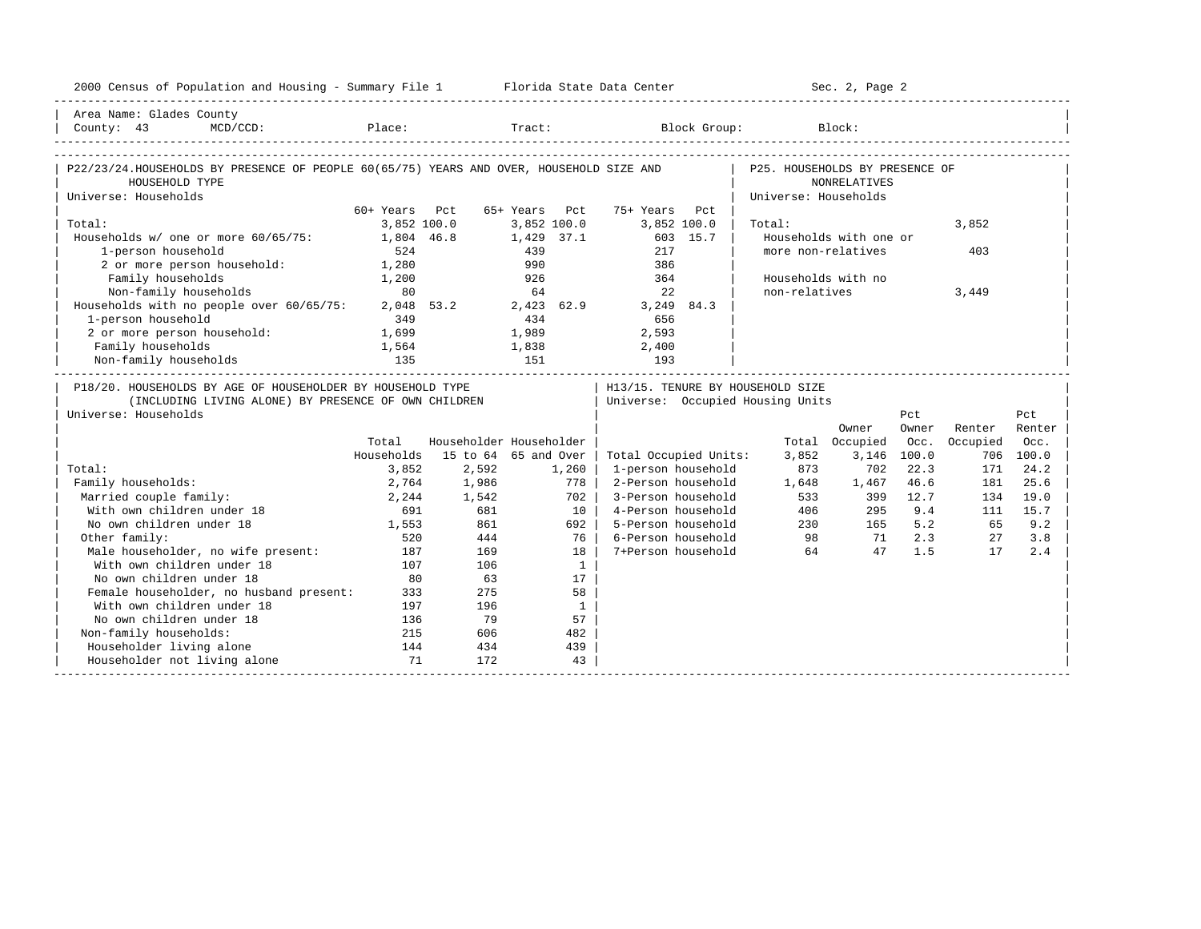| 2000 Census of Population and Housing - Summary File 1 Florida State Data Center                                                                                                                                                                                                                                                                                                                                                                                                                                                                          |               |                         |               |              |                                  |          |                                  | Sec. 2, Page 2         |             |          |           |
|-----------------------------------------------------------------------------------------------------------------------------------------------------------------------------------------------------------------------------------------------------------------------------------------------------------------------------------------------------------------------------------------------------------------------------------------------------------------------------------------------------------------------------------------------------------|---------------|-------------------------|---------------|--------------|----------------------------------|----------|----------------------------------|------------------------|-------------|----------|-----------|
| Area Name: Glades County                                                                                                                                                                                                                                                                                                                                                                                                                                                                                                                                  |               |                         |               |              |                                  |          |                                  |                        |             |          |           |
| $\small \texttt{County: 43} \normalsize \begin{tabular}{l} \texttt{County: 43} \normalsize \begin{tabular}{l} \texttt{MCD/CCD:} \normalsize \end{tabular} \normalsize \begin{tabular}{l} \texttt{Place:} \normalsize \end{tabular} \normalsize \begin{tabular}{l} \texttt{Tract:} \normalsize \end{tabular} \normalsize \begin{tabular}{l} \texttt{Block Group:} \normalsize \end{tabular} \normalsize \begin{tabular}{l} \texttt{Block:} \normalsize \end{tabular} \normalsize \begin{tabular}{l} \texttt{Block:} \normalsize \end{tabular} \normalsize$ |               |                         |               |              |                                  |          |                                  |                        |             |          |           |
|                                                                                                                                                                                                                                                                                                                                                                                                                                                                                                                                                           |               |                         |               |              |                                  |          |                                  |                        |             |          |           |
| P22/23/24.HOUSEHOLDS BY PRESENCE OF PEOPLE 60(65/75) YEARS AND OVER, HOUSEHOLD SIZE AND                                                                                                                                                                                                                                                                                                                                                                                                                                                                   |               |                         |               |              |                                  |          | P25. HOUSEHOLDS BY PRESENCE OF   |                        |             |          |           |
| HOUSEHOLD TYPE                                                                                                                                                                                                                                                                                                                                                                                                                                                                                                                                            |               |                         |               |              |                                  |          |                                  | <b>NONRELATIVES</b>    |             |          |           |
| Universe: Households                                                                                                                                                                                                                                                                                                                                                                                                                                                                                                                                      |               |                         |               |              |                                  |          | Universe: Households             |                        |             |          |           |
|                                                                                                                                                                                                                                                                                                                                                                                                                                                                                                                                                           | 60+ Years Pct |                         | 65+ Years Pct |              | 75+ Years                        | Pct.     |                                  |                        |             |          |           |
| Total:                                                                                                                                                                                                                                                                                                                                                                                                                                                                                                                                                    | 3,852 100.0   |                         |               | 3,852 100.0  | 3,852 100.0                      |          | Total:                           |                        |             | 3,852    |           |
| Households w/ one or more 60/65/75:                                                                                                                                                                                                                                                                                                                                                                                                                                                                                                                       | 1,804 46.8    |                         |               | 1,429 37.1   |                                  | 603 15.7 |                                  | Households with one or |             |          |           |
| 1-person household                                                                                                                                                                                                                                                                                                                                                                                                                                                                                                                                        | 524           |                         | 439           |              | 217                              |          | more non-relatives               |                        |             | 403      |           |
| 2 or more person household: 1,280                                                                                                                                                                                                                                                                                                                                                                                                                                                                                                                         |               |                         | 990           |              | 386                              |          |                                  |                        |             |          |           |
| Family households                                                                                                                                                                                                                                                                                                                                                                                                                                                                                                                                         | 1,200         |                         | 926           |              | 364                              |          | Households with no               |                        |             |          |           |
| Non-family households                                                                                                                                                                                                                                                                                                                                                                                                                                                                                                                                     | 80            |                         | 64            |              | 22                               |          | non-relatives                    |                        |             | 3,449    |           |
| Households with no people over 60/65/75: 2,048 53.2 2,423 62.9                                                                                                                                                                                                                                                                                                                                                                                                                                                                                            |               |                         |               |              | 3,249 84.3                       |          |                                  |                        |             |          |           |
| 1-person household                                                                                                                                                                                                                                                                                                                                                                                                                                                                                                                                        | 349           |                         | 434           |              | 656                              |          |                                  |                        |             |          |           |
| 2 or more person household: 1,699                                                                                                                                                                                                                                                                                                                                                                                                                                                                                                                         |               |                         | 1,989         |              | 2,593                            |          |                                  |                        |             |          |           |
| Family households                                                                                                                                                                                                                                                                                                                                                                                                                                                                                                                                         | 1,564         |                         |               |              | $1,838$ 2,400                    |          |                                  |                        |             |          |           |
| Non-family households                                                                                                                                                                                                                                                                                                                                                                                                                                                                                                                                     |               |                         |               |              |                                  |          |                                  |                        |             |          |           |
| P18/20. HOUSEHOLDS BY AGE OF HOUSEHOLDER BY HOUSEHOLD TYPE                                                                                                                                                                                                                                                                                                                                                                                                                                                                                                |               |                         |               |              | H13/15. TENURE BY HOUSEHOLD SIZE |          |                                  |                        |             |          |           |
| (INCLUDING LIVING ALONE) BY PRESENCE OF OWN CHILDREN                                                                                                                                                                                                                                                                                                                                                                                                                                                                                                      |               |                         |               |              |                                  |          | Universe: Occupied Housing Units |                        |             |          |           |
| Universe: Households                                                                                                                                                                                                                                                                                                                                                                                                                                                                                                                                      |               |                         |               |              |                                  |          |                                  |                        | Pct         |          | Pct       |
|                                                                                                                                                                                                                                                                                                                                                                                                                                                                                                                                                           |               |                         |               |              |                                  |          |                                  | Owner                  | Owner       | Renter   | Renter    |
|                                                                                                                                                                                                                                                                                                                                                                                                                                                                                                                                                           | Total         | Householder Householder |               |              |                                  |          |                                  | Total Occupied         | Occ.        | Occupied | Occ.      |
|                                                                                                                                                                                                                                                                                                                                                                                                                                                                                                                                                           | Households    | 15 to 64 65 and Over    |               |              | Total Occupied Units:            |          | 3,852                            |                        | 3,146 100.0 |          | 706 100.0 |
| Total:                                                                                                                                                                                                                                                                                                                                                                                                                                                                                                                                                    | 3,852         | 2,592                   |               | 1,260        | 1-person household               |          | 873                              | 702                    | 22.3        | 171      | 24.2      |
| Family households:                                                                                                                                                                                                                                                                                                                                                                                                                                                                                                                                        | 2,764         | 1,986                   |               | 778          | 2-Person household               |          | 1,648                            | 1,467                  | 46.6        | 181      | 25.6      |
| Married couple family:                                                                                                                                                                                                                                                                                                                                                                                                                                                                                                                                    | 2,244         | 1,542                   |               | 702          | 3-Person household               |          |                                  |                        | 399 12.7    | 134      | 19.0      |
| With own children under 18                                                                                                                                                                                                                                                                                                                                                                                                                                                                                                                                | 691           | 681                     |               | $10-1$       | 4-Person household               |          |                                  | 533<br>406             | 295 9.4     | 111      | 15.7      |
| No own children under 18                                                                                                                                                                                                                                                                                                                                                                                                                                                                                                                                  | 1,553         | 861                     |               | $692$        | 5-Person household               |          |                                  | 230<br>165             | 5.2         | 65       | 9.2       |
| Other family:                                                                                                                                                                                                                                                                                                                                                                                                                                                                                                                                             | 520           | 444                     |               | 76           | 6-Person household               |          |                                  | 98 71                  | 2.3         | 27       | 3.8       |
| Male householder, no wife present:                                                                                                                                                                                                                                                                                                                                                                                                                                                                                                                        | 187           | 169                     |               | 18           | 7+Person household               |          | 64                               | 47                     | 1.5         | 17       | 2.4       |
| With own children under 18                                                                                                                                                                                                                                                                                                                                                                                                                                                                                                                                | 107           | 106                     |               | $\mathbf{1}$ |                                  |          |                                  |                        |             |          |           |
| No own children under 18                                                                                                                                                                                                                                                                                                                                                                                                                                                                                                                                  | 80            | 63                      |               | 17           |                                  |          |                                  |                        |             |          |           |
| Female householder, no husband present:                                                                                                                                                                                                                                                                                                                                                                                                                                                                                                                   | 333           | 275                     |               | 58           |                                  |          |                                  |                        |             |          |           |
| With own children under 18                                                                                                                                                                                                                                                                                                                                                                                                                                                                                                                                | 197           | 196                     |               | $\mathbf{1}$ |                                  |          |                                  |                        |             |          |           |
| No own children under 18                                                                                                                                                                                                                                                                                                                                                                                                                                                                                                                                  | 136           | 79                      |               | 57           |                                  |          |                                  |                        |             |          |           |
| Non-family households:                                                                                                                                                                                                                                                                                                                                                                                                                                                                                                                                    | 215           | 606                     |               | 482          |                                  |          |                                  |                        |             |          |           |
| Householder living alone                                                                                                                                                                                                                                                                                                                                                                                                                                                                                                                                  | 144           | 434                     |               | 439          |                                  |          |                                  |                        |             |          |           |
| Householder not living alone                                                                                                                                                                                                                                                                                                                                                                                                                                                                                                                              | 71            | 172                     |               | 43           |                                  |          |                                  |                        |             |          |           |
|                                                                                                                                                                                                                                                                                                                                                                                                                                                                                                                                                           |               |                         |               |              |                                  |          |                                  |                        |             |          |           |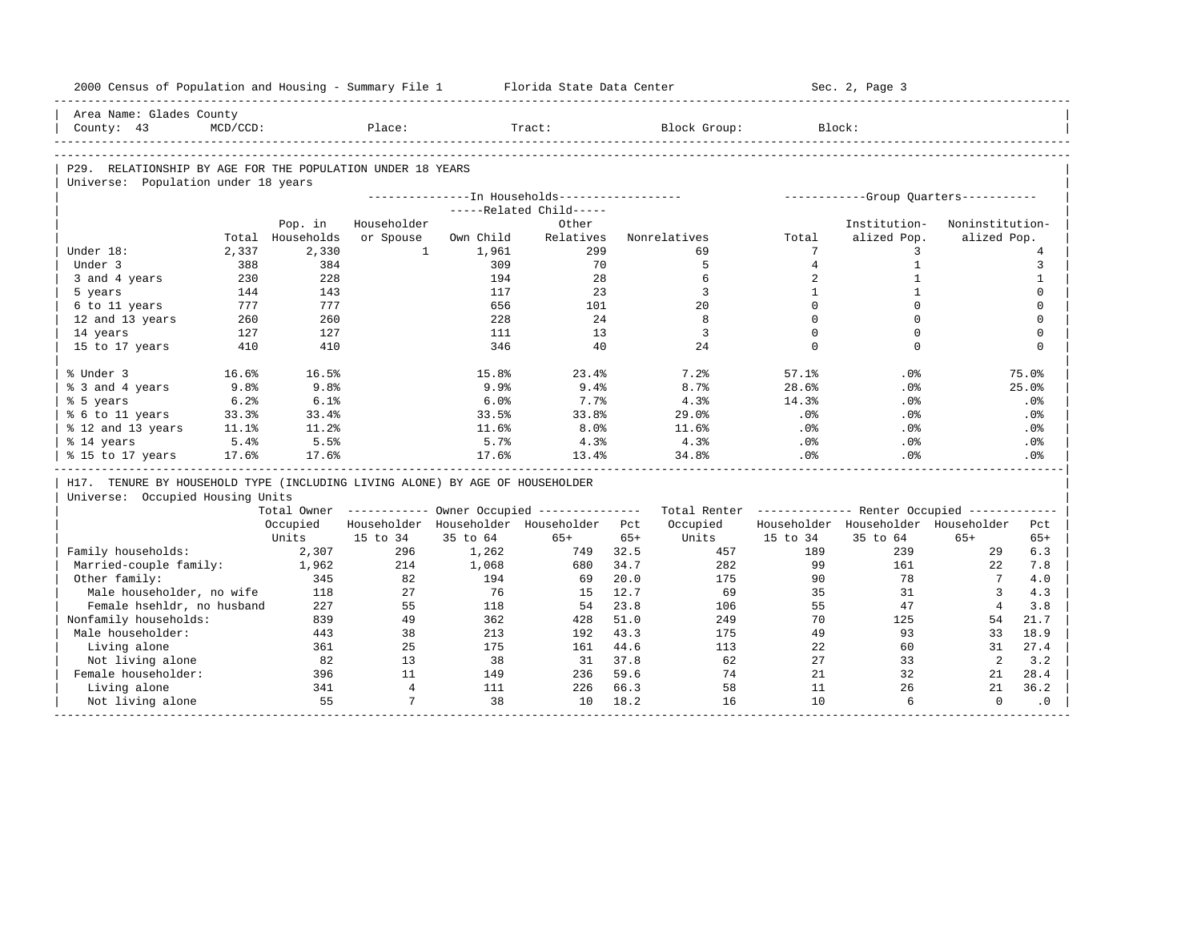|                                                                              |          |                  | 2000 Census of Population and Housing - Summary File 1 |           | Florida State Data Center                               |       |                                                         |                | Sec. 2, Page 3                        |                 |                 |
|------------------------------------------------------------------------------|----------|------------------|--------------------------------------------------------|-----------|---------------------------------------------------------|-------|---------------------------------------------------------|----------------|---------------------------------------|-----------------|-----------------|
| Area Name: Glades County                                                     |          |                  |                                                        |           |                                                         |       |                                                         |                |                                       |                 |                 |
| County: 43                                                                   | MCD/CCD: |                  | Place:                                                 |           | Tract:                                                  |       | Block Group:                                            |                | Block:                                |                 |                 |
|                                                                              |          |                  |                                                        |           |                                                         |       |                                                         |                |                                       |                 |                 |
| P29. RELATIONSHIP BY AGE FOR THE POPULATION UNDER 18 YEARS                   |          |                  |                                                        |           |                                                         |       |                                                         |                |                                       |                 |                 |
| Universe: Population under 18 years                                          |          |                  |                                                        |           |                                                         |       |                                                         |                |                                       |                 |                 |
|                                                                              |          |                  |                                                        |           | ---------------- In Households------------------        |       |                                                         |                | ------------Group Quarters----------- |                 |                 |
|                                                                              |          |                  |                                                        |           | -----Related Child-----                                 |       |                                                         |                |                                       |                 |                 |
|                                                                              |          | Pop. in          | Householder                                            |           | Other                                                   |       |                                                         |                | Institution-                          | Noninstitution- |                 |
|                                                                              |          | Total Households | or Spouse                                              | Own Child | Relatives                                               |       | Nonrelatives                                            | Total          | alized Pop.                           | alized Pop.     |                 |
| Under 18:                                                                    | 2,337    | 2,330            | $\mathbf{1}$                                           | 1,961     | 299                                                     |       | 69                                                      | 7              | 3                                     |                 | $\overline{4}$  |
| Under 3                                                                      | 388      | 384              |                                                        | 309       | 70                                                      |       | 5                                                       | $\overline{4}$ | $\mathbf{1}$                          |                 | 3               |
| 3 and 4 years                                                                | 230      | 228              |                                                        | 194       | 28                                                      |       | 6                                                       | 2              | $\mathbf{1}$                          |                 | $\mathbf{1}$    |
| 5 years                                                                      | 144      | 143              |                                                        | 117       | 23                                                      |       | 3                                                       | $\mathbf{1}$   | $\mathbf{1}$                          |                 | $\mathbf 0$     |
| 6 to 11 years                                                                | 777      | 777              |                                                        | 656       | 101                                                     |       | 20                                                      | $\Omega$       | $\Omega$                              |                 | $\mathbf 0$     |
| 12 and 13 years                                                              | 260      | 260              |                                                        | 228       | 24                                                      |       | 8                                                       | $\Omega$       | $\Omega$                              |                 | $\mathbf 0$     |
| 14 years                                                                     | 127      | 127              |                                                        | 111       | 13                                                      |       | $\overline{3}$                                          | $\Omega$       | $\Omega$                              |                 | $\mathbf 0$     |
| 15 to 17 years                                                               | 410      | 410              |                                                        | 346       | 40                                                      |       | 24                                                      | $\Omega$       | $\Omega$                              |                 | $\Omega$        |
| % Under 3                                                                    | 16.6%    | 16.5%            |                                                        | 15.8%     | 23.4%                                                   |       | 7.2%                                                    | 57.1%          | .0%                                   |                 | 75.0%           |
| % 3 and 4 years                                                              | 9.8%     | 9.8%             |                                                        | 9.9%      | 9.4%                                                    |       | 8.7%                                                    | 28.6%          | .0%                                   |                 | 25.0%           |
| % 5 years                                                                    | 6.2%     | 6.1%             |                                                        | 6.0%      | 7.7%                                                    |       | 4.3%                                                    | 14.3%          | .0%                                   |                 | .0%             |
| % 6 to 11 years                                                              | 33.3%    | 33.4%            |                                                        | 33.5%     | 33.8%                                                   |       | 29.0%                                                   | $.0\%$         | .0%                                   |                 | .0%             |
| % 12 and 13 years                                                            | 11.1%    | 11.2%            |                                                        | 11.6%     | 8.0%                                                    |       | 11.6%                                                   | .0%            | .0%                                   |                 | $.0\%$          |
|                                                                              |          |                  |                                                        | 5.7%      | 4.3%                                                    |       | 4.3%                                                    | $.0\%$         | .0%                                   |                 | .0%             |
| % 14 years                                                                   | 5.4%     | 5.5%             |                                                        |           |                                                         |       |                                                         |                |                                       |                 |                 |
| % 15 to 17 years                                                             | 17.6%    | 17.6%            |                                                        | 17.6%     | 13.4%                                                   |       | 34.8%                                                   | .0%            | .0%                                   |                 | .0 <sup>8</sup> |
| H17. TENURE BY HOUSEHOLD TYPE (INCLUDING LIVING ALONE) BY AGE OF HOUSEHOLDER |          |                  |                                                        |           |                                                         |       |                                                         |                |                                       |                 |                 |
| Universe: Occupied Housing Units                                             |          |                  |                                                        |           |                                                         |       |                                                         |                |                                       |                 |                 |
|                                                                              |          |                  |                                                        |           | Total Owner ------------ Owner Occupied --------------- |       | Total Renter ------------- Renter Occupied ------------ |                |                                       |                 |                 |
|                                                                              |          | Occupied         |                                                        |           | Householder Householder Householder Pct                 |       | Occupied                                                |                | Householder Householder Householder   |                 | Pct             |
|                                                                              |          | Units            | 15 to 34                                               | 35 to 64  | $65+$                                                   | $65+$ | Units                                                   | 15 to 34       | 35 to 64                              | $65+$           | $65+$           |
| Family households:                                                           |          | 2,307            | 296                                                    | 1,262     | 749                                                     | 32.5  | 457                                                     | 189            | 239                                   | 29              | 6.3             |
| Married-couple family:                                                       |          | 1,962            | 214                                                    | 1,068     | 680                                                     | 34.7  | 282                                                     | 99             | 161                                   | 2.2             | 7.8             |
| Other family:                                                                |          | 345              | 82                                                     | 194       | 69                                                      | 20.0  | 175                                                     | 90             | 78                                    | $7\phantom{.0}$ | 4.0             |
| Male householder, no wife                                                    |          | 118              | 27                                                     | 76        | 15                                                      | 12.7  | 69                                                      | 35             | 31                                    | $\overline{3}$  | 4.3             |
| Female hsehldr, no husband                                                   |          | 227              | 55                                                     | 118       | 54                                                      | 23.8  | 106                                                     | 55             | 47                                    | $\overline{4}$  | 3.8             |
| Nonfamily households:                                                        |          | 839              | 49                                                     | 362       | 428                                                     | 51.0  | 249                                                     | 70             | 125                                   | 54              | 21.7            |
| Male householder:                                                            |          | 443              | 38                                                     | 213       | 192                                                     | 43.3  | 175                                                     | 49             | 93                                    | 33              | 18.9            |
| Living alone                                                                 |          | 361              | 25                                                     | 175       | 161                                                     | 44.6  | 113                                                     | 22             | 60                                    | 31              | 27.4            |
| Not living alone                                                             |          | 82               | 13                                                     | 38        | 31 37.8                                                 |       | 62                                                      | 27             | 33                                    | 2               |                 |
| Female householder:                                                          |          | 396              | 11                                                     | 149       | 236                                                     | 59.6  | 74                                                      | 21             | 32                                    | 21              | 3.2<br>28.4     |
| Living alone                                                                 |          | 341              | $\overline{4}$                                         | 111       | 226                                                     | 66.3  | 58                                                      | 11             | 26                                    | 21              | 36.2            |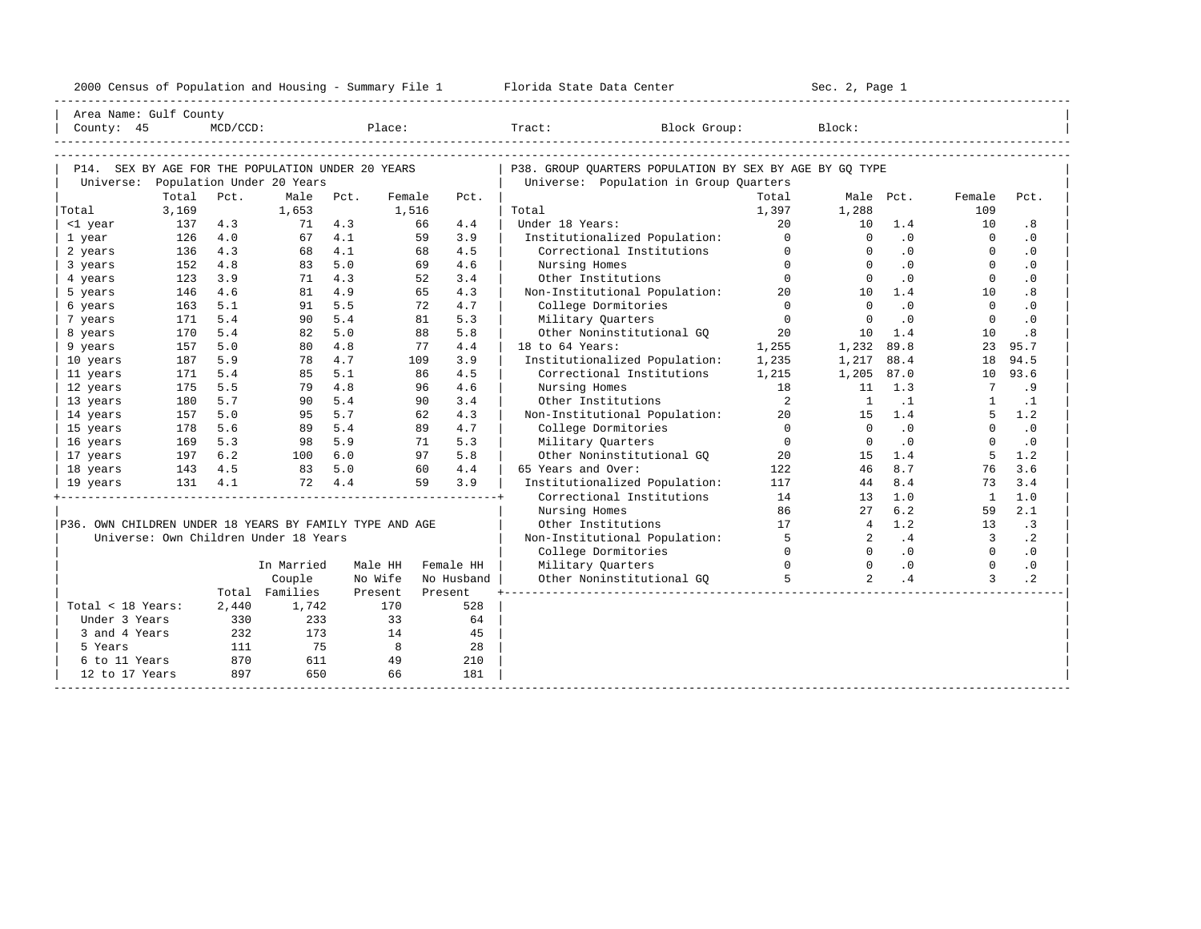| 2000<br>ensus! | and<br>Population | ---<br>Summa:<br>$-$<br>Housing | lorida<br>Data<br>otatt<br>cence. | ، م ج<br>Page<br>$3-1$ |  |
|----------------|-------------------|---------------------------------|-----------------------------------|------------------------|--|
|                |                   |                                 |                                   |                        |  |

| Area Name: Gulf County                                  |         |             |                                       |               |                |            |      |                                                            |                            |                      |                            |                          |                        |
|---------------------------------------------------------|---------|-------------|---------------------------------------|---------------|----------------|------------|------|------------------------------------------------------------|----------------------------|----------------------|----------------------------|--------------------------|------------------------|
| County: 45                                              |         | $MCD/CCD$ : |                                       |               | Place:         |            |      | Tract:<br>Block Group:                                     |                            | Block:               |                            |                          |                        |
|                                                         |         |             |                                       |               |                |            |      |                                                            |                            |                      |                            |                          |                        |
|                                                         |         |             |                                       |               |                |            |      |                                                            |                            |                      |                            |                          |                        |
| P14. SEX BY AGE FOR THE POPULATION UNDER 20 YEARS       |         |             |                                       |               |                |            |      | P38. GROUP QUARTERS POPULATION BY SEX BY AGE BY GQ TYPE    |                            |                      |                            |                          |                        |
| Universe:                                               |         |             | Population Under 20 Years             |               |                |            |      | Universe: Population in Group Quarters                     |                            |                      |                            |                          |                        |
|                                                         | Total   | Pct.        | Male                                  | Pct.          | Female         |            | Pct. |                                                            | Total                      |                      | Male Pct.                  | Female                   | Pct.                   |
| Total                                                   | 3,169   |             | 1,653                                 |               | 1,516          |            |      | Total                                                      | 1,397                      | 1,288                |                            | 109                      |                        |
| <1 year                                                 | 137     | 4.3         | 71                                    | 4.3           |                | 66         | 4.4  | Under 18 Years:                                            | $20^{\circ}$<br>$\Omega$   | 10                   | 1.4                        | 10                       | .8                     |
| 1 year                                                  | 126     | 4.0         |                                       | 67 4.1<br>4.1 |                | 59         | 3.9  | Institutionalized Population:<br>Correctional Institutions | $\Omega$                   | $\Omega$<br>$\Omega$ | .0<br>.0                   | $\Omega$<br>$\Omega$     | $\cdot$ 0              |
| 2 years                                                 | 136     | 4.3<br>4.8  | 68                                    | 5.0           |                | 68         | 4.5  |                                                            | $\Omega$                   | $\Omega$             | .0                         |                          | $\cdot$ 0<br>$\cdot$ 0 |
| 3 years                                                 | 152     | 3.9         | 83                                    | 4.3           |                | 69         | 4.6  | Nursing Homes                                              | $\Omega$                   | $\Omega$             | $\cdot$ 0                  | $\mathbf{0}$<br>$\Omega$ | $\cdot$ 0              |
| 4 years                                                 | 123     | 4.6         | 71                                    | 4.9           |                | 52<br>65   | 3.4  | Other Institutions                                         |                            | 10                   |                            | 10                       |                        |
| 5 years                                                 | 146     |             | 81                                    | 5.5           |                | 72         | 4.3  | Non-Institutional Population:                              | 20<br>$\Omega$             | $\Omega$             | 1.4                        | $\Omega$                 | .8                     |
| 6 years                                                 | 163     | 5.1         | 91                                    | 5.4           |                |            | 4.7  | College Dormitories                                        |                            |                      | $\cdot$ 0                  |                          | $\cdot$ 0              |
| 7 years                                                 | 171     | 5.4         | 90                                    | 5.0           |                | 81         | 5.3  | Military Quarters                                          | $\Omega$                   | $\Omega$             | $\cdot$ 0                  | $\Omega$                 | .0                     |
| 8 years                                                 | 170     | 5.4         | 82                                    |               |                | 88         | 5.8  | Other Noninstitutional GQ 30                               |                            | 10                   | 1.4                        | 10                       | .8                     |
| 9 years                                                 | 157     | 5.0         | 80                                    | 4.8           |                | 77         | 4.4  | 18 to 64 Years:                                            | 1,255                      | 1,232                | 89.8                       | 23                       | 95.7                   |
| 10 years                                                | 187     | 5.9         | 78                                    | 4.7           |                | 109        | 3.9  | Institutionalized Population:                              | 1,235                      | 1,217                | 88.4                       | 18                       | 94.5                   |
| 11 years                                                | 171     | 5.4         | 85                                    | 5.1           |                | 86         | 4.5  | Correctional Institutions                                  | 1,215                      | 1,205 87.0           |                            | 10                       | 93.6                   |
| 12 years                                                | 175     | 5.5         | 79                                    | 4.8           |                | 96         | 4.6  | Nursing Homes                                              | 18                         | 11                   | 1.3                        | $7\overline{ }$          | .9                     |
| 13 years                                                | 180     | 5.7         | 90                                    | 5.4           |                | 90         | 3.4  | Other Institutions                                         | $\overline{\phantom{a}}$ 2 | <sup>1</sup>         | $\cdot$ 1                  | $\overline{1}$           | $\cdot$ 1              |
| 14 years                                                | 157     | 5.0         | 95                                    | 5.7           |                | 62         | 4.3  | Non-Institutional Population:                              | 20                         | 15                   | 1.4                        | .5                       | 1.2                    |
| 15 years                                                | 178     | 5.6         | 89                                    | 5.4           |                | 89         | 4.7  | College Dormitories                                        | $\overline{0}$             | $\Omega$             | $\cdot$ 0                  | $\Omega$                 | $\cdot$ 0              |
| 16 years                                                | 169     | 5.3         | 98                                    | 5.9           |                | 71         | 5.3  | Military Ouarters                                          | $\bigcirc$                 | $\Omega$             | $\cdot$ 0                  | $\Omega$                 | $\cdot$ 0              |
| 17 years                                                | 197     | 6.2         | 100                                   | 6.0           |                | 97         | 5.8  | Other Noninstitutional GQ 30                               |                            | 1.5                  | 1.4                        | -5                       | 1.2                    |
| 18 years                                                | 143 4.5 |             | 83 5.0                                |               |                | 60         | 4.4  | 65 Years and Over:                                         | 122                        | 46                   | 8.7                        | 76                       | 3.6                    |
| 19 years                                                | 131 4.1 |             |                                       | 72 4.4        |                | 59         | 3.9  | Institutionalized Population:                              | 117                        | 44                   | 8.4                        | 73                       | 3.4                    |
|                                                         |         |             |                                       |               |                |            |      | Correctional Institutions                                  | 14                         | 13                   | 1.0                        | $\overline{1}$           | 1.0                    |
|                                                         |         |             |                                       |               |                |            |      | Nursing Homes                                              | 86                         | 27                   | 6.2                        | 59                       | 2.1                    |
| P36. OWN CHILDREN UNDER 18 YEARS BY FAMILY TYPE AND AGE |         |             |                                       |               |                |            |      | Other Institutions                                         | 17                         | $\overline{4}$       | 1.2                        | 13                       | $\cdot$ 3              |
|                                                         |         |             | Universe: Own Children Under 18 Years |               |                |            |      | Non-Institutional Population:                              | $\overline{5}$             | $\overline{a}$       | .4                         | $\overline{3}$           | $\cdot$ 2              |
|                                                         |         |             |                                       |               |                |            |      | College Dormitories                                        | $\Omega$                   | $\Omega$             | $\overline{\phantom{0}}$ . | $\Omega$                 | $\cdot$ 0              |
|                                                         |         |             | In Married                            |               | Male HH        | Female HH  |      | Military Quarters                                          | $\Omega$                   |                      | $0 \qquad .0$              | $\Omega$                 | $\cdot$ 0              |
|                                                         |         |             | Couple                                |               | No Wife        | No Husband |      | Other Noninstitutional GQ                                  | -5                         | $\overline{2}$       | .4                         | 3                        | $\cdot$ 2              |
|                                                         |         |             | Total Families                        |               | Present        | Present    |      |                                                            |                            |                      |                            |                          |                        |
| Total < 18 Years:                                       |         | 2,440       | 1,742                                 |               | 170            |            | 528  |                                                            |                            |                      |                            |                          |                        |
| Under 3 Years                                           |         | 330         | 233                                   |               | 33             |            | 64   |                                                            |                            |                      |                            |                          |                        |
| 3 and 4 Years                                           |         | 232         | 173                                   |               | 14             |            | 45   |                                                            |                            |                      |                            |                          |                        |
| 5 Years                                                 |         | 111         | 75                                    |               | $\overline{8}$ |            | 28   |                                                            |                            |                      |                            |                          |                        |
| 6 to 11 Years                                           |         | 870         | 611                                   |               | 49             |            | 210  |                                                            |                            |                      |                            |                          |                        |
| 12 to 17 Years                                          |         | 897         | 650                                   |               | 66             |            | 181  |                                                            |                            |                      |                            |                          |                        |
|                                                         |         |             |                                       |               |                |            |      |                                                            |                            |                      |                            |                          |                        |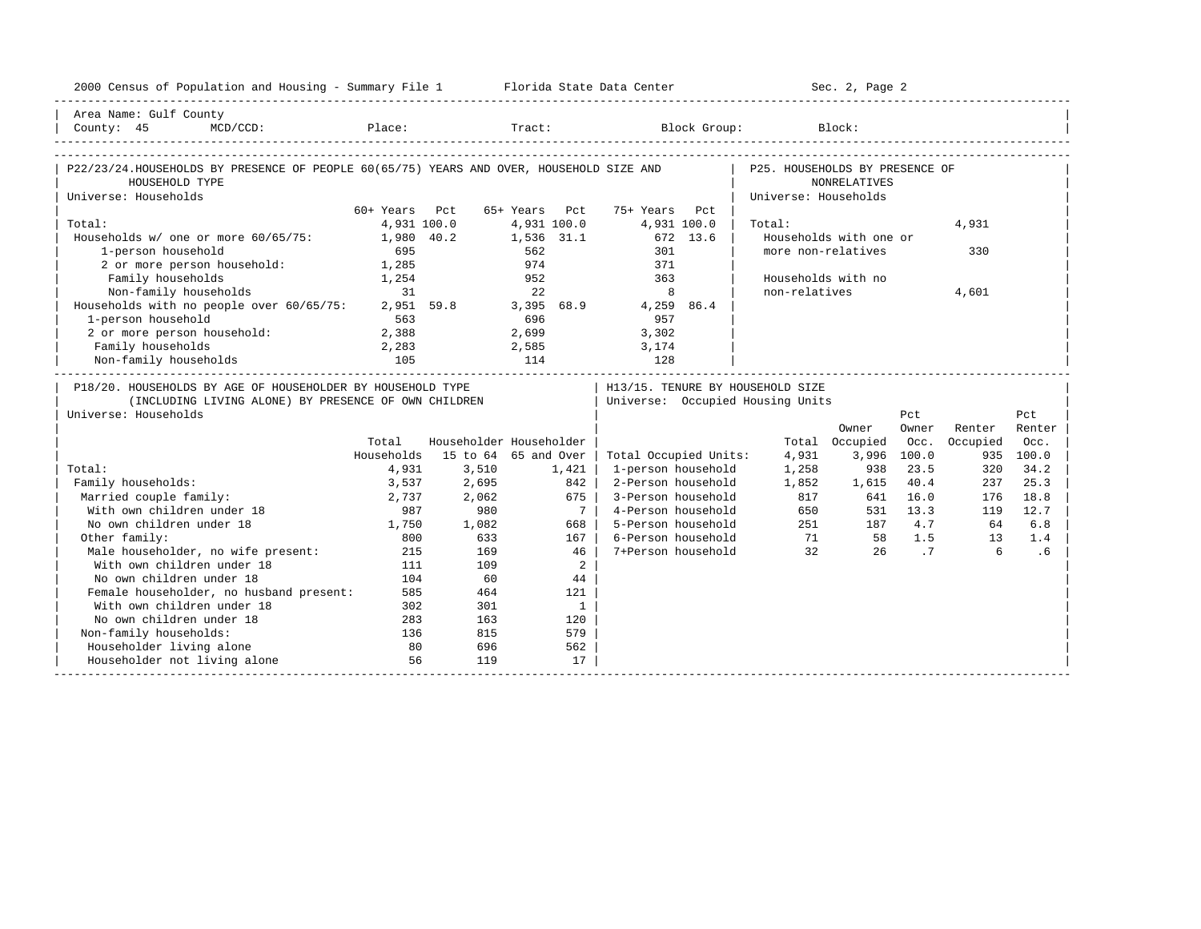| 2000 Census of Population and Housing - Summary File 1 Florida State Data Center                                                                                                                                 |                 |       |                         |                                  | _________________________      | Sec. 2, Page 2         |                |          |           |
|------------------------------------------------------------------------------------------------------------------------------------------------------------------------------------------------------------------|-----------------|-------|-------------------------|----------------------------------|--------------------------------|------------------------|----------------|----------|-----------|
| Area Name: Gulf County                                                                                                                                                                                           |                 |       |                         |                                  |                                |                        |                |          |           |
| $\begin{tabular}{ l l } \hline County: & 45 & McD/CCD: & \textcolor{red}{Place:} & \textcolor{red}{Trace:} & \textcolor{red}{Block Group:} & \textcolor{blue}{Block:} & \textcolor{green}{Block:} \end{tabular}$ |                 |       |                         |                                  |                                |                        |                |          |           |
|                                                                                                                                                                                                                  |                 |       |                         |                                  |                                |                        |                |          |           |
| P22/23/24.HOUSEHOLDS BY PRESENCE OF PEOPLE 60(65/75) YEARS AND OVER, HOUSEHOLD SIZE AND                                                                                                                          |                 |       |                         |                                  | P25. HOUSEHOLDS BY PRESENCE OF |                        |                |          |           |
| HOUSEHOLD TYPE                                                                                                                                                                                                   |                 |       |                         |                                  |                                | <b>NONRELATIVES</b>    |                |          |           |
| Universe: Households                                                                                                                                                                                             |                 |       |                         |                                  | Universe: Households           |                        |                |          |           |
|                                                                                                                                                                                                                  | 60+ Years Pct   |       | 65+ Years Pct           | 75+ Years<br>Pct.                |                                |                        |                |          |           |
| Total:                                                                                                                                                                                                           | 4,931 100.0     |       | 4,931 100.0             | 4,931 100.0                      | Total:                         |                        |                | 4,931    |           |
| Households w/ one or more 60/65/75:                                                                                                                                                                              | 1,980 40.2      |       | 1,536 31.1              | 672 13.6                         |                                | Households with one or |                |          |           |
| 1-person household                                                                                                                                                                                               | 695             |       | 562                     | 301                              | more non-relatives             |                        |                | 330      |           |
| 2 or more person household: 1,285                                                                                                                                                                                |                 |       | 974                     | 371                              |                                |                        |                |          |           |
| Family households                                                                                                                                                                                                | 1,254           |       | 952                     | 363                              |                                | Households with no     |                |          |           |
| Non-family households                                                                                                                                                                                            | $\overline{31}$ |       | 2.2                     | 8                                | non-relatives                  |                        |                | 4,601    |           |
| Households with no people over 60/65/75:                                                                                                                                                                         |                 |       |                         | 2,951 59.8 3,395 68.9 4,259 86.4 |                                |                        |                |          |           |
| 1-person household                                                                                                                                                                                               | 563             |       | 696                     | 957                              |                                |                        |                |          |           |
| 2 or more person household:                                                                                                                                                                                      | 2,388           |       | 2,699                   | 3,302                            |                                |                        |                |          |           |
| Family households                                                                                                                                                                                                | 2,283           |       |                         | 2,585 3,174                      |                                |                        |                |          |           |
| Non-family households                                                                                                                                                                                            |                 |       |                         | 128                              |                                |                        |                |          |           |
| P18/20. HOUSEHOLDS BY AGE OF HOUSEHOLDER BY HOUSEHOLD TYPE                                                                                                                                                       |                 |       |                         | H13/15. TENURE BY HOUSEHOLD SIZE |                                |                        |                |          |           |
| (INCLUDING LIVING ALONE) BY PRESENCE OF OWN CHILDREN                                                                                                                                                             |                 |       |                         | Universe: Occupied Housing Units |                                |                        |                |          |           |
| Universe: Households                                                                                                                                                                                             |                 |       |                         |                                  |                                |                        | Pct            |          | Pct       |
|                                                                                                                                                                                                                  |                 |       |                         |                                  |                                | Owner                  | Owner          | Renter   | Renter    |
|                                                                                                                                                                                                                  | Total           |       | Householder Householder |                                  |                                | Total Occupied         | Occ.           | Occupied | Occ.      |
|                                                                                                                                                                                                                  | Households      |       | 15 to 64 65 and Over    | Total Occupied Units:            | 4,931                          |                        | 3,996 100.0    |          | 935 100.0 |
| Total:                                                                                                                                                                                                           | 4,931           | 3,510 | 1,421                   | 1-person household               | 1,258                          | 938                    | 23.5           | 320      | 34.2      |
| Family households:                                                                                                                                                                                               | 3,537           | 2,695 | 842                     | 2-Person household               | 1,852                          | 1,615                  | 40.4           | 237      | 25.3      |
| Married couple family:                                                                                                                                                                                           | 2,737           | 2,062 | 675                     | 3-Person household               | 817                            |                        | 641 16.0       | 176      | 18.8      |
| With own children under 18                                                                                                                                                                                       | 987             | 980   | 7 <sup>1</sup>          | 4-Person household               |                                | 817<br>650             | 531 13.3       | 119      | 12.7      |
| No own children under 18                                                                                                                                                                                         | 1,750           | 1,082 | 668                     | 5-Person household               |                                | 251<br>187             | 4.7            | 64       | 6.8       |
| Other family:                                                                                                                                                                                                    | 800             | 633   | 167                     | 6-Person household               |                                | 71 58 1.5              |                | 1.3      | 1.4       |
| Male householder, no wife present:                                                                                                                                                                               | 215             | 169   | 46                      | 7+Person household               | $\overline{32}$                | 26                     | $\overline{7}$ | 6        | .6        |
| With own children under 18                                                                                                                                                                                       | 111             | 109   | $\overline{a}$          |                                  |                                |                        |                |          |           |
| No own children under 18                                                                                                                                                                                         | 104             | 60    | 44                      |                                  |                                |                        |                |          |           |
| Female householder, no husband present:                                                                                                                                                                          | 585             | 464   | 121                     |                                  |                                |                        |                |          |           |
| With own children under 18                                                                                                                                                                                       | 302             | 301   | $\overline{1}$          |                                  |                                |                        |                |          |           |
| No own children under 18                                                                                                                                                                                         | 283             | 163   | 120                     |                                  |                                |                        |                |          |           |
| Non-family households:                                                                                                                                                                                           | 136             | 815   | 579                     |                                  |                                |                        |                |          |           |
| Householder living alone                                                                                                                                                                                         | 80              | 696   | 562                     |                                  |                                |                        |                |          |           |
| Householder not living alone                                                                                                                                                                                     | 56              | 119   | 17                      |                                  |                                |                        |                |          |           |
|                                                                                                                                                                                                                  |                 |       |                         |                                  |                                |                        |                |          |           |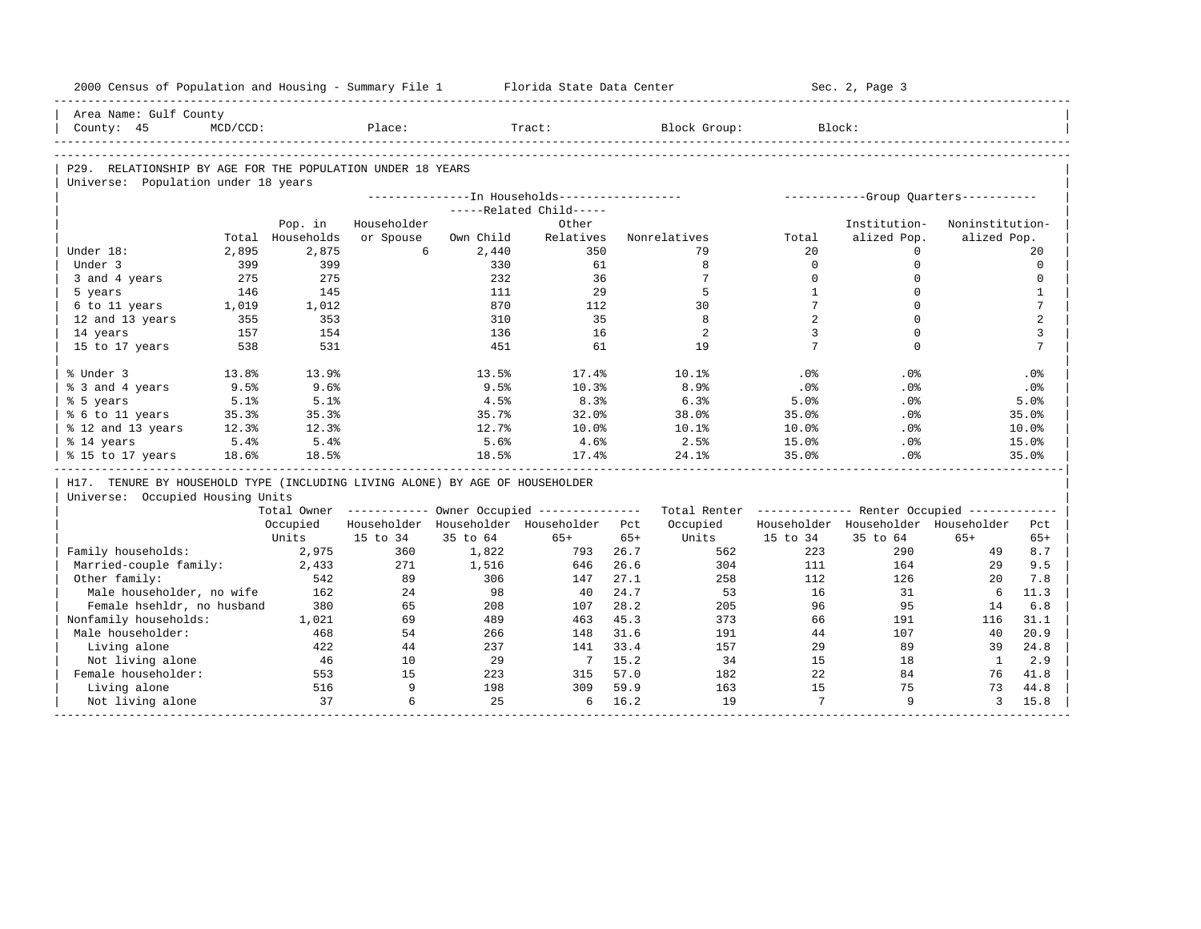| 2000 Census of Population and Housing - Summary File 1                       |             |                  |             |           | Florida State Data Center                                                |       |                                                         |                       | Sec. 2, Page 3                        |                 |                 |
|------------------------------------------------------------------------------|-------------|------------------|-------------|-----------|--------------------------------------------------------------------------|-------|---------------------------------------------------------|-----------------------|---------------------------------------|-----------------|-----------------|
| Area Name: Gulf County                                                       |             |                  |             |           |                                                                          |       |                                                         |                       |                                       |                 |                 |
| County: 45                                                                   | $MCD/CCD$ : |                  | Place:      |           | Tract:                                                                   |       | Block Group:                                            | Block:                |                                       |                 |                 |
|                                                                              |             |                  |             |           |                                                                          |       |                                                         |                       |                                       |                 |                 |
| P29. RELATIONSHIP BY AGE FOR THE POPULATION UNDER 18 YEARS                   |             |                  |             |           |                                                                          |       |                                                         |                       |                                       |                 |                 |
| Universe: Population under 18 years                                          |             |                  |             |           |                                                                          |       |                                                         |                       |                                       |                 |                 |
|                                                                              |             |                  |             |           | ---------------In Households-----------------<br>-----Related Child----- |       |                                                         |                       | ------------Group Quarters----------- |                 |                 |
|                                                                              |             | Pop. in          | Householder |           | Other                                                                    |       |                                                         |                       | Institution-                          | Noninstitution- |                 |
|                                                                              |             | Total Households | or Spouse   | Own Child | Relatives                                                                |       | Nonrelatives                                            | Total                 | alized Pop.                           | alized Pop.     |                 |
| Under 18:                                                                    | 2,895       | 2,875            | 6           | 2,440     | 350                                                                      |       | 79                                                      | 20                    | $\mathbf{0}$                          |                 | 20              |
| Under 3                                                                      | 399         | 399              |             | 330       | 61                                                                       |       | 8                                                       | $\Omega$              | $\mathbf 0$                           |                 | $\Omega$        |
| 3 and 4 years                                                                | 275         | 275              |             | 232       | 36                                                                       |       | $7\phantom{.0}$                                         | $\Omega$              | $\mathbf 0$                           |                 | $\mathbf 0$     |
| 5 years                                                                      | 146         | 145              |             | 111       | 29                                                                       |       | 5                                                       | $\mathbf{1}$          | $\Omega$                              |                 | $\mathbf{1}$    |
| 6 to 11 years                                                                | 1,019       | 1,012            |             | 870       | 112                                                                      |       | 30                                                      | $7\phantom{.0}$       | $\Omega$                              |                 | $7\phantom{.0}$ |
| 12 and 13 years                                                              | 355         | 353              |             | 310       | 35                                                                       |       | 8                                                       | $\overline{2}$        | $\Omega$                              |                 | 2               |
| 14 years                                                                     | 157         | 154              |             | 136       | 16                                                                       |       | 2                                                       | 3                     | $\mathbf 0$                           |                 | 3               |
| 15 to 17 years                                                               | 538         | 531              |             | 451       | 61                                                                       |       | 19                                                      | 7                     | $\Omega$                              |                 | $7\phantom{.0}$ |
|                                                                              |             |                  |             |           |                                                                          |       |                                                         |                       |                                       |                 |                 |
| % Under 3                                                                    | 13.8%       | 13.9%            |             | 13.5%     | 17.4%                                                                    |       | 10.1%                                                   | .0%                   | .0%                                   |                 | .0%             |
| % 3 and 4 years                                                              | 9.5%        | 9.6%             |             | 9.5%      | 10.3%                                                                    |       | 8.9%                                                    | .0%                   | .0%                                   |                 | .0%             |
| % 5 years                                                                    | 5.1%        | 5.1%             |             | 4.5%      | 8.3%                                                                     |       | 6.3%                                                    | 5.0%                  | .0%                                   |                 | 5.0%            |
| % 6 to 11 years                                                              | 35.3%       | 35.3%            |             | 35.7%     | 32.0%                                                                    |       | 38.0%                                                   | 35.0%                 | .0%                                   |                 | 35.0%           |
| % 12 and 13 years                                                            | 12.3%       | 12.3%            |             | 12.7%     | 10.0%                                                                    |       | 10.1%                                                   | 10.0%                 | .0%                                   |                 | 10.0%           |
| % 14 years                                                                   | 5.4%        | 5.4%             |             | 5.6%      | 4.6%                                                                     |       | 2.5%                                                    | 15.0%                 | $.0\%$                                |                 | 15.0%           |
| % 15 to 17 years                                                             | 18.6%       | 18.5%            |             | 18.5%     | 17.4%                                                                    |       | 24.1%                                                   | 35.0%                 | .0%                                   |                 | 35.0%           |
|                                                                              |             |                  |             |           |                                                                          |       |                                                         |                       |                                       |                 |                 |
| H17. TENURE BY HOUSEHOLD TYPE (INCLUDING LIVING ALONE) BY AGE OF HOUSEHOLDER |             |                  |             |           |                                                                          |       |                                                         |                       |                                       |                 |                 |
| Universe: Occupied Housing Units                                             |             |                  |             |           |                                                                          |       |                                                         |                       |                                       |                 |                 |
|                                                                              |             |                  |             |           | Total Owner ------------ Owner Occupied --------------                   |       | Total Renter ------------- Renter Occupied ------------ |                       |                                       |                 |                 |
|                                                                              |             | Occupied         |             |           | Householder Householder Householder Pct                                  |       | Occupied                                                |                       | Householder Householder Householder   |                 | Pct             |
|                                                                              |             | Units            | 15 to 34    | 35 to 64  | $65+$                                                                    | $65+$ | Units                                                   | 15 to 34              | 35 to 64                              | $65+$           | $65+$           |
| Family households:                                                           |             | 2,975            | 360         | 1,822     | 793                                                                      | 26.7  | 562                                                     | 223                   | 290                                   | 49              | 8.7             |
| Married-couple family:                                                       |             | 2,433            | 271         | 1,516     | 646                                                                      | 26.6  | 304                                                     | 111                   | 164                                   | 29              | 9.5             |
| Other family:                                                                |             | 542              | 89          | 306       | 147                                                                      | 27.1  | 258                                                     | 112                   | 126                                   | 20              | 7.8             |
| Male householder, no wife                                                    |             | 162              | 2.4         | 98        | 40                                                                       | 24.7  | 53                                                      | 16                    | 31                                    | 6               | 11.3            |
| Female hsehldr, no husband                                                   |             | 380              | 65          | 208       | 107                                                                      | 28.2  | 205                                                     | 96                    | 95                                    | 14              | 6.8             |
| Nonfamily households:                                                        |             | 1,021            | 69          | 489       | 463                                                                      | 45.3  | 373                                                     | 66                    | 191                                   | 116             | 31.1            |
| Male householder:                                                            |             | 468              | 54          | 266       | 148                                                                      | 31.6  | 191                                                     | 44                    | 107                                   | 40              | 20.9            |
|                                                                              |             | 422              | 44          | 237       | 141                                                                      | 33.4  | 157                                                     | 29                    | 89                                    | 39              | 24.8            |
| Living alone                                                                 |             |                  |             | 29        | $\overline{7}$                                                           | 15.2  | 34                                                      | 15                    | 18                                    | $\mathbf{1}$    | 2.9             |
| Not living alone                                                             |             | 46               | 10          |           |                                                                          |       |                                                         |                       |                                       |                 |                 |
| Female householder:                                                          |             | 553              | 15          | 223       | 315                                                                      | 57.0  | 182                                                     | 22                    | 84                                    | 76              |                 |
| Living alone                                                                 |             | 516              | 9<br>6      | 198       | 309                                                                      | 59.9  | 163                                                     | 15<br>$7\overline{ }$ | 75<br>9                               | 73              | 41.8<br>44.8    |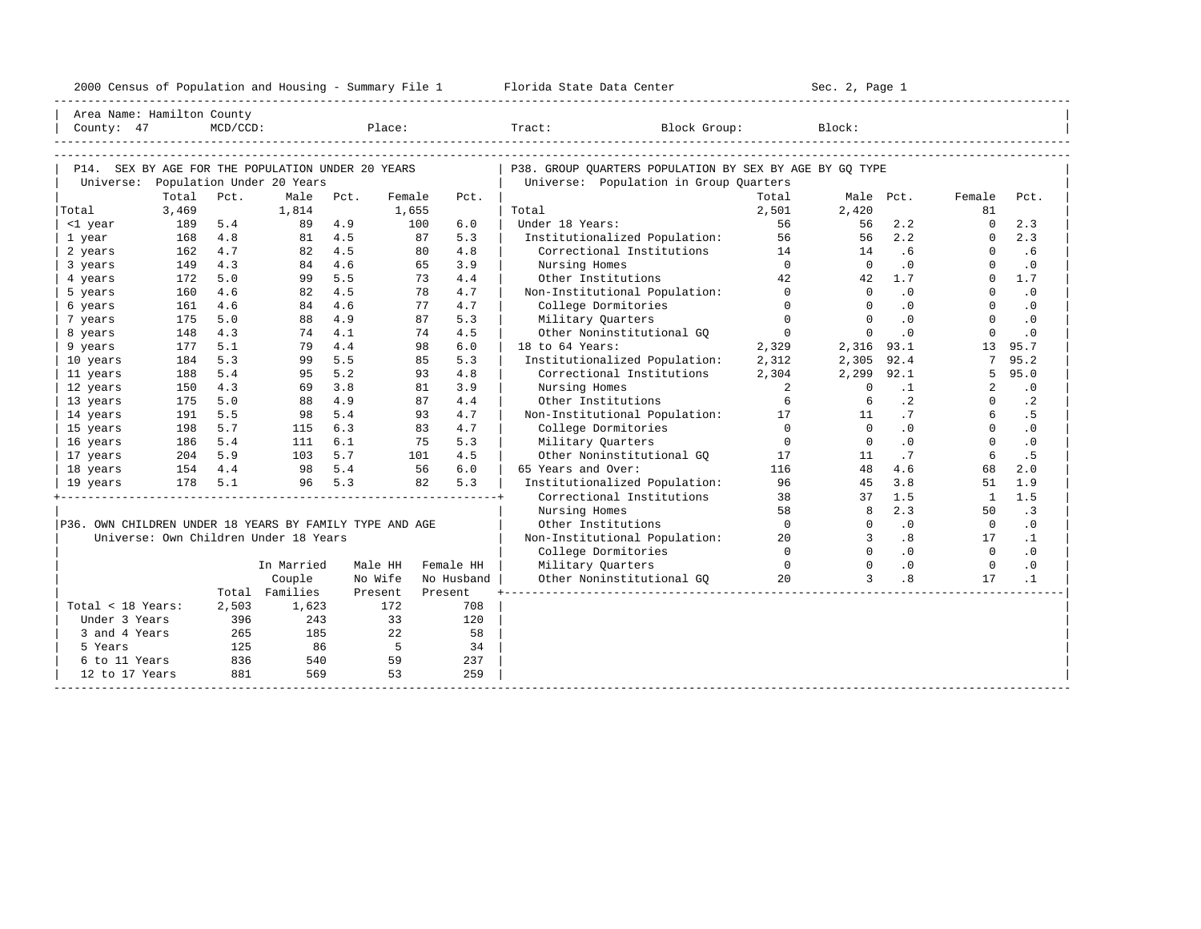| 2000 Census of Population and Housing - Summary File 1 |  | Florida State Data Center | Sec. 2, Page 1 |
|--------------------------------------------------------|--|---------------------------|----------------|
|--------------------------------------------------------|--|---------------------------|----------------|

| P14. SEX BY AGE FOR THE POPULATION UNDER 20 YEARS<br>P38. GROUP OUARTERS POPULATION BY SEX BY AGE BY GO TYPE<br>Universe: Population Under 20 Years<br>Universe: Population in Group Quarters<br>Total<br>Male<br>Pct.<br>Pct.<br>Female<br>Pct.<br>Total<br>Male Pct.<br>Female<br>Pct.<br>3,469<br>Total<br>1,814<br>1,655<br>Total<br>2,501<br>2,420<br>81<br>6.0<br>56<br>2.2<br>2.3<br>5.4<br>89 4.9<br>100<br>Under 18 Years:<br>$\Omega$<br><1 year<br>189<br>56<br>56<br>2.3<br>4.8<br>81 4.5<br>87<br>5.3<br>Institutionalized Population:<br>56<br>2.2<br>1 year<br>168<br>$\Omega$<br>4.7<br>82 4.5<br>4.8<br>Correctional Institutions<br>162<br>80<br>14<br>.6<br>$\Omega$<br>.6<br>2 years<br>14<br>4.3<br>84 4.6<br>$\bigcap$<br>149<br>3.9<br>Nursing Homes<br>$\cap$<br>.0<br>$\cdot$ 0<br>3 years<br>65<br>$\Omega$<br>42.<br>5.0<br>5.5<br>73<br>4.4<br>$\Omega$<br>1.7<br>172<br>99<br>Other Institutions<br>42<br>1.7<br>4 years<br>4.5<br>4.7<br>Non-Institutional Population:<br>$\cap$<br>$\cdot$ 0<br>160<br>4.6<br>82<br>78<br>$\Omega$<br>.0<br>5 years<br>$\Omega$<br>4.6<br>4.7<br>$\Omega$<br>4.6<br>77<br>College Dormitories<br>$\cdot$ 0<br>6 years<br>161<br>84<br>$\Omega$<br>$\cdot$ 0<br>$\Omega$<br>$\Omega$<br>$\Omega$<br>5.0<br>4.9<br>87<br>5.3<br>$\Omega$<br>.0<br>$\cdot$ 0<br>175<br>88<br>Military Quarters<br>7 years<br>148<br>4.3<br>74 4.1<br>74<br>4.5<br>Other Noninstitutional GO<br>$\overline{0}$<br>$\Omega$<br>$\cdot$ 0<br>$\Omega$<br>$\cdot$ 0<br>8 years<br>4.4<br>5.1<br>6.0<br>18 to 64 Years:<br>2,329<br>$2,316$ 93.1<br>13<br>95.7<br>177<br>79<br>98<br>9 years<br>5.5<br>95.2<br>5.3<br>5.3<br>92.4<br>184<br>99<br>85<br>Institutionalized Population:<br>2,312<br>2,305<br>7<br>10 years<br>5.2<br>188<br>5.4<br>95<br>4.8<br>Correctional Institutions<br>92.1<br>95.0<br>11 years<br>93<br>2,304<br>2,299<br>.5<br>4.3<br>3.8<br>3.9<br>$\overline{a}$<br>$\cdot$ 0<br>12 years<br>150<br>69<br>81<br>Nursing Homes<br>$\Omega$<br>$\cdot$ 1<br>2<br>4.9<br>4.4<br>$\cdot$ 2<br>175<br>5.0<br>88<br>87<br>Other Institutions<br>6<br>$\cdot$ 2<br>13 years<br>6<br>$\Omega$<br>5.4<br>. 5<br>191<br>5.5<br>4.7<br>Non-Institutional Population:<br>17<br>.7<br>14 years<br>98<br>93<br>11<br>5.7<br>6.3<br>College Dormitories<br>$\Omega$<br>.0<br>15 years<br>198<br>115<br>83<br>4.7<br>$\bigcap$<br>$\Omega$<br>$\cdot$ 0<br>$\Omega$<br>$\overline{0}$<br>.0<br>$\Omega$<br>186<br>5.4<br>6.1<br>75<br>5.3<br>Military Quarters<br>$\cdot$ 0<br>16 years<br>111<br>204 5.9<br>5.7<br>.5<br>4.5<br>Other Noninstitutional GO<br>.7<br>6<br>17 years<br>103<br>101<br>17<br>11<br>98 5.4<br>6.0<br>65 Years and Over:<br>48<br>18 years<br>154 4.4<br>56<br>116<br>4.6<br>68<br>2.0<br>5.3<br>5.3<br>178 5.1<br>82<br>Institutionalized Population:<br>96<br>45<br>3.8<br>1.9<br>96 —<br>51<br>19 years<br>1.5<br>Correctional Institutions<br>38<br>1.5<br>37<br>$\overline{1}$<br>58<br>2.3<br>$\cdot$ 3<br>Nursing Homes<br>$\mathsf{R}$<br>50<br>P36. OWN CHILDREN UNDER 18 YEARS BY FAMILY TYPE AND AGE<br>Other Institutions<br>$\bigcap$<br>.0<br>$\cdot$ 0<br>$\Omega$<br>$\overline{0}$<br>Universe: Own Children Under 18 Years<br>.8<br>Non-Institutional Population:<br>20<br>3<br>17<br>$\cdot$ 1<br>$\Omega$<br>.0<br>$\Omega$<br>.0<br>College Dormitories<br>$\Omega$<br>Military Ouarters<br>$\Omega$<br>$\cdot$ 0<br>$\circ$<br>In Married<br>Male HH<br>Female HH<br>$\bigcirc$<br>$\cdot$ 0<br>20<br>$\mathbf{R}$<br>.8<br>$\cdot$ 1<br>Couple<br>No Wife<br>Other Noninstitutional GO<br>17<br>No Husband<br>Total Families<br>Present<br>Present<br>Total < 18 Years:<br>2,503<br>172<br>708<br>1,623<br>33<br>Under 3 Years<br>396<br>243<br>120<br>265<br>185<br>22<br>3 and 4 Years<br>58<br>86<br>$5^{\circ}$<br>125<br>34<br>5 Years<br>836<br>540<br>59<br>237<br>6 to 11 Years<br>881<br>569<br>53<br>259<br>12 to 17 Years | County: 47 | Area Name: Hamilton County | $MCD/CCD$ : |  | Place: |  | Block Group:<br>Tract: | Block: |  |  |
|--------------------------------------------------------------------------------------------------------------------------------------------------------------------------------------------------------------------------------------------------------------------------------------------------------------------------------------------------------------------------------------------------------------------------------------------------------------------------------------------------------------------------------------------------------------------------------------------------------------------------------------------------------------------------------------------------------------------------------------------------------------------------------------------------------------------------------------------------------------------------------------------------------------------------------------------------------------------------------------------------------------------------------------------------------------------------------------------------------------------------------------------------------------------------------------------------------------------------------------------------------------------------------------------------------------------------------------------------------------------------------------------------------------------------------------------------------------------------------------------------------------------------------------------------------------------------------------------------------------------------------------------------------------------------------------------------------------------------------------------------------------------------------------------------------------------------------------------------------------------------------------------------------------------------------------------------------------------------------------------------------------------------------------------------------------------------------------------------------------------------------------------------------------------------------------------------------------------------------------------------------------------------------------------------------------------------------------------------------------------------------------------------------------------------------------------------------------------------------------------------------------------------------------------------------------------------------------------------------------------------------------------------------------------------------------------------------------------------------------------------------------------------------------------------------------------------------------------------------------------------------------------------------------------------------------------------------------------------------------------------------------------------------------------------------------------------------------------------------------------------------------------------------------------------------------------------------------------------------------------------------------------------------------------------------------------------------------------------------------------------------------------------------------------------------------------------------------------------------------------------------------------------------------------------------------------------------------------------------------------------------------------------------------------------------------------------------------------------------------------------------------------------------------------------------------------------------------------------------------------------------------------------------------------------------------|------------|----------------------------|-------------|--|--------|--|------------------------|--------|--|--|
|                                                                                                                                                                                                                                                                                                                                                                                                                                                                                                                                                                                                                                                                                                                                                                                                                                                                                                                                                                                                                                                                                                                                                                                                                                                                                                                                                                                                                                                                                                                                                                                                                                                                                                                                                                                                                                                                                                                                                                                                                                                                                                                                                                                                                                                                                                                                                                                                                                                                                                                                                                                                                                                                                                                                                                                                                                                                                                                                                                                                                                                                                                                                                                                                                                                                                                                                                                                                                                                                                                                                                                                                                                                                                                                                                                                                                                                                                                                                      |            |                            |             |  |        |  |                        |        |  |  |
|                                                                                                                                                                                                                                                                                                                                                                                                                                                                                                                                                                                                                                                                                                                                                                                                                                                                                                                                                                                                                                                                                                                                                                                                                                                                                                                                                                                                                                                                                                                                                                                                                                                                                                                                                                                                                                                                                                                                                                                                                                                                                                                                                                                                                                                                                                                                                                                                                                                                                                                                                                                                                                                                                                                                                                                                                                                                                                                                                                                                                                                                                                                                                                                                                                                                                                                                                                                                                                                                                                                                                                                                                                                                                                                                                                                                                                                                                                                                      |            |                            |             |  |        |  |                        |        |  |  |
|                                                                                                                                                                                                                                                                                                                                                                                                                                                                                                                                                                                                                                                                                                                                                                                                                                                                                                                                                                                                                                                                                                                                                                                                                                                                                                                                                                                                                                                                                                                                                                                                                                                                                                                                                                                                                                                                                                                                                                                                                                                                                                                                                                                                                                                                                                                                                                                                                                                                                                                                                                                                                                                                                                                                                                                                                                                                                                                                                                                                                                                                                                                                                                                                                                                                                                                                                                                                                                                                                                                                                                                                                                                                                                                                                                                                                                                                                                                                      |            |                            |             |  |        |  |                        |        |  |  |
|                                                                                                                                                                                                                                                                                                                                                                                                                                                                                                                                                                                                                                                                                                                                                                                                                                                                                                                                                                                                                                                                                                                                                                                                                                                                                                                                                                                                                                                                                                                                                                                                                                                                                                                                                                                                                                                                                                                                                                                                                                                                                                                                                                                                                                                                                                                                                                                                                                                                                                                                                                                                                                                                                                                                                                                                                                                                                                                                                                                                                                                                                                                                                                                                                                                                                                                                                                                                                                                                                                                                                                                                                                                                                                                                                                                                                                                                                                                                      |            |                            |             |  |        |  |                        |        |  |  |
|                                                                                                                                                                                                                                                                                                                                                                                                                                                                                                                                                                                                                                                                                                                                                                                                                                                                                                                                                                                                                                                                                                                                                                                                                                                                                                                                                                                                                                                                                                                                                                                                                                                                                                                                                                                                                                                                                                                                                                                                                                                                                                                                                                                                                                                                                                                                                                                                                                                                                                                                                                                                                                                                                                                                                                                                                                                                                                                                                                                                                                                                                                                                                                                                                                                                                                                                                                                                                                                                                                                                                                                                                                                                                                                                                                                                                                                                                                                                      |            |                            |             |  |        |  |                        |        |  |  |
|                                                                                                                                                                                                                                                                                                                                                                                                                                                                                                                                                                                                                                                                                                                                                                                                                                                                                                                                                                                                                                                                                                                                                                                                                                                                                                                                                                                                                                                                                                                                                                                                                                                                                                                                                                                                                                                                                                                                                                                                                                                                                                                                                                                                                                                                                                                                                                                                                                                                                                                                                                                                                                                                                                                                                                                                                                                                                                                                                                                                                                                                                                                                                                                                                                                                                                                                                                                                                                                                                                                                                                                                                                                                                                                                                                                                                                                                                                                                      |            |                            |             |  |        |  |                        |        |  |  |
|                                                                                                                                                                                                                                                                                                                                                                                                                                                                                                                                                                                                                                                                                                                                                                                                                                                                                                                                                                                                                                                                                                                                                                                                                                                                                                                                                                                                                                                                                                                                                                                                                                                                                                                                                                                                                                                                                                                                                                                                                                                                                                                                                                                                                                                                                                                                                                                                                                                                                                                                                                                                                                                                                                                                                                                                                                                                                                                                                                                                                                                                                                                                                                                                                                                                                                                                                                                                                                                                                                                                                                                                                                                                                                                                                                                                                                                                                                                                      |            |                            |             |  |        |  |                        |        |  |  |
|                                                                                                                                                                                                                                                                                                                                                                                                                                                                                                                                                                                                                                                                                                                                                                                                                                                                                                                                                                                                                                                                                                                                                                                                                                                                                                                                                                                                                                                                                                                                                                                                                                                                                                                                                                                                                                                                                                                                                                                                                                                                                                                                                                                                                                                                                                                                                                                                                                                                                                                                                                                                                                                                                                                                                                                                                                                                                                                                                                                                                                                                                                                                                                                                                                                                                                                                                                                                                                                                                                                                                                                                                                                                                                                                                                                                                                                                                                                                      |            |                            |             |  |        |  |                        |        |  |  |
|                                                                                                                                                                                                                                                                                                                                                                                                                                                                                                                                                                                                                                                                                                                                                                                                                                                                                                                                                                                                                                                                                                                                                                                                                                                                                                                                                                                                                                                                                                                                                                                                                                                                                                                                                                                                                                                                                                                                                                                                                                                                                                                                                                                                                                                                                                                                                                                                                                                                                                                                                                                                                                                                                                                                                                                                                                                                                                                                                                                                                                                                                                                                                                                                                                                                                                                                                                                                                                                                                                                                                                                                                                                                                                                                                                                                                                                                                                                                      |            |                            |             |  |        |  |                        |        |  |  |
|                                                                                                                                                                                                                                                                                                                                                                                                                                                                                                                                                                                                                                                                                                                                                                                                                                                                                                                                                                                                                                                                                                                                                                                                                                                                                                                                                                                                                                                                                                                                                                                                                                                                                                                                                                                                                                                                                                                                                                                                                                                                                                                                                                                                                                                                                                                                                                                                                                                                                                                                                                                                                                                                                                                                                                                                                                                                                                                                                                                                                                                                                                                                                                                                                                                                                                                                                                                                                                                                                                                                                                                                                                                                                                                                                                                                                                                                                                                                      |            |                            |             |  |        |  |                        |        |  |  |
|                                                                                                                                                                                                                                                                                                                                                                                                                                                                                                                                                                                                                                                                                                                                                                                                                                                                                                                                                                                                                                                                                                                                                                                                                                                                                                                                                                                                                                                                                                                                                                                                                                                                                                                                                                                                                                                                                                                                                                                                                                                                                                                                                                                                                                                                                                                                                                                                                                                                                                                                                                                                                                                                                                                                                                                                                                                                                                                                                                                                                                                                                                                                                                                                                                                                                                                                                                                                                                                                                                                                                                                                                                                                                                                                                                                                                                                                                                                                      |            |                            |             |  |        |  |                        |        |  |  |
|                                                                                                                                                                                                                                                                                                                                                                                                                                                                                                                                                                                                                                                                                                                                                                                                                                                                                                                                                                                                                                                                                                                                                                                                                                                                                                                                                                                                                                                                                                                                                                                                                                                                                                                                                                                                                                                                                                                                                                                                                                                                                                                                                                                                                                                                                                                                                                                                                                                                                                                                                                                                                                                                                                                                                                                                                                                                                                                                                                                                                                                                                                                                                                                                                                                                                                                                                                                                                                                                                                                                                                                                                                                                                                                                                                                                                                                                                                                                      |            |                            |             |  |        |  |                        |        |  |  |
|                                                                                                                                                                                                                                                                                                                                                                                                                                                                                                                                                                                                                                                                                                                                                                                                                                                                                                                                                                                                                                                                                                                                                                                                                                                                                                                                                                                                                                                                                                                                                                                                                                                                                                                                                                                                                                                                                                                                                                                                                                                                                                                                                                                                                                                                                                                                                                                                                                                                                                                                                                                                                                                                                                                                                                                                                                                                                                                                                                                                                                                                                                                                                                                                                                                                                                                                                                                                                                                                                                                                                                                                                                                                                                                                                                                                                                                                                                                                      |            |                            |             |  |        |  |                        |        |  |  |
|                                                                                                                                                                                                                                                                                                                                                                                                                                                                                                                                                                                                                                                                                                                                                                                                                                                                                                                                                                                                                                                                                                                                                                                                                                                                                                                                                                                                                                                                                                                                                                                                                                                                                                                                                                                                                                                                                                                                                                                                                                                                                                                                                                                                                                                                                                                                                                                                                                                                                                                                                                                                                                                                                                                                                                                                                                                                                                                                                                                                                                                                                                                                                                                                                                                                                                                                                                                                                                                                                                                                                                                                                                                                                                                                                                                                                                                                                                                                      |            |                            |             |  |        |  |                        |        |  |  |
|                                                                                                                                                                                                                                                                                                                                                                                                                                                                                                                                                                                                                                                                                                                                                                                                                                                                                                                                                                                                                                                                                                                                                                                                                                                                                                                                                                                                                                                                                                                                                                                                                                                                                                                                                                                                                                                                                                                                                                                                                                                                                                                                                                                                                                                                                                                                                                                                                                                                                                                                                                                                                                                                                                                                                                                                                                                                                                                                                                                                                                                                                                                                                                                                                                                                                                                                                                                                                                                                                                                                                                                                                                                                                                                                                                                                                                                                                                                                      |            |                            |             |  |        |  |                        |        |  |  |
|                                                                                                                                                                                                                                                                                                                                                                                                                                                                                                                                                                                                                                                                                                                                                                                                                                                                                                                                                                                                                                                                                                                                                                                                                                                                                                                                                                                                                                                                                                                                                                                                                                                                                                                                                                                                                                                                                                                                                                                                                                                                                                                                                                                                                                                                                                                                                                                                                                                                                                                                                                                                                                                                                                                                                                                                                                                                                                                                                                                                                                                                                                                                                                                                                                                                                                                                                                                                                                                                                                                                                                                                                                                                                                                                                                                                                                                                                                                                      |            |                            |             |  |        |  |                        |        |  |  |
|                                                                                                                                                                                                                                                                                                                                                                                                                                                                                                                                                                                                                                                                                                                                                                                                                                                                                                                                                                                                                                                                                                                                                                                                                                                                                                                                                                                                                                                                                                                                                                                                                                                                                                                                                                                                                                                                                                                                                                                                                                                                                                                                                                                                                                                                                                                                                                                                                                                                                                                                                                                                                                                                                                                                                                                                                                                                                                                                                                                                                                                                                                                                                                                                                                                                                                                                                                                                                                                                                                                                                                                                                                                                                                                                                                                                                                                                                                                                      |            |                            |             |  |        |  |                        |        |  |  |
|                                                                                                                                                                                                                                                                                                                                                                                                                                                                                                                                                                                                                                                                                                                                                                                                                                                                                                                                                                                                                                                                                                                                                                                                                                                                                                                                                                                                                                                                                                                                                                                                                                                                                                                                                                                                                                                                                                                                                                                                                                                                                                                                                                                                                                                                                                                                                                                                                                                                                                                                                                                                                                                                                                                                                                                                                                                                                                                                                                                                                                                                                                                                                                                                                                                                                                                                                                                                                                                                                                                                                                                                                                                                                                                                                                                                                                                                                                                                      |            |                            |             |  |        |  |                        |        |  |  |
|                                                                                                                                                                                                                                                                                                                                                                                                                                                                                                                                                                                                                                                                                                                                                                                                                                                                                                                                                                                                                                                                                                                                                                                                                                                                                                                                                                                                                                                                                                                                                                                                                                                                                                                                                                                                                                                                                                                                                                                                                                                                                                                                                                                                                                                                                                                                                                                                                                                                                                                                                                                                                                                                                                                                                                                                                                                                                                                                                                                                                                                                                                                                                                                                                                                                                                                                                                                                                                                                                                                                                                                                                                                                                                                                                                                                                                                                                                                                      |            |                            |             |  |        |  |                        |        |  |  |
|                                                                                                                                                                                                                                                                                                                                                                                                                                                                                                                                                                                                                                                                                                                                                                                                                                                                                                                                                                                                                                                                                                                                                                                                                                                                                                                                                                                                                                                                                                                                                                                                                                                                                                                                                                                                                                                                                                                                                                                                                                                                                                                                                                                                                                                                                                                                                                                                                                                                                                                                                                                                                                                                                                                                                                                                                                                                                                                                                                                                                                                                                                                                                                                                                                                                                                                                                                                                                                                                                                                                                                                                                                                                                                                                                                                                                                                                                                                                      |            |                            |             |  |        |  |                        |        |  |  |
|                                                                                                                                                                                                                                                                                                                                                                                                                                                                                                                                                                                                                                                                                                                                                                                                                                                                                                                                                                                                                                                                                                                                                                                                                                                                                                                                                                                                                                                                                                                                                                                                                                                                                                                                                                                                                                                                                                                                                                                                                                                                                                                                                                                                                                                                                                                                                                                                                                                                                                                                                                                                                                                                                                                                                                                                                                                                                                                                                                                                                                                                                                                                                                                                                                                                                                                                                                                                                                                                                                                                                                                                                                                                                                                                                                                                                                                                                                                                      |            |                            |             |  |        |  |                        |        |  |  |
|                                                                                                                                                                                                                                                                                                                                                                                                                                                                                                                                                                                                                                                                                                                                                                                                                                                                                                                                                                                                                                                                                                                                                                                                                                                                                                                                                                                                                                                                                                                                                                                                                                                                                                                                                                                                                                                                                                                                                                                                                                                                                                                                                                                                                                                                                                                                                                                                                                                                                                                                                                                                                                                                                                                                                                                                                                                                                                                                                                                                                                                                                                                                                                                                                                                                                                                                                                                                                                                                                                                                                                                                                                                                                                                                                                                                                                                                                                                                      |            |                            |             |  |        |  |                        |        |  |  |
|                                                                                                                                                                                                                                                                                                                                                                                                                                                                                                                                                                                                                                                                                                                                                                                                                                                                                                                                                                                                                                                                                                                                                                                                                                                                                                                                                                                                                                                                                                                                                                                                                                                                                                                                                                                                                                                                                                                                                                                                                                                                                                                                                                                                                                                                                                                                                                                                                                                                                                                                                                                                                                                                                                                                                                                                                                                                                                                                                                                                                                                                                                                                                                                                                                                                                                                                                                                                                                                                                                                                                                                                                                                                                                                                                                                                                                                                                                                                      |            |                            |             |  |        |  |                        |        |  |  |
|                                                                                                                                                                                                                                                                                                                                                                                                                                                                                                                                                                                                                                                                                                                                                                                                                                                                                                                                                                                                                                                                                                                                                                                                                                                                                                                                                                                                                                                                                                                                                                                                                                                                                                                                                                                                                                                                                                                                                                                                                                                                                                                                                                                                                                                                                                                                                                                                                                                                                                                                                                                                                                                                                                                                                                                                                                                                                                                                                                                                                                                                                                                                                                                                                                                                                                                                                                                                                                                                                                                                                                                                                                                                                                                                                                                                                                                                                                                                      |            |                            |             |  |        |  |                        |        |  |  |
|                                                                                                                                                                                                                                                                                                                                                                                                                                                                                                                                                                                                                                                                                                                                                                                                                                                                                                                                                                                                                                                                                                                                                                                                                                                                                                                                                                                                                                                                                                                                                                                                                                                                                                                                                                                                                                                                                                                                                                                                                                                                                                                                                                                                                                                                                                                                                                                                                                                                                                                                                                                                                                                                                                                                                                                                                                                                                                                                                                                                                                                                                                                                                                                                                                                                                                                                                                                                                                                                                                                                                                                                                                                                                                                                                                                                                                                                                                                                      |            |                            |             |  |        |  |                        |        |  |  |
|                                                                                                                                                                                                                                                                                                                                                                                                                                                                                                                                                                                                                                                                                                                                                                                                                                                                                                                                                                                                                                                                                                                                                                                                                                                                                                                                                                                                                                                                                                                                                                                                                                                                                                                                                                                                                                                                                                                                                                                                                                                                                                                                                                                                                                                                                                                                                                                                                                                                                                                                                                                                                                                                                                                                                                                                                                                                                                                                                                                                                                                                                                                                                                                                                                                                                                                                                                                                                                                                                                                                                                                                                                                                                                                                                                                                                                                                                                                                      |            |                            |             |  |        |  |                        |        |  |  |
|                                                                                                                                                                                                                                                                                                                                                                                                                                                                                                                                                                                                                                                                                                                                                                                                                                                                                                                                                                                                                                                                                                                                                                                                                                                                                                                                                                                                                                                                                                                                                                                                                                                                                                                                                                                                                                                                                                                                                                                                                                                                                                                                                                                                                                                                                                                                                                                                                                                                                                                                                                                                                                                                                                                                                                                                                                                                                                                                                                                                                                                                                                                                                                                                                                                                                                                                                                                                                                                                                                                                                                                                                                                                                                                                                                                                                                                                                                                                      |            |                            |             |  |        |  |                        |        |  |  |
|                                                                                                                                                                                                                                                                                                                                                                                                                                                                                                                                                                                                                                                                                                                                                                                                                                                                                                                                                                                                                                                                                                                                                                                                                                                                                                                                                                                                                                                                                                                                                                                                                                                                                                                                                                                                                                                                                                                                                                                                                                                                                                                                                                                                                                                                                                                                                                                                                                                                                                                                                                                                                                                                                                                                                                                                                                                                                                                                                                                                                                                                                                                                                                                                                                                                                                                                                                                                                                                                                                                                                                                                                                                                                                                                                                                                                                                                                                                                      |            |                            |             |  |        |  |                        |        |  |  |
|                                                                                                                                                                                                                                                                                                                                                                                                                                                                                                                                                                                                                                                                                                                                                                                                                                                                                                                                                                                                                                                                                                                                                                                                                                                                                                                                                                                                                                                                                                                                                                                                                                                                                                                                                                                                                                                                                                                                                                                                                                                                                                                                                                                                                                                                                                                                                                                                                                                                                                                                                                                                                                                                                                                                                                                                                                                                                                                                                                                                                                                                                                                                                                                                                                                                                                                                                                                                                                                                                                                                                                                                                                                                                                                                                                                                                                                                                                                                      |            |                            |             |  |        |  |                        |        |  |  |
|                                                                                                                                                                                                                                                                                                                                                                                                                                                                                                                                                                                                                                                                                                                                                                                                                                                                                                                                                                                                                                                                                                                                                                                                                                                                                                                                                                                                                                                                                                                                                                                                                                                                                                                                                                                                                                                                                                                                                                                                                                                                                                                                                                                                                                                                                                                                                                                                                                                                                                                                                                                                                                                                                                                                                                                                                                                                                                                                                                                                                                                                                                                                                                                                                                                                                                                                                                                                                                                                                                                                                                                                                                                                                                                                                                                                                                                                                                                                      |            |                            |             |  |        |  |                        |        |  |  |
|                                                                                                                                                                                                                                                                                                                                                                                                                                                                                                                                                                                                                                                                                                                                                                                                                                                                                                                                                                                                                                                                                                                                                                                                                                                                                                                                                                                                                                                                                                                                                                                                                                                                                                                                                                                                                                                                                                                                                                                                                                                                                                                                                                                                                                                                                                                                                                                                                                                                                                                                                                                                                                                                                                                                                                                                                                                                                                                                                                                                                                                                                                                                                                                                                                                                                                                                                                                                                                                                                                                                                                                                                                                                                                                                                                                                                                                                                                                                      |            |                            |             |  |        |  |                        |        |  |  |
|                                                                                                                                                                                                                                                                                                                                                                                                                                                                                                                                                                                                                                                                                                                                                                                                                                                                                                                                                                                                                                                                                                                                                                                                                                                                                                                                                                                                                                                                                                                                                                                                                                                                                                                                                                                                                                                                                                                                                                                                                                                                                                                                                                                                                                                                                                                                                                                                                                                                                                                                                                                                                                                                                                                                                                                                                                                                                                                                                                                                                                                                                                                                                                                                                                                                                                                                                                                                                                                                                                                                                                                                                                                                                                                                                                                                                                                                                                                                      |            |                            |             |  |        |  |                        |        |  |  |
|                                                                                                                                                                                                                                                                                                                                                                                                                                                                                                                                                                                                                                                                                                                                                                                                                                                                                                                                                                                                                                                                                                                                                                                                                                                                                                                                                                                                                                                                                                                                                                                                                                                                                                                                                                                                                                                                                                                                                                                                                                                                                                                                                                                                                                                                                                                                                                                                                                                                                                                                                                                                                                                                                                                                                                                                                                                                                                                                                                                                                                                                                                                                                                                                                                                                                                                                                                                                                                                                                                                                                                                                                                                                                                                                                                                                                                                                                                                                      |            |                            |             |  |        |  |                        |        |  |  |
|                                                                                                                                                                                                                                                                                                                                                                                                                                                                                                                                                                                                                                                                                                                                                                                                                                                                                                                                                                                                                                                                                                                                                                                                                                                                                                                                                                                                                                                                                                                                                                                                                                                                                                                                                                                                                                                                                                                                                                                                                                                                                                                                                                                                                                                                                                                                                                                                                                                                                                                                                                                                                                                                                                                                                                                                                                                                                                                                                                                                                                                                                                                                                                                                                                                                                                                                                                                                                                                                                                                                                                                                                                                                                                                                                                                                                                                                                                                                      |            |                            |             |  |        |  |                        |        |  |  |
|                                                                                                                                                                                                                                                                                                                                                                                                                                                                                                                                                                                                                                                                                                                                                                                                                                                                                                                                                                                                                                                                                                                                                                                                                                                                                                                                                                                                                                                                                                                                                                                                                                                                                                                                                                                                                                                                                                                                                                                                                                                                                                                                                                                                                                                                                                                                                                                                                                                                                                                                                                                                                                                                                                                                                                                                                                                                                                                                                                                                                                                                                                                                                                                                                                                                                                                                                                                                                                                                                                                                                                                                                                                                                                                                                                                                                                                                                                                                      |            |                            |             |  |        |  |                        |        |  |  |
|                                                                                                                                                                                                                                                                                                                                                                                                                                                                                                                                                                                                                                                                                                                                                                                                                                                                                                                                                                                                                                                                                                                                                                                                                                                                                                                                                                                                                                                                                                                                                                                                                                                                                                                                                                                                                                                                                                                                                                                                                                                                                                                                                                                                                                                                                                                                                                                                                                                                                                                                                                                                                                                                                                                                                                                                                                                                                                                                                                                                                                                                                                                                                                                                                                                                                                                                                                                                                                                                                                                                                                                                                                                                                                                                                                                                                                                                                                                                      |            |                            |             |  |        |  |                        |        |  |  |
|                                                                                                                                                                                                                                                                                                                                                                                                                                                                                                                                                                                                                                                                                                                                                                                                                                                                                                                                                                                                                                                                                                                                                                                                                                                                                                                                                                                                                                                                                                                                                                                                                                                                                                                                                                                                                                                                                                                                                                                                                                                                                                                                                                                                                                                                                                                                                                                                                                                                                                                                                                                                                                                                                                                                                                                                                                                                                                                                                                                                                                                                                                                                                                                                                                                                                                                                                                                                                                                                                                                                                                                                                                                                                                                                                                                                                                                                                                                                      |            |                            |             |  |        |  |                        |        |  |  |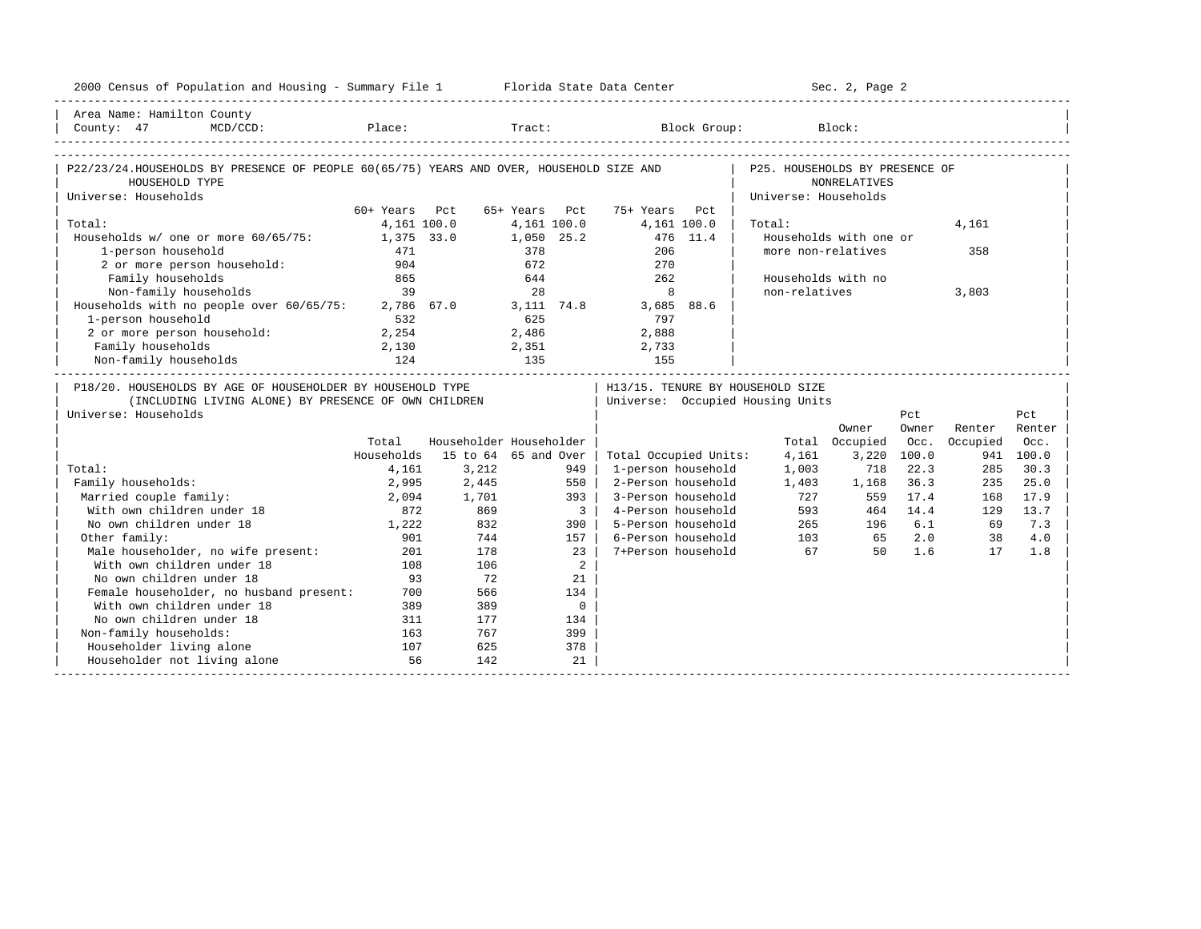| 2000 Census of Population and Housing - Summary File 1 Florida State Data Center                                                           |               |                         |                |                         |                                  |                      | Sec. 2, Page 2         |             |          |           |
|--------------------------------------------------------------------------------------------------------------------------------------------|---------------|-------------------------|----------------|-------------------------|----------------------------------|----------------------|------------------------|-------------|----------|-----------|
| Area Name: Hamilton County                                                                                                                 |               |                         |                |                         |                                  |                      |                        |             |          |           |
| County: 47<br>$MCD/CCD$ :                                                                                                                  |               |                         |                |                         | Place: Tract: Block Group:       |                      | Block:                 |             |          |           |
| P22/23/24.HOUSEHOLDS BY PRESENCE OF PEOPLE 60(65/75) YEARS AND OVER, HOUSEHOLD SIZE AND   P25. HOUSEHOLDS BY PRESENCE OF<br>HOUSEHOLD TYPE |               |                         |                |                         |                                  |                      | NONRELATIVES           |             |          |           |
| Universe: Households                                                                                                                       |               |                         |                |                         |                                  | Universe: Households |                        |             |          |           |
|                                                                                                                                            | 60+ Years Pct |                         |                |                         | 65+ Years Pct 75+ Years Pct      |                      |                        |             |          |           |
| Total:                                                                                                                                     | 4,161 100.0   |                         | 4,161 100.0    |                         | 4,161 100.0                      | Total:               |                        |             | 4,161    |           |
| Households w/ one or more 60/65/75: 1,375 33.0                                                                                             |               |                         | 1,050 25.2     |                         | 476 11.4                         |                      | Households with one or |             |          |           |
| 1-person household                                                                                                                         | 471           |                         | 378            |                         | 206                              | more non-relatives   |                        |             | 358      |           |
| 2 or more person household:                                                                                                                | 904           |                         | 672            |                         | 270                              |                      |                        |             |          |           |
| Family households                                                                                                                          | 865           |                         | 644            |                         | 262                              |                      | Households with no     |             |          |           |
| Non-family households                                                                                                                      | 39            |                         | 28             |                         | 8                                | non-relatives        |                        |             | 3,803    |           |
| Households with no people over $60/65/75$ : 2,786 67.0                                                                                     |               |                         |                |                         | 3,111 74.8 3,685 88.6            |                      |                        |             |          |           |
| 1-person household                                                                                                                         | 532           |                         | 625            |                         | 797                              |                      |                        |             |          |           |
| 2 or more person household:                                                                                                                | 2,254         |                         | 2,486          |                         | 2,888                            |                      |                        |             |          |           |
| Family households                                                                                                                          | 2,130         |                         |                |                         | 2,733                            |                      |                        |             |          |           |
| Non-family households                                                                                                                      | 124           |                         | $2,351$<br>135 |                         | 155                              |                      |                        |             |          |           |
| P18/20. HOUSEHOLDS BY AGE OF HOUSEHOLDER BY HOUSEHOLD TYPE                                                                                 |               |                         |                |                         | H13/15. TENURE BY HOUSEHOLD SIZE |                      |                        |             |          |           |
| (INCLUDING LIVING ALONE) BY PRESENCE OF OWN CHILDREN                                                                                       |               |                         |                |                         | Universe: Occupied Housing Units |                      |                        |             |          |           |
| Universe: Households                                                                                                                       |               |                         |                |                         |                                  |                      |                        | Pct.        |          | Pct.      |
|                                                                                                                                            |               |                         |                |                         |                                  |                      | Owner                  | Owner       | Renter   | Renter    |
|                                                                                                                                            | Total         | Householder Householder |                |                         |                                  |                      | Total Occupied         | Occ.        | Occupied | Occ.      |
|                                                                                                                                            | Households    | 15 to 64 65 and Over    |                |                         | Total Occupied Units:            | 4,161                |                        | 3,220 100.0 |          | 941 100.0 |
| Total:                                                                                                                                     | 4,161         | 3,212                   |                | 949                     | 1-person household               | 1,003                | 718                    | 22.3        | 285      | 30.3      |
| Family households:                                                                                                                         | 2,995         | 2,445                   |                | 550                     | 2-Person household               | 1,403                | 1,168                  | 36.3        | 235      | 25.0      |
| Married couple family:                                                                                                                     | 2,094         | 1,701                   |                | 393                     | 3-Person household               | 727                  | 559                    | 17.4        | 168      | 17.9      |
| With own children under 18                                                                                                                 | 872           | 869                     |                | $\overline{\mathbf{3}}$ | 4-Person household               |                      | 593                    | 464 14.4    | 129      | 13.7      |
| No own children under 18                                                                                                                   | 1,222         | 832                     |                | 390                     | 5-Person household               |                      | 265<br>196             | 6.1         | 69       | 7.3       |
| Other family:                                                                                                                              | 901           | 744                     |                | 157                     | 6-Person household               |                      | 103 65                 | 2.0         | 38       | 4.0       |
| Male householder, no wife present:                                                                                                         | 201           | 178                     |                | 23                      | 7+Person household               | 67                   |                        | 50 1.6      | 17       | 1.8       |
| With own children under 18                                                                                                                 | 108           | 106                     |                | $\overline{2}$          |                                  |                      |                        |             |          |           |
| No own children under 18                                                                                                                   | 93            | 72                      |                | 21                      |                                  |                      |                        |             |          |           |
| Female householder, no husband present:                                                                                                    | 700           | 566                     |                | 134                     |                                  |                      |                        |             |          |           |
| With own children under 18                                                                                                                 | 389           | 389                     |                | $\overline{0}$          |                                  |                      |                        |             |          |           |
| No own children under 18                                                                                                                   | 311           | 177                     |                | 134                     |                                  |                      |                        |             |          |           |
| Non-family households:                                                                                                                     | 163           | 767                     |                | 399                     |                                  |                      |                        |             |          |           |
| Householder living alone                                                                                                                   | 107           | 625                     |                | 378                     |                                  |                      |                        |             |          |           |
| Householder not living alone                                                                                                               | 56            | 142                     |                | 21                      |                                  |                      |                        |             |          |           |
|                                                                                                                                            |               |                         |                |                         |                                  |                      |                        |             |          |           |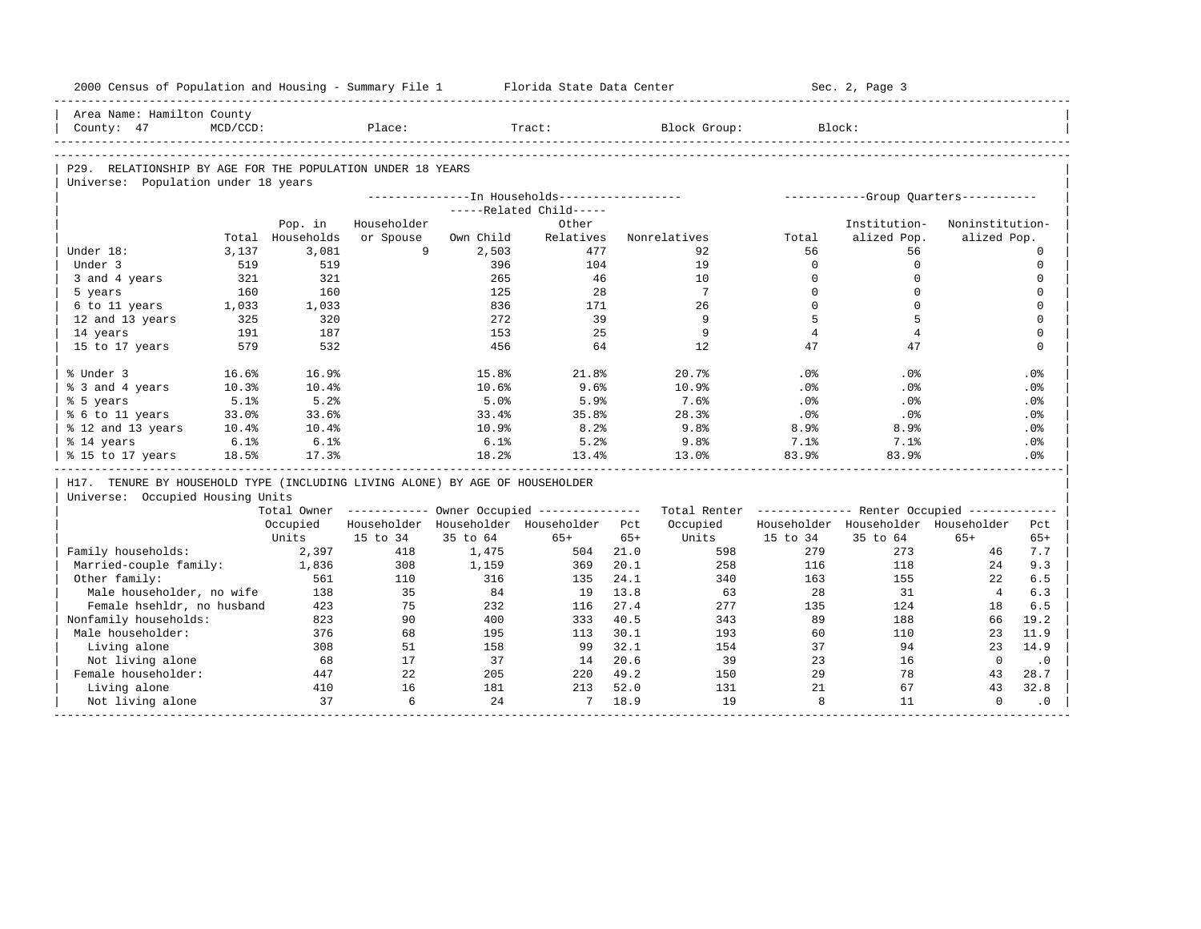|                                                                              |             |                  | 2000 Census of Population and Housing - Summary File 1 |                                                        | Florida State Data Center |       |                 |                 | Sec. 2, Page 3                                          |                 |                                                                                                      |
|------------------------------------------------------------------------------|-------------|------------------|--------------------------------------------------------|--------------------------------------------------------|---------------------------|-------|-----------------|-----------------|---------------------------------------------------------|-----------------|------------------------------------------------------------------------------------------------------|
| Area Name: Hamilton County                                                   |             |                  |                                                        |                                                        |                           |       |                 |                 |                                                         |                 |                                                                                                      |
| County: 47                                                                   | $MCD/CCD$ : |                  | Place:                                                 |                                                        | Tract:                    |       | Block Group:    |                 | Block:                                                  |                 |                                                                                                      |
|                                                                              |             |                  |                                                        |                                                        |                           |       |                 |                 |                                                         |                 |                                                                                                      |
| P29. RELATIONSHIP BY AGE FOR THE POPULATION UNDER 18 YEARS                   |             |                  |                                                        |                                                        |                           |       |                 |                 |                                                         |                 |                                                                                                      |
| Universe: Population under 18 years                                          |             |                  |                                                        |                                                        |                           |       |                 |                 |                                                         |                 |                                                                                                      |
|                                                                              |             |                  |                                                        | ---------------In Households------------------         |                           |       |                 |                 | ------------Group Quarters-----------                   |                 |                                                                                                      |
|                                                                              |             |                  |                                                        |                                                        | -----Related Child-----   |       |                 |                 |                                                         |                 |                                                                                                      |
|                                                                              |             | Pop. in          | Householder                                            |                                                        | Other                     |       |                 |                 | Institution-                                            | Noninstitution- |                                                                                                      |
|                                                                              |             | Total Households | or Spouse                                              | Own Child                                              | Relatives                 |       | Nonrelatives    | Total           | alized Pop.                                             | alized Pop.     |                                                                                                      |
| Under 18:                                                                    | 3,137       | 3,081            | 9                                                      | 2,503                                                  | 477                       |       | 92              | 56              | 56                                                      |                 | $\mathbf 0$                                                                                          |
| Under 3                                                                      | 519         | 519              |                                                        | 396                                                    | 104                       |       | 19              | $\Omega$        | $\Omega$                                                |                 | $\mathbf 0$                                                                                          |
| 3 and 4 years                                                                | 321         | 321              |                                                        | 265                                                    | 46                        |       | 10              | $\Omega$        | $\mathbf 0$                                             |                 | $\mathbf 0$                                                                                          |
| 5 years                                                                      | 160         | 160              |                                                        | 125                                                    | 2.8                       |       | $7\overline{ }$ | $\Omega$        | $\Omega$                                                |                 | $\Omega$                                                                                             |
| 6 to 11 years                                                                | 1,033       | 1,033            |                                                        | 836                                                    | 171                       |       | 26              | $\Omega$        | $\Omega$                                                |                 | $\mathbf 0$                                                                                          |
| 12 and 13 years                                                              | 325         | 320              |                                                        | 272                                                    | 39                        |       | 9               | 5               | 5                                                       |                 | $\Omega$                                                                                             |
| 14 years                                                                     | 191         | 187              |                                                        | 153                                                    | 25                        |       | 9               | $\overline{4}$  | $\overline{4}$                                          |                 | $\mathbf 0$                                                                                          |
| 15 to 17 years                                                               | 579         | 532              |                                                        | 456                                                    | 64                        |       | 12              | 47              | 47                                                      |                 | $\mathbf 0$                                                                                          |
| % Under 3                                                                    | 16.6%       | 16.9%            |                                                        | 15.8%                                                  | 21.8%                     |       | 20.7%           | .0%             | .0%                                                     |                 | .0%                                                                                                  |
| % 3 and 4 years                                                              | 10.3%       | 10.4%            |                                                        | 10.6%                                                  | 9.6%                      |       | 10.9%           | .0 <sup>8</sup> | .0%                                                     |                 | .0%                                                                                                  |
| % 5 years                                                                    | 5.1%        | 5.2%             |                                                        | 5.0%                                                   | 5.9%                      |       | 7.6%            | .0%             | .0%                                                     |                 | .0%                                                                                                  |
| % 6 to 11 years                                                              | 33.0%       | 33.6%            |                                                        | 33.4%                                                  | 35.8%                     |       | 28.3%           | .0%             | .0%                                                     |                 | .0%                                                                                                  |
| % 12 and 13 years                                                            | 10.4%       | 10.4%            |                                                        | 10.9%                                                  | 8.2%                      |       | 9.8%            | 8.9%            | 8.9%                                                    |                 | .0%                                                                                                  |
| % 14 years                                                                   | 6.1%        | 6.1%             |                                                        | 6.1%                                                   | 5.2%                      |       | 9.8%            | 7.1%            | 7.1%                                                    |                 | .0%                                                                                                  |
| % 15 to 17 years                                                             | 18.5%       | 17.3%            |                                                        | 18.2%                                                  | 13.4%                     |       | 13.0%           | 83.9%           | 83.9%                                                   |                 | .0 <sup>8</sup>                                                                                      |
|                                                                              |             |                  |                                                        |                                                        |                           |       |                 |                 |                                                         |                 |                                                                                                      |
| H17. TENURE BY HOUSEHOLD TYPE (INCLUDING LIVING ALONE) BY AGE OF HOUSEHOLDER |             |                  |                                                        |                                                        |                           |       |                 |                 |                                                         |                 |                                                                                                      |
| Universe: Occupied Housing Units                                             |             |                  |                                                        |                                                        |                           |       |                 |                 |                                                         |                 |                                                                                                      |
|                                                                              |             |                  |                                                        | Total Owner ------------ Owner Occupied -------------- |                           |       |                 |                 | Total Renter ------------- Renter Occupied ------------ |                 |                                                                                                      |
|                                                                              |             | Occupied         |                                                        | Householder Householder Householder Pct                |                           |       | Occupied        |                 | Householder Householder Householder                     |                 |                                                                                                      |
|                                                                              |             | Units            | 15 to 34                                               | 35 to 64                                               | $65+$                     | $65+$ | Units           | 15 to 34        | 35 to 64                                                | $65+$           |                                                                                                      |
| Family households:                                                           |             | 2,397            | 418                                                    | 1,475                                                  | 504                       | 21.0  | 598             | 279             | 273                                                     | 46              |                                                                                                      |
| Married-couple family:                                                       |             | 1,836            | 308                                                    | 1,159                                                  | 369                       | 20.1  | 258             | 116             | 118                                                     | 24              |                                                                                                      |
| Other family:                                                                |             | 561              | 110                                                    | 316                                                    | 135                       | 24.1  | 340             | 163             | 155                                                     | 22              |                                                                                                      |
| Male householder, no wife                                                    |             | 138              | 35                                                     | 84                                                     | 19                        | 13.8  | 63              | 28              | 31                                                      | 4               |                                                                                                      |
| Female hsehldr, no husband                                                   |             | 423              | 75                                                     | 232                                                    | 116                       | 27.4  | 277             | 135             | 124                                                     | 18              |                                                                                                      |
| Nonfamily households:                                                        |             | 823              | 90                                                     | 400                                                    | 333                       | 40.5  | 343             | 89              | 188                                                     | 66              |                                                                                                      |
| Male householder:                                                            |             | 376              | 68                                                     | 195                                                    | 113                       | 30.1  | 193             | 60              | 110                                                     | 23              |                                                                                                      |
| Living alone                                                                 |             | 308              | 51                                                     | 158                                                    | 99                        | 32.1  | 154             | 37              | 94                                                      | 23              |                                                                                                      |
| Not living alone                                                             |             | 68               | 17                                                     | 37                                                     | 14                        | 20.6  | 39              | 23              | 16                                                      | $\Omega$        |                                                                                                      |
| Female householder:                                                          |             | 447              | 22                                                     | 205                                                    | 220                       | 49.2  | 150             | 29              | 78                                                      | 43              |                                                                                                      |
| Living alone                                                                 |             | 410              | 16                                                     | 181                                                    | 213                       | 52.0  | 131             | 2.1             | 67                                                      | 43              | Pct<br>$65+$<br>7.7<br>9.3<br>6.5<br>6.3<br>6.5<br>19.2<br>11.9<br>14.9<br>$\cdot$ 0<br>28.7<br>32.8 |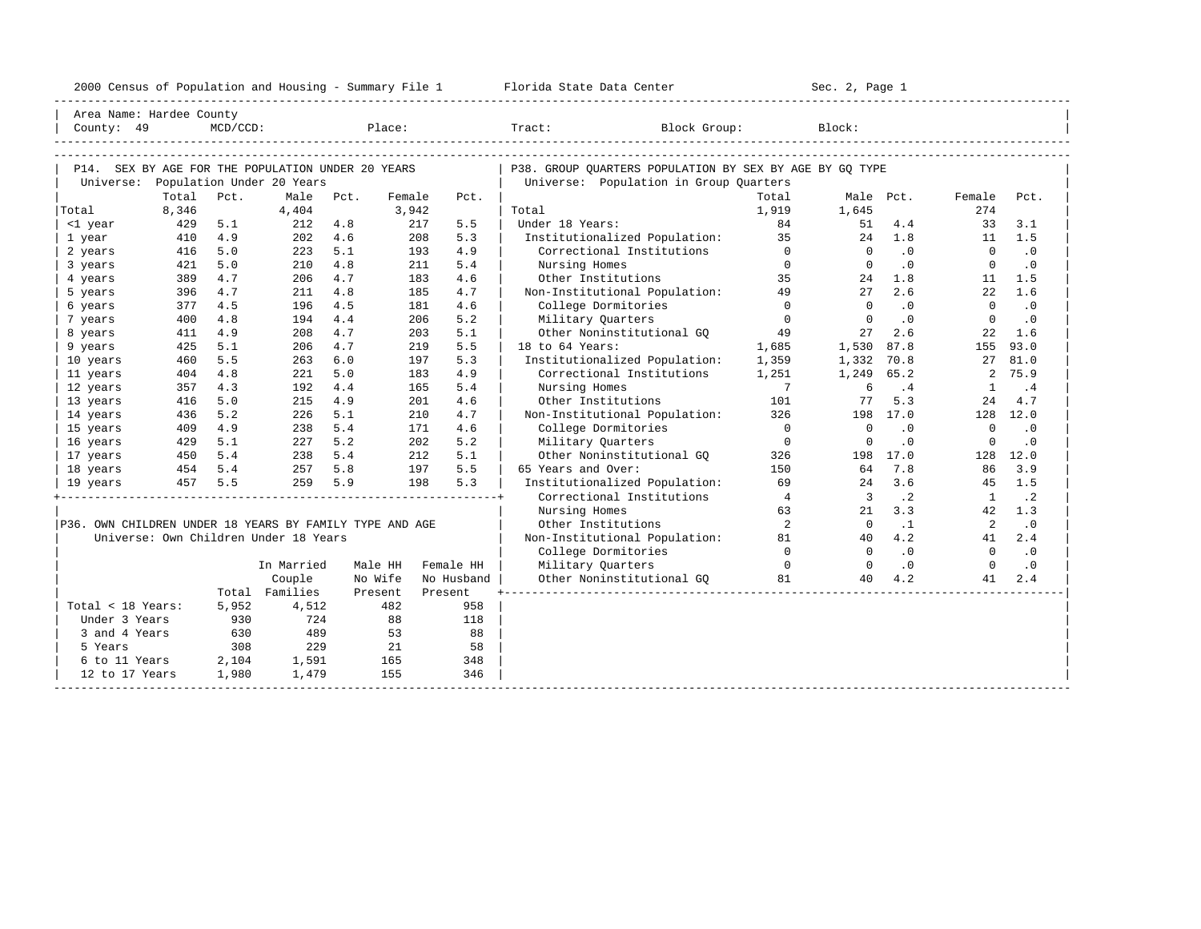| 2000 Census of Population and Housing - Summary File 1 | Florida State Data Center | Sec. 2, Page 1 |
|--------------------------------------------------------|---------------------------|----------------|
|                                                        |                           |                |

| County: 49                                              | Area Name: Hardee County                                                                 | $MCD/CCD$ : |                |      |         |         | Place: The state of the state of the state of the state of the state of the state of the state of the state of the state of the state of the state of the state of the state of the state of the state of the state of the sta | Block Group:<br>$\texttt{Tract}:$                                                                 |                            | Block:                  |           |                |                             |
|---------------------------------------------------------|------------------------------------------------------------------------------------------|-------------|----------------|------|---------|---------|--------------------------------------------------------------------------------------------------------------------------------------------------------------------------------------------------------------------------------|---------------------------------------------------------------------------------------------------|----------------------------|-------------------------|-----------|----------------|-----------------------------|
|                                                         | P14. SEX BY AGE FOR THE POPULATION UNDER 20 YEARS<br>Universe: Population Under 20 Years |             |                |      |         |         |                                                                                                                                                                                                                                | P38. GROUP OUARTERS POPULATION BY SEX BY AGE BY GO TYPE<br>Universe: Population in Group Quarters |                            |                         |           |                |                             |
|                                                         | Total                                                                                    | Pct.        | Male           | Pct. | Female  |         | Pct.                                                                                                                                                                                                                           |                                                                                                   | Total                      |                         | Male Pct. | Female         | Pct.                        |
| Total                                                   | 8,346                                                                                    |             | 4,404          |      | 3,942   |         |                                                                                                                                                                                                                                | Total                                                                                             | 1,919                      | 1,645                   |           | 274            |                             |
| <1 year                                                 | 429                                                                                      | 5.1         | 212            | 4.8  |         | 217     | 5.5                                                                                                                                                                                                                            | Under 18 Years:                                                                                   | 84                         | 51                      | 4.4       | 33             | 3.1                         |
| 1 year                                                  | 410                                                                                      | 4.9         | 202            | 4.6  |         | 208     | 5.3                                                                                                                                                                                                                            | Institutionalized Population:                                                                     | 35                         | 24                      | 1.8       |                | $11 \quad 1.5$              |
| 2 years                                                 | 416                                                                                      | 5.0         | 223            | 5.1  |         | 193     | 4.9                                                                                                                                                                                                                            | Correctional Institutions                                                                         | $\Omega$                   | $\Omega$                | $\cdot$ 0 | $\overline{0}$ | $\cdot$ 0                   |
| 3 years                                                 | 421                                                                                      | 5.0         | 210            | 4.8  |         | 211     | 5.4                                                                                                                                                                                                                            | Nursing Homes                                                                                     | $\Omega$                   | $\Omega$                | .0        | $\overline{0}$ | $\cdot$ 0                   |
| 4 years                                                 | 389                                                                                      | 4.7         | 206            | 4.7  |         | 183     | 4.6                                                                                                                                                                                                                            | Other Institutions                                                                                | 35                         | 24                      | 1.8       | 11             | 1.5                         |
| 5 years                                                 | 396                                                                                      | 4.7         | 211            | 4.8  |         | 185     | 4.7                                                                                                                                                                                                                            | Non-Institutional Population: 49                                                                  |                            | 27                      | 2.6       | 22             | 1.6                         |
| 6 years                                                 | 377                                                                                      | 4.5         | 196            | 4.5  |         | 181     | 4.6                                                                                                                                                                                                                            | College Dormitories                                                                               | $\overline{0}$             | $\Omega$                | .0        | $\Omega$       | $\cdot$ 0                   |
| 7 years                                                 | 400                                                                                      | 4.8         | 194            | 4.4  |         | 206     | 5.2                                                                                                                                                                                                                            | Military Quarters                                                                                 | $\Omega$                   | $\Omega$                | $\cdot$ 0 | $\mathbf{0}$   | $\cdot$ 0                   |
| 8 years                                                 | 411                                                                                      | 4.9         | 208            | 4.7  |         | 203     | 5.1                                                                                                                                                                                                                            | Other Noninstitutional GO                                                                         | 49                         | 27                      | 2.6       | 22             | 1.6                         |
| 9 years                                                 | 425                                                                                      | 5.1         | 206            | 4.7  |         | 219     | 5.5                                                                                                                                                                                                                            | 18 to 64 Years:                                                                                   | 1,685                      | 1,530 87.8              |           | 155            | 93.0                        |
| 10 years                                                | 460                                                                                      | 5.5         | 263            | 6.0  |         | 197     | 5.3                                                                                                                                                                                                                            | Institutionalized Population: 1,359                                                               |                            | 1,332 70.8              |           | 27             | 81.0                        |
| 11 years                                                | 404                                                                                      | 4.8         | 221            | 5.0  |         | 183     | 4.9                                                                                                                                                                                                                            | Correctional Institutions                                                                         | 1,251                      | 1,249 65.2              |           | 2              | 75.9                        |
| 12 years                                                | 357                                                                                      | 4.3         | 192            | 4.4  |         | 165     | 5.4                                                                                                                                                                                                                            | Nursing Homes                                                                                     | $\overline{7}$             | - 6                     | .4        | <sup>1</sup>   | $\cdot$ 4                   |
| 13 years                                                | 416                                                                                      | 5.0         | 215            | 4.9  |         | 201     | 4.6                                                                                                                                                                                                                            | Other Institutions                                                                                | 101                        | 77                      | 5.3       | 24             | 4.7                         |
| 14 years                                                | 436                                                                                      | 5.2         | 226            | 5.1  |         | 210     | 4.7                                                                                                                                                                                                                            | Non-Institutional Population:                                                                     | 326                        |                         | 198 17.0  |                | 128 12.0                    |
| 15 years                                                | 409                                                                                      | 4.9         | 238            | 5.4  |         | 171     | 4.6                                                                                                                                                                                                                            | College Dormitories                                                                               | $\overline{0}$             | $\Omega$                | $\cdot$ 0 | $\Omega$       | $\cdot$ 0                   |
| 16 years                                                | 429                                                                                      | 5.1         | 227            | 5.2  |         | 202     | 5.2                                                                                                                                                                                                                            | Military Quarters                                                                                 | $\overline{0}$             | $\overline{0}$          | $\cdot$ 0 | $\mathbf 0$    | $\cdot$ 0                   |
| 17 years                                                |                                                                                          |             | 238            | 5.4  |         | 212     | 5.1                                                                                                                                                                                                                            | Other Noninstitutional GQ                                                                         | 326                        |                         | 198 17.0  |                | 128 12.0                    |
| 18 years                                                | 450 5.4<br>454 5.4                                                                       |             | 257            | 5.8  |         | 197     | 5.5                                                                                                                                                                                                                            | 65 Years and Over:                                                                                | 150                        | 64                      | 7.8       | 86             | 3.9                         |
| 19 years                                                | 457                                                                                      | 5.5         | 259            | 5.9  |         | 198     | 5.3                                                                                                                                                                                                                            | Institutionalized Population:                                                                     | 69                         | 24                      | 3.6       |                | 45 1.5                      |
|                                                         |                                                                                          |             |                |      |         |         |                                                                                                                                                                                                                                | Correctional Institutions                                                                         | $\frac{4}{3}$              | $\overline{\mathbf{3}}$ | $\cdot$ 2 | $\mathbf{1}$   | $\cdot$ 2                   |
|                                                         |                                                                                          |             |                |      |         |         |                                                                                                                                                                                                                                | Nursing Homes                                                                                     | 63                         | 21                      | 3.3       |                | 42 1.3                      |
| P36. OWN CHILDREN UNDER 18 YEARS BY FAMILY TYPE AND AGE |                                                                                          |             |                |      |         |         |                                                                                                                                                                                                                                | Other Institutions                                                                                | $\overline{\phantom{0}}^2$ | $\overline{0}$          | $\cdot$ 1 | $\overline{2}$ | $\cdot$ 0                   |
|                                                         | Universe: Own Children Under 18 Years                                                    |             |                |      |         |         |                                                                                                                                                                                                                                | Non-Institutional Population:                                                                     | 81                         | 40                      | 4.2       | 41             | 2.4                         |
|                                                         |                                                                                          |             |                |      |         |         |                                                                                                                                                                                                                                | College Dormitories                                                                               | $\overline{0}$             | $\Omega$                | .0        | $\Omega$       | $\overline{\phantom{0}}$ .0 |
|                                                         |                                                                                          |             | In Married     |      | Male HH |         | Female HH                                                                                                                                                                                                                      | Military Quarters                                                                                 | $\overline{0}$             | $\overline{0}$          | $\cdot$ 0 | $\Omega$       | $\cdot$ 0                   |
|                                                         |                                                                                          |             | Couple         |      | No Wife |         | No Husband                                                                                                                                                                                                                     | Other Noninstitutional GQ                                                                         | 81                         | 40                      | 4.2       | 41             | 2.4                         |
|                                                         |                                                                                          |             | Total Families |      | Present | Present |                                                                                                                                                                                                                                |                                                                                                   |                            |                         |           |                |                             |
| Total < 18 Years:                                       |                                                                                          | 5,952       | 4,512          |      | 482     |         | 958                                                                                                                                                                                                                            |                                                                                                   |                            |                         |           |                |                             |
| Under 3 Years                                           |                                                                                          | 930         | 724            |      | 88      |         | 118                                                                                                                                                                                                                            |                                                                                                   |                            |                         |           |                |                             |
| 3 and 4 Years                                           |                                                                                          | 630         | 489            |      | 53      |         | 88                                                                                                                                                                                                                             |                                                                                                   |                            |                         |           |                |                             |
| 5 Years                                                 |                                                                                          | 308         | 229            |      | 21      |         | 58                                                                                                                                                                                                                             |                                                                                                   |                            |                         |           |                |                             |
| 6 to 11 Years                                           |                                                                                          | 2,104       | 1,591          |      | 165     |         | 348                                                                                                                                                                                                                            |                                                                                                   |                            |                         |           |                |                             |
| 12 to 17 Years                                          |                                                                                          | 1,980       | 1,479          |      | 155     |         | 346                                                                                                                                                                                                                            |                                                                                                   |                            |                         |           |                |                             |
|                                                         |                                                                                          |             |                |      |         |         |                                                                                                                                                                                                                                |                                                                                                   |                            |                         |           |                |                             |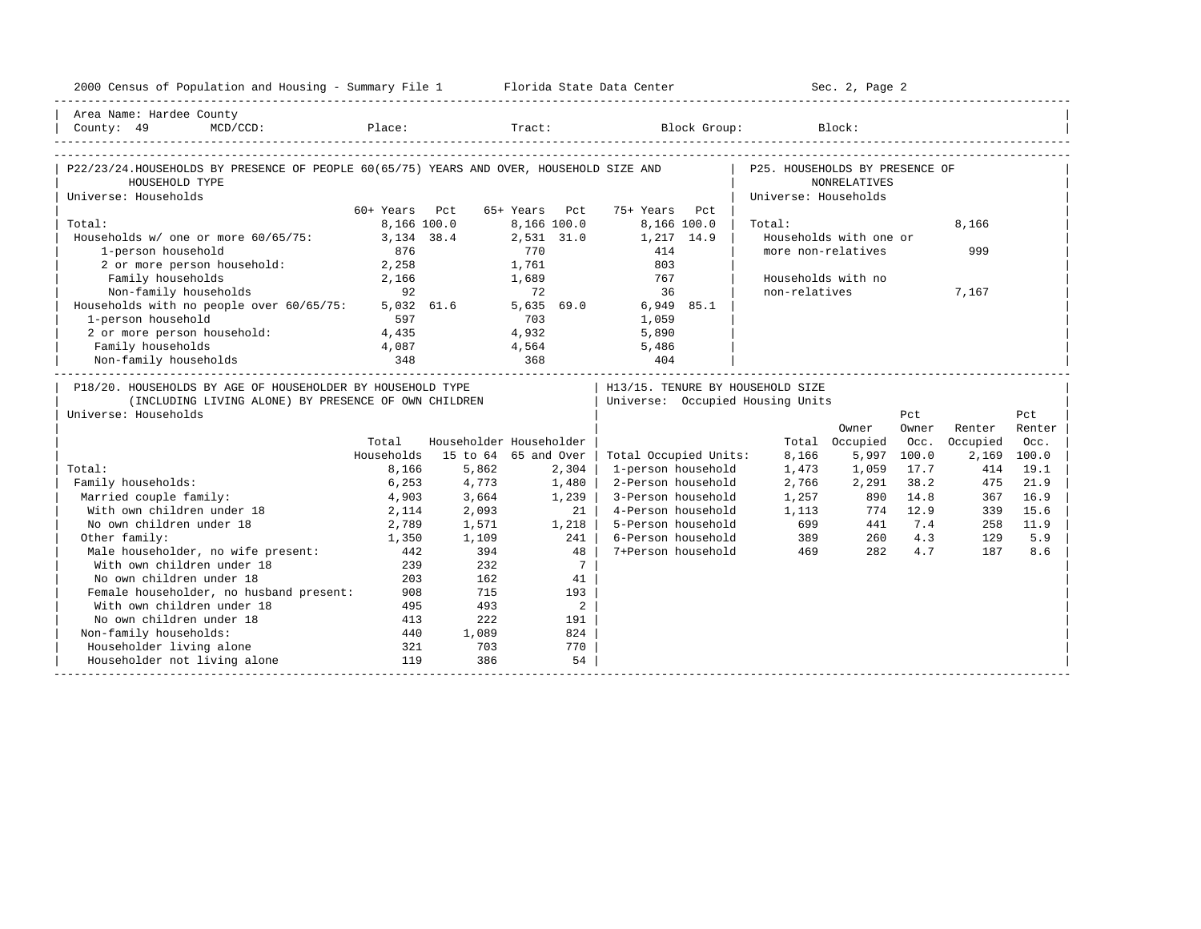| 2000 Census of Population and Housing - Summary File 1 Florida State Data Center                                                                                                                                 |               |       |                                 |                                  |                                | Sec. 2, Page 2           |             |          |             |
|------------------------------------------------------------------------------------------------------------------------------------------------------------------------------------------------------------------|---------------|-------|---------------------------------|----------------------------------|--------------------------------|--------------------------|-------------|----------|-------------|
| Area Name: Hardee County                                                                                                                                                                                         |               |       |                                 |                                  |                                |                          |             |          |             |
| $\begin{tabular}{ l l } \hline County: & 49 & MCD/CCD: & \textcolor{red}{Place:} & \textcolor{red}{Trace:} & \textcolor{red}{Block Group:} & \textcolor{blue}{Block:} & \textcolor{green}{Block:} \end{tabular}$ |               |       |                                 |                                  |                                |                          |             |          |             |
|                                                                                                                                                                                                                  |               |       |                                 |                                  |                                |                          |             |          |             |
| P22/23/24.HOUSEHOLDS BY PRESENCE OF PEOPLE 60(65/75) YEARS AND OVER, HOUSEHOLD SIZE AND                                                                                                                          |               |       |                                 |                                  | P25. HOUSEHOLDS BY PRESENCE OF |                          |             |          |             |
| HOUSEHOLD TYPE                                                                                                                                                                                                   |               |       |                                 |                                  |                                | <b>NONRELATIVES</b>      |             |          |             |
| Universe: Households                                                                                                                                                                                             | 60+ Years Pct |       | 65+ Years Pct                   | 75+ Years Pct                    | Universe: Households           |                          |             |          |             |
| Total:                                                                                                                                                                                                           | 8,166 100.0   |       | 8,166 100.0                     | 8,166 100.0                      | Total:                         |                          |             | 8,166    |             |
| Households w/ one or more 60/65/75:                                                                                                                                                                              | 3,134 38.4    |       | 2,531 31.0                      | 1,217 14.9                       |                                | Households with one or   |             |          |             |
| 1-person household                                                                                                                                                                                               | 876           |       | 770                             | 414                              | more non-relatives             |                          |             | 999      |             |
| 2 or more person household: 2,258                                                                                                                                                                                |               |       | 1,761                           | 803                              |                                |                          |             |          |             |
| Family households                                                                                                                                                                                                | 2,166         |       | 1,689                           | 767                              | Households with no             |                          |             |          |             |
| Non-family households                                                                                                                                                                                            | 92            |       | 72                              | 36                               | non-relatives                  |                          |             | 7,167    |             |
| Households with no people over 60/65/75:                                                                                                                                                                         |               |       |                                 | 5,032 61.6 5,635 69.0 6,949 85.1 |                                |                          |             |          |             |
| 1-person household                                                                                                                                                                                               | 597           |       | $\frac{1}{2}$ , 635<br>703<br>4 | 1,059                            |                                |                          |             |          |             |
| 2 or more person household:                                                                                                                                                                                      | 4,435         |       |                                 | 5,890                            |                                |                          |             |          |             |
| Family households                                                                                                                                                                                                | 4,087         |       |                                 | 4,564 5,486                      |                                |                          |             |          |             |
| Non-family households                                                                                                                                                                                            |               | 368   |                                 |                                  |                                |                          |             |          |             |
| P18/20. HOUSEHOLDS BY AGE OF HOUSEHOLDER BY HOUSEHOLD TYPE                                                                                                                                                       |               |       |                                 | H13/15. TENURE BY HOUSEHOLD SIZE |                                |                          |             |          |             |
| (INCLUDING LIVING ALONE) BY PRESENCE OF OWN CHILDREN                                                                                                                                                             |               |       |                                 | Universe: Occupied Housing Units |                                |                          |             |          |             |
| Universe: Households                                                                                                                                                                                             |               |       |                                 |                                  |                                |                          | Pct         |          | Pct         |
|                                                                                                                                                                                                                  |               |       |                                 |                                  |                                | Owner                    | Owner       | Renter   | Renter      |
|                                                                                                                                                                                                                  | Total         |       | Householder Householder         |                                  |                                | Total Occupied           | Occ.        | Occupied | Occ.        |
|                                                                                                                                                                                                                  | Households    |       | 15 to 64 65 and Over            | Total Occupied Units:            | 8,166                          |                          | 5,997 100.0 |          | 2,169 100.0 |
| Total:                                                                                                                                                                                                           | 8,166         | 5,862 | 2,304                           | 1-person household               | 1,473                          | 1,059                    | 17.7        | 414      | 19.1        |
| Family households:                                                                                                                                                                                               | 6,253         | 4,773 | 1,480                           | 2-Person household               | 2,766                          | 2,291                    | 38.2        | 475      | 21.9        |
| Married couple family:                                                                                                                                                                                           | 4,903         | 3,664 | 1,239                           | 3-Person household               |                                | $1,25/$ 890<br>1,113 774 | 14.8        | 367      | 16.9        |
| With own children under 18                                                                                                                                                                                       | 2,114         | 2,093 | 21 <sub>1</sub>                 | 4-Person household               |                                |                          | 774 12.9    | 339      | 15.6        |
| No own children under 18                                                                                                                                                                                         | 2,789         | 1,571 | 1,218                           | 5-Person household               |                                | 699<br>441               | 7.4         | 258      | 11.9        |
| Other family:                                                                                                                                                                                                    | 1,350         | 1,109 | 241                             | 6-Person household               | 389                            | 260                      | 4.3         | 129      | 5.9         |
| Male householder, no wife present:                                                                                                                                                                               | 442           | 394   | 48                              | 7+Person household               | 469                            | 282                      | 4.7         | 187      | 8.6         |
| With own children under 18                                                                                                                                                                                       | 239           | 232   | $7\overline{ }$                 |                                  |                                |                          |             |          |             |
| No own children under 18                                                                                                                                                                                         | 203           | 162   | 41                              |                                  |                                |                          |             |          |             |
| Female householder, no husband present:                                                                                                                                                                          | 908           | 715   | 193                             |                                  |                                |                          |             |          |             |
| With own children under 18                                                                                                                                                                                       | 495           | 493   | $\overline{2}$                  |                                  |                                |                          |             |          |             |
| No own children under 18                                                                                                                                                                                         | 413           | 222   | 191                             |                                  |                                |                          |             |          |             |
| Non-family households:                                                                                                                                                                                           | 440           | 1,089 | 824                             |                                  |                                |                          |             |          |             |
| Householder living alone                                                                                                                                                                                         | 321           | 703   | 770                             |                                  |                                |                          |             |          |             |
| Householder not living alone                                                                                                                                                                                     | 119           | 386   | 54                              |                                  |                                |                          |             |          |             |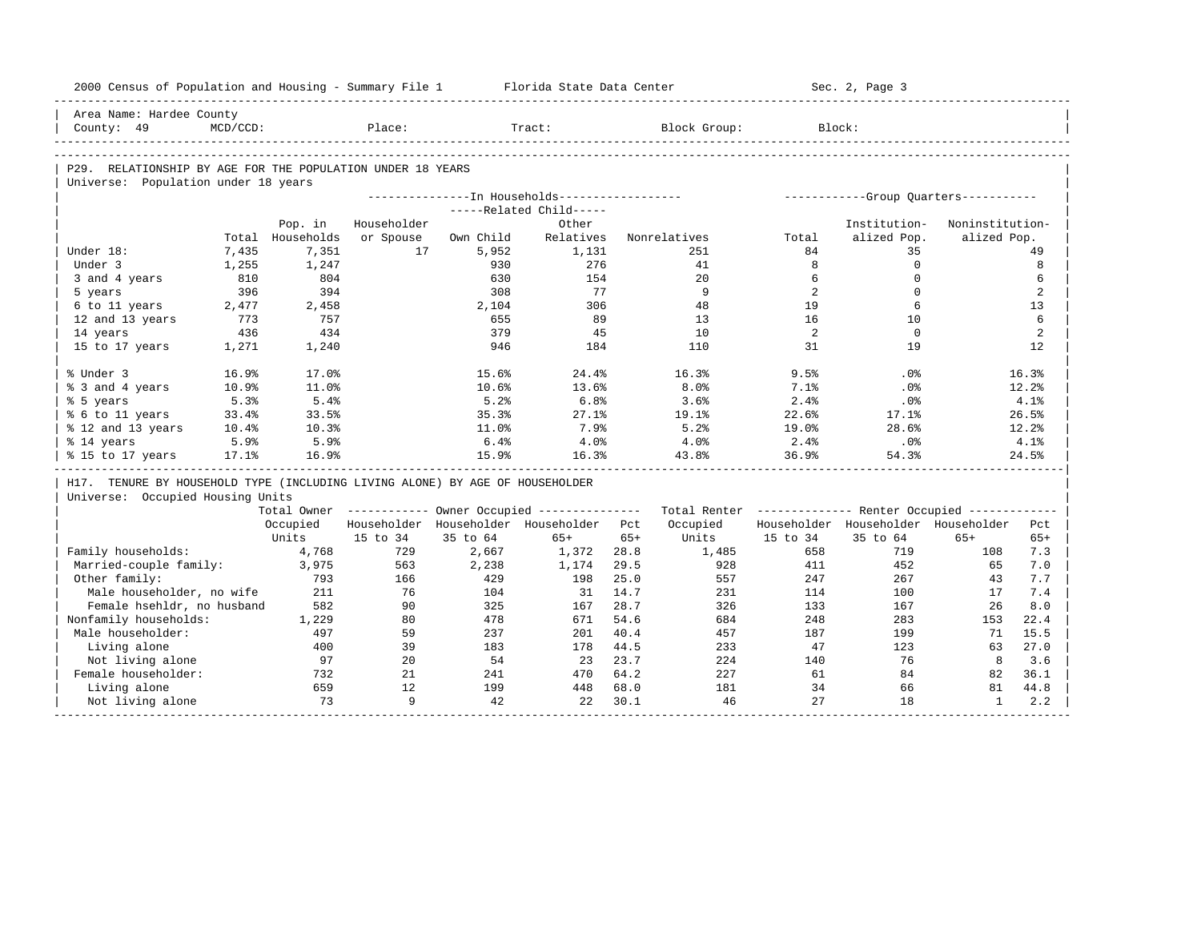| 2000 Census of Population and Housing - Summary File 1                       |                |                           |                 |              | Florida State Data Center                               |       |                                                         |             | Sec. 2, Page 3                       |                 |       |
|------------------------------------------------------------------------------|----------------|---------------------------|-----------------|--------------|---------------------------------------------------------|-------|---------------------------------------------------------|-------------|--------------------------------------|-----------------|-------|
| Area Name: Hardee County                                                     |                |                           |                 |              |                                                         |       |                                                         |             |                                      |                 |       |
| County: 49                                                                   | $MCD/CCD$ :    |                           | Place:          |              | Tract:                                                  |       | Block Group:                                            | Block:      |                                      |                 |       |
|                                                                              |                |                           |                 |              |                                                         |       |                                                         |             |                                      |                 |       |
| P29. RELATIONSHIP BY AGE FOR THE POPULATION UNDER 18 YEARS                   |                |                           |                 |              |                                                         |       |                                                         |             |                                      |                 |       |
| Universe: Population under 18 years                                          |                |                           |                 |              |                                                         |       |                                                         |             |                                      |                 |       |
|                                                                              |                |                           |                 |              | ---------------- In Households------------------        |       |                                                         |             | -----------Group Ouarters----------- |                 |       |
|                                                                              |                |                           |                 |              | -----Related Child-----                                 |       |                                                         |             |                                      |                 |       |
|                                                                              |                | Pop. in                   | Householder     |              | Other<br>Relatives                                      |       |                                                         |             | Institution-                         | Noninstitution- |       |
| Under 18:                                                                    |                | Total Households<br>7,351 | or Spouse<br>17 | Own Child    |                                                         |       | Nonrelatives<br>251                                     | Total<br>84 | alized Pop.<br>35                    | alized Pop.     | 49    |
| Under 3                                                                      | 7,435<br>1,255 | 1,247                     |                 | 5,952<br>930 | 1,131<br>276                                            |       | 41                                                      | 8           | $\mathbb O$                          |                 | 8     |
|                                                                              | 810            | 804                       |                 | 630          | 154                                                     |       | 20                                                      | 6           | $\mathbf 0$                          |                 | 6     |
| 3 and 4 years<br>5 years                                                     | 396            | 394                       |                 | 308          | 77                                                      |       | 9                                                       | 2           | $\Omega$                             |                 | 2     |
| 6 to 11 years                                                                | 2,477          | 2,458                     |                 | 2,104        | 306                                                     |       | 48                                                      | 19          | 6                                    |                 | 13    |
| 12 and 13 years                                                              | 773            | 757                       |                 | 655          | 89                                                      |       | 13                                                      | 16          | 10                                   |                 | 6     |
| 14 years                                                                     | 436            | 434                       |                 | 379          | 45                                                      |       | 10                                                      | 2           | $\mathbf 0$                          |                 | 2     |
| 15 to 17 years                                                               | 1,271          | 1,240                     |                 | 946          | 184                                                     |       | 110                                                     | 31          | 19                                   |                 | 12    |
|                                                                              |                |                           |                 |              |                                                         |       |                                                         |             |                                      |                 |       |
| % Under 3                                                                    | 16.9%          | 17.0%                     |                 | 15.6%        | 24.4%                                                   |       | 16.3%                                                   | 9.5%        | .0%                                  |                 | 16.3% |
| % 3 and 4 years                                                              | 10.9%          | 11.0%                     |                 | 10.6%        | 13.6%                                                   |       | 8.0%                                                    | 7.1%        | $.0\%$                               |                 | 12.2% |
| % 5 years                                                                    | 5.3%           | 5.4%                      |                 | 5.2%         | 6.8%                                                    |       | 3.6%                                                    | 2.4%        | .0%                                  |                 | 4.1%  |
| % 6 to 11 years                                                              | 33.4%          | 33.5%                     |                 | 35.3%        | $27.1$ $%$                                              |       | 19.1%                                                   | 22.6%       | 17.1%                                |                 | 26.5% |
| % 12 and 13 years                                                            | 10.4%          | 10.3%                     |                 | 11.0%        | 7.9%                                                    |       | 5.2%                                                    | 19.0%       | 28.6%                                |                 | 12.2% |
| % 14 years                                                                   | 5.9%           | 5.9%                      |                 | 6.4%         | 4.0%                                                    |       | 4.0%                                                    | 2.4%        | $.0\%$                               |                 | 4.1%  |
| % 15 to 17 years                                                             | 17.1%          | 16.9%                     |                 | 15.9%        | 16.3%                                                   |       | 43.8%                                                   | 36.9%       | 54.3%                                |                 | 24.5% |
| H17. TENURE BY HOUSEHOLD TYPE (INCLUDING LIVING ALONE) BY AGE OF HOUSEHOLDER |                |                           |                 |              |                                                         |       |                                                         |             |                                      |                 |       |
| Universe: Occupied Housing Units                                             |                |                           |                 |              |                                                         |       |                                                         |             |                                      |                 |       |
|                                                                              |                |                           |                 |              | Total Owner ------------ Owner Occupied --------------- |       | Total Renter ------------- Renter Occupied ------------ |             |                                      |                 |       |
|                                                                              |                | Occupied                  |                 |              | Householder Householder Householder Pct                 |       | Occupied                                                |             | Householder Householder Householder  |                 | Pct   |
|                                                                              |                | Units                     | 15 to 34        | 35 to 64     | $65+$                                                   | $65+$ | Units                                                   | 15 to 34    | 35 to 64                             | $65+$           | $65+$ |
| Family households:                                                           |                | 4,768                     | 729             | 2,667        | 1,372                                                   | 28.8  | 1,485                                                   | 658         | 719                                  | 108             | 7.3   |
| Married-couple family:                                                       |                | 3,975                     | 563             | 2,238        | 1,174                                                   | 29.5  | 928                                                     | 411         | 452                                  | 65              | 7.0   |
| Other family:                                                                |                | 793                       | 166             | 429          | 198                                                     | 25.0  | 557                                                     | 247         | 267                                  | 43              | 7.7   |
| Male householder, no wife                                                    |                | 211                       | 76              | 104          | 31                                                      | 14.7  | 231                                                     | 114         | 100                                  | 17              | 7.4   |
| Female hsehldr, no husband                                                   |                | 582                       | 90              | 325          | 167                                                     | 28.7  | 326                                                     | 133         | 167                                  | 26              | 8.0   |
| Nonfamily households:                                                        |                | 1,229                     | 80              | 478          | 671                                                     | 54.6  | 684                                                     | 248         | 283                                  | 153             | 22.4  |
| Male householder:                                                            |                | 497                       | 59              | 237          | 201                                                     | 40.4  | 457                                                     | 187         | 199                                  | 71              | 15.5  |
|                                                                              |                | 400                       | 39              | 183          | 178                                                     | 44.5  | 233                                                     | 47          | 123                                  | 63              | 27.0  |
| Living alone                                                                 |                |                           |                 |              |                                                         | 23.7  | 224                                                     | 140         | 76                                   | 8               | 3.6   |
| Not living alone                                                             |                | 97                        | 2.0             | 54           | 23                                                      |       |                                                         |             |                                      |                 |       |
| Female householder:                                                          |                | 732                       | 21              | 241          | 470                                                     | 64.2  | 227                                                     | 61          | 84                                   | 82              | 36.1  |
| Living alone                                                                 |                | 659                       | 12              | 199          | 448                                                     | 68.0  | 181                                                     | 34          | 66                                   | 81              | 44.8  |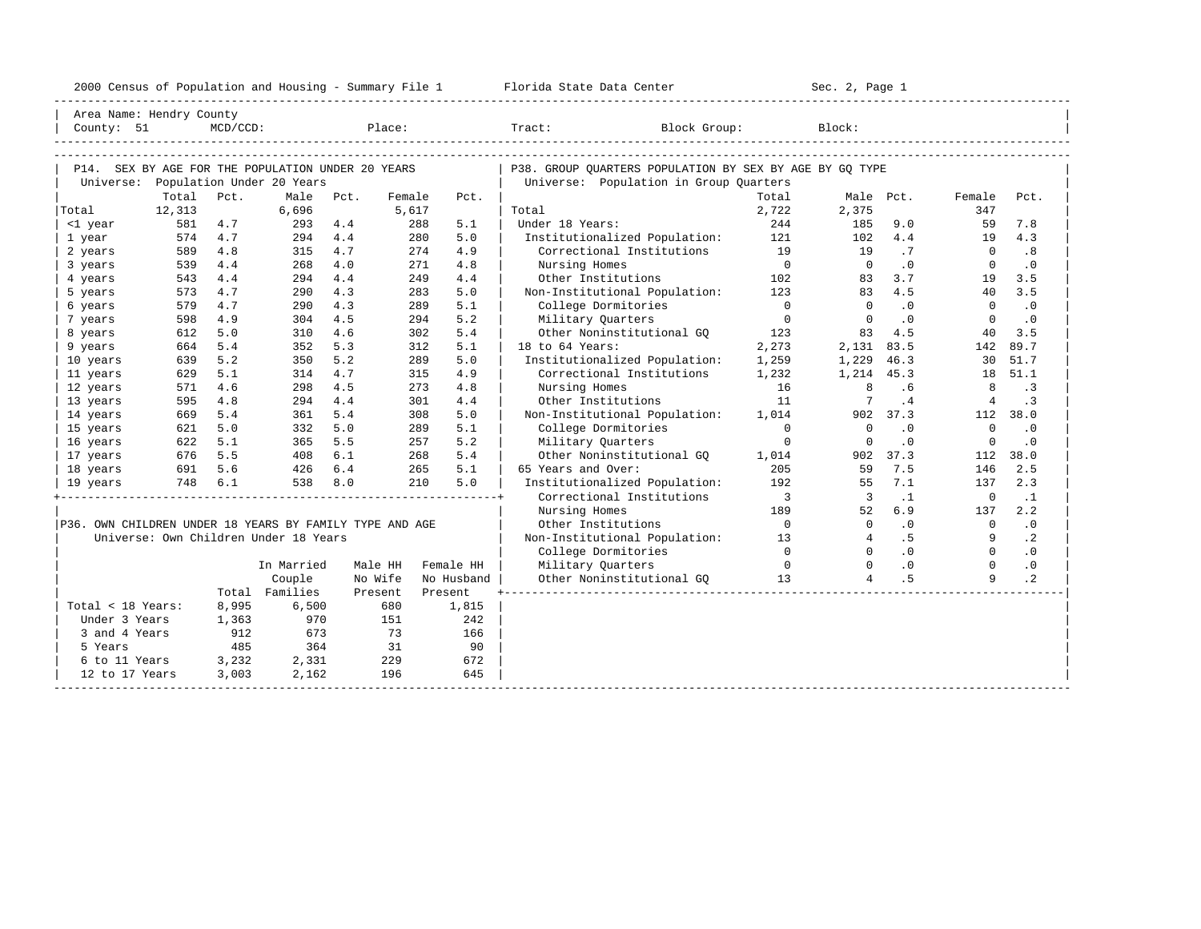| 2000 Census of Population and Housing - Summary File 1 Florida State Data Center |        |                |                                       |         |           |            |                                                         |                            | Sec. 2, Page 1          |                |                |           |
|----------------------------------------------------------------------------------|--------|----------------|---------------------------------------|---------|-----------|------------|---------------------------------------------------------|----------------------------|-------------------------|----------------|----------------|-----------|
| Area Name: Hendry County                                                         |        |                |                                       |         |           |            |                                                         |                            |                         |                |                |           |
|                                                                                  |        | $MCD/CCD$ :    |                                       |         | Place:    |            | Block Group:<br>Tract:                                  |                            | Block:                  |                |                |           |
|                                                                                  |        |                |                                       |         |           |            |                                                         |                            |                         |                |                |           |
| P14. SEX BY AGE FOR THE POPULATION UNDER 20 YEARS                                |        |                |                                       |         |           |            | P38. GROUP OUARTERS POPULATION BY SEX BY AGE BY GO TYPE |                            |                         |                |                |           |
|                                                                                  |        |                | Universe: Population Under 20 Years   |         |           |            | Universe: Population in Group Quarters                  |                            |                         |                |                |           |
|                                                                                  | Total  | Pct.           | Male                                  | Pct.    | Female    | Pct.       |                                                         | Total                      |                         | Male Pct.      | Female         | Pct.      |
| Total                                                                            | 12,313 |                | 6,696                                 |         | 5,617     |            | Total                                                   | 2,722                      | 2,375                   |                | 347            |           |
| <1 year                                                                          | 581    | 4.7            | 293                                   | 4.4     | 288       | 5.1        | Under 18 Years:                                         | 244                        | 185                     | 9.0            | 59             | 7.8       |
| 1 year                                                                           | 574    | 4.7            | 294                                   | 4.4     | 280       | 5.0        | Institutionalized Population:                           | 121                        | 102                     | 4.4            | 19             | 4.3       |
| 2 years                                                                          | 589    | 4.8            | 315                                   | 4.7     | 274       | 4.9        | Correctional Institutions                               | 19                         | 19                      | $\cdot$ 7      | $\overline{0}$ | .8        |
| 3 years                                                                          | 539    | 4.4            | 268                                   | 4.0     | 271       | 4.8        | Nursing Homes                                           | $\overline{0}$             | $\overline{0}$          | $\cdot$ 0      | $\Omega$       | $\cdot$ 0 |
| 4 years                                                                          | 543    | 4.4            | 294                                   | 4.4     | 249       | 4.4        | Other Institutions                                      | 102                        | 83                      | 3.7            | 19             | 3.5       |
| 5 years                                                                          | 573    | 4.7            | 290                                   | 4.3     | 283       | 5.0        | Non-Institutional Population:                           | 123                        | 83                      | 4.5            | 40             | 3.5       |
| 6 years                                                                          | 579    | 4.7            | 290                                   | 4.3     | 289       | 5.1        | College Dormitories                                     | $\overline{0}$             | $\Omega$                | $\cdot$ 0      | $\Omega$       | $\cdot$ 0 |
| 7 years                                                                          | 598    | 4.9            | 304                                   | 4.5     | 294       | 5.2        | Military Quarters                                       | $\overline{0}$             | $\overline{0}$          | $\cdot$ 0      | $\Omega$       | $\cdot$ 0 |
| 8 years                                                                          | 612    | 5.0            | 310                                   | 4.6     | 302       | 5.4        | Other Noninstitutional GO                               | 123                        |                         | 83 4.5         | 40             | 3.5       |
| 9 years                                                                          | 664    | 5.4            | 352                                   | 5.3     | 312       | 5.1        | 18 to 64 Years:                                         | 2,273                      | 2,131 83.5              |                | 142            | 89.7      |
| 10 years                                                                         | 639    | 5.2            | 350                                   | 5.2     | 289       | 5.0        | Institutionalized Population:                           | 1,259                      | 1,229 46.3              |                |                | 30 51.7   |
| 11 years                                                                         | 629    | 5.1            | 314                                   | 4.7     | 315       | 4.9        | Correctional Institutions                               | 1,232                      | 1,214 45.3              |                |                | 18 51.1   |
| 12 years                                                                         | 571    | 4.6            | 298                                   | 4.5     | 273       | 4.8        | Nursing Homes                                           | 16                         | 8                       | .6             | 8              | $\cdot$ 3 |
| 13 years                                                                         | 595    | 4.8            | 294                                   | 4.4     | 301       | 4.4        | Other Institutions                                      | 11                         | 7                       | .4             | $\overline{4}$ | $\cdot$ 3 |
| 14 years                                                                         | 669    | 5.4            | 361                                   | 5.4     | 308       | 5.0        | Non-Institutional Population:                           | 1,014                      |                         | 902 37.3       |                | 112 38.0  |
| 15 years                                                                         | 621    | 5.0            | 332                                   | 5.0     | 289       | 5.1        | College Dormitories                                     | $\Omega$                   | $\Omega$                | $\cdot$ 0      | $\Omega$       | $\cdot$ 0 |
| 16 years                                                                         | 622    | 5.1            | 365                                   | 5.5     | 257       | 5.2        | Military Quarters                                       | $\mathbf 0$                | $\overline{0}$          | $\cdot$ 0      | $\overline{0}$ | $\cdot$ 0 |
| 17 years                                                                         |        | 676 5.5        | 408                                   | 6.1     | 268       | 5.4        | Other Noninstitutional GO                               | 1,014                      |                         | 902 37.3       | 112            | 38.0      |
| 18 years                                                                         |        | 691 5.6        | 426 6.4                               |         | 265       | 5.1        | 65 Years and Over:                                      | 205                        | 59                      | 7.5            | 146            | 2.5       |
| 19 years                                                                         |        | 748 6.1        | 538                                   | 8.0     | 210       | 5.0        | Institutionalized Population:                           | 192                        | 55                      | 7.1            | 137            | 2.3       |
|                                                                                  |        |                |                                       |         |           |            | Correctional Institutions                               | $\overline{\phantom{a}}$ 3 | $\overline{\mathbf{3}}$ | $\cdot$ 1      | $\overline{0}$ | $\cdot$ 1 |
|                                                                                  |        |                |                                       |         |           |            | Nursing Homes                                           | 189                        | 52                      | 6.9            | 137            | 2.2       |
| P36. OWN CHILDREN UNDER 18 YEARS BY FAMILY TYPE AND AGE                          |        |                |                                       |         |           |            | Other Institutions                                      | $\overline{0}$             | $\overline{0}$          | .0             | $\overline{0}$ | .0        |
|                                                                                  |        |                | Universe: Own Children Under 18 Years |         |           |            | Non-Institutional Population: 13                        |                            | $\overline{4}$          | .5             | 9              | $\cdot$ 2 |
|                                                                                  |        |                |                                       |         |           |            | College Dormitories                                     | $\overline{0}$             | $\Omega$                | $\overline{0}$ | $\Omega$       | $\cdot$ 0 |
|                                                                                  |        |                | In Married                            | Male HH |           | Female HH  | Military Quarters                                       | $\sim$ 0                   | $\Omega$                | $\cdot$ 0      | $\Omega$       | $\cdot$ 0 |
|                                                                                  |        |                | Couple                                | No Wife |           | No Husband | Other Noninstitutional GQ 13                            |                            | $\overline{4}$          | .5             | $\mathsf{Q}$   | $\cdot$ 2 |
|                                                                                  |        |                | Total Families                        | Present |           | Present    |                                                         |                            |                         |                |                |           |
| Total < 18 Years:                                                                |        | 8,995          | 6,500                                 |         | 680       | 1,815      |                                                         |                            |                         |                |                |           |
| Under 3 Years                                                                    |        | 1,363          | 970                                   |         | 151       | 242        |                                                         |                            |                         |                |                |           |
| 3 and 4 Years                                                                    |        | 912            | 673                                   |         | 73        | 166        |                                                         |                            |                         |                |                |           |
| 5 Years<br>6 to 11 Years                                                         |        | 485            | 364                                   |         | 31<br>229 | 90<br>672  |                                                         |                            |                         |                |                |           |
| 12 to 17 Years                                                                   |        | 3,232<br>3,003 | 2,331<br>2,162                        |         | 196       | 645        |                                                         |                            |                         |                |                |           |
|                                                                                  |        |                |                                       |         |           |            |                                                         |                            |                         |                |                |           |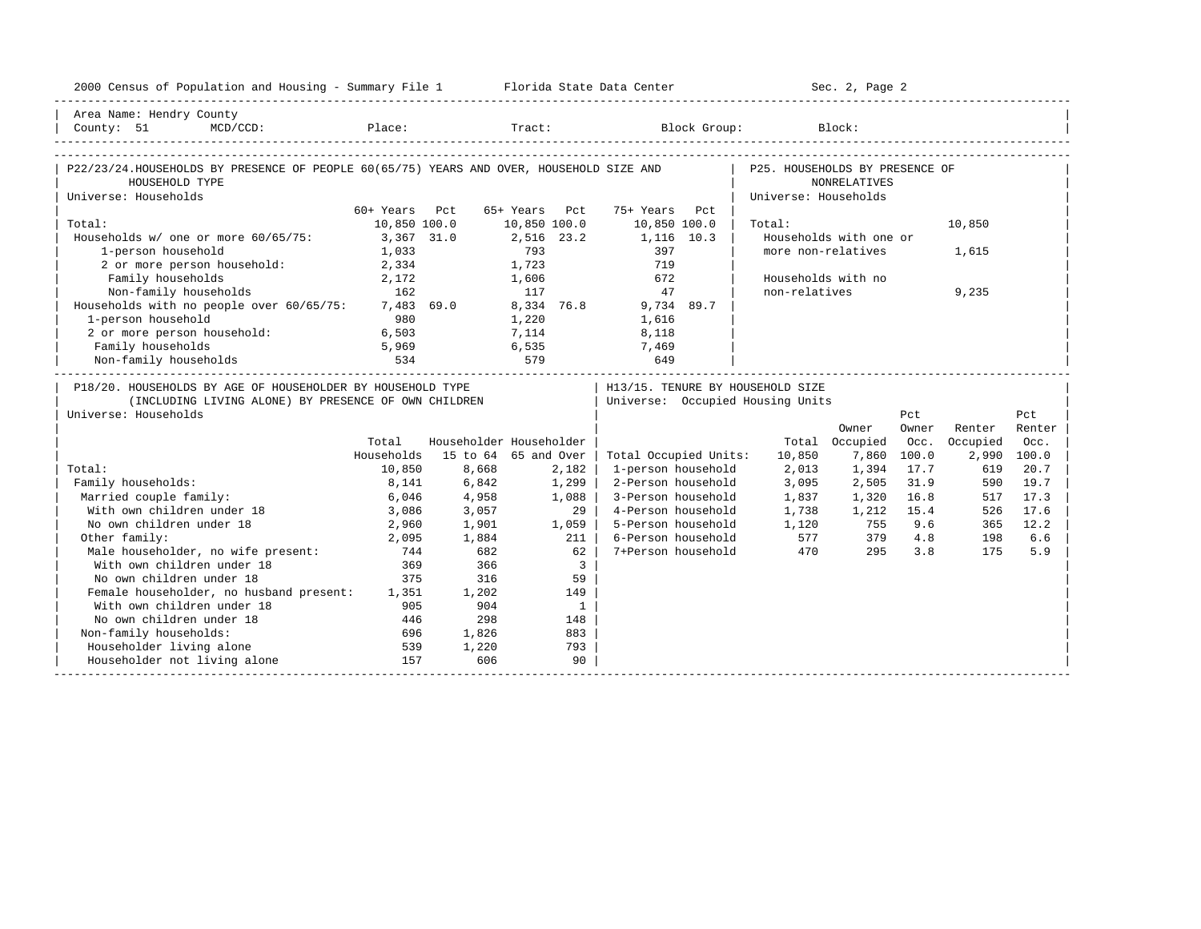| 2000 Census of Population and Housing - Summary File 1 Florida State Data Center                                                                                                                                                                   |               |                         |               |                 |                       |                                  | Sec. 2, Page 2         |       |          |             |
|----------------------------------------------------------------------------------------------------------------------------------------------------------------------------------------------------------------------------------------------------|---------------|-------------------------|---------------|-----------------|-----------------------|----------------------------------|------------------------|-------|----------|-------------|
| Area Name: Hendry County                                                                                                                                                                                                                           |               |                         |               |                 |                       |                                  |                        |       |          |             |
| $\begin{tabular}{ l l } \hline County: & 51 & MCD/CCD: & \textcolor{red}{Place:} & \textcolor{red}{Trace:} & \textcolor{red}{Block Group:} & \textcolor{red}{Block:} & \textcolor{green}{Hock:} & \textcolor{green}{O(1)} \\ \hline \end{tabular}$ |               |                         |               |                 |                       |                                  |                        |       |          |             |
|                                                                                                                                                                                                                                                    |               |                         |               |                 |                       |                                  |                        |       |          |             |
| P22/23/24.HOUSEHOLDS BY PRESENCE OF PEOPLE 60(65/75) YEARS AND OVER, HOUSEHOLD SIZE AND                                                                                                                                                            |               |                         |               |                 |                       | P25. HOUSEHOLDS BY PRESENCE OF   |                        |       |          |             |
| HOUSEHOLD TYPE                                                                                                                                                                                                                                     |               |                         |               |                 |                       |                                  | <b>NONRELATIVES</b>    |       |          |             |
| Universe: Households                                                                                                                                                                                                                               |               |                         |               |                 |                       | Universe: Households             |                        |       |          |             |
|                                                                                                                                                                                                                                                    | 60+ Years Pct |                         | 65+ Years Pct |                 | 75+ Years Pct         |                                  |                        |       |          |             |
| Total:                                                                                                                                                                                                                                             | 10,850 100.0  |                         | 10,850 100.0  |                 | 10,850 100.0          | Total:                           |                        |       | 10,850   |             |
| Households w/ one or more 60/65/75:                                                                                                                                                                                                                | 3,367 31.0    |                         |               | 2,516 23.2      | 1,116 10.3            |                                  | Households with one or |       |          |             |
| 1-person household                                                                                                                                                                                                                                 | 1,033         |                         | 793           |                 | 397                   | more non-relatives               |                        |       | 1,615    |             |
| 2 or more person household: 2,334                                                                                                                                                                                                                  |               |                         | 1,723         |                 | 719                   |                                  |                        |       |          |             |
| Family households                                                                                                                                                                                                                                  | 2,172         |                         | 1,606         |                 | 672                   | Households with no               |                        |       |          |             |
| $\frac{1}{162}$<br>Non-family households                                                                                                                                                                                                           |               |                         | 117           |                 | 47                    | non-relatives                    |                        |       | 9,235    |             |
| Households with no people over 60/65/75: 7,483 69.0 8,334 76.8 9,734 89.7                                                                                                                                                                          |               |                         |               |                 |                       |                                  |                        |       |          |             |
| 1-person household                                                                                                                                                                                                                                 | 980           |                         | 1,220         |                 | 1,616                 |                                  |                        |       |          |             |
| 2 or more person household:                                                                                                                                                                                                                        | 6,503         |                         | 7,114         |                 | 8,118                 |                                  |                        |       |          |             |
| Family households                                                                                                                                                                                                                                  | 5,969         |                         |               |                 | 6,535 7,469           |                                  |                        |       |          |             |
| Non-family households                                                                                                                                                                                                                              |               |                         |               |                 |                       |                                  |                        |       |          |             |
| P18/20. HOUSEHOLDS BY AGE OF HOUSEHOLDER BY HOUSEHOLD TYPE                                                                                                                                                                                         |               |                         |               |                 |                       | H13/15. TENURE BY HOUSEHOLD SIZE |                        |       |          |             |
| (INCLUDING LIVING ALONE) BY PRESENCE OF OWN CHILDREN                                                                                                                                                                                               |               |                         |               |                 |                       | Universe: Occupied Housing Units |                        |       |          |             |
| Universe: Households                                                                                                                                                                                                                               |               |                         |               |                 |                       |                                  |                        | Pct   |          | Pct         |
|                                                                                                                                                                                                                                                    |               |                         |               |                 |                       |                                  | Owner                  | Owner | Renter   | Renter      |
|                                                                                                                                                                                                                                                    | Total         | Householder Householder |               |                 |                       |                                  | Total Occupied         | Occ.  | Occupied | Occ.        |
|                                                                                                                                                                                                                                                    | Households    | 15 to 64 65 and Over    |               |                 | Total Occupied Units: | 10,850                           | 7,860                  | 100.0 |          | 2,990 100.0 |
| Total:                                                                                                                                                                                                                                             | 10,850        | 8,668                   |               | 2,182           | 1-person household    | 2,013                            | 1,394                  | 17.7  | 619      | 20.7        |
| Family households:                                                                                                                                                                                                                                 | 8,141         | 6,842                   |               | 1,299           | 2-Person household    | 3,095                            | 2,505                  | 31.9  | 590      | 19.7        |
| Married couple family:                                                                                                                                                                                                                             | 6,046         | 4,958                   |               | 1,088           | 3-Person household    | 1,837                            | 1,320                  | 16.8  | 517      | 17.3        |
| With own children under 18                                                                                                                                                                                                                         | 3,086         | 3,057                   |               | 29 <sub>1</sub> | 4-Person household    | 1,738                            | 1,212 15.4             |       | 526      | 17.6        |
| No own children under 18                                                                                                                                                                                                                           | 2,960         | 1,901                   |               | 1,059           | 5-Person household    | 1,120                            | 755                    | 9.6   | 365      | 12.2        |
| Other family:                                                                                                                                                                                                                                      | 2,095         | 1,884                   |               | 211 l           | 6-Person household    | 577<br>470                       | 379                    | 4.8   | 198      | 6.6         |
| Male householder, no wife present:                                                                                                                                                                                                                 | 744           | 682                     |               | 62 l            | 7+Person household    | 470                              | 295                    | 3.8   | 175      | 5.9         |
| With own children under 18                                                                                                                                                                                                                         | 369           | 366                     |               | $\overline{3}$  |                       |                                  |                        |       |          |             |
| No own children under 18                                                                                                                                                                                                                           | 375           | 316                     |               | 59              |                       |                                  |                        |       |          |             |
| Female householder, no husband present: 1,351                                                                                                                                                                                                      |               | 1,202                   |               | 149             |                       |                                  |                        |       |          |             |
| With own children under 18                                                                                                                                                                                                                         | 905           | 904                     |               | $\overline{1}$  |                       |                                  |                        |       |          |             |
| No own children under 18                                                                                                                                                                                                                           | 446           | 298                     |               | 148             |                       |                                  |                        |       |          |             |
| Non-family households:                                                                                                                                                                                                                             | 696           | 1,826                   |               | 883             |                       |                                  |                        |       |          |             |
| Householder living alone                                                                                                                                                                                                                           | 539           | 1,220                   |               | 793             |                       |                                  |                        |       |          |             |
| Householder not living alone                                                                                                                                                                                                                       |               |                         |               |                 |                       |                                  |                        |       |          |             |
|                                                                                                                                                                                                                                                    | 157           | 606                     |               | 90              |                       |                                  |                        |       |          |             |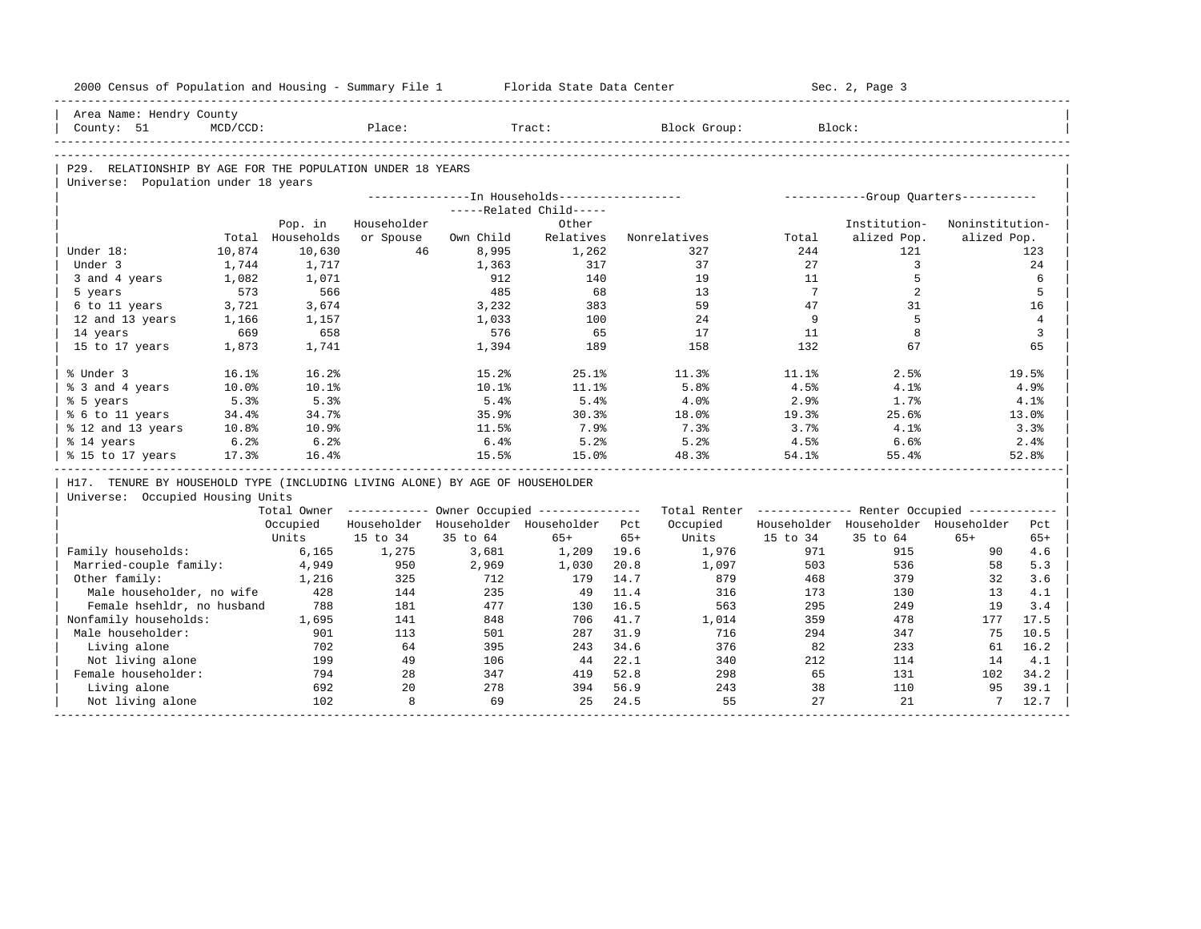| 2000 Census of Population and Housing - Summary File 1                       |             |                  |             |           | Florida State Data Center                               |       |                                                         |                 | Sec. 2, Page 3                        |                 |                |
|------------------------------------------------------------------------------|-------------|------------------|-------------|-----------|---------------------------------------------------------|-------|---------------------------------------------------------|-----------------|---------------------------------------|-----------------|----------------|
| Area Name: Hendry County                                                     |             |                  |             |           |                                                         |       |                                                         |                 |                                       |                 |                |
| County: 51                                                                   | $MCD/CCD$ : |                  | Place:      |           | Tract:                                                  |       | Block Group:                                            |                 | Block:                                |                 |                |
|                                                                              |             |                  |             |           |                                                         |       |                                                         |                 |                                       |                 |                |
| P29. RELATIONSHIP BY AGE FOR THE POPULATION UNDER 18 YEARS                   |             |                  |             |           |                                                         |       |                                                         |                 |                                       |                 |                |
| Universe: Population under 18 years                                          |             |                  |             |           |                                                         |       |                                                         |                 |                                       |                 |                |
|                                                                              |             |                  |             |           | ---------------In Households------------------          |       |                                                         |                 | ------------Group Quarters----------- |                 |                |
|                                                                              |             |                  |             |           | -----Related Child-----                                 |       |                                                         |                 |                                       |                 |                |
|                                                                              |             | Pop. in          | Householder |           | Other                                                   |       |                                                         |                 | Institution-                          | Noninstitution- |                |
|                                                                              |             | Total Households | or Spouse   | Own Child | Relatives                                               |       | Nonrelatives                                            | Total           | alized Pop.                           | alized Pop.     |                |
| Under 18:                                                                    | 10,874      | 10,630           | 46          | 8,995     | 1,262                                                   |       | 327                                                     | 244             | 121                                   |                 | 123            |
| Under 3                                                                      | 1,744       | 1,717            |             | 1,363     | 317                                                     |       | 37                                                      | 27              | $\mathbf{3}$                          |                 | 24             |
| 3 and 4 years                                                                | 1,082       | 1,071            |             | 912       | 140                                                     |       | 19                                                      | 11              | 5                                     |                 | 6              |
| 5 years                                                                      | 573         | 566              |             | 485       | 68                                                      |       | 13                                                      | $7\phantom{.0}$ | 2                                     |                 | 5              |
| 6 to 11 years                                                                | 3,721       | 3,674            |             | 3,232     | 383                                                     |       | 59                                                      | 47              | 31                                    |                 | 16             |
| 12 and 13 years                                                              | 1,166       | 1,157            |             | 1,033     | 100                                                     |       | 24                                                      | 9               | 5                                     |                 | $\overline{4}$ |
| 14 years                                                                     | 669         | 658              |             | 576       | 65                                                      |       | 17                                                      | 11              | 8                                     |                 | 3              |
| 15 to 17 years                                                               | 1,873       | 1,741            |             | 1,394     | 189                                                     |       | 158                                                     | 132             | 67                                    |                 | 65             |
| % Under 3                                                                    | 16.1%       | 16.2%            |             | 15.2%     | 25.1%                                                   |       | 11.3%                                                   | 11.1%           | 2.5%                                  |                 | 19.5%          |
| % 3 and 4 years                                                              | 10.0%       | 10.1%            |             | 10.1%     | 11.1%                                                   |       | 5.8%                                                    | 4.5%            | 4.1%                                  |                 | 4.9%           |
| % 5 years                                                                    | 5.3%        | 5.3%             |             | 5.4%      | 5.4%                                                    |       | 4.0%                                                    | 2.9%            | 1.7%                                  |                 | 4.1%           |
| % 6 to 11 years                                                              | 34.4%       | 34.7%            |             | 35.9%     | 30.3%                                                   |       | 18.0%                                                   | 19.3%           | 25.6%                                 |                 | 13.0%          |
| % 12 and 13 years                                                            | 10.8%       | 10.9%            |             | 11.5%     | 7.9%                                                    |       | 7.3%                                                    | 3.7%            | 4.1%                                  |                 | 3.3%           |
| % 14 years                                                                   | 6.2%        | 6.2%             |             | 6.4%      | 5.2%                                                    |       | 5.2%                                                    | $4.5\%$         | 6.6%                                  |                 | 2.4%           |
| % 15 to 17 years                                                             | 17.3%       | 16.4%            |             | 15.5%     | 15.0%                                                   |       | 48.3%                                                   | 54.1%           | 55.4%                                 |                 | 52.8%          |
| H17. TENURE BY HOUSEHOLD TYPE (INCLUDING LIVING ALONE) BY AGE OF HOUSEHOLDER |             |                  |             |           |                                                         |       |                                                         |                 |                                       |                 |                |
| Universe: Occupied Housing Units                                             |             |                  |             |           |                                                         |       |                                                         |                 |                                       |                 |                |
|                                                                              |             |                  |             |           | Total Owner ------------ Owner Occupied --------------- |       | Total Renter ------------- Renter Occupied ------------ |                 |                                       |                 |                |
|                                                                              |             | Occupied         |             |           | Householder Householder Householder Pct                 |       | Occupied                                                |                 | Householder Householder Householder   |                 | Pct            |
|                                                                              |             | Units            | 15 to 34    | 35 to 64  | $65+$                                                   | $65+$ | Units                                                   | 15 to 34        | 35 to 64                              | $65+$           | $65+$          |
| Family households:                                                           |             | 6,165            | 1,275       | 3,681     | 1,209                                                   | 19.6  | 1,976                                                   | 971             | 915                                   | 90              | 4.6            |
| Married-couple family:                                                       |             | 4,949            | 950         | 2,969     | 1,030                                                   | 20.8  | 1,097                                                   | 503             | 536                                   | 58              | 5.3            |
| Other family:                                                                |             | 1,216            | 325         | 712       | 179                                                     | 14.7  | 879                                                     | 468             | 379                                   | 32              | 3.6            |
| Male householder, no wife                                                    |             | 428              | 144         | 235       | - 49                                                    | 11.4  | 316                                                     | 173             | 130                                   | 13              | 4.1            |
| Female hsehldr, no husband                                                   |             | 788              | 181         | 477       | 130                                                     | 16.5  | 563                                                     | 295             | 249                                   | 19              | 3.4            |
| Nonfamily households:                                                        |             | 1,695            | 141         | 848       | 706                                                     | 41.7  | 1,014                                                   | 359             | 478                                   | 177             | 17.5           |
| Male householder:                                                            |             | 901              | 113         | 501       | 287                                                     | 31.9  | 716                                                     | 294             | 347                                   | 75              | 10.5           |
| Living alone                                                                 |             | 702              | 64          | 395       | 243                                                     | 34.6  | 376                                                     | 82              | 233                                   | 61              | 16.2           |
| Not living alone                                                             |             | 199              | 49          | 106       | 44                                                      | 22.1  | 340                                                     | 212             | 114                                   | 14              | 4.1            |
| Female householder:                                                          |             | 794              | 28          | 347       | 419                                                     | 52.8  | 298                                                     | 65              | 131                                   | 102             | 34.2           |
| Living alone                                                                 |             | 692              | 2.0         | 278       | 394                                                     | 56.9  | 243                                                     | 38              | 110                                   | 95              | 39.1           |
| Not living alone                                                             |             | 102              | 8           | 69        | 25                                                      | 24.5  | 55                                                      | 27              | 21                                    | $7^{\circ}$     | 12.7           |
|                                                                              |             |                  |             |           |                                                         |       |                                                         |                 |                                       |                 |                |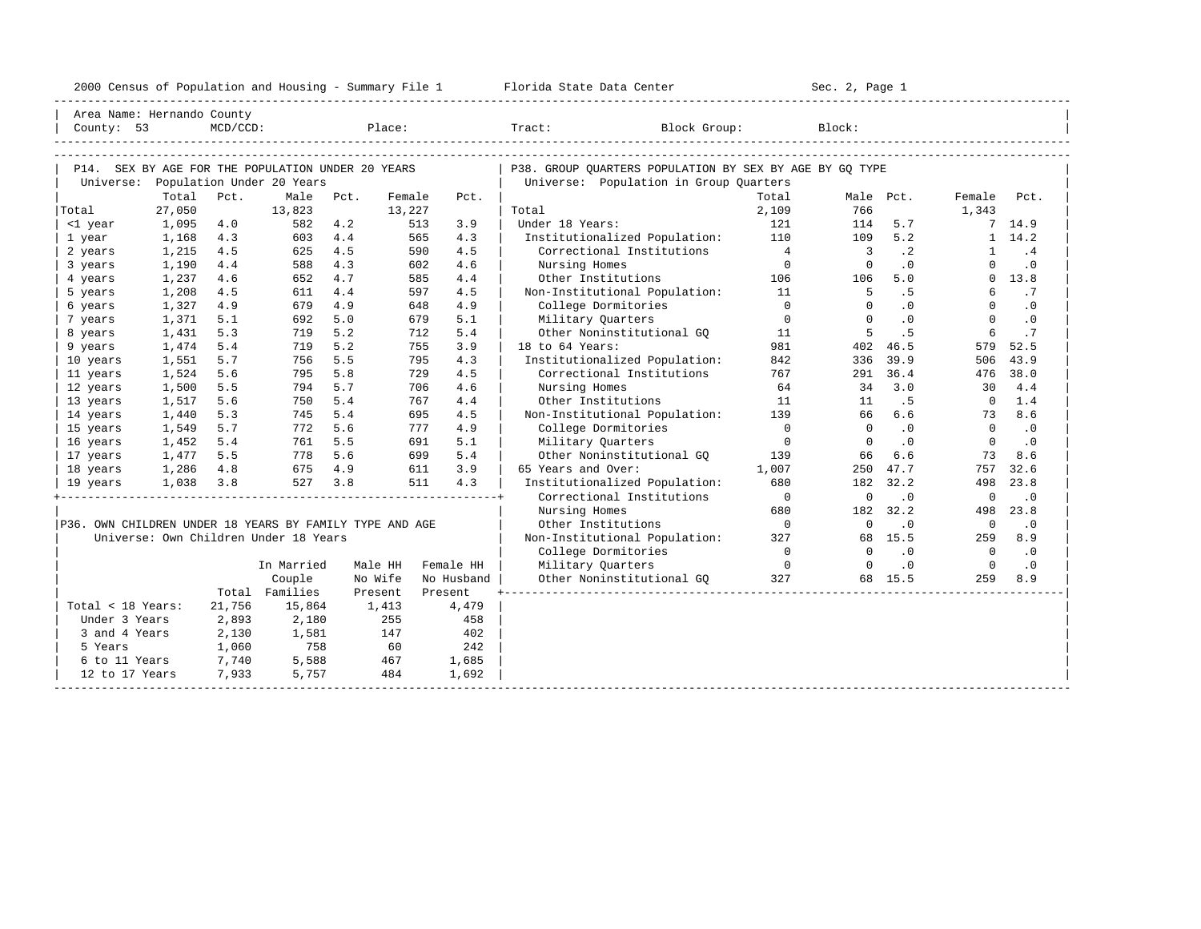| 2000<br>ensus! | and<br>Population | ---<br>Summa:<br>$-$<br>Housing | lorida<br>Data<br>otatt<br>cence. | ، م ج<br>Page<br>$3-1$ |  |
|----------------|-------------------|---------------------------------|-----------------------------------|------------------------|--|
|                |                   |                                 |                                   |                        |  |

| Area Name: Hernando County                              |        |          |                                       |      |         |            |                                                         |                |                          |           |                |                |
|---------------------------------------------------------|--------|----------|---------------------------------------|------|---------|------------|---------------------------------------------------------|----------------|--------------------------|-----------|----------------|----------------|
| County: 53                                              |        | MCD/CCD: |                                       |      | Place:  |            | Block Group:<br>Tract:                                  |                | Block:                   |           |                |                |
|                                                         |        |          |                                       |      |         |            |                                                         |                |                          |           |                |                |
|                                                         |        |          |                                       |      |         |            |                                                         |                |                          |           |                |                |
| P14. SEX BY AGE FOR THE POPULATION UNDER 20 YEARS       |        |          |                                       |      |         |            | P38. GROUP QUARTERS POPULATION BY SEX BY AGE BY GQ TYPE |                |                          |           |                |                |
| Universe: Population Under 20 Years                     |        |          |                                       |      |         |            | Universe: Population in Group Quarters                  |                |                          |           |                |                |
|                                                         | Total  | Pct.     | Male                                  | Pct. | Female  | Pct.       |                                                         | Total          | Male Pct.                |           | Female         | Pct.           |
| Total                                                   | 27,050 |          | 13,823                                |      | 13,227  |            | Total                                                   | 2,109          | 766                      |           | 1,343          |                |
| <1 year                                                 | 1,095  | 4.0      | 582                                   | 4.2  |         | 513<br>3.9 | Under 18 Years:                                         | 121            | 114                      | 5.7       |                | 7, 14.9        |
| 1 year                                                  | 1,168  | 4.3      | 603                                   | 4.4  |         | 565<br>4.3 | Institutionalized Population:                           | 110            | 109                      | 5.2       | 1              | 14.2           |
| 2 years                                                 | 1,215  | 4.5      | 625                                   | 4.5  |         | 4.5<br>590 | Correctional Institutions                               | $\overline{4}$ | $\overline{\phantom{a}}$ | $\cdot$ 2 | $\mathbf{1}$   | .4             |
| 3 years                                                 | 1,190  | 4.4      | 588                                   | 4.3  |         | 4.6<br>602 | Nursing Homes                                           | $\overline{0}$ | $\overline{0}$           | $\cdot$ 0 | $\mathbf 0$    | $\cdot$ 0      |
| 4 years                                                 | 1,237  | 4.6      | 652                                   | 4.7  |         | 585<br>4.4 | Other Institutions                                      | 106            | 106                      | 5.0       |                | $0 \quad 13.8$ |
| 5 years                                                 | 1,208  | 4.5      | 611                                   | 4.4  |         | 597<br>4.5 | Non-Institutional Population:                           | 11             | -5                       | .5        | 6              | .7             |
| 6 years                                                 | 1,327  | 4.9      | 679                                   | 4.9  |         | 4.9<br>648 | College Dormitories                                     | $\Omega$       | $\Omega$                 | .0        | $\Omega$       | $\cdot$ 0      |
| 7 years                                                 | 1,371  | 5.1      | 692                                   | 5.0  |         | 5.1<br>679 | Military Ouarters                                       | $\overline{0}$ | $\Omega$                 | $\cdot$ 0 | $\mathbf{0}$   | $\cdot$ 0      |
| 8 years                                                 | 1,431  | 5.3      | 719                                   | 5.2  |         | 712<br>5.4 | Other Noninstitutional GO                               | 11             | 5                        | . 5       | 6              | .7             |
| 9 years                                                 | 1,474  | 5.4      | 719                                   | 5.2  |         | 755<br>3.9 | $18$ to $64$ Years:                                     | 981            | 402                      | 46.5      | 579            | 52.5           |
| 10 years                                                | 1,551  | 5.7      | 756                                   | 5.5  |         | 4.3<br>795 | Institutionalized Population:                           | 842            | 336                      | 39.9      | 506            | 43.9           |
| 11 years                                                | 1,524  | 5.6      | 795                                   | 5.8  |         | 729<br>4.5 | Correctional Institutions                               | 767            | 291                      | 36.4      | 476            | 38.0           |
| 12 years                                                | 1,500  | 5.5      | 794                                   | 5.7  |         | 706<br>4.6 | Nursing Homes                                           | 64             | 34                       | 3.0       | 30             | 4.4            |
| 13 years                                                | 1,517  | 5.6      | 750                                   | 5.4  |         | 767<br>4.4 | Other Institutions                                      | 11             | 11                       | .5        | $\overline{0}$ | 1.4            |
| 14 years                                                | 1,440  | 5.3      | 745                                   | 5.4  |         | 4.5<br>695 | Non-Institutional Population:                           | 139            | 66                       | 6.6       | 73             | 8.6            |
| 15 years                                                | 1,549  | 5.7      | 772                                   | 5.6  |         | 777<br>4.9 | College Dormitories                                     | $\Omega$       | $\Omega$                 | $\cdot$ 0 | $\Omega$       | $\cdot$ 0      |
| 16 years                                                | 1,452  | 5.4      | 761                                   | 5.5  |         | 691<br>5.1 | Military Ouarters                                       | $\Omega$       | $\Omega$                 | $\cdot$ 0 | $\Omega$       | $\cdot$ 0      |
| 17 years                                                | 1,477  | 5.5      | 778                                   | 5.6  |         | 5.4<br>699 | Other Noninstitutional GQ                               | 139            | 66                       | 6.6       | 73             | 8.6            |
| 18 years                                                | 1,286  | 4.8      | 675                                   | 4.9  |         | 3.9<br>611 | 65 Years and Over:                                      | 1,007          | 250                      | 47.7      | 757            | 32.6           |
| 19 years                                                | 1,038  | 3.8      | 527                                   | 3.8  |         | 4.3<br>511 | Institutionalized Population:                           | 680            | 182                      | 32.2      | 498            | 23.8           |
|                                                         |        |          |                                       |      |         |            | Correctional Institutions                               | $\overline{0}$ | $\mathbf 0$              | $\cdot$ 0 | $\overline{0}$ | $\cdot$ 0      |
|                                                         |        |          |                                       |      |         |            | Nursing Homes                                           | 680            | 182                      | 32.2      | 498            | 23.8           |
| P36. OWN CHILDREN UNDER 18 YEARS BY FAMILY TYPE AND AGE |        |          |                                       |      |         |            | Other Institutions                                      | $\overline{0}$ | $\Omega$                 | $\cdot$ 0 | $\circ$        | $\cdot$ 0      |
|                                                         |        |          | Universe: Own Children Under 18 Years |      |         |            | Non-Institutional Population:                           | 327            |                          | 68 15.5   | 259            | 8.9            |
|                                                         |        |          |                                       |      |         |            | College Dormitories                                     | $\overline{0}$ | $\cap$                   | $\cdot$ 0 | $\overline{0}$ | $\cdot$ 0      |
|                                                         |        |          | In Married                            |      | Male HH | Female HH  | Military Quarters                                       | $\overline{0}$ | $\Omega$                 | $\cdot$ 0 | $\overline{0}$ | $\cdot$ 0      |
|                                                         |        |          | Couple                                |      | No Wife | No Husband | Other Noninstitutional GO                               | 327            |                          | 68 15.5   | 259            | 8.9            |
|                                                         |        |          | Total Families                        |      | Present | Present    |                                                         |                |                          |           |                |                |
| Total < 18 Years:                                       |        | 21,756   | 15,864                                |      | 1,413   | 4,479      |                                                         |                |                          |           |                |                |
| Under 3 Years                                           |        | 2,893    | 2,180                                 |      | 255     | 458        |                                                         |                |                          |           |                |                |
| 3 and 4 Years                                           |        | 2,130    | 1,581                                 |      | 147     | 402        |                                                         |                |                          |           |                |                |
| 5 Years                                                 |        | 1,060    | 758                                   |      | 60      | 242        |                                                         |                |                          |           |                |                |
| 6 to 11 Years                                           |        | 7,740    | 5,588                                 |      | 467     | 1,685      |                                                         |                |                          |           |                |                |
| 12 to 17 Years                                          |        | 7,933    | 5,757                                 |      | 484     | 1,692      |                                                         |                |                          |           |                |                |
|                                                         |        |          |                                       |      |         |            |                                                         |                |                          |           |                |                |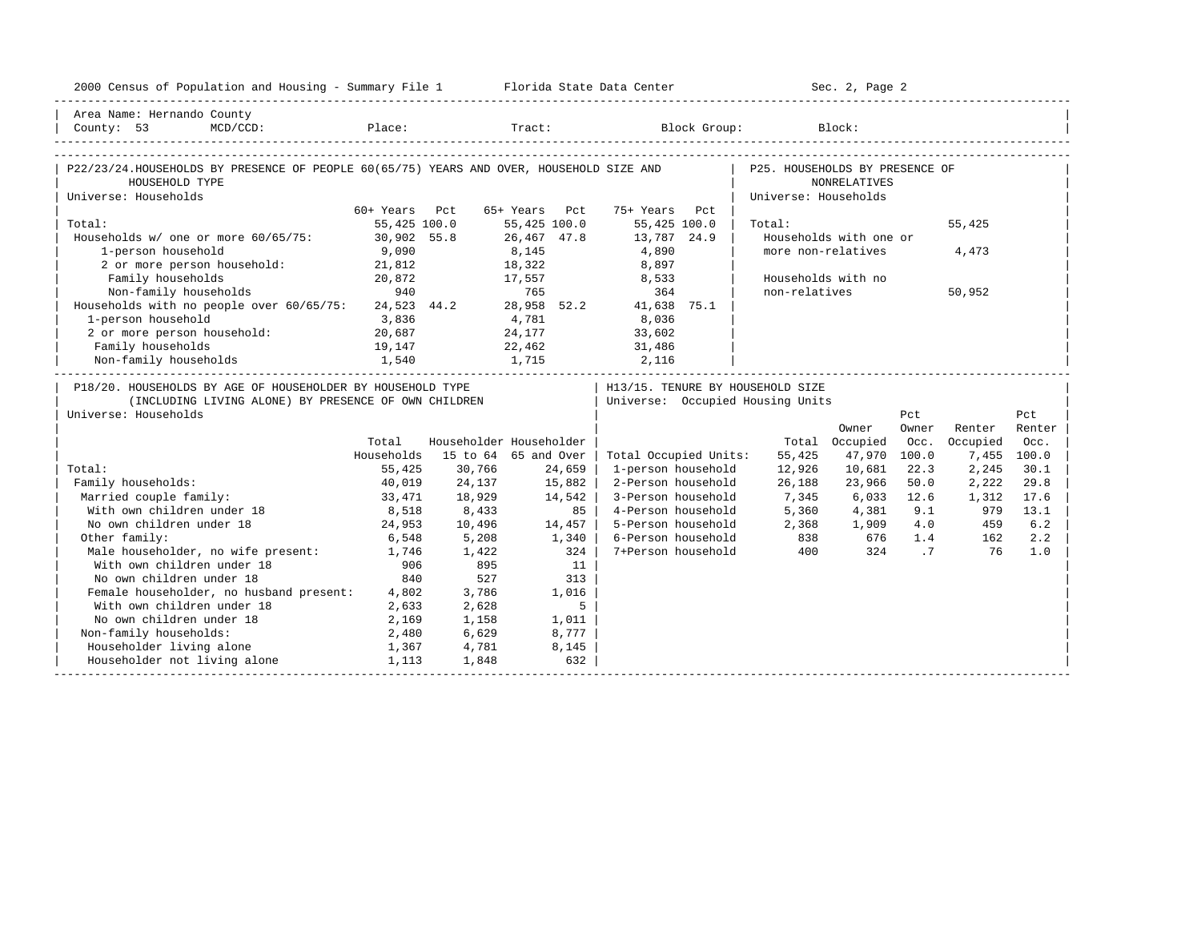| 2000 Census of Population and Housing - Summary File 1 Florida State Data Center                                                           |               |                         |                      |       |                                                                      |                                | Sec. 2, Page 2                               |                |          |             |
|--------------------------------------------------------------------------------------------------------------------------------------------|---------------|-------------------------|----------------------|-------|----------------------------------------------------------------------|--------------------------------|----------------------------------------------|----------------|----------|-------------|
| Area Name: Hernando County<br>County: 53                                                                                                   |               |                         |                      |       | MCD/CCD: Place: Tract: Block Group: Block:                           |                                |                                              |                |          |             |
| P22/23/24.HOUSEHOLDS BY PRESENCE OF PEOPLE 60(65/75) YEARS AND OVER, HOUSEHOLD SIZE AND<br>HOUSEHOLD TYPE                                  |               |                         |                      |       |                                                                      | P25. HOUSEHOLDS BY PRESENCE OF | NONRELATIVES                                 |                |          |             |
| Universe: Households                                                                                                                       | 60+ Years Pct |                         | 65+ Years Pct        |       | 75+ Years Pct                                                        | Universe: Households           |                                              |                |          |             |
| Total:                                                                                                                                     | 55,425 100.0  |                         | 55,425 100.0         |       | 55,425 100.0                                                         | Total:                         |                                              |                | 55,425   |             |
| Households w/ one or more 60/65/75: 30,902 55.8<br>1-person household                                                                      | 9,090         |                         | 26,467 47.8<br>8,145 |       | 13,787 24.9<br>4,890                                                 |                                | Households with one or<br>more non-relatives |                | 4,473    |             |
| 2 or more person household: 21,812                                                                                                         |               |                         | 18,322               |       | 8,897                                                                |                                |                                              |                |          |             |
| Family households<br>Non-family households                                                                                                 | 20,872<br>940 |                         | 17,557<br>765        |       | 8,533<br>364                                                         | non-relatives                  | Households with no                           |                | 50,952   |             |
| Households with no people over 60/65/75: 24,523 44.2 28,958 52.2                                                                           |               |                         |                      |       | 41,638 75.1                                                          |                                |                                              |                |          |             |
| 1-person household                                                                                                                         | 3,836         |                         | 4,781                |       | 8,036                                                                |                                |                                              |                |          |             |
| 2 or more person household:                                                                                                                | 20,687        |                         | 24,177               |       | 33,602                                                               |                                |                                              |                |          |             |
| Family households                                                                                                                          | 19,147        |                         | 22,462               |       | 31,486                                                               |                                |                                              |                |          |             |
| 1,540<br>Non-family households                                                                                                             |               |                         |                      |       | 1,715 2,116                                                          |                                |                                              |                |          |             |
| P18/20. HOUSEHOLDS BY AGE OF HOUSEHOLDER BY HOUSEHOLD TYPE<br>(INCLUDING LIVING ALONE) BY PRESENCE OF OWN CHILDREN<br>Universe: Households |               |                         |                      |       | H13/15. TENURE BY HOUSEHOLD SIZE<br>Universe: Occupied Housing Units |                                |                                              | Pct            |          | Pct         |
|                                                                                                                                            |               |                         |                      |       |                                                                      |                                | Owner                                        | Owner          | Renter   | Renter      |
|                                                                                                                                            | Total         | Householder Householder |                      |       |                                                                      |                                | Total Occupied                               | Occ.           | Occupied | Occ.        |
|                                                                                                                                            | Households    |                         | 15 to 64 65 and Over |       | Total Occupied Units:                                                | 55,425                         | 47,970                                       | 100.0          |          | 7,455 100.0 |
| Total:                                                                                                                                     | 55,425        | 30,766                  | 24,659               |       | 1-person household                                                   | 12,926                         | 10,681                                       | 22.3           | 2,245    | 30.1        |
| Family households:                                                                                                                         | 40,019        | 24,137                  | 15,882               |       | 2-Person household                                                   | 26,188                         | 23,966                                       | 50.0           | 2,222    | 29.8        |
| Married couple family:                                                                                                                     | 33,471        | 18,929                  | 14,542               |       | 3-Person household                                                   | 7,345                          | 6,033                                        | 12.6           | 1,312    | 17.6        |
| With own children under 18                                                                                                                 | 8,518         | 8,433                   |                      | 85    | 4-Person household                                                   | 5,360                          | 4,381                                        | 9.1            | 979      | 13.1        |
| No own children under 18                                                                                                                   | 24,953        | 10,496                  | 14,457               |       | 5-Person household                                                   | 2,368                          | 1,909                                        | 4.0            | 459      | 6.2         |
| Other family:                                                                                                                              | 6,548         | 5,208                   | 1,340                |       | 6-Person household                                                   | 838                            | 676                                          | 1.4            | 162      | 2.2         |
| Male householder, no wife present:                                                                                                         | 1,746         | 1,422                   |                      | 324   | 7+Person household                                                   | 400                            | 324                                          | $\overline{7}$ | 76       | 1.0         |
| With own children under 18                                                                                                                 | 906           | 895                     |                      | 11    |                                                                      |                                |                                              |                |          |             |
| No own children under 18                                                                                                                   | 840           | 527                     |                      | 313   |                                                                      |                                |                                              |                |          |             |
| Female householder, no husband present: 4,802                                                                                              |               | 3,786                   |                      | 1,016 |                                                                      |                                |                                              |                |          |             |
| With own children under 18                                                                                                                 | 2,633         | 2,628                   |                      | 5     |                                                                      |                                |                                              |                |          |             |
| No own children under 18                                                                                                                   | 2,169         | 1,158                   |                      | 1,011 |                                                                      |                                |                                              |                |          |             |
| Non-family households:                                                                                                                     | 2,480         | 6,629                   |                      | 8,777 |                                                                      |                                |                                              |                |          |             |
| Householder living alone                                                                                                                   | 1,367         | 4,781                   |                      | 8,145 |                                                                      |                                |                                              |                |          |             |
| Householder not living alone                                                                                                               | 1,113         | 1,848                   |                      | 632   |                                                                      |                                |                                              |                |          |             |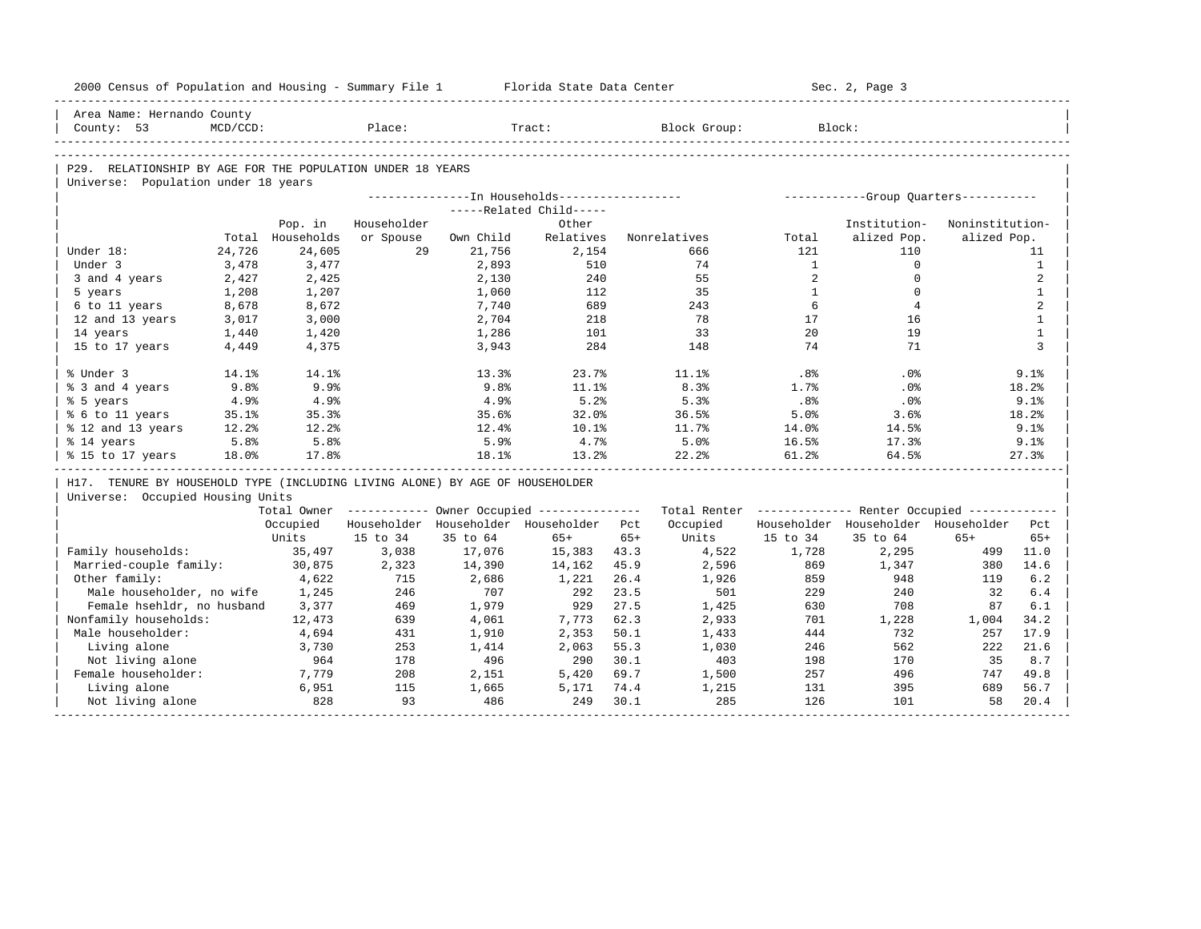| 2000 Census of Population and Housing - Summary File 1                       |             |                  |             |           | Florida State Data Center                              |       |                                                         |                 | Sec. 2, Page 3                        |                 |              |
|------------------------------------------------------------------------------|-------------|------------------|-------------|-----------|--------------------------------------------------------|-------|---------------------------------------------------------|-----------------|---------------------------------------|-----------------|--------------|
| Area Name: Hernando County                                                   |             |                  |             |           |                                                        |       |                                                         |                 |                                       |                 |              |
| County: 53                                                                   | $MCD/CCD$ : |                  | Place:      |           | Tract:                                                 |       | Block Group:                                            |                 | Block:                                |                 |              |
|                                                                              |             |                  |             |           |                                                        |       |                                                         |                 |                                       |                 |              |
| P29. RELATIONSHIP BY AGE FOR THE POPULATION UNDER 18 YEARS                   |             |                  |             |           |                                                        |       |                                                         |                 |                                       |                 |              |
| Universe: Population under 18 years                                          |             |                  |             |           |                                                        |       |                                                         |                 |                                       |                 |              |
|                                                                              |             |                  |             |           | ---------------- In Households------------------       |       |                                                         |                 | ------------Group Quarters----------- |                 |              |
|                                                                              |             |                  |             |           | -----Related Child-----                                |       |                                                         |                 |                                       |                 |              |
|                                                                              |             | Pop. in          | Householder |           | Other                                                  |       |                                                         |                 | Institution-                          | Noninstitution- |              |
|                                                                              |             | Total Households | or Spouse   | Own Child | Relatives                                              |       | Nonrelatives                                            | Total           | alized Pop.                           | alized Pop.     |              |
| Under 18:                                                                    | 24,726      | 24,605           | 29          | 21,756    | 2,154                                                  |       | 666                                                     | 121             | 110                                   |                 | 11           |
| Under 3                                                                      | 3,478       | 3,477            |             | 2,893     | 510                                                    |       | 74                                                      | <sup>1</sup>    | $\Omega$                              |                 | $\mathbf{1}$ |
| 3 and 4 years                                                                | 2,427       | 2,425            |             | 2,130     | 240                                                    |       | 55                                                      | 2               | $\mathbf 0$                           |                 | 2            |
| 5 years                                                                      | 1,208       | 1,207            |             | 1,060     | 112                                                    |       | 35                                                      | $\mathbf{1}$    | $\Omega$                              |                 | $\mathbf{1}$ |
| 6 to 11 years                                                                | 8,678       | 8,672            |             | 7,740     | 689                                                    |       | 243                                                     | 6               | $\overline{4}$                        |                 | 2            |
| 12 and 13 years                                                              | 3,017       | 3,000            |             | 2,704     | 218                                                    |       | 78                                                      | 17              | 16                                    |                 | $\mathbf{1}$ |
| 14 years                                                                     | 1,440       | 1,420            |             | 1,286     | 101                                                    |       | 33                                                      | 20              | 19                                    |                 | $\mathbf{1}$ |
| 15 to 17 years                                                               | 4,449       | 4,375            |             | 3,943     | 284                                                    |       | 148                                                     | 74              | 71                                    |                 | 3            |
| % Under 3                                                                    | 14.1%       | 14.1%            |             | 13.3%     | 23.7%                                                  |       | 11.1%                                                   | .8 <sup>8</sup> | .0%                                   |                 | 9.1%         |
| % 3 and 4 years                                                              | 9.8%        | 9.9%             |             | 9.8%      | 11.1%                                                  |       | 8.3%                                                    | 1.7%            | .0%                                   |                 | 18.2%        |
| % 5 years                                                                    | 4.9%        | 4.9%             |             | 4.9%      | 5.2%                                                   |       | 5.3%                                                    | .8%             | .0%                                   |                 | 9.1%         |
| % 6 to 11 years                                                              | 35.1%       | 35.3%            |             | 35.6%     | 32.0%                                                  |       | 36.5%                                                   | 5.0%            | 3.6%                                  |                 | 18.2%        |
| % 12 and 13 years                                                            | 12.2%       | 12.2%            |             | 12.4%     | 10.1%                                                  |       | 11.7%                                                   | 14.0%           | 14.5%                                 |                 | 9.1%         |
| % 14 years                                                                   | 5.8%        | 5.8%             |             | 5.9%      | 4.7%                                                   |       | 5.0%                                                    | 16.5%           | 17.3%                                 |                 | 9.1%         |
| % 15 to 17 years                                                             | 18.0%       | 17.8%            |             | 18.1%     | 13.2%                                                  |       | 22.2%                                                   | 61.2%           | 64.5%                                 |                 | 27.3%        |
| H17. TENURE BY HOUSEHOLD TYPE (INCLUDING LIVING ALONE) BY AGE OF HOUSEHOLDER |             |                  |             |           |                                                        |       |                                                         |                 |                                       |                 |              |
| Universe: Occupied Housing Units                                             |             |                  |             |           |                                                        |       |                                                         |                 |                                       |                 |              |
|                                                                              |             |                  |             |           | Total Owner ------------ Owner Occupied -------------- |       | Total Renter ------------- Renter Occupied ------------ |                 |                                       |                 |              |
|                                                                              |             | Occupied         |             |           | Householder Householder Householder                    | Pct   | Occupied                                                |                 | Householder Householder Householder   |                 | Pct          |
|                                                                              |             | Units            | 15 to 34    | 35 to 64  | $65+$                                                  | $65+$ | Units                                                   | 15 to 34        | 35 to 64                              | $65+$           | $65+$        |
| Family households:                                                           |             | 35,497           | 3,038       | 17,076    | 15,383                                                 | 43.3  | 4,522                                                   | 1,728           | 2,295                                 | 499             | 11.0         |
| Married-couple family:                                                       |             | 30,875           | 2,323       | 14,390    | 14,162                                                 | 45.9  | 2,596                                                   | 869             | 1,347                                 | 380             | 14.6         |
| Other family:                                                                |             | 4,622            | 715         | 2,686     | 1,221                                                  | 26.4  | 1,926                                                   | 859             | 948                                   | 119             | 6.2          |
| Male householder, no wife                                                    |             | 1,245            | 246         | 707       | 292                                                    | 23.5  | 501                                                     | 229             | 240                                   | 32              | 6.4          |
| Female hsehldr, no husband                                                   |             | 3,377            | 469         | 1,979     | 929                                                    | 27.5  | 1,425                                                   | 630             | 708                                   | 87              | 6.1          |
| Nonfamily households:                                                        |             | 12,473           | 639         | 4,061     | 7,773                                                  | 62.3  | 2,933                                                   | 701             | 1,228                                 | 1,004           | 34.2         |
| Male householder:                                                            |             | 4,694            | 431         | 1,910     | 2,353                                                  | 50.1  | 1,433                                                   | 444             | 732                                   | 257             | 17.9         |
| Living alone                                                                 |             | 3,730            | 253         | 1,414     | 2,063                                                  | 55.3  | 1,030                                                   | 246             | 562                                   | 222             | 21.6         |
| Not living alone                                                             |             | 964              | 178         | 496       | 290                                                    | 30.1  | 403                                                     | 198             | 170                                   | 35              | 8.7          |
| Female householder:                                                          |             | 7,779            | 208         | 2,151     | 5,420                                                  | 69.7  | 1,500                                                   | 257             | 496                                   | 747             | 49.8         |
| Living alone                                                                 |             | 6,951            | 115         | 1,665     | 5,171                                                  | 74.4  | 1,215                                                   | 131             | 395                                   | 689             | 56.7         |
| Not living alone                                                             |             | 828              | 93          | 486       | 249                                                    | 30.1  | 285                                                     | 126             | 101                                   | 58              | 20.4         |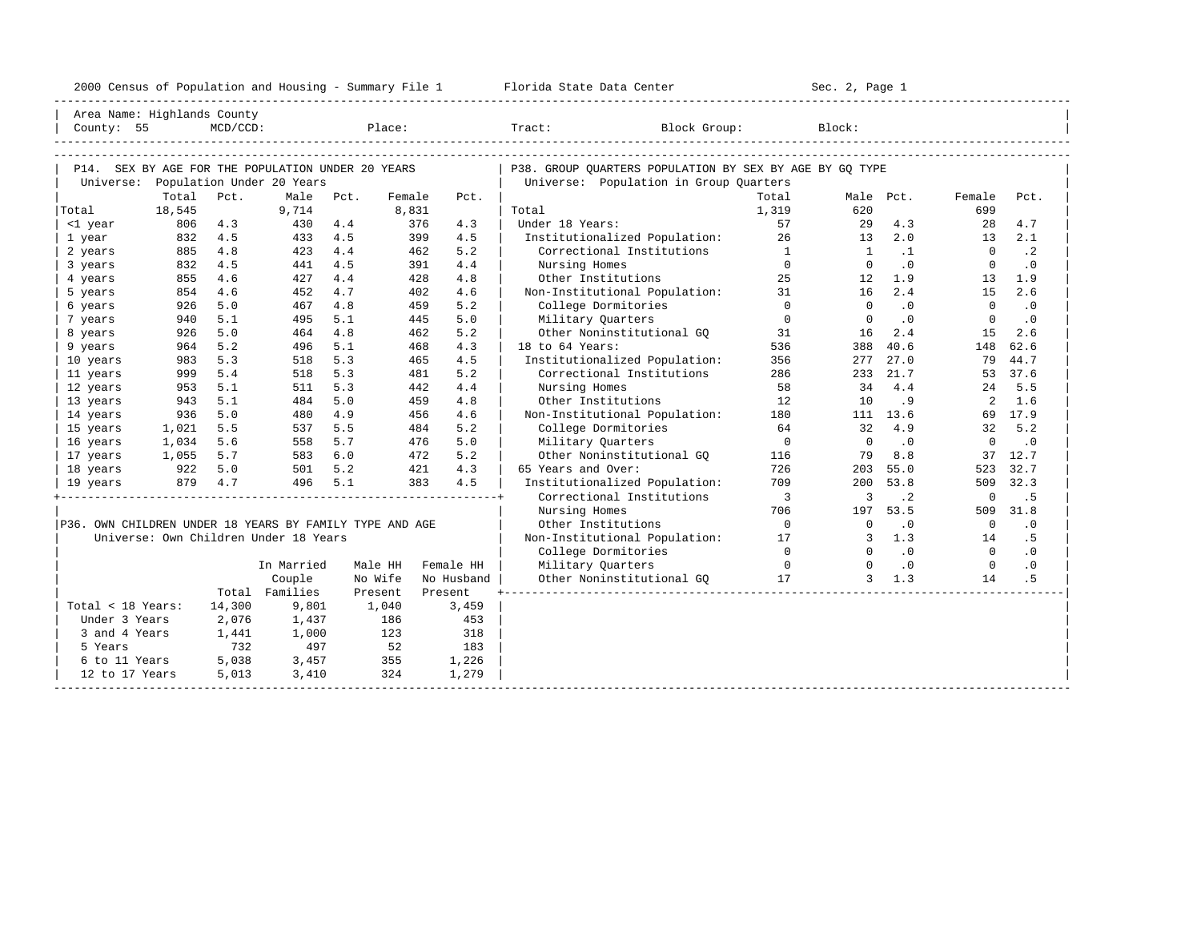| 2000<br>ensus! | and<br>Population | ---<br>Summa:<br>$-$<br>Housing | lorida<br>Data<br>otatt<br>cence. | ، م ج<br>Page<br>$3-1$ |  |
|----------------|-------------------|---------------------------------|-----------------------------------|------------------------|--|
|                |                   |                                 |                                   |                        |  |

| Area Name: Highlands County                             |        |          |                                       |      |         |            |                                                         |                          |                            |           |                |           |
|---------------------------------------------------------|--------|----------|---------------------------------------|------|---------|------------|---------------------------------------------------------|--------------------------|----------------------------|-----------|----------------|-----------|
| County: 55                                              |        | MCD/CCD: |                                       |      | Place:  |            | Tract: Block Group:                                     |                          | Block:                     |           |                |           |
|                                                         |        |          |                                       |      |         |            |                                                         |                          |                            |           |                |           |
|                                                         |        |          |                                       |      |         |            |                                                         |                          |                            |           |                |           |
| P14. SEX BY AGE FOR THE POPULATION UNDER 20 YEARS       |        |          |                                       |      |         |            | P38. GROUP QUARTERS POPULATION BY SEX BY AGE BY GQ TYPE |                          |                            |           |                |           |
| Universe: Population Under 20 Years                     |        |          |                                       |      |         |            | Universe: Population in Group Quarters                  |                          |                            |           |                |           |
|                                                         | Total  | Pct.     | Male                                  | Pct. | Female  | Pct.       |                                                         | Total                    |                            | Male Pct. | Female         | Pct.      |
| Total                                                   | 18,545 |          | 9,714                                 |      | 8,831   |            | Total                                                   | 1,319                    | 620                        |           | 699            |           |
| <1 year                                                 | 806    | 4.3      | 430                                   | 4.4  | 376     | 4.3        | Under 18 Years:                                         | 57                       | 29                         | 4.3       | 28             | 4.7       |
| 1 year                                                  | 832    | 4.5      | 433                                   | 4.5  | 399     | 4.5        | Institutionalized Population:                           | 26                       | 13                         | 2.0       | 13             | 2.1       |
| 2 years                                                 | 885    | 4.8      | 423                                   | 4.4  | 462     | 5.2        | Correctional Institutions                               | $\overline{1}$           | $\mathbf{1}$               | $\cdot$ 1 | $\Omega$       | $\cdot$ 2 |
| 3 years                                                 | 832    | 4.5      | 441                                   | 4.5  |         | 391<br>4.4 | Nursing Homes                                           | $\overline{0}$           | $\overline{0}$             | $\cdot$ 0 | $\overline{0}$ | $\cdot$ 0 |
| 4 years                                                 | 855    | 4.6      | 427                                   | 4.4  | 428     | 4.8        | Other Institutions                                      | 25                       | 12                         | 1.9       | 13             | 1.9       |
| 5 years                                                 | 854    | 4.6      | 452                                   | 4.7  | 402     | 4.6        | Non-Institutional Population:                           | 31                       | 16                         | 2.4       | 15             | 2.6       |
| 6 years                                                 | 926    | 5.0      | 467                                   | 4.8  | 459     | 5.2        | College Dormitories                                     | $\Omega$                 | $\Omega$                   | $\cdot$ 0 | $\Omega$       | $\cdot$ 0 |
| 7 years                                                 | 940    | 5.1      | 495                                   | 5.1  | 445     | 5.0        | Military Quarters                                       | $\circ$                  | $\overline{0}$             | $\cdot$ 0 | $\overline{0}$ | $\cdot$ 0 |
| 8 years                                                 | 926    | 5.0      | 464                                   | 4.8  | 462     | 5.2        | Other Noninstitutional GO                               | 31                       | 16                         | 2.4       | 15             | 2.6       |
| 9 years                                                 | 964    | 5.2      | 496                                   | 5.1  | 468     | 4.3        | 18 to 64 Years:                                         | 536                      | 388                        | 40.6      | 148            | 62.6      |
| 10 years                                                | 983    | 5.3      | 518                                   | 5.3  | 465     | 4.5        | Institutionalized Population:                           | 356                      | 277                        | 27.0      | 79             | 44.7      |
| 11 years                                                | 999    | 5.4      | 518                                   | 5.3  | 481     | 5.2        | Correctional Institutions                               | 286                      | 233                        | 21.7      | 53             | 37.6      |
| 12 years                                                | 953    | 5.1      | 511                                   | 5.3  | 442     | 4.4        | Nursing Homes                                           | 58                       | 34                         | 4.4       | 24             | 5.5       |
| 13 years                                                | 943    | 5.1      | 484                                   | 5.0  | 459     | 4.8        | Other Institutions                                      | 12                       | 10                         | . 9       | 2              | 1.6       |
| 14 years                                                | 936    | 5.0      | 480                                   | 4.9  | 456     | 4.6        | Non-Institutional Population:                           | 180                      |                            | 111 13.6  |                | 69 17.9   |
| 15 years                                                | 1,021  | 5.5      | 537                                   | 5.5  |         | 5.2<br>484 | College Dormitories                                     | 64                       | 32                         | 4.9       | 32             | 5.2       |
| 16 years                                                | 1,034  | 5.6      | 558                                   | 5.7  | 476     | 5.0        | Military Ouarters                                       | $\overline{0}$           | $\overline{0}$             | $\cdot$ 0 | $\overline{0}$ | $\cdot$ 0 |
| 17 years                                                | 1,055  | 5.7      | 583                                   | 6.0  |         | 5.2<br>472 | Other Noninstitutional GO                               | 116                      | 79                         | 8.8       |                | 37 12.7   |
| 18 years                                                | 922    | 5.0      | 501                                   | 5.2  |         | 4.3<br>421 | 65 Years and Over:                                      | 726                      |                            | 203 55.0  | 523            | 32.7      |
| 19 years                                                |        | 879 4.7  | 496                                   | 5.1  |         | 383<br>4.5 | Institutionalized Population:                           | 709                      | $200 -$                    | 53.8      | 509            | 32.3      |
|                                                         |        |          |                                       |      |         |            | Correctional Institutions                               | $\overline{\phantom{a}}$ | 3                          | $\cdot$ 2 | $\mathbf{0}$   | .5        |
|                                                         |        |          |                                       |      |         |            | Nursing Homes                                           | 706                      | 197                        | 53.5      | 509            | 31.8      |
| P36. OWN CHILDREN UNDER 18 YEARS BY FAMILY TYPE AND AGE |        |          |                                       |      |         |            | Other Institutions                                      | $\overline{0}$           | $\Omega$                   | $\cdot$ 0 | $\overline{0}$ | $\cdot$ 0 |
|                                                         |        |          | Universe: Own Children Under 18 Years |      |         |            | Non-Institutional Population:                           | 17                       | $\mathbf{3}$               | 1.3       | 14             | .5        |
|                                                         |        |          |                                       |      |         |            | College Dormitories                                     | $\overline{0}$           | $\Omega$                   | $\cdot$ 0 | $\overline{0}$ | $\cdot$ 0 |
|                                                         |        |          | In Married                            |      | Male HH | Female HH  | Military Quarters                                       |                          | $\overline{0}$<br>$\Omega$ | $\cdot$ 0 | $\overline{0}$ | $\cdot$ 0 |
|                                                         |        |          | Couple                                |      | No Wife | No Husband | Other Noninstitutional GQ 17                            |                          |                            | $3 \t1.3$ | 14             | .5        |
|                                                         |        |          | Total Families                        |      | Present | Present    |                                                         |                          |                            |           |                |           |
| Total < 18 Years:                                       |        | 14,300   | 9,801                                 |      | 1,040   | 3,459      |                                                         |                          |                            |           |                |           |
| Under 3 Years                                           |        | 2,076    | 1,437                                 |      | 186     | 453        |                                                         |                          |                            |           |                |           |
| 3 and 4 Years                                           |        | 1,441    | 1,000                                 |      | 123     | 318        |                                                         |                          |                            |           |                |           |
| 5 Years                                                 |        | 732      | 497                                   |      | 52      | 183        |                                                         |                          |                            |           |                |           |
| 6 to 11 Years                                           |        | 5,038    | 3,457                                 |      | 355     | 1,226      |                                                         |                          |                            |           |                |           |
| 12 to 17 Years                                          |        | 5,013    | 3,410                                 |      | 324     | 1,279      |                                                         |                          |                            |           |                |           |
|                                                         |        |          |                                       |      |         |            |                                                         |                          |                            |           |                |           |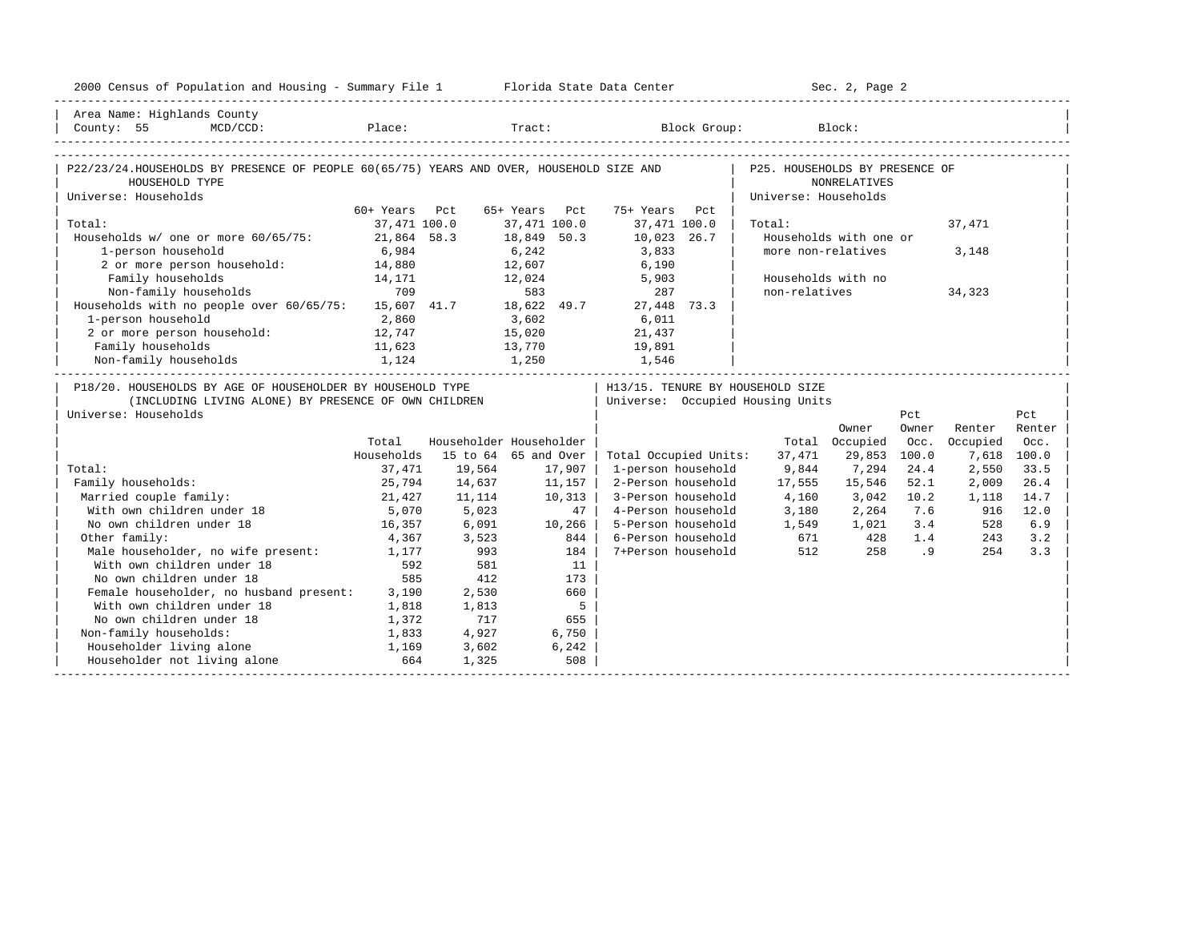| 2000 Census of Population and Housing - Summary File 1 Florida State Data Center                                                           |               |                                |                              |                                   | Sec. 2, Page 2       |                        |       |               |             |
|--------------------------------------------------------------------------------------------------------------------------------------------|---------------|--------------------------------|------------------------------|-----------------------------------|----------------------|------------------------|-------|---------------|-------------|
| Area Name: Highlands County                                                                                                                |               |                                |                              |                                   |                      |                        |       |               |             |
| County: 55 MCD/CCD:                                                                                                                        |               |                                |                              | Place: Tract: Block Group: Block: |                      |                        |       |               |             |
|                                                                                                                                            |               |                                |                              |                                   |                      |                        |       |               |             |
| P22/23/24.HOUSEHOLDS BY PRESENCE OF PEOPLE 60(65/75) YEARS AND OVER, HOUSEHOLD SIZE AND   P25. HOUSEHOLDS BY PRESENCE OF<br>HOUSEHOLD TYPE |               |                                |                              |                                   |                      | <b>NONRELATIVES</b>    |       |               |             |
| Universe: Households                                                                                                                       |               |                                |                              |                                   | Universe: Households |                        |       |               |             |
|                                                                                                                                            | 60+ Years Pct |                                | 65+ Years Pct                | 75+ Years Pct                     |                      |                        |       |               |             |
| Total:                                                                                                                                     | 37,471 100.0  |                                | 37,471 100.0                 | 37,471 100.0                      | Total:               |                        |       | 37,471        |             |
| Households w/ one or more 60/65/75: 21,864 58.3                                                                                            |               |                                | 18,849 50.3                  | 10,023 26.7                       |                      | Households with one or |       |               |             |
| 1-person household                                                                                                                         | 6,984         |                                | $6,242$<br>$12,607$          | 3,833<br>6,190                    |                      | more non-relatives     |       | 3,148         |             |
| 2 or more person household:                                                                                                                | 14,880        |                                |                              |                                   |                      |                        |       |               |             |
| Family households                                                                                                                          | 14,171        |                                | 12,024 5,903                 |                                   |                      | Households with no     |       |               |             |
| 709<br>Non-family households 709 583 287<br>Households with no people over 60/65/75: 15,607 41.7 18,622 49.7 27,448 73.3                   |               |                                |                              |                                   | non-relatives        |                        |       | 34,323        |             |
|                                                                                                                                            |               |                                |                              |                                   |                      |                        |       |               |             |
| 1-person household                                                                                                                         | 2,860         |                                | 3,602                        | 6,011                             |                      |                        |       |               |             |
| 2 or more person household: 12,747                                                                                                         |               |                                | 15,020 21,437                |                                   |                      |                        |       |               |             |
| Family households                                                                                                                          |               |                                | 13,770 19,891<br>1,250 1,546 |                                   |                      |                        |       |               |             |
| ramily nouseholds<br>Non-family households                                                                                                 |               | $11,623$<br>$1,124$<br>$1,250$ |                              |                                   |                      |                        |       |               |             |
| P18/20. HOUSEHOLDS BY AGE OF HOUSEHOLDER BY HOUSEHOLD TYPE                                                                                 |               |                                |                              | H13/15. TENURE BY HOUSEHOLD SIZE  |                      |                        |       |               |             |
| (INCLUDING LIVING ALONE) BY PRESENCE OF OWN CHILDREN                                                                                       |               |                                |                              | Universe: Occupied Housing Units  |                      |                        |       |               |             |
| Universe: Households                                                                                                                       |               |                                |                              |                                   |                      |                        | Pct   |               | Pct         |
|                                                                                                                                            |               |                                |                              |                                   |                      | Owner                  | Owner | Renter        | Renter      |
|                                                                                                                                            | Total         |                                | Householder Householder      |                                   |                      | Total Occupied         |       | Occ. Occupied | Occ.        |
|                                                                                                                                            | Households    |                                | 15 to 64 65 and Over         | Total Occupied Units:             | 37,471               | 29,853                 | 100.0 |               | 7,618 100.0 |
| Total:                                                                                                                                     | 37,471        | 19,564                         | 17,907                       | 1-person household                | 9,844                | 7,294                  | 24.4  | 2,550         | 33.5        |
| Family households:                                                                                                                         | 25,794        | 14,637                         | 11,157                       | 2-Person household                | 17,555               | 15,546                 | 52.1  | 2,009         | 26.4        |
| Married couple family:                                                                                                                     | 21,427        | 11,114                         | $10,313$                     | 3-Person household                | 4,160                | 3,042                  | 10.2  | 1,118         | 14.7        |
| With own children under 18                                                                                                                 | 5,070         | 5,023                          | 47                           | 4-Person household                | 3,180                | 2,264                  | 7.6   | 916           | 12.0        |
| No own children under 18                                                                                                                   | 16,357        | 6,091                          | 10,266                       | 5-Person household                | 1,549                | 1,021                  | 3.4   | 528           | 6.9         |
| Other family:                                                                                                                              | 4,367         | 3,523                          | 844                          | 6-Person household                | 671                  | 428                    | 1.4   | 243           | 3.2         |
| Male householder, no wife present: 1,177                                                                                                   |               | 993                            | 184 l                        | 7+Person household                | 512                  | 258                    | .9    | 254           | 3.3         |
| With own children under 18                                                                                                                 | 592           | 581                            | 11                           |                                   |                      |                        |       |               |             |
| No own children under 18                                                                                                                   | 585           | 412                            | 173                          |                                   |                      |                        |       |               |             |
| Female householder, no husband present: 3,190                                                                                              |               | 2,530                          | 660                          |                                   |                      |                        |       |               |             |
| With own children under 18                                                                                                                 | 1,818         | 1,813                          | $5^{\circ}$                  |                                   |                      |                        |       |               |             |
| No own children under 18                                                                                                                   | 1,372         | 717                            | 655                          |                                   |                      |                        |       |               |             |
| Non-family households:                                                                                                                     | 1,833         | 4,927                          | 6,750                        |                                   |                      |                        |       |               |             |
| Householder living alone                                                                                                                   | 1,169         | 3,602                          | 6,242                        |                                   |                      |                        |       |               |             |
| Householder not living alone                                                                                                               | 664           | 1,325                          | 508                          |                                   |                      |                        |       |               |             |
|                                                                                                                                            |               |                                |                              |                                   |                      |                        |       |               |             |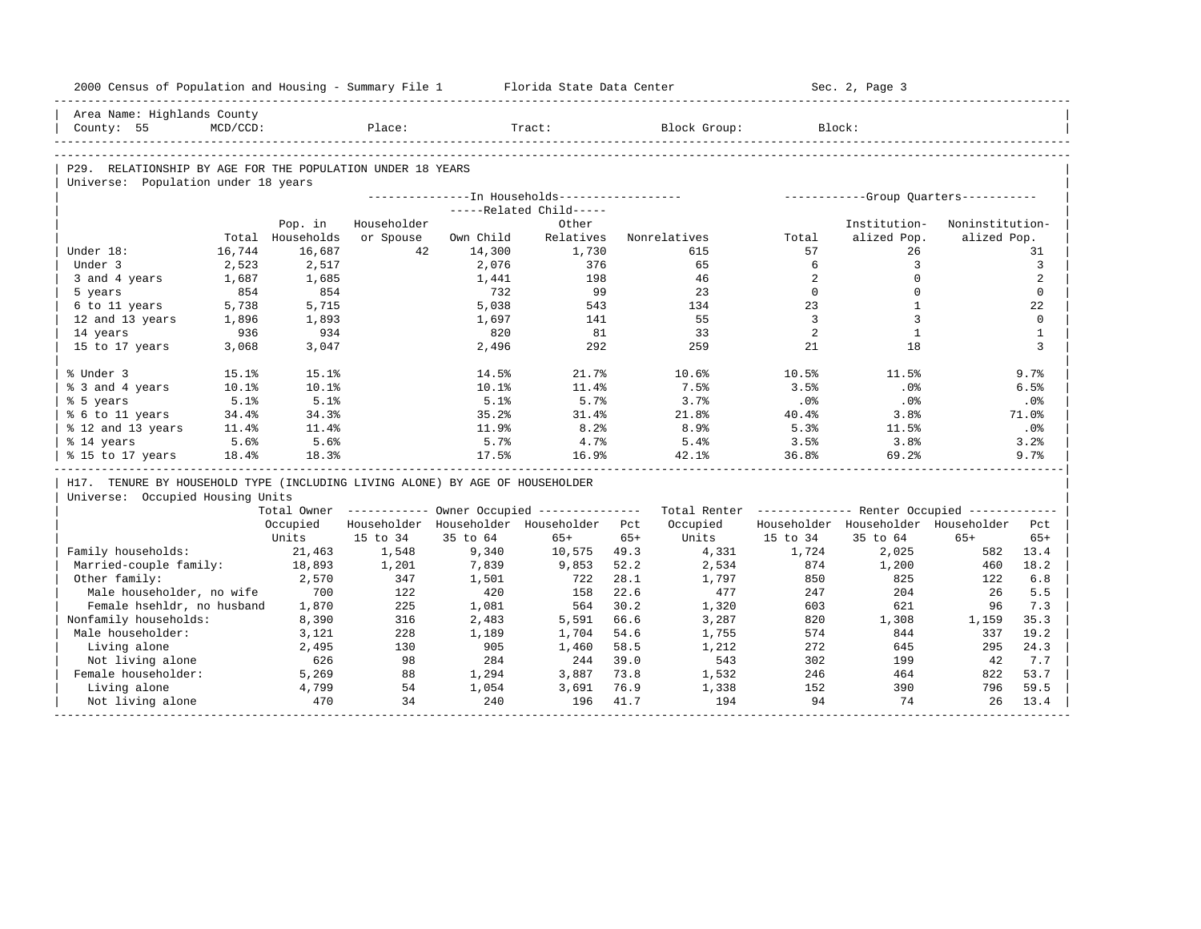|                        |                                                                                                       |                                                                                                                                                                                                                                                                                                                 | 2000 Census of Population and Housing - Summary File 1                                                                                                                    |                                                                                                                                                                                    |                                                                                                                                                                                                                        | Florida State Data Center                                                                                                          |                                                                                                                                                            | Sec. 2, Page 3                                                                                      |                                                                                                                                                               |                                                                                                                                                                           |
|------------------------|-------------------------------------------------------------------------------------------------------|-----------------------------------------------------------------------------------------------------------------------------------------------------------------------------------------------------------------------------------------------------------------------------------------------------------------|---------------------------------------------------------------------------------------------------------------------------------------------------------------------------|------------------------------------------------------------------------------------------------------------------------------------------------------------------------------------|------------------------------------------------------------------------------------------------------------------------------------------------------------------------------------------------------------------------|------------------------------------------------------------------------------------------------------------------------------------|------------------------------------------------------------------------------------------------------------------------------------------------------------|-----------------------------------------------------------------------------------------------------|---------------------------------------------------------------------------------------------------------------------------------------------------------------|---------------------------------------------------------------------------------------------------------------------------------------------------------------------------|
|                        |                                                                                                       |                                                                                                                                                                                                                                                                                                                 |                                                                                                                                                                           |                                                                                                                                                                                    |                                                                                                                                                                                                                        |                                                                                                                                    |                                                                                                                                                            |                                                                                                     |                                                                                                                                                               |                                                                                                                                                                           |
|                        |                                                                                                       |                                                                                                                                                                                                                                                                                                                 |                                                                                                                                                                           |                                                                                                                                                                                    |                                                                                                                                                                                                                        |                                                                                                                                    |                                                                                                                                                            |                                                                                                     |                                                                                                                                                               |                                                                                                                                                                           |
|                        |                                                                                                       |                                                                                                                                                                                                                                                                                                                 |                                                                                                                                                                           |                                                                                                                                                                                    |                                                                                                                                                                                                                        |                                                                                                                                    |                                                                                                                                                            |                                                                                                     |                                                                                                                                                               |                                                                                                                                                                           |
|                        |                                                                                                       |                                                                                                                                                                                                                                                                                                                 |                                                                                                                                                                           |                                                                                                                                                                                    |                                                                                                                                                                                                                        |                                                                                                                                    |                                                                                                                                                            |                                                                                                     |                                                                                                                                                               |                                                                                                                                                                           |
|                        |                                                                                                       |                                                                                                                                                                                                                                                                                                                 |                                                                                                                                                                           |                                                                                                                                                                                    |                                                                                                                                                                                                                        |                                                                                                                                    |                                                                                                                                                            |                                                                                                     |                                                                                                                                                               |                                                                                                                                                                           |
|                        |                                                                                                       |                                                                                                                                                                                                                                                                                                                 |                                                                                                                                                                           |                                                                                                                                                                                    |                                                                                                                                                                                                                        |                                                                                                                                    |                                                                                                                                                            |                                                                                                     |                                                                                                                                                               |                                                                                                                                                                           |
|                        |                                                                                                       |                                                                                                                                                                                                                                                                                                                 |                                                                                                                                                                           |                                                                                                                                                                                    |                                                                                                                                                                                                                        |                                                                                                                                    |                                                                                                                                                            |                                                                                                     |                                                                                                                                                               |                                                                                                                                                                           |
|                        | Pop. in                                                                                               |                                                                                                                                                                                                                                                                                                                 |                                                                                                                                                                           |                                                                                                                                                                                    |                                                                                                                                                                                                                        |                                                                                                                                    |                                                                                                                                                            |                                                                                                     |                                                                                                                                                               |                                                                                                                                                                           |
|                        |                                                                                                       |                                                                                                                                                                                                                                                                                                                 |                                                                                                                                                                           |                                                                                                                                                                                    |                                                                                                                                                                                                                        |                                                                                                                                    |                                                                                                                                                            |                                                                                                     |                                                                                                                                                               |                                                                                                                                                                           |
| Under 18:              |                                                                                                       |                                                                                                                                                                                                                                                                                                                 |                                                                                                                                                                           |                                                                                                                                                                                    |                                                                                                                                                                                                                        |                                                                                                                                    |                                                                                                                                                            |                                                                                                     |                                                                                                                                                               | 31                                                                                                                                                                        |
|                        |                                                                                                       |                                                                                                                                                                                                                                                                                                                 |                                                                                                                                                                           |                                                                                                                                                                                    |                                                                                                                                                                                                                        |                                                                                                                                    |                                                                                                                                                            |                                                                                                     |                                                                                                                                                               | $\overline{3}$                                                                                                                                                            |
|                        |                                                                                                       |                                                                                                                                                                                                                                                                                                                 |                                                                                                                                                                           |                                                                                                                                                                                    |                                                                                                                                                                                                                        |                                                                                                                                    |                                                                                                                                                            |                                                                                                     |                                                                                                                                                               | 2                                                                                                                                                                         |
|                        |                                                                                                       |                                                                                                                                                                                                                                                                                                                 |                                                                                                                                                                           |                                                                                                                                                                                    |                                                                                                                                                                                                                        |                                                                                                                                    |                                                                                                                                                            |                                                                                                     |                                                                                                                                                               | $\mathbf{0}$                                                                                                                                                              |
|                        |                                                                                                       |                                                                                                                                                                                                                                                                                                                 |                                                                                                                                                                           |                                                                                                                                                                                    |                                                                                                                                                                                                                        |                                                                                                                                    |                                                                                                                                                            |                                                                                                     |                                                                                                                                                               | 22                                                                                                                                                                        |
|                        |                                                                                                       |                                                                                                                                                                                                                                                                                                                 |                                                                                                                                                                           |                                                                                                                                                                                    |                                                                                                                                                                                                                        |                                                                                                                                    |                                                                                                                                                            |                                                                                                     |                                                                                                                                                               | $\mathbf 0$                                                                                                                                                               |
| 14 years               |                                                                                                       |                                                                                                                                                                                                                                                                                                                 |                                                                                                                                                                           |                                                                                                                                                                                    |                                                                                                                                                                                                                        |                                                                                                                                    |                                                                                                                                                            |                                                                                                     |                                                                                                                                                               | $\mathbf{1}$                                                                                                                                                              |
|                        |                                                                                                       |                                                                                                                                                                                                                                                                                                                 |                                                                                                                                                                           |                                                                                                                                                                                    |                                                                                                                                                                                                                        |                                                                                                                                    |                                                                                                                                                            |                                                                                                     |                                                                                                                                                               | 3                                                                                                                                                                         |
| % Under 3              |                                                                                                       |                                                                                                                                                                                                                                                                                                                 | 14.5%                                                                                                                                                                     |                                                                                                                                                                                    |                                                                                                                                                                                                                        | 10.6%                                                                                                                              | 10.5%                                                                                                                                                      | 11.5%                                                                                               |                                                                                                                                                               | 9.7%                                                                                                                                                                      |
| % 3 and 4 years        |                                                                                                       |                                                                                                                                                                                                                                                                                                                 | 10.1%                                                                                                                                                                     |                                                                                                                                                                                    |                                                                                                                                                                                                                        | 7.5%                                                                                                                               | 3.5%                                                                                                                                                       | .0%                                                                                                 |                                                                                                                                                               | 6.5%                                                                                                                                                                      |
| % 5 years              |                                                                                                       |                                                                                                                                                                                                                                                                                                                 |                                                                                                                                                                           |                                                                                                                                                                                    |                                                                                                                                                                                                                        |                                                                                                                                    | .0%                                                                                                                                                        |                                                                                                     |                                                                                                                                                               | .0%                                                                                                                                                                       |
| % 6 to 11 years        |                                                                                                       |                                                                                                                                                                                                                                                                                                                 | 35.2%                                                                                                                                                                     |                                                                                                                                                                                    |                                                                                                                                                                                                                        | 21.8%                                                                                                                              | 40.4%                                                                                                                                                      | 3.8%                                                                                                |                                                                                                                                                               | 71.0%                                                                                                                                                                     |
| % 12 and 13 years      |                                                                                                       |                                                                                                                                                                                                                                                                                                                 | 11.9%                                                                                                                                                                     |                                                                                                                                                                                    |                                                                                                                                                                                                                        |                                                                                                                                    |                                                                                                                                                            | 11.5%                                                                                               |                                                                                                                                                               | .0%                                                                                                                                                                       |
| % 14 years             |                                                                                                       |                                                                                                                                                                                                                                                                                                                 | 5.7%                                                                                                                                                                      |                                                                                                                                                                                    |                                                                                                                                                                                                                        | 5.4%                                                                                                                               | 3.5%                                                                                                                                                       | 3.8%                                                                                                |                                                                                                                                                               | 3.2%                                                                                                                                                                      |
|                        |                                                                                                       |                                                                                                                                                                                                                                                                                                                 |                                                                                                                                                                           |                                                                                                                                                                                    |                                                                                                                                                                                                                        |                                                                                                                                    |                                                                                                                                                            |                                                                                                     |                                                                                                                                                               | 9.7%                                                                                                                                                                      |
|                        |                                                                                                       |                                                                                                                                                                                                                                                                                                                 |                                                                                                                                                                           |                                                                                                                                                                                    |                                                                                                                                                                                                                        |                                                                                                                                    |                                                                                                                                                            |                                                                                                     |                                                                                                                                                               |                                                                                                                                                                           |
|                        |                                                                                                       |                                                                                                                                                                                                                                                                                                                 |                                                                                                                                                                           |                                                                                                                                                                                    |                                                                                                                                                                                                                        |                                                                                                                                    |                                                                                                                                                            |                                                                                                     |                                                                                                                                                               |                                                                                                                                                                           |
|                        |                                                                                                       |                                                                                                                                                                                                                                                                                                                 |                                                                                                                                                                           |                                                                                                                                                                                    |                                                                                                                                                                                                                        |                                                                                                                                    |                                                                                                                                                            |                                                                                                     |                                                                                                                                                               |                                                                                                                                                                           |
|                        | Occupied                                                                                              |                                                                                                                                                                                                                                                                                                                 |                                                                                                                                                                           |                                                                                                                                                                                    | Pct.                                                                                                                                                                                                                   | Occupied                                                                                                                           |                                                                                                                                                            |                                                                                                     |                                                                                                                                                               | Pct.                                                                                                                                                                      |
|                        | Units                                                                                                 | 15 to 34                                                                                                                                                                                                                                                                                                        | 35 to 64                                                                                                                                                                  | $65+$                                                                                                                                                                              | $65+$                                                                                                                                                                                                                  | Units                                                                                                                              | 15 to 34                                                                                                                                                   | 35 to 64                                                                                            | $65+$                                                                                                                                                         | $65+$                                                                                                                                                                     |
| Family households:     | 21,463                                                                                                | 1,548                                                                                                                                                                                                                                                                                                           | 9,340                                                                                                                                                                     | 10,575                                                                                                                                                                             | 49.3                                                                                                                                                                                                                   | 4,331                                                                                                                              | 1,724                                                                                                                                                      | 2,025                                                                                               | 582                                                                                                                                                           | 13.4                                                                                                                                                                      |
| Married-couple family: | 18,893                                                                                                | 1,201                                                                                                                                                                                                                                                                                                           | 7,839                                                                                                                                                                     | 9,853                                                                                                                                                                              | 52.2                                                                                                                                                                                                                   | 2,534                                                                                                                              | 874                                                                                                                                                        | 1,200                                                                                               | 460                                                                                                                                                           | 18.2                                                                                                                                                                      |
| Other family:          | 2,570                                                                                                 | 347                                                                                                                                                                                                                                                                                                             | 1,501                                                                                                                                                                     | 722                                                                                                                                                                                | 28.1                                                                                                                                                                                                                   | 1,797                                                                                                                              | 850                                                                                                                                                        | 825                                                                                                 | 122                                                                                                                                                           | 6.8                                                                                                                                                                       |
|                        | 700                                                                                                   | 122                                                                                                                                                                                                                                                                                                             | 420                                                                                                                                                                       | 158                                                                                                                                                                                | 22.6                                                                                                                                                                                                                   | 477                                                                                                                                | 247                                                                                                                                                        | 204                                                                                                 | 26                                                                                                                                                            | 5.5                                                                                                                                                                       |
|                        | 1,870                                                                                                 | 225                                                                                                                                                                                                                                                                                                             | 1,081                                                                                                                                                                     | 564                                                                                                                                                                                | 30.2                                                                                                                                                                                                                   | 1,320                                                                                                                              | 603                                                                                                                                                        | 621                                                                                                 | 96                                                                                                                                                            | 7.3                                                                                                                                                                       |
| Nonfamily households:  | 8,390                                                                                                 | 316                                                                                                                                                                                                                                                                                                             | 2,483                                                                                                                                                                     | 5,591                                                                                                                                                                              | 66.6                                                                                                                                                                                                                   | 3,287                                                                                                                              | 820                                                                                                                                                        | 1,308                                                                                               | 1,159                                                                                                                                                         | 35.3                                                                                                                                                                      |
| Male householder:      | 3,121                                                                                                 | 228                                                                                                                                                                                                                                                                                                             | 1,189                                                                                                                                                                     | 1,704                                                                                                                                                                              | 54.6                                                                                                                                                                                                                   | 1,755                                                                                                                              | 574                                                                                                                                                        | 844                                                                                                 | 337                                                                                                                                                           | 19.2                                                                                                                                                                      |
| Living alone           | 2,495                                                                                                 | 130                                                                                                                                                                                                                                                                                                             | 905                                                                                                                                                                       | 1,460                                                                                                                                                                              | 58.5                                                                                                                                                                                                                   | 1,212                                                                                                                              | 272                                                                                                                                                        | 645                                                                                                 | 295                                                                                                                                                           | 24.3                                                                                                                                                                      |
| Not living alone       | 626                                                                                                   | 98                                                                                                                                                                                                                                                                                                              | 284                                                                                                                                                                       | 244                                                                                                                                                                                | 39.0                                                                                                                                                                                                                   | 543                                                                                                                                | 302                                                                                                                                                        | 199                                                                                                 | 42                                                                                                                                                            | 7.7                                                                                                                                                                       |
| Female householder:    | 5,269                                                                                                 | 88                                                                                                                                                                                                                                                                                                              | 1,294                                                                                                                                                                     | 3,887                                                                                                                                                                              | 73.8                                                                                                                                                                                                                   | 1,532                                                                                                                              | 246                                                                                                                                                        | 464                                                                                                 | 822                                                                                                                                                           | 53.7                                                                                                                                                                      |
| Living alone           | 4,799                                                                                                 | 54                                                                                                                                                                                                                                                                                                              | 1,054                                                                                                                                                                     | 3,691                                                                                                                                                                              | 76.9                                                                                                                                                                                                                   | 1,338                                                                                                                              | 152                                                                                                                                                        | 390                                                                                                 | 796                                                                                                                                                           | 59.5                                                                                                                                                                      |
| Not living alone       | 470                                                                                                   | 34                                                                                                                                                                                                                                                                                                              | 240                                                                                                                                                                       | 196                                                                                                                                                                                | 41.7                                                                                                                                                                                                                   | 194                                                                                                                                | 94                                                                                                                                                         | 74                                                                                                  | 26                                                                                                                                                            | 13.4                                                                                                                                                                      |
|                        | County: 55<br>3 and 4 years<br>6 to 11 years<br>12 and 13 years<br>15 to 17 years<br>% 15 to 17 years | Area Name: Highlands County<br>MCD/CCD:<br>Universe: Population under 18 years<br>16,744<br>2,523<br>1,687<br>854<br>5,738<br>1,896<br>936<br>3,068<br>15.1%<br>10.1%<br>5.1%<br>34.4%<br>11.4%<br>5.6%<br>18.4%<br>Universe: Occupied Housing Units<br>Male householder, no wife<br>Female hsehldr, no husband | Place:<br>Total Households<br>or Spouse<br>16,687<br>2,517<br>1,685<br>854<br>5,715<br>1,893<br>934<br>3,047<br>15.1%<br>10.1%<br>5.1%<br>34.3%<br>11.4%<br>5.6%<br>18.3% | P29. RELATIONSHIP BY AGE FOR THE POPULATION UNDER 18 YEARS<br>Householder<br>Own Child<br>42<br>14,300<br>2,076<br>1,441<br>732<br>5,038<br>1,697<br>820<br>2,496<br>5.1%<br>17.5% | Tract:<br>-----Related Child-----<br>Other<br>1,730<br>376<br>198<br>99<br>543<br>141<br>81<br>292<br>21.7%<br>11.4%<br>31.4%<br>16.9%<br>H17. TENURE BY HOUSEHOLD TYPE (INCLUDING LIVING ALONE) BY AGE OF HOUSEHOLDER | Relatives<br>5.7%<br>8.2%<br>4.7%<br>Total Owner ------------ Owner Occupied --------------<br>Householder Householder Householder | Block Group:<br>--------------- In Households-----------------<br>Nonrelatives<br>615<br>65<br>46<br>23<br>134<br>55<br>33<br>259<br>3.7%<br>8.9%<br>42.1% | Total<br>57<br>6<br>$\overline{2}$<br>$\Omega$<br>23<br>$\overline{3}$<br>2<br>2.1<br>5.3%<br>36.8% | Block:<br>Institution-<br>alized Pop.<br>26<br>$\overline{3}$<br>$\Omega$<br>$\Omega$<br>$\mathbf{1}$<br>$\overline{3}$<br>$\mathbf{1}$<br>18<br>.0%<br>69.2% | ------------Group Quarters-----------<br>Noninstitution-<br>alized Pop.<br>Total Renter ------------- Renter Occupied ------------<br>Householder Householder Householder |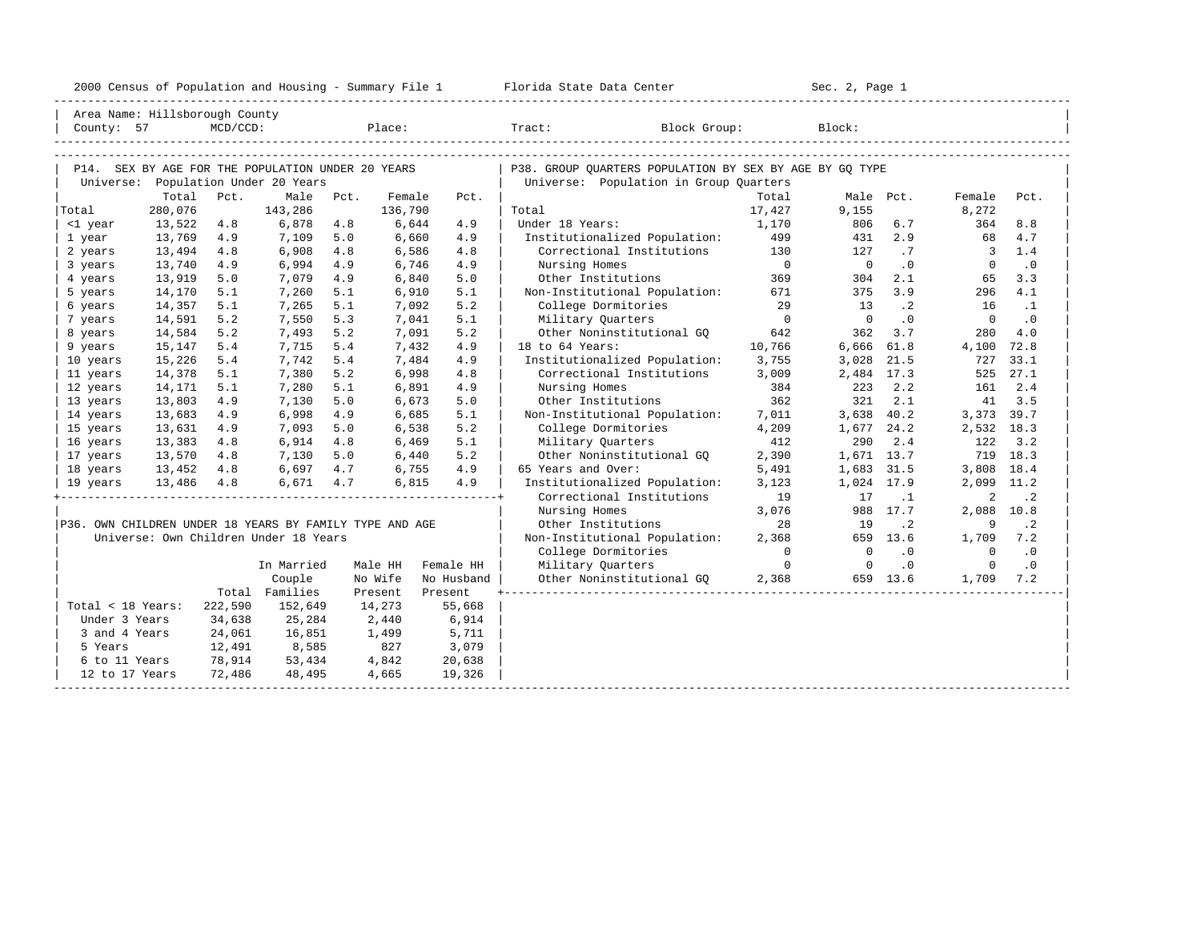| 2000<br>ensus! | and<br>Population | ---<br>Summa:<br>$-$<br>Housing | lorida<br>Data<br>otatt<br>Cente. | ، م ج<br>Page<br>$3-1$ |  |
|----------------|-------------------|---------------------------------|-----------------------------------|------------------------|--|
|                |                   |                                 |                                   |                        |  |

| Area Name: Hillsborough County                          |            |             |                                                   |      |         |            |                                                         |                |            |           |                          |           |
|---------------------------------------------------------|------------|-------------|---------------------------------------------------|------|---------|------------|---------------------------------------------------------|----------------|------------|-----------|--------------------------|-----------|
| County: 57                                              |            | $MCD/CCD$ : |                                                   |      | Place:  |            | Block Group:<br>Tract:                                  |                | Block:     |           |                          |           |
|                                                         |            |             |                                                   |      |         |            |                                                         |                |            |           |                          |           |
|                                                         |            |             |                                                   |      |         |            |                                                         |                |            |           |                          |           |
|                                                         |            |             | P14. SEX BY AGE FOR THE POPULATION UNDER 20 YEARS |      |         |            | P38. GROUP OUARTERS POPULATION BY SEX BY AGE BY GO TYPE |                |            |           |                          |           |
| Universe:                                               | Total      | Pct.        | Population Under 20 Years<br>Male                 | Pct. | Female  | Pct.       | Universe: Population in Group Quarters                  | Total          |            | Male Pct. | Female                   | Pct.      |
| Total                                                   | 280,076    |             | 143,286                                           |      | 136,790 |            | Total                                                   | 17,427         | 9,155      |           | 8,272                    |           |
| <1 year                                                 | 13,522     | 4.8         | 6,878                                             | 4.8  | 6,644   | 4.9        | Under 18 Years:                                         | 1,170          | 806        | 6.7       | 364                      | 8.8       |
| 1 year                                                  | 13,769     | 4.9         | 7,109                                             | 5.0  | 6,660   | 4.9        | Institutionalized Population:                           | 499            | 431        | 2.9       | 68                       | 4.7       |
| 2 years                                                 | 13,494     | 4.8         | 6,908                                             | 4.8  | 6,586   | 4.8        | Correctional Institutions                               | 130            | 127        | .7        | $\overline{\phantom{a}}$ | 1.4       |
| 3 years                                                 | 13,740     | 4.9         | 6,994                                             | 4.9  | 6,746   | 4.9        | Nursing Homes                                           | $\overline{0}$ | $\Omega$   | $\cdot$ 0 | $\Omega$                 | $\cdot$ 0 |
| 4 years                                                 | 13,919     | 5.0         | 7,079                                             | 4.9  | 6,840   | 5.0        | Other Institutions                                      | 369            | 304        | 2.1       | 65                       | 3.3       |
| 5 years                                                 | 14,170     | 5.1         | 7,260                                             | 5.1  | 6,910   | 5.1        | Non-Institutional Population:                           | 671            | 375        | 3.9       | 296                      | 4.1       |
| 6 years                                                 | 14,357     | 5.1         | 7,265                                             | 5.1  | 7,092   | 5.2        | College Dormitories                                     | 29             | 13         | $\cdot$ 2 | 16                       | $\cdot$ 1 |
| 7 years                                                 | 14,591     | 5.2         | 7,550                                             | 5.3  | 7,041   | 5.1        | Military Quarters                                       | $\overline{0}$ | $\Omega$   | .0        | $\overline{0}$           | .0        |
| 8 years                                                 | 14,584     | 5.2         | 7,493                                             | 5.2  | 7,091   | 5.2        | Other Noninstitutional GO                               | 642            | 362        | 3.7       | 280                      | 4.0       |
| 9 years                                                 | 15,147     | 5.4         | 7,715                                             | 5.4  | 7,432   | 4.9        | 18 to 64 Years:                                         | 10,766         | 6,666      | 61.8      | 4,100                    | 72.8      |
| 10 years                                                | 15,226     | 5.4         | 7,742                                             | 5.4  | 7,484   | 4.9        | Institutionalized Population:                           | 3,755          | 3,028      | 21.5      | 727                      | 33.1      |
| 11 years                                                | 14,378     | 5.1         | 7,380                                             | 5.2  | 6,998   | 4.8        | Correctional Institutions                               | 3,009          | 2,484 17.3 |           | 525                      | 27.1      |
| 12 years                                                | 14,171     | 5.1         | 7,280                                             | 5.1  | 6,891   | 4.9        | Nursing Homes                                           | 384            | 223        | 2.2       | 161                      | 2.4       |
| 13 years                                                | 13,803     | 4.9         | 7,130                                             | 5.0  | 6,673   | 5.0        | Other Institutions                                      | 362            | 321        | 2.1       | 41                       | 3.5       |
| 14 years                                                | 13,683     | 4.9         | 6,998                                             | 4.9  | 6,685   | 5.1        | Non-Institutional Population:                           | 7,011          | 3,638      | 40.2      | 3,373 39.7               |           |
| 15 years                                                | 13,631     | 4.9         | 7,093                                             | 5.0  | 6,538   | 5.2        | College Dormitories                                     | 4,209          | 1,677      | 24.2      | 2,532                    | 18.3      |
| 16 years                                                | 13,383     | 4.8         | 6,914                                             | 4.8  | 6,469   | 5.1        | Military Quarters                                       | 412            | 290        | 2.4       | 122                      | 3.2       |
| 17 years                                                | 13,570     | 4.8         | 7,130                                             | 5.0  | 6,440   | 5.2        | Other Noninstitutional GO                               | 2,390          | 1,671 13.7 |           |                          | 719 18.3  |
| 18 years                                                | 13,452     | 4.8         | 6,697                                             | 4.7  | 6,755   | 4.9        | 65 Years and Over:                                      | 5,491          | 1,683 31.5 |           | 3,808                    | 18.4      |
| 19 years                                                | 13,486 4.8 |             | 6,671 4.7                                         |      | 6,815   | 4.9        | Institutionalized Population:                           | 3,123          | 1,024 17.9 |           | 2,099                    | 11.2      |
|                                                         |            |             |                                                   |      |         |            | Correctional Institutions                               | 19             | 17         | $\cdot$ 1 | 2                        | $\cdot$ 2 |
|                                                         |            |             |                                                   |      |         |            | Nursing Homes                                           | 3,076          |            | 988 17.7  | 2,088 10.8               |           |
| P36. OWN CHILDREN UNDER 18 YEARS BY FAMILY TYPE AND AGE |            |             |                                                   |      |         |            | Other Institutions                                      | 28             | 19         | $\cdot$ 2 | 9                        | $\cdot$ 2 |
|                                                         |            |             | Universe: Own Children Under 18 Years             |      |         |            | Non-Institutional Population:                           | 2,368          |            | 659 13.6  | 1,709                    | 7.2       |
|                                                         |            |             |                                                   |      |         |            | College Dormitories                                     | $\Omega$       | $\Omega$   | $\cdot$ 0 | $\overline{0}$           | $\cdot$ 0 |
|                                                         |            |             | In Married                                        |      | Male HH | Female HH  | Military Quarters                                       | $\Omega$       | $\Omega$   | .0        | $\Omega$                 | $\cdot$ 0 |
|                                                         |            |             | Couple                                            |      | No Wife | No Husband | Other Noninstitutional GQ                               | 2,368          |            | 659 13.6  | 1,709                    | 7.2       |
|                                                         |            |             | Total Families                                    |      | Present | Present    |                                                         |                |            |           |                          |           |
| Total < 18 Years:                                       |            | 222,590     | 152,649                                           |      | 14,273  | 55,668     |                                                         |                |            |           |                          |           |
| Under 3 Years                                           |            | 34,638      | 25,284                                            |      | 2,440   | 6,914      |                                                         |                |            |           |                          |           |
| 3 and 4 Years                                           |            | 24,061      | 16,851                                            |      | 1,499   | 5,711      |                                                         |                |            |           |                          |           |
| 5 Years                                                 |            | 12,491      | 8,585                                             |      | 827     | 3,079      |                                                         |                |            |           |                          |           |
| 6 to 11 Years                                           |            | 78,914      | 53,434                                            |      | 4,842   | 20,638     |                                                         |                |            |           |                          |           |
| 12 to 17 Years                                          |            | 72,486      | 48,495                                            |      | 4,665   | 19,326     |                                                         |                |            |           |                          |           |
|                                                         |            |             |                                                   |      |         |            |                                                         |                |            |           |                          |           |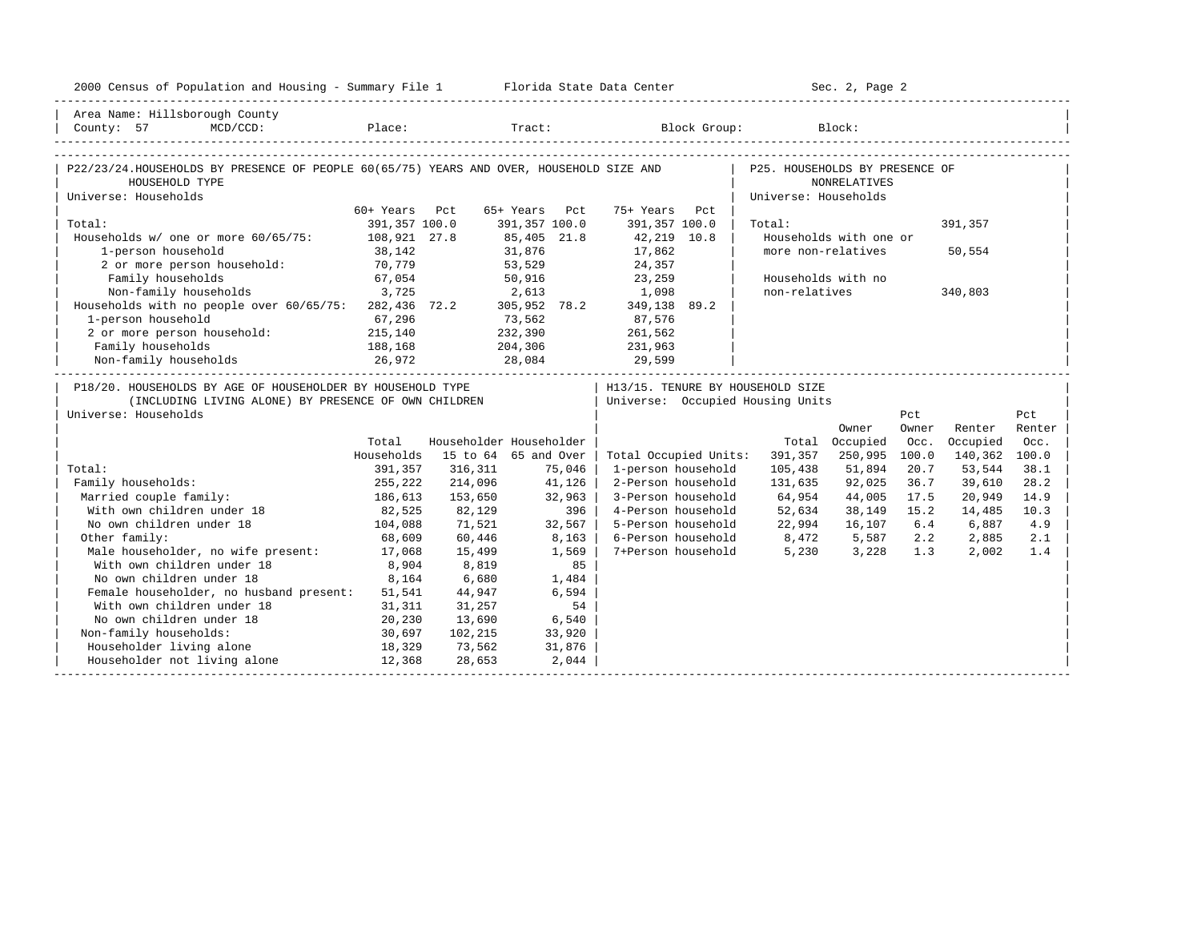| 2000 Census of Population and Housing - Summary File 1 Florida State Data Center                                                                                                                                                                                                                                                                                                                                                                                |                   |                         |               |        |                                    |     |                                                                                      | Sec. 2, Page 2         |       |               |        |
|-----------------------------------------------------------------------------------------------------------------------------------------------------------------------------------------------------------------------------------------------------------------------------------------------------------------------------------------------------------------------------------------------------------------------------------------------------------------|-------------------|-------------------------|---------------|--------|------------------------------------|-----|--------------------------------------------------------------------------------------|------------------------|-------|---------------|--------|
| Area Name: Hillsborough County                                                                                                                                                                                                                                                                                                                                                                                                                                  |                   |                         |               |        |                                    |     |                                                                                      |                        |       |               |        |
| $\begin{array}{ccccccccc} \mid & \texttt{Country:} & 57 & \texttt{MCD/CCD}: & \texttt{Place:} & \texttt{Trace:} & \texttt{Block Group:} & \texttt{Block:} & \mid \\ & & & & & & & \\ \texttt{-----} & \texttt{1} & \texttt{1} & \texttt{2} & \texttt{1} & \texttt{2} & \texttt{2} & \texttt{2} & \texttt{2} & \texttt{2} & \texttt{2} & \texttt{2} & \texttt{2} & \texttt{2} & \texttt{2} & \texttt{2} & \texttt{2} & \texttt{2} & \texttt{2} & \texttt{2} & \$ |                   |                         |               |        |                                    |     |                                                                                      |                        |       |               |        |
|                                                                                                                                                                                                                                                                                                                                                                                                                                                                 |                   |                         |               |        |                                    |     |                                                                                      |                        |       |               |        |
| P22/23/24.HOUSEHOLDS BY PRESENCE OF PEOPLE 60(65/75) YEARS AND OVER, HOUSEHOLD SIZE AND                                                                                                                                                                                                                                                                                                                                                                         |                   |                         |               |        |                                    |     | P25. HOUSEHOLDS BY PRESENCE OF                                                       |                        |       |               |        |
| HOUSEHOLD TYPE<br>Universe: Households                                                                                                                                                                                                                                                                                                                                                                                                                          |                   |                         |               |        |                                    |     | Universe: Households                                                                 | <b>NONRELATIVES</b>    |       |               |        |
|                                                                                                                                                                                                                                                                                                                                                                                                                                                                 | 60+ Years Pct     |                         | 65+ Years Pct |        | 75+ Years                          | Pct |                                                                                      |                        |       |               |        |
| Total:                                                                                                                                                                                                                                                                                                                                                                                                                                                          | 391,357 100.0     |                         | 391,357 100.0 |        | 391,357 100.0                      |     | Total:                                                                               |                        |       | 391,357       |        |
| Households w/ one or more 60/65/75: 108,921 27.8                                                                                                                                                                                                                                                                                                                                                                                                                |                   |                         | 85,405 21.8   |        | 42,219 10.8                        |     |                                                                                      | Households with one or |       |               |        |
| 1-person household                                                                                                                                                                                                                                                                                                                                                                                                                                              | 38,142            |                         | 31,876        |        | 17,862                             |     | more non-relatives                                                                   |                        |       | 50,554        |        |
| 2 or more person household: 70,779                                                                                                                                                                                                                                                                                                                                                                                                                              |                   |                         |               |        | 53,529 24,357                      |     |                                                                                      |                        |       |               |        |
|                                                                                                                                                                                                                                                                                                                                                                                                                                                                 |                   |                         |               |        |                                    |     | Households with no                                                                   |                        |       |               |        |
| Family households<br>Non-family households<br>50,916 23,259<br>1,098 3,725 262,436 72.2 305,952 78.2 349,138 89.2<br>Households with no people over $60/65/75$ : 282,436 72.2 305,952 78.2 349,138 89.2                                                                                                                                                                                                                                                         |                   |                         |               |        |                                    |     | non-relatives                                                                        |                        |       | 340,803       |        |
|                                                                                                                                                                                                                                                                                                                                                                                                                                                                 |                   |                         |               |        |                                    |     |                                                                                      |                        |       |               |        |
| 1-person household                                                                                                                                                                                                                                                                                                                                                                                                                                              |                   |                         |               |        | $73,562$ 87,576<br>232,390 261,562 |     |                                                                                      |                        |       |               |        |
| 1-person household 67,296<br>2 or more person household: 215,140                                                                                                                                                                                                                                                                                                                                                                                                |                   |                         |               |        |                                    |     |                                                                                      |                        |       |               |        |
| Family households                                                                                                                                                                                                                                                                                                                                                                                                                                               | 188,168           |                         |               |        | 204,306 231,963                    |     |                                                                                      |                        |       |               |        |
| Non-family households 26,972                                                                                                                                                                                                                                                                                                                                                                                                                                    |                   |                         |               |        | 28,084 29,599                      |     |                                                                                      |                        |       |               |        |
| P18/20. HOUSEHOLDS BY AGE OF HOUSEHOLDER BY HOUSEHOLD TYPE                                                                                                                                                                                                                                                                                                                                                                                                      |                   |                         |               |        |                                    |     | H13/15. TENURE BY HOUSEHOLD SIZE                                                     |                        |       |               |        |
| (INCLUDING LIVING ALONE) BY PRESENCE OF OWN CHILDREN                                                                                                                                                                                                                                                                                                                                                                                                            |                   |                         |               |        |                                    |     | Universe: Occupied Housing Units                                                     |                        |       |               |        |
| Universe: Households                                                                                                                                                                                                                                                                                                                                                                                                                                            |                   |                         |               |        |                                    |     |                                                                                      |                        | Pct   |               | Pct    |
|                                                                                                                                                                                                                                                                                                                                                                                                                                                                 |                   |                         |               |        |                                    |     |                                                                                      | Owner                  | Owner | Renter        | Renter |
|                                                                                                                                                                                                                                                                                                                                                                                                                                                                 | Total             | Householder Householder |               |        |                                    |     |                                                                                      | Total Occupied         | Occ.  | Occupied      | Occ.   |
|                                                                                                                                                                                                                                                                                                                                                                                                                                                                 | Households        | 15 to 64 65 and Over    |               |        | Total Occupied Units:              |     | 391,357                                                                              | 250,995                | 100.0 | 140,362 100.0 |        |
| Total:                                                                                                                                                                                                                                                                                                                                                                                                                                                          | 391,357           | 316,311                 |               | 75,046 | 1-person household                 |     | 105,438                                                                              | 51,894                 | 20.7  | 53,544        | 38.1   |
| Family households:                                                                                                                                                                                                                                                                                                                                                                                                                                              | 255,222           | 214,096                 | 41,126        |        | 2-Person household                 |     | 131,635                                                                              | 92,025                 | 36.7  | 39,610        | 28.2   |
| Married couple family:                                                                                                                                                                                                                                                                                                                                                                                                                                          | 186,613<br>82,525 | 153,650                 |               | 32,963 | 3-Person household                 |     | 64,954                                                                               | 44,005                 | 17.5  | 20,949        | 14.9   |
| With own children under 18                                                                                                                                                                                                                                                                                                                                                                                                                                      |                   | 82,129                  |               | 396    |                                    |     | 4-Person household 52,634                                                            | 38,149                 | 15.2  | 14,485        | 10.3   |
| No own children under 18                                                                                                                                                                                                                                                                                                                                                                                                                                        | 104,088           | 71,521                  |               | 32,567 |                                    |     | 5-Person household 22,994                                                            | 16,107                 | 6.4   | 6,887         | 4.9    |
| Other family:                                                                                                                                                                                                                                                                                                                                                                                                                                                   | 68,609            | 60,446                  |               | 8,163  |                                    |     | 6-Person household 8,472 5,587 2.2 2,885<br>7+Person household 5,230 3,228 1.3 2,002 |                        |       |               | 2.1    |
| Male householder, no wife present: 17,068                                                                                                                                                                                                                                                                                                                                                                                                                       |                   | 15,499                  |               | 1,569  |                                    |     |                                                                                      |                        |       |               | 1.4    |
| With own children under 18                                                                                                                                                                                                                                                                                                                                                                                                                                      | 8,904             | 8,819                   |               | 85     |                                    |     |                                                                                      |                        |       |               |        |
| No own children under 18                                                                                                                                                                                                                                                                                                                                                                                                                                        | 8,164             | 6,680                   |               | 1,484  |                                    |     |                                                                                      |                        |       |               |        |
| Female householder, no husband present:                                                                                                                                                                                                                                                                                                                                                                                                                         | 51,541            | 44,947                  |               | 6,594  |                                    |     |                                                                                      |                        |       |               |        |
| With own children under 18                                                                                                                                                                                                                                                                                                                                                                                                                                      | 31,311            | 31,257                  |               | 54     |                                    |     |                                                                                      |                        |       |               |        |
| No own children under 18                                                                                                                                                                                                                                                                                                                                                                                                                                        | 20,230            | 13,690                  |               | 6,540  |                                    |     |                                                                                      |                        |       |               |        |
| Non-family households:                                                                                                                                                                                                                                                                                                                                                                                                                                          | 30,697<br>18,329  | 102,215                 |               | 33,920 |                                    |     |                                                                                      |                        |       |               |        |
| Householder living alone                                                                                                                                                                                                                                                                                                                                                                                                                                        |                   | 73,562                  |               | 31,876 |                                    |     |                                                                                      |                        |       |               |        |
| Householder not living alone                                                                                                                                                                                                                                                                                                                                                                                                                                    | 12,368            | 28,653                  |               | 2,044  |                                    |     |                                                                                      |                        |       |               |        |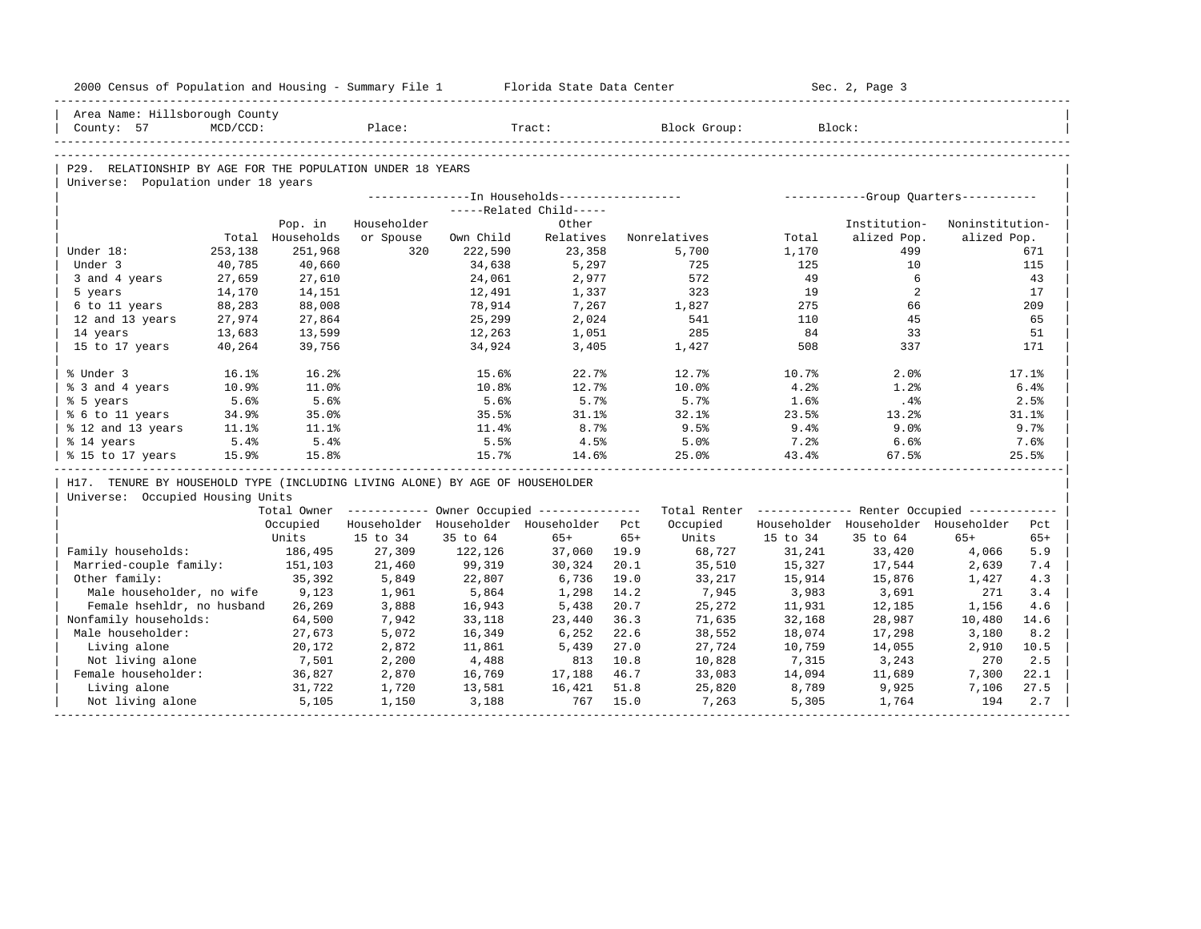| 2000 Census of Population and Housing - Summary File 1 Florida State Data Center |                   |                       |                  |                   |                                                         |       |                                                         |              | Sec. 2, Page 3                      |                 |       |
|----------------------------------------------------------------------------------|-------------------|-----------------------|------------------|-------------------|---------------------------------------------------------|-------|---------------------------------------------------------|--------------|-------------------------------------|-----------------|-------|
| Area Name: Hillsborough County                                                   |                   |                       |                  |                   |                                                         |       |                                                         |              |                                     |                 |       |
| County: 57                                                                       | MCD/CCD:          |                       | Place:           |                   | Tract:                                                  |       | Block Group:                                            |              | Block:                              |                 |       |
|                                                                                  |                   |                       |                  |                   |                                                         |       |                                                         |              |                                     |                 |       |
| P29. RELATIONSHIP BY AGE FOR THE POPULATION UNDER 18 YEARS                       |                   |                       |                  |                   |                                                         |       |                                                         |              |                                     |                 |       |
| Universe: Population under 18 years                                              |                   |                       |                  |                   |                                                         |       |                                                         |              |                                     |                 |       |
|                                                                                  |                   |                       |                  |                   |                                                         |       |                                                         |              |                                     |                 |       |
|                                                                                  |                   |                       |                  |                   | -----Related Child-----                                 |       |                                                         |              |                                     |                 |       |
|                                                                                  |                   | Pop. in               | Householder      |                   | Other                                                   |       |                                                         |              | Institution-                        | Noninstitution- |       |
| Under 18:                                                                        | Total             | Households<br>251,968 | or Spouse<br>320 | Own Child         | Relatives<br>23,358                                     |       | Nonrelatives                                            | Total        | alized Pop.<br>499                  | alized Pop.     | 671   |
| Under 3                                                                          | 253,138<br>40,785 | 40,660                |                  | 222,590<br>34,638 | 5,297                                                   |       | 5,700<br>725                                            | 1,170<br>125 | 10                                  |                 | 115   |
|                                                                                  |                   |                       |                  |                   | 2,977                                                   |       | 572                                                     | 49           | 6                                   |                 | 43    |
| 3 and 4 years<br>5 years                                                         | 27,659<br>14,170  | 27,610<br>14,151      |                  | 24,061<br>12,491  | 1,337                                                   |       | 323                                                     | 19           | 2                                   |                 | 17    |
| 6 to 11 years                                                                    | 88,283            | 88,008                |                  | 78,914            | 7,267                                                   |       | 1,827                                                   | 275          | 66                                  |                 | 209   |
| 12 and 13 years                                                                  | 27,974            | 27,864                |                  | 25,299            | 2,024                                                   |       | 541                                                     | 110          | 45                                  |                 | 65    |
| 14 years                                                                         | 13,683            | 13,599                |                  | 12,263            | 1,051                                                   |       | 285                                                     | 84           | 33                                  |                 | 51    |
| 15 to 17 years                                                                   | 40,264            | 39,756                |                  | 34,924            | 3,405                                                   |       | 1,427                                                   | 508          | 337                                 |                 | 171   |
|                                                                                  |                   |                       |                  |                   |                                                         |       |                                                         |              |                                     |                 |       |
| % Under 3                                                                        | 16.1%             | 16.2%                 |                  | 15.6%             | 22.7%                                                   |       | 12.7%                                                   | 10.7%        | 2.0%                                |                 | 17.1% |
| % 3 and 4 years                                                                  | 10.9%             | 11.0%                 |                  | 10.8%             | 12.7%                                                   |       | 10.0%                                                   | 4.2%         | 1.2%                                |                 | 6.4%  |
| % 5 years                                                                        | 5.6%              | 5.6%                  |                  | 5.6%              | 5.7%                                                    |       | 5.7%                                                    | 1.6%         | .4%                                 |                 | 2.5%  |
| % 6 to 11 years                                                                  | 34.9%             | 35.0%                 |                  | 35.5%             | 31.1%                                                   |       | 32.1%                                                   | 23.5%        | 13.2%                               |                 | 31.1% |
| % 12 and 13 years                                                                | 11.1%             | 11.1%                 |                  | 11.4%             | 8.7%                                                    |       | 9.5%                                                    | 9.4%         | 9.0%                                |                 | 9.7%  |
| % 14 years                                                                       | 5.4%              | 5.4%                  |                  | 5.5%              | 4.5%                                                    |       | 5.0%                                                    | $7.2$ $%$    | 6.6%                                |                 | 7.6%  |
| % 15 to 17 years                                                                 | 15.9%             | 15.8%                 |                  | 15.7%             | 14.6%                                                   |       | 25.0%                                                   | 43.4%        | 67.5%                               |                 | 25.5% |
| H17. TENURE BY HOUSEHOLD TYPE (INCLUDING LIVING ALONE) BY AGE OF HOUSEHOLDER     |                   |                       |                  |                   |                                                         |       |                                                         |              |                                     |                 |       |
| Universe: Occupied Housing Units                                                 |                   |                       |                  |                   |                                                         |       |                                                         |              |                                     |                 |       |
|                                                                                  |                   |                       |                  |                   | Total Owner ------------ Owner Occupied --------------- |       | Total Renter ------------- Renter Occupied ------------ |              |                                     |                 |       |
|                                                                                  |                   | Occupied              |                  |                   | Householder Householder Householder Pct                 |       | Occupied                                                |              | Householder Householder Householder |                 | Pct   |
|                                                                                  |                   | Units                 | 15 to 34         | 35 to 64          | $65+$                                                   | $65+$ | Units                                                   | 15 to 34     | 35 to 64                            | $65+$           | $65+$ |
| Family households:                                                               |                   | 186,495               | 27,309           | 122,126           | 37,060                                                  | 19.9  | 68,727                                                  | 31,241       | 33,420                              | 4,066           | 5.9   |
| Married-couple family:                                                           |                   | 151,103               | 21,460           | 99,319            | 30,324                                                  | 20.1  | 35,510                                                  | 15,327       | 17,544                              | 2,639           | 7.4   |
| Other family:                                                                    |                   | 35,392                | 5,849            | 22,807            | 6,736                                                   | 19.0  | 33,217                                                  | 15,914       | 15,876                              | 1,427           | 4.3   |
| Male householder, no wife                                                        |                   | 9,123                 | 1,961            | 5,864             | 1,298                                                   | 14.2  | 7,945                                                   | 3,983        | 3,691                               | 271             | 3.4   |
| Female hsehldr, no husband                                                       |                   | 26,269                | 3,888            | 16,943            | 5,438                                                   | 20.7  | 25,272                                                  | 11,931       | 12,185                              | 1,156           | 4.6   |
| Nonfamily households:                                                            |                   | 64,500                | 7,942            | 33,118            | 23,440                                                  | 36.3  | 71,635                                                  | 32,168       | 28,987                              | 10,480          | 14.6  |
| Male householder:                                                                |                   | 27,673                | 5,072            | 16,349            | 6,252                                                   | 22.6  | 38,552                                                  | 18,074       | 17,298                              | 3,180           | 8.2   |
| Living alone                                                                     |                   | 20,172                | 2,872            | 11,861            | 5,439                                                   | 27.0  | 27,724                                                  | 10,759       | 14,055                              | 2,910           | 10.5  |
| Not living alone                                                                 |                   | 7,501                 | 2,200            | 4,488             | 813                                                     | 10.8  | 10,828                                                  | 7,315        | 3,243                               | 270             | 2.5   |
|                                                                                  |                   | 36,827                | 2,870            | 16,769            | 17,188                                                  | 46.7  | 33,083                                                  | 14,094       | 11,689                              | 7,300           | 22.1  |
| Female householder:                                                              |                   |                       |                  |                   |                                                         |       |                                                         |              |                                     |                 |       |
| Living alone                                                                     |                   | 31,722                | 1,720            | 13,581            | 16,421                                                  | 51.8  | 25,820                                                  | 8,789        | 9,925                               | 7,106           | 27.5  |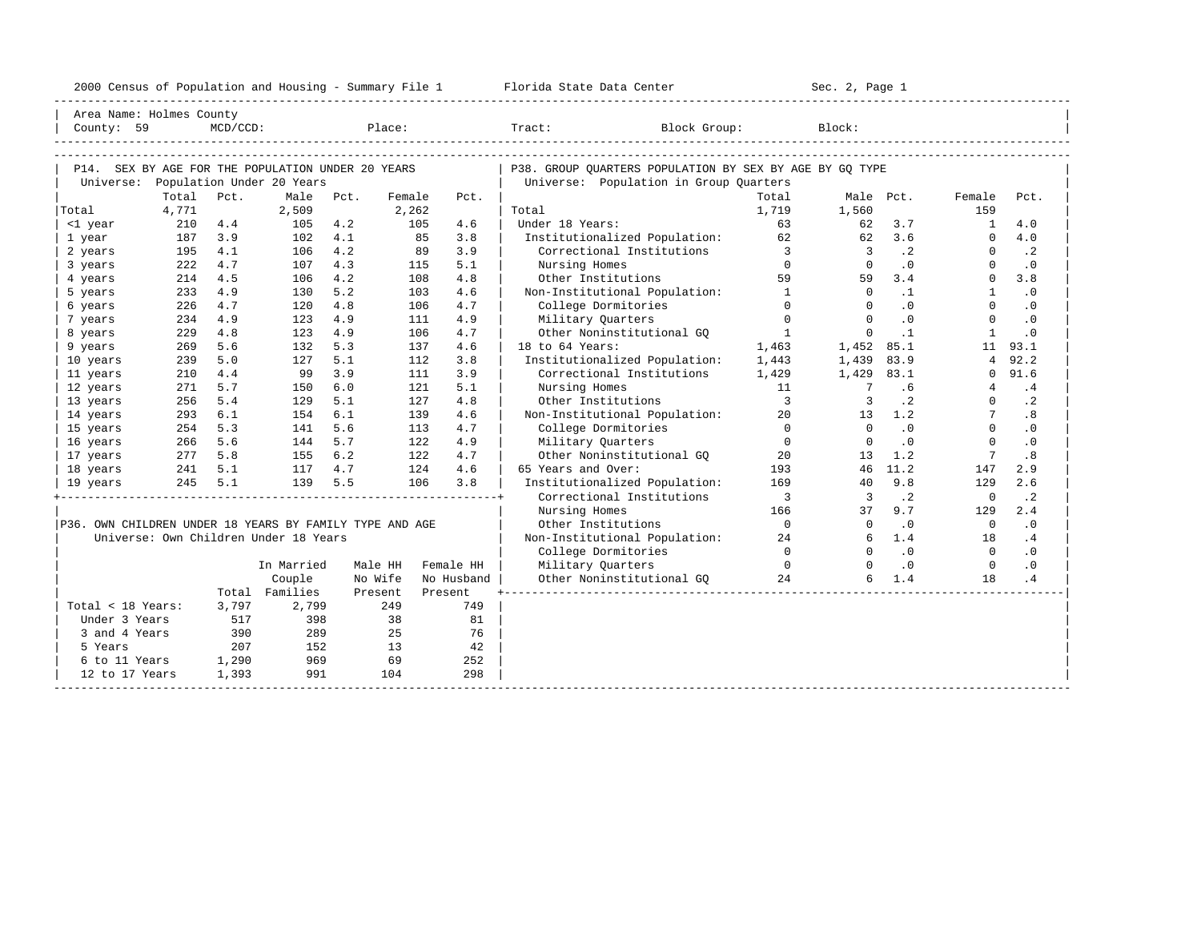| 2000<br>ensus! | and<br>Population | ---<br>Summa:<br>$-$<br>Housing | lorida<br>Data<br>otatt<br>Cente. | ، م ج<br>Page<br>$3-1$ |  |
|----------------|-------------------|---------------------------------|-----------------------------------|------------------------|--|
|                |                   |                                 |                                   |                        |  |

| Area Name: Holmes County                                |            |             |                                       |            |            |            |                                                            |                          |                            |                  |                          |            |
|---------------------------------------------------------|------------|-------------|---------------------------------------|------------|------------|------------|------------------------------------------------------------|--------------------------|----------------------------|------------------|--------------------------|------------|
| County: 59                                              |            | $MCD/CCD$ : |                                       |            | Place:     |            | Block Group:<br>Tract:                                     |                          | Block:                     |                  |                          |            |
|                                                         |            |             |                                       |            |            |            |                                                            |                          |                            |                  |                          |            |
|                                                         |            |             |                                       |            |            |            |                                                            |                          |                            |                  |                          |            |
| P14. SEX BY AGE FOR THE POPULATION UNDER 20 YEARS       |            |             |                                       |            |            |            | P38. GROUP QUARTERS POPULATION BY SEX BY AGE BY GQ TYPE    |                          |                            |                  |                          |            |
| Universe:                                               |            |             | Population Under 20 Years             |            |            |            | Universe: Population in Group Quarters                     |                          |                            |                  |                          |            |
|                                                         | Total      | Pct.        | Male                                  | Pct.       | Female     | Pct.       |                                                            | Total                    |                            | Male Pct.        | Female                   | Pct.       |
| Total                                                   | 4,771      |             | 2,509                                 |            | 2,262      |            | Total<br>Under 18 Years:                                   | 1,719                    | 1,560                      |                  | 159                      |            |
| <1 year                                                 | 210        | 4.4<br>3.9  | 105                                   | 4.2        | 105        | 4.6<br>85  |                                                            | 63<br>62                 | 62                         | 3.7              | $\mathbf{1}$<br>$\Omega$ | 4.0<br>4.0 |
| 1 year                                                  | 187<br>195 | 4.1         | 102                                   | 4.1<br>4.2 |            | 3.8<br>3.9 | Institutionalized Population:<br>Correctional Institutions | $\overline{3}$           | 62                         | 3.6<br>$\cdot$ 2 | $\Omega$                 | $\cdot$ 2  |
| 2 years                                                 | 222        | 4.7         | 106                                   | 4.3        |            | 89<br>5.1  | Nursing Homes                                              | $\Omega$                 | $\overline{3}$<br>$\Omega$ | $\cdot$ 0        | 0                        | $\cdot$ 0  |
| 3 years                                                 | 214        | 4.5         | 107<br>106                            | 4.2        | 115<br>108 | 4.8        | Other Institutions                                         | 59                       | 59                         | 3.4              | $\mathbf 0$              | 3.8        |
| 4 years                                                 | 233        | 4.9         | 130                                   | 5.2        | 103        | 4.6        | Non-Institutional Population:                              | $\mathbf{1}$             | $\Omega$                   | $\cdot$ 1        | $\mathbf{1}$             | $\cdot$ 0  |
| 5 years                                                 | 226        | 4.7         | 120                                   | 4.8        | 106        | 4.7        | College Dormitories                                        | $\Omega$                 | $\Omega$                   | $\cdot$ 0        | $\Omega$                 | $\cdot$ 0  |
| 6 years<br>7 years                                      | 234        | 4.9         | 123                                   | 4.9        | 111        | 4.9        | Military Quarters                                          | $\Omega$                 | $\Omega$                   | $\cdot$ 0        | $\Omega$                 | $\cdot$ 0  |
| 8 years                                                 | 229        | 4.8         | 123                                   | 4.9        | 106        | 4.7        | Other Noninstitutional GO                                  | <sup>1</sup>             | $\Omega$                   | $\cdot$ 1        | $\mathbf{1}$             | $\cdot$ 0  |
| 9 years                                                 | 269        | 5.6         | 132                                   | 5.3        | 137        | 4.6        | 18 to 64 Years:                                            | 1,463                    | 1,452                      | 85.1             | 11                       | 93.1       |
| 10 years                                                | 239        | 5.0         | 127                                   | 5.1        | 112        | 3.8        | Institutionalized Population:                              | 1,443                    | 1,439                      | 83.9             | 4                        | 92.2       |
| 11 years                                                | 210        | 4.4         | 99                                    | 3.9        | 111        | 3.9        | Correctional Institutions                                  | 1,429                    | 1,429                      | 83.1             | 0                        | 91.6       |
| 12 years                                                | 271        | 5.7         | 150                                   | 6.0        | 121        | 5.1        | Nursing Homes                                              | 11                       | $7\phantom{.0}$            | .6               |                          | .4         |
| 13 years                                                | 256        | 5.4         | 129                                   | 5.1        | 127        | 4.8        | Other Institutions                                         | $\overline{3}$           |                            | $\cdot$ 2        | $\Omega$                 | $\cdot$ 2  |
| 14 years                                                | 293        | 6.1         | 154                                   | 6.1        | 139        | 4.6        | Non-Institutional Population:                              | 20                       | 13                         | 1.2              | $7^{\circ}$              | .8         |
| 15 years                                                | 254        | 5.3         | 141                                   | 5.6        | 113        | 4.7        | College Dormitories                                        | $\overline{0}$           | $\Omega$                   | $\cdot$ 0        | $\mathbf{0}$             | $\cdot$ 0  |
| 16 years                                                | 266        | 5.6         | 144                                   | 5.7        | 122        | 4.9        | Military Ouarters                                          | $\overline{0}$           | $\Omega$                   | $\cdot$ 0        | $\Omega$                 | $\cdot$ 0  |
| 17 years                                                | 277        | 5.8         | 155                                   | $6.2$      |            | 122<br>4.7 | Other Noninstitutional GQ                                  | 20                       | 13                         | 1.2              |                          | .8         |
| 18 years                                                | 241        | 5.1         | 117                                   | 4.7        | 124        | 4.6        | 65 Years and Over:                                         | 193                      | 46                         | 11.2             | 147                      | 2.9        |
| 19 years                                                | 245        | 5.1         | 139                                   | 5.5        | 106        | 3.8        | Institutionalized Population:                              | 169                      | 40                         | 9.8              | 129                      | 2.6        |
|                                                         |            |             |                                       |            |            |            | Correctional Institutions                                  | $\overline{\phantom{a}}$ | $\overline{3}$             | $\cdot$ 2        | $\mathbf 0$              | $\cdot$ 2  |
|                                                         |            |             |                                       |            |            |            | Nursing Homes                                              | 166                      | 37                         | 9.7              | 129                      | 2.4        |
| P36. OWN CHILDREN UNDER 18 YEARS BY FAMILY TYPE AND AGE |            |             |                                       |            |            |            | Other Institutions                                         | $\overline{0}$           | $\Omega$                   | $\cdot$ 0        | $\overline{0}$           | $\cdot$ 0  |
|                                                         |            |             | Universe: Own Children Under 18 Years |            |            |            | Non-Institutional Population:                              | 24                       | 6                          | 1.4              | 18                       | .4         |
|                                                         |            |             |                                       |            |            |            | College Dormitories                                        | $\Omega$                 | $\cap$                     | $\cdot$ 0        | $\Omega$                 | $\cdot$ 0  |
|                                                         |            |             | In Married                            |            | Male HH    | Female HH  | Military Quarters                                          | $\Omega$                 | $\cap$                     | $\cdot$ 0        | $\Omega$                 | $\cdot$ 0  |
|                                                         |            |             | Couple                                |            | No Wife    | No Husband | Other Noninstitutional GO                                  | 24                       | 6                          | 1.4              | 18                       | .4         |
|                                                         |            |             | Total Families                        |            | Present    | Present    |                                                            |                          |                            |                  |                          |            |
| Total < 18 Years:                                       |            | 3,797       | 2,799                                 |            | 249        | 749        |                                                            |                          |                            |                  |                          |            |
| Under 3 Years                                           |            | 517         | 398                                   |            | 38         | 81         |                                                            |                          |                            |                  |                          |            |
| 3 and 4 Years                                           |            | 390         | 289                                   |            | 25         | 76         |                                                            |                          |                            |                  |                          |            |
| 5 Years                                                 |            | 207         | 152                                   |            | 13         | 42         |                                                            |                          |                            |                  |                          |            |
| 6 to 11 Years                                           |            | 1,290       | 969                                   |            | 69         | 252        |                                                            |                          |                            |                  |                          |            |
| 12 to 17 Years                                          |            | 1,393       | 991                                   |            | 104        | 298        |                                                            |                          |                            |                  |                          |            |
|                                                         |            |             |                                       |            |            |            |                                                            |                          |                            |                  |                          |            |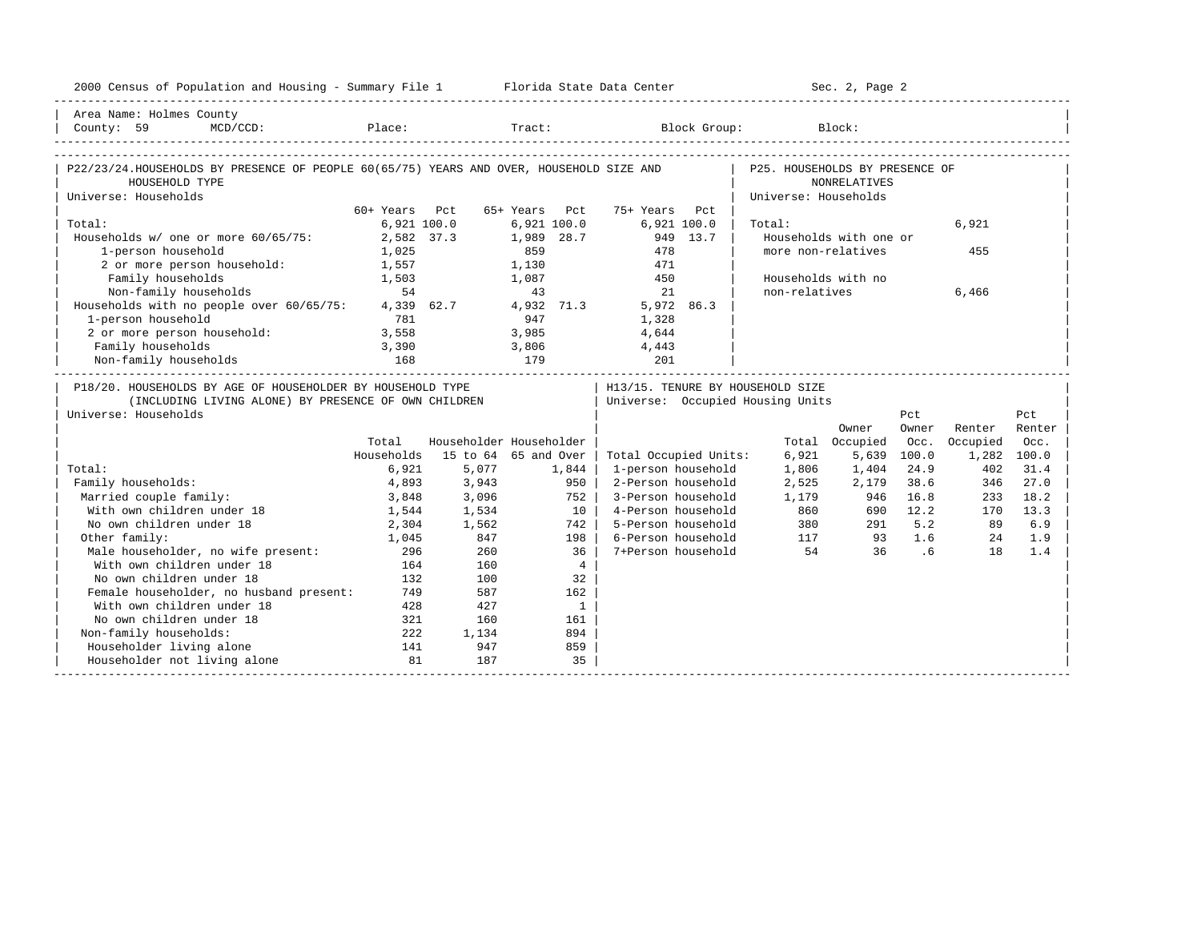| 2000 Census of Population and Housing - Summary File 1 Florida State Data Center        |               |              |                         |                                     |                                | Sec. 2, Page 2                    |             |          |             |
|-----------------------------------------------------------------------------------------|---------------|--------------|-------------------------|-------------------------------------|--------------------------------|-----------------------------------|-------------|----------|-------------|
| Area Name: Holmes County<br>County: 59                                                  |               |              |                         | MCD/CCD: Place: Tract: Block Group: |                                | Block:                            |             |          |             |
| P22/23/24.HOUSEHOLDS BY PRESENCE OF PEOPLE 60(65/75) YEARS AND OVER, HOUSEHOLD SIZE AND |               |              |                         |                                     | P25. HOUSEHOLDS BY PRESENCE OF |                                   |             |          |             |
| HOUSEHOLD TYPE                                                                          |               |              |                         |                                     |                                | <b>NONRELATIVES</b>               |             |          |             |
| Universe: Households                                                                    | 60+ Years Pct |              | 65+ Years Pct           | 75+ Years Pct                       | Universe: Households           |                                   |             |          |             |
| Total:                                                                                  |               | 6,921 100.0  | $6.921$ $100.0$         | 6,921 100.0                         | Total:                         |                                   |             | 6,921    |             |
| Households w/ one or more 60/65/75:                                                     |               | 2,582 37.3   | 1,989 28.7              | 949 13.7                            |                                | Households with one or            |             |          |             |
| 1-person household                                                                      | 1,025         |              | 859                     | 478                                 |                                | more non-relatives                |             | 455      |             |
| 2 or more person household:                                                             | 1,557         |              | 1,130                   | 471                                 |                                |                                   |             |          |             |
| Family households                                                                       | 1,503         |              | 1,087                   | 450                                 |                                | Households with no                |             |          |             |
| Non-family households                                                                   | 54            |              | 43                      | 21                                  | non-relatives                  |                                   |             | 6,466    |             |
| Households with no people over 60/65/75:                                                |               | 4,339 62.7   | 4,932 71.3              | 5,972 86.3                          |                                |                                   |             |          |             |
| 1-person household                                                                      | 781           |              | 947                     | 1,328                               |                                |                                   |             |          |             |
| 2 or more person household:                                                             | 3,558         |              | 3,985                   | 4,644                               |                                |                                   |             |          |             |
| Family households                                                                       | 3,390         |              | 3,806                   | 4,443                               |                                |                                   |             |          |             |
| Non-family households                                                                   | 168           | 179          |                         | 201                                 |                                |                                   |             |          |             |
| P18/20. HOUSEHOLDS BY AGE OF HOUSEHOLDER BY HOUSEHOLD TYPE                              |               |              |                         | H13/15. TENURE BY HOUSEHOLD SIZE    |                                | _________________________________ |             |          |             |
| (INCLUDING LIVING ALONE) BY PRESENCE OF OWN CHILDREN                                    |               |              |                         | Universe: Occupied Housing Units    |                                |                                   |             |          |             |
| Universe: Households                                                                    |               |              |                         |                                     |                                |                                   | Pct         |          | Pct         |
|                                                                                         |               |              |                         |                                     |                                | Owner                             | Owner       | Renter   | Renter      |
|                                                                                         | Total         |              | Householder Householder |                                     |                                | Total Occupied                    | Occ.        | Occupied | Occ.        |
|                                                                                         | Households    |              | 15 to 64 65 and Over    | Total Occupied Units:               | 6,921                          |                                   | 5,639 100.0 |          | 1,282 100.0 |
| Total:                                                                                  | 6,921         | 5,077        | 1,844                   | 1-person household                  | 1,806                          | 1,404                             | 24.9        | 402      | 31.4        |
| Family households:                                                                      | 4,893         | 3,943        | 950                     | 2-Person household                  | 2,525                          | 2,179                             | 38.6        | 346      | 27.0        |
| Married couple family:                                                                  | 3,848         | 3,096        | 752 l                   | 3-Person household                  | 1,179                          | 946                               | 16.8        | 233      | 18.2        |
| With own children under 18                                                              | 1,544         | 1,534        | $10-1$                  | 4-Person household                  | 860                            | 380                               | 690 12.2    | 170      | 13.3        |
| No own children under 18                                                                | 2,304         | 1,562        | 742 l                   | 5-Person household                  |                                |                                   | $291$ 5.2   | 89       | 6.9         |
| Other family:                                                                           | 1,045         | 847          | 198 l                   | 6-Person household                  |                                | 117<br>93                         | 1.6<br>.6   | 24       | 1.9         |
| Male householder, no wife present:                                                      | 296           | 260          | 36                      | 7+Person household                  | 54                             | 36                                |             | 18       | 1.4         |
| With own children under 18                                                              | 164           | 160          | $4\overline{ }$         |                                     |                                |                                   |             |          |             |
| No own children under 18                                                                | 132           | 100          | 32                      |                                     |                                |                                   |             |          |             |
| Female householder, no husband present:<br>With own children under 18                   | 749           | 587          | 162                     |                                     |                                |                                   |             |          |             |
| No own children under 18                                                                | 428           | 427<br>160   | $\mathbf{1}$            |                                     |                                |                                   |             |          |             |
|                                                                                         | 321           |              | 161                     |                                     |                                |                                   |             |          |             |
| Non-family households:<br>Householder living alone                                      | 222<br>141    | 1,134<br>947 | 894<br>859              |                                     |                                |                                   |             |          |             |
|                                                                                         |               |              |                         |                                     |                                |                                   |             |          |             |
| Householder not living alone                                                            | 81            | 187          | 35                      |                                     |                                |                                   |             |          |             |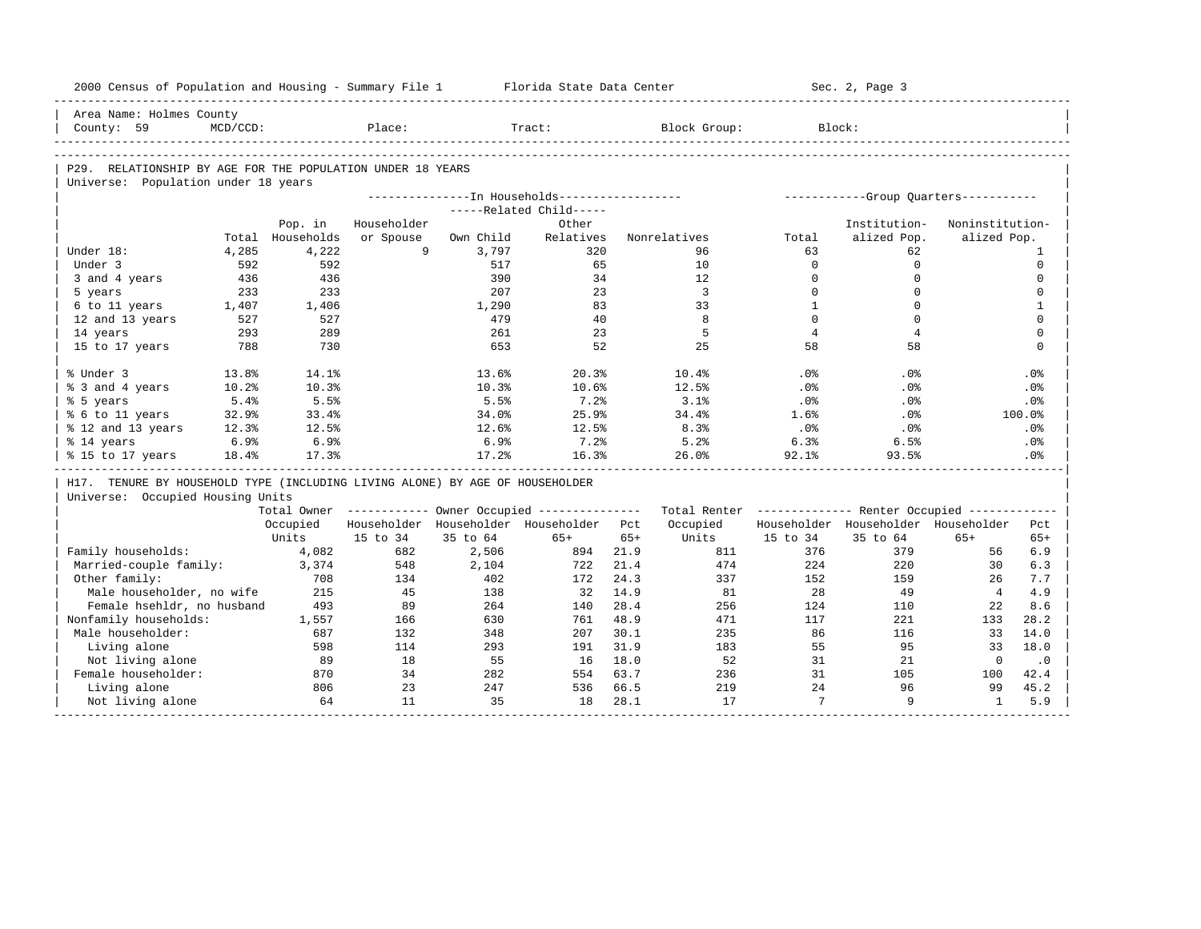| 2000 Census of Population and Housing - Summary File 1                       |             |            |             |           | Florida State Data Center                                                |       |                                                         |                | Sec. 2, Page 3                       |                 |                 |
|------------------------------------------------------------------------------|-------------|------------|-------------|-----------|--------------------------------------------------------------------------|-------|---------------------------------------------------------|----------------|--------------------------------------|-----------------|-----------------|
| Area Name: Holmes County                                                     |             |            |             |           |                                                                          |       |                                                         |                |                                      |                 |                 |
| County: 59                                                                   | $MCD/CCD$ : |            | Place:      |           | Tract:                                                                   |       | Block Group:                                            |                | Block:                               |                 |                 |
|                                                                              |             |            |             |           |                                                                          |       |                                                         |                |                                      |                 |                 |
| P29. RELATIONSHIP BY AGE FOR THE POPULATION UNDER 18 YEARS                   |             |            |             |           |                                                                          |       |                                                         |                |                                      |                 |                 |
| Universe: Population under 18 years                                          |             |            |             |           |                                                                          |       |                                                         |                |                                      |                 |                 |
|                                                                              |             |            |             |           | ---------------In Households-----------------<br>-----Related Child----- |       |                                                         |                | -----------Group Quarters----------- |                 |                 |
|                                                                              |             | Pop. in    | Householder |           | Other                                                                    |       |                                                         |                | Institution-                         | Noninstitution- |                 |
|                                                                              | Total       | Households | or Spouse   | Own Child | Relatives                                                                |       | Nonrelatives                                            | Total          | alized Pop.                          | alized Pop.     |                 |
| Under 18:                                                                    | 4,285       | 4,222      | 9           | 3,797     | 320                                                                      |       | 96                                                      | 63             | 62                                   |                 | 1               |
| Under 3                                                                      | 592         | 592        |             | 517       | 65                                                                       |       | 10                                                      | $\mathbf 0$    | $\mathbf 0$                          |                 | $\mathsf 0$     |
| 3 and 4 years                                                                | 436         | 436        |             | 390       | 34                                                                       |       | 12                                                      | $\Omega$       | $\mathbf 0$                          |                 | $\mathbf 0$     |
| 5 years                                                                      | 233         | 233        |             | 207       | 23                                                                       |       | $\overline{3}$                                          | $\Omega$       | $\Omega$                             |                 | $\mathbf 0$     |
| 6 to 11 years                                                                | 1,407       | 1,406      |             | 1,290     | 83                                                                       |       | 33                                                      | $\mathbf{1}$   | $\mathbf 0$                          |                 | $\mathbf{1}$    |
| 12 and 13 years                                                              | 527         | 527        |             | 479       | 40                                                                       |       | 8                                                       | $\Omega$       | $\Omega$                             |                 | $\Omega$        |
| 14 years                                                                     | 293         | 289        |             | 261       | 23                                                                       |       | 5                                                       | $\overline{4}$ | $\overline{4}$                       |                 | $\mathbf 0$     |
| 15 to 17 years                                                               | 788         | 730        |             | 653       | 52                                                                       |       | 25                                                      | 58             | 58                                   |                 | $\Omega$        |
|                                                                              |             |            |             |           |                                                                          |       |                                                         |                |                                      |                 |                 |
| % Under 3                                                                    | 13.8%       | 14.1%      |             | 13.6%     | 20.3%                                                                    |       | 10.4%                                                   | .0%            | .0%                                  |                 | .0%             |
| % 3 and 4 years                                                              | 10.2%       | 10.3%      |             | 10.3%     | 10.6%                                                                    |       | 12.5%                                                   | .0%            | .0%                                  |                 | .0%             |
| % 5 years                                                                    | 5.4%        | 5.5%       |             | 5.5%      | 7.2%                                                                     |       | 3.1%                                                    | .0%            | $.0\%$                               |                 | $.0\%$          |
| % 6 to 11 years                                                              | 32.9%       | 33.4%      |             | 34.0%     | 25.9%                                                                    |       | 34.4%                                                   | 1.6%           | .0%                                  |                 | 100.0%          |
| % 12 and 13 years                                                            | 12.3%       | 12.5%      |             | 12.6%     | 12.5%                                                                    |       | 8.3%                                                    | .0%            | $.0\%$                               |                 | $.0\%$          |
| % 14 years                                                                   | 6.9%        | 6.9%       |             | 6.9%      | $7.2$ $%$                                                                |       | 5.2%                                                    | 6.3%           | 6.5%                                 |                 | $.0\%$          |
| % 15 to 17 years                                                             | 18.4%       | 17.3%      |             | 17.2%     | 16.3%                                                                    |       | 26.0%                                                   | $92.1$ $%$     | 93.5%                                |                 | .0 <sup>8</sup> |
| H17. TENURE BY HOUSEHOLD TYPE (INCLUDING LIVING ALONE) BY AGE OF HOUSEHOLDER |             |            |             |           |                                                                          |       |                                                         |                |                                      |                 |                 |
| Universe: Occupied Housing Units                                             |             |            |             |           |                                                                          |       |                                                         |                |                                      |                 |                 |
|                                                                              |             |            |             |           | Total Owner ----------- Owner Occupied --------------                    |       | Total Renter ------------- Renter Occupied ------------ |                |                                      |                 |                 |
|                                                                              |             | Occupied   |             |           | Householder Householder Householder                                      | Pct   | Occupied                                                |                | Householder Householder Householder  |                 | Pct             |
|                                                                              |             | Units      | 15 to 34    | 35 to 64  | $65+$                                                                    | $65+$ | Units                                                   | 15 to 34       | 35 to 64                             | $65+$           | $65+$           |
| Family households:                                                           |             | 4,082      | 682         | 2,506     | 894                                                                      | 21.9  | 811                                                     | 376            | 379                                  | 56              | 6.9             |
| Married-couple family:                                                       |             | 3,374      | 548         | 2,104     | 722                                                                      | 21.4  | 474                                                     | 224            | 220                                  | 30              | 6.3             |
| Other family:                                                                |             | 708        | 134         | 402       | 172                                                                      | 24.3  | 337                                                     | 152            | 159                                  | 26              | 7.7             |
| Male householder, no wife                                                    |             | 215        | 45          | 138       | 32                                                                       | 14.9  | 81                                                      | 28             | 49                                   | $4\overline{ }$ | 4.9             |
| Female hsehldr, no husband                                                   |             | 493        | 89          | 264       | 140                                                                      | 28.4  | 256                                                     | 124            | 110                                  | 22              | 8.6             |
| Nonfamily households:                                                        |             | 1,557      | 166         | 630       | 761                                                                      | 48.9  | 471                                                     | 117            | 221                                  | 133             | 28.2            |
| Male householder:                                                            |             | 687        | 132         | 348       | 207                                                                      | 30.1  | 235                                                     | 86             | 116                                  | 33              | 14.0            |
| Living alone                                                                 |             | 598        | 114         | 293       | 191                                                                      | 31.9  | 183                                                     | 55             | 95                                   | 33              | 18.0            |
| Not living alone                                                             |             | 89         | 18          | 55        | 16                                                                       | 18.0  | 52                                                      | 31             | 21                                   | $\mathbf{0}$    | $\cdot$ 0       |
| Female householder:                                                          |             | 870        | 34          | 282       | 554                                                                      | 63.7  | 236                                                     | 31             | 105                                  | 100             | 42.4            |
|                                                                              |             |            |             |           |                                                                          |       |                                                         |                |                                      |                 |                 |
| Living alone                                                                 |             | 806        | 23          | 247       | 536                                                                      | 66.5  | 219                                                     | 24             | 96                                   | 99              | 45.2            |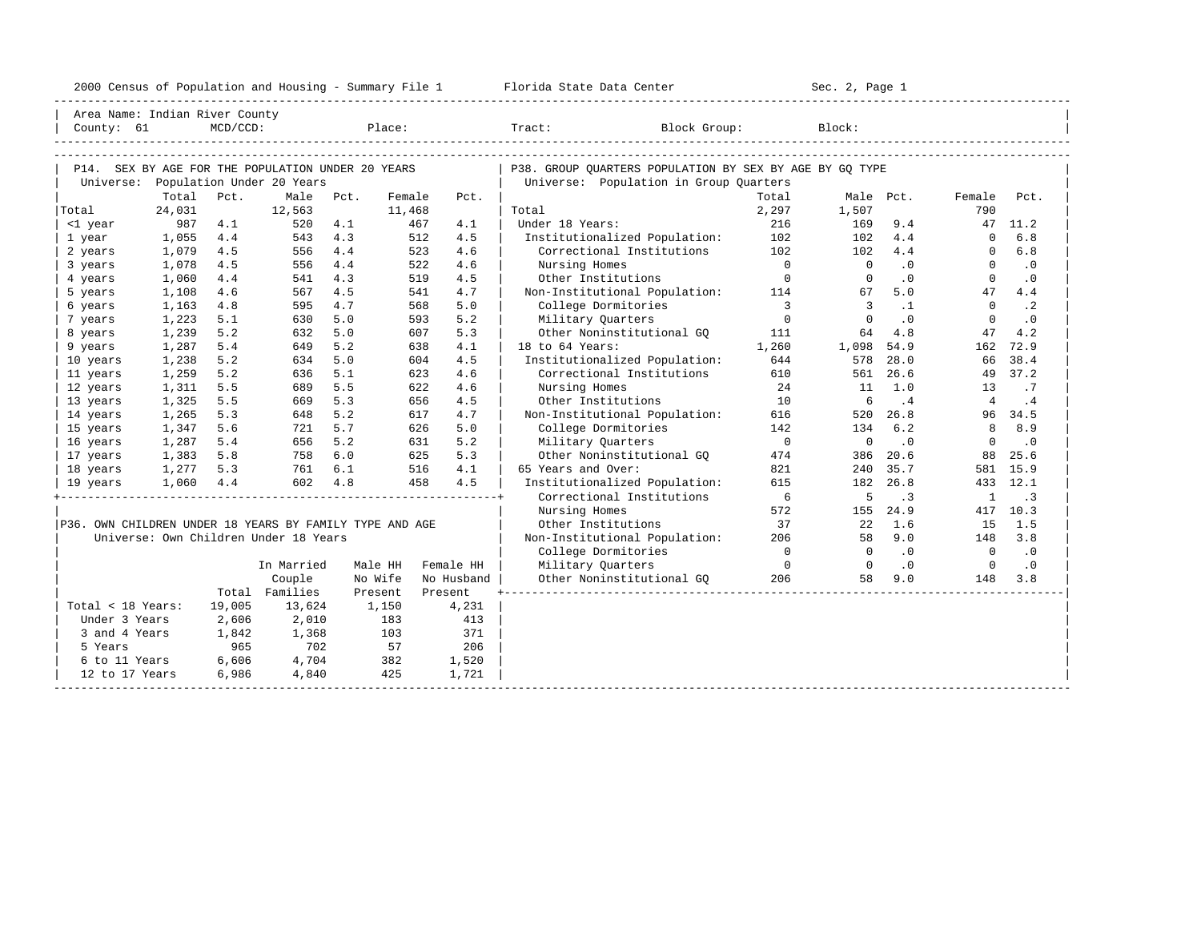| 2000<br>ensus! | and<br>Population | ---<br>Summa:<br>$-$<br>Housing | lorida<br>Data<br>otatt<br>Cente. | ، م ج<br>Page<br>$3-1$ |  |
|----------------|-------------------|---------------------------------|-----------------------------------|------------------------|--|
|                |                   |                                 |                                   |                        |  |

| Area Name: Indian River County                          |                 |             |                                                   |         |                  |            |                                                         |                          |                |           |                |           |
|---------------------------------------------------------|-----------------|-------------|---------------------------------------------------|---------|------------------|------------|---------------------------------------------------------|--------------------------|----------------|-----------|----------------|-----------|
| County: 61                                              |                 | $MCD/CCD$ : |                                                   |         | Place:           |            | Tract: Block Group:                                     |                          | Block:         |           |                |           |
|                                                         |                 |             |                                                   |         |                  |            |                                                         |                          |                |           |                |           |
|                                                         |                 |             |                                                   |         |                  |            |                                                         |                          |                |           |                |           |
|                                                         |                 |             | P14. SEX BY AGE FOR THE POPULATION UNDER 20 YEARS |         |                  |            | P38. GROUP OUARTERS POPULATION BY SEX BY AGE BY GO TYPE |                          |                |           |                |           |
|                                                         |                 |             | Universe: Population Under 20 Years               |         |                  |            | Universe: Population in Group Quarters                  |                          |                |           |                |           |
| Total                                                   | Total<br>24,031 | Pct.        | Male<br>12,563                                    | Pct.    | Female<br>11,468 | Pct.       | Total                                                   | Total<br>2,297           | 1,507          | Male Pct. | Female<br>790  | Pct.      |
| <1 year                                                 | 987             | 4.1         | 520                                               | 4.1     | 467              | 4.1        | Under 18 Years:                                         | 216                      | 169            | 9.4       | 47             | 11.2      |
| 1 year                                                  | 1,055           | 4.4         | 543                                               | 4.3     | 512              | 4.5        | Institutionalized Population:                           | 102                      | 102            | 4.4       | $\Omega$       | 6.8       |
| 2 years                                                 | 1,079           | 4.5         | 556                                               | 4.4     | 523              | 4.6        | Correctional Institutions                               | 102                      | 102            | 4.4       | $\Omega$       | 6.8       |
| 3 years                                                 | 1,078           | 4.5         | 556                                               | 4.4     | 522              | 4.6        | Nursing Homes                                           | $\overline{0}$           | $\overline{0}$ | $\cdot$ 0 | $\mathbf{0}$   | $\cdot$ 0 |
| 4 years                                                 | 1,060           | 4.4         | 541                                               | 4.3     | 519              | 4.5        | Other Institutions                                      | $\overline{0}$           | $\Omega$       | $\cdot$ 0 | $\Omega$       | $\cdot$ 0 |
| 5 years                                                 | 1,108           | 4.6         | 567                                               | 4.5     | 541              | 4.7        | Non-Institutional Population: 114                       |                          | 67             | 5.0       | 47             | 4.4       |
| 6 years                                                 | 1,163           | 4.8         | 595                                               | 4.7     | 568              | 5.0        | College Dormitories                                     | $\overline{\phantom{a}}$ | $\overline{3}$ | $\cdot$ 1 | $\mathbf{0}$   | $\cdot$ 2 |
| 7 years                                                 | 1,223           | 5.1         | 630                                               | 5.0     | 593              | 5.2        | Military Quarters                                       | $\circ$                  | $\Omega$       | .0        | 0              | $\cdot$ 0 |
| 8 years                                                 | 1,239           | 5.2         | 632                                               | 5.0     | 607              | 5.3        | Other Noninstitutional GO                               | 111                      | 64             | 4.8       | 47             | 4.2       |
| 9 years                                                 | 1,287           | 5.4         | 649                                               | 5.2     | 638              | 4.1        | 18 to 64 Years:                                         | 1,260                    | 1,098          | 54.9      | 162            | 72.9      |
| 10 years                                                | 1,238           | 5.2         | 634                                               | 5.0     | 604              | 4.5        | Institutionalized Population:                           | 644                      | 578            | 28.0      | 66             | 38.4      |
| 11 years                                                | 1,259           | 5.2         | 636                                               | 5.1     | 623              | 4.6        | Correctional Institutions                               | 610                      |                | 561 26.6  | 49             | 37.2      |
| 12 years                                                | 1,311           | 5.5         | 689                                               | 5.5     | 622              | 4.6        | Nursing Homes                                           | 24                       | 11             | 1.0       | 13             | $\cdot$ 7 |
| 13 years                                                | 1,325           | 5.5         | 669                                               | 5.3     | 656              | 4.5        | Other Institutions                                      | 10                       | 6              | $\cdot$ 4 | $\overline{4}$ | .4        |
| 14 years                                                | 1,265           | 5.3         | 648                                               | 5.2     | 617              | 4.7        | Non-Institutional Population:                           | 616                      |                | 520 26.8  |                | 96 34.5   |
| 15 years                                                | 1,347           | 5.6         | 721                                               | 5.7     | 626              | 5.0        | College Dormitories                                     | 142                      | 134            | 6.2       | 8              | 8.9       |
| 16 years                                                | 1,287           | 5.4         | 656                                               | 5.2     | 631              | 5.2        | Military Ouarters                                       | $\overline{0}$           | $\circ$        | $\cdot$ 0 | $\mathbf 0$    | $\cdot$ 0 |
| 17 years                                                | 1,383           | 5.8         | 758                                               | 6.0     | 625              | 5.3        | Other Noninstitutional GO                               | 474                      | 386            | 20.6      | 88             | 25.6      |
| 18 years                                                | 1,277           | 5.3         | 761 6.1                                           |         | 516              | 4.1        | 65 Years and Over:                                      | 821                      |                | 240 35.7  | 581            | 15.9      |
| 19 years                                                | 1,060           | 4.4         | 602                                               | 4.8     | 458              | 4.5        | Institutionalized Population:                           | 615                      |                | 182 26.8  | 433            | 12.1      |
|                                                         |                 |             |                                                   |         |                  |            | Correctional Institutions                               | $6^{\circ}$              | 5              | $\cdot$ 3 | <sup>1</sup>   | $\cdot$ 3 |
|                                                         |                 |             |                                                   |         |                  |            | Nursing Homes                                           | 572                      | 155            | 24.9      | 417            | 10.3      |
| P36. OWN CHILDREN UNDER 18 YEARS BY FAMILY TYPE AND AGE |                 |             |                                                   |         |                  |            | Other Institutions                                      | 37                       | 22             | 1.6       | 15             | 1.5       |
|                                                         |                 |             | Universe: Own Children Under 18 Years             |         |                  |            | Non-Institutional Population:                           | 206                      | 58             | 9.0       | 148            | 3.8       |
|                                                         |                 |             |                                                   |         |                  |            | College Dormitories                                     | $\overline{0}$           | $\Omega$       | $\cdot$ 0 | $\overline{0}$ | $\cdot$ 0 |
|                                                         |                 |             | In Married                                        | Male HH |                  | Female HH  | Military Quarters                                       | $\overline{0}$           | $\overline{0}$ | $\cdot$ 0 | $\overline{0}$ | $\cdot$ 0 |
|                                                         |                 |             | Couple                                            | No Wife |                  | No Husband | Other Noninstitutional GO                               | 206                      |                | 58 9.0    | 148            | 3.8       |
|                                                         |                 |             | Total Families                                    | Present |                  | Present    |                                                         |                          |                |           |                |           |
| Total < 18 Years:                                       |                 | 19,005      | 13,624                                            | 1,150   |                  | 4,231      |                                                         |                          |                |           |                |           |
| Under 3 Years                                           |                 | 2,606       | 2,010                                             |         | 183              | 413        |                                                         |                          |                |           |                |           |
| 3 and 4 Years                                           |                 | 1,842       | 1,368                                             |         | 103              | 371        |                                                         |                          |                |           |                |           |
| 5 Years                                                 |                 | 965         | 702                                               |         | 57               | 206        |                                                         |                          |                |           |                |           |
| 6 to 11 Years                                           |                 | 6,606       | 4,704                                             |         | 382              | 1,520      |                                                         |                          |                |           |                |           |
| 12 to 17 Years                                          |                 | 6,986       | 4,840                                             |         | 425              | 1,721      |                                                         |                          |                |           |                |           |
|                                                         |                 |             |                                                   |         |                  |            |                                                         |                          |                |           |                |           |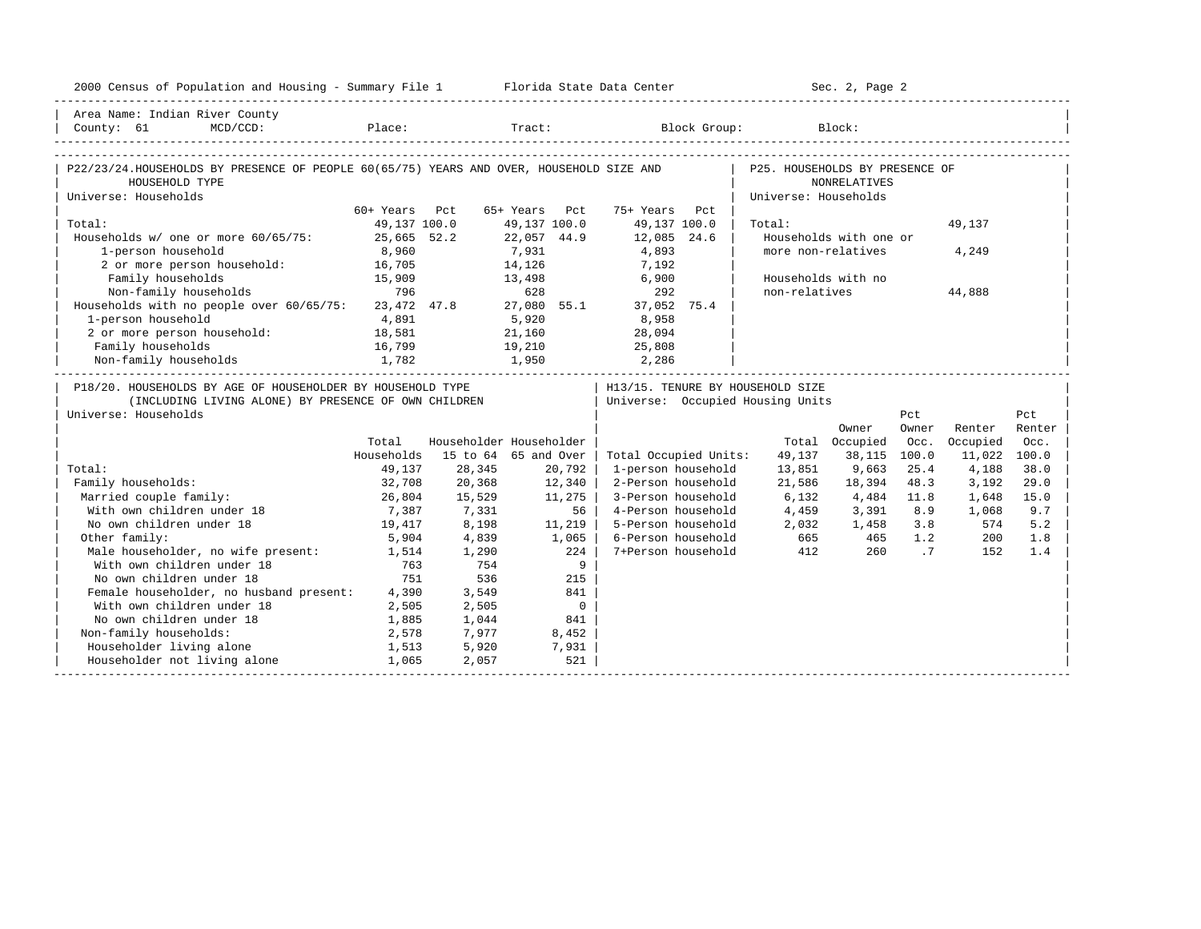| 2000 Census of Population and Housing - Summary File 1 Florida State Data Center            |                 |                         |               |                |                                  |                                | Sec. 2, Page 2         |       |              |        |
|---------------------------------------------------------------------------------------------|-----------------|-------------------------|---------------|----------------|----------------------------------|--------------------------------|------------------------|-------|--------------|--------|
| Area Name: Indian River County                                                              |                 |                         |               |                |                                  |                                |                        |       |              |        |
|                                                                                             |                 |                         |               |                |                                  |                                |                        |       |              |        |
|                                                                                             |                 |                         |               |                |                                  |                                |                        |       |              |        |
| P22/23/24.HOUSEHOLDS BY PRESENCE OF PEOPLE 60(65/75) YEARS AND OVER, HOUSEHOLD SIZE AND     |                 |                         |               |                |                                  | P25. HOUSEHOLDS BY PRESENCE OF |                        |       |              |        |
| HOUSEHOLD TYPE                                                                              |                 |                         |               |                |                                  |                                | <b>NONRELATIVES</b>    |       |              |        |
| Universe: Households                                                                        |                 |                         |               |                |                                  | Universe: Households           |                        |       |              |        |
|                                                                                             | 60+ Years Pct   |                         | 65+ Years Pct |                | 75+ Years<br>Pct                 |                                |                        |       |              |        |
| Total:                                                                                      | 49,137 100.0    |                         | 49,137 100.0  |                | 49,137 100.0                     | Total:                         |                        |       | 49,137       |        |
| Households w/ one or more 60/65/75:                                                         | 25,665 52.2     |                         | 22,057 44.9   |                | 12,085 24.6                      |                                | Households with one or |       |              |        |
| 1-person household                                                                          | 8,960           |                         | 7,931         |                | 4,893                            | more non-relatives             |                        |       | 4,249        |        |
| 2 or more person household: 16,705<br>Family households 15,909<br>Non-family households 796 |                 |                         | 14,126        |                | 7,192                            |                                |                        |       |              |        |
|                                                                                             |                 |                         | 13,498        |                | 6,900                            | Households with no             |                        |       |              |        |
|                                                                                             |                 |                         | 628           |                | 292                              | non-relatives                  |                        |       | 44,888       |        |
| Households with no people over 60/65/75: 23,472 47.8 27,080 55.1 37,052 75.4                |                 |                         |               |                |                                  |                                |                        |       |              |        |
| 1-person household                                                                          | 4,891           |                         | 5,920         |                | 8,958                            |                                |                        |       |              |        |
| 2 or more person household: 18,581                                                          |                 |                         |               |                | $21,160$ $28,094$                |                                |                        |       |              |        |
| Family households                                                                           | 16,799          | 19,210                  |               |                | 25,808                           |                                |                        |       |              |        |
| Non-family households                                                                       | 1,782           | 1,950                   |               |                | 2, 286                           |                                |                        |       |              |        |
| P18/20. HOUSEHOLDS BY AGE OF HOUSEHOLDER BY HOUSEHOLD TYPE                                  |                 |                         |               |                | H13/15. TENURE BY HOUSEHOLD SIZE |                                |                        |       |              |        |
| (INCLUDING LIVING ALONE) BY PRESENCE OF OWN CHILDREN                                        |                 |                         |               |                | Universe: Occupied Housing Units |                                |                        |       |              |        |
| Universe: Households                                                                        |                 |                         |               |                |                                  |                                |                        | Pct   |              | Pct    |
|                                                                                             |                 |                         |               |                |                                  |                                | Owner                  | Owner | Renter       | Renter |
|                                                                                             | Total           | Householder Householder |               |                |                                  |                                | Total Occupied         | Occ.  | Occupied     | Occ.   |
|                                                                                             | Households      | 15 to 64 65 and Over    |               |                | Total Occupied Units:            | 49,137                         | 38,115                 | 100.0 | 11,022 100.0 |        |
| Total:                                                                                      | 49,137          | 28,345                  |               | 20,792         | 1-person household               | 13,851                         | 9,663                  | 25.4  | 4,188        | 38.0   |
| Family households:                                                                          | 32,708          | 20,368                  |               | 12,340         | 2-Person household               | 21,586                         | 18,394                 | 48.3  | 3,192        | 29.0   |
| Married couple family:                                                                      |                 | 15,529                  |               | 11,275         | 3-Person household               | 6,132                          | 4,484                  | 11.8  | 1,648        | 15.0   |
| With own children under 18                                                                  | 26,804<br>7,387 | 7,331                   |               | 56             | 4-Person household               | 4,459                          | 3,391 8.9              |       | 1,068        | 9.7    |
| No own children under 18                                                                    | 19,417          | 8,198                   |               | 11,219         | 5-Person household               |                                | 2,032 1,458 3.8        |       | 574          | 5.2    |
| Other family:                                                                               | 5,904           | 4,839                   |               | 1,065          | 6-Person household               |                                |                        |       | 200          | 1.8    |
| Male householder, no wife present: 1,514                                                    |                 | 1,290                   |               | 224            | 7+Person household               |                                |                        | .7    | 152          | 1.4    |
| With own children under 18                                                                  | 763             | 754                     |               | 9              |                                  |                                |                        |       |              |        |
| No own children under 18                                                                    | 751             | 536                     |               | 215            |                                  |                                |                        |       |              |        |
| Female householder, no husband present: 4,390                                               |                 | 3,549                   |               | 841            |                                  |                                |                        |       |              |        |
| With own children under 18                                                                  | 2,505           | 2,505                   |               | $\overline{0}$ |                                  |                                |                        |       |              |        |
| No own children under 18                                                                    | 1,885           | 1,044                   |               | 841            |                                  |                                |                        |       |              |        |
| Non-family households:                                                                      | 2,578           | 7,977                   |               | 8,452          |                                  |                                |                        |       |              |        |
| Householder living alone                                                                    | 1,513           | 5,920                   |               | 7,931          |                                  |                                |                        |       |              |        |
| Householder not living alone                                                                | 1,065           | 2,057                   |               | 521            |                                  |                                |                        |       |              |        |
|                                                                                             |                 |                         |               |                |                                  |                                |                        |       |              |        |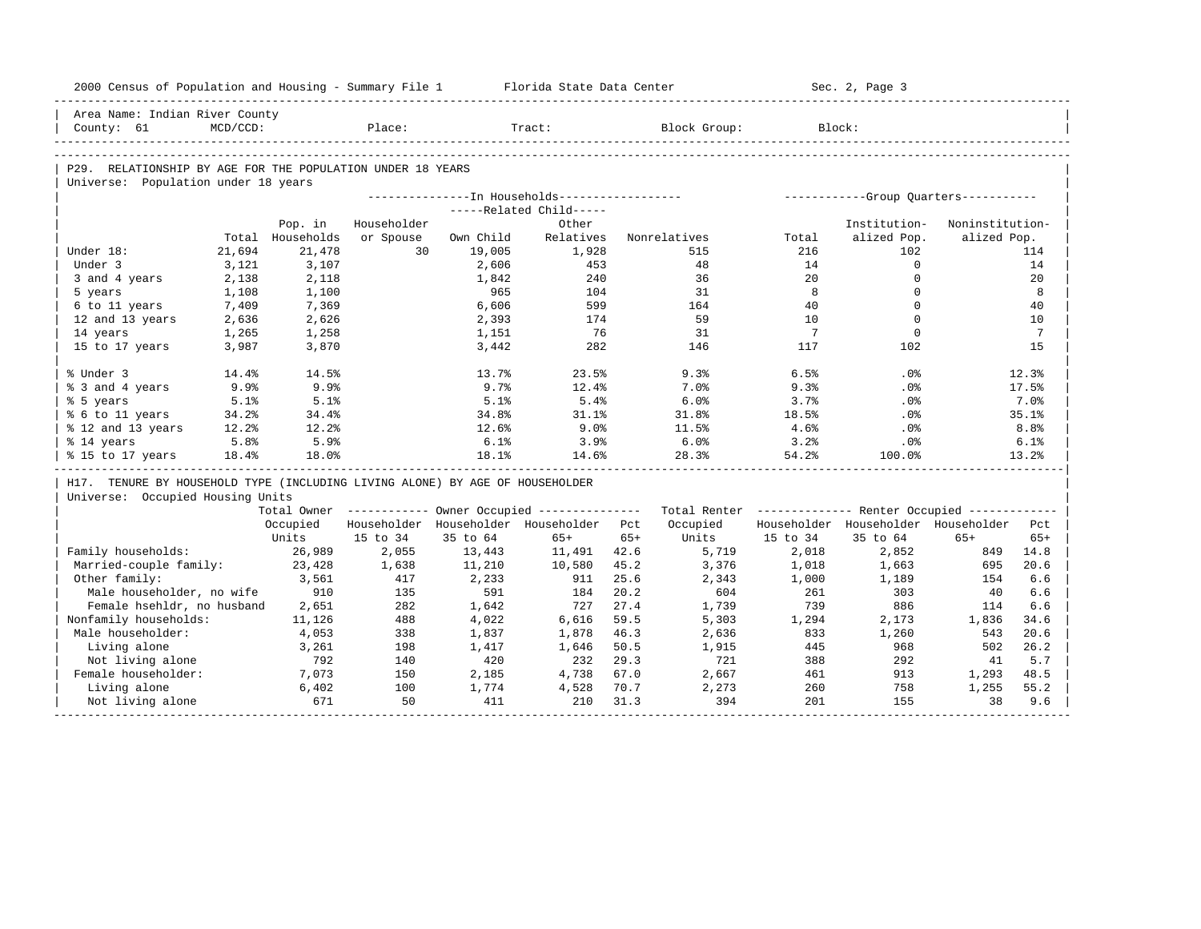| 2000 Census of Population and Housing - Summary File 1                       |          |                  |             |           | Florida State Data Center                              |       |              |                 | Sec. 2, Page 3                                          |                 |                  |
|------------------------------------------------------------------------------|----------|------------------|-------------|-----------|--------------------------------------------------------|-------|--------------|-----------------|---------------------------------------------------------|-----------------|------------------|
| Area Name: Indian River County                                               |          |                  |             |           |                                                        |       |              |                 |                                                         |                 |                  |
| County: 61                                                                   | MCD/CCD: |                  | Place:      |           | Tract:                                                 |       | Block Group: |                 | Block:                                                  |                 |                  |
|                                                                              |          |                  |             |           |                                                        |       |              |                 |                                                         |                 |                  |
| P29. RELATIONSHIP BY AGE FOR THE POPULATION UNDER 18 YEARS                   |          |                  |             |           |                                                        |       |              |                 |                                                         |                 |                  |
| Universe: Population under 18 years                                          |          |                  |             |           |                                                        |       |              |                 |                                                         |                 |                  |
|                                                                              |          |                  |             |           | ---------------In Households------------------         |       |              |                 | ------------Group Ouarters-----------                   |                 |                  |
|                                                                              |          |                  |             |           | -----Related Child-----                                |       |              |                 |                                                         |                 |                  |
|                                                                              |          | Pop. in          | Householder |           | Other                                                  |       |              |                 | Institution-                                            | Noninstitution- |                  |
|                                                                              |          | Total Households | or Spouse   | Own Child | Relatives                                              |       | Nonrelatives | Total           | alized Pop.                                             | alized Pop.     |                  |
| Under 18:                                                                    | 21,694   | 21,478           | 30          | 19,005    | 1,928                                                  |       | 515          | 216             | 102                                                     |                 | 114              |
| Under 3                                                                      | 3,121    | 3,107            |             | 2,606     | 453                                                    |       | 48           | 14              | $\Omega$                                                |                 | 14               |
| 3 and 4 years                                                                | 2,138    | 2,118            |             | 1,842     | 240                                                    |       | 36           | 20              | $\Omega$                                                |                 | 20               |
| 5 years                                                                      | 1,108    | 1,100            |             | 965       | 104                                                    |       | 31           | 8               | $\Omega$                                                |                 | 8                |
| 6 to 11 years                                                                | 7,409    | 7,369            |             | 6,606     | 599                                                    |       | 164          | 40              | $\Omega$                                                |                 | 40               |
| 12 and 13 years                                                              | 2,636    | 2,626            |             | 2,393     | 174                                                    |       | 59           | 10              | $\Omega$                                                |                 | 10               |
| 14 years                                                                     | 1,265    | 1,258            |             | 1,151     | 76                                                     |       | 31           | $7\overline{ }$ | $\Omega$                                                |                 | 7                |
| 15 to 17 years                                                               | 3,987    | 3,870            |             | 3,442     | 282                                                    |       | 146          | 117             | 102                                                     |                 | 15               |
| % Under 3                                                                    | 14.4%    | 14.5%            |             | 13.7%     | 23.5%                                                  |       | 9.3%         | 6.5%            | .0%                                                     |                 | 12.3%            |
| % 3 and 4 years                                                              | 9.9%     | 9.9%             |             | 9.7%      | 12.4%                                                  |       | 7.0%         | 9.3%            | .0%                                                     |                 | 17.5%            |
| % 5 years                                                                    | 5.1%     | 5.1%             |             | 5.1%      | 5.4%                                                   |       | 6.0%         | 3.7%            | .0%                                                     |                 | 7.0%             |
| % 6 to 11 years                                                              | 34.2%    | 34.4%            |             | 34.8%     | 31.1%                                                  |       | 31.8%        | 18.5%           | .0%                                                     |                 | 35.1%            |
| % 12 and 13 years                                                            | 12.2%    | 12.2%            |             | 12.6%     | 9.0%                                                   |       | 11.5%        | 4.6%            | .0%                                                     |                 | 8.8 <sup>°</sup> |
| % 14 years                                                                   | 5.8%     | 5.9%             |             | 6.1%      | 3.9%                                                   |       | 6.0%         | 3.2%            | $.0\%$                                                  |                 | 6.1%             |
| % 15 to 17 years                                                             | 18.4%    | 18.0%            |             | 18.1%     | 14.6%                                                  |       | 28.3%        | 54.2%           | 100.0%                                                  |                 | 13.2%            |
| H17. TENURE BY HOUSEHOLD TYPE (INCLUDING LIVING ALONE) BY AGE OF HOUSEHOLDER |          |                  |             |           |                                                        |       |              |                 |                                                         |                 |                  |
| Universe: Occupied Housing Units                                             |          |                  |             |           |                                                        |       |              |                 |                                                         |                 |                  |
|                                                                              |          |                  |             |           | Total Owner ------------ Owner Occupied -------------- |       |              |                 | Total Renter ------------- Renter Occupied ------------ |                 |                  |
|                                                                              |          | Occupied         |             |           | Householder Householder Householder Pct                |       | Occupied     |                 | Householder Householder Householder                     |                 | Pct              |
|                                                                              |          | Units            | 15 to 34    | 35 to 64  | $65+$                                                  | $65+$ | Units        | 15 to 34        | 35 to 64                                                | $65+$           | $65+$            |
| Family households:                                                           |          | 26,989           | 2,055       | 13,443    | 11,491                                                 | 42.6  | 5,719        | 2,018           | 2,852                                                   | 849             | 14.8             |
| Married-couple family:                                                       |          | 23,428           | 1,638       | 11,210    | 10,580                                                 | 45.2  | 3,376        | 1,018           | 1,663                                                   | 695             | 20.6             |
| Other family:                                                                |          | 3,561            | 417         | 2,233     | 911                                                    | 25.6  | 2,343        | 1,000           | 1,189                                                   | 154             | 6.6              |
| Male householder, no wife                                                    |          | 910              | 135         | 591       | 184                                                    | 20.2  | 604          | 261             | 303                                                     | 40              | 6.6              |
| Female hsehldr, no husband                                                   |          | 2,651            | 282         | 1,642     | 727                                                    | 27.4  | 1,739        | 739             | 886                                                     | 114             | 6.6              |
| Nonfamily households:                                                        |          | 11,126           | 488         | 4,022     | 6,616                                                  | 59.5  | 5,303        | 1,294           | 2,173                                                   | 1,836           | 34.6             |
| Male householder:                                                            |          | 4,053            | 338         | 1,837     | 1,878                                                  | 46.3  | 2,636        | 833             | 1,260                                                   | 543             | 20.6             |
| Living alone                                                                 |          | 3,261            | 198         | 1,417     | 1,646                                                  | 50.5  | 1,915        | 445             | 968                                                     | 502             | 26.2             |
| Not living alone                                                             |          | 792              | 140         | 420       | 232                                                    | 29.3  | 721          | 388             | 292                                                     | 41              | 5.7              |
| Female householder:                                                          |          | 7,073            | 150         | 2,185     | 4,738                                                  | 67.0  | 2,667        | 461             | 913                                                     | 1,293           | 48.5             |
|                                                                              |          | 6,402            | 100         | 1,774     | 4,528                                                  | 70.7  | 2,273        | 260             | 758                                                     | 1,255           | 55.2             |
| Living alone<br>Not living alone                                             |          | 671              | 50          | 411       | 210                                                    | 31.3  | 394          | 201             | 155                                                     | 38              | 9.6              |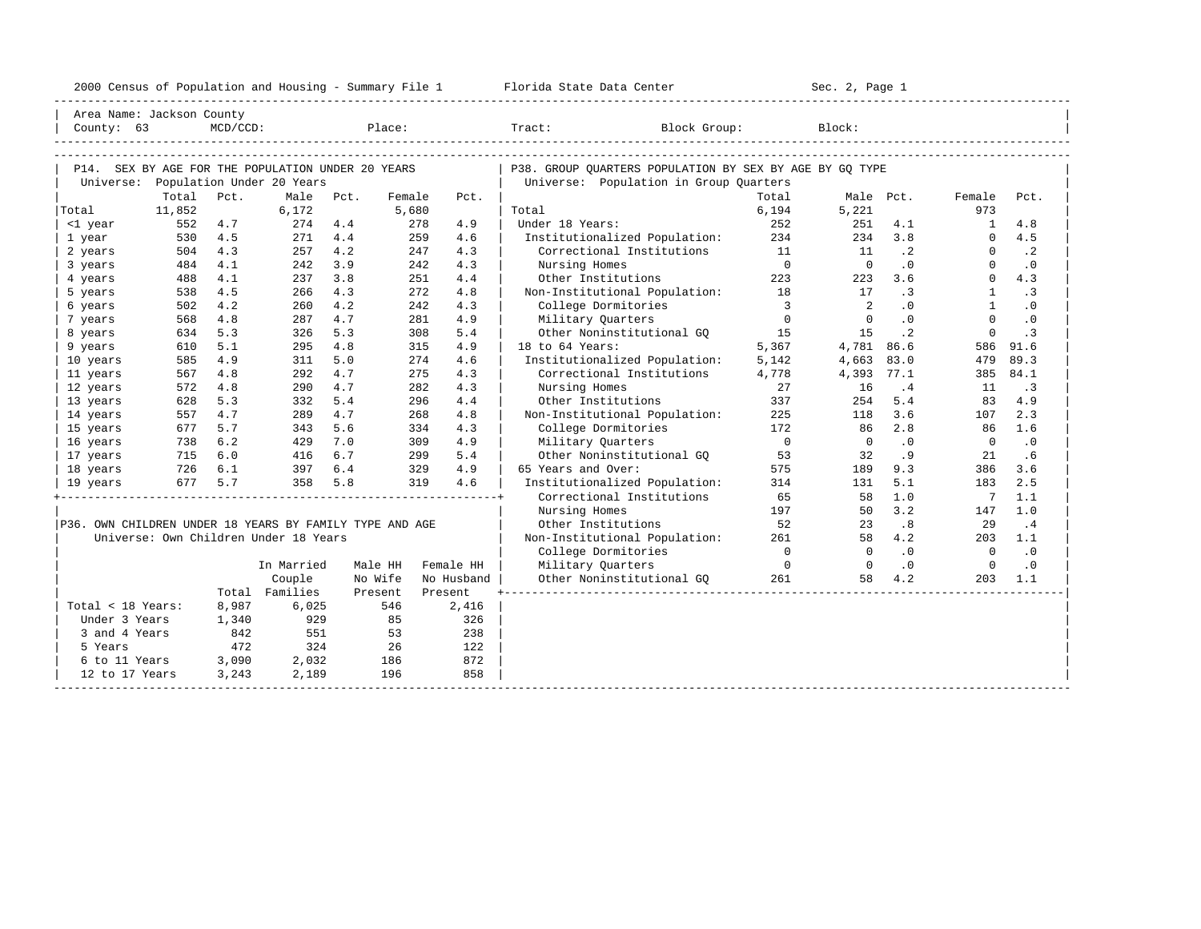| 2000<br>ensus! | and<br>Population | ---<br>Summa:<br>$-$<br>Housing | lorida<br>Data<br>otatt<br>cence. | ، م ج<br>Page<br>$3-1$ |  |
|----------------|-------------------|---------------------------------|-----------------------------------|------------------------|--|
|                |                   |                                 |                                   |                        |  |

| Area Name: Jackson County                               |            |             |                                       |            |            |            |                                                         |                         |                      |                        |                      |                  |
|---------------------------------------------------------|------------|-------------|---------------------------------------|------------|------------|------------|---------------------------------------------------------|-------------------------|----------------------|------------------------|----------------------|------------------|
| County: $63$                                            |            | $MCD/CCD$ : |                                       |            | Place:     |            | Tract:<br>Block Group:                                  |                         | Block:               |                        |                      |                  |
|                                                         |            |             |                                       |            |            |            |                                                         |                         |                      |                        |                      |                  |
|                                                         |            |             |                                       |            |            |            |                                                         |                         |                      |                        |                      |                  |
| P14. SEX BY AGE FOR THE POPULATION UNDER 20 YEARS       |            |             |                                       |            |            |            | P38. GROUP OUARTERS POPULATION BY SEX BY AGE BY GO TYPE |                         |                      |                        |                      |                  |
| Universe:                                               |            |             | Population Under 20 Years             |            |            |            | Universe: Population in Group Quarters                  |                         |                      |                        |                      |                  |
|                                                         | Total      | Pct.        | Male                                  | Pct.       | Female     | Pct.       |                                                         | Total                   |                      | Male Pct.              | Female               | Pct.             |
| Total                                                   | 11,852     |             | 6,172                                 |            | 5,680      |            | Total                                                   | 6,194                   | 5,221                |                        | 973                  |                  |
| <1 year                                                 | 552        | 4.7         | 274                                   | 4.4        | 278        | 4.9        | Under 18 Years:                                         | 252                     | 251                  | 4.1                    | $\mathbf{1}$         | 4.8              |
| 1 year                                                  | 530        | 4.5         | 271                                   | 4.4<br>4.2 | 259        | 4.6<br>4.3 | Institutionalized Population:                           | 234<br>11               | 234                  | 3.8                    | $\Omega$<br>$\Omega$ | 4.5<br>$\cdot$ 2 |
| 2 years                                                 | 504<br>484 | 4.3<br>4.1  | 257                                   | 3.9        | 247<br>242 | 4.3        | Correctional Institutions<br>Nursing Homes              | $\overline{0}$          | 11<br>$\overline{0}$ | $\cdot$ 2<br>$\cdot$ 0 | $\Omega$             | $\cdot$ 0        |
| 3 years                                                 | 488        | 4.1         | 242<br>237                            | 3.8        | 251        | 4.4        | Other Institutions                                      | 223                     | 223                  | 3.6                    | $\Omega$             | 4.3              |
| 4 years<br>5 years                                      | 538        | 4.5         | 266                                   | 4.3        | 272        | 4.8        | Non-Institutional Population: 18                        |                         | 17                   | $\cdot$ 3              | 1                    | $\cdot$ 3        |
| 6 years                                                 | 502        | 4.2         | 260                                   | 4.2        | 242        | 4.3        | College Dormitories                                     | $\overline{\mathbf{3}}$ | 2                    | $\cdot$ 0              | $\mathbf{1}$         | $\cdot$ 0        |
| 7 years                                                 | 568        | 4.8         | 287                                   | 4.7        | 281        | 4.9        | Military Quarters                                       | $\overline{0}$          | $\Omega$             | $\cdot$ 0              | $\Omega$             | $\cdot$ 0        |
| 8 years                                                 | 634        | 5.3         | 326                                   | 5.3        | 308        | 5.4        | Other Noninstitutional GQ 15                            |                         | 15                   | $\cdot$ 2              | $\Omega$             | $\cdot$ 3        |
| 9 years                                                 | 610        | 5.1         | 295                                   | 4.8        | 315        | 4.9        | 18 to 64 Years:                                         | 5,367                   | 4,781 86.6           |                        | 586                  | 91.6             |
| 10 years                                                | 585        | 4.9         | 311                                   | 5.0        | 274        | 4.6        | Institutionalized Population:                           | 5,142                   | 4,663                | 83.0                   | 479                  | 89.3             |
| 11 years                                                | 567        | 4.8         | 292                                   | 4.7        | 275        | 4.3        | Correctional Institutions                               | 4,778                   | 4,393                | 77.1                   | 385                  | 84.1             |
| 12 years                                                | 572        | 4.8         | 290                                   | 4.7        | 282        | 4.3        | Nursing Homes                                           | 27                      | 16                   | .4                     | 11                   | $\cdot$ 3        |
| 13 years                                                | 628        | 5.3         | 332                                   | 5.4        | 296        | 4.4        | Other Institutions                                      | 337                     | 254                  | 5.4                    | 83                   | 4.9              |
| 14 years                                                | 557        | 4.7         | 289                                   | 4.7        | 268        | 4.8        | Non-Institutional Population:                           | 225                     | 118                  | 3.6                    | 107                  | 2.3              |
| 15 years                                                | 677        | 5.7         | 343                                   | 5.6        | 334        | 4.3        | College Dormitories                                     | 172                     | 86                   | 2.8                    | 86                   | 1.6              |
| 16 years                                                | 738        | 6.2         | 429                                   | 7.0        | 309        | 4.9        | Military Ouarters                                       | $\overline{0}$          | $\Omega$             | $\cdot$ 0              | $\Omega$             | $\cdot$ 0        |
| 17 years                                                | 715        | 6.0         | 416                                   | 6.7        | 299        | 5.4        | Other Noninstitutional GO 53                            |                         | 32                   | .9                     | 21                   | .6               |
| 18 years                                                | 726        | 6.1         | 397                                   | 6.4        | 329        | 4.9        | 65 Years and Over:                                      | 575                     | 189                  | 9.3                    | 386                  | 3.6              |
| 19 years                                                | 677        | 5.7         | 358                                   | 5.8        | 319        | 4.6        | Institutionalized Population:                           | 314                     | 131                  | 5.1                    | 183                  | 2.5              |
|                                                         |            |             |                                       |            |            |            | Correctional Institutions                               | 65                      | 58                   | 1.0                    | $\overline{7}$       | 1.1              |
|                                                         |            |             |                                       |            |            |            | Nursing Homes                                           | 197                     | 50                   | 3.2                    | 147                  | 1.0              |
| P36. OWN CHILDREN UNDER 18 YEARS BY FAMILY TYPE AND AGE |            |             |                                       |            |            |            | Other Institutions                                      | 52                      | 23                   | .8                     | 29                   | .4               |
|                                                         |            |             | Universe: Own Children Under 18 Years |            |            |            | Non-Institutional Population:                           | 261                     | 58                   | 4.2                    | 203                  | 1.1              |
|                                                         |            |             |                                       |            |            |            | College Dormitories                                     | $\Omega$                | $\Omega$             | $\cdot$ 0              | $\overline{0}$       | $\cdot$ 0        |
|                                                         |            |             | In Married                            | Male HH    |            | Female HH  | Military Quarters                                       | $\overline{0}$          | $\overline{0}$       | $\cdot$ 0              | $\overline{0}$       | $\cdot$ 0        |
|                                                         |            |             | Couple                                | No Wife    |            | No Husband | Other Noninstitutional GQ                               | 261                     | 58                   | 4.2                    | 203                  | 1.1              |
|                                                         |            |             | Total Families                        | Present    |            | Present    |                                                         |                         |                      |                        |                      |                  |
| Total < 18 Years:                                       |            | 8,987       | 6,025                                 |            | 546        | 2,416      |                                                         |                         |                      |                        |                      |                  |
| Under 3 Years                                           |            | 1,340       | 929                                   |            | 85         | 326        |                                                         |                         |                      |                        |                      |                  |
| 3 and 4 Years                                           |            | 842         | 551                                   |            | 53         | 238        |                                                         |                         |                      |                        |                      |                  |
| 5 Years                                                 |            | 472         | 324                                   |            | 26         | 122        |                                                         |                         |                      |                        |                      |                  |
| 6 to 11 Years                                           |            | 3,090       | 2,032                                 |            | 186        | 872        |                                                         |                         |                      |                        |                      |                  |
| 12 to 17 Years                                          |            | 3,243       | 2,189                                 |            | 196        | 858        |                                                         |                         |                      |                        |                      |                  |
|                                                         |            |             |                                       |            |            |            |                                                         |                         |                      |                        |                      |                  |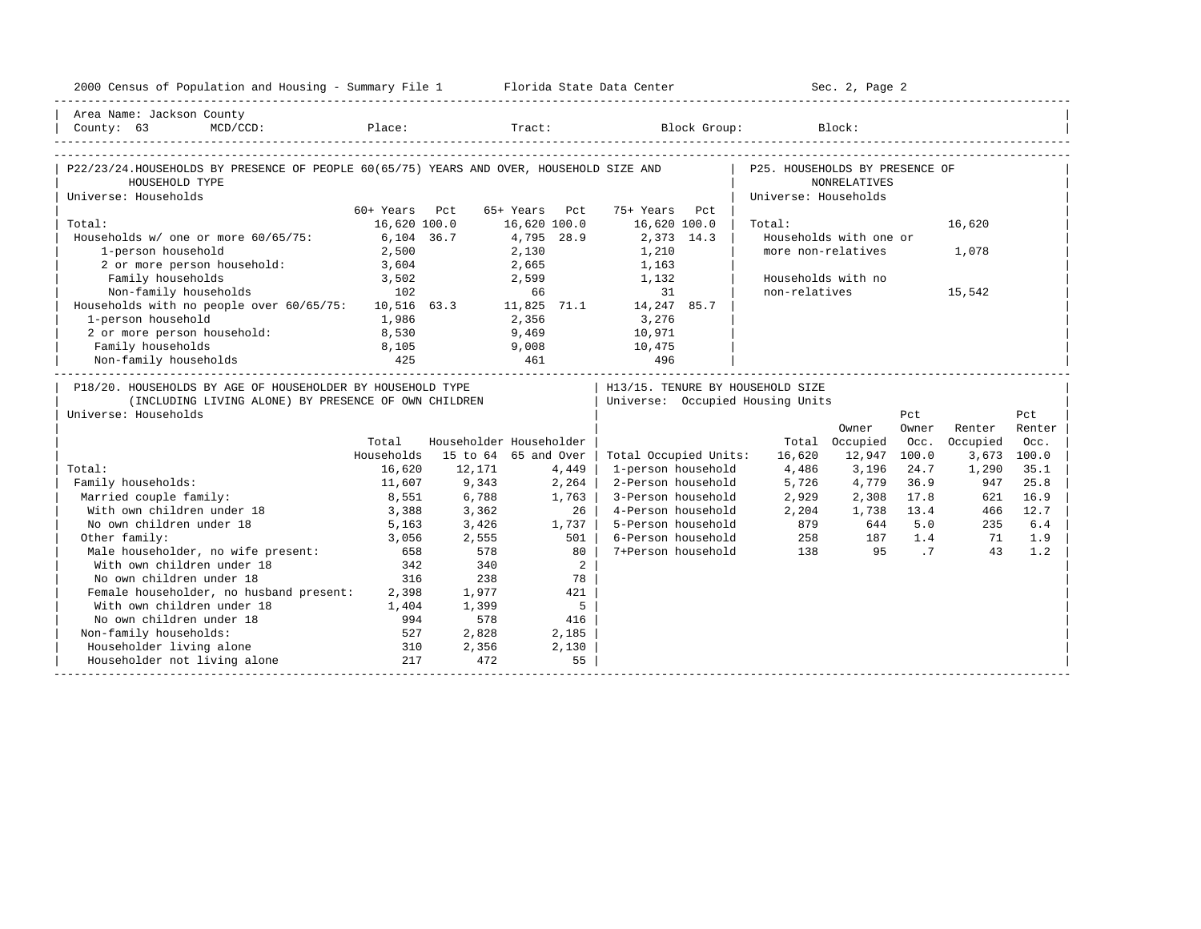| 2000 Census of Population and Housing - Summary File 1 Florida State Data Center                                                                |               |        |                         |                                   |                      | Sec. 2, Page 2         |       |             |        |
|-------------------------------------------------------------------------------------------------------------------------------------------------|---------------|--------|-------------------------|-----------------------------------|----------------------|------------------------|-------|-------------|--------|
| Area Name: Jackson County                                                                                                                       |               |        |                         |                                   |                      |                        |       |             |        |
| County: 63<br>$MCD / CCD$ :                                                                                                                     |               |        |                         | Place: Tract: Block Group: Block: |                      |                        |       |             |        |
|                                                                                                                                                 |               |        |                         |                                   |                      |                        |       |             |        |
| P22/23/24.HOUSEHOLDS BY PRESENCE OF PEOPLE 60(65/75) YEARS AND OVER, HOUSEHOLD SIZE AND   P25. HOUSEHOLDS BY PRESENCE OF<br>HOUSEHOLD TYPE      |               |        |                         |                                   |                      | NONRELATIVES           |       |             |        |
| Universe: Households                                                                                                                            |               |        |                         |                                   | Universe: Households |                        |       |             |        |
|                                                                                                                                                 | 60+ Years Pct |        | 65+ Years Pct           | 75+ Years Pct                     |                      |                        |       |             |        |
| Total:                                                                                                                                          | 16,620 100.0  |        | 16,620 100.0            | 16,620 100.0                      | Total:               |                        |       | 16,620      |        |
| Households w/ one or more $60/65/75$ : 6,104 36.7                                                                                               |               |        | 4,795 28.9              | 2,373 14.3                        |                      | Households with one or |       |             |        |
| 1-person household                                                                                                                              | 2,500         |        | 2,130                   | 1,210                             |                      | more non-relatives     |       | 1,078       |        |
| 2 or more person household:                                                                                                                     | 3,604         |        | $\frac{2}{2}$ , 665     | 1,163                             |                      |                        |       |             |        |
| Family households                                                                                                                               | 3,502         |        | 2,599 1,132             |                                   |                      | Households with no     |       |             |        |
| 102<br>Non-family households<br>Non-family households 102 66 31<br>Households with no people over 60/65/75: 10,516 63.3 11,825 71.1 14,247 85.7 |               |        |                         |                                   | non-relatives        |                        |       | 15,542      |        |
|                                                                                                                                                 |               |        |                         |                                   |                      |                        |       |             |        |
| 1-person household                                                                                                                              | 1,986         |        | 2,356                   | 3,276                             |                      |                        |       |             |        |
| 2 or more person household: 8,530                                                                                                               |               |        | 9,469                   | 10,971                            |                      |                        |       |             |        |
|                                                                                                                                                 |               |        |                         | 10,475                            |                      |                        |       |             |        |
|                                                                                                                                                 |               |        |                         | 496                               |                      |                        |       |             |        |
| P18/20. HOUSEHOLDS BY AGE OF HOUSEHOLDER BY HOUSEHOLD TYPE                                                                                      |               |        |                         | H13/15. TENURE BY HOUSEHOLD SIZE  |                      |                        |       |             |        |
| (INCLUDING LIVING ALONE) BY PRESENCE OF OWN CHILDREN                                                                                            |               |        |                         | Universe: Occupied Housing Units  |                      |                        |       |             |        |
| Universe: Households                                                                                                                            |               |        |                         |                                   |                      |                        | Pct   |             | Pct    |
|                                                                                                                                                 |               |        |                         |                                   |                      | Owner                  | Owner | Renter      | Renter |
|                                                                                                                                                 | Total         |        | Householder Householder |                                   |                      | Total Occupied         | Occ.  | Occupied    | Occ.   |
|                                                                                                                                                 | Households    |        | 15 to 64 65 and Over    | Total Occupied Units:             | 16,620               | 12,947                 | 100.0 | 3,673 100.0 |        |
| Total:                                                                                                                                          | 16,620        | 12,171 | 4,449                   | 1-person household                | 4,486                | 3,196                  | 24.7  | 1,290       | 35.1   |
| Family households:                                                                                                                              | 11,607        | 9,343  | 2,264                   | 2-Person household                | 5,726                | 4,779                  | 36.9  | 947         | 25.8   |
| Married couple family:                                                                                                                          | 8,551         | 6,788  | 1,763                   | 3-Person household                | 2,929                | 2,308                  | 17.8  | 621         | 16.9   |
| With own children under 18                                                                                                                      | 3,388         | 3,362  | 26                      | 4-Person household                | 2,204                | 1,738                  | 13.4  | 466         | 12.7   |
| No own children under 18                                                                                                                        | 5,163         | 3,426  | 1,737                   | 5-Person household                | 879                  | 644                    | 5.0   | 235         | 6.4    |
| Other family:                                                                                                                                   | 3,056         | 2,555  | 501                     | 6-Person household                | 258                  | 187                    | 1.4   | 71          | 1.9    |
| Male householder, no wife present:                                                                                                              | 658           | 578    | 80                      | 7+Person household                | 138                  | 95                     | .7    | 43          | 1.2    |
| With own children under 18                                                                                                                      | 342           | 340    | 2                       |                                   |                      |                        |       |             |        |
| No own children under 18                                                                                                                        | 316           | 238    | 78                      |                                   |                      |                        |       |             |        |
| Female householder, no husband present: 2,398                                                                                                   |               | 1,977  | 421                     |                                   |                      |                        |       |             |        |
| With own children under 18                                                                                                                      | 1,404         | 1,399  | 5                       |                                   |                      |                        |       |             |        |
| No own children under 18                                                                                                                        | 994           | 578    | 416                     |                                   |                      |                        |       |             |        |
| Non-family households:                                                                                                                          | 527           | 2,828  | 2,185                   |                                   |                      |                        |       |             |        |
| Householder living alone                                                                                                                        | 310           | 2,356  | 2,130                   |                                   |                      |                        |       |             |        |
| Householder not living alone                                                                                                                    | 217           | 472    | 55                      |                                   |                      |                        |       |             |        |
|                                                                                                                                                 |               |        |                         |                                   |                      |                        |       |             |        |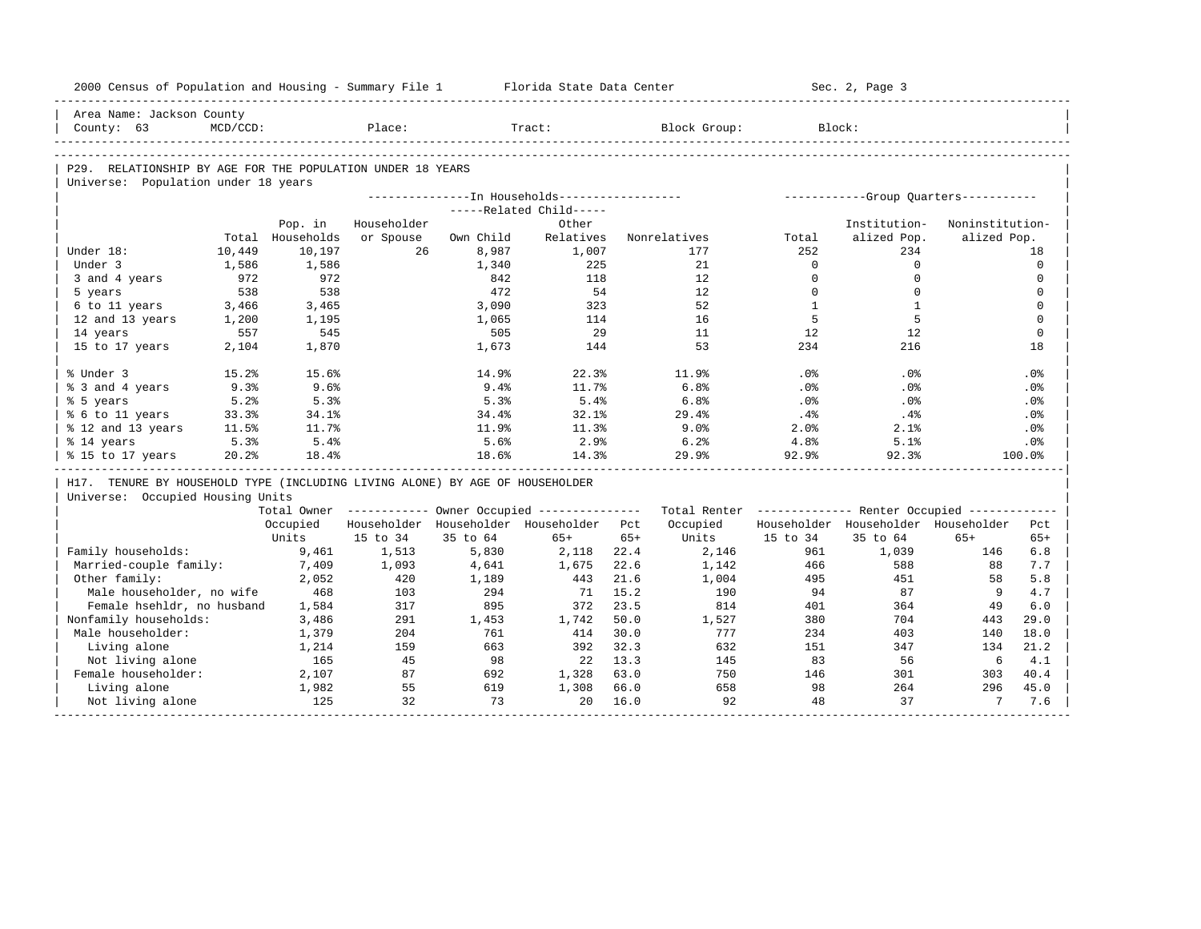| 2000 Census of Population and Housing - Summary File 1 Florida State Data Center |             |                  |             |                                                  |                         |       |                                                                                                               |              | Sec. 2, Page 3                        |                 |                 |
|----------------------------------------------------------------------------------|-------------|------------------|-------------|--------------------------------------------------|-------------------------|-------|---------------------------------------------------------------------------------------------------------------|--------------|---------------------------------------|-----------------|-----------------|
| Area Name: Jackson County                                                        |             |                  |             |                                                  |                         |       |                                                                                                               |              |                                       |                 |                 |
| County: 63                                                                       | $MCD/CCD$ : |                  | Place:      |                                                  | Tract:                  |       | Block Group:                                                                                                  |              | Block:                                |                 |                 |
|                                                                                  |             |                  |             |                                                  |                         |       |                                                                                                               |              |                                       |                 |                 |
| P29. RELATIONSHIP BY AGE FOR THE POPULATION UNDER 18 YEARS                       |             |                  |             |                                                  |                         |       |                                                                                                               |              |                                       |                 |                 |
| Universe: Population under 18 years                                              |             |                  |             |                                                  |                         |       |                                                                                                               |              |                                       |                 |                 |
|                                                                                  |             |                  |             | ---------------- In Households------------------ |                         |       |                                                                                                               |              | ------------Group Quarters----------- |                 |                 |
|                                                                                  |             |                  |             |                                                  | -----Related Child----- |       |                                                                                                               |              |                                       |                 |                 |
|                                                                                  |             | Pop. in          | Householder |                                                  | Other                   |       |                                                                                                               |              | Institution-                          | Noninstitution- |                 |
|                                                                                  |             | Total Households | or Spouse   | Own Child                                        | Relatives               |       | Nonrelatives                                                                                                  | Total        | alized Pop.                           | alized Pop.     |                 |
| Under 18:                                                                        | 10,449      | 10,197           | 26          | 8,987                                            | 1,007                   |       | 177                                                                                                           | 252          | 234                                   |                 | 18              |
| Under 3                                                                          | 1,586       | 1,586            |             | 1,340                                            | 225                     |       | 21                                                                                                            | $\Omega$     | $\circ$                               |                 | $\mathbf 0$     |
| 3 and 4 years                                                                    | 972         | 972              |             | 842                                              | 118                     |       | 12                                                                                                            | $\Omega$     | $\Omega$                              |                 | $\Omega$        |
| 5 years                                                                          | 538         | 538              |             | 472                                              | 54                      |       | 12                                                                                                            | $\mathbf 0$  | $\Omega$                              |                 | $\mathbf 0$     |
| 6 to 11 years                                                                    | 3,466       | 3,465            |             | 3,090                                            | 323                     |       | 52                                                                                                            | $\mathbf{1}$ | $\mathbf{1}$                          |                 | $\mathbf 0$     |
| 12 and 13 years                                                                  | 1,200       | 1,195            |             | 1,065                                            | 114                     |       | 16                                                                                                            | 5            | 5                                     |                 | $\mathbf 0$     |
| 14 years                                                                         | 557         | 545              |             | 505                                              | 29                      |       | 11                                                                                                            | 12           | 12                                    |                 | $\mathbf 0$     |
| 15 to 17 years                                                                   | 2,104       | 1,870            |             | 1,673                                            | 144                     |       | 53                                                                                                            | 234          | 216                                   |                 | 18              |
| % Under 3                                                                        | 15.2%       | 15.6%            |             | 14.9%                                            | 22.3%                   |       | 11.9%                                                                                                         | .0%          | .0%                                   |                 | .0%             |
| % 3 and 4 years                                                                  | 9.3%        | 9.6%             |             | 9.4%                                             | 11.7%                   |       | 6.8%                                                                                                          | $.0\%$       | .0%                                   |                 | $.0\%$          |
| % 5 years                                                                        | 5.2%        | 5.3%             |             | 5.3%                                             | 5.4%                    |       | 6.8%                                                                                                          | $.0\%$       | .0%                                   |                 | .0 <sup>8</sup> |
| % 6 to 11 years                                                                  | 33.3%       | 34.1%            |             | 34.4%                                            | 32.1%                   |       | 29.4%                                                                                                         | $.4\%$       | $.4\%$                                |                 | .0%             |
| % 12 and 13 years                                                                | 11.5%       | 11.7%            |             | 11.9%                                            | 11.3%                   |       | 9.0%                                                                                                          | 2.0%         | 2.1%                                  |                 | $.0\%$          |
| % 14 years                                                                       | 5.3%        | 5.4%             |             | 5.6%                                             | 2.9%                    |       | 6.2%                                                                                                          | 4.8%         | 5.1%                                  |                 | .0%             |
| % 15 to 17 years                                                                 | 20.2%       | 18.4%            |             | 18.6%                                            | 14.3%                   |       | 29.9%                                                                                                         | 92.9%        | 92.3%                                 |                 | 100.0%          |
| H17. TENURE BY HOUSEHOLD TYPE (INCLUDING LIVING ALONE) BY AGE OF HOUSEHOLDER     |             |                  |             |                                                  |                         |       |                                                                                                               |              |                                       |                 |                 |
| Universe: Occupied Housing Units                                                 |             |                  |             |                                                  |                         |       |                                                                                                               |              |                                       |                 |                 |
|                                                                                  |             |                  |             |                                                  |                         |       | Total Owner ----------- Owner Occupied -------------- Total Renter ------------- Renter Occupied ------------ |              |                                       |                 |                 |
|                                                                                  |             | Occupied         |             | Householder Householder Householder Pct          |                         |       | Occupied                                                                                                      |              | Householder Householder Householder   |                 | Pct             |
|                                                                                  |             | Units            | 15 to 34    | 35 to 64                                         | $65+$                   | $65+$ | Units                                                                                                         | 15 to 34     | 35 to 64                              | $65+$           | $65+$           |
| Family households:                                                               |             | 9,461            | 1,513       | 5,830                                            | 2,118                   | 22.4  | 2,146                                                                                                         | 961          | 1,039                                 | 146             | 6.8             |
| Married-couple family:                                                           |             | 7,409            | 1,093       | 4,641                                            | 1,675                   | 22.6  | 1,142                                                                                                         | 466          | 588                                   | 88              | 7.7             |
| Other family:                                                                    |             | 2,052            | 420         | 1,189                                            | 443 21.6                |       | 1,004                                                                                                         | 495          | 451                                   | 58              | 5.8             |
| Male householder, no wife                                                        |             | 468              | 103         | 294                                              | 71 15.2                 |       | 190                                                                                                           | 94           | 87                                    | - 9             | 4.7             |
| Female hsehldr, no husband                                                       |             | 1,584            | 317         | 895                                              | 372                     | 23.5  | 814                                                                                                           | 401          | 364                                   | 49              | 6.0             |
| Nonfamily households:                                                            |             | 3,486            | 291         | 1,453                                            | 1,742                   | 50.0  | 1,527                                                                                                         | 380          | 704                                   | 443             | 29.0            |
| Male householder:                                                                |             | 1,379            | 204         | 761                                              | 414                     | 30.0  | 777                                                                                                           | 234          | 403                                   | 140             | 18.0            |
| Living alone                                                                     |             | 1,214            | 159         | 663                                              | 392 32.3                |       | 632                                                                                                           | 151          | 347                                   | 134             | 21.2            |
| Not living alone                                                                 |             | 165              | 45          | 98                                               | 22 13.3                 |       | 145                                                                                                           | 83           | 56                                    | 6               | 4.1             |
| Female householder:                                                              |             | 2,107            | 87          | 692                                              | 1,328                   | 63.0  | 750                                                                                                           | 146          | 301                                   | 303             | 40.4            |
| Living alone                                                                     |             | 1,982            | 55          | 619                                              | 1,308                   | 66.0  | 658                                                                                                           | 98           | 264                                   | 296             | 45.0            |
| Not living alone                                                                 |             | 125              | 32          | 73                                               | $20^{\circ}$            | 16.0  | 92                                                                                                            | 48           | 37                                    | $7\overline{ }$ | 7.6             |
|                                                                                  |             |                  |             |                                                  |                         |       |                                                                                                               |              |                                       |                 |                 |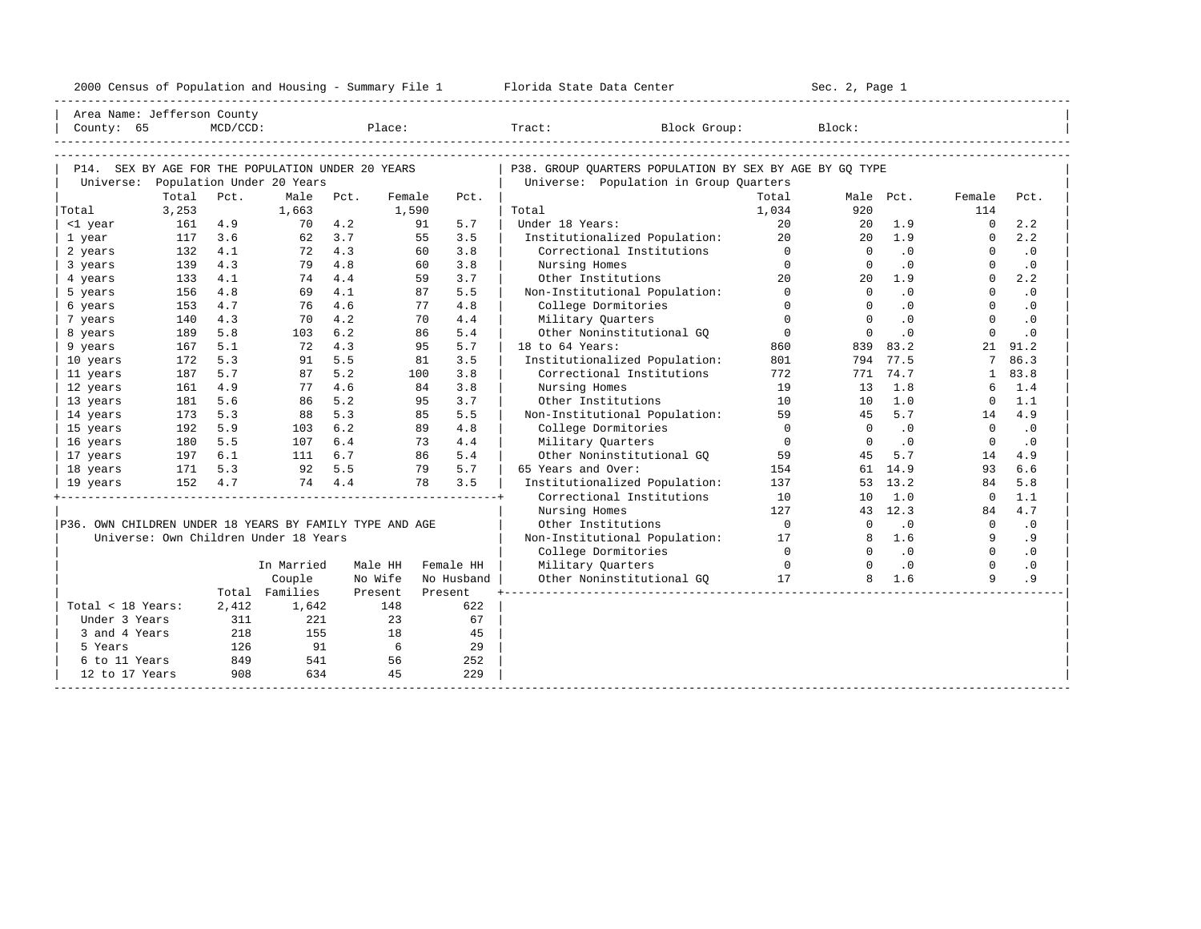| 2000<br>ensus! | and<br>Population | ---<br>Summa:<br>$-$<br>Housing | lorida<br>Data<br>otatt<br>cence. | ، م ج<br>Page<br>$3-1$ |  |
|----------------|-------------------|---------------------------------|-----------------------------------|------------------------|--|
|                |                   |                                 |                                   |                        |  |

| Area Name: Jefferson County                             |         |             |                                       |      |         |            |                                                         |                |              |                             |                |           |
|---------------------------------------------------------|---------|-------------|---------------------------------------|------|---------|------------|---------------------------------------------------------|----------------|--------------|-----------------------------|----------------|-----------|
| County: 65                                              |         | $MCD/CCD$ : |                                       |      | Place:  |            | Tract:<br>Block Group:                                  |                | Block:       |                             |                |           |
|                                                         |         |             |                                       |      |         |            |                                                         |                |              |                             |                |           |
|                                                         |         |             |                                       |      |         |            |                                                         |                |              |                             |                |           |
| P14. SEX BY AGE FOR THE POPULATION UNDER 20 YEARS       |         |             |                                       |      |         |            | P38. GROUP OUARTERS POPULATION BY SEX BY AGE BY GO TYPE |                |              |                             |                |           |
| Universe:                                               |         |             | Population Under 20 Years             |      |         |            | Universe: Population in Group Quarters                  |                |              |                             |                |           |
|                                                         | Total   | Pct.        | Male                                  | Pct. | Female  | Pct.       |                                                         | Total          |              | Male Pct.                   | Female         | Pct.      |
| Total                                                   | 3,253   |             | 1,663                                 |      | 1,590   |            | Total                                                   | 1,034          | 920          |                             | 114            |           |
| <1 year                                                 | 161     | 4.9         | 70                                    | 4.2  |         | 5.7<br>91  | Under 18 Years:                                         | 20             | 20           | 1.9                         | $\Omega$       | 2.2       |
| 1 year                                                  | 117     | 3.6         | 62                                    | 3.7  |         | 55<br>3.5  | Institutionalized Population:                           | 2.0            | $20 -$       | 1.9                         | $\Omega$       | 2.2       |
| 2 years                                                 | 132     | 4.1         | 72                                    | 4.3  |         | 3.8<br>60  | Correctional Institutions                               | $\Omega$       | $\Omega$     | $\cdot$ 0                   | $\Omega$       | $\cdot$ 0 |
| 3 years                                                 | 139     | 4.3         | 79                                    | 4.8  |         | 3.8<br>60  | Nursing Homes                                           | $\Omega$       | $\circ$      | $\cdot$ 0                   | $\Omega$       | $\cdot$ 0 |
| 4 years                                                 | 133     | 4.1         | 74                                    | 4.4  |         | 59<br>3.7  | Other Institutions                                      | 2.0            | $20^{\circ}$ | 1.9                         | $\Omega$       | 2.2       |
| 5 years                                                 | 156     | 4.8         | 69                                    | 4.1  |         | 5.5<br>87  | Non-Institutional Population:                           | $\Omega$       | $\Omega$     | $\cdot$ 0                   | $\Omega$       | $\cdot$ 0 |
| 6 years                                                 | 153     | 4.7         | 76                                    | 4.6  |         | 4.8<br>77  | College Dormitories                                     | $\Omega$       | $\Omega$     | $\cdot$ 0                   | $\Omega$       | $\cdot$ 0 |
| 7 years                                                 | 140     | 4.3         | 70                                    | 4.2  |         | 4.4<br>70  | Military Quarters                                       | $\Omega$       | $\Omega$     | .0                          | $\Omega$       | .0        |
| 8 years                                                 | 189     | 5.8         | 103                                   | 6.2  |         | 86<br>5.4  | Other Noninstitutional GO                               | $\Omega$       | $\Omega$     | .0                          | $\Omega$       | .0        |
| 9 years                                                 | 167     | 5.1         | 72                                    | 4.3  |         | 95<br>5.7  | 18 to 64 Years:                                         | 860            |              | 839 83.2                    | 21             | 91.2      |
| 10 years                                                | 172     | 5.3         | 91                                    | 5.5  |         | 3.5<br>81  | Institutionalized Population:                           | 801            | 794          | 77.5                        | 7              | 86.3      |
| 11 years                                                | 187     | 5.7         | 87                                    | 5.2  | 100     | 3.8        | Correctional Institutions                               | 772            |              | 771 74.7                    | $\mathbf{1}$   | 83.8      |
| 12 years                                                | 161     | 4.9         | 77                                    | 4.6  |         | 3.8<br>84  | Nursing Homes                                           | 19             | 13           | 1.8                         | 6              | 1.4       |
| 13 years                                                | 181     | 5.6         | 86                                    | 5.2  |         | 95<br>3.7  | Other Institutions                                      | 10             | 10           | 1.0                         | $\Omega$       | 1.1       |
| 14 years                                                | 173     | 5.3         | 88                                    | 5.3  |         | 5.5<br>85  | Non-Institutional Population:                           | 59             | 45           | 5.7                         | 14             | 4.9       |
| 15 years                                                | 192     | 5.9         | 103                                   | 6.2  |         | 4.8<br>89  | College Dormitories                                     | $\overline{0}$ | $\circ$      | $\cdot$ 0                   | $\mathbf 0$    | $\cdot$ 0 |
| 16 years                                                | 180     | 5.5         | 107                                   | 6.4  |         | 73<br>4.4  | Military Quarters                                       | $\overline{0}$ | $\Omega$     | $\cdot$ 0                   | $\Omega$       | $\cdot$ 0 |
| 17 years                                                | 197     | 6.1         | 111                                   | 6.7  |         | 5.4<br>86  | Other Noninstitutional GO                               | 59             | 45           | 5.7                         | 14             | 4.9       |
| 18 years                                                | 171     | 5.3         | 92                                    | 5.5  |         | 5.7<br>79  | 65 Years and Over:                                      | 154            |              | 61 14.9                     | 93             | 6.6       |
| 19 years                                                | 152 4.7 |             | 74                                    | 4.4  |         | 3.5<br>78  | Institutionalized Population:                           | 137            |              | 53 13.2                     | 84             | 5.8       |
|                                                         |         |             |                                       |      |         |            | Correctional Institutions                               | 10             | 10           | 1.0                         | $\Omega$       | 1.1       |
|                                                         |         |             |                                       |      |         |            | Nursing Homes                                           | 127            |              | 43 12.3                     | 84             | 4.7       |
| P36. OWN CHILDREN UNDER 18 YEARS BY FAMILY TYPE AND AGE |         |             |                                       |      |         |            | Other Institutions                                      | $\overline{0}$ | $\Omega$     | $\cdot$ 0                   | $\overline{0}$ | $\cdot$ 0 |
|                                                         |         |             | Universe: Own Children Under 18 Years |      |         |            | Non-Institutional Population:                           | 17             | 8            | 1.6                         | 9              | . 9       |
|                                                         |         |             |                                       |      |         |            | College Dormitories                                     | $\Omega$       | $\Omega$     | $\overline{\phantom{0}}$ .0 | $\Omega$       | $\cdot$ 0 |
|                                                         |         |             | In Married                            |      | Male HH | Female HH  | Military Quarters                                       | $\overline{0}$ | $\Omega$     | $\cdot$ 0                   | $\Omega$       | $\cdot$ 0 |
|                                                         |         |             | Couple                                |      | No Wife | No Husband | Other Noninstitutional GO                               | 17             | 8            | 1.6                         | $\mathsf{Q}$   | .9        |
|                                                         |         |             | Total Families                        |      | Present | Present    |                                                         |                |              |                             |                |           |
| Total < 18 Years:                                       |         | 2,412       | 1,642                                 |      | 148     | 622        |                                                         |                |              |                             |                |           |
| Under 3 Years                                           |         | 311         | 221                                   |      | 23      | 67         |                                                         |                |              |                             |                |           |
| 3 and 4 Years                                           |         | 218         | 155                                   |      | 18      | 45         |                                                         |                |              |                             |                |           |
| 5 Years                                                 |         | 126         | 91                                    |      | 6       | 29         |                                                         |                |              |                             |                |           |
| 6 to 11 Years                                           |         | 849         | 541                                   |      | 56      | 252        |                                                         |                |              |                             |                |           |
| 12 to 17 Years                                          |         | 908         | 634                                   |      | 45      | 229        |                                                         |                |              |                             |                |           |
|                                                         |         |             |                                       |      |         |            |                                                         |                |              |                             |                |           |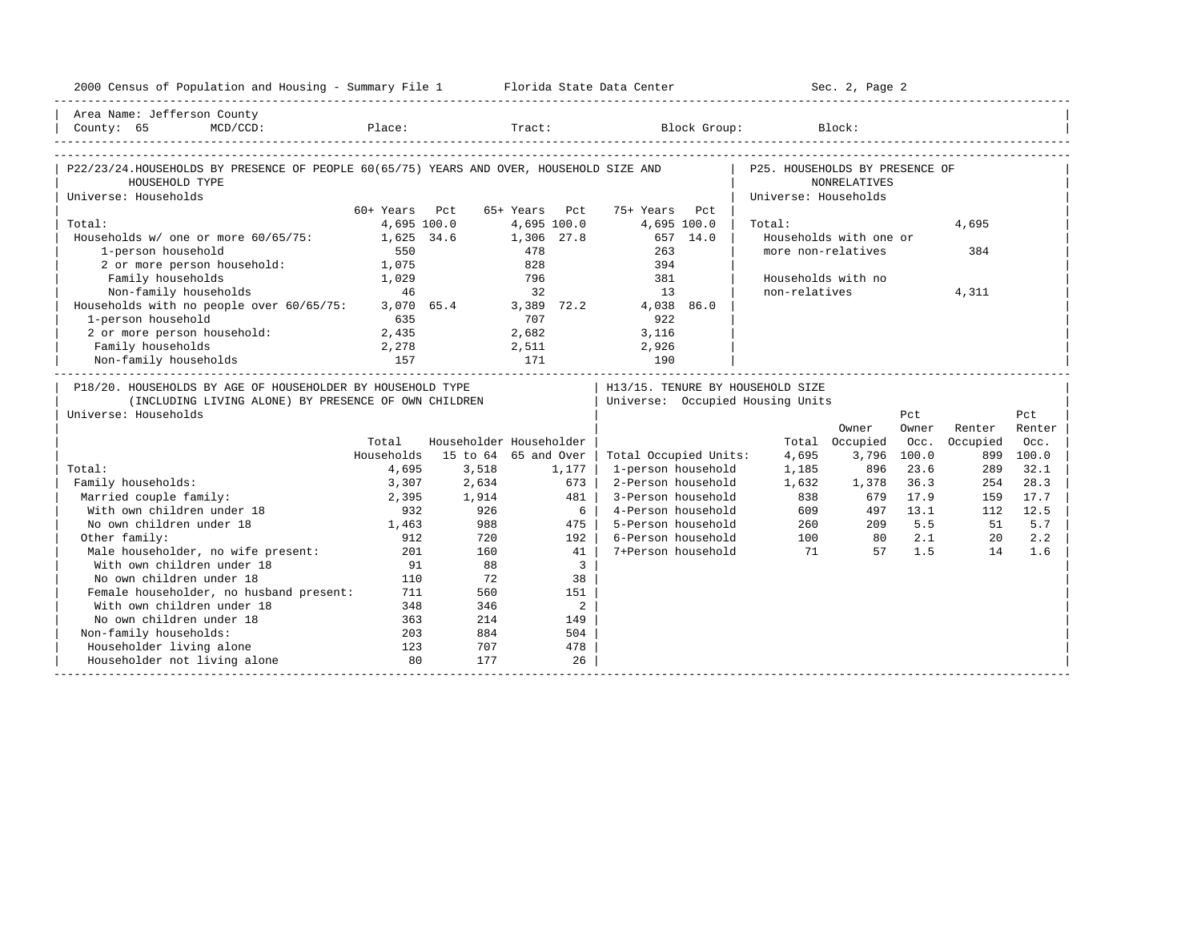| 2000 Census of Population and Housing - Summary File 1 Florida State Data Center                          |               |                         |                      |                                                 |                                | Sec. 2, Page 2                      |             |          |            |
|-----------------------------------------------------------------------------------------------------------|---------------|-------------------------|----------------------|-------------------------------------------------|--------------------------------|-------------------------------------|-------------|----------|------------|
| Area Name: Jefferson County<br>$MCD/CCD$ :<br>County: 65                                                  |               |                         |                      | Place: Tract: Block Group: Block:               |                                |                                     |             |          |            |
|                                                                                                           |               |                         |                      |                                                 |                                |                                     |             |          |            |
| P22/23/24.HOUSEHOLDS BY PRESENCE OF PEOPLE 60(65/75) YEARS AND OVER, HOUSEHOLD SIZE AND<br>HOUSEHOLD TYPE |               |                         |                      |                                                 | P25. HOUSEHOLDS BY PRESENCE OF | <b>NONRELATIVES</b>                 |             |          |            |
| Universe: Households                                                                                      | 60+ Years Pct |                         | 65+ Years Pct        | 75+ Years Pct                                   | Universe: Households           |                                     |             |          |            |
| Total:                                                                                                    |               | 4,695 100.0             | 4,695 100.0          | 4,695 100.0                                     | Total:                         |                                     |             | 4,695    |            |
| Households w/ one or more 60/65/75:                                                                       |               | 1,625 34.6              | 1,306 27.8           | 657 14.0                                        |                                | Households with one or              |             |          |            |
| 1-person household                                                                                        | 550           |                         | 478                  | 263                                             |                                | more non-relatives                  |             | 384      |            |
| 2 or more person household:                                                                               | 1,075         |                         | 828                  | 394                                             |                                |                                     |             |          |            |
| Family households                                                                                         | 1.029         |                         | 796                  | 381                                             |                                | Households with no                  |             |          |            |
| Non-family households                                                                                     | 46            |                         | 32                   | 13                                              | non-relatives                  |                                     |             | 4,311    |            |
| Households with no people over 60/65/75:                                                                  |               | 3,070 65.4              | 3,389 72.2           | 4,038 86.0                                      |                                |                                     |             |          |            |
| 1-person household                                                                                        | 635           |                         | 707                  | 922                                             |                                |                                     |             |          |            |
| 2 or more person household:                                                                               | 2,435         |                         | 2,682                | 3,116                                           |                                |                                     |             |          |            |
| Family households                                                                                         | 2,278         |                         | 2,511                | 2,926                                           |                                |                                     |             |          |            |
| Non-family households                                                                                     | 157           | 171                     |                      | 190                                             |                                | ___________________________________ |             |          |            |
| P18/20. HOUSEHOLDS BY AGE OF HOUSEHOLDER BY HOUSEHOLD TYPE                                                |               |                         |                      | H13/15. TENURE BY HOUSEHOLD SIZE                |                                |                                     |             |          |            |
| (INCLUDING LIVING ALONE) BY PRESENCE OF OWN CHILDREN                                                      |               |                         |                      | Universe: Occupied Housing Units                |                                |                                     |             |          |            |
| Universe: Households                                                                                      |               |                         |                      |                                                 |                                |                                     | Pct         |          | Pct        |
|                                                                                                           |               |                         |                      |                                                 |                                | Owner                               | Owner       | Renter   | Renter     |
|                                                                                                           | Total         | Householder Householder |                      |                                                 |                                | Total Occupied                      | Occ.        | Occupied | Occ.       |
|                                                                                                           | Households    |                         | 15 to 64 65 and Over | Total Occupied Units:                           | 4,695                          | 3,796                               | 100.0       |          | 899 100.0  |
| Total:                                                                                                    | 4,695         | 3,518                   | 1,177                | 1-person household                              | 1,185                          | 896                                 | 23.6        | 289      | 32.1       |
| Family households:                                                                                        | 3,307         | 2,634                   |                      | 673<br>2-Person household                       | 1,632                          | 1,378                               | 36.3        | 254      | 28.3       |
| Married couple family:                                                                                    | 2,395         | 1,914                   |                      | 481<br>3-Person household                       | 838                            | 679                                 | 17.9        | 159      | 17.7       |
| With own children under 18                                                                                | 932           | 926<br>988              |                      | 6<br>4-Person household                         | 609                            | 497<br>260                          | 13.1<br>5.5 | 112      | 12.5       |
| No own children under 18<br>Other family:                                                                 | 1,463         |                         |                      | 475<br>5-Person household<br>6-Person household |                                | 209                                 | 2.1         | 51       | 5.7        |
| Male householder, no wife present:                                                                        | 912           | 720<br>160              |                      | 192<br>7+Person household<br>41                 | 100<br>71                      | 80<br>57                            | 1.5         | 20<br>14 | 2.2<br>1.6 |
| With own children under 18                                                                                | 201<br>91     | 88                      |                      | $\overline{3}$                                  |                                |                                     |             |          |            |
| No own children under 18                                                                                  | 110           | 72                      |                      | 38                                              |                                |                                     |             |          |            |
| Female householder, no husband present:                                                                   | 711           | 560                     | 151                  |                                                 |                                |                                     |             |          |            |
| With own children under 18                                                                                | 348           | 346                     |                      | 2                                               |                                |                                     |             |          |            |
| No own children under 18                                                                                  | 363           | 214                     | 149                  |                                                 |                                |                                     |             |          |            |
| Non-family households:                                                                                    | 203           | 884                     | 504                  |                                                 |                                |                                     |             |          |            |
| Householder living alone                                                                                  | 123           | 707                     |                      | 478                                             |                                |                                     |             |          |            |
| Householder not living alone                                                                              | 80            | 177                     |                      | 26                                              |                                |                                     |             |          |            |
|                                                                                                           |               |                         |                      |                                                 |                                |                                     |             |          |            |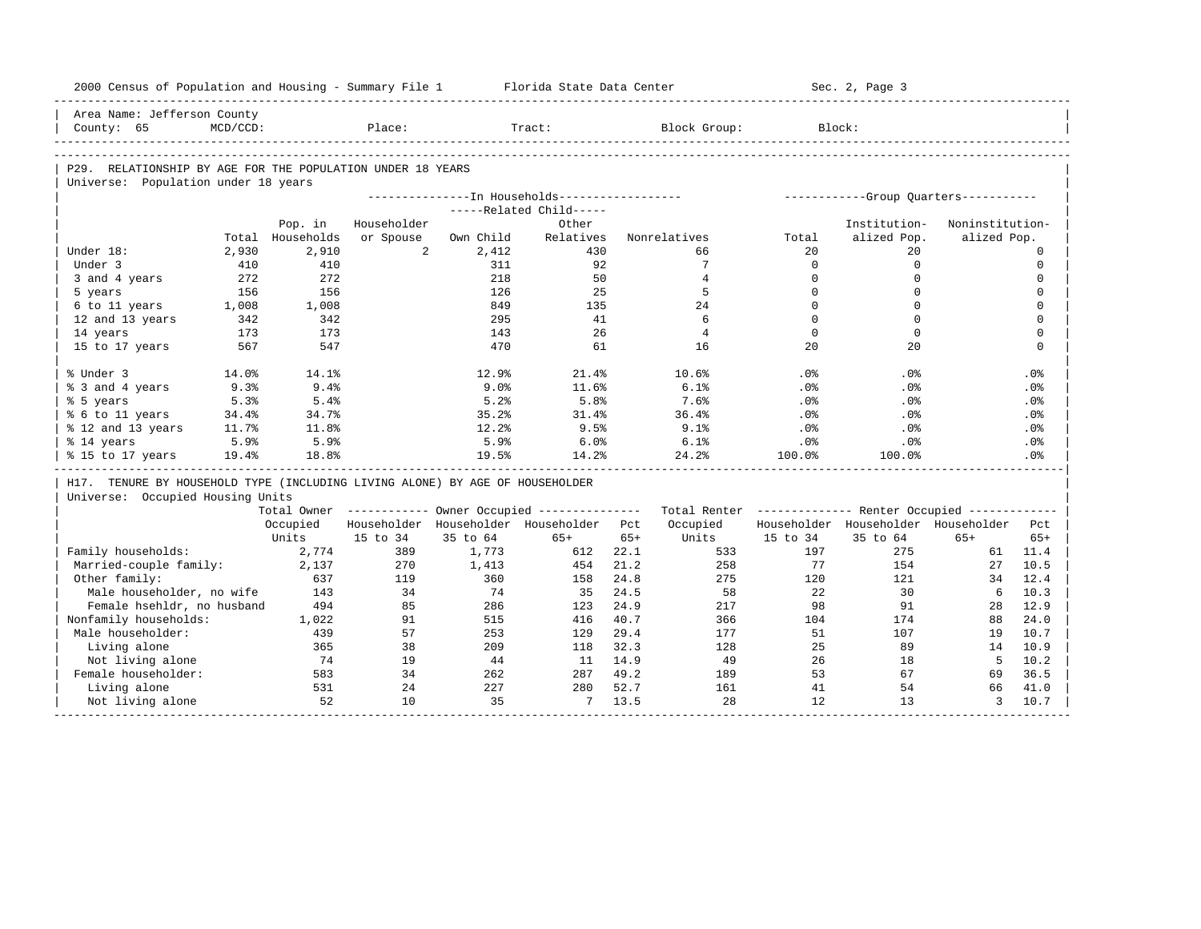| 2000 Census of Population and Housing - Summary File 1                       |             |              |                |            | Florida State Data Center                             |              |                                                         |                 | Sec. 2, Page 3                       |                 |              |
|------------------------------------------------------------------------------|-------------|--------------|----------------|------------|-------------------------------------------------------|--------------|---------------------------------------------------------|-----------------|--------------------------------------|-----------------|--------------|
| Area Name: Jefferson County                                                  |             |              |                |            |                                                       |              |                                                         |                 |                                      |                 |              |
| County: 65                                                                   | $MCD/CCD$ : |              | Place:         |            | Tract:                                                |              | Block Group:                                            |                 | Block:                               |                 |              |
|                                                                              |             |              |                |            |                                                       |              |                                                         |                 |                                      |                 |              |
| P29. RELATIONSHIP BY AGE FOR THE POPULATION UNDER 18 YEARS                   |             |              |                |            |                                                       |              |                                                         |                 |                                      |                 |              |
| Universe: Population under 18 years                                          |             |              |                |            | ---------------In Households-----------------         |              |                                                         |                 | -----------Group Quarters----------- |                 |              |
|                                                                              |             |              |                |            | -----Related Child-----                               |              |                                                         |                 |                                      |                 |              |
|                                                                              |             | Pop. in      | Householder    |            | Other                                                 |              |                                                         |                 | Institution-                         | Noninstitution- |              |
|                                                                              | Total       | Households   | or Spouse      | Own Child  | Relatives                                             |              | Nonrelatives                                            | Total           | alized Pop.                          | alized Pop.     |              |
| Under 18:                                                                    | 2,930       | 2,910        | $\overline{a}$ | 2,412      | 430                                                   |              | 66                                                      | 20              | 20                                   |                 | $\circ$      |
| Under 3                                                                      | 410         | 410          |                | 311        | 92                                                    |              | $7\phantom{.0}$                                         | $\mathbf 0$     | $\mathbb O$                          |                 | $\mathsf 0$  |
| 3 and 4 years                                                                | 272         | 272          |                | 218        | 50                                                    |              | $\overline{4}$                                          | $\Omega$        | $\mathbf 0$                          |                 | $\mathbf 0$  |
| 5 years                                                                      | 156         | 156          |                | 126        | 25                                                    |              | 5                                                       | $\Omega$        | $\Omega$                             |                 | $\mathbf 0$  |
| 6 to 11 years                                                                | 1,008       | 1,008        |                | 849        | 135                                                   |              | 24                                                      | $\mathbf 0$     | $\mathbf 0$                          |                 | $\mathbf 0$  |
| 12 and 13 years                                                              | 342         | 342          |                | 295        | 41                                                    |              | 6                                                       | $\Omega$        | $\Omega$                             |                 | $\Omega$     |
| 14 years                                                                     | 173         | 173          |                | 143        | 26                                                    |              | $\overline{4}$                                          | $\mathbf 0$     | $\mathbf 0$                          |                 | $\mathbf 0$  |
| 15 to 17 years                                                               | 567         | 547          |                | 470        | 61                                                    |              | 16                                                      | 20              | 20                                   |                 | $\Omega$     |
| % Under 3                                                                    | 14.0%       | 14.1%        |                | 12.9%      | 21.4%                                                 |              | 10.6%                                                   | .0 <sub>8</sub> | .0%                                  |                 | .0%          |
| % 3 and 4 years                                                              | 9.3%        | 9.4%         |                | 9.0%       | 11.6%                                                 |              | 6.1%                                                    | .0%             | .0%                                  |                 | .0%          |
| % 5 years                                                                    | 5.3%        | 5.4%         |                | 5.2%       | 5.8%                                                  |              | 7.6%                                                    | $.0\%$          | $.0\%$                               |                 | $.0\%$       |
| % 6 to 11 years                                                              | 34.4%       | 34.7%        |                | 35.2%      | 31.4%                                                 |              | 36.4%                                                   | .0%             | .0%                                  |                 | .0%          |
| % 12 and 13 years                                                            | 11.7%       | 11.8%        |                | 12.2%      | 9.5%                                                  |              | 9.1%                                                    | .0%             | .0%                                  |                 | $.0\%$       |
| % 14 years                                                                   | 5.9%        | 5.9%         |                | 5.9%       | 6.0%                                                  |              | 6.1%                                                    | .0%             | $.0\%$                               |                 | $.0\%$       |
| % 15 to 17 years                                                             | 19.4%       | 18.8%        |                | 19.5%      | 14.2%                                                 |              | 24.2%                                                   | 100.0%          | 100.0%                               |                 | .0%          |
| H17. TENURE BY HOUSEHOLD TYPE (INCLUDING LIVING ALONE) BY AGE OF HOUSEHOLDER |             |              |                |            |                                                       |              |                                                         |                 |                                      |                 |              |
| Universe: Occupied Housing Units                                             |             |              |                |            |                                                       |              |                                                         |                 |                                      |                 |              |
|                                                                              |             |              |                |            | Total Owner ----------- Owner Occupied -------------- |              | Total Renter ------------- Renter Occupied ------------ |                 |                                      |                 |              |
|                                                                              |             | Occupied     |                |            | Householder Householder Householder                   | Pct          | Occupied                                                |                 | Householder Householder Householder  |                 | Pct          |
|                                                                              |             | Units        | 15 to 34       | 35 to 64   | $65+$                                                 | $65+$        | Units                                                   | 15 to 34        | 35 to 64                             | $65+$           | $65+$        |
| Family households:                                                           |             | 2,774        | 389            | 1,773      | 612                                                   | 22.1         | 533                                                     | 197             | 275                                  | 61              | 11.4         |
| Married-couple family:                                                       |             | 2,137        | 270            | 1,413      | 454                                                   | 21.2         | 258                                                     | 77              | 154                                  | 2.7             | 10.5         |
| Other family:                                                                |             | 637          | 119            | 360        | 158                                                   | 24.8         | 275                                                     | 120             | 121                                  | 34              | 12.4         |
| Male householder, no wife                                                    |             | 143          | 34             | 74         | 35                                                    | 24.5         | 58                                                      | 22              | 30                                   | 6               | 10.3         |
| Female hsehldr, no husband                                                   |             | 494          | 85             | 286        | 123                                                   | 24.9         | 217                                                     | 98              | 91                                   | 28              | 12.9         |
| Nonfamily households:<br>Male householder:                                   |             | 1,022<br>439 | 91<br>57       | 515<br>253 | 416<br>129                                            | 40.7<br>29.4 | 366<br>177                                              | 104<br>51       | 174<br>107                           | 88<br>19        | 24.0<br>10.7 |
|                                                                              |             | 365          | 38             | 209        | 118                                                   | 32.3         | 128                                                     | 25              | 89                                   | 14              | 10.9         |
| Living alone                                                                 |             | 74           | 19             | 44         | 11                                                    | 14.9         | 49                                                      | 26              | 18                                   | -5              | 10.2         |
| Not living alone<br>Female householder:                                      |             | 583          | 34             | 262        | 287                                                   | 49.2         | 189                                                     | 53              | 67                                   | 69              | 36.5         |
| Living alone                                                                 |             | 531          | 24             | 227        | 280                                                   | 52.7         | 161                                                     | 41              | 54                                   | 66              | 41.0         |
| Not living alone                                                             |             | 52           | 10             | 35         | $7\overline{ }$                                       | 13.5         | 28                                                      | 12              | 13                                   | $\overline{3}$  | 10.7         |
|                                                                              |             |              |                |            |                                                       |              |                                                         |                 |                                      |                 |              |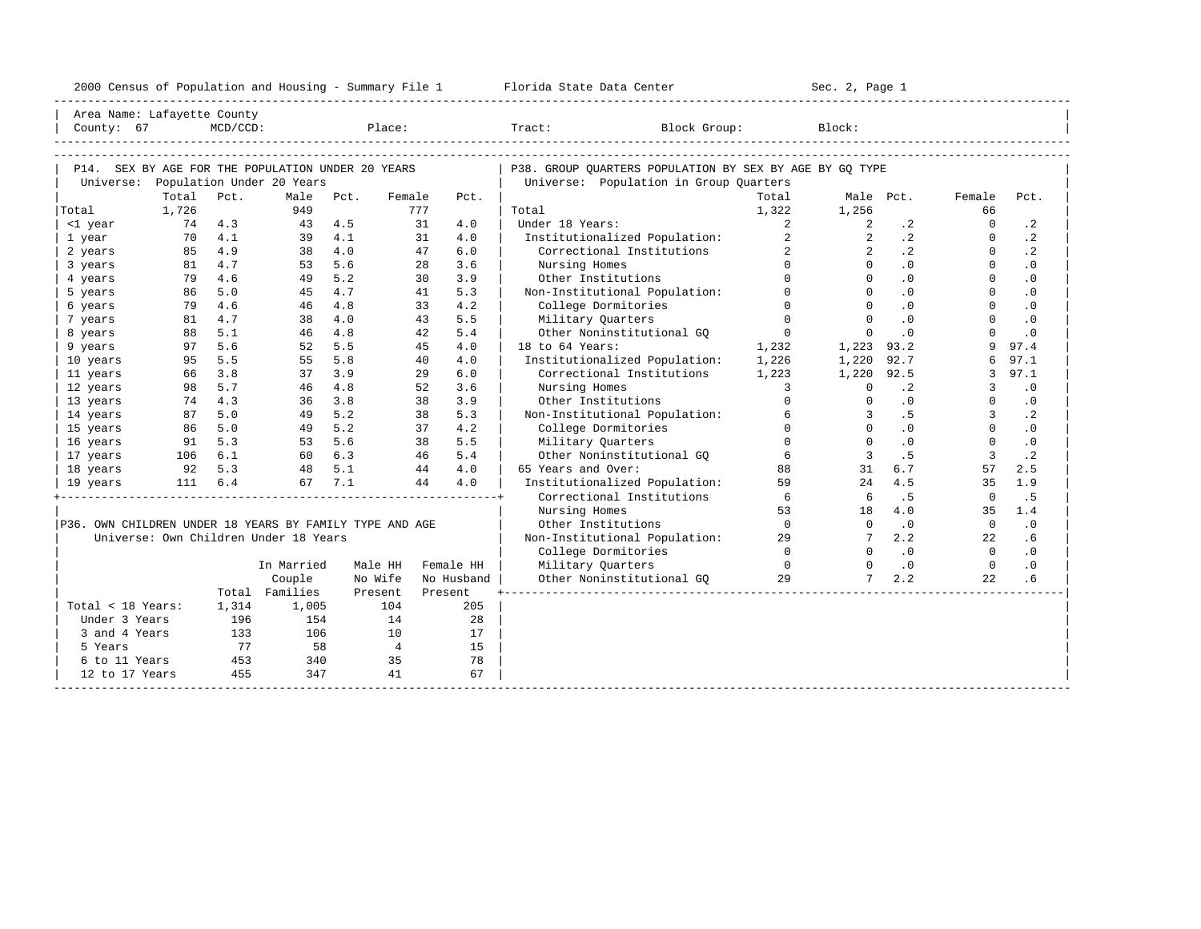|  |  |  |  |  | 2000 Census of Population and Housing - Summary File 1 |  |  |  |  |  |  |  |
|--|--|--|--|--|--------------------------------------------------------|--|--|--|--|--|--|--|
|--|--|--|--|--|--------------------------------------------------------|--|--|--|--|--|--|--|

| Area Name: Lafayette County                             |                |             |                                                      |                |                |                   | ----------------------------                            |                         |                         |           |                |           |  |
|---------------------------------------------------------|----------------|-------------|------------------------------------------------------|----------------|----------------|-------------------|---------------------------------------------------------|-------------------------|-------------------------|-----------|----------------|-----------|--|
| County: 67                                              |                | $MCD/CCD$ : |                                                      |                |                | Place:            | Tract:<br>Block Group:                                  |                         | Block:                  |           |                |           |  |
|                                                         |                |             |                                                      |                |                |                   |                                                         |                         |                         |           |                |           |  |
|                                                         |                |             |                                                      |                |                |                   |                                                         |                         |                         |           |                |           |  |
| P14. SEX BY AGE FOR THE POPULATION UNDER 20 YEARS       |                |             |                                                      |                |                |                   | P38. GROUP OUARTERS POPULATION BY SEX BY AGE BY GO TYPE |                         |                         |           |                |           |  |
|                                                         |                |             | Universe: Population Under 20 Years                  |                |                |                   | Universe: Population in Group Quarters                  |                         |                         |           |                |           |  |
|                                                         | Total<br>1,726 | Pct.        | Male<br>949                                          | Pct.           | Female<br>777  | Pct.              | Total                                                   | Total                   |                         | Male Pct. | Female<br>66   | Pct.      |  |
| Total<br><1 year                                        | 74 4.3         |             | 43                                                   | 4.5            | 31             | 4.0               | Under 18 Years:                                         | 1,322<br>$\overline{a}$ | 1,256<br>2              | $\cdot$ 2 | $\Omega$       | $\cdot$ 2 |  |
| 1 year                                                  | 70             | 4.1         |                                                      | 39 4.1         | 31             | 4.0               | Institutionalized Population:                           | $\overline{a}$          | $\overline{2}$          | $\cdot$ 2 | $\circ$        | $\cdot$ 2 |  |
| 2 years                                                 | 85 4.9         |             |                                                      | 38 4.0         | 47             | 6.0               | Correctional Institutions                               | $\overline{2}$          | $\overline{2}$          | $\cdot$ 2 | $\Omega$       | $\cdot$ 2 |  |
| 3 years                                                 | 81             | 4.7         | 53                                                   | 5.6            | 28             | 3.6               | Nursing Homes                                           | $\cap$                  | $\cap$                  | .0        | $\Omega$       | $\cdot$ 0 |  |
| 4 years                                                 | 79             | 4.6         |                                                      | 49 5.2         | 30             | 3.9               | Other Institutions                                      | $\Omega$                | $\Omega$                | .0        | $\Omega$       | $\cdot$ 0 |  |
| 5 years                                                 | 86 5.0         |             |                                                      | 45 4.7         | 41             | 5.3               | Non-Institutional Population:                           | $\Omega$                | $\Omega$                | .0        | $\Omega$       | $\cdot$ 0 |  |
| 6 years                                                 | 79             | 4.6         |                                                      | 46 4.8         | 33             | 4.2               | College Dormitories                                     | $\Omega$                | $\Omega$                | $\cdot$ 0 | $\Omega$       | $\cdot$ 0 |  |
| 7 years                                                 | 81             | 4.7         |                                                      | 38 4.0         | 43             | 5.5               | Military Quarters                                       | $\Omega$                | $\Omega$                | .0        | $\Omega$       | $\cdot$ 0 |  |
| 8 years                                                 | 88             | 5.1         |                                                      | 46 4.8         | 42             | 5.4               | Other Noninstitutional GO                               | $\overline{0}$          | $\Omega$                | $\cdot$ 0 | $\Omega$       | $\cdot$ 0 |  |
| 9 years                                                 | 97             | 5.6         |                                                      | 52 5.5         | 45             | 4.0               | 18 to 64 Years:                                         | 1,232                   | 1,223 93.2              |           | 9              | 97.4      |  |
| 10 years                                                | 95             | 5.5         | 55                                                   | 5.8            | 40             | 4.0               | Institutionalized Population:                           | 1,226                   | 1,220                   | 92.7      | 6              | 97.1      |  |
| 11 years                                                | 66             | 3.8         | 37                                                   | 3.9            | 29             | $6.0$             | Correctional Institutions                               | 1,223                   | 1,220                   | 92.5      | 3              | 97.1      |  |
| 12 years                                                | 98             | 5.7         |                                                      | 46 4.8         | 52             | 3.6               | Nursing Homes                                           | $\mathbf{3}$            | $\Omega$                | $\cdot$ 2 | 3              | .0        |  |
| 13 years                                                | 74             | 4.3         |                                                      | $36 \quad 3.8$ | 38             | 3.9               | Other Institutions                                      | $\Omega$                | $\Omega$                | $\cdot$ 0 | $\Omega$       | $\cdot$ 0 |  |
| 14 years                                                | 87             | 5.0         |                                                      | 49 5.2         | 38             | 5.3               | Non-Institutional Population:                           | 6                       | $\overline{3}$          | .5        | $\mathbf{3}$   | $\cdot$ 2 |  |
| 15 years                                                | 86 5.0         |             |                                                      | 49 5.2         | 37             | 4.2               | College Dormitories                                     | $\Omega$                | $\Omega$                | $\cdot$ 0 | $\Omega$       | $\cdot$ 0 |  |
| 16 years                                                | 91 5.3         |             | 53 5.6                                               |                | 38             | 5.5               | Military Quarters                                       | $\Omega$                | $\Omega$                | $\cdot$ 0 | $\Omega$       | $\cdot$ 0 |  |
| 17 years                                                | 106 6.1        |             | 60 6.3                                               |                |                | 5.4<br>46         | Other Noninstitutional GQ                               | 6                       | $\overline{\mathbf{3}}$ | .5        | $\overline{3}$ | $\cdot$ 2 |  |
| 18 years                                                | 92 5.3         |             |                                                      |                |                | 4.0<br>44         | 65 Years and Over:                                      | 88                      | 31                      | 6.7       | 57             | 2.5       |  |
| 19 years                                                |                | 111 6.4     | $\begin{array}{cc} 48 & 5.1 \\ 67 & 7.1 \end{array}$ | 67 7.1         |                | 4.0<br>44         | Institutionalized Population:                           | 59                      | 24                      | 4.5       | 35             | 1.9       |  |
|                                                         |                |             |                                                      |                |                |                   | Correctional Institutions                               | 6                       | 6                       | .5        | $\Omega$       | . 5       |  |
|                                                         |                |             |                                                      |                |                |                   | Nursing Homes                                           | 53                      | 18                      | 4.0       | 35             | 1.4       |  |
| P36. OWN CHILDREN UNDER 18 YEARS BY FAMILY TYPE AND AGE |                |             |                                                      |                |                |                   | Other Institutions                                      | $\overline{0}$          | $\overline{0}$          | .0        | $\overline{0}$ | .0        |  |
|                                                         |                |             | Universe: Own Children Under 18 Years                |                |                |                   | Non-Institutional Population:                           | 29                      |                         | 2.2       | 22             | . 6       |  |
|                                                         |                |             |                                                      |                |                |                   | College Dormitories                                     | $\overline{0}$          | $\Omega$                | $\cdot$ 0 | $\bigcirc$     | $\cdot$ 0 |  |
|                                                         |                |             | In Married                                           |                |                | Male HH Female HH | Military Quarters                                       | $\overline{0}$          | $\Omega$                | $\cdot$ 0 | $\Omega$       | $\cdot$ 0 |  |
|                                                         |                |             | Couple                                               |                | No Wife        | No Husband        | Other Noninstitutional GQ                               | 29                      | $7^{\circ}$             | 2.2       | 22             | .6        |  |
|                                                         |                |             | Total Families                                       |                | Present        | Present           |                                                         |                         |                         |           |                |           |  |
| Total < 18 Years:                                       |                | 1,314       | 1,005                                                |                | 104            | 205               |                                                         |                         |                         |           |                |           |  |
| Under 3 Years                                           |                | 196         | 154                                                  |                | 14             | 28                |                                                         |                         |                         |           |                |           |  |
| 3 and 4 Years                                           |                | 133         | 106                                                  |                | 10             | 17                |                                                         |                         |                         |           |                |           |  |
| 5 Years                                                 |                | 77          | 58                                                   |                | $\overline{4}$ | 15                |                                                         |                         |                         |           |                |           |  |
| 6 to 11 Years                                           |                | 453         | 340                                                  |                | 35             | 78                |                                                         |                         |                         |           |                |           |  |
| 12 to 17 Years                                          |                | 455         | 347                                                  |                | 41             | 67                |                                                         |                         |                         |           |                |           |  |
|                                                         |                |             |                                                      |                |                |                   |                                                         |                         |                         |           |                |           |  |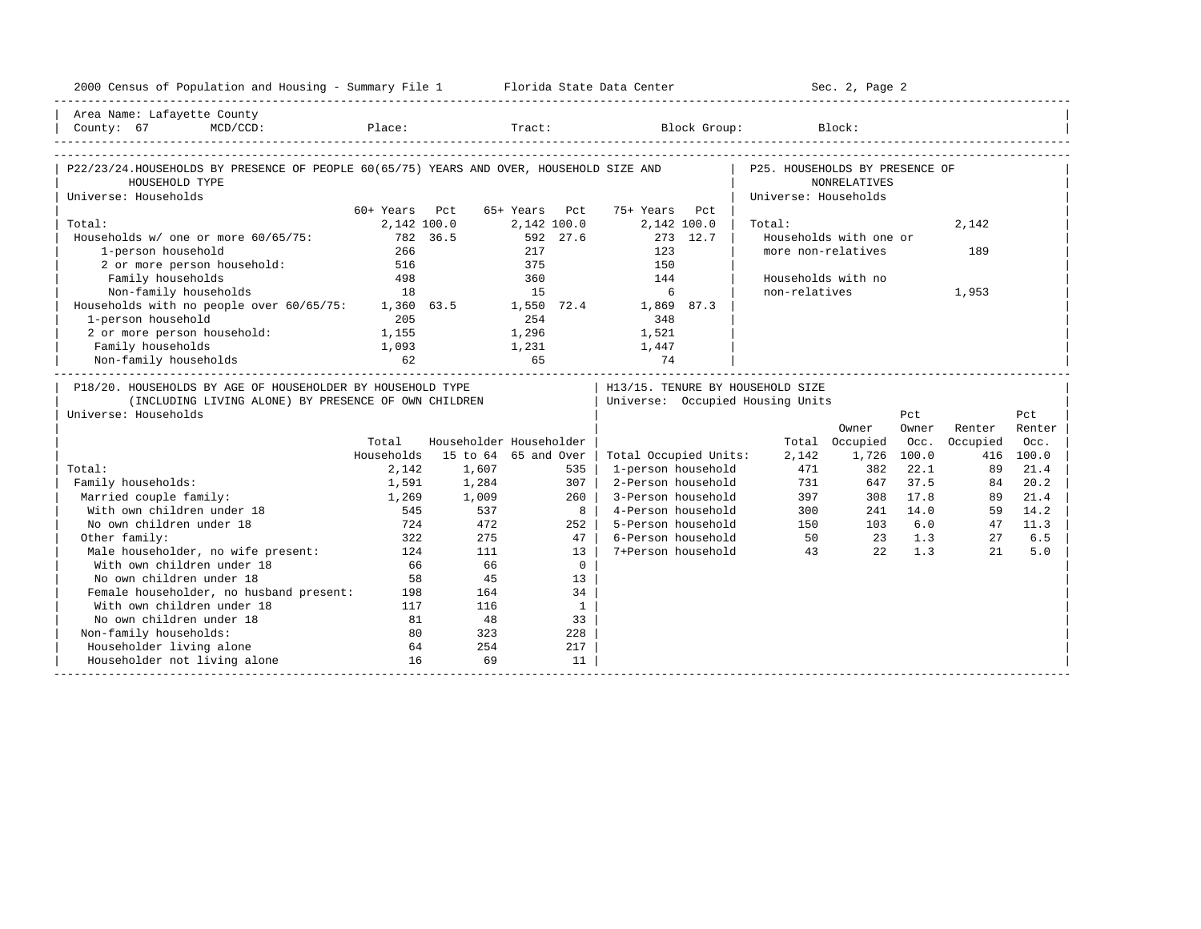| 2000 Census of Population and Housing - Summary File 1 Florida State Data Center        |             |                         |           |                 |                       |                    |                                  | Sec. 2, Page 2         |          |          |           |
|-----------------------------------------------------------------------------------------|-------------|-------------------------|-----------|-----------------|-----------------------|--------------------|----------------------------------|------------------------|----------|----------|-----------|
| Area Name: Lafayette County                                                             |             |                         |           |                 |                       |                    |                                  |                        |          |          |           |
|                                                                                         |             |                         |           |                 |                       |                    |                                  |                        |          |          |           |
|                                                                                         |             |                         |           |                 |                       |                    |                                  |                        |          |          |           |
| P22/23/24.HOUSEHOLDS BY PRESENCE OF PEOPLE 60(65/75) YEARS AND OVER, HOUSEHOLD SIZE AND |             |                         |           |                 |                       |                    | P25. HOUSEHOLDS BY PRESENCE OF   |                        |          |          |           |
| HOUSEHOLD TYPE                                                                          |             |                         |           |                 |                       |                    |                                  | <b>NONRELATIVES</b>    |          |          |           |
| Universe: Households                                                                    |             |                         |           |                 |                       |                    | Universe: Households             |                        |          |          |           |
|                                                                                         | 60+ Years   | Pct                     | 65+ Years | Pct             | 75+ Years Pct         |                    |                                  |                        |          |          |           |
| Total:                                                                                  | 2,142 100.0 |                         |           | 2,142 100.0     | 2,142 100.0           |                    | Total:                           |                        |          | 2,142    |           |
| Households w/ one or more 60/65/75:                                                     | 782 36.5    |                         |           | 592 27.6        |                       | 273 12.7           |                                  | Households with one or |          |          |           |
| 1-person household                                                                      | 266         |                         | 217       |                 | 123                   |                    | more non-relatives               |                        |          | 189      |           |
| 2 or more person household: 516                                                         |             |                         | 375       |                 | 150                   |                    |                                  |                        |          |          |           |
| Family households                                                                       | 498         |                         | 360       |                 | 144                   |                    | Households with no               |                        |          |          |           |
| Non-family households                                                                   | 18          |                         | 15        |                 | 6                     |                    | non-relatives                    |                        |          | 1,953    |           |
| Households with no people over 60/65/75: 1,360 63.5 1,550 72.4 1,869 87.3               |             |                         |           |                 |                       |                    |                                  |                        |          |          |           |
| 1-person household                                                                      | 205         |                         | 254       |                 | 348                   |                    |                                  |                        |          |          |           |
| 2 or more person household: 1,155                                                       |             |                         | 1,296     |                 | 1,521                 |                    |                                  |                        |          |          |           |
| Family households                                                                       | 1,093       |                         |           |                 | $1,231$ $1,447$       |                    |                                  |                        |          |          |           |
| Non-family households                                                                   |             | 65                      |           |                 | 74                    |                    |                                  |                        |          |          |           |
| P18/20. HOUSEHOLDS BY AGE OF HOUSEHOLDER BY HOUSEHOLD TYPE                              |             |                         |           |                 |                       |                    | H13/15. TENURE BY HOUSEHOLD SIZE |                        |          |          |           |
| (INCLUDING LIVING ALONE) BY PRESENCE OF OWN CHILDREN                                    |             |                         |           |                 |                       |                    | Universe: Occupied Housing Units |                        |          |          |           |
| Universe: Households                                                                    |             |                         |           |                 |                       |                    |                                  |                        | Pct      |          | Pct       |
|                                                                                         |             |                         |           |                 |                       |                    |                                  | Owner                  | Owner    | Renter   | Renter    |
|                                                                                         | Total       | Householder Householder |           |                 |                       |                    |                                  | Total Occupied         | Occ.     | Occupied | Occ.      |
|                                                                                         | Households  | 15 to 64 65 and Over    |           |                 | Total Occupied Units: |                    | 2,142                            | 1,726 100.0            |          |          | 416 100.0 |
| Total:                                                                                  | 2,142       | 1,607                   |           | 535             | 1-person household    |                    | 471                              | 382                    | 22.1     | 89       | 21.4      |
| Family households:                                                                      | 1,591       | 1,284                   |           | 307             | 2-Person household    |                    |                                  | 731<br>647             | 37.5     | 84       | 20.2      |
| Married couple family:                                                                  | 1,269       | 1,009                   |           | 260             | 3-Person household    |                    |                                  | 308                    | 17.8     | 89       | 21.4      |
| With own children under 18                                                              | 545         | 537                     |           | 8               |                       | 4-Person household |                                  | 397<br>300             | 241 14.0 | 59       | 14.2      |
| No own children under 18                                                                | 724         | 472                     |           | 252             | 5-Person household    |                    |                                  | 150                    | 103 6.0  | 47       | 11.3      |
| Other family:                                                                           | 322         | 275                     |           | 47 <sup>1</sup> | 6-Person household    |                    |                                  | 50 23 1.3              |          | 27       | 6.5       |
| Male householder, no wife present:                                                      | 124         | 111                     |           | 13 <sup>1</sup> | 7+Person household    |                    | 43                               | 2.2                    | 1.3      | 21       | 5.0       |
| With own children under 18                                                              | 66          | 66                      |           | $\mathbf{0}$    |                       |                    |                                  |                        |          |          |           |
| No own children under 18                                                                | 58          | 45                      |           | 13              |                       |                    |                                  |                        |          |          |           |
| Female householder, no husband present: 198                                             |             | 164                     |           | 34              |                       |                    |                                  |                        |          |          |           |
| With own children under 18                                                              | 117         | 116                     |           | $\mathbf{1}$    |                       |                    |                                  |                        |          |          |           |
| No own children under 18                                                                | 81          | 48                      |           | 33              |                       |                    |                                  |                        |          |          |           |
| Non-family households:                                                                  | 80          | 323                     |           | 228             |                       |                    |                                  |                        |          |          |           |
| Householder living alone                                                                | 64          | 254                     |           | 217             |                       |                    |                                  |                        |          |          |           |
|                                                                                         |             |                         |           |                 |                       |                    |                                  |                        |          |          |           |
| Householder not living alone                                                            | 16          | 69                      |           | 11              |                       |                    |                                  |                        |          |          |           |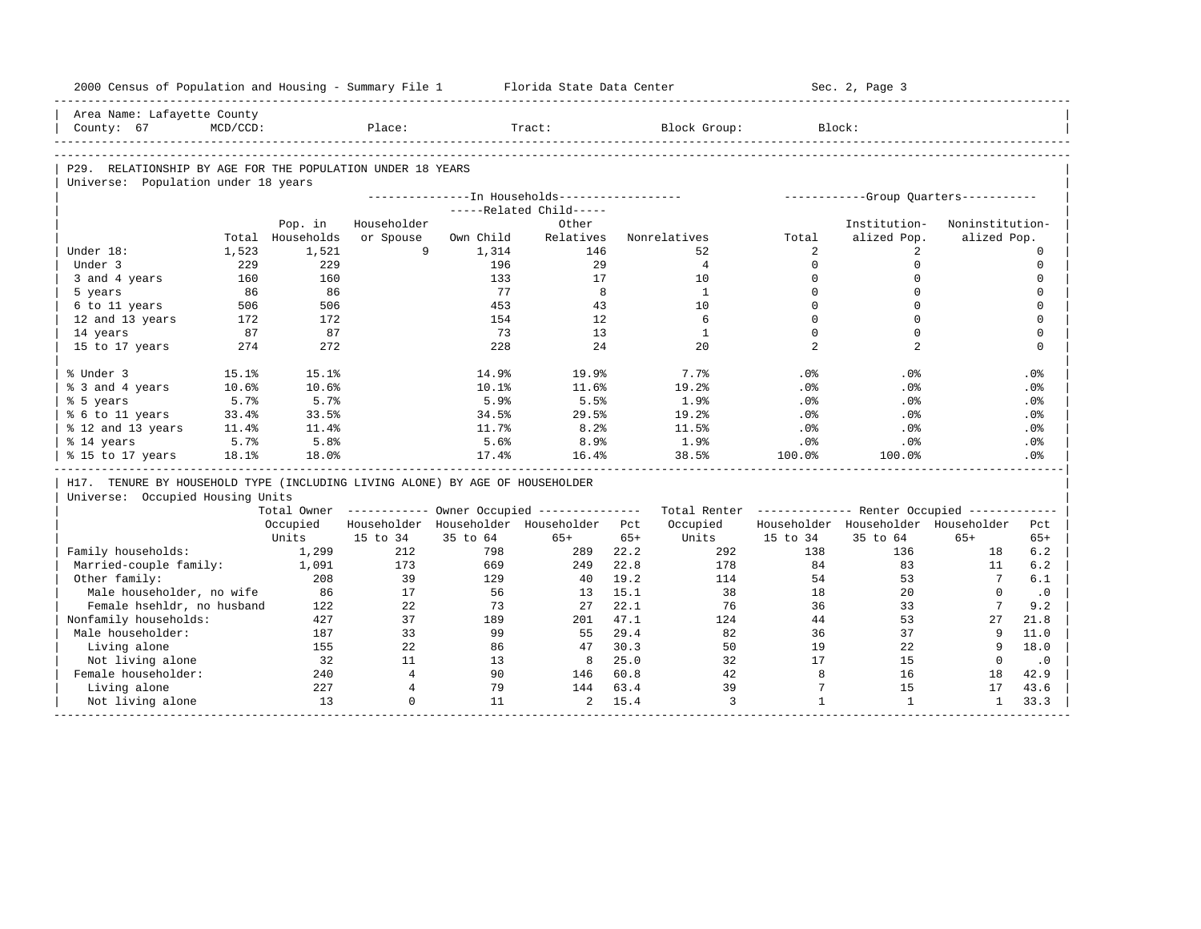| 2000 Census of Population and Housing - Summary File 1                       |             |            |                |           | Florida State Data Center                              |       |                    |                          | Sec. 2, Page 3                                          |                 |                                   |
|------------------------------------------------------------------------------|-------------|------------|----------------|-----------|--------------------------------------------------------|-------|--------------------|--------------------------|---------------------------------------------------------|-----------------|-----------------------------------|
| Area Name: Lafayette County<br>County: 67                                    | $MCD/CCD$ : |            | Place:         |           | Tract:                                                 |       | Block Group:       |                          | Block:                                                  |                 |                                   |
|                                                                              |             |            |                |           |                                                        |       |                    |                          |                                                         |                 |                                   |
|                                                                              |             |            |                |           |                                                        |       |                    |                          |                                                         |                 |                                   |
| P29. RELATIONSHIP BY AGE FOR THE POPULATION UNDER 18 YEARS                   |             |            |                |           |                                                        |       |                    |                          |                                                         |                 |                                   |
| Universe: Population under 18 years                                          |             |            |                |           |                                                        |       |                    |                          |                                                         |                 |                                   |
|                                                                              |             |            |                |           | ---------------- In Households-----------------        |       |                    |                          | -----------Group Ouarters-----------                    |                 |                                   |
|                                                                              |             |            |                |           | -----Related Child-----                                |       |                    |                          |                                                         |                 |                                   |
|                                                                              |             | Pop. in    | Householder    |           | Other                                                  |       |                    |                          | Institution-                                            | Noninstitution- |                                   |
|                                                                              | Total       | Households | or Spouse<br>9 | Own Child | Relatives                                              |       | Nonrelatives<br>52 | Total<br>2               | alized Pop.                                             | alized Pop.     |                                   |
| Under 18:                                                                    | 1,523       | 1,521      |                | 1,314     | 146                                                    |       | $\overline{4}$     | $\Omega$                 | $\overline{2}$<br>$\mathbf 0$                           |                 | $\circ$<br>$\mathbf 0$            |
| Under 3                                                                      | 229         | 229        |                | 196       | 29                                                     |       |                    |                          |                                                         |                 |                                   |
| 3 and 4 years                                                                | 160<br>86   | 160<br>86  |                | 133<br>77 | 17<br>8                                                |       | 10<br>$\mathbf{1}$ | $\mathbf{0}$<br>$\Omega$ | $\mathbf 0$<br>$\mathbf 0$                              |                 | $\mathbf 0$<br>$\mathbf{0}$       |
| 5 years                                                                      |             | 506        |                | 453       | 43                                                     |       | 10                 | $\Omega$                 | $\Omega$                                                |                 | $\mathbf 0$                       |
| 6 to 11 years                                                                | 506         |            |                |           |                                                        |       | 6                  | $\Omega$                 | $\Omega$                                                |                 |                                   |
| 12 and 13 years                                                              | 172         | 172        |                | 154<br>73 | 12<br>13                                               |       | $\mathbf{1}$       | $\mathbf 0$              | $\mathbf 0$                                             |                 | $\mathbf 0$<br>$\mathbf 0$        |
| 14 years                                                                     | 87          | 87         |                |           |                                                        |       |                    | $\overline{2}$           | 2                                                       |                 | $\Omega$                          |
| 15 to 17 years                                                               | 274         | 272        |                | 228       | 24                                                     |       | 20                 |                          |                                                         |                 |                                   |
| % Under 3                                                                    | 15.1%       | 15.1%      |                | 14.9%     | 19.9%                                                  |       | 7.7%               | .0%                      | .0%                                                     |                 | .0%                               |
| % 3 and 4 years                                                              | 10.6%       | 10.6%      |                | 10.1%     | 11.6%                                                  |       | 19.2%              | .0%                      | $.0\%$                                                  |                 | $.0\%$                            |
| % 5 years                                                                    | 5.7%        | 5.7%       |                | 5.9%      | 5.5%                                                   |       | 1.9%               | .0%                      | $.0\%$                                                  |                 | $.0\%$                            |
| % 6 to 11 years                                                              | 33.4%       | 33.5%      |                | 34.5%     | 29.5%                                                  |       | 19.2%              | .0%                      | .0%                                                     |                 | .0%                               |
| % 12 and 13 years                                                            | 11.4%       | 11.4%      |                | 11.7%     | 8.2%                                                   |       | 11.5%              | .0%                      | $.0\%$                                                  |                 | $.0\%$                            |
| % 14 years                                                                   | 5.7%        | 5.8%       |                | 5.6%      | 8.9%                                                   |       | 1.9%               | .0%                      | $.0\%$                                                  |                 | $.0\%$                            |
| % 15 to 17 years                                                             | 18.1%       | 18.0%      |                | 17.4%     | 16.4%                                                  |       | 38.5%              | 100.0%                   | 100.0%                                                  |                 | .0%                               |
| H17. TENURE BY HOUSEHOLD TYPE (INCLUDING LIVING ALONE) BY AGE OF HOUSEHOLDER |             |            |                |           |                                                        |       |                    |                          |                                                         |                 |                                   |
| Universe: Occupied Housing Units                                             |             |            |                |           |                                                        |       |                    |                          |                                                         |                 |                                   |
|                                                                              |             |            |                |           | Total Owner ------------ Owner Occupied -------------- |       |                    |                          | Total Renter ------------- Renter Occupied ------------ |                 |                                   |
|                                                                              |             | Occupied   |                |           | Householder Householder Householder Pct                |       | Occupied           |                          | Householder Householder Householder                     |                 | Pct                               |
|                                                                              |             | Units      | 15 to 34       | 35 to 64  | $65+$                                                  | $65+$ | Units              | 15 to 34                 | 35 to 64                                                | $65+$           | $65+$                             |
| Family households:                                                           |             | 1,299      | 212            | 798       | 289                                                    | 22.2  | 292                | 138                      | 136                                                     | 18              | 6.2                               |
| Married-couple family:                                                       |             | 1,091      | 173            | 669       | 249                                                    | 22.8  | 178                | 84                       | 83                                                      | 11              | 6.2                               |
| Other family:                                                                |             | 208        | 39             | 129       | 40                                                     | 19.2  | 114                | 54                       | 53                                                      | $7\overline{ }$ | 6.1                               |
| Male householder, no wife                                                    |             | 86         | 17             | 56        | 13                                                     | 15.1  | 38                 | 18                       | 20                                                      | $\circ$         | $\cdot$ 0                         |
|                                                                              |             | 122        | 22             | 73        | 27                                                     | 22.1  | 76                 | 36                       | 33                                                      | $7\phantom{.0}$ | 9.2                               |
| Female hsehldr, no husband                                                   |             |            |                |           | 201                                                    | 47.1  | 124                | 44                       | 53                                                      | 27              | 21.8                              |
| Nonfamily households:                                                        |             | 427        | 37             | 189       |                                                        |       |                    |                          |                                                         |                 | 11.0                              |
| Male householder:                                                            |             | 187        | 33             | 99        | 55                                                     | 29.4  | 82                 | 36                       | 37                                                      | 9               |                                   |
| Living alone                                                                 |             | 155        | 22             | 86        | 47                                                     | 30.3  | 50                 | 19                       | 22                                                      | 9               |                                   |
| Not living alone                                                             |             | 32         | 11             | 13        | 8                                                      | 25.0  | 32                 | 17                       | 15                                                      | $\mathbf 0$     |                                   |
| Female householder:                                                          |             | 240        | $\overline{4}$ | 90        | 146                                                    | 60.8  | 42                 | 8                        | 16                                                      | 18              |                                   |
| Living alone                                                                 |             | 227        | $\overline{4}$ | 79        | 144                                                    | 63.4  | 39                 | $7\phantom{.0}$          | 15                                                      | 17              | 18.0<br>$\cdot$ 0<br>42.9<br>43.6 |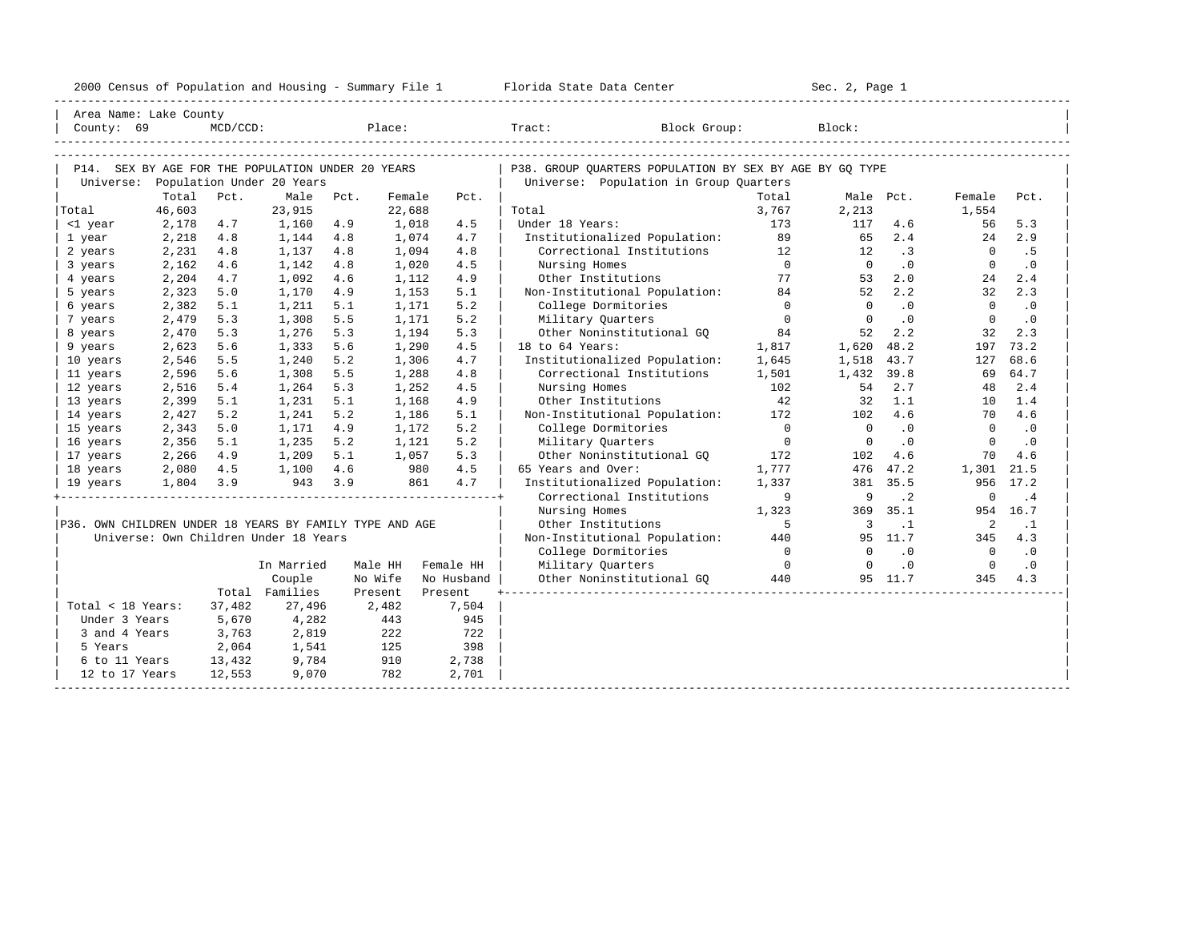| 2000<br>ensus! | and<br>Population | ---<br>Summa:<br>$-$<br>Housing | lorida<br>Data<br>otatt<br>cence. | ، م ج<br>Page<br>$3-1$ |  |
|----------------|-------------------|---------------------------------|-----------------------------------|------------------------|--|
|                |                   |                                 |                                   |                        |  |

| Area Name: Lake County                                  |                |             |                                       |            |                |            |                                                         |                |                |                 |                |                  |
|---------------------------------------------------------|----------------|-------------|---------------------------------------|------------|----------------|------------|---------------------------------------------------------|----------------|----------------|-----------------|----------------|------------------|
| County: 69                                              |                | $MCD/CCD$ : |                                       |            | Place:         |            | Block Group:<br>Tract:                                  |                | Block:         |                 |                |                  |
|                                                         |                |             |                                       |            |                |            |                                                         |                |                |                 |                |                  |
|                                                         |                |             |                                       |            |                |            |                                                         |                |                |                 |                |                  |
| P14. SEX BY AGE FOR THE POPULATION UNDER 20 YEARS       |                |             |                                       |            |                |            | P38. GROUP OUARTERS POPULATION BY SEX BY AGE BY GO TYPE |                |                |                 |                |                  |
| Universe:                                               |                |             | Population Under 20 Years             |            |                |            | Universe: Population in Group Quarters                  |                |                |                 |                |                  |
|                                                         | Total          | Pct.        | Male                                  | Pct.       | Female         | Pct.       |                                                         | Total          |                | Male Pct.       | Female         | Pct.             |
| Total                                                   | 46,603         |             | 23,915                                |            | 22,688         |            | Total                                                   | 3,767          | 2,213          |                 | 1,554          |                  |
| <1 year                                                 | 2,178          | 4.7         | 1,160                                 | 4.9        | 1,018          | 4.5        | Under 18 Years:                                         | 173            | 117            | 4.6             | 56             | 5.3              |
| 1 year                                                  | 2,218          | 4.8         | 1,144                                 | 4.8        | 1,074          | 4.7        | Institutionalized Population:                           | 89             | 65             | 2.4             | 24<br>$\Omega$ | 2.9              |
| 2 years                                                 | 2,231<br>2,162 | 4.8<br>4.6  | 1,137                                 | 4.8<br>4.8 | 1,094          | 4.8        | Correctional Institutions 12<br>Nursing Homes           | $\overline{0}$ | 12<br>$\Omega$ | $\cdot$ 3<br>.0 | $\Omega$       | . 5<br>$\cdot$ 0 |
| 3 years                                                 | 2,204          |             | 1,142<br>1,092                        |            | 1,020          | 4.5        |                                                         | 77             | 53             |                 | 24             |                  |
| 4 years                                                 | 2,323          | 4.7         |                                       | 4.6<br>4.9 | 1,112          | 4.9        | Other Institutions                                      |                | 52             | 2.0<br>2.2      | 32             | 2.4<br>2.3       |
| 5 years                                                 | 2,382          | 5.0<br>5.1  | 1,170                                 | 5.1        | 1,153          | 5.1<br>5.2 | Non-Institutional Population: 84<br>College Dormitories | $\overline{0}$ | $\Omega$       | $\cdot$ 0       | $\Omega$       | $\cdot$ 0        |
| 6 years                                                 | 2,479          | 5.3         | 1,211<br>1,308                        | 5.5        | 1,171<br>1,171 | 5.2        | Military Quarters                                       | $\overline{0}$ | $\Omega$       | .0              | $\mathbf 0$    | $\cdot$ 0        |
| 7 years                                                 |                |             |                                       |            |                |            |                                                         |                |                |                 |                |                  |
| 8 years                                                 | 2,470          | 5.3         | 1,276                                 | 5.3        | 1,194          | 5.3        | Other Noninstitutional GQ 84                            |                | 52             | 2.2             | 32             | 2.3              |
| 9 years                                                 | 2,623          | 5.6         | 1,333                                 | 5.6        | 1,290          | 4.5        | 18 to 64 Years:                                         | 1,817          | 1,620          | 48.2            | 197            | 73.2             |
| 10 years                                                | 2,546          | 5.5         | 1,240                                 | 5.2        | 1,306          | 4.7        | Institutionalized Population:                           | 1,645          | 1,518          | 43.7            | 127            | 68.6             |
| 11 years                                                | 2,596          | 5.6         | 1,308                                 | 5.5        | 1,288          | 4.8        | Correctional Institutions 1,501                         |                | 1,432 39.8     |                 | 69             | 64.7             |
| 12 years                                                | 2,516          | 5.4         | 1,264                                 | 5.3        | 1,252          | 4.5        | Nursing Homes                                           | 102            | 54             | 2.7             | 48             | 2.4              |
| 13 years                                                | 2,399          | 5.1         | 1,231                                 | 5.1        | 1,168          | 4.9        | Other Institutions                                      | 42             | 32             | 1.1             |                | $10 \t 1.4$      |
| 14 years                                                | 2,427          | 5.2         | 1,241                                 | 5.2        | 1,186          | 5.1        | Non-Institutional Population:                           | 172            | 102            | 4.6             |                | 70 4.6           |
| 15 years                                                | 2,343          | 5.0         | 1,171                                 | 4.9        | 1,172          | 5.2        | College Dormitories                                     | $\overline{0}$ | $\overline{0}$ | $\cdot$ 0       | $\Omega$       | $\ddotsc 0$      |
| 16 years                                                | 2,356          | 5.1         | 1,235                                 | 5.2        | 1,121          | 5.2        | Military Ouarters                                       | $\overline{0}$ | $\Omega$       | $\cdot$ 0       | $\Omega$       | $\cdot$ 0        |
| 17 years                                                | 2,266          | 4.9         | 1,209                                 | 5.1        | 1,057          | 5.3        | Other Noninstitutional GO                               | 172            | 102            | 4.6             | 70             | 4.6              |
| 18 years                                                | 2,080          |             | 4.5 1,100                             | 4.6        | 980            | 4.5        | 65 Years and Over:                                      | 1,777          |                | 476 47.2        | 1,301          | 21.5             |
| 19 years                                                | 1,804 3.9      |             | 943 3.9                               |            | 861            | 4.7        | Institutionalized Population:                           | 1,337          |                | 381 35.5        | 956            | 17.2             |
|                                                         |                |             |                                       |            |                |            | Correctional Institutions                               | $\overline{9}$ | 9              | $\cdot$ 2       | $\Omega$       | .4               |
|                                                         |                |             |                                       |            |                |            | Nursing Homes                                           | 1,323          |                | 369 35.1        |                | 954 16.7         |
| P36. OWN CHILDREN UNDER 18 YEARS BY FAMILY TYPE AND AGE |                |             |                                       |            |                |            | Other Institutions                                      | $5^{\circ}$    | $\mathbf{3}$   | $\cdot$ 1       | 2              | $\cdot$ 1        |
|                                                         |                |             | Universe: Own Children Under 18 Years |            |                |            | Non-Institutional Population:                           | 440            |                | 95 11.7         | 345            | 4.3              |
|                                                         |                |             |                                       |            |                |            | College Dormitories                                     | $\overline{0}$ | $\Omega$       | .0              | $\overline{0}$ | $\cdot$ 0        |
|                                                         |                |             | In Married                            |            | Male HH        | Female HH  | Military Quarters                                       | $\overline{0}$ | $\overline{0}$ | $\cdot$ 0       | $\overline{0}$ | $\cdot$ 0        |
|                                                         |                |             | Couple                                |            | No Wife        | No Husband | Other Noninstitutional GQ 440                           |                |                | 95 11.7         | 345            | 4.3              |
|                                                         |                |             | Total Families                        |            | Present        | Present    |                                                         |                |                |                 |                |                  |
| Total < 18 Years:                                       |                | 37,482      | 27,496                                |            | 2,482          | 7,504      |                                                         |                |                |                 |                |                  |
| Under 3 Years                                           |                | 5,670       | 4,282                                 |            | 443            | 945        |                                                         |                |                |                 |                |                  |
| 3 and 4 Years                                           |                | 3,763       | 2,819                                 |            | 222            | 722        |                                                         |                |                |                 |                |                  |
| 5 Years                                                 |                | 2,064       | 1,541                                 |            | 125            | 398        |                                                         |                |                |                 |                |                  |
| 6 to 11 Years                                           |                | 13,432      | 9,784                                 |            | 910            | 2,738      |                                                         |                |                |                 |                |                  |
| 12 to 17 Years                                          |                | 12,553      | 9,070                                 |            | 782            | 2,701      |                                                         |                |                |                 |                |                  |
|                                                         |                |             |                                       |            |                |            |                                                         |                |                |                 |                |                  |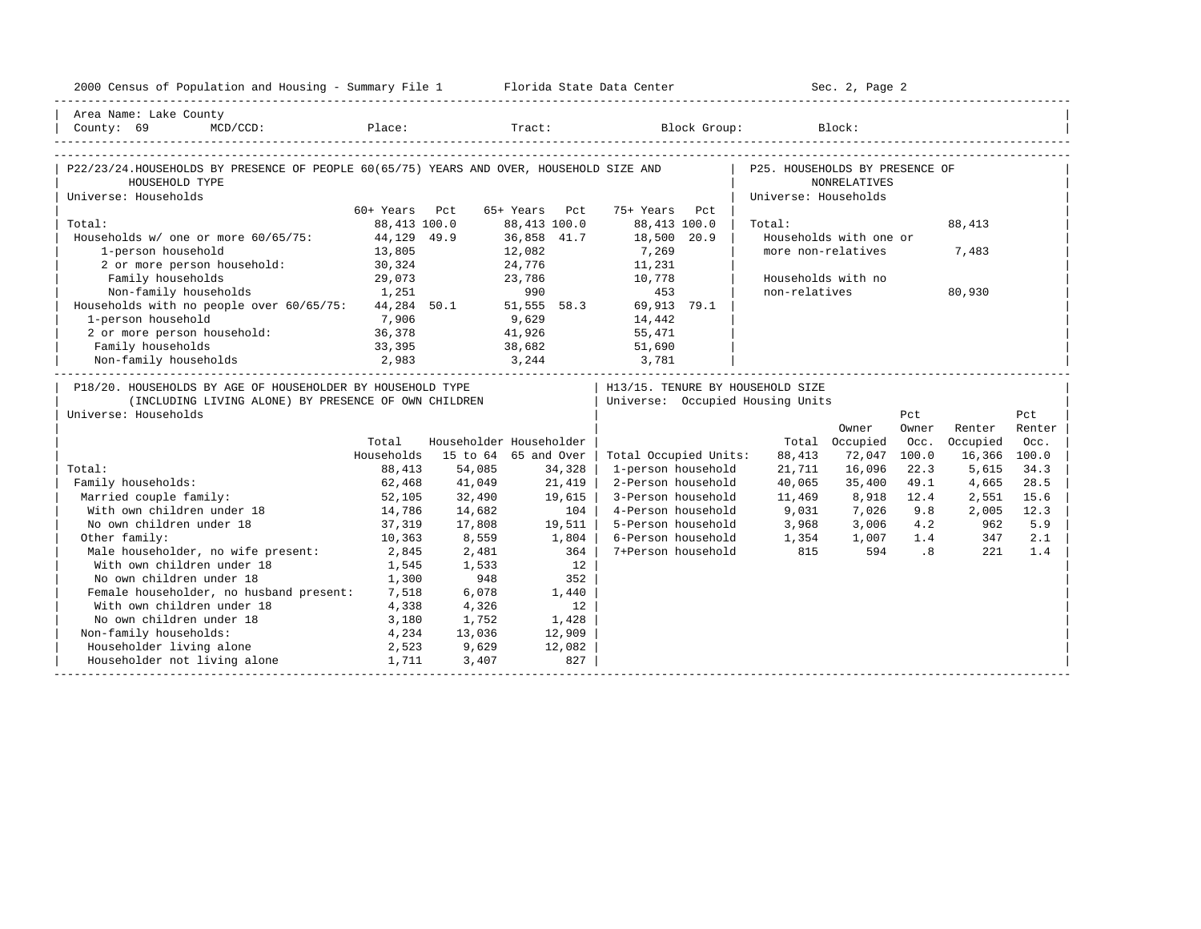| 2000 Census of Population and Housing - Summary File 1 Florida State Data Center                                                                                                        |               |                         |               |               |                                  |     |                                                    | Sec. 2, Page 2         |                          |              |        |
|-----------------------------------------------------------------------------------------------------------------------------------------------------------------------------------------|---------------|-------------------------|---------------|---------------|----------------------------------|-----|----------------------------------------------------|------------------------|--------------------------|--------------|--------|
| Area Name: Lake County                                                                                                                                                                  |               |                         |               |               |                                  |     |                                                    |                        |                          |              |        |
| $\begin{tabular}{ l } \hline County: 69 & McD/CCD: \hspace{1.5cm} Place: \hspace{1.5cm} \textbf{Place:} \hspace{1.5cm} Block Group: \hspace{1.5cm} Block: \hspace{1.5cm} \end{tabular}$ |               |                         |               |               |                                  |     |                                                    |                        |                          |              |        |
|                                                                                                                                                                                         |               |                         |               |               |                                  |     |                                                    |                        |                          |              |        |
| P22/23/24.HOUSEHOLDS BY PRESENCE OF PEOPLE 60(65/75) YEARS AND OVER, HOUSEHOLD SIZE AND                                                                                                 |               |                         |               |               |                                  |     | P25. HOUSEHOLDS BY PRESENCE OF                     |                        |                          |              |        |
| HOUSEHOLD TYPE                                                                                                                                                                          |               |                         |               |               |                                  |     |                                                    | <b>NONRELATIVES</b>    |                          |              |        |
| Universe: Households                                                                                                                                                                    |               |                         |               |               |                                  |     | Universe: Households                               |                        |                          |              |        |
|                                                                                                                                                                                         | 60+ Years Pct |                         | 65+ Years Pct |               | 75+ Years                        | Pct |                                                    |                        |                          |              |        |
| Total:                                                                                                                                                                                  | 88,413 100.0  |                         | 88,413 100.0  |               | 88,413 100.0                     |     | Total:                                             |                        |                          | 88,413       |        |
| Households w/ one or more 60/65/75:                                                                                                                                                     | 44,129 49.9   |                         | 36,858 41.7   |               | 18,500 20.9                      |     |                                                    | Households with one or |                          |              |        |
| 1-person household                                                                                                                                                                      | 13,805        |                         | 12,082        |               | 7,269                            |     |                                                    | more non-relatives     |                          | 7,483        |        |
| 2 or more person household: 30,324                                                                                                                                                      |               |                         |               |               | 24,776 11,231                    |     |                                                    |                        |                          |              |        |
| Family households                                                                                                                                                                       | 29,073        |                         |               | 23,786<br>990 | 10,778                           |     |                                                    | Households with no     |                          |              |        |
| Non-family households 1,251                                                                                                                                                             |               |                         |               |               | 453                              |     | non-relatives                                      |                        |                          | 80,930       |        |
| Households with no people over 60/65/75: 44,284 50.1 51,555 58.3 69,913 79.1                                                                                                            |               |                         |               |               |                                  |     |                                                    |                        |                          |              |        |
| 1-person household<br>1-person household<br>2 or more person household: 36,378                                                                                                          |               | $9,629$<br>$41,926$     |               |               | 14,442<br>55,471                 |     |                                                    |                        |                          |              |        |
|                                                                                                                                                                                         |               |                         |               |               |                                  |     |                                                    |                        |                          |              |        |
| Family households                                                                                                                                                                       | 33,395        |                         |               |               | 38,682 51,690                    |     |                                                    |                        |                          |              |        |
| $\begin{array}{ccccccccc} \text{Non-family households} & & 2,983 & & 3,244 & & 3,781 & & & \\ & & & 2,983 & & & 3,244 & & & 3,781 & & & \\ \end{array}$                                 |               |                         |               |               |                                  |     |                                                    |                        |                          |              |        |
| P18/20. HOUSEHOLDS BY AGE OF HOUSEHOLDER BY HOUSEHOLD TYPE                                                                                                                              |               |                         |               |               | H13/15. TENURE BY HOUSEHOLD SIZE |     |                                                    |                        |                          |              |        |
| (INCLUDING LIVING ALONE) BY PRESENCE OF OWN CHILDREN                                                                                                                                    |               |                         |               |               | Universe: Occupied Housing Units |     |                                                    |                        |                          |              |        |
| Universe: Households                                                                                                                                                                    |               |                         |               |               |                                  |     |                                                    |                        | Pct                      |              | Pct    |
|                                                                                                                                                                                         |               |                         |               |               |                                  |     |                                                    | Owner                  | Owner                    | Renter       | Renter |
|                                                                                                                                                                                         | Total         | Householder Householder |               |               |                                  |     |                                                    | Total Occupied         | Occ.                     | Occupied     | Occ.   |
|                                                                                                                                                                                         | Households    | 15 to 64 65 and Over    |               |               | Total Occupied Units:            |     | 88,413                                             | 72,047                 | 100.0                    | 16,366 100.0 |        |
| Total:                                                                                                                                                                                  | 88,413        | 54,085                  |               | 34,328        | 1-person household               |     | 21,711                                             | 16,096                 | 22.3                     | 5,615        | 34.3   |
| Family households:                                                                                                                                                                      | 62,468        | 41,049                  |               | 21,419        | 2-Person household               |     | 40,065                                             | 35,400                 | 49.1                     | 4,665        | 28.5   |
| Married couple family:                                                                                                                                                                  | 52,105        | 32,490                  |               | 19,615        | 3-Person household               |     | 11,469                                             | 8,918                  | 12.4                     | 2,551        | 15.6   |
| With own children under 18                                                                                                                                                              | 14,786        | 14,682                  |               | 104           | 4-Person household               |     | 9,031                                              | 7,026 9.8              |                          | 2,005        | 12.3   |
| No own children under 18                                                                                                                                                                | 37, 319       | 17,808                  |               | 19,511        | 5-Person household               |     | 3,968                                              | 3,006                  | 4.2                      | 962          | 5.9    |
| Other family:                                                                                                                                                                           | 10,363        | 8,559                   |               | 1,804         |                                  |     |                                                    | $1,007$ $1.4$          |                          | 347          | 2.1    |
| Male householder, no wife present:                                                                                                                                                      | 2,845         | 2,481                   |               | 364           |                                  |     | 6-Person household 1,354<br>7+Person household 815 | 594                    | $\overline{\phantom{a}}$ | 2.21         | 1.4    |
| With own children under 18                                                                                                                                                              | 1,545         | 1,533                   |               | 12            |                                  |     |                                                    |                        |                          |              |        |
| No own children under 18                                                                                                                                                                | 1,300         | 948                     |               | 352           |                                  |     |                                                    |                        |                          |              |        |
| Female householder, no husband present: 7,518                                                                                                                                           |               | 6,078                   |               | 1,440         |                                  |     |                                                    |                        |                          |              |        |
| With own children under 18                                                                                                                                                              | 4,338         | 4,326                   |               | 12            |                                  |     |                                                    |                        |                          |              |        |
| No own children under 18<br>3,180                                                                                                                                                       |               | 1,752                   |               | 1,428         |                                  |     |                                                    |                        |                          |              |        |
| Non-family households:                                                                                                                                                                  | 4,234         | 13,036                  |               | 12,909        |                                  |     |                                                    |                        |                          |              |        |
| Householder living alone                                                                                                                                                                | 2,523         | 9,629                   |               | 12,082        |                                  |     |                                                    |                        |                          |              |        |
| Householder not living alone                                                                                                                                                            | 1,711         | 3,407                   |               | 827           |                                  |     |                                                    |                        |                          |              |        |
|                                                                                                                                                                                         |               |                         |               |               |                                  |     |                                                    |                        |                          |              |        |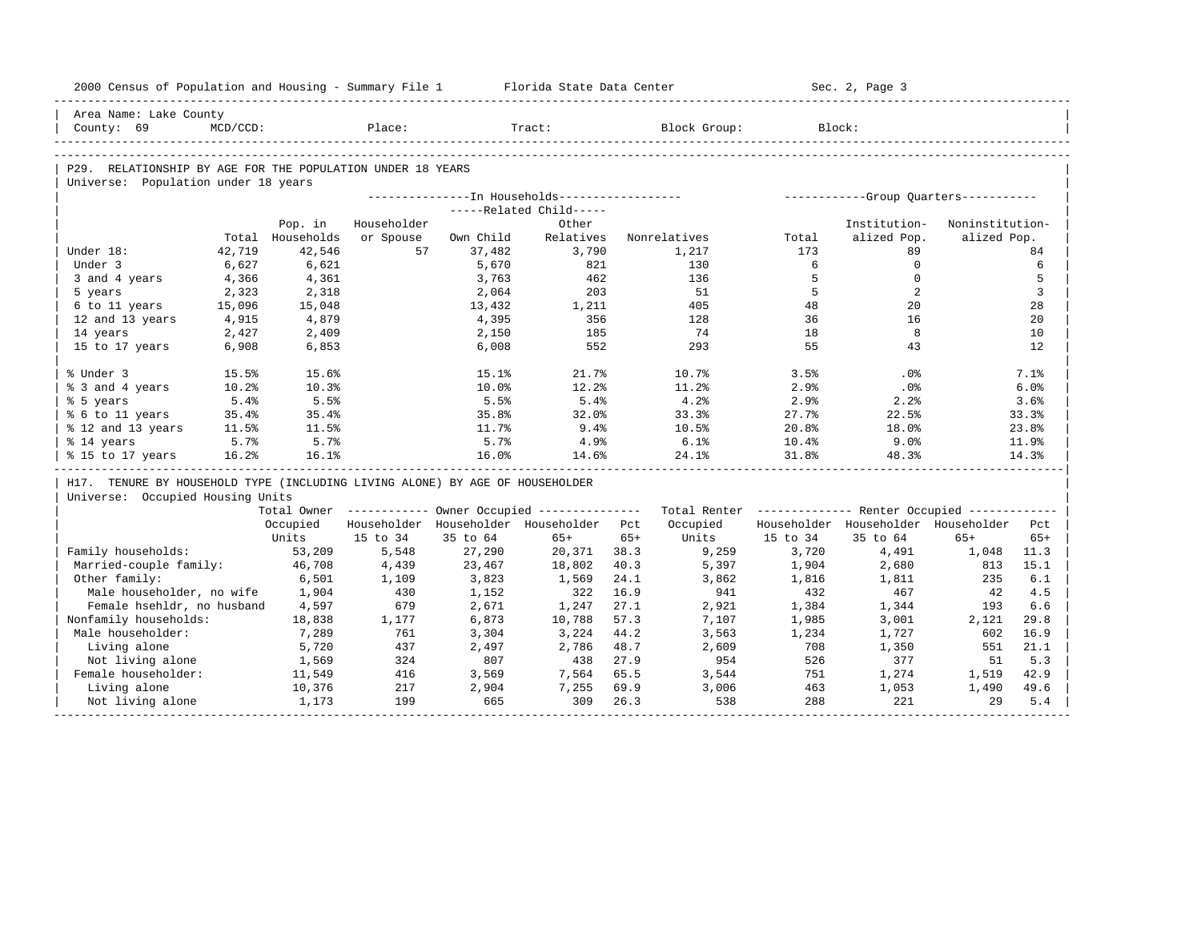| 2000 Census of Population and Housing - Summary File 1 Florida State Data Center |             |                  |             |           |                                                       |       |                                                         |          | Sec. 2, Page 3                          |                 |       |
|----------------------------------------------------------------------------------|-------------|------------------|-------------|-----------|-------------------------------------------------------|-------|---------------------------------------------------------|----------|-----------------------------------------|-----------------|-------|
| Area Name: Lake County                                                           |             |                  |             |           |                                                       |       |                                                         |          |                                         |                 |       |
| County: 69                                                                       | $MCD/CCD$ : |                  | Place:      |           | Tract:                                                |       | Block Group:                                            |          | Block:                                  |                 |       |
|                                                                                  |             |                  |             |           |                                                       |       |                                                         |          |                                         |                 |       |
| P29. RELATIONSHIP BY AGE FOR THE POPULATION UNDER 18 YEARS                       |             |                  |             |           |                                                       |       |                                                         |          |                                         |                 |       |
| Universe: Population under 18 years                                              |             |                  |             |           |                                                       |       |                                                         |          |                                         |                 |       |
|                                                                                  |             |                  |             |           |                                                       |       |                                                         |          |                                         |                 |       |
|                                                                                  |             |                  |             |           | -----Related Child-----                               |       |                                                         |          |                                         |                 |       |
|                                                                                  |             | Pop. in          | Householder |           | Other                                                 |       |                                                         |          | Institution-                            | Noninstitution- |       |
|                                                                                  |             | Total Households | or Spouse   | Own Child | Relatives                                             |       | Nonrelatives                                            | Total    | alized Pop.                             | alized Pop.     |       |
| Under 18:                                                                        | 42,719      | 42,546           | 57          | 37,482    | 3,790                                                 |       | 1,217                                                   | 173      | 89                                      |                 | 84    |
| Under 3                                                                          | 6,627       | 6,621            |             | 5,670     | 821                                                   |       | 130                                                     | 6        | $\mathbf 0$                             |                 | 6     |
| 3 and 4 years                                                                    | 4,366       | 4,361            |             | 3,763     | 462                                                   |       | 136                                                     | 5        | $\Omega$                                |                 | 5     |
| 5 years                                                                          | 2,323       | 2,318            |             | 2,064     | 203                                                   |       | 51                                                      | 5        | 2                                       |                 | 3     |
| 6 to 11 years                                                                    | 15,096      | 15,048           |             | 13,432    | 1,211                                                 |       | 405                                                     | 48<br>36 | 20<br>16                                |                 | 28    |
| 12 and 13 years                                                                  | 4,915       | 4,879            |             | 4,395     | 356                                                   |       | 128<br>74                                               |          | 8                                       |                 | 20    |
| 14 years                                                                         | 2,427       | 2,409            |             | 2,150     | 185<br>552                                            |       | 293                                                     | 18<br>55 | 43                                      |                 | 10    |
| 15 to 17 years                                                                   | 6,908       | 6,853            |             | 6,008     |                                                       |       |                                                         |          |                                         |                 | 12    |
| % Under 3                                                                        | 15.5%       | 15.6%            |             | 15.1%     | 21.7%                                                 |       | 10.7%                                                   | 3.5%     | .0%                                     |                 | 7.1%  |
| % 3 and 4 years                                                                  | 10.2%       | 10.3%            |             | 10.0%     | 12.2%                                                 |       | 11.2%                                                   | 2.9%     | .0%                                     |                 | 6.0%  |
| % 5 years                                                                        | 5.4%        | 5.5%             |             | 5.5%      | 5.4%                                                  |       | 4.2%                                                    | 2.9%     | 2.2%                                    |                 | 3.6%  |
| % 6 to 11 years                                                                  | 35.4%       | 35.4%            |             | 35.8%     | 32.0%                                                 |       | 33.3%                                                   | 27.7%    | 22.5%                                   |                 | 33.3% |
| % 12 and 13 years                                                                | 11.5%       | 11.5%            |             | 11.7%     | 9.4%                                                  |       | 10.5%                                                   | 20.8%    | 18.0%                                   |                 | 23.8% |
| % 14 years                                                                       | 5.7%        | 5.7%             |             | 5.7%      | $4.9\%$                                               |       | 6.1%                                                    | $10.4\%$ | 9.0%                                    |                 | 11.9% |
| % 15 to 17 years                                                                 | 16.2%       | 16.1%            |             | 16.0%     | 14.6%                                                 |       | 24.1%                                                   | 31.8%    | 48.3%                                   |                 | 14.3% |
| H17. TENURE BY HOUSEHOLD TYPE (INCLUDING LIVING ALONE) BY AGE OF HOUSEHOLDER     |             |                  |             |           |                                                       |       |                                                         |          |                                         |                 |       |
| Universe: Occupied Housing Units                                                 |             |                  |             |           |                                                       |       |                                                         |          |                                         |                 |       |
|                                                                                  |             |                  |             |           | Total Owner ----------- Owner Occupied -------------- |       | Total Renter ------------- Renter Occupied ------------ |          |                                         |                 |       |
|                                                                                  |             | Occupied         |             |           | Householder Householder Householder Pct               |       | Occupied                                                |          | Householder Householder Householder Pct |                 |       |
|                                                                                  |             | Units            | 15 to 34    | 35 to 64  | $65+$                                                 | $65+$ | Units                                                   | 15 to 34 | 35 to 64                                | $65+$           | $65+$ |
| Family households:                                                               |             | 53,209           | 5,548       | 27,290    | 20,371 38.3                                           |       | 9,259                                                   | 3,720    | 4,491                                   | 1,048           | 11.3  |
| Married-couple family:                                                           |             | 46,708           | 4,439       | 23,467    | 18,802                                                | 40.3  | 5,397                                                   | 1,904    | 2,680                                   | 813             | 15.1  |
| Other family:                                                                    |             | 6,501            | 1,109       | 3,823     | 1,569                                                 | 24.1  | 3,862                                                   | 1,816    | 1,811                                   | 235             | 6.1   |
| Male householder, no wife                                                        |             | 1,904            | 430         | 1,152     | 322                                                   | 16.9  | 941                                                     | 432      | 467                                     | 42              | 4.5   |
| Female hsehldr, no husband                                                       |             | 4,597            | 679         | 2,671     | 1,247                                                 | 27.1  | 2,921                                                   | 1,384    | 1,344                                   | 193             | 6.6   |
| Nonfamily households:                                                            |             | 18,838           | 1,177       | 6,873     | 10,788                                                | 57.3  | 7,107                                                   | 1,985    | 3,001                                   | 2,121           | 29.8  |
| Male householder:                                                                |             | 7,289            | 761         | 3,304     | 3,224                                                 | 44.2  | 3,563                                                   | 1,234    | 1,727                                   | 602             | 16.9  |
| Living alone                                                                     |             | 5,720            | 437         | 2,497     | 2,786                                                 | 48.7  | 2,609                                                   | 708      | 1,350                                   | 551             | 21.1  |
| Not living alone                                                                 |             | 1,569            | 324         | 807       | 438                                                   | 27.9  | 954                                                     | 526      | 377                                     | 51              | 5.3   |
| Female householder:                                                              |             | 11,549           | 416         | 3,569     | 7,564                                                 | 65.5  | 3,544                                                   | 751      | 1,274                                   | 1,519           | 42.9  |
|                                                                                  |             | 10,376           | 217         | 2,904     | 7,255                                                 | 69.9  | 3,006                                                   | 463      | 1,053                                   | 1,490           | 49.6  |
| Living alone                                                                     |             |                  |             |           |                                                       |       |                                                         |          |                                         |                 |       |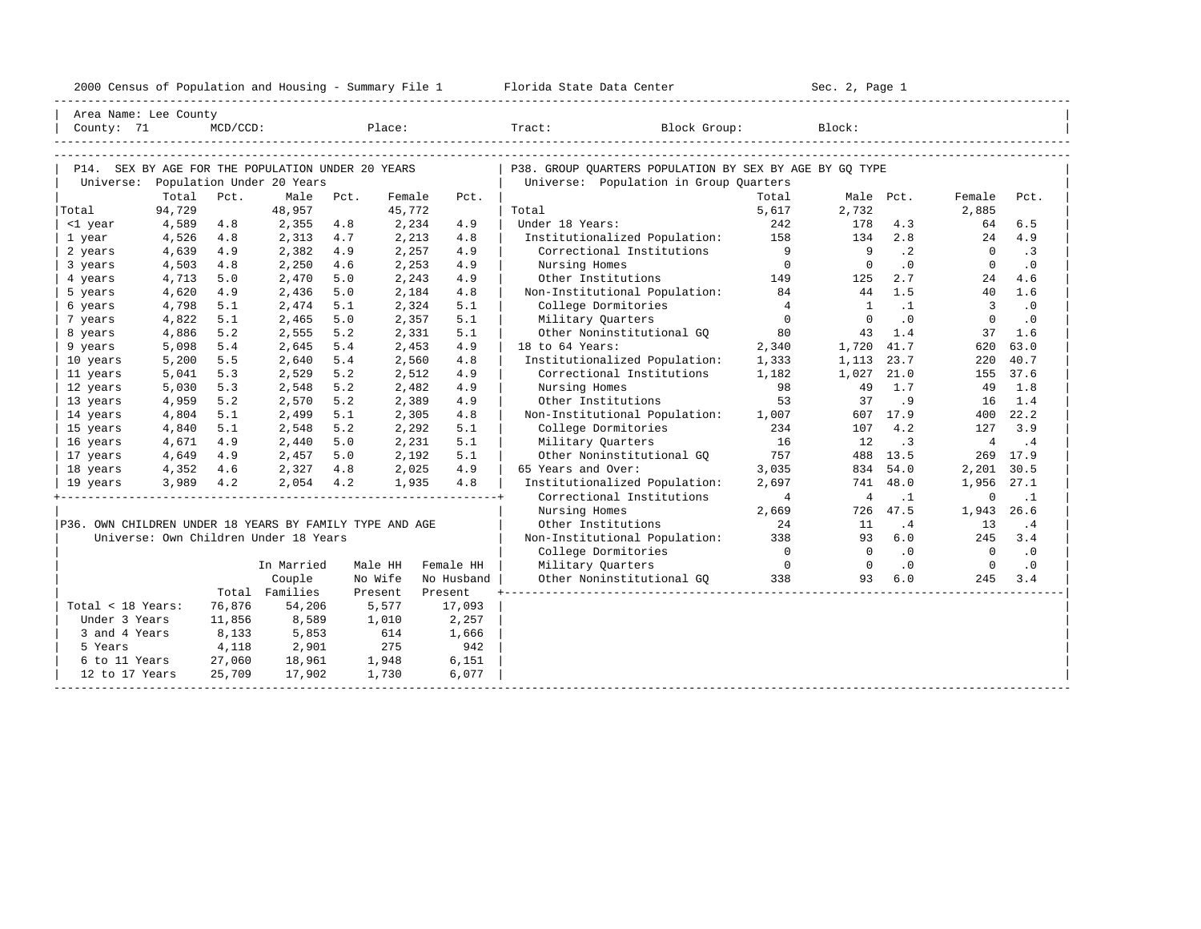| 2000<br>ensus! | and<br>Population | ---<br>Summa:<br>$-$<br>Housing | lorida<br>Data<br>otatt<br>cence. | ، م ج<br>Page<br>$3-1$ |  |
|----------------|-------------------|---------------------------------|-----------------------------------|------------------------|--|
|                |                   |                                 |                                   |                        |  |

| Area Name: Lee County                                   |        |             |                                       |         |        |            |                                                         |                 |                |                |                |           |
|---------------------------------------------------------|--------|-------------|---------------------------------------|---------|--------|------------|---------------------------------------------------------|-----------------|----------------|----------------|----------------|-----------|
| County: 71                                              |        | $MCD/CCD$ : |                                       |         | Place: |            | Tract:<br>Block Group:                                  |                 | Block:         |                |                |           |
|                                                         |        |             |                                       |         |        |            |                                                         |                 |                |                |                |           |
|                                                         |        |             |                                       |         |        |            |                                                         |                 |                |                |                |           |
| P14. SEX BY AGE FOR THE POPULATION UNDER 20 YEARS       |        |             | Population Under 20 Years             |         |        |            | P38. GROUP OUARTERS POPULATION BY SEX BY AGE BY GO TYPE |                 |                |                |                |           |
| Universe:                                               | Total  | Pct.        | Male                                  | Pct.    | Female | Pct.       | Universe: Population in Group Quarters                  | Total           |                | Male Pct.      | Female         | Pct.      |
| Total                                                   | 94,729 |             | 48,957                                |         | 45,772 |            | Total                                                   | 5,617           | 2,732          |                | 2,885          |           |
| <1 year                                                 | 4,589  | 4.8         | 2,355                                 | 4.8     | 2,234  | 4.9        | Under 18 Years:                                         | 242             | 178            | 4.3            | 64             | 6.5       |
| 1 year                                                  | 4,526  | 4.8         | 2,313                                 | 4.7     | 2,213  | 4.8        | Institutionalized Population:                           | 158             | 134            | 2.8            | 24             | 4.9       |
| 2 years                                                 | 4,639  | 4.9         | 2,382                                 | 4.9     | 2,257  | 4.9        | Correctional Institutions                               | $\overline{9}$  | 9              | $\cdot$ 2      | $\Omega$       | .3        |
| 3 years                                                 | 4,503  | 4.8         | 2,250                                 | 4.6     | 2,253  | 4.9        | Nursing Homes                                           | $\Omega$        | $\Omega$       | $\overline{0}$ | $\Omega$       | $\cdot$ 0 |
| 4 years                                                 | 4,713  | 5.0         | 2,470                                 | 5.0     | 2,243  | 4.9        | Other Institutions                                      | 149             | 125            | 2.7            | 24             | 4.6       |
| 5 years                                                 | 4,620  | 4.9         | 2,436                                 | 5.0     | 2,184  | 4.8        | Non-Institutional Population:                           | 84              | 44             | 1.5            | 40             | 1.6       |
| 6 years                                                 | 4,798  | 5.1         | 2,474                                 | 5.1     | 2,324  | 5.1        | College Dormitories                                     | $4\overline{ }$ | <sup>1</sup>   | $\cdot$ 1      | $\overline{3}$ | $\cdot$ 0 |
| 7 years                                                 | 4,822  | 5.1         | 2,465                                 | 5.0     | 2,357  | 5.1        | Military Quarters                                       | $\circ$         | $\Omega$       | $\cdot$ 0      | $\mathbf 0$    | .0        |
| 8 years                                                 | 4,886  | 5.2         | 2,555                                 | 5.2     | 2,331  | 5.1        | Other Noninstitutional GQ                               | 80              | 43             | 1.4            | 37             | 1.6       |
| 9 years                                                 | 5,098  | 5.4         | 2,645                                 | 5.4     | 2,453  | 4.9        | 18 to 64 Years:                                         | 2,340           | 1,720          | 41.7           | 620            | 63.0      |
| 10 years                                                | 5,200  | 5.5         | 2,640                                 | 5.4     | 2,560  | 4.8        | Institutionalized Population:                           | 1,333           | 1,113          | 23.7           | 220            | 40.7      |
| 11 years                                                | 5,041  | 5.3         | 2,529                                 | 5.2     | 2,512  | 4.9        | Correctional Institutions                               | 1,182           | 1,027          | 21.0           | 155            | 37.6      |
| 12 years                                                | 5,030  | 5.3         | 2,548                                 | 5.2     | 2,482  | 4.9        | Nursing Homes                                           | 98              | 49             | 1.7            | 49             | 1.8       |
| 13 years                                                | 4,959  | 5.2         | 2,570                                 | 5.2     | 2,389  | 4.9        | Other Institutions                                      | 53              | 37             | . 9            | 16             | 1.4       |
| 14 years                                                | 4,804  | 5.1         | 2,499                                 | 5.1     | 2,305  | 4.8        | Non-Institutional Population:                           | 1,007           |                | 607 17.9       | 400            | 22.2      |
| 15 years                                                | 4,840  | 5.1         | 2,548                                 | 5.2     | 2,292  | 5.1        | College Dormitories                                     | 234             | 107            | 4.2            | 127            | 3.9       |
| 16 years                                                | 4,671  | 4.9         | 2,440                                 | 5.0     | 2,231  | 5.1        | Military Ouarters                                       | 16              | 12             | $\cdot$ 3      | $\overline{4}$ | $\cdot$ 4 |
| 17 years                                                | 4,649  | 4.9         | 2,457                                 | 5.0     | 2,192  | 5.1        | Other Noninstitutional GO                               | 757             | 488            | 13.5           | 269            | 17.9      |
| 18 years                                                | 4,352  | 4.6         | 2,327                                 | 4.8     | 2,025  | 4.9        | 65 Years and Over:                                      | 3,035           | 834            | 54.0           | 2,201          | 30.5      |
| 19 years                                                | 3,989  | 4.2         | 2,054                                 | 4.2     | 1,935  | 4.8        | Institutionalized Population:                           | 2,697           | 741            | 48.0           | 1,956          | 27.1      |
|                                                         |        |             |                                       |         |        |            | Correctional Institutions                               | $\overline{4}$  | $\overline{4}$ | $\cdot$ 1      | $\Omega$       | $\cdot$ 1 |
|                                                         |        |             |                                       |         |        |            | Nursing Homes                                           | 2,669           | 726            | 47.5           | 1,943          | 26.6      |
| P36. OWN CHILDREN UNDER 18 YEARS BY FAMILY TYPE AND AGE |        |             |                                       |         |        |            | Other Institutions                                      | 24              | 11             | .4             | 13             | .4        |
|                                                         |        |             | Universe: Own Children Under 18 Years |         |        |            | Non-Institutional Population:                           | 338             | 93             | 6.0            | 245            | 3.4       |
|                                                         |        |             |                                       |         |        |            | College Dormitories                                     | $\overline{0}$  | $\Omega$       | $\cdot$ 0      | $\Omega$       | $\cdot$ 0 |
|                                                         |        |             | In Married                            | Male HH |        | Female HH  | Military Quarters                                       | $\overline{0}$  | $\overline{0}$ | .0             | $\overline{0}$ | .0        |
|                                                         |        |             | Couple                                | No Wife |        | No Husband | Other Noninstitutional GQ                               | 338             | 93             | 6.0            | 245            | 3.4       |
|                                                         |        |             | Total Families                        | Present |        | Present    |                                                         |                 |                |                |                |           |
| Total < 18 Years:                                       |        | 76,876      | 54,206                                |         | 5,577  | 17,093     |                                                         |                 |                |                |                |           |
| Under 3 Years                                           |        | 11,856      | 8,589                                 |         | 1,010  | 2,257      |                                                         |                 |                |                |                |           |
| 3 and 4 Years                                           |        | 8,133       | 5,853                                 |         | 614    | 1,666      |                                                         |                 |                |                |                |           |
| 5 Years                                                 |        | 4,118       | 2,901                                 |         | 275    | 942        |                                                         |                 |                |                |                |           |
| 6 to 11 Years                                           |        | 27,060      | 18,961                                | 1,948   |        | 6,151      |                                                         |                 |                |                |                |           |
| 12 to 17 Years                                          |        | 25,709      | 17,902                                |         | 1,730  | 6,077      |                                                         |                 |                |                |                |           |
|                                                         |        |             |                                       |         |        |            |                                                         |                 |                |                |                |           |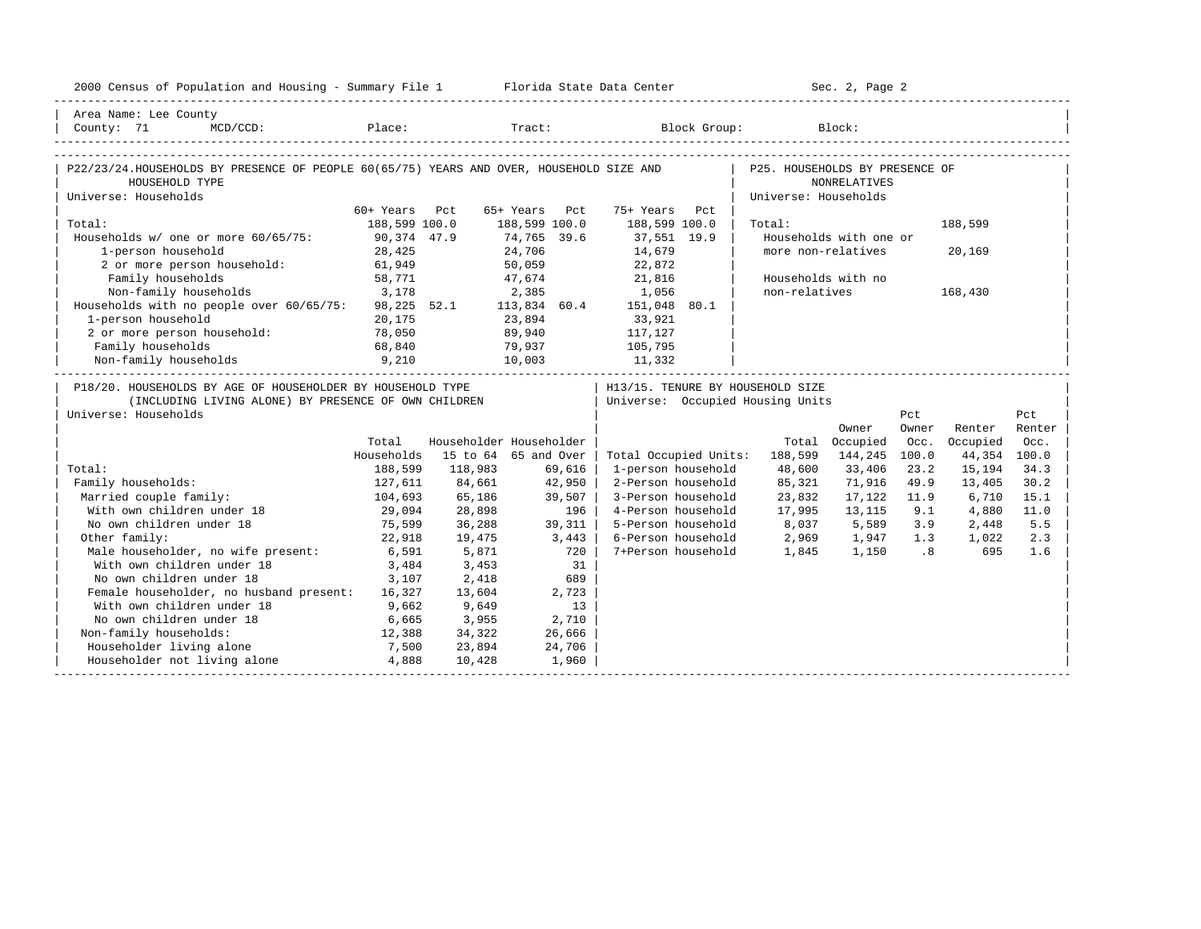| 2000 Census of Population and Housing - Summary File 1 Florida State Data Center                                                           |               |                         |               |        |                                                                      |                                | Sec. 2, Page 2         |                             |              |        |
|--------------------------------------------------------------------------------------------------------------------------------------------|---------------|-------------------------|---------------|--------|----------------------------------------------------------------------|--------------------------------|------------------------|-----------------------------|--------------|--------|
| Area Name: Lee County<br>County: 71                                                                                                        |               |                         |               |        |                                                                      |                                |                        |                             |              |        |
| P22/23/24.HOUSEHOLDS BY PRESENCE OF PEOPLE 60(65/75) YEARS AND OVER, HOUSEHOLD SIZE AND<br>HOUSEHOLD TYPE                                  |               |                         |               |        |                                                                      | P25. HOUSEHOLDS BY PRESENCE OF | NONRELATIVES           |                             |              |        |
| Universe: Households                                                                                                                       | 60+ Years Pct |                         | 65+ Years Pct |        | 75+ Years Pct                                                        | Universe: Households           |                        |                             |              |        |
| Total:                                                                                                                                     | 188,599 100.0 |                         | 188,599 100.0 |        | 188,599 100.0                                                        | Total:                         |                        |                             | 188,599      |        |
| Households w/ one or more 60/65/75: 90,374 47.9                                                                                            |               |                         | 74,765 39.6   |        | 37,551 19.9                                                          |                                | Households with one or |                             |              |        |
| 1-person household                                                                                                                         | 28,425        |                         | 24,706        |        | 14,679                                                               |                                | more non-relatives     |                             | 20,169       |        |
| 2 or more person household: 61,949                                                                                                         |               |                         | 50,059        |        | 22,872                                                               |                                |                        |                             |              |        |
| Family households                                                                                                                          | 58,771        |                         |               |        | 47,674 21,816                                                        |                                | Households with no     |                             |              |        |
| Non-family households                                                                                                                      | 3,178         |                         | 2,385         |        | 1,056                                                                | non-relatives                  |                        |                             | 168,430      |        |
| Non-tamily households 3,178 2,385 1,056<br>Households with no people over 60/65/75: 98,225 52.1 113,834 60.4 151,048 80.1                  |               |                         |               |        |                                                                      |                                |                        |                             |              |        |
| 1-person household                                                                                                                         | 20,175        |                         | 23,894        |        | 33,921                                                               |                                |                        |                             |              |        |
| 2 or more person household:                                                                                                                | 78,050        |                         | 89,940        |        | 117,127                                                              |                                |                        |                             |              |        |
| Family households                                                                                                                          | 68,840        |                         | 79,937        |        | 105,795                                                              |                                |                        |                             |              |        |
| 9,210<br>Non-family households                                                                                                             |               |                         |               |        | 10,003 11,332                                                        |                                |                        |                             |              |        |
| P18/20. HOUSEHOLDS BY AGE OF HOUSEHOLDER BY HOUSEHOLD TYPE<br>(INCLUDING LIVING ALONE) BY PRESENCE OF OWN CHILDREN<br>Universe: Households |               |                         |               |        | H13/15. TENURE BY HOUSEHOLD SIZE<br>Universe: Occupied Housing Units |                                |                        | Pct                         |              | Pct    |
|                                                                                                                                            |               |                         |               |        |                                                                      |                                | Owner                  | Owner                       | Renter       | Renter |
|                                                                                                                                            | Total         | Householder Householder |               |        |                                                                      |                                | Total Occupied         | Occ.                        | Occupied     | Occ.   |
|                                                                                                                                            | Households    | 15 to 64 65 and Over    |               |        | Total Occupied Units:                                                | 188,599                        | 144,245                | 100.0                       | 44,354 100.0 |        |
| Total:                                                                                                                                     | 188,599       | 118,983                 |               | 69,616 | 1-person household                                                   | 48,600                         | 33,406                 | 23.2                        | 15,194       | 34.3   |
| Family households:                                                                                                                         | 127,611       | 84,661                  |               | 42,950 | 2-Person household                                                   | 85,321                         | 71,916                 | 49.9                        | 13,405       | 30.2   |
| Married couple family:                                                                                                                     | 104,693       | 65,186                  |               | 39,507 | 3-Person household                                                   | 23,832                         | 17,122                 | 11.9                        | 6,710        | 15.1   |
| With own children under 18                                                                                                                 | 29,094        | 28,898                  |               | 196    | 4-Person household                                                   | 17,995                         | 13,115                 | 9.1                         | 4,880        | 11.0   |
| No own children under 18                                                                                                                   | 75,599        | 36,288                  |               | 39,311 | 5-Person household                                                   | 8,037                          | 5,589                  | 3.9                         | 2,448        | 5.5    |
| Other family:                                                                                                                              | 22,918        | 19,475                  | 3,443         |        | 6-Person household                                                   | 2,969                          | 1,947                  | 1.3                         | 1,022        | 2.3    |
| Male householder, no wife present:                                                                                                         | 6,591         | 5,871                   |               | 720    | 7+Person household                                                   | 1,845                          | 1,150                  | $\overline{\phantom{0}}$ .8 | 695          | 1.6    |
| With own children under 18                                                                                                                 | 3,484         | 3,453                   |               | 31     |                                                                      |                                |                        |                             |              |        |
| No own children under 18                                                                                                                   | 3,107         | 2,418                   |               | 689    |                                                                      |                                |                        |                             |              |        |
| Female householder, no husband present: 16,327                                                                                             |               | 13,604                  |               | 2,723  |                                                                      |                                |                        |                             |              |        |
| With own children under 18                                                                                                                 | 9,662         | 9,649                   |               | 13     |                                                                      |                                |                        |                             |              |        |
| No own children under 18                                                                                                                   | 6,665         | 3,955                   |               | 2,710  |                                                                      |                                |                        |                             |              |        |
| Non-family households:                                                                                                                     | 12,388        | 34,322                  |               | 26,666 |                                                                      |                                |                        |                             |              |        |
| Householder living alone                                                                                                                   | 7,500         | 23,894                  |               | 24,706 |                                                                      |                                |                        |                             |              |        |
| Householder not living alone 4,888                                                                                                         |               | 10,428                  |               | 1,960  |                                                                      |                                |                        |                             |              |        |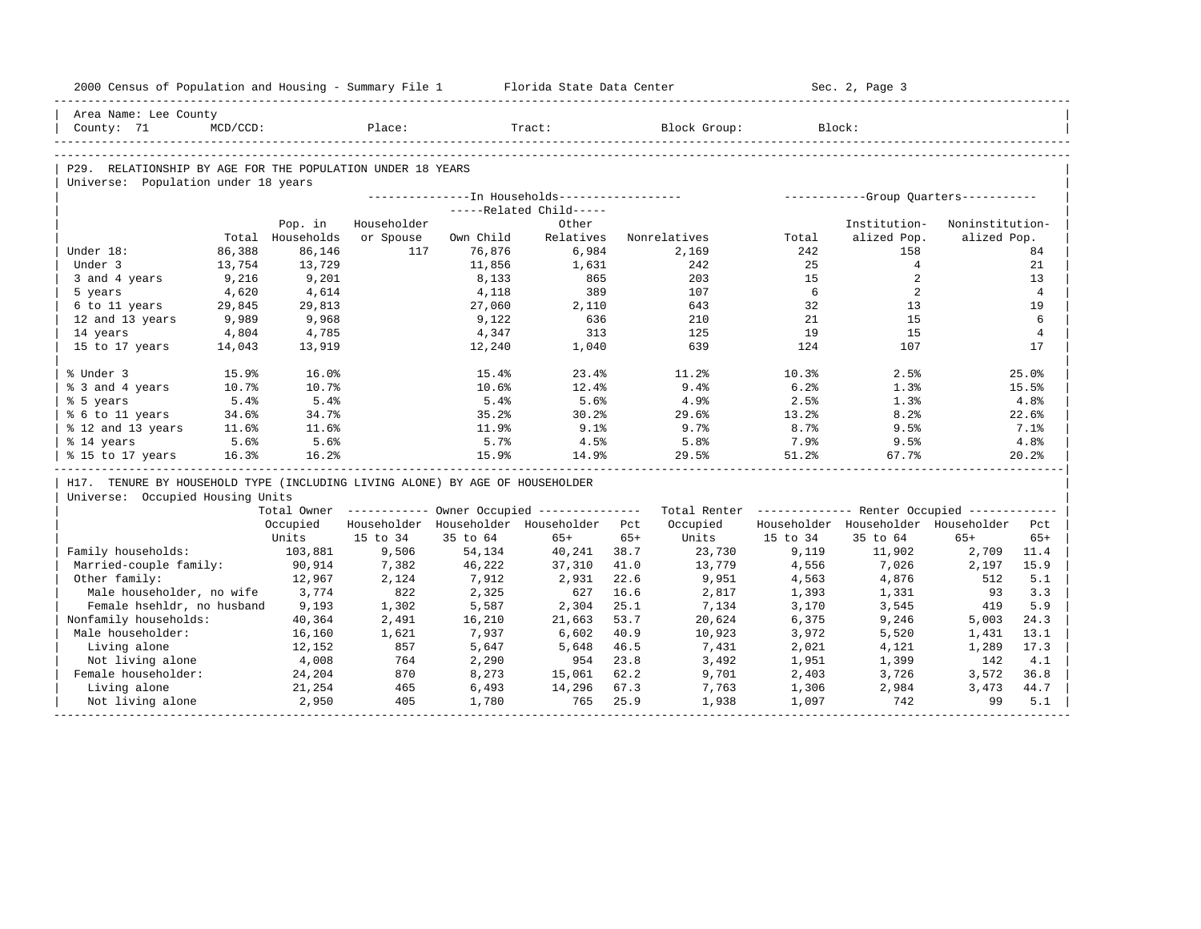| Institution-<br>alized Pop.<br>158<br>$4\overline{ }$ | Noninstitution-<br>alized Pop.<br>84                                                                                                                                                                                                                                                                         |
|-------------------------------------------------------|--------------------------------------------------------------------------------------------------------------------------------------------------------------------------------------------------------------------------------------------------------------------------------------------------------------|
|                                                       |                                                                                                                                                                                                                                                                                                              |
|                                                       |                                                                                                                                                                                                                                                                                                              |
|                                                       |                                                                                                                                                                                                                                                                                                              |
|                                                       |                                                                                                                                                                                                                                                                                                              |
|                                                       |                                                                                                                                                                                                                                                                                                              |
|                                                       |                                                                                                                                                                                                                                                                                                              |
|                                                       |                                                                                                                                                                                                                                                                                                              |
|                                                       |                                                                                                                                                                                                                                                                                                              |
|                                                       |                                                                                                                                                                                                                                                                                                              |
|                                                       |                                                                                                                                                                                                                                                                                                              |
|                                                       | 21                                                                                                                                                                                                                                                                                                           |
|                                                       | 13                                                                                                                                                                                                                                                                                                           |
|                                                       | $\overline{4}$                                                                                                                                                                                                                                                                                               |
|                                                       | 19<br>6                                                                                                                                                                                                                                                                                                      |
|                                                       | $\overline{4}$                                                                                                                                                                                                                                                                                               |
|                                                       | 17                                                                                                                                                                                                                                                                                                           |
|                                                       |                                                                                                                                                                                                                                                                                                              |
| 2.5%                                                  | 25.0%                                                                                                                                                                                                                                                                                                        |
| 1.3%                                                  | 15.5%                                                                                                                                                                                                                                                                                                        |
| 1.3%                                                  | 4.8%                                                                                                                                                                                                                                                                                                         |
| 8.2%                                                  | 22.6%                                                                                                                                                                                                                                                                                                        |
| 9.5%                                                  | 7.1%                                                                                                                                                                                                                                                                                                         |
| 9.5%                                                  | 4.8%                                                                                                                                                                                                                                                                                                         |
| 67.7%                                                 | 20.2%                                                                                                                                                                                                                                                                                                        |
|                                                       |                                                                                                                                                                                                                                                                                                              |
|                                                       |                                                                                                                                                                                                                                                                                                              |
|                                                       |                                                                                                                                                                                                                                                                                                              |
|                                                       |                                                                                                                                                                                                                                                                                                              |
| $65+$                                                 | $65+$                                                                                                                                                                                                                                                                                                        |
|                                                       | 2,709<br>11.4                                                                                                                                                                                                                                                                                                |
| 2,197                                                 | 15.9                                                                                                                                                                                                                                                                                                         |
|                                                       | 512<br>5.1                                                                                                                                                                                                                                                                                                   |
|                                                       | 93<br>3.3                                                                                                                                                                                                                                                                                                    |
|                                                       | 5.9<br>419                                                                                                                                                                                                                                                                                                   |
| 5,003                                                 | 24.3                                                                                                                                                                                                                                                                                                         |
| 1,431                                                 | 13.1                                                                                                                                                                                                                                                                                                         |
| 1,289                                                 | 17.3                                                                                                                                                                                                                                                                                                         |
| 142                                                   | 4.1                                                                                                                                                                                                                                                                                                          |
|                                                       | 3,572<br>36.8                                                                                                                                                                                                                                                                                                |
|                                                       | 3,473<br>44.7                                                                                                                                                                                                                                                                                                |
| 742                                                   | 99<br>5.1                                                                                                                                                                                                                                                                                                    |
|                                                       | 2<br>2<br>13<br>15<br>15<br>107<br>Total Owner ------------ Owner Occupied -------------- Total Renter ------------- Renter Occupied ------------<br>Householder Householder Householder Pct<br>35 to 64<br>11,902<br>7,026<br>4,876<br>1,331<br>3,545<br>9,246<br>5,520<br>4,121<br>1,399<br>3,726<br>2,984 |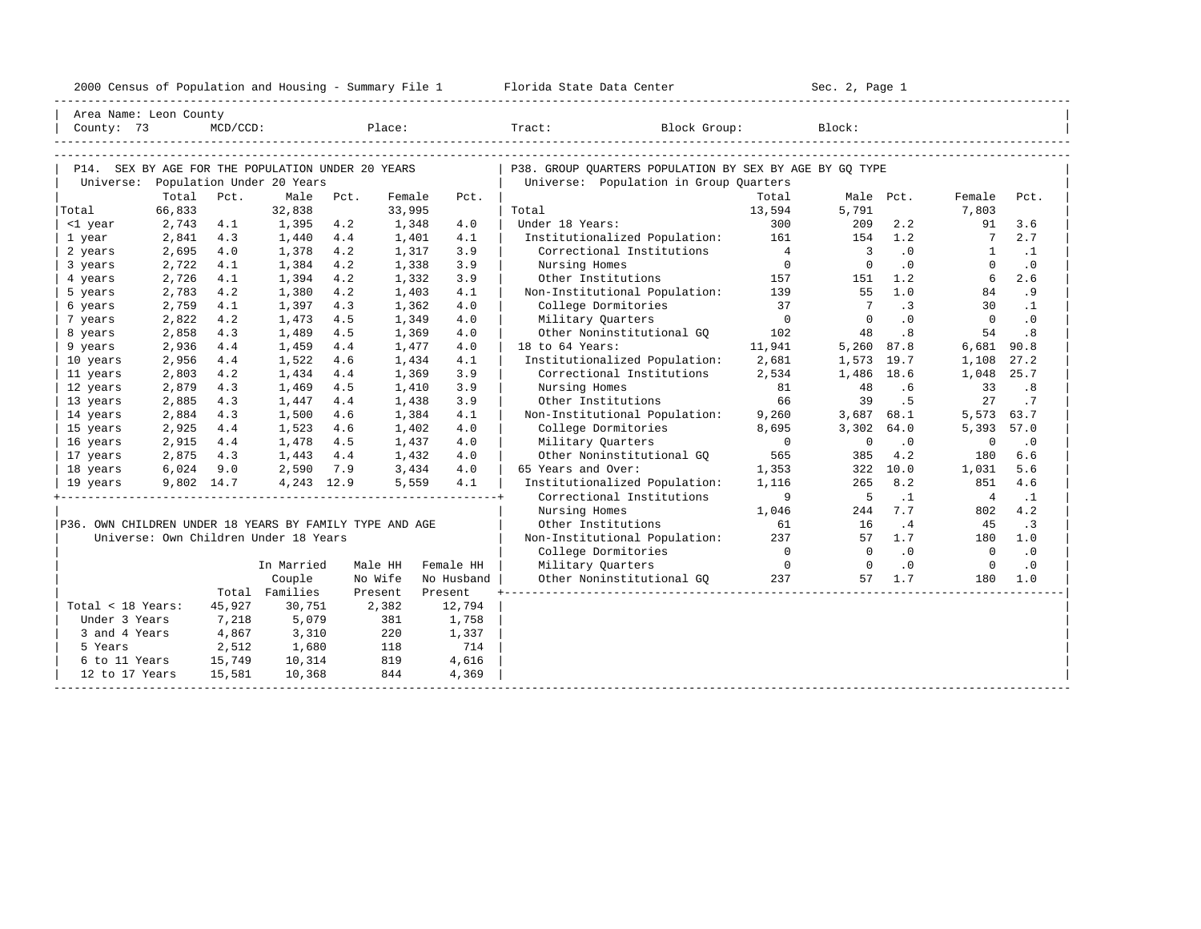| 2000<br>ensus! | and<br>Population | ---<br>Summa:<br>$-$<br>Housing | lorida<br>Data<br>otatt<br>cence. | ، م ج<br>Page<br>$3-1$ |  |
|----------------|-------------------|---------------------------------|-----------------------------------|------------------------|--|
|                |                   |                                 |                                   |                        |  |

| Area Name: Leon County                                  |            |             |                                       |        |         |            |                                                         |                |                          |                            |                 |           |
|---------------------------------------------------------|------------|-------------|---------------------------------------|--------|---------|------------|---------------------------------------------------------|----------------|--------------------------|----------------------------|-----------------|-----------|
| County: 73                                              |            | $MCD/CCD$ : |                                       | Place: |         |            | Tract: Block Group:                                     |                | Block:                   |                            |                 |           |
|                                                         |            |             |                                       |        |         |            |                                                         |                |                          |                            |                 |           |
|                                                         |            |             |                                       |        |         |            |                                                         |                |                          |                            |                 |           |
| P14. SEX BY AGE FOR THE POPULATION UNDER 20 YEARS       |            |             | Population Under 20 Years             |        |         |            | P38. GROUP OUARTERS POPULATION BY SEX BY AGE BY GO TYPE |                |                          |                            |                 |           |
| Universe:                                               | Total      | Pct.        | Male                                  | Pct.   | Female  | Pct.       | Universe: Population in Group Quarters                  | Total          | Male Pct.                |                            | Female          | Pct.      |
| Total                                                   | 66,833     |             | 32,838                                |        | 33,995  |            | Total                                                   | 13,594         | 5,791                    |                            | 7,803           |           |
| <1 year                                                 | 2,743      | 4.1         | 1,395                                 | 4.2    | 1,348   | 4.0        | Under 18 Years:                                         | 300            | 209                      | 2.2                        | 91              | 3.6       |
| 1 year                                                  | 2,841      | 4.3         | 1,440                                 | 4.4    | 1,401   | 4.1        | Institutionalized Population: 161                       |                | 154                      | 1.2                        | $7\overline{ }$ | 2.7       |
| 2 years                                                 | 2,695      | 4.0         | 1,378                                 | 4.2    | 1,317   | 3.9        | Correctional Institutions                               | $\overline{4}$ | $\overline{\phantom{a}}$ | $\cdot$ 0                  | 1               | $\cdot$ 1 |
| 3 years                                                 | 2,722      | 4.1         | 1,384                                 | 4.2    | 1,338   | 3.9        | Nursing Homes                                           | $\overline{0}$ | $\overline{0}$           | $\overline{\phantom{0}}$ . | $\Omega$        | $\cdot$ 0 |
| 4 years                                                 | 2,726      | 4.1         | 1,394                                 | 4.2    | 1,332   | 3.9        | Other Institutions                                      | 157            | 151                      | 1.2                        | 6               | 2.6       |
| 5 years                                                 | 2,783      | 4.2         | 1,380                                 | 4.2    | 1,403   | 4.1        | Non-Institutional Population: 139                       |                | 55                       | 1.0                        | 84              | . 9       |
| 6 years                                                 | 2,759      | 4.1         | 1,397                                 | 4.3    | 1,362   | 4.0        | College Dormitories                                     | 37             | $7\phantom{0}$           | $\cdot$ 3                  | 30              | $\cdot$ 1 |
| 7 years                                                 | 2,822      | 4.2         | 1,473                                 | 4.5    | 1,349   | 4.0        | Military Quarters                                       | $\overline{0}$ | $\Omega$                 | .0                         | $\overline{0}$  | $\cdot$ 0 |
| 8 years                                                 | 2,858      | 4.3         | 1,489                                 | 4.5    | 1,369   | 4.0        | Other Noninstitutional GO                               | 102            | 48                       | .8                         | 54              | .8        |
| 9 years                                                 | 2,936      | 4.4         | 1,459                                 | 4.4    | 1,477   | 4.0        | 18 to 64 Years:                                         | 11,941         | 5,260                    | 87.8                       | 6,681           | 90.8      |
| 10 years                                                | 2,956      | 4.4         | 1,522                                 | 4.6    | 1,434   | 4.1        | Institutionalized Population:                           | 2,681          | 1,573                    | 19.7                       | 1,108           | 27.2      |
| 11 years                                                | 2,803      | 4.2         | 1,434                                 | 4.4    | 1,369   | 3.9        | Correctional Institutions                               | 2,534          | 1,486 18.6               |                            | 1,048           | 25.7      |
| 12 years                                                | 2,879      | 4.3         | 1,469                                 | 4.5    | 1,410   | 3.9        | Nursing Homes                                           | 81             | 48                       | .6                         | 33              | .8        |
| 13 years                                                | 2,885      | 4.3         | 1,447                                 | 4.4    | 1,438   | 3.9        | Other Institutions                                      | 66             | 39                       | . 5                        | 27              | .7        |
| 14 years                                                | 2,884      | 4.3         | 1,500                                 | 4.6    | 1,384   | 4.1        | Non-Institutional Population:                           | 9,260          | 3,687 68.1               |                            | 5,573           | 63.7      |
| 15 years                                                | 2,925      | 4.4         | 1,523                                 | 4.6    | 1,402   | 4.0        | College Dormitories                                     | 8,695          | 3,302 64.0               |                            | 5,393           | 57.0      |
| 16 years                                                | 2,915      | 4.4         | 1,478                                 | 4.5    | 1,437   | 4.0        | Military Ouarters                                       | $\Omega$       | $\Omega$                 | $\cdot$ 0                  | $\mathbf 0$     | $\cdot$ 0 |
| 17 years                                                | 2,875      | 4.3         | 1,443                                 | 4.4    | 1,432   | 4.0        | Other Noninstitutional GO                               | 565            | 385                      | 4.2                        | 180             | 6.6       |
| 18 years                                                | 6,024      | 9.0         | 2,590                                 | 7.9    | 3,434   | 4.0        | 65 Years and Over:                                      | 1,353          |                          | 322 10.0                   | 1,031           | 5.6       |
| 19 years                                                | 9,802 14.7 |             | 4,243 12.9                            |        | 5,559   | 4.1        | Institutionalized Population:                           | 1,116          | 265                      | 8.2                        | 851             | 4.6       |
|                                                         |            |             |                                       |        |         |            | Correctional Institutions                               | 9              | $5^{\circ}$              | $\cdot$ 1                  | $\overline{4}$  | $\cdot$ 1 |
|                                                         |            |             |                                       |        |         |            | Nursing Homes                                           | 1,046          | 244                      | 7.7                        | 802             | 4.2       |
| P36. OWN CHILDREN UNDER 18 YEARS BY FAMILY TYPE AND AGE |            |             |                                       |        |         |            | Other Institutions                                      | 61             | 16                       | .4                         | 45              | $\cdot$ 3 |
|                                                         |            |             | Universe: Own Children Under 18 Years |        |         |            | Non-Institutional Population:                           | 237            | 57                       | 1.7                        | 180             | 1.0       |
|                                                         |            |             |                                       |        |         |            | College Dormitories                                     | $\overline{0}$ | $\overline{0}$           | .0                         | $\overline{0}$  | $\cdot$ 0 |
|                                                         |            |             | In Married                            |        | Male HH | Female HH  | Military Quarters                                       | $\overline{0}$ | $\overline{0}$           | $\cdot$ 0                  | $\overline{0}$  | $\cdot$ 0 |
|                                                         |            |             | Couple                                |        | No Wife | No Husband | Other Noninstitutional GQ                               | 237            | 57                       | 1.7                        | 180             | 1.0       |
|                                                         |            |             | Total Families                        |        | Present | Present    |                                                         |                |                          |                            |                 |           |
| Total < 18 Years:                                       |            | 45,927      | 30,751                                |        | 2,382   | 12,794     |                                                         |                |                          |                            |                 |           |
| Under 3 Years                                           |            | 7,218       | 5,079                                 |        | 381     | 1,758      |                                                         |                |                          |                            |                 |           |
| 3 and 4 Years                                           |            | 4,867       | 3,310                                 |        | 220     | 1,337      |                                                         |                |                          |                            |                 |           |
| 5 Years                                                 |            | 2,512       | 1,680                                 |        | 118     | 714        |                                                         |                |                          |                            |                 |           |
| 6 to 11 Years                                           |            | 15,749      | 10,314                                |        | 819     | 4,616      |                                                         |                |                          |                            |                 |           |
| 12 to 17 Years                                          |            | 15,581      | 10,368                                |        | 844     | 4,369      |                                                         |                |                          |                            |                 |           |
|                                                         |            |             |                                       |        |         |            |                                                         |                |                          |                            |                 |           |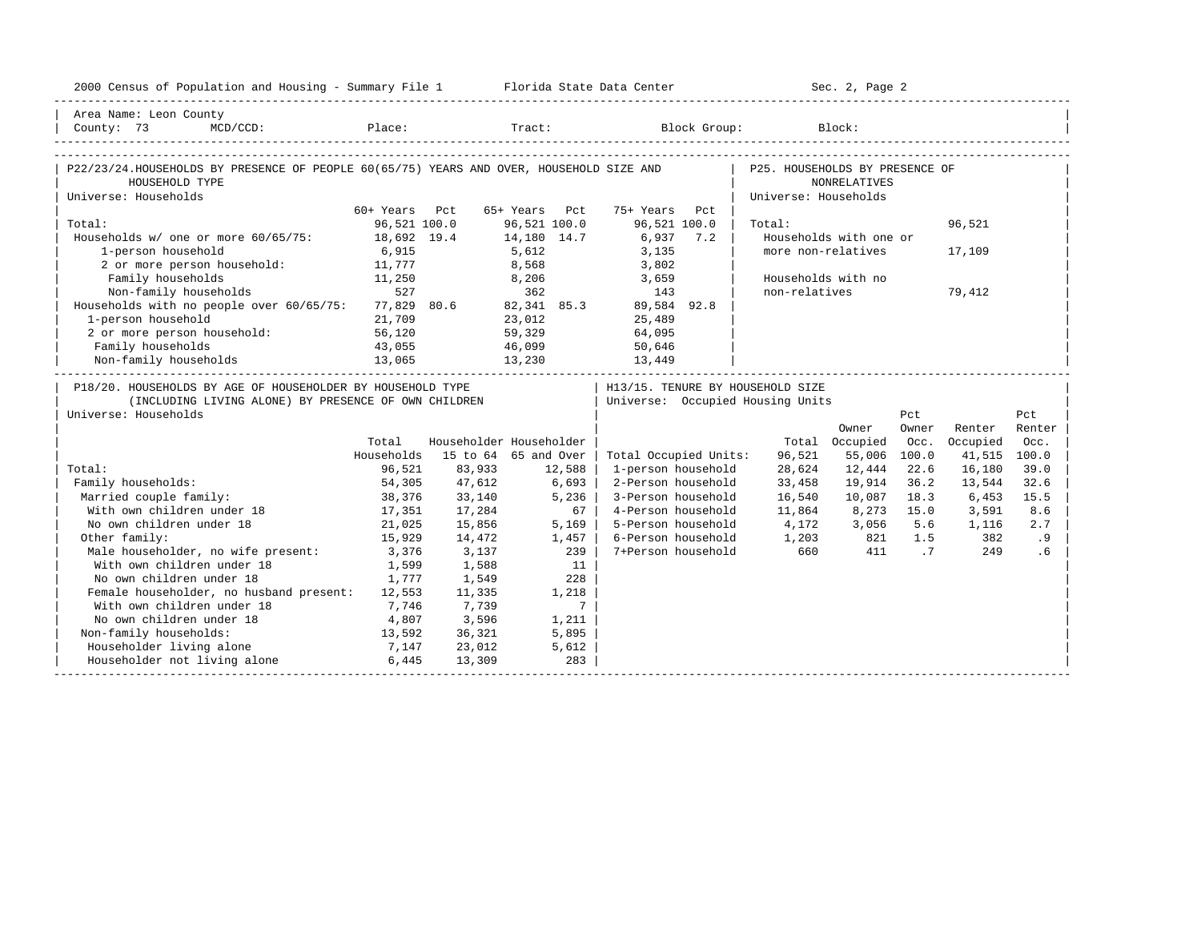| 2000 Census of Population and Housing - Summary File 1 Florida State Data Center                                                                                                        |               |                         |                      |                |                                |     |                                     | Sec. 2, Page 2         |        |              |        |
|-----------------------------------------------------------------------------------------------------------------------------------------------------------------------------------------|---------------|-------------------------|----------------------|----------------|--------------------------------|-----|-------------------------------------|------------------------|--------|--------------|--------|
| Area Name: Leon County                                                                                                                                                                  |               |                         |                      |                |                                |     |                                     |                        |        |              |        |
| $\begin{tabular}{ l } \hline County: 73 & MCD/CCD: \hspace{1.5cm} Place: \hspace{1.5cm} \textbf{Place}: \hspace{1.5cm} Block Group: \hspace{1.5cm} Block: \hspace{1.5cm} \end{tabular}$ |               |                         |                      |                |                                |     |                                     |                        |        |              |        |
|                                                                                                                                                                                         |               |                         |                      |                |                                |     |                                     |                        |        |              |        |
| P22/23/24.HOUSEHOLDS BY PRESENCE OF PEOPLE 60(65/75) YEARS AND OVER, HOUSEHOLD SIZE AND                                                                                                 |               |                         |                      |                |                                |     | P25. HOUSEHOLDS BY PRESENCE OF      |                        |        |              |        |
| HOUSEHOLD TYPE                                                                                                                                                                          |               |                         |                      |                |                                |     |                                     | <b>NONRELATIVES</b>    |        |              |        |
| Universe: Households                                                                                                                                                                    |               |                         |                      |                |                                |     | Universe: Households                |                        |        |              |        |
|                                                                                                                                                                                         | 60+ Years Pct |                         | 65+ Years Pct        |                | 75+ Years                      | Pct |                                     |                        |        |              |        |
| Total:                                                                                                                                                                                  | 96,521 100.0  |                         | 96,521 100.0         |                | 96,521 100.0                   |     | Total:                              |                        |        | 96,521       |        |
| Households w/ one or more 60/65/75:                                                                                                                                                     | 18,692 19.4   |                         | 14,180 14.7<br>5,612 |                | 6,937 7.2<br>3,135             |     |                                     | Households with one or |        |              |        |
| 1-person household                                                                                                                                                                      | 6,915         |                         |                      |                |                                |     |                                     | more non-relatives     |        | 17,109       |        |
| 2 or more person household: 11,777                                                                                                                                                      |               |                         |                      | 8,568          | 3,802                          |     |                                     |                        |        |              |        |
| Family households<br>$11,250$<br>527                                                                                                                                                    |               |                         |                      | 8,206<br>362   | 3,659                          |     |                                     | Households with no     |        |              |        |
| Non-family households                                                                                                                                                                   |               |                         |                      |                | 143                            |     | non-relatives                       |                        |        | 79,412       |        |
| Households with no people over 60/65/75: 77,829 80.6 82,341 85.3 89,584 92.8                                                                                                            |               |                         |                      |                |                                |     |                                     |                        |        |              |        |
| 1-person household 21,709<br>2 or more person household: 56,120                                                                                                                         |               |                         |                      |                | 23,012 25,489<br>59,329 64,095 |     |                                     |                        |        |              |        |
|                                                                                                                                                                                         |               |                         |                      |                |                                |     |                                     |                        |        |              |        |
| Family households                                                                                                                                                                       | 43,055        |                         |                      |                | 46,099 50,646                  |     |                                     |                        |        |              |        |
| $13,065 \hspace{1.5cm} 13,230 \hspace{1.5cm} 13,449 \hspace{1.5cm} 13,141 \hspace{1.5cm} 13,065$                                                                                        |               |                         |                      |                |                                |     |                                     |                        |        |              |        |
| P18/20. HOUSEHOLDS BY AGE OF HOUSEHOLDER BY HOUSEHOLD TYPE                                                                                                                              |               |                         |                      |                |                                |     | H13/15. TENURE BY HOUSEHOLD SIZE    |                        |        |              |        |
| (INCLUDING LIVING ALONE) BY PRESENCE OF OWN CHILDREN                                                                                                                                    |               |                         |                      |                |                                |     | Universe: Occupied Housing Units    |                        |        |              |        |
| Universe: Households                                                                                                                                                                    |               |                         |                      |                |                                |     |                                     |                        | Pct    |              | Pct    |
|                                                                                                                                                                                         |               |                         |                      |                |                                |     |                                     | Owner                  | Owner  | Renter       | Renter |
|                                                                                                                                                                                         | Total         | Householder Householder |                      |                |                                |     |                                     | Total Occupied         | Occ.   | Occupied     | Occ.   |
|                                                                                                                                                                                         | Households    | 15 to 64 65 and Over    |                      |                | Total Occupied Units:          |     | 96,521                              | 55,006                 | 100.0  | 41,515 100.0 |        |
| Total:                                                                                                                                                                                  | 96,521        | 83,933                  |                      | 12,588         | 1-person household             |     | 28,624                              | 12,444                 | 22.6   | 16,180       | 39.0   |
| Family households:                                                                                                                                                                      | 54,305        | 47,612                  |                      | 6,693          | 2-Person household             |     | 33,458                              | 19,914                 | 36.2   | 13,544       | 32.6   |
| Married couple family:                                                                                                                                                                  | 38,376        | 33,140                  |                      | 5,236          | 3-Person household             |     | 16,540                              | 10,087                 | 18.3   | 6,453        | 15.5   |
| With own children under 18                                                                                                                                                              | 17,351        | 17,284                  |                      | 67             | 4-Person household             |     |                                     | 11,864 8,273 15.0      |        | 3,591        | 8.6    |
| No own children under 18                                                                                                                                                                | 21,025        | 15,856                  |                      | 5,169          | 5-Person household             |     | 4,172 3,056 5.6                     |                        |        | 1,116        | 2.7    |
| Other family:                                                                                                                                                                           | 15,929        | 14,472                  |                      | 1,457          | 6-Person household             |     | $1,203$ $821$ $1.5$<br>660 $411$ .7 |                        |        | 382          | . 9    |
| Male householder, no wife present:                                                                                                                                                      | 3,376         | 3,137                   |                      | 239            | 7+Person household             |     | 660                                 |                        | 411 .7 | 249          | .6     |
| With own children under 18                                                                                                                                                              | 1,599         | 1,588                   |                      | 11             |                                |     |                                     |                        |        |              |        |
| No own children under 18                                                                                                                                                                | 1,777         | 1,549                   |                      | 228            |                                |     |                                     |                        |        |              |        |
| Female householder, no husband present: 12,553                                                                                                                                          |               | 11,335                  |                      | 1,218          |                                |     |                                     |                        |        |              |        |
| With own children under 18                                                                                                                                                              | 7,746         | 7,739                   |                      | $\overline{7}$ |                                |     |                                     |                        |        |              |        |
| No own children under 18<br>4,807                                                                                                                                                       |               | 3,596                   |                      | 1,211          |                                |     |                                     |                        |        |              |        |
| Non-family households:                                                                                                                                                                  | 13,592        | 36,321                  |                      | 5,895          |                                |     |                                     |                        |        |              |        |
| Householder living alone                                                                                                                                                                | 7,147         | 23,012                  |                      | 5,612          |                                |     |                                     |                        |        |              |        |
| Householder not living alone 6,445                                                                                                                                                      |               | 13,309                  |                      | 283            |                                |     |                                     |                        |        |              |        |
|                                                                                                                                                                                         |               |                         |                      |                |                                |     |                                     |                        |        |              |        |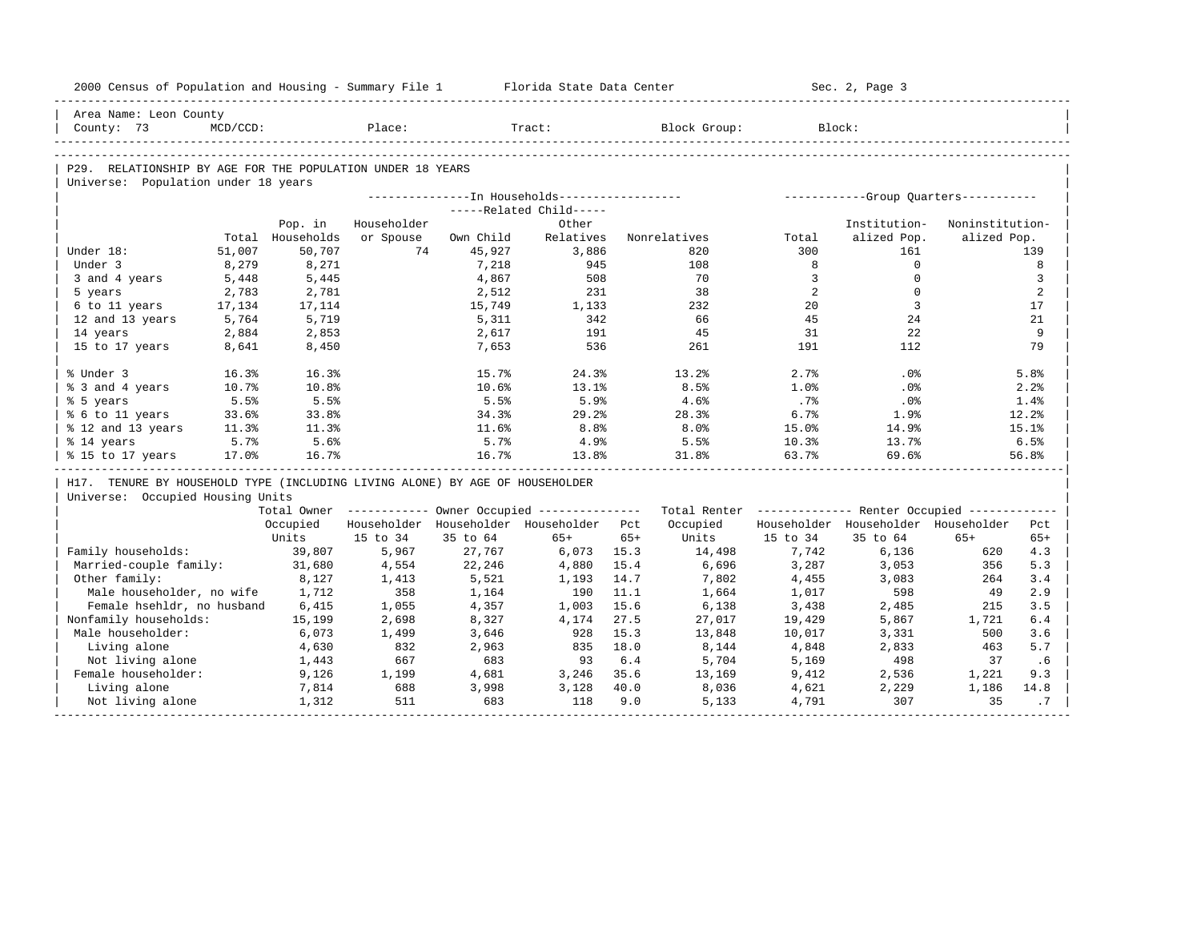| 2000 Census of Population and Housing - Summary File 1 Florida State Data Center |             |                  |             |           |                                         |       |                                                                                                               |                | Sec. 2, Page 3                      |                 |       |
|----------------------------------------------------------------------------------|-------------|------------------|-------------|-----------|-----------------------------------------|-------|---------------------------------------------------------------------------------------------------------------|----------------|-------------------------------------|-----------------|-------|
| Area Name: Leon County                                                           |             |                  |             |           |                                         |       |                                                                                                               |                |                                     |                 |       |
| County: 73                                                                       | $MCD/CCD$ : |                  | Place:      |           | Tract:                                  |       | Block Group: Block:                                                                                           |                |                                     |                 |       |
|                                                                                  |             |                  |             |           |                                         |       |                                                                                                               |                |                                     |                 |       |
| P29. RELATIONSHIP BY AGE FOR THE POPULATION UNDER 18 YEARS                       |             |                  |             |           |                                         |       |                                                                                                               |                |                                     |                 |       |
| Universe: Population under 18 years                                              |             |                  |             |           |                                         |       |                                                                                                               |                |                                     |                 |       |
|                                                                                  |             |                  |             |           |                                         |       |                                                                                                               |                |                                     |                 |       |
|                                                                                  |             |                  |             |           | -----Related Child-----                 |       |                                                                                                               |                |                                     |                 |       |
|                                                                                  |             | Pop. in          | Householder |           | Other                                   |       |                                                                                                               |                | Institution-                        | Noninstitution- |       |
|                                                                                  |             | Total Households | or Spouse   | Own Child | Relatives                               |       | Nonrelatives                                                                                                  | Total          | alized Pop.                         | alized Pop.     |       |
| Under 18:                                                                        | 51,007      | 50,707           | 74          | 45,927    | 3,886                                   |       | 820                                                                                                           | 300            | 161                                 |                 | 139   |
| Under 3                                                                          | 8,279       | 8,271            |             | 7,218     | 945                                     |       | 108                                                                                                           | 8              | $\mathbf{0}$                        |                 | 8     |
| 3 and 4 years                                                                    | 5,448       | 5,445            |             | 4,867     | 508                                     |       | 70                                                                                                            | $\overline{3}$ | $\mathbf 0$                         |                 | 3     |
| 5 years                                                                          | 2,783       | 2,781            |             | 2,512     | 231                                     |       | 38                                                                                                            | 2              | $\Omega$                            |                 | 2     |
| 6 to 11 years                                                                    | 17,134      | 17,114           |             | 15,749    | 1,133                                   |       | 232                                                                                                           | 20             | $\overline{3}$                      |                 | 17    |
| 12 and 13 years                                                                  | 5,764       | 5,719            |             | 5,311     | 342                                     |       | 66                                                                                                            | 45             | 24                                  |                 | 21    |
| 14 years                                                                         | 2,884       | 2,853            |             | 2,617     | 191                                     |       | 45                                                                                                            | 31             | 22                                  |                 | 9     |
| 15 to 17 years                                                                   | 8,641       | 8,450            |             | 7,653     | 536                                     |       | 261                                                                                                           | 191            | 112                                 |                 | 79    |
| % Under 3                                                                        | 16.3%       | 16.3%            |             | 15.7%     | 24.3%                                   |       | 13.2%                                                                                                         | 2.7%           | $.0\%$                              |                 | 5.8%  |
| % 3 and 4 years                                                                  | 10.7%       | 10.8%            |             | 10.6%     | 13.1%                                   |       | 8.5%                                                                                                          | 1.0%           | .0%                                 |                 | 2.2%  |
| % 5 years                                                                        | 5.5%        | 5.5%             |             | 5.5%      | 5.9%                                    |       | 4.6%                                                                                                          | .7%            | $.0\%$                              |                 | 1.4%  |
| % 6 to 11 years                                                                  | 33.6%       | 33.8%            |             | 34.3%     | 29.2%                                   |       | 28.3%                                                                                                         | 6.7%           | 1.9%                                |                 | 12.2% |
| % 12 and 13 years                                                                | 11.3%       | 11.3%            |             | 11.6%     | 8.8%                                    |       | 8.0%                                                                                                          | 15.0%          | 14.9%                               |                 | 15.1% |
| % 14 years                                                                       | 5.7%        | 5.6%             |             | 5.7%      | 4.9%                                    |       | 5.5%                                                                                                          | 10.3%          | 13.7%                               |                 | 6.5%  |
| % 15 to 17 years                                                                 | 17.0%       | 16.7%            |             | 16.7%     | 13.8%                                   |       | 31.8%                                                                                                         | 63.7%          | 69.6%                               |                 | 56.8% |
| H17. TENURE BY HOUSEHOLD TYPE (INCLUDING LIVING ALONE) BY AGE OF HOUSEHOLDER     |             |                  |             |           |                                         |       |                                                                                                               |                |                                     |                 |       |
| Universe: Occupied Housing Units                                                 |             |                  |             |           |                                         |       |                                                                                                               |                |                                     |                 |       |
|                                                                                  |             |                  |             |           |                                         |       | Total Owner ----------- Owner Occupied -------------- Total Renter ------------- Renter Occupied ------------ |                |                                     |                 |       |
|                                                                                  |             | Occupied         |             |           | Householder Householder Householder Pct |       | Occupied                                                                                                      |                | Householder Householder Householder |                 | Pct   |
|                                                                                  |             | Units            | 15 to 34    | 35 to 64  | $65+$                                   | $65+$ | Units                                                                                                         | 15 to 34       | 35 to 64                            | $65+$           | $65+$ |
| Family households:                                                               |             | 39,807           | 5,967       | 27,767    | 6,073 15.3                              |       | 14,498                                                                                                        | 7,742          | 6,136                               | 620             | 4.3   |
| Married-couple family:                                                           |             | 31,680           | 4,554       | 22,246    | 4,880                                   | 15.4  | 6,696                                                                                                         | 3,287          | 3,053                               | 356             | 5.3   |
| Other family:                                                                    |             | 8,127            | 1,413       | 5,521     | 1,193                                   | 14.7  | 7,802                                                                                                         | 4,455          | 3,083                               | 264             | 3.4   |
| Male householder, no wife 1,712                                                  |             |                  | 358         | 1,164     | 190                                     | 11.1  | 1,664                                                                                                         | 1,017          | 598                                 | 49              | 2.9   |
| Female hsehldr, no husband                                                       |             | 6,415            | 1,055       | 4,357     | 1,003                                   | 15.6  | 6,138                                                                                                         | 3,438          | 2,485                               | 215             | 3.5   |
| Nonfamily households:                                                            |             | 15,199           | 2,698       | 8,327     | 4,174                                   | 27.5  | 27,017                                                                                                        | 19,429         | 5,867                               | 1,721           | 6.4   |
| Male householder:                                                                |             | 6,073            | 1,499       | 3,646     | 928                                     | 15.3  | 13,848                                                                                                        | 10,017         | 3,331                               | 500             | 3.6   |
| Living alone                                                                     |             | 4,630            | 832         | 2,963     | 835 18.0                                |       | 8,144                                                                                                         | 4,848          | 2,833                               | 463             | 5.7   |
| Not living alone                                                                 |             | 1,443            | 667         | 683       | 93                                      | 6.4   | 5,704                                                                                                         | 5,169          | 498                                 | 37              | .6    |
| Female householder:                                                              |             | 9,126            | 1,199       | 4,681     | 3,246 35.6                              |       | 13,169                                                                                                        | 9,412          | 2,536                               | 1,221           | 9.3   |
| Living alone                                                                     |             | 7,814            | 688         | 3,998     | 3,128                                   | 40.0  | 8,036                                                                                                         | 4,621          | 2,229                               | 1,186           | 14.8  |
| Not living alone                                                                 |             | 1,312            | 511         | 683       | 118                                     | 9.0   | 5,133                                                                                                         | 4,791          | 307                                 | 35              | .7    |
|                                                                                  |             |                  |             |           |                                         |       |                                                                                                               |                |                                     |                 |       |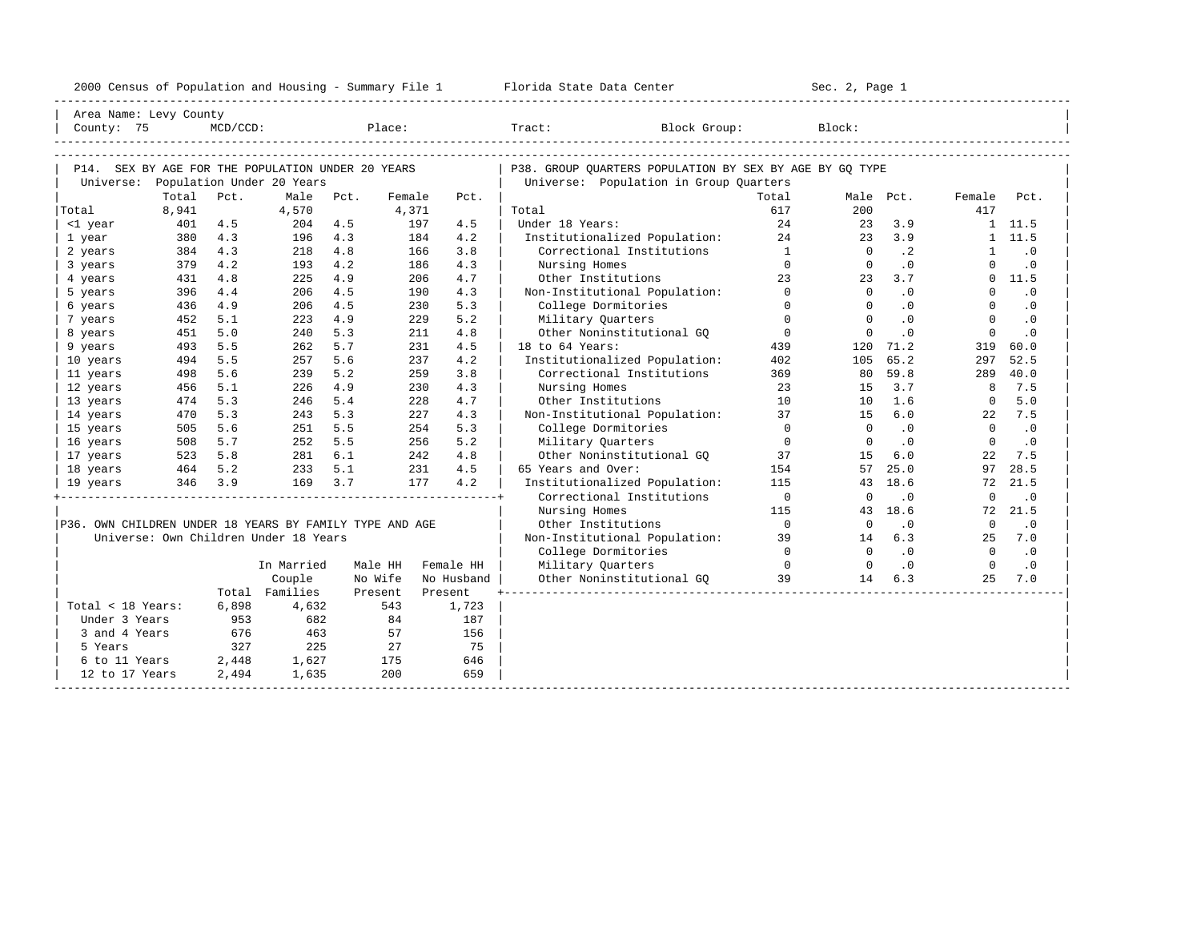| 2000 Census of Population and Housing - Summary File 1 |  | Florida State Data Center | Sec. 2, Page 1 |
|--------------------------------------------------------|--|---------------------------|----------------|
|--------------------------------------------------------|--|---------------------------|----------------|

| Area Name: Levy County<br>County: 75                                                     |         | $MCD/CCD$ : |                                       |      | Place:  |         |            | Tract:<br>Block Group:                                                                            |                | Block:         |                |                |               |
|------------------------------------------------------------------------------------------|---------|-------------|---------------------------------------|------|---------|---------|------------|---------------------------------------------------------------------------------------------------|----------------|----------------|----------------|----------------|---------------|
| P14. SEX BY AGE FOR THE POPULATION UNDER 20 YEARS<br>Universe: Population Under 20 Years |         |             |                                       |      |         |         |            | P38. GROUP OUARTERS POPULATION BY SEX BY AGE BY GO TYPE<br>Universe: Population in Group Quarters |                |                |                |                |               |
|                                                                                          | Total   | Pct.        | Male                                  | Pct. | Female  |         | Pct.       |                                                                                                   | Total          |                | Male Pct.      | Female         | Pct.          |
| Total                                                                                    | 8,941   |             | 4,570                                 |      | 4,371   |         |            | Total                                                                                             | 617            | 200            |                | 417            |               |
| <1 year                                                                                  | 401     | 4.5         | 204                                   | 4.5  |         | 197     | 4.5        | Under 18 Years:                                                                                   | 2.4            | 23             | 3.9            |                | 1 11.5        |
| 1 year                                                                                   | 380     | 4.3         | 196                                   | 4.3  |         | 184     | 4.2        | Institutionalized Population:                                                                     | 24             | 23             | 3.9            |                | 1, 11.5       |
| 2 years                                                                                  | 384     | 4.3         | 218                                   | 4.8  |         | 166     | 3.8        | Correctional Institutions                                                                         | $\mathbf{1}$   | $\overline{0}$ | $\cdot$ 2      | 1              | $\cdot$ 0     |
| 3 years                                                                                  | 379     | 4.2         | 193                                   | 4.2  |         | 186     | 4.3        | Nursing Homes                                                                                     | $\Omega$       | $\circ$        | .0             | $\Omega$       | $\cdot$ 0     |
| 4 years                                                                                  | 431     | 4.8         | 225                                   | 4.9  |         | 206     | 4.7        | Other Institutions                                                                                | 23             | 23             | 3.7            |                | 0, 11.5       |
| 5 years                                                                                  | 396     | 4.4         | 206                                   | 4.5  |         | 190     | 4.3        | Non-Institutional Population:                                                                     | $\Omega$       | $\Omega$       | $\cdot$ 0      | $\Omega$       | $\cdot$ 0     |
| 6 years                                                                                  | 436     | 4.9         | 206                                   | 4.5  |         | 230     | 5.3        | College Dormitories                                                                               | $\Omega$       | $\mathbf{0}$   | $.0 \cdot$     | $\mathbf{0}$   | $\cdot$ 0     |
| 7 years                                                                                  | 452     | 5.1         | 223                                   | 4.9  |         | 229     | 5.2        | Military Quarters                                                                                 | $\circ$        | $\Omega$       | .0             | $\Omega$       | $\cdot$ 0     |
| 8 years                                                                                  | 451     | 5.0         | 240                                   | 5.3  |         | 211     | 4.8        | Other Noninstitutional GO                                                                         | $\overline{0}$ | $\Omega$       | $\cdot$ 0      | $\Omega$       | $\cdot$ 0     |
| 9 years                                                                                  | 493     | 5.5         | 262                                   | 5.7  |         | 231     | 4.5        | 18 to 64 Years:                                                                                   | 439            |                | 120 71.2       | 319            | 60.0          |
| 10 years                                                                                 | 494     | 5.5         | 257                                   | 5.6  |         | 237     | 4.2        | Institutionalized Population:                                                                     | 402            |                | 105 65.2       | 297            | 52.5          |
| 11 years                                                                                 | 498     | 5.6         | 239                                   | 5.2  |         | 259     | 3.8        | Correctional Institutions                                                                         | 369            | 80             | 59.8           | 289            | 40.0          |
| 12 years                                                                                 | 456     | 5.1         | 226                                   | 4.9  |         | 230     | 4.3        | Nursing Homes                                                                                     | 23             | 15             | 3.7            | 8              | 7.5           |
|                                                                                          |         |             |                                       |      |         |         | 4.7        |                                                                                                   | 10             |                | 1.6            |                |               |
| 13 years                                                                                 | 474     | 5.3         | 246                                   | 5.4  |         | 228     |            | Other Institutions                                                                                |                | 10             |                | $\overline{0}$ | 5.0           |
| 14 years                                                                                 | 470     | 5.3         | 243                                   | 5.3  |         | 227     | 4.3        | Non-Institutional Population:                                                                     | 37             | 15             | 6.0            |                | 22 7.5        |
| 15 years                                                                                 | 505     | 5.6         | 251                                   | 5.5  |         | 254     | 5.3        | College Dormitories                                                                               | $\Omega$       | $\overline{0}$ | $\cdot$ 0      | $\overline{0}$ | $\cdot$ 0     |
| 16 years                                                                                 | 508     | 5.7         | $\frac{1}{252}$<br>$\frac{252}{281}$  | 5.5  |         | 256     | 5.2        | Military Quarters                                                                                 | $\bigcirc$     | $\Omega$       | $\overline{0}$ | $\Omega$       | $\cdot$ 0     |
| 17 years                                                                                 | 523 5.8 |             | 281 6.1                               |      |         | 242     | 4.8        | Other Noninstitutional GO                                                                         | 37             | 1.5            | 6.0            | 22             | 7.5           |
| 18 years                                                                                 | 464 5.2 |             | 233 5.1                               |      |         | 231     | 4.5        | 65 Years and Over:                                                                                | 154            | 57             | 25.0           | 97             | 28.5          |
| 19 years                                                                                 | 346 3.9 |             | 169                                   | 3.7  |         | 177     | 4.2        | Institutionalized Population:                                                                     | 115            |                | 43 18.6        | 72             | 21.5          |
|                                                                                          |         |             |                                       |      |         |         |            | Correctional Institutions                                                                         | $\bigcirc$     | $\Omega$       | $\cdot$ 0      | $\Omega$       | $\cdot$ 0     |
|                                                                                          |         |             |                                       |      |         |         |            | Nursing Homes                                                                                     | 115            |                | 43 18.6        |                | 72 21.5       |
| P36. OWN CHILDREN UNDER 18 YEARS BY FAMILY TYPE AND AGE                                  |         |             |                                       |      |         |         |            | Other Institutions                                                                                | $\bigcirc$     | $\Omega$       | $\cdot$ 0      | $\Omega$       | $\cdot$ 0     |
|                                                                                          |         |             | Universe: Own Children Under 18 Years |      |         |         |            | Non-Institutional Population:                                                                     | 39             | 14             | 6.3            |                | 25 7.0        |
|                                                                                          |         |             |                                       |      |         |         |            | College Dormitories                                                                               | $\overline{a}$ | $\Omega$       | $\cdot$ 0      |                | $0 \qquad .0$ |
|                                                                                          |         |             | In Married                            |      | Male HH |         | Female HH  | Military Quarters                                                                                 | $\bigcap$      | $\Omega$       | .0             | $\bigcap$      | $\cdot$ 0     |
|                                                                                          |         |             | Couple                                |      | No Wife |         | No Husband | Other Noninstitutional GQ                                                                         | 39             | 14             | 6.3            | 2.5            | 7.0           |
|                                                                                          |         |             | Total Families                        |      | Present | Present |            |                                                                                                   |                |                |                |                |               |
| Total < 18 Years:                                                                        |         | 6,898       | 4,632                                 |      | 543     |         | 1,723      |                                                                                                   |                |                |                |                |               |
| Under 3 Years                                                                            |         | 953         | 682                                   |      | 84      |         | 187        |                                                                                                   |                |                |                |                |               |
| 3 and 4 Years                                                                            |         | 676         | 463                                   |      | 57      |         | 156        |                                                                                                   |                |                |                |                |               |
| 5 Years                                                                                  |         | 327         | 225                                   |      | 27      |         | 75         |                                                                                                   |                |                |                |                |               |
| 6 to 11 Years                                                                            |         | 2,448       | 1,627                                 |      | 175     |         | 646        |                                                                                                   |                |                |                |                |               |
| 12 to 17 Years                                                                           |         | 2,494       | 1,635                                 |      | 200     |         | 659        |                                                                                                   |                |                |                |                |               |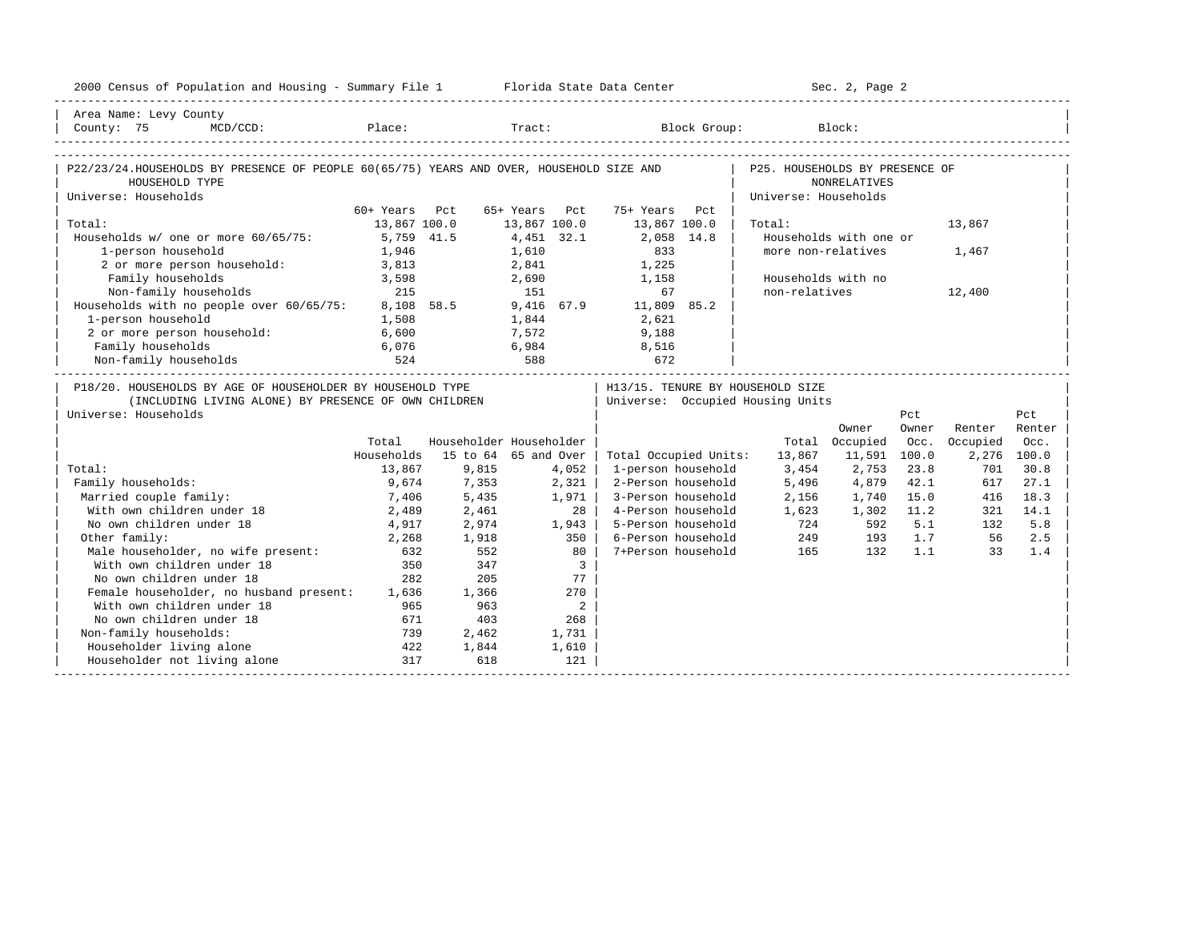| 2000 Census of Population and Housing - Summary File 1 Florida State Data Center                                                                                                                                                                                                                                                                                                                                                                                |               |                         |                |                          |                       |        |                                  | Sec. 2, Page 2         |         |          |             |
|-----------------------------------------------------------------------------------------------------------------------------------------------------------------------------------------------------------------------------------------------------------------------------------------------------------------------------------------------------------------------------------------------------------------------------------------------------------------|---------------|-------------------------|----------------|--------------------------|-----------------------|--------|----------------------------------|------------------------|---------|----------|-------------|
| Area Name: Levy County                                                                                                                                                                                                                                                                                                                                                                                                                                          |               |                         |                |                          |                       |        |                                  |                        |         |          |             |
| $\begin{array}{ c c c c c c c c c c c c c c } \hline & \multicolumn{3}{c c }{\text{County:}} & \multicolumn{3}{c }{\text{Slock Group:}} & \multicolumn{3}{c }{\text{Block }Group:} & \multicolumn{3}{c }{\text{Block :}} & \multicolumn{3}{c }{\text{Block }Group:} & \multicolumn{3}{c }{\text{Block }Group:} & \multicolumn{3}{c }{\text{Block }Group:} & \multicolumn{3}{c }{\text{Block }Group:} & \multicolumn{3}{c }{\text{Block }Group:} & \multicolumn$ |               |                         |                |                          |                       |        |                                  |                        |         |          |             |
|                                                                                                                                                                                                                                                                                                                                                                                                                                                                 |               |                         |                |                          |                       |        |                                  |                        |         |          |             |
| P22/23/24.HOUSEHOLDS BY PRESENCE OF PEOPLE 60(65/75) YEARS AND OVER, HOUSEHOLD SIZE AND                                                                                                                                                                                                                                                                                                                                                                         |               |                         |                |                          |                       |        | P25. HOUSEHOLDS BY PRESENCE OF   |                        |         |          |             |
| HOUSEHOLD TYPE                                                                                                                                                                                                                                                                                                                                                                                                                                                  |               |                         |                |                          |                       |        |                                  | <b>NONRELATIVES</b>    |         |          |             |
| Universe: Households                                                                                                                                                                                                                                                                                                                                                                                                                                            |               |                         |                |                          |                       |        | Universe: Households             |                        |         |          |             |
|                                                                                                                                                                                                                                                                                                                                                                                                                                                                 | 60+ Years Pct |                         | 65+ Years Pct  |                          | 75+ Years             | P.c.t. |                                  |                        |         |          |             |
| Total:                                                                                                                                                                                                                                                                                                                                                                                                                                                          | 13,867 100.0  |                         | 13,867 100.0   |                          | 13,867 100.0          |        | Total:                           |                        |         | 13,867   |             |
| Households w/ one or more 60/65/75:                                                                                                                                                                                                                                                                                                                                                                                                                             | 5,759 41.5    |                         | 4,451 32.1     |                          | 2,058 14.8            |        |                                  | Households with one or |         |          |             |
| 1-person household                                                                                                                                                                                                                                                                                                                                                                                                                                              | 1,946         |                         | 1,610          |                          | 833                   |        |                                  | more non-relatives     |         | 1,467    |             |
| 2 or more person household: 3,813                                                                                                                                                                                                                                                                                                                                                                                                                               |               |                         | 2,841          |                          | 1,225                 |        |                                  |                        |         |          |             |
| Family households<br>$\frac{1}{215}$                                                                                                                                                                                                                                                                                                                                                                                                                            | 3,598         |                         | 2,690          |                          | 1,158                 |        |                                  | Households with no     |         |          |             |
| Non-family households                                                                                                                                                                                                                                                                                                                                                                                                                                           |               |                         | 151            |                          | 67                    |        | non-relatives                    |                        |         | 12,400   |             |
| Households with no people over 60/65/75: 8,108 58.5 9,416 67.9 11,809 85.2                                                                                                                                                                                                                                                                                                                                                                                      |               |                         |                |                          |                       |        |                                  |                        |         |          |             |
| 1-person household                                                                                                                                                                                                                                                                                                                                                                                                                                              | 1,508         |                         | 1,844<br>7,572 |                          | 2,621                 |        |                                  |                        |         |          |             |
| 2 or more person household:                                                                                                                                                                                                                                                                                                                                                                                                                                     | 6,600         |                         |                |                          | 9,188                 |        |                                  |                        |         |          |             |
| Family households                                                                                                                                                                                                                                                                                                                                                                                                                                               | 6,076         |                         |                |                          | $6,984$ 8,516         |        |                                  |                        |         |          |             |
| Non-family households                                                                                                                                                                                                                                                                                                                                                                                                                                           |               |                         |                |                          |                       |        |                                  |                        |         |          |             |
| P18/20. HOUSEHOLDS BY AGE OF HOUSEHOLDER BY HOUSEHOLD TYPE                                                                                                                                                                                                                                                                                                                                                                                                      |               |                         |                |                          |                       |        | H13/15. TENURE BY HOUSEHOLD SIZE |                        |         |          |             |
| (INCLUDING LIVING ALONE) BY PRESENCE OF OWN CHILDREN                                                                                                                                                                                                                                                                                                                                                                                                            |               |                         |                |                          |                       |        | Universe: Occupied Housing Units |                        |         |          |             |
| Universe: Households                                                                                                                                                                                                                                                                                                                                                                                                                                            |               |                         |                |                          |                       |        |                                  |                        | Pct     |          | Pct         |
|                                                                                                                                                                                                                                                                                                                                                                                                                                                                 |               |                         |                |                          |                       |        |                                  | Owner                  | Owner   | Renter   | Renter      |
|                                                                                                                                                                                                                                                                                                                                                                                                                                                                 | Total         | Householder Householder |                |                          |                       |        |                                  | Total Occupied         | Occ.    | Occupied | Occ.        |
|                                                                                                                                                                                                                                                                                                                                                                                                                                                                 | Households    | 15 to 64 65 and Over    |                |                          | Total Occupied Units: |        | 13,867                           | 11,591 100.0           |         |          | 2,276 100.0 |
| Total:                                                                                                                                                                                                                                                                                                                                                                                                                                                          | 13,867        | 9,815                   |                | 4,052                    | 1-person household    |        | 3,454                            | 2,753                  | 23.8    | 701      | 30.8        |
| Family households:                                                                                                                                                                                                                                                                                                                                                                                                                                              | 9,674         | 7,353                   |                | 2,321                    | 2-Person household    |        | 5,496                            | 4,879                  | 42.1    | 617      | 27.1        |
| Married couple family:                                                                                                                                                                                                                                                                                                                                                                                                                                          | 7,406         | 5,435                   |                | 1,971                    | 3-Person household    |        | 2,156                            | 1,740                  | 15.0    | 416      | 18.3        |
| With own children under 18                                                                                                                                                                                                                                                                                                                                                                                                                                      | 2,489         | 2,461                   |                | 28 I                     | 4-Person household    |        | 1,623                            | 1,302                  | 11.2    | 321      | 14.1        |
| No own children under 18                                                                                                                                                                                                                                                                                                                                                                                                                                        | 4,917         | 2,974                   |                | 1,943                    | 5-Person household    |        | 724                              | 592                    | 5.1     | 132      | 5.8         |
| Other family:                                                                                                                                                                                                                                                                                                                                                                                                                                                   | 2,268         | 1,918                   |                | 350                      | 6-Person household    |        | 249<br>165                       |                        | 193 1.7 | 56       | 2.5         |
| Male householder, no wife present:                                                                                                                                                                                                                                                                                                                                                                                                                              | 632           | 552                     |                | 80                       | 7+Person household    |        |                                  | 132                    | 1.1     | 33       | 1.4         |
| With own children under 18                                                                                                                                                                                                                                                                                                                                                                                                                                      | 350           | 347                     |                | $\overline{\mathbf{3}}$  |                       |        |                                  |                        |         |          |             |
| No own children under 18                                                                                                                                                                                                                                                                                                                                                                                                                                        | 282           | 205                     |                | 77                       |                       |        |                                  |                        |         |          |             |
| Female householder, no husband present: 1,636                                                                                                                                                                                                                                                                                                                                                                                                                   |               | 1,366                   |                | 270                      |                       |        |                                  |                        |         |          |             |
| With own children under 18                                                                                                                                                                                                                                                                                                                                                                                                                                      | 965           | 963                     |                | $\overline{\phantom{a}}$ |                       |        |                                  |                        |         |          |             |
| No own children under 18                                                                                                                                                                                                                                                                                                                                                                                                                                        | 671           | 403                     |                | 268                      |                       |        |                                  |                        |         |          |             |
| Non-family households:                                                                                                                                                                                                                                                                                                                                                                                                                                          | 739           | 2,462                   |                | 1,731                    |                       |        |                                  |                        |         |          |             |
|                                                                                                                                                                                                                                                                                                                                                                                                                                                                 |               |                         |                |                          |                       |        |                                  |                        |         |          |             |
| Householder living alone<br>Householder not living alone                                                                                                                                                                                                                                                                                                                                                                                                        | 422<br>317    | 1,844<br>618            |                | 1,610<br>121             |                       |        |                                  |                        |         |          |             |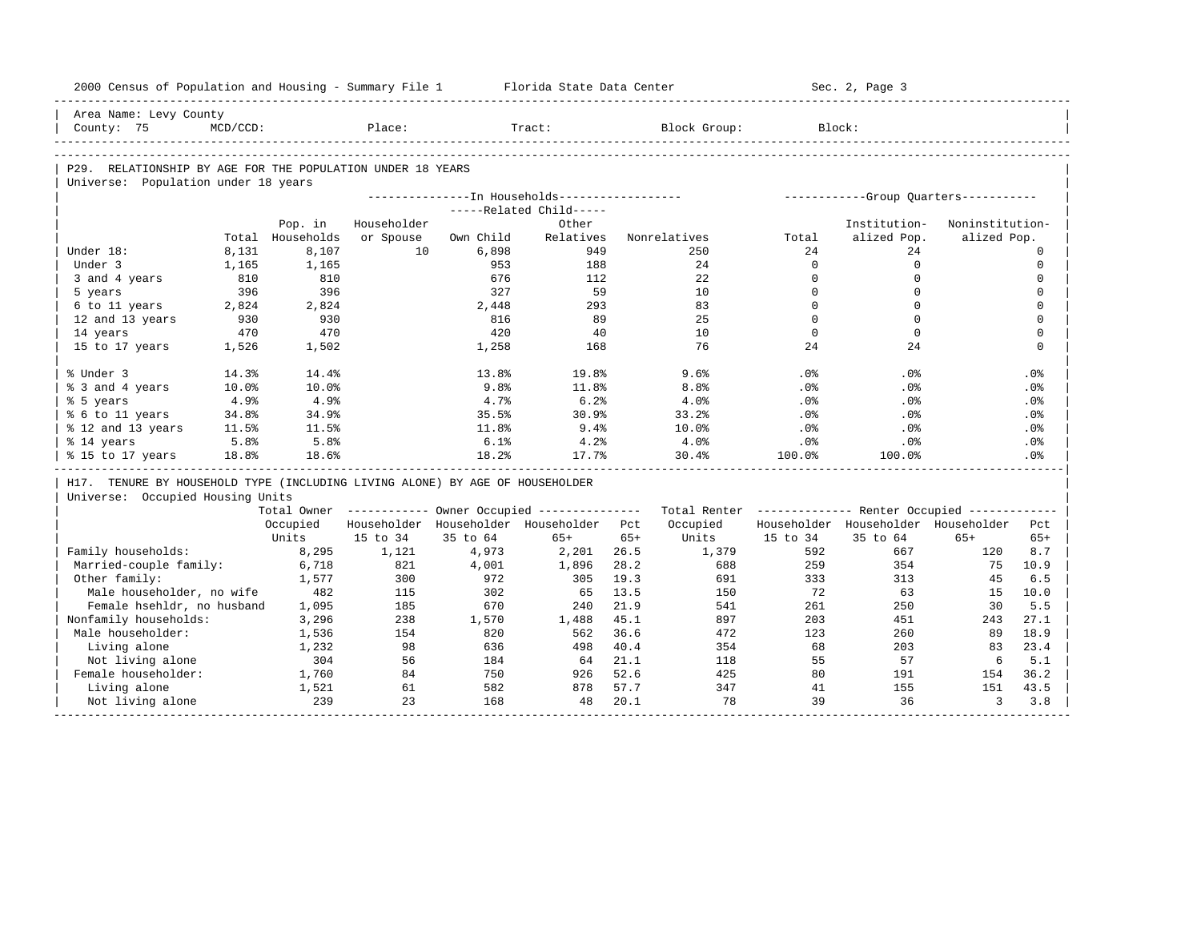| 2000 Census of Population and Housing - Summary File 1                       |                |                                       |                 |              | Florida State Data Center                              |       |                                                         |                 | Sec. 2, Page 3                        |                 |                            |
|------------------------------------------------------------------------------|----------------|---------------------------------------|-----------------|--------------|--------------------------------------------------------|-------|---------------------------------------------------------|-----------------|---------------------------------------|-----------------|----------------------------|
| Area Name: Levy County                                                       |                |                                       |                 |              |                                                        |       |                                                         |                 |                                       |                 |                            |
| County: 75                                                                   | $MCD/CCD$ :    | . _ _ _ _ _ _ _ _ _ _ _ _ _ _ _ _ _ _ | Place:          |              | Tract:                                                 |       | Block Group:                                            |                 | Block:                                |                 |                            |
|                                                                              |                |                                       |                 |              |                                                        |       |                                                         |                 |                                       |                 |                            |
| P29. RELATIONSHIP BY AGE FOR THE POPULATION UNDER 18 YEARS                   |                |                                       |                 |              |                                                        |       |                                                         |                 |                                       |                 |                            |
| Universe: Population under 18 years                                          |                |                                       |                 |              |                                                        |       |                                                         |                 |                                       |                 |                            |
|                                                                              |                |                                       |                 |              | ---------------- In Households------------------       |       |                                                         |                 | ------------Group Ouarters----------- |                 |                            |
|                                                                              |                |                                       |                 |              | -----Related Child-----                                |       |                                                         |                 |                                       |                 |                            |
|                                                                              |                | Pop. in                               | Householder     |              | Other                                                  |       |                                                         |                 | Institution-                          | Noninstitution- |                            |
| Under 18:                                                                    |                | Total Households                      | or Spouse<br>10 | Own Child    | Relatives<br>949                                       |       | Nonrelatives                                            | Total           | alized Pop.<br>24                     | alized Pop.     |                            |
| Under 3                                                                      | 8,131<br>1,165 | 8,107<br>1,165                        |                 | 6,898<br>953 | 188                                                    |       | 250<br>24                                               | 24<br>$\Omega$  | $\Omega$                              |                 | $\mathbf 0$<br>$\mathbf 0$ |
| 3 and 4 years                                                                | 810            | 810                                   |                 | 676          | 112                                                    |       | 22                                                      | $\Omega$        | $\mathbf 0$                           |                 | $\mathbf 0$                |
| 5 years                                                                      | 396            | 396                                   |                 | 327          | 59                                                     |       | 10                                                      | $\Omega$        | $\Omega$                              |                 | $\Omega$                   |
| 6 to 11 years                                                                | 2,824          | 2,824                                 |                 | 2,448        | 293                                                    |       | 83                                                      | $\Omega$        | $\Omega$                              |                 | $\mathbf 0$                |
| 12 and 13 years                                                              | 930            | 930                                   |                 | 816          | 89                                                     |       | 2.5                                                     | $\Omega$        | $\Omega$                              |                 | $\Omega$                   |
| 14 years                                                                     | 470            | 470                                   |                 | 420          | 40                                                     |       | 10                                                      | $\Omega$        | $\Omega$                              |                 | $\mathbf 0$                |
| 15 to 17 years                                                               | 1,526          | 1,502                                 |                 | 1,258        | 168                                                    |       | 76                                                      | 24              | 24                                    |                 | $\Omega$                   |
|                                                                              |                |                                       |                 |              |                                                        |       |                                                         |                 |                                       |                 |                            |
| % Under 3                                                                    | 14.3%          | 14.4%                                 |                 | 13.8%        | 19.8%                                                  |       | 9.6%                                                    | .0%             | .0%                                   |                 | .0%                        |
| % 3 and 4 years                                                              | 10.0%          | 10.0%                                 |                 | 9.8%         | 11.8%                                                  |       | 8.8%                                                    | .0%             | .0%                                   |                 | .0%                        |
| % 5 years                                                                    | 4.9%           | 4.9%                                  |                 | 4.7%         | 6.2%                                                   |       | 4.0%                                                    | .0%             | .0 <sup>8</sup>                       |                 | .0%                        |
| % 6 to 11 years                                                              | 34.8%          | 34.9%                                 |                 | 35.5%        | 30.9%                                                  |       | 33.2%                                                   | .0%             | .0%                                   |                 | .0%                        |
| % 12 and 13 years                                                            | 11.5%          | 11.5%                                 |                 | 11.8%        | 9.4%                                                   |       | 10.0%                                                   | .0 <sup>8</sup> | .0%                                   |                 | .0 <sup>8</sup>            |
| % 14 years                                                                   | 5.8%           | 5.8%                                  |                 | 6.1%         | 4.2%                                                   |       | 4.0%                                                    | .0%             | .0%                                   |                 | .0%                        |
| % 15 to 17 years                                                             | 18.8%          | 18.6%                                 |                 | 18.2%        | 17.7%                                                  |       | 30.4%                                                   | 100.0%          | 100.0%                                |                 | .0 <sup>8</sup>            |
| H17. TENURE BY HOUSEHOLD TYPE (INCLUDING LIVING ALONE) BY AGE OF HOUSEHOLDER |                |                                       |                 |              |                                                        |       |                                                         |                 |                                       |                 |                            |
| Universe: Occupied Housing Units                                             |                |                                       |                 |              |                                                        |       |                                                         |                 |                                       |                 |                            |
|                                                                              |                |                                       |                 |              | Total Owner ------------ Owner Occupied -------------- |       | Total Renter ------------- Renter Occupied ------------ |                 |                                       |                 |                            |
|                                                                              |                | Occupied                              |                 |              | Householder Householder Householder Pct                |       | Occupied                                                |                 | Householder Householder Householder   |                 | Pct                        |
|                                                                              |                | Units                                 | 15 to 34        | 35 to 64     | $65+$                                                  | $65+$ | Units                                                   | 15 to 34        | 35 to 64                              | $65+$           | $65+$                      |
| Family households:                                                           |                | 8,295                                 | 1,121           | 4,973        | 2,201                                                  | 26.5  | 1,379                                                   | 592             | 667                                   | 120             | 8.7                        |
| Married-couple family:                                                       |                | 6,718                                 | 821             | 4,001        | 1,896                                                  | 28.2  | 688                                                     | 259             | 354                                   | 75              | 10.9                       |
| Other family:                                                                |                | 1,577                                 | 300             | 972          | 305                                                    | 19.3  | 691                                                     | 333             | 313                                   | 45              | 6.5                        |
| Male householder, no wife                                                    |                | 482                                   | 115             | 302          | 65                                                     | 13.5  | 150                                                     | 72              | 63                                    | 15              | 10.0                       |
| Female hsehldr, no husband                                                   |                | 1,095                                 | 185             | 670          | 240                                                    | 21.9  | 541                                                     | 261             | 250                                   | 30              | 5.5                        |
| Nonfamily households:                                                        |                | 3,296                                 | 238             | 1,570        | 1,488                                                  | 45.1  | 897                                                     | 203             | 451                                   | 243             | 27.1                       |
| Male householder:                                                            |                | 1,536                                 | 154             | 820          | 562                                                    | 36.6  | 472                                                     | 123             | 260                                   | 89              | 18.9                       |
| Living alone                                                                 |                | 1,232                                 | 98              | 636          | 498                                                    | 40.4  | 354                                                     | 68              | 203                                   | 83              | 23.4                       |
| Not living alone                                                             |                | 304                                   | 56              | 184          | 64                                                     | 21.1  | 118                                                     | 55              | 57                                    | 6               | 5.1                        |
| Female householder:                                                          |                | 1,760                                 | 84              | 750          | 926                                                    | 52.6  | 425                                                     | 80              | 191                                   | 154             | 36.2                       |
| Living alone                                                                 |                | 1,521                                 | 61              | 582          | 878                                                    | 57.7  | 347                                                     | 41              | 155                                   | 151             | 43.5                       |
| Not living alone                                                             |                | 239                                   | 23              | 168          | 48                                                     | 20.1  | 78                                                      | 39              | 36                                    | 3               | 3.8                        |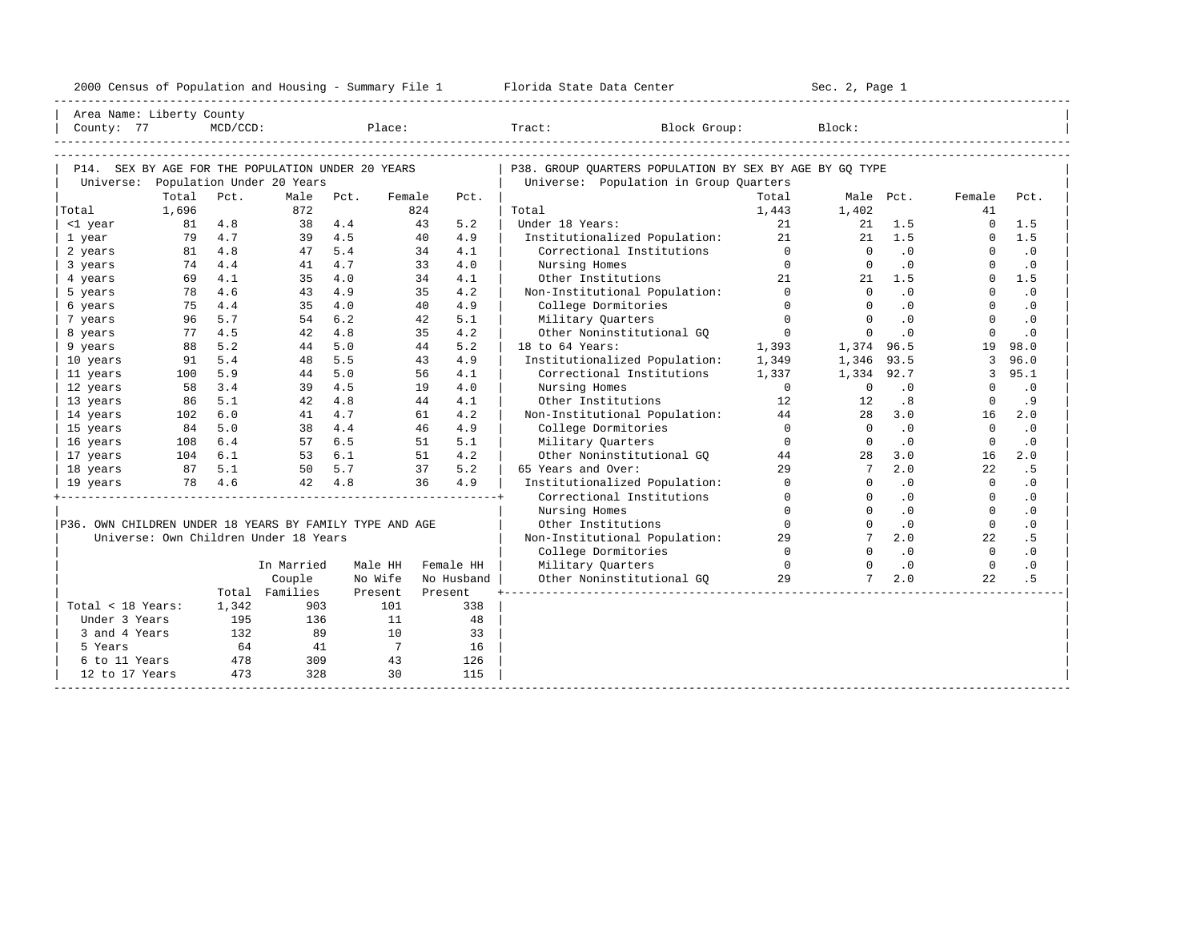| 2000<br>ensus! | and<br>Population | ---<br>Summa:<br>$-$<br>Housing | lorida<br>Data<br>otatt<br>Cente. | ، م ج<br>Page<br>$3-1$ |  |
|----------------|-------------------|---------------------------------|-----------------------------------|------------------------|--|
|                |                   |                                 |                                   |                        |  |

| Area Name: Liberty County                               |          |             |                                       |            |                |            |                                                         |                |                      |                |                      |                             |
|---------------------------------------------------------|----------|-------------|---------------------------------------|------------|----------------|------------|---------------------------------------------------------|----------------|----------------------|----------------|----------------------|-----------------------------|
| County: 77                                              |          | $MCD/CCD$ : |                                       | Place:     |                |            | Tract: Block Group:                                     |                | Block:               |                |                      |                             |
|                                                         |          |             |                                       |            |                |            |                                                         |                |                      |                |                      |                             |
|                                                         |          |             |                                       |            |                |            |                                                         |                |                      |                |                      |                             |
| P14. SEX BY AGE FOR THE POPULATION UNDER 20 YEARS       |          |             |                                       |            |                |            | P38. GROUP QUARTERS POPULATION BY SEX BY AGE BY GQ TYPE |                |                      |                |                      |                             |
|                                                         |          |             | Universe: Population Under 20 Years   |            |                |            | Universe: Population in Group Quarters                  |                |                      |                |                      |                             |
|                                                         | Total    | Pct.        | Male                                  | Pct.       | Female         | Pct.       |                                                         | Total          |                      | Male Pct.      | Female               | Pct.                        |
| Total                                                   | 1,696    |             | 872                                   |            | 824            |            | Total                                                   | 1,443          | 1,402                |                | 41                   |                             |
| <1 year                                                 | 81 4.8   |             | 38                                    | 4.4        | 43             | 5.2        | Under 18 Years:                                         | 21             |                      | $21 \t 1.5$    | $\circ$              | 1.5                         |
| 1 year                                                  |          | 79 4.7      |                                       | 39 4.5     | 40             | 4.9        | Institutionalized Population:                           | 21             | 21                   | 1.5            | $\Omega$             | 1.5                         |
| 2 years                                                 | 81       | 4.8         | 47                                    | 5.4<br>4.7 | 34             | 4.1        | Correctional Institutions                               | $\overline{0}$ | $\Omega$             | $\cdot$ 0      | $\Omega$             | $\cdot$ 0                   |
| 3 years                                                 | 74       | 4.4<br>4.1  | 41                                    | 4.0        | 33             | 4.0        | Nursing Homes                                           | $\Omega$<br>21 | $\Omega$             | .0             | $\Omega$<br>$\Omega$ | $\cdot$ 0<br>1.5            |
| 4 years                                                 | 69<br>78 |             | 35                                    |            | 34             | 4.1        | Other Institutions                                      |                |                      | $21 \quad 1.5$ |                      |                             |
| 5 years                                                 |          | 4.6         | 43                                    | 4.9        | 35             | 4.2        | Non-Institutional Population: 0                         | $\Omega$       | $\Omega$             | $\overline{0}$ | $\Omega$             | $\cdot$ 0                   |
| 6 years                                                 | 75       | 4.4<br>5.7  | 35                                    | 4.0<br>6.2 | 40             | 4.9        | College Dormitories                                     | $\overline{0}$ | $\Omega$             | $\cdot$ 0      | $\Omega$             | $\cdot$ 0                   |
| 7 years                                                 | 96       |             | 54                                    |            | 42             | 5.1        | Military Ouarters                                       | $\overline{0}$ | $\Omega$<br>$\Omega$ | .0<br>.0       | $\Omega$<br>$\Omega$ | $\cdot$ 0<br>$\overline{0}$ |
| 8 years                                                 | 77       | 4.5         | 42                                    | 4.8        | 35             | 4.2        | Other Noninstitutional GQ                               |                |                      |                |                      |                             |
| 9 years                                                 | 88       | 5.2         | 44                                    | 5.0        | 44             | 5.2        | 18 to 64 Years:                                         | 1,393          | 1,374 96.5           |                | 19                   | 98.0                        |
| 10 years                                                | 91       | 5.4         | 48                                    | 5.5        | 43             | 4.9        | Institutionalized Population:                           | 1,349          | 1,346                | 93.5           | 3                    | 96.0                        |
| 11 years                                                | 100      | 5.9         | 44                                    | 5.0        | 56             | 4.1        | Correctional Institutions                               | 1,337          | 1,334 92.7           |                | 3                    | 95.1                        |
| 12 years                                                | 58       | 3.4         | 39                                    | 4.5        | 19             | 4.0        | Nursing Homes                                           | $\overline{0}$ | $\circ$              | .0             | $\Omega$             | $\cdot$ 0                   |
| 13 years                                                | 86       | 5.1         | 42                                    | 4.8        | 44             | 4.1        | Other Institutions                                      | 12             | 12                   | .8             | $\Omega$             | . 9                         |
| 14 years                                                | 102      | 6.0         | 41                                    | 4.7        | 61             | 4.2        | Non-Institutional Population:                           | 44             | 28                   | 3.0            | 16                   | 2.0                         |
| 15 years                                                | 84       | 5.0         |                                       | 38 4.4     | 46             | 4.9        | College Dormitories                                     | $\Omega$       | $\Omega$             | $\cdot$ 0      | $\Omega$             | $\cdot$ 0                   |
| 16 years                                                | 108      | 6.4         |                                       | 57 6.5     | 51             | 5.1        | Military Quarters                                       | $\Omega$       | $\Omega$             | $\cdot$ 0      | $\Omega$             | $\cdot$ 0                   |
| 17 years                                                | 104 6.1  |             | 53 6.1                                |            | 51             | 4.2        | Other Noninstitutional GQ                               | 44             | 28                   | 3.0            | 16                   | 2.0                         |
| 18 years                                                | 87 5.1   |             |                                       | 50 5.7     | 37             | 5.2        | 65 Years and Over:                                      | 29             | $7^{\circ}$          | 2.0            | 22                   | .5                          |
| 19 years                                                | 78 4.6   |             |                                       | 42 4.8     | 36             | 4.9        | Institutionalized Population:                           | $\Omega$       | $\Omega$             | .0             | $\Omega$             | $\cdot$ 0                   |
|                                                         |          |             |                                       |            |                |            | Correctional Institutions                               | $\Omega$       | $\Omega$             | $\cdot$ 0      | $\Omega$             | $\cdot$ 0                   |
|                                                         |          |             |                                       |            |                |            | Nursing Homes                                           | $\Omega$       |                      | .0             | $\Omega$             | $\cdot$ 0                   |
| P36. OWN CHILDREN UNDER 18 YEARS BY FAMILY TYPE AND AGE |          |             |                                       |            |                |            | Other Institutions                                      | $\Omega$       | $\Omega$             | .0             | $\Omega$             | $\cdot$ 0                   |
|                                                         |          |             | Universe: Own Children Under 18 Years |            |                |            | Non-Institutional Population:                           | 29             |                      | 2.0            | 22                   | . 5                         |
|                                                         |          |             |                                       |            |                |            | College Dormitories                                     | $\Omega$       | $\Omega$             | $\cdot$ 0      | $\Omega$             | $\cdot$ 0                   |
|                                                         |          |             | In Married                            | Male HH    |                | Female HH  | Military Quarters                                       | $\overline{0}$ | $\Omega$             | .0             | $\Omega$             | $\cdot$ 0                   |
|                                                         |          |             | Couple                                | No Wife    |                | No Husband | Other Noninstitutional GQ                               | 2.9            | $7^{\circ}$          | 2.0            | 22.2                 | .5                          |
|                                                         |          |             | Total Families                        | Present    |                | Present    |                                                         |                |                      |                |                      |                             |
| Total < 18 Years:                                       |          | 1,342       | 903                                   |            | 101            | 338        |                                                         |                |                      |                |                      |                             |
| Under 3 Years                                           |          | 195         | 136                                   |            | 11             | 48         |                                                         |                |                      |                |                      |                             |
| 3 and 4 Years                                           |          | 132         | 89                                    |            | 10             | 33         |                                                         |                |                      |                |                      |                             |
| 5 Years                                                 |          | 64          | 41                                    |            | $\overline{7}$ | 16         |                                                         |                |                      |                |                      |                             |
| 6 to 11 Years                                           |          | 478         | 309                                   |            | 43             | 126        |                                                         |                |                      |                |                      |                             |
| 12 to 17 Years                                          |          | 473         | 328                                   |            | 30             | 115        |                                                         |                |                      |                |                      |                             |
|                                                         |          |             |                                       |            |                |            |                                                         |                |                      |                |                      |                             |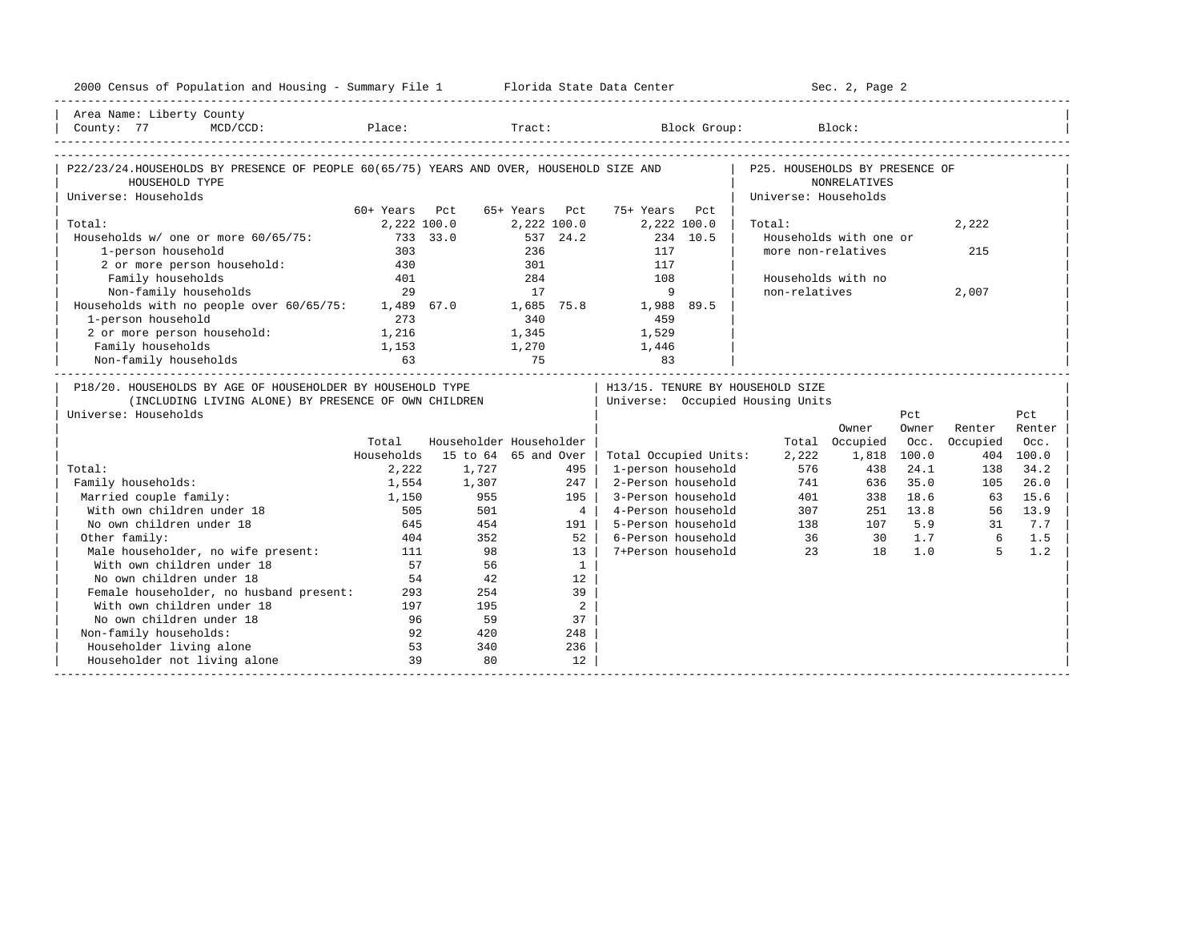| 2000 Census of Population and Housing - Summary File 1 Florida State Data Center                                                                                                                                        |                              |                         |                              |                |                              |          |                                                                        | Sec. 2, Page 2         |          |                |           |
|-------------------------------------------------------------------------------------------------------------------------------------------------------------------------------------------------------------------------|------------------------------|-------------------------|------------------------------|----------------|------------------------------|----------|------------------------------------------------------------------------|------------------------|----------|----------------|-----------|
| Area Name: Liberty County                                                                                                                                                                                               |                              |                         |                              |                |                              |          |                                                                        |                        |          |                |           |
| $\begin{tabular}{ l l } \hline County: & 77 & MCD/CCD: & \textcolor{red}{Place:} & \textcolor{red}{Trace:} & \textcolor{red}{Block Group:} & \textcolor{blue}{Block:} & \textcolor{green}{Block:} \hline \end{tabular}$ |                              |                         |                              |                |                              |          |                                                                        |                        |          |                |           |
|                                                                                                                                                                                                                         |                              |                         |                              |                |                              |          |                                                                        |                        |          |                |           |
| P22/23/24.HOUSEHOLDS BY PRESENCE OF PEOPLE 60(65/75) YEARS AND OVER, HOUSEHOLD SIZE AND                                                                                                                                 |                              |                         |                              |                |                              |          | P25. HOUSEHOLDS BY PRESENCE OF                                         |                        |          |                |           |
| HOUSEHOLD TYPE                                                                                                                                                                                                          |                              |                         |                              |                |                              |          |                                                                        | <b>NONRELATIVES</b>    |          |                |           |
| Universe: Households                                                                                                                                                                                                    |                              |                         |                              |                |                              |          | Universe: Households                                                   |                        |          |                |           |
| Total:                                                                                                                                                                                                                  | 60+ Years Pct<br>2,222 100.0 |                         | 65+ Years Pct<br>2,222 100.0 |                | 75+ Years Pct<br>2,222 100.0 |          | Total:                                                                 |                        |          | 2,222          |           |
| Households w/ one or more 60/65/75:                                                                                                                                                                                     |                              | 733 33.0                | 537 24.2                     |                |                              | 234 10.5 |                                                                        | Households with one or |          |                |           |
| 1-person household                                                                                                                                                                                                      | 303                          |                         | 236                          |                | 117                          |          |                                                                        | more non-relatives     |          | 215            |           |
| 2 or more person household: 430                                                                                                                                                                                         |                              |                         | 301                          |                | 117                          |          |                                                                        |                        |          |                |           |
| Family households                                                                                                                                                                                                       | 401                          |                         | 284                          |                | 108                          |          | Households with no                                                     |                        |          |                |           |
| Non-family households                                                                                                                                                                                                   | 29                           |                         | 17                           |                | 9                            |          | non-relatives                                                          |                        |          | 2,007          |           |
| Households with no people over 60/65/75: 1,489 67.0 1,685 75.8 1,988 89.5                                                                                                                                               |                              |                         |                              |                |                              |          |                                                                        |                        |          |                |           |
| 1-person household                                                                                                                                                                                                      | 273                          |                         |                              |                | 459                          |          |                                                                        |                        |          |                |           |
| 2 or more person household: 1,216                                                                                                                                                                                       |                              |                         | $340$<br>1,345               |                | 1,529                        |          |                                                                        |                        |          |                |           |
| Family households                                                                                                                                                                                                       | 1,153                        | $1,270$ $1,446$         |                              |                |                              |          |                                                                        |                        |          |                |           |
| Non-family households                                                                                                                                                                                                   |                              | 75                      |                              |                |                              |          |                                                                        |                        |          |                |           |
|                                                                                                                                                                                                                         |                              |                         |                              |                |                              |          |                                                                        |                        |          |                |           |
| P18/20. HOUSEHOLDS BY AGE OF HOUSEHOLDER BY HOUSEHOLD TYPE<br>(INCLUDING LIVING ALONE) BY PRESENCE OF OWN CHILDREN<br>Universe: Households                                                                              |                              |                         |                              |                |                              |          | H13/15. TENURE BY HOUSEHOLD SIZE<br>  Universe: Occupied Housing Units |                        | Pct      |                | Pct       |
|                                                                                                                                                                                                                         |                              |                         |                              |                |                              |          |                                                                        | Owner                  | Owner    | Renter         | Renter    |
|                                                                                                                                                                                                                         | Total                        | Householder Householder |                              |                |                              |          |                                                                        | Total Occupied         | Occ.     | Occupied       | Occ.      |
|                                                                                                                                                                                                                         | Households                   | 15 to 64 65 and Over    |                              |                | Total Occupied Units:        |          | 2,222                                                                  | 1,818 100.0            |          |                | 404 100.0 |
| Total:                                                                                                                                                                                                                  | 2,222                        | 1,727                   |                              | 495            | 1-person household           |          | 576                                                                    | 438                    | 24.1     | 138            | 34.2      |
| Family households:                                                                                                                                                                                                      | 1,554                        | 1,307                   |                              | 247            | 2-Person household           |          |                                                                        | 741<br>636             | 35.0     | 105            | 26.0      |
| Married couple family:                                                                                                                                                                                                  | 1,150                        |                         |                              | 195 l          | 3-Person household           |          |                                                                        | 338                    | 18.6     | 63             | 15.6      |
| With own children under 18                                                                                                                                                                                              | 505                          | 955<br>501              |                              | $4 \mid$       | 4-Person household           |          |                                                                        | 401<br>307             | 251 13.8 |                | 56 13.9   |
| No own children under 18                                                                                                                                                                                                | 645                          | 454                     |                              | 191 l          | 5-Person household           |          |                                                                        | 138                    | 107 5.9  | 31             | 7.7       |
| Other family:                                                                                                                                                                                                           | 404                          | 352                     |                              | $52$           | 6-Person household           |          | 36                                                                     | $30 \t 1.7$            |          | $\overline{6}$ | 1.5       |
| Male householder, no wife present:                                                                                                                                                                                      | 111                          | 98                      |                              | $13-1$         | 7+Person household           |          | 2.3                                                                    | 18                     | 1.0      | $5^{\circ}$    | 1.2       |
| With own children under 18                                                                                                                                                                                              | 57                           | 56                      |                              | $\mathbf{1}$   |                              |          |                                                                        |                        |          |                |           |
| No own children under 18                                                                                                                                                                                                | 54                           | 42                      |                              | 12             |                              |          |                                                                        |                        |          |                |           |
| Female householder, no husband present:                                                                                                                                                                                 | 293                          | 254                     |                              | 39             |                              |          |                                                                        |                        |          |                |           |
| With own children under 18                                                                                                                                                                                              | 197                          | 195                     |                              | $\overline{2}$ |                              |          |                                                                        |                        |          |                |           |
| No own children under 18                                                                                                                                                                                                | 96                           | 59                      |                              | 37             |                              |          |                                                                        |                        |          |                |           |
| Non-family households:                                                                                                                                                                                                  | 92                           | 420                     |                              | 248            |                              |          |                                                                        |                        |          |                |           |
| Householder living alone<br>Householder not living alone                                                                                                                                                                | 53<br>39                     | 340<br>80               |                              | 236<br>12      |                              |          |                                                                        |                        |          |                |           |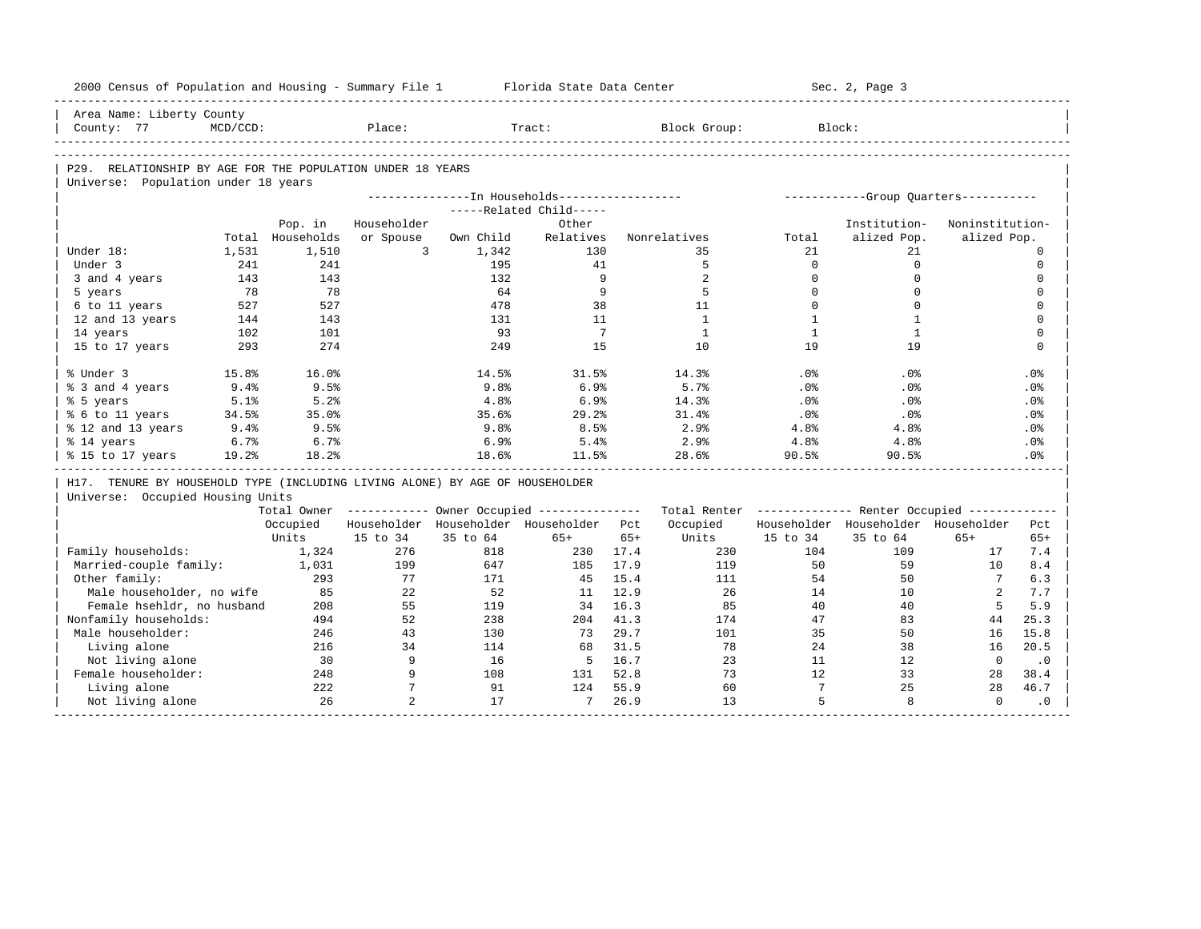| 2000 Census of Population and Housing - Summary File 1                       |             |                             |                 |           | Florida State Data Center                              |              |              |              | Sec. 2, Page 3                                          |                      |              |
|------------------------------------------------------------------------------|-------------|-----------------------------|-----------------|-----------|--------------------------------------------------------|--------------|--------------|--------------|---------------------------------------------------------|----------------------|--------------|
| Area Name: Liberty County                                                    |             |                             |                 |           |                                                        |              |              |              |                                                         |                      |              |
| County: 77                                                                   | $MCD/CCD$ : |                             | Place:          |           | Tract:                                                 |              | Block Group: |              | Block:                                                  |                      |              |
|                                                                              |             |                             |                 |           |                                                        |              |              |              |                                                         |                      |              |
| P29. RELATIONSHIP BY AGE FOR THE POPULATION UNDER 18 YEARS                   |             |                             |                 |           |                                                        |              |              |              |                                                         |                      |              |
| Universe: Population under 18 years                                          |             |                             |                 |           |                                                        |              |              |              |                                                         |                      |              |
|                                                                              |             |                             |                 |           | ---------------- In Households------------------       |              |              |              | ------------Group Quarters-----------                   |                      |              |
|                                                                              |             |                             | Householder     |           | -----Related Child-----<br>Other                       |              |              |              | Institution-                                            | Noninstitution-      |              |
|                                                                              |             | Pop. in<br>Total Households | or Spouse       | Own Child | Relatives                                              |              | Nonrelatives | Total        | alized Pop.                                             | alized Pop.          |              |
| Under 18:                                                                    | 1,531       | 1,510                       | $\overline{3}$  | 1,342     | 130                                                    |              | 35           | 21           | 21                                                      |                      | $\Omega$     |
| Under 3                                                                      | 241         | 241                         |                 | 195       | 41                                                     |              | 5            | $\mathbf 0$  | $\mathbf 0$                                             |                      | $\mathbf 0$  |
| 3 and 4 years                                                                | 143         | 143                         |                 | 132       | 9                                                      |              | 2            | $\mathbf 0$  | $\mathbf 0$                                             |                      | $\mathsf{O}$ |
| 5 years                                                                      | 78          | 78                          |                 | 64        | 9                                                      |              | 5            | $\Omega$     | $\Omega$                                                |                      | $\mathbf 0$  |
| 6 to 11 years                                                                | 527         | 527                         |                 | 478       | 38                                                     |              | 11           | $\Omega$     | $\Omega$                                                |                      | $\mathbf 0$  |
| 12 and 13 years                                                              | 144         | 143                         |                 | 131       | 11                                                     |              | $\mathbf{1}$ | $\mathbf{1}$ | $\mathbf{1}$                                            |                      | $\mathbf 0$  |
| 14 years                                                                     | 102         | 101                         |                 | 93        | $7\overline{ }$                                        |              | $\mathbf{1}$ | $\mathbf{1}$ | $\mathbf{1}$                                            |                      | $\mathbf 0$  |
| 15 to 17 years                                                               | 293         | 274                         |                 | 249       | 15                                                     |              | 10           | 19           | 19                                                      |                      | $\mathbf 0$  |
|                                                                              |             |                             |                 |           |                                                        |              |              |              |                                                         |                      |              |
| % Under 3                                                                    | 15.8%       | 16.0%                       |                 | 14.5%     | 31.5%                                                  |              | 14.3%        | .0%          | .0%                                                     |                      | .0%          |
| % 3 and 4 years                                                              | $9.4\%$     | 9.5%                        |                 | 9.8%      | 6.9%                                                   |              | 5.7%         | $.0\%$       | $.0\%$                                                  |                      | .0%          |
| % 5 years                                                                    | 5.1%        | 5.2%                        |                 | 4.8%      | 6.9%                                                   |              | 14.3%        | .0%          | .0%                                                     |                      | .0%          |
| % 6 to 11 years                                                              | 34.5%       | 35.0%                       |                 | 35.6%     | 29.2%                                                  |              | 31.4%        | .0%          | .0%                                                     |                      | $.0\%$       |
| % 12 and 13 years                                                            | 9.4%        | 9.5%                        |                 | 9.8%      | 8.5%                                                   |              | 2.9%         | 4.8%         | 4.8%                                                    |                      | $.0\%$       |
| % 14 years                                                                   | 6.7%        | 6.7%                        |                 | 6.9%      | 5.4%                                                   |              | 2.9%         | 4.8%         | 4.8%                                                    |                      | .0%          |
| % 15 to 17 years                                                             | 19.2%       | 18.2%                       |                 | 18.6%     | 11.5%                                                  |              | 28.6%        | 90.5%        | 90.5%                                                   |                      | .0%          |
|                                                                              |             |                             |                 |           |                                                        |              |              |              |                                                         |                      |              |
| H17. TENURE BY HOUSEHOLD TYPE (INCLUDING LIVING ALONE) BY AGE OF HOUSEHOLDER |             |                             |                 |           |                                                        |              |              |              |                                                         |                      |              |
| Universe: Occupied Housing Units                                             |             |                             |                 |           |                                                        |              |              |              |                                                         |                      |              |
|                                                                              |             |                             |                 |           | Total Owner ----------- Owner Occupied --------------- |              |              |              | Total Renter ------------- Renter Occupied ------------ |                      |              |
|                                                                              |             | Occupied                    |                 |           | Householder Householder Householder Pct                |              | Occupied     |              | Householder Householder Householder                     |                      | Pct          |
|                                                                              |             | Units                       | 15 to 34        | 35 to 64  | $65+$                                                  | $65+$        | Units        | 15 to 34     | 35 to 64                                                | $65+$                | $65+$        |
| Family households:                                                           |             | 1,324                       | 276             | 818       | 230                                                    | 17.4         | 230          | 104          | 109                                                     | 17                   | 7.4          |
| Married-couple family:                                                       |             | 1,031                       | 199             | 647       | 185                                                    | 17.9         | 119          | 50           | 59                                                      | 10                   | 8.4          |
| Other family:                                                                |             | 293<br>85                   | 77              | 171<br>52 | 45                                                     | 15.4         | 111<br>26    | 54           | 50<br>10                                                | $7\overline{ }$<br>2 | 6.3          |
| Male householder, no wife<br>Female hsehldr, no husband                      |             | 208                         | 22<br>55        | 119       | 11<br>34                                               | 12.9<br>16.3 | 85           | 14<br>40     | 40                                                      | $5^{\circ}$          | 7.7<br>5.9   |
|                                                                              |             |                             | 52              | 238       |                                                        | 41.3         |              |              | 83                                                      |                      |              |
| Nonfamily households:<br>Male householder:                                   |             | 494<br>246                  | 43              | 130       | 204<br>73                                              | 29.7         | 174<br>101   | 47<br>35     | 50                                                      | 44<br>16             | 25.3<br>15.8 |
|                                                                              |             | 216                         | 34              | 114       | 68                                                     | 31.5         | 78           | 24           | 38                                                      | 16                   | 20.5         |
| Living alone                                                                 |             | 30                          | 9               | 16        | 5 <sup>5</sup>                                         | 16.7         | 23           | 11           | 12                                                      | $\circ$              |              |
| Not living alone<br>Female householder:                                      |             | 248                         | 9               | 108       | 131                                                    | 52.8         | 73           | 12           | 33                                                      | 28                   | $\cdot$ 0    |
| Living alone                                                                 |             | 222                         | $7\phantom{.0}$ | 91        | 124                                                    | 55.9         | 60           | $7^{\circ}$  | 25                                                      | 28                   | 38.4<br>46.7 |
| Not living alone                                                             |             | 26                          | $\overline{2}$  | 17        | 7                                                      | 26.9         | 13           | 5            | 8                                                       | $\Omega$             | $\cdot$ 0    |
|                                                                              |             |                             |                 |           |                                                        |              |              |              |                                                         |                      |              |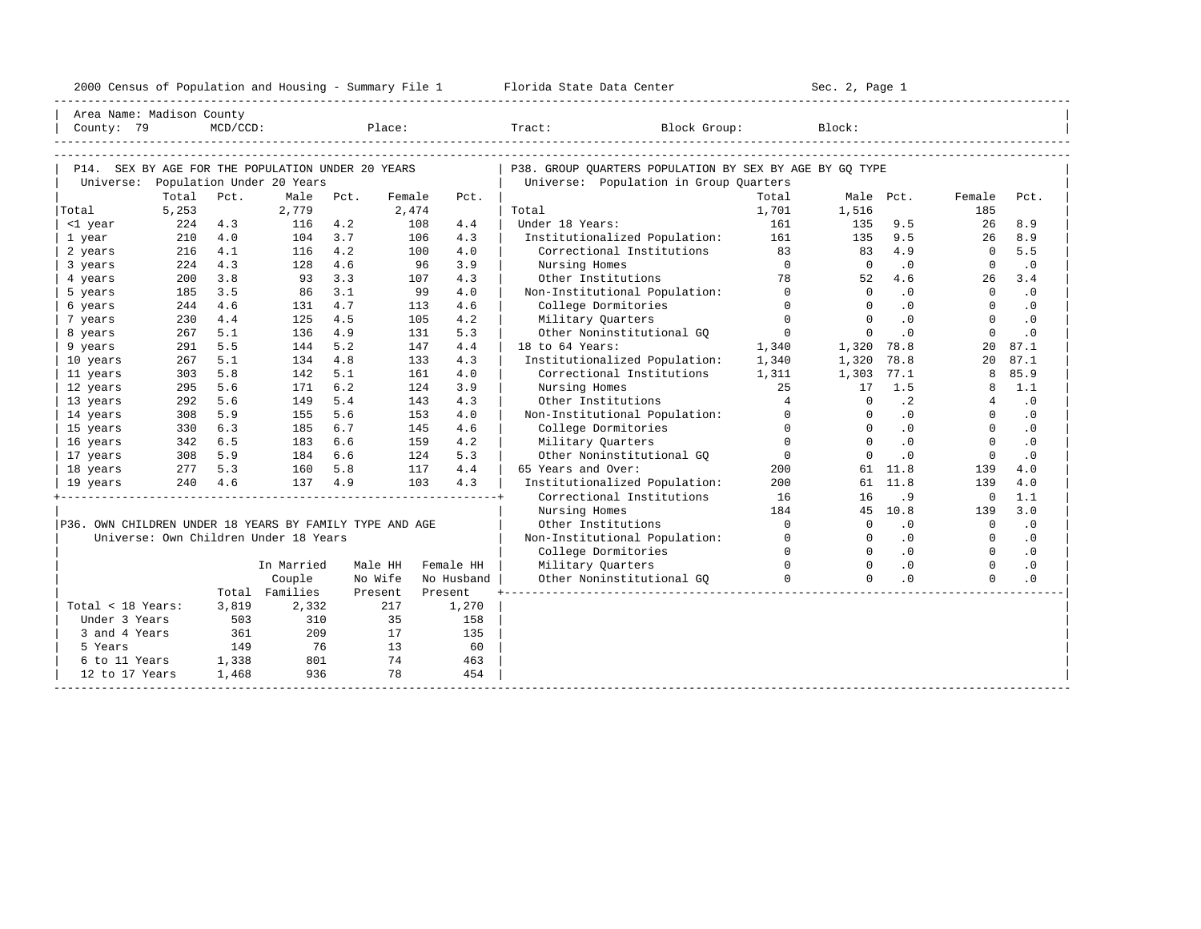| 2000<br>ensus! | and<br>Population | ---<br>Summa:<br>$-$<br>Housing | lorida<br>Data<br>otatt<br>Cente. | ، م ج<br>Page<br>$3-1$ |  |
|----------------|-------------------|---------------------------------|-----------------------------------|------------------------|--|
|                |                   |                                 |                                   |                        |  |

| Area Name: Madison County                               |            |             |                                       |            |            |            |                                                            |                |                |            |                          |            |
|---------------------------------------------------------|------------|-------------|---------------------------------------|------------|------------|------------|------------------------------------------------------------|----------------|----------------|------------|--------------------------|------------|
| County: 79                                              |            | $MCD/CCD$ : |                                       |            | Place:     |            | Tract:<br>Block Group:                                     |                | Block:         |            |                          |            |
|                                                         |            |             |                                       |            |            |            |                                                            |                |                |            |                          |            |
|                                                         |            |             |                                       |            |            |            |                                                            |                |                |            |                          |            |
| P14. SEX BY AGE FOR THE POPULATION UNDER 20 YEARS       |            |             |                                       |            |            |            | P38. GROUP QUARTERS POPULATION BY SEX BY AGE BY GQ TYPE    |                |                |            |                          |            |
| Universe:                                               |            |             | Population Under 20 Years             |            |            |            | Universe: Population in Group Quarters                     |                |                |            |                          |            |
|                                                         | Total      | Pct.        | Male                                  | Pct.       | Female     | Pct.       |                                                            | Total          |                | Male Pct.  | Female                   | Pct.       |
| Total                                                   | 5,253      |             | 2,779                                 |            | 2,474      |            | Total                                                      | 1,701          | 1,516          |            | 185                      |            |
| <1 year                                                 | 224        | 4.3         | 116                                   | 4.2        | 108        | 4.4        | Under 18 Years:                                            | 161            | 135            | 9.5        | 26                       | 8.9        |
| 1 year                                                  | 210        | 4.0<br>4.1  | 104                                   | 3.7<br>4.2 | 106<br>100 | 4.3<br>4.0 | Institutionalized Population:<br>Correctional Institutions | 161<br>83      | 135<br>83      | 9.5<br>4.9 | 26<br>$\Omega$           | 8.9<br>5.5 |
| 2 years<br>3 years                                      | 216<br>224 | 4.3         | 116<br>128                            | 4.6        |            | 96<br>3.9  | Nursing Homes                                              | $\overline{0}$ | $\overline{0}$ | $\cdot$ 0  | $\overline{0}$           | $\cdot$ 0  |
| 4 years                                                 | 200        | 3.8         | 93                                    | 3.3        | 107        | 4.3        | Other Institutions                                         | 78             | 52             | 4.6        | 26                       | 3.4        |
| 5 years                                                 | 185        | 3.5         | 86                                    | 3.1        |            | 99<br>4.0  | Non-Institutional Population: 0                            |                | $\Omega$       | $\cdot$ 0  | $\Omega$                 | $\cdot$ 0  |
| 6 years                                                 | 244        | 4.6         | 131                                   | 4.7        | 113        | 4.6        | College Dormitories                                        | $\Omega$       | $\Omega$       | .0         | $\Omega$                 | $\cdot$ 0  |
| 7 years                                                 | 230        | 4.4         | 125                                   | 4.5        | 105        | 4.2        | Military Quarters                                          | $\Omega$       | $\Omega$       | $\cdot$ 0  | $\Omega$                 | $\cdot$ 0  |
| 8 years                                                 | 267        | 5.1         | 136                                   | 4.9        | 131        | 5.3        | Other Noninstitutional GO                                  | $\overline{0}$ | $\mathbf{0}$   | $\cdot$ 0  | $\mathbf{0}$             | .0         |
| 9 years                                                 | 291        | 5.5         | 144                                   | 5.2        | 147        | 4.4        | 18 to 64 Years:                                            | 1,340          | 1,320          | 78.8       | 20                       | 87.1       |
| 10 years                                                | 267        | 5.1         | 134                                   | 4.8        | 133        | 4.3        | Institutionalized Population:                              | 1,340          | 1,320          | 78.8       | 20                       | 87.1       |
| 11 years                                                | 303        | 5.8         | 142                                   | 5.1        | 161        | 4.0        | Correctional Institutions                                  | 1,311          | 1,303          | 77.1       | 8                        | 85.9       |
| 12 years                                                | 295        | 5.6         | 171                                   | 6.2        | 124        | 3.9        | Nursing Homes                                              | 25             | 17             | 1.5        | 8                        | 1.1        |
| 13 years                                                | 292        | 5.6         | 149                                   | 5.4        | 143        | 4.3        | Other Institutions                                         | $\overline{4}$ | $\Omega$       | $\cdot$ 2  | $\overline{4}$           | $\cdot$ 0  |
| 14 years                                                | 308        | 5.9         | 155                                   | 5.6        | 153        | 4.0        | Non-Institutional Population: 0                            |                | $\Omega$       | $\cdot$ 0  | $\Omega$                 | $\cdot$ 0  |
| 15 years                                                | 330        | 6.3         | 185                                   | 6.7        | 145        | 4.6        | College Dormitories                                        | $\overline{0}$ | $\mathbf{0}$   | $\cdot$ 0  | $\mathbf{0}$             | $\cdot$ 0  |
| 16 years                                                | 342        | 6.5         | 183                                   | 6.6        | 159        | 4.2        | Military Ouarters                                          | $\Omega$       | $\Omega$       | $\cdot$ 0  | $\Omega$                 | $\cdot$ 0  |
| 17 years                                                | 308        | 5.9         | 184                                   | 6.6        | 124        | 5.3        | Other Noninstitutional GO                                  | $\overline{0}$ | $\Omega$       | $\cdot$ 0  | $\Omega$                 | $\cdot$ 0  |
| 18 years                                                | 277        | 5.3         | 160                                   | 5.8        | 117        | 4.4        | 65 Years and Over:                                         | 200            |                | 61 11.8    | 139                      | 4.0        |
| 19 years                                                |            | 240 4.6     | 137                                   | 4.9        | 103        | 4.3        | Institutionalized Population:                              | 200            |                | 61 11.8    | 139                      | 4.0        |
|                                                         |            |             |                                       |            |            |            | Correctional Institutions                                  | 16             | 16             | .9         | $\Omega$                 | 1.1        |
|                                                         |            |             |                                       |            |            |            | Nursing Homes                                              | 184            |                | 45 10.8    | 139                      | 3.0        |
| P36. OWN CHILDREN UNDER 18 YEARS BY FAMILY TYPE AND AGE |            |             |                                       |            |            |            | Other Institutions                                         | $\overline{0}$ | $\Omega$       | .0         | $\overline{\phantom{0}}$ | $\cdot$ 0  |
|                                                         |            |             | Universe: Own Children Under 18 Years |            |            |            | Non-Institutional Population:                              | $\Omega$       | $\Omega$       | $\cdot$ 0  | $\Omega$                 | $\cdot$ 0  |
|                                                         |            |             |                                       |            |            |            | College Dormitories                                        | $\Omega$       | $\Omega$       | $\cdot$ 0  | $\Omega$                 | $\cdot$ 0  |
|                                                         |            |             | In Married                            |            | Male HH    | Female HH  | Military Quarters                                          | $\Omega$       | $\Omega$       | .0         | $\Omega$                 | .0         |
|                                                         |            |             | Couple                                |            | No Wife    | No Husband | Other Noninstitutional GO                                  | $\Omega$       | $\Omega$       | $\cdot$ 0  | $\Omega$                 | $\cdot$ 0  |
|                                                         |            |             | Total Families                        |            | Present    | Present    |                                                            |                |                |            |                          |            |
| Total < 18 Years:                                       |            | 3,819       | 2,332                                 |            | 217        | 1,270      |                                                            |                |                |            |                          |            |
| Under 3 Years                                           |            | 503         | 310                                   |            | 35         | 158        |                                                            |                |                |            |                          |            |
| 3 and 4 Years                                           |            | 361         | 209                                   |            | 17         | 135        |                                                            |                |                |            |                          |            |
| 5 Years                                                 |            | 149         | 76                                    |            | 13         | 60         |                                                            |                |                |            |                          |            |
| 6 to 11 Years                                           |            | 1,338       | 801                                   |            | 74         | 463        |                                                            |                |                |            |                          |            |
| 12 to 17 Years                                          |            | 1,468       | 936                                   |            | 78         | 454        |                                                            |                |                |            |                          |            |
|                                                         |            |             |                                       |            |            |            |                                                            |                |                |            |                          |            |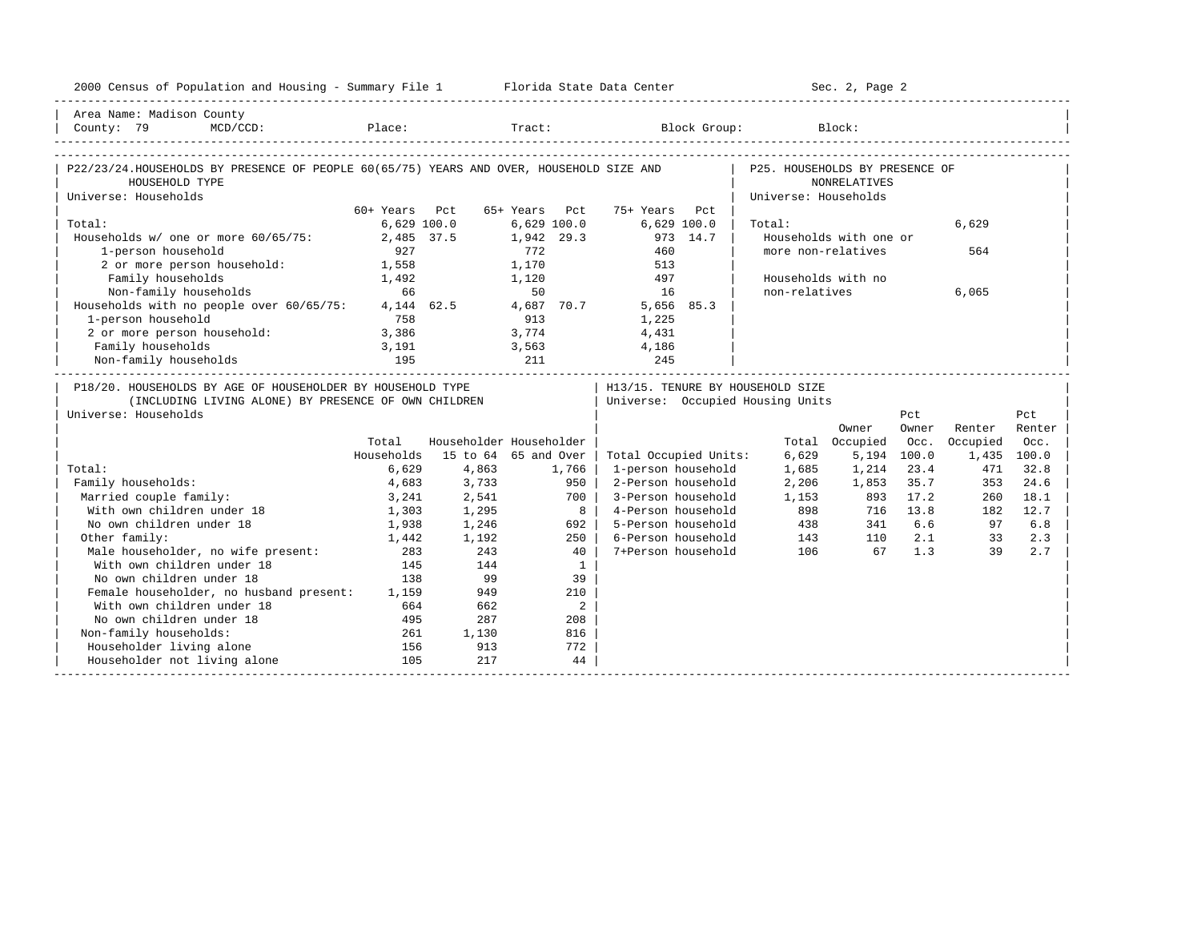| Area Name: Madison County<br>MCD/CCD: Place: Tract: Block Group: Block:<br>County: 79<br>P22/23/24.HOUSEHOLDS BY PRESENCE OF PEOPLE 60(65/75) YEARS AND OVER, HOUSEHOLD SIZE AND<br>P25. HOUSEHOLDS BY PRESENCE OF<br><b>NONRELATIVES</b><br>HOUSEHOLD TYPE<br>Universe: Households<br>Universe: Households<br>60+ Years Pct<br>65+ Years Pct<br>75+ Years Pct<br>Total:<br>$6,629$ $100.0$<br>$6,629$ $100.0$<br>$6,629$ 100.0<br>6,629<br>Total:<br>Households w/ one or more 60/65/75:<br>2,485 37.5<br>1,942 29.3<br>973 14.7<br>Households with one or<br>772<br>1-person household<br>927<br>460<br>more non-relatives<br>564<br>2 or more person household:<br>1,558<br>1,170<br>513<br>Family households<br>1,120<br>497<br>Households with no<br>1,492<br>66<br>50<br>non-relatives<br>Non-family households<br>16<br>6,065<br>4, 144 62.5<br>Households with no people over 60/65/75:<br>4,687 70.7<br>5,656 85.3<br>1-person household<br>758<br>913<br>1,225<br>2 or more person household:<br>3,774<br>3,563<br>3,386<br>4,431<br>Family households<br>3,191<br>4,186<br>Non-family households<br>195<br>211<br>245<br>___________________________________<br>P18/20. HOUSEHOLDS BY AGE OF HOUSEHOLDER BY HOUSEHOLD TYPE<br>  H13/15. TENURE BY HOUSEHOLD SIZE<br>  Universe: Occupied Housing Units<br>(INCLUDING LIVING ALONE) BY PRESENCE OF OWN CHILDREN<br>Universe: Households<br>Pct<br>Pct<br>Owner<br>Renter<br>Renter<br>Owner<br>Householder Householder<br>Total<br>Total Occupied<br>Occ.<br>Occupied<br>Occ.<br>15 to 64 65 and Over<br>Households<br>6,629<br>5,194 100.0<br>1,435 100.0<br>Total Occupied Units:<br>23.4<br>32.8<br>Total:<br>6,629<br>4,863<br>1,766<br>1-person household<br>1,685<br>1,214<br>471<br>Family households:<br>4,683<br>3,733<br>950<br>2-Person household<br>2,206<br>1,853<br>35.7<br>353<br>24.6<br>Married couple family:<br>2,541<br>700<br>3-Person household<br>1,153<br>17.2<br>18.1<br>3,241<br>893<br>260<br>With own children under 18<br>898<br>13.8<br>12.7<br>1,303<br>1,295<br>8<br>4-Person household<br>716<br>182<br>438<br>No own children under 18<br>1,938<br>1,246<br>692<br>5-Person household<br>341<br>6.6<br>97<br>6.8<br>Other family:<br>6-Person household<br>2.1<br>1,192<br>250<br>143<br>110<br>33<br>2.3<br>1,442<br>)ther family.<br>Male householder, no wife present:<br>All and the moder 18<br>243<br>7+Person household<br>1.3<br>283<br>40<br>106<br>67<br>39<br>2.7<br>145<br>144<br>$\mathbf{1}$<br>No own children under 18<br>138<br>99<br>39<br>Female householder, no husband present: 1,159<br>949<br>210<br>With own children under 18<br>2<br>664<br>662<br>No own children under 18<br>495<br>287<br>208<br>Non-family households:<br>261<br>1,130<br>816<br>Householder living alone<br>156<br>913<br>772<br>Householder not living alone<br>105<br>217<br>44 | 2000 Census of Population and Housing - Summary File 1 Florida State Data Center |  |  |  | Sec. 2, Page 2 |  |  |
|------------------------------------------------------------------------------------------------------------------------------------------------------------------------------------------------------------------------------------------------------------------------------------------------------------------------------------------------------------------------------------------------------------------------------------------------------------------------------------------------------------------------------------------------------------------------------------------------------------------------------------------------------------------------------------------------------------------------------------------------------------------------------------------------------------------------------------------------------------------------------------------------------------------------------------------------------------------------------------------------------------------------------------------------------------------------------------------------------------------------------------------------------------------------------------------------------------------------------------------------------------------------------------------------------------------------------------------------------------------------------------------------------------------------------------------------------------------------------------------------------------------------------------------------------------------------------------------------------------------------------------------------------------------------------------------------------------------------------------------------------------------------------------------------------------------------------------------------------------------------------------------------------------------------------------------------------------------------------------------------------------------------------------------------------------------------------------------------------------------------------------------------------------------------------------------------------------------------------------------------------------------------------------------------------------------------------------------------------------------------------------------------------------------------------------------------------------------------------------------------------------------------------------------------------------------------------------------------------------------------------------------------------------------------------------------------------------------------------------------------------------------------------------------------------------------------------------------------------------------------------|----------------------------------------------------------------------------------|--|--|--|----------------|--|--|
|                                                                                                                                                                                                                                                                                                                                                                                                                                                                                                                                                                                                                                                                                                                                                                                                                                                                                                                                                                                                                                                                                                                                                                                                                                                                                                                                                                                                                                                                                                                                                                                                                                                                                                                                                                                                                                                                                                                                                                                                                                                                                                                                                                                                                                                                                                                                                                                                                                                                                                                                                                                                                                                                                                                                                                                                                                                                              |                                                                                  |  |  |  |                |  |  |
|                                                                                                                                                                                                                                                                                                                                                                                                                                                                                                                                                                                                                                                                                                                                                                                                                                                                                                                                                                                                                                                                                                                                                                                                                                                                                                                                                                                                                                                                                                                                                                                                                                                                                                                                                                                                                                                                                                                                                                                                                                                                                                                                                                                                                                                                                                                                                                                                                                                                                                                                                                                                                                                                                                                                                                                                                                                                              |                                                                                  |  |  |  |                |  |  |
|                                                                                                                                                                                                                                                                                                                                                                                                                                                                                                                                                                                                                                                                                                                                                                                                                                                                                                                                                                                                                                                                                                                                                                                                                                                                                                                                                                                                                                                                                                                                                                                                                                                                                                                                                                                                                                                                                                                                                                                                                                                                                                                                                                                                                                                                                                                                                                                                                                                                                                                                                                                                                                                                                                                                                                                                                                                                              |                                                                                  |  |  |  |                |  |  |
|                                                                                                                                                                                                                                                                                                                                                                                                                                                                                                                                                                                                                                                                                                                                                                                                                                                                                                                                                                                                                                                                                                                                                                                                                                                                                                                                                                                                                                                                                                                                                                                                                                                                                                                                                                                                                                                                                                                                                                                                                                                                                                                                                                                                                                                                                                                                                                                                                                                                                                                                                                                                                                                                                                                                                                                                                                                                              |                                                                                  |  |  |  |                |  |  |
|                                                                                                                                                                                                                                                                                                                                                                                                                                                                                                                                                                                                                                                                                                                                                                                                                                                                                                                                                                                                                                                                                                                                                                                                                                                                                                                                                                                                                                                                                                                                                                                                                                                                                                                                                                                                                                                                                                                                                                                                                                                                                                                                                                                                                                                                                                                                                                                                                                                                                                                                                                                                                                                                                                                                                                                                                                                                              |                                                                                  |  |  |  |                |  |  |
|                                                                                                                                                                                                                                                                                                                                                                                                                                                                                                                                                                                                                                                                                                                                                                                                                                                                                                                                                                                                                                                                                                                                                                                                                                                                                                                                                                                                                                                                                                                                                                                                                                                                                                                                                                                                                                                                                                                                                                                                                                                                                                                                                                                                                                                                                                                                                                                                                                                                                                                                                                                                                                                                                                                                                                                                                                                                              |                                                                                  |  |  |  |                |  |  |
|                                                                                                                                                                                                                                                                                                                                                                                                                                                                                                                                                                                                                                                                                                                                                                                                                                                                                                                                                                                                                                                                                                                                                                                                                                                                                                                                                                                                                                                                                                                                                                                                                                                                                                                                                                                                                                                                                                                                                                                                                                                                                                                                                                                                                                                                                                                                                                                                                                                                                                                                                                                                                                                                                                                                                                                                                                                                              |                                                                                  |  |  |  |                |  |  |
|                                                                                                                                                                                                                                                                                                                                                                                                                                                                                                                                                                                                                                                                                                                                                                                                                                                                                                                                                                                                                                                                                                                                                                                                                                                                                                                                                                                                                                                                                                                                                                                                                                                                                                                                                                                                                                                                                                                                                                                                                                                                                                                                                                                                                                                                                                                                                                                                                                                                                                                                                                                                                                                                                                                                                                                                                                                                              |                                                                                  |  |  |  |                |  |  |
|                                                                                                                                                                                                                                                                                                                                                                                                                                                                                                                                                                                                                                                                                                                                                                                                                                                                                                                                                                                                                                                                                                                                                                                                                                                                                                                                                                                                                                                                                                                                                                                                                                                                                                                                                                                                                                                                                                                                                                                                                                                                                                                                                                                                                                                                                                                                                                                                                                                                                                                                                                                                                                                                                                                                                                                                                                                                              |                                                                                  |  |  |  |                |  |  |
|                                                                                                                                                                                                                                                                                                                                                                                                                                                                                                                                                                                                                                                                                                                                                                                                                                                                                                                                                                                                                                                                                                                                                                                                                                                                                                                                                                                                                                                                                                                                                                                                                                                                                                                                                                                                                                                                                                                                                                                                                                                                                                                                                                                                                                                                                                                                                                                                                                                                                                                                                                                                                                                                                                                                                                                                                                                                              |                                                                                  |  |  |  |                |  |  |
|                                                                                                                                                                                                                                                                                                                                                                                                                                                                                                                                                                                                                                                                                                                                                                                                                                                                                                                                                                                                                                                                                                                                                                                                                                                                                                                                                                                                                                                                                                                                                                                                                                                                                                                                                                                                                                                                                                                                                                                                                                                                                                                                                                                                                                                                                                                                                                                                                                                                                                                                                                                                                                                                                                                                                                                                                                                                              |                                                                                  |  |  |  |                |  |  |
|                                                                                                                                                                                                                                                                                                                                                                                                                                                                                                                                                                                                                                                                                                                                                                                                                                                                                                                                                                                                                                                                                                                                                                                                                                                                                                                                                                                                                                                                                                                                                                                                                                                                                                                                                                                                                                                                                                                                                                                                                                                                                                                                                                                                                                                                                                                                                                                                                                                                                                                                                                                                                                                                                                                                                                                                                                                                              |                                                                                  |  |  |  |                |  |  |
|                                                                                                                                                                                                                                                                                                                                                                                                                                                                                                                                                                                                                                                                                                                                                                                                                                                                                                                                                                                                                                                                                                                                                                                                                                                                                                                                                                                                                                                                                                                                                                                                                                                                                                                                                                                                                                                                                                                                                                                                                                                                                                                                                                                                                                                                                                                                                                                                                                                                                                                                                                                                                                                                                                                                                                                                                                                                              |                                                                                  |  |  |  |                |  |  |
|                                                                                                                                                                                                                                                                                                                                                                                                                                                                                                                                                                                                                                                                                                                                                                                                                                                                                                                                                                                                                                                                                                                                                                                                                                                                                                                                                                                                                                                                                                                                                                                                                                                                                                                                                                                                                                                                                                                                                                                                                                                                                                                                                                                                                                                                                                                                                                                                                                                                                                                                                                                                                                                                                                                                                                                                                                                                              |                                                                                  |  |  |  |                |  |  |
|                                                                                                                                                                                                                                                                                                                                                                                                                                                                                                                                                                                                                                                                                                                                                                                                                                                                                                                                                                                                                                                                                                                                                                                                                                                                                                                                                                                                                                                                                                                                                                                                                                                                                                                                                                                                                                                                                                                                                                                                                                                                                                                                                                                                                                                                                                                                                                                                                                                                                                                                                                                                                                                                                                                                                                                                                                                                              |                                                                                  |  |  |  |                |  |  |
|                                                                                                                                                                                                                                                                                                                                                                                                                                                                                                                                                                                                                                                                                                                                                                                                                                                                                                                                                                                                                                                                                                                                                                                                                                                                                                                                                                                                                                                                                                                                                                                                                                                                                                                                                                                                                                                                                                                                                                                                                                                                                                                                                                                                                                                                                                                                                                                                                                                                                                                                                                                                                                                                                                                                                                                                                                                                              |                                                                                  |  |  |  |                |  |  |
|                                                                                                                                                                                                                                                                                                                                                                                                                                                                                                                                                                                                                                                                                                                                                                                                                                                                                                                                                                                                                                                                                                                                                                                                                                                                                                                                                                                                                                                                                                                                                                                                                                                                                                                                                                                                                                                                                                                                                                                                                                                                                                                                                                                                                                                                                                                                                                                                                                                                                                                                                                                                                                                                                                                                                                                                                                                                              |                                                                                  |  |  |  |                |  |  |
|                                                                                                                                                                                                                                                                                                                                                                                                                                                                                                                                                                                                                                                                                                                                                                                                                                                                                                                                                                                                                                                                                                                                                                                                                                                                                                                                                                                                                                                                                                                                                                                                                                                                                                                                                                                                                                                                                                                                                                                                                                                                                                                                                                                                                                                                                                                                                                                                                                                                                                                                                                                                                                                                                                                                                                                                                                                                              |                                                                                  |  |  |  |                |  |  |
|                                                                                                                                                                                                                                                                                                                                                                                                                                                                                                                                                                                                                                                                                                                                                                                                                                                                                                                                                                                                                                                                                                                                                                                                                                                                                                                                                                                                                                                                                                                                                                                                                                                                                                                                                                                                                                                                                                                                                                                                                                                                                                                                                                                                                                                                                                                                                                                                                                                                                                                                                                                                                                                                                                                                                                                                                                                                              |                                                                                  |  |  |  |                |  |  |
|                                                                                                                                                                                                                                                                                                                                                                                                                                                                                                                                                                                                                                                                                                                                                                                                                                                                                                                                                                                                                                                                                                                                                                                                                                                                                                                                                                                                                                                                                                                                                                                                                                                                                                                                                                                                                                                                                                                                                                                                                                                                                                                                                                                                                                                                                                                                                                                                                                                                                                                                                                                                                                                                                                                                                                                                                                                                              |                                                                                  |  |  |  |                |  |  |
|                                                                                                                                                                                                                                                                                                                                                                                                                                                                                                                                                                                                                                                                                                                                                                                                                                                                                                                                                                                                                                                                                                                                                                                                                                                                                                                                                                                                                                                                                                                                                                                                                                                                                                                                                                                                                                                                                                                                                                                                                                                                                                                                                                                                                                                                                                                                                                                                                                                                                                                                                                                                                                                                                                                                                                                                                                                                              |                                                                                  |  |  |  |                |  |  |
|                                                                                                                                                                                                                                                                                                                                                                                                                                                                                                                                                                                                                                                                                                                                                                                                                                                                                                                                                                                                                                                                                                                                                                                                                                                                                                                                                                                                                                                                                                                                                                                                                                                                                                                                                                                                                                                                                                                                                                                                                                                                                                                                                                                                                                                                                                                                                                                                                                                                                                                                                                                                                                                                                                                                                                                                                                                                              |                                                                                  |  |  |  |                |  |  |
|                                                                                                                                                                                                                                                                                                                                                                                                                                                                                                                                                                                                                                                                                                                                                                                                                                                                                                                                                                                                                                                                                                                                                                                                                                                                                                                                                                                                                                                                                                                                                                                                                                                                                                                                                                                                                                                                                                                                                                                                                                                                                                                                                                                                                                                                                                                                                                                                                                                                                                                                                                                                                                                                                                                                                                                                                                                                              |                                                                                  |  |  |  |                |  |  |
|                                                                                                                                                                                                                                                                                                                                                                                                                                                                                                                                                                                                                                                                                                                                                                                                                                                                                                                                                                                                                                                                                                                                                                                                                                                                                                                                                                                                                                                                                                                                                                                                                                                                                                                                                                                                                                                                                                                                                                                                                                                                                                                                                                                                                                                                                                                                                                                                                                                                                                                                                                                                                                                                                                                                                                                                                                                                              |                                                                                  |  |  |  |                |  |  |
|                                                                                                                                                                                                                                                                                                                                                                                                                                                                                                                                                                                                                                                                                                                                                                                                                                                                                                                                                                                                                                                                                                                                                                                                                                                                                                                                                                                                                                                                                                                                                                                                                                                                                                                                                                                                                                                                                                                                                                                                                                                                                                                                                                                                                                                                                                                                                                                                                                                                                                                                                                                                                                                                                                                                                                                                                                                                              |                                                                                  |  |  |  |                |  |  |
|                                                                                                                                                                                                                                                                                                                                                                                                                                                                                                                                                                                                                                                                                                                                                                                                                                                                                                                                                                                                                                                                                                                                                                                                                                                                                                                                                                                                                                                                                                                                                                                                                                                                                                                                                                                                                                                                                                                                                                                                                                                                                                                                                                                                                                                                                                                                                                                                                                                                                                                                                                                                                                                                                                                                                                                                                                                                              |                                                                                  |  |  |  |                |  |  |
|                                                                                                                                                                                                                                                                                                                                                                                                                                                                                                                                                                                                                                                                                                                                                                                                                                                                                                                                                                                                                                                                                                                                                                                                                                                                                                                                                                                                                                                                                                                                                                                                                                                                                                                                                                                                                                                                                                                                                                                                                                                                                                                                                                                                                                                                                                                                                                                                                                                                                                                                                                                                                                                                                                                                                                                                                                                                              |                                                                                  |  |  |  |                |  |  |
|                                                                                                                                                                                                                                                                                                                                                                                                                                                                                                                                                                                                                                                                                                                                                                                                                                                                                                                                                                                                                                                                                                                                                                                                                                                                                                                                                                                                                                                                                                                                                                                                                                                                                                                                                                                                                                                                                                                                                                                                                                                                                                                                                                                                                                                                                                                                                                                                                                                                                                                                                                                                                                                                                                                                                                                                                                                                              |                                                                                  |  |  |  |                |  |  |
|                                                                                                                                                                                                                                                                                                                                                                                                                                                                                                                                                                                                                                                                                                                                                                                                                                                                                                                                                                                                                                                                                                                                                                                                                                                                                                                                                                                                                                                                                                                                                                                                                                                                                                                                                                                                                                                                                                                                                                                                                                                                                                                                                                                                                                                                                                                                                                                                                                                                                                                                                                                                                                                                                                                                                                                                                                                                              |                                                                                  |  |  |  |                |  |  |
|                                                                                                                                                                                                                                                                                                                                                                                                                                                                                                                                                                                                                                                                                                                                                                                                                                                                                                                                                                                                                                                                                                                                                                                                                                                                                                                                                                                                                                                                                                                                                                                                                                                                                                                                                                                                                                                                                                                                                                                                                                                                                                                                                                                                                                                                                                                                                                                                                                                                                                                                                                                                                                                                                                                                                                                                                                                                              |                                                                                  |  |  |  |                |  |  |
|                                                                                                                                                                                                                                                                                                                                                                                                                                                                                                                                                                                                                                                                                                                                                                                                                                                                                                                                                                                                                                                                                                                                                                                                                                                                                                                                                                                                                                                                                                                                                                                                                                                                                                                                                                                                                                                                                                                                                                                                                                                                                                                                                                                                                                                                                                                                                                                                                                                                                                                                                                                                                                                                                                                                                                                                                                                                              |                                                                                  |  |  |  |                |  |  |
|                                                                                                                                                                                                                                                                                                                                                                                                                                                                                                                                                                                                                                                                                                                                                                                                                                                                                                                                                                                                                                                                                                                                                                                                                                                                                                                                                                                                                                                                                                                                                                                                                                                                                                                                                                                                                                                                                                                                                                                                                                                                                                                                                                                                                                                                                                                                                                                                                                                                                                                                                                                                                                                                                                                                                                                                                                                                              |                                                                                  |  |  |  |                |  |  |
|                                                                                                                                                                                                                                                                                                                                                                                                                                                                                                                                                                                                                                                                                                                                                                                                                                                                                                                                                                                                                                                                                                                                                                                                                                                                                                                                                                                                                                                                                                                                                                                                                                                                                                                                                                                                                                                                                                                                                                                                                                                                                                                                                                                                                                                                                                                                                                                                                                                                                                                                                                                                                                                                                                                                                                                                                                                                              |                                                                                  |  |  |  |                |  |  |
|                                                                                                                                                                                                                                                                                                                                                                                                                                                                                                                                                                                                                                                                                                                                                                                                                                                                                                                                                                                                                                                                                                                                                                                                                                                                                                                                                                                                                                                                                                                                                                                                                                                                                                                                                                                                                                                                                                                                                                                                                                                                                                                                                                                                                                                                                                                                                                                                                                                                                                                                                                                                                                                                                                                                                                                                                                                                              |                                                                                  |  |  |  |                |  |  |
|                                                                                                                                                                                                                                                                                                                                                                                                                                                                                                                                                                                                                                                                                                                                                                                                                                                                                                                                                                                                                                                                                                                                                                                                                                                                                                                                                                                                                                                                                                                                                                                                                                                                                                                                                                                                                                                                                                                                                                                                                                                                                                                                                                                                                                                                                                                                                                                                                                                                                                                                                                                                                                                                                                                                                                                                                                                                              |                                                                                  |  |  |  |                |  |  |
|                                                                                                                                                                                                                                                                                                                                                                                                                                                                                                                                                                                                                                                                                                                                                                                                                                                                                                                                                                                                                                                                                                                                                                                                                                                                                                                                                                                                                                                                                                                                                                                                                                                                                                                                                                                                                                                                                                                                                                                                                                                                                                                                                                                                                                                                                                                                                                                                                                                                                                                                                                                                                                                                                                                                                                                                                                                                              |                                                                                  |  |  |  |                |  |  |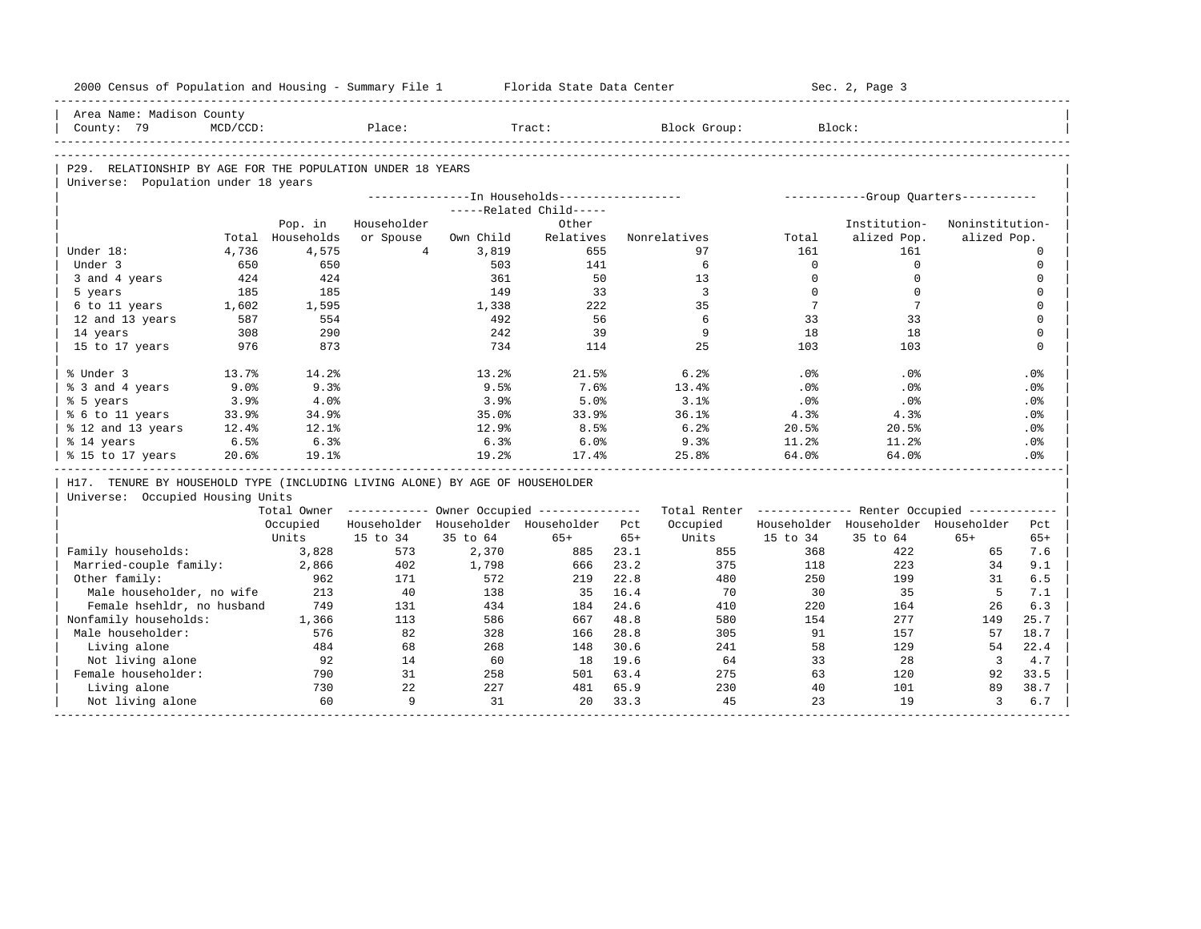| 2000 Census of Population and Housing - Summary File 1                       |             |                  |                             |            | Florida State Data Center                             |       |                                                         |                 | Sec. 2, Page 3                       |                         |                         |
|------------------------------------------------------------------------------|-------------|------------------|-----------------------------|------------|-------------------------------------------------------|-------|---------------------------------------------------------|-----------------|--------------------------------------|-------------------------|-------------------------|
| Area Name: Madison County                                                    |             |                  |                             |            |                                                       |       |                                                         |                 |                                      |                         |                         |
| County: 79                                                                   | $MCD/CCD$ : |                  | Place:                      |            | Tract:                                                |       | Block Group:                                            | Block:          |                                      |                         |                         |
|                                                                              |             |                  |                             |            |                                                       |       |                                                         |                 |                                      |                         |                         |
| P29. RELATIONSHIP BY AGE FOR THE POPULATION UNDER 18 YEARS                   |             |                  |                             |            |                                                       |       |                                                         |                 |                                      |                         |                         |
| Universe: Population under 18 years                                          |             |                  |                             |            |                                                       |       |                                                         |                 |                                      |                         |                         |
|                                                                              |             |                  |                             |            | ---------------In Households-----------------         |       |                                                         |                 | -----------Group Quarters----------- |                         |                         |
|                                                                              |             |                  |                             |            | -----Related Child-----                               |       |                                                         |                 |                                      |                         |                         |
|                                                                              |             | Pop. in          | Householder                 |            | Other                                                 |       |                                                         |                 | Institution-                         | Noninstitution-         |                         |
|                                                                              |             | Total Households | or Spouse<br>$\overline{4}$ | Own Child  | Relatives                                             |       | Nonrelatives                                            | Total           | alized Pop.                          | alized Pop.             |                         |
| Under 18:                                                                    | 4,736       | 4,575            |                             | 3,819      | 655                                                   |       | 97                                                      | 161<br>$\Omega$ | 161<br>$\mathbf 0$                   |                         | $\Omega$                |
| Under 3                                                                      | 650         | 650              |                             | 503        | 141                                                   |       | 6                                                       | $\Omega$        |                                      |                         | $\mathbf 0$             |
| 3 and 4 years                                                                | 424<br>185  | 424<br>185       |                             | 361<br>149 | 50<br>33                                              |       | 13<br>3                                                 | $\Omega$        | $\mathbf 0$<br>$\Omega$              |                         | $\Omega$<br>$\mathbf 0$ |
| 5 years<br>6 to 11 years                                                     | 1,602       | 1,595            |                             | 1,338      | 222                                                   |       | 35                                                      | 7               | $7\phantom{.0}$                      |                         | $\Omega$                |
| 12 and 13 years                                                              | 587         | 554              |                             | 492        | 56                                                    |       | 6                                                       | 33              | 33                                   |                         | $\Omega$                |
| 14 years                                                                     | 308         | 290              |                             | 242        | 39                                                    |       | 9                                                       | 18              | 18                                   |                         | $\mathbf 0$             |
| 15 to 17 years                                                               | 976         | 873              |                             | 734        | 114                                                   |       | 25                                                      | 103             | 103                                  |                         | $\Omega$                |
|                                                                              |             |                  |                             |            |                                                       |       |                                                         |                 |                                      |                         |                         |
| % Under 3                                                                    | 13.7%       | 14.2%            |                             | 13.2%      | 21.5%                                                 |       | 6.2%                                                    | .0%             | $.0\%$                               |                         | .0%                     |
| % 3 and 4 years                                                              | 9.0%        | 9.3%             |                             | 9.5%       | 7.6%                                                  |       | 13.4%                                                   | .0%             | .0%                                  |                         | .0%                     |
| % 5 years                                                                    | 3.9%        | 4.0%             |                             | 3.9%       | 5.0%                                                  |       | 3.1%                                                    | .0%             | .0%                                  |                         | .0%                     |
| % 6 to 11 years                                                              | 33.9%       | 34.9%            |                             | 35.0%      | 33.9%                                                 |       | 36.1%                                                   | 4.3%            | 4.3%                                 |                         | .0%                     |
| % 12 and 13 years                                                            | 12.4%       | 12.1%            |                             | 12.9%      | 8.5%                                                  |       | 6.2%                                                    | 20.5%           | 20.5%                                |                         | .0%                     |
| % 14 years                                                                   | 6.5%        | 6.3%             |                             | 6.3%       | 6.0%                                                  |       | 9.3%                                                    | 11.2%           | 11.2%                                |                         | .0%                     |
| % 15 to 17 years                                                             | 20.6%       | 19.1%            |                             | 19.2%      | 17.4%                                                 |       | 25.8%                                                   | 64.0%           | 64.0%                                |                         | .0%                     |
| H17. TENURE BY HOUSEHOLD TYPE (INCLUDING LIVING ALONE) BY AGE OF HOUSEHOLDER |             |                  |                             |            |                                                       |       |                                                         |                 |                                      |                         |                         |
| Universe: Occupied Housing Units                                             |             |                  |                             |            |                                                       |       |                                                         |                 |                                      |                         |                         |
|                                                                              |             |                  |                             |            | Total Owner ----------- Owner Occupied -------------- |       | Total Renter ------------- Renter Occupied ------------ |                 |                                      |                         |                         |
|                                                                              |             | Occupied         |                             |            | Householder Householder Householder Pct               |       | Occupied                                                |                 | Householder Householder Householder  |                         | Pct.                    |
|                                                                              |             | Units            | 15 to 34                    | 35 to 64   | $65+$                                                 | $65+$ | Units                                                   | 15 to 34        | 35 to 64                             | $65+$                   | $65+$                   |
| Family households:                                                           |             | 3,828            | 573                         | 2,370      | 885                                                   | 23.1  | 855                                                     | 368             | 422                                  | 65                      | 7.6                     |
| Married-couple family:                                                       |             | 2,866            | 402                         | 1,798      | 666                                                   | 23.2  | 375                                                     | 118             | 223                                  | 34                      | 9.1                     |
| Other family:                                                                |             | 962              | 171                         | 572        | 219                                                   | 22.8  | 480                                                     | 250             | 199                                  | 31                      | 6.5                     |
| Male householder, no wife                                                    |             | 213              | 40                          | 138        | 35                                                    | 16.4  | 70                                                      | 30              | 35                                   | -5                      | 7.1                     |
| Female hsehldr, no husband                                                   |             | 749              | 131                         | 434        | 184                                                   | 24.6  | 410                                                     | 220             | 164                                  | 26                      | 6.3                     |
| Nonfamily households:                                                        |             | 1,366            | 113                         | 586        | 667                                                   | 48.8  | 580                                                     | 154             | 277                                  | 149                     | 25.7                    |
| Male householder:                                                            |             | 576              | 82                          | 328        | 166                                                   | 28.8  | 305                                                     | 91              | 157                                  | 57                      | 18.7                    |
| Living alone                                                                 |             | 484              | 68                          | 268        | 148                                                   | 30.6  | 241                                                     | 58              | 129                                  | 54                      | 22.4                    |
| Not living alone                                                             |             | 92               | 14                          | 60         | 18                                                    | 19.6  | 64                                                      | 33              | 28                                   | $\overline{\mathbf{3}}$ | 4.7                     |
| Female householder:                                                          |             | 790              | 31                          | 258        | 501                                                   | 63.4  | 275                                                     | 63              | 120                                  | 92                      | 33.5                    |
| Living alone                                                                 |             | 730              | 22                          | 227        | 481                                                   | 65.9  | 230                                                     | 40              | 101                                  | 89                      | 38.7                    |
| Not living alone                                                             |             | 60               | 9                           | 31         | 20                                                    | 33.3  | 45                                                      | 23              | 19                                   | $\overline{3}$          | 6.7                     |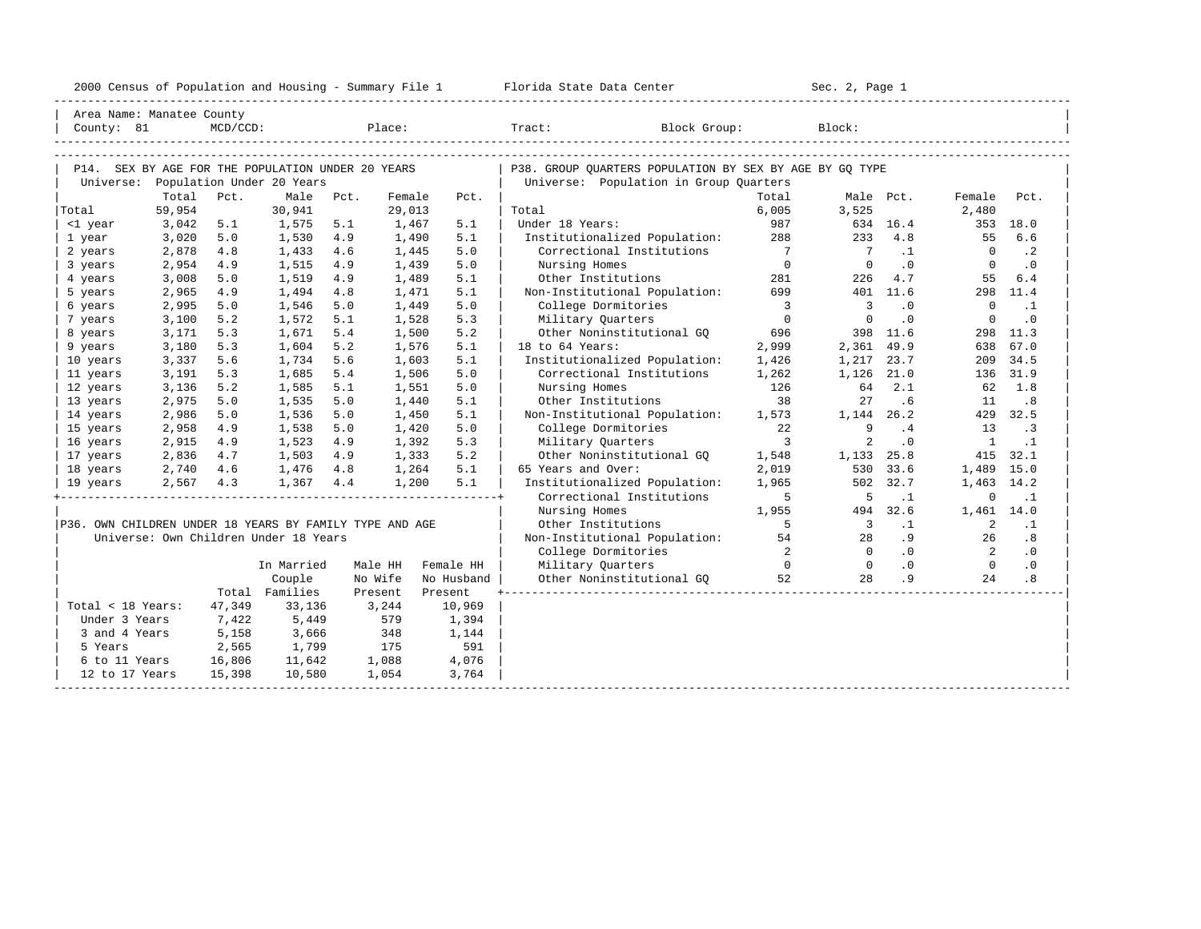| 2000<br>ensus! | and<br>Population | ---<br>Summa:<br>$-$<br>Housing | lorida<br>Data<br>otatt<br>Cente. | ، م ج<br>Page<br>$3-1$ |  |
|----------------|-------------------|---------------------------------|-----------------------------------|------------------------|--|
|                |                   |                                 |                                   |                        |  |

| Area Name: Manatee County                               |        |             |                                                   |      |         |            |                                                         |                         |                         |                            |                 |           |
|---------------------------------------------------------|--------|-------------|---------------------------------------------------|------|---------|------------|---------------------------------------------------------|-------------------------|-------------------------|----------------------------|-----------------|-----------|
| County: 81                                              |        | $MCD/CCD$ : |                                                   |      | Place:  |            | Block Group:<br>Tract:                                  |                         | Block:                  |                            |                 |           |
|                                                         |        |             |                                                   |      |         |            |                                                         |                         |                         |                            |                 |           |
|                                                         |        |             |                                                   |      |         |            |                                                         |                         |                         |                            |                 |           |
|                                                         |        |             | P14. SEX BY AGE FOR THE POPULATION UNDER 20 YEARS |      |         |            | P38. GROUP OUARTERS POPULATION BY SEX BY AGE BY GO TYPE |                         |                         |                            |                 |           |
| Universe:                                               | Total  | Pct.        | Population Under 20 Years<br>Male                 | Pct. | Female  | Pct.       | Universe: Population in Group Quarters                  | Total                   | Male Pct.               |                            |                 | Pct.      |
| Total                                                   | 59,954 |             | 30,941                                            |      | 29,013  |            | Total                                                   | 6,005                   | 3,525                   |                            | Female<br>2,480 |           |
| <1 year                                                 | 3,042  | 5.1         | 1,575                                             | 5.1  | 1,467   | 5.1        | Under 18 Years:                                         | 987                     |                         | 634 16.4                   | 353             | 18.0      |
| 1 year                                                  | 3,020  | 5.0         | 1,530                                             | 4.9  | 1,490   | 5.1        | Institutionalized Population:                           | 288                     | 233                     | 4.8                        | 55              | 6.6       |
| 2 years                                                 | 2,878  | 4.8         | 1,433                                             | 4.6  | 1,445   | 5.0        | Correctional Institutions                               | $\overline{7}$          | $\overline{7}$          | $\cdot$ 1                  | $\Omega$        | $\cdot$ 2 |
| 3 years                                                 | 2,954  | 4.9         | 1,515                                             | 4.9  | 1,439   | 5.0        | Nursing Homes                                           | $\overline{0}$          | $\Omega$                | $\overline{\phantom{0}}$ . | $\mathbf{0}$    | $\cdot$ 0 |
| 4 years                                                 | 3,008  | 5.0         | 1,519                                             | 4.9  | 1,489   | 5.1        | Other Institutions                                      | 281                     | 226                     | 4.7                        | 55              | 6.4       |
| 5 years                                                 | 2,965  | 4.9         | 1,494                                             | 4.8  | 1,471   | 5.1        | Non-Institutional Population:                           | 699                     |                         | 401 11.6                   | 298             | 11.4      |
| 6 years                                                 | 2,995  | 5.0         | 1,546                                             | 5.0  | 1,449   | 5.0        | College Dormitories                                     | $\overline{\mathbf{3}}$ | $\overline{\mathbf{3}}$ | $\cdot$ 0                  | $\mathbf 0$     | $\cdot$ 1 |
| 7 years                                                 | 3,100  | 5.2         | 1,572                                             | 5.1  | 1,528   | 5.3        | Military Quarters                                       | $\overline{0}$          | $\mathbf 0$             | $\cdot$ 0                  | $\mathbf 0$     | .0        |
| 8 years                                                 | 3,171  | 5.3         | 1,671                                             | 5.4  | 1,500   | 5.2        | Other Noninstitutional GO                               | 696                     |                         | 398 11.6                   | 298             | 11.3      |
| 9 years                                                 | 3,180  | 5.3         | 1,604                                             | 5.2  | 1,576   | 5.1        | 18 to 64 Years:                                         | 2,999                   | 2,361                   | 49.9                       | 638             | 67.0      |
| 10 years                                                | 3,337  | 5.6         | 1,734                                             | 5.6  | 1,603   | 5.1        | Institutionalized Population:                           | 1,426                   | 1,217                   | 23.7                       | 209             | 34.5      |
| 11 years                                                | 3,191  | 5.3         | 1,685                                             | 5.4  | 1,506   | 5.0        | Correctional Institutions                               | 1,262                   | 1,126                   | 21.0                       | 136             | 31.9      |
| 12 years                                                | 3,136  | 5.2         | 1,585                                             | 5.1  | 1,551   | 5.0        | Nursing Homes                                           | 126                     | 64                      | 2.1                        | 62              | 1.8       |
| 13 years                                                | 2,975  | 5.0         | 1,535                                             | 5.0  | 1,440   | 5.1        | Other Institutions                                      | 38                      | 27                      | .6                         | 11              | .8        |
| 14 years                                                | 2,986  | 5.0         | 1,536                                             | 5.0  | 1,450   | 5.1        | Non-Institutional Population:                           | 1,573                   | 1, 144 26.2             |                            | 429             | 32.5      |
| 15 years                                                | 2,958  | 4.9         | 1,538                                             | 5.0  | 1,420   | 5.0        | College Dormitories                                     | 22                      | 9                       | .4                         | 13              | $\cdot$ 3 |
| 16 years                                                | 2,915  | 4.9         | 1,523                                             | 4.9  | 1,392   | 5.3        | Military Ouarters                                       | $\overline{3}$          | 2                       | $\cdot$ 0                  | <sup>1</sup>    | $\cdot$ 1 |
| 17 years                                                | 2,836  | 4.7         | 1,503                                             | 4.9  | 1,333   | 5.2        | Other Noninstitutional GO                               | 1,548                   | 1,133                   | 25.8                       | 415             | 32.1      |
| 18 years                                                | 2,740  | 4.6         | 1,476                                             | 4.8  | 1,264   | 5.1        | 65 Years and Over:                                      | 2,019                   | 530                     | 33.6                       | 1,489           | 15.0      |
| 19 years                                                | 2,567  | 4.3         | 1,367                                             | 4.4  | 1,200   | 5.1        | Institutionalized Population:                           | 1,965                   | 502                     | 32.7                       | 1,463           | 14.2      |
|                                                         |        |             |                                                   |      |         |            | Correctional Institutions                               | 5                       | 5                       | $\cdot$ 1                  | $\Omega$        | $\cdot$ 1 |
|                                                         |        |             |                                                   |      |         |            | Nursing Homes                                           | 1,955                   | 494                     | 32.6                       | 1,461 14.0      |           |
| P36. OWN CHILDREN UNDER 18 YEARS BY FAMILY TYPE AND AGE |        |             |                                                   |      |         |            | Other Institutions                                      | 5                       | $\overline{\mathbf{3}}$ | $\cdot$ 1                  | 2               | $\cdot$ 1 |
|                                                         |        |             | Universe: Own Children Under 18 Years             |      |         |            | Non-Institutional Population:                           | 54                      | 2.8                     | .9                         | 26              | .8        |
|                                                         |        |             |                                                   |      |         |            | College Dormitories                                     | $\overline{2}$          | $\bigcirc$              | .0                         | $\overline{2}$  | $\cdot$ 0 |
|                                                         |        |             | In Married                                        |      | Male HH | Female HH  | Military Quarters                                       | $\bigcirc$              | $\overline{0}$          | .0                         | $\overline{0}$  | $\cdot$ 0 |
|                                                         |        |             | Couple                                            |      | No Wife | No Husband | Other Noninstitutional GQ                               | 52                      | 28                      | .9                         | 2.4             | .8        |
|                                                         |        |             | Total Families                                    |      | Present | Present    |                                                         |                         |                         |                            |                 |           |
| Total < 18 Years:                                       |        | 47,349      | 33,136                                            |      | 3,244   | 10,969     |                                                         |                         |                         |                            |                 |           |
| Under 3 Years                                           |        | 7,422       | 5,449                                             |      | 579     | 1,394      |                                                         |                         |                         |                            |                 |           |
| 3 and 4 Years                                           |        | 5,158       | 3,666                                             |      | 348     | 1,144      |                                                         |                         |                         |                            |                 |           |
| 5 Years                                                 |        | 2,565       | 1,799                                             |      | 175     | 591        |                                                         |                         |                         |                            |                 |           |
| 6 to 11 Years                                           |        | 16,806      | 11,642                                            |      | 1,088   | 4,076      |                                                         |                         |                         |                            |                 |           |
| 12 to 17 Years                                          |        | 15,398      | 10,580                                            |      | 1,054   | 3,764      |                                                         |                         |                         |                            |                 |           |
|                                                         |        |             |                                                   |      |         |            |                                                         |                         |                         |                            |                 |           |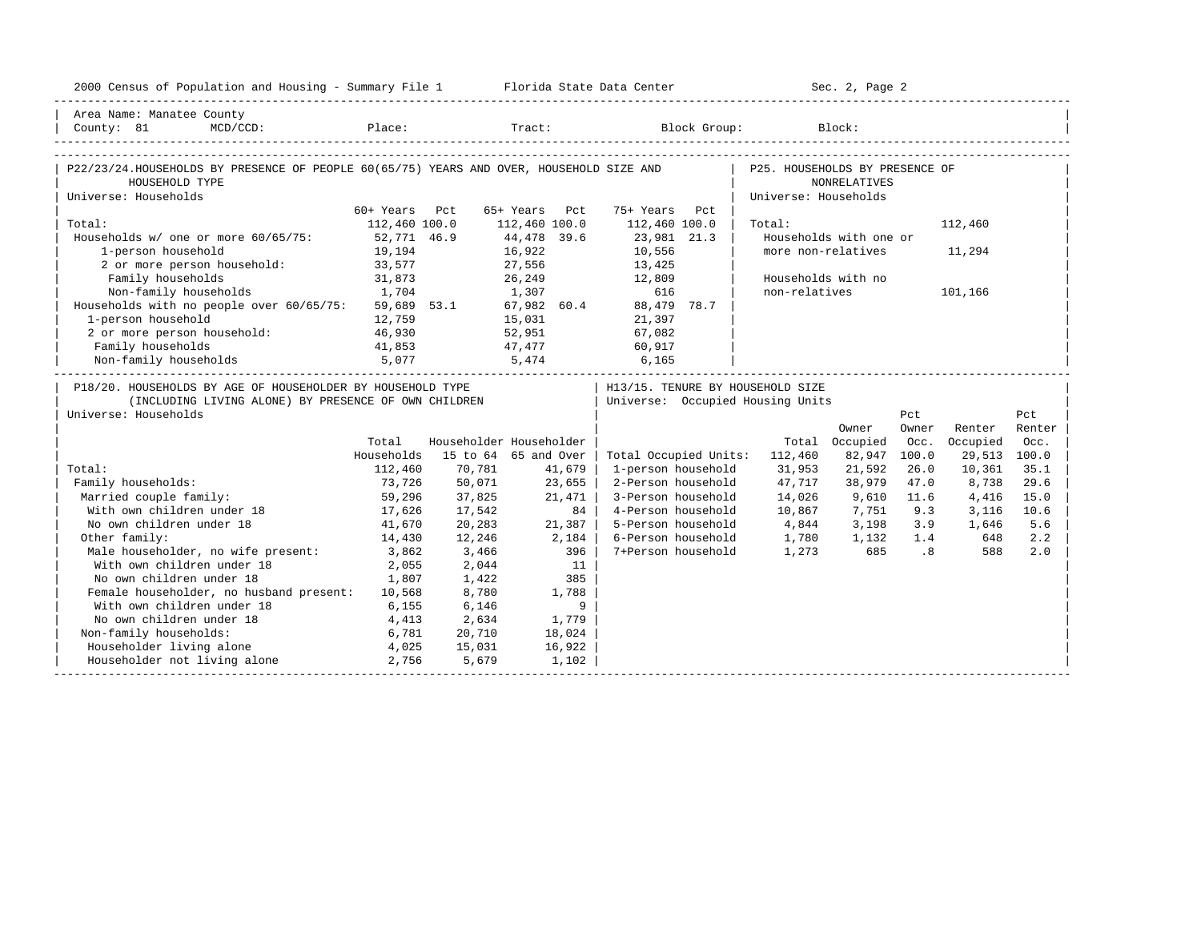| 2000 Census of Population and Housing - Summary File 1 Florida State Data Center                                                                                                                                                                                                                                                                                             |               |        |                         |                                    |                                | Sec. 2, Page 2         |                             |              |        |
|------------------------------------------------------------------------------------------------------------------------------------------------------------------------------------------------------------------------------------------------------------------------------------------------------------------------------------------------------------------------------|---------------|--------|-------------------------|------------------------------------|--------------------------------|------------------------|-----------------------------|--------------|--------|
| Area Name: Manatee County                                                                                                                                                                                                                                                                                                                                                    |               |        |                         |                                    |                                |                        |                             |              |        |
| $\small \texttt{County: 81} \normalsize \begin{picture}(1,0) \put(0,0) {\line(1,0){150}} \put(1,0) {\line(0,1){150}} \put(0,0) {\line(0,1){150}} \put(0,0) {\line(0,1){150}} \put(0,0) {\line(0,1){150}} \put(0,0) {\line(0,1){150}} \put(0,0) {\line(0,1){150}} \put(0,0) {\line(0,1){150}} \put(0,0) {\line(0,1){150}} \put(0,0) {\line(0,1){150}} \put(0,0) {\line(0,1){$ |               |        |                         |                                    |                                |                        |                             |              |        |
|                                                                                                                                                                                                                                                                                                                                                                              |               |        |                         |                                    |                                |                        |                             |              |        |
| P22/23/24.HOUSEHOLDS BY PRESENCE OF PEOPLE 60(65/75) YEARS AND OVER, HOUSEHOLD SIZE AND                                                                                                                                                                                                                                                                                      |               |        |                         |                                    | P25. HOUSEHOLDS BY PRESENCE OF |                        |                             |              |        |
| HOUSEHOLD TYPE                                                                                                                                                                                                                                                                                                                                                               |               |        |                         |                                    |                                | <b>NONRELATIVES</b>    |                             |              |        |
| Universe: Households                                                                                                                                                                                                                                                                                                                                                         | 60+ Years Pct |        | 65+ Years Pct           | 75+ Years Pct                      | Universe: Households           |                        |                             |              |        |
| Total:                                                                                                                                                                                                                                                                                                                                                                       | 112,460 100.0 |        | 112,460 100.0           | 112,460 100.0                      | Total:                         |                        |                             | 112,460      |        |
| Households w/ one or more 60/65/75: 52,771 46.9                                                                                                                                                                                                                                                                                                                              |               |        | 44,478 39.6             | 23,981 21.3                        |                                | Households with one or |                             |              |        |
| 1-person household                                                                                                                                                                                                                                                                                                                                                           | 19,194        |        | 16,922                  | 10,556                             |                                | more non-relatives     |                             | 11,294       |        |
| 2 or more person household: 33,577                                                                                                                                                                                                                                                                                                                                           |               |        | 27,556                  | 13,425                             |                                |                        |                             |              |        |
| Family households                                                                                                                                                                                                                                                                                                                                                            | 31,873        |        | 26,249                  | 12,809                             |                                | Households with no     |                             |              |        |
| Non-family households                                                                                                                                                                                                                                                                                                                                                        | 1,704         |        | 1,307                   | 616                                | non-relatives                  |                        |                             | 101,166      |        |
| Households with no people over $60/65/75$ : 59,689 53.1                                                                                                                                                                                                                                                                                                                      |               |        |                         | $1,307$<br>67,982 60.4 88,479 78.7 |                                |                        |                             |              |        |
| 1-person household                                                                                                                                                                                                                                                                                                                                                           | 12,759        |        | 15,031                  | 21,397                             |                                |                        |                             |              |        |
| 2 or more person household:                                                                                                                                                                                                                                                                                                                                                  | 46,930        |        | 52,951                  | 67,082                             |                                |                        |                             |              |        |
| Family households                                                                                                                                                                                                                                                                                                                                                            | 41,853        |        | 47,477                  | 60,917                             |                                |                        |                             |              |        |
| 5,077<br>Non-family households                                                                                                                                                                                                                                                                                                                                               |               |        | 5,474 6,165             |                                    |                                |                        |                             |              |        |
| P18/20. HOUSEHOLDS BY AGE OF HOUSEHOLDER BY HOUSEHOLD TYPE                                                                                                                                                                                                                                                                                                                   |               |        |                         | H13/15. TENURE BY HOUSEHOLD SIZE   |                                |                        |                             |              |        |
| (INCLUDING LIVING ALONE) BY PRESENCE OF OWN CHILDREN                                                                                                                                                                                                                                                                                                                         |               |        |                         | Universe: Occupied Housing Units   |                                |                        |                             |              |        |
| Universe: Households                                                                                                                                                                                                                                                                                                                                                         |               |        |                         |                                    |                                |                        | Pct                         |              | Pct    |
|                                                                                                                                                                                                                                                                                                                                                                              |               |        |                         |                                    |                                | Owner                  | Owner                       | Renter       | Renter |
|                                                                                                                                                                                                                                                                                                                                                                              | Total         |        | Householder Householder |                                    |                                | Total Occupied         | Occ.                        | Occupied     | Occ.   |
|                                                                                                                                                                                                                                                                                                                                                                              | Households    |        | 15 to 64 65 and Over    | Total Occupied Units: 112,460      |                                | 82,947                 | 100.0                       | 29,513 100.0 |        |
| Total:                                                                                                                                                                                                                                                                                                                                                                       | 112,460       | 70,781 | 41,679                  | 1-person household                 | 31,953                         | 21,592                 | 26.0                        | 10,361       | 35.1   |
| Family households:                                                                                                                                                                                                                                                                                                                                                           | 73,726        | 50,071 | 23,655                  | 2-Person household                 | 47,717                         | 38,979                 | 47.0                        | 8,738        | 29.6   |
| Married couple family:                                                                                                                                                                                                                                                                                                                                                       | 59,296        | 37,825 | 21,471                  | 3-Person household                 | 14,026                         | 9,610                  | 11.6                        | 4,416        | 15.0   |
| With own children under 18                                                                                                                                                                                                                                                                                                                                                   | 17,626        | 17,542 | 84                      | 4-Person household                 | 10,867                         | 7,751                  | 9.3                         | 3,116        | 10.6   |
| No own children under 18                                                                                                                                                                                                                                                                                                                                                     | 41,670        | 20,283 | $21,387$                | 5-Person household                 | 4,844                          | 3,198 3.9              |                             | 1,646        | 5.6    |
| Other family:                                                                                                                                                                                                                                                                                                                                                                | 14,430        | 12,246 | 2,184                   | 6-Person household                 | 1,780                          | 1,132                  | 1.4                         | 648          | 2.2    |
| Male householder, no wife present:                                                                                                                                                                                                                                                                                                                                           | 3,862         | 3,466  | 396                     | 7+Person household                 | 1,273                          | 685                    | $\overline{\phantom{0}}$ .8 | 588          | 2.0    |
| With own children under 18                                                                                                                                                                                                                                                                                                                                                   | 2,055         | 2,044  | 11                      |                                    |                                |                        |                             |              |        |
| No own children under 18                                                                                                                                                                                                                                                                                                                                                     | 1,807         | 1,422  | 385                     |                                    |                                |                        |                             |              |        |
| Female householder, no husband present: 10,568                                                                                                                                                                                                                                                                                                                               |               | 8,780  | 1,788                   |                                    |                                |                        |                             |              |        |
| With own children under 18                                                                                                                                                                                                                                                                                                                                                   | 6,155         | 6,146  | 9                       |                                    |                                |                        |                             |              |        |
| No own children under 18<br>4,413                                                                                                                                                                                                                                                                                                                                            |               | 2,634  | 1,779                   |                                    |                                |                        |                             |              |        |
| Non-family households:                                                                                                                                                                                                                                                                                                                                                       | 6,781         | 20,710 | 18,024                  |                                    |                                |                        |                             |              |        |
| Householder living alone                                                                                                                                                                                                                                                                                                                                                     | 4,025         | 15,031 | 16,922                  |                                    |                                |                        |                             |              |        |
| Householder not living alone                                                                                                                                                                                                                                                                                                                                                 | 2,756         | 5,679  | 1,102                   |                                    |                                |                        |                             |              |        |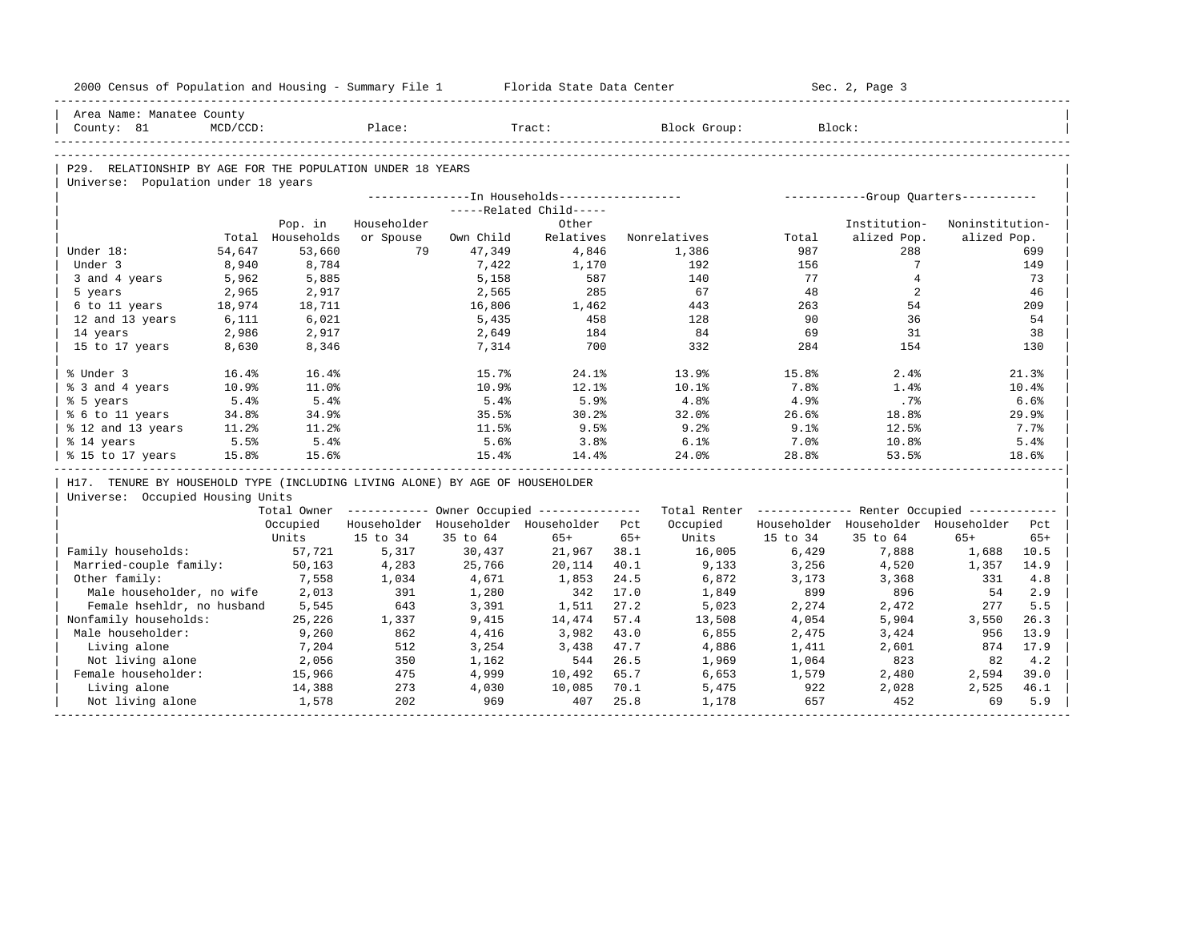| 2000 Census of Population and Housing - Summary File 1 Florida State Data Center |                |                  |                                         |                |                         |       |                                                                                                               |           | Sec. 2, Page 3                          |                 |          |
|----------------------------------------------------------------------------------|----------------|------------------|-----------------------------------------|----------------|-------------------------|-------|---------------------------------------------------------------------------------------------------------------|-----------|-----------------------------------------|-----------------|----------|
| Area Name: Manatee County                                                        |                |                  |                                         |                |                         |       |                                                                                                               |           |                                         |                 |          |
| County: 81                                                                       | $MCD/CCD$ :    |                  | Place:                                  |                | Tract:                  |       | Block Group:                                                                                                  |           | Block:                                  |                 |          |
|                                                                                  |                |                  |                                         |                |                         |       |                                                                                                               |           |                                         |                 |          |
| P29. RELATIONSHIP BY AGE FOR THE POPULATION UNDER 18 YEARS                       |                |                  |                                         |                |                         |       |                                                                                                               |           |                                         |                 |          |
| Universe: Population under 18 years                                              |                |                  |                                         |                |                         |       |                                                                                                               |           |                                         |                 |          |
|                                                                                  |                |                  |                                         |                |                         |       |                                                                                                               |           |                                         |                 |          |
|                                                                                  |                |                  |                                         |                | -----Related Child----- |       |                                                                                                               |           |                                         |                 |          |
|                                                                                  |                | Pop. in          | Householder                             |                | Other                   |       |                                                                                                               |           | Institution-                            | Noninstitution- |          |
|                                                                                  |                | Total Households | or Spouse                               | Own Child      | Relatives               |       | Nonrelatives                                                                                                  | Total     | alized Pop.                             | alized Pop.     |          |
| Under 18:                                                                        | 54,647         | 53,660           | 79                                      | 47,349         | 4,846                   |       | 1,386                                                                                                         | 987       | 288                                     |                 | 699      |
| Under 3                                                                          | 8,940          | 8,784            |                                         | 7,422          | 1,170                   |       | 192                                                                                                           | 156       | $7^{\circ}$                             |                 | 149      |
| 3 and 4 years                                                                    | 5,962          | 5,885            |                                         | 5,158          | 587<br>285              |       | 140<br>67                                                                                                     | 77        | $\overline{4}$<br>2                     |                 | 73       |
| 5 years                                                                          | 2,965          | 2,917            |                                         | 2,565          |                         |       |                                                                                                               | 48        |                                         |                 | 46       |
| 6 to 11 years                                                                    | 18,974         | 18,711           |                                         | 16,806         | 1,462                   |       | 443                                                                                                           | 263<br>90 | 54<br>36                                |                 | 209      |
| 12 and 13 years                                                                  | 6,111          | 6,021            |                                         | 5,435          | 458                     |       | 128<br>84                                                                                                     | 69        | 31                                      |                 | 54<br>38 |
| 14 years                                                                         | 2,986<br>8,630 | 2,917            |                                         | 2,649<br>7,314 | 184<br>700              |       | 332                                                                                                           | 284       | 154                                     |                 | 130      |
| 15 to 17 years                                                                   |                | 8,346            |                                         |                |                         |       |                                                                                                               |           |                                         |                 |          |
| % Under 3                                                                        | 16.4%          | 16.4%            |                                         | 15.7%          | 24.1%                   |       | 13.9%                                                                                                         | 15.8%     | 2.4%                                    |                 | 21.3%    |
| % 3 and 4 years                                                                  | 10.9%          | 11.0%            |                                         | 10.9%          | 12.1%                   |       | 10.1%                                                                                                         | 7.8%      | 1.4%                                    |                 | 10.4%    |
| % 5 years                                                                        | 5.4%           | 5.4%             |                                         | 5.4%           | 5.9%                    |       | 4.8%                                                                                                          | 4.9%      | .7%                                     |                 | 6.6%     |
| % 6 to 11 years                                                                  | 34.8%          | 34.9%            |                                         | 35.5%          | 30.2%                   |       | 32.0%                                                                                                         | 26.6%     | 18.8%                                   |                 | 29.9%    |
| % 12 and 13 years                                                                | 11.2%          | 11.2%            |                                         | 11.5%          | 9.5%                    |       | 9.2%                                                                                                          | 9.1%      | 12.5%                                   |                 | 7.7%     |
| % 14 years                                                                       | 5.5%           | 5.4%             |                                         | 5.6%           | 3.8%                    |       | 6.1%                                                                                                          | 7.0%      | $10.8\%$                                |                 | 5.4%     |
| % 15 to 17 years                                                                 | 15.8%          | 15.6%            |                                         | 15.4%          | 14.4%                   |       | 24.0%                                                                                                         | 28.8%     | 53.5%                                   |                 | 18.6%    |
| H17. TENURE BY HOUSEHOLD TYPE (INCLUDING LIVING ALONE) BY AGE OF HOUSEHOLDER     |                |                  |                                         |                |                         |       |                                                                                                               |           |                                         |                 |          |
| Universe: Occupied Housing Units                                                 |                |                  |                                         |                |                         |       |                                                                                                               |           |                                         |                 |          |
|                                                                                  |                |                  |                                         |                |                         |       | Total Owner ----------- Owner Occupied -------------- Total Renter ------------- Renter Occupied ------------ |           |                                         |                 |          |
|                                                                                  |                | Occupied         | Householder Householder Householder Pct |                |                         |       | Occupied                                                                                                      |           | Householder Householder Householder Pct |                 |          |
|                                                                                  |                | Units            | 15 to 34                                | 35 to 64       | $65+$                   | $65+$ | Units                                                                                                         | 15 to 34  | 35 to 64                                | $65+$           | $65+$    |
| Family households:                                                               |                | 57,721           | 5,317                                   | 30,437         | 21,967 38.1             |       | 16,005                                                                                                        | 6,429     | 7,888                                   | 1,688           | 10.5     |
| Married-couple family:                                                           |                | 50,163           | 4,283                                   | 25,766         | 20,114                  | 40.1  | 9,133                                                                                                         | 3,256     | 4,520                                   | 1,357           | 14.9     |
| Other family:                                                                    |                | 7,558            | 1,034                                   | 4,671          | 1,853                   | 24.5  | 6,872                                                                                                         | 3,173     | 3,368                                   | 331             | 4.8      |
| Male householder, no wife                                                        |                | 2,013            | 391                                     | 1,280          | 342                     | 17.0  | 1,849                                                                                                         | 899       | 896                                     | 54              | 2.9      |
| Female hsehldr, no husband                                                       |                | 5,545            | 643                                     | 3,391          | 1,511                   | 27.2  | 5,023                                                                                                         | 2,274     | 2,472                                   | 277             | 5.5      |
| Nonfamily households:                                                            |                | 25,226           | 1,337                                   | 9,415          | 14,474                  | 57.4  | 13,508                                                                                                        | 4,054     | 5,904                                   | 3,550           | 26.3     |
| Male householder:                                                                |                | 9,260            | 862                                     | 4,416          | 3,982                   | 43.0  | 6,855                                                                                                         | 2,475     | 3,424                                   | 956             | 13.9     |
| Living alone                                                                     |                | 7,204            | 512                                     | 3,254          | 3,438                   | 47.7  | 4,886                                                                                                         | 1,411     | 2,601                                   | 874             | 17.9     |
| Not living alone                                                                 |                | 2,056            | 350                                     | 1,162          | 544                     | 26.5  | 1,969                                                                                                         | 1,064     | 823                                     | 82              | 4.2      |
| Female householder:                                                              |                | 15,966           | 475                                     | 4,999          | 10,492                  | 65.7  | 6,653                                                                                                         | 1,579     | 2,480                                   | 2,594           | 39.0     |
| Living alone                                                                     |                | 14,388           | 273                                     | 4,030          | 10,085                  | 70.1  | 5,475                                                                                                         | 922       | 2,028                                   | 2,525           | 46.1     |
| Not living alone                                                                 |                | 1,578            | 202                                     | 969            | 407                     | 25.8  | 1,178                                                                                                         | 657       | 452                                     | 69              | 5.9      |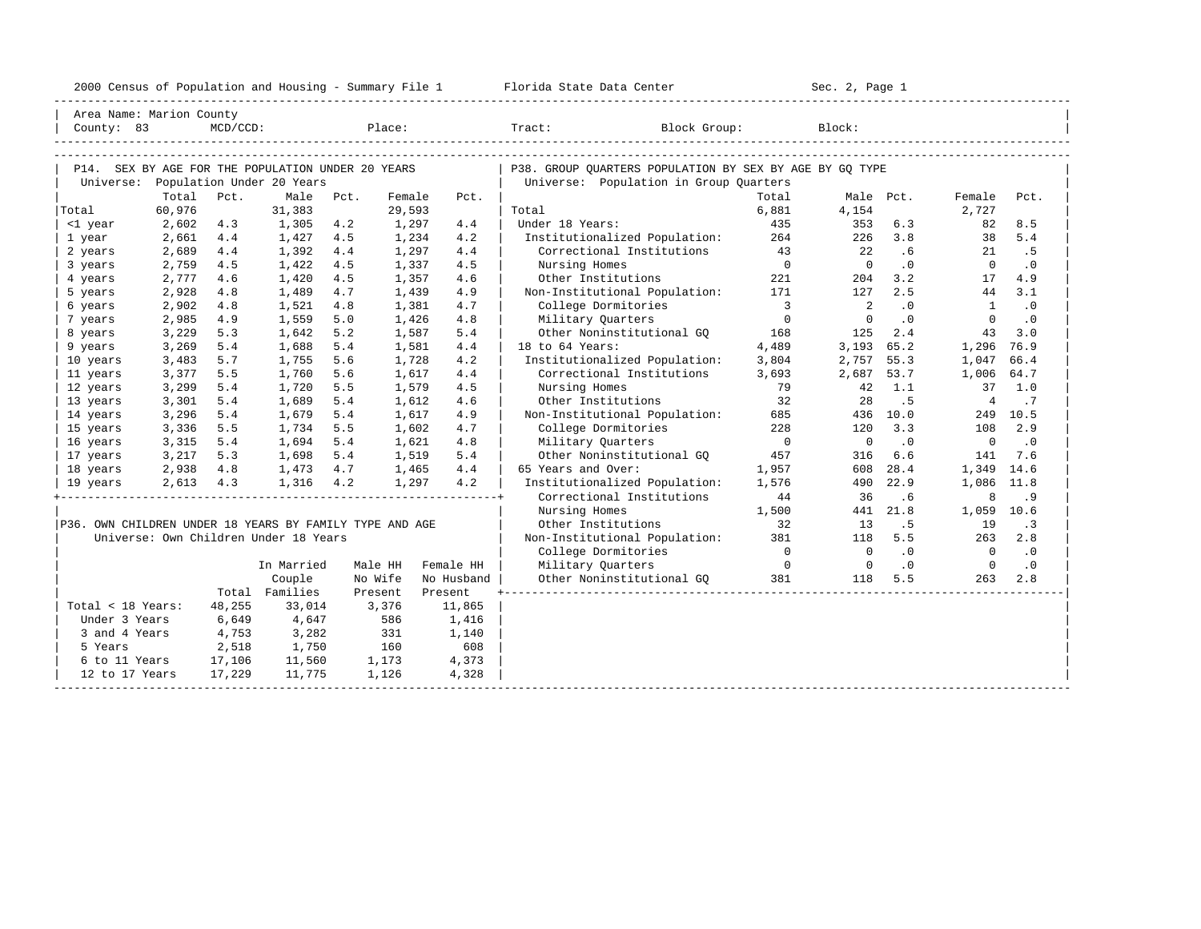|                                                                |        |             |                                       |       |         |            | 2000 Census of Population and Housing - Summary File 1 Florida State Data Center                  | Sec. 2, Page 1          |                            |           |                |           |
|----------------------------------------------------------------|--------|-------------|---------------------------------------|-------|---------|------------|---------------------------------------------------------------------------------------------------|-------------------------|----------------------------|-----------|----------------|-----------|
| Area Name: Marion County                                       |        |             |                                       |       |         |            |                                                                                                   |                         |                            |           |                |           |
| County: 83                                                     |        | $MCD/CCD$ : |                                       |       |         | Place:     | Tract: Tract:<br>Block Group:                                                                     |                         | Block:                     |           |                |           |
|                                                                |        |             |                                       |       |         |            |                                                                                                   |                         |                            |           |                |           |
| P14. SEX BY AGE FOR THE POPULATION UNDER 20 YEARS<br>Universe: |        |             | Population Under 20 Years             |       |         |            | P38. GROUP QUARTERS POPULATION BY SEX BY AGE BY GQ TYPE<br>Universe: Population in Group Quarters |                         |                            |           |                |           |
|                                                                |        | Total Pct.  | Male                                  | Pct.  | Female  | Pct.       |                                                                                                   | Total                   |                            | Male Pct. | Female         | Pct.      |
| Total                                                          | 60,976 |             | 31,383                                |       | 29,593  |            | Total                                                                                             | 6,881                   | 4,154                      |           | 2,727          |           |
| <1 year                                                        | 2,602  | 4.3         | 1,305                                 | 4.2   | 1,297   | 4.4        | Under 18 Years:                                                                                   | 435                     | 353                        | 6.3       | 82             | 8.5       |
| 1 year                                                         | 2,661  | 4.4         | 1,427                                 | 4.5   | 1,234   | 4.2        | Institutionalized Population:                                                                     | 264                     | 226                        | 3.8       | 38             | 5.4       |
| 2 years                                                        | 2,689  | 4.4         | 1,392                                 | 4.4   | 1,297   | 4.4        | Correctional Institutions                                                                         | 43                      | 22                         | .6        | 21             | .5        |
| 3 years                                                        | 2,759  | 4.5         | 1,422                                 | 4.5   | 1,337   | 4.5        | Nursing Homes                                                                                     | $\overline{0}$          | $\overline{0}$             | $\cdot$ 0 | $\overline{0}$ | $\cdot$ 0 |
| 4 years                                                        | 2,777  | 4.6         | 1,420                                 | 4.5   | 1,357   | 4.6        | Other Institutions                                                                                | 221                     | 204                        | 3.2       | 17             | 4.9       |
| 5 years                                                        | 2,928  | 4.8         | 1,489                                 | 4.7   | 1,439   | 4.9        | Non-Institutional Population:                                                                     | 171                     | 127                        | 2.5       | 44             | 3.1       |
| 6 years                                                        | 2,902  | 4.8         | 1,521                                 | 4.8   | 1,381   | 4.7        | College Dormitories                                                                               | $\overline{\mathbf{3}}$ | $\overline{\phantom{0}}^2$ | $\cdot$ 0 | $\overline{1}$ | $\cdot$ 0 |
| 7 years                                                        | 2,985  | 4.9         | 1,559                                 | 5.0   | 1,426   | 4.8        | Military Quarters                                                                                 | $\overline{0}$          | $\circ$                    | $\cdot$ 0 | $\Omega$       | $\cdot$ 0 |
| 8 years                                                        | 3,229  | 5.3         | 1,642                                 | 5.2   | 1,587   | 5.4        | Other Noninstitutional GQ                                                                         | 168                     | 125                        | 2.4       | 43             | 3.0       |
| 9 years                                                        | 3,269  | 5.4         | 1,688                                 | 5.4   | 1,581   | 4.4        | 18 to 64 Years:                                                                                   | 4,489                   | 3,193 65.2                 |           | 1,296          | 76.9      |
| 10 years                                                       | 3,483  | 5.7         | 1,755                                 | 5.6   | 1,728   | 4.2        | Institutionalized Population:                                                                     | 3,804                   | 2,757 55.3                 |           | 1,047          | 66.4      |
| 11 years                                                       | 3,377  | 5.5         | 1,760                                 | 5.6   | 1,617   | 4.4        | Correctional Institutions                                                                         | 3,693                   | 2,687 53.7                 |           | 1,006          | 64.7      |
| 12 years                                                       | 3,299  | 5.4         | 1,720                                 | 5.5   | 1,579   | 4.5        | Nursing Homes                                                                                     | 79                      | 42                         | 1.1       | 37             | 1.0       |
| 13 years                                                       | 3,301  | 5.4         | 1,689                                 | 5.4   | 1,612   | 4.6        | Other Institutions                                                                                | 32                      | 28                         | .5        | $\overline{4}$ | $\cdot$ 7 |
| 14 years                                                       | 3,296  | 5.4         | 1,679                                 | 5.4   | 1,617   | 4.9        | Non-Institutional Population:                                                                     | 685                     |                            | 436 10.0  | 249            | 10.5      |
| 15 years                                                       | 3,336  | 5.5         | 1,734                                 | 5.5   | 1,602   | 4.7        | College Dormitories                                                                               | 228                     | 120                        | 3.3       | 108            | 2.9       |
| 16 years                                                       | 3,315  | 5.4         | 1,694                                 | 5.4   | 1,621   | 4.8        | Military Quarters                                                                                 | $\overline{0}$          | $\overline{0}$             | $\cdot$ 0 | $\overline{0}$ | $\cdot$ 0 |
| 17 years                                                       | 3,217  | 5.3         | 1,698                                 | 5.4   | 1,519   | 5.4        | Other Noninstitutional GO                                                                         | 457                     | 316                        | 6.6       | 141            | 7.6       |
| 18 years                                                       |        |             | 2,938 4.8 1,473 4.7                   |       | 1,465   | 4.4        | 65 Years and Over:                                                                                | 1,957                   | 608                        | 28.4      | 1,349          | 14.6      |
| 19 years                                                       |        |             | 2,613 4.3 1,316 4.2                   |       | 1,297   | 4.2        | Institutionalized Population:                                                                     | 1,576                   | 490                        | 22.9      | 1,086 11.8     |           |
|                                                                |        |             |                                       |       |         |            | Correctional Institutions                                                                         | 44                      | 36                         | .6        | 8              | .9        |
|                                                                |        |             |                                       |       |         |            | Nursing Homes                                                                                     | 1,500                   |                            | 441 21.8  | 1,059          | 10.6      |
| P36. OWN CHILDREN UNDER 18 YEARS BY FAMILY TYPE AND AGE        |        |             |                                       |       |         |            | Other Institutions                                                                                | 32                      | 13                         | .5        | 19             | $\cdot$ 3 |
|                                                                |        |             | Universe: Own Children Under 18 Years |       |         |            | Non-Institutional Population:                                                                     | 381                     | 118                        | 5.5       | 263            | 2.8       |
|                                                                |        |             |                                       |       |         |            | College Dormitories                                                                               | $\overline{0}$          | $\overline{0}$             | $\cdot$ 0 | $\overline{0}$ | $\cdot$ 0 |
|                                                                |        |             | In Married                            |       | Male HH | Female HH  | Military Quarters                                                                                 | $\overline{0}$          | $\overline{0}$             | .0        | $\overline{0}$ | $\cdot$ 0 |
|                                                                |        |             | Couple                                |       | No Wife | No Husband | Other Noninstitutional GQ 381                                                                     |                         | 118                        | 5.5       | 263            | 2.8       |
|                                                                |        |             | Total Families                        |       | Present | Present    |                                                                                                   |                         |                            |           |                |           |
| Total < 18 Years:                                              |        | 48,255      | 33,014                                |       | 3,376   | 11,865     |                                                                                                   |                         |                            |           |                |           |
| Under 3 Years                                                  |        | 6,649       | 4,647                                 |       | 586     | 1,416      |                                                                                                   |                         |                            |           |                |           |
| 3 and 4 Years                                                  |        | 4,753       | 3,282                                 |       | 331     | 1,140      |                                                                                                   |                         |                            |           |                |           |
| 5 Years                                                        |        | 2,518       | 1,750                                 |       | 160     | 608        |                                                                                                   |                         |                            |           |                |           |
| 6 to 11 Years                                                  |        | 17,106      | 11,560                                |       | 1,173   | 4,373      |                                                                                                   |                         |                            |           |                |           |
| 12 to 17 Years                                                 |        | 17,229      | 11,775                                | 1,126 |         | 4,328      |                                                                                                   |                         |                            |           |                |           |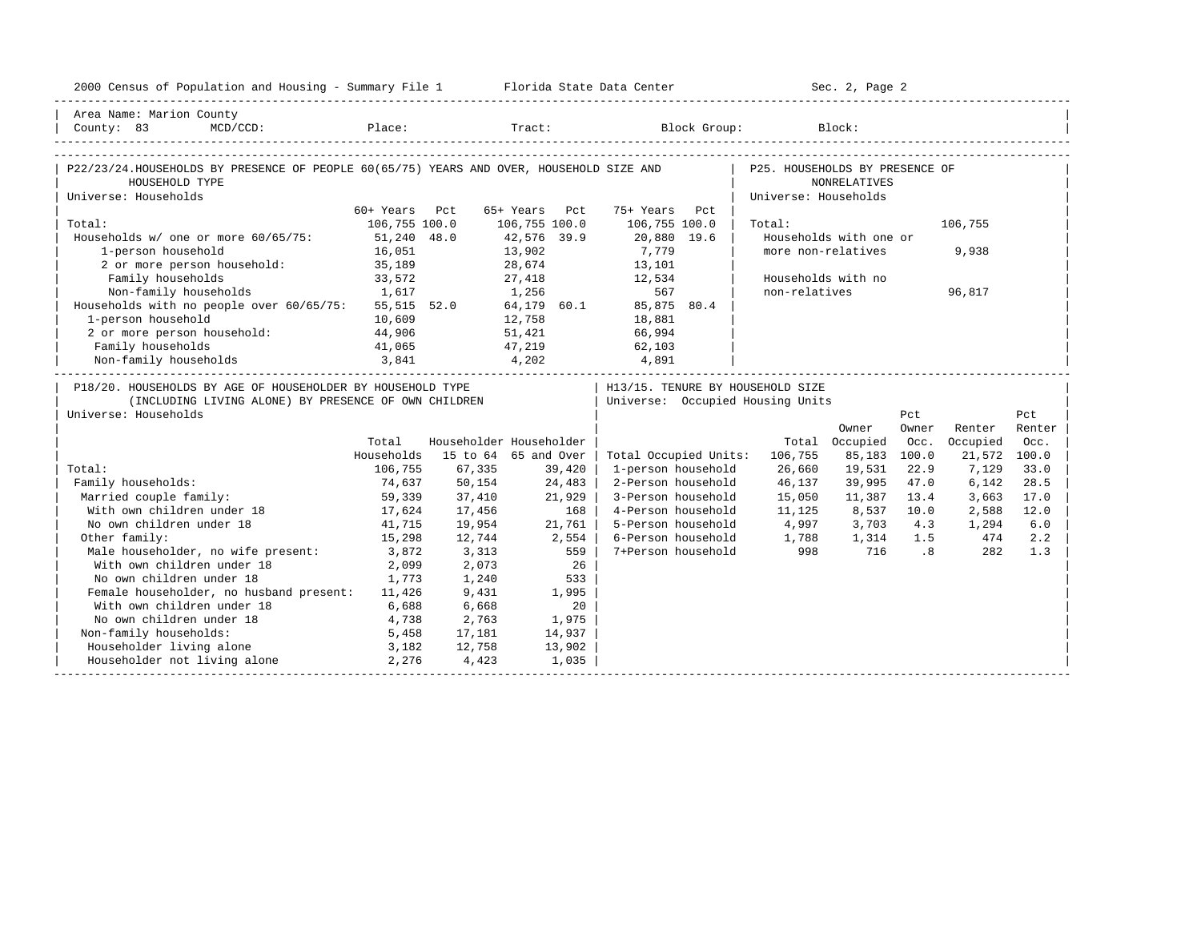| 2000 Census of Population and Housing - Summary File 1 Florida State Data Center                                                   |               |        |                         |                                   | Sec. 2, Page 2       |                        |                             |              |        |
|------------------------------------------------------------------------------------------------------------------------------------|---------------|--------|-------------------------|-----------------------------------|----------------------|------------------------|-----------------------------|--------------|--------|
| Area Name: Marion County                                                                                                           |               |        |                         |                                   |                      |                        |                             |              |        |
| County: 83<br>$MCD/CCD$ :                                                                                                          |               |        |                         | Place: Tract: Block Group: Block: |                      |                        |                             |              |        |
| P22/23/24.HOUSEHOLDS BY PRESENCE OF PEOPLE 60(65/75) YEARS AND OVER, HOUSEHOLD SIZE AND   P25. HOUSEHOLDS BY PRESENCE OF           |               |        |                         |                                   |                      |                        |                             |              |        |
| HOUSEHOLD TYPE                                                                                                                     |               |        |                         |                                   |                      | <b>NONRELATIVES</b>    |                             |              |        |
| Universe: Households                                                                                                               |               |        |                         |                                   | Universe: Households |                        |                             |              |        |
|                                                                                                                                    | 60+ Years Pct |        | 65+ Years Pct           | 75+ Years Pct                     |                      |                        |                             |              |        |
| Total:                                                                                                                             | 106,755 100.0 |        | 106,755 100.0           | 106,755 100.0                     | Total:               |                        |                             | 106,755      |        |
| Households w/ one or more 60/65/75: 51,240 48.0                                                                                    |               |        | 42,576 39.9             | 20,880 19.6                       |                      | Households with one or |                             |              |        |
| 1-person household                                                                                                                 | 16,051        |        |                         | 7,779                             |                      | more non-relatives     |                             | 9,938        |        |
| 2 or more person household:                                                                                                        | 35,189        |        | 13,902<br>28,674        | 13,101                            |                      |                        |                             |              |        |
| Family households                                                                                                                  | 33,572        |        | 27,418 12,534           |                                   |                      | Households with no     |                             |              |        |
| 1,617<br>Non-family households 1,617 1,256 567 567<br>Households with no people over 60/65/75: 55,515 52.0 64,179 60.1 85,875 80.4 |               |        |                         |                                   | non-relatives        |                        |                             | 96,817       |        |
|                                                                                                                                    |               |        |                         |                                   |                      |                        |                             |              |        |
| 1-person household                                                                                                                 | 10,609        | 12,758 |                         | 18,881                            |                      |                        |                             |              |        |
| 2 or more person household: 44,906                                                                                                 |               |        | 51,421 66,994           |                                   |                      |                        |                             |              |        |
|                                                                                                                                    |               |        |                         |                                   |                      |                        |                             |              |        |
| Family households<br>Non-family households<br>3,841<br>4,202<br>4,891<br>4,891                                                     |               |        |                         |                                   |                      |                        |                             |              |        |
| P18/20. HOUSEHOLDS BY AGE OF HOUSEHOLDER BY HOUSEHOLD TYPE                                                                         |               |        |                         | H13/15. TENURE BY HOUSEHOLD SIZE  |                      |                        |                             |              |        |
| (INCLUDING LIVING ALONE) BY PRESENCE OF OWN CHILDREN                                                                               |               |        |                         | Universe: Occupied Housing Units  |                      |                        |                             |              |        |
| Universe: Households                                                                                                               |               |        |                         |                                   |                      |                        | Pct                         |              | Pct    |
|                                                                                                                                    |               |        |                         |                                   |                      | Owner                  | Owner                       | Renter       | Renter |
|                                                                                                                                    | Total         |        | Householder Householder |                                   |                      | Total Occupied         | Occ.                        | Occupied     | Occ.   |
|                                                                                                                                    | Households    |        | 15 to 64 65 and Over    | Total Occupied Units:             | 106,755              | 85,183                 | 100.0                       | 21,572 100.0 |        |
| Total:                                                                                                                             | 106,755       | 67,335 | 39,420                  | 1-person household                | 26,660               | 19,531                 | 22.9                        | 7,129        | 33.0   |
| Family households:                                                                                                                 | 74,637        | 50,154 | 24,483                  | 2-Person household                | 46,137               | 39,995                 | 47.0                        | 6,142        | 28.5   |
| Married couple family:                                                                                                             | 59,339        | 37,410 | 21,929                  | 3-Person household                | 15,050               | 11,387                 | 13.4                        | 3,663        | 17.0   |
| With own children under 18                                                                                                         | 17,624        | 17,456 | 168                     | 4-Person household                | 11,125               | 8,537 10.0             |                             | 2,588        | 12.0   |
| No own children under 18                                                                                                           | 41,715        | 19,954 | 21,761                  | 5-Person household                | 4,997                | 3,703                  | 4.3                         | 1,294        | 6.0    |
| Other family:                                                                                                                      | 15,298        | 12,744 | 2,554                   | 6-Person household                | 1,788                | 1,314 1.5              |                             | 474          | 2.2    |
| Male householder, no wife present: 3,872                                                                                           |               | 3,313  | 559                     | 7+Person household                | 998                  | 716                    | $\overline{\phantom{0}}$ .8 | 282          | 1.3    |
| With own children under 18                                                                                                         | 2,099         | 2,073  | 26                      |                                   |                      |                        |                             |              |        |
| No own children under 18                                                                                                           | 1,773         | 1,240  | 533                     |                                   |                      |                        |                             |              |        |
| Female householder, no husband present: 11,426                                                                                     |               | 9,431  | 1,995                   |                                   |                      |                        |                             |              |        |
| With own children under 18                                                                                                         | 6,688         | 6,668  | 20                      |                                   |                      |                        |                             |              |        |
| No own children under 18<br>4,738                                                                                                  |               | 2,763  | 1,975                   |                                   |                      |                        |                             |              |        |
| Non-family households:                                                                                                             | 5,458         | 17,181 | 14,937                  |                                   |                      |                        |                             |              |        |
| 3,182<br>Householder living alone                                                                                                  |               | 12,758 | 13,902                  |                                   |                      |                        |                             |              |        |
| Householder not living alone 2,276                                                                                                 |               | 4,423  | 1,035                   |                                   |                      |                        |                             |              |        |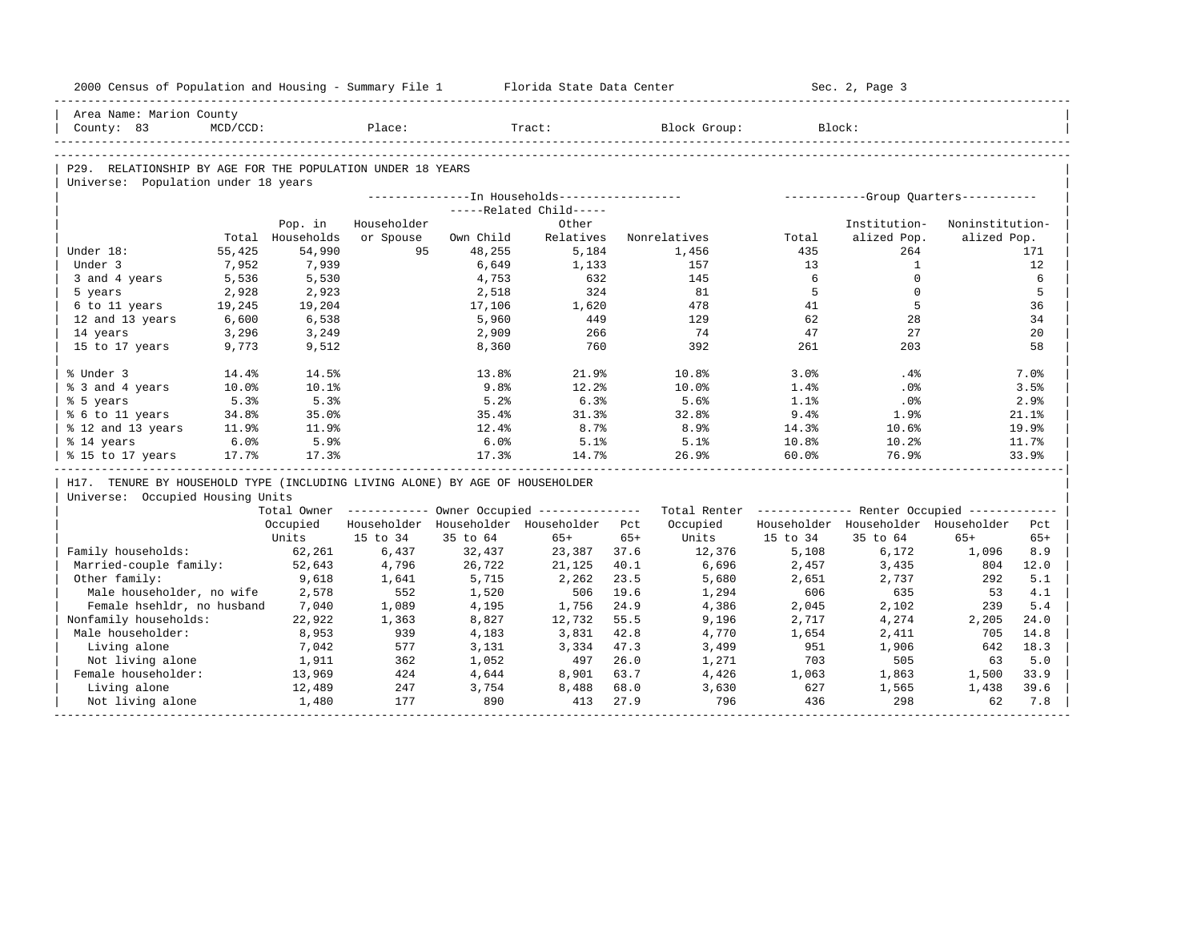| 2000 Census of Population and Housing - Summary File 1 Florida State Data Center |                 |                  |             |                 |                                         |       |                                                                                                               |          | Sec. 2, Page 3                      |                 |        |
|----------------------------------------------------------------------------------|-----------------|------------------|-------------|-----------------|-----------------------------------------|-------|---------------------------------------------------------------------------------------------------------------|----------|-------------------------------------|-----------------|--------|
| Area Name: Marion County                                                         |                 |                  |             |                 |                                         |       |                                                                                                               |          |                                     |                 |        |
| County: 83                                                                       | MCD/CCD:        |                  | Place:      |                 | Tract:                                  |       | Block Group:                                                                                                  |          | Block:                              |                 |        |
|                                                                                  |                 |                  |             |                 |                                         |       |                                                                                                               |          |                                     |                 |        |
| P29. RELATIONSHIP BY AGE FOR THE POPULATION UNDER 18 YEARS                       |                 |                  |             |                 |                                         |       |                                                                                                               |          |                                     |                 |        |
| Universe: Population under 18 years                                              |                 |                  |             |                 |                                         |       |                                                                                                               |          |                                     |                 |        |
|                                                                                  |                 |                  |             |                 |                                         |       |                                                                                                               |          |                                     |                 |        |
|                                                                                  |                 |                  |             |                 | -----Related Child-----                 |       |                                                                                                               |          |                                     |                 |        |
|                                                                                  |                 | Pop. in          | Householder |                 | Other                                   |       |                                                                                                               |          | Institution-                        | Noninstitution- |        |
|                                                                                  |                 | Total Households | or Spouse   | Own Child       | Relatives                               |       | Nonrelatives                                                                                                  | Total    | alized Pop.                         | alized Pop.     |        |
| Under 18:                                                                        | 55,425          | 54,990           | 95          | 48,255          | 5,184                                   |       | 1,456                                                                                                         | 435      | 264                                 |                 | 171    |
| Under 3                                                                          | 7,952           | 7,939            |             | 6,649           | 1,133                                   |       | 157                                                                                                           | 13       | $\mathbf{1}$                        |                 | 12     |
| 3 and 4 years                                                                    | 5,536           | 5,530            |             | 4,753           | 632<br>324                              |       | 145<br>81                                                                                                     | 6<br>5   | $\mathbf 0$<br>$\Omega$             |                 | 6<br>5 |
| 5 years<br>6 to 11 years                                                         | 2,928<br>19,245 | 2,923<br>19,204  |             | 2,518<br>17,106 | 1,620                                   |       | 478                                                                                                           | 41       | 5                                   |                 | 36     |
| 12 and 13 years                                                                  | 6,600           | 6,538            |             | 5,960           | 449                                     |       | 129                                                                                                           | 62       | 2.8                                 |                 | 34     |
| 14 years                                                                         | 3,296           | 3,249            |             | 2,909           | 266                                     |       | 74                                                                                                            | 47       | 27                                  |                 | 20     |
| 15 to 17 years                                                                   | 9,773           | 9,512            |             | 8,360           | 760                                     |       | 392                                                                                                           | 261      | 203                                 |                 | 58     |
|                                                                                  |                 |                  |             |                 |                                         |       |                                                                                                               |          |                                     |                 |        |
| % Under 3                                                                        | 14.4%           | 14.5%            |             | 13.8%           | 21.9%                                   |       | 10.8%                                                                                                         | 3.0%     | $.4\%$                              |                 | 7.0%   |
| % 3 and 4 years                                                                  | 10.0%           | 10.1%            |             | 9.8%            | 12.2%                                   |       | 10.0%                                                                                                         | 1.4%     | $.0\%$                              |                 | 3.5%   |
| % 5 years                                                                        | 5.3%            | 5.3%             |             | 5.2%            | 6.3%                                    |       | 5.6%                                                                                                          | 1.1%     | $.0\%$                              |                 | 2.9%   |
| % 6 to 11 years                                                                  | 34.8%           | 35.0%            |             | 35.4%           | 31.3%                                   |       | 32.8%                                                                                                         | 9.4%     | 1.9%                                |                 | 21.1%  |
| % 12 and 13 years                                                                | 11.9%           | 11.9%            |             | 12.4%           | 8.7%                                    |       | 8.9%                                                                                                          | 14.3%    | 10.6%                               |                 | 19.9%  |
| % 14 years                                                                       | 6.0%            | 5.9%             |             | $6.0\%$         | 5.1%                                    |       | 5.1%                                                                                                          | 10.8%    | 10.2%                               |                 | 11.7%  |
| % 15 to 17 years                                                                 | 17.7%           | 17.3%            |             | 17.3%           | 14.7%                                   |       | 26.9%                                                                                                         | 60.0%    | 76.9%                               |                 | 33.9%  |
| H17. TENURE BY HOUSEHOLD TYPE (INCLUDING LIVING ALONE) BY AGE OF HOUSEHOLDER     |                 |                  |             |                 |                                         |       |                                                                                                               |          |                                     |                 |        |
| Universe: Occupied Housing Units                                                 |                 |                  |             |                 |                                         |       |                                                                                                               |          |                                     |                 |        |
|                                                                                  |                 |                  |             |                 |                                         |       | Total Owner ----------- Owner Occupied -------------- Total Renter ------------- Renter Occupied ------------ |          |                                     |                 |        |
|                                                                                  |                 | Occupied         |             |                 | Householder Householder Householder Pct |       | Occupied                                                                                                      |          | Householder Householder Householder |                 | Pct    |
|                                                                                  |                 | Units            | 15 to 34    | 35 to 64        | $65+$                                   | $65+$ | Units                                                                                                         | 15 to 34 | 35 to 64                            | $65+$           | $65+$  |
| Family households:                                                               |                 | 62,261           | 6,437       | 32,437          | 23,387 37.6                             |       | 12,376                                                                                                        | 5,108    | 6,172                               | 1,096           | 8.9    |
| Married-couple family:                                                           |                 | 52,643           | 4,796       | 26,722          | 21,125                                  | 40.1  | 6,696                                                                                                         | 2,457    | 3,435                               | 804             | 12.0   |
| Other family:                                                                    |                 | 9,618            | 1,641       | 5,715           | 2,262                                   | 23.5  | 5,680                                                                                                         | 2,651    | 2,737                               | 292             | 5.1    |
| Male householder, no wife                                                        |                 | 2,578            | 552         | 1,520           | 506                                     | 19.6  | 1,294                                                                                                         | 606      | 635                                 | 53              | 4.1    |
| Female hsehldr, no husband                                                       |                 | 7,040            | 1,089       | 4,195           | 1,756                                   | 24.9  | 4,386                                                                                                         | 2,045    | 2,102                               | 239             | 5.4    |
| Nonfamily households:                                                            |                 | 22,922           | 1,363       | 8,827           | 12,732                                  | 55.5  | 9,196                                                                                                         | 2,717    | 4,274                               | 2,205           | 24.0   |
| Male householder:                                                                |                 | 8,953            | 939         | 4,183           | 3,831                                   | 42.8  | 4,770                                                                                                         | 1,654    | 2,411                               | 705             | 14.8   |
| Living alone                                                                     |                 | 7,042            | 577         | 3,131           | 3,334                                   | 47.3  | 3,499                                                                                                         | 951      | 1,906                               | 642             | 18.3   |
| Not living alone                                                                 |                 | 1,911            | 362         | 1,052           | 497                                     | 26.0  | 1,271                                                                                                         | 703      | 505                                 | 63              | 5.0    |
| Female householder:                                                              |                 | 13,969           | 424         | 4,644           | 8,901                                   | 63.7  | 4,426                                                                                                         | 1,063    | 1,863                               | 1,500           | 33.9   |
| Living alone                                                                     |                 | 12,489           | 247         | 3,754           | 8,488                                   | 68.0  | 3,630                                                                                                         | 627      | 1,565                               | 1,438           | 39.6   |
| Not living alone                                                                 |                 | 1,480            | 177         | 890             | 413                                     | 27.9  | 796                                                                                                           | 436      | 298                                 | 62              | 7.8    |
|                                                                                  |                 |                  |             |                 |                                         |       |                                                                                                               |          |                                     |                 |        |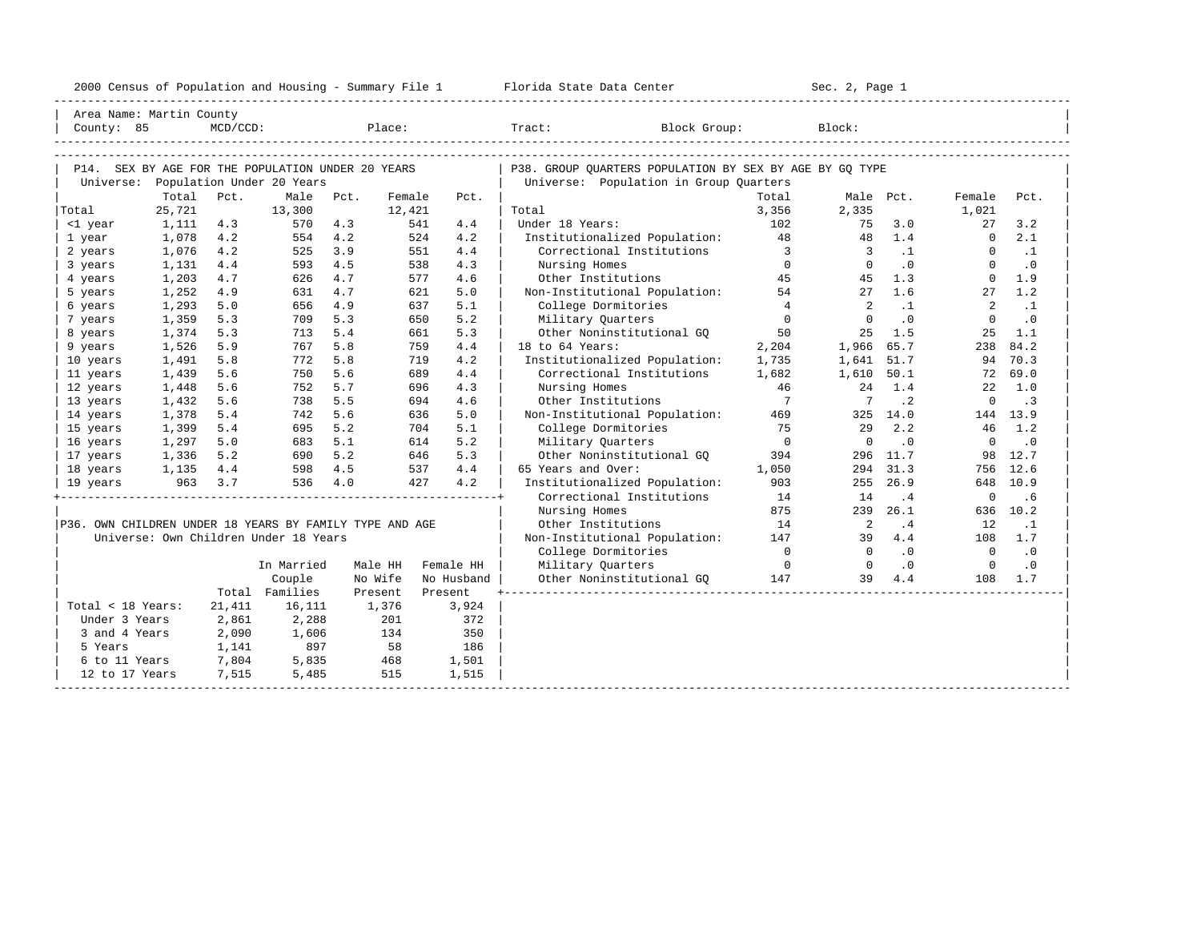|                                                         |         |                |                                       |                  |        |            | 2000 Census of Population and Housing - Summary File 1 Florida State Data Center                                                                                                                                |                         | Sec. 2, Page 1             |                |                |                             |
|---------------------------------------------------------|---------|----------------|---------------------------------------|------------------|--------|------------|-----------------------------------------------------------------------------------------------------------------------------------------------------------------------------------------------------------------|-------------------------|----------------------------|----------------|----------------|-----------------------------|
| Area Name: Martin County                                |         |                |                                       |                  |        |            |                                                                                                                                                                                                                 |                         |                            |                |                |                             |
|                                                         |         |                |                                       |                  |        |            | $\begin{tabular}{ l l } \hline County: & 85 & McD/CCD: & \textcolor{red}{Place:} & \textcolor{red}{Trace:} & \textcolor{red}{Block Group:} & \textcolor{red}{Block:} & \textcolor{green}{Block:} \end{tabular}$ |                         |                            |                |                |                             |
|                                                         |         |                |                                       |                  |        |            |                                                                                                                                                                                                                 |                         |                            |                |                |                             |
| P14. SEX BY AGE FOR THE POPULATION UNDER 20 YEARS       |         |                |                                       |                  |        |            | P38. GROUP OUARTERS POPULATION BY SEX BY AGE BY GO TYPE                                                                                                                                                         |                         |                            |                |                |                             |
|                                                         |         |                | Universe: Population Under 20 Years   |                  |        |            | Universe: Population in Group Quarters                                                                                                                                                                          |                         |                            |                |                |                             |
|                                                         | Total   | Pct.           | Male                                  | Pct.             | Female | Pct.       |                                                                                                                                                                                                                 | Total                   |                            | Male Pct.      | Female         | Pct.                        |
| Total                                                   | 25,721  |                | 13,300                                |                  | 12,421 |            | Total                                                                                                                                                                                                           | 3,356                   | 2,335                      |                | 1,021          |                             |
| <1 year                                                 | 1,111   | 4.3            | 570                                   | 4.3              | 541    | 4.4        | Under 18 Years:                                                                                                                                                                                                 | 102                     | 75                         | 3.0            | 27             | 3.2                         |
| 1 year                                                  | 1,078   | 4.2            | 554                                   | 4.2              | 524    | 4.2        | Institutionalized Population: 48                                                                                                                                                                                |                         | 48                         | 1.4            | $\overline{0}$ | 2.1                         |
| 2 years                                                 | 1,076   | 4.2            | 525                                   | 3.9              | 551    | 4.4        | Correctional Institutions                                                                                                                                                                                       | $\overline{\mathbf{3}}$ |                            | $3 \t 1$       | $\Omega$       | $\ldots$                    |
| 3 years                                                 | 1,131   | 4.4            | 593                                   | 4.5              | 538    | 4.3        | Nursing Homes                                                                                                                                                                                                   | $\overline{0}$          | $\overline{0}$             | $\cdot$ 0      | $\Omega$       | $\cdot$ 0                   |
| 4 years                                                 | 1,203   | 4.7            | 626                                   | 4.7              | 577    | 4.6        | 45<br>Other Institutions                                                                                                                                                                                        |                         | 45                         | 1.3            | $\Omega$       | 1.9                         |
| 5 years                                                 | 1,252   | 4.9            | 631                                   | 4.7              | 621    | 5.0        | Non-Institutional Population: 54                                                                                                                                                                                |                         | 27                         | 1.6            | 27             | 1.2                         |
| 6 years                                                 | 1,293   | 5.0            | 656                                   | 4.9              | 637    | 5.1        | College Dormitories                                                                                                                                                                                             | $\overline{4}$          | $\overline{2}$             | $\cdot$ 1      | $\overline{2}$ | $\cdot$ 1                   |
| 7 years                                                 | 1,359   | 5.3            | 709                                   | 5.3              | 650    | 5.2        | Military Quarters                                                                                                                                                                                               | $\overline{0}$          | $\overline{0}$             | $\cdot$ 0      | $\Omega$       | $\cdot$ 0                   |
| 8 years                                                 | 1,374   | 5.3            | 713                                   | 5.4              | 661    | 5.3        | Military guaracter<br>Other Noninstitutional GQ                                                                                                                                                                 | 50                      |                            | $25 \quad 1.5$ | 25             | 1.1                         |
| 9 years                                                 | 1,526   | 5.9            | 767                                   | 5.8              | 759    | 4.4        | 18 to 64 Years:                                                                                                                                                                                                 | 2,204                   | 1,966 65.7                 |                | 238            | 84.2                        |
| 10 years                                                | 1,491   | 5.8            | 772                                   | 5.8              | 719    | 4.2        | Institutionalized Population:                                                                                                                                                                                   | 1,735                   | 1,641 51.7                 |                |                | 94 70.3                     |
| 11 years                                                | 1,439   | 5.6            | 750                                   | 5.6              | 689    | 4.4        | Correctional Institutions                                                                                                                                                                                       | 1,682                   | 1,610 50.1                 |                |                | 72 69.0                     |
| 12 years                                                | 1,448   | 5.6            | 752                                   | 5.7              | 696    | 4.3        | Nursing Homes                                                                                                                                                                                                   | 46                      |                            | 24 1.4         |                | $22 \quad 1.0$              |
| 13 years                                                | 1,432   | 5.6            | 738                                   | 5.5              | 694    | 4.6        | Other Institutions                                                                                                                                                                                              | $7\phantom{0}7$         | $\overline{7}$             | $\cdot$ 2      | $\overline{0}$ | $\overline{\phantom{a}}$    |
| 14 years                                                | 1,378   | 5.4            | 742                                   | 5.6              | 636    | 5.0        | Non-Institutional Population:                                                                                                                                                                                   | 469                     |                            | 325 14.0       |                | 144 13.9                    |
| 15 years                                                | 1,399   | 5.4            | 695                                   | 5.2              | 704    | 5.1        | College Dormitories                                                                                                                                                                                             | 75                      | 29                         | 2.2            |                | 46 1.2                      |
| 16 years                                                | 1,297   | 5.0            | 683                                   | 5.1              | 614    | 5.2        | Military Quarters                                                                                                                                                                                               | $\overline{0}$          | $\overline{0}$             | $\cdot$ 0      | $\overline{0}$ | $\overline{\phantom{0}}$ .0 |
| 17 years                                                | 1,336   | 5.2            | 690 5.2                               |                  | 646    | 5.3        | Other Noninstitutional GO                                                                                                                                                                                       | 394                     |                            | 296 11.7       | 98             | 12.7                        |
| 18 years                                                |         |                | $1,135$ $4.4$ $598$ $4.5$             |                  | 537    | 4.4        | 65 Years and Over:                                                                                                                                                                                              | 1,050                   |                            | 294 31.3       |                | 756 12.6                    |
| 19 years                                                | 963 3.7 |                | 536 4.0                               |                  | 427    | 4.2        | Institutionalized Population:                                                                                                                                                                                   | 903                     |                            | 255 26.9       | 648            | 10.9                        |
|                                                         |         |                |                                       |                  |        |            | Correctional Institutions                                                                                                                                                                                       | 14                      | 14                         | .4             | $\overline{0}$ | .6                          |
|                                                         |         |                |                                       |                  |        |            | Nursing Homes                                                                                                                                                                                                   | 875                     |                            | 239 26.1       |                | 636 10.2                    |
| P36. OWN CHILDREN UNDER 18 YEARS BY FAMILY TYPE AND AGE |         |                |                                       |                  |        |            | Other Institutions                                                                                                                                                                                              | 14                      | $\overline{\phantom{0}}^2$ | .4             | 12             | $\cdot$ 1                   |
|                                                         |         |                | Universe: Own Children Under 18 Years |                  |        |            | Non-Institutional Population:                                                                                                                                                                                   | 147                     | 39 4.4                     |                |                | 108 1.7                     |
|                                                         |         |                |                                       |                  |        |            | College Dormitories                                                                                                                                                                                             | $\overline{0}$          | $\overline{0}$             | $\cdot$ 0      | $\overline{0}$ | $\overline{\phantom{0}}$    |
|                                                         |         |                | In Married                            | Male HH          |        | Female HH  | Military Quarters                                                                                                                                                                                               | $\overline{0}$          | $\overline{0}$             | $\cdot$ 0      | $\overline{0}$ | $\cdot$ 0                   |
|                                                         |         |                | Couple                                | No Wife          |        | No Husband | Other Noninstitutional GQ 147 39 4.4                                                                                                                                                                            |                         |                            |                |                | 108 1.7                     |
|                                                         |         |                | Total Families                        | Present          |        | Present    |                                                                                                                                                                                                                 |                         |                            |                |                |                             |
| Total < 18 Years:                                       |         | 21,411         | 16,111                                | 1,376            |        | 3,924      |                                                                                                                                                                                                                 |                         |                            |                |                |                             |
| Under 3 Years                                           |         | 2,861          | 2,288                                 | 134              | 201    | 372        |                                                                                                                                                                                                                 |                         |                            |                |                |                             |
| 3 and 4 Years                                           |         | 2,090<br>1,141 | 1,606                                 |                  |        | 350<br>186 |                                                                                                                                                                                                                 |                         |                            |                |                |                             |
| 5 Years<br>6 to 11 Years                                |         | 7,804          | 897<br>5,835                          | $\frac{134}{58}$ |        | 1,501      |                                                                                                                                                                                                                 |                         |                            |                |                |                             |
| 12 to 17 Years                                          |         | 7,515          | 5,485                                 |                  | 515    | 1,515      |                                                                                                                                                                                                                 |                         |                            |                |                |                             |
|                                                         |         |                |                                       |                  |        |            |                                                                                                                                                                                                                 |                         |                            |                |                |                             |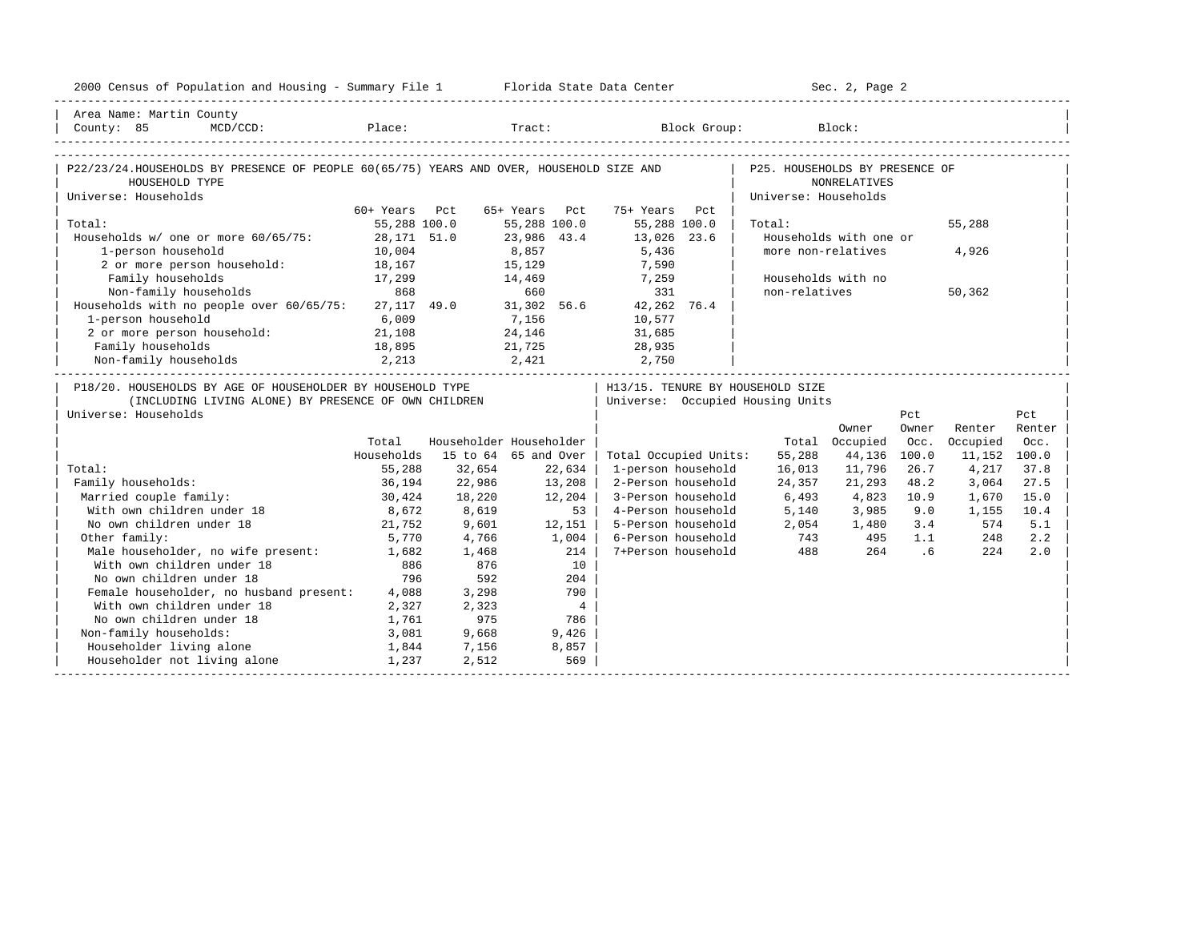| 2000 Census of Population and Housing - Summary File 1 Florida State Data Center                                                           |               |        |                         |                                      |                      | Sec. 2, Page 2         |       |              |        |
|--------------------------------------------------------------------------------------------------------------------------------------------|---------------|--------|-------------------------|--------------------------------------|----------------------|------------------------|-------|--------------|--------|
| Area Name: Martin County                                                                                                                   |               |        |                         |                                      |                      |                        |       |              |        |
| County: 85<br>$MCD / CCD$ :                                                                                                                |               |        |                         | Place: Tract: Block Group: Block:    |                      |                        |       |              |        |
|                                                                                                                                            |               |        |                         |                                      |                      |                        |       |              |        |
| P22/23/24.HOUSEHOLDS BY PRESENCE OF PEOPLE 60(65/75) YEARS AND OVER, HOUSEHOLD SIZE AND   P25. HOUSEHOLDS BY PRESENCE OF<br>HOUSEHOLD TYPE |               |        |                         |                                      |                      | NONRELATIVES           |       |              |        |
| Universe: Households                                                                                                                       |               |        |                         |                                      | Universe: Households |                        |       |              |        |
|                                                                                                                                            | 60+ Years Pct |        | 65+ Years Pct           | 75+ Years Pct                        |                      |                        |       |              |        |
| Total:                                                                                                                                     | 55,288 100.0  |        | 55,288 100.0            | 55,288 100.0                         | Total:               |                        |       | 55,288       |        |
| Households w/ one or more 60/65/75: 28,171 51.0                                                                                            |               |        | 23,986 43.4             | 13,026 23.6                          |                      | Households with one or |       |              |        |
| 1-person household                                                                                                                         | 10,004        |        | 8,857                   | 5,436                                |                      | more non-relatives     |       | 4,926        |        |
| 2 or more person household:                                                                                                                | 18,167        |        | 15,129                  | 7,590                                |                      |                        |       |              |        |
| Family households                                                                                                                          | 17,299        |        |                         | 14,469 7,259                         |                      | Households with no     |       |              |        |
|                                                                                                                                            |               |        |                         |                                      | non-relatives        |                        |       | 50,362       |        |
| Non-family households 868 660 331<br>Households with no people over 60/65/75: 27,117 49.0 31,302 56.6 42,262 76.4                          |               |        |                         |                                      |                      |                        |       |              |        |
| 1-person household                                                                                                                         | 6,009         |        | 7,156                   | 10,577                               |                      |                        |       |              |        |
| 2 or more person household: 21,108                                                                                                         |               |        |                         | 24, 146 31, 685                      |                      |                        |       |              |        |
|                                                                                                                                            |               |        |                         | $21,725$ $28,935$<br>$2,421$ $2,750$ |                      |                        |       |              |        |
| Family households 18,895 21,725<br>Non-family households 2,213 2,421                                                                       |               |        |                         |                                      |                      |                        |       |              |        |
| P18/20. HOUSEHOLDS BY AGE OF HOUSEHOLDER BY HOUSEHOLD TYPE                                                                                 |               |        |                         | H13/15. TENURE BY HOUSEHOLD SIZE     |                      |                        |       |              |        |
| (INCLUDING LIVING ALONE) BY PRESENCE OF OWN CHILDREN                                                                                       |               |        |                         | Universe: Occupied Housing Units     |                      |                        |       |              |        |
| Universe: Households                                                                                                                       |               |        |                         |                                      |                      |                        | Pct   |              | Pct    |
|                                                                                                                                            |               |        |                         |                                      |                      | Owner                  | Owner | Renter       | Renter |
|                                                                                                                                            | Total         |        | Householder Householder |                                      |                      | Total Occupied         | Occ.  | Occupied     | Occ.   |
|                                                                                                                                            | Households    |        | 15 to 64 65 and Over    | Total Occupied Units:                | 55,288               | 44,136                 | 100.0 | 11,152 100.0 |        |
| Total:                                                                                                                                     | 55,288        | 32,654 | 22,634                  | 1-person household                   | 16,013               | 11,796                 | 26.7  | 4,217        | 37.8   |
| Family households:                                                                                                                         | 36,194        | 22,986 | 13,208                  | 2-Person household                   | 24,357               | 21,293                 | 48.2  | 3,064        | 27.5   |
| Married couple family:                                                                                                                     | 30,424        | 18,220 | 12,204                  | 3-Person household                   | 6,493                | 4,823                  | 10.9  | 1,670        | 15.0   |
| With own children under 18                                                                                                                 | 8,672         | 8,619  | $53 \mid$               | 4-Person household                   | 5,140                | 3,985                  | 9.0   | 1,155        | 10.4   |
| No own children under 18                                                                                                                   | 21,752        | 9,601  | 12,151                  | 5-Person household                   | 2,054                | 1,480                  | 3.4   | 574          | 5.1    |
| Other family:                                                                                                                              | 5,770         | 4,766  | 1,004                   | 6-Person household                   | 743                  |                        | 1.1   | 248          | 2.2    |
| Male householder, no wife present: 1,682                                                                                                   |               | 1,468  | 214                     | 7+Person household                   | 488                  | $\frac{495}{264}$      | 264.6 | 224          | 2.0    |
| With own children under 18                                                                                                                 | 886           | 876    | 10                      |                                      |                      |                        |       |              |        |
| No own children under 18                                                                                                                   | 796           | 592    | 204                     |                                      |                      |                        |       |              |        |
| Female householder, no husband present: 4,088                                                                                              |               | 3,298  | 790                     |                                      |                      |                        |       |              |        |
| With own children under 18                                                                                                                 | 2,327         | 2,323  | $\overline{4}$          |                                      |                      |                        |       |              |        |
| No own children under 18                                                                                                                   | 1,761         | 975    | 786                     |                                      |                      |                        |       |              |        |
| Non-family households:                                                                                                                     | 3,081         | 9,668  | 9,426                   |                                      |                      |                        |       |              |        |
| Householder living alone                                                                                                                   | 1,844         | 7,156  | 8,857                   |                                      |                      |                        |       |              |        |
| Householder not living alone                                                                                                               | 1,237         | 2,512  | 569                     |                                      |                      |                        |       |              |        |
|                                                                                                                                            |               |        |                         |                                      |                      |                        |       |              |        |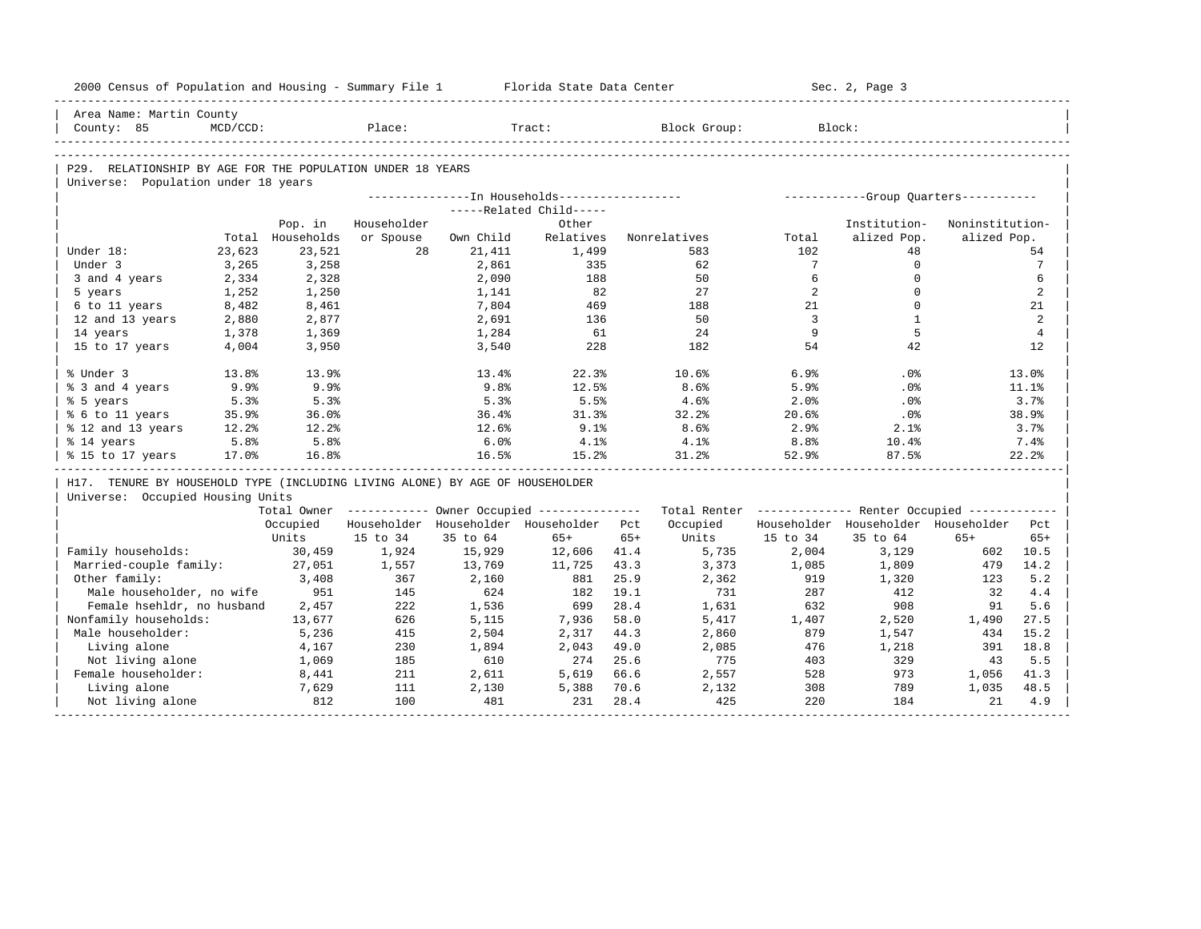| 2000 Census of Population and Housing - Summary File 1                       |             |                  |             |           | Florida State Data Center                             |       |                                                         |                  | Sec. 2, Page 3                        |                 |                 |
|------------------------------------------------------------------------------|-------------|------------------|-------------|-----------|-------------------------------------------------------|-------|---------------------------------------------------------|------------------|---------------------------------------|-----------------|-----------------|
| Area Name: Martin County                                                     |             |                  |             |           |                                                       |       |                                                         |                  |                                       |                 |                 |
| County: 85                                                                   | $MCD/CCD$ : |                  | Place:      |           | Tract:                                                |       | Block Group:                                            |                  | Block:                                |                 |                 |
|                                                                              |             |                  |             |           |                                                       |       |                                                         |                  |                                       |                 |                 |
| P29. RELATIONSHIP BY AGE FOR THE POPULATION UNDER 18 YEARS                   |             |                  |             |           |                                                       |       |                                                         |                  |                                       |                 |                 |
| Universe: Population under 18 years                                          |             |                  |             |           |                                                       |       |                                                         |                  |                                       |                 |                 |
|                                                                              |             |                  |             |           | ---------------In Households-----------------         |       |                                                         |                  | ------------Group Quarters----------- |                 |                 |
|                                                                              |             |                  |             |           | -----Related Child-----                               |       |                                                         |                  |                                       |                 |                 |
|                                                                              |             | Pop. in          | Householder |           | Other                                                 |       |                                                         |                  | Institution-                          | Noninstitution- |                 |
|                                                                              |             | Total Households | or Spouse   | Own Child | Relatives                                             |       | Nonrelatives                                            | Total            | alized Pop.                           | alized Pop.     |                 |
| Under 18:                                                                    | 23,623      | 23,521           | 28          | 21,411    | 1,499                                                 |       | 583                                                     | 102              | 48                                    |                 | 54              |
| Under 3                                                                      | 3,265       | 3,258            |             | 2,861     | 335                                                   |       | 62                                                      | $7\phantom{.0}$  | $\Omega$                              |                 | $7\phantom{.0}$ |
| 3 and 4 years                                                                | 2,334       | 2,328            |             | 2,090     | 188                                                   |       | 50                                                      | 6                | $\mathbf 0$                           |                 | 6               |
| 5 years                                                                      | 1,252       | 1,250            |             | 1,141     | 82                                                    |       | 2.7                                                     | $\overline{2}$   | $\Omega$                              |                 | 2               |
| 6 to 11 years                                                                | 8,482       | 8,461            |             | 7,804     | 469                                                   |       | 188                                                     | 21               | $\Omega$                              |                 | 21              |
| 12 and 13 years                                                              | 2,880       | 2,877            |             | 2,691     | 136                                                   |       | 50                                                      | 3                | $\mathbf{1}$                          |                 | 2               |
| 14 years                                                                     | 1,378       | 1,369            |             | 1,284     | 61                                                    |       | 24                                                      | 9                | 5                                     |                 | $\overline{4}$  |
| 15 to 17 years                                                               | 4,004       | 3,950            |             | 3,540     | 228                                                   |       | 182                                                     | 54               | 42                                    |                 | 12              |
| % Under 3                                                                    | 13.8%       | 13.9%            |             | 13.4%     | 22.3%                                                 |       | 10.6%                                                   | 6.9%             | .0%                                   |                 | 13.0%           |
| % 3 and 4 years                                                              | 9.9%        | 9.9%             |             | 9.8%      | 12.5%                                                 |       | 8.6%                                                    | 5.9%             | .0%                                   |                 | 11.1%           |
| % 5 years                                                                    | 5.3%        | 5.3%             |             | 5.3%      | 5.5%                                                  |       | 4.6%                                                    | 2.0%             | .0 <sup>8</sup>                       |                 | 3.7%            |
| % 6 to 11 years                                                              | 35.9%       | 36.0%            |             | 36.4%     | 31.3%                                                 |       | 32.2%                                                   | 20.6%            | $.0\%$                                |                 | 38.9%           |
| % 12 and 13 years                                                            | 12.2%       | 12.2%            |             | 12.6%     | 9.1%                                                  |       | 8.6%                                                    | 2.9%             | 2.1%                                  |                 | 3.7%            |
| % 14 years                                                                   | 5.8%        | 5.8%             |             | 6.0%      | 4.1%                                                  |       | 4.1%                                                    | 8.8 <sup>°</sup> | 10.4%                                 |                 | 7.4%            |
| % 15 to 17 years                                                             | 17.0%       | 16.8%            |             | 16.5%     | 15.2%                                                 |       | 31.2%                                                   | 52.9%            | 87.5%                                 |                 | 22.2%           |
| H17. TENURE BY HOUSEHOLD TYPE (INCLUDING LIVING ALONE) BY AGE OF HOUSEHOLDER |             |                  |             |           |                                                       |       |                                                         |                  |                                       |                 |                 |
| Universe: Occupied Housing Units                                             |             |                  |             |           |                                                       |       |                                                         |                  |                                       |                 |                 |
|                                                                              |             |                  |             |           | Total Owner ----------- Owner Occupied -------------- |       | Total Renter ------------- Renter Occupied ------------ |                  |                                       |                 |                 |
|                                                                              |             | Occupied         |             |           | Householder Householder Householder Pct               |       | Occupied                                                |                  | Householder Householder Householder   |                 | Pct             |
|                                                                              |             | Units            | 15 to 34    | 35 to 64  | $65+$                                                 | $65+$ | Units                                                   | 15 to 34         | 35 to 64                              | $65+$           | $65+$           |
| Family households:                                                           |             | 30,459           | 1,924       | 15,929    | 12,606                                                | 41.4  | 5,735                                                   | 2,004            | 3,129                                 | 602             | 10.5            |
| Married-couple family:                                                       |             | 27,051           | 1,557       | 13,769    | 11,725                                                | 43.3  | 3,373                                                   | 1,085            | 1,809                                 | 479             | 14.2            |
| Other family:                                                                |             | 3,408            | 367         | 2,160     | 881                                                   | 25.9  | 2,362                                                   | 919              | 1,320                                 | 123             | 5.2             |
| Male householder, no wife                                                    |             | 951              | 145         | 624       | 182                                                   | 19.1  | 731                                                     | 287              | 412                                   | 32              | 4.4             |
| Female hsehldr, no husband                                                   |             | 2,457            | 222         | 1,536     | 699                                                   | 28.4  | 1,631                                                   | 632              | 908                                   | 91              | 5.6             |
| Nonfamily households:                                                        |             | 13,677           | 626         | 5,115     | 7,936                                                 | 58.0  | 5,417                                                   | 1,407            | 2,520                                 | 1,490           | 27.5            |
| Male householder:                                                            |             | 5,236            | 415         | 2,504     | 2,317                                                 | 44.3  | 2,860                                                   | 879              | 1,547                                 | 434             | 15.2            |
| Living alone                                                                 |             | 4,167            | 230         | 1,894     | 2,043                                                 | 49.0  | 2,085                                                   | 476              | 1,218                                 | 391             | 18.8            |
| Not living alone                                                             |             | 1,069            | 185         | 610       | 274                                                   | 25.6  | 775                                                     | 403              | 329                                   | 43              | 5.5             |
| Female householder:                                                          |             | 8,441            | 211         | 2,611     | 5,619                                                 | 66.6  | 2,557                                                   | 528              | 973                                   | 1,056           | 41.3            |
| Living alone                                                                 |             | 7,629            | 111         | 2,130     | 5,388                                                 | 70.6  | 2,132                                                   | 308              | 789                                   | 1,035           | 48.5            |
| Not living alone                                                             |             | 812              | 100         | 481       | 231                                                   | 28.4  | 425                                                     | 220              | 184                                   | 21              | 4.9             |
|                                                                              |             |                  |             |           |                                                       |       |                                                         |                  |                                       |                 |                 |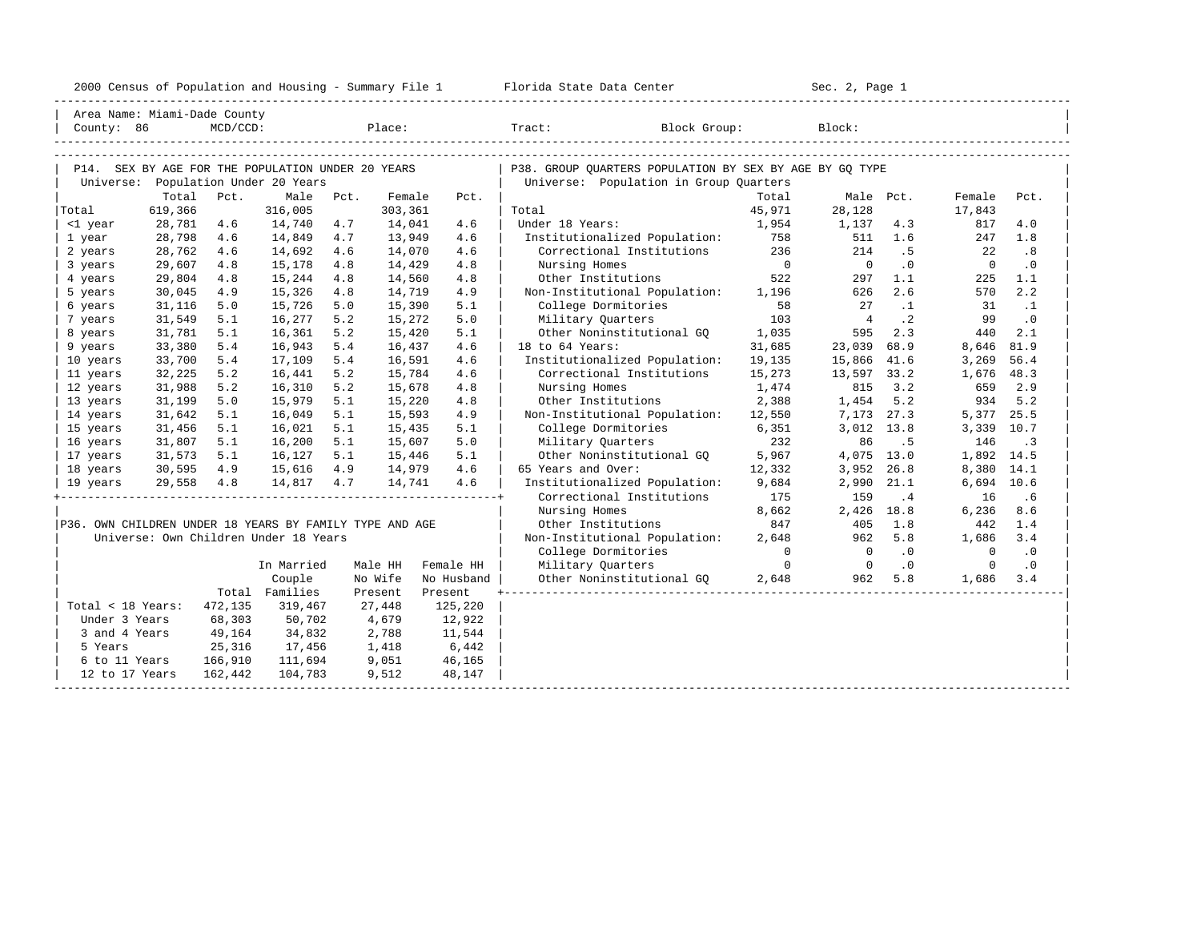| 2000<br>ensus! | and<br>Population | ---<br>Summa:<br>$-$<br>Housing | lorida<br>Data<br>otatt<br>Cente. | ، م ج<br>Page<br>$3-1$ |  |
|----------------|-------------------|---------------------------------|-----------------------------------|------------------------|--|
|                |                   |                                 |                                   |                        |  |

| Area Name: Miami-Dade County                            |                  |             |                                                   |      |                   |            |                                                         |                 |                |           |                  |           |
|---------------------------------------------------------|------------------|-------------|---------------------------------------------------|------|-------------------|------------|---------------------------------------------------------|-----------------|----------------|-----------|------------------|-----------|
| County: 86                                              |                  | $MCD/CCD$ : |                                                   |      |                   | Place:     | Tract: Block Group:                                     |                 | Block:         |           |                  |           |
|                                                         |                  |             |                                                   |      |                   |            |                                                         |                 |                |           |                  |           |
|                                                         |                  |             |                                                   |      |                   |            |                                                         |                 |                |           |                  |           |
|                                                         |                  |             | P14. SEX BY AGE FOR THE POPULATION UNDER 20 YEARS |      |                   |            | P38. GROUP OUARTERS POPULATION BY SEX BY AGE BY GO TYPE |                 |                |           |                  |           |
|                                                         |                  |             | Universe: Population Under 20 Years               |      |                   |            | Universe: Population in Group Quarters                  |                 |                |           |                  |           |
| Total                                                   | Total<br>619,366 | Pct.        | Male<br>316,005                                   | Pct. | Female<br>303,361 | Pct.       | Total                                                   | Total<br>45,971 | 28,128         | Male Pct. | Female<br>17,843 | Pct.      |
| <1 year                                                 | 28,781           | 4.6         | 14,740                                            | 4.7  | 14,041            | 4.6        | Under 18 Years:                                         | 1,954           | 1,137          | 4.3       | 817              | 4.0       |
| 1 year                                                  | 28,798           | 4.6         | 14,849                                            | 4.7  | 13,949            | 4.6        | Institutionalized Population:                           | 758             | 511            | 1.6       | 247              | 1.8       |
| 2 years                                                 | 28,762           | 4.6         | 14,692                                            | 4.6  | 14,070            | 4.6        | Correctional Institutions                               | 236             | 214            | .5        | 22               | .8        |
| 3 years                                                 | 29,607           | 4.8         | 15,178                                            | 4.8  | 14,429            | 4.8        | Nursing Homes                                           | $\overline{0}$  | $\overline{0}$ | $\cdot$ 0 | $\overline{0}$   | $\cdot$ 0 |
| 4 years                                                 | 29,804           | 4.8         | 15,244                                            | 4.8  | 14,560            | 4.8        | Other Institutions                                      | 522             | 297            | 1.1       | 225              | 1.1       |
| 5 years                                                 | 30,045           | 4.9         | 15,326                                            | 4.8  | 14,719            | 4.9        | Non-Institutional Population: 1,196                     |                 | 626            | 2.6       | 570              | 2.2       |
| 6 years                                                 | 31,116           | 5.0         | 15,726                                            | 5.0  | 15,390            | 5.1        | College Dormitories                                     | 58              | 27             | $\cdot$ 1 | 31               | $\cdot$ 1 |
| 7 years                                                 | 31,549           | 5.1         | 16,277                                            | 5.2  | 15,272            | 5.0        | Military Quarters                                       | 103             | $\overline{4}$ | $\cdot$ 2 | 99               | $\cdot$ 0 |
| 8 years                                                 | 31,781           | 5.1         | 16,361                                            | 5.2  | 15,420            | 5.1        | Other Noninstitutional GO 1,035                         |                 | 595            | 2.3       | 440              | 2.1       |
| 9 years                                                 | 33,380           | 5.4         | 16,943                                            | 5.4  | 16,437            | 4.6        | 18 to 64 Years:                                         | 31,685          | 23,039         | 68.9      | 8,646            | 81.9      |
| 10 years                                                | 33,700           | 5.4         | 17,109                                            | 5.4  | 16,591            | 4.6        | Institutionalized Population:                           | 19,135          | 15,866         | 41.6      | 3,269            | 56.4      |
| 11 years                                                | 32,225           | 5.2         | 16,441                                            | 5.2  | 15,784            | 4.6        | Correctional Institutions                               | 15,273          | 13,597         | 33.2      | 1,676            | 48.3      |
| 12 years                                                | 31,988           | 5.2         | 16,310                                            | 5.2  | 15,678            | 4.8        | Nursing Homes                                           | 1,474           | 815            | 3.2       | 659              | 2.9       |
| 13 years                                                | 31,199           | 5.0         | 15,979                                            | 5.1  | 15,220            | 4.8        | Other Institutions                                      | 2,388           | 1,454          | 5.2       | 934              | 5.2       |
| 14 years                                                | 31,642           | 5.1         | 16,049                                            | 5.1  | 15,593            | 4.9        | Non-Institutional Population: 12,550                    |                 | 7,173          | 27.3      | 5,377            | 25.5      |
| 15 years                                                | 31,456           | 5.1         | 16,021                                            | 5.1  | 15,435            | 5.1        | College Dormitories                                     | 6,351           | 3,012          | 13.8      | 3,339            | 10.7      |
| 16 years                                                | 31,807           | 5.1         | 16,200                                            | 5.1  | 15,607            | 5.0        | Military Quarters                                       | 232             | 86             | . 5       | 146              | $\cdot$ 3 |
| 17 years                                                | 31,573           | 5.1         | 16,127                                            | 5.1  | 15,446            | 5.1        | Other Noninstitutional GO                               | 5,967           | 4,075          | 13.0      | 1,892            | 14.5      |
| 18 years                                                | 30,595           | 4.9         | 15,616                                            | 4.9  | 14,979            | 4.6        | 65 Years and Over:                                      | 12,332          | 3,952          | 26.8      | 8,380            | 14.1      |
| 19 years                                                | 29,558 4.8       |             | 14,817 4.7                                        |      | 14,741            | 4.6        | Institutionalized Population:                           | 9,684           | 2,990          | 21.1      | 6,694            | 10.6      |
|                                                         |                  |             |                                                   |      |                   |            | Correctional Institutions                               | 175             | 159            | .4        | 16               | .6        |
|                                                         |                  |             |                                                   |      |                   |            | Nursing Homes                                           | 8,662           | 2,426          | 18.8      | 6,236            | 8.6       |
| P36. OWN CHILDREN UNDER 18 YEARS BY FAMILY TYPE AND AGE |                  |             |                                                   |      |                   |            | Other Institutions                                      | 847             | 405            | 1.8       | 442              | 1.4       |
|                                                         |                  |             | Universe: Own Children Under 18 Years             |      |                   |            | Non-Institutional Population:                           | 2,648           | 962            | 5.8       | 1,686            | 3.4       |
|                                                         |                  |             |                                                   |      |                   |            | College Dormitories                                     | $\overline{0}$  | $\overline{0}$ | $\cdot$ 0 | $\mathbf{0}$     | $\cdot$ 0 |
|                                                         |                  |             | In Married                                        |      | Male HH           | Female HH  | Military Quarters                                       | $\overline{0}$  | $\overline{0}$ | .0        | $\circ$          | $\cdot$ 0 |
|                                                         |                  |             | Couple                                            |      | No Wife           | No Husband | Other Noninstitutional GQ                               | 2,648           | 962            | 5.8       | 1,686            | 3.4       |
|                                                         |                  |             | Total Families                                    |      | Present           | Present    |                                                         |                 |                |           |                  |           |
| $Total < 18$ Years:                                     |                  | 472,135     | 319,467                                           |      | 27,448            | 125,220    |                                                         |                 |                |           |                  |           |
| Under 3 Years                                           |                  | 68,303      | 50,702                                            |      | 4,679             | 12,922     |                                                         |                 |                |           |                  |           |
| 3 and 4 Years                                           |                  | 49,164      | 34,832                                            |      | 2,788             | 11,544     |                                                         |                 |                |           |                  |           |
| 5 Years                                                 |                  | 25,316      | 17,456                                            |      | 1,418             | 6,442      |                                                         |                 |                |           |                  |           |
| 6 to 11 Years                                           |                  | 166,910     | 111,694                                           |      | 9,051             | 46,165     |                                                         |                 |                |           |                  |           |
| 12 to 17 Years                                          |                  | 162,442     | 104,783                                           |      | 9,512             | 48,147     |                                                         |                 |                |           |                  |           |
|                                                         |                  |             |                                                   |      |                   |            |                                                         |                 |                |           |                  |           |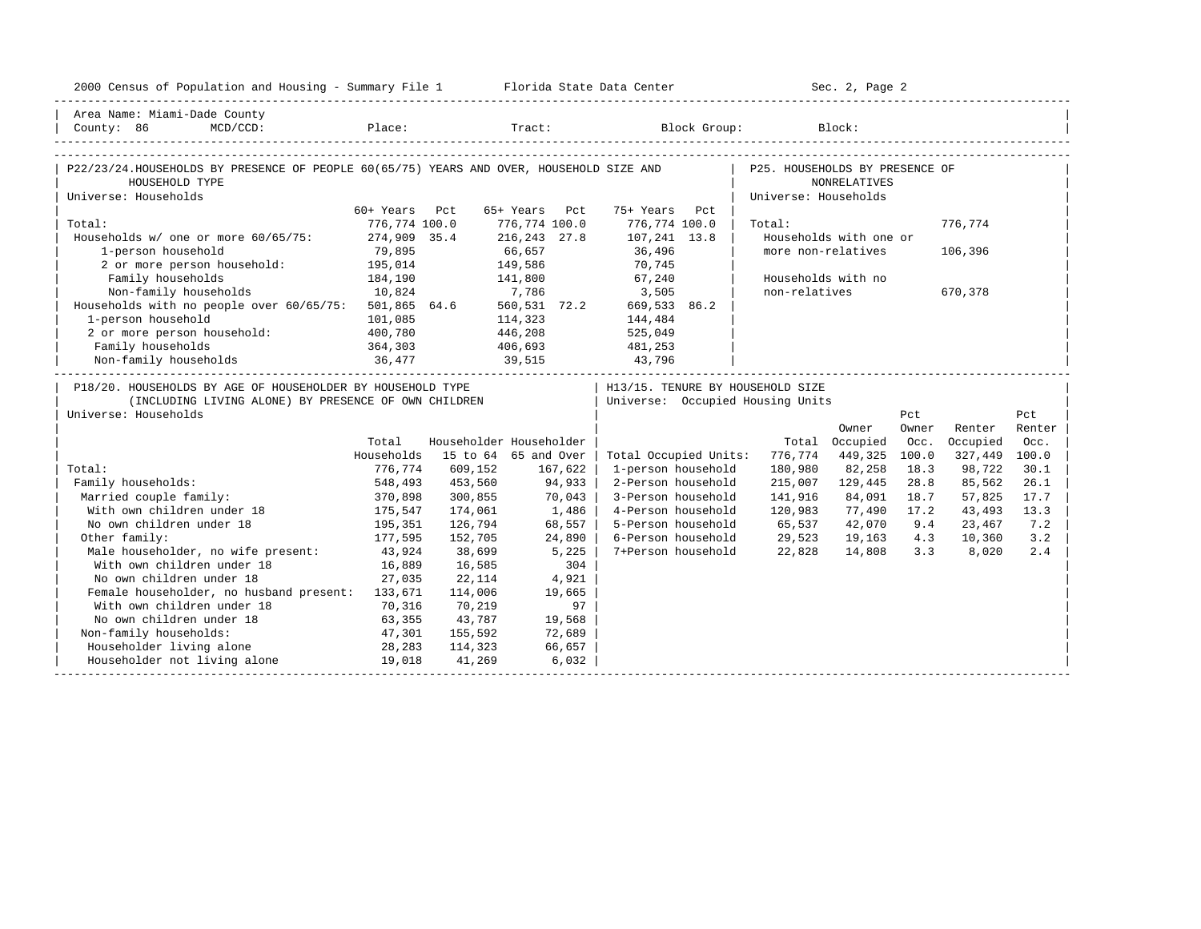| 2000 Census of Population and Housing - Summary File 1 Florida State Data Center                                            |                   |         |                         |                                   |                      | Sec. 2, Page 2         |       |               |        |
|-----------------------------------------------------------------------------------------------------------------------------|-------------------|---------|-------------------------|-----------------------------------|----------------------|------------------------|-------|---------------|--------|
| Area Name: Miami-Dade County                                                                                                |                   |         |                         |                                   |                      |                        |       |               |        |
| County: 86<br>$MCD/CCD$ :                                                                                                   |                   |         |                         | Place: Tract: Block Group: Block: |                      |                        |       |               |        |
|                                                                                                                             |                   |         |                         |                                   |                      |                        |       |               |        |
| P22/23/24. HOUSEHOLDS BY PRESENCE OF PEOPLE 60(65/75) YEARS AND OVER, HOUSEHOLD SIZE AND   P25. HOUSEHOLDS BY PRESENCE OF   |                   |         |                         |                                   |                      |                        |       |               |        |
| HOUSEHOLD TYPE                                                                                                              |                   |         |                         |                                   |                      | <b>NONRELATIVES</b>    |       |               |        |
| Universe: Households                                                                                                        |                   |         |                         |                                   | Universe: Households |                        |       |               |        |
|                                                                                                                             | 60+ Years Pct     |         | 65+ Years Pct           | 75+ Years Pct                     |                      |                        |       |               |        |
| Total:                                                                                                                      | 776,774 100.0     |         | 776,774 100.0           | 776,774 100.0                     | Total:               |                        |       | 776.774       |        |
| Households w/ one or more 60/65/75: 274,909 35.4                                                                            |                   |         | 216,243 27.8            | 107,241 13.8                      |                      | Households with one or |       |               |        |
| 1-person household                                                                                                          | 79,895<br>195,014 |         | 66,657                  | 36,496<br>70,745                  |                      | more non-relatives     |       | 106,396       |        |
| 2 or more person household:                                                                                                 | 184,190           | 141,800 | 149,586                 | 67,240                            |                      |                        |       |               |        |
| Family households                                                                                                           |                   |         |                         |                                   |                      | Households with no     |       |               |        |
| Non-family households 10,824 7,786 3,505<br>Households with no people over 60/65/75: 501,865 64.6 560,531 72.2 669,533 86.2 |                   |         |                         |                                   | non-relatives        |                        |       | 670,378       |        |
| 1-person household                                                                                                          |                   | 114,323 |                         |                                   |                      |                        |       |               |        |
|                                                                                                                             | 101,085           |         |                         | 144,484                           |                      |                        |       |               |        |
| 2 or more person household: 400,780                                                                                         |                   |         | 446,208                 | 525,049                           |                      |                        |       |               |        |
|                                                                                                                             |                   |         |                         | 481,253<br>43,796                 |                      |                        |       |               |        |
|                                                                                                                             |                   |         |                         |                                   |                      |                        |       |               |        |
| P18/20. HOUSEHOLDS BY AGE OF HOUSEHOLDER BY HOUSEHOLD TYPE                                                                  |                   |         |                         | H13/15. TENURE BY HOUSEHOLD SIZE  |                      |                        |       |               |        |
| (INCLUDING LIVING ALONE) BY PRESENCE OF OWN CHILDREN                                                                        |                   |         |                         | Universe: Occupied Housing Units  |                      |                        |       |               |        |
| Universe: Households                                                                                                        |                   |         |                         |                                   |                      |                        | Pct   |               | Pct    |
|                                                                                                                             |                   |         |                         |                                   |                      | Owner                  | Owner | Renter        | Renter |
|                                                                                                                             | Total             |         | Householder Householder |                                   |                      | Total Occupied         | Occ.  | Occupied      | Occ.   |
|                                                                                                                             | Households        |         | 15 to 64 65 and Over    | Total Occupied Units:             | 776,774              | 449,325                | 100.0 | 327,449 100.0 |        |
| Total:                                                                                                                      | 776,774           | 609,152 | 167,622                 | 1-person household                | 180,980              | 82,258                 | 18.3  | 98,722        | 30.1   |
| Family households:                                                                                                          | 548,493           | 453,560 | 94,933                  | 2-Person household                | 215,007              | 129,445                | 28.8  | 85,562        | 26.1   |
| Married couple family:                                                                                                      | 370,898           | 300,855 | 70,043                  | 3-Person household                | 141,916              | 84,091                 | 18.7  | 57,825        | 17.7   |
| With own children under 18                                                                                                  | 175, 547          | 174,061 | 1,486                   | 4-Person household                | 120,983              | 77,490                 | 17.2  | 43,493        | 13.3   |
| No own children under 18                                                                                                    | 195, 351          | 126,794 | 68,557                  | 5-Person household                | 65,537               | 42,070                 | 9.4   | 23,467        | 7.2    |
| Other family:                                                                                                               | 177,595           | 152,705 | 24,890                  | 6-Person household                | 29,523               | 19,163                 | 4.3   | 10,360        | 3.2    |
| Male householder, no wife present:                                                                                          | 43,924            | 38,699  | 5,225                   | 7+Person household                | 22,828               | 14,808                 | 3.3   | 8,020         | 2.4    |
| With own children under 18                                                                                                  | 16,889            | 16,585  | 304                     |                                   |                      |                        |       |               |        |
| No own children under 18                                                                                                    | 27,035            | 22,114  | 4,921                   |                                   |                      |                        |       |               |        |
| Female householder, no husband present: 133,671                                                                             |                   | 114,006 | 19,665                  |                                   |                      |                        |       |               |        |
| With own children under 18                                                                                                  | 70,316            | 70,219  | 97                      |                                   |                      |                        |       |               |        |
| No own children under 18<br>63,355                                                                                          |                   | 43,787  | 19,568                  |                                   |                      |                        |       |               |        |
| Non-family households:                                                                                                      | 47,301            | 155,592 | 72,689                  |                                   |                      |                        |       |               |        |
| Householder living alone                                                                                                    | 28,283            | 114,323 | 66,657                  |                                   |                      |                        |       |               |        |
| Householder not living alone                                                                                                | 19,018            | 41,269  | 6,032                   |                                   |                      |                        |       |               |        |
|                                                                                                                             |                   |         |                         |                                   |                      |                        |       |               |        |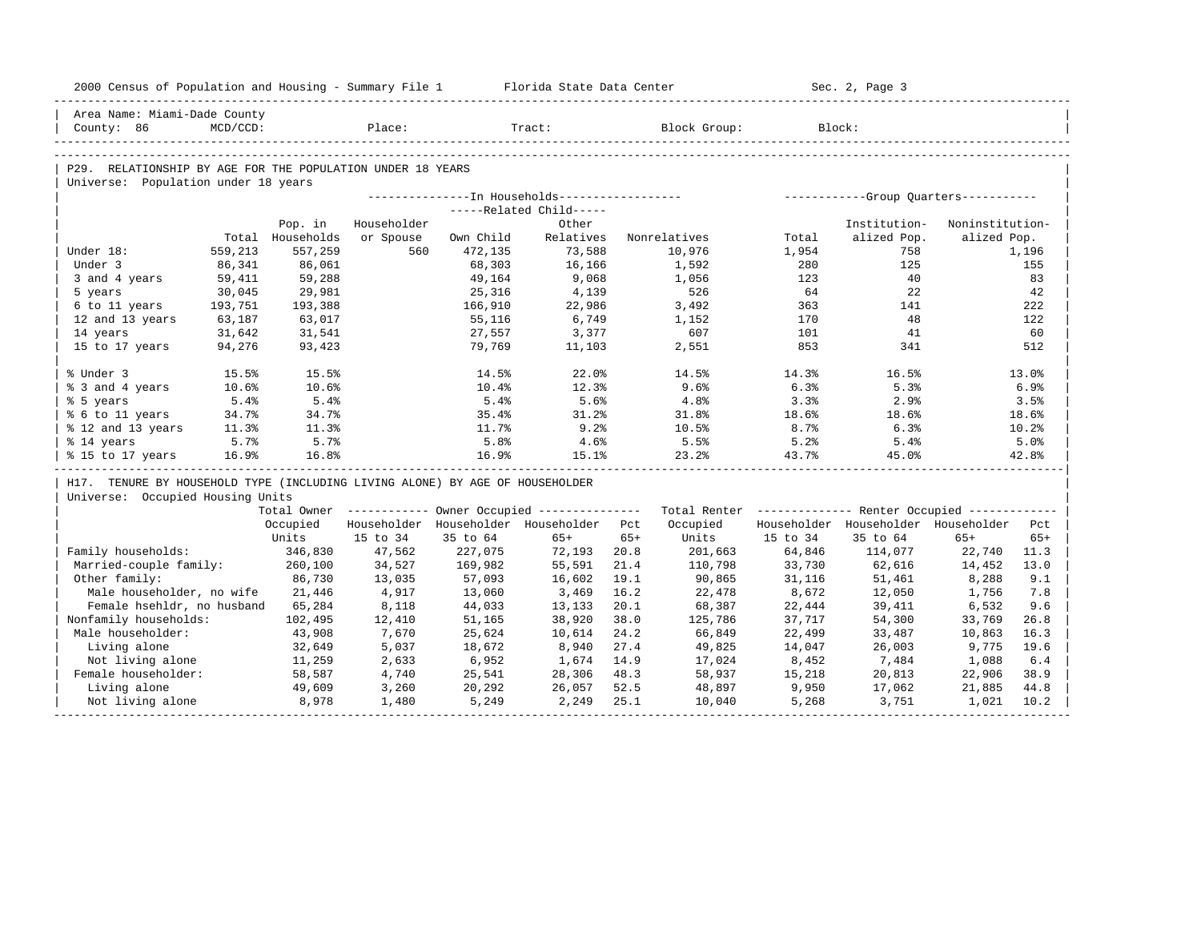| 2000 Census of Population and Housing - Summary File 1 Florida State Data Center |             |                  |                        |           |                                                        |       |                                                         | Sec. 2, Page 3 |                                         |                 |       |
|----------------------------------------------------------------------------------|-------------|------------------|------------------------|-----------|--------------------------------------------------------|-------|---------------------------------------------------------|----------------|-----------------------------------------|-----------------|-------|
| Area Name: Miami-Dade County                                                     |             |                  |                        |           |                                                        |       |                                                         |                |                                         |                 |       |
| County: 86                                                                       | $MCD/CCD$ : |                  | explorer in the Place: |           | Tract:                                                 |       | Block Group:                                            |                | Block:                                  |                 |       |
|                                                                                  |             |                  |                        |           |                                                        |       |                                                         |                |                                         |                 |       |
| P29. RELATIONSHIP BY AGE FOR THE POPULATION UNDER 18 YEARS                       |             |                  |                        |           |                                                        |       |                                                         |                |                                         |                 |       |
| Universe: Population under 18 years                                              |             |                  |                        |           |                                                        |       |                                                         |                |                                         |                 |       |
|                                                                                  |             |                  |                        |           |                                                        |       |                                                         |                |                                         |                 |       |
|                                                                                  |             |                  |                        |           | -----Related Child-----                                |       |                                                         |                |                                         |                 |       |
|                                                                                  |             | Pop. in          | Householder            |           | Other                                                  |       |                                                         |                | Institution-                            | Noninstitution- |       |
|                                                                                  |             | Total Households | or Spouse              | Own Child | Relatives                                              |       | Nonrelatives                                            | Total          | alized Pop.                             | alized Pop.     |       |
| Under 18:                                                                        | 559,213     | 557,259          | 560                    | 472,135   | 73,588                                                 |       | 10,976                                                  | 1,954          | 758                                     |                 | 1,196 |
| Under 3                                                                          | 86,341      | 86,061           |                        | 68,303    | 16,166                                                 |       | 1,592                                                   | 280            | 125                                     |                 | 155   |
| 3 and 4 years                                                                    | 59,411      | 59,288           |                        | 49,164    | 9,068                                                  |       | 1,056                                                   | 123            | 40                                      |                 | 83    |
| 5 years                                                                          | 30,045      | 29,981           |                        | 25,316    | 4,139                                                  |       | 526                                                     | 64             | 22                                      |                 | 42    |
| 6 to 11 years 193,751                                                            |             | 193,388          |                        | 166,910   | 22,986                                                 |       | 3,492                                                   | 363            | 141                                     |                 | 222   |
| 12 and 13 years                                                                  | 63,187      | 63,017           |                        | 55,116    | 6,749                                                  |       | 1,152                                                   | 170            | 48                                      |                 | 122   |
| 14 years                                                                         | 31,642      | 31,541           |                        | 27,557    | 3,377                                                  |       | 607                                                     | 101            | 41                                      |                 | 60    |
| 15 to 17 years                                                                   | 94,276      | 93,423           |                        | 79,769    | 11,103                                                 |       | 2,551                                                   | 853            | 341                                     |                 | 512   |
| % Under 3                                                                        | 15.5%       | 15.5%            |                        | 14.5%     | 22.0%                                                  |       | 14.5%                                                   | 14.3%          | 16.5%                                   |                 | 13.0% |
| % 3 and 4 years                                                                  | $10.6\%$    | 10.6%            |                        | 10.4%     | 12.3%                                                  |       | 9.6%                                                    | 6.3%           | 5.3%                                    |                 | 6.9%  |
| % 5 years                                                                        | 5.4%        | 5.4%             |                        | 5.4%      | 5.6%                                                   |       | 4.8%                                                    | 3.3%           | 2.9%                                    |                 | 3.5%  |
| % 6 to 11 years                                                                  | 34.7%       | 34.7%            |                        | 35.4%     | 31.2%                                                  |       | 31.8%                                                   | 18.6%          | 18.6%                                   |                 | 18.6% |
| % 12 and 13 years                                                                | 11.3%       | 11.3%            |                        | 11.7%     | 9.2%                                                   |       | $10.5\%$                                                | 8.7%           | 6.3%                                    |                 | 10.2% |
| % 14 years                                                                       | 5.7%        | 5.7%             |                        | 5.8%      | 4.6%                                                   |       | 5.5%                                                    | 5.2%           | 5.4%                                    |                 | 5.0%  |
| % 15 to 17 years                                                                 | 16.9%       | 16.8%            |                        | 16.9%     | 15.1%                                                  |       | 23.2%                                                   | 43.7%          | 45.0%                                   |                 | 42.8% |
| H17. TENURE BY HOUSEHOLD TYPE (INCLUDING LIVING ALONE) BY AGE OF HOUSEHOLDER     |             |                  |                        |           |                                                        |       |                                                         |                |                                         |                 |       |
| Universe: Occupied Housing Units                                                 |             |                  |                        |           |                                                        |       |                                                         |                |                                         |                 |       |
|                                                                                  |             |                  |                        |           | Total Owner ------------ Owner Occupied -------------- |       | Total Renter ------------- Renter Occupied ------------ |                |                                         |                 |       |
|                                                                                  |             |                  |                        |           | Occupied Householder Householder Householder Pct       |       | Occupied                                                |                | Householder Householder Householder Pct |                 |       |
|                                                                                  |             | Units            | 15 to 34               | 35 to 64  | $65+$                                                  | $65+$ | Units                                                   | 15 to 34       | 35 to 64                                | $65+$           | $65+$ |
| Family households:                                                               |             | 346,830          | 47,562                 | 227,075   | 72,193 20.8                                            |       | 201,663                                                 | 64,846         | 114,077                                 | 22,740          | 11.3  |
| Married-couple family: 260,100                                                   |             |                  | 34,527                 | 169,982   | 55,591                                                 | 21.4  | 110,798                                                 | 33,730         | 62,616                                  | 14,452          | 13.0  |
| Other family:                                                                    |             | 86,730           | 13,035                 | 57,093    | 16,602                                                 | 19.1  | 90,865                                                  | 31,116         | 51,461                                  | 8,288           | 9.1   |
| Male householder, no wife 21,446                                                 |             |                  | 4,917                  | 13,060    | 3,469                                                  | 16.2  | 22,478                                                  | 8,672          | 12,050                                  | 1,756           | 7.8   |
| Female hsehldr, no husband 65,284                                                |             |                  | 8,118                  | 44,033    | 13,133                                                 | 20.1  | 68,387                                                  | 22,444         | 39,411                                  | 6,532           | 9.6   |
| Nonfamily households:                                                            |             | 102,495          | 12,410                 | 51,165    | 38,920                                                 | 38.0  | 125,786                                                 | 37,717         | 54,300                                  | 33,769          | 26.8  |
|                                                                                  |             |                  |                        |           | 10,614                                                 | 24.2  | 66,849                                                  | 22,499         | 33,487                                  | 10,863          | 16.3  |
| Male householder:                                                                |             | 43,908           | 7,670                  | 25,624    |                                                        |       |                                                         |                |                                         |                 |       |
| Living alone                                                                     |             | 32,649           | 5,037                  | 18,672    | 8,940                                                  | 27.4  | 49,825                                                  | 14,047         | 26,003                                  | 9,775           | 19.6  |
| Not living alone                                                                 |             |                  | 2,633                  | 6,952     | 1,674                                                  | 14.9  | 17,024                                                  | 8,452          | 7,484                                   | 1,088           | 6.4   |
| Female householder:                                                              |             | 11,259<br>58,587 | 4,740                  | 25,541    | 28,306                                                 | 48.3  | 58,937                                                  | 15,218         | 20,813                                  | 22,906          | 38.9  |
| Living alone                                                                     |             | 49,609<br>8,978  | 3,260                  | 20,292    | 26,057                                                 | 52.5  | 48,897                                                  | 9,950          | 17,062                                  | 21,885          | 44.8  |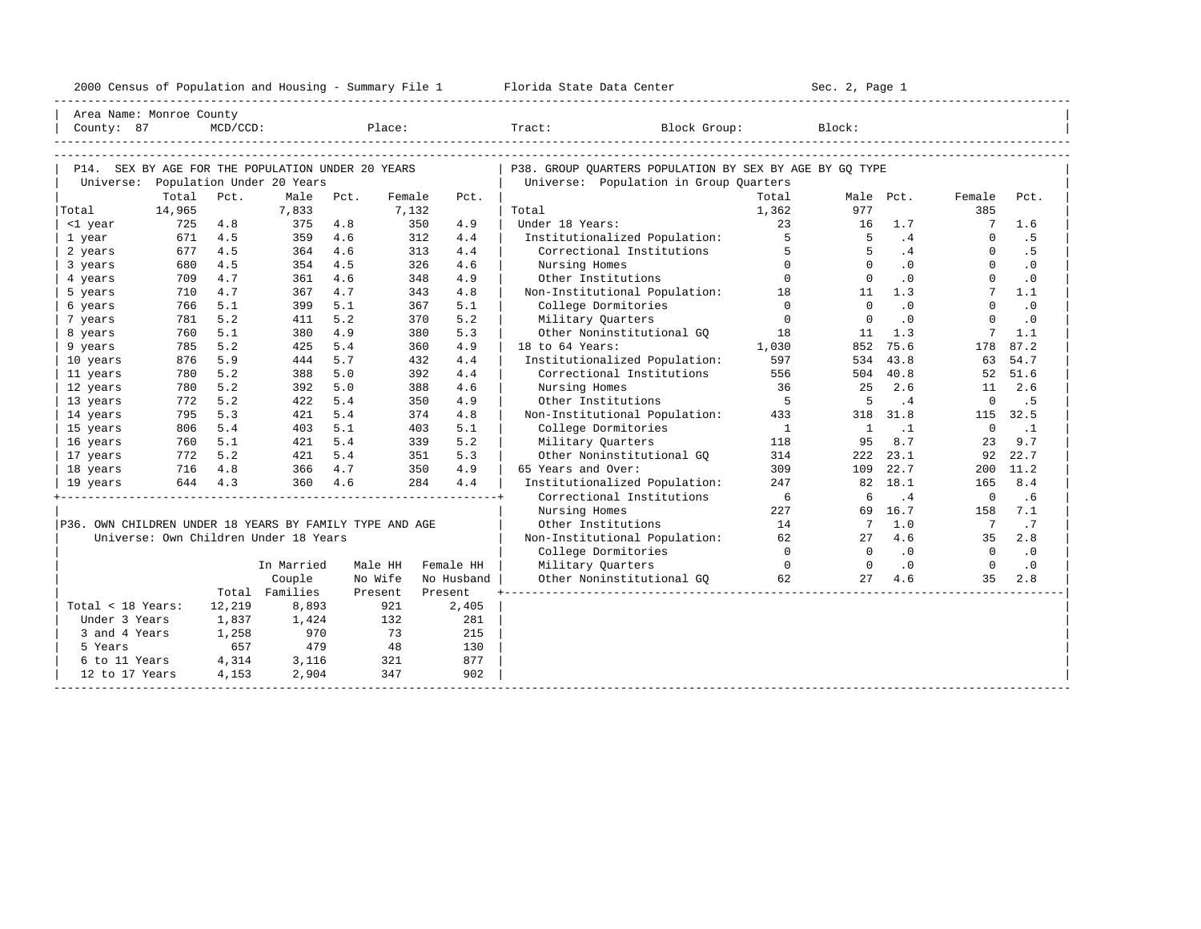| 2000 Census of Population and Housing - Summary File 1 |  | Florida State Data Center | Sec. 2, Page 1 |
|--------------------------------------------------------|--|---------------------------|----------------|
|--------------------------------------------------------|--|---------------------------|----------------|

| Area Name: Monroe County<br>County: 87                                                   |        | MCD/CCD: |                                       |      | Place:  |            |      | Tract:<br>Block Group:                                                                            |                | Block:          |           |                |               |
|------------------------------------------------------------------------------------------|--------|----------|---------------------------------------|------|---------|------------|------|---------------------------------------------------------------------------------------------------|----------------|-----------------|-----------|----------------|---------------|
| P14. SEX BY AGE FOR THE POPULATION UNDER 20 YEARS<br>Universe: Population Under 20 Years |        |          |                                       |      |         |            |      | P38. GROUP OUARTERS POPULATION BY SEX BY AGE BY GO TYPE<br>Universe: Population in Group Quarters |                |                 |           |                |               |
|                                                                                          | Total  | Pct.     | Male                                  | Pct. | Female  |            | Pct. |                                                                                                   | Total          |                 | Male Pct. | Female         | Pct.          |
| Total                                                                                    | 14,965 |          | 7,833                                 |      | 7,132   |            |      | Total                                                                                             | 1,362          | 977             |           | 385            |               |
| <1 year                                                                                  | 725    | 4.8      | 375                                   | 4.8  | 350     | 4.9        |      | Under 18 Years:                                                                                   | 23             | 16              | 1.7       | $7^{\circ}$    | 1.6           |
| 1 year                                                                                   | 671    | 4.5      | 359                                   | 4.6  | 312     | 4.4        |      | Institutionalized Population:                                                                     | $5^{\circ}$    | $5^{\circ}$     | .4        | $\Omega$       | .5            |
| 2 years                                                                                  | 677    | 4.5      | 364                                   | 4.6  |         | 313        | 4.4  | Correctional Institutions                                                                         | 5              | -5              | .4        | $\Omega$       | .5            |
| 3 years                                                                                  | 680    | 4.5      | 354                                   | 4.5  | 326     | 4.6        |      | Nursing Homes                                                                                     | $\overline{0}$ | $\Omega$        | .0        | $\overline{0}$ | .0            |
| 4 years                                                                                  | 709    | 4.7      | 361                                   | 4.6  | 348     | 4.9        |      | Other Institutions                                                                                | $\Omega$       | $\Omega$        | .0        | $\Omega$       | $\cdot$ 0     |
| 5 years                                                                                  | 710    | 4.7      | 367                                   | 4.7  | 343     | 4.8        |      | Non-Institutional Population:                                                                     | 18             | 11              | 1.3       | 7              | 1.1           |
| 6 years                                                                                  | 766    | 5.1      | 399                                   | 5.1  | 367     | 5.1        |      | College Dormitories                                                                               | $\overline{0}$ | $\overline{0}$  | $\cdot$ 0 | $\Omega$       | $\cdot$ 0     |
| 7 years                                                                                  | 781    | 5.2      | 411                                   | 5.2  |         | 5.2<br>370 |      | Military Quarters                                                                                 | $\overline{0}$ | $\circ$         | $\cdot$ 0 | $\Omega$       | $\cdot$ 0     |
| 8 years                                                                                  | 760    | 5.1      | 380                                   | 4.9  | 380     | 5.3        |      | Other Noninstitutional GO                                                                         | 18             | 11              | 1.3       |                | 1.1           |
| 9 years                                                                                  | 785    | 5.2      | 425                                   | 5.4  | 360     | 4.9        |      | 18 to 64 Years:                                                                                   | 1,030          |                 | 852 75.6  | 178            | 87.2          |
| 10 years                                                                                 | 876    | 5.9      | 444                                   | 5.7  | 432     | 4.4        |      | Institutionalized Population:                                                                     | 597            |                 | 534 43.8  | 63             | 54.7          |
| 11 years                                                                                 | 780    | 5.2      | 388                                   | 5.0  | 392     | 4.4        |      | Correctional Institutions                                                                         | 556            |                 | 504 40.8  |                | 52 51.6       |
| 12 years                                                                                 | 780    | 5.2      | 392                                   | 5.0  | 388     | 4.6        |      | Nursing Homes                                                                                     | 36             | 25              | 2.6       | 11             | 2.6           |
|                                                                                          |        | 5.2      |                                       | 5.4  |         |            |      |                                                                                                   | $5^{\circ}$    |                 |           |                |               |
| 13 years                                                                                 | 772    |          | 422                                   |      | 350     | 4.9        |      | Other Institutions                                                                                |                | - 5             | .4        | $\mathbf{0}$   | . 5           |
| 14 years                                                                                 | 795    | 5.3      | 421                                   | 5.4  |         | 374<br>4.8 |      | Non-Institutional Population:                                                                     | 433            |                 | 318 31.8  |                | 115 32.5      |
| 15 years                                                                                 | 806    | 5.4      | 403                                   | 5.1  | 403     | 5.1        |      | College Dormitories                                                                               | $\overline{1}$ | $\overline{1}$  | $\cdot$ 1 | $\overline{0}$ | $\cdot$ 1     |
| 16 years                                                                                 | 760    | 5.1      | 421 5.4                               |      | 339     | 5.2        |      | Military Quarters                                                                                 | 118            | 95              | 8.7       | 23             | 9.7           |
| 17 years                                                                                 |        | 772 5.2  | 421 5.4                               |      |         | 351<br>5.3 |      | Other Noninstitutional GO                                                                         | 314            |                 | 222 23.1  |                | 92 22.7       |
| 18 years                                                                                 |        |          | 716 4.8 366 4.7                       |      |         | 350<br>4.9 |      | 65 Years and Over:                                                                                | 309            |                 | 109 22.7  | 200            | 11.2          |
| 19 years                                                                                 |        | 644 4.3  | 360                                   | 4.6  |         | 284<br>4.4 |      | Institutionalized Population:                                                                     | 247            |                 | 82 18.1   | 165            | 8.4           |
|                                                                                          |        |          |                                       |      |         |            |      | Correctional Institutions                                                                         | 6              | 6               | .4        | $\Omega$       | .6            |
|                                                                                          |        |          |                                       |      |         |            |      | Nursing Homes                                                                                     | 2.2.7          |                 | 69 16.7   | 158            | 7.1           |
| P36. OWN CHILDREN UNDER 18 YEARS BY FAMILY TYPE AND AGE                                  |        |          |                                       |      |         |            |      | Other Institutions                                                                                | 14             | $7\overline{ }$ | 1.0       | $\overline{7}$ | .7            |
|                                                                                          |        |          | Universe: Own Children Under 18 Years |      |         |            |      | Non-Institutional Population:                                                                     | 62             | 27              | 4.6       | 35             | 2.8           |
|                                                                                          |        |          |                                       |      |         |            |      | College Dormitories                                                                               | $\bigcap$      | $\overline{0}$  | $\cdot$ 0 |                | $0 \qquad .0$ |
|                                                                                          |        |          | In Married                            |      | Male HH | Female HH  |      | Military Quarters                                                                                 | $\overline{0}$ | $\overline{0}$  | $\cdot$ 0 | $\bigcap$      | $\cdot$ 0     |
|                                                                                          |        |          | Couple                                |      | No Wife | No Husband |      | Other Noninstitutional GQ                                                                         | 62             | 27              | 4.6       | 35             | 2.8           |
|                                                                                          |        |          | Total Families                        |      | Present | Present    |      |                                                                                                   |                |                 |           |                |               |
| Total < 18 Years:                                                                        |        | 12,219   | 8,893                                 |      | 921     | 2,405      |      |                                                                                                   |                |                 |           |                |               |
| Under 3 Years                                                                            |        | 1,837    | 1,424                                 |      | 132     |            | 281  |                                                                                                   |                |                 |           |                |               |
| 3 and 4 Years                                                                            |        | 1,258    | 970                                   |      | 73      |            | 215  |                                                                                                   |                |                 |           |                |               |
| 5 Years                                                                                  |        | 657      | 479                                   |      | 48      |            | 130  |                                                                                                   |                |                 |           |                |               |
| 6 to 11 Years                                                                            |        | 4,314    | 3,116                                 |      | 321     |            | 877  |                                                                                                   |                |                 |           |                |               |
| 12 to 17 Years                                                                           |        | 4,153    | 2,904                                 |      | 347     |            | 902  |                                                                                                   |                |                 |           |                |               |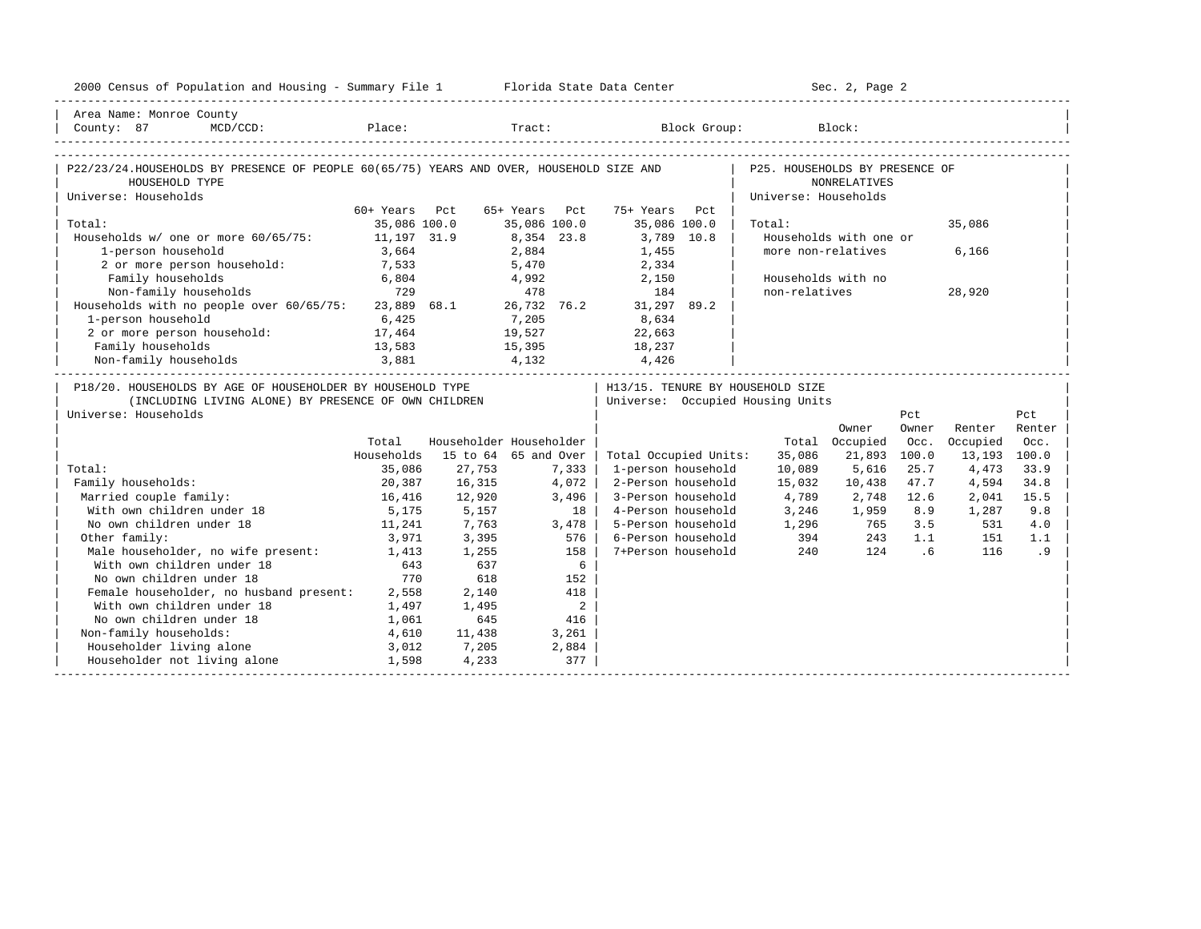| 2000 Census of Population and Housing - Summary File 1 Florida State Data Center                                                           |               |        |                          |                                          |                      | Sec. 2, Page 2             |       |              |        |
|--------------------------------------------------------------------------------------------------------------------------------------------|---------------|--------|--------------------------|------------------------------------------|----------------------|----------------------------|-------|--------------|--------|
| Area Name: Monroe County                                                                                                                   |               |        |                          |                                          |                      |                            |       |              |        |
| County: 87<br>$MCD / CCD$ :                                                                                                                |               |        |                          | Place: Tract: Block Group: Block: Block: |                      |                            |       |              |        |
|                                                                                                                                            |               |        |                          |                                          |                      |                            |       |              |        |
| P22/23/24.HOUSEHOLDS BY PRESENCE OF PEOPLE 60(65/75) YEARS AND OVER, HOUSEHOLD SIZE AND   P25. HOUSEHOLDS BY PRESENCE OF<br>HOUSEHOLD TYPE |               |        |                          |                                          |                      | NONRELATIVES               |       |              |        |
| Universe: Households                                                                                                                       |               |        |                          |                                          | Universe: Households |                            |       |              |        |
|                                                                                                                                            | 60+ Years Pct |        | 65+ Years Pct            | 75+ Years Pct                            |                      |                            |       |              |        |
| Total:                                                                                                                                     | 35,086 100.0  |        |                          | 35,086 100.0 35,086 100.0                | Total:               |                            |       | 35,086       |        |
| Households w/ one or more 60/65/75: 11,197 31.9                                                                                            |               |        | 8,354 23.8               | 3,789 10.8                               |                      | Households with one or     |       |              |        |
| 1-person household                                                                                                                         | 3,664         |        | 2,884<br>5,470           | 1,455                                    |                      | more non-relatives         |       | 6,166        |        |
| 2 or more person household:                                                                                                                | 7,533         |        |                          | 2,334                                    |                      |                            |       |              |        |
| Family households                                                                                                                          | 6,804         |        | 4,992 2,150              |                                          |                      | Households with no         |       |              |        |
| Family Households<br>Non-family households<br>Households with no people over 60/65/75: 23,889 68.1 26,732 76.2 31,297 89.2<br>1005 8 634   |               |        |                          |                                          | non-relatives        |                            |       | 28,920       |        |
|                                                                                                                                            |               |        |                          |                                          |                      |                            |       |              |        |
| 1-person household                                                                                                                         | 6,425         |        | 7,205                    | 8,634                                    |                      |                            |       |              |        |
| 2 or more person household: 17,464                                                                                                         |               |        | 19,527 22,663            |                                          |                      |                            |       |              |        |
|                                                                                                                                            |               |        |                          |                                          |                      |                            |       |              |        |
|                                                                                                                                            |               |        |                          |                                          |                      |                            |       |              |        |
| P18/20. HOUSEHOLDS BY AGE OF HOUSEHOLDER BY HOUSEHOLD TYPE                                                                                 |               |        |                          | H13/15. TENURE BY HOUSEHOLD SIZE         |                      |                            |       |              |        |
| (INCLUDING LIVING ALONE) BY PRESENCE OF OWN CHILDREN                                                                                       |               |        |                          | Universe: Occupied Housing Units         |                      |                            |       |              |        |
| Universe: Households                                                                                                                       |               |        |                          |                                          |                      |                            | Pct   |              | Pct    |
|                                                                                                                                            |               |        |                          |                                          |                      | Owner                      | Owner | Renter       | Renter |
|                                                                                                                                            | Total         |        | Householder Householder  |                                          |                      | Total Occupied             | Occ.  | Occupied     | Occ.   |
|                                                                                                                                            | Households    |        | 15 to 64 65 and Over     | Total Occupied Units:                    | 35,086               | 21,893                     | 100.0 | 13,193 100.0 |        |
| Total:                                                                                                                                     | 35,086        | 27,753 | 7,333                    | 1-person household                       | 10,089               | 5,616                      | 25.7  | 4,473        | 33.9   |
| Family households:                                                                                                                         | 20,387        | 16,315 | 4,072                    | 2-Person household                       | 15,032               | 10,438                     | 47.7  | 4,594        | 34.8   |
| Married couple family:                                                                                                                     | 16,416        | 12,920 | 3,496                    | 3-Person household                       | 4,789                | 2,748                      | 12.6  | 2,041        | 15.5   |
| With own children under 18                                                                                                                 | 5,175         | 5,157  | 18                       | 4-Person household                       |                      | 3,246 1,959                | 8.9   | 1,287        | 9.8    |
| No own children under 18                                                                                                                   | 11,241        | 7,763  | 3,478                    | 5-Person household                       |                      | 1,296 765                  | 3.5   | 531          | 4.0    |
| Other family:                                                                                                                              | 3,971         | 3,395  | 576                      | 6-Person household                       |                      |                            | 1.1   | 151          | 1.1    |
| Male householder, no wife present: 1,413                                                                                                   |               | 1,255  | 158                      | 7+Person household                       |                      | $394$ $243$<br>$240$ $124$ | .6    | 116          | .9     |
| With own children under 18                                                                                                                 | 643           | 637    | 6                        |                                          |                      |                            |       |              |        |
| No own children under 18                                                                                                                   | 770           | 618    | 152                      |                                          |                      |                            |       |              |        |
| Female householder, no husband present: 2,558                                                                                              |               | 2,140  | 418                      |                                          |                      |                            |       |              |        |
| With own children under 18                                                                                                                 | 1,497         | 1,495  | $\overline{\phantom{a}}$ |                                          |                      |                            |       |              |        |
| No own children under 18                                                                                                                   | 1,061         | 645    | 416                      |                                          |                      |                            |       |              |        |
| Non-family households:                                                                                                                     | 4,610         | 11,438 | 3,261                    |                                          |                      |                            |       |              |        |
| Householder living alone                                                                                                                   | 3,012         | 7,205  | 2,884                    |                                          |                      |                            |       |              |        |
| Householder not living alone                                                                                                               | 1,598         | 4,233  | 377                      |                                          |                      |                            |       |              |        |
|                                                                                                                                            |               |        |                          |                                          |                      |                            |       |              |        |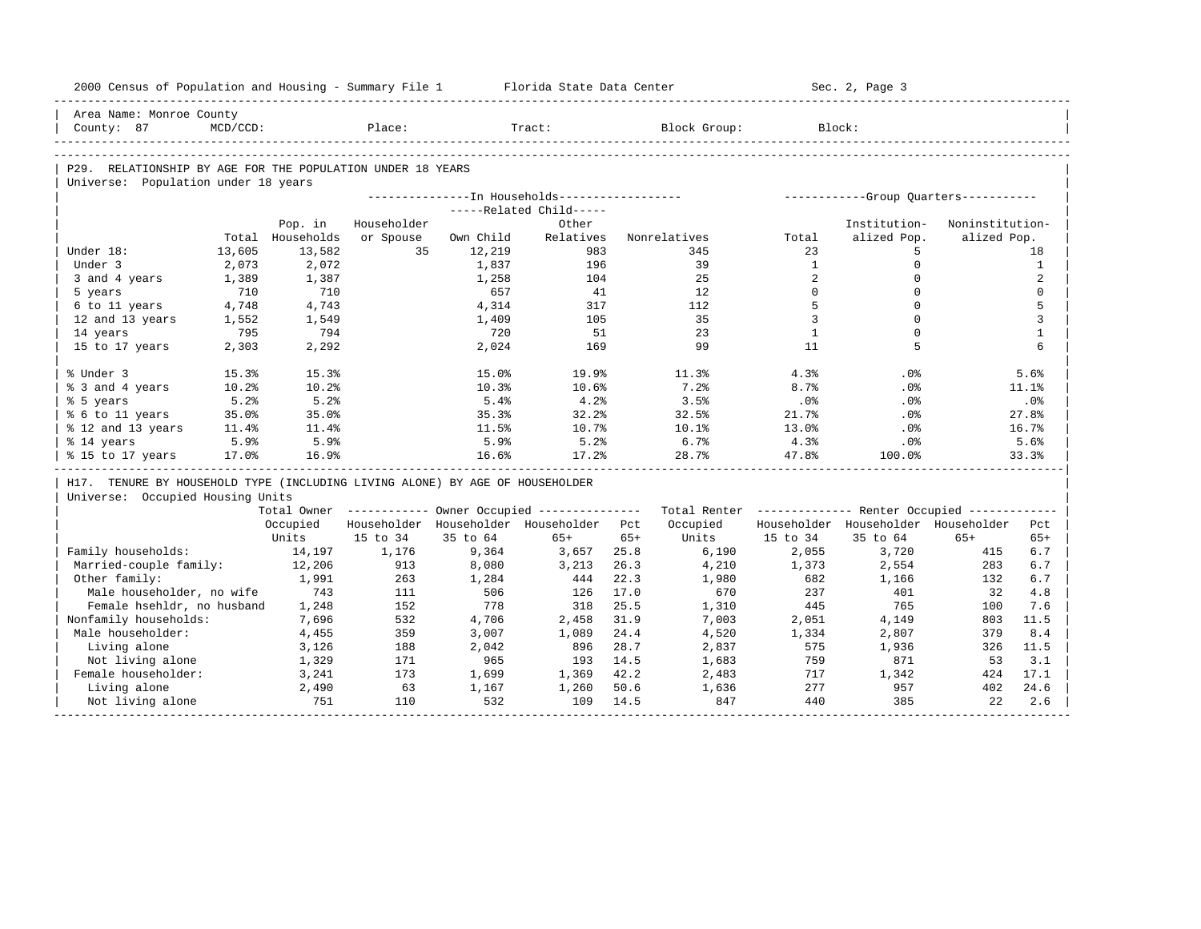| 2000 Census of Population and Housing - Summary File 1 Florida State Data Center |             |                  |             |           |                                                       |       |                                                         |                | Sec. 2, Page 3                      |                 |              |
|----------------------------------------------------------------------------------|-------------|------------------|-------------|-----------|-------------------------------------------------------|-------|---------------------------------------------------------|----------------|-------------------------------------|-----------------|--------------|
| Area Name: Monroe County                                                         |             |                  |             |           |                                                       |       |                                                         |                |                                     |                 |              |
| County: 87                                                                       | $MCD/CCD$ : |                  | Place:      |           | Tract:                                                |       | Block Group:                                            |                | Block:                              |                 |              |
|                                                                                  |             |                  |             |           |                                                       |       |                                                         |                |                                     |                 |              |
| P29. RELATIONSHIP BY AGE FOR THE POPULATION UNDER 18 YEARS                       |             |                  |             |           |                                                       |       |                                                         |                |                                     |                 |              |
| Universe: Population under 18 years                                              |             |                  |             |           |                                                       |       |                                                         |                |                                     |                 |              |
|                                                                                  |             |                  |             |           |                                                       |       |                                                         |                |                                     |                 |              |
|                                                                                  |             |                  |             |           | -----Related Child-----                               |       |                                                         |                |                                     |                 |              |
|                                                                                  |             | Pop. in          | Householder |           | Other                                                 |       |                                                         |                | Institution-                        | Noninstitution- |              |
|                                                                                  |             | Total Households | or Spouse   | Own Child | Relatives                                             |       | Nonrelatives                                            | Total          | alized Pop.                         | alized Pop.     |              |
| Under 18:                                                                        | 13,605      | 13,582           | 35          | 12,219    | 983                                                   |       | 345                                                     | 23             | 5                                   |                 | 18           |
| Under 3                                                                          | 2,073       | 2,072            |             | 1,837     | 196                                                   |       | 39                                                      | <sup>1</sup>   | $\mathbf 0$                         |                 | $\mathbf{1}$ |
| 3 and 4 years                                                                    | 1,389       | 1,387            |             | 1,258     | 104                                                   |       | 25                                                      | 2              | $\Omega$                            |                 | 2            |
| 5 years                                                                          | 710         | 710              |             | 657       | 41                                                    |       | 12                                                      | $\Omega$       | $\Omega$                            |                 | $\mathbf 0$  |
| 6 to 11 years                                                                    | 4,748       | 4,743            |             | 4,314     | 317                                                   |       | 112                                                     | 5              | $\Omega$                            |                 | 5            |
| 12 and 13 years                                                                  | 1,552       | 1,549            |             | 1,409     | 105                                                   |       | 35                                                      | $\overline{3}$ | $\Omega$                            |                 | 3            |
| 14 years                                                                         | 795         | 794              |             | 720       | 51                                                    |       | 23                                                      | <sup>1</sup>   | $\Omega$                            |                 | $\mathbf{1}$ |
| 15 to 17 years                                                                   | 2,303       | 2,292            |             | 2,024     | 169                                                   |       | 99                                                      | 11             | 5                                   |                 | 6            |
| % Under 3                                                                        | 15.3%       | 15.3%            |             | 15.0%     | 19.9%                                                 |       | 11.3%                                                   | 4.3%           | .0%                                 |                 | 5.6%         |
| % 3 and 4 years                                                                  | 10.2%       | 10.2%            |             | 10.3%     | 10.6%                                                 |       | 7.2%                                                    | 8.7%           | $.0\%$                              |                 | 11.1%        |
| % 5 years                                                                        | 5.2%        | 5.2%             |             | $5.4\%$   | 4.2%                                                  |       | 3.5%                                                    | .0%            | .0%                                 |                 | .0%          |
| % 6 to 11 years                                                                  | 35.0%       | 35.0%            |             | 35.3%     | 32.2%                                                 |       | 32.5%                                                   | 21.7%          | .0%                                 |                 | 27.8%        |
| % 12 and 13 years                                                                | 11.4%       | 11.4%            |             | 11.5%     | 10.7%                                                 |       | 10.1%                                                   | 13.0%          | .0%                                 |                 | 16.7%        |
| % 14 years                                                                       | 5.9%        | 5.9%             |             | 5.9%      | 5.2%                                                  |       | 6.7%                                                    | 4.3%           | .0%                                 |                 | 5.6%         |
| % 15 to 17 years                                                                 | 17.0%       | 16.9%            |             | 16.6%     | 17.2%                                                 |       | 28.7%                                                   | 47.8%          | 100.0%                              |                 | 33.3%        |
| H17. TENURE BY HOUSEHOLD TYPE (INCLUDING LIVING ALONE) BY AGE OF HOUSEHOLDER     |             |                  |             |           |                                                       |       |                                                         |                |                                     |                 |              |
| Universe: Occupied Housing Units                                                 |             |                  |             |           |                                                       |       |                                                         |                |                                     |                 |              |
|                                                                                  |             |                  |             |           | Total Owner ----------- Owner Occupied -------------- |       | Total Renter ------------- Renter Occupied ------------ |                |                                     |                 |              |
|                                                                                  |             | Occupied         |             |           | Householder Householder Householder Pct               |       | Occupied                                                |                | Householder Householder Householder |                 | Pct          |
|                                                                                  |             | Units            | 15 to 34    | 35 to 64  | $65+$                                                 | $65+$ | Units                                                   | 15 to 34       | 35 to 64                            | $65+$           | $65+$        |
| Family households:                                                               |             | 14,197           | 1,176       | 9,364     | 3,657                                                 | 25.8  | 6,190                                                   | 2,055          | 3,720                               | 415             | 6.7          |
| Married-couple family:                                                           |             | 12,206           | 913         | 8,080     | 3,213                                                 | 26.3  | 4,210                                                   | 1,373          | 2,554                               | 283             | 6.7          |
| Other family:                                                                    |             | 1,991            | 263         | 1,284     | 444                                                   | 22.3  | 1,980                                                   | 682            | 1,166                               | 132             | 6.7          |
| Male householder, no wife                                                        |             | 743              | 111         | 506       | 126                                                   | 17.0  | 670                                                     | 237            | 401                                 | 32              | 4.8          |
| Female hsehldr, no husband                                                       |             | 1,248            | 152         | 778       | 318                                                   | 25.5  | 1,310                                                   | 445            | 765                                 | 100             | 7.6          |
| Nonfamily households:                                                            |             | 7,696            | 532         | 4,706     | 2,458                                                 | 31.9  | 7,003                                                   | 2,051          | 4,149                               | 803             | 11.5         |
| Male householder:                                                                |             | 4,455            | 359         | 3,007     | 1,089                                                 | 24.4  | 4,520                                                   | 1,334          | 2,807                               | 379             | 8.4          |
| Living alone                                                                     |             | 3,126            | 188         | 2,042     | 896                                                   | 28.7  | 2,837                                                   | 575            | 1,936                               | 326             | 11.5         |
| Not living alone                                                                 |             | 1,329            | 171         | 965       | 193                                                   | 14.5  | 1,683                                                   | 759            | 871                                 | 53              | 3.1          |
| Female householder:                                                              |             | 3,241            | 173         | 1,699     | 1,369                                                 | 42.2  | 2,483                                                   | 717            | 1,342                               | 424             | 17.1         |
| Living alone                                                                     |             | 2,490            | 63          | 1,167     | 1,260                                                 | 50.6  | 1,636                                                   | 277            | 957                                 | 402             | 24.6         |
| Not living alone                                                                 |             | 751              | 110         | 532       | 109                                                   | 14.5  | 847                                                     | 440            | 385                                 | 22              | 2.6          |
|                                                                                  |             |                  |             |           |                                                       |       |                                                         |                |                                     |                 |              |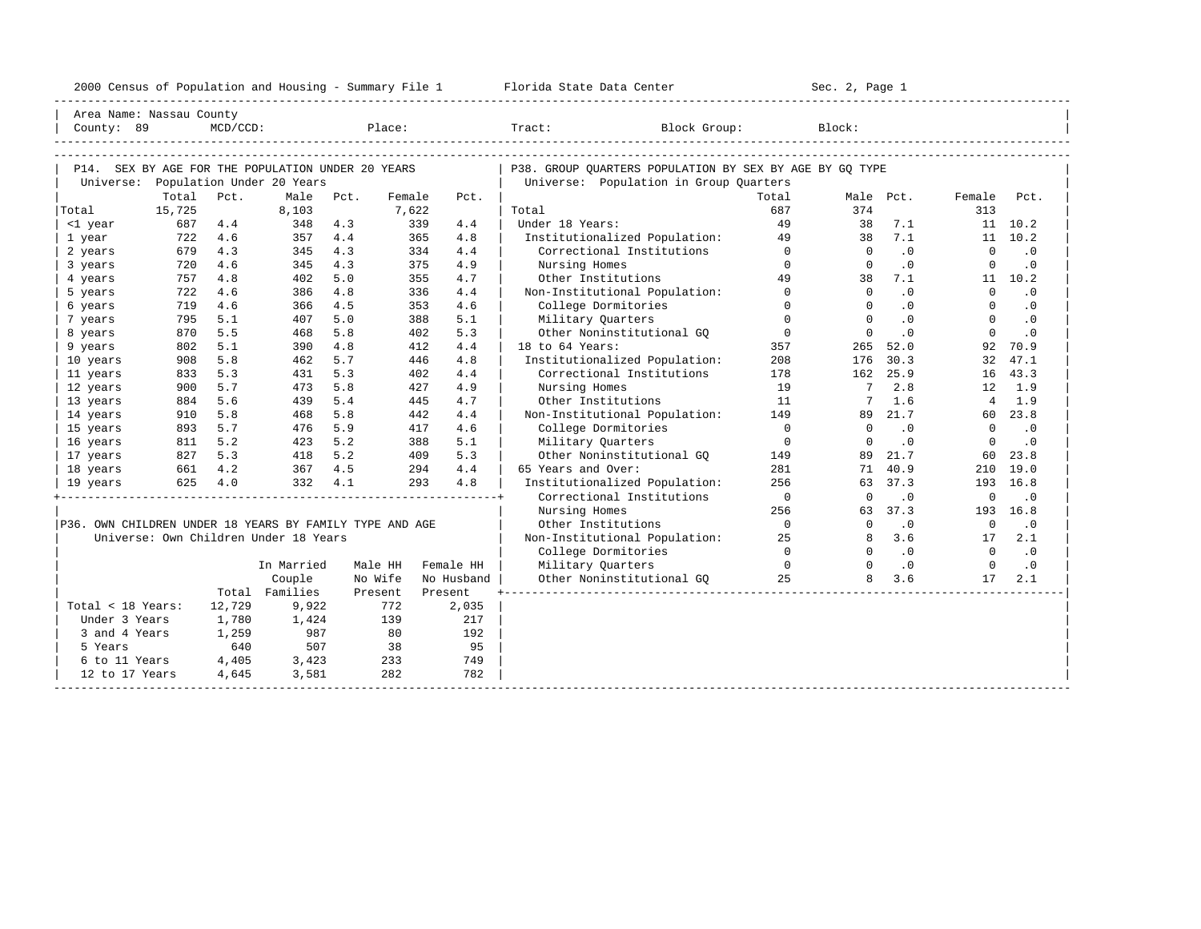| 2000<br>ensus! | and<br>Population | ---<br>Summa:<br>$-$<br>Housing | lorida<br>Data<br>otatt<br>Cente. | ، م ج<br>Page<br>$3-1$ |  |
|----------------|-------------------|---------------------------------|-----------------------------------|------------------------|--|
|                |                   |                                 |                                   |                        |  |

| Area Name: Nassau County                                |        |            |                                       |      |         |           |            |                                                         |                |                 |           |                |           |
|---------------------------------------------------------|--------|------------|---------------------------------------|------|---------|-----------|------------|---------------------------------------------------------|----------------|-----------------|-----------|----------------|-----------|
| County: 89                                              |        | MCD/CCD:   |                                       |      | Place:  |           |            | Tract:<br>Block Group:                                  |                | Block:          |           |                |           |
|                                                         |        |            |                                       |      |         |           |            |                                                         |                |                 |           |                |           |
|                                                         |        |            |                                       |      |         |           |            |                                                         |                |                 |           |                |           |
| P14. SEX BY AGE FOR THE POPULATION UNDER 20 YEARS       |        |            |                                       |      |         |           |            | P38. GROUP OUARTERS POPULATION BY SEX BY AGE BY GO TYPE |                |                 |           |                |           |
|                                                         |        |            | Universe: Population Under 20 Years   |      |         |           |            | Universe: Population in Group Quarters                  |                |                 |           |                |           |
|                                                         | Total  | Pct.       | Male                                  | Pct. | Female  |           | Pct.       |                                                         | Total          | Male Pct.       |           | Female         | Pct.      |
| Total                                                   | 15,725 |            | 8,103                                 |      | 7.622   |           |            | Total                                                   | 687            | 374             |           | 313            |           |
| <1 year                                                 | 687    | 4.4        | 348                                   | 4.3  |         | 339       | 4.4        | Under 18 Years:                                         | 49             | 38              | 7.1       |                | 11 10.2   |
| 1 year                                                  | 722    | 4.6        | 357                                   | 4.4  |         | 365       | 4.8        | Institutionalized Population:                           | 49<br>$\Omega$ | 38<br>$\Omega$  | 7.1       | $\Omega$       | 11 10.2   |
| 2 years                                                 | 679    | 4.3        | 345                                   | 4.3  |         | 334       | 4.4        | Correctional Institutions                               |                |                 | $\cdot$ 0 |                | $\cdot$ 0 |
| 3 years                                                 | 720    | 4.6<br>4.8 | 345                                   | 4.3  |         | 375       | 4.9        | Nursing Homes                                           | $\Omega$<br>49 | $\Omega$        | $\cdot$ 0 | $\Omega$       | $\cdot$ 0 |
| 4 years                                                 | 757    |            | 402                                   | 5.0  |         | 355       | 4.7        | Other Institutions                                      | $\Omega$       | 38<br>$\Omega$  | 7.1       | $\Omega$       | 11 10.2   |
| 5 years                                                 | 722    | 4.6        | 386                                   | 4.8  |         | 336       | 4.4        | Non-Institutional Population:                           | $\Omega$       |                 | .0        |                | $\cdot$ 0 |
| 6 years                                                 | 719    | 4.6        | 366                                   | 4.5  |         | 353       | 4.6        | College Dormitories                                     |                | $\Omega$        | $\cdot$ 0 | $\Omega$       | $\cdot$ 0 |
| 7 years                                                 | 795    | 5.1        | 407                                   | 5.0  |         | 388       | 5.1        | Military Quarters                                       | $\Omega$       | $\Omega$        | $\cdot$ 0 | $\Omega$       | $\cdot$ 0 |
| 8 years                                                 | 870    | 5.5        | 468                                   | 5.8  |         | 402       | 5.3        | Other Noninstitutional GO                               | $\mathbf 0$    | $\Omega$        | $\cdot$ 0 | $\mathbf 0$    | $\cdot$ 0 |
| 9 years                                                 | 802    | 5.1        | 390                                   | 4.8  |         | 412       | 4.4        | 18 to 64 Years:                                         | 357            | 265             | 52.0      | 92             | 70.9      |
| 10 years                                                | 908    | 5.8        | 462                                   | 5.7  |         | 446       | 4.8        | Institutionalized Population:                           | 208            | 176             | 30.3      | 32             | 47.1      |
| 11 years                                                | 833    | 5.3        | 431                                   | 5.3  |         | 402       | 4.4        | Correctional Institutions                               | 178            | 162             | 25.9      | 16             | 43.3      |
| 12 years                                                | 900    | 5.7        | 473                                   | 5.8  |         | 427       | 4.9        | Nursing Homes                                           | 19             | $7\phantom{.0}$ | 2.8       | 12             | 1.9       |
| 13 years                                                | 884    | 5.6        | 439                                   | 5.4  |         | 445       | 4.7        | Other Institutions                                      | 11             | 7               | 1.6       | $\overline{4}$ | 1.9       |
| 14 years                                                | 910    | 5.8        | 468                                   | 5.8  |         | 442       | 4.4        | Non-Institutional Population:                           | 149            | 89              | 21.7      | 60 -           | 23.8      |
| 15 years                                                | 893    | 5.7        | 476                                   | 5.9  |         | 417       | 4.6        | College Dormitories                                     | $\Omega$       | $\Omega$        | $\cdot$ 0 | $\mathbf 0$    | $\cdot$ 0 |
| 16 years                                                | 811    | 5.2        | 423                                   | 5.2  |         | 388       | 5.1        | Military Quarters                                       | $\Omega$       | $\Omega$        | $\cdot$ 0 | $\mathbf 0$    | $\cdot$ 0 |
| 17 years                                                | 827    | 5.3        | 418                                   | 5.2  |         | 409       | 5.3        | Other Noninstitutional GQ                               | 149            | 89              | 21.7      | 60             | 23.8      |
| 18 years                                                | 661    | 4.2        | 367                                   | 4.5  |         | 294       | 4.4        | 65 Years and Over:                                      | 281            | 71              | 40.9      | 210            | 19.0      |
| 19 years                                                | 625    | 4.0        | 332                                   | 4.1  |         | 293       | 4.8        | Institutionalized Population:                           | 256            | 63              | 37.3      | 193            | 16.8      |
|                                                         |        |            |                                       |      |         |           |            | Correctional Institutions                               | $\overline{0}$ | $\Omega$        | $\cdot$ 0 | $\mathbf 0$    | $\cdot$ 0 |
|                                                         |        |            |                                       |      |         |           |            | Nursing Homes                                           | 256            | 63              | 37.3      | 193            | 16.8      |
| P36. OWN CHILDREN UNDER 18 YEARS BY FAMILY TYPE AND AGE |        |            |                                       |      |         |           |            | Other Institutions                                      | $\overline{0}$ | $\Omega$        | $\cdot$ 0 | $\overline{0}$ | $\cdot$ 0 |
|                                                         |        |            | Universe: Own Children Under 18 Years |      |         |           |            | Non-Institutional Population:                           | 25             | 8               | 3.6       | 17             | 2.1       |
|                                                         |        |            |                                       |      |         |           |            | College Dormitories                                     | $\Omega$       | $\Omega$        | $\cdot$ 0 | $\Omega$       | $\cdot$ 0 |
|                                                         |        |            | In Married                            |      | Male HH | Female HH |            | Military Quarters                                       | $\Omega$       | $\Omega$        | $\cdot$ 0 | $\Omega$       | $\cdot$ 0 |
|                                                         |        |            | Couple                                |      | No Wife |           | No Husband | Other Noninstitutional GO                               | 25             | 8               | 3.6       | 17             | 2.1       |
|                                                         |        |            | Total Families                        |      | Present | Present   |            |                                                         |                |                 |           |                |           |
| Total < 18 Years:                                       |        | 12,729     | 9,922                                 |      | 772     |           | 2,035      |                                                         |                |                 |           |                |           |
| Under 3 Years                                           |        | 1,780      | 1,424                                 |      | 139     |           | 217        |                                                         |                |                 |           |                |           |
| 3 and 4 Years                                           |        | 1,259      | 987                                   |      | 80      |           | 192        |                                                         |                |                 |           |                |           |
| 5 Years                                                 |        | 640        | 507                                   |      | 38      |           | 95         |                                                         |                |                 |           |                |           |
| 6 to 11 Years                                           |        | 4,405      | 3,423                                 |      | 233     |           | 749        |                                                         |                |                 |           |                |           |
| 12 to 17 Years                                          |        | 4,645      | 3,581                                 |      | 282     |           | 782        |                                                         |                |                 |           |                |           |
|                                                         |        |            |                                       |      |         |           |            |                                                         |                |                 |           |                |           |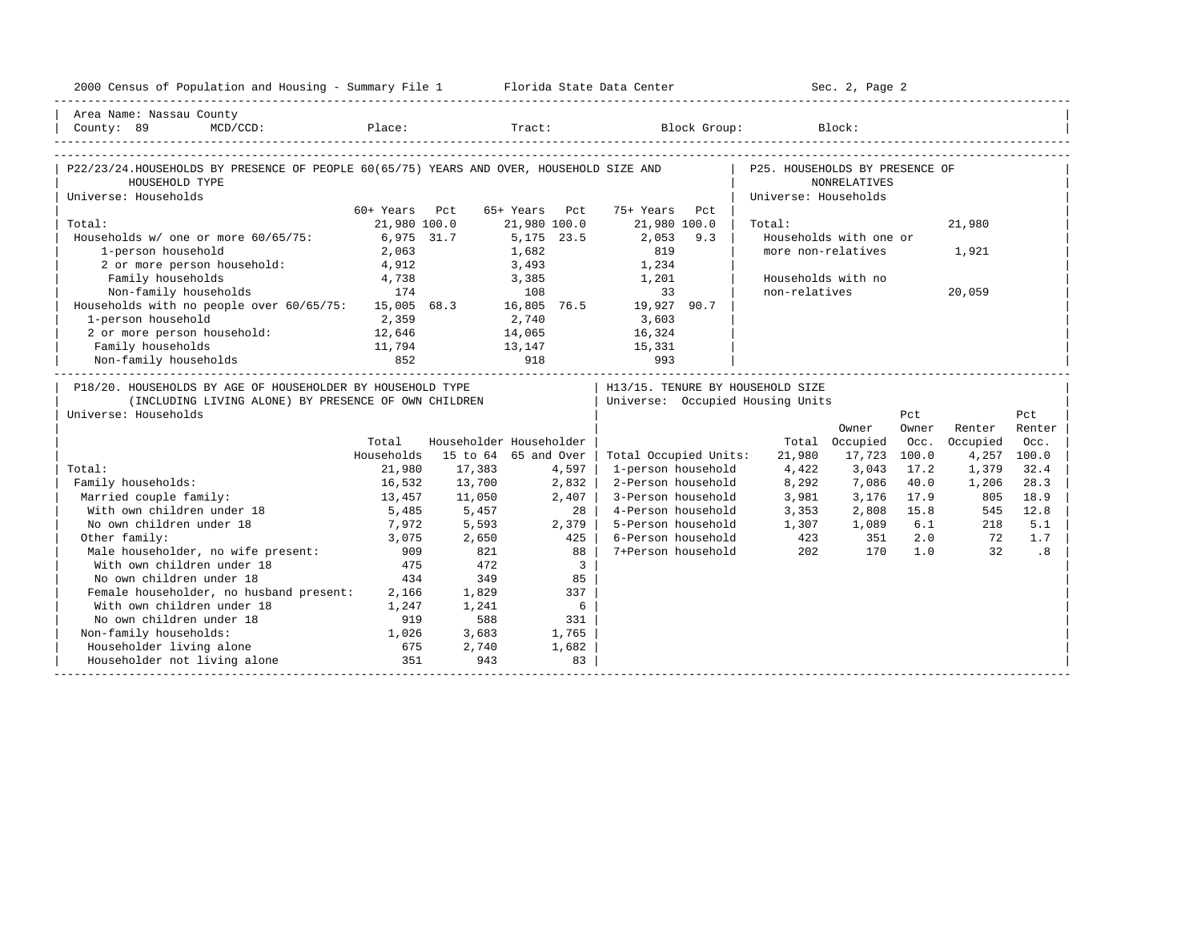| 2000 Census of Population and Housing - Summary File 1 Florida State Data Center                                                                    |               |                                                 |                 |                |                                   |                      | Sec. 2, Page 2         |       |             |        |
|-----------------------------------------------------------------------------------------------------------------------------------------------------|---------------|-------------------------------------------------|-----------------|----------------|-----------------------------------|----------------------|------------------------|-------|-------------|--------|
| Area Name: Nassau County                                                                                                                            |               |                                                 |                 |                |                                   |                      |                        |       |             |        |
| County: 89<br>$MCD / CCD$ :                                                                                                                         |               |                                                 |                 |                | Place: Tract: Block Group: Block: |                      |                        |       |             |        |
| P22/23/24.HOUSEHOLDS BY PRESENCE OF PEOPLE 60(65/75) YEARS AND OVER, HOUSEHOLD SIZE AND   P25. HOUSEHOLDS BY PRESENCE OF                            |               |                                                 |                 |                |                                   |                      |                        |       |             |        |
| HOUSEHOLD TYPE                                                                                                                                      |               |                                                 |                 |                |                                   |                      | NONRELATIVES           |       |             |        |
| Universe: Households                                                                                                                                |               |                                                 |                 |                |                                   | Universe: Households |                        |       |             |        |
|                                                                                                                                                     | 60+ Years Pct |                                                 | 65+ Years Pct   |                | 75+ Years Pct                     |                      |                        |       |             |        |
| Total:                                                                                                                                              | 21,980 100.0  |                                                 | 21,980 100.0    |                | 21,980 100.0                      | Total:               |                        |       | 21,980      |        |
| Households w/ one or more 60/65/75: 6,975 31.7                                                                                                      |               |                                                 | 5,175 23.5      |                | 2,053 9.3                         |                      | Households with one or |       |             |        |
| 1-person household                                                                                                                                  | 2,063         |                                                 | 1,682           |                | 819                               | more non-relatives   |                        |       | 1,921       |        |
| 2 or more person household:                                                                                                                         | 4,912         |                                                 | 3,493           |                | 1,234                             |                      |                        |       |             |        |
| Family households                                                                                                                                   | 4,738         |                                                 | 3,385           |                | 1,201                             | Households with no   |                        |       |             |        |
| 174<br>Non-family households<br>Non-family households 174 108 33<br>Households with no people over $60/65/75$ : 15,005 68.3 16,805 76.5 19,927 90.7 |               |                                                 |                 |                |                                   | non-relatives        |                        |       | 20,059      |        |
|                                                                                                                                                     |               |                                                 |                 |                |                                   |                      |                        |       |             |        |
| 1-person household                                                                                                                                  | 2,359         |                                                 | 2,740           |                | 3,603                             |                      |                        |       |             |        |
| 2 or more person household: 12,646                                                                                                                  |               |                                                 |                 |                | $14,065$ 16,324                   |                      |                        |       |             |        |
| Family households                                                                                                                                   |               | $11,794$ $13,147$ $15,331$<br>$852$ $918$ $993$ |                 |                |                                   |                      |                        |       |             |        |
| Non-family households                                                                                                                               |               |                                                 |                 |                |                                   |                      |                        |       |             |        |
| P18/20. HOUSEHOLDS BY AGE OF HOUSEHOLDER BY HOUSEHOLD TYPE                                                                                          |               |                                                 |                 |                | H13/15. TENURE BY HOUSEHOLD SIZE  |                      |                        |       |             |        |
| (INCLUDING LIVING ALONE) BY PRESENCE OF OWN CHILDREN                                                                                                |               |                                                 |                 |                | Universe: Occupied Housing Units  |                      |                        |       |             |        |
| Universe: Households                                                                                                                                |               |                                                 |                 |                |                                   |                      |                        | Pct   |             | Pct    |
|                                                                                                                                                     |               |                                                 |                 |                |                                   |                      | Owner                  | Owner | Renter      | Renter |
|                                                                                                                                                     | Total         | Householder Householder                         |                 |                |                                   |                      | Total Occupied         | Occ.  | Occupied    | Occ.   |
|                                                                                                                                                     | Households    | 15 to 64 65 and Over                            |                 |                | Total Occupied Units:             | 21,980               | 17,723                 | 100.0 | 4,257 100.0 |        |
| Total:                                                                                                                                              | 21,980        | 17,383                                          | 4,597           |                | 1-person household                | 4,422                | 3,043                  | 17.2  | 1,379       | 32.4   |
| Family households:                                                                                                                                  | 16,532        | 13,700                                          | 2,832           |                | 2-Person household                | 8,292                | 7,086                  | 40.0  | 1,206       | 28.3   |
| Married couple family:                                                                                                                              | 13,457        | 11,050                                          | 2,407           |                | 3-Person household                | 3,981                | 3,176                  | 17.9  | 805         | 18.9   |
| With own children under 18                                                                                                                          | 5,485         | 5,457                                           |                 | 28             | 4-Person household                | 3,353                | 2,808                  | 15.8  | 545         | 12.8   |
| No own children under 18                                                                                                                            | 7,972         | 5,593                                           |                 | $2,379$        | 5-Person household                | 1,307                | 1,089                  | 6.1   | 218         | 5.1    |
| Other family:                                                                                                                                       | 3,075         | 2,650                                           |                 | 425            | 6-Person household                | 423                  | 351                    | 2.0   | 72          | 1.7    |
| Male householder, no wife present: 909                                                                                                              |               | 821                                             |                 | 88             | 7+Person household                | 202                  | 170                    | 1.0   | 32          | .8     |
| With own children under 18                                                                                                                          | 475           | 472                                             |                 | $\overline{3}$ |                                   |                      |                        |       |             |        |
| No own children under 18                                                                                                                            | 434           | 349                                             |                 | 85             |                                   |                      |                        |       |             |        |
| Female householder, no husband present: 2,166                                                                                                       |               | 1,829                                           |                 | 337            |                                   |                      |                        |       |             |        |
| With own children under 18                                                                                                                          | 1,247         | 1,241                                           | $6\overline{6}$ |                |                                   |                      |                        |       |             |        |
| No own children under 18                                                                                                                            | 919           | 588                                             |                 | 331            |                                   |                      |                        |       |             |        |
| Non-family households:                                                                                                                              | 1,026         | 3,683                                           | 1,765           |                |                                   |                      |                        |       |             |        |
| Householder living alone                                                                                                                            | 675           | 2,740                                           | 1,682           |                |                                   |                      |                        |       |             |        |
| Householder not living alone                                                                                                                        | 351           | 943                                             |                 | 83             |                                   |                      |                        |       |             |        |
|                                                                                                                                                     |               |                                                 |                 |                |                                   |                      |                        |       |             |        |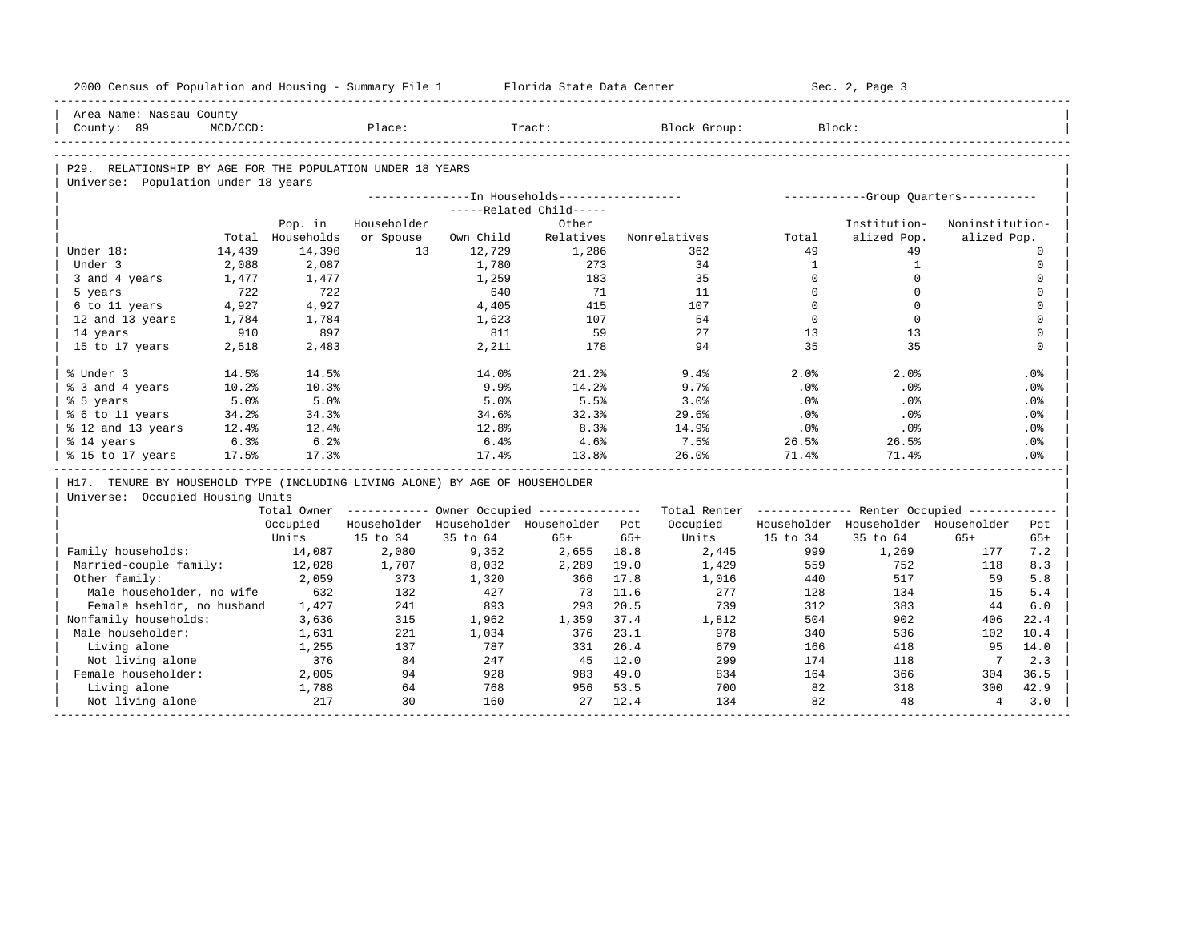| Area Name: Nassau County<br>County: 89<br>Place:<br>Tract:<br>Block Group:<br>Block:<br>$MCD/CCD$ :<br>P29. RELATIONSHIP BY AGE FOR THE POPULATION UNDER 18 YEARS<br>Universe: Population under 18 years<br>--------------In Households------------------<br>------------Group Quarters-----------<br>-----Related Child-----<br>Householder<br>Institution-<br>Pop. in<br>Other<br>Noninstitution-<br>Total Households<br>or Spouse<br>Own Child<br>Relatives<br>Nonrelatives<br>alized Pop.<br>alized Pop.<br>Total<br>14,390<br>Under 18:<br>14,439<br>1.3<br>12,729<br>1,286<br>49<br>49<br>362<br>$\Omega$<br>Under 3<br>2,088<br>2,087<br><sup>1</sup><br>$\mathbf{1}$<br>$\mathbf 0$<br>1,780<br>273<br>34<br>35<br>$\Omega$<br>$\Omega$<br>3 and 4 years<br>1,477<br>1,477<br>1,259<br>183<br>$\mathbf 0$<br>722<br>722<br>$\Omega$<br>$\Omega$<br>$\mathbf{0}$<br>5 years<br>640<br>71<br>11<br>6 to 11 years<br>4,927<br>4,927<br>4,405<br>415<br>107<br>$\Omega$<br>$\Omega$<br>$\mathbf 0$<br>54<br>$\Omega$<br>$\mathbf 0$<br>$\mathbf{0}$<br>12 and 13 years<br>1,784<br>1,784<br>1,623<br>107<br>$\mathbf{0}$<br>14 years<br>910<br>897<br>59<br>2.7<br>13<br>13<br>811<br>94<br>35<br>35<br>$\Omega$<br>15 to 17 years<br>2,518<br>2,483<br>2,211<br>178<br>% Under 3<br>14.5%<br>14.5%<br>14.0%<br>21.2%<br>9.4%<br>2.0%<br>2.0%<br>.0%<br>% 3 and 4 years<br>10.2%<br>10.3%<br>9.9%<br>14.2%<br>9.7%<br>.0%<br>.0%<br>.0%<br>% 5 years<br>5.5%<br>5.0%<br>5.0%<br>5.0%<br>3.0%<br>.0%<br>.0%<br>.0%<br>% 6 to 11 years<br>34.2%<br>34.3%<br>32.3%<br>29.6%<br>.0%<br>.0%<br>34.6%<br>.0%<br>8.3%<br>14.9%<br>% 12 and 13 years<br>12.4%<br>12.4%<br>12.8%<br>.0%<br>.0%<br>.0%<br>6.3%<br>6.2%<br>6.4%<br>4.6%<br>7.5%<br>26.5%<br>% 14 years<br>26.5%<br>.0%<br>% 15 to 17 years<br>17.5%<br>17.3%<br>17.4%<br>13.8%<br>26.0%<br>71.4%<br>71.4%<br>.0%<br>H17. TENURE BY HOUSEHOLD TYPE (INCLUDING LIVING ALONE) BY AGE OF HOUSEHOLDER<br>Universe: Occupied Housing Units<br>Total Owner ----------- Owner Occupied --------------<br>Total Renter ------------- Renter Occupied ------------<br>Householder Householder Householder<br>Occupied<br>Householder Householder Householder Pct<br>Occupied<br>Pct<br>15 to 34<br>$65+$<br>Units<br>15 to 34<br>Units<br>35 to 64<br>$65+$<br>35 to 64<br>$65+$<br>$65+$<br>Family households:<br>2,080<br>9,352<br>999<br>14,087<br>2,655 18.8<br>2,445<br>1,269<br>177<br>7.2<br>Married-couple family:<br>1,707<br>8,032<br>2,289<br>19.0<br>559<br>752<br>118<br>8.3<br>12,028<br>1,429 | 2000 Census of Population and Housing - Summary File 1 |       |     |       | Florida State Data Center |      |       |     | Sec. 2, Page 3 |    |     |
|-------------------------------------------------------------------------------------------------------------------------------------------------------------------------------------------------------------------------------------------------------------------------------------------------------------------------------------------------------------------------------------------------------------------------------------------------------------------------------------------------------------------------------------------------------------------------------------------------------------------------------------------------------------------------------------------------------------------------------------------------------------------------------------------------------------------------------------------------------------------------------------------------------------------------------------------------------------------------------------------------------------------------------------------------------------------------------------------------------------------------------------------------------------------------------------------------------------------------------------------------------------------------------------------------------------------------------------------------------------------------------------------------------------------------------------------------------------------------------------------------------------------------------------------------------------------------------------------------------------------------------------------------------------------------------------------------------------------------------------------------------------------------------------------------------------------------------------------------------------------------------------------------------------------------------------------------------------------------------------------------------------------------------------------------------------------------------------------------------------------------------------------------------------------------------------------------------------------------------------------------------------------------------------------------------------------------------------------------------------------------------------------------------------------------------------------------------------------------------------------------------------------------------------------------------------|--------------------------------------------------------|-------|-----|-------|---------------------------|------|-------|-----|----------------|----|-----|
|                                                                                                                                                                                                                                                                                                                                                                                                                                                                                                                                                                                                                                                                                                                                                                                                                                                                                                                                                                                                                                                                                                                                                                                                                                                                                                                                                                                                                                                                                                                                                                                                                                                                                                                                                                                                                                                                                                                                                                                                                                                                                                                                                                                                                                                                                                                                                                                                                                                                                                                                                             |                                                        |       |     |       |                           |      |       |     |                |    |     |
|                                                                                                                                                                                                                                                                                                                                                                                                                                                                                                                                                                                                                                                                                                                                                                                                                                                                                                                                                                                                                                                                                                                                                                                                                                                                                                                                                                                                                                                                                                                                                                                                                                                                                                                                                                                                                                                                                                                                                                                                                                                                                                                                                                                                                                                                                                                                                                                                                                                                                                                                                             |                                                        |       |     |       |                           |      |       |     |                |    |     |
|                                                                                                                                                                                                                                                                                                                                                                                                                                                                                                                                                                                                                                                                                                                                                                                                                                                                                                                                                                                                                                                                                                                                                                                                                                                                                                                                                                                                                                                                                                                                                                                                                                                                                                                                                                                                                                                                                                                                                                                                                                                                                                                                                                                                                                                                                                                                                                                                                                                                                                                                                             |                                                        |       |     |       |                           |      |       |     |                |    |     |
|                                                                                                                                                                                                                                                                                                                                                                                                                                                                                                                                                                                                                                                                                                                                                                                                                                                                                                                                                                                                                                                                                                                                                                                                                                                                                                                                                                                                                                                                                                                                                                                                                                                                                                                                                                                                                                                                                                                                                                                                                                                                                                                                                                                                                                                                                                                                                                                                                                                                                                                                                             |                                                        |       |     |       |                           |      |       |     |                |    |     |
|                                                                                                                                                                                                                                                                                                                                                                                                                                                                                                                                                                                                                                                                                                                                                                                                                                                                                                                                                                                                                                                                                                                                                                                                                                                                                                                                                                                                                                                                                                                                                                                                                                                                                                                                                                                                                                                                                                                                                                                                                                                                                                                                                                                                                                                                                                                                                                                                                                                                                                                                                             |                                                        |       |     |       |                           |      |       |     |                |    |     |
|                                                                                                                                                                                                                                                                                                                                                                                                                                                                                                                                                                                                                                                                                                                                                                                                                                                                                                                                                                                                                                                                                                                                                                                                                                                                                                                                                                                                                                                                                                                                                                                                                                                                                                                                                                                                                                                                                                                                                                                                                                                                                                                                                                                                                                                                                                                                                                                                                                                                                                                                                             |                                                        |       |     |       |                           |      |       |     |                |    |     |
|                                                                                                                                                                                                                                                                                                                                                                                                                                                                                                                                                                                                                                                                                                                                                                                                                                                                                                                                                                                                                                                                                                                                                                                                                                                                                                                                                                                                                                                                                                                                                                                                                                                                                                                                                                                                                                                                                                                                                                                                                                                                                                                                                                                                                                                                                                                                                                                                                                                                                                                                                             |                                                        |       |     |       |                           |      |       |     |                |    |     |
|                                                                                                                                                                                                                                                                                                                                                                                                                                                                                                                                                                                                                                                                                                                                                                                                                                                                                                                                                                                                                                                                                                                                                                                                                                                                                                                                                                                                                                                                                                                                                                                                                                                                                                                                                                                                                                                                                                                                                                                                                                                                                                                                                                                                                                                                                                                                                                                                                                                                                                                                                             |                                                        |       |     |       |                           |      |       |     |                |    |     |
|                                                                                                                                                                                                                                                                                                                                                                                                                                                                                                                                                                                                                                                                                                                                                                                                                                                                                                                                                                                                                                                                                                                                                                                                                                                                                                                                                                                                                                                                                                                                                                                                                                                                                                                                                                                                                                                                                                                                                                                                                                                                                                                                                                                                                                                                                                                                                                                                                                                                                                                                                             |                                                        |       |     |       |                           |      |       |     |                |    |     |
|                                                                                                                                                                                                                                                                                                                                                                                                                                                                                                                                                                                                                                                                                                                                                                                                                                                                                                                                                                                                                                                                                                                                                                                                                                                                                                                                                                                                                                                                                                                                                                                                                                                                                                                                                                                                                                                                                                                                                                                                                                                                                                                                                                                                                                                                                                                                                                                                                                                                                                                                                             |                                                        |       |     |       |                           |      |       |     |                |    |     |
|                                                                                                                                                                                                                                                                                                                                                                                                                                                                                                                                                                                                                                                                                                                                                                                                                                                                                                                                                                                                                                                                                                                                                                                                                                                                                                                                                                                                                                                                                                                                                                                                                                                                                                                                                                                                                                                                                                                                                                                                                                                                                                                                                                                                                                                                                                                                                                                                                                                                                                                                                             |                                                        |       |     |       |                           |      |       |     |                |    |     |
|                                                                                                                                                                                                                                                                                                                                                                                                                                                                                                                                                                                                                                                                                                                                                                                                                                                                                                                                                                                                                                                                                                                                                                                                                                                                                                                                                                                                                                                                                                                                                                                                                                                                                                                                                                                                                                                                                                                                                                                                                                                                                                                                                                                                                                                                                                                                                                                                                                                                                                                                                             |                                                        |       |     |       |                           |      |       |     |                |    |     |
|                                                                                                                                                                                                                                                                                                                                                                                                                                                                                                                                                                                                                                                                                                                                                                                                                                                                                                                                                                                                                                                                                                                                                                                                                                                                                                                                                                                                                                                                                                                                                                                                                                                                                                                                                                                                                                                                                                                                                                                                                                                                                                                                                                                                                                                                                                                                                                                                                                                                                                                                                             |                                                        |       |     |       |                           |      |       |     |                |    |     |
|                                                                                                                                                                                                                                                                                                                                                                                                                                                                                                                                                                                                                                                                                                                                                                                                                                                                                                                                                                                                                                                                                                                                                                                                                                                                                                                                                                                                                                                                                                                                                                                                                                                                                                                                                                                                                                                                                                                                                                                                                                                                                                                                                                                                                                                                                                                                                                                                                                                                                                                                                             |                                                        |       |     |       |                           |      |       |     |                |    |     |
|                                                                                                                                                                                                                                                                                                                                                                                                                                                                                                                                                                                                                                                                                                                                                                                                                                                                                                                                                                                                                                                                                                                                                                                                                                                                                                                                                                                                                                                                                                                                                                                                                                                                                                                                                                                                                                                                                                                                                                                                                                                                                                                                                                                                                                                                                                                                                                                                                                                                                                                                                             |                                                        |       |     |       |                           |      |       |     |                |    |     |
|                                                                                                                                                                                                                                                                                                                                                                                                                                                                                                                                                                                                                                                                                                                                                                                                                                                                                                                                                                                                                                                                                                                                                                                                                                                                                                                                                                                                                                                                                                                                                                                                                                                                                                                                                                                                                                                                                                                                                                                                                                                                                                                                                                                                                                                                                                                                                                                                                                                                                                                                                             |                                                        |       |     |       |                           |      |       |     |                |    |     |
|                                                                                                                                                                                                                                                                                                                                                                                                                                                                                                                                                                                                                                                                                                                                                                                                                                                                                                                                                                                                                                                                                                                                                                                                                                                                                                                                                                                                                                                                                                                                                                                                                                                                                                                                                                                                                                                                                                                                                                                                                                                                                                                                                                                                                                                                                                                                                                                                                                                                                                                                                             |                                                        |       |     |       |                           |      |       |     |                |    |     |
|                                                                                                                                                                                                                                                                                                                                                                                                                                                                                                                                                                                                                                                                                                                                                                                                                                                                                                                                                                                                                                                                                                                                                                                                                                                                                                                                                                                                                                                                                                                                                                                                                                                                                                                                                                                                                                                                                                                                                                                                                                                                                                                                                                                                                                                                                                                                                                                                                                                                                                                                                             |                                                        |       |     |       |                           |      |       |     |                |    |     |
|                                                                                                                                                                                                                                                                                                                                                                                                                                                                                                                                                                                                                                                                                                                                                                                                                                                                                                                                                                                                                                                                                                                                                                                                                                                                                                                                                                                                                                                                                                                                                                                                                                                                                                                                                                                                                                                                                                                                                                                                                                                                                                                                                                                                                                                                                                                                                                                                                                                                                                                                                             |                                                        |       |     |       |                           |      |       |     |                |    |     |
|                                                                                                                                                                                                                                                                                                                                                                                                                                                                                                                                                                                                                                                                                                                                                                                                                                                                                                                                                                                                                                                                                                                                                                                                                                                                                                                                                                                                                                                                                                                                                                                                                                                                                                                                                                                                                                                                                                                                                                                                                                                                                                                                                                                                                                                                                                                                                                                                                                                                                                                                                             |                                                        |       |     |       |                           |      |       |     |                |    |     |
|                                                                                                                                                                                                                                                                                                                                                                                                                                                                                                                                                                                                                                                                                                                                                                                                                                                                                                                                                                                                                                                                                                                                                                                                                                                                                                                                                                                                                                                                                                                                                                                                                                                                                                                                                                                                                                                                                                                                                                                                                                                                                                                                                                                                                                                                                                                                                                                                                                                                                                                                                             |                                                        |       |     |       |                           |      |       |     |                |    |     |
|                                                                                                                                                                                                                                                                                                                                                                                                                                                                                                                                                                                                                                                                                                                                                                                                                                                                                                                                                                                                                                                                                                                                                                                                                                                                                                                                                                                                                                                                                                                                                                                                                                                                                                                                                                                                                                                                                                                                                                                                                                                                                                                                                                                                                                                                                                                                                                                                                                                                                                                                                             |                                                        |       |     |       |                           |      |       |     |                |    |     |
|                                                                                                                                                                                                                                                                                                                                                                                                                                                                                                                                                                                                                                                                                                                                                                                                                                                                                                                                                                                                                                                                                                                                                                                                                                                                                                                                                                                                                                                                                                                                                                                                                                                                                                                                                                                                                                                                                                                                                                                                                                                                                                                                                                                                                                                                                                                                                                                                                                                                                                                                                             |                                                        |       |     |       |                           |      |       |     |                |    |     |
|                                                                                                                                                                                                                                                                                                                                                                                                                                                                                                                                                                                                                                                                                                                                                                                                                                                                                                                                                                                                                                                                                                                                                                                                                                                                                                                                                                                                                                                                                                                                                                                                                                                                                                                                                                                                                                                                                                                                                                                                                                                                                                                                                                                                                                                                                                                                                                                                                                                                                                                                                             |                                                        |       |     |       |                           |      |       |     |                |    |     |
|                                                                                                                                                                                                                                                                                                                                                                                                                                                                                                                                                                                                                                                                                                                                                                                                                                                                                                                                                                                                                                                                                                                                                                                                                                                                                                                                                                                                                                                                                                                                                                                                                                                                                                                                                                                                                                                                                                                                                                                                                                                                                                                                                                                                                                                                                                                                                                                                                                                                                                                                                             |                                                        |       |     |       |                           |      |       |     |                |    |     |
|                                                                                                                                                                                                                                                                                                                                                                                                                                                                                                                                                                                                                                                                                                                                                                                                                                                                                                                                                                                                                                                                                                                                                                                                                                                                                                                                                                                                                                                                                                                                                                                                                                                                                                                                                                                                                                                                                                                                                                                                                                                                                                                                                                                                                                                                                                                                                                                                                                                                                                                                                             |                                                        |       |     |       |                           |      |       |     |                |    |     |
|                                                                                                                                                                                                                                                                                                                                                                                                                                                                                                                                                                                                                                                                                                                                                                                                                                                                                                                                                                                                                                                                                                                                                                                                                                                                                                                                                                                                                                                                                                                                                                                                                                                                                                                                                                                                                                                                                                                                                                                                                                                                                                                                                                                                                                                                                                                                                                                                                                                                                                                                                             |                                                        |       |     |       |                           |      |       |     |                |    |     |
|                                                                                                                                                                                                                                                                                                                                                                                                                                                                                                                                                                                                                                                                                                                                                                                                                                                                                                                                                                                                                                                                                                                                                                                                                                                                                                                                                                                                                                                                                                                                                                                                                                                                                                                                                                                                                                                                                                                                                                                                                                                                                                                                                                                                                                                                                                                                                                                                                                                                                                                                                             |                                                        |       |     |       |                           |      |       |     |                |    |     |
|                                                                                                                                                                                                                                                                                                                                                                                                                                                                                                                                                                                                                                                                                                                                                                                                                                                                                                                                                                                                                                                                                                                                                                                                                                                                                                                                                                                                                                                                                                                                                                                                                                                                                                                                                                                                                                                                                                                                                                                                                                                                                                                                                                                                                                                                                                                                                                                                                                                                                                                                                             |                                                        |       |     |       |                           |      |       |     |                |    |     |
|                                                                                                                                                                                                                                                                                                                                                                                                                                                                                                                                                                                                                                                                                                                                                                                                                                                                                                                                                                                                                                                                                                                                                                                                                                                                                                                                                                                                                                                                                                                                                                                                                                                                                                                                                                                                                                                                                                                                                                                                                                                                                                                                                                                                                                                                                                                                                                                                                                                                                                                                                             |                                                        |       |     |       |                           |      |       |     |                |    |     |
|                                                                                                                                                                                                                                                                                                                                                                                                                                                                                                                                                                                                                                                                                                                                                                                                                                                                                                                                                                                                                                                                                                                                                                                                                                                                                                                                                                                                                                                                                                                                                                                                                                                                                                                                                                                                                                                                                                                                                                                                                                                                                                                                                                                                                                                                                                                                                                                                                                                                                                                                                             |                                                        |       |     |       |                           |      |       |     |                |    |     |
|                                                                                                                                                                                                                                                                                                                                                                                                                                                                                                                                                                                                                                                                                                                                                                                                                                                                                                                                                                                                                                                                                                                                                                                                                                                                                                                                                                                                                                                                                                                                                                                                                                                                                                                                                                                                                                                                                                                                                                                                                                                                                                                                                                                                                                                                                                                                                                                                                                                                                                                                                             | Other family:                                          | 2,059 | 373 | 1,320 | 366                       | 17.8 | 1,016 | 440 | 517            | 59 | 5.8 |
| Male householder, no wife<br>632<br>132<br>427<br>11.6<br>277<br>134<br>73<br>128<br>15<br>5.4                                                                                                                                                                                                                                                                                                                                                                                                                                                                                                                                                                                                                                                                                                                                                                                                                                                                                                                                                                                                                                                                                                                                                                                                                                                                                                                                                                                                                                                                                                                                                                                                                                                                                                                                                                                                                                                                                                                                                                                                                                                                                                                                                                                                                                                                                                                                                                                                                                                              |                                                        |       |     |       |                           |      |       |     |                |    |     |
| 893<br>293<br>739<br>Female hsehldr, no husband<br>1,427<br>241<br>20.5<br>312<br>383<br>44<br>6.0                                                                                                                                                                                                                                                                                                                                                                                                                                                                                                                                                                                                                                                                                                                                                                                                                                                                                                                                                                                                                                                                                                                                                                                                                                                                                                                                                                                                                                                                                                                                                                                                                                                                                                                                                                                                                                                                                                                                                                                                                                                                                                                                                                                                                                                                                                                                                                                                                                                          |                                                        |       |     |       |                           |      |       |     |                |    |     |
| Nonfamily households:<br>315<br>37.4<br>504<br>902<br>22.4<br>3,636<br>1,962<br>1,359<br>1,812<br>406                                                                                                                                                                                                                                                                                                                                                                                                                                                                                                                                                                                                                                                                                                                                                                                                                                                                                                                                                                                                                                                                                                                                                                                                                                                                                                                                                                                                                                                                                                                                                                                                                                                                                                                                                                                                                                                                                                                                                                                                                                                                                                                                                                                                                                                                                                                                                                                                                                                       |                                                        |       |     |       |                           |      |       |     |                |    |     |
| Male householder:<br>221<br>1,034<br>376<br>23.1<br>978<br>340<br>536<br>102<br>10.4<br>1,631                                                                                                                                                                                                                                                                                                                                                                                                                                                                                                                                                                                                                                                                                                                                                                                                                                                                                                                                                                                                                                                                                                                                                                                                                                                                                                                                                                                                                                                                                                                                                                                                                                                                                                                                                                                                                                                                                                                                                                                                                                                                                                                                                                                                                                                                                                                                                                                                                                                               |                                                        |       |     |       |                           |      |       |     |                |    |     |
| 787<br>26.4<br>679<br>14.0<br>Living alone<br>1,255<br>137<br>331<br>166<br>418<br>95                                                                                                                                                                                                                                                                                                                                                                                                                                                                                                                                                                                                                                                                                                                                                                                                                                                                                                                                                                                                                                                                                                                                                                                                                                                                                                                                                                                                                                                                                                                                                                                                                                                                                                                                                                                                                                                                                                                                                                                                                                                                                                                                                                                                                                                                                                                                                                                                                                                                       |                                                        |       |     |       |                           |      |       |     |                |    |     |
| 2.3<br>Not living alone<br>376<br>84<br>247<br>45 12.0<br>299<br>174<br>$\overline{7}$<br>118                                                                                                                                                                                                                                                                                                                                                                                                                                                                                                                                                                                                                                                                                                                                                                                                                                                                                                                                                                                                                                                                                                                                                                                                                                                                                                                                                                                                                                                                                                                                                                                                                                                                                                                                                                                                                                                                                                                                                                                                                                                                                                                                                                                                                                                                                                                                                                                                                                                               |                                                        |       |     |       |                           |      |       |     |                |    |     |
| Female householder:<br>2,005<br>94<br>928<br>983 49.0<br>834<br>36.5<br>164<br>366<br>304                                                                                                                                                                                                                                                                                                                                                                                                                                                                                                                                                                                                                                                                                                                                                                                                                                                                                                                                                                                                                                                                                                                                                                                                                                                                                                                                                                                                                                                                                                                                                                                                                                                                                                                                                                                                                                                                                                                                                                                                                                                                                                                                                                                                                                                                                                                                                                                                                                                                   |                                                        |       |     |       |                           |      |       |     |                |    |     |
| Living alone<br>1,788<br>64<br>768<br>956<br>53.5<br>700<br>82<br>318<br>300<br>42.9                                                                                                                                                                                                                                                                                                                                                                                                                                                                                                                                                                                                                                                                                                                                                                                                                                                                                                                                                                                                                                                                                                                                                                                                                                                                                                                                                                                                                                                                                                                                                                                                                                                                                                                                                                                                                                                                                                                                                                                                                                                                                                                                                                                                                                                                                                                                                                                                                                                                        |                                                        |       |     |       |                           |      |       |     |                |    |     |
| 217<br>30<br>160<br>27<br>12.4<br>134<br>82<br>48<br>$\overline{4}$<br>Not living alone<br>3.0                                                                                                                                                                                                                                                                                                                                                                                                                                                                                                                                                                                                                                                                                                                                                                                                                                                                                                                                                                                                                                                                                                                                                                                                                                                                                                                                                                                                                                                                                                                                                                                                                                                                                                                                                                                                                                                                                                                                                                                                                                                                                                                                                                                                                                                                                                                                                                                                                                                              |                                                        |       |     |       |                           |      |       |     |                |    |     |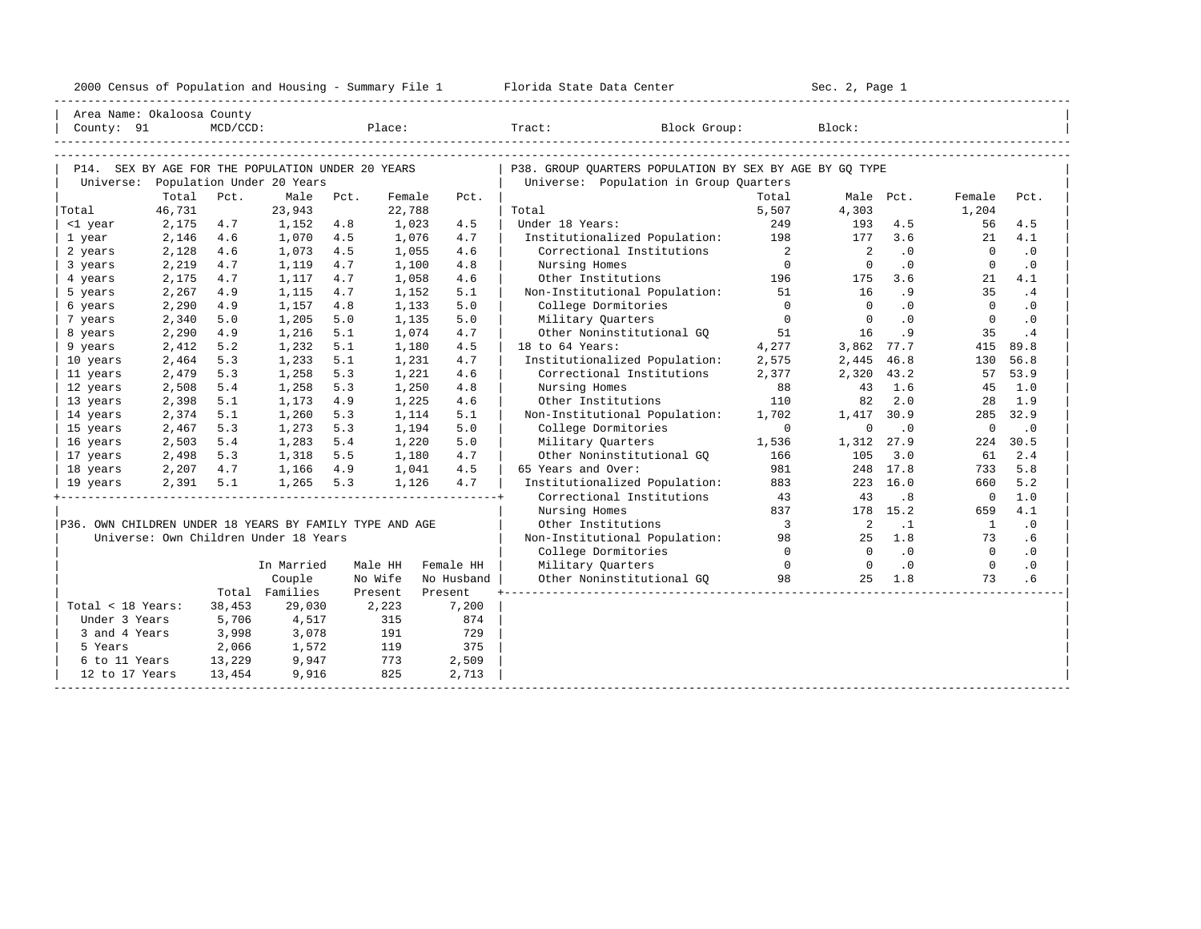|  |  |  | 2000 Census of Population and Housing - Summary File 1 |  |  |  |  |  |  |  |  |
|--|--|--|--------------------------------------------------------|--|--|--|--|--|--|--|--|
|--|--|--|--------------------------------------------------------|--|--|--|--|--|--|--|--|

| Area Name: Okaloosa County                              |                 |             |                                                   |      |                  |            |                                                         |                          |                            |           |                 |           |
|---------------------------------------------------------|-----------------|-------------|---------------------------------------------------|------|------------------|------------|---------------------------------------------------------|--------------------------|----------------------------|-----------|-----------------|-----------|
| County: 91                                              |                 | $MCD/CCD$ : |                                                   |      |                  |            | Place: Tract:<br>Block Group:                           |                          | Block:                     |           |                 |           |
|                                                         |                 |             |                                                   |      |                  |            |                                                         |                          |                            |           |                 |           |
|                                                         |                 |             |                                                   |      |                  |            |                                                         |                          |                            |           |                 |           |
|                                                         |                 |             | P14. SEX BY AGE FOR THE POPULATION UNDER 20 YEARS |      |                  |            | P38. GROUP QUARTERS POPULATION BY SEX BY AGE BY GQ TYPE |                          |                            |           |                 |           |
|                                                         |                 |             | Universe: Population Under 20 Years               |      |                  |            | Universe: Population in Group Quarters                  |                          |                            |           |                 |           |
| Total                                                   | Total<br>46,731 | Pct.        | Male<br>23,943                                    | Pct. | Female<br>22,788 | Pct.       | Total                                                   | Total<br>5,507           | 4,303                      | Male Pct. | Female<br>1,204 | Pct.      |
| <1 year                                                 | 2,175           | 4.7         | 1,152                                             | 4.8  | 1,023            | 4.5        | Under 18 Years:                                         | 249                      | 193                        | 4.5       | 56              | 4.5       |
| 1 year                                                  | 2,146           | 4.6         | 1,070                                             | 4.5  | 1,076            | 4.7        | Institutionalized Population:                           | 198                      | 177                        | 3.6       | 21              | 4.1       |
| 2 years                                                 | 2,128           | 4.6         | 1,073                                             | 4.5  | 1,055            | 4.6        | Correctional Institutions                               | $\overline{\phantom{a}}$ | $\overline{\phantom{0}}^2$ | .0        | $\Omega$        | $\cdot$ 0 |
| 3 years                                                 | 2,219           | 4.7         | 1,119                                             | 4.7  | 1,100            | 4.8        | Nursing Homes                                           | $\overline{0}$           | $\Omega$                   | $\cdot$ 0 | $\Omega$        | $\cdot$ 0 |
| 4 years                                                 | 2,175           | 4.7         | 1,117                                             | 4.7  | 1,058            | 4.6        | Other Institutions                                      | 196                      | 175                        | 3.6       | 21              | 4.1       |
| 5 years                                                 | 2,267           | 4.9         | 1,115                                             | 4.7  | 1,152            | 5.1        | Non-Institutional Population:                           | 51                       | 16                         | .9        | 35              | .4        |
| 6 years                                                 | 2,290           | 4.9         | 1,157                                             | 4.8  | 1,133            | 5.0        | College Dormitories                                     | $\Omega$                 | $\Omega$                   | $\cdot$ 0 | $\Omega$        | $\cdot$ 0 |
| 7 years                                                 | 2,340           | 5.0         | 1,205                                             | 5.0  | 1,135            | 5.0        | Military Quarters                                       | $\overline{0}$           | $\overline{0}$             | $\cdot$ 0 | $\overline{0}$  | $\cdot$ 0 |
| 8 years                                                 | 2,290           | 4.9         | 1,216                                             | 5.1  | 1,074            | 4.7        | Other Noninstitutional GO                               | 51                       | 16                         | .9        | 35              | .4        |
| 9 years                                                 | 2,412           | 5.2         | 1,232                                             | 5.1  | 1,180            | 4.5        | 18 to 64 Years:                                         | 4,277                    | 3,862 77.7                 |           | 415             | 89.8      |
| 10 years                                                | 2,464           | 5.3         | 1,233                                             | 5.1  | 1,231            | 4.7        | Institutionalized Population:                           | 2,575                    | 2,445 46.8                 |           | 130             | 56.8      |
| 11 years                                                | 2,479           | 5.3         | 1,258                                             | 5.3  | 1,221            | 4.6        | Correctional Institutions                               | 2,377                    | 2,320 43.2                 |           | 57              | 53.9      |
| 12 years                                                | 2,508           | 5.4         | 1,258                                             | 5.3  | 1,250            | 4.8        | Nursing Homes                                           | 88                       | 43                         | 1.6       | 45              | 1.0       |
| 13 years                                                | 2,398           | 5.1         | 1,173                                             | 4.9  | 1,225            | 4.6        | Other Institutions                                      | 110                      | 82                         | 2.0       | 28              | 1.9       |
| 14 years                                                | 2,374           | 5.1         | 1,260                                             | 5.3  | 1,114            | 5.1        | Non-Institutional Population:                           | 1,702                    | 1,417 30.9                 |           | 285             | 32.9      |
| 15 years                                                | 2,467           | 5.3         | 1,273                                             | 5.3  | 1,194            | 5.0        | College Dormitories                                     | $\overline{0}$           | $\mathbf 0$                | $\cdot$ 0 | $\mathbf 0$     | $\cdot$ 0 |
| 16 years                                                | 2,503           | 5.4         | 1,283                                             | 5.4  | 1,220            | 5.0        | Military Quarters                                       | 1,536                    | 1,312 27.9                 |           | 224             | 30.5      |
| 17 years                                                | 2,498           | 5.3         | 1,318                                             | 5.5  | 1,180            | 4.7        | Other Noninstitutional GO                               | 166                      | 105                        | 3.0       | 61              | 2.4       |
| 18 years                                                | 2,207           | 4.7         | 1,166                                             | 4.9  | 1,041            | 4.5        | 65 Years and Over:                                      | 981                      |                            | 248 17.8  | 733             | 5.8       |
| 19 years                                                | $2,391$ 5.1     |             | $1,265$ 5.3                                       |      | 1,126            | 4.7        | Institutionalized Population:                           | 883                      |                            | 223 16.0  | 660             | 5.2       |
|                                                         |                 |             |                                                   |      |                  |            | Correctional Institutions                               | 43                       | 43                         | .8        | $\overline{0}$  | 1.0       |
|                                                         |                 |             |                                                   |      |                  |            | Nursing Homes                                           | 837                      |                            | 178 15.2  | 659             | 4.1       |
| P36. OWN CHILDREN UNDER 18 YEARS BY FAMILY TYPE AND AGE |                 |             |                                                   |      |                  |            | Other Institutions                                      | $\overline{\phantom{a}}$ | $\overline{2}$             | $\cdot$ 1 | $\overline{1}$  | $\cdot$ 0 |
|                                                         |                 |             | Universe: Own Children Under 18 Years             |      |                  |            | Non-Institutional Population: 98                        |                          | 25                         | 1.8       | 73              | .6        |
|                                                         |                 |             |                                                   |      |                  |            | College Dormitories                                     | $\overline{0}$           | $\Omega$                   | $\cdot$ 0 | $\Omega$        | $\cdot$ 0 |
|                                                         |                 |             | In Married                                        |      | Male HH          | Female HH  | Military Ouarters                                       | $\overline{0}$           | $\Omega$                   | .0        | $\Omega$        | $\cdot$ 0 |
|                                                         |                 |             | Couple                                            |      | No Wife          | No Husband | Other Noninstitutional GO 98                            |                          | 2.5                        | 1.8       | 73              | .6        |
|                                                         |                 |             | Total Families                                    |      | Present          | Present    |                                                         |                          |                            |           |                 |           |
| Total < 18 Years:                                       |                 | 38,453      | 29,030                                            |      | 2,223            | 7,200      |                                                         |                          |                            |           |                 |           |
| Under 3 Years                                           |                 | 5,706       | 4,517                                             |      | 315              | 874        |                                                         |                          |                            |           |                 |           |
| 3 and 4 Years                                           |                 | 3,998       | 3,078                                             |      | 191              | 729        |                                                         |                          |                            |           |                 |           |
| 5 Years                                                 |                 | 2,066       | 1,572                                             |      | 119              | 375        |                                                         |                          |                            |           |                 |           |
| 6 to 11 Years                                           |                 | 13,229      | 9,947                                             |      | 773              | 2,509      |                                                         |                          |                            |           |                 |           |
| 12 to 17 Years                                          |                 | 13,454      | 9,916                                             |      | 825              | 2,713      |                                                         |                          |                            |           |                 |           |
|                                                         |                 |             |                                                   |      |                  |            |                                                         |                          |                            |           |                 |           |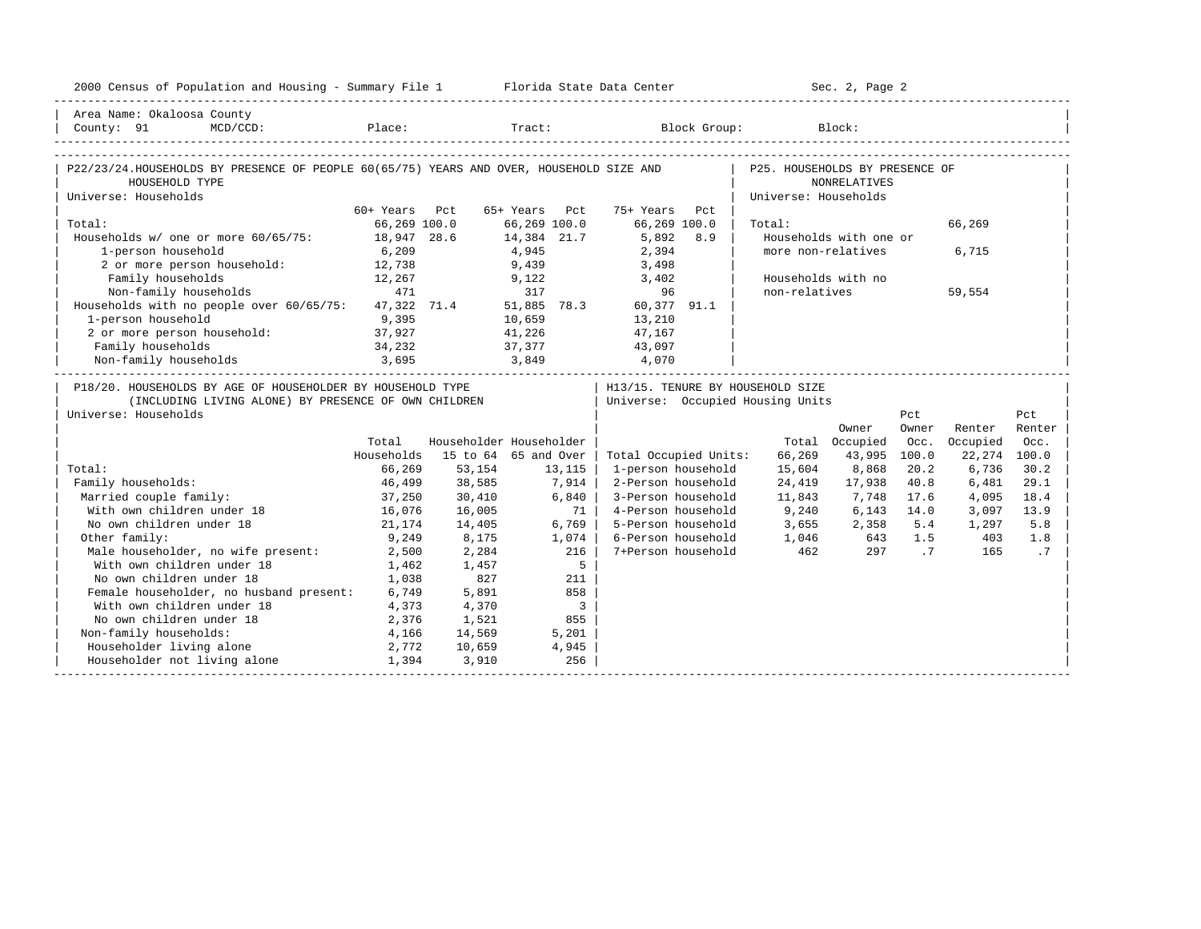| Area Name: Okaloosa County<br>MCD/CCD: Place: Tract: Block Group: Block:<br>County: 91<br>P22/23/24.HOUSEHOLDS BY PRESENCE OF PEOPLE 60(65/75) YEARS AND OVER, HOUSEHOLD SIZE AND<br>P25. HOUSEHOLDS BY PRESENCE OF<br><b>NONRELATIVES</b><br>HOUSEHOLD TYPE<br>Universe: Households<br>Universe: Households<br>60+ Years Pct<br>65+ Years Pct<br>75+ Years<br>Pct<br>Total:<br>66,269 100.0<br>66,269 100.0<br>66,269 100.0<br>66,269<br>Total:<br>Households w/ one or more 60/65/75: 18,947 28.6<br>14,384 21.7<br>5,892<br>8.9<br>Households with one or<br>4,945<br>1-person household<br>6,209<br>2,394<br>more non-relatives<br>6,715<br>9,439<br>2 or more person household: 12,738<br>3,498<br>Family households<br>Households with no<br>12,267<br>9,122<br>3,402<br>471<br>Non-family households<br>317<br>96<br>non-relatives<br>59,554<br>Households with no people over $60/65/75$ : 47,322 71.4<br>51,885 78.3<br>60,377 91.1<br>1-person household<br>9,395<br>10,659<br>13,210<br>2 or more person household:<br>37,927<br>41,226<br>47,167<br>Family households<br>34,232<br>37,377<br>43,097<br>3,695<br>Non-family households<br>3,849<br>4,070<br>P18/20. HOUSEHOLDS BY AGE OF HOUSEHOLDER BY HOUSEHOLD TYPE<br>  H13/15. TENURE BY HOUSEHOLD SIZE<br>(INCLUDING LIVING ALONE) BY PRESENCE OF OWN CHILDREN<br>Universe: Occupied Housing Units<br>Universe: Households<br>Pct<br>Pct<br>Owner<br>Renter<br>Owner<br>Renter<br>Householder Householder<br>Occupied<br>Total<br>Total Occupied<br>Occ.<br>Occ.<br>Households<br>15 to 64 65 and Over<br>66,269<br>43,995<br>100.0<br>22, 274 100.0<br>Total Occupied Units:<br>Total:<br>66,269<br>53,154<br>13,115<br>1-person household<br>15,604<br>8,868<br>20.2<br>6,736<br>30.2<br>7,914<br>Family households:<br>46,499<br>38,585<br>2-Person household<br>24,419<br>17,938<br>40.8<br>6,481<br>29.1<br>Married couple family:<br>6,840<br>3-Person household<br>11,843<br>7,748<br>37,250<br>30,410<br>17.6<br>4,095<br>18.4<br>With own children under 18<br>9,240<br>6,143<br>16,076<br>71 L<br>4-Person household<br>14.0<br>13.9<br>16,005<br>3,097<br>No own children under 18<br>21,174<br>14,405<br>6.769<br>5-Person household<br>$3,655$ $2,358$ $5.4$<br>5.8<br>1,297<br>Other family:<br>9,249<br>6-Person household<br>8,175<br>1,074<br>1,046 643<br>1.5<br>403<br>1.8<br>$\overline{1}$<br>Male householder, no wife present:<br>216<br>7+Person household<br>462<br>.7<br>2,284<br>297<br>165<br>2,500<br>With own children under 18<br>5<br>1,462<br>1,457<br>No own children under 18<br>1,038<br>827<br>211<br>Female householder, no husband present: 6,749<br>5,891<br>858<br>With own children under 18<br>$\overline{\phantom{a}}$<br>4,373<br>4,370<br>No own children under 18<br>2,376<br>855<br>1,521<br>Non-family households:<br>4,166<br>14,569<br>5,201 | 2000 Census of Population and Housing - Summary File 1 Florida State Data Center |       |        |       |  | Sec. 2, Page 2 |  |  |
|------------------------------------------------------------------------------------------------------------------------------------------------------------------------------------------------------------------------------------------------------------------------------------------------------------------------------------------------------------------------------------------------------------------------------------------------------------------------------------------------------------------------------------------------------------------------------------------------------------------------------------------------------------------------------------------------------------------------------------------------------------------------------------------------------------------------------------------------------------------------------------------------------------------------------------------------------------------------------------------------------------------------------------------------------------------------------------------------------------------------------------------------------------------------------------------------------------------------------------------------------------------------------------------------------------------------------------------------------------------------------------------------------------------------------------------------------------------------------------------------------------------------------------------------------------------------------------------------------------------------------------------------------------------------------------------------------------------------------------------------------------------------------------------------------------------------------------------------------------------------------------------------------------------------------------------------------------------------------------------------------------------------------------------------------------------------------------------------------------------------------------------------------------------------------------------------------------------------------------------------------------------------------------------------------------------------------------------------------------------------------------------------------------------------------------------------------------------------------------------------------------------------------------------------------------------------------------------------------------------------------------------------------------------------------------------------------------------------------------------------------------------------------------------------------------------------------------------------------------------|----------------------------------------------------------------------------------|-------|--------|-------|--|----------------|--|--|
|                                                                                                                                                                                                                                                                                                                                                                                                                                                                                                                                                                                                                                                                                                                                                                                                                                                                                                                                                                                                                                                                                                                                                                                                                                                                                                                                                                                                                                                                                                                                                                                                                                                                                                                                                                                                                                                                                                                                                                                                                                                                                                                                                                                                                                                                                                                                                                                                                                                                                                                                                                                                                                                                                                                                                                                                                                                                  |                                                                                  |       |        |       |  |                |  |  |
|                                                                                                                                                                                                                                                                                                                                                                                                                                                                                                                                                                                                                                                                                                                                                                                                                                                                                                                                                                                                                                                                                                                                                                                                                                                                                                                                                                                                                                                                                                                                                                                                                                                                                                                                                                                                                                                                                                                                                                                                                                                                                                                                                                                                                                                                                                                                                                                                                                                                                                                                                                                                                                                                                                                                                                                                                                                                  |                                                                                  |       |        |       |  |                |  |  |
|                                                                                                                                                                                                                                                                                                                                                                                                                                                                                                                                                                                                                                                                                                                                                                                                                                                                                                                                                                                                                                                                                                                                                                                                                                                                                                                                                                                                                                                                                                                                                                                                                                                                                                                                                                                                                                                                                                                                                                                                                                                                                                                                                                                                                                                                                                                                                                                                                                                                                                                                                                                                                                                                                                                                                                                                                                                                  |                                                                                  |       |        |       |  |                |  |  |
|                                                                                                                                                                                                                                                                                                                                                                                                                                                                                                                                                                                                                                                                                                                                                                                                                                                                                                                                                                                                                                                                                                                                                                                                                                                                                                                                                                                                                                                                                                                                                                                                                                                                                                                                                                                                                                                                                                                                                                                                                                                                                                                                                                                                                                                                                                                                                                                                                                                                                                                                                                                                                                                                                                                                                                                                                                                                  |                                                                                  |       |        |       |  |                |  |  |
|                                                                                                                                                                                                                                                                                                                                                                                                                                                                                                                                                                                                                                                                                                                                                                                                                                                                                                                                                                                                                                                                                                                                                                                                                                                                                                                                                                                                                                                                                                                                                                                                                                                                                                                                                                                                                                                                                                                                                                                                                                                                                                                                                                                                                                                                                                                                                                                                                                                                                                                                                                                                                                                                                                                                                                                                                                                                  |                                                                                  |       |        |       |  |                |  |  |
|                                                                                                                                                                                                                                                                                                                                                                                                                                                                                                                                                                                                                                                                                                                                                                                                                                                                                                                                                                                                                                                                                                                                                                                                                                                                                                                                                                                                                                                                                                                                                                                                                                                                                                                                                                                                                                                                                                                                                                                                                                                                                                                                                                                                                                                                                                                                                                                                                                                                                                                                                                                                                                                                                                                                                                                                                                                                  |                                                                                  |       |        |       |  |                |  |  |
|                                                                                                                                                                                                                                                                                                                                                                                                                                                                                                                                                                                                                                                                                                                                                                                                                                                                                                                                                                                                                                                                                                                                                                                                                                                                                                                                                                                                                                                                                                                                                                                                                                                                                                                                                                                                                                                                                                                                                                                                                                                                                                                                                                                                                                                                                                                                                                                                                                                                                                                                                                                                                                                                                                                                                                                                                                                                  |                                                                                  |       |        |       |  |                |  |  |
|                                                                                                                                                                                                                                                                                                                                                                                                                                                                                                                                                                                                                                                                                                                                                                                                                                                                                                                                                                                                                                                                                                                                                                                                                                                                                                                                                                                                                                                                                                                                                                                                                                                                                                                                                                                                                                                                                                                                                                                                                                                                                                                                                                                                                                                                                                                                                                                                                                                                                                                                                                                                                                                                                                                                                                                                                                                                  |                                                                                  |       |        |       |  |                |  |  |
|                                                                                                                                                                                                                                                                                                                                                                                                                                                                                                                                                                                                                                                                                                                                                                                                                                                                                                                                                                                                                                                                                                                                                                                                                                                                                                                                                                                                                                                                                                                                                                                                                                                                                                                                                                                                                                                                                                                                                                                                                                                                                                                                                                                                                                                                                                                                                                                                                                                                                                                                                                                                                                                                                                                                                                                                                                                                  |                                                                                  |       |        |       |  |                |  |  |
|                                                                                                                                                                                                                                                                                                                                                                                                                                                                                                                                                                                                                                                                                                                                                                                                                                                                                                                                                                                                                                                                                                                                                                                                                                                                                                                                                                                                                                                                                                                                                                                                                                                                                                                                                                                                                                                                                                                                                                                                                                                                                                                                                                                                                                                                                                                                                                                                                                                                                                                                                                                                                                                                                                                                                                                                                                                                  |                                                                                  |       |        |       |  |                |  |  |
|                                                                                                                                                                                                                                                                                                                                                                                                                                                                                                                                                                                                                                                                                                                                                                                                                                                                                                                                                                                                                                                                                                                                                                                                                                                                                                                                                                                                                                                                                                                                                                                                                                                                                                                                                                                                                                                                                                                                                                                                                                                                                                                                                                                                                                                                                                                                                                                                                                                                                                                                                                                                                                                                                                                                                                                                                                                                  |                                                                                  |       |        |       |  |                |  |  |
|                                                                                                                                                                                                                                                                                                                                                                                                                                                                                                                                                                                                                                                                                                                                                                                                                                                                                                                                                                                                                                                                                                                                                                                                                                                                                                                                                                                                                                                                                                                                                                                                                                                                                                                                                                                                                                                                                                                                                                                                                                                                                                                                                                                                                                                                                                                                                                                                                                                                                                                                                                                                                                                                                                                                                                                                                                                                  |                                                                                  |       |        |       |  |                |  |  |
|                                                                                                                                                                                                                                                                                                                                                                                                                                                                                                                                                                                                                                                                                                                                                                                                                                                                                                                                                                                                                                                                                                                                                                                                                                                                                                                                                                                                                                                                                                                                                                                                                                                                                                                                                                                                                                                                                                                                                                                                                                                                                                                                                                                                                                                                                                                                                                                                                                                                                                                                                                                                                                                                                                                                                                                                                                                                  |                                                                                  |       |        |       |  |                |  |  |
|                                                                                                                                                                                                                                                                                                                                                                                                                                                                                                                                                                                                                                                                                                                                                                                                                                                                                                                                                                                                                                                                                                                                                                                                                                                                                                                                                                                                                                                                                                                                                                                                                                                                                                                                                                                                                                                                                                                                                                                                                                                                                                                                                                                                                                                                                                                                                                                                                                                                                                                                                                                                                                                                                                                                                                                                                                                                  |                                                                                  |       |        |       |  |                |  |  |
|                                                                                                                                                                                                                                                                                                                                                                                                                                                                                                                                                                                                                                                                                                                                                                                                                                                                                                                                                                                                                                                                                                                                                                                                                                                                                                                                                                                                                                                                                                                                                                                                                                                                                                                                                                                                                                                                                                                                                                                                                                                                                                                                                                                                                                                                                                                                                                                                                                                                                                                                                                                                                                                                                                                                                                                                                                                                  |                                                                                  |       |        |       |  |                |  |  |
|                                                                                                                                                                                                                                                                                                                                                                                                                                                                                                                                                                                                                                                                                                                                                                                                                                                                                                                                                                                                                                                                                                                                                                                                                                                                                                                                                                                                                                                                                                                                                                                                                                                                                                                                                                                                                                                                                                                                                                                                                                                                                                                                                                                                                                                                                                                                                                                                                                                                                                                                                                                                                                                                                                                                                                                                                                                                  |                                                                                  |       |        |       |  |                |  |  |
|                                                                                                                                                                                                                                                                                                                                                                                                                                                                                                                                                                                                                                                                                                                                                                                                                                                                                                                                                                                                                                                                                                                                                                                                                                                                                                                                                                                                                                                                                                                                                                                                                                                                                                                                                                                                                                                                                                                                                                                                                                                                                                                                                                                                                                                                                                                                                                                                                                                                                                                                                                                                                                                                                                                                                                                                                                                                  |                                                                                  |       |        |       |  |                |  |  |
|                                                                                                                                                                                                                                                                                                                                                                                                                                                                                                                                                                                                                                                                                                                                                                                                                                                                                                                                                                                                                                                                                                                                                                                                                                                                                                                                                                                                                                                                                                                                                                                                                                                                                                                                                                                                                                                                                                                                                                                                                                                                                                                                                                                                                                                                                                                                                                                                                                                                                                                                                                                                                                                                                                                                                                                                                                                                  |                                                                                  |       |        |       |  |                |  |  |
|                                                                                                                                                                                                                                                                                                                                                                                                                                                                                                                                                                                                                                                                                                                                                                                                                                                                                                                                                                                                                                                                                                                                                                                                                                                                                                                                                                                                                                                                                                                                                                                                                                                                                                                                                                                                                                                                                                                                                                                                                                                                                                                                                                                                                                                                                                                                                                                                                                                                                                                                                                                                                                                                                                                                                                                                                                                                  |                                                                                  |       |        |       |  |                |  |  |
|                                                                                                                                                                                                                                                                                                                                                                                                                                                                                                                                                                                                                                                                                                                                                                                                                                                                                                                                                                                                                                                                                                                                                                                                                                                                                                                                                                                                                                                                                                                                                                                                                                                                                                                                                                                                                                                                                                                                                                                                                                                                                                                                                                                                                                                                                                                                                                                                                                                                                                                                                                                                                                                                                                                                                                                                                                                                  |                                                                                  |       |        |       |  |                |  |  |
|                                                                                                                                                                                                                                                                                                                                                                                                                                                                                                                                                                                                                                                                                                                                                                                                                                                                                                                                                                                                                                                                                                                                                                                                                                                                                                                                                                                                                                                                                                                                                                                                                                                                                                                                                                                                                                                                                                                                                                                                                                                                                                                                                                                                                                                                                                                                                                                                                                                                                                                                                                                                                                                                                                                                                                                                                                                                  |                                                                                  |       |        |       |  |                |  |  |
|                                                                                                                                                                                                                                                                                                                                                                                                                                                                                                                                                                                                                                                                                                                                                                                                                                                                                                                                                                                                                                                                                                                                                                                                                                                                                                                                                                                                                                                                                                                                                                                                                                                                                                                                                                                                                                                                                                                                                                                                                                                                                                                                                                                                                                                                                                                                                                                                                                                                                                                                                                                                                                                                                                                                                                                                                                                                  |                                                                                  |       |        |       |  |                |  |  |
|                                                                                                                                                                                                                                                                                                                                                                                                                                                                                                                                                                                                                                                                                                                                                                                                                                                                                                                                                                                                                                                                                                                                                                                                                                                                                                                                                                                                                                                                                                                                                                                                                                                                                                                                                                                                                                                                                                                                                                                                                                                                                                                                                                                                                                                                                                                                                                                                                                                                                                                                                                                                                                                                                                                                                                                                                                                                  |                                                                                  |       |        |       |  |                |  |  |
|                                                                                                                                                                                                                                                                                                                                                                                                                                                                                                                                                                                                                                                                                                                                                                                                                                                                                                                                                                                                                                                                                                                                                                                                                                                                                                                                                                                                                                                                                                                                                                                                                                                                                                                                                                                                                                                                                                                                                                                                                                                                                                                                                                                                                                                                                                                                                                                                                                                                                                                                                                                                                                                                                                                                                                                                                                                                  |                                                                                  |       |        |       |  |                |  |  |
|                                                                                                                                                                                                                                                                                                                                                                                                                                                                                                                                                                                                                                                                                                                                                                                                                                                                                                                                                                                                                                                                                                                                                                                                                                                                                                                                                                                                                                                                                                                                                                                                                                                                                                                                                                                                                                                                                                                                                                                                                                                                                                                                                                                                                                                                                                                                                                                                                                                                                                                                                                                                                                                                                                                                                                                                                                                                  |                                                                                  |       |        |       |  |                |  |  |
|                                                                                                                                                                                                                                                                                                                                                                                                                                                                                                                                                                                                                                                                                                                                                                                                                                                                                                                                                                                                                                                                                                                                                                                                                                                                                                                                                                                                                                                                                                                                                                                                                                                                                                                                                                                                                                                                                                                                                                                                                                                                                                                                                                                                                                                                                                                                                                                                                                                                                                                                                                                                                                                                                                                                                                                                                                                                  |                                                                                  |       |        |       |  |                |  |  |
|                                                                                                                                                                                                                                                                                                                                                                                                                                                                                                                                                                                                                                                                                                                                                                                                                                                                                                                                                                                                                                                                                                                                                                                                                                                                                                                                                                                                                                                                                                                                                                                                                                                                                                                                                                                                                                                                                                                                                                                                                                                                                                                                                                                                                                                                                                                                                                                                                                                                                                                                                                                                                                                                                                                                                                                                                                                                  |                                                                                  |       |        |       |  |                |  |  |
|                                                                                                                                                                                                                                                                                                                                                                                                                                                                                                                                                                                                                                                                                                                                                                                                                                                                                                                                                                                                                                                                                                                                                                                                                                                                                                                                                                                                                                                                                                                                                                                                                                                                                                                                                                                                                                                                                                                                                                                                                                                                                                                                                                                                                                                                                                                                                                                                                                                                                                                                                                                                                                                                                                                                                                                                                                                                  |                                                                                  |       |        |       |  |                |  |  |
|                                                                                                                                                                                                                                                                                                                                                                                                                                                                                                                                                                                                                                                                                                                                                                                                                                                                                                                                                                                                                                                                                                                                                                                                                                                                                                                                                                                                                                                                                                                                                                                                                                                                                                                                                                                                                                                                                                                                                                                                                                                                                                                                                                                                                                                                                                                                                                                                                                                                                                                                                                                                                                                                                                                                                                                                                                                                  |                                                                                  |       |        |       |  |                |  |  |
|                                                                                                                                                                                                                                                                                                                                                                                                                                                                                                                                                                                                                                                                                                                                                                                                                                                                                                                                                                                                                                                                                                                                                                                                                                                                                                                                                                                                                                                                                                                                                                                                                                                                                                                                                                                                                                                                                                                                                                                                                                                                                                                                                                                                                                                                                                                                                                                                                                                                                                                                                                                                                                                                                                                                                                                                                                                                  |                                                                                  |       |        |       |  |                |  |  |
|                                                                                                                                                                                                                                                                                                                                                                                                                                                                                                                                                                                                                                                                                                                                                                                                                                                                                                                                                                                                                                                                                                                                                                                                                                                                                                                                                                                                                                                                                                                                                                                                                                                                                                                                                                                                                                                                                                                                                                                                                                                                                                                                                                                                                                                                                                                                                                                                                                                                                                                                                                                                                                                                                                                                                                                                                                                                  |                                                                                  |       |        |       |  |                |  |  |
|                                                                                                                                                                                                                                                                                                                                                                                                                                                                                                                                                                                                                                                                                                                                                                                                                                                                                                                                                                                                                                                                                                                                                                                                                                                                                                                                                                                                                                                                                                                                                                                                                                                                                                                                                                                                                                                                                                                                                                                                                                                                                                                                                                                                                                                                                                                                                                                                                                                                                                                                                                                                                                                                                                                                                                                                                                                                  | Householder living alone                                                         | 2,772 | 10,659 | 4,945 |  |                |  |  |
| Householder not living alone<br>1,394<br>256<br>3,910                                                                                                                                                                                                                                                                                                                                                                                                                                                                                                                                                                                                                                                                                                                                                                                                                                                                                                                                                                                                                                                                                                                                                                                                                                                                                                                                                                                                                                                                                                                                                                                                                                                                                                                                                                                                                                                                                                                                                                                                                                                                                                                                                                                                                                                                                                                                                                                                                                                                                                                                                                                                                                                                                                                                                                                                            |                                                                                  |       |        |       |  |                |  |  |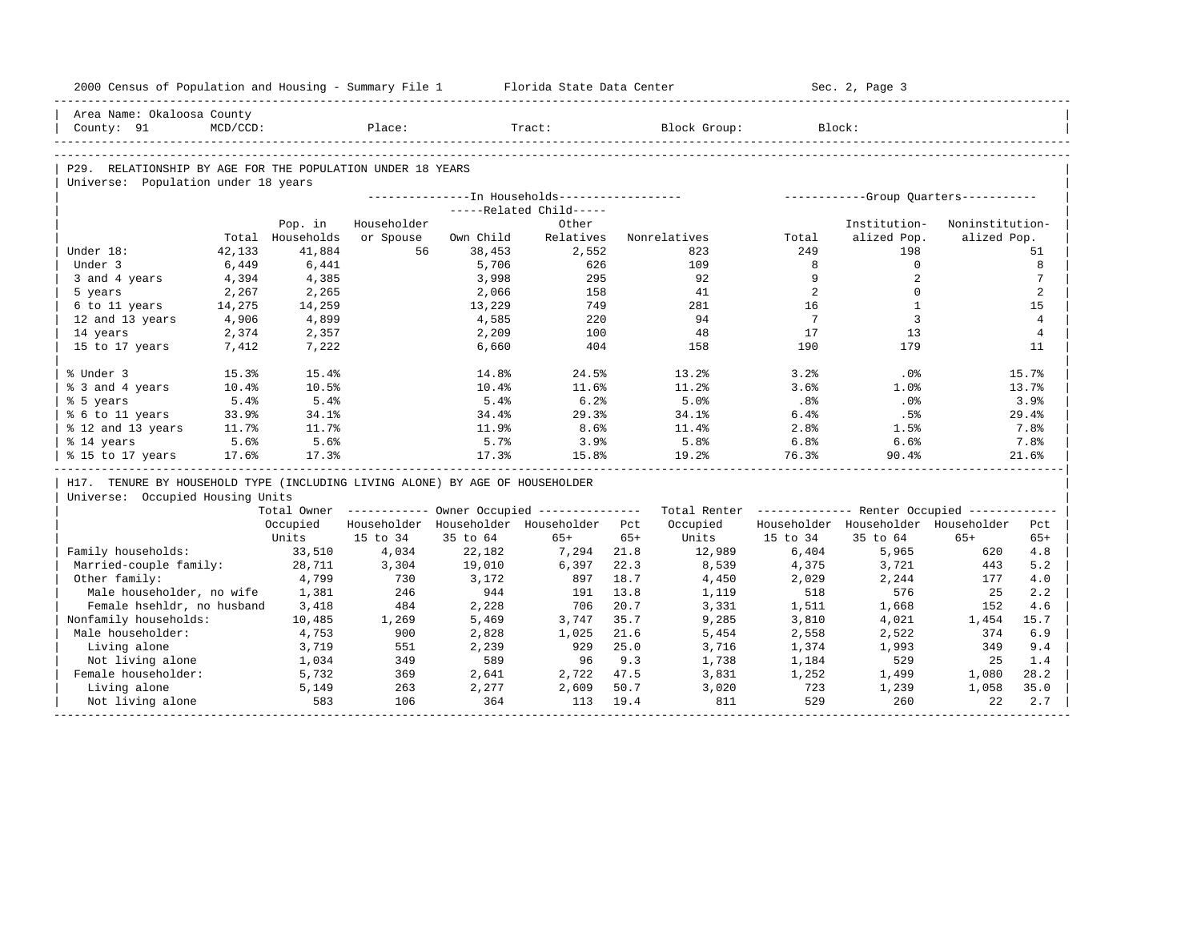| 2000 Census of Population and Housing - Summary File 1 Florida State Data Center |          |                  |             |           |                                                       |       |                                                         |                 | Sec. 2, Page 3                      |                 |                |
|----------------------------------------------------------------------------------|----------|------------------|-------------|-----------|-------------------------------------------------------|-------|---------------------------------------------------------|-----------------|-------------------------------------|-----------------|----------------|
| Area Name: Okaloosa County                                                       |          |                  |             |           |                                                       |       |                                                         |                 |                                     |                 |                |
| County: 91                                                                       | MCD/CCD: |                  | Place:      |           | Tract:                                                |       | Block Group:                                            |                 | Block:                              |                 |                |
|                                                                                  |          |                  |             |           |                                                       |       |                                                         |                 |                                     |                 |                |
| P29. RELATIONSHIP BY AGE FOR THE POPULATION UNDER 18 YEARS                       |          |                  |             |           |                                                       |       |                                                         |                 |                                     |                 |                |
| Universe: Population under 18 years                                              |          |                  |             |           |                                                       |       |                                                         |                 |                                     |                 |                |
|                                                                                  |          |                  |             |           |                                                       |       |                                                         |                 |                                     |                 |                |
|                                                                                  |          |                  |             |           | -----Related Child-----                               |       |                                                         |                 |                                     |                 |                |
|                                                                                  |          | Pop. in          | Householder |           | Other                                                 |       |                                                         |                 | Institution-                        | Noninstitution- |                |
|                                                                                  |          | Total Households | or Spouse   | Own Child | Relatives                                             |       | Nonrelatives                                            | Total           | alized Pop.                         | alized Pop.     |                |
| Under 18:                                                                        | 42,133   | 41,884           | 56          | 38,453    | 2,552                                                 |       | 823                                                     | 249             | 198                                 |                 | 51             |
| Under 3                                                                          | 6,449    | 6,441            |             | 5,706     | 626                                                   |       | 109                                                     | 8               | $\mathbf{0}$                        |                 | 8              |
| 3 and 4 years                                                                    | 4,394    | 4,385            |             | 3,998     | 295                                                   |       | 92                                                      | 9               | 2                                   |                 | 7              |
| 5 years                                                                          | 2,267    | 2,265            |             | 2,066     | 158                                                   |       | 41                                                      | 2               | $\Omega$                            |                 | $\overline{2}$ |
| 6 to 11 years                                                                    | 14,275   | 14,259           |             | 13,229    | 749                                                   |       | 281                                                     | 16              | $\mathbf{1}$                        |                 | 15             |
| 12 and 13 years                                                                  | 4,906    | 4,899            |             | 4,585     | 220                                                   |       | 94                                                      | $7^{\circ}$     | $\overline{3}$                      |                 | $\overline{4}$ |
| 14 years                                                                         | 2,374    | 2,357            |             | 2,209     | 100                                                   |       | 48                                                      | 17              | 13                                  |                 | $\overline{4}$ |
| 15 to 17 years                                                                   | 7,412    | 7,222            |             | 6,660     | 404                                                   |       | 158                                                     | 190             | 179                                 |                 | 11             |
| % Under 3                                                                        | 15.3%    | 15.4%            |             | 14.8%     | 24.5%                                                 |       | 13.2%                                                   | 3.2%            | .0%                                 |                 | 15.7%          |
| % 3 and 4 years                                                                  | 10.4%    | 10.5%            |             | $10.4\%$  | 11.6%                                                 |       | 11.2%                                                   | 3.6%            | 1.0%                                |                 | 13.7%          |
| % 5 years                                                                        | 5.4%     | 5.4%             |             | $5.4\%$   | 6.2%                                                  |       | 5.0%                                                    | .8 <sup>8</sup> | .0%                                 |                 | 3.9%           |
| % 6 to 11 years                                                                  | 33.9%    | 34.1%            |             | 34.4%     | 29.3%                                                 |       | 34.1%                                                   | 6.4%            | .5%                                 |                 | 29.4%          |
| % 12 and 13 years                                                                | 11.7%    | 11.7%            |             | 11.9%     | 8.6%                                                  |       | 11.4%                                                   | 2.8%            | 1.5%                                |                 | 7.8%           |
| % 14 years                                                                       | 5.6%     | 5.6%             |             | 5.7%      | 3.9%                                                  |       | 5.8%                                                    | 6.8%            | 6.6%                                |                 | 7.8%           |
| % 15 to 17 years                                                                 | 17.6%    | 17.3%            |             | 17.3%     | 15.8%                                                 |       | 19.2%                                                   | 76.3%           | 90.4%                               |                 | 21.6%          |
| H17. TENURE BY HOUSEHOLD TYPE (INCLUDING LIVING ALONE) BY AGE OF HOUSEHOLDER     |          |                  |             |           |                                                       |       |                                                         |                 |                                     |                 |                |
| Universe: Occupied Housing Units                                                 |          |                  |             |           |                                                       |       |                                                         |                 |                                     |                 |                |
|                                                                                  |          |                  |             |           | Total Owner ----------- Owner Occupied -------------- |       | Total Renter ------------- Renter Occupied ------------ |                 |                                     |                 |                |
|                                                                                  |          | Occupied         |             |           | Householder Householder Householder Pct               |       | Occupied                                                |                 | Householder Householder Householder |                 | Pct            |
|                                                                                  |          | Units            | 15 to 34    | 35 to 64  | $65+$                                                 | $65+$ | Units                                                   | 15 to 34        | 35 to 64                            | $65+$           | $65+$          |
| Family households:                                                               |          | 33,510           | 4,034       | 22,182    | 7,294                                                 | 21.8  | 12,989                                                  | 6,404           | 5,965                               | 620             | 4.8            |
| Married-couple family:                                                           |          | 28,711           | 3,304       | 19,010    | 6,397                                                 | 22.3  | 8,539                                                   | 4,375           | 3,721                               | 443             | 5.2            |
| Other family:                                                                    |          | 4,799            | 730         | 3,172     | 897                                                   | 18.7  | 4,450                                                   | 2,029           | 2,244                               | 177             | 4.0            |
| Male householder, no wife                                                        |          | 1,381            | 246         | 944       | 191                                                   | 13.8  | 1,119                                                   | 518             | 576                                 | 25              | 2.2            |
| Female hsehldr, no husband                                                       |          | 3,418            | 484         | 2,228     | 706                                                   | 20.7  | 3,331                                                   | 1,511           | 1,668                               | 152             | 4.6            |
| Nonfamily households:                                                            |          | 10,485           | 1,269       | 5,469     | 3,747                                                 | 35.7  | 9,285                                                   | 3,810           | 4,021                               | 1,454           | 15.7           |
| Male householder:                                                                |          | 4,753            | 900         | 2,828     | 1,025                                                 | 21.6  | 5,454                                                   | 2,558           | 2,522                               | 374             | 6.9            |
| Living alone                                                                     |          | 3,719            | 551         | 2,239     | 929                                                   | 25.0  | 3,716                                                   | 1,374           | 1,993                               | 349             | 9.4            |
| Not living alone                                                                 |          | 1,034            | 349         | 589       | 96                                                    | 9.3   | 1,738                                                   | 1,184           | 529                                 | 25              | 1.4            |
| Female householder:                                                              |          | 5,732            | 369         | 2,641     | 2,722 47.5                                            |       | 3,831                                                   | 1,252           | 1,499                               | 1,080           | 28.2           |
| Living alone                                                                     |          | 5,149            | 263         | 2,277     | 2,609                                                 | 50.7  | 3,020                                                   | 723             | 1,239                               | 1,058           | 35.0           |
| Not living alone                                                                 |          | 583              | 106         | 364       | 113                                                   | 19.4  | 811                                                     | 529             | 260                                 | 22              | 2.7            |
|                                                                                  |          |                  |             |           |                                                       |       |                                                         |                 |                                     |                 |                |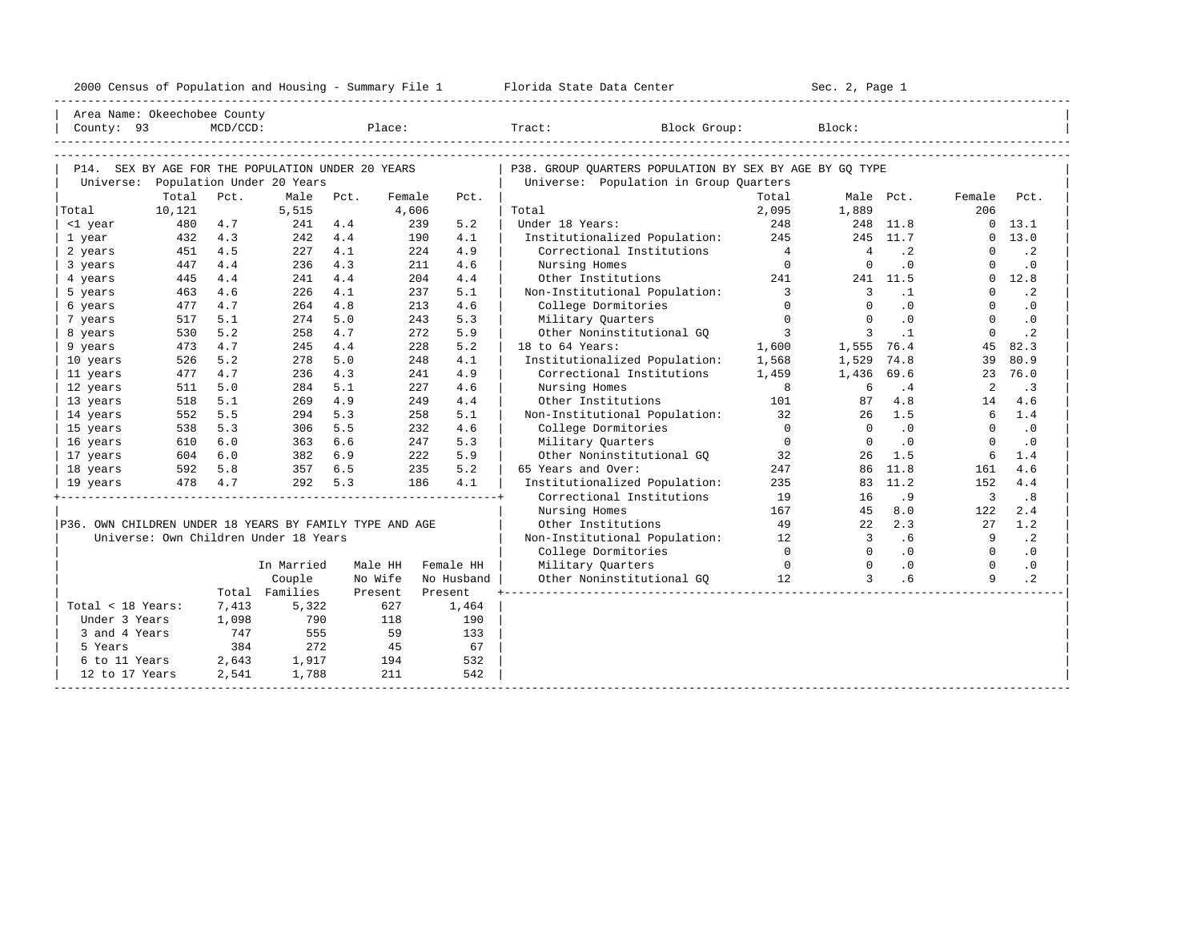| 2000<br>ensus! | and<br>Population | ---<br>Summa:<br>$-$<br>Housing | lorida<br>Data<br>otatt<br>cence. | ، م ج<br>Page<br>$3-1$ |  |
|----------------|-------------------|---------------------------------|-----------------------------------|------------------------|--|
|                |                   |                                 |                                   |                        |  |

| Area Name: Okeechobee County                            |        |             |                                       |      |         |            |                                                         |                            |                         |           |                |                |
|---------------------------------------------------------|--------|-------------|---------------------------------------|------|---------|------------|---------------------------------------------------------|----------------------------|-------------------------|-----------|----------------|----------------|
| County: 93                                              |        | $MCD/CCD$ : |                                       |      | Place:  |            | Tract: Block Group:                                     |                            | Block:                  |           |                |                |
|                                                         |        |             |                                       |      |         |            |                                                         |                            |                         |           |                |                |
|                                                         |        |             |                                       |      |         |            |                                                         |                            |                         |           |                |                |
| P14. SEX BY AGE FOR THE POPULATION UNDER 20 YEARS       |        |             |                                       |      |         |            | P38. GROUP QUARTERS POPULATION BY SEX BY AGE BY GQ TYPE |                            |                         |           |                |                |
| Universe: Population Under 20 Years                     |        |             |                                       |      |         |            | Universe: Population in Group Quarters                  |                            |                         |           |                |                |
|                                                         | Total  | Pct.        | Male                                  | Pct. | Female  | Pct.       |                                                         | Total                      |                         | Male Pct. | Female         | Pct.           |
| Total                                                   | 10,121 |             | 5,515                                 |      | 4,606   |            | Total                                                   | 2,095                      | 1,889                   |           | 206            |                |
| <1 year                                                 | 480    | 4.7         | 241                                   | 4.4  | 239     | 5.2        | Under 18 Years:                                         | 248                        |                         | 248 11.8  |                | $0 \quad 13.1$ |
| 1 year                                                  | 432    | 4.3         | 242                                   | 4.4  | 190     | 4.1        | Institutionalized Population: 245                       |                            |                         | 245 11.7  |                | 0 13.0         |
| 2 years                                                 | 451    | 4.5         | 227                                   | 4.1  | 2.2.4   | 4.9        | Correctional Institutions                               | $\overline{4}$             | $\overline{4}$          | $\cdot$ 2 | $\Omega$       | $\cdot$ 2      |
| 3 years                                                 | 447    | 4.4         | 236                                   | 4.3  | 211     | 4.6        | Nursing Homes                                           | $\overline{0}$             | $\Omega$                | .0        | $\Omega$       | $\cdot$ 0      |
| 4 years                                                 | 445    | 4.4         | 241                                   | 4.4  | 204     | 4.4        | Other Institutions                                      | 241 \                      |                         | 241 11.5  |                | $0 \quad 12.8$ |
| 5 years                                                 | 463    | 4.6         | 226                                   | 4.1  | 237     | 5.1        | Non-Institutional Population:                           | $\overline{\phantom{a}}$ 3 | $\overline{\mathbf{3}}$ | $\cdot$ 1 | $\Omega$       | $\cdot$ 2      |
| 6 years                                                 | 477    | 4.7         | 264                                   | 4.8  | 213     | 4.6        | College Dormitories                                     | $\Omega$                   | $\Omega$                | .0        | $\Omega$       | $\cdot$ 0      |
| 7 years                                                 | 517    | 5.1         | 274                                   | 5.0  | 243     | 5.3        | Military Quarters                                       | $\overline{0}$             | $\Omega$                | .0        | $\Omega$       | $\cdot$ 0      |
| 8 years                                                 | 530    | 5.2         | 258                                   | 4.7  | 2.72    | 5.9        | Other Noninstitutional GO                               | $\overline{\mathbf{3}}$    | $\mathbf{3}$            | $\cdot$ 1 | $\Omega$       | $\cdot$ 2      |
| 9 years                                                 | 473    | 4.7         | 245                                   | 4.4  | 228     | 5.2        | 18 to 64 Years:                                         | 1,600                      | 1,555 76.4              |           | 45             | 82.3           |
| 10 years                                                | 526    | 5.2         | 278                                   | 5.0  | 248     | 4.1        | Institutionalized Population:                           | 1,568                      | 1,529                   | 74.8      | 39             | 80.9           |
| 11 years                                                | 477    | 4.7         | 236                                   | 4.3  | 241     | 4.9        | Correctional Institutions                               | 1,459                      | 1,436 69.6              |           | 23             | 76.0           |
| 12 years                                                | 511    | 5.0         | 284                                   | 5.1  | 227     | 4.6        | Nursing Homes                                           | $_{\rm 8}$                 | 6                       | .4        | 2              | $\cdot$ 3      |
| 13 years                                                | 518    | 5.1         | 269                                   | 4.9  | 249     | 4.4        | Other Institutions                                      | 101                        | 87                      | 4.8       | 14             | 4.6            |
| 14 years                                                | 552    | 5.5         | 294                                   | 5.3  | 258     | 5.1        | Non-Institutional Population: 32                        |                            | 26                      | 1.5       | 6              | 1.4            |
| 15 years                                                | 538    | 5.3         | 306                                   | 5.5  | 232     | 4.6        | College Dormitories                                     | $\Omega$                   | $\Omega$                | $\cdot$ 0 | $\Omega$       | $\cdot$ 0      |
| 16 years                                                | 610    | 6.0         | 363                                   | 6.6  | 247     | 5.3        | Military Quarters                                       | $\overline{0}$             | $\Omega$                | $\cdot$ 0 | $\Omega$       | $\cdot$ 0      |
| 17 years                                                | 604    | 6.0         | 382                                   | 6.9  | 222     | 5.9        | Other Noninstitutional GQ 32                            |                            | 26                      | 1.5       | 6              | 1.4            |
| 18 years                                                | 592    | 5.8         | 357                                   | 6.5  | 235     | 5.2        | 65 Years and Over:                                      | 247                        |                         | 86 11.8   | 161            | 4.6            |
| 19 years                                                |        | 478 4.7     | 292                                   | 5.3  | 186     | 4.1        | Institutionalized Population:                           | 235                        |                         | 83 11.2   | 152            | 4.4            |
|                                                         |        |             |                                       |      |         |            | Correctional Institutions                               | 19                         | 16                      | . 9       | $\overline{3}$ | .8             |
|                                                         |        |             |                                       |      |         |            | Nursing Homes                                           | 167                        | 45                      | 8.0       | 122            | 2.4            |
| P36. OWN CHILDREN UNDER 18 YEARS BY FAMILY TYPE AND AGE |        |             |                                       |      |         |            | Other Institutions                                      | 49                         | 22                      | 2.3       | 27             | 1.2            |
|                                                         |        |             | Universe: Own Children Under 18 Years |      |         |            | Non-Institutional Population:                           | 12                         | $\overline{3}$          | .6        | 9              | $\cdot$ 2      |
|                                                         |        |             |                                       |      |         |            | College Dormitories                                     | $\overline{0}$             | $\overline{0}$          | $\cdot$ 0 | $\overline{0}$ | $\cdot$ 0      |
|                                                         |        |             | In Married                            |      | Male HH | Female HH  | Military Quarters                                       | $\sim$ 0                   | $\overline{0}$          | .0        | $\overline{0}$ | $\cdot$ 0      |
|                                                         |        |             | Couple                                |      | No Wife | No Husband | Other Noninstitutional GQ 12                            |                            | $\overline{3}$          | .6        | 9              | $\cdot$ 2      |
|                                                         |        |             | Total Families                        |      | Present | Present    |                                                         |                            |                         |           |                |                |
| Total < 18 Years:                                       |        | 7,413       | 5,322                                 |      | 627     | 1,464      |                                                         |                            |                         |           |                |                |
| Under 3 Years                                           |        | 1,098       | 790                                   |      | 118     | 190        |                                                         |                            |                         |           |                |                |
| 3 and 4 Years                                           |        | 747         | 555                                   |      | 59      | 133        |                                                         |                            |                         |           |                |                |
| 5 Years                                                 |        | 384         | 272                                   |      | 45      | 67         |                                                         |                            |                         |           |                |                |
| 6 to 11 Years 2,643                                     |        |             | 1,917                                 |      | 194     | 532        |                                                         |                            |                         |           |                |                |
| 12 to 17 Years                                          |        | 2,541       | 1,788                                 |      | 211     | 542        |                                                         |                            |                         |           |                |                |
|                                                         |        |             |                                       |      |         |            |                                                         |                            |                         |           |                |                |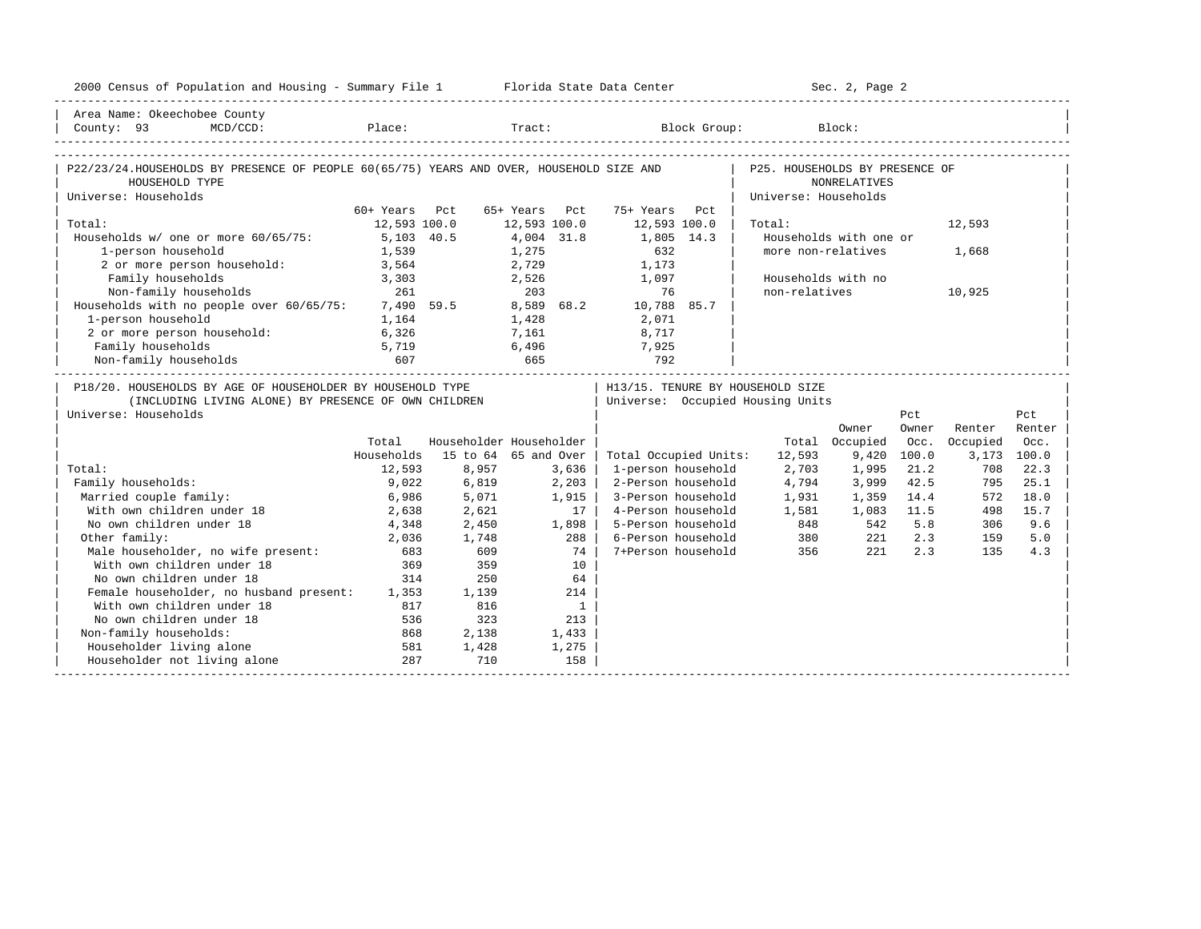| 2000 Census of Population and Housing - Summary File 1 Florida State Data Center        |               |                         |               |                          |                                  |                                | Sec. 2, Page 2         |       |          |             |
|-----------------------------------------------------------------------------------------|---------------|-------------------------|---------------|--------------------------|----------------------------------|--------------------------------|------------------------|-------|----------|-------------|
| Area Name: Okeechobee County                                                            |               |                         |               |                          |                                  |                                |                        |       |          |             |
| County: 93                                                                              |               |                         |               |                          |                                  |                                |                        |       |          |             |
| P22/23/24.HOUSEHOLDS BY PRESENCE OF PEOPLE 60(65/75) YEARS AND OVER, HOUSEHOLD SIZE AND |               |                         |               |                          |                                  | P25. HOUSEHOLDS BY PRESENCE OF |                        |       |          |             |
| HOUSEHOLD TYPE                                                                          |               |                         |               |                          |                                  |                                | NONRELATIVES           |       |          |             |
| Universe: Households                                                                    |               |                         |               |                          |                                  | Universe: Households           |                        |       |          |             |
|                                                                                         | 60+ Years Pct |                         | 65+ Years Pct |                          | 75+ Years Pct                    |                                |                        |       |          |             |
| Total:                                                                                  | 12,593 100.0  |                         | 12,593 100.0  |                          | 12,593 100.0                     | Total:                         |                        |       | 12,593   |             |
| Households w/ one or more 60/65/75:                                                     | 5,103 40.5    |                         | 4,004 31.8    |                          | 1,805 14.3                       |                                | Households with one or |       |          |             |
| 1-person household                                                                      | 1,539         |                         | 1,275         |                          | 632                              |                                | more non-relatives     |       | 1,668    |             |
| 2 or more person household:                                                             | 3,564         |                         | 2,729         |                          | 1,173                            |                                |                        |       |          |             |
| Family households                                                                       | 3,303         |                         |               | 2,526                    | 1,097                            |                                | Households with no     |       |          |             |
| Non-family households                                                                   | 261           |                         | 203           |                          | 76                               | non-relatives                  |                        |       | 10,925   |             |
| Households with no people over 60/65/75:                                                |               | 7,490 59.5              |               |                          | 8,589 68.2 10,788 85.7           |                                |                        |       |          |             |
| 1-person household                                                                      | 1,164         |                         | 1,428         |                          | 2,071                            |                                |                        |       |          |             |
| 2 or more person household:                                                             | 6,326         |                         | 7,161         |                          | 8,717                            |                                |                        |       |          |             |
| Family households                                                                       | 5,719         |                         | 6,496         |                          | 7,925                            |                                |                        |       |          |             |
| Non-family households                                                                   | 607           | 665                     |               |                          | 792                              |                                |                        |       |          |             |
| P18/20. HOUSEHOLDS BY AGE OF HOUSEHOLDER BY HOUSEHOLD TYPE                              |               |                         |               |                          | H13/15. TENURE BY HOUSEHOLD SIZE |                                |                        |       |          |             |
| (INCLUDING LIVING ALONE) BY PRESENCE OF OWN CHILDREN                                    |               |                         |               |                          | Universe: Occupied Housing Units |                                |                        |       |          |             |
| Universe: Households                                                                    |               |                         |               |                          |                                  |                                |                        | Pct   |          | Pct         |
|                                                                                         |               |                         |               |                          |                                  |                                | Owner                  | Owner | Renter   | Renter      |
|                                                                                         | Total         | Householder Householder |               |                          |                                  |                                | Total Occupied         | Occ.  | Occupied | Occ.        |
|                                                                                         | Households    | 15 to 64 65 and Over    |               |                          | Total Occupied Units:            | 12,593                         | 9,420                  | 100.0 |          | 3,173 100.0 |
| Total:                                                                                  | 12,593        | 8,957                   |               | 3,636                    | 1-person household               | 2,703                          | 1,995                  | 21.2  | 708      | 22.3        |
| Family households:                                                                      | 9,022         | 6,819                   |               | 2,203                    | 2-Person household               | 4,794                          | 3,999                  | 42.5  | 795      | 25.1        |
| Married couple family:                                                                  | 6,986         | 5,071                   |               | 1,915                    | 3-Person household               | 1,931                          | 1,359                  | 14.4  | 572      | 18.0        |
| With own children under 18                                                              | 2,638         | 2,621                   |               | 17 <sup>1</sup>          | 4-Person household               | 1,581                          | 1,083                  | 11.5  | 498      | 15.7        |
| No own children under 18                                                                | 4,348         | 2,450                   |               | 1,898                    | 5-Person household               | 848                            | 542                    | 5.8   | 306      | 9.6         |
| Other family:                                                                           | 2,036         | 1,748                   |               | 288                      | 6-Person household               | 380                            | 221                    | 2.3   | 159      | 5.0         |
| Male householder, no wife present:<br>With own children under 18                        | 683           | 609                     |               | 74                       | 7+Person household               | 356                            | 221                    | 2.3   | 135      | 4.3         |
| With own children under 18                                                              | 369           | 359                     |               | 10                       |                                  |                                |                        |       |          |             |
| No own children under 18                                                                | 314           | 250                     |               | 64                       |                                  |                                |                        |       |          |             |
| Female householder, no husband present: 1,353                                           |               | 1,139                   |               | 214                      |                                  |                                |                        |       |          |             |
| With own children under 18                                                              | 817           | 816                     |               | $\overline{\phantom{a}}$ |                                  |                                |                        |       |          |             |
| No own children under 18                                                                | 536           | 323                     |               | 213                      |                                  |                                |                        |       |          |             |
| Non-family households:                                                                  | 868           | 2,138                   |               | 1,433                    |                                  |                                |                        |       |          |             |
| Householder living alone                                                                | 581           | 1,428                   |               | 1,275                    |                                  |                                |                        |       |          |             |
| Householder not living alone                                                            | 287           | 710                     |               | 158                      |                                  |                                |                        |       |          |             |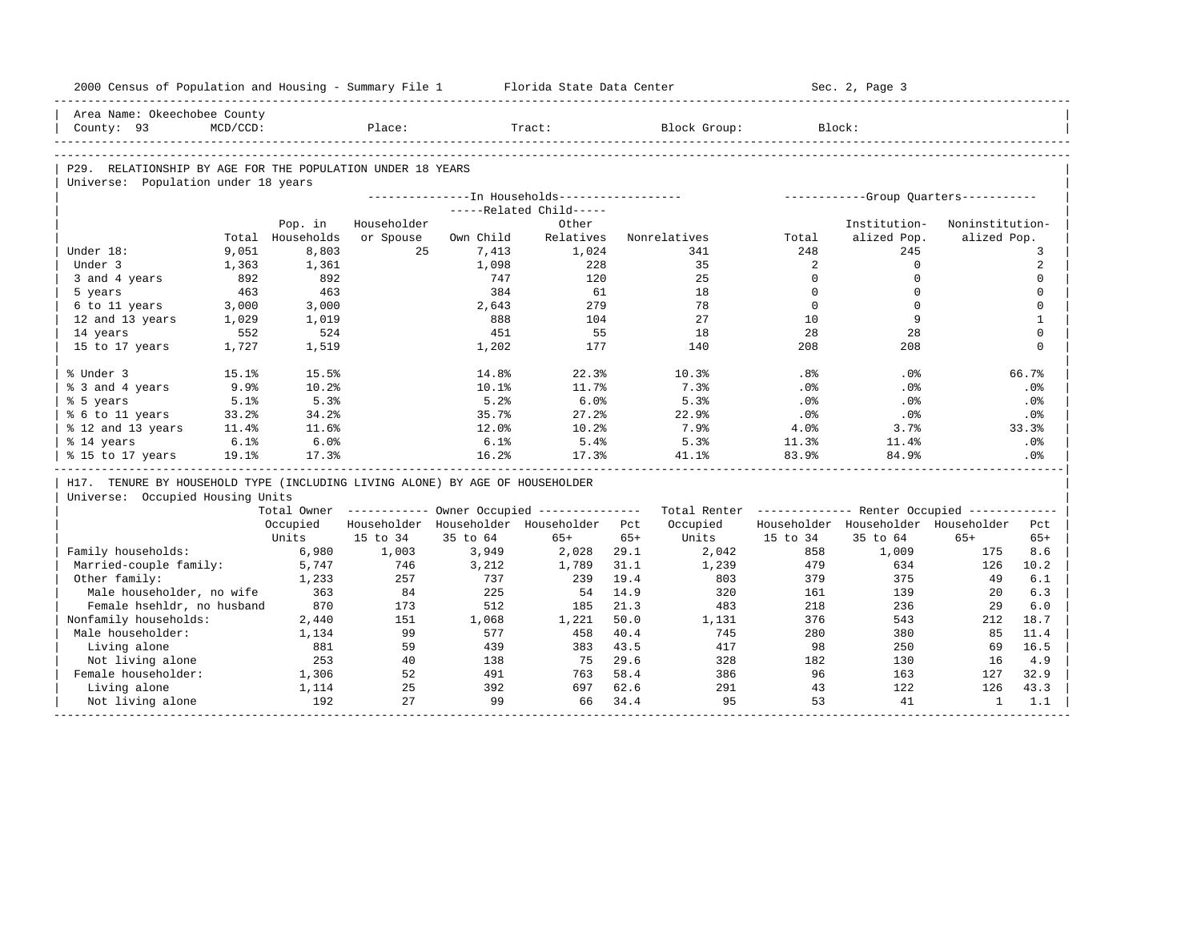| 2000 Census of Population and Housing - Summary File 1                       |              |                  |             |              | Florida State Data Center                             |       |                                                         |              | Sec. 2, Page 3                        |                 |              |
|------------------------------------------------------------------------------|--------------|------------------|-------------|--------------|-------------------------------------------------------|-------|---------------------------------------------------------|--------------|---------------------------------------|-----------------|--------------|
| Area Name: Okeechobee County                                                 |              |                  |             |              |                                                       |       |                                                         |              |                                       |                 |              |
| County: 93                                                                   | $MCD/CCD$ :  |                  | Place:      |              | Tract:                                                |       | Block Group:                                            |              | Block:                                |                 |              |
|                                                                              |              |                  |             |              |                                                       |       |                                                         |              |                                       |                 |              |
| P29. RELATIONSHIP BY AGE FOR THE POPULATION UNDER 18 YEARS                   |              |                  |             |              |                                                       |       |                                                         |              |                                       |                 |              |
| Universe: Population under 18 years                                          |              |                  |             |              |                                                       |       |                                                         |              |                                       |                 |              |
|                                                                              |              |                  |             |              | ---------------- In Households------------------      |       |                                                         |              | ------------Group Quarters----------- |                 |              |
|                                                                              |              |                  |             |              | -----Related Child-----                               |       |                                                         |              |                                       |                 |              |
|                                                                              |              | Pop. in          | Householder |              | Other                                                 |       |                                                         |              | Institution-                          | Noninstitution- |              |
|                                                                              |              | Total Households | or Spouse   | Own Child    | Relatives                                             |       | Nonrelatives                                            | Total        | alized Pop.                           | alized Pop.     |              |
| Under 18:<br>Under 3                                                         | 9,051        | 8,803            | 25          | 7,413        | 1,024<br>228                                          |       | 341<br>35                                               | 248<br>2     | 245<br>$\mathbf 0$                    |                 | 3<br>2       |
|                                                                              | 1,363<br>892 | 1,361<br>892     |             | 1,098<br>747 | 120                                                   |       | 25                                                      | $\mathbf 0$  | $\mathbf 0$                           |                 | $\mathbf 0$  |
| 3 and 4 years<br>5 years                                                     | 463          | 463              |             | 384          | 61                                                    |       | 18                                                      | $\Omega$     | $\Omega$                              |                 | $\mathbf 0$  |
| 6 to 11 years                                                                | 3,000        | 3,000            |             | 2,643        | 279                                                   |       | 78                                                      | $\mathbf{0}$ | $\mathbf 0$                           |                 | $\mathbf 0$  |
| 12 and 13 years                                                              | 1,029        | 1,019            |             | 888          | 104                                                   |       | 27                                                      | 10           | 9                                     |                 | $\mathbf{1}$ |
| 14 years                                                                     | 552          | 524              |             | 451          | 55                                                    |       | 18                                                      | 28           | 28                                    |                 | $\Omega$     |
| 15 to 17 years                                                               | 1,727        | 1,519            |             | 1,202        | 177                                                   |       | 140                                                     | 208          | 208                                   |                 | $\mathbf 0$  |
|                                                                              |              |                  |             |              |                                                       |       |                                                         |              |                                       |                 |              |
| % Under 3                                                                    | 15.1%        | 15.5%            |             | 14.8%        | 22.3%                                                 |       | 10.3%                                                   | .8%          | $.0\%$                                |                 | 66.7%        |
| % 3 and 4 years                                                              | 9.9%         | 10.2%            |             | 10.1%        | 11.7%                                                 |       | 7.3%                                                    | .0%          | .0%                                   |                 | .0%          |
| % 5 years                                                                    | 5.1%         | 5.3%             |             | 5.2%         | 6.0%                                                  |       | 5.3%                                                    | .0%          | $.0\%$                                |                 | .0%          |
| % 6 to 11 years                                                              | 33.2%        | 34.2%            |             | 35.7%        | 27.2%                                                 |       | 22.9%                                                   | .0%          | .0%                                   |                 | .0%          |
| % 12 and 13 years                                                            | 11.4%        | 11.6%            |             | 12.0%        | 10.2%                                                 |       | 7.9%                                                    | 4.0%         | 3.7%                                  |                 | 33.3%        |
| % 14 years                                                                   | 6.1%         | 6.0%             |             | 6.1%         | 5.4%                                                  |       | 5.3%                                                    | 11.3%        | 11.4%                                 |                 | .0%          |
| % 15 to 17 years                                                             | 19.1%        | 17.3%            |             | 16.2%        | 17.3%                                                 |       | 41.1%                                                   | 83.9%        | 84.9%                                 |                 | .0%          |
| H17. TENURE BY HOUSEHOLD TYPE (INCLUDING LIVING ALONE) BY AGE OF HOUSEHOLDER |              |                  |             |              |                                                       |       |                                                         |              |                                       |                 |              |
| Universe: Occupied Housing Units                                             |              |                  |             |              |                                                       |       |                                                         |              |                                       |                 |              |
|                                                                              |              |                  |             |              | Total Owner ----------- Owner Occupied -------------- |       | Total Renter ------------- Renter Occupied ------------ |              |                                       |                 |              |
|                                                                              |              | Occupied         |             |              | Householder Householder Householder Pct               |       | Occupied                                                |              | Householder Householder Householder   |                 | Pct          |
|                                                                              |              | Units            | 15 to 34    | 35 to 64     | $65+$                                                 | $65+$ | Units                                                   | 15 to 34     | 35 to 64                              | $65+$           | $65+$        |
| Family households:                                                           |              | 6,980            | 1,003       | 3,949        | 2,028                                                 | 29.1  | 2,042                                                   | 858          | 1,009                                 | 175             | 8.6          |
| Married-couple family:                                                       |              | 5,747            | 746         | 3,212        | 1,789                                                 | 31.1  | 1,239                                                   | 479          | 634                                   | 126             | 10.2         |
| Other family:                                                                |              | 1,233            | 257         | 737          | 239                                                   | 19.4  | 803                                                     | 379          | 375                                   | 49              | 6.1          |
| Male householder, no wife                                                    |              | 363              | 84          | 225          | 54                                                    | 14.9  | 320                                                     | 161          | 139                                   | $20^{\circ}$    | 6.3          |
| Female hsehldr, no husband                                                   |              | 870              | 173         | 512          | 185                                                   | 21.3  | 483                                                     | 218          | 236                                   | 29              | 6.0          |
| Nonfamily households:                                                        |              | 2,440            | 151         | 1,068        | 1,221                                                 | 50.0  | 1,131                                                   | 376          | 543                                   | 212             | 18.7         |
| Male householder:                                                            |              | 1,134            | 99          | 577          | 458                                                   | 40.4  | 745                                                     | 280          | 380                                   | 85              | 11.4         |
| Living alone                                                                 |              | 881              | 59          | 439          | 383                                                   | 43.5  | 417                                                     | 98           | 250                                   | 69              | 16.5         |
| Not living alone                                                             |              | 253              | 40          | 138          | 75                                                    | 29.6  | 328                                                     | 182          | 130                                   | 16              | 4.9          |
| Female householder:                                                          |              | 1,306            | 52          | 491          | 763                                                   | 58.4  | 386                                                     | 96           | 163                                   | 127             | 32.9         |
| Living alone                                                                 |              | 1,114            | 25          | 392          | 697                                                   | 62.6  | 291                                                     | 43           | 122                                   | 126             | 43.3         |
| Not living alone                                                             |              | 192              | 27          | 99           | 66                                                    | 34.4  | 95                                                      | 53           | 41                                    | $\mathbf{1}$    | 1.1          |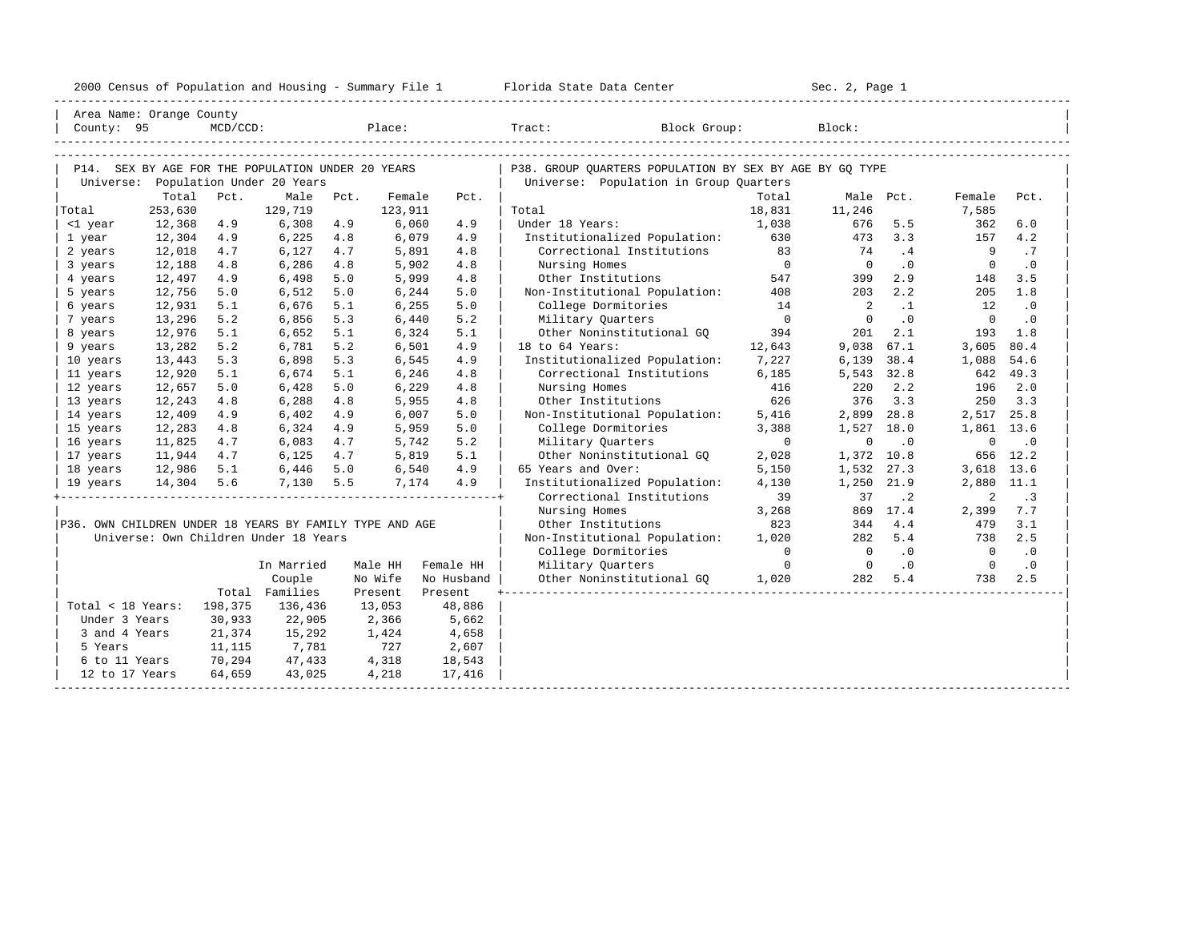|                                                         |         |        |                                       |      |                   |                 | 2000 Census of Population and Housing - Summary File 1 Florida State Data Center                                                                                                                                 |                                       | Sec. 2, Page 1                   |                             |                                  |                             |  |
|---------------------------------------------------------|---------|--------|---------------------------------------|------|-------------------|-----------------|------------------------------------------------------------------------------------------------------------------------------------------------------------------------------------------------------------------|---------------------------------------|----------------------------------|-----------------------------|----------------------------------|-----------------------------|--|
| Area Name: Orange County                                |         |        |                                       |      |                   |                 |                                                                                                                                                                                                                  |                                       |                                  |                             |                                  |                             |  |
|                                                         |         |        |                                       |      |                   |                 | $\begin{tabular}{ l l } \hline County: & 95 & McD/CCD: & \textcolor{red}{Place:} & \textcolor{red}{Trace:} & \textcolor{red}{Block Group:} & \textcolor{blue}{Block:} & \textcolor{green}{Block:} \end{tabular}$ |                                       |                                  |                             |                                  |                             |  |
| P14. SEX BY AGE FOR THE POPULATION UNDER 20 YEARS       |         |        |                                       |      |                   |                 | P38. GROUP OUARTERS POPULATION BY SEX BY AGE BY GO TYPE                                                                                                                                                          |                                       |                                  |                             |                                  |                             |  |
|                                                         |         |        | Universe: Population Under 20 Years   |      |                   |                 | Universe: Population in Group Quarters                                                                                                                                                                           |                                       |                                  |                             |                                  |                             |  |
|                                                         | Total   | Pct.   | Male                                  | Pct. | Female            | Pct.            |                                                                                                                                                                                                                  | Total                                 |                                  | Male Pct.                   | Female                           | Pct.                        |  |
| Total                                                   | 253,630 |        | 129,719                               |      | 123,911           |                 | Total                                                                                                                                                                                                            | 18,831                                | 11,246                           |                             | 7,585                            |                             |  |
| <1 year                                                 | 12,368  | 4.9    | 6,308                                 | 4.9  | 6,060             | 4.9             | Under 18 Years:                                                                                                                                                                                                  | 1,038                                 | 676                              | 5.5                         | 362                              | 6.0                         |  |
| 1 year                                                  | 12,304  | 4.9    | 6,225                                 | 4.8  | 6,079             | 4.9             | Institutionalized Population: 630                                                                                                                                                                                |                                       | 473                              | 3.3                         | 157                              | 4.2                         |  |
| 2 years                                                 | 12,018  | 4.7    | 6,127                                 | 4.7  | 5,891             | 4.8             | Correctional Institutions 83                                                                                                                                                                                     |                                       | 74                               | $\cdot$ 4                   | - 9                              | .7                          |  |
| 3 years                                                 | 12,188  | 4.8    | 6,286                                 | 4.8  | 5,902             | 4.8             | Nursing Homes                                                                                                                                                                                                    | $\overline{0}$                        | $\overline{0}$                   | $\cdot$ 0                   | $\overline{0}$                   | $\cdot$ 0                   |  |
| 4 years                                                 | 12,497  | 4.9    | 6,498                                 | 5.0  | 5,999             | 4.8             | Other Institutions 547<br>Non-Institutional Population: 408                                                                                                                                                      |                                       | 399                              | 2.9                         | 148                              | 3.5                         |  |
| 5 years                                                 | 12,756  | 5.0    | 6,512                                 | 5.0  | 6,244             | 5.0             |                                                                                                                                                                                                                  |                                       | 203                              | 2.2                         | 205                              | 1.8                         |  |
| 6 years                                                 | 12,931  | 5.1    | 6,676                                 | 5.1  | 6,255             | 5.0             | College Dormitories                                                                                                                                                                                              | 14                                    | $\overline{\phantom{0}}^2$       | $\cdot$ 1                   | 12                               | $\cdot$ 0                   |  |
| 7 years                                                 | 13,296  | 5.2    | 6,856                                 | 5.3  | 6,440             | 5.2             | Military Quarters                                                                                                                                                                                                | $\overline{0}$                        | $\overline{0}$                   | $\cdot$ 0                   | $\overline{0}$                   | $\cdot$ 0                   |  |
| 8 years                                                 | 12,976  | 5.1    | 6,652                                 | 5.1  | 6,324             | 5.1             | Other Noninstitutional GQ                                                                                                                                                                                        | 394                                   | 201                              | 2.1                         | 193                              | 1.8                         |  |
| 9 years                                                 | 13,282  | 5.2    | 6,781                                 | 5.2  | 6,501             | 4.9             | 18 to 64 Years:                                                                                                                                                                                                  | 12,643                                | 9,038 67.1                       |                             | 3,605                            | 80.4                        |  |
| 10 years                                                | 13,443  | 5.3    | 6,898                                 | 5.3  | 6,545             | 4.9             | Institutionalized Population:                                                                                                                                                                                    | 7,227                                 | 6,139                            | 38.4                        | 1,088                            | 54.6                        |  |
| 11 years                                                | 12,920  | 5.1    | 6,674                                 | 5.1  | 6,246             | 4.8             | Correctional Institutions                                                                                                                                                                                        | 6,185                                 | 5,543 32.8                       |                             |                                  | 642 49.3                    |  |
| 12 years                                                | 12,657  | 5.0    | 6,428                                 | 5.0  | 6,229             | 4.8             | Nursing Homes                                                                                                                                                                                                    | 416                                   | 220                              | 2.2                         | 196                              | 2.0                         |  |
| 13 years                                                | 12,243  | 4.8    | 6,288                                 | 4.8  | 5,955             | 4.8             | Other Institutions                                                                                                                                                                                               | 626                                   | 376                              | 3.3                         | 250                              | 3.3                         |  |
| 14 years                                                | 12,409  | 4.9    | 6,402                                 | 4.9  | 6,007             | 5.0             | Non-Institutional Population:                                                                                                                                                                                    | 5,416                                 | 2,899                            | 28.8                        | 2,517                            | 25.8                        |  |
| 15 years                                                | 12,283  | 4.8    | 6,324                                 | 4.9  | 5,959             | 5.0             | College Dormitories                                                                                                                                                                                              | 3,388                                 | 1,527 18.0                       |                             | 1,861 13.6                       |                             |  |
| 16 years                                                | 11,825  | 4.7    | 6,083                                 | 4.7  | 5,742             | 5.2             | Military Quarters                                                                                                                                                                                                | $\overline{0}$                        | $\mathbf 0$                      | .0                          | $\mathbf 0$                      | $\cdot$ 0                   |  |
| 17 years                                                | 11,944  | 4.7    | 6,125                                 | 4.7  | 5,819             | 5.1             | Other Noninstitutional GO                                                                                                                                                                                        | 2,028                                 | 1,372 10.8                       |                             |                                  | 656 12.2                    |  |
| 18 years                                                | 12,986  | 5.1    | 6,446                                 | 5.0  | 6,540             | 4.9             | 65 Years and Over:                                                                                                                                                                                               | 5,150                                 | 1,532 27.3                       |                             | 3,618 13.6                       |                             |  |
| 19 years                                                | 14,304  | 5.6    | 7,130                                 | 5.5  | 7,174             | 4.9             | Institutionalized Population:                                                                                                                                                                                    | 4,130                                 | 1,250 21.9                       |                             | 2,880 11.1                       |                             |  |
|                                                         |         |        |                                       |      |                   |                 | Correctional Institutions                                                                                                                                                                                        | 39                                    | 37                               | $\cdot$ 2                   | 2                                | . 3                         |  |
|                                                         |         |        |                                       |      |                   |                 | Nursing Homes                                                                                                                                                                                                    | 3,268                                 |                                  | 869 17.4                    | 2,399                            | 7.7                         |  |
| P36. OWN CHILDREN UNDER 18 YEARS BY FAMILY TYPE AND AGE |         |        |                                       |      |                   |                 | Other Institutions                                                                                                                                                                                               | 823                                   | 344                              | 4.4                         | 479                              | 3.1                         |  |
|                                                         |         |        | Universe: Own Children Under 18 Years |      |                   |                 | Non-Institutional Population: 1,020                                                                                                                                                                              |                                       | 282                              | 5.4                         | 738                              | 2.5                         |  |
|                                                         |         |        |                                       |      |                   |                 | College Dormitories                                                                                                                                                                                              | $\begin{array}{c} 0 \\ 0 \end{array}$ | $\overline{0}$<br>$\overline{0}$ | $\overline{\phantom{0}}$ .0 | $\overline{0}$<br>$\overline{0}$ | $\overline{\phantom{0}}$ .0 |  |
|                                                         |         |        | In Married                            |      | Male HH           | Female HH       | Military Quarters                                                                                                                                                                                                |                                       |                                  | $\overline{\phantom{0}}$ .  |                                  | $\cdot$ 0                   |  |
|                                                         |         |        | Couple                                |      | No Wife           | No Husband      | Other Noninstitutional GQ 1,020 282                                                                                                                                                                              |                                       |                                  | 5.4                         | 738                              | 2.5                         |  |
| Total < 18 Years: 198,375                               |         |        | Total Families                        |      | Present<br>13,053 | Present         |                                                                                                                                                                                                                  |                                       |                                  |                             |                                  |                             |  |
| Under 3 Years                                           |         | 30,933 | 136,436<br>22,905                     |      | 2,366             | 48,886<br>5,662 |                                                                                                                                                                                                                  |                                       |                                  |                             |                                  |                             |  |
| 3 and 4 Years                                           |         | 21,374 | 15,292                                |      | 1,424             | 4,658           |                                                                                                                                                                                                                  |                                       |                                  |                             |                                  |                             |  |
| 5 Years                                                 |         | 11,115 | 7,781                                 |      | 727               | 2,607           |                                                                                                                                                                                                                  |                                       |                                  |                             |                                  |                             |  |
| 6 to 11 Years                                           |         | 70,294 | 47,433                                |      | 4,318             | 18,543          |                                                                                                                                                                                                                  |                                       |                                  |                             |                                  |                             |  |
| 12 to 17 Years                                          |         | 64,659 | 43,025                                |      | 4,218             | 17,416          |                                                                                                                                                                                                                  |                                       |                                  |                             |                                  |                             |  |

-----------------------------------------------------------------------------------------------------------------------------------------------------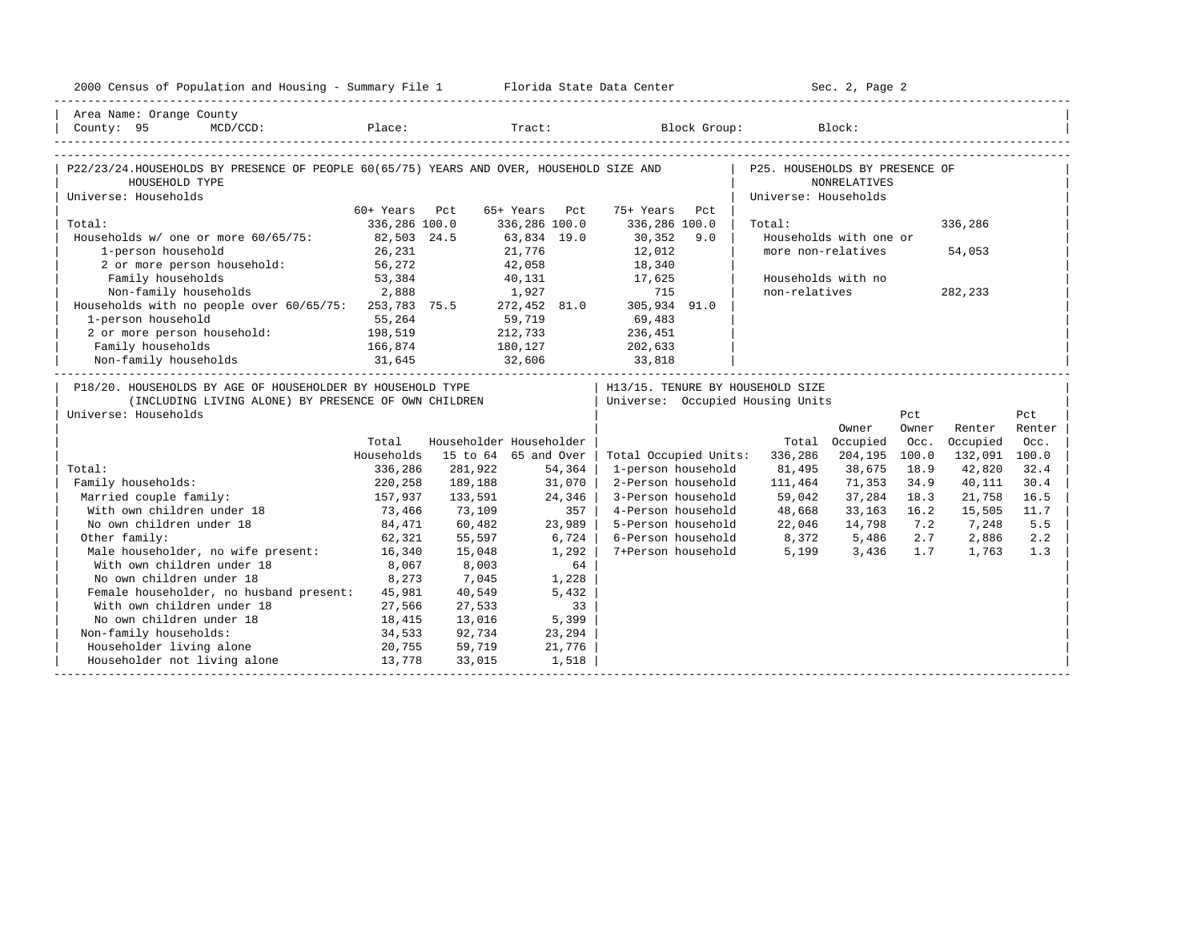| Area Name: Orange County<br>Place: Tract: Block Group: Block:<br>County: 95 MCD/CCD:<br>P22/23/24.HOUSEHOLDS BY PRESENCE OF PEOPLE 60(65/75) YEARS AND OVER, HOUSEHOLD SIZE AND   P25. HOUSEHOLDS BY PRESENCE OF<br>HOUSEHOLD TYPE<br><b>NONRELATIVES</b><br>Universe: Households<br>Universe: Households<br>60+ Years Pct<br>65+ Years Pct<br>75+ Years<br>Pct<br>336,286 100.0<br>336,286 100.0<br>336,286 100.0<br>Total:<br>Total:<br>336,286<br>Households w/ one or more 60/65/75: 82,503 24.5<br>$30,352$ 9.0<br>Households with one or<br>63,834 19.0<br>1-person household<br>more non-relatives<br>21,776<br>42,058<br>12,012<br>26,231<br>54,053<br>18,340<br>1-person household:<br>2 or more person household:<br>56,272<br>53,384<br>53,384<br>40,131 17,625<br>Households with no<br>2,888<br>non-relatives<br>Non-family households 2,888 1,927 715<br>Households with no people over 60/65/75: 253,783 75.5 272,452 81.0 305,934 91.0<br>282,233<br>59,719 69,483<br>1-person household<br>55,264<br>2 or more person household: 198,519<br>212,733 236,451<br>Family households 166,874 180,127<br>Non-family households 31,645 32,606<br>202,633<br>33,818<br>P18/20. HOUSEHOLDS BY AGE OF HOUSEHOLDER BY HOUSEHOLD TYPE<br>  H13/15. TENURE BY HOUSEHOLD SIZE<br>  Universe: Occupied Housing Units<br>(INCLUDING LIVING ALONE) BY PRESENCE OF OWN CHILDREN<br>Universe: Households<br>Pct<br>Pct<br>Owner<br>Owner<br>Renter<br>Renter<br>Householder Householder<br>Total<br>Total Occupied<br>Occ.<br>Occupied<br>Occ.<br>Households<br>15 to 64 65 and Over<br>Total Occupied Units:<br>336,286<br>204,195<br>100.0<br>132,091 100.0<br>281,922<br>54,364<br>1-person household<br>81,495<br>38,675<br>18.9<br>42,820<br>32.4<br>Total:<br>336,286<br>2-Person household<br>71,353<br>34.9<br>Family households:<br>189,188<br>31,070<br>111,464<br>40,111<br>30.4<br>220,258<br>157,937<br>37,284<br>Married couple family:<br>133,591<br>24,346<br>3-Person household<br>59,042<br>18.3<br>21,758<br>16.5<br>73,466<br>48,668<br>With own children under 18<br>357<br>4-Person household<br>33, 163 16.2<br>73,109<br>15,505<br>11.7<br>No own children under 18<br>5-Person household<br>84,471<br>60,482<br>23,989<br>22,046<br>14,798<br>7.2<br>7,248<br>5.5<br>6-Person household $8,372$ 5,486<br>7+Person household 5,199 3,436<br>Other family:<br>62,321<br>6,724<br>2.7 2,886<br>2.2<br>55,597<br>Male householder, no wife present: 16,340<br>1,292<br>1.7<br>1.3<br>15,048<br>1,763<br>With own children under 18<br>8,067<br>8,003<br>64<br>No own children under 18<br>8,273<br>7,045<br>1,228<br>Female householder, no husband present: 45,981<br>40,549<br>5,432<br>With own children under 18<br>27,566<br>$\overline{33}$<br>27,533<br>No own children under 18<br>18,415<br>13,016<br>5,399<br>Non-family households:<br>34,533<br>92,734<br>23,294<br>20,755<br>Householder living alone<br>21,776<br>59,719<br>Householder not living alone 13,778<br>33,015<br>1,518 | 2000 Census of Population and Housing - Summary File 1 Florida State Data Center |  |  | Sec. 2, Page 2 |  |  |
|----------------------------------------------------------------------------------------------------------------------------------------------------------------------------------------------------------------------------------------------------------------------------------------------------------------------------------------------------------------------------------------------------------------------------------------------------------------------------------------------------------------------------------------------------------------------------------------------------------------------------------------------------------------------------------------------------------------------------------------------------------------------------------------------------------------------------------------------------------------------------------------------------------------------------------------------------------------------------------------------------------------------------------------------------------------------------------------------------------------------------------------------------------------------------------------------------------------------------------------------------------------------------------------------------------------------------------------------------------------------------------------------------------------------------------------------------------------------------------------------------------------------------------------------------------------------------------------------------------------------------------------------------------------------------------------------------------------------------------------------------------------------------------------------------------------------------------------------------------------------------------------------------------------------------------------------------------------------------------------------------------------------------------------------------------------------------------------------------------------------------------------------------------------------------------------------------------------------------------------------------------------------------------------------------------------------------------------------------------------------------------------------------------------------------------------------------------------------------------------------------------------------------------------------------------------------------------------------------------------------------------------------------------------------------------------------------------------------------------------------------------------------------------------------------------------------------------------------------------------------------------------------------------------------------------------------------------------------------------------------------------------------|----------------------------------------------------------------------------------|--|--|----------------|--|--|
|                                                                                                                                                                                                                                                                                                                                                                                                                                                                                                                                                                                                                                                                                                                                                                                                                                                                                                                                                                                                                                                                                                                                                                                                                                                                                                                                                                                                                                                                                                                                                                                                                                                                                                                                                                                                                                                                                                                                                                                                                                                                                                                                                                                                                                                                                                                                                                                                                                                                                                                                                                                                                                                                                                                                                                                                                                                                                                                                                                                                                      |                                                                                  |  |  |                |  |  |
|                                                                                                                                                                                                                                                                                                                                                                                                                                                                                                                                                                                                                                                                                                                                                                                                                                                                                                                                                                                                                                                                                                                                                                                                                                                                                                                                                                                                                                                                                                                                                                                                                                                                                                                                                                                                                                                                                                                                                                                                                                                                                                                                                                                                                                                                                                                                                                                                                                                                                                                                                                                                                                                                                                                                                                                                                                                                                                                                                                                                                      |                                                                                  |  |  |                |  |  |
|                                                                                                                                                                                                                                                                                                                                                                                                                                                                                                                                                                                                                                                                                                                                                                                                                                                                                                                                                                                                                                                                                                                                                                                                                                                                                                                                                                                                                                                                                                                                                                                                                                                                                                                                                                                                                                                                                                                                                                                                                                                                                                                                                                                                                                                                                                                                                                                                                                                                                                                                                                                                                                                                                                                                                                                                                                                                                                                                                                                                                      |                                                                                  |  |  |                |  |  |
|                                                                                                                                                                                                                                                                                                                                                                                                                                                                                                                                                                                                                                                                                                                                                                                                                                                                                                                                                                                                                                                                                                                                                                                                                                                                                                                                                                                                                                                                                                                                                                                                                                                                                                                                                                                                                                                                                                                                                                                                                                                                                                                                                                                                                                                                                                                                                                                                                                                                                                                                                                                                                                                                                                                                                                                                                                                                                                                                                                                                                      |                                                                                  |  |  |                |  |  |
|                                                                                                                                                                                                                                                                                                                                                                                                                                                                                                                                                                                                                                                                                                                                                                                                                                                                                                                                                                                                                                                                                                                                                                                                                                                                                                                                                                                                                                                                                                                                                                                                                                                                                                                                                                                                                                                                                                                                                                                                                                                                                                                                                                                                                                                                                                                                                                                                                                                                                                                                                                                                                                                                                                                                                                                                                                                                                                                                                                                                                      |                                                                                  |  |  |                |  |  |
|                                                                                                                                                                                                                                                                                                                                                                                                                                                                                                                                                                                                                                                                                                                                                                                                                                                                                                                                                                                                                                                                                                                                                                                                                                                                                                                                                                                                                                                                                                                                                                                                                                                                                                                                                                                                                                                                                                                                                                                                                                                                                                                                                                                                                                                                                                                                                                                                                                                                                                                                                                                                                                                                                                                                                                                                                                                                                                                                                                                                                      |                                                                                  |  |  |                |  |  |
|                                                                                                                                                                                                                                                                                                                                                                                                                                                                                                                                                                                                                                                                                                                                                                                                                                                                                                                                                                                                                                                                                                                                                                                                                                                                                                                                                                                                                                                                                                                                                                                                                                                                                                                                                                                                                                                                                                                                                                                                                                                                                                                                                                                                                                                                                                                                                                                                                                                                                                                                                                                                                                                                                                                                                                                                                                                                                                                                                                                                                      |                                                                                  |  |  |                |  |  |
|                                                                                                                                                                                                                                                                                                                                                                                                                                                                                                                                                                                                                                                                                                                                                                                                                                                                                                                                                                                                                                                                                                                                                                                                                                                                                                                                                                                                                                                                                                                                                                                                                                                                                                                                                                                                                                                                                                                                                                                                                                                                                                                                                                                                                                                                                                                                                                                                                                                                                                                                                                                                                                                                                                                                                                                                                                                                                                                                                                                                                      |                                                                                  |  |  |                |  |  |
|                                                                                                                                                                                                                                                                                                                                                                                                                                                                                                                                                                                                                                                                                                                                                                                                                                                                                                                                                                                                                                                                                                                                                                                                                                                                                                                                                                                                                                                                                                                                                                                                                                                                                                                                                                                                                                                                                                                                                                                                                                                                                                                                                                                                                                                                                                                                                                                                                                                                                                                                                                                                                                                                                                                                                                                                                                                                                                                                                                                                                      |                                                                                  |  |  |                |  |  |
|                                                                                                                                                                                                                                                                                                                                                                                                                                                                                                                                                                                                                                                                                                                                                                                                                                                                                                                                                                                                                                                                                                                                                                                                                                                                                                                                                                                                                                                                                                                                                                                                                                                                                                                                                                                                                                                                                                                                                                                                                                                                                                                                                                                                                                                                                                                                                                                                                                                                                                                                                                                                                                                                                                                                                                                                                                                                                                                                                                                                                      |                                                                                  |  |  |                |  |  |
|                                                                                                                                                                                                                                                                                                                                                                                                                                                                                                                                                                                                                                                                                                                                                                                                                                                                                                                                                                                                                                                                                                                                                                                                                                                                                                                                                                                                                                                                                                                                                                                                                                                                                                                                                                                                                                                                                                                                                                                                                                                                                                                                                                                                                                                                                                                                                                                                                                                                                                                                                                                                                                                                                                                                                                                                                                                                                                                                                                                                                      |                                                                                  |  |  |                |  |  |
|                                                                                                                                                                                                                                                                                                                                                                                                                                                                                                                                                                                                                                                                                                                                                                                                                                                                                                                                                                                                                                                                                                                                                                                                                                                                                                                                                                                                                                                                                                                                                                                                                                                                                                                                                                                                                                                                                                                                                                                                                                                                                                                                                                                                                                                                                                                                                                                                                                                                                                                                                                                                                                                                                                                                                                                                                                                                                                                                                                                                                      |                                                                                  |  |  |                |  |  |
|                                                                                                                                                                                                                                                                                                                                                                                                                                                                                                                                                                                                                                                                                                                                                                                                                                                                                                                                                                                                                                                                                                                                                                                                                                                                                                                                                                                                                                                                                                                                                                                                                                                                                                                                                                                                                                                                                                                                                                                                                                                                                                                                                                                                                                                                                                                                                                                                                                                                                                                                                                                                                                                                                                                                                                                                                                                                                                                                                                                                                      |                                                                                  |  |  |                |  |  |
|                                                                                                                                                                                                                                                                                                                                                                                                                                                                                                                                                                                                                                                                                                                                                                                                                                                                                                                                                                                                                                                                                                                                                                                                                                                                                                                                                                                                                                                                                                                                                                                                                                                                                                                                                                                                                                                                                                                                                                                                                                                                                                                                                                                                                                                                                                                                                                                                                                                                                                                                                                                                                                                                                                                                                                                                                                                                                                                                                                                                                      |                                                                                  |  |  |                |  |  |
|                                                                                                                                                                                                                                                                                                                                                                                                                                                                                                                                                                                                                                                                                                                                                                                                                                                                                                                                                                                                                                                                                                                                                                                                                                                                                                                                                                                                                                                                                                                                                                                                                                                                                                                                                                                                                                                                                                                                                                                                                                                                                                                                                                                                                                                                                                                                                                                                                                                                                                                                                                                                                                                                                                                                                                                                                                                                                                                                                                                                                      |                                                                                  |  |  |                |  |  |
|                                                                                                                                                                                                                                                                                                                                                                                                                                                                                                                                                                                                                                                                                                                                                                                                                                                                                                                                                                                                                                                                                                                                                                                                                                                                                                                                                                                                                                                                                                                                                                                                                                                                                                                                                                                                                                                                                                                                                                                                                                                                                                                                                                                                                                                                                                                                                                                                                                                                                                                                                                                                                                                                                                                                                                                                                                                                                                                                                                                                                      |                                                                                  |  |  |                |  |  |
|                                                                                                                                                                                                                                                                                                                                                                                                                                                                                                                                                                                                                                                                                                                                                                                                                                                                                                                                                                                                                                                                                                                                                                                                                                                                                                                                                                                                                                                                                                                                                                                                                                                                                                                                                                                                                                                                                                                                                                                                                                                                                                                                                                                                                                                                                                                                                                                                                                                                                                                                                                                                                                                                                                                                                                                                                                                                                                                                                                                                                      |                                                                                  |  |  |                |  |  |
|                                                                                                                                                                                                                                                                                                                                                                                                                                                                                                                                                                                                                                                                                                                                                                                                                                                                                                                                                                                                                                                                                                                                                                                                                                                                                                                                                                                                                                                                                                                                                                                                                                                                                                                                                                                                                                                                                                                                                                                                                                                                                                                                                                                                                                                                                                                                                                                                                                                                                                                                                                                                                                                                                                                                                                                                                                                                                                                                                                                                                      |                                                                                  |  |  |                |  |  |
|                                                                                                                                                                                                                                                                                                                                                                                                                                                                                                                                                                                                                                                                                                                                                                                                                                                                                                                                                                                                                                                                                                                                                                                                                                                                                                                                                                                                                                                                                                                                                                                                                                                                                                                                                                                                                                                                                                                                                                                                                                                                                                                                                                                                                                                                                                                                                                                                                                                                                                                                                                                                                                                                                                                                                                                                                                                                                                                                                                                                                      |                                                                                  |  |  |                |  |  |
|                                                                                                                                                                                                                                                                                                                                                                                                                                                                                                                                                                                                                                                                                                                                                                                                                                                                                                                                                                                                                                                                                                                                                                                                                                                                                                                                                                                                                                                                                                                                                                                                                                                                                                                                                                                                                                                                                                                                                                                                                                                                                                                                                                                                                                                                                                                                                                                                                                                                                                                                                                                                                                                                                                                                                                                                                                                                                                                                                                                                                      |                                                                                  |  |  |                |  |  |
|                                                                                                                                                                                                                                                                                                                                                                                                                                                                                                                                                                                                                                                                                                                                                                                                                                                                                                                                                                                                                                                                                                                                                                                                                                                                                                                                                                                                                                                                                                                                                                                                                                                                                                                                                                                                                                                                                                                                                                                                                                                                                                                                                                                                                                                                                                                                                                                                                                                                                                                                                                                                                                                                                                                                                                                                                                                                                                                                                                                                                      |                                                                                  |  |  |                |  |  |
|                                                                                                                                                                                                                                                                                                                                                                                                                                                                                                                                                                                                                                                                                                                                                                                                                                                                                                                                                                                                                                                                                                                                                                                                                                                                                                                                                                                                                                                                                                                                                                                                                                                                                                                                                                                                                                                                                                                                                                                                                                                                                                                                                                                                                                                                                                                                                                                                                                                                                                                                                                                                                                                                                                                                                                                                                                                                                                                                                                                                                      |                                                                                  |  |  |                |  |  |
|                                                                                                                                                                                                                                                                                                                                                                                                                                                                                                                                                                                                                                                                                                                                                                                                                                                                                                                                                                                                                                                                                                                                                                                                                                                                                                                                                                                                                                                                                                                                                                                                                                                                                                                                                                                                                                                                                                                                                                                                                                                                                                                                                                                                                                                                                                                                                                                                                                                                                                                                                                                                                                                                                                                                                                                                                                                                                                                                                                                                                      |                                                                                  |  |  |                |  |  |
|                                                                                                                                                                                                                                                                                                                                                                                                                                                                                                                                                                                                                                                                                                                                                                                                                                                                                                                                                                                                                                                                                                                                                                                                                                                                                                                                                                                                                                                                                                                                                                                                                                                                                                                                                                                                                                                                                                                                                                                                                                                                                                                                                                                                                                                                                                                                                                                                                                                                                                                                                                                                                                                                                                                                                                                                                                                                                                                                                                                                                      |                                                                                  |  |  |                |  |  |
|                                                                                                                                                                                                                                                                                                                                                                                                                                                                                                                                                                                                                                                                                                                                                                                                                                                                                                                                                                                                                                                                                                                                                                                                                                                                                                                                                                                                                                                                                                                                                                                                                                                                                                                                                                                                                                                                                                                                                                                                                                                                                                                                                                                                                                                                                                                                                                                                                                                                                                                                                                                                                                                                                                                                                                                                                                                                                                                                                                                                                      |                                                                                  |  |  |                |  |  |
|                                                                                                                                                                                                                                                                                                                                                                                                                                                                                                                                                                                                                                                                                                                                                                                                                                                                                                                                                                                                                                                                                                                                                                                                                                                                                                                                                                                                                                                                                                                                                                                                                                                                                                                                                                                                                                                                                                                                                                                                                                                                                                                                                                                                                                                                                                                                                                                                                                                                                                                                                                                                                                                                                                                                                                                                                                                                                                                                                                                                                      |                                                                                  |  |  |                |  |  |
|                                                                                                                                                                                                                                                                                                                                                                                                                                                                                                                                                                                                                                                                                                                                                                                                                                                                                                                                                                                                                                                                                                                                                                                                                                                                                                                                                                                                                                                                                                                                                                                                                                                                                                                                                                                                                                                                                                                                                                                                                                                                                                                                                                                                                                                                                                                                                                                                                                                                                                                                                                                                                                                                                                                                                                                                                                                                                                                                                                                                                      |                                                                                  |  |  |                |  |  |
|                                                                                                                                                                                                                                                                                                                                                                                                                                                                                                                                                                                                                                                                                                                                                                                                                                                                                                                                                                                                                                                                                                                                                                                                                                                                                                                                                                                                                                                                                                                                                                                                                                                                                                                                                                                                                                                                                                                                                                                                                                                                                                                                                                                                                                                                                                                                                                                                                                                                                                                                                                                                                                                                                                                                                                                                                                                                                                                                                                                                                      |                                                                                  |  |  |                |  |  |
|                                                                                                                                                                                                                                                                                                                                                                                                                                                                                                                                                                                                                                                                                                                                                                                                                                                                                                                                                                                                                                                                                                                                                                                                                                                                                                                                                                                                                                                                                                                                                                                                                                                                                                                                                                                                                                                                                                                                                                                                                                                                                                                                                                                                                                                                                                                                                                                                                                                                                                                                                                                                                                                                                                                                                                                                                                                                                                                                                                                                                      |                                                                                  |  |  |                |  |  |
|                                                                                                                                                                                                                                                                                                                                                                                                                                                                                                                                                                                                                                                                                                                                                                                                                                                                                                                                                                                                                                                                                                                                                                                                                                                                                                                                                                                                                                                                                                                                                                                                                                                                                                                                                                                                                                                                                                                                                                                                                                                                                                                                                                                                                                                                                                                                                                                                                                                                                                                                                                                                                                                                                                                                                                                                                                                                                                                                                                                                                      |                                                                                  |  |  |                |  |  |
|                                                                                                                                                                                                                                                                                                                                                                                                                                                                                                                                                                                                                                                                                                                                                                                                                                                                                                                                                                                                                                                                                                                                                                                                                                                                                                                                                                                                                                                                                                                                                                                                                                                                                                                                                                                                                                                                                                                                                                                                                                                                                                                                                                                                                                                                                                                                                                                                                                                                                                                                                                                                                                                                                                                                                                                                                                                                                                                                                                                                                      |                                                                                  |  |  |                |  |  |
|                                                                                                                                                                                                                                                                                                                                                                                                                                                                                                                                                                                                                                                                                                                                                                                                                                                                                                                                                                                                                                                                                                                                                                                                                                                                                                                                                                                                                                                                                                                                                                                                                                                                                                                                                                                                                                                                                                                                                                                                                                                                                                                                                                                                                                                                                                                                                                                                                                                                                                                                                                                                                                                                                                                                                                                                                                                                                                                                                                                                                      |                                                                                  |  |  |                |  |  |
|                                                                                                                                                                                                                                                                                                                                                                                                                                                                                                                                                                                                                                                                                                                                                                                                                                                                                                                                                                                                                                                                                                                                                                                                                                                                                                                                                                                                                                                                                                                                                                                                                                                                                                                                                                                                                                                                                                                                                                                                                                                                                                                                                                                                                                                                                                                                                                                                                                                                                                                                                                                                                                                                                                                                                                                                                                                                                                                                                                                                                      |                                                                                  |  |  |                |  |  |
|                                                                                                                                                                                                                                                                                                                                                                                                                                                                                                                                                                                                                                                                                                                                                                                                                                                                                                                                                                                                                                                                                                                                                                                                                                                                                                                                                                                                                                                                                                                                                                                                                                                                                                                                                                                                                                                                                                                                                                                                                                                                                                                                                                                                                                                                                                                                                                                                                                                                                                                                                                                                                                                                                                                                                                                                                                                                                                                                                                                                                      |                                                                                  |  |  |                |  |  |
|                                                                                                                                                                                                                                                                                                                                                                                                                                                                                                                                                                                                                                                                                                                                                                                                                                                                                                                                                                                                                                                                                                                                                                                                                                                                                                                                                                                                                                                                                                                                                                                                                                                                                                                                                                                                                                                                                                                                                                                                                                                                                                                                                                                                                                                                                                                                                                                                                                                                                                                                                                                                                                                                                                                                                                                                                                                                                                                                                                                                                      |                                                                                  |  |  |                |  |  |
|                                                                                                                                                                                                                                                                                                                                                                                                                                                                                                                                                                                                                                                                                                                                                                                                                                                                                                                                                                                                                                                                                                                                                                                                                                                                                                                                                                                                                                                                                                                                                                                                                                                                                                                                                                                                                                                                                                                                                                                                                                                                                                                                                                                                                                                                                                                                                                                                                                                                                                                                                                                                                                                                                                                                                                                                                                                                                                                                                                                                                      |                                                                                  |  |  |                |  |  |
|                                                                                                                                                                                                                                                                                                                                                                                                                                                                                                                                                                                                                                                                                                                                                                                                                                                                                                                                                                                                                                                                                                                                                                                                                                                                                                                                                                                                                                                                                                                                                                                                                                                                                                                                                                                                                                                                                                                                                                                                                                                                                                                                                                                                                                                                                                                                                                                                                                                                                                                                                                                                                                                                                                                                                                                                                                                                                                                                                                                                                      |                                                                                  |  |  |                |  |  |
|                                                                                                                                                                                                                                                                                                                                                                                                                                                                                                                                                                                                                                                                                                                                                                                                                                                                                                                                                                                                                                                                                                                                                                                                                                                                                                                                                                                                                                                                                                                                                                                                                                                                                                                                                                                                                                                                                                                                                                                                                                                                                                                                                                                                                                                                                                                                                                                                                                                                                                                                                                                                                                                                                                                                                                                                                                                                                                                                                                                                                      |                                                                                  |  |  |                |  |  |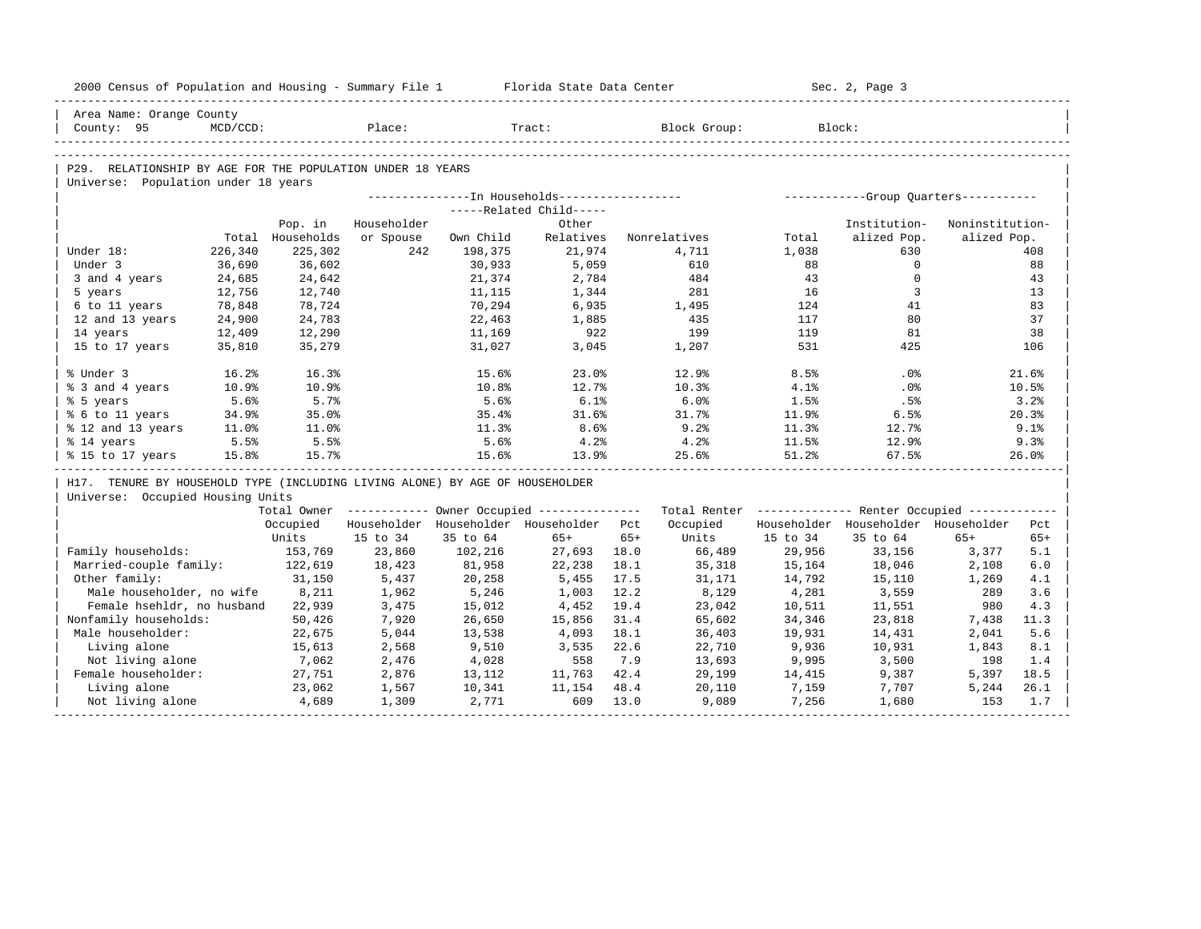| 2000 Census of Population and Housing - Summary File 1 Florida State Data Center |          |                  |             |           |                                                  |       |                                                                                                               |                | Sec. 2, Page 3                               |                 |       |
|----------------------------------------------------------------------------------|----------|------------------|-------------|-----------|--------------------------------------------------|-------|---------------------------------------------------------------------------------------------------------------|----------------|----------------------------------------------|-----------------|-------|
| Area Name: Orange County                                                         |          |                  |             |           |                                                  |       |                                                                                                               |                |                                              |                 |       |
| County: 95                                                                       | MCD/CCD: |                  | Place:      |           | Tract:                                           |       | Block Group:                                                                                                  |                | Block:                                       |                 |       |
|                                                                                  |          |                  |             |           |                                                  |       |                                                                                                               |                |                                              |                 |       |
| P29. RELATIONSHIP BY AGE FOR THE POPULATION UNDER 18 YEARS                       |          |                  |             |           |                                                  |       |                                                                                                               |                |                                              |                 |       |
| Universe: Population under 18 years                                              |          |                  |             |           |                                                  |       |                                                                                                               |                |                                              |                 |       |
|                                                                                  |          |                  |             |           |                                                  |       |                                                                                                               |                |                                              |                 |       |
|                                                                                  |          |                  |             |           | -----Related Child-----                          |       |                                                                                                               |                |                                              |                 |       |
|                                                                                  |          | Pop. in          | Householder |           | Other                                            |       |                                                                                                               |                | Institution-                                 | Noninstitution- |       |
|                                                                                  |          | Total Households | or Spouse   | Own Child | Relatives                                        |       | Nonrelatives                                                                                                  | Total          | alized Pop.                                  | alized Pop.     |       |
| Under 18:                                                                        | 226,340  | 225,302          | 242         | 198,375   | 21,974                                           |       | 4,711                                                                                                         | 1,038          | 630                                          |                 | 408   |
| Under 3                                                                          | 36,690   | 36,602           |             | 30,933    | 5,059                                            |       | 610                                                                                                           | 88             | $\circ$                                      |                 | 88    |
| 3 and 4 years                                                                    | 24,685   | 24,642           |             | 21,374    | 2,784                                            |       | 484                                                                                                           | 43             | $\mathbf 0$                                  |                 | 43    |
| 5 years                                                                          | 12,756   | 12,740           |             | 11,115    | 1,344                                            |       | 281                                                                                                           | 16             | $\overline{3}$                               |                 | 13    |
| 6 to 11 years                                                                    | 78,848   | 78,724           |             | 70,294    | 6,935                                            |       | 1,495                                                                                                         | 124            | 41                                           |                 | 83    |
| 12 and 13 years                                                                  | 24,900   | 24,783           |             | 22,463    | 1,885                                            |       | 435                                                                                                           | 117            | 80                                           |                 | 37    |
| 14 years                                                                         | 12,409   | 12,290           |             | 11,169    | 922                                              |       | 199                                                                                                           | 119            | 81                                           |                 | 38    |
| 15 to 17 years                                                                   | 35,810   | 35,279           |             | 31,027    | 3,045                                            |       | 1,207                                                                                                         | 531            | 425                                          |                 | 106   |
| % Under 3                                                                        | 16.2%    | 16.3%            |             | 15.6%     | 23.0%                                            |       | 12.9%                                                                                                         | 8.5%           | $.0\%$                                       |                 | 21.6% |
| % 3 and 4 years                                                                  | 10.9%    | 10.9%            |             | 10.8%     | 12.7%                                            |       | 10.3%                                                                                                         | 4.1%           | $.0\%$                                       |                 | 10.5% |
| % 5 years                                                                        | 5.6%     | 5.7%             |             | 5.6%      | 6.1%                                             |       | 6.0%                                                                                                          | 1.5%           | .5%                                          |                 | 3.2%  |
| % 6 to 11 years                                                                  | 34.9%    | 35.0%            |             | 35.4%     | 31.6%                                            |       | 31.7%                                                                                                         | 11.9%          | 6.5%                                         |                 | 20.3% |
| % 12 and 13 years                                                                | 11.0%    | 11.0%            |             | 11.3%     | 8.6%                                             |       | 9.2%                                                                                                          | 11.3%          | 12.7%                                        |                 | 9.1%  |
| % 14 years                                                                       | 5.5%     | 5.5%             |             | 5.6%      | 4.2%                                             |       | 4.2%                                                                                                          | 11.5%          | 12.9%                                        |                 | 9.3%  |
| % 15 to 17 years                                                                 | 15.8%    | 15.7%            |             | 15.6%     | 13.9%                                            |       | 25.6%                                                                                                         | 51.2%          | 67.5%                                        |                 | 26.0% |
| H17. TENURE BY HOUSEHOLD TYPE (INCLUDING LIVING ALONE) BY AGE OF HOUSEHOLDER     |          |                  |             |           |                                                  |       |                                                                                                               |                |                                              |                 |       |
| Universe: Occupied Housing Units                                                 |          |                  |             |           |                                                  |       |                                                                                                               |                |                                              |                 |       |
|                                                                                  |          |                  |             |           |                                                  |       | Total Owner ----------- Owner Occupied -------------- Total Renter ------------- Renter Occupied ------------ |                |                                              |                 |       |
|                                                                                  |          |                  |             |           | Occupied Householder Householder Householder Pct |       |                                                                                                               |                | Occupied Householder Householder Householder |                 | Pct   |
|                                                                                  |          | Units            | 15 to 34    | 35 to 64  | 65+                                              | $65+$ |                                                                                                               | Units 15 to 34 | 35 to 64                                     | $65+$           | $65+$ |
| Family households:                                                               |          | 153,769          | 23,860      | 102,216   | 27,693 18.0                                      |       | 66,489                                                                                                        | 29,956         | 33,156                                       | 3,377           | 5.1   |
| Married-couple family: 122,619                                                   |          |                  | 18,423      | 81,958    | 22,238                                           | 18.1  | 35,318                                                                                                        | 15,164         | 18,046                                       | 2,108           | 6.0   |
| Other family:                                                                    |          | 31,150           | 5,437       | 20,258    | 5,455 17.5                                       |       | 31,171                                                                                                        | 14,792         | 15,110                                       | 1,269           | 4.1   |
| Male householder, no wife 8,211                                                  |          |                  | 1,962       | 5,246     | 1,003                                            | 12.2  | 8,129                                                                                                         | 4,281          | 3,559                                        | 289             | 3.6   |
| Female hsehldr, no husband 22,939                                                |          |                  | 3,475       | 15,012    | 4,452                                            | 19.4  | 23,042                                                                                                        | 10,511         | 11,551                                       | 980             | 4.3   |
| Nonfamily households:                                                            |          | 50,426           | 7,920       | 26,650    | 15,856                                           | 31.4  | 65,602                                                                                                        | 34,346         | 23,818                                       | 7,438           | 11.3  |
| Male householder:                                                                |          | 22,675           | 5,044       | 13,538    | 4,093                                            | 18.1  | 36,403                                                                                                        | 19,931         | 14,431                                       | 2,041           | 5.6   |
| Living alone                                                                     |          | 15,613           | 2,568       | 9,510     | 3,535                                            | 22.6  | 22,710                                                                                                        | 9,936          | 10,931                                       | 1,843           | 8.1   |
| Not living alone                                                                 |          | 7,062            | 2,476       | 4,028     | 558                                              | 7.9   | 13,693                                                                                                        | 9,995          | 3,500                                        | 198             | 1.4   |
| Female householder:                                                              |          | 27,751           | 2,876       | 13,112    | $11,763$ $42.4$                                  |       | 29,199                                                                                                        | 14,415         | 9,387                                        | 5,397           | 18.5  |
| Living alone                                                                     |          | 23,062           | 1,567       | 10,341    | 11,154 48.4                                      |       | 20,110                                                                                                        | 7,159          | 7,707                                        | 5,244           | 26.1  |
| Not living alone                                                                 |          | 4,689            | 1,309       | 2,771     | 609                                              | 13.0  | 9,089                                                                                                         | 7,256          | 1,680                                        | 153             | 1.7   |
|                                                                                  |          |                  |             |           |                                                  |       |                                                                                                               |                |                                              |                 |       |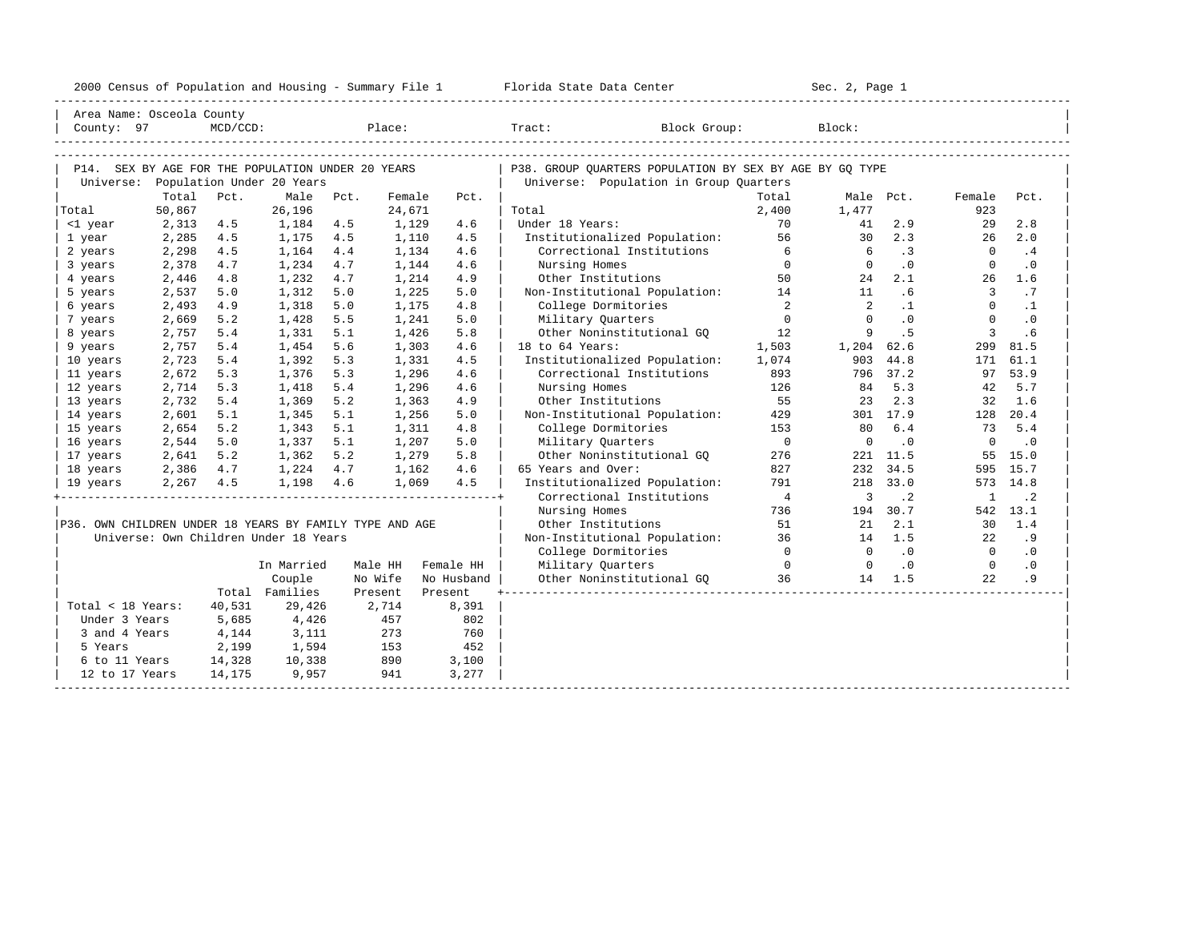| 2000<br>ensus! | and<br>Population | ---<br>Summa:<br>$-$<br>Housing | lorida<br>Data<br>otatt<br>cence. | ، م ج<br>Page<br>$3-1$ |  |
|----------------|-------------------|---------------------------------|-----------------------------------|------------------------|--|
|                |                   |                                 |                                   |                        |  |

| Area Name: Osceola County                               |                 |             |                                       |      |                  |            |                                                         |                          |                          |           |                |           |
|---------------------------------------------------------|-----------------|-------------|---------------------------------------|------|------------------|------------|---------------------------------------------------------|--------------------------|--------------------------|-----------|----------------|-----------|
| County: 97                                              |                 | $MCD/CCD$ : |                                       |      |                  | Place:     | Block Group:<br>Tract: Tract:                           |                          | Block:                   |           |                |           |
|                                                         |                 |             |                                       |      |                  |            |                                                         |                          |                          |           |                |           |
|                                                         |                 |             |                                       |      |                  |            |                                                         |                          |                          |           |                |           |
| P14. SEX BY AGE FOR THE POPULATION UNDER 20 YEARS       |                 |             |                                       |      |                  |            | P38. GROUP QUARTERS POPULATION BY SEX BY AGE BY GQ TYPE |                          |                          |           |                |           |
| Universe:                                               |                 |             | Population Under 20 Years             |      |                  |            | Universe: Population in Group Quarters                  |                          |                          |           |                |           |
|                                                         | Total<br>50,867 | Pct.        | Male<br>26,196                        | Pct. | Female<br>24,671 | Pct.       | Total                                                   | Total<br>2,400           | Male Pct.<br>1,477       |           | Female<br>923  | Pct.      |
| Total                                                   | 2,313           | 4.5         | 1,184                                 | 4.5  | 1,129            | 4.6        | Under 18 Years:                                         | 70                       | 41                       | 2.9       | 29             | 2.8       |
| <1 year<br>1 year                                       | 2,285           | 4.5         | 1,175                                 | 4.5  | 1,110            | 4.5        | Institutionalized Population:                           | 56                       | 30                       | 2.3       | 26             | 2.0       |
| 2 years                                                 | 2,298           | 4.5         | 1,164                                 | 4.4  | 1,134            | 4.6        | Correctional Institutions                               | 6                        | -6                       | .3        | $\Omega$       | .4        |
| 3 years                                                 | 2,378           | 4.7         | 1,234                                 | 4.7  | 1,144            | 4.6        | Nursing Homes                                           | $\overline{0}$           | $\overline{0}$           | $\cdot$ 0 | $\overline{0}$ | $\cdot$ 0 |
| 4 years                                                 | 2,446           | 4.8         | 1,232                                 | 4.7  | 1,214            | 4.9        | Other Institutions                                      | 50                       | 24                       | 2.1       | 26             | 1.6       |
| 5 years                                                 | 2,537           | 5.0         | 1,312                                 | 5.0  | 1,225            | 5.0        | Non-Institutional Population: 14                        |                          | 11                       | .6        | $\overline{3}$ | .7        |
| 6 years                                                 | 2,493           | 4.9         | 1,318                                 | 5.0  | 1,175            | 4.8        | College Dormitories                                     | $\overline{2}$           | 2                        | $\cdot$ 1 | $\Omega$       | $\cdot$ 1 |
| 7 years                                                 | 2,669           | 5.2         | 1,428                                 | 5.5  | 1,241            | 5.0        | Military Ouarters                                       | $\overline{0}$           | $\Omega$                 | $\cdot$ 0 | $\mathbf{0}$   | $\cdot$ 0 |
| 8 years                                                 | 2,757           | 5.4         | 1,331                                 | 5.1  | 1,426            | 5.8        | Other Noninstitutional GO                               | 12                       | 9                        | . 5       | $\overline{3}$ | .6        |
| 9 years                                                 | 2,757           | 5.4         | 1,454                                 | 5.6  | 1,303            | 4.6        | 18 to 64 Years:                                         | 1,503                    | 1,204                    | 62.6      | 299            | 81.5      |
| 10 years                                                | 2,723           | 5.4         | 1,392                                 | 5.3  | 1,331            | 4.5        | Institutionalized Population:                           | 1,074                    | 903                      | 44.8      | 171            | 61.1      |
| 11 years                                                | 2,672           | 5.3         | 1,376                                 | 5.3  | 1,296            | 4.6        | Correctional Institutions                               | 893                      | 796                      | 37.2      | 97             | 53.9      |
| 12 years                                                | 2,714           | 5.3         | 1,418                                 | 5.4  | 1,296            | 4.6        | Nursing Homes                                           | 126                      | 84                       | 5.3       | 42             | 5.7       |
| 13 years                                                | 2,732           | 5.4         | 1,369                                 | 5.2  | 1,363            | 4.9        | Other Institutions                                      | 55                       | 23                       | 2.3       | 32             | 1.6       |
| 14 years                                                | 2,601           | 5.1         | 1,345                                 | 5.1  | 1,256            | 5.0        | Non-Institutional Population:                           | 429                      |                          | 301 17.9  | 128            | 20.4      |
| 15 years                                                | 2,654           | 5.2         | 1,343                                 | 5.1  | 1,311            | 4.8        | College Dormitories                                     | 153                      | 80                       | 6.4       | 73             | 5.4       |
| 16 years                                                | 2,544           | 5.0         | 1,337                                 | 5.1  | 1,207            | 5.0        | Military Ouarters                                       | $\overline{\phantom{0}}$ | $\circ$                  | $\cdot$ 0 | $\mathbf{0}$   | $\cdot$ 0 |
| 17 years                                                | 2,641           | 5.2         | 1,362                                 | 5.2  | 1,279            | 5.8        | Other Noninstitutional GQ                               | 276                      | 221                      | 11.5      | 55             | 15.0      |
| 18 years                                                | 2,386           | 4.7         | 1,224                                 | 4.7  | 1,162            | 4.6        | 65 Years and Over:                                      | 827                      | 232                      | 34.5      | 595            | 15.7      |
| 19 years                                                | 2,267           | 4.5         | 1,198                                 | 4.6  | 1,069            | 4.5        | Institutionalized Population:                           | 791                      | 218                      | 33.0      | 573            | 14.8      |
|                                                         |                 |             |                                       |      |                  |            | Correctional Institutions                               | $\overline{4}$           | 3                        | $\cdot$ 2 | <sup>1</sup>   | $\cdot$ 2 |
|                                                         |                 |             |                                       |      |                  |            | Nursing Homes                                           | 736                      | 194                      | 30.7      |                | 542 13.1  |
| P36. OWN CHILDREN UNDER 18 YEARS BY FAMILY TYPE AND AGE |                 |             |                                       |      |                  |            | Other Institutions                                      | 51                       | 21                       | 2.1       | 30             | 1.4       |
|                                                         |                 |             | Universe: Own Children Under 18 Years |      |                  |            | Non-Institutional Population:                           | 36                       | 14                       | 1.5       | 22             | .9        |
|                                                         |                 |             |                                       |      |                  |            | College Dormitories                                     | $\Omega$                 | $\overline{0}$           | $\cdot$ 0 | $\bigcirc$     | $\cdot$ 0 |
|                                                         |                 |             | In Married                            |      | Male HH          | Female HH  | Military Quarters                                       | $\overline{0}$           | $\overline{\phantom{0}}$ | $\cdot$ 0 | $\overline{0}$ | $\cdot$ 0 |
|                                                         |                 |             | Couple                                |      | No Wife          | No Husband | Other Noninstitutional GQ 36                            |                          |                          | 14 1.5    | 22             | .9        |
|                                                         |                 |             | Total Families                        |      | Present          | Present    |                                                         |                          |                          |           |                |           |
| Total < 18 Years:                                       |                 | 40,531      | 29,426                                |      | 2,714            | 8,391      |                                                         |                          |                          |           |                |           |
| Under 3 Years                                           |                 | 5,685       | 4,426                                 |      | 457              | 802        |                                                         |                          |                          |           |                |           |
| 3 and 4 Years                                           |                 | 4,144       | 3,111                                 |      | 273              | 760        |                                                         |                          |                          |           |                |           |
| 5 Years                                                 |                 | 2,199       | 1,594                                 |      | 153              | 452        |                                                         |                          |                          |           |                |           |
| 6 to 11 Years                                           |                 | 14,328      | 10,338                                |      | 890              | 3,100      |                                                         |                          |                          |           |                |           |
| 12 to 17 Years                                          |                 | 14,175      | 9,957                                 |      | 941              | 3,277      |                                                         |                          |                          |           |                |           |
|                                                         |                 |             |                                       |      |                  |            |                                                         |                          |                          |           |                |           |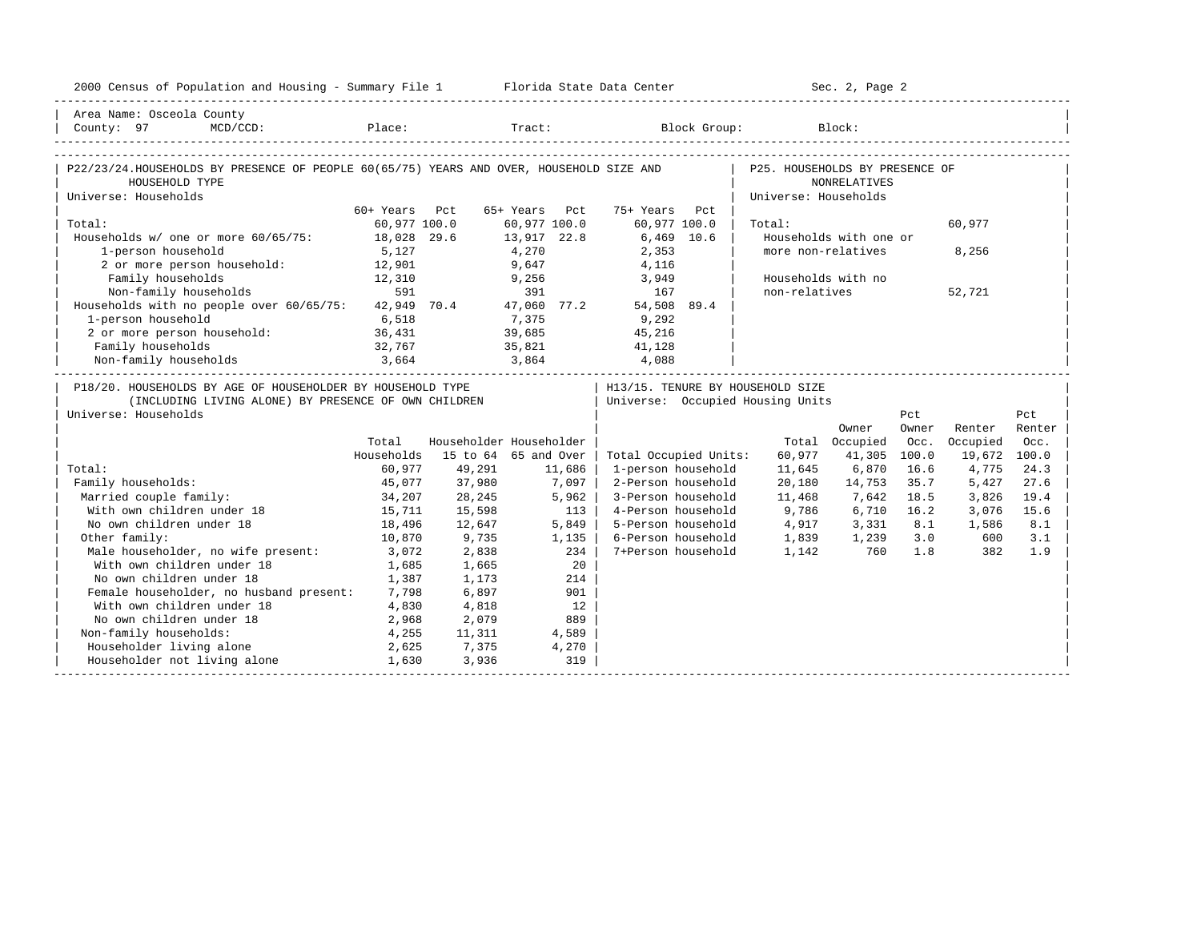| 2000 Census of Population and Housing - Summary File 1 Florida State Data Center                                                                                                                                                                                                                                                                                                                                                                                                                                                              |                  |                         |                            |        |                                  |                                | Sec. 2, Page 2         |       |               |        |
|-----------------------------------------------------------------------------------------------------------------------------------------------------------------------------------------------------------------------------------------------------------------------------------------------------------------------------------------------------------------------------------------------------------------------------------------------------------------------------------------------------------------------------------------------|------------------|-------------------------|----------------------------|--------|----------------------------------|--------------------------------|------------------------|-------|---------------|--------|
| Area Name: Osceola County                                                                                                                                                                                                                                                                                                                                                                                                                                                                                                                     |                  |                         |                            |        |                                  |                                |                        |       |               |        |
| $\begin{array}{ccccccccc} \text{\textcolor{red}{ }} & \text{\textcolor{red}{Cour}} & \text{\textcolor{red}{P1} & \textcolor{red}{Cour}} & \text{\textcolor{red}{P1} & \textcolor{red}{Cour}} & \text{\textcolor{red}{P1} & \textcolor{red}{Cour}} & \text{\textcolor{red}{P1} & \textcolor{red}{Cour}} & \text{Block } & \textbf{Block } & \textbf{Block } & \textbf{Block } & \textbf{Block } & \textbf{Block } & \textbf{Block } & \textbf{Block } & \textbf{E} & \textbf{E} & \textbf{E} & \textbf{E} & \textbf{E} & \textbf{E} & \textbf$ |                  |                         |                            |        |                                  |                                |                        |       |               |        |
|                                                                                                                                                                                                                                                                                                                                                                                                                                                                                                                                               |                  |                         |                            |        |                                  |                                |                        |       |               |        |
| P22/23/24.HOUSEHOLDS BY PRESENCE OF PEOPLE 60(65/75) YEARS AND OVER, HOUSEHOLD SIZE AND                                                                                                                                                                                                                                                                                                                                                                                                                                                       |                  |                         |                            |        |                                  | P25. HOUSEHOLDS BY PRESENCE OF |                        |       |               |        |
| HOUSEHOLD TYPE                                                                                                                                                                                                                                                                                                                                                                                                                                                                                                                                |                  |                         |                            |        |                                  |                                | NONRELATIVES           |       |               |        |
| Universe: Households                                                                                                                                                                                                                                                                                                                                                                                                                                                                                                                          |                  |                         |                            |        |                                  | Universe: Households           |                        |       |               |        |
|                                                                                                                                                                                                                                                                                                                                                                                                                                                                                                                                               | 60+ Years Pct    |                         | 65+ Years Pct              |        | 75+ Years<br>Pct                 |                                |                        |       |               |        |
| Total:                                                                                                                                                                                                                                                                                                                                                                                                                                                                                                                                        | 60,977 100.0     |                         | 60,977 100.0               |        | 60,977 100.0                     | Total:                         |                        |       | 60,977        |        |
| Households w/ one or more 60/65/75: 18,028 29.6                                                                                                                                                                                                                                                                                                                                                                                                                                                                                               |                  |                         | $13,917$ $22.8$<br>$4,270$ |        | $6,469$ 10.6                     |                                | Households with one or |       |               |        |
| 1-person household                                                                                                                                                                                                                                                                                                                                                                                                                                                                                                                            | 5,127            |                         |                            |        | 2,353                            |                                | more non-relatives     |       | 8,256         |        |
| 2 or more person household: 12,901                                                                                                                                                                                                                                                                                                                                                                                                                                                                                                            |                  |                         | 9,647                      |        | 4,116                            |                                |                        |       |               |        |
| Family households<br>$\begin{array}{r} 12,310 \\ 591 \end{array}$                                                                                                                                                                                                                                                                                                                                                                                                                                                                             |                  |                         | $9,256$<br>391             |        | 3,949                            |                                | Households with no     |       |               |        |
| Non-family households                                                                                                                                                                                                                                                                                                                                                                                                                                                                                                                         |                  |                         |                            |        | 167                              | non-relatives                  |                        |       | 52,721        |        |
| Households with no people over 60/65/75: 42,949 70.4 47,060 77.2 54,508 89.4                                                                                                                                                                                                                                                                                                                                                                                                                                                                  |                  |                         |                            |        |                                  |                                |                        |       |               |        |
| 1-person household<br>1-person household<br>2 or more person household: 36,431                                                                                                                                                                                                                                                                                                                                                                                                                                                                |                  |                         |                            |        | 7,375 9,292<br>39,685 45,216     |                                |                        |       |               |        |
|                                                                                                                                                                                                                                                                                                                                                                                                                                                                                                                                               |                  |                         |                            |        |                                  |                                |                        |       |               |        |
| Family households                                                                                                                                                                                                                                                                                                                                                                                                                                                                                                                             | 32,767           |                         |                            |        | 35,821 41,128                    |                                |                        |       |               |        |
|                                                                                                                                                                                                                                                                                                                                                                                                                                                                                                                                               |                  |                         |                            |        |                                  |                                |                        |       |               |        |
| P18/20. HOUSEHOLDS BY AGE OF HOUSEHOLDER BY HOUSEHOLD TYPE                                                                                                                                                                                                                                                                                                                                                                                                                                                                                    |                  |                         |                            |        | H13/15. TENURE BY HOUSEHOLD SIZE |                                |                        |       |               |        |
| (INCLUDING LIVING ALONE) BY PRESENCE OF OWN CHILDREN                                                                                                                                                                                                                                                                                                                                                                                                                                                                                          |                  |                         |                            |        | Universe: Occupied Housing Units |                                |                        |       |               |        |
| Universe: Households                                                                                                                                                                                                                                                                                                                                                                                                                                                                                                                          |                  |                         |                            |        |                                  |                                |                        | Pct   |               | Pct    |
|                                                                                                                                                                                                                                                                                                                                                                                                                                                                                                                                               |                  |                         |                            |        |                                  |                                | Owner                  | Owner | Renter        | Renter |
|                                                                                                                                                                                                                                                                                                                                                                                                                                                                                                                                               | Total            | Householder Householder |                            |        |                                  |                                | Total Occupied         |       | Occ. Occupied | Occ.   |
|                                                                                                                                                                                                                                                                                                                                                                                                                                                                                                                                               | Households       | 15 to 64 65 and Over    |                            |        | Total Occupied Units:            | 60,977                         | 41,305 100.0           |       | 19,672 100.0  |        |
| Total:                                                                                                                                                                                                                                                                                                                                                                                                                                                                                                                                        | 60,977           | 49,291                  |                            | 11,686 | 1-person household               | 11,645                         | 6,870                  | 16.6  | 4,775         | 24.3   |
| Family households:                                                                                                                                                                                                                                                                                                                                                                                                                                                                                                                            | 45,077           | 37,980                  | 7,097                      |        | 2-Person household               | 20,180                         | 14,753                 | 35.7  | 5,427         | 27.6   |
| Married couple family:                                                                                                                                                                                                                                                                                                                                                                                                                                                                                                                        | 34,207<br>15,711 | 28,245                  |                            | 5,962  | 3-Person household               | 11,468                         | 7,642                  | 18.5  | 3,826         | 19.4   |
| With own children under 18                                                                                                                                                                                                                                                                                                                                                                                                                                                                                                                    |                  | 15,598                  |                            | 113    | 4-Person household               | 9,786                          | 6,710                  | 16.2  | 3,076         | 15.6   |
| No own children under 18                                                                                                                                                                                                                                                                                                                                                                                                                                                                                                                      | 18,496           | 12,647                  |                            | 5,849  | 5-Person household               | 4,917                          | 3,331                  | 8.1   | 1,586         | 8.1    |
| Other family:                                                                                                                                                                                                                                                                                                                                                                                                                                                                                                                                 | 10,870           | 9,735                   |                            | 1,135  | 6-Person household               | 1,839                          | 1,239 3.0              |       | 600           | 3.1    |
| Male householder, no wife present:                                                                                                                                                                                                                                                                                                                                                                                                                                                                                                            | 3,072            | 2,838                   |                            | 234    | 7+Person household               | 1,142                          | 760                    | 1.8   | 382           | 1.9    |
| With own children under 18                                                                                                                                                                                                                                                                                                                                                                                                                                                                                                                    | 1,685            | 1,665                   |                            | 20     |                                  |                                |                        |       |               |        |
| No own children under 18                                                                                                                                                                                                                                                                                                                                                                                                                                                                                                                      | 1,387            | 1,173                   |                            | 214    |                                  |                                |                        |       |               |        |
| Female householder, no husband present: 7,798                                                                                                                                                                                                                                                                                                                                                                                                                                                                                                 |                  | 6,897                   |                            | 901    |                                  |                                |                        |       |               |        |
| With own children under 18                                                                                                                                                                                                                                                                                                                                                                                                                                                                                                                    | 4,830            | 4,818                   |                            | 12     |                                  |                                |                        |       |               |        |
| No own children under 18<br>2,968                                                                                                                                                                                                                                                                                                                                                                                                                                                                                                             |                  | 2,079                   |                            | 889    |                                  |                                |                        |       |               |        |
| Non-family households:                                                                                                                                                                                                                                                                                                                                                                                                                                                                                                                        | 4,255            | 11,311                  |                            | 4,589  |                                  |                                |                        |       |               |        |
| Householder living alone                                                                                                                                                                                                                                                                                                                                                                                                                                                                                                                      | 2,625            | 7,375                   |                            | 4,270  |                                  |                                |                        |       |               |        |
| Householder not living alone                                                                                                                                                                                                                                                                                                                                                                                                                                                                                                                  | 1,630            | 3,936                   |                            | 319    |                                  |                                |                        |       |               |        |
|                                                                                                                                                                                                                                                                                                                                                                                                                                                                                                                                               |                  |                         |                            |        |                                  |                                |                        |       |               |        |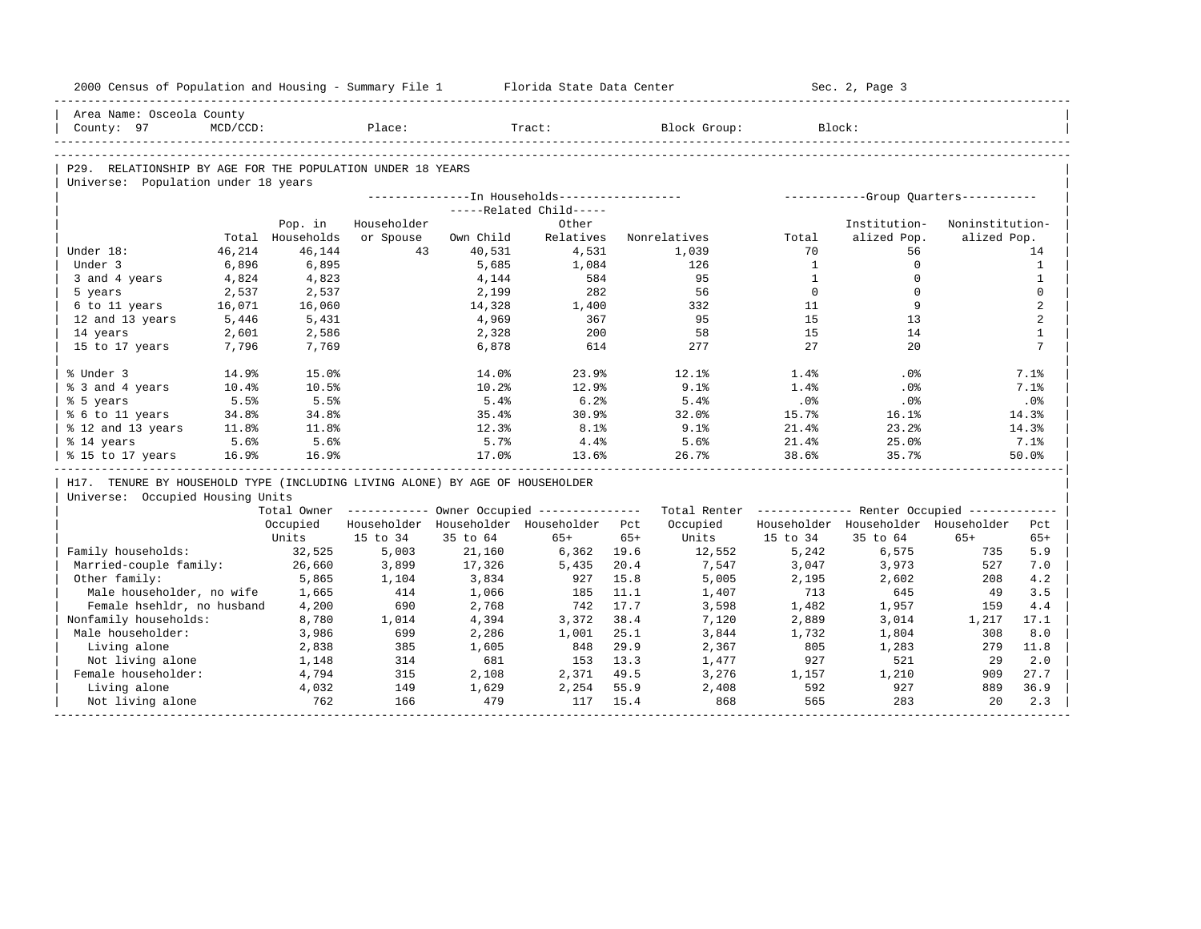| 2000 Census of Population and Housing - Summary File 1 Florida State Data Center |             |                  |                                                       |           |                         |              |                                                         |              | Sec. 2, Page 3                      |                 |                 |
|----------------------------------------------------------------------------------|-------------|------------------|-------------------------------------------------------|-----------|-------------------------|--------------|---------------------------------------------------------|--------------|-------------------------------------|-----------------|-----------------|
| Area Name: Osceola County<br>County: 97                                          | $MCD/CCD$ : |                  | Place:                                                |           | Tract:                  |              | Block Group:                                            |              | Block:                              |                 |                 |
|                                                                                  |             |                  |                                                       |           |                         |              |                                                         |              |                                     |                 |                 |
|                                                                                  |             |                  |                                                       |           |                         |              |                                                         |              |                                     |                 |                 |
| P29. RELATIONSHIP BY AGE FOR THE POPULATION UNDER 18 YEARS                       |             |                  |                                                       |           |                         |              |                                                         |              |                                     |                 |                 |
| Universe: Population under 18 years                                              |             |                  |                                                       |           |                         |              |                                                         |              |                                     |                 |                 |
|                                                                                  |             |                  |                                                       |           | -----Related Child----- |              |                                                         |              |                                     |                 |                 |
|                                                                                  |             | Pop. in          | Householder                                           |           | Other                   |              |                                                         |              | Institution-                        | Noninstitution- |                 |
|                                                                                  |             | Total Households | or Spouse                                             | Own Child | Relatives               |              | Nonrelatives                                            | Total        | alized Pop.                         | alized Pop.     |                 |
| Under 18:                                                                        | 46,214      | 46,144           | 43                                                    | 40,531    | 4,531                   |              | 1,039                                                   | 70           | 56                                  |                 | 14              |
| Under 3                                                                          | 6,896       | 6,895            |                                                       | 5,685     | 1,084                   |              | 126                                                     | <sup>1</sup> | $\mathbf 0$                         |                 | $\mathbf{1}$    |
| 3 and 4 years                                                                    | 4,824       | 4,823            |                                                       | 4,144     | 584                     |              | 95                                                      | $\mathbf{1}$ | $\Omega$                            |                 | $\mathbf{1}$    |
| 5 years                                                                          | 2,537       | 2,537            |                                                       | 2,199     | 282                     |              | 56                                                      | $\Omega$     | $\Omega$                            |                 | $\mathbf 0$     |
| 6 to 11 years                                                                    | 16,071      | 16,060           |                                                       | 14,328    | 1,400                   |              | 332                                                     | 11           | 9                                   |                 | 2               |
| 12 and 13 years                                                                  | 5,446       | 5,431            |                                                       | 4,969     | 367                     |              | 95                                                      | 1.5          | 13                                  |                 | 2               |
| 14 years                                                                         | 2,601       | 2,586            |                                                       | 2,328     | 200                     |              | 58                                                      | 15           | 14                                  |                 | $\mathbf{1}$    |
| 15 to 17 years                                                                   | 7,796       | 7,769            |                                                       | 6,878     | 614                     |              | 277                                                     | 2.7          | 2.0                                 |                 | $7\phantom{.0}$ |
|                                                                                  |             |                  |                                                       |           |                         |              |                                                         |              |                                     |                 |                 |
| % Under 3                                                                        | 14.9%       | 15.0%            |                                                       | 14.0%     | 23.9%                   |              | 12.1%                                                   | 1.4%         | $.0\%$                              |                 | 7.1%            |
| % 3 and 4 years                                                                  | 10.4%       | 10.5%            |                                                       | 10.2%     | 12.9%                   |              | 9.1%                                                    | 1.4%         | $.0\%$                              |                 | 7.1%            |
| % 5 years                                                                        | 5.5%        | 5.5%             |                                                       | 5.4%      | 6.2%                    |              | 5.4%                                                    | .0%          | .0%                                 |                 | .0%             |
| % 6 to 11 years                                                                  | 34.8%       | 34.8%            |                                                       | 35.4%     | 30.9%                   |              | 32.0%                                                   | 15.7%        | 16.1%                               |                 | 14.3%           |
| % 12 and 13 years                                                                | 11.8%       | 11.8%            |                                                       | 12.3%     | 8.1%                    |              | 9.1%                                                    | 21.4%        | 23.2%                               |                 | 14.3%           |
| % 14 years                                                                       | 5.6%        | 5.6%             |                                                       | 5.7%      | 4.4%                    |              | 5.6%                                                    | 21.4%        | 25.0%                               |                 | 7.1%            |
| % 15 to 17 years                                                                 | 16.9%       | 16.9%            |                                                       | 17.0%     | 13.6%                   |              | 26.7%                                                   | 38.6%        | 35.7%                               |                 | 50.0%           |
|                                                                                  |             |                  |                                                       |           |                         |              |                                                         |              |                                     |                 |                 |
| H17. TENURE BY HOUSEHOLD TYPE (INCLUDING LIVING ALONE) BY AGE OF HOUSEHOLDER     |             |                  |                                                       |           |                         |              |                                                         |              |                                     |                 |                 |
| Universe: Occupied Housing Units                                                 |             |                  |                                                       |           |                         |              |                                                         |              |                                     |                 |                 |
|                                                                                  |             |                  | Total Owner ----------- Owner Occupied -------------- |           |                         |              | Total Renter ------------- Renter Occupied ------------ |              |                                     |                 |                 |
|                                                                                  |             | Occupied         | Householder Householder Householder Pct               |           |                         |              | Occupied                                                |              | Householder Householder Householder |                 | Pct             |
|                                                                                  |             | Units            | 15 to 34                                              | 35 to 64  | $65+$                   | $65+$        | Units                                                   | 15 to 34     | 35 to 64                            | $65+$           | $65+$           |
| Family households:                                                               |             | 32,525           | 5,003                                                 | 21,160    | 6,362 19.6              |              | 12,552                                                  | 5,242        | 6,575                               | 735             | 5.9             |
| Married-couple family:                                                           |             | 26,660           | 3,899                                                 | 17,326    | 5,435                   | 20.4         | 7,547                                                   | 3,047        | 3,973                               | 527             | 7.0             |
| Other family:                                                                    |             | 5,865            | 1,104                                                 | 3,834     | 927                     | 15.8         | 5,005                                                   | 2,195        | 2,602                               | 208             | 4.2             |
| Male householder, no wife                                                        |             | 1,665            | 414                                                   | 1,066     | 185                     | 11.1         | 1,407                                                   | 713          | 645                                 | 49              | 3.5             |
| Female hsehldr, no husband                                                       |             | 4,200            | 690                                                   | 2,768     | 742                     | 17.7         | 3,598                                                   | 1,482        | 1,957                               | 159             | 4.4             |
| Nonfamily households:                                                            |             | 8,780            | 1,014                                                 | 4,394     | 3,372                   | 38.4         | 7,120                                                   | 2,889        | 3,014                               | 1,217           | 17.1            |
| Male householder:                                                                |             | 3,986            | 699                                                   | 2,286     | 1,001                   | 25.1         | 3,844                                                   | 1,732        | 1,804                               | 308             | 8.0             |
| Living alone                                                                     |             | 2,838            | 385                                                   | 1,605     | 848                     | 29.9         | 2,367                                                   | 805          | 1,283                               | 279             | 11.8            |
| Not living alone                                                                 |             | 1,148            | 314                                                   | 681       | 153 13.3                |              | 1,477                                                   | 927          | 521                                 | 2.9             | 2.0             |
| Female householder:                                                              |             | 4,794            | 315                                                   | 2,108     | 2,371 49.5              |              | 3,276                                                   | 1,157        | 1,210                               | 909             | 27.7            |
| Living alone                                                                     |             | 4,032            | 149                                                   | 1,629     | 2,254<br>117            | 55.9<br>15.4 | 2,408<br>868                                            | 592<br>565   | 927<br>283                          | 889<br>20       | 36.9<br>2.3     |
| Not living alone                                                                 |             | 762              | 166                                                   | 479       |                         |              |                                                         |              |                                     |                 |                 |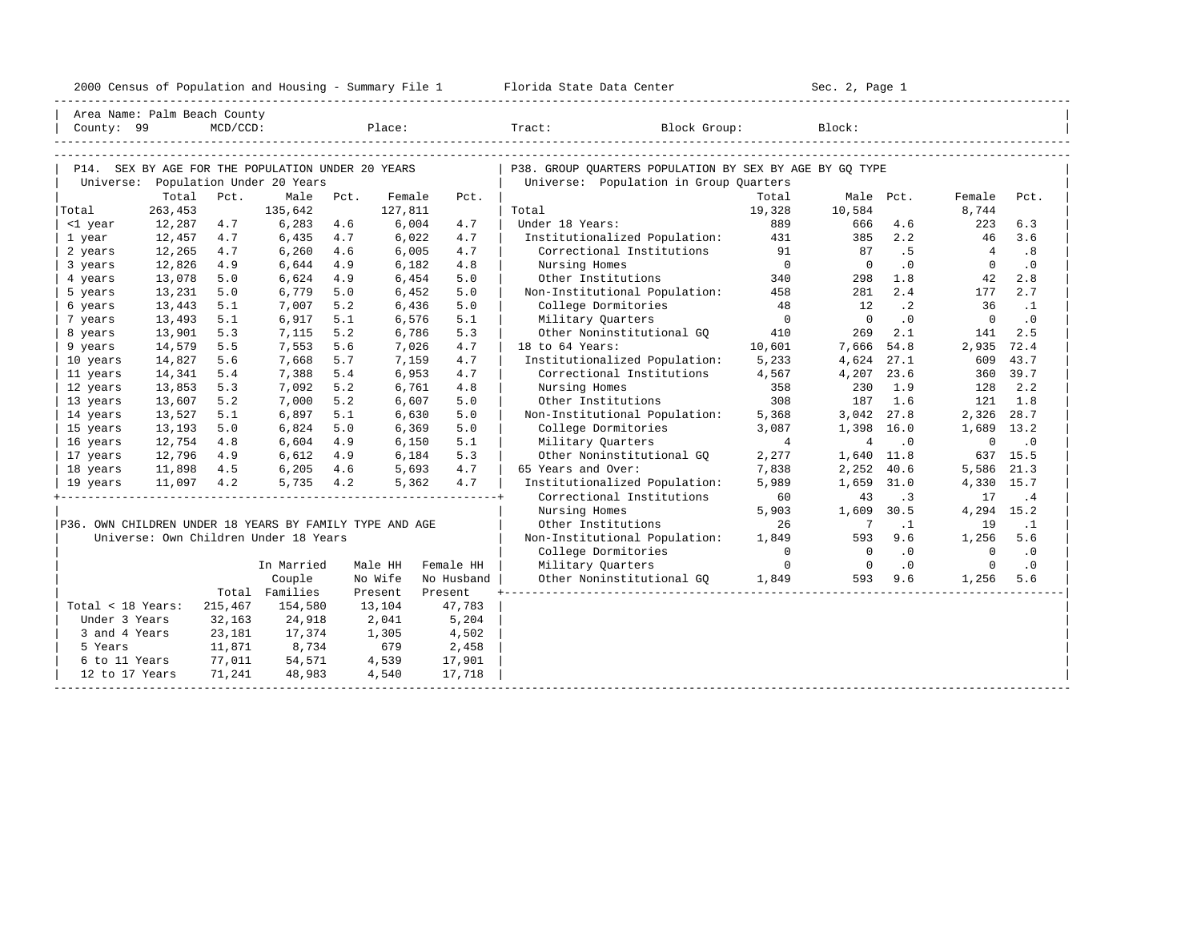|  |  |  | 2000 Census of Population and Housing - Summary File 1 |  |  |  |  |  |  |  |
|--|--|--|--------------------------------------------------------|--|--|--|--|--|--|--|
|--|--|--|--------------------------------------------------------|--|--|--|--|--|--|--|

|                                                         | Area Name: Palm Beach County |             |                                                   |      |                   |            |                                                         |                 |                |                          |                 |                             |
|---------------------------------------------------------|------------------------------|-------------|---------------------------------------------------|------|-------------------|------------|---------------------------------------------------------|-----------------|----------------|--------------------------|-----------------|-----------------------------|
| County: 99                                              |                              | $MCD/CCD$ : |                                                   |      |                   |            | Place: Tract: Block Group:                              |                 | Block:         |                          |                 |                             |
|                                                         |                              |             |                                                   |      |                   |            |                                                         |                 |                |                          |                 |                             |
|                                                         |                              |             |                                                   |      |                   |            |                                                         |                 |                |                          |                 |                             |
|                                                         |                              |             | P14. SEX BY AGE FOR THE POPULATION UNDER 20 YEARS |      |                   |            | P38. GROUP OUARTERS POPULATION BY SEX BY AGE BY GO TYPE |                 |                |                          |                 |                             |
|                                                         | Total                        | Pct.        | Universe: Population Under 20 Years<br>Male       |      |                   |            | Universe: Population in Group Quarters                  |                 |                |                          |                 |                             |
| Total                                                   | 263,453                      |             | 135,642                                           | Pct. | Female<br>127,811 | Pct.       | Total                                                   | Total<br>19,328 | 10,584         | Male Pct.                | Female<br>8,744 | Pct.                        |
| <1 year                                                 | 12,287                       | 4.7         | 6,283                                             | 4.6  | 6,004             | 4.7        | Under 18 Years:                                         | 889             | 666            | 4.6                      | 223             | 6.3                         |
| 1 year                                                  | 12,457                       | 4.7         | 6,435                                             | 4.7  | 6,022             | 4.7        | Institutionalized Population:                           | 431             | 385            | 2.2                      | 46              | 3.6                         |
| 2 years                                                 | 12,265                       | 4.7         | 6,260                                             | 4.6  | 6,005             | 4.7        | Correctional Institutions                               | 91              | 87             | .5                       | $\overline{4}$  | .8                          |
| 3 years                                                 | 12,826                       | 4.9         | 6,644                                             | 4.9  | 6,182             | 4.8        | Nursing Homes                                           | $\overline{0}$  | $\overline{0}$ | .0                       | $\Omega$        | $\cdot$ 0                   |
| 4 years                                                 | 13,078                       | 5.0         | 6,624                                             | 4.9  | 6,454             | 5.0        | Other Institutions                                      | 340             | 298            | 1.8                      | 42              | 2.8                         |
| 5 years                                                 | 13,231                       | 5.0         | 6,779                                             | 5.0  | 6,452             | 5.0        | Non-Institutional Population:                           | 458             | 281            | 2.4                      | 177             | 2.7                         |
| 6 years                                                 | 13,443                       | 5.1         | 7,007                                             | 5.2  | 6,436             | 5.0        | College Dormitories                                     | 48              | 12             | $\cdot$ 2                | 36              | $\cdot$ 1                   |
| 7 years                                                 | 13,493                       | 5.1         | 6,917                                             | 5.1  | 6,576             | 5.1        | Military Quarters                                       | $\overline{0}$  | $\overline{0}$ | .0                       | $\overline{0}$  | $\cdot$ 0                   |
| 8 years                                                 | 13,901                       | 5.3         | 7,115                                             | 5.2  | 6,786             | 5.3        | Other Noninstitutional GO                               | 410             | 269            | 2.1                      | 141             | 2.5                         |
| 9 years                                                 | 14,579                       | 5.5         | 7,553                                             | 5.6  | 7,026             | 4.7        | 18 to 64 Years:                                         | 10,601          | 7,666 54.8     |                          | 2,935           | 72.4                        |
| 10 years                                                | 14,827                       | 5.6         | 7,668                                             | 5.7  | 7,159             | 4.7        | Institutionalized Population:                           | 5,233           | 4,624 27.1     |                          | 609             | 43.7                        |
| 11 years                                                | 14,341                       | 5.4         | 7,388                                             | 5.4  | 6,953             | 4.7        | Correctional Institutions                               | 4,567           | 4,207 23.6     |                          |                 | 360 39.7                    |
| 12 years                                                | 13,853                       | 5.3         | 7,092                                             | 5.2  | 6,761             | 4.8        | Nursing Homes                                           | 358             | 230            | 1.9                      | 128             | 2.2                         |
| 13 years                                                | 13,607                       | 5.2         | 7,000                                             | 5.2  | 6,607             | 5.0        | Other Institutions                                      | 308             | 187            | 1.6                      | 121             | 1.8                         |
| 14 years                                                | 13,527                       | 5.1         | 6,897                                             | 5.1  | 6,630             | 5.0        | Non-Institutional Population:                           | 5,368           | 3,042 27.8     |                          | 2,326 28.7      |                             |
| 15 years                                                | 13,193                       | 5.0         | 6,824                                             | 5.0  | 6,369             | 5.0        | College Dormitories                                     | 3,087           | 1,398 16.0     |                          | 1,689           | 13.2                        |
| 16 years                                                | 12,754                       | 4.8         | 6,604                                             | 4.9  | 6,150             | 5.1        | Military Quarters                                       | $\overline{4}$  | 4              | $\cdot$ 0                | $\mathbf 0$     | $\cdot$ 0                   |
| 17 years                                                | 12,796                       | 4.9         | 6,612                                             | 4.9  | 6,184             | 5.3        | Other Noninstitutional GO                               | 2,277           | 1,640 11.8     |                          |                 | 637 15.5                    |
| 18 years                                                | 11,898                       |             | 4.5 6,205                                         | 4.6  | 5,693             | 4.7        | 65 Years and Over:                                      | 7,838           | 2,252 40.6     |                          | 5,586           | 21.3                        |
| 19 years                                                | 11,097 4.2                   |             | 5,735                                             | 4.2  | 5,362             | 4.7        | Institutionalized Population:                           | 5,989           | 1,659 31.0     |                          | 4,330 15.7      |                             |
|                                                         |                              |             |                                                   |      |                   |            | Correctional Institutions                               | 60              | 43             | $\overline{\phantom{a}}$ | 17              | .4                          |
|                                                         |                              |             |                                                   |      |                   |            | Nursing Homes                                           | 5,903           | 1,609          | 30.5                     | 4,294 15.2      |                             |
| P36. OWN CHILDREN UNDER 18 YEARS BY FAMILY TYPE AND AGE |                              |             |                                                   |      |                   |            | Other Institutions                                      | 26              | $\overline{7}$ | $\cdot$ 1                | 19              | $\cdot$ 1                   |
|                                                         |                              |             | Universe: Own Children Under 18 Years             |      |                   |            | Non-Institutional Population:                           | 1,849           | 593            | 9.6                      | 1,256           | 5.6                         |
|                                                         |                              |             |                                                   |      |                   |            | College Dormitories                                     | $\overline{0}$  | $\Omega$       | .0                       | $\Omega$        | $\overline{\phantom{0}}$ .0 |
|                                                         |                              |             | In Married                                        |      | Male HH           | Female HH  | Military Quarters                                       | $\Omega$        | $\overline{0}$ | $\cdot$ 0                | $\Omega$        | $\cdot$ 0                   |
|                                                         |                              |             | Couple                                            |      | No Wife           | No Husband | Other Noninstitutional GQ 1,849 593                     |                 |                | 9.6                      | 1,256           | 5.6                         |
|                                                         |                              |             | Total Families                                    |      | Present           | Present    |                                                         |                 |                |                          |                 |                             |
| Total < 18 Years:                                       |                              | 215,467     | 154,580                                           |      | 13,104            | 47,783     |                                                         |                 |                |                          |                 |                             |
| Under 3 Years                                           |                              | 32,163      | 24,918                                            |      | 2,041             | 5,204      |                                                         |                 |                |                          |                 |                             |
| 3 and 4 Years                                           |                              | 23,181      | 17,374                                            |      | 1,305             | 4,502      |                                                         |                 |                |                          |                 |                             |
| 5 Years                                                 |                              | 11,871      | 8,734                                             |      | 679               | 2,458      |                                                         |                 |                |                          |                 |                             |
| 6 to 11 Years                                           |                              | 77,011      | 54,571                                            |      | 4,539             | 17,901     |                                                         |                 |                |                          |                 |                             |
| 12 to 17 Years                                          |                              | 71,241      | 48,983                                            |      | 4,540             | 17,718     |                                                         |                 |                |                          |                 |                             |
|                                                         |                              |             |                                                   |      |                   |            |                                                         |                 |                |                          |                 |                             |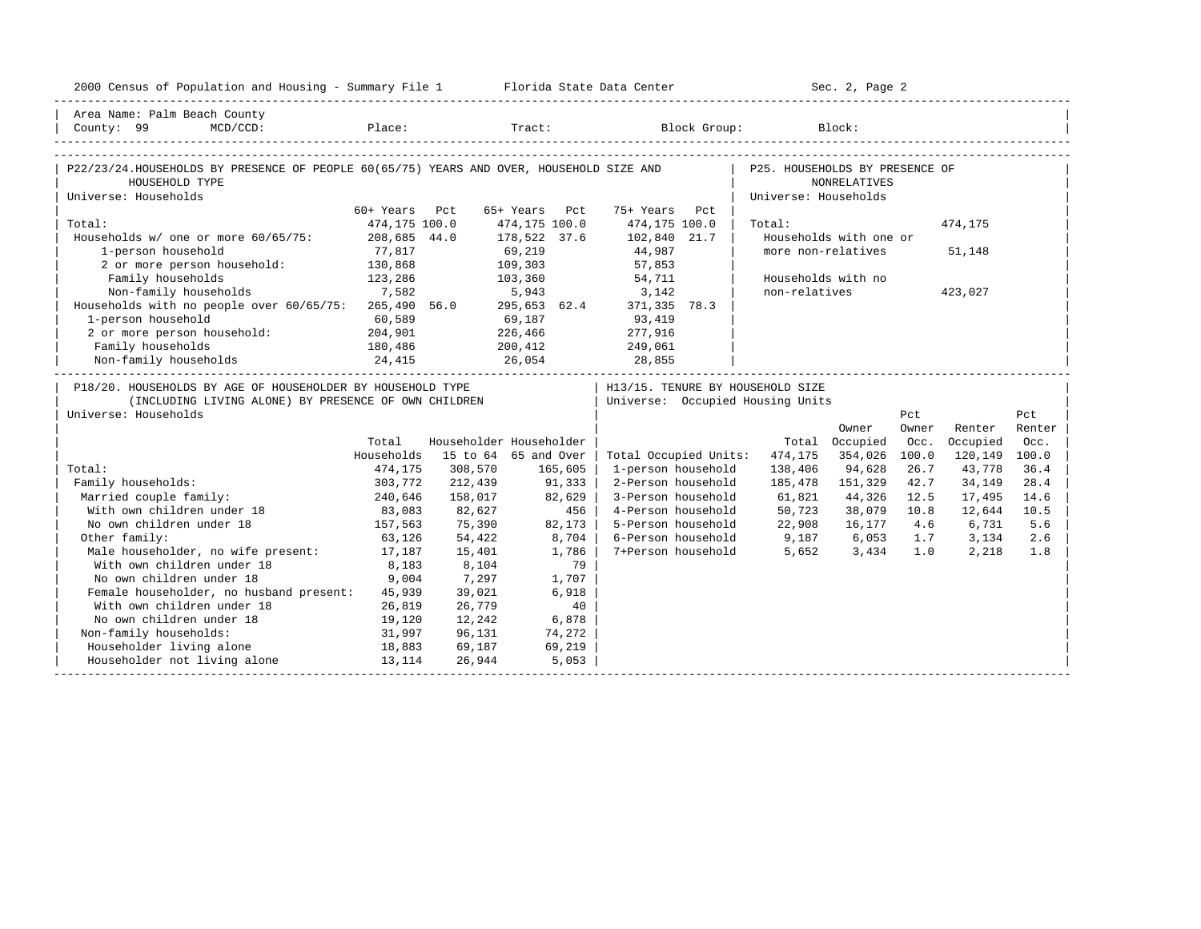| 2000 Census of Population and Housing - Summary File 1 Florida State Data Center                                                           |                    |         |                         |                                                                            | Sec. 2, Page 2       |                        |       |               |        |
|--------------------------------------------------------------------------------------------------------------------------------------------|--------------------|---------|-------------------------|----------------------------------------------------------------------------|----------------------|------------------------|-------|---------------|--------|
| Area Name: Palm Beach County                                                                                                               |                    |         |                         |                                                                            |                      |                        |       |               |        |
| County: 99<br>$MCD/CCD$ :                                                                                                                  |                    |         |                         | Place: Tract: Block Group: Block:                                          |                      |                        |       |               |        |
|                                                                                                                                            |                    |         |                         |                                                                            |                      |                        |       |               |        |
| P22/23/24.HOUSEHOLDS BY PRESENCE OF PEOPLE 60(65/75) YEARS AND OVER, HOUSEHOLD SIZE AND   P25. HOUSEHOLDS BY PRESENCE OF<br>HOUSEHOLD TYPE |                    |         |                         |                                                                            |                      | <b>NONRELATIVES</b>    |       |               |        |
| Universe: Households                                                                                                                       |                    |         |                         |                                                                            | Universe: Households |                        |       |               |        |
|                                                                                                                                            | 60+ Years Pct      |         | 65+ Years Pct           | 75+ Years Pct                                                              |                      |                        |       |               |        |
| Total:                                                                                                                                     | 474,175 100.0      |         | 474,175 100.0           | 474,175 100.0                                                              | Total:               |                        |       | 474,175       |        |
| Households w/ one or more 60/65/75: 208,685 44.0                                                                                           |                    |         | 178,522 37.6            | 102,840 21.7                                                               |                      | Households with one or |       |               |        |
| 1-person household                                                                                                                         | 77,817             |         | 69,219                  | 44,987<br>57,853                                                           | more non-relatives   |                        |       | 51,148        |        |
| 2 or more person household: 130,868                                                                                                        |                    |         | 109,303                 |                                                                            |                      |                        |       |               |        |
| 123,286<br>Family households                                                                                                               |                    |         | 103,360 54,711          |                                                                            | Households with no   |                        |       |               |        |
| 7,582<br>Non-family households 7,582 5,943 3,142<br>Households with no people over 60/65/75: 265,490 56.0 295,653 62.4 371,335 78.3        |                    |         |                         |                                                                            | non-relatives        |                        |       | 423,027       |        |
|                                                                                                                                            |                    |         |                         |                                                                            |                      |                        |       |               |        |
| 1-person household                                                                                                                         | 60,589             |         | 69,187 93,419           |                                                                            |                      |                        |       |               |        |
| 2 or more person household: 204,901                                                                                                        |                    |         | 226,466 277,916         |                                                                            |                      |                        |       |               |        |
|                                                                                                                                            |                    |         |                         | 249,061                                                                    |                      |                        |       |               |        |
| Family households 180,486 200,412<br>Non-family households 24,415 26,054                                                                   |                    |         |                         | 28,855                                                                     |                      |                        |       |               |        |
| P18/20. HOUSEHOLDS BY AGE OF HOUSEHOLDER BY HOUSEHOLD TYPE                                                                                 |                    |         |                         | H13/15. TENURE BY HOUSEHOLD SIZE                                           |                      |                        |       |               |        |
| (INCLUDING LIVING ALONE) BY PRESENCE OF OWN CHILDREN                                                                                       |                    |         |                         | Universe: Occupied Housing Units                                           |                      |                        |       |               |        |
| Universe: Households                                                                                                                       |                    |         |                         |                                                                            |                      |                        | Pct   |               | Pct    |
|                                                                                                                                            |                    |         |                         |                                                                            |                      | Owner                  | Owner | Renter        | Renter |
|                                                                                                                                            | Total              |         | Householder Householder |                                                                            |                      | Total Occupied         | Occ.  | Occupied      | Occ.   |
|                                                                                                                                            | Households         |         | 15 to 64 65 and Over    | Total Occupied Units:                                                      | 474,175              | 354,026                | 100.0 | 120,149 100.0 |        |
| Total:                                                                                                                                     | 474,175            | 308,570 | 165,605                 | 1-person household                                                         | 138,406              | 94,628                 | 26.7  | 43,778        | 36.4   |
| Family households:                                                                                                                         |                    | 212,439 | 91,333                  | 2-Person household                                                         | 185,478              | 151,329                | 42.7  | 34,149        | 28.4   |
| Married couple family:                                                                                                                     | 303,772<br>240,646 | 158,017 | 82,629                  | 3-Person household                                                         | 61,821               | 44,326                 | 12.5  | 17,495        | 14.6   |
| With own children under 18                                                                                                                 | 83,083             | 82,627  | 456                     | 4-Person household                                                         | 50,723               | 38,079                 | 10.8  | 12,644        | 10.5   |
| No own children under 18                                                                                                                   | 157, 563           | 75,390  | 82,173                  | 5-Person household                                                         | 22,908               | 16,177                 | 4.6   | 6,731         | 5.6    |
| Other family:                                                                                                                              | 63,126             | 54,422  | 8,704                   |                                                                            |                      |                        |       |               | 2.6    |
| Male householder, no wife present: 17,187                                                                                                  |                    | 15,401  | 1,786                   | 6-Person household<br>7+Person household<br>5,652<br>3,434<br>1.0<br>2,218 |                      |                        |       |               | 1.8    |
| With own children under 18                                                                                                                 | 8,183              | 8,104   | 79                      |                                                                            |                      |                        |       |               |        |
| No own children under 18                                                                                                                   | 9,004              | 7,297   | 1,707                   |                                                                            |                      |                        |       |               |        |
| Female householder, no husband present: 45,939                                                                                             |                    | 39,021  | 6,918                   |                                                                            |                      |                        |       |               |        |
| With own children under 18                                                                                                                 | 26,819             | 26,779  | 40                      |                                                                            |                      |                        |       |               |        |
| No own children under 18<br>19,120                                                                                                         |                    | 12,242  | 6,878                   |                                                                            |                      |                        |       |               |        |
| Non-family households:                                                                                                                     | 31,997             | 96,131  | 74,272                  |                                                                            |                      |                        |       |               |        |
| Householder living alone                                                                                                                   | 18,883             | 69,187  | 69,219                  |                                                                            |                      |                        |       |               |        |
| Householder not living alone 13,114                                                                                                        |                    | 26,944  | 5,053                   |                                                                            |                      |                        |       |               |        |
|                                                                                                                                            |                    |         |                         |                                                                            |                      |                        |       |               |        |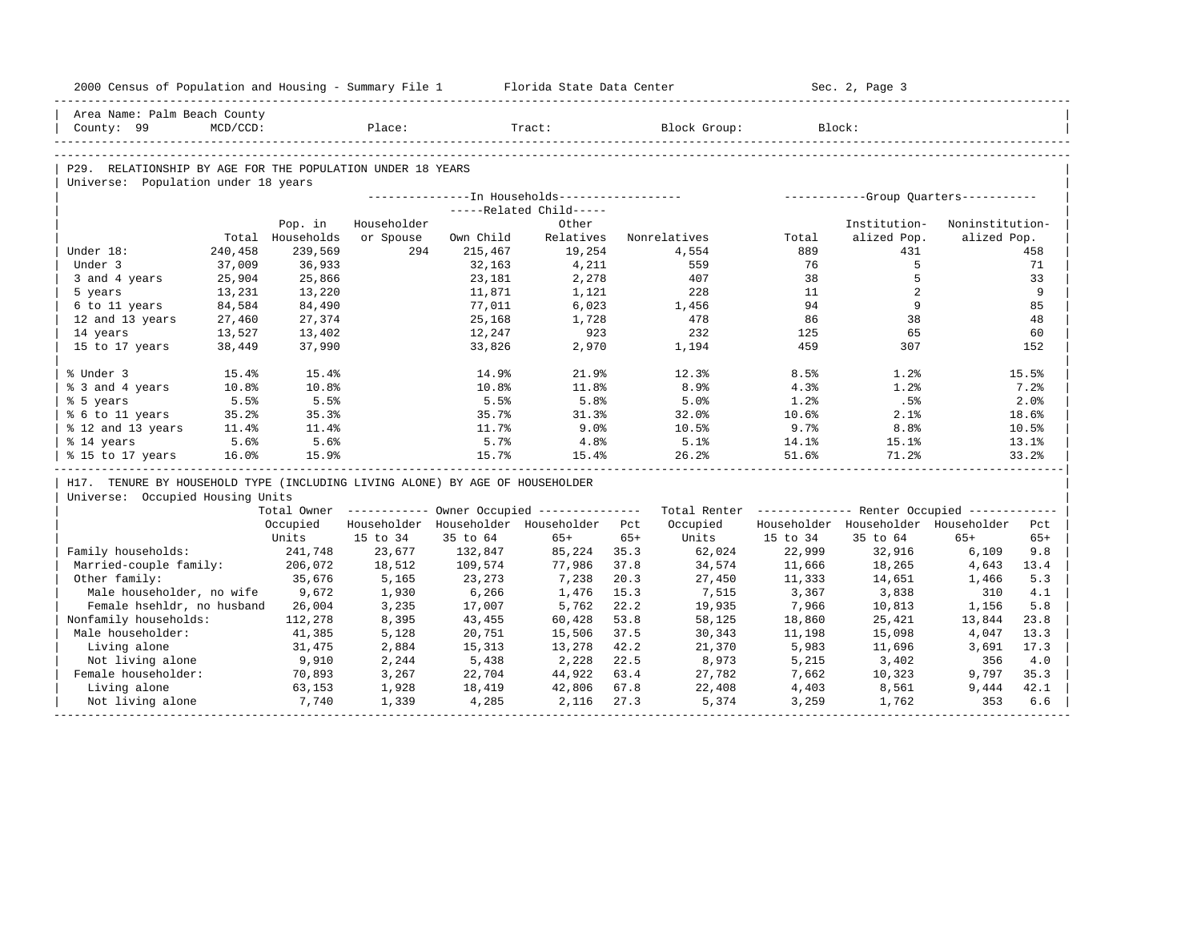|                        | 2000 Census of Population and Housing - Summary File 1 Florida State Data Center |                  |             |           |                                                       |       |                                                         |          | Sec. 2, Page 3                      |                 |       |
|------------------------|----------------------------------------------------------------------------------|------------------|-------------|-----------|-------------------------------------------------------|-------|---------------------------------------------------------|----------|-------------------------------------|-----------------|-------|
|                        | Area Name: Palm Beach County                                                     |                  |             |           |                                                       |       |                                                         |          |                                     |                 |       |
| County: 99             | MCD/CCD:                                                                         |                  | Place:      |           | Tract:                                                |       | Block Group:                                            | Block:   |                                     |                 |       |
|                        |                                                                                  |                  |             |           |                                                       |       |                                                         |          |                                     |                 |       |
|                        | P29. RELATIONSHIP BY AGE FOR THE POPULATION UNDER 18 YEARS                       |                  |             |           |                                                       |       |                                                         |          |                                     |                 |       |
|                        | Universe: Population under 18 years                                              |                  |             |           |                                                       |       |                                                         |          |                                     |                 |       |
|                        |                                                                                  |                  |             |           |                                                       |       |                                                         |          |                                     |                 |       |
|                        |                                                                                  |                  |             |           | -----Related Child-----                               |       |                                                         |          |                                     |                 |       |
|                        |                                                                                  | Pop. in          | Householder |           | Other                                                 |       |                                                         |          | Institution-                        | Noninstitution- |       |
|                        |                                                                                  | Total Households | or Spouse   | Own Child | Relatives                                             |       | Nonrelatives                                            | Total    | alized Pop.                         | alized Pop.     |       |
| Under 18:              | 240,458                                                                          | 239,569          | 294         | 215,467   | 19,254                                                |       | 4,554                                                   | 889      | 431                                 |                 | 458   |
| Under 3                | 37,009                                                                           | 36,933           |             | 32,163    | 4,211                                                 |       | 559                                                     | 76       | 5                                   |                 | 71    |
| 3 and 4 years          | 25,904                                                                           | 25,866           |             | 23,181    | 2,278                                                 |       | 407                                                     | 38       | 5                                   |                 | 33    |
| 5 years                | 13,231                                                                           | 13,220           |             | 11,871    | 1,121                                                 |       | 228                                                     | 11       | $\overline{2}$                      |                 | 9     |
| 6 to 11 years          | 84,584                                                                           | 84,490           |             | 77,011    | 6,023                                                 |       | 1,456                                                   | 94       | 9                                   |                 | 85    |
| 12 and 13 years        | 27,460                                                                           | 27,374           |             | 25,168    | 1,728                                                 |       | 478                                                     | 86       | 38                                  |                 | 48    |
| 14 years               | 13,527                                                                           | 13,402           |             | 12,247    | 923                                                   |       | 232                                                     | 125      | 65                                  |                 | 60    |
| 15 to 17 years         | 38,449                                                                           | 37,990           |             | 33,826    | 2,970                                                 |       | 1,194                                                   | 459      | 307                                 |                 | 152   |
| % Under 3              | 15.4%                                                                            | 15.4%            |             | 14.9%     | 21.9%                                                 |       | 12.3%                                                   | 8.5%     | 1.2%                                |                 | 15.5% |
| % 3 and 4 years        | 10.8%                                                                            | 10.8%            |             | 10.8%     | 11.8%                                                 |       | 8.9%                                                    | 4.3%     | 1.2%                                |                 | 7.2%  |
| % 5 years              | 5.5%                                                                             | 5.5%             |             | 5.5%      | 5.8%                                                  |       | 5.0%                                                    | 1.2%     | .5%                                 |                 | 2.0%  |
| % 6 to 11 years        | 35.2%                                                                            | 35.3%            |             | 35.7%     | 31.3%                                                 |       | 32.0%                                                   | 10.6%    | 2.1%                                |                 | 18.6% |
| % 12 and 13 years      | 11.4%                                                                            | 11.4%            |             | 11.7%     | 9.0%                                                  |       | 10.5%                                                   | 9.7%     | 8.8%                                |                 | 10.5% |
| % 14 years             | 5.6%                                                                             | 5.6%             |             | 5.7%      | 4.8%                                                  |       | 5.1%                                                    | $14.1\%$ | 15.1%                               |                 | 13.1% |
| % 15 to 17 years       | 16.0%                                                                            | 15.9%            |             | 15.7%     | 15.4%                                                 |       | 26.2%                                                   | 51.6%    | 71.2%                               |                 | 33.2% |
|                        | H17. TENURE BY HOUSEHOLD TYPE (INCLUDING LIVING ALONE) BY AGE OF HOUSEHOLDER     |                  |             |           |                                                       |       |                                                         |          |                                     |                 |       |
|                        | Universe: Occupied Housing Units                                                 |                  |             |           |                                                       |       |                                                         |          |                                     |                 |       |
|                        |                                                                                  |                  |             |           | Total Owner ----------- Owner Occupied -------------- |       | Total Renter ------------- Renter Occupied ------------ |          |                                     |                 |       |
|                        |                                                                                  | Occupied         |             |           | Householder Householder Householder Pct               |       | Occupied                                                |          | Householder Householder Householder |                 | Pct   |
|                        |                                                                                  | Units            | 15 to 34    | 35 to 64  | $65+$                                                 | $65+$ | Units                                                   | 15 to 34 | 35 to 64                            | $65+$           | $65+$ |
| Family households:     |                                                                                  | 241,748          | 23,677      | 132,847   | 85,224                                                | 35.3  | 62,024                                                  | 22,999   | 32,916                              | 6,109           | 9.8   |
| Married-couple family: |                                                                                  | 206,072          | 18,512      | 109,574   | 77,986                                                | 37.8  | 34,574                                                  | 11,666   | 18,265                              | 4,643           | 13.4  |
| Other family:          |                                                                                  | 35,676           | 5,165       | 23,273    | 7,238                                                 | 20.3  | 27,450                                                  | 11,333   | 14,651                              | 1,466           | 5.3   |
|                        | Male householder, no wife                                                        | 9,672            | 1,930       | 6,266     | 1,476                                                 | 15.3  | 7,515                                                   | 3,367    | 3,838                               | 310             | 4.1   |
|                        | Female hsehldr, no husband                                                       | 26,004           | 3,235       | 17,007    | 5,762                                                 | 22.2  | 19,935                                                  | 7,966    | 10,813                              | 1,156           | 5.8   |
| Nonfamily households:  |                                                                                  | 112,278          | 8,395       | 43,455    | 60,428                                                | 53.8  | 58,125                                                  | 18,860   | 25,421                              | 13,844          | 23.8  |
| Male householder:      |                                                                                  | 41,385           | 5,128       | 20,751    | 15,506                                                | 37.5  | 30,343                                                  | 11,198   | 15,098                              | 4,047           | 13.3  |
| Living alone           |                                                                                  | 31,475           | 2,884       | 15,313    | 13,278                                                | 42.2  | 21,370                                                  | 5,983    | 11,696                              | 3,691           | 17.3  |
| Not living alone       |                                                                                  | 9,910            | 2,244       | 5,438     | 2,228                                                 | 22.5  | 8,973                                                   | 5,215    | 3,402                               | 356             | 4.0   |
| Female householder:    |                                                                                  | 70,893           | 3,267       | 22,704    | 44,922                                                | 63.4  | 27,782                                                  | 7,662    | 10,323                              | 9,797           | 35.3  |
| Living alone           |                                                                                  | 63,153           | 1,928       | 18,419    | 42,806                                                | 67.8  | 22,408                                                  | 4,403    | 8,561                               | 9,444           | 42.1  |
| Not living alone       |                                                                                  | 7,740            | 1,339       | 4,285     | 2,116                                                 | 27.3  | 5,374                                                   | 3,259    | 1,762                               | 353             | 6.6   |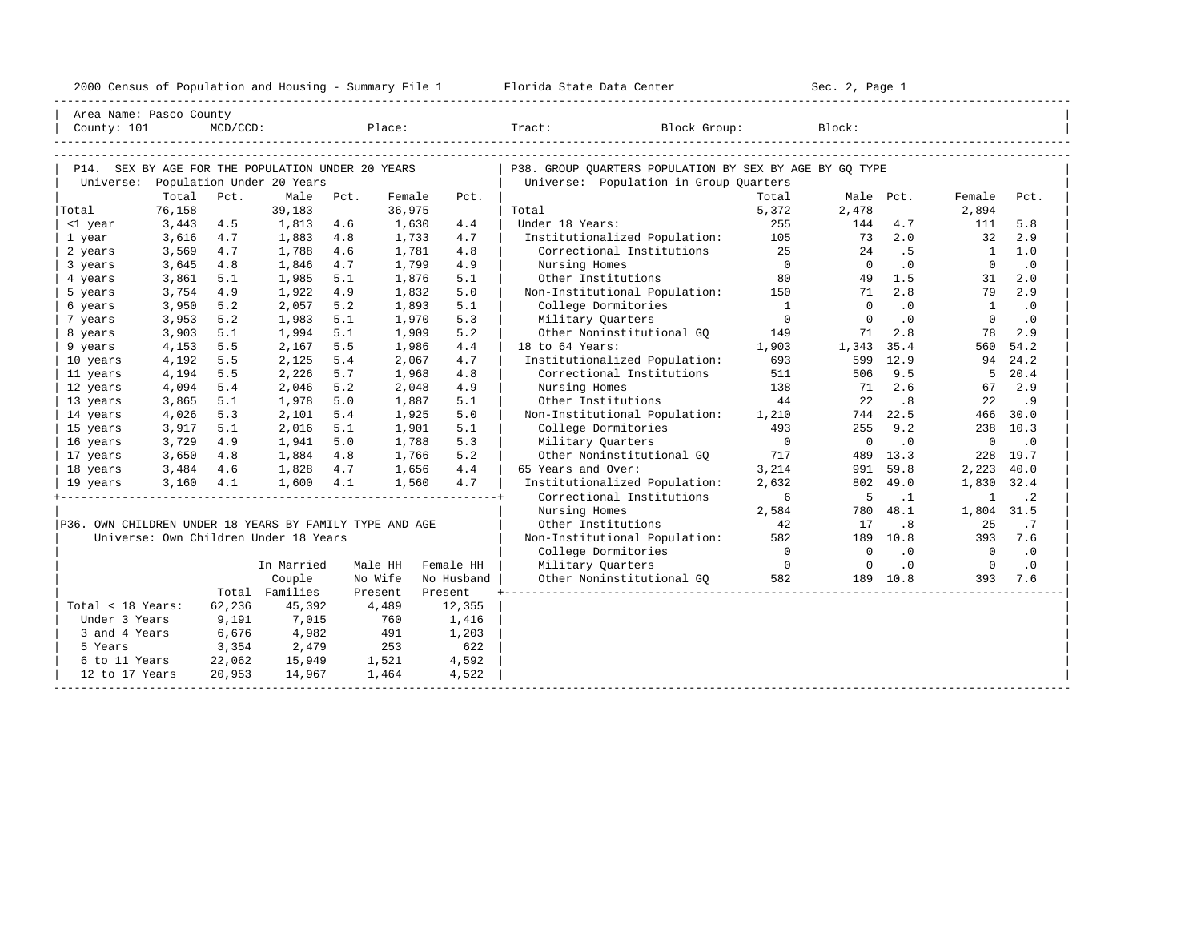| 2000<br>ensus! | and<br>Population | ---<br>Summa:<br>$-$<br>Housing | lorida<br>Data<br>otatt<br>Cente. | ، م ج<br>Page<br>$3-1$ |  |
|----------------|-------------------|---------------------------------|-----------------------------------|------------------------|--|
|                |                   |                                 |                                   |                        |  |

| Area Name: Pasco County                                 |                 |             |                                       |            |                  |            |                                                            |                |           |           |                 |            |
|---------------------------------------------------------|-----------------|-------------|---------------------------------------|------------|------------------|------------|------------------------------------------------------------|----------------|-----------|-----------|-----------------|------------|
| County: 101                                             |                 | $MCD/CCD$ : |                                       |            |                  | Place:     | Tract: Block Group:                                        |                | Block:    |           |                 |            |
|                                                         |                 |             |                                       |            |                  |            |                                                            |                |           |           |                 |            |
|                                                         |                 |             |                                       |            |                  |            |                                                            |                |           |           |                 |            |
| P14. SEX BY AGE FOR THE POPULATION UNDER 20 YEARS       |                 |             |                                       |            |                  |            | P38. GROUP QUARTERS POPULATION BY SEX BY AGE BY GQ TYPE    |                |           |           |                 |            |
| Universe: Population Under 20 Years                     |                 |             |                                       |            |                  |            | Universe: Population in Group Quarters                     |                |           |           |                 |            |
|                                                         | Total<br>76,158 | Pct.        | Male<br>39,183                        | Pct.       | Female<br>36,975 | Pct.       |                                                            | Total<br>5,372 | 2,478     | Male Pct. | Female<br>2,894 | Pct.       |
| Total                                                   |                 |             |                                       |            |                  |            | Total<br>Under 18 Years:                                   | 255            |           | 4.7       |                 |            |
| <1 year                                                 | 3,443<br>3,616  | 4.5<br>4.7  | 1,813<br>1,883                        | 4.6<br>4.8 | 1,630<br>1,733   | 4.4<br>4.7 |                                                            | 105            | 144<br>73 | 2.0       | 111<br>32       | 5.8<br>2.9 |
| 1 year<br>2 years                                       | 3,569           | 4.7         | 1,788                                 | 4.6        | 1,781            | 4.8        | Institutionalized Population:<br>Correctional Institutions | 25             | 24        | .5        | $\overline{1}$  | 1.0        |
| 3 years                                                 | 3,645           | 4.8         | 1,846                                 | 4.7        | 1,799            | 4.9        | Nursing Homes                                              | $\Omega$       | $\Omega$  | $\cdot$ 0 | $\overline{0}$  | $\cdot$ 0  |
| 4 years                                                 | 3,861           | 5.1         | 1,985                                 | 5.1        | 1,876            | 5.1        | Other Institutions                                         | 80             | 49        | 1.5       | 31              | 2.0        |
| 5 years                                                 | 3,754           | 4.9         | 1,922                                 | 4.9        | 1,832            | 5.0        | Non-Institutional Population: 150                          |                | 71        | 2.8       | 79              | 2.9        |
| 6 years                                                 | 3,950           | 5.2         | 2,057                                 | 5.2        | 1,893            | 5.1        | College Dormitories                                        | $\mathbf{1}$   | $\Omega$  | $\cdot$ 0 | <sup>1</sup>    | $\cdot$ 0  |
| 7 years                                                 | 3,953           | 5.2         | 1,983                                 | 5.1        | 1,970            | 5.3        | Military Quarters                                          | $\overline{0}$ | $\Omega$  | $\cdot$ 0 | $\Omega$        | .0         |
| 8 years                                                 | 3,903           | 5.1         | 1,994                                 | 5.1        | 1,909            | 5.2        | Other Noninstitutional GO                                  | 149            | 71        | 2.8       | 78              | 2.9        |
| 9 years                                                 | 4,153           | 5.5         | 2,167                                 | 5.5        | 1,986            | 4.4        | 18 to 64 Years:                                            | 1,903          | 1,343     | 35.4      | 560             | 54.2       |
| 10 years                                                | 4,192           | 5.5         | 2,125                                 | 5.4        | 2,067            | 4.7        | Institutionalized Population:                              | 693            |           | 599 12.9  | 94              | 24.2       |
| 11 years                                                | 4,194           | 5.5         | 2,226                                 | 5.7        | 1,968            | 4.8        | Correctional Institutions                                  | 511            | 506       | 9.5       | 5               | 20.4       |
| 12 years                                                | 4,094           | 5.4         | 2,046                                 | 5.2        | 2,048            | 4.9        | Nursing Homes                                              | 138            | 71        | 2.6       | 67              | 2.9        |
| 13 years                                                | 3,865           | 5.1         | 1,978                                 | 5.0        | 1,887            | 5.1        | Other Institutions                                         | 44             | 22        | .8        | 22              | .9         |
| 14 years                                                | 4,026           | 5.3         | 2,101                                 | 5.4        | 1,925            | 5.0        | Non-Institutional Population:                              | 1,210          |           | 744 22.5  | 466             | 30.0       |
| 15 years                                                | 3,917           | 5.1         | 2,016                                 | 5.1        | 1,901            | 5.1        | College Dormitories                                        | 493            | 255       | 9.2       | 238             | 10.3       |
| 16 years                                                | 3,729           | 4.9         | 1,941                                 | 5.0        | 1,788            | 5.3        | Military Quarters                                          | $\Omega$       | $\Omega$  | $\cdot$ 0 | $\mathbf 0$     | $\cdot$ 0  |
| 17 years                                                | 3,650           | 4.8         | 1,884                                 | 4.8        | 1,766            | 5.2        | Other Noninstitutional GQ                                  | 717            | 489       | 13.3      | 228             | 19.7       |
| 18 years                                                | 3,484           | 4.6         | 1,828                                 | 4.7        | 1,656            | 4.4        | 65 Years and Over:                                         | 3,214          |           | 991 59.8  | 2,223           | 40.0       |
| 19 years                                                | 3,160           | 4.1         | 1,600                                 | 4.1        | 1,560            | 4.7        | Institutionalized Population:                              | 2,632          |           | 802 49.0  | 1,830           | 32.4       |
|                                                         |                 |             |                                       |            |                  |            | Correctional Institutions                                  | 6              | 5         | $\cdot$ 1 | $\mathbf{1}$    | $\cdot$ 2  |
|                                                         |                 |             |                                       |            |                  |            | Nursing Homes                                              | 2,584          | 780       | 48.1      | 1,804 31.5      |            |
| P36. OWN CHILDREN UNDER 18 YEARS BY FAMILY TYPE AND AGE |                 |             |                                       |            |                  |            | Other Institutions                                         | 42             | 17        | .8        | 25              | .7         |
|                                                         |                 |             | Universe: Own Children Under 18 Years |            |                  |            | Non-Institutional Population:                              | 582            |           | 189 10.8  | 393             | 7.6        |
|                                                         |                 |             |                                       |            |                  |            | College Dormitories                                        | $\overline{0}$ | $\Omega$  | $\cdot$ 0 | $\overline{0}$  | $\cdot$ 0  |
|                                                         |                 |             | In Married                            |            | Male HH          | Female HH  | Military Quarters                                          | $\overline{0}$ | $\circ$   | $\cdot$ 0 | $\overline{0}$  | $\cdot$ 0  |
|                                                         |                 |             | Couple                                |            | No Wife          | No Husband | Other Noninstitutional GQ                                  | 582            |           | 189 10.8  | 393             | 7.6        |
|                                                         |                 |             | Total Families                        |            | Present          | Present    |                                                            |                |           |           |                 |            |
| Total < 18 Years:                                       |                 | 62,236      | 45,392                                |            | 4,489            | 12,355     |                                                            |                |           |           |                 |            |
| Under 3 Years                                           |                 | 9,191       | 7,015                                 |            | 760              | 1,416      |                                                            |                |           |           |                 |            |
| 3 and 4 Years                                           |                 | 6,676       | 4,982                                 |            | 491              | 1,203      |                                                            |                |           |           |                 |            |
| 5 Years                                                 |                 | 3,354       | 2,479                                 |            | 253              | 622        |                                                            |                |           |           |                 |            |
| 6 to 11 Years                                           |                 | 22,062      | 15,949                                |            | 1,521            | 4,592      |                                                            |                |           |           |                 |            |
| 12 to 17 Years                                          |                 | 20,953      | 14,967                                |            | 1,464            | 4,522      |                                                            |                |           |           |                 |            |
|                                                         |                 |             |                                       |            |                  |            |                                                            |                |           |           |                 |            |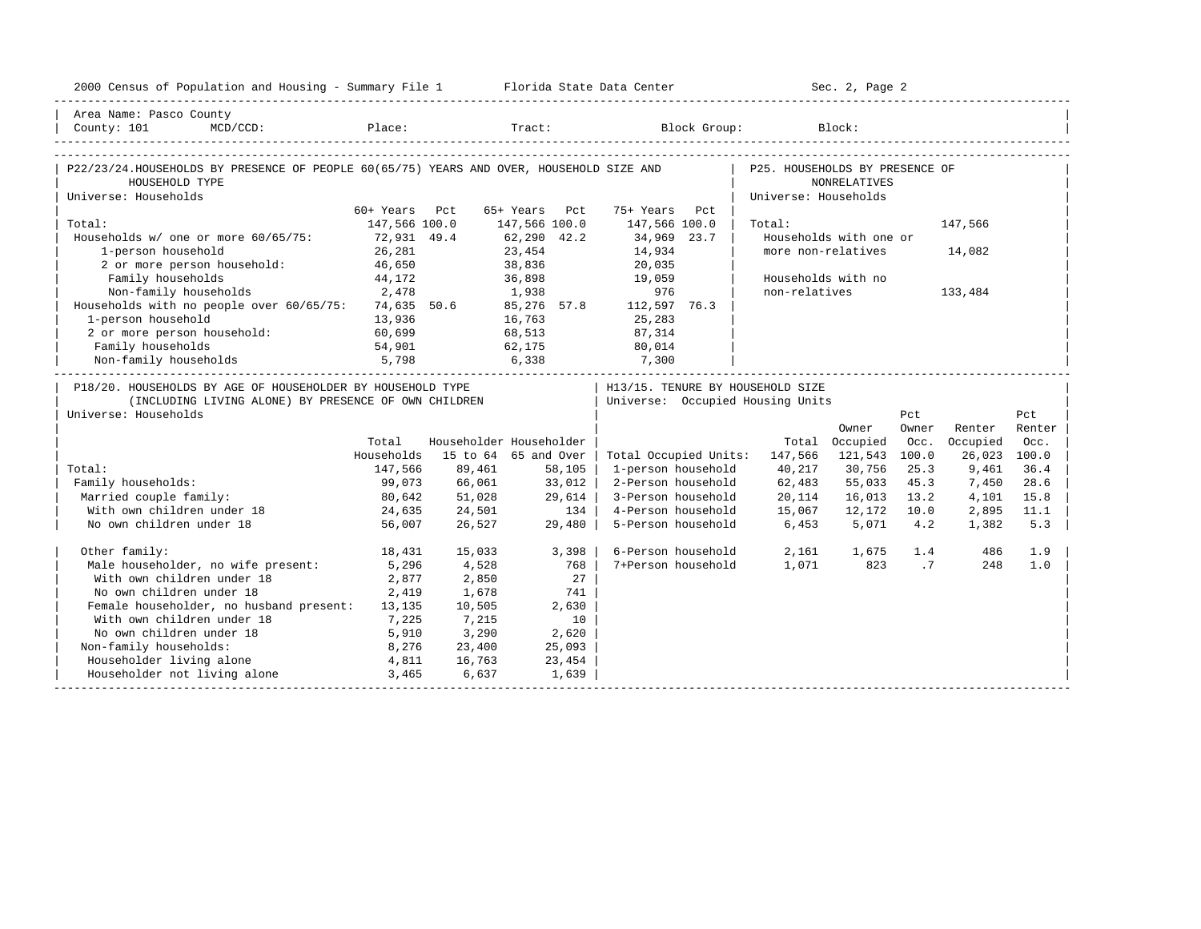| 2000 Census of Population and Housing - Summary File 1 Florida State Data Center                                                                                   |               |        |                         |                                                                        | Sec. 2, Page 2       |                        |       |               |        |
|--------------------------------------------------------------------------------------------------------------------------------------------------------------------|---------------|--------|-------------------------|------------------------------------------------------------------------|----------------------|------------------------|-------|---------------|--------|
| Area Name: Pasco County                                                                                                                                            |               |        |                         |                                                                        |                      |                        |       |               |        |
| County: 101<br>$MCD/CCD$ :                                                                                                                                         |               |        | Place: Tract: Tract:    |                                                                        | Block Group: Block:  |                        |       |               |        |
| P22/23/24.HOUSEHOLDS BY PRESENCE OF PEOPLE 60(65/75) YEARS AND OVER, HOUSEHOLD SIZE AND   P25. HOUSEHOLDS BY PRESENCE OF<br>HOUSEHOLD TYPE<br>Universe: Households |               |        |                         |                                                                        | Universe: Households | <b>NONRELATIVES</b>    |       |               |        |
|                                                                                                                                                                    | 60+ Years Pct |        | 65+ Years Pct           | 75+ Years Pct                                                          |                      |                        |       |               |        |
| Total:                                                                                                                                                             | 147,566 100.0 |        | 147,566 100.0           | 147,566 100.0                                                          | Total:               |                        |       | 147,566       |        |
| Households w/ one or more 60/65/75:                                                                                                                                | 72,931 49.4   |        | 62,290 42.2             | 34,969 23.7                                                            |                      | Households with one or |       |               |        |
| 1-person household                                                                                                                                                 | 26,281        |        | 23,454                  | 14,934                                                                 |                      | more non-relatives     |       | 14,082        |        |
| 2 or more person household: 46,650                                                                                                                                 |               |        | 38,836                  | 20,035                                                                 |                      |                        |       |               |        |
| Family households                                                                                                                                                  | 44,172        |        | 36,898<br>1,938         | 19,059                                                                 |                      | Households with no     |       |               |        |
| 2,478<br>Non-family households                                                                                                                                     |               |        |                         | 976                                                                    | non-relatives        |                        |       | 133,484       |        |
| Households with no people over $60/65/75$ : 74,635 50.6                                                                                                            |               |        |                         | 85,276 57.8 112,597 76.3                                               |                      |                        |       |               |        |
| 1-person household                                                                                                                                                 | 13,936        |        | 16,763                  | 25,283                                                                 |                      |                        |       |               |        |
| 2 or more person household: 60,699                                                                                                                                 |               |        | 68,513                  | 87,314                                                                 |                      |                        |       |               |        |
| Family households                                                                                                                                                  | 54,901        |        |                         | $62,175$ 80,014                                                        |                      |                        |       |               |        |
|                                                                                                                                                                    |               |        |                         |                                                                        |                      |                        |       |               |        |
| P18/20. HOUSEHOLDS BY AGE OF HOUSEHOLDER BY HOUSEHOLD TYPE<br>(INCLUDING LIVING ALONE) BY PRESENCE OF OWN CHILDREN<br>Universe: Households                         |               |        |                         | H13/15. TENURE BY HOUSEHOLD SIZE<br>  Universe: Occupied Housing Units |                      |                        | Pct   |               | Pct    |
|                                                                                                                                                                    |               |        |                         |                                                                        |                      | Owner                  | Owner | Renter        | Renter |
|                                                                                                                                                                    | Total         |        | Householder Householder |                                                                        |                      | Total Occupied         |       | Occ. Occupied | Occ.   |
|                                                                                                                                                                    | Households    |        | 15 to 64 65 and Over    | Total Occupied Units: 147,566 121,543 100.0                            |                      |                        |       | 26,023 100.0  |        |
| Total:                                                                                                                                                             | 147,566       | 89,461 | 58,105                  | 1-person household                                                     | 40,217               | 30,756                 | 25.3  | 9,461         | 36.4   |
| Family households:                                                                                                                                                 | 99,073        | 66,061 | 33,012                  | 2-Person household                                                     | 62,483               | 55,033                 | 45.3  | 7,450         | 28.6   |
| Married couple family:                                                                                                                                             | 80,642        | 51,028 | 29,614                  | 3-Person household                                                     | 20,114               | 16,013                 | 13.2  | 4,101         | 15.8   |
| With own children under 18                                                                                                                                         | 24,635        | 24,501 | 134                     | 4-Person household                                                     | 15,067               | 12,172                 | 10.0  | 2,895         | 11.1   |
| No own children under 18                                                                                                                                           | 56,007        | 26,527 | 29,480                  | 5-Person household                                                     | 6,453                | 5,071                  | 4.2   | 1,382         | 5.3    |
| Other family:                                                                                                                                                      | 18,431        | 15,033 | 3,398                   | 6-Person household                                                     | 2,161                | 1,675                  | 1.4   | 486           | 1.9    |
| Male householder, no wife present:                                                                                                                                 | 5,296         | 4,528  | 768                     | 7+Person household                                                     |                      | 1,071 823              | .7    | 248           | 1.0    |
| With own children under 18                                                                                                                                         | 2,877         | 2,850  | 27                      |                                                                        |                      |                        |       |               |        |
| No own children under 18                                                                                                                                           | 2,419         | 1,678  | 741                     |                                                                        |                      |                        |       |               |        |
| Female householder, no husband present: 13,135                                                                                                                     |               | 10,505 | 2,630                   |                                                                        |                      |                        |       |               |        |
| With own children under 18                                                                                                                                         | 7,225         | 7,215  | 10                      |                                                                        |                      |                        |       |               |        |
| No own children under 18                                                                                                                                           | 5,910         | 3,290  | 2,620                   |                                                                        |                      |                        |       |               |        |
| Non-family households:                                                                                                                                             | 8,276         | 23,400 | 25,093                  |                                                                        |                      |                        |       |               |        |
| Householder living alone                                                                                                                                           | 4,811         | 16,763 | 23,454                  |                                                                        |                      |                        |       |               |        |
| Householder not living alone                                                                                                                                       | 3,465         | 6,637  | 1,639                   |                                                                        |                      |                        |       |               |        |
|                                                                                                                                                                    |               |        |                         |                                                                        |                      |                        |       |               |        |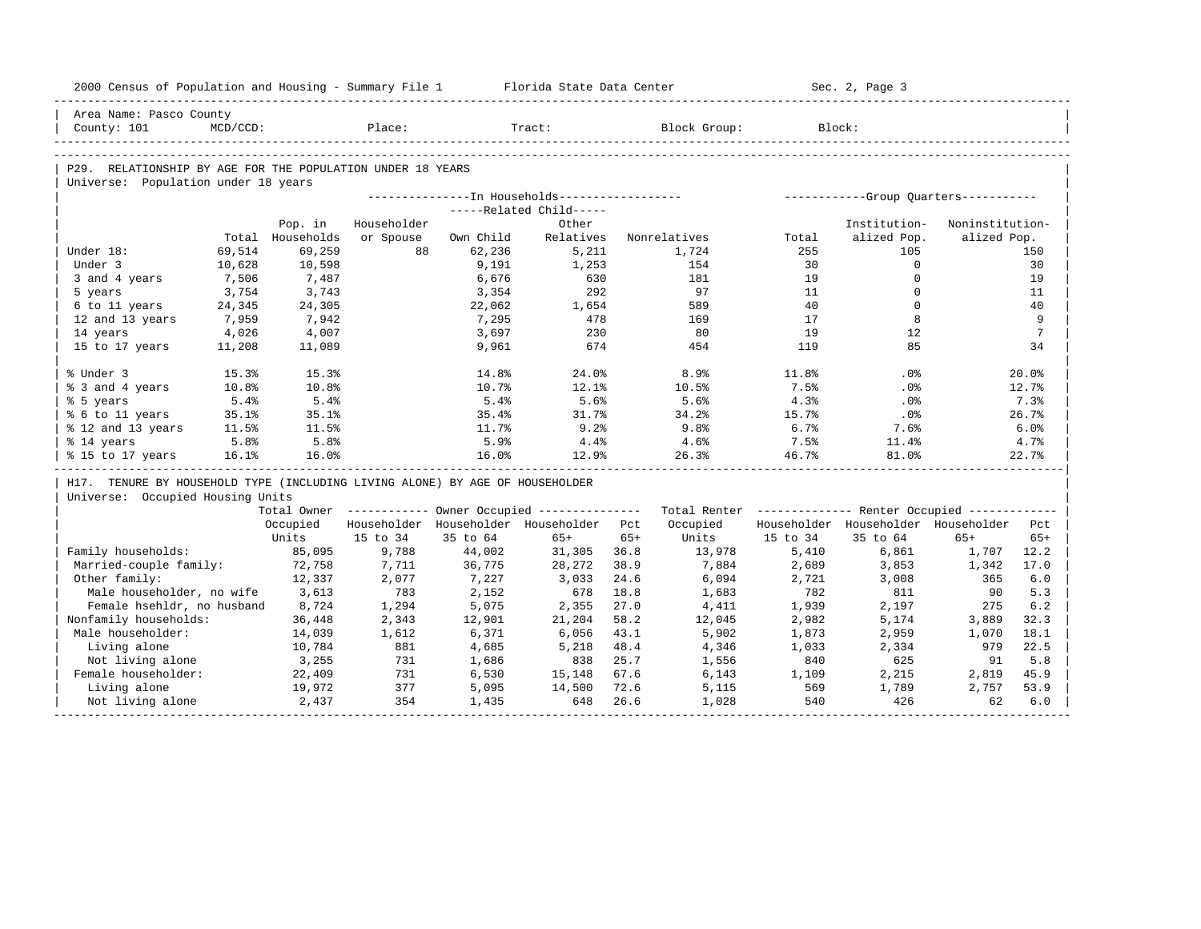| 2000 Census of Population and Housing - Summary File 1 Florida State Data Center |             |                  |                                         |           |                         |       |                                                                                                               |          | Sec. 2, Page 3                                   |                 |                 |
|----------------------------------------------------------------------------------|-------------|------------------|-----------------------------------------|-----------|-------------------------|-------|---------------------------------------------------------------------------------------------------------------|----------|--------------------------------------------------|-----------------|-----------------|
| Area Name: Pasco County                                                          |             |                  |                                         |           |                         |       |                                                                                                               |          |                                                  |                 |                 |
| County: 101                                                                      | $MCD/CCD$ : |                  | Place:                                  |           | Tract:                  |       | Block Group:                                                                                                  |          | Block:                                           |                 |                 |
|                                                                                  |             |                  |                                         |           |                         |       |                                                                                                               |          |                                                  |                 |                 |
| P29. RELATIONSHIP BY AGE FOR THE POPULATION UNDER 18 YEARS                       |             |                  |                                         |           |                         |       |                                                                                                               |          |                                                  |                 |                 |
| Universe: Population under 18 years                                              |             |                  |                                         |           |                         |       |                                                                                                               |          |                                                  |                 |                 |
|                                                                                  |             |                  |                                         |           |                         |       |                                                                                                               |          |                                                  |                 |                 |
|                                                                                  |             |                  |                                         |           | -----Related Child----- |       |                                                                                                               |          |                                                  |                 |                 |
|                                                                                  |             | Pop. in          | Householder                             |           | Other                   |       |                                                                                                               |          | Institution-                                     | Noninstitution- |                 |
|                                                                                  |             | Total Households | or Spouse                               | Own Child | Relatives               |       | Nonrelatives                                                                                                  | Total    | alized Pop.                                      | alized Pop.     |                 |
| Under 18:                                                                        | 69,514      | 69,259           | 88                                      | 62,236    | 5,211                   |       | 1,724                                                                                                         | 255      | 105                                              |                 | 150             |
| Under 3                                                                          | 10,628      | 10,598           |                                         | 9,191     | 1,253                   |       | 154                                                                                                           | 30       | $\Omega$                                         |                 | 30              |
| 3 and 4 years                                                                    | 7,506       | 7,487            |                                         | 6,676     | 630                     |       | 181                                                                                                           | 19       | $\mathbf 0$                                      |                 | 19              |
| 5 years                                                                          | 3,754       | 3,743            |                                         | 3,354     | 292                     |       | 97                                                                                                            | 11       | $\Omega$                                         |                 | 11              |
| 6 to 11 years                                                                    | 24,345      | 24,305           |                                         | 22,062    | 1,654                   |       | 589                                                                                                           | 40       | $\mathbf 0$                                      |                 | 40<br>9         |
| 12 and 13 years                                                                  | 7,959       | 7,942            |                                         | 7,295     | 478                     |       | 169                                                                                                           | 17       | 8                                                |                 |                 |
| 14 years                                                                         | 4,026       | 4,007            |                                         | 3,697     | 230                     |       | 80                                                                                                            | 19       | 12<br>85                                         |                 | $7\phantom{.0}$ |
| 15 to 17 years                                                                   | 11,208      | 11,089           |                                         | 9,961     | 674                     |       | 454                                                                                                           | 119      |                                                  |                 | 34              |
| % Under 3                                                                        | 15.3%       | 15.3%            |                                         | 14.8%     | 24.0%                   |       | 8.9%                                                                                                          | 11.8%    | $.0\%$                                           |                 | 20.0%           |
| % 3 and 4 years                                                                  | 10.8%       | 10.8%            |                                         | 10.7%     | 12.1%                   |       | 10.5%                                                                                                         | 7.5%     | $.0\%$                                           |                 | 12.7%           |
| % 5 years                                                                        | 5.4%        | 5.4%             |                                         | 5.4%      | 5.6%                    |       | 5.6%                                                                                                          | 4.3%     | $.0\%$                                           |                 | 7.3%            |
| % 6 to 11 years                                                                  | 35.1%       | 35.1%            |                                         | 35.4%     | 31.7%                   |       | 34.2%                                                                                                         | 15.7%    | .0%                                              |                 | 26.7%           |
| % 12 and 13 years                                                                | 11.5%       | 11.5%            |                                         | 11.7%     | 9.2%                    |       | 9.8 <sub>8</sub>                                                                                              | 6.7%     | 7.6%                                             |                 | 6.0%            |
| % 14 years                                                                       | 5.8%        | 5.8%             |                                         | 5.9%      | 4.4%                    |       | 4.6%                                                                                                          | 7.5%     | $11.4\%$                                         |                 | 4.7%            |
| % 15 to 17 years                                                                 | 16.1%       | 16.0%            |                                         | 16.0%     | 12.9%                   |       | 26.3%                                                                                                         | 46.7%    | 81.0%                                            |                 | 22.7%           |
| H17. TENURE BY HOUSEHOLD TYPE (INCLUDING LIVING ALONE) BY AGE OF HOUSEHOLDER     |             |                  |                                         |           |                         |       |                                                                                                               |          |                                                  |                 |                 |
| Universe: Occupied Housing Units                                                 |             |                  |                                         |           |                         |       |                                                                                                               |          |                                                  |                 |                 |
|                                                                                  |             |                  |                                         |           |                         |       | Total Owner ----------- Owner Occupied -------------- Total Renter ------------- Renter Occupied ------------ |          |                                                  |                 |                 |
|                                                                                  |             | Occupied         | Householder Householder Householder Pct |           |                         |       |                                                                                                               |          | Occupied Householder Householder Householder Pct |                 |                 |
|                                                                                  |             | Units            | 15 to 34                                | 35 to 64  | $65+$                   | $65+$ | Units                                                                                                         | 15 to 34 | 35 to 64                                         | $65+$           | $65+$           |
| Family households:                                                               |             | 85,095           | 9,788                                   | 44,002    | 31,305 36.8             |       | 13,978                                                                                                        | 5,410    | 6,861                                            | 1,707           | 12.2            |
| Married-couple family:                                                           |             | 72,758           | 7,711                                   | 36,775    | 28,272                  | 38.9  | 7,884                                                                                                         | 2,689    | 3,853                                            | 1,342           | 17.0            |
| Other family:                                                                    |             | 12,337           | 2,077                                   | 7,227     | 3.033                   | 24.6  | 6,094                                                                                                         | 2,721    | 3,008                                            | 365             | 6.0             |
| Male householder, no wife 3,613                                                  |             |                  | 783                                     | 2,152     | 678                     | 18.8  | 1,683                                                                                                         | 782      | 811                                              | 90              | 5.3             |
| Female hsehldr, no husband                                                       |             | 8,724            | 1,294                                   | 5,075     | 2,355                   | 27.0  | 4,411                                                                                                         | 1,939    | 2,197                                            | 275             | 6.2             |
| Nonfamily households:                                                            |             | 36,448           | 2,343                                   | 12,901    | 21,204                  | 58.2  | 12,045                                                                                                        | 2,982    | 5,174                                            | 3,889           | 32.3            |
| Male householder:                                                                |             | 14,039           | 1,612                                   | 6,371     | 6,056                   | 43.1  | 5,902                                                                                                         | 1,873    | 2,959                                            | 1,070           | 18.1            |
| Living alone                                                                     |             | 10,784           | 881                                     | 4,685     | 5,218                   | 48.4  | 4,346                                                                                                         | 1,033    | 2,334                                            | 979             | 22.5            |
| Not living alone                                                                 |             | 3,255            | 731                                     | 1,686     | 838                     | 25.7  | 1,556                                                                                                         | 840      | 625                                              | 91              | 5.8             |
| Female householder:                                                              |             | 22,409           | 731                                     | 6,530     | 15,148                  | 67.6  | 6,143                                                                                                         | 1,109    | 2,215                                            | 2,819           | 45.9            |
| Living alone                                                                     |             | 19,972           | 377                                     | 5,095     | 14,500                  | 72.6  | 5,115                                                                                                         | 569      | 1,789                                            | 2,757           | 53.9            |
| Not living alone                                                                 |             | 2,437            | 354                                     | 1,435     | 648                     | 26.6  | 1,028                                                                                                         | 540      | 426                                              | 62              | 6.0             |
|                                                                                  |             |                  |                                         |           |                         |       |                                                                                                               |          |                                                  |                 |                 |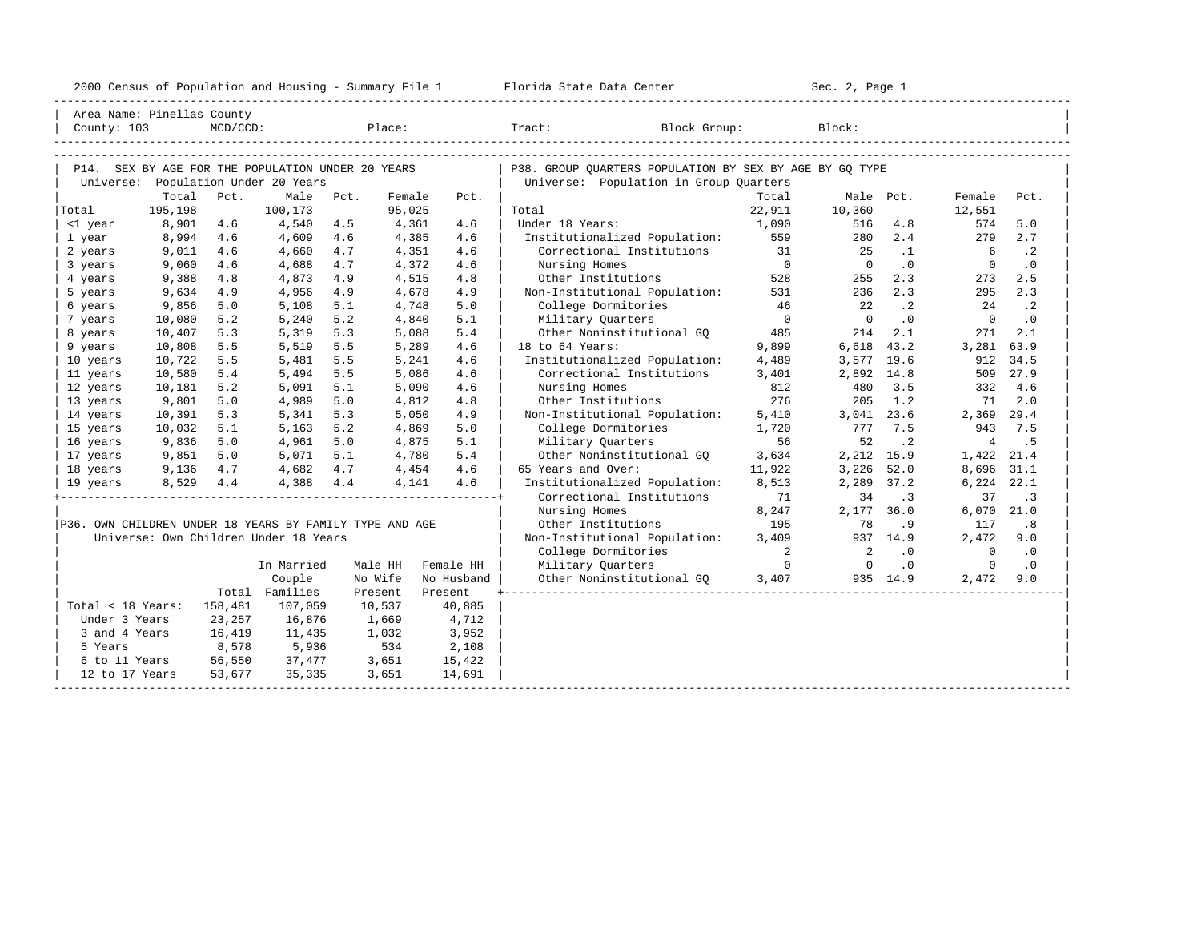| 2000<br>ensus! | and<br>Population | ---<br>Summa:<br>$-$<br>Housing | lorida<br>Data<br>otatt<br>Cente. | ، م ج<br>Page<br>$3-1$ |  |
|----------------|-------------------|---------------------------------|-----------------------------------|------------------------|--|
|                |                   |                                 |                                   |                        |  |

|                                                         | Area Name: Pinellas County |             |                                                   |            |                |            |                                                            |                |            |            |                |           |
|---------------------------------------------------------|----------------------------|-------------|---------------------------------------------------|------------|----------------|------------|------------------------------------------------------------|----------------|------------|------------|----------------|-----------|
| County: 103                                             |                            | $MCD/CCD$ : |                                                   |            | Place:         |            | Tract:<br>Block Group:                                     |                | Block:     |            |                |           |
|                                                         |                            |             |                                                   |            |                |            |                                                            |                |            |            |                |           |
|                                                         |                            |             |                                                   |            |                |            |                                                            |                |            |            |                |           |
|                                                         |                            |             | P14. SEX BY AGE FOR THE POPULATION UNDER 20 YEARS |            |                |            | P38. GROUP OUARTERS POPULATION BY SEX BY AGE BY GO TYPE    |                |            |            |                |           |
|                                                         |                            |             | Universe: Population Under 20 Years               |            |                |            | Universe: Population in Group Quarters                     |                |            |            |                |           |
|                                                         | Total                      | Pct.        | Male                                              | Pct.       | Female         | Pct.       |                                                            | Total          | Male Pct.  |            | Female         | Pct.      |
| Total                                                   | 195,198                    |             | 100,173                                           |            | 95,025         |            | Total<br>Under 18 Years:                                   | 22,911         | 10,360     |            | 12,551<br>574  | 5.0       |
| <1 year                                                 | 8,901<br>8,994             | 4.6<br>4.6  | 4,540<br>4,609                                    | 4.5<br>4.6 | 4,361<br>4,385 | 4.6<br>4.6 |                                                            | 1,090<br>559   | 516<br>280 | 4.8<br>2.4 | 279            | 2.7       |
| 1 year<br>2 years                                       | 9,011                      | 4.6         | 4,660                                             | 4.7        | 4,351          | 4.6        | Institutionalized Population:<br>Correctional Institutions | 31             | 25         | $\cdot$ 1  | 6              | $\cdot$ 2 |
| 3 years                                                 | 9,060                      | 4.6         | 4,688                                             | 4.7        | 4,372          | 4.6        | Nursing Homes                                              | $\overline{0}$ | $\Omega$   | $\cdot$ 0  | $\Omega$       | $\cdot$ 0 |
| 4 years                                                 | 9,388                      | 4.8         | 4,873                                             | 4.9        | 4,515          | 4.8        | Other Institutions                                         | 528            | 255        | 2.3        | 273            | 2.5       |
| 5 years                                                 | 9,634                      | 4.9         | 4,956                                             | 4.9        | 4,678          | 4.9        | Non-Institutional Population:                              | 531            | 236        | 2.3        | 295            | 2.3       |
| 6 years                                                 | 9,856                      | 5.0         | 5,108                                             | 5.1        | 4,748          | 5.0        | College Dormitories                                        | 46             | 22         | $\cdot$ 2  | 24             | $\cdot$ 2 |
| 7 years                                                 | 10,080                     | 5.2         | 5,240                                             | 5.2        | 4,840          | 5.1        | Military Ouarters                                          | $\overline{0}$ | $\Omega$   | $\cdot$ 0  | $\mathbf 0$    | .0        |
| 8 years                                                 | 10,407                     | 5.3         | 5,319                                             | 5.3        | 5,088          | 5.4        | Other Noninstitutional GO                                  | 485            | 214        | 2.1        | 271            | 2.1       |
| 9 years                                                 | 10,808                     | 5.5         | 5,519                                             | 5.5        | 5,289          | 4.6        | 18 to 64 Years:                                            | 9,899          | 6,618      | 43.2       | 3,281          | 63.9      |
| 10 years                                                | 10,722                     | 5.5         | 5,481                                             | 5.5        | 5,241          | 4.6        | Institutionalized Population:                              | 4,489          | 3,577      | 19.6       | 912            | 34.5      |
| 11 years                                                | 10,580                     | 5.4         | 5,494                                             | 5.5        | 5,086          | 4.6        | Correctional Institutions                                  | 3,401          | 2,892      | 14.8       | 509            | 27.9      |
| 12 years                                                | 10,181                     | 5.2         | 5,091                                             | 5.1        | 5,090          | 4.6        | Nursing Homes                                              | 812            | 480        | 3.5        | 332            | 4.6       |
| 13 years                                                | 9,801                      | 5.0         | 4,989                                             | 5.0        | 4,812          | 4.8        | Other Institutions                                         | 276            | 205        | 1.2        | 71             | 2.0       |
| 14 years                                                | 10,391                     | 5.3         | 5,341                                             | 5.3        | 5,050          | 4.9        | Non-Institutional Population:                              | 5,410          | 3,041      | 23.6       | 2,369          | 29.4      |
| 15 years                                                | 10,032                     | 5.1         | 5,163                                             | 5.2        | 4,869          | 5.0        | College Dormitories                                        | 1,720          | 777        | 7.5        | 943            | 7.5       |
| 16 years                                                | 9,836                      | 5.0         | 4,961                                             | 5.0        | 4,875          | 5.1        | Military Quarters                                          | 56             | 52         | $\cdot$ 2  | $\overline{4}$ | . 5       |
| 17 years                                                | 9,851                      | 5.0         | 5,071                                             | 5.1        | 4,780          | 5.4        | Other Noninstitutional GQ                                  | 3,634          | 2,212      | 15.9       | 1,422          | 21.4      |
| 18 years                                                | 9,136                      | 4.7         | 4,682                                             | 4.7        | 4,454          | 4.6        | 65 Years and Over:                                         | 11,922         | 3,226      | 52.0       | 8,696          | 31.1      |
| 19 years                                                | 8,529                      | 4.4         | 4,388                                             | 4.4        | 4,141          | 4.6        | Institutionalized Population:                              | 8,513          | 2,289      | 37.2       | 6,224          | 22.1      |
|                                                         |                            |             |                                                   |            |                |            | Correctional Institutions                                  | 71             | 34         | $\cdot$ 3  | 37             | $\cdot$ 3 |
|                                                         |                            |             |                                                   |            |                |            | Nursing Homes                                              | 8,247          | 2,177      | 36.0       | 6,070          | 21.0      |
| P36. OWN CHILDREN UNDER 18 YEARS BY FAMILY TYPE AND AGE |                            |             |                                                   |            |                |            | Other Institutions                                         | 195            | 78         | .9         | 117            | .8        |
|                                                         |                            |             | Universe: Own Children Under 18 Years             |            |                |            | Non-Institutional Population:                              | 3.409          |            | 937 14.9   | 2,472          | 9.0       |
|                                                         |                            |             |                                                   |            |                |            | College Dormitories                                        | 2              | 2          | $\cdot$ 0  | $\mathbf 0$    | $\cdot$ 0 |
|                                                         |                            |             | In Married                                        |            | Male HH        | Female HH  | Military Quarters                                          | $\overline{0}$ | $\Omega$   | $\cdot$ 0  | $\Omega$       | .0        |
|                                                         |                            |             | Couple                                            |            | No Wife        | No Husband | Other Noninstitutional GQ                                  | 3,407          |            | 935 14.9   | 2,472          | 9.0       |
|                                                         |                            |             | Total Families                                    |            | Present        | Present    |                                                            |                |            |            |                |           |
| Total < 18 Years:                                       |                            | 158,481     | 107,059                                           |            | 10,537         | 40,885     |                                                            |                |            |            |                |           |
| Under 3 Years                                           |                            | 23,257      | 16,876                                            |            | 1,669          | 4,712      |                                                            |                |            |            |                |           |
| 3 and 4 Years                                           |                            | 16,419      | 11,435                                            |            | 1,032          | 3,952      |                                                            |                |            |            |                |           |
| 5 Years                                                 |                            | 8,578       | 5,936                                             |            | 534            | 2,108      |                                                            |                |            |            |                |           |
| 6 to 11 Years                                           |                            | 56,550      | 37,477                                            |            | 3,651          | 15,422     |                                                            |                |            |            |                |           |
| 12 to 17 Years                                          |                            | 53,677      | 35,335                                            |            | 3,651          | 14,691     |                                                            |                |            |            |                |           |
|                                                         |                            |             |                                                   |            |                |            |                                                            |                |            |            |                |           |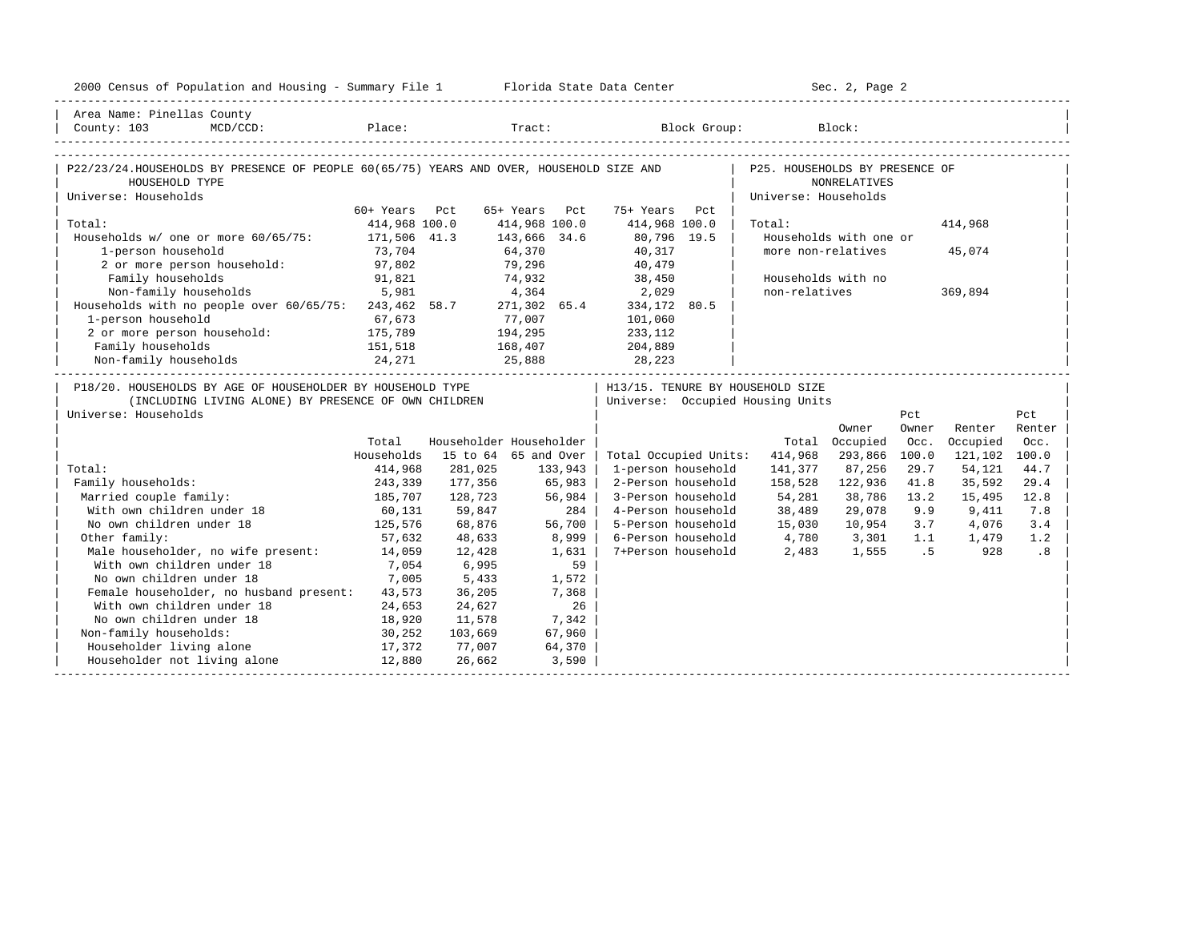| 2000 Census of Population and Housing - Summary File 1 Florida State Data Center                                           |                    |         |                         |                                                                                                | Sec. 2, Page 2                 |                        |       |               |        |
|----------------------------------------------------------------------------------------------------------------------------|--------------------|---------|-------------------------|------------------------------------------------------------------------------------------------|--------------------------------|------------------------|-------|---------------|--------|
| Area Name: Pinellas County                                                                                                 |                    |         |                         |                                                                                                |                                |                        |       |               |        |
| County: 103<br>$MCD / CCD$ :                                                                                               |                    |         |                         | Place: Tract: Block Group: Block:                                                              |                                |                        |       |               |        |
|                                                                                                                            |                    |         |                         |                                                                                                |                                |                        |       |               |        |
| P22/23/24.HOUSEHOLDS BY PRESENCE OF PEOPLE 60(65/75) YEARS AND OVER, HOUSEHOLD SIZE AND                                    |                    |         |                         |                                                                                                | P25. HOUSEHOLDS BY PRESENCE OF |                        |       |               |        |
| HOUSEHOLD TYPE                                                                                                             |                    |         |                         |                                                                                                |                                | <b>NONRELATIVES</b>    |       |               |        |
| Universe: Households                                                                                                       |                    |         |                         |                                                                                                | Universe: Households           |                        |       |               |        |
|                                                                                                                            | 60+ Years Pct      |         | 65+ Years Pct           | 75+ Years Pct                                                                                  |                                |                        |       |               |        |
| Total:                                                                                                                     | 414,968 100.0      |         | 414,968 100.0           | 414,968 100.0                                                                                  | Total:                         |                        |       | 414,968       |        |
| Households w/ one or more 60/65/75: 171,506 41.3                                                                           |                    |         | 143,666 34.6            | 80,796 19.5                                                                                    | more non-relatives             | Households with one or |       |               |        |
| 1-person household                                                                                                         | 73,704<br>97,802   |         | 64,370<br>79,296        | 40,317                                                                                         |                                |                        |       | 45,074        |        |
| 2 or more person household:<br>Family households                                                                           | 91,821             |         | 74,932 38,450           | 40,479                                                                                         | Households with no             |                        |       |               |        |
| Non-family households 5,981                                                                                                |                    |         |                         |                                                                                                | non-relatives                  |                        |       | 369,894       |        |
| Non-family households 5,981 4,364 2,029<br>Households with no people over 60/65/75: 243,462 58.7 271,302 65.4 334,172 80.5 |                    |         |                         |                                                                                                |                                |                        |       |               |        |
| 1-person household                                                                                                         | 67,673             |         | 77,007                  | 101,060                                                                                        |                                |                        |       |               |        |
| 2 or more person household: 175,789                                                                                        |                    |         | 194,295                 | 233,112                                                                                        |                                |                        |       |               |        |
|                                                                                                                            |                    |         |                         |                                                                                                |                                |                        |       |               |        |
|                                                                                                                            |                    |         | 168,407<br>25,888       | 204,889<br>28,223                                                                              |                                |                        |       |               |        |
| 151,518<br>Non-family households<br>24.271                                                                                 |                    |         |                         |                                                                                                |                                |                        |       |               |        |
| P18/20. HOUSEHOLDS BY AGE OF HOUSEHOLDER BY HOUSEHOLD TYPE                                                                 |                    |         |                         | H13/15. TENURE BY HOUSEHOLD SIZE                                                               |                                |                        |       |               |        |
| (INCLUDING LIVING ALONE) BY PRESENCE OF OWN CHILDREN                                                                       |                    |         |                         | Universe: Occupied Housing Units                                                               |                                |                        |       |               |        |
| Universe: Households                                                                                                       |                    |         |                         |                                                                                                |                                |                        | Pct   |               | Pct    |
|                                                                                                                            |                    |         |                         |                                                                                                |                                | Owner                  | Owner | Renter        | Renter |
|                                                                                                                            | Total              |         | Householder Householder |                                                                                                |                                | Total Occupied         | Occ.  | Occupied      | Occ.   |
|                                                                                                                            | Households         |         | 15 to 64 65 and Over    | Total Occupied Units:                                                                          | 414,968                        | 293,866 100.0          |       | 121,102 100.0 |        |
| Total:                                                                                                                     | 414,968            | 281,025 | 133,943                 | 1-person household                                                                             | 141,377                        | 87,256                 | 29.7  | 54,121        | 44.7   |
| Family households:                                                                                                         | 243,339<br>185,707 | 177,356 | 65,983                  | 2-Person household                                                                             | 158,528                        | 122,936                | 41.8  | 35,592        | 29.4   |
| Married couple family:                                                                                                     |                    | 128,723 | 56,984                  | 3-Person household                                                                             | 54,281                         | 38,786                 | 13.2  | 15,495        | 12.8   |
| With own children under 18                                                                                                 | 60, 131            | 59,847  | 284                     | 4-Person household                                                                             | 38,489                         | 29,078 9.9             |       | 9,411         | 7.8    |
| No own children under 18                                                                                                   | 125,576            | 68,876  | 56,700                  | 5-Person household                                                                             | 15,030                         | 10,954 3.7             |       | 4,076         | 3.4    |
| Other family:                                                                                                              | 57,632             | 48,633  | 8,999                   | 6-Person household $4,780$ $3,301$ $1.1$ $1,479$<br>7+Person household $2,483$ $1,555$ $5$ 928 |                                |                        |       | 1,479         | 1.2    |
| Male householder, no wife present: 14,059                                                                                  |                    | 12,428  | 1,631                   |                                                                                                |                                |                        |       |               | .8     |
| With own children under 18                                                                                                 | 7,054              | 6,995   | 59                      |                                                                                                |                                |                        |       |               |        |
| No own children under 18                                                                                                   | 7,005              | 5,433   | 1,572                   |                                                                                                |                                |                        |       |               |        |
| Female householder, no husband present: 43,573                                                                             |                    | 36,205  | 7,368                   |                                                                                                |                                |                        |       |               |        |
| With own children under 18                                                                                                 | 24,653             | 24,627  | 26                      |                                                                                                |                                |                        |       |               |        |
| No own children under 18<br>18,920                                                                                         |                    | 11,578  | 7,342                   |                                                                                                |                                |                        |       |               |        |
| Non-family households:                                                                                                     | 30,252             | 103,669 | 67,960                  |                                                                                                |                                |                        |       |               |        |
| Householder living alone                                                                                                   | 17,372             | 77,007  | 64,370                  |                                                                                                |                                |                        |       |               |        |
| Householder not living alone                                                                                               | 12,880             | 26,662  | 3,590                   |                                                                                                |                                |                        |       |               |        |
|                                                                                                                            |                    |         |                         |                                                                                                |                                |                        |       |               |        |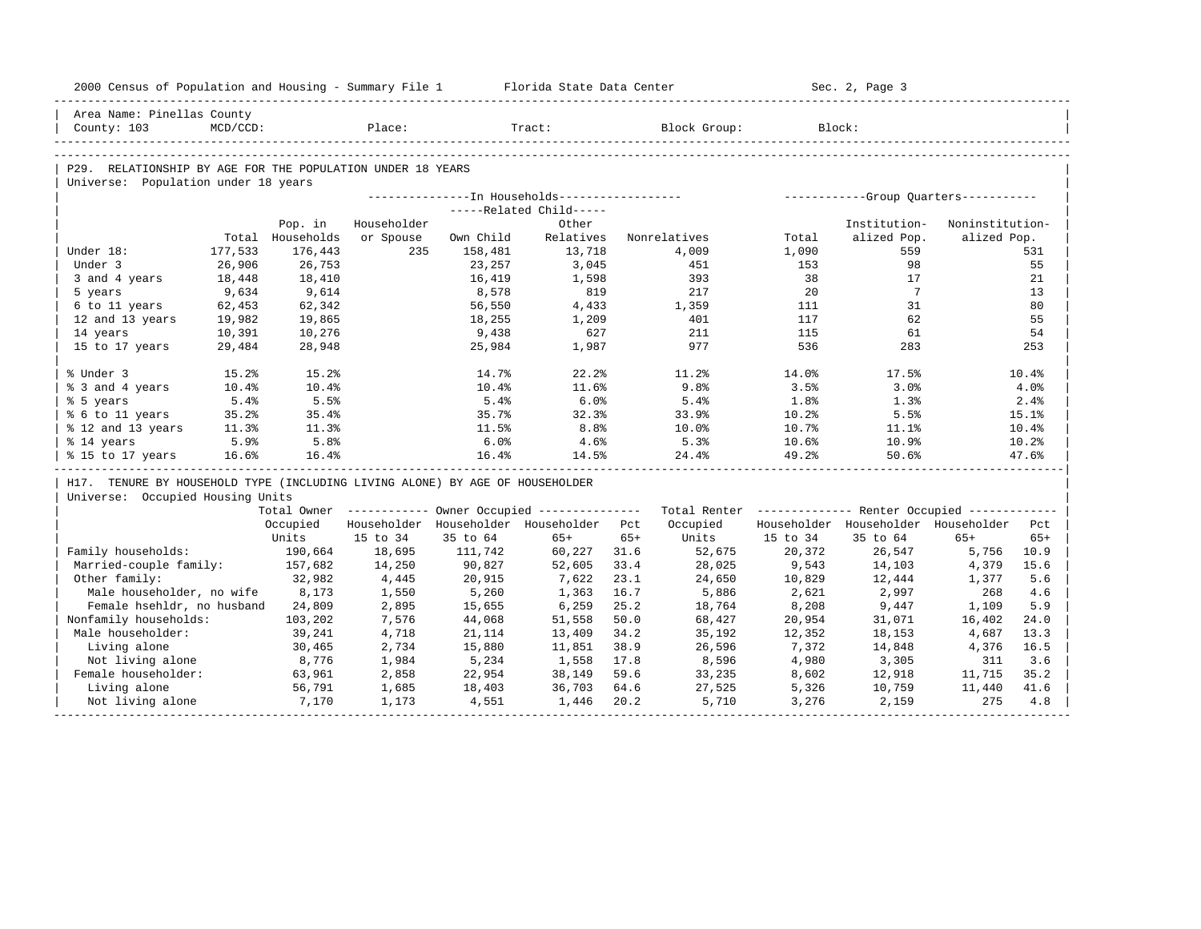| 2000 Census of Population and Housing - Summary File 1 Florida State Data Center |          |                  |             |           |                                                  |       |                                                                                                                |          | Sec. 2, Page 3                                   |                 |       |
|----------------------------------------------------------------------------------|----------|------------------|-------------|-----------|--------------------------------------------------|-------|----------------------------------------------------------------------------------------------------------------|----------|--------------------------------------------------|-----------------|-------|
| Area Name: Pinellas County                                                       |          |                  |             |           |                                                  |       |                                                                                                                |          |                                                  |                 |       |
| County: 103                                                                      | MCD/CCD: |                  | Place:      |           | Tract:                                           |       | Block Group: Block:                                                                                            |          |                                                  |                 |       |
|                                                                                  |          |                  |             |           |                                                  |       |                                                                                                                |          |                                                  |                 |       |
| P29. RELATIONSHIP BY AGE FOR THE POPULATION UNDER 18 YEARS                       |          |                  |             |           |                                                  |       |                                                                                                                |          |                                                  |                 |       |
| Universe: Population under 18 years                                              |          |                  |             |           |                                                  |       |                                                                                                                |          |                                                  |                 |       |
|                                                                                  |          |                  |             |           |                                                  |       |                                                                                                                |          |                                                  |                 |       |
|                                                                                  |          |                  |             |           | -----Related Child-----                          |       |                                                                                                                |          |                                                  |                 |       |
|                                                                                  |          | Pop. in          | Householder |           | Other                                            |       |                                                                                                                |          | Institution-                                     | Noninstitution- |       |
|                                                                                  |          | Total Households | or Spouse   | Own Child | Relatives                                        |       | Nonrelatives                                                                                                   | Total    | alized Pop.                                      | alized Pop.     |       |
| Under 18:                                                                        | 177,533  | 176,443          | 235         | 158,481   | 13,718                                           |       | 4,009                                                                                                          | 1,090    | 559                                              |                 | 531   |
| Under 3                                                                          | 26,906   | 26,753           |             | 23,257    | 3,045                                            |       | 451                                                                                                            | 153      | 98                                               |                 | 55    |
| 3 and 4 years                                                                    | 18,448   | 18,410           |             | 16,419    | 1,598                                            |       | 393                                                                                                            | 38       | 17                                               |                 | 21    |
| 5 years                                                                          | 9,634    | 9,614            |             | 8,578     | 819                                              |       | 217                                                                                                            | 20       | $\overline{7}$                                   |                 | 13    |
| 6 to 11 years                                                                    | 62,453   | 62,342           |             | 56,550    | 4,433                                            |       | 1,359                                                                                                          | 111      | 31                                               |                 | 80    |
| 12 and 13 years                                                                  | 19,982   | 19,865           |             | 18,255    | 1,209                                            |       | 401                                                                                                            | 117      | 62                                               |                 | 55    |
| 14 years                                                                         | 10,391   | 10,276           |             | 9,438     | 627                                              |       | 211                                                                                                            | 115      | 61                                               |                 | 54    |
| 15 to 17 years                                                                   | 29,484   | 28,948           |             | 25,984    | 1,987                                            |       | 977                                                                                                            | 536      | 283                                              |                 | 253   |
| % Under 3                                                                        | 15.2%    | 15.2%            |             | 14.7%     | 22.2%                                            |       | 11.2%                                                                                                          | 14.0%    | 17.5%                                            |                 | 10.4% |
| % 3 and 4 years                                                                  | 10.4%    | 10.4%            |             | $10.4\%$  | 11.6%                                            |       | 9.8%                                                                                                           | 3.5%     | 3.0%                                             |                 | 4.0%  |
| % 5 years                                                                        | 5.4%     | 5.5%             |             | 5.4%      | 6.0%                                             |       | 5.4%                                                                                                           | 1.8%     | 1.3%                                             |                 | 2.4%  |
| % 6 to 11 years                                                                  | 35.2%    | 35.4%            |             | 35.7%     | 32.3%                                            |       | 33.9%                                                                                                          | 10.2%    | 5.5%                                             |                 | 15.1% |
| % 12 and 13 years                                                                | 11.3%    | 11.3%            |             | 11.5%     | 8.8%                                             |       | $10.0\%$                                                                                                       | 10.7%    | 11.1%                                            |                 | 10.4% |
| % 14 years                                                                       | 5.9%     | 5.8%             |             | 6.0%      | 4.6%                                             |       | 5.3%                                                                                                           | $10.6\%$ | 10.9%                                            |                 | 10.2% |
| % 15 to 17 years                                                                 | 16.6%    | 16.4%            |             | 16.4%     | 14.5%                                            |       |                                                                                                                | 49.2%    | 50.6%                                            |                 | 47.6% |
| H17. TENURE BY HOUSEHOLD TYPE (INCLUDING LIVING ALONE) BY AGE OF HOUSEHOLDER     |          |                  |             |           |                                                  |       |                                                                                                                |          |                                                  |                 |       |
| Universe: Occupied Housing Units                                                 |          |                  |             |           |                                                  |       |                                                                                                                |          |                                                  |                 |       |
|                                                                                  |          |                  |             |           |                                                  |       | Total Owner ------------ Owner Occupied -------------- Total Renter ------------- Renter Occupied ------------ |          |                                                  |                 |       |
|                                                                                  |          |                  |             |           | Occupied Householder Householder Householder Pct |       |                                                                                                                |          | Occupied Householder Householder Householder Pct |                 |       |
|                                                                                  |          | Units            | 15 to 34    | 35 to 64  | $65+$                                            | $65+$ | Units                                                                                                          | 15 to 34 | 35 to 64                                         | $65+$           | $65+$ |
| Family households:                                                               |          | 190,664 18,695   |             | 111,742   | 60,227 31.6                                      |       | 52,675                                                                                                         | 20,372   | 26,547                                           | 5,756           | 10.9  |
| Married-couple family: 157,682                                                   |          |                  | 14,250      | 90,827    | 52,605                                           | 33.4  | 28,025                                                                                                         | 9,543    | 14,103                                           | 4,379           | 15.6  |
| Other family:                                                                    |          | 32,982           | 4,445       | 20,915    | 7,622                                            | 23.1  | 24,650                                                                                                         | 10,829   | 12,444                                           | 1,377           | 5.6   |
| Male householder, no wife 8,173                                                  |          |                  | 1,550       | 5,260     | 1,363                                            | 16.7  | 5,886                                                                                                          | 2,621    | 2,997                                            | 268             | 4.6   |
| Female hsehldr, no husband 24,809                                                |          |                  | 2,895       | 15,655    | 6,259                                            | 25.2  | 18,764                                                                                                         | 8,208    | 9,447                                            | 1,109           | 5.9   |
| Nonfamily households:                                                            |          | 103,202          | 7,576       | 44,068    | 51,558                                           | 50.0  | 68,427                                                                                                         | 20,954   | 31,071                                           | 16,402          | 24.0  |
| Male householder:                                                                |          | 39,241           | 4,718       | 21,114    | 13,409                                           | 34.2  | 35,192                                                                                                         | 12,352   | 18,153                                           | 4,687           | 13.3  |
| Living alone                                                                     |          | 30,465           | 2,734       | 15,880    | 11,851                                           | 38.9  | 26,596                                                                                                         | 7,372    | 14,848                                           | 4,376           | 16.5  |
| Not living alone                                                                 |          | 8,776            | 1,984       | 5,234     | 1,558                                            | 17.8  | 8,596                                                                                                          | 4,980    | 3,305                                            | 311             | 3.6   |
| Female householder:                                                              |          | 63,961           | 2,858       | 22,954    | 38,149                                           | 59.6  | 33, 235                                                                                                        | 8,602    | 12,918                                           | 11,715          | 35.2  |
| Living alone                                                                     |          | 56,791           | 1,685       | 18,403    | 36,703                                           | 64.6  | 27,525                                                                                                         | 5,326    | 10,759                                           | 11,440          | 41.6  |
| Not living alone                                                                 |          | 7,170            | 1,173       | 4,551     | 1,446                                            | 20.2  | 5,710                                                                                                          | 3,276    | 2,159                                            | 275             | 4.8   |
|                                                                                  |          |                  |             |           |                                                  |       |                                                                                                                |          |                                                  |                 |       |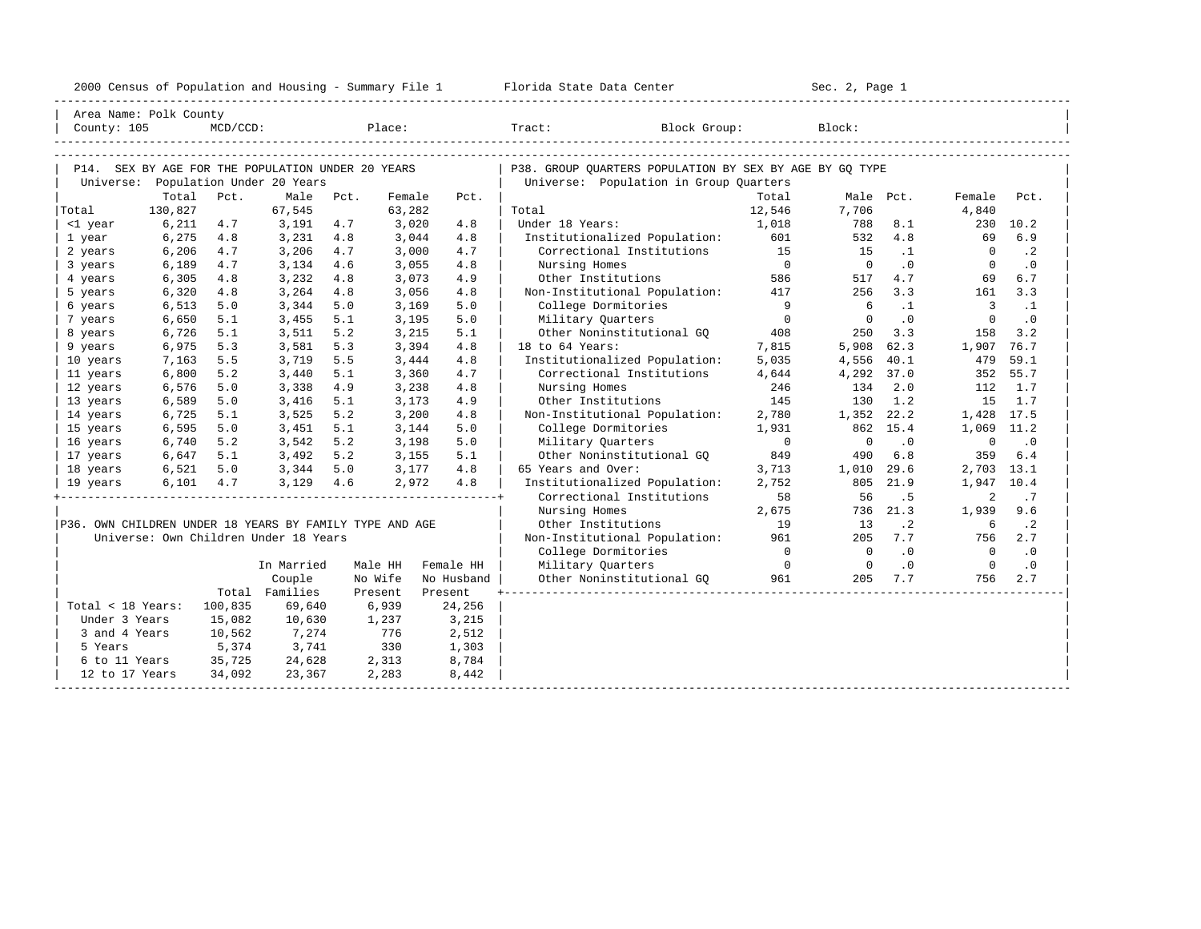| Area Name: Polk County<br>Place:<br>Block Group:<br>Block:<br>County: 105<br>$MCD/CCD$ :<br>$\texttt{Tract}:$<br>P14. SEX BY AGE FOR THE POPULATION UNDER 20 YEARS<br>P38. GROUP OUARTERS POPULATION BY SEX BY AGE BY GO TYPE<br>Universe: Population Under 20 Years<br>Universe: Population in Group Quarters<br>Total<br>Pct.<br>Male<br>Total<br>Pct.<br>Female<br>Pct.<br>Male Pct.<br>Female<br>Pct.<br>130,827<br>67,545<br>63,282<br>12,546<br>7,706<br>4,840<br>Total<br>Total<br>6,211<br>4.7<br>3,020<br>Under 18 Years:<br>1,018<br>788<br>230 10.2<br><1 year<br>3,191<br>4.7<br>4.8<br>8.1<br>4.8<br>6.9<br>6,275<br>4.8<br>3,231<br>4.8<br>3,044<br>4.8<br>Institutionalized Population:<br>601<br>532<br>69<br>1 year<br>6,206<br>Correctional Institutions<br>15<br>$\cdot$ 2<br>4.7<br>3,206<br>4.7<br>3,000<br>4.7<br>15<br>$\cdot$ 1<br>2 years<br>$\Omega$<br>$\overline{0}$<br>$\overline{0}$<br>.0<br>$\cdot$ 0<br>6,189<br>4.7<br>Nursing Homes<br>$\Omega$<br>3 years<br>3,134<br>4.6<br>3,055<br>4.8<br>Other Institutions<br>6,305<br>4.8<br>3,232<br>4.8<br>3,073<br>4.9<br>586<br>517<br>4.7<br>6.7<br>4 years<br>69<br>Non-Institutional Population:<br>417<br>256<br>3.3<br>3.3<br>6,320<br>4.8<br>3,264<br>4.8<br>3,056<br>4.8<br>161<br>5 years<br>$\overline{9}$<br>6<br>3<br>6,513<br>5.0<br>5.0<br>3,169<br>College Dormitories<br>$\cdot$ 1<br>$\cdot$ 1<br>3,344<br>5.0<br>6 years<br>$\cdot$ 0<br>$\cdot$ 0<br>6,650<br>5.1<br>5.1<br>5.0<br>Military Quarters<br>$\Omega$<br>$\Omega$<br>$\Omega$<br>7 years<br>3,455<br>3,195<br>6,726<br>5.2<br>Other Noninstitutional GO<br>3.2<br>5.1<br>3,511<br>3,215<br>5.1<br>408<br>250<br>3.3<br>158<br>8 years<br>18 to 64 Years:<br>6,975<br>5.3<br>5.3<br>3,394<br>7,815<br>5,908<br>62.3<br>1,907<br>76.7<br>3,581<br>4.8<br>9 years<br>Institutionalized Population:<br>59.1<br>7,163<br>5.5<br>3,719<br>5.5<br>3,444<br>4.8<br>5,035<br>4,556 40.1<br>479<br>10 years<br>6,800<br>5.2<br>5.1<br>4.7<br>Correctional Institutions<br>55.7<br>3,440<br>3,360<br>4,644<br>4,292 37.0<br>352<br>11 years<br>6,576<br>5.0<br>4.9<br>3,238<br>Nursing Homes<br>246<br>134<br>2.0<br>1.7<br>3,338<br>4.8<br>112<br>12 years<br>1.2<br>1.7<br>6,589<br>5.0<br>5.1<br>Other Institutions<br>145<br>130<br>15<br>13 years<br>3,416<br>3,173<br>4.9<br>6,725<br>5.2<br>1,352 22.2<br>1,428 17.5<br>5.1<br>3,525<br>3,200<br>4.8<br>Non-Institutional Population:<br>2,780<br>14 years<br>6,595<br>5.0<br>5.1<br>3,144<br>5.0<br>College Dormitories<br>862 15.4<br>3,451<br>1,931<br>1,069 11.2<br>15 years<br>5.2<br>5.2<br>Military Ouarters<br>$\Omega$<br>$\cdot$ 0<br>6,740<br>3,542<br>5.0<br>$\Omega$<br>$\mathbf 0$<br>$\cdot$ 0<br>16 years<br>3,198<br>5.2<br>Other Noninstitutional GO<br>849<br>6.8<br>6.4<br>6,647<br>5.1<br>3,492<br>3,155<br>5.1<br>490<br>359<br>17 years<br>6,521<br>5.0<br>5.0<br>65 Years and Over:<br>3,713<br>29.6<br>2,703 13.1<br>3,344<br>3,177<br>4.8<br>1,010<br>18 years<br>2,752<br>$6,101$ $4.7$<br>$3,129$ 4.6<br>2,972<br>4.8<br>Institutionalized Population:<br>805<br>21.9<br>1,947 10.4<br>19 years<br>Correctional Institutions<br>58<br>56<br>.5<br>2<br>. 7<br>Nursing Homes<br>736<br>21.3<br>2,675<br>1,939<br>9.6<br>P36. OWN CHILDREN UNDER 18 YEARS BY FAMILY TYPE AND AGE<br>$\cdot$ 2<br>$\cdot$ 2<br>Other Institutions<br>19<br>13<br>6<br>Universe: Own Children Under 18 Years<br>961<br>7.7<br>Non-Institutional Population:<br>205<br>756<br>2.7<br>$\cdot$ 0<br>$\Omega$<br>$\cdot$ 0<br>College Dormitories<br>$\Omega$<br>$\Omega$<br>$\cdot$ 0<br>In Married<br>Male HH<br>Military Ouarters<br>$\overline{\phantom{0}}$<br>$\overline{0}$<br>$\overline{0}$<br>$\cdot$ 0<br>Female HH<br>No Wife<br>Other Noninstitutional GO<br>961<br>205<br>7.7<br>756<br>2.7<br>Couple<br>No Husband<br>Total Families<br>Present<br>Present<br>Total < 18 Years:<br>100,835<br>69,640<br>6,939<br>24,256<br>Under 3 Years<br>15,082<br>10,630<br>1,237<br>3,215<br>3 and 4 Years<br>10,562<br>7,274<br>776<br>2,512<br>5,374<br>3,741<br>330<br>5 Years<br>1,303<br>35,725<br>2,313<br>8,784<br>6 to 11 Years<br>24,628<br>12 to 17 Years<br>34,092<br>23,367<br>2,283<br>8,442 |  |  |  | 2000 Census of Population and Housing - Summary File 1 Florida State Data Center | Sec. 2, Page 1 |  |  |
|--------------------------------------------------------------------------------------------------------------------------------------------------------------------------------------------------------------------------------------------------------------------------------------------------------------------------------------------------------------------------------------------------------------------------------------------------------------------------------------------------------------------------------------------------------------------------------------------------------------------------------------------------------------------------------------------------------------------------------------------------------------------------------------------------------------------------------------------------------------------------------------------------------------------------------------------------------------------------------------------------------------------------------------------------------------------------------------------------------------------------------------------------------------------------------------------------------------------------------------------------------------------------------------------------------------------------------------------------------------------------------------------------------------------------------------------------------------------------------------------------------------------------------------------------------------------------------------------------------------------------------------------------------------------------------------------------------------------------------------------------------------------------------------------------------------------------------------------------------------------------------------------------------------------------------------------------------------------------------------------------------------------------------------------------------------------------------------------------------------------------------------------------------------------------------------------------------------------------------------------------------------------------------------------------------------------------------------------------------------------------------------------------------------------------------------------------------------------------------------------------------------------------------------------------------------------------------------------------------------------------------------------------------------------------------------------------------------------------------------------------------------------------------------------------------------------------------------------------------------------------------------------------------------------------------------------------------------------------------------------------------------------------------------------------------------------------------------------------------------------------------------------------------------------------------------------------------------------------------------------------------------------------------------------------------------------------------------------------------------------------------------------------------------------------------------------------------------------------------------------------------------------------------------------------------------------------------------------------------------------------------------------------------------------------------------------------------------------------------------------------------------------------------------------------------------------------------------------------------------------------------------------------------------------------------------------------------------------------------------------------------------------------------------------------------------------------------------------------------------------------------------------------------------------------------------------------------------------------|--|--|--|----------------------------------------------------------------------------------|----------------|--|--|
|                                                                                                                                                                                                                                                                                                                                                                                                                                                                                                                                                                                                                                                                                                                                                                                                                                                                                                                                                                                                                                                                                                                                                                                                                                                                                                                                                                                                                                                                                                                                                                                                                                                                                                                                                                                                                                                                                                                                                                                                                                                                                                                                                                                                                                                                                                                                                                                                                                                                                                                                                                                                                                                                                                                                                                                                                                                                                                                                                                                                                                                                                                                                                                                                                                                                                                                                                                                                                                                                                                                                                                                                                                                                                                                                                                                                                                                                                                                                                                                                                                                                                                                                                                                                                          |  |  |  |                                                                                  |                |  |  |
|                                                                                                                                                                                                                                                                                                                                                                                                                                                                                                                                                                                                                                                                                                                                                                                                                                                                                                                                                                                                                                                                                                                                                                                                                                                                                                                                                                                                                                                                                                                                                                                                                                                                                                                                                                                                                                                                                                                                                                                                                                                                                                                                                                                                                                                                                                                                                                                                                                                                                                                                                                                                                                                                                                                                                                                                                                                                                                                                                                                                                                                                                                                                                                                                                                                                                                                                                                                                                                                                                                                                                                                                                                                                                                                                                                                                                                                                                                                                                                                                                                                                                                                                                                                                                          |  |  |  |                                                                                  |                |  |  |
|                                                                                                                                                                                                                                                                                                                                                                                                                                                                                                                                                                                                                                                                                                                                                                                                                                                                                                                                                                                                                                                                                                                                                                                                                                                                                                                                                                                                                                                                                                                                                                                                                                                                                                                                                                                                                                                                                                                                                                                                                                                                                                                                                                                                                                                                                                                                                                                                                                                                                                                                                                                                                                                                                                                                                                                                                                                                                                                                                                                                                                                                                                                                                                                                                                                                                                                                                                                                                                                                                                                                                                                                                                                                                                                                                                                                                                                                                                                                                                                                                                                                                                                                                                                                                          |  |  |  |                                                                                  |                |  |  |
|                                                                                                                                                                                                                                                                                                                                                                                                                                                                                                                                                                                                                                                                                                                                                                                                                                                                                                                                                                                                                                                                                                                                                                                                                                                                                                                                                                                                                                                                                                                                                                                                                                                                                                                                                                                                                                                                                                                                                                                                                                                                                                                                                                                                                                                                                                                                                                                                                                                                                                                                                                                                                                                                                                                                                                                                                                                                                                                                                                                                                                                                                                                                                                                                                                                                                                                                                                                                                                                                                                                                                                                                                                                                                                                                                                                                                                                                                                                                                                                                                                                                                                                                                                                                                          |  |  |  |                                                                                  |                |  |  |
|                                                                                                                                                                                                                                                                                                                                                                                                                                                                                                                                                                                                                                                                                                                                                                                                                                                                                                                                                                                                                                                                                                                                                                                                                                                                                                                                                                                                                                                                                                                                                                                                                                                                                                                                                                                                                                                                                                                                                                                                                                                                                                                                                                                                                                                                                                                                                                                                                                                                                                                                                                                                                                                                                                                                                                                                                                                                                                                                                                                                                                                                                                                                                                                                                                                                                                                                                                                                                                                                                                                                                                                                                                                                                                                                                                                                                                                                                                                                                                                                                                                                                                                                                                                                                          |  |  |  |                                                                                  |                |  |  |
|                                                                                                                                                                                                                                                                                                                                                                                                                                                                                                                                                                                                                                                                                                                                                                                                                                                                                                                                                                                                                                                                                                                                                                                                                                                                                                                                                                                                                                                                                                                                                                                                                                                                                                                                                                                                                                                                                                                                                                                                                                                                                                                                                                                                                                                                                                                                                                                                                                                                                                                                                                                                                                                                                                                                                                                                                                                                                                                                                                                                                                                                                                                                                                                                                                                                                                                                                                                                                                                                                                                                                                                                                                                                                                                                                                                                                                                                                                                                                                                                                                                                                                                                                                                                                          |  |  |  |                                                                                  |                |  |  |
|                                                                                                                                                                                                                                                                                                                                                                                                                                                                                                                                                                                                                                                                                                                                                                                                                                                                                                                                                                                                                                                                                                                                                                                                                                                                                                                                                                                                                                                                                                                                                                                                                                                                                                                                                                                                                                                                                                                                                                                                                                                                                                                                                                                                                                                                                                                                                                                                                                                                                                                                                                                                                                                                                                                                                                                                                                                                                                                                                                                                                                                                                                                                                                                                                                                                                                                                                                                                                                                                                                                                                                                                                                                                                                                                                                                                                                                                                                                                                                                                                                                                                                                                                                                                                          |  |  |  |                                                                                  |                |  |  |
|                                                                                                                                                                                                                                                                                                                                                                                                                                                                                                                                                                                                                                                                                                                                                                                                                                                                                                                                                                                                                                                                                                                                                                                                                                                                                                                                                                                                                                                                                                                                                                                                                                                                                                                                                                                                                                                                                                                                                                                                                                                                                                                                                                                                                                                                                                                                                                                                                                                                                                                                                                                                                                                                                                                                                                                                                                                                                                                                                                                                                                                                                                                                                                                                                                                                                                                                                                                                                                                                                                                                                                                                                                                                                                                                                                                                                                                                                                                                                                                                                                                                                                                                                                                                                          |  |  |  |                                                                                  |                |  |  |
|                                                                                                                                                                                                                                                                                                                                                                                                                                                                                                                                                                                                                                                                                                                                                                                                                                                                                                                                                                                                                                                                                                                                                                                                                                                                                                                                                                                                                                                                                                                                                                                                                                                                                                                                                                                                                                                                                                                                                                                                                                                                                                                                                                                                                                                                                                                                                                                                                                                                                                                                                                                                                                                                                                                                                                                                                                                                                                                                                                                                                                                                                                                                                                                                                                                                                                                                                                                                                                                                                                                                                                                                                                                                                                                                                                                                                                                                                                                                                                                                                                                                                                                                                                                                                          |  |  |  |                                                                                  |                |  |  |
|                                                                                                                                                                                                                                                                                                                                                                                                                                                                                                                                                                                                                                                                                                                                                                                                                                                                                                                                                                                                                                                                                                                                                                                                                                                                                                                                                                                                                                                                                                                                                                                                                                                                                                                                                                                                                                                                                                                                                                                                                                                                                                                                                                                                                                                                                                                                                                                                                                                                                                                                                                                                                                                                                                                                                                                                                                                                                                                                                                                                                                                                                                                                                                                                                                                                                                                                                                                                                                                                                                                                                                                                                                                                                                                                                                                                                                                                                                                                                                                                                                                                                                                                                                                                                          |  |  |  |                                                                                  |                |  |  |
|                                                                                                                                                                                                                                                                                                                                                                                                                                                                                                                                                                                                                                                                                                                                                                                                                                                                                                                                                                                                                                                                                                                                                                                                                                                                                                                                                                                                                                                                                                                                                                                                                                                                                                                                                                                                                                                                                                                                                                                                                                                                                                                                                                                                                                                                                                                                                                                                                                                                                                                                                                                                                                                                                                                                                                                                                                                                                                                                                                                                                                                                                                                                                                                                                                                                                                                                                                                                                                                                                                                                                                                                                                                                                                                                                                                                                                                                                                                                                                                                                                                                                                                                                                                                                          |  |  |  |                                                                                  |                |  |  |
|                                                                                                                                                                                                                                                                                                                                                                                                                                                                                                                                                                                                                                                                                                                                                                                                                                                                                                                                                                                                                                                                                                                                                                                                                                                                                                                                                                                                                                                                                                                                                                                                                                                                                                                                                                                                                                                                                                                                                                                                                                                                                                                                                                                                                                                                                                                                                                                                                                                                                                                                                                                                                                                                                                                                                                                                                                                                                                                                                                                                                                                                                                                                                                                                                                                                                                                                                                                                                                                                                                                                                                                                                                                                                                                                                                                                                                                                                                                                                                                                                                                                                                                                                                                                                          |  |  |  |                                                                                  |                |  |  |
|                                                                                                                                                                                                                                                                                                                                                                                                                                                                                                                                                                                                                                                                                                                                                                                                                                                                                                                                                                                                                                                                                                                                                                                                                                                                                                                                                                                                                                                                                                                                                                                                                                                                                                                                                                                                                                                                                                                                                                                                                                                                                                                                                                                                                                                                                                                                                                                                                                                                                                                                                                                                                                                                                                                                                                                                                                                                                                                                                                                                                                                                                                                                                                                                                                                                                                                                                                                                                                                                                                                                                                                                                                                                                                                                                                                                                                                                                                                                                                                                                                                                                                                                                                                                                          |  |  |  |                                                                                  |                |  |  |
|                                                                                                                                                                                                                                                                                                                                                                                                                                                                                                                                                                                                                                                                                                                                                                                                                                                                                                                                                                                                                                                                                                                                                                                                                                                                                                                                                                                                                                                                                                                                                                                                                                                                                                                                                                                                                                                                                                                                                                                                                                                                                                                                                                                                                                                                                                                                                                                                                                                                                                                                                                                                                                                                                                                                                                                                                                                                                                                                                                                                                                                                                                                                                                                                                                                                                                                                                                                                                                                                                                                                                                                                                                                                                                                                                                                                                                                                                                                                                                                                                                                                                                                                                                                                                          |  |  |  |                                                                                  |                |  |  |
|                                                                                                                                                                                                                                                                                                                                                                                                                                                                                                                                                                                                                                                                                                                                                                                                                                                                                                                                                                                                                                                                                                                                                                                                                                                                                                                                                                                                                                                                                                                                                                                                                                                                                                                                                                                                                                                                                                                                                                                                                                                                                                                                                                                                                                                                                                                                                                                                                                                                                                                                                                                                                                                                                                                                                                                                                                                                                                                                                                                                                                                                                                                                                                                                                                                                                                                                                                                                                                                                                                                                                                                                                                                                                                                                                                                                                                                                                                                                                                                                                                                                                                                                                                                                                          |  |  |  |                                                                                  |                |  |  |
|                                                                                                                                                                                                                                                                                                                                                                                                                                                                                                                                                                                                                                                                                                                                                                                                                                                                                                                                                                                                                                                                                                                                                                                                                                                                                                                                                                                                                                                                                                                                                                                                                                                                                                                                                                                                                                                                                                                                                                                                                                                                                                                                                                                                                                                                                                                                                                                                                                                                                                                                                                                                                                                                                                                                                                                                                                                                                                                                                                                                                                                                                                                                                                                                                                                                                                                                                                                                                                                                                                                                                                                                                                                                                                                                                                                                                                                                                                                                                                                                                                                                                                                                                                                                                          |  |  |  |                                                                                  |                |  |  |
|                                                                                                                                                                                                                                                                                                                                                                                                                                                                                                                                                                                                                                                                                                                                                                                                                                                                                                                                                                                                                                                                                                                                                                                                                                                                                                                                                                                                                                                                                                                                                                                                                                                                                                                                                                                                                                                                                                                                                                                                                                                                                                                                                                                                                                                                                                                                                                                                                                                                                                                                                                                                                                                                                                                                                                                                                                                                                                                                                                                                                                                                                                                                                                                                                                                                                                                                                                                                                                                                                                                                                                                                                                                                                                                                                                                                                                                                                                                                                                                                                                                                                                                                                                                                                          |  |  |  |                                                                                  |                |  |  |
|                                                                                                                                                                                                                                                                                                                                                                                                                                                                                                                                                                                                                                                                                                                                                                                                                                                                                                                                                                                                                                                                                                                                                                                                                                                                                                                                                                                                                                                                                                                                                                                                                                                                                                                                                                                                                                                                                                                                                                                                                                                                                                                                                                                                                                                                                                                                                                                                                                                                                                                                                                                                                                                                                                                                                                                                                                                                                                                                                                                                                                                                                                                                                                                                                                                                                                                                                                                                                                                                                                                                                                                                                                                                                                                                                                                                                                                                                                                                                                                                                                                                                                                                                                                                                          |  |  |  |                                                                                  |                |  |  |
|                                                                                                                                                                                                                                                                                                                                                                                                                                                                                                                                                                                                                                                                                                                                                                                                                                                                                                                                                                                                                                                                                                                                                                                                                                                                                                                                                                                                                                                                                                                                                                                                                                                                                                                                                                                                                                                                                                                                                                                                                                                                                                                                                                                                                                                                                                                                                                                                                                                                                                                                                                                                                                                                                                                                                                                                                                                                                                                                                                                                                                                                                                                                                                                                                                                                                                                                                                                                                                                                                                                                                                                                                                                                                                                                                                                                                                                                                                                                                                                                                                                                                                                                                                                                                          |  |  |  |                                                                                  |                |  |  |
|                                                                                                                                                                                                                                                                                                                                                                                                                                                                                                                                                                                                                                                                                                                                                                                                                                                                                                                                                                                                                                                                                                                                                                                                                                                                                                                                                                                                                                                                                                                                                                                                                                                                                                                                                                                                                                                                                                                                                                                                                                                                                                                                                                                                                                                                                                                                                                                                                                                                                                                                                                                                                                                                                                                                                                                                                                                                                                                                                                                                                                                                                                                                                                                                                                                                                                                                                                                                                                                                                                                                                                                                                                                                                                                                                                                                                                                                                                                                                                                                                                                                                                                                                                                                                          |  |  |  |                                                                                  |                |  |  |
|                                                                                                                                                                                                                                                                                                                                                                                                                                                                                                                                                                                                                                                                                                                                                                                                                                                                                                                                                                                                                                                                                                                                                                                                                                                                                                                                                                                                                                                                                                                                                                                                                                                                                                                                                                                                                                                                                                                                                                                                                                                                                                                                                                                                                                                                                                                                                                                                                                                                                                                                                                                                                                                                                                                                                                                                                                                                                                                                                                                                                                                                                                                                                                                                                                                                                                                                                                                                                                                                                                                                                                                                                                                                                                                                                                                                                                                                                                                                                                                                                                                                                                                                                                                                                          |  |  |  |                                                                                  |                |  |  |
|                                                                                                                                                                                                                                                                                                                                                                                                                                                                                                                                                                                                                                                                                                                                                                                                                                                                                                                                                                                                                                                                                                                                                                                                                                                                                                                                                                                                                                                                                                                                                                                                                                                                                                                                                                                                                                                                                                                                                                                                                                                                                                                                                                                                                                                                                                                                                                                                                                                                                                                                                                                                                                                                                                                                                                                                                                                                                                                                                                                                                                                                                                                                                                                                                                                                                                                                                                                                                                                                                                                                                                                                                                                                                                                                                                                                                                                                                                                                                                                                                                                                                                                                                                                                                          |  |  |  |                                                                                  |                |  |  |
|                                                                                                                                                                                                                                                                                                                                                                                                                                                                                                                                                                                                                                                                                                                                                                                                                                                                                                                                                                                                                                                                                                                                                                                                                                                                                                                                                                                                                                                                                                                                                                                                                                                                                                                                                                                                                                                                                                                                                                                                                                                                                                                                                                                                                                                                                                                                                                                                                                                                                                                                                                                                                                                                                                                                                                                                                                                                                                                                                                                                                                                                                                                                                                                                                                                                                                                                                                                                                                                                                                                                                                                                                                                                                                                                                                                                                                                                                                                                                                                                                                                                                                                                                                                                                          |  |  |  |                                                                                  |                |  |  |
|                                                                                                                                                                                                                                                                                                                                                                                                                                                                                                                                                                                                                                                                                                                                                                                                                                                                                                                                                                                                                                                                                                                                                                                                                                                                                                                                                                                                                                                                                                                                                                                                                                                                                                                                                                                                                                                                                                                                                                                                                                                                                                                                                                                                                                                                                                                                                                                                                                                                                                                                                                                                                                                                                                                                                                                                                                                                                                                                                                                                                                                                                                                                                                                                                                                                                                                                                                                                                                                                                                                                                                                                                                                                                                                                                                                                                                                                                                                                                                                                                                                                                                                                                                                                                          |  |  |  |                                                                                  |                |  |  |
|                                                                                                                                                                                                                                                                                                                                                                                                                                                                                                                                                                                                                                                                                                                                                                                                                                                                                                                                                                                                                                                                                                                                                                                                                                                                                                                                                                                                                                                                                                                                                                                                                                                                                                                                                                                                                                                                                                                                                                                                                                                                                                                                                                                                                                                                                                                                                                                                                                                                                                                                                                                                                                                                                                                                                                                                                                                                                                                                                                                                                                                                                                                                                                                                                                                                                                                                                                                                                                                                                                                                                                                                                                                                                                                                                                                                                                                                                                                                                                                                                                                                                                                                                                                                                          |  |  |  |                                                                                  |                |  |  |
|                                                                                                                                                                                                                                                                                                                                                                                                                                                                                                                                                                                                                                                                                                                                                                                                                                                                                                                                                                                                                                                                                                                                                                                                                                                                                                                                                                                                                                                                                                                                                                                                                                                                                                                                                                                                                                                                                                                                                                                                                                                                                                                                                                                                                                                                                                                                                                                                                                                                                                                                                                                                                                                                                                                                                                                                                                                                                                                                                                                                                                                                                                                                                                                                                                                                                                                                                                                                                                                                                                                                                                                                                                                                                                                                                                                                                                                                                                                                                                                                                                                                                                                                                                                                                          |  |  |  |                                                                                  |                |  |  |
|                                                                                                                                                                                                                                                                                                                                                                                                                                                                                                                                                                                                                                                                                                                                                                                                                                                                                                                                                                                                                                                                                                                                                                                                                                                                                                                                                                                                                                                                                                                                                                                                                                                                                                                                                                                                                                                                                                                                                                                                                                                                                                                                                                                                                                                                                                                                                                                                                                                                                                                                                                                                                                                                                                                                                                                                                                                                                                                                                                                                                                                                                                                                                                                                                                                                                                                                                                                                                                                                                                                                                                                                                                                                                                                                                                                                                                                                                                                                                                                                                                                                                                                                                                                                                          |  |  |  |                                                                                  |                |  |  |
|                                                                                                                                                                                                                                                                                                                                                                                                                                                                                                                                                                                                                                                                                                                                                                                                                                                                                                                                                                                                                                                                                                                                                                                                                                                                                                                                                                                                                                                                                                                                                                                                                                                                                                                                                                                                                                                                                                                                                                                                                                                                                                                                                                                                                                                                                                                                                                                                                                                                                                                                                                                                                                                                                                                                                                                                                                                                                                                                                                                                                                                                                                                                                                                                                                                                                                                                                                                                                                                                                                                                                                                                                                                                                                                                                                                                                                                                                                                                                                                                                                                                                                                                                                                                                          |  |  |  |                                                                                  |                |  |  |
|                                                                                                                                                                                                                                                                                                                                                                                                                                                                                                                                                                                                                                                                                                                                                                                                                                                                                                                                                                                                                                                                                                                                                                                                                                                                                                                                                                                                                                                                                                                                                                                                                                                                                                                                                                                                                                                                                                                                                                                                                                                                                                                                                                                                                                                                                                                                                                                                                                                                                                                                                                                                                                                                                                                                                                                                                                                                                                                                                                                                                                                                                                                                                                                                                                                                                                                                                                                                                                                                                                                                                                                                                                                                                                                                                                                                                                                                                                                                                                                                                                                                                                                                                                                                                          |  |  |  |                                                                                  |                |  |  |
|                                                                                                                                                                                                                                                                                                                                                                                                                                                                                                                                                                                                                                                                                                                                                                                                                                                                                                                                                                                                                                                                                                                                                                                                                                                                                                                                                                                                                                                                                                                                                                                                                                                                                                                                                                                                                                                                                                                                                                                                                                                                                                                                                                                                                                                                                                                                                                                                                                                                                                                                                                                                                                                                                                                                                                                                                                                                                                                                                                                                                                                                                                                                                                                                                                                                                                                                                                                                                                                                                                                                                                                                                                                                                                                                                                                                                                                                                                                                                                                                                                                                                                                                                                                                                          |  |  |  |                                                                                  |                |  |  |
|                                                                                                                                                                                                                                                                                                                                                                                                                                                                                                                                                                                                                                                                                                                                                                                                                                                                                                                                                                                                                                                                                                                                                                                                                                                                                                                                                                                                                                                                                                                                                                                                                                                                                                                                                                                                                                                                                                                                                                                                                                                                                                                                                                                                                                                                                                                                                                                                                                                                                                                                                                                                                                                                                                                                                                                                                                                                                                                                                                                                                                                                                                                                                                                                                                                                                                                                                                                                                                                                                                                                                                                                                                                                                                                                                                                                                                                                                                                                                                                                                                                                                                                                                                                                                          |  |  |  |                                                                                  |                |  |  |
|                                                                                                                                                                                                                                                                                                                                                                                                                                                                                                                                                                                                                                                                                                                                                                                                                                                                                                                                                                                                                                                                                                                                                                                                                                                                                                                                                                                                                                                                                                                                                                                                                                                                                                                                                                                                                                                                                                                                                                                                                                                                                                                                                                                                                                                                                                                                                                                                                                                                                                                                                                                                                                                                                                                                                                                                                                                                                                                                                                                                                                                                                                                                                                                                                                                                                                                                                                                                                                                                                                                                                                                                                                                                                                                                                                                                                                                                                                                                                                                                                                                                                                                                                                                                                          |  |  |  |                                                                                  |                |  |  |
|                                                                                                                                                                                                                                                                                                                                                                                                                                                                                                                                                                                                                                                                                                                                                                                                                                                                                                                                                                                                                                                                                                                                                                                                                                                                                                                                                                                                                                                                                                                                                                                                                                                                                                                                                                                                                                                                                                                                                                                                                                                                                                                                                                                                                                                                                                                                                                                                                                                                                                                                                                                                                                                                                                                                                                                                                                                                                                                                                                                                                                                                                                                                                                                                                                                                                                                                                                                                                                                                                                                                                                                                                                                                                                                                                                                                                                                                                                                                                                                                                                                                                                                                                                                                                          |  |  |  |                                                                                  |                |  |  |
|                                                                                                                                                                                                                                                                                                                                                                                                                                                                                                                                                                                                                                                                                                                                                                                                                                                                                                                                                                                                                                                                                                                                                                                                                                                                                                                                                                                                                                                                                                                                                                                                                                                                                                                                                                                                                                                                                                                                                                                                                                                                                                                                                                                                                                                                                                                                                                                                                                                                                                                                                                                                                                                                                                                                                                                                                                                                                                                                                                                                                                                                                                                                                                                                                                                                                                                                                                                                                                                                                                                                                                                                                                                                                                                                                                                                                                                                                                                                                                                                                                                                                                                                                                                                                          |  |  |  |                                                                                  |                |  |  |
|                                                                                                                                                                                                                                                                                                                                                                                                                                                                                                                                                                                                                                                                                                                                                                                                                                                                                                                                                                                                                                                                                                                                                                                                                                                                                                                                                                                                                                                                                                                                                                                                                                                                                                                                                                                                                                                                                                                                                                                                                                                                                                                                                                                                                                                                                                                                                                                                                                                                                                                                                                                                                                                                                                                                                                                                                                                                                                                                                                                                                                                                                                                                                                                                                                                                                                                                                                                                                                                                                                                                                                                                                                                                                                                                                                                                                                                                                                                                                                                                                                                                                                                                                                                                                          |  |  |  |                                                                                  |                |  |  |
|                                                                                                                                                                                                                                                                                                                                                                                                                                                                                                                                                                                                                                                                                                                                                                                                                                                                                                                                                                                                                                                                                                                                                                                                                                                                                                                                                                                                                                                                                                                                                                                                                                                                                                                                                                                                                                                                                                                                                                                                                                                                                                                                                                                                                                                                                                                                                                                                                                                                                                                                                                                                                                                                                                                                                                                                                                                                                                                                                                                                                                                                                                                                                                                                                                                                                                                                                                                                                                                                                                                                                                                                                                                                                                                                                                                                                                                                                                                                                                                                                                                                                                                                                                                                                          |  |  |  |                                                                                  |                |  |  |
|                                                                                                                                                                                                                                                                                                                                                                                                                                                                                                                                                                                                                                                                                                                                                                                                                                                                                                                                                                                                                                                                                                                                                                                                                                                                                                                                                                                                                                                                                                                                                                                                                                                                                                                                                                                                                                                                                                                                                                                                                                                                                                                                                                                                                                                                                                                                                                                                                                                                                                                                                                                                                                                                                                                                                                                                                                                                                                                                                                                                                                                                                                                                                                                                                                                                                                                                                                                                                                                                                                                                                                                                                                                                                                                                                                                                                                                                                                                                                                                                                                                                                                                                                                                                                          |  |  |  |                                                                                  |                |  |  |
|                                                                                                                                                                                                                                                                                                                                                                                                                                                                                                                                                                                                                                                                                                                                                                                                                                                                                                                                                                                                                                                                                                                                                                                                                                                                                                                                                                                                                                                                                                                                                                                                                                                                                                                                                                                                                                                                                                                                                                                                                                                                                                                                                                                                                                                                                                                                                                                                                                                                                                                                                                                                                                                                                                                                                                                                                                                                                                                                                                                                                                                                                                                                                                                                                                                                                                                                                                                                                                                                                                                                                                                                                                                                                                                                                                                                                                                                                                                                                                                                                                                                                                                                                                                                                          |  |  |  |                                                                                  |                |  |  |
|                                                                                                                                                                                                                                                                                                                                                                                                                                                                                                                                                                                                                                                                                                                                                                                                                                                                                                                                                                                                                                                                                                                                                                                                                                                                                                                                                                                                                                                                                                                                                                                                                                                                                                                                                                                                                                                                                                                                                                                                                                                                                                                                                                                                                                                                                                                                                                                                                                                                                                                                                                                                                                                                                                                                                                                                                                                                                                                                                                                                                                                                                                                                                                                                                                                                                                                                                                                                                                                                                                                                                                                                                                                                                                                                                                                                                                                                                                                                                                                                                                                                                                                                                                                                                          |  |  |  |                                                                                  |                |  |  |
|                                                                                                                                                                                                                                                                                                                                                                                                                                                                                                                                                                                                                                                                                                                                                                                                                                                                                                                                                                                                                                                                                                                                                                                                                                                                                                                                                                                                                                                                                                                                                                                                                                                                                                                                                                                                                                                                                                                                                                                                                                                                                                                                                                                                                                                                                                                                                                                                                                                                                                                                                                                                                                                                                                                                                                                                                                                                                                                                                                                                                                                                                                                                                                                                                                                                                                                                                                                                                                                                                                                                                                                                                                                                                                                                                                                                                                                                                                                                                                                                                                                                                                                                                                                                                          |  |  |  |                                                                                  |                |  |  |
|                                                                                                                                                                                                                                                                                                                                                                                                                                                                                                                                                                                                                                                                                                                                                                                                                                                                                                                                                                                                                                                                                                                                                                                                                                                                                                                                                                                                                                                                                                                                                                                                                                                                                                                                                                                                                                                                                                                                                                                                                                                                                                                                                                                                                                                                                                                                                                                                                                                                                                                                                                                                                                                                                                                                                                                                                                                                                                                                                                                                                                                                                                                                                                                                                                                                                                                                                                                                                                                                                                                                                                                                                                                                                                                                                                                                                                                                                                                                                                                                                                                                                                                                                                                                                          |  |  |  |                                                                                  |                |  |  |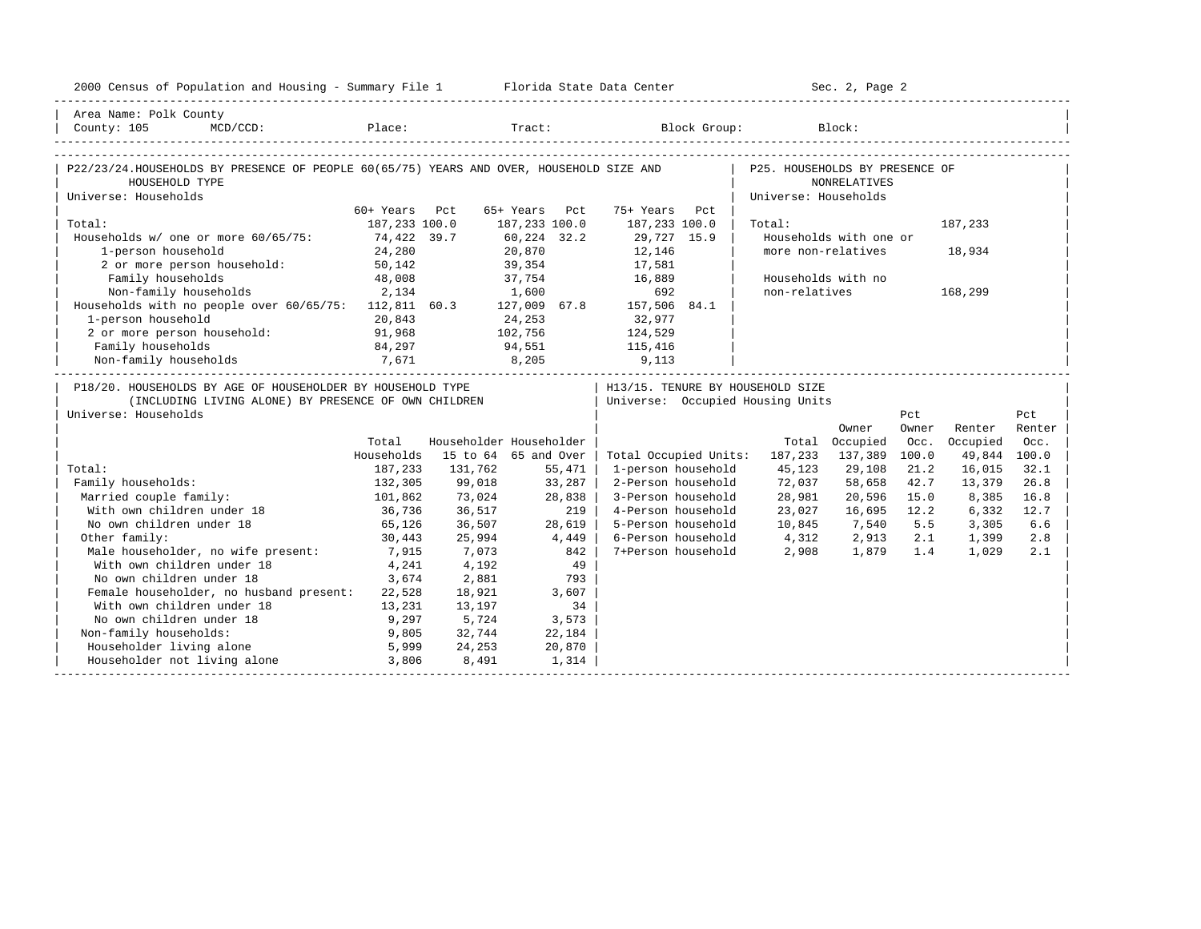| 2000 Census of Population and Housing - Summary File 1 Florida State Data Center                                                           |                                |                           |                                                 |                                                                        |                                                        | Sec. 2, Page 2                               |                        |                                    |                |
|--------------------------------------------------------------------------------------------------------------------------------------------|--------------------------------|---------------------------|-------------------------------------------------|------------------------------------------------------------------------|--------------------------------------------------------|----------------------------------------------|------------------------|------------------------------------|----------------|
| Area Name: Polk County<br>MCD/CCD: Place: Tract: Block Group: Block:<br>County: 105                                                        |                                |                           |                                                 |                                                                        |                                                        |                                              |                        |                                    |                |
| P22/23/24.HOUSEHOLDS BY PRESENCE OF PEOPLE 60(65/75) YEARS AND OVER, HOUSEHOLD SIZE AND<br>HOUSEHOLD TYPE<br>Universe: Households          |                                |                           |                                                 |                                                                        | P25. HOUSEHOLDS BY PRESENCE OF<br>Universe: Households | <b>NONRELATIVES</b>                          |                        |                                    |                |
| Total:                                                                                                                                     | 60+ Years Pct<br>187,233 100.0 |                           | 65+ Years Pct<br>187,233 100.0                  | 75+ Years Pct<br>187,233 100.0                                         | Total:                                                 |                                              |                        | 187,233                            |                |
| Households w/ one or more 60/65/75: 74,422 39.7<br>1-person household<br>2 or more person household:                                       | 24,280<br>50,142               |                           | 60,224 32.2<br>20,870<br>$\frac{2}{39}$ , 354   | 29,727 15.9<br>12,146<br>17,581                                        |                                                        | Households with one or<br>more non-relatives |                        | 18,934                             |                |
| Family households<br>Non-family households                                                                                                 | 48,008<br>2,134                |                           | 1,600                                           | 37,754 16,889<br>692                                                   | non-relatives                                          | Households with no                           |                        | 168,299                            |                |
| Non-ramily nouseholds<br>Households with no people over 60/65/75: 112,811 60.3 127,009 67.8 157,506 84.1<br>1-person household             | 20,843                         |                           | 24,253                                          | 32,977                                                                 |                                                        |                                              |                        |                                    |                |
| 2 or more person household:<br>Family households<br>7,671<br>Non-family households                                                         | 91,968<br>84,297               |                           | 102,756<br>94,551                               | 124,529<br>115,416<br>8,205 9,113                                      |                                                        |                                              |                        |                                    |                |
| P18/20. HOUSEHOLDS BY AGE OF HOUSEHOLDER BY HOUSEHOLD TYPE<br>(INCLUDING LIVING ALONE) BY PRESENCE OF OWN CHILDREN<br>Universe: Households |                                |                           |                                                 | H13/15. TENURE BY HOUSEHOLD SIZE<br>  Universe: Occupied Housing Units |                                                        |                                              | Pct                    |                                    | Pct            |
|                                                                                                                                            | Total<br>Households            |                           | Householder Householder<br>15 to 64 65 and Over | Total Occupied Units: 187,233                                          |                                                        | Owner<br>Total Occupied<br>137,389           | Owner<br>Occ.<br>100.0 | Renter<br>Occupied<br>49,844 100.0 | Renter<br>Occ. |
| Total:                                                                                                                                     | 187,233                        | 131,762                   | 55,471                                          | 1-person household                                                     | 45,123                                                 | 29,108                                       | 21.2                   | 16,015                             | 32.1           |
| Family households:<br>Married couple family:                                                                                               | 132,305<br>101,862             | 99,018<br>73,024          | 33,287<br>28,838                                | 2-Person household<br>3-Person household                               | 72,037<br>28,981                                       | 58,658<br>20,596                             | 42.7<br>15.0           | 13,379<br>8,385                    | 26.8<br>16.8   |
| With own children under 18<br>No own children under 18                                                                                     | 36,736<br>65,126               | 36,517<br>36,507          | 219<br>28,619                                   | 4-Person household<br>5-Person household                               | 23,027<br>10,845 7,540 5.5                             | 16,695                                       | 12.2                   | 6,332<br>3,305                     | 12.7<br>6.6    |
| Other family:<br>Male householder, no wife present:                                                                                        | 30,443<br>7,915                | 25,994<br>7,073           | 4,449<br>842                                    | 6-Person household<br>7+Person household                               | 4,312<br>2,908                                         | 2,913<br>1,879 1.4                           | 2.1                    | 1,399<br>1,029                     | 2.8<br>2.1     |
| With own children under 18<br>No own children under 18                                                                                     | 4,241<br>3,674                 | 4,192<br>2,881            | 793                                             | 49                                                                     |                                                        |                                              |                        |                                    |                |
| Female householder, no husband present: 22,528<br>With own children under 18<br>No own children under 18                                   | 13,231<br>9,297                | 18,921<br>13,197<br>5,724 | 3,607<br>34<br>3,573                            |                                                                        |                                                        |                                              |                        |                                    |                |
| Non-family households:<br>Householder living alone                                                                                         | 9,805<br>5,999                 | 32,744<br>24,253          | 22,184<br>20,870                                |                                                                        |                                                        |                                              |                        |                                    |                |
| Householder not living alone                                                                                                               | 3,806                          | 8,491                     | 1,314                                           |                                                                        |                                                        |                                              |                        |                                    |                |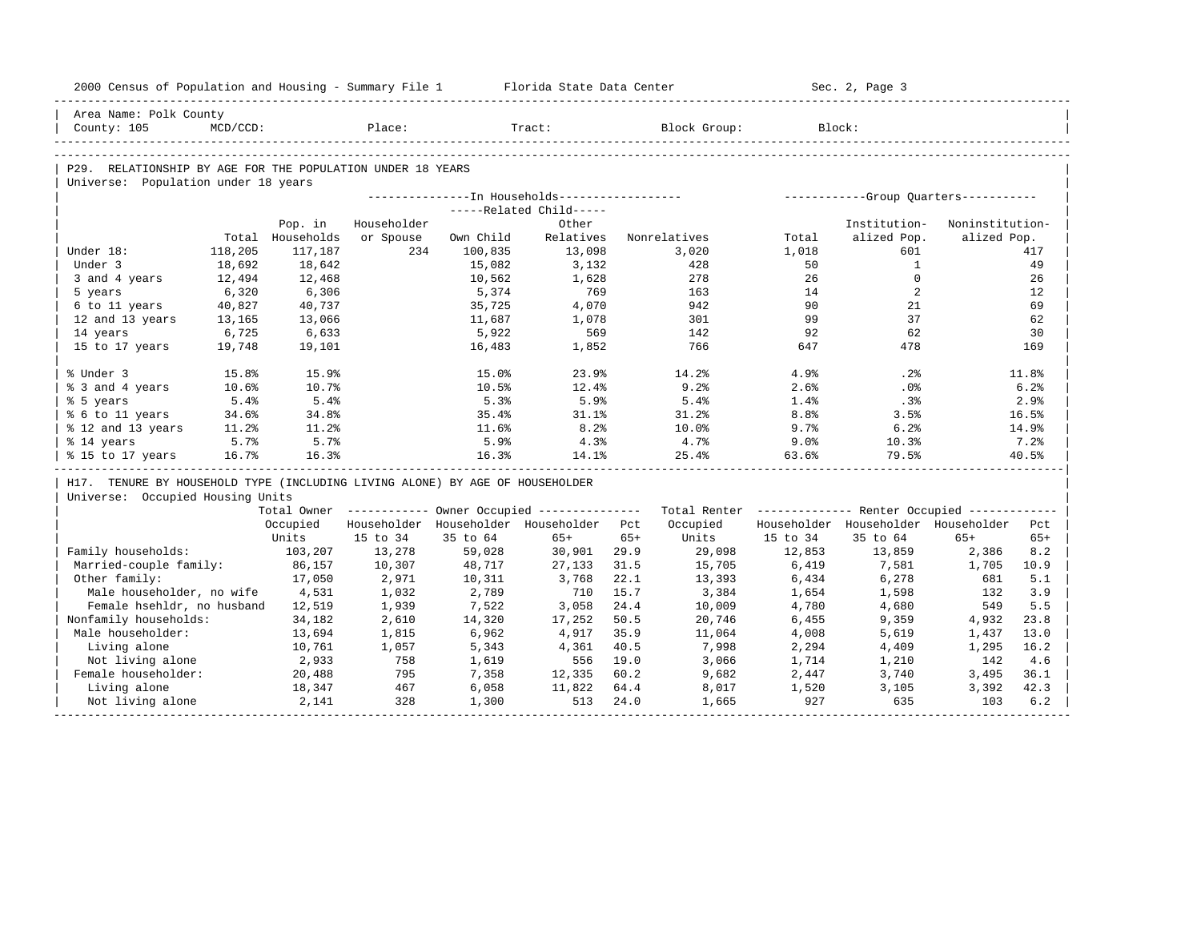| 2000 Census of Population and Housing - Summary File 1 Florida State Data Center                  |             |                   |                  |                  |                                                       |       |                                                         |                  | Sec. 2, Page 3                          |                 |             |
|---------------------------------------------------------------------------------------------------|-------------|-------------------|------------------|------------------|-------------------------------------------------------|-------|---------------------------------------------------------|------------------|-----------------------------------------|-----------------|-------------|
| Area Name: Polk County                                                                            |             |                   |                  |                  |                                                       |       |                                                         |                  |                                         |                 |             |
| County: 105                                                                                       | $MCD/CCD$ : |                   | Place:           |                  | Tract:                                                |       | Block Group:                                            |                  | Block:                                  |                 |             |
|                                                                                                   |             |                   |                  |                  |                                                       |       |                                                         |                  |                                         |                 |             |
| P29. RELATIONSHIP BY AGE FOR THE POPULATION UNDER 18 YEARS<br>Universe: Population under 18 years |             |                   |                  |                  |                                                       |       |                                                         |                  |                                         |                 |             |
|                                                                                                   |             |                   |                  |                  |                                                       |       |                                                         |                  |                                         |                 |             |
|                                                                                                   |             |                   |                  |                  | -----Related Child-----                               |       |                                                         |                  |                                         |                 |             |
|                                                                                                   |             | Pop. in           | Householder      |                  | Other                                                 |       |                                                         |                  | Institution-                            | Noninstitution- |             |
|                                                                                                   |             | Total Households  | or Spouse        | Own Child        | Relatives                                             |       | Nonrelatives                                            | Total            | alized Pop.                             | alized Pop.     |             |
| Under 18:                                                                                         | 118,205     | 117,187           | 234              | 100,835          | 13,098                                                |       | 3,020                                                   | 1,018            | 601                                     |                 | 417         |
| Under 3                                                                                           | 18,692      | 18,642            |                  | 15,082           | 3,132                                                 |       | 428                                                     | 50               | 1                                       |                 | 49          |
| 3 and 4 years                                                                                     | 12,494      | 12,468            |                  | 10,562           | 1,628                                                 |       | 278                                                     | 26               | $\Omega$                                |                 | 26          |
| 5 years                                                                                           | 6,320       | 6,306             |                  | 5,374            | 769                                                   |       | 163                                                     | 14               | 2                                       |                 | 12          |
| 6 to 11 years                                                                                     | 40,827      | 40,737            |                  | 35,725           | 4,070                                                 |       | 942                                                     | 90               | 21                                      |                 | 69          |
| 12 and 13 years                                                                                   | 13,165      | 13,066            |                  | 11,687           | 1,078                                                 |       | 301                                                     | 99               | 37                                      |                 | 62          |
| 14 years                                                                                          | 6,725       | 6,633             |                  | 5,922            | 569                                                   |       | 142                                                     | 92               | 62                                      |                 | 30          |
| 15 to 17 years                                                                                    | 19,748      | 19,101            |                  | 16,483           | 1,852                                                 |       | 766                                                     | 647              | 478                                     |                 | 169         |
|                                                                                                   |             |                   |                  |                  |                                                       |       |                                                         |                  |                                         |                 |             |
| % Under 3                                                                                         | 15.8%       | 15.9%             |                  | 15.0%            | 23.9%                                                 |       | 14.2%                                                   | 4.9%             | .2%                                     |                 | 11.8%       |
| % 3 and 4 years                                                                                   | 10.6%       | 10.7%             |                  | 10.5%            | 12.4%                                                 |       | 9.2%                                                    | 2.6%             | $.0\%$                                  |                 | 6.2%        |
| % 5 years                                                                                         | 5.4%        | 5.4%              |                  | 5.3%             | 5.9%                                                  |       | 5.4%                                                    | 1.4%             | .3%                                     |                 | 2.9%        |
| % 6 to 11 years                                                                                   | 34.6%       | 34.8%             |                  | 35.4%            | 31.1%                                                 |       | 31.2%                                                   | 8.8 <sup>°</sup> | 3.5%                                    |                 | 16.5%       |
| % 12 and 13 years                                                                                 | 11.2%       | 11.2%             |                  | 11.6%            | 8.2%                                                  |       | $10.0\%$                                                | 9.7%             | 6.2%                                    |                 | 14.9%       |
| % 14 years                                                                                        | 5.7%        | 5.7%              |                  | 5.9%             | 4.3%                                                  |       | 4.7%                                                    | 9.0%             | 10.3%                                   |                 | 7.2%        |
| % 15 to 17 years                                                                                  | 16.7%       | 16.3%             |                  | 16.3%            | 14.1%                                                 |       | 25.4%                                                   | 63.6%            | 79.5%                                   |                 | 40.5%       |
|                                                                                                   |             |                   |                  |                  |                                                       |       |                                                         |                  |                                         |                 |             |
| H17. TENURE BY HOUSEHOLD TYPE (INCLUDING LIVING ALONE) BY AGE OF HOUSEHOLDER                      |             |                   |                  |                  |                                                       |       |                                                         |                  |                                         |                 |             |
| Universe: Occupied Housing Units                                                                  |             |                   |                  |                  |                                                       |       |                                                         |                  |                                         |                 |             |
|                                                                                                   |             |                   |                  |                  | Total Owner ----------- Owner Occupied -------------- |       | Total Renter ------------- Renter Occupied ------------ |                  |                                         |                 |             |
|                                                                                                   |             | Occupied          |                  |                  | Householder Householder Householder Pct               |       | Occupied                                                |                  | Householder Householder Householder Pct |                 |             |
|                                                                                                   |             | Units             | 15 to 34         | 35 to 64         | $65+$                                                 | $65+$ | Units                                                   | 15 to 34         | 35 to 64                                | $65+$           | $65+$       |
| Family households:<br>Married-couple family:                                                      |             | 103,207<br>86,157 | 13,278<br>10,307 | 59,028<br>48,717 | 30,901 29.9<br>27,133                                 | 31.5  | 29,098<br>15,705                                        | 12,853<br>6,419  | 13,859<br>7,581                         | 2,386<br>1,705  | 8.2<br>10.9 |
| Other family:                                                                                     |             | 17,050            |                  |                  | 3,768                                                 | 22.1  |                                                         |                  |                                         | 681             | 5.1         |
| Male householder, no wife                                                                         |             | 4,531             | 2,971<br>1,032   | 10,311<br>2,789  | 710                                                   | 15.7  | 13,393<br>3,384                                         | 6,434<br>1,654   | 6,278<br>1,598                          | 132             | 3.9         |
| Female hsehldr, no husband 12,519                                                                 |             |                   | 1,939            | 7,522            | 3,058                                                 | 24.4  | 10,009                                                  | 4,780            | 4,680                                   | 549             | 5.5         |
| Nonfamily households:                                                                             |             | 34,182            | 2,610            | 14,320           | 17,252                                                | 50.5  | 20,746                                                  | 6,455            | 9,359                                   | 4,932           | 23.8        |
| Male householder:                                                                                 |             | 13,694            | 1,815            | 6,962            | 4,917                                                 | 35.9  | 11,064                                                  | 4,008            | 5,619                                   | 1,437           | 13.0        |
| Living alone                                                                                      |             | 10,761            | 1,057            | 5,343            | 4,361                                                 | 40.5  | 7,998                                                   | 2,294            | 4,409                                   | 1,295           | 16.2        |
| Not living alone                                                                                  |             | 2,933             | 758              | 1,619            | 556 19.0                                              |       | 3,066                                                   | 1,714            | 1,210                                   | 142             | 4.6         |
| Female householder:                                                                               |             | 20,488            | 795              | 7,358            | 12,335                                                | 60.2  | 9,682                                                   | 2,447            | 3,740                                   | 3,495           | 36.1        |
| Living alone                                                                                      |             | 18,347            | 467              | 6,058            | 11,822 64.4                                           |       | 8,017                                                   | 1,520            | 3,105                                   | 3,392           | 42.3        |
| Not living alone                                                                                  |             | 2,141             | 328              | 1,300            | 513                                                   | 24.0  | 1,665                                                   | 927              | 635                                     | 103             | 6.2         |
|                                                                                                   |             |                   |                  |                  |                                                       |       |                                                         |                  |                                         |                 |             |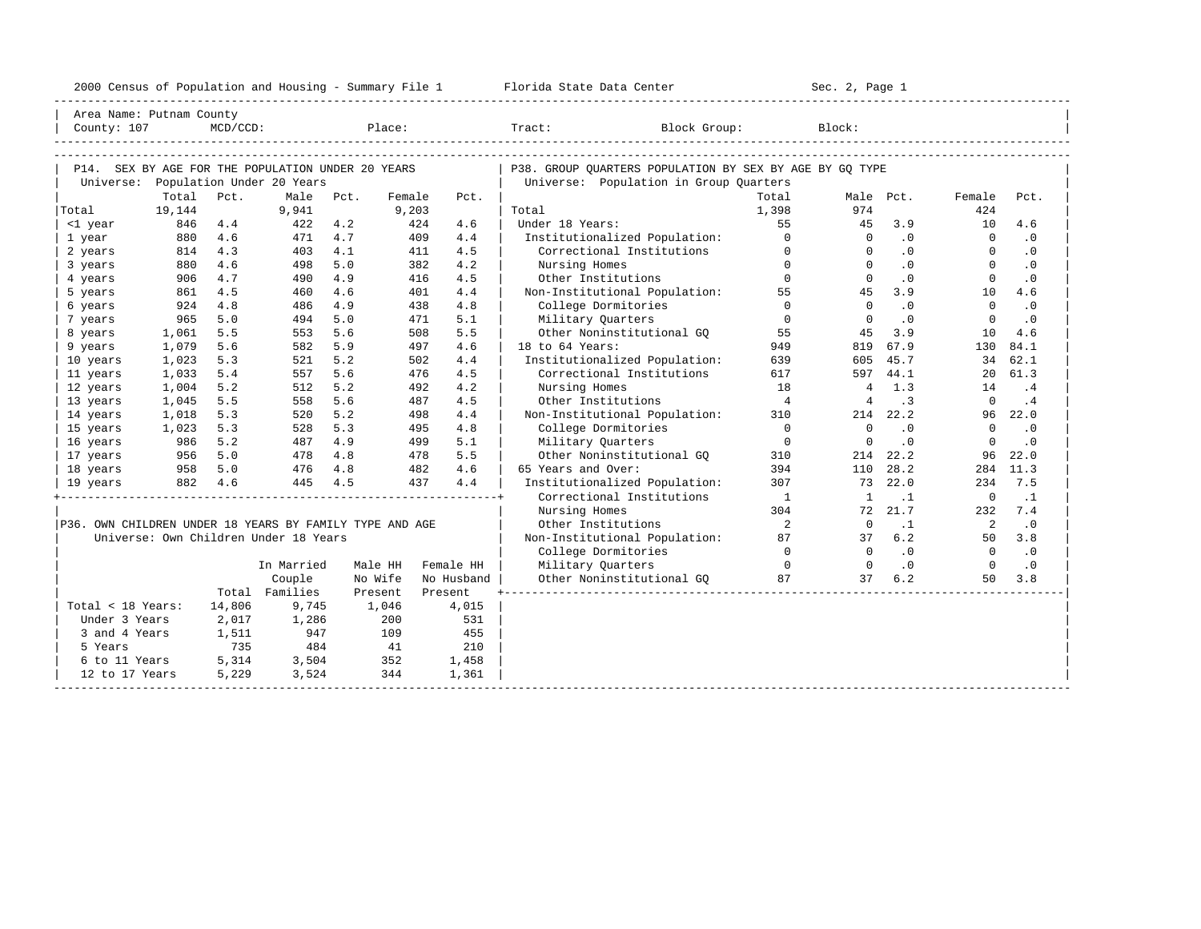| 2000<br>ensus! | and<br>Population | ---<br>Summa:<br>$-$<br>Housing | lorida<br>Data<br>otatt<br>cence. | ، م ج<br>Page<br>$3-1$ |  |
|----------------|-------------------|---------------------------------|-----------------------------------|------------------------|--|
|                |                   |                                 |                                   |                        |  |

| Area Name: Putnam County                                       |         |             |                                       |         |        |            |                                                                                                   |                          |                |           |                |           |
|----------------------------------------------------------------|---------|-------------|---------------------------------------|---------|--------|------------|---------------------------------------------------------------------------------------------------|--------------------------|----------------|-----------|----------------|-----------|
| County: 107                                                    |         | $MCD/CCD$ : |                                       | Place:  |        |            | Tract:<br>Block Group:                                                                            |                          | Block:         |           |                |           |
|                                                                |         |             |                                       |         |        |            |                                                                                                   |                          |                |           |                |           |
|                                                                |         |             |                                       |         |        |            |                                                                                                   |                          |                |           |                |           |
| P14. SEX BY AGE FOR THE POPULATION UNDER 20 YEARS<br>Universe: |         |             | Population Under 20 Years             |         |        |            | P38. GROUP OUARTERS POPULATION BY SEX BY AGE BY GO TYPE<br>Universe: Population in Group Quarters |                          |                |           |                |           |
|                                                                | Total   | Pct.        | Male                                  | Pct.    | Female | Pct.       |                                                                                                   | Total                    |                | Male Pct. | Female         | Pct.      |
| Total                                                          | 19,144  |             | 9,941                                 |         | 9,203  |            | Total                                                                                             | 1,398                    | 974            |           | 424            |           |
| <1 year                                                        | 846     | 4.4         | 422                                   | 4.2     | 424    | 4.6        | Under 18 Years:                                                                                   | 55                       | 45             | 3.9       | 10             | 4.6       |
| 1 year                                                         | 880     | 4.6         | 471                                   | 4.7     | 409    | 4.4        | Institutionalized Population:                                                                     | $\Omega$                 | $\Omega$       | $\cdot$ 0 | $\Omega$       | $\cdot$ 0 |
| 2 years                                                        | 814     | 4.3         | 403                                   | 4.1     | 411    | 4.5        | Correctional Institutions                                                                         | $\Omega$                 | $\Omega$       | $\cdot$ 0 | $\Omega$       | $\cdot$ 0 |
| 3 years                                                        | 880     | 4.6         | 498                                   | 5.0     | 382    | 4.2        | Nursing Homes                                                                                     | $\Omega$                 | $\Omega$       | .0        | $\Omega$       | $\cdot$ 0 |
| 4 years                                                        | 906     | 4.7         | 490                                   | 4.9     | 416    | 4.5        | Other Institutions                                                                                | $\Omega$                 | $\Omega$       | $\cdot$ 0 | $\Omega$       | $\cdot$ 0 |
| 5 years                                                        | 861     | 4.5         | 460                                   | 4.6     | 401    | 4.4        | Non-Institutional Population:                                                                     | 55                       | 45             | 3.9       | 10             | 4.6       |
| 6 years                                                        | 924     | 4.8         | 486                                   | 4.9     | 438    | 4.8        | College Dormitories                                                                               | $\Omega$                 | $\Omega$       | $\cdot$ 0 | $\Omega$       | $\cdot$ 0 |
| 7 years                                                        | 965     | 5.0         | 494                                   | 5.0     | 471    | 5.1        | Military Quarters                                                                                 | $\Omega$                 | $\Omega$       | $\cdot$ 0 | $\Omega$       | .0        |
| 8 years                                                        | 1,061   | 5.5         | 553                                   | 5.6     | 508    | 5.5        | Other Noninstitutional GO                                                                         | 55                       | 45             | 3.9       | 10             | 4.6       |
| 9 years                                                        | 1,079   | 5.6         | 582                                   | 5.9     | 497    | 4.6        | 18 to 64 Years:                                                                                   | 949                      | 819            | 67.9      | 130            | 84.1      |
| 10 years                                                       | 1,023   | 5.3         | 521                                   | 5.2     | 502    | 4.4        | Institutionalized Population:                                                                     | 639                      | 605            | 45.7      | 34             | 62.1      |
| 11 years                                                       | 1,033   | 5.4         | 557                                   | 5.6     | 476    | 4.5        | Correctional Institutions                                                                         | 617                      |                | 597 44.1  | 20             | 61.3      |
| 12 years                                                       | 1,004   | 5.2         | 512                                   | 5.2     | 492    | 4.2        | Nursing Homes                                                                                     | 18                       | $\overline{4}$ | 1.3       | 14             | .4        |
| 13 years                                                       | 1,045   | 5.5         | 558                                   | 5.6     | 487    | 4.5        | Other Institutions                                                                                | $\overline{4}$           | $\overline{4}$ | $\cdot$ 3 | $\Omega$       | .4        |
| 14 years                                                       | 1,018   | 5.3         | 520                                   | 5.2     | 498    | 4.4        | Non-Institutional Population:                                                                     | 310                      |                | 214 22.2  |                | 96 22.0   |
| 15 years                                                       | 1,023   | 5.3         | 528                                   | 5.3     | 495    | 4.8        | College Dormitories                                                                               | $\bigcirc$               | $\Omega$       | .0        | $\Omega$       | $\cdot$ 0 |
| 16 years                                                       | 986     | 5.2         | 487                                   | 4.9     | 499    | 5.1        | Military Quarters                                                                                 | $\Omega$                 | $\Omega$       | .0        | $\Omega$       | $\cdot$ 0 |
| 17 years                                                       | 956     | 5.0         | 478                                   | 4.8     | 478    | 5.5        | Other Noninstitutional GO                                                                         | 310                      | 214            | 22.2      | 96             | 22.0      |
| 18 years                                                       | 958     | 5.0         | 476                                   | 4.8     | 482    | 4.6        | 65 Years and Over:                                                                                | 394                      | 110            | 28.2      | 284            | 11.3      |
| 19 years                                                       | 882 4.6 |             | 445                                   | 4.5     | 437    | 4.4        | Institutionalized Population:                                                                     | 307                      | 73             | 22.0      | 234            | 7.5       |
|                                                                |         |             |                                       |         |        |            | Correctional Institutions                                                                         | $\mathbf{1}$             | <sup>1</sup>   | $\cdot$ 1 | $\circ$        | $\cdot$ 1 |
|                                                                |         |             |                                       |         |        |            | Nursing Homes                                                                                     | 304                      | 72             | 21.7      | 232            | 7.4       |
| P36. OWN CHILDREN UNDER 18 YEARS BY FAMILY TYPE AND AGE        |         |             |                                       |         |        |            | Other Institutions                                                                                | $\overline{\phantom{a}}$ | $\Omega$       | $\cdot$ 1 | $\overline{2}$ | $\cdot$ 0 |
|                                                                |         |             | Universe: Own Children Under 18 Years |         |        |            | Non-Institutional Population:                                                                     | 87                       | 37             | 6.2       | 50             | 3.8       |
|                                                                |         |             |                                       |         |        |            | College Dormitories                                                                               | $\Omega$                 | $\Omega$       | $\cdot$ 0 | $\overline{0}$ | $\cdot$ 0 |
|                                                                |         |             | In Married                            | Male HH |        | Female HH  | Military Quarters                                                                                 | $\overline{0}$           | $\overline{0}$ | $\cdot$ 0 | $\overline{0}$ | $\cdot$ 0 |
|                                                                |         |             | Couple                                | No Wife |        | No Husband | Other Noninstitutional GQ                                                                         | 87                       | 37             | 6.2       | 50             | 3.8       |
|                                                                |         |             | Total Families                        | Present |        | Present    |                                                                                                   |                          |                |           |                |           |
| Total < 18 Years:                                              |         | 14,806      | 9,745                                 | 1,046   |        | 4,015      |                                                                                                   |                          |                |           |                |           |
| Under 3 Years                                                  |         | 2,017       | 1,286                                 | 200     |        | 531        |                                                                                                   |                          |                |           |                |           |
| 3 and 4 Years                                                  |         | 1,511       | 947                                   | 109     |        | 455        |                                                                                                   |                          |                |           |                |           |
| 5 Years                                                        |         | 735         | 484                                   | 41      |        | 210        |                                                                                                   |                          |                |           |                |           |
| 6 to 11 Years                                                  |         | 5,314       | 3,504                                 | 352     |        | 1,458      |                                                                                                   |                          |                |           |                |           |
| 12 to 17 Years                                                 |         | 5,229       | 3,524                                 | 344     |        | 1,361      |                                                                                                   |                          |                |           |                |           |
|                                                                |         |             |                                       |         |        |            |                                                                                                   |                          |                |           |                |           |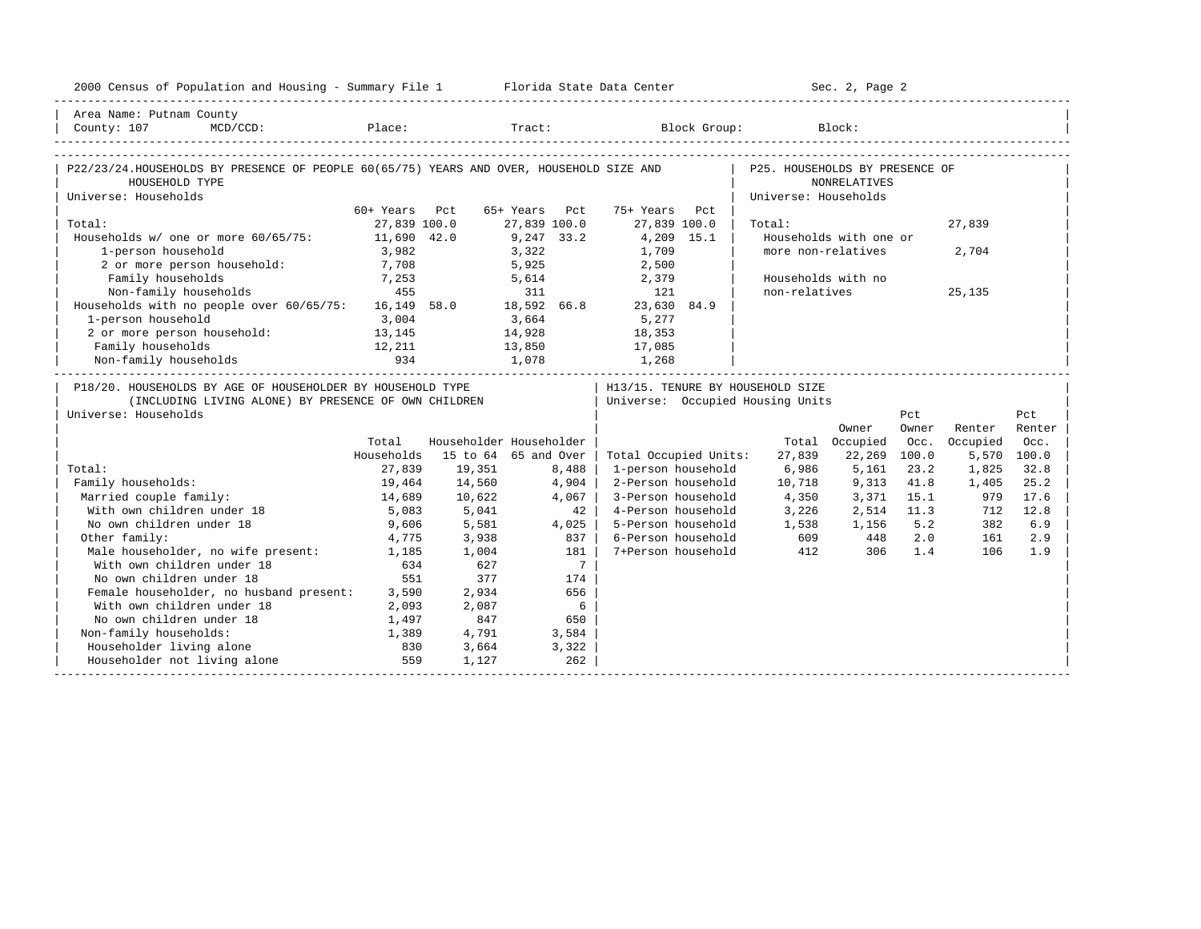| 2000 Census of Population and Housing - Summary File 1 Florida State Data Center                                   |                |                         |               |                |                                                                        |                                | Sec. 2, Page 2         |             |            |             |
|--------------------------------------------------------------------------------------------------------------------|----------------|-------------------------|---------------|----------------|------------------------------------------------------------------------|--------------------------------|------------------------|-------------|------------|-------------|
| Area Name: Putnam County<br>County: 107                                                                            |                |                         |               |                | MCD/CCD: Place: Tract: Block Group: Block:                             |                                |                        |             |            |             |
|                                                                                                                    |                |                         |               |                |                                                                        |                                |                        |             |            |             |
| P22/23/24.HOUSEHOLDS BY PRESENCE OF PEOPLE 60(65/75) YEARS AND OVER, HOUSEHOLD SIZE AND<br>HOUSEHOLD TYPE          |                |                         |               |                |                                                                        | P25. HOUSEHOLDS BY PRESENCE OF | <b>NONRELATIVES</b>    |             |            |             |
| Universe: Households                                                                                               | 60+ Years Pct  |                         | 65+ Years Pct |                | 75+ Years Pct                                                          | Universe: Households           |                        |             |            |             |
| Total:                                                                                                             | 27,839 100.0   |                         | 27,839 100.0  |                | 27,839 100.0                                                           | Total:                         |                        |             | 27,839     |             |
| Households w/ one or more 60/65/75: 11,690 42.0                                                                    |                |                         | 9,247 33.2    |                | 4,209 15.1                                                             |                                | Households with one or |             |            |             |
| 1-person household                                                                                                 | 3,982          |                         | 3,322         |                | 1,709                                                                  |                                | more non-relatives     |             | 2,704      |             |
| 2 or more person household:                                                                                        | 7,708          |                         | 5,925         |                | 2,500                                                                  |                                |                        |             |            |             |
| Family households                                                                                                  | 7,253          |                         | 5,614         |                | 2,379                                                                  |                                | Households with no     |             |            |             |
| Non-family households                                                                                              | 455            |                         | 311           |                | 121                                                                    | non-relatives                  |                        |             | 25,135     |             |
| Households with no people over 60/65/75: 16,149 58.0 18,592 66.8                                                   |                |                         |               |                | 23,630 84.9                                                            |                                |                        |             |            |             |
| 1-person household                                                                                                 | 3.004          |                         | 3,664         |                | 5,277                                                                  |                                |                        |             |            |             |
| 2 or more person household:                                                                                        | 13, 145        |                         | 14,928        |                | 18,353                                                                 |                                |                        |             |            |             |
| Family households                                                                                                  | 12,211         |                         | 13,850        |                | 17,085                                                                 |                                |                        |             |            |             |
| 934<br>Non-family households                                                                                       |                | 1,078                   |               |                | 1,268                                                                  |                                |                        |             |            |             |
| P18/20. HOUSEHOLDS BY AGE OF HOUSEHOLDER BY HOUSEHOLD TYPE<br>(INCLUDING LIVING ALONE) BY PRESENCE OF OWN CHILDREN |                |                         |               |                | H13/15. TENURE BY HOUSEHOLD SIZE<br>  Universe: Occupied Housing Units |                                |                        |             |            |             |
| Universe: Households                                                                                               |                |                         |               |                |                                                                        |                                |                        | Pct         |            | Pct         |
|                                                                                                                    |                |                         |               |                |                                                                        |                                | Owner                  | Owner       | Renter     | Renter      |
|                                                                                                                    | Total          | Householder Householder |               |                |                                                                        |                                | Total Occupied         | Occ.        | Occupied   | Occ.        |
|                                                                                                                    | Households     | 15 to 64 65 and Over    |               |                | Total Occupied Units:                                                  | 27,839                         | 22,269                 | 100.0       |            | 5,570 100.0 |
| Total:                                                                                                             | 27,839         | 19,351                  |               | 8,488          | 1-person household                                                     | 6,986                          | 5,161                  | 23.2        | 1,825      | 32.8        |
| Family households:                                                                                                 | 19,464         | 14,560                  |               | 4,904          | 2-Person household                                                     | 10,718                         | 9,313                  | 41.8        | 1,405      | 25.2        |
| Married couple family:<br>With own children under 18                                                               | 14,689         | 10,622                  |               | 4,067          | 3-Person household                                                     | 4,350                          | 3,371                  | 15.1        | 979        | 17.6        |
| No own children under 18                                                                                           | 5,083          | 5,041                   |               | 42  <br>4.025  | 4-Person household<br>5-Person household                               | 3,226<br>1,538                 | 2,514                  | 11.3<br>5.2 | 712<br>382 | 12.8<br>6.9 |
| Other family:                                                                                                      | 9,606          | 5,581<br>3,938          |               | 837            | 6-Person household                                                     | 609                            | 1,156<br>448           | 2.0         | 161        | 2.9         |
|                                                                                                                    | 4,775          | 1,004                   |               | 181            | 7+Person household                                                     | 412                            | 306                    | 1.4         | 106        | 1.9         |
| Male householder, no wife present: 1,185<br>With own children under 18 634                                         |                | 627                     |               | $\overline{7}$ |                                                                        |                                |                        |             |            |             |
| No own children under 18                                                                                           | 551            | 377                     |               | 174            |                                                                        |                                |                        |             |            |             |
|                                                                                                                    |                |                         |               |                |                                                                        |                                |                        |             |            |             |
| Female householder, no husband present: 3,590<br>With own children under 18                                        |                | 2,934<br>2,087          |               | 656<br>6       |                                                                        |                                |                        |             |            |             |
| No own children under 18                                                                                           | 2,093<br>1,497 | 847                     |               | 650            |                                                                        |                                |                        |             |            |             |
|                                                                                                                    |                |                         |               |                |                                                                        |                                |                        |             |            |             |
| Non-family households:<br>Householder living alone                                                                 | 1,389          | 4,791                   | 3,584         |                |                                                                        |                                |                        |             |            |             |
| Householder not living alone                                                                                       | 830<br>559     | 3,664<br>1,127          |               | 3,322<br>262   |                                                                        |                                |                        |             |            |             |
|                                                                                                                    |                |                         |               |                |                                                                        |                                |                        |             |            |             |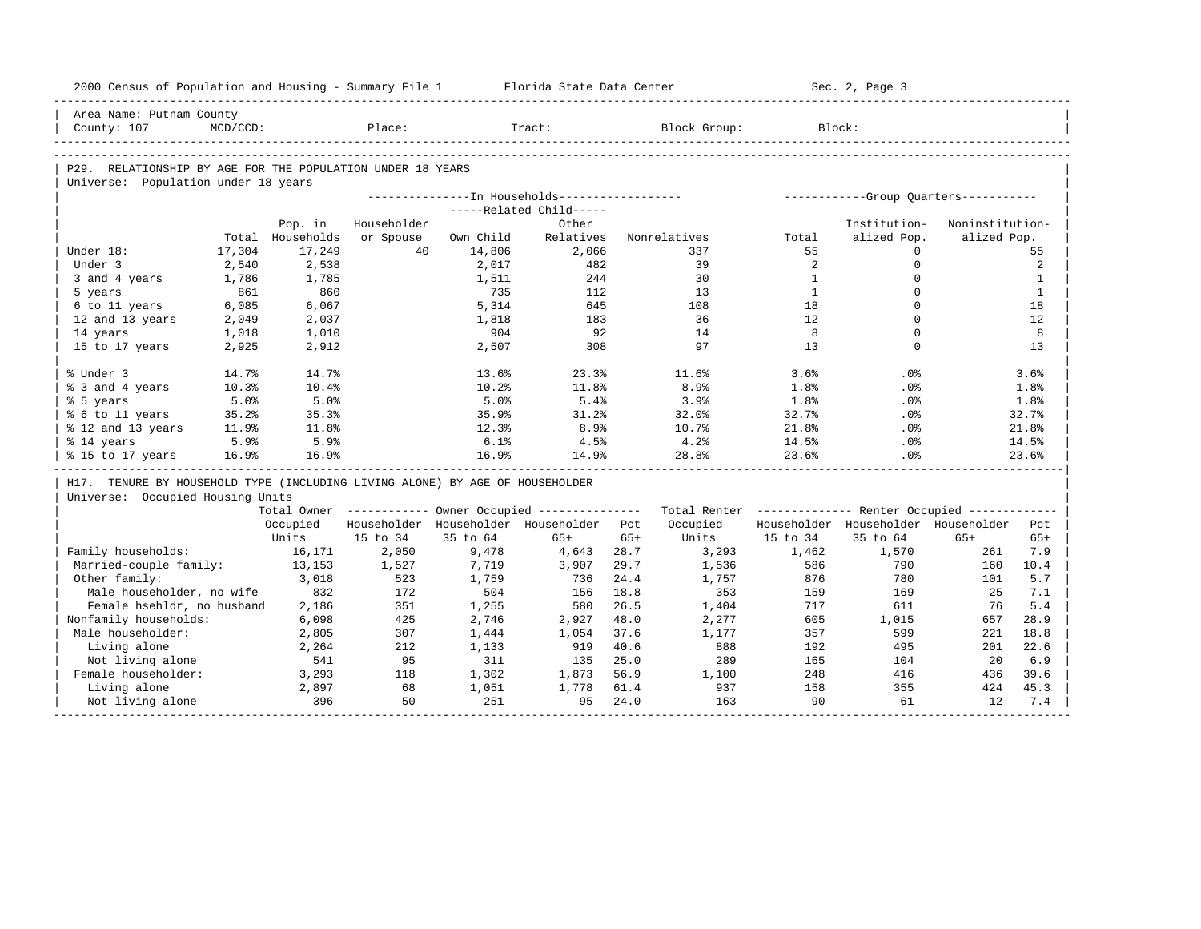| 2000 Census of Population and Housing - Summary File 1                       |             |                  |             |           | Florida State Data Center                             |       |                                                         |                   | Sec. 2, Page 3                        |                 |              |
|------------------------------------------------------------------------------|-------------|------------------|-------------|-----------|-------------------------------------------------------|-------|---------------------------------------------------------|-------------------|---------------------------------------|-----------------|--------------|
| Area Name: Putnam County                                                     |             |                  |             |           |                                                       |       |                                                         |                   |                                       |                 |              |
| County: 107                                                                  | $MCD/CCD$ : |                  | Place:      |           | Tract:                                                |       | Block Group:                                            |                   | Block:                                |                 |              |
|                                                                              |             |                  |             |           |                                                       |       |                                                         |                   |                                       |                 |              |
| P29. RELATIONSHIP BY AGE FOR THE POPULATION UNDER 18 YEARS                   |             |                  |             |           |                                                       |       |                                                         |                   |                                       |                 |              |
| Universe: Population under 18 years                                          |             |                  |             |           |                                                       |       |                                                         |                   |                                       |                 |              |
|                                                                              |             |                  |             |           | ---------------- In Households------------------      |       |                                                         |                   | ------------Group Quarters----------- |                 |              |
|                                                                              |             |                  |             |           | -----Related Child-----                               |       |                                                         |                   |                                       |                 |              |
|                                                                              |             | Pop. in          | Householder |           | Other                                                 |       |                                                         |                   | Institution-                          | Noninstitution- |              |
|                                                                              |             | Total Households | or Spouse   | Own Child | Relatives                                             |       | Nonrelatives                                            | Total             | alized Pop.                           | alized Pop.     |              |
| Under 18:                                                                    | 17,304      | 17,249           | 40          | 14,806    | 2,066                                                 |       | 337                                                     | 55                | $\Omega$                              |                 | 55           |
| Under 3                                                                      | 2,540       | 2,538            |             | 2,017     | 482                                                   |       | 39                                                      | 2                 | $\mathbf 0$                           |                 | 2            |
| 3 and 4 years                                                                | 1,786       | 1,785            |             | 1,511     | 244                                                   |       | 30                                                      | $\mathbf{1}$      | $\Omega$                              |                 | $\mathbf{1}$ |
| 5 years                                                                      | 861         | 860              |             | 735       | 112                                                   |       | 13                                                      | $\mathbf{1}$      | $\Omega$                              |                 | $\mathbf{1}$ |
| 6 to 11 years                                                                | 6,085       | 6,067            |             | 5,314     | 645                                                   |       | 108                                                     | 18                | $\Omega$                              |                 | 18           |
| 12 and 13 years                                                              | 2,049       | 2,037            |             | 1,818     | 183                                                   |       | 36                                                      | $12 \overline{ }$ | $\Omega$                              |                 | 12           |
| 14 years                                                                     | 1,018       | 1,010            |             | 904       | 92                                                    |       | 14                                                      | 8                 | $\mathbf 0$                           |                 | 8            |
| 15 to 17 years                                                               | 2,925       | 2,912            |             | 2,507     | 308                                                   |       | 97                                                      | 13                | $\Omega$                              |                 | 13           |
| % Under 3                                                                    | 14.7%       | 14.7%            |             | 13.6%     | 23.3%                                                 |       | 11.6%                                                   | 3.6%              | .0%                                   |                 | 3.6%         |
| % 3 and 4 years                                                              | 10.3%       | 10.4%            |             | 10.2%     | 11.8%                                                 |       | 8.9%                                                    | 1.8%              | .0%                                   |                 | 1.8%         |
| % 5 years                                                                    | 5.0%        | 5.0%             |             | 5.0%      | 5.4%                                                  |       | 3.9%                                                    | 1.8%              | .0%                                   |                 | 1.8%         |
| % 6 to 11 years                                                              | 35.2%       | 35.3%            |             | 35.9%     | 31.2%                                                 |       | 32.0%                                                   | 32.7%             | .0%                                   |                 | 32.7%        |
| % 12 and 13 years                                                            | 11.9%       | 11.8%            |             | 12.3%     | 8.9%                                                  |       | 10.7%                                                   | 21.8%             | .0%                                   |                 | 21.8%        |
| % 14 years                                                                   | 5.9%        | 5.9%             |             | 6.1%      | 4.5%                                                  |       | 4.2%                                                    | 14.5%             | .0%                                   |                 | 14.5%        |
| % 15 to 17 years                                                             | 16.9%       | 16.9%            |             | 16.9%     | 14.9%                                                 |       | 28.8%                                                   | 23.6%             | .0%                                   |                 | 23.6%        |
| H17. TENURE BY HOUSEHOLD TYPE (INCLUDING LIVING ALONE) BY AGE OF HOUSEHOLDER |             |                  |             |           |                                                       |       |                                                         |                   |                                       |                 |              |
| Universe: Occupied Housing Units                                             |             |                  |             |           |                                                       |       |                                                         |                   |                                       |                 |              |
|                                                                              |             |                  |             |           | Total Owner ----------- Owner Occupied -------------- |       | Total Renter ------------- Renter Occupied ------------ |                   |                                       |                 |              |
|                                                                              |             | Occupied         |             |           | Householder Householder Householder                   | Pct.  | Occupied                                                |                   | Householder Householder Householder   |                 | Pct.         |
|                                                                              |             | Units            | 15 to 34    | 35 to 64  | $65+$                                                 | $65+$ | Units                                                   | 15 to 34          | 35 to 64                              | $65+$           | $65+$        |
| Family households:                                                           |             | 16,171           | 2,050       | 9,478     | 4,643                                                 | 28.7  | 3,293                                                   | 1,462             | 1,570                                 | 261             | 7.9          |
| Married-couple family:                                                       |             | 13,153           | 1,527       | 7,719     | 3,907                                                 | 29.7  | 1,536                                                   | 586               | 790                                   | 160             | 10.4         |
| Other family:                                                                |             | 3,018            | 523         | 1,759     | 736                                                   | 24.4  | 1,757                                                   | 876               | 780                                   | 101             | 5.7          |
| Male householder, no wife                                                    |             | 832              | 172         | 504       | 156                                                   | 18.8  | 353                                                     | 159               | 169                                   | 25              | 7.1          |
| Female hsehldr, no husband                                                   |             | 2,186            | 351         | 1,255     | 580                                                   | 26.5  | 1,404                                                   | 717               | 611                                   | 76              | 5.4          |
| Nonfamily households:                                                        |             | 6,098            | 425         | 2,746     | 2,927                                                 | 48.0  | 2,277                                                   | 605               | 1,015                                 | 657             | 28.9         |
| Male householder:                                                            |             | 2,805            | 307         | 1,444     | 1,054                                                 | 37.6  | 1,177                                                   | 357               | 599                                   | 221             | 18.8         |
| Living alone                                                                 |             | 2,264            | 212         | 1,133     | 919                                                   | 40.6  | 888                                                     | 192               | 495                                   | 201             | 22.6         |
| Not living alone                                                             |             | 541              | 95          | 311       | 135                                                   | 25.0  | 289                                                     | 165               | 104                                   | 20              | 6.9          |
| Female householder:                                                          |             | 3,293            | 118         | 1,302     | 1,873                                                 | 56.9  | 1,100                                                   | 248               | 416                                   | 436             | 39.6         |
| Living alone                                                                 |             | 2,897            | 68          | 1,051     | 1,778                                                 | 61.4  | 937                                                     | 158               | 355                                   | 424             | 45.3         |
| Not living alone                                                             |             | 396              | 50          | 251       | 95                                                    | 24.0  | 163                                                     | 90                | 61                                    | 12              | 7.4          |
|                                                                              |             |                  |             |           |                                                       |       |                                                         |                   |                                       |                 |              |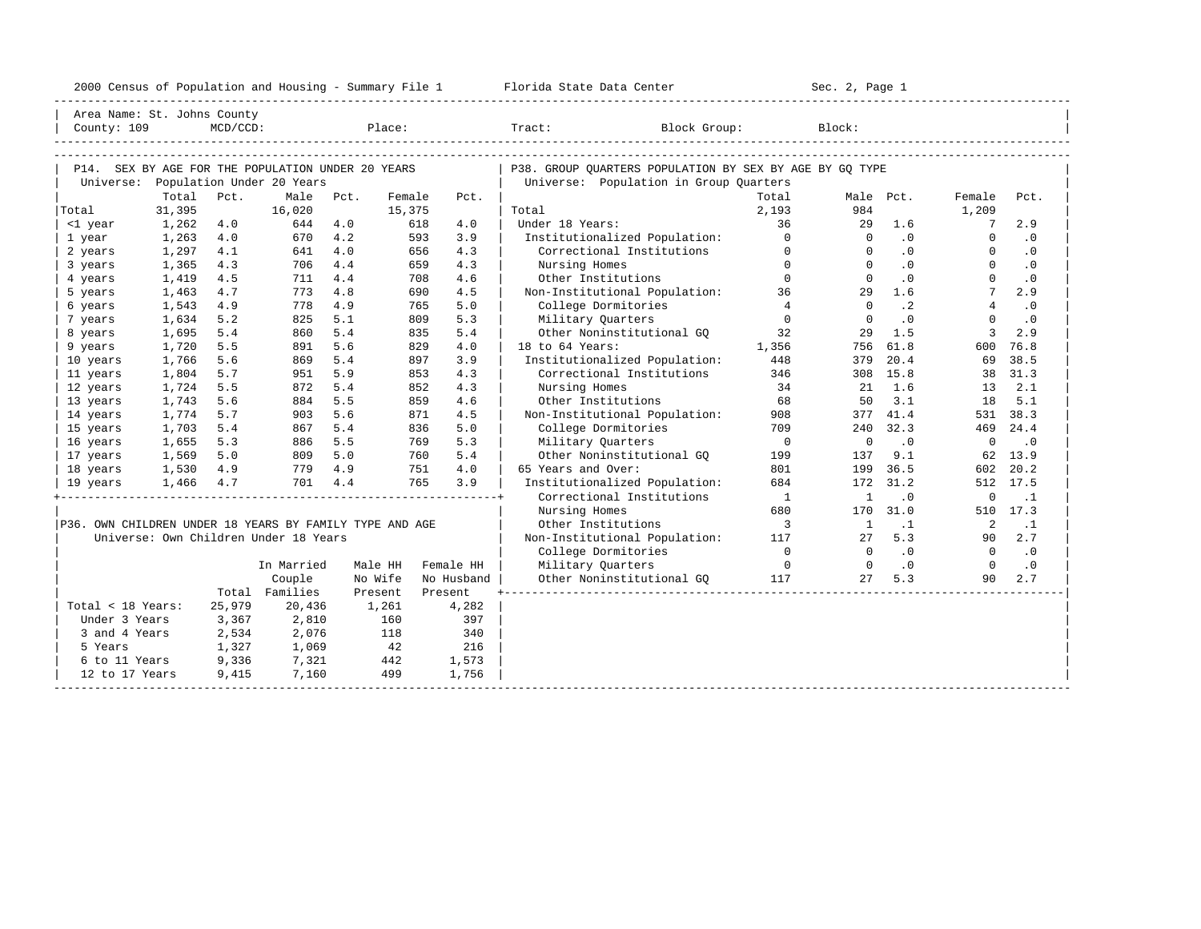| County: 109                                             | Area Name: St. Johns County                       | MCD/CCD: |                           |         | Place: |            | Block Group:<br>Tract:                                  |                | Block:      |           |             |           |
|---------------------------------------------------------|---------------------------------------------------|----------|---------------------------|---------|--------|------------|---------------------------------------------------------|----------------|-------------|-----------|-------------|-----------|
|                                                         | P14. SEX BY AGE FOR THE POPULATION UNDER 20 YEARS |          |                           |         |        |            | P38. GROUP QUARTERS POPULATION BY SEX BY AGE BY GQ TYPE |                |             |           |             |           |
| Universe:                                               |                                                   |          | Population Under 20 Years |         |        |            | Universe: Population in Group Ouarters                  |                |             |           |             |           |
|                                                         | Total                                             | Pct.     | Male                      | Pct.    | Female | Pct.       |                                                         | Total          |             | Male Pct. | Female      | Pct.      |
| Total                                                   | 31,395                                            |          | 16,020                    |         | 15,375 |            | Total                                                   | 2,193          | 984         |           | 1,209       |           |
| <1 year                                                 | 1,262                                             | 4.0      | 644                       | 4.0     | 618    | 4.0        | Under 18 Years:                                         | 36             | 29          | 1.6       | 7           | 2.9       |
| 1 year                                                  | 1,263                                             | 4.0      | 670                       | 4.2     | 593    | 3.9        | Institutionalized Population:                           | $\Omega$       | $\Omega$    | .0        | $\Omega$    | $\cdot$ 0 |
| 2 years                                                 | 1,297                                             | 4.1      | 641                       | 4.0     | 656    | 4.3        | Correctional Institutions                               | $\Omega$       | $\Omega$    | $\cdot$ 0 | $\Omega$    | $\cdot$ 0 |
| 3 years                                                 | 1,365                                             | 4.3      | 706                       | 4.4     | 659    | 4.3        | Nursing Homes                                           | $\Omega$       | $\Omega$    | $\cdot$ 0 | $\Omega$    | $\cdot$ 0 |
| 4 years                                                 | 1,419                                             | 4.5      | 711                       | 4.4     | 708    | 4.6        | Other Institutions                                      | $\Omega$       | $\cap$      | $\cdot$ 0 | $\Omega$    | $\cdot$ 0 |
| 5 years                                                 | 1,463                                             | 4.7      | 773                       | 4.8     | 690    | 4.5        | Non-Institutional Population:                           | 36             | 29          | 1.6       | 7           | 2.9       |
| 6 years                                                 | 1,543                                             | 4.9      | 778                       | 4.9     | 765    | 5.0        | College Dormitories                                     | 4              | $\Omega$    | $\cdot$ 2 | 4           | $\cdot$ 0 |
| 7 years                                                 | 1,634                                             | 5.2      | 825                       | 5.1     | 809    | 5.3        | Military Quarters                                       | $\Omega$       | $\Omega$    | $\cdot$ 0 | $\Omega$    | $\cdot$ 0 |
| 8 years                                                 | 1,695                                             | 5.4      | 860                       | 5.4     | 835    | 5.4        | Other Noninstitutional GO                               | 32             | 29          | 1.5       | 3           | 2.9       |
| 9 years                                                 | 1,720                                             | 5.5      | 891                       | 5.6     | 829    | 4.0        | 18 to 64 Years:                                         | 1,356          | 756         | 61.8      | 600         | 76.8      |
| 10 years                                                | 1,766                                             | 5.6      | 869                       | 5.4     | 897    | 3.9        | Institutionalized Population:                           | 448            | 379         | 20.4      | 69          | 38.5      |
| 11 years                                                | 1,804                                             | 5.7      | 951                       | 5.9     | 853    | 4.3        | Correctional Institutions                               | 346            | 308         | 15.8      | 38          | 31.3      |
| 12 years                                                | 1,724                                             | 5.5      | 872                       | 5.4     | 852    | 4.3        | Nursing Homes                                           | 34             | 21          | 1.6       | 13          | 2.1       |
| 13 years                                                | 1,743                                             | 5.6      | 884                       | 5.5     | 859    | 4.6        | Other Institutions                                      | 68             | 50          | 3.1       | 18          | 5.1       |
| 14 years                                                | 1,774                                             | 5.7      | 903                       | 5.6     | 871    | 4.5        | Non-Institutional Population:                           | 908            | 377         | 41.4      | 531         | 38.3      |
| 15 years                                                | 1,703                                             | 5.4      | 867                       | 5.4     | 836    | 5.0        | College Dormitories                                     | 709            | 240         | 32.3      | 469         | 24.4      |
| 16 years                                                | 1,655                                             | 5.3      | 886                       | 5.5     | 769    | 5.3        | Military Ouarters                                       | $\overline{0}$ | $\mathbf 0$ | $\cdot$ 0 | $\mathbf 0$ | $\cdot$ 0 |
| 17 years                                                | 1,569                                             | 5.0      | 809                       | 5.0     | 760    | 5.4        | Other Noninstitutional GO                               | 199            | 137         | 9.1       | 62          | 13.9      |
| 18 years                                                | 1,530                                             | 4.9      | 779                       | 4.9     | 751    | 4.0        | 65 Years and Over:                                      | 801            | 199         | 36.5      | 602         | 20.2      |
| 19 years                                                | 1,466                                             | 4.7      | 701                       | 4.4     | 765    | 3.9        | Institutionalized Population:                           | 684            | 172         | 31.2      | 512         | 17.5      |
|                                                         |                                                   |          |                           |         |        |            | Correctional Institutions                               | $\overline{1}$ | -1          | $\cdot$ 0 | 0           | $\cdot$ 1 |
|                                                         |                                                   |          |                           |         |        |            | Nursing Homes                                           | 680            | 170         | 31.0      | 510         | 17.3      |
| P36. OWN CHILDREN UNDER 18 YEARS BY FAMILY TYPE AND AGE |                                                   |          |                           |         |        |            | Other Institutions                                      | 3              | -1          | $\cdot$ 1 | 2           | $\cdot$ 1 |
|                                                         | Universe: Own Children Under 18 Years             |          |                           |         |        |            | Non-Institutional Population:                           | 117            | 27          | 5.3       | 90          | 2.7       |
|                                                         |                                                   |          |                           |         |        |            | College Dormitories                                     | $\Omega$       | $\Omega$    | $\cdot$ 0 | $\Omega$    | $\cdot$ 0 |
|                                                         |                                                   |          | In Married                | Male HH |        | Female HH  | Military Quarters                                       | $\Omega$       | $\Omega$    | $\cdot$ 0 | $\Omega$    | $\cdot$ 0 |
|                                                         |                                                   |          | Couple                    | No Wife |        | No Husband | Other Noninstitutional GQ                               | 117            | 27          | 5.3       | 90          | 2.7       |
|                                                         |                                                   | Total    | Families                  | Present |        | Present    |                                                         |                |             |           |             |           |
| Total < 18 Years:                                       |                                                   | 25,979   | 20,436                    |         | 1,261  | 4,282      |                                                         |                |             |           |             |           |
| Under 3 Years                                           |                                                   | 3,367    | 2,810                     |         | 160    | 397        |                                                         |                |             |           |             |           |

| 3 and 4 Years 2,534 2,076 118 340 | |

| 12 to 17 Years 9,415 7,160 499 1,756 | |

9 1,327 1,069 12 216<br>6 to 11 Years 9,336 1,321 442 1,573

-----------------------------------------------------------------------------------------------------------------------------------------------------

6 to 11 Years 9,336

2000 Census of Population and Housing - Summary File 1 Florida State Data Center Sec. 2, Page 1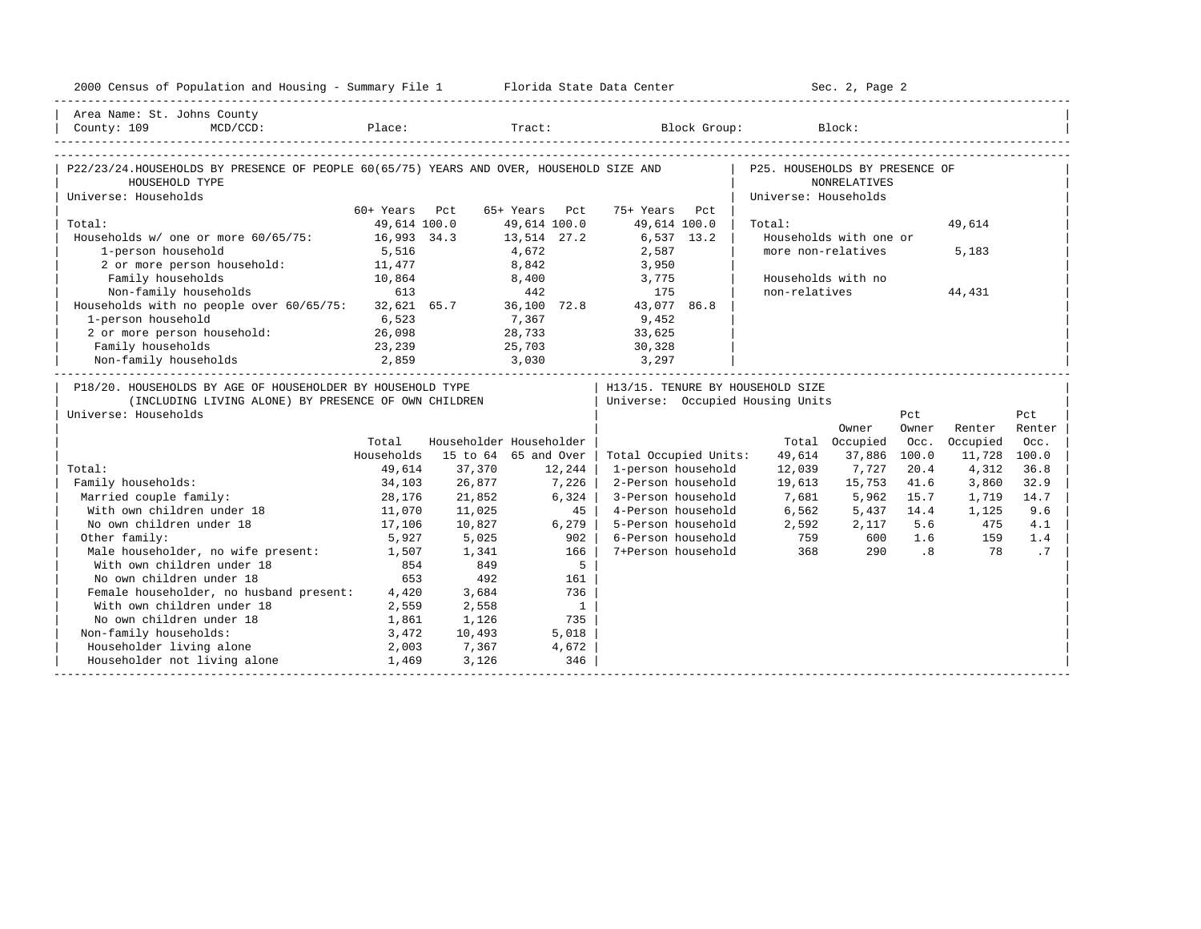| Area Name: St. Johns County<br>MCD/CCD: Place: Tract: Block Group: Block:<br>County: 109<br>P22/23/24.HOUSEHOLDS BY PRESENCE OF PEOPLE 60(65/75) YEARS AND OVER, HOUSEHOLD SIZE AND<br>P25. HOUSEHOLDS BY PRESENCE OF<br><b>NONRELATIVES</b><br>HOUSEHOLD TYPE<br>Universe: Households<br>Universe: Households<br>60+ Years Pct<br>65+ Years Pct<br>75+ Years Pct<br>Total:<br>49,614 100.0<br>49,614 100.0<br>49,614 100.0<br>49,614<br>Total:<br>Households w/ one or more 60/65/75: 16,993 34.3<br>13,514 27.2<br>6,537 13.2<br>Households with one or<br>$4,672$<br>8,842<br>1-person household<br>5,516<br>2,587<br>more non-relatives<br>5,183<br>2 or more person household: 11,477<br>3,950<br>Family households<br>Households with no<br>10,864<br>8,400<br>3,775<br>613<br>Non-family households<br>442<br>175<br>non-relatives<br>44,431<br>Households with no people over $60/65/75$ : 32,621 65.7 36,100 72.8<br>43,077 86.8<br>1-person household<br>6,523<br>7,367<br>9,452<br>2 or more person household:<br>26,098<br>28,733<br>33,625<br>Family households<br>23,239<br>25,703<br>30,328<br>2,859<br>Non-family households<br>3,030<br>3,297<br>P18/20. HOUSEHOLDS BY AGE OF HOUSEHOLDER BY HOUSEHOLD TYPE<br>  H13/15. TENURE BY HOUSEHOLD SIZE<br>(INCLUDING LIVING ALONE) BY PRESENCE OF OWN CHILDREN<br>Universe: Occupied Housing Units<br>Universe: Households<br>Pct<br>Pct<br>Owner<br>Renter<br>Owner<br>Renter<br>Householder Householder<br>Occupied<br>Total<br>Total Occupied<br>Occ.<br>Occ.<br>Households<br>15 to 64 65 and Over<br>100.0<br>11,728 100.0<br>Total Occupied Units:<br>49,614<br>37,886<br>Total:<br>49,614<br>37,370<br>12,244<br>1-person household<br>12,039<br>7,727<br>20.4<br>4,312<br>36.8<br>7,226<br>Family households:<br>34,103<br>26,877<br>2-Person household<br>19,613<br>15,753<br>41.6<br>3,860<br>32.9<br>Married couple family:<br>28,176<br>6,324<br>3-Person household<br>7,681<br>5,962<br>15.7<br>21,852<br>1,719<br>14.7<br>With own children under 18<br>11,070<br>45  <br>4-Person household<br>6,562<br>5,437<br>14.4<br>1,125<br>9.6<br>11,025<br>17,106<br>No own children under 18<br>10,827<br>$6, 279$  <br>5-Person household<br>2,592<br>5.6<br>475<br>2,117<br>4.1<br>Other family:<br>6-Person household<br>759<br>5,927<br>5,025<br>902<br>600<br>1.6<br>159<br>1.4<br>Male householder, no wife present:<br>With own children under 18<br>7+Person household<br>368<br>$\overline{\phantom{0}}$ .8<br>.7<br>166<br>290<br>78<br>1,507<br>1,341<br>5<br>854<br>849<br>No own children under 18<br>653<br>492<br>161<br>Female householder, no husband present: 4,420<br>3,684<br>736<br>With own children under 18<br>2,559<br>2,558<br>$\overline{1}$<br>No own children under 18<br>735<br>1,861<br>1,126<br>Non-family households:<br>3,472<br>10,493<br>5,018<br>Householder living alone<br>2,003<br>7,367<br>4,672<br>Householder not living alone<br>346<br>1,469<br>3,126 | 2000 Census of Population and Housing - Summary File 1 Florida State Data Center |  |  |  | Sec. 2, Page 2 |  |  |
|------------------------------------------------------------------------------------------------------------------------------------------------------------------------------------------------------------------------------------------------------------------------------------------------------------------------------------------------------------------------------------------------------------------------------------------------------------------------------------------------------------------------------------------------------------------------------------------------------------------------------------------------------------------------------------------------------------------------------------------------------------------------------------------------------------------------------------------------------------------------------------------------------------------------------------------------------------------------------------------------------------------------------------------------------------------------------------------------------------------------------------------------------------------------------------------------------------------------------------------------------------------------------------------------------------------------------------------------------------------------------------------------------------------------------------------------------------------------------------------------------------------------------------------------------------------------------------------------------------------------------------------------------------------------------------------------------------------------------------------------------------------------------------------------------------------------------------------------------------------------------------------------------------------------------------------------------------------------------------------------------------------------------------------------------------------------------------------------------------------------------------------------------------------------------------------------------------------------------------------------------------------------------------------------------------------------------------------------------------------------------------------------------------------------------------------------------------------------------------------------------------------------------------------------------------------------------------------------------------------------------------------------------------------------------------------------------------------------------------------------------------------------------------------------------------------------------------------------------------------------------------------------------------------------------------------------------------------------|----------------------------------------------------------------------------------|--|--|--|----------------|--|--|
|                                                                                                                                                                                                                                                                                                                                                                                                                                                                                                                                                                                                                                                                                                                                                                                                                                                                                                                                                                                                                                                                                                                                                                                                                                                                                                                                                                                                                                                                                                                                                                                                                                                                                                                                                                                                                                                                                                                                                                                                                                                                                                                                                                                                                                                                                                                                                                                                                                                                                                                                                                                                                                                                                                                                                                                                                                                                                                                                                                        |                                                                                  |  |  |  |                |  |  |
|                                                                                                                                                                                                                                                                                                                                                                                                                                                                                                                                                                                                                                                                                                                                                                                                                                                                                                                                                                                                                                                                                                                                                                                                                                                                                                                                                                                                                                                                                                                                                                                                                                                                                                                                                                                                                                                                                                                                                                                                                                                                                                                                                                                                                                                                                                                                                                                                                                                                                                                                                                                                                                                                                                                                                                                                                                                                                                                                                                        |                                                                                  |  |  |  |                |  |  |
|                                                                                                                                                                                                                                                                                                                                                                                                                                                                                                                                                                                                                                                                                                                                                                                                                                                                                                                                                                                                                                                                                                                                                                                                                                                                                                                                                                                                                                                                                                                                                                                                                                                                                                                                                                                                                                                                                                                                                                                                                                                                                                                                                                                                                                                                                                                                                                                                                                                                                                                                                                                                                                                                                                                                                                                                                                                                                                                                                                        |                                                                                  |  |  |  |                |  |  |
|                                                                                                                                                                                                                                                                                                                                                                                                                                                                                                                                                                                                                                                                                                                                                                                                                                                                                                                                                                                                                                                                                                                                                                                                                                                                                                                                                                                                                                                                                                                                                                                                                                                                                                                                                                                                                                                                                                                                                                                                                                                                                                                                                                                                                                                                                                                                                                                                                                                                                                                                                                                                                                                                                                                                                                                                                                                                                                                                                                        |                                                                                  |  |  |  |                |  |  |
|                                                                                                                                                                                                                                                                                                                                                                                                                                                                                                                                                                                                                                                                                                                                                                                                                                                                                                                                                                                                                                                                                                                                                                                                                                                                                                                                                                                                                                                                                                                                                                                                                                                                                                                                                                                                                                                                                                                                                                                                                                                                                                                                                                                                                                                                                                                                                                                                                                                                                                                                                                                                                                                                                                                                                                                                                                                                                                                                                                        |                                                                                  |  |  |  |                |  |  |
|                                                                                                                                                                                                                                                                                                                                                                                                                                                                                                                                                                                                                                                                                                                                                                                                                                                                                                                                                                                                                                                                                                                                                                                                                                                                                                                                                                                                                                                                                                                                                                                                                                                                                                                                                                                                                                                                                                                                                                                                                                                                                                                                                                                                                                                                                                                                                                                                                                                                                                                                                                                                                                                                                                                                                                                                                                                                                                                                                                        |                                                                                  |  |  |  |                |  |  |
|                                                                                                                                                                                                                                                                                                                                                                                                                                                                                                                                                                                                                                                                                                                                                                                                                                                                                                                                                                                                                                                                                                                                                                                                                                                                                                                                                                                                                                                                                                                                                                                                                                                                                                                                                                                                                                                                                                                                                                                                                                                                                                                                                                                                                                                                                                                                                                                                                                                                                                                                                                                                                                                                                                                                                                                                                                                                                                                                                                        |                                                                                  |  |  |  |                |  |  |
|                                                                                                                                                                                                                                                                                                                                                                                                                                                                                                                                                                                                                                                                                                                                                                                                                                                                                                                                                                                                                                                                                                                                                                                                                                                                                                                                                                                                                                                                                                                                                                                                                                                                                                                                                                                                                                                                                                                                                                                                                                                                                                                                                                                                                                                                                                                                                                                                                                                                                                                                                                                                                                                                                                                                                                                                                                                                                                                                                                        |                                                                                  |  |  |  |                |  |  |
|                                                                                                                                                                                                                                                                                                                                                                                                                                                                                                                                                                                                                                                                                                                                                                                                                                                                                                                                                                                                                                                                                                                                                                                                                                                                                                                                                                                                                                                                                                                                                                                                                                                                                                                                                                                                                                                                                                                                                                                                                                                                                                                                                                                                                                                                                                                                                                                                                                                                                                                                                                                                                                                                                                                                                                                                                                                                                                                                                                        |                                                                                  |  |  |  |                |  |  |
|                                                                                                                                                                                                                                                                                                                                                                                                                                                                                                                                                                                                                                                                                                                                                                                                                                                                                                                                                                                                                                                                                                                                                                                                                                                                                                                                                                                                                                                                                                                                                                                                                                                                                                                                                                                                                                                                                                                                                                                                                                                                                                                                                                                                                                                                                                                                                                                                                                                                                                                                                                                                                                                                                                                                                                                                                                                                                                                                                                        |                                                                                  |  |  |  |                |  |  |
|                                                                                                                                                                                                                                                                                                                                                                                                                                                                                                                                                                                                                                                                                                                                                                                                                                                                                                                                                                                                                                                                                                                                                                                                                                                                                                                                                                                                                                                                                                                                                                                                                                                                                                                                                                                                                                                                                                                                                                                                                                                                                                                                                                                                                                                                                                                                                                                                                                                                                                                                                                                                                                                                                                                                                                                                                                                                                                                                                                        |                                                                                  |  |  |  |                |  |  |
|                                                                                                                                                                                                                                                                                                                                                                                                                                                                                                                                                                                                                                                                                                                                                                                                                                                                                                                                                                                                                                                                                                                                                                                                                                                                                                                                                                                                                                                                                                                                                                                                                                                                                                                                                                                                                                                                                                                                                                                                                                                                                                                                                                                                                                                                                                                                                                                                                                                                                                                                                                                                                                                                                                                                                                                                                                                                                                                                                                        |                                                                                  |  |  |  |                |  |  |
|                                                                                                                                                                                                                                                                                                                                                                                                                                                                                                                                                                                                                                                                                                                                                                                                                                                                                                                                                                                                                                                                                                                                                                                                                                                                                                                                                                                                                                                                                                                                                                                                                                                                                                                                                                                                                                                                                                                                                                                                                                                                                                                                                                                                                                                                                                                                                                                                                                                                                                                                                                                                                                                                                                                                                                                                                                                                                                                                                                        |                                                                                  |  |  |  |                |  |  |
|                                                                                                                                                                                                                                                                                                                                                                                                                                                                                                                                                                                                                                                                                                                                                                                                                                                                                                                                                                                                                                                                                                                                                                                                                                                                                                                                                                                                                                                                                                                                                                                                                                                                                                                                                                                                                                                                                                                                                                                                                                                                                                                                                                                                                                                                                                                                                                                                                                                                                                                                                                                                                                                                                                                                                                                                                                                                                                                                                                        |                                                                                  |  |  |  |                |  |  |
|                                                                                                                                                                                                                                                                                                                                                                                                                                                                                                                                                                                                                                                                                                                                                                                                                                                                                                                                                                                                                                                                                                                                                                                                                                                                                                                                                                                                                                                                                                                                                                                                                                                                                                                                                                                                                                                                                                                                                                                                                                                                                                                                                                                                                                                                                                                                                                                                                                                                                                                                                                                                                                                                                                                                                                                                                                                                                                                                                                        |                                                                                  |  |  |  |                |  |  |
|                                                                                                                                                                                                                                                                                                                                                                                                                                                                                                                                                                                                                                                                                                                                                                                                                                                                                                                                                                                                                                                                                                                                                                                                                                                                                                                                                                                                                                                                                                                                                                                                                                                                                                                                                                                                                                                                                                                                                                                                                                                                                                                                                                                                                                                                                                                                                                                                                                                                                                                                                                                                                                                                                                                                                                                                                                                                                                                                                                        |                                                                                  |  |  |  |                |  |  |
|                                                                                                                                                                                                                                                                                                                                                                                                                                                                                                                                                                                                                                                                                                                                                                                                                                                                                                                                                                                                                                                                                                                                                                                                                                                                                                                                                                                                                                                                                                                                                                                                                                                                                                                                                                                                                                                                                                                                                                                                                                                                                                                                                                                                                                                                                                                                                                                                                                                                                                                                                                                                                                                                                                                                                                                                                                                                                                                                                                        |                                                                                  |  |  |  |                |  |  |
|                                                                                                                                                                                                                                                                                                                                                                                                                                                                                                                                                                                                                                                                                                                                                                                                                                                                                                                                                                                                                                                                                                                                                                                                                                                                                                                                                                                                                                                                                                                                                                                                                                                                                                                                                                                                                                                                                                                                                                                                                                                                                                                                                                                                                                                                                                                                                                                                                                                                                                                                                                                                                                                                                                                                                                                                                                                                                                                                                                        |                                                                                  |  |  |  |                |  |  |
|                                                                                                                                                                                                                                                                                                                                                                                                                                                                                                                                                                                                                                                                                                                                                                                                                                                                                                                                                                                                                                                                                                                                                                                                                                                                                                                                                                                                                                                                                                                                                                                                                                                                                                                                                                                                                                                                                                                                                                                                                                                                                                                                                                                                                                                                                                                                                                                                                                                                                                                                                                                                                                                                                                                                                                                                                                                                                                                                                                        |                                                                                  |  |  |  |                |  |  |
|                                                                                                                                                                                                                                                                                                                                                                                                                                                                                                                                                                                                                                                                                                                                                                                                                                                                                                                                                                                                                                                                                                                                                                                                                                                                                                                                                                                                                                                                                                                                                                                                                                                                                                                                                                                                                                                                                                                                                                                                                                                                                                                                                                                                                                                                                                                                                                                                                                                                                                                                                                                                                                                                                                                                                                                                                                                                                                                                                                        |                                                                                  |  |  |  |                |  |  |
|                                                                                                                                                                                                                                                                                                                                                                                                                                                                                                                                                                                                                                                                                                                                                                                                                                                                                                                                                                                                                                                                                                                                                                                                                                                                                                                                                                                                                                                                                                                                                                                                                                                                                                                                                                                                                                                                                                                                                                                                                                                                                                                                                                                                                                                                                                                                                                                                                                                                                                                                                                                                                                                                                                                                                                                                                                                                                                                                                                        |                                                                                  |  |  |  |                |  |  |
|                                                                                                                                                                                                                                                                                                                                                                                                                                                                                                                                                                                                                                                                                                                                                                                                                                                                                                                                                                                                                                                                                                                                                                                                                                                                                                                                                                                                                                                                                                                                                                                                                                                                                                                                                                                                                                                                                                                                                                                                                                                                                                                                                                                                                                                                                                                                                                                                                                                                                                                                                                                                                                                                                                                                                                                                                                                                                                                                                                        |                                                                                  |  |  |  |                |  |  |
|                                                                                                                                                                                                                                                                                                                                                                                                                                                                                                                                                                                                                                                                                                                                                                                                                                                                                                                                                                                                                                                                                                                                                                                                                                                                                                                                                                                                                                                                                                                                                                                                                                                                                                                                                                                                                                                                                                                                                                                                                                                                                                                                                                                                                                                                                                                                                                                                                                                                                                                                                                                                                                                                                                                                                                                                                                                                                                                                                                        |                                                                                  |  |  |  |                |  |  |
|                                                                                                                                                                                                                                                                                                                                                                                                                                                                                                                                                                                                                                                                                                                                                                                                                                                                                                                                                                                                                                                                                                                                                                                                                                                                                                                                                                                                                                                                                                                                                                                                                                                                                                                                                                                                                                                                                                                                                                                                                                                                                                                                                                                                                                                                                                                                                                                                                                                                                                                                                                                                                                                                                                                                                                                                                                                                                                                                                                        |                                                                                  |  |  |  |                |  |  |
|                                                                                                                                                                                                                                                                                                                                                                                                                                                                                                                                                                                                                                                                                                                                                                                                                                                                                                                                                                                                                                                                                                                                                                                                                                                                                                                                                                                                                                                                                                                                                                                                                                                                                                                                                                                                                                                                                                                                                                                                                                                                                                                                                                                                                                                                                                                                                                                                                                                                                                                                                                                                                                                                                                                                                                                                                                                                                                                                                                        |                                                                                  |  |  |  |                |  |  |
|                                                                                                                                                                                                                                                                                                                                                                                                                                                                                                                                                                                                                                                                                                                                                                                                                                                                                                                                                                                                                                                                                                                                                                                                                                                                                                                                                                                                                                                                                                                                                                                                                                                                                                                                                                                                                                                                                                                                                                                                                                                                                                                                                                                                                                                                                                                                                                                                                                                                                                                                                                                                                                                                                                                                                                                                                                                                                                                                                                        |                                                                                  |  |  |  |                |  |  |
|                                                                                                                                                                                                                                                                                                                                                                                                                                                                                                                                                                                                                                                                                                                                                                                                                                                                                                                                                                                                                                                                                                                                                                                                                                                                                                                                                                                                                                                                                                                                                                                                                                                                                                                                                                                                                                                                                                                                                                                                                                                                                                                                                                                                                                                                                                                                                                                                                                                                                                                                                                                                                                                                                                                                                                                                                                                                                                                                                                        |                                                                                  |  |  |  |                |  |  |
|                                                                                                                                                                                                                                                                                                                                                                                                                                                                                                                                                                                                                                                                                                                                                                                                                                                                                                                                                                                                                                                                                                                                                                                                                                                                                                                                                                                                                                                                                                                                                                                                                                                                                                                                                                                                                                                                                                                                                                                                                                                                                                                                                                                                                                                                                                                                                                                                                                                                                                                                                                                                                                                                                                                                                                                                                                                                                                                                                                        |                                                                                  |  |  |  |                |  |  |
|                                                                                                                                                                                                                                                                                                                                                                                                                                                                                                                                                                                                                                                                                                                                                                                                                                                                                                                                                                                                                                                                                                                                                                                                                                                                                                                                                                                                                                                                                                                                                                                                                                                                                                                                                                                                                                                                                                                                                                                                                                                                                                                                                                                                                                                                                                                                                                                                                                                                                                                                                                                                                                                                                                                                                                                                                                                                                                                                                                        |                                                                                  |  |  |  |                |  |  |
|                                                                                                                                                                                                                                                                                                                                                                                                                                                                                                                                                                                                                                                                                                                                                                                                                                                                                                                                                                                                                                                                                                                                                                                                                                                                                                                                                                                                                                                                                                                                                                                                                                                                                                                                                                                                                                                                                                                                                                                                                                                                                                                                                                                                                                                                                                                                                                                                                                                                                                                                                                                                                                                                                                                                                                                                                                                                                                                                                                        |                                                                                  |  |  |  |                |  |  |
|                                                                                                                                                                                                                                                                                                                                                                                                                                                                                                                                                                                                                                                                                                                                                                                                                                                                                                                                                                                                                                                                                                                                                                                                                                                                                                                                                                                                                                                                                                                                                                                                                                                                                                                                                                                                                                                                                                                                                                                                                                                                                                                                                                                                                                                                                                                                                                                                                                                                                                                                                                                                                                                                                                                                                                                                                                                                                                                                                                        |                                                                                  |  |  |  |                |  |  |
|                                                                                                                                                                                                                                                                                                                                                                                                                                                                                                                                                                                                                                                                                                                                                                                                                                                                                                                                                                                                                                                                                                                                                                                                                                                                                                                                                                                                                                                                                                                                                                                                                                                                                                                                                                                                                                                                                                                                                                                                                                                                                                                                                                                                                                                                                                                                                                                                                                                                                                                                                                                                                                                                                                                                                                                                                                                                                                                                                                        |                                                                                  |  |  |  |                |  |  |
|                                                                                                                                                                                                                                                                                                                                                                                                                                                                                                                                                                                                                                                                                                                                                                                                                                                                                                                                                                                                                                                                                                                                                                                                                                                                                                                                                                                                                                                                                                                                                                                                                                                                                                                                                                                                                                                                                                                                                                                                                                                                                                                                                                                                                                                                                                                                                                                                                                                                                                                                                                                                                                                                                                                                                                                                                                                                                                                                                                        |                                                                                  |  |  |  |                |  |  |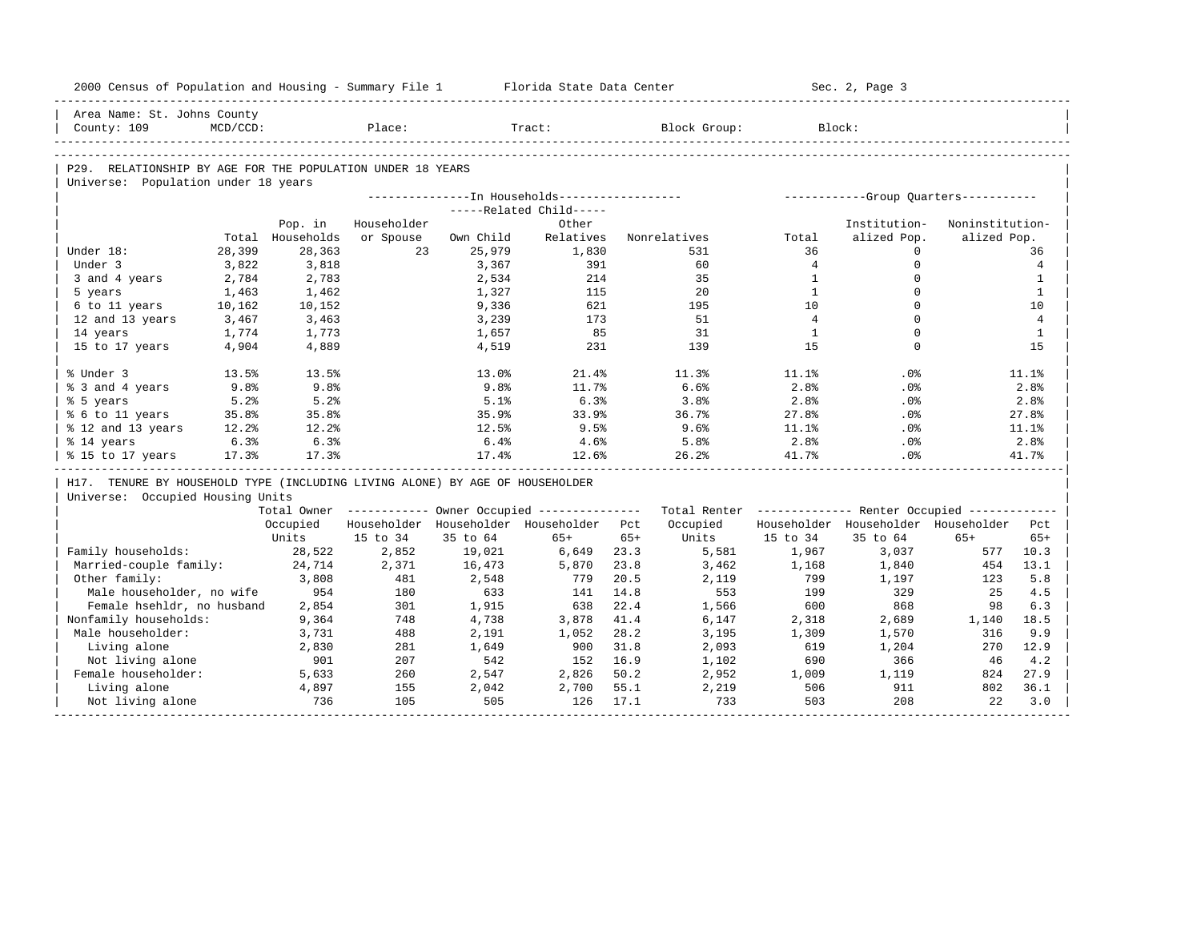| 2000 Census of Population and Housing - Summary File 1                       |             |                  |             |              | Florida State Data Center                             |              |                                                         |                | Sec. 2, Page 3                        |                 |                |
|------------------------------------------------------------------------------|-------------|------------------|-------------|--------------|-------------------------------------------------------|--------------|---------------------------------------------------------|----------------|---------------------------------------|-----------------|----------------|
| Area Name: St. Johns County                                                  |             |                  |             |              |                                                       |              |                                                         |                |                                       |                 |                |
| County: 109                                                                  | $MCD/CCD$ : |                  | Place:      |              | Tract:                                                |              | Block Group:                                            |                | Block:                                |                 |                |
|                                                                              |             |                  |             |              |                                                       |              |                                                         |                |                                       |                 |                |
| P29. RELATIONSHIP BY AGE FOR THE POPULATION UNDER 18 YEARS                   |             |                  |             |              |                                                       |              |                                                         |                |                                       |                 |                |
| Universe: Population under 18 years                                          |             |                  |             |              |                                                       |              |                                                         |                |                                       |                 |                |
|                                                                              |             |                  |             |              | ---------------- In Households------------------      |              |                                                         |                | ------------Group Quarters----------- |                 |                |
|                                                                              |             |                  |             |              | -----Related Child-----                               |              |                                                         |                |                                       |                 |                |
|                                                                              |             | Pop. in          | Householder |              | Other                                                 |              |                                                         |                | Institution-                          | Noninstitution- |                |
|                                                                              |             | Total Households | or Spouse   | Own Child    | Relatives                                             |              | Nonrelatives                                            | Total          | alized Pop.                           | alized Pop.     |                |
| Under 18:                                                                    | 28,399      | 28,363           | 23          | 25,979       | 1,830                                                 |              | 531                                                     | 36             | $\Omega$                              |                 | 36             |
| Under 3                                                                      | 3,822       | 3,818            |             | 3,367        | 391                                                   |              | 60                                                      | $\overline{4}$ | $\mathbf 0$                           |                 | $\overline{4}$ |
| 3 and 4 years                                                                | 2,784       | 2,783            |             | 2,534        | 214                                                   |              | 35                                                      | $\mathbf{1}$   | $\Omega$                              |                 | $\mathbf{1}$   |
| 5 years                                                                      | 1,463       | 1,462            |             | 1,327        | 115                                                   |              | 20                                                      | $\mathbf{1}$   | $\Omega$                              |                 | $\mathbf{1}$   |
| 6 to 11 years                                                                | 10,162      | 10,152           |             | 9,336        | 621                                                   |              | 195                                                     | 10             | $\Omega$                              |                 | 10             |
| 12 and 13 years                                                              | 3,467       | 3,463            |             | 3,239        | 173                                                   |              | 51                                                      | $\overline{4}$ | $\Omega$                              |                 | $\overline{4}$ |
| 14 years                                                                     | 1,774       | 1,773            |             | 1,657        | 85                                                    |              | 31                                                      | 1              | $\mathbf 0$<br>$\Omega$               |                 | $\mathbf{1}$   |
| 15 to 17 years                                                               | 4,904       | 4,889            |             | 4,519        | 231                                                   |              | 139                                                     | 1.5            |                                       |                 | 15             |
| % Under 3                                                                    | 13.5%       | 13.5%            |             | 13.0%        | 21.4%                                                 |              | 11.3%                                                   | 11.1%          | .0 <sup>8</sup>                       |                 | 11.1%          |
| % 3 and 4 years                                                              | 9.8%        | 9.8%             |             | 9.8%         | 11.7%                                                 |              | 6.6%                                                    | 2.8%           | .0%                                   |                 | 2.8%           |
| % 5 years                                                                    | 5.2%        | 5.2%             |             | 5.1%         | 6.3%                                                  |              | 3.8%                                                    | 2.8%           | .0%                                   |                 | 2.8%           |
| % 6 to 11 years                                                              | 35.8%       | 35.8%            |             | 35.9%        | 33.9%                                                 |              | 36.7%                                                   | 27.8%          | .0%                                   |                 | 27.8%          |
| % 12 and 13 years                                                            | 12.2%       | 12.2%            |             | 12.5%        | 9.5%                                                  |              | 9.6%                                                    | 11.1%          | .0%                                   |                 | 11.1%          |
| % 14 years                                                                   | 6.3%        | 6.3%             |             | 6.4%         | 4.6%                                                  |              | 5.8%                                                    | 2.8%           | .0%                                   |                 | 2.8%           |
| % 15 to 17 years                                                             | 17.3%       | 17.3%            |             | 17.4%        | 12.6%                                                 |              | 26.2%                                                   | 41.7%          | .0 <sup>8</sup>                       |                 | 41.7%          |
| H17. TENURE BY HOUSEHOLD TYPE (INCLUDING LIVING ALONE) BY AGE OF HOUSEHOLDER |             |                  |             |              |                                                       |              |                                                         |                |                                       |                 |                |
| Universe: Occupied Housing Units                                             |             |                  |             |              |                                                       |              |                                                         |                |                                       |                 |                |
|                                                                              |             |                  |             |              | Total Owner ----------- Owner Occupied -------------- |              | Total Renter ------------- Renter Occupied ------------ |                |                                       |                 |                |
|                                                                              |             | Occupied         |             |              | Householder Householder Householder                   | Pct.         | Occupied                                                |                | Householder Householder Householder   |                 | Pct.           |
|                                                                              |             | Units            | 15 to 34    | 35 to 64     | $65+$                                                 | $65+$        | Units                                                   | 15 to 34       | 35 to 64                              | $65+$           | $65+$          |
| Family households:                                                           |             | 28,522           | 2,852       | 19,021       | 6,649                                                 | 23.3         | 5,581                                                   | 1,967          | 3,037                                 | 577             | 10.3           |
| Married-couple family:                                                       |             | 24,714           | 2,371       | 16,473       | 5,870                                                 | 23.8         | 3,462                                                   | 1,168          | 1,840                                 | 454             | 13.1           |
| Other family:                                                                |             | 3,808            | 481         | 2,548        | 779                                                   | 20.5         | 2,119                                                   | 799            | 1,197                                 | 123             | 5.8            |
| Male householder, no wife                                                    |             | 954              | 180         | 633          | 141                                                   | 14.8         | 553                                                     | 199            | 329                                   | 25              | 4.5            |
| Female hsehldr, no husband                                                   |             | 2,854            | 301         | 1,915        | 638                                                   | 22.4         | 1,566                                                   | 600            | 868                                   | 98              | 6.3            |
| Nonfamily households:                                                        |             | 9,364            | 748         | 4,738        | 3,878                                                 | 41.4         | 6,147                                                   | 2,318          | 2,689                                 | 1,140           | 18.5           |
| Male householder:                                                            |             | 3,731            | 488         | 2,191        | 1,052                                                 | 28.2         | 3,195                                                   | 1,309          | 1,570                                 | 316             | 9.9            |
| Living alone                                                                 |             | 2,830            | 281         | 1,649        | 900                                                   | 31.8         | 2,093                                                   | 619            | 1,204                                 | 270             | 12.9           |
| Not living alone                                                             |             | 901              | 207         | 542          | 152                                                   | 16.9         | 1,102                                                   | 690            | 366                                   | 46              | 4.2            |
| Female householder:                                                          |             | 5,633            | 260         | 2,547        | 2,826                                                 | 50.2         | 2,952                                                   | 1,009          | 1,119                                 | 824             | 27.9           |
|                                                                              |             |                  |             |              |                                                       |              |                                                         |                |                                       |                 |                |
| Living alone<br>Not living alone                                             |             | 4,897<br>736     | 155<br>105  | 2,042<br>505 | 2,700<br>126                                          | 55.1<br>17.1 | 2,219<br>733                                            | 506<br>503     | 911<br>208                            | 802<br>22       | 36.1<br>3.0    |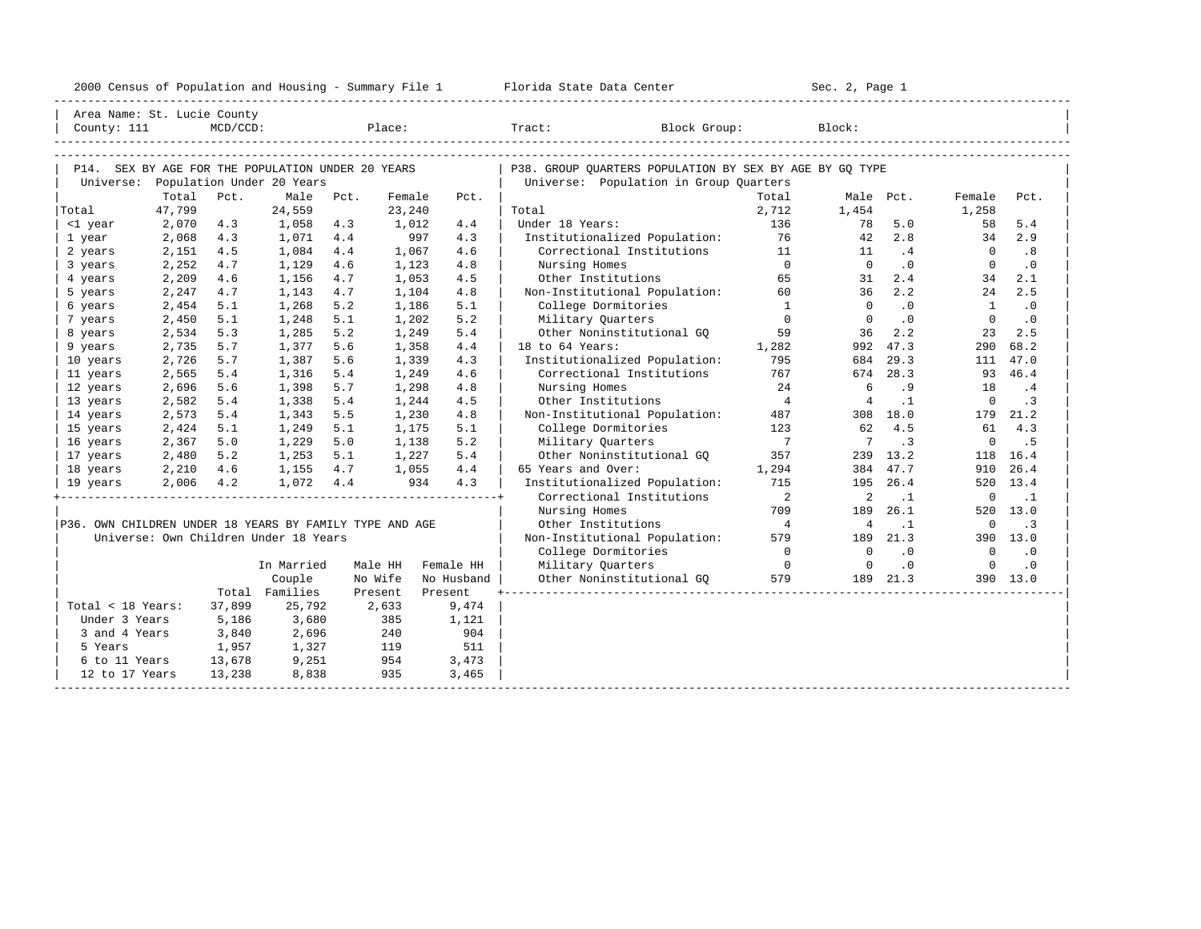|  |  |  |  | 2000 Census of Population and Housing - Summary File 1 |  |  |  |  |  |  |  |
|--|--|--|--|--------------------------------------------------------|--|--|--|--|--|--|--|
|--|--|--|--|--------------------------------------------------------|--|--|--|--|--|--|--|

| Area Name: St. Lucie County                             |        |             |                                                   |      |         |            |                                                         |                            |                |           |              |           |
|---------------------------------------------------------|--------|-------------|---------------------------------------------------|------|---------|------------|---------------------------------------------------------|----------------------------|----------------|-----------|--------------|-----------|
| County: 111                                             |        | $MCD/CCD$ : |                                                   |      |         | Place:     | Tract:<br>Block Group:                                  |                            | Block:         |           |              |           |
|                                                         |        |             |                                                   |      |         |            |                                                         |                            |                |           |              |           |
|                                                         |        |             | P14. SEX BY AGE FOR THE POPULATION UNDER 20 YEARS |      |         |            | P38. GROUP QUARTERS POPULATION BY SEX BY AGE BY GQ TYPE |                            |                |           |              |           |
|                                                         |        |             | Universe: Population Under 20 Years               |      |         |            | Universe: Population in Group Quarters                  |                            |                |           |              |           |
|                                                         | Total  | Pct.        | Male                                              | Pct. | Female  | Pct.       |                                                         | Total                      |                | Male Pct. | Female       | Pct.      |
| Total                                                   | 47,799 |             | 24,559                                            |      | 23,240  |            | Total                                                   | 2,712                      | 1,454          |           | 1,258        |           |
| <1 year                                                 | 2,070  | 4.3         | 1,058                                             | 4.3  | 1,012   | 4.4        | Under 18 Years:                                         | 136                        | 78             | 5.0       | 58           | 5.4       |
| 1 year                                                  | 2,068  | 4.3         | 1,071                                             | 4.4  | 997     | 4.3        | Institutionalized Population:                           | 76                         | 42             | 2.8       | 34           | 2.9       |
| 2 years                                                 | 2,151  | 4.5         | 1,084                                             | 4.4  | 1,067   | 4.6        | Correctional Institutions                               | 11                         | 11             | .4        | $\Omega$     | .8        |
| 3 years                                                 | 2,252  | 4.7         | 1,129                                             | 4.6  | 1,123   | 4.8        | Nursing Homes                                           | $\Omega$                   | $\Omega$       | $\cdot$ 0 | $\Omega$     | $\cdot$ 0 |
| 4 years                                                 | 2,209  | 4.6         | 1,156                                             | 4.7  | 1,053   | 4.5        | Other Institutions                                      | 65                         | 31             | 2.4       | 34           | 2.1       |
| 5 years                                                 | 2,247  | 4.7         | 1,143                                             | 4.7  | 1,104   | 4.8        | Non-Institutional Population:                           | 60                         | 36             | 2.2       | 24           | 2.5       |
| 6 years                                                 | 2,454  | 5.1         | 1,268                                             | 5.2  | 1,186   | 5.1        | College Dormitories                                     | $\overline{1}$             | $\Omega$       | $\cdot$ 0 | <sup>1</sup> | $\cdot$ 0 |
| 7 years                                                 | 2,450  | 5.1         | 1,248                                             | 5.1  | 1,202   | 5.2        | Military Quarters                                       | $\overline{0}$             | $\Omega$       | $\cdot$ 0 | $\mathbf 0$  | $\cdot$ 0 |
| 8 years                                                 | 2,534  | 5.3         | 1,285                                             | 5.2  | 1,249   | 5.4        | Other Noninstitutional GQ                               | 59                         | 36             | 2.2       | 23           | 2.5       |
| 9 years                                                 | 2,735  | 5.7         | 1,377                                             | 5.6  | 1,358   | 4.4        | 18 to 64 Years:                                         | 1,282                      |                | 992 47.3  | 290          | 68.2      |
| 10 years                                                | 2,726  | 5.7         | 1,387                                             | 5.6  | 1,339   | 4.3        | Institutionalized Population:                           | 795                        | 684            | 29.3      |              | 111 47.0  |
| 11 years                                                | 2,565  | 5.4         | 1,316                                             | 5.4  | 1,249   | 4.6        | Correctional Institutions                               | 767                        | 674            | 28.3      | 93           | 46.4      |
| 12 years                                                | 2,696  | 5.6         | 1,398                                             | 5.7  | 1,298   | 4.8        | Nursing Homes                                           | 24                         | 6              | .9        | 18           | $\cdot$ 4 |
| 13 years                                                | 2,582  | 5.4         | 1,338                                             | 5.4  | 1,244   | 4.5        | Other Institutions                                      | $\overline{4}$             | $\overline{4}$ | $\cdot$ 1 | $\Omega$     | $\cdot$ 3 |
| 14 years                                                | 2,573  | 5.4         | 1,343                                             | 5.5  | 1,230   | 4.8        | Non-Institutional Population:                           | 487                        |                | 308 18.0  | 179          | 21.2      |
| 15 years                                                | 2,424  | 5.1         | 1,249                                             | 5.1  | 1,175   | 5.1        | College Dormitories                                     | 123                        | 62             | 4.5       | 61           | 4.3       |
| 16 years                                                | 2,367  | 5.0         | 1,229                                             | 5.0  | 1,138   | 5.2        | Military Quarters                                       | $\overline{7}$             | 7              | .3        | $\mathbf 0$  | . 5       |
| 17 years                                                | 2,480  | 5.2         | 1,253                                             | 5.1  | 1,227   | 5.4        | Other Noninstitutional GQ                               | 357                        |                | 239 13.2  | 118          | 16.4      |
| 18 years                                                | 2,210  | 4.6         | 1,155                                             | 4.7  | 1,055   | 4.4        | 65 Years and Over:                                      | 1,294                      |                | 384 47.7  | 910          | 26.4      |
| 19 years                                                | 2,006  | 4.2         | 1,072                                             | 4.4  | 934     | 4.3        | Institutionalized Population:                           | 715                        |                | 195 26.4  |              | 520 13.4  |
|                                                         |        |             |                                                   |      |         |            | Correctional Institutions                               | $\overline{\phantom{0}}^2$ | 2              | $\cdot$ 1 | 0            | $\cdot$ 1 |
|                                                         |        |             |                                                   |      |         |            | Nursing Homes                                           | 709                        | 189            | 26.1      |              | 520 13.0  |
| P36. OWN CHILDREN UNDER 18 YEARS BY FAMILY TYPE AND AGE |        |             |                                                   |      |         |            | Other Institutions                                      | $\overline{4}$             | 4              | $\cdot$ 1 | $\mathbf 0$  | $\cdot$ 3 |
|                                                         |        |             | Universe: Own Children Under 18 Years             |      |         |            | Non-Institutional Population:                           | 579                        | 189            | 21.3      |              | 390 13.0  |
|                                                         |        |             |                                                   |      |         |            | College Dormitories                                     | $\overline{0}$             | $\circ$        | $\cdot$ 0 | $\circ$      | $\cdot$ 0 |
|                                                         |        |             | In Married                                        |      | Male HH | Female HH  | Military Quarters                                       | $\overline{0}$             | $\mathbf 0$    | $\cdot$ 0 | $\mathbf 0$  | $\cdot$ 0 |
|                                                         |        |             | Couple                                            |      | No Wife | No Husband | Other Noninstitutional GQ                               | 579                        |                | 189 21.3  |              | 390 13.0  |
|                                                         |        |             | Total Families                                    |      | Present | Present    |                                                         |                            |                |           |              |           |
| Total < 18 Years:                                       |        | 37,899      | 25,792                                            |      | 2,633   | 9,474      |                                                         |                            |                |           |              |           |
| Under 3 Years                                           |        | 5,186       | 3,680                                             |      | 385     | 1,121      |                                                         |                            |                |           |              |           |
| 3 and 4 Years                                           |        | 3,840       | 2,696                                             |      | 240     | 904        |                                                         |                            |                |           |              |           |
| 5 Years                                                 |        | 1,957       | 1,327                                             |      | 119     | 511        |                                                         |                            |                |           |              |           |
| 6 to 11 Years                                           |        | 13,678      | 9,251                                             |      | 954     | 3,473      |                                                         |                            |                |           |              |           |
| 12 to 17 Years                                          |        | 13,238      | 8,838                                             |      | 935     | 3,465      |                                                         |                            |                |           |              |           |
|                                                         |        |             |                                                   |      |         |            |                                                         |                            |                |           |              |           |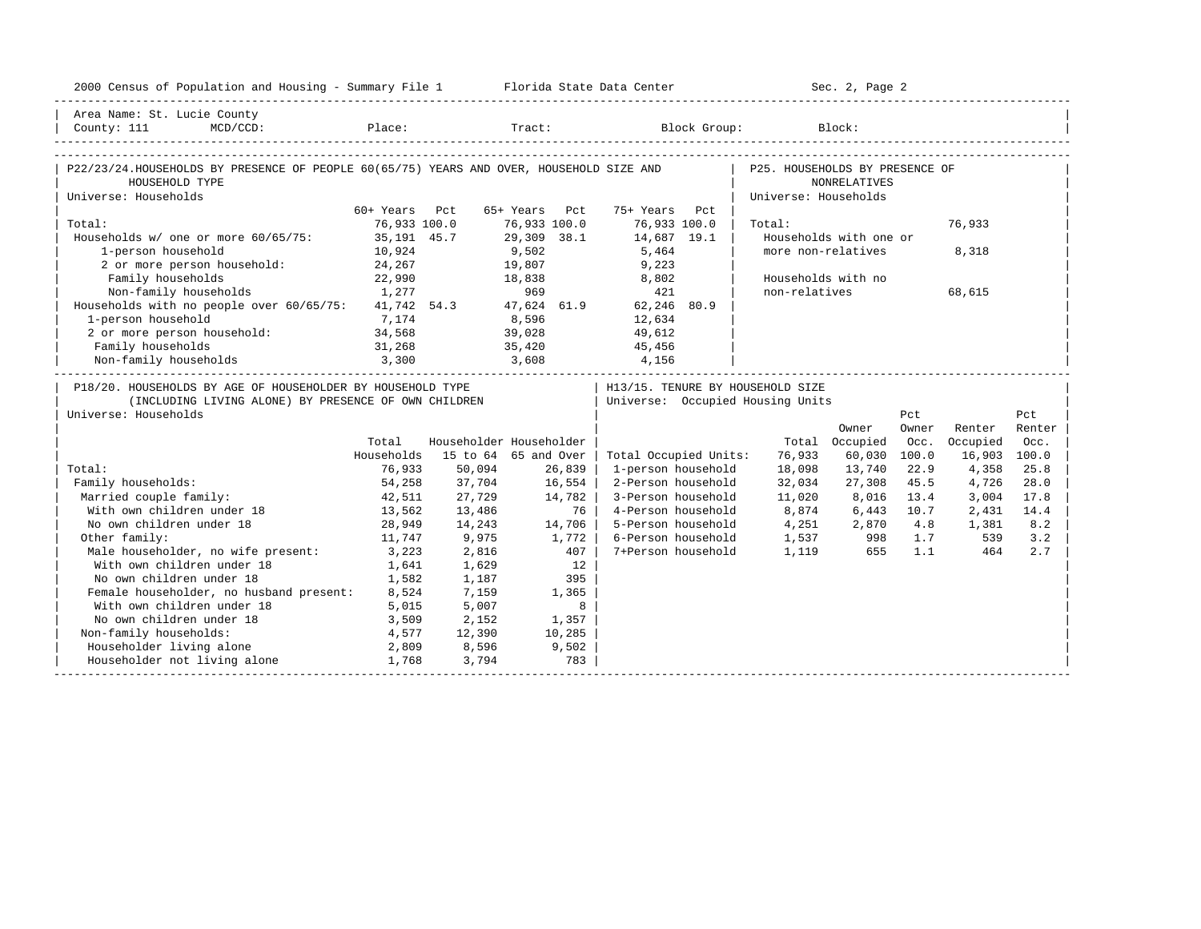| 2000 Census of Population and Housing - Summary File 1 Florida State Data Center                                                           |               |        |                         |                                                                      |                                                        | Sec. 2, Page 2         |       |              |        |
|--------------------------------------------------------------------------------------------------------------------------------------------|---------------|--------|-------------------------|----------------------------------------------------------------------|--------------------------------------------------------|------------------------|-------|--------------|--------|
| Area Name: St. Lucie County                                                                                                                |               |        |                         |                                                                      |                                                        |                        |       |              |        |
| P22/23/24.HOUSEHOLDS BY PRESENCE OF PEOPLE 60(65/75) YEARS AND OVER, HOUSEHOLD SIZE AND<br>HOUSEHOLD TYPE<br>Universe: Households          |               |        |                         |                                                                      | P25. HOUSEHOLDS BY PRESENCE OF<br>Universe: Households | <b>NONRELATIVES</b>    |       |              |        |
|                                                                                                                                            | 60+ Years Pct |        | 65+ Years Pct           | 75+ Years Pct                                                        |                                                        |                        |       |              |        |
| Total:                                                                                                                                     | 76,933 100.0  |        | 76,933 100.0            | 76,933 100.0                                                         | Total:                                                 |                        |       | 76,933       |        |
| Households w/ one or more 60/65/75: 35,191 45.7                                                                                            |               |        | 29,309 38.1             | 14,687 19.1                                                          |                                                        | Households with one or |       |              |        |
| 1-person household                                                                                                                         | 10,924        |        | 9,502                   | 5,464                                                                |                                                        | more non-relatives     |       | 8,318        |        |
| 2 or more person household: 24,267                                                                                                         |               |        | 19,807                  | 9,223                                                                |                                                        |                        |       |              |        |
| Family households                                                                                                                          | 22,990        | 18,838 |                         | 8,802                                                                |                                                        | Households with no     |       |              |        |
| Non-family households                                                                                                                      | 1,277         |        | 969                     | 421                                                                  | non-relatives                                          |                        |       | 68,615       |        |
| Households with no people over $60/65/75$ : $41,742$ 54.3 $47,624$ 61.9                                                                    |               |        |                         | 62,246 80.9                                                          |                                                        |                        |       |              |        |
| 1-person household                                                                                                                         | 7,174         |        | 8,596                   | 12,634                                                               |                                                        |                        |       |              |        |
| 2 or more person household:                                                                                                                | 34,568        |        | 39,028                  | 49,612                                                               |                                                        |                        |       |              |        |
| Family households                                                                                                                          | 31,268        |        | 35,420                  | 45,456                                                               |                                                        |                        |       |              |        |
| 3,300<br>Non-family households                                                                                                             |               | 3,608  |                         | 4,156                                                                |                                                        |                        |       |              |        |
| P18/20. HOUSEHOLDS BY AGE OF HOUSEHOLDER BY HOUSEHOLD TYPE<br>(INCLUDING LIVING ALONE) BY PRESENCE OF OWN CHILDREN<br>Universe: Households |               |        |                         | H13/15. TENURE BY HOUSEHOLD SIZE<br>Universe: Occupied Housing Units |                                                        |                        | Pct   |              | Pct    |
|                                                                                                                                            |               |        |                         |                                                                      |                                                        | Owner                  | Owner | Renter       | Renter |
|                                                                                                                                            | Total         |        | Householder Householder |                                                                      |                                                        | Total Occupied         | Occ.  | Occupied     | Occ.   |
|                                                                                                                                            | Households    |        | 15 to 64 65 and Over    | Total Occupied Units:                                                | 76,933                                                 | 60,030                 | 100.0 | 16,903 100.0 |        |
| Total:                                                                                                                                     | 76,933        | 50,094 | 26,839                  | 1-person household                                                   | 18,098                                                 | 13,740                 | 22.9  | 4,358        | 25.8   |
| Family households:                                                                                                                         | 54,258        | 37,704 | 16,554                  | 2-Person household                                                   | 32,034                                                 | 27,308                 | 45.5  | 4,726        | 28.0   |
| Married couple family:                                                                                                                     | 42,511        | 27,729 | 14,782                  | 3-Person household                                                   | 11,020                                                 | 8,016                  | 13.4  | 3,004        | 17.8   |
| With own children under 18                                                                                                                 | 13,562        | 13,486 | 76                      | 4-Person household                                                   |                                                        | 8,874 6,443            | 10.7  | 2,431        | 14.4   |
| No own children under 18                                                                                                                   | 28,949        | 14,243 | 14,706                  | 5-Person household                                                   | 4, 251 2, 870                                          |                        | 4.8   | 1,381        | 8.2    |
| Other family:                                                                                                                              | 11,747        | 9,975  | 1,772                   | 6-Person household                                                   | 1,537 998 1.7                                          |                        |       | 539          | 3.2    |
| Male householder, no wife present:                                                                                                         | 3,223         | 2,816  | 407                     | 7+Person household                                                   | 1,119                                                  | 655                    | 1.1   | 464          | 2.7    |
| With own children under 18                                                                                                                 | 1,641         | 1,629  | 12                      |                                                                      |                                                        |                        |       |              |        |
| No own children under 18                                                                                                                   | 1,582         | 1,187  | 395                     |                                                                      |                                                        |                        |       |              |        |
| Female householder, no husband present: 8,524                                                                                              |               | 7,159  | 1,365                   |                                                                      |                                                        |                        |       |              |        |
| With own children under 18                                                                                                                 | 5,015         | 5,007  | 8                       |                                                                      |                                                        |                        |       |              |        |
| No own children under 18<br>3,509                                                                                                          |               | 2,152  | 1,357                   |                                                                      |                                                        |                        |       |              |        |
| Non-family households:                                                                                                                     | 4,577         | 12,390 | 10,285                  |                                                                      |                                                        |                        |       |              |        |
| Householder living alone                                                                                                                   | 2,809         | 8,596  | 9,502                   |                                                                      |                                                        |                        |       |              |        |
| Householder not living alone                                                                                                               | 1,768         | 3,794  | 783                     |                                                                      |                                                        |                        |       |              |        |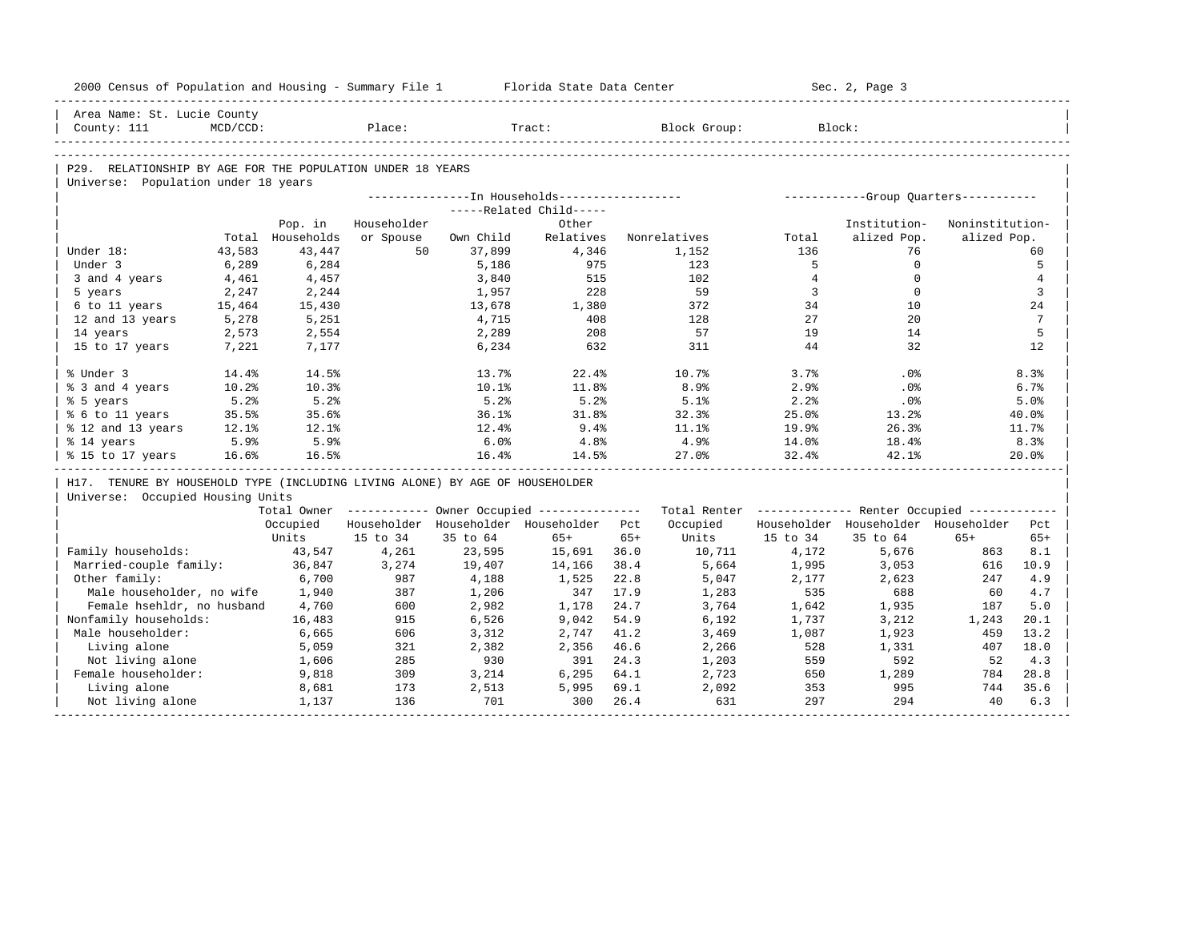| 2000 Census of Population and Housing - Summary File 1 Florida State Data Center |             |                  |             |           |                                                         |       |                                                         |                | Sec. 2, Page 3                      |                 |                |
|----------------------------------------------------------------------------------|-------------|------------------|-------------|-----------|---------------------------------------------------------|-------|---------------------------------------------------------|----------------|-------------------------------------|-----------------|----------------|
| Area Name: St. Lucie County                                                      |             |                  |             |           |                                                         |       |                                                         |                |                                     |                 |                |
| County: 111                                                                      | $MCD/CCD$ : |                  | Place:      |           | Tract:                                                  |       | Block Group:                                            |                | Block:                              |                 |                |
|                                                                                  |             |                  |             |           |                                                         |       |                                                         |                |                                     |                 |                |
| P29. RELATIONSHIP BY AGE FOR THE POPULATION UNDER 18 YEARS                       |             |                  |             |           |                                                         |       |                                                         |                |                                     |                 |                |
| Universe: Population under 18 years                                              |             |                  |             |           |                                                         |       |                                                         |                |                                     |                 |                |
|                                                                                  |             |                  |             |           |                                                         |       |                                                         |                |                                     |                 |                |
|                                                                                  |             |                  |             |           | -----Related Child-----                                 |       |                                                         |                |                                     |                 |                |
|                                                                                  |             | Pop. in          | Householder |           | Other                                                   |       |                                                         |                | Institution-                        | Noninstitution- |                |
|                                                                                  |             | Total Households | or Spouse   | Own Child | Relatives                                               |       | Nonrelatives                                            | Total          | alized Pop.                         | alized Pop.     |                |
| Under 18:                                                                        | 43,583      | 43,447           | 50          | 37,899    | 4,346                                                   |       | 1,152                                                   | 136            | 76                                  |                 | 60             |
| Under 3                                                                          | 6,289       | 6,284            |             | 5,186     | 975                                                     |       | 123                                                     | 5              | $\mathbf 0$                         |                 | 5              |
| 3 and 4 years                                                                    | 4,461       | 4,457            |             | 3,840     | 515                                                     |       | 102                                                     | $\overline{4}$ | $\Omega$                            |                 | $\overline{4}$ |
| 5 years                                                                          | 2,247       | 2,244            |             | 1,957     | 228                                                     |       | 59                                                      | $\overline{3}$ | $\Omega$                            |                 | 3              |
| 6 to 11 years                                                                    | 15,464      | 15,430           |             | 13,678    | 1,380                                                   |       | 372                                                     | 34             | 10                                  |                 | 24             |
| 12 and 13 years                                                                  | 5,278       | 5,251            |             | 4,715     | 408                                                     |       | 128                                                     | 27             | 20                                  |                 | 7<br>5         |
| 14 years                                                                         | 2,573       | 2,554            |             | 2,289     | 208<br>632                                              |       | 57<br>311                                               | 19<br>44       | 14<br>32                            |                 |                |
| 15 to 17 years                                                                   | 7,221       | 7,177            |             | 6,234     |                                                         |       |                                                         |                |                                     |                 | 12             |
| % Under 3                                                                        | 14.4%       | 14.5%            |             | 13.7%     | 22.4%                                                   |       | 10.7%                                                   | 3.7%           | .0%                                 |                 | 8.3%           |
| % 3 and 4 years                                                                  | 10.2%       | 10.3%            |             | 10.1%     | 11.8%                                                   |       | 8.9%                                                    | 2.9%           | $.0\%$                              |                 | 6.7%           |
| % 5 years                                                                        | 5.2%        | 5.2%             |             | 5.2%      | 5.2%                                                    |       | 5.1%                                                    | 2.2%           | .0%                                 |                 | 5.0%           |
| % 6 to 11 years                                                                  | 35.5%       | 35.6%            |             | 36.1%     | 31.8%                                                   |       | 32.3%                                                   | 25.0%          | 13.2%                               |                 | 40.0%          |
| % 12 and 13 years                                                                | 12.1%       | 12.1%            |             | 12.4%     | 9.4%                                                    |       | 11.1%                                                   | 19.9%          | 26.3%                               |                 | 11.7%          |
| % 14 years                                                                       | 5.9%        | 5.9%             |             | $6.0\%$   | 4.8%                                                    |       | 4.9%                                                    | 14.0%          | 18.4%                               |                 | 8.3%           |
| % 15 to 17 years                                                                 | 16.6%       | 16.5%            |             | 16.4%     | 14.5%                                                   |       | 27.0%                                                   | 32.4%          | 42.1%                               |                 | 20.0%          |
|                                                                                  |             |                  |             |           |                                                         |       |                                                         |                |                                     |                 |                |
| H17. TENURE BY HOUSEHOLD TYPE (INCLUDING LIVING ALONE) BY AGE OF HOUSEHOLDER     |             |                  |             |           |                                                         |       |                                                         |                |                                     |                 |                |
| Universe: Occupied Housing Units                                                 |             |                  |             |           | Total Owner ------------ Owner Occupied --------------- |       | Total Renter ------------- Renter Occupied ------------ |                |                                     |                 |                |
|                                                                                  |             | Occupied         |             |           | Householder Householder Householder Pct                 |       | Occupied                                                |                | Householder Householder Householder |                 | Pct            |
|                                                                                  |             | Units            | 15 to 34    | 35 to 64  | $65+$                                                   | $65+$ | Units                                                   | 15 to 34       | 35 to 64                            | $65+$           | $65+$          |
| Family households:                                                               |             | 43,547           | 4,261       | 23,595    | 15,691 36.0                                             |       | 10,711                                                  | 4,172          | 5,676                               | 863             | 8.1            |
| Married-couple family:                                                           |             | 36,847           | 3,274       | 19,407    | 14,166                                                  | 38.4  | 5,664                                                   | 1,995          | 3,053                               | 616             | 10.9           |
| Other family:                                                                    |             | 6,700            | 987         | 4,188     | 1,525                                                   | 22.8  | 5,047                                                   | 2,177          | 2,623                               | 247             | 4.9            |
| Male householder, no wife                                                        |             | 1,940            | 387         | 1,206     | 347                                                     | 17.9  | 1,283                                                   | 535            | 688                                 | 60              | 4.7            |
| Female hsehldr, no husband                                                       |             | 4,760            | 600         | 2,982     | 1,178                                                   | 24.7  | 3,764                                                   | 1,642          | 1,935                               | 187             | 5.0            |
| Nonfamily households:                                                            |             | 16,483           | 915         | 6,526     | 9,042                                                   | 54.9  | 6,192                                                   | 1,737          | 3,212                               | 1,243           | 20.1           |
| Male householder:                                                                |             | 6,665            | 606         | 3,312     | 2,747                                                   | 41.2  | 3,469                                                   | 1,087          | 1,923                               | 459             | 13.2           |
| Living alone                                                                     |             | 5,059            | 321         | 2,382     | 2,356                                                   | 46.6  | 2,266                                                   | 528            | 1,331                               | 407             | 18.0           |
| Not living alone                                                                 |             | 1,606            | 285         | 930       | 391                                                     | 24.3  | 1,203                                                   | 559            | 592                                 | 52              | 4.3            |
| Female householder:                                                              |             | 9,818            | 309         | 3,214     | 6,295                                                   | 64.1  | 2,723                                                   | 650            | 1,289                               | 784             | 28.8           |
| Living alone                                                                     |             | 8,681            | 173         | 2,513     | 5,995                                                   | 69.1  | 2,092                                                   | 353            | 995                                 | 744             | 35.6           |
| Not living alone                                                                 |             | 1,137            | 136         | 701       | 300                                                     | 26.4  | 631                                                     | 297            | 294                                 | 40              | 6.3            |
|                                                                                  |             |                  |             |           |                                                         |       |                                                         |                |                                     |                 |                |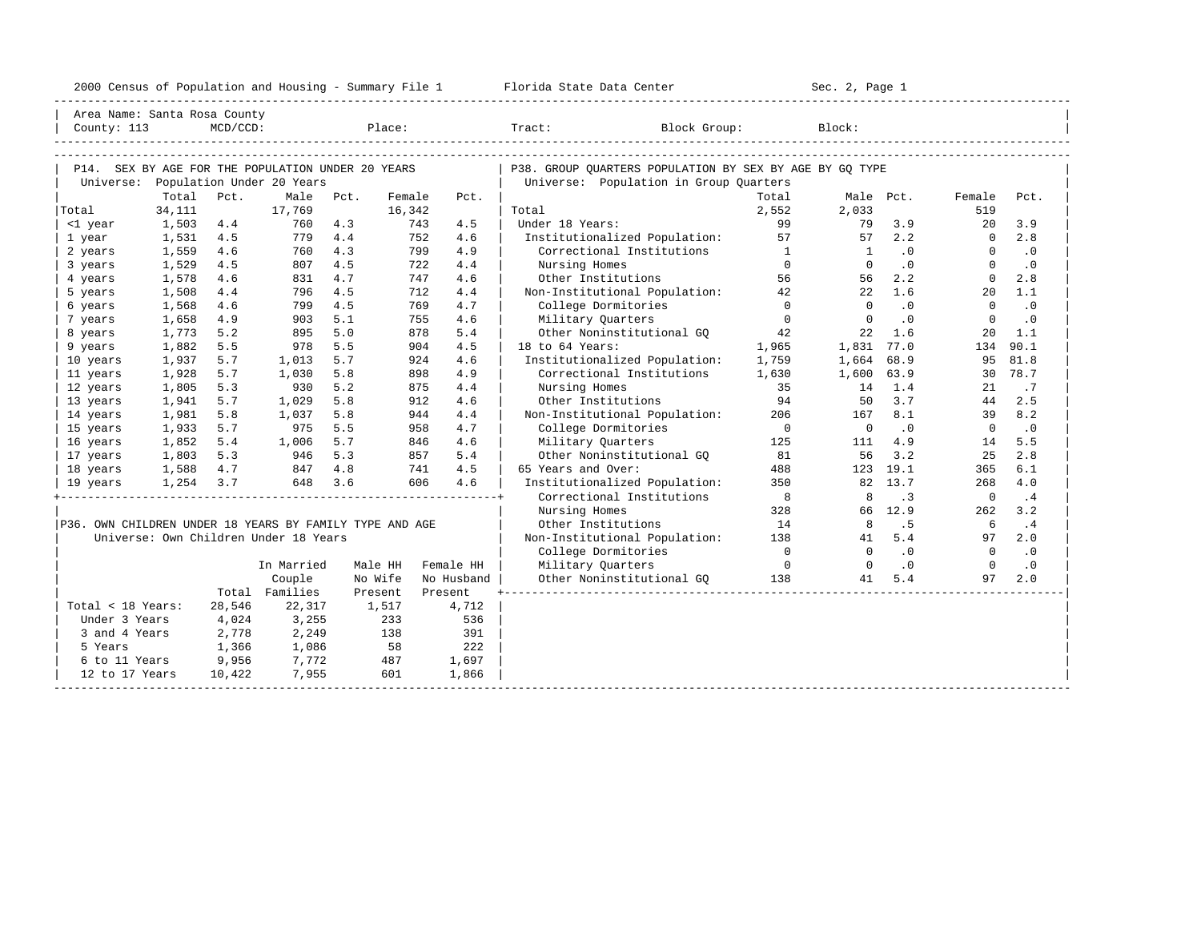| 2000<br>ensus! | and<br>Population | ---<br>Summa:<br>$-$<br>Housing | lorida<br>Data<br>otatt<br>cence. | ، م ج<br>Page<br>$3-1$ |  |
|----------------|-------------------|---------------------------------|-----------------------------------|------------------------|--|
|                |                   |                                 |                                   |                        |  |

| Area Name: Santa Rosa County                            |           |             |                                       |         |        |            |                                                         |                |                |           |                 |           |
|---------------------------------------------------------|-----------|-------------|---------------------------------------|---------|--------|------------|---------------------------------------------------------|----------------|----------------|-----------|-----------------|-----------|
| County: 113                                             |           | $MCD/CCD$ : |                                       |         | Place: |            | Tract:<br>Block Group:                                  |                | Block:         |           |                 |           |
|                                                         |           |             |                                       |         |        |            |                                                         |                |                |           |                 |           |
|                                                         |           |             |                                       |         |        |            |                                                         |                |                |           |                 |           |
| P14. SEX BY AGE FOR THE POPULATION UNDER 20 YEARS       |           |             |                                       |         |        |            | P38. GROUP QUARTERS POPULATION BY SEX BY AGE BY GQ TYPE |                |                |           |                 |           |
| Universe:                                               |           |             | Population Under 20 Years             |         |        |            | Universe: Population in Group Quarters                  |                |                |           |                 |           |
|                                                         | Total     | Pct.        | Male                                  | Pct.    | Female | Pct.       |                                                         | Total          |                | Male Pct. | Female          | Pct.      |
| Total                                                   | 34,111    |             | 17,769                                |         | 16,342 |            | Total                                                   | 2,552          | 2,033          |           | 519             |           |
| <1 year                                                 | 1,503     | 4.4         | 760                                   | 4.3     | 743    | 4.5        | Under 18 Years:                                         | 99             | 79             | 3.9       | 20              | 3.9       |
| 1 year                                                  | 1,531     | 4.5         | 779                                   | 4.4     | 752    | 4.6        | Institutionalized Population:                           | 57             | 57             | 2.2       | $\Omega$        | 2.8       |
| 2 years                                                 | 1,559     | 4.6         | 760                                   | 4.3     | 799    | 4.9        | Correctional Institutions                               | $\frac{1}{2}$  | $\overline{1}$ | $\cdot$ 0 | $\Omega$        | $\cdot$ 0 |
| 3 years                                                 | 1,529     | 4.5         | 807                                   | 4.5     | 722    | 4.4        | Nursing Homes                                           | $\Omega$       | $\circ$        | .0        | $\Omega$        | $\cdot$ 0 |
| 4 years                                                 | 1,578     | 4.6         | 831                                   | 4.7     | 747    | 4.6        | Other Institutions                                      | 56             | 56             | 2.2       | $\Omega$        | 2.8       |
| 5 years                                                 | 1,508     | 4.4         | 796                                   | 4.5     | 712    | 4.4        | Non-Institutional Population: 42                        |                | 22             | 1.6       | 20 <sub>o</sub> | 1.1       |
| 6 years                                                 | 1,568     | 4.6         | 799                                   | 4.5     | 769    | 4.7        | College Dormitories                                     | $\bigcirc$     | $\Omega$       | $\cdot$ 0 | $\mathbf{0}$    | $\cdot$ 0 |
| 7 years                                                 | 1,658     | 4.9         | 903                                   | 5.1     | 755    | 4.6        | Military Quarters                                       | $\Omega$       | $\Omega$       | $\cdot$ 0 | $\Omega$        | .0        |
| 8 years                                                 | 1,773     | 5.2         | 895                                   | 5.0     | 878    | 5.4        | Other Noninstitutional GO                               | 42             | 22             | 1.6       | 20              | 1.1       |
| 9 years                                                 | 1,882     | 5.5         | 978                                   | 5.5     | 904    | 4.5        | 18 to 64 Years:                                         | 1,965          | 1,831          | 77.0      | 134             | 90.1      |
| 10 years                                                | 1,937     | 5.7         | 1,013                                 | 5.7     | 924    | 4.6        | Institutionalized Population:                           | 1,759          | 1,664          | 68.9      | 95              | 81.8      |
| 11 years                                                | 1,928     | 5.7         | 1,030                                 | 5.8     | 898    | 4.9        | Correctional Institutions                               | 1,630          | 1,600          | 63.9      | 30              | 78.7      |
| 12 years                                                | 1,805     | 5.3         | 930                                   | 5.2     | 875    | 4.4        | Nursing Homes                                           | 35             | 14             | 1.4       | 21              | .7        |
| 13 years                                                | 1,941     | 5.7         | 1,029                                 | 5.8     | 912    | 4.6        | Other Institutions                                      | 94             | 50             | 3.7       | 44              | 2.5       |
| 14 years                                                | 1,981     | 5.8         | 1,037                                 | 5.8     | 944    | 4.4        | Non-Institutional Population:                           | 206            | 167            | 8.1       | 39              | 8.2       |
| 15 years                                                | 1,933     | 5.7         | 975                                   | 5.5     | 958    | 4.7        | College Dormitories                                     | $\overline{0}$ | $\overline{0}$ | .0        | $\Omega$        | $\cdot$ 0 |
| 16 years                                                | 1,852     | 5.4         | 1,006                                 | 5.7     | 846    | 4.6        | Military Ouarters                                       | 125            | 111            | 4.9       | 14              | 5.5       |
| 17 years                                                | 1,803     | 5.3         | 946                                   | 5.3     | 857    | 5.4        | Other Noninstitutional GO                               | 81             | 56             | 3.2       | 25              | 2.8       |
| 18 years                                                | 1,588     | 4.7         | 847                                   | 4.8     | 741    | 4.5        | 65 Years and Over:                                      | 488            |                | 123 19.1  | 365             | 6.1       |
| 19 years                                                | 1,254 3.7 |             | 648 3.6                               |         | 606    | 4.6        | Institutionalized Population:                           | 350            |                | 82 13.7   | 268             | 4.0       |
|                                                         |           |             |                                       |         |        |            | Correctional Institutions                               | $_{\rm 8}$     | 8              | $\cdot$ 3 | $\overline{0}$  | .4        |
|                                                         |           |             |                                       |         |        |            | Nursing Homes                                           | 328            |                | 66 12.9   | 262             | 3.2       |
| P36. OWN CHILDREN UNDER 18 YEARS BY FAMILY TYPE AND AGE |           |             |                                       |         |        |            | Other Institutions                                      | 14             | 8              | .5        | 6               | $\cdot$ 4 |
|                                                         |           |             | Universe: Own Children Under 18 Years |         |        |            | Non-Institutional Population:                           | 138            | 41             | 5.4       | 97              | 2.0       |
|                                                         |           |             |                                       |         |        |            | College Dormitories                                     | $\overline{0}$ | $\Omega$       | $\cdot$ 0 | $\overline{0}$  | $\cdot$ 0 |
|                                                         |           |             | In Married                            | Male HH |        | Female HH  | Military Quarters                                       | $\overline{0}$ | $\Omega$       | $\cdot$ 0 | $\Omega$        | .0        |
|                                                         |           |             | Couple                                | No Wife |        | No Husband | Other Noninstitutional GQ                               | 138            | 41             | 5.4       | 97              | 2.0       |
|                                                         |           |             | Total Families                        | Present |        | Present    |                                                         |                |                |           |                 |           |
| Total < 18 Years:                                       |           | 28,546      | 22,317                                | 1,517   |        | 4,712      |                                                         |                |                |           |                 |           |
| Under 3 Years                                           |           | 4,024       | 3,255                                 |         | 233    | 536        |                                                         |                |                |           |                 |           |
| 3 and 4 Years                                           |           | 2,778       | 2,249                                 |         | 138    | 391        |                                                         |                |                |           |                 |           |
| 5 Years                                                 |           |             | 1,086                                 |         | 58     | 222        |                                                         |                |                |           |                 |           |
|                                                         |           | 1,366       |                                       |         |        |            |                                                         |                |                |           |                 |           |
| 6 to 11 Years                                           |           | 9,956       | 7,772                                 |         | 487    | 1,697      |                                                         |                |                |           |                 |           |
| 12 to 17 Years                                          |           | 10,422      | 7,955                                 |         | 601    | 1,866      |                                                         |                |                |           |                 |           |
|                                                         |           |             |                                       |         |        |            |                                                         |                |                |           |                 |           |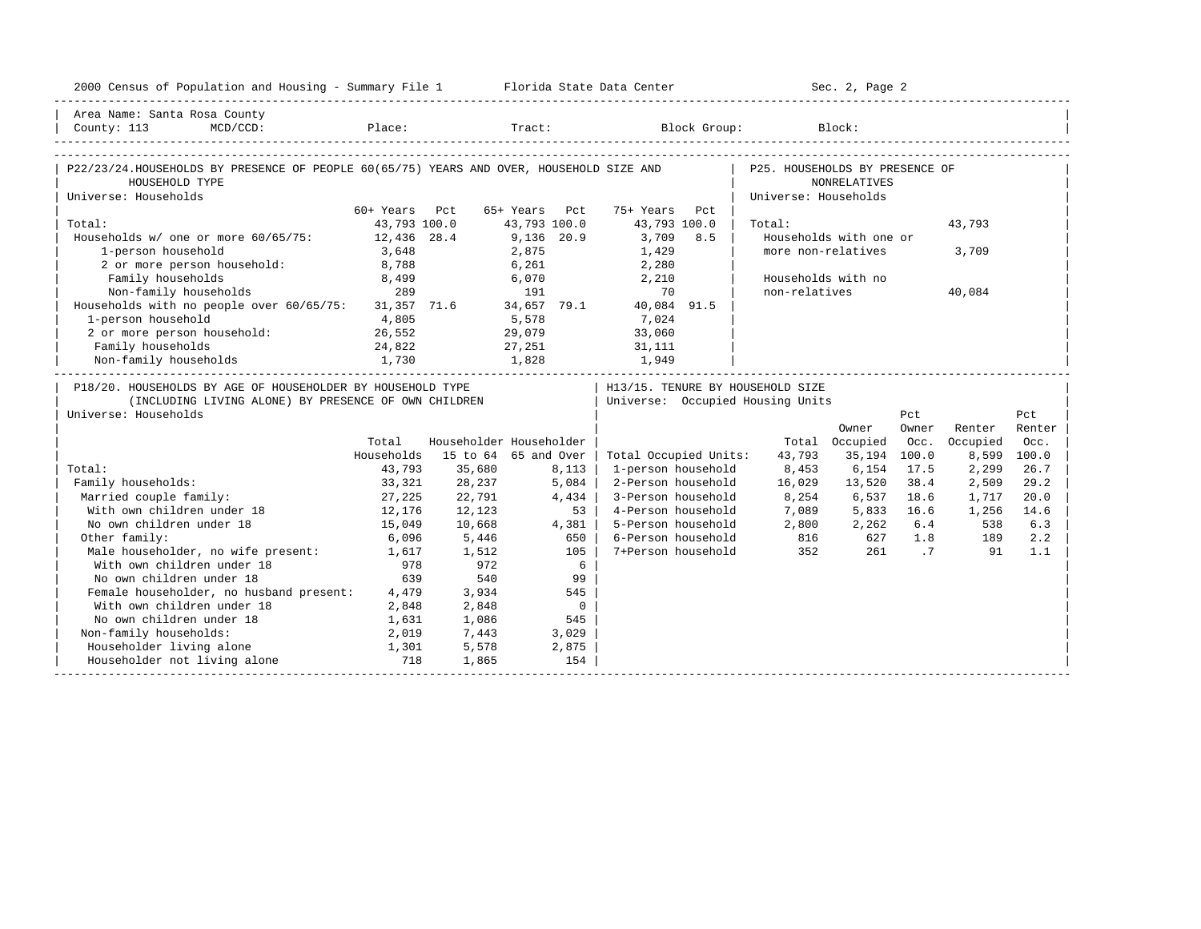| 2000 Census of Population and Housing - Summary File 1 Florida State Data Center                                                                                              |                  |        |                         |                                  |                                  | Sec. 2, Page 2         |       |               |             |
|-------------------------------------------------------------------------------------------------------------------------------------------------------------------------------|------------------|--------|-------------------------|----------------------------------|----------------------------------|------------------------|-------|---------------|-------------|
| Area Name: Santa Rosa County                                                                                                                                                  |                  |        |                         |                                  |                                  |                        |       |               |             |
| $\begin{tabular}{ l } \hline \texttt{Country: 113} & \texttt{MCD/CCD}: & \texttt{Place:} & \texttt{Trace:} & \texttt{Block Group:} & \texttt{Block:} \\ \hline \end{tabular}$ |                  |        |                         |                                  |                                  |                        |       |               |             |
| P22/23/24.HOUSEHOLDS BY PRESENCE OF PEOPLE 60(65/75) YEARS AND OVER, HOUSEHOLD SIZE AND                                                                                       |                  |        |                         |                                  | P25. HOUSEHOLDS BY PRESENCE OF   |                        |       |               |             |
| HOUSEHOLD TYPE                                                                                                                                                                |                  |        |                         |                                  |                                  | <b>NONRELATIVES</b>    |       |               |             |
| Universe: Households                                                                                                                                                          |                  |        |                         |                                  | Universe: Households             |                        |       |               |             |
|                                                                                                                                                                               | 60+ Years Pct    |        | 65+ Years Pct           | 75+ Years<br>Pct                 |                                  |                        |       |               |             |
| Total:                                                                                                                                                                        | 43,793 100.0     |        | 43,793 100.0            | 43,793 100.0                     | Total:                           |                        |       | 43,793        |             |
| Households $w/$ one or more $60/65/75$ :                                                                                                                                      | 12,436 28.4      |        | $9,136$ 20.9            | 3,709 8.5                        |                                  | Households with one or |       |               |             |
| 1-person household                                                                                                                                                            | 3,648            |        | 2,875                   | 1,429                            |                                  | more non-relatives     |       | 3,709         |             |
| 2 or more person household: 8,788                                                                                                                                             |                  |        |                         | $6,261$ 2,280                    |                                  |                        |       |               |             |
| $B,499$ Non-family households $$8,499$ $$289$                                                                                                                                 |                  |        | 6,070                   | 2,210                            |                                  | Households with no     |       |               |             |
|                                                                                                                                                                               |                  |        | 191                     | $\frac{2}{10}$ , $\frac{2}{10}$  | non-relatives                    |                        |       | 40,084        |             |
| Households with no people over 60/65/75: 31,357 71.6 34,657 79.1 40,084 91.5                                                                                                  |                  |        |                         |                                  |                                  |                        |       |               |             |
| 1-person household $4,805$<br>2 or more person household: 26,552                                                                                                              |                  |        |                         | $5,578$<br>29,079 33,060         |                                  |                        |       |               |             |
|                                                                                                                                                                               |                  |        |                         |                                  |                                  |                        |       |               |             |
| Family households                                                                                                                                                             | 24,822           |        |                         | 27, 251 31, 111                  |                                  |                        |       |               |             |
| Non-family households                                                                                                                                                         |                  |        |                         |                                  |                                  |                        |       |               |             |
| P18/20. HOUSEHOLDS BY AGE OF HOUSEHOLDER BY HOUSEHOLD TYPE                                                                                                                    |                  |        |                         | H13/15. TENURE BY HOUSEHOLD SIZE |                                  |                        |       |               |             |
| (INCLUDING LIVING ALONE) BY PRESENCE OF OWN CHILDREN                                                                                                                          |                  |        |                         | Universe: Occupied Housing Units |                                  |                        |       |               |             |
| Universe: Households                                                                                                                                                          |                  |        |                         |                                  |                                  |                        | Pct   |               | Pct         |
|                                                                                                                                                                               |                  |        |                         |                                  |                                  | Owner                  | Owner | Renter Renter |             |
|                                                                                                                                                                               | Total            |        | Householder Householder |                                  |                                  | Total Occupied         |       | Occ. Occupied | Occ.        |
|                                                                                                                                                                               | Households       |        | 15 to 64 65 and Over    | Total Occupied Units:            | 43,793                           | 35,194 100.0           |       |               | 8,599 100.0 |
| Total:                                                                                                                                                                        | 43,793           | 35,680 | 8,113                   | 1-person household               | 8,453 6,154                      |                        | 17.5  | 2,299         | 26.7        |
| Family households:                                                                                                                                                            | 33,321           | 28,237 | 5,084                   | 2-Person household               | 16,029                           | 13,520                 | 38.4  | 2,509         | 29.2        |
| Married couple family:                                                                                                                                                        | 27,225<br>12,176 | 22,791 | 4,434                   | 3-Person household               |                                  | 8,254 6,537            | 18.6  | 1,717         | 20.0        |
| With own children under 18                                                                                                                                                    |                  | 12,123 | 53                      | 4-Person household               |                                  | 7,089 5,833 16.6       |       | 1,256         | 14.6        |
| No own children under 18                                                                                                                                                      | 15,049           | 10,668 | 4,381                   | 5-Person household               |                                  | 2,800 2,262 6.4        |       | 538           | 6.3         |
| Other family:                                                                                                                                                                 | 6,096            | 5,446  | 650                     | 6-Person household               | 816 627 1.8 189<br>352 261 .7 91 |                        |       |               | 2.2         |
| Male householder, no wife present: 1,617                                                                                                                                      |                  | 1,512  | 105                     | 7+Person household               |                                  |                        |       |               | 1.1         |
| With own children under 18                                                                                                                                                    | 978              | 972    | 6                       |                                  |                                  |                        |       |               |             |
| No own children under 18                                                                                                                                                      | 639              | 540    | 99                      |                                  |                                  |                        |       |               |             |
| Female householder, no husband present: 4,479                                                                                                                                 |                  | 3,934  | 545                     |                                  |                                  |                        |       |               |             |
| With own children under 18                                                                                                                                                    | 2,848            | 2,848  | $\overline{0}$          |                                  |                                  |                        |       |               |             |
| No own children under 18                                                                                                                                                      | 1,631            | 1,086  | 545                     |                                  |                                  |                        |       |               |             |
| Non-family households:                                                                                                                                                        | 2,019            | 7,443  | 3,029                   |                                  |                                  |                        |       |               |             |
| Householder living alone                                                                                                                                                      | 1,301            | 5,578  | 2,875                   |                                  |                                  |                        |       |               |             |
| Householder not living alone                                                                                                                                                  | 718              | 1,865  | 154                     |                                  |                                  |                        |       |               |             |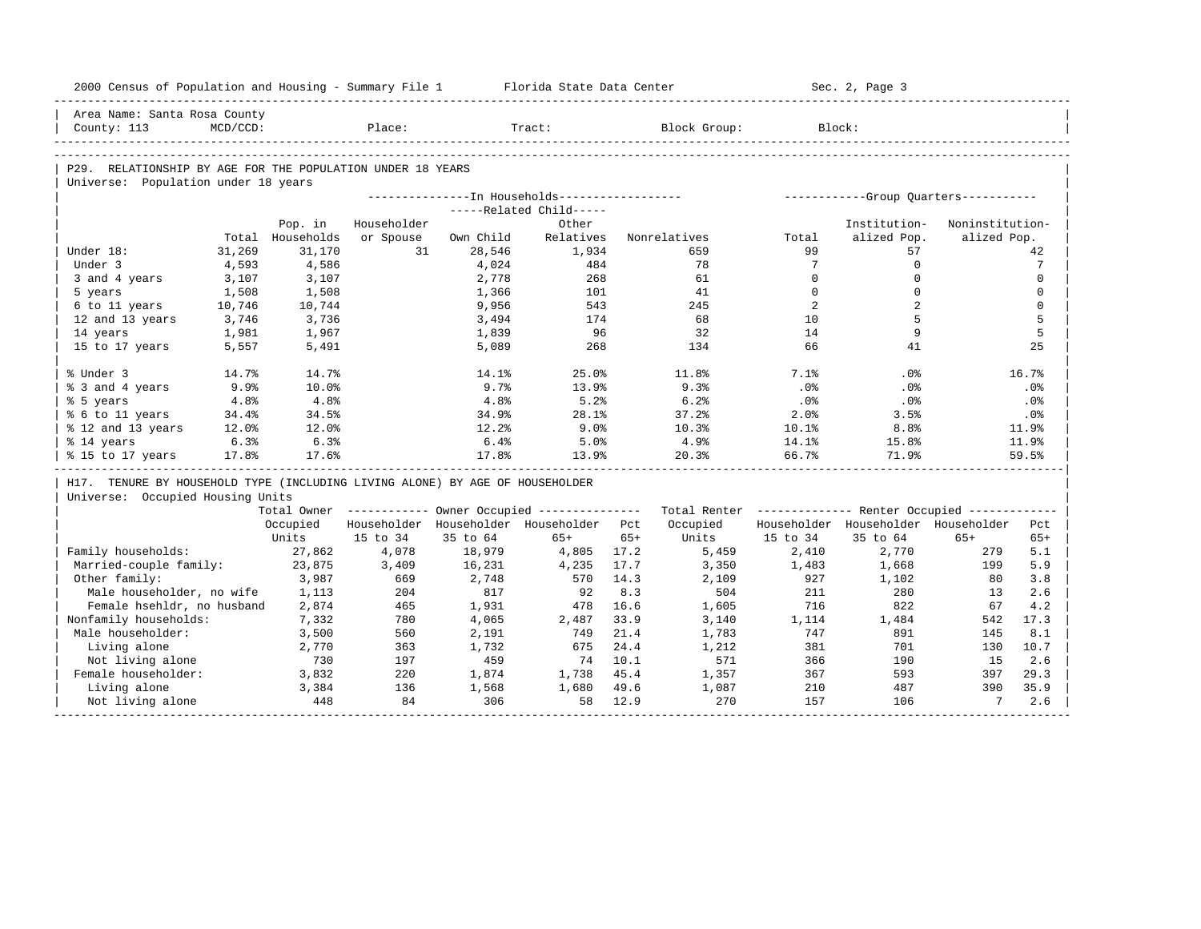|                            | 2000 Census of Population and Housing - Summary File 1                       |                  |             |                | Florida State Data Center                             |       |                                                         |                 | Sec. 2, Page 3                        |                 |                  |
|----------------------------|------------------------------------------------------------------------------|------------------|-------------|----------------|-------------------------------------------------------|-------|---------------------------------------------------------|-----------------|---------------------------------------|-----------------|------------------|
|                            | Area Name: Santa Rosa County                                                 |                  |             |                |                                                       |       |                                                         |                 |                                       |                 |                  |
| County: 113                | $MCD/CCD$ :                                                                  |                  | Place:      |                | Tract:                                                |       | Block Group:                                            |                 | Block:                                |                 |                  |
|                            |                                                                              |                  |             |                |                                                       |       |                                                         |                 |                                       |                 |                  |
|                            | P29. RELATIONSHIP BY AGE FOR THE POPULATION UNDER 18 YEARS                   |                  |             |                |                                                       |       |                                                         |                 |                                       |                 |                  |
|                            | Universe: Population under 18 years                                          |                  |             |                |                                                       |       |                                                         |                 |                                       |                 |                  |
|                            |                                                                              |                  |             |                | ---------------In Households------------------        |       |                                                         |                 | ------------Group Quarters----------- |                 |                  |
|                            |                                                                              |                  |             |                | -----Related Child-----                               |       |                                                         |                 |                                       |                 |                  |
|                            |                                                                              | Pop. in          | Householder |                | Other                                                 |       |                                                         |                 | Institution-                          | Noninstitution- |                  |
|                            |                                                                              | Total Households | or Spouse   | Own Child      | Relatives                                             |       | Nonrelatives                                            | Total           | alized Pop.                           | alized Pop.     |                  |
| Under 18:                  | 31,269                                                                       | 31,170           | 31          | 28,546         | 1,934                                                 |       | 659                                                     | 99              | 57                                    |                 | 42               |
| Under 3                    | 4,593                                                                        | 4,586            |             | 4,024          | 484                                                   |       | 78                                                      | $7\overline{ }$ | $\Omega$                              |                 | 7                |
| 3 and 4 years              | 3,107                                                                        | 3,107            |             | 2,778          | 268                                                   |       | 61                                                      | $\Omega$        | $\mathbf 0$                           |                 | $\mathbf 0$      |
| 5 years                    | 1,508                                                                        | 1,508            |             | 1,366          | 101                                                   |       | 41                                                      | $\Omega$        | $\Omega$<br>$\overline{2}$            |                 | $\Omega$         |
| 6 to 11 years              | 10,746<br>3,746                                                              | 10,744           |             | 9,956          | 543<br>174                                            |       | 245<br>68                                               | 2<br>10         | 5                                     |                 | $\mathbf 0$<br>5 |
|                            | 12 and 13 years                                                              | 3,736            |             | 3,494          | 96                                                    |       | 32                                                      | 14              | 9                                     |                 | 5                |
| 14 years<br>15 to 17 years | 1,981<br>5,557                                                               | 1,967<br>5,491   |             | 1,839<br>5,089 | 268                                                   |       | 134                                                     | 66              | 41                                    |                 | 25               |
|                            |                                                                              |                  |             |                |                                                       |       |                                                         |                 |                                       |                 |                  |
| % Under 3                  | 14.7%                                                                        | 14.7%            |             | 14.1%          | 25.0%                                                 |       | 11.8%                                                   | 7.1%            | .0%                                   |                 | 16.7%            |
| % 3 and 4 years            | 9.9%                                                                         | 10.0%            |             | 9.7%           | 13.9%                                                 |       | 9.3%                                                    | .0%             | .0%                                   |                 | .0%              |
| % 5 years                  | 4.8%                                                                         | 4.8%             |             | 4.8%           | 5.2%                                                  |       | 6.2%                                                    | .0%             | .0%                                   |                 | .0%              |
| % 6 to 11 years            | 34.4%                                                                        | 34.5%            |             | 34.9%          | 28.1%                                                 |       | 37.2%                                                   | 2.0%            | 3.5%                                  |                 | .0%              |
|                            | % 12 and 13 years<br>12.0%                                                   | 12.0%            |             | 12.2%          | 9.0%                                                  |       | 10.3%                                                   | 10.1%           | 8.8%                                  |                 | 11.9%            |
| % 14 years                 | 6.3%                                                                         | 6.3%             |             | 6.4%           | 5.0%                                                  |       | 4.9%                                                    | 14.1%           | 15.8%                                 |                 | 11.9%            |
| % 15 to 17 years           | 17.8%                                                                        | 17.6%            |             | 17.8%          | 13.9%                                                 |       | 20.3%                                                   | 66.7%           | 71.9%                                 |                 | 59.5%            |
|                            | H17. TENURE BY HOUSEHOLD TYPE (INCLUDING LIVING ALONE) BY AGE OF HOUSEHOLDER |                  |             |                |                                                       |       |                                                         |                 |                                       |                 |                  |
|                            | Universe: Occupied Housing Units                                             |                  |             |                |                                                       |       |                                                         |                 |                                       |                 |                  |
|                            |                                                                              |                  |             |                | Total Owner ----------- Owner Occupied -------------- |       | Total Renter ------------- Renter Occupied ------------ |                 |                                       |                 |                  |
|                            |                                                                              | Occupied         |             |                | Householder Householder Householder Pct               |       | Occupied                                                |                 | Householder Householder Householder   |                 | Pct              |
|                            |                                                                              | Units            | 15 to 34    | 35 to 64       | $65+$                                                 | $65+$ | Units                                                   | 15 to 34        | 35 to 64                              | $65+$           | $65+$            |
|                            | Family households:                                                           | 27,862           | 4,078       | 18,979         | 4,805                                                 | 17.2  | 5,459                                                   | 2,410           | 2,770                                 | 279             | 5.1              |
|                            | Married-couple family:                                                       | 23,875           | 3,409       | 16,231         | 4,235                                                 | 17.7  | 3,350                                                   | 1,483           | 1,668                                 | 199             | 5.9              |
| Other family:              |                                                                              | 3,987            | 669         | 2,748          | 570                                                   | 14.3  | 2,109                                                   | 927             | 1,102                                 | 80              | 3.8              |
|                            | Male householder, no wife                                                    | 1,113            | 204         | 817            | 92                                                    | 8.3   | 504                                                     | 211             | 280                                   | 13              | 2.6              |
|                            | Female hsehldr, no husband                                                   | 2,874            | 465         | 1,931          | 478                                                   | 16.6  | 1,605                                                   | 716             | 822                                   | 67              | 4.2              |
|                            | Nonfamily households:                                                        | 7,332            | 780         | 4,065          | 2,487                                                 | 33.9  | 3,140                                                   | 1,114           | 1,484                                 | 542             | 17.3             |
|                            | Male householder:                                                            | 3,500            | 560         | 2,191          | 749                                                   | 21.4  | 1,783                                                   | 747             | 891                                   | 145             | 8.1              |
|                            | Living alone                                                                 | 2,770            | 363         | 1,732          | 675                                                   | 24.4  | 1,212                                                   | 381             | 701                                   | 130             | 10.7             |
|                            | Not living alone                                                             | 730              | 197         | 459            | 74                                                    | 10.1  | 571                                                     | 366             | 190                                   | 1.5             | 2.6              |
|                            | Female householder:                                                          | 3,832            | 220         | 1,874          | 1,738                                                 | 45.4  | 1,357                                                   | 367             | 593                                   | 397             | 29.3             |
|                            | Living alone                                                                 | 3,384            | 136         | 1,568          | 1,680                                                 | 49.6  | 1,087                                                   | 210             | 487                                   | 390             | 35.9             |
|                            | Not living alone                                                             | 448              | 84          | 306            | 58                                                    | 12.9  | 270                                                     | 157             | 106                                   | $7\overline{ }$ | 2.6              |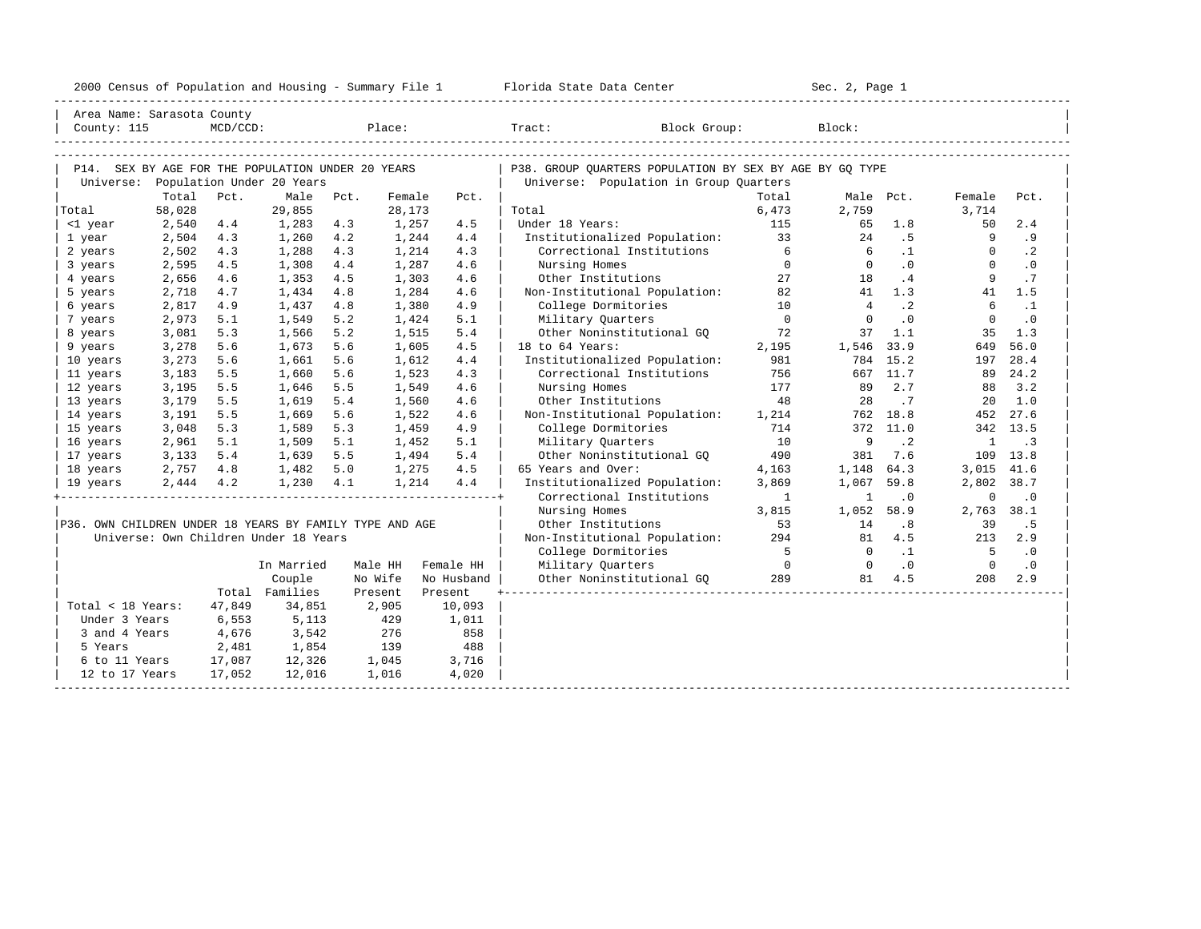|  |  |  | 2000 Census of Population and Housing - Summary File 1 |  |  |  |  |  |  |  |
|--|--|--|--------------------------------------------------------|--|--|--|--|--|--|--|
|--|--|--|--------------------------------------------------------|--|--|--|--|--|--|--|

| Area Name: Sarasota County                              |                |             |                                       |            |                |            |                                                         |                                       |                |           |                |            |
|---------------------------------------------------------|----------------|-------------|---------------------------------------|------------|----------------|------------|---------------------------------------------------------|---------------------------------------|----------------|-----------|----------------|------------|
| County: 115                                             |                | $MCD/CCD$ : |                                       |            |                | Place:     | Tract: Block Group:                                     |                                       | Block:         |           |                |            |
|                                                         |                |             |                                       |            |                |            |                                                         |                                       |                |           |                |            |
|                                                         |                |             |                                       |            |                |            |                                                         |                                       |                |           |                |            |
| P14. SEX BY AGE FOR THE POPULATION UNDER 20 YEARS       |                |             |                                       |            |                |            | P38. GROUP OUARTERS POPULATION BY SEX BY AGE BY GO TYPE |                                       |                |           |                |            |
|                                                         |                |             | Universe: Population Under 20 Years   |            |                |            | Universe: Population in Group Quarters                  |                                       |                |           |                |            |
|                                                         | Total          | Pct.        | Male                                  | Pct.       | Female         | Pct.       |                                                         | Total                                 |                | Male Pct. | Female         | Pct.       |
| Total                                                   | 58,028         |             | 29,855                                |            | 28,173         |            | Total                                                   | 6,473                                 | 2,759          |           | 3,714<br>50    |            |
| <1 year<br>1 year                                       | 2,540<br>2,504 | 4.4<br>4.3  | 1,283<br>1,260                        | 4.3<br>4.2 | 1,257<br>1,244 | 4.5<br>4.4 | Under 18 Years:<br>Institutionalized Population:        | 115<br>33                             | 65<br>24       | 1.8<br>.5 | 9              | 2.4<br>. 9 |
| 2 years                                                 | 2,502          | 4.3         | 1,288                                 | 4.3        | 1,214          | 4.3        | Correctional Institutions                               | $6\overline{6}$                       | 6              | $\cdot$ 1 | $\Omega$       | $\cdot$ 2  |
| 3 years                                                 | 2,595          | 4.5         | 1,308                                 | 4.4        | 1,287          | 4.6        | Nursing Homes                                           | $\Omega$                              | $\Omega$       | .0        | $\Omega$       | $\cdot$ 0  |
| 4 years                                                 | 2,656          | 4.6         | 1,353                                 | 4.5        | 1,303          | 4.6        | Other Institutions                                      | 27                                    | 18             | .4        | 9              | .7         |
| 5 years                                                 | 2,718          | 4.7         | 1,434                                 | 4.8        | 1,284          | 4.6        | Non-Institutional Population:                           | 82                                    | 41             | 1.3       | 41             | 1.5        |
| 6 years                                                 | 2,817          | 4.9         | 1,437                                 | 4.8        | 1,380          | 4.9        | College Dormitories                                     | 10                                    | $\overline{4}$ | $\cdot$ 2 | 6              | $\cdot$ 1  |
| 7 years                                                 | 2,973          | 5.1         | 1,549                                 | 5.2        | 1,424          | 5.1        | Military Quarters                                       | $\overline{0}$                        | $\Omega$       | $\cdot$ 0 | $\mathbf{0}$   | $\cdot$ 0  |
| 8 years                                                 | 3,081          | 5.3         | 1,566                                 | 5.2        | 1,515          | 5.4        | Other Noninstitutional GO                               | 72                                    | 37             | 1.1       | 35             | 1.3        |
| 9 years                                                 | 3,278          | 5.6         | 1,673                                 | 5.6        | 1,605          | 4.5        | 18 to 64 Years:                                         | 2,195                                 | 1,546          | 33.9      | 649            | 56.0       |
| 10 years                                                | 3,273          | 5.6         | 1,661                                 | 5.6        | 1,612          | 4.4        | Institutionalized Population:                           | 981                                   |                | 784 15.2  | 197            | 28.4       |
| 11 years                                                | 3,183          | 5.5         | 1,660                                 | 5.6        | 1,523          | 4.3        | Correctional Institutions                               | 756                                   |                | 667 11.7  | 89             | 24.2       |
| 12 years                                                | 3,195          | 5.5         | 1,646                                 | 5.5        | 1,549          | 4.6        | Nursing Homes                                           | 177                                   | 89             | 2.7       | 88             | 3.2        |
| 13 years                                                | 3,179          | 5.5         | 1,619                                 | 5.4        | 1,560          | 4.6        | Other Institutions                                      | 48                                    | 28             | .7        | 20             | 1.0        |
| 14 years                                                | 3,191          | 5.5         | 1,669                                 | 5.6        | 1,522          | 4.6        | Non-Institutional Population:                           | 1,214                                 |                | 762 18.8  | 452            | 27.6       |
| 15 years                                                | 3,048          | 5.3         | 1,589                                 | 5.3        | 1,459          | 4.9        | College Dormitories                                     | 714                                   |                | 372 11.0  | 342            | 13.5       |
| 16 years                                                | 2,961          | 5.1         | 1,509                                 | 5.1        | 1,452          | 5.1        | Military Quarters                                       | 10                                    | - 9            | $\cdot$ 2 | $\mathbf{1}$   | $\cdot$ 3  |
| 17 years                                                | 3,133          | 5.4         | 1,639                                 | 5.5        | 1,494          | 5.4        | Other Noninstitutional GQ                               | 490                                   | 381            | 7.6       |                | 109 13.8   |
| 18 years                                                | 2,757 4.8      |             | 1,482                                 | 5.0        | 1,275          | 4.5        | 65 Years and Over:                                      | 4,163                                 | 1,148          | 64.3      | 3,015          | 41.6       |
| 19 years                                                | 2,444 4.2      |             | 1,230 4.1                             |            | 1,214          | 4.4        | Institutionalized Population:                           | 3,869                                 | 1,067          | 59.8      | 2,802          | 38.7       |
|                                                         |                |             |                                       |            |                |            | Correctional Institutions                               | $\overline{1}$                        | 1              | $\cdot$ 0 | 0              | $\cdot$ 0  |
|                                                         |                |             |                                       |            |                |            | Nursing Homes                                           | 3,815                                 | 1,052          | 58.9      | 2,763          | 38.1       |
| P36. OWN CHILDREN UNDER 18 YEARS BY FAMILY TYPE AND AGE |                |             |                                       |            |                |            | Other Institutions                                      | 53                                    | 14             | .8        | 39             | .5         |
|                                                         |                |             | Universe: Own Children Under 18 Years |            |                |            | Non-Institutional Population:                           | 294                                   | 81             | 4.5       | 213            | 2.9        |
|                                                         |                |             |                                       |            |                |            | College Dormitories                                     |                                       | $\Omega$       | $\cdot$ 1 | $5^{\circ}$    | $\cdot$ 0  |
|                                                         |                |             | In Married                            |            | Male HH        | Female HH  | Military Ouarters                                       | $\begin{array}{c} 5 \\ 0 \end{array}$ | $\overline{0}$ | $\cdot$ 0 | $\overline{0}$ | $\cdot$ 0  |
|                                                         |                |             | Couple                                |            | No Wife        | No Husband | Other Noninstitutional GO 389                           |                                       | 81             | 4.5       | 208            | 2.9        |
|                                                         |                |             | Total Families                        |            | Present        | Present    |                                                         |                                       |                |           |                |            |
| Total < 18 Years:                                       |                | 47,849      | 34,851                                |            | 2,905          | 10,093     |                                                         |                                       |                |           |                |            |
| Under 3 Years                                           |                | 6,553       | 5,113                                 |            | 429            | 1,011      |                                                         |                                       |                |           |                |            |
| 3 and 4 Years                                           |                | 4,676       | 3,542                                 |            | 276            | 858        |                                                         |                                       |                |           |                |            |
| 5 Years                                                 |                | 2,481       | 1,854                                 |            | 139            | 488        |                                                         |                                       |                |           |                |            |
| 6 to 11 Years                                           |                | 17,087      | 12,326                                |            | 1,045          | 3,716      |                                                         |                                       |                |           |                |            |
| 12 to 17 Years                                          |                | 17,052      | 12,016                                |            | 1,016          | 4,020      |                                                         |                                       |                |           |                |            |
|                                                         |                |             |                                       |            |                |            |                                                         |                                       |                |           |                |            |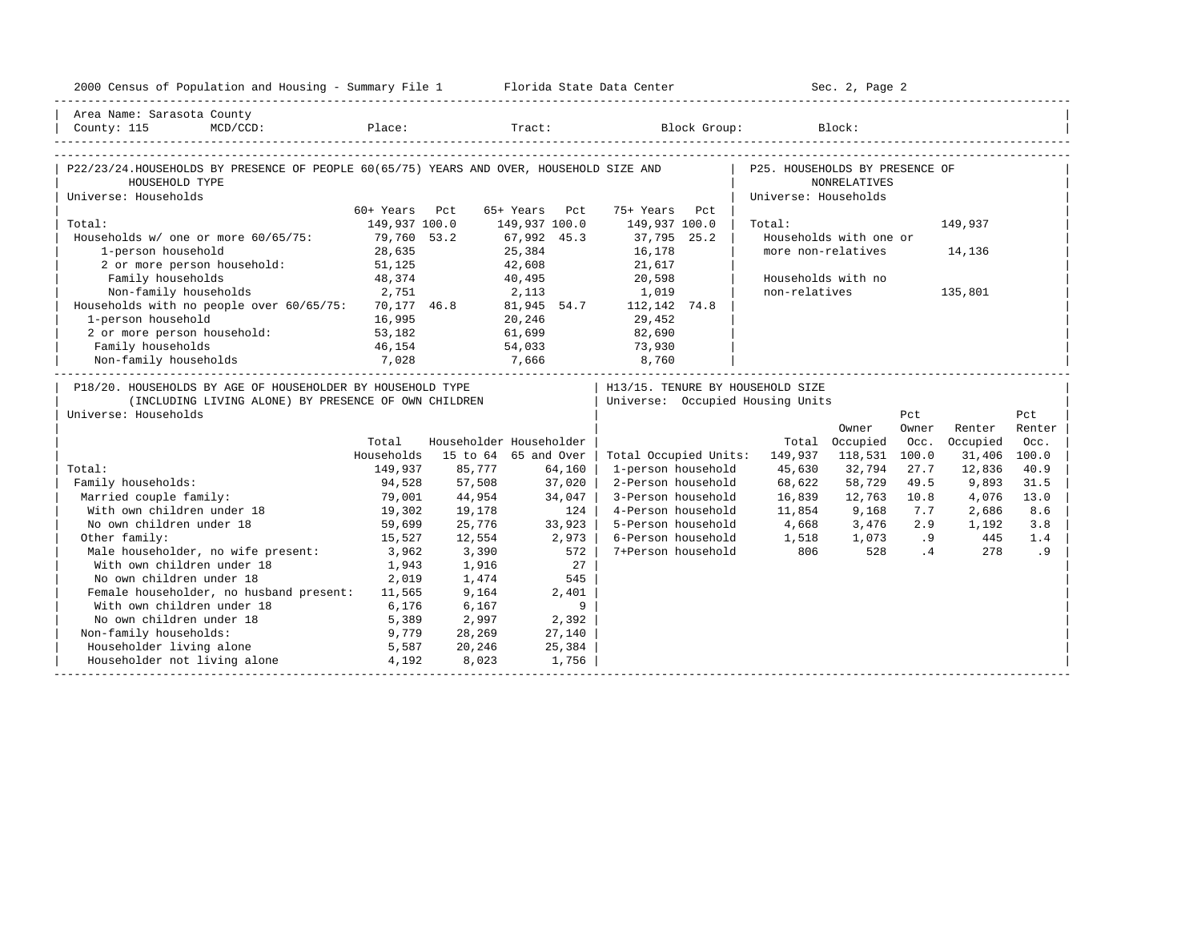| 2000 Census of Population and Housing - Summary File 1 Florida State Data Center                                                           |                |                 |                         |                                                                        |                                                        | Sec. 2, Page 2         |              |                |              |
|--------------------------------------------------------------------------------------------------------------------------------------------|----------------|-----------------|-------------------------|------------------------------------------------------------------------|--------------------------------------------------------|------------------------|--------------|----------------|--------------|
| Area Name: Sarasota County<br>MCD/CCD: Place: Tract: Block Group: Block:<br>County: 115                                                    |                |                 |                         |                                                                        |                                                        |                        |              |                |              |
| P22/23/24.HOUSEHOLDS BY PRESENCE OF PEOPLE 60(65/75) YEARS AND OVER, HOUSEHOLD SIZE AND<br>HOUSEHOLD TYPE<br>Universe: Households          |                |                 |                         |                                                                        | P25. HOUSEHOLDS BY PRESENCE OF<br>Universe: Households | <b>NONRELATIVES</b>    |              |                |              |
|                                                                                                                                            | 60+ Years Pct  |                 | 65+ Years Pct           | 75+ Years Pct                                                          |                                                        |                        |              |                |              |
| Total:                                                                                                                                     | 149,937 100.0  |                 | 149,937 100.0           | 149,937 100.0                                                          | Total:                                                 |                        |              | 149,937        |              |
| Households w/ one or more 60/65/75: 79,760 53.2                                                                                            |                |                 | 67,992 45.3             | 37,795 25.2                                                            |                                                        | Households with one or |              |                |              |
| 1-person household                                                                                                                         | 28,635         |                 | 25,384                  | 16,178                                                                 |                                                        | more non-relatives     |              | 14,136         |              |
| 2 or more person household: 51,125                                                                                                         |                |                 | 42,608                  | 21,617                                                                 |                                                        |                        |              |                |              |
| Family households                                                                                                                          | 48,374         |                 | 40,495 20,598           |                                                                        |                                                        | Households with no     |              |                |              |
| Non-family households 2,751                                                                                                                |                |                 | 2,113                   | 1,019                                                                  | non-relatives                                          |                        |              | 135,801        |              |
| Households with no people over 60/65/75: 70,177 46.8 81,945 54.7 112,142 74.8                                                              |                |                 |                         |                                                                        |                                                        |                        |              |                |              |
| 1-person household                                                                                                                         | 16,995         |                 | 20,246                  | 29,452                                                                 |                                                        |                        |              |                |              |
| 2 or more person household:                                                                                                                | 53,182         |                 | 61,699                  | 82,690                                                                 |                                                        |                        |              |                |              |
| Family households                                                                                                                          | 46,154         |                 | 54,033                  | 73,930                                                                 |                                                        |                        |              |                |              |
| 7,028<br>Non-family households                                                                                                             |                | 7,666           |                         | 8,760                                                                  |                                                        |                        |              |                |              |
| P18/20. HOUSEHOLDS BY AGE OF HOUSEHOLDER BY HOUSEHOLD TYPE<br>(INCLUDING LIVING ALONE) BY PRESENCE OF OWN CHILDREN<br>Universe: Households |                |                 |                         | H13/15. TENURE BY HOUSEHOLD SIZE<br>  Universe: Occupied Housing Units |                                                        |                        | Pct          |                | Pct          |
|                                                                                                                                            |                |                 |                         |                                                                        |                                                        | Owner                  | Owner        | Renter         | Renter       |
|                                                                                                                                            | Total          |                 | Householder Householder |                                                                        |                                                        | Total Occupied         | Occ.         | Occupied       | Occ.         |
|                                                                                                                                            | Households     |                 | 15 to 64 65 and Over    | Total Occupied Units: 149,937                                          |                                                        | 118,531                | 100.0        | 31,406 100.0   |              |
| Total:                                                                                                                                     | 149,937        | 85,777          | 64,160                  | 1-person household<br>2-Person household                               | 45,630                                                 | 32,794                 | 27.7<br>49.5 | 12,836         | 40.9         |
| Family households:<br>Married couple family:                                                                                               | 94,528         | 57,508          | 37,020                  | 3-Person household                                                     | 68,622<br>16,839                                       | 58,729<br>12,763       | 10.8         | 9,893<br>4,076 | 31.5<br>13.0 |
| With own children under 18                                                                                                                 | 79,001         | 44,954          | 34,047                  |                                                                        |                                                        |                        |              |                |              |
|                                                                                                                                            |                |                 |                         |                                                                        |                                                        |                        |              |                |              |
|                                                                                                                                            | 19,302         | 19,178          | 124                     | 4-Person household                                                     |                                                        | 11,854 9,168           | 7.7          | 2,686          | 8.6          |
| No own children under 18                                                                                                                   | 59,699         | 25,776          | 33,923                  | 5-Person household                                                     | 4,668 3,476 2.9                                        |                        |              | 1,192          | 3.8          |
| Other family:                                                                                                                              | 15,527         | 12,554          | 2,973                   | 6-Person household                                                     | 1,518 1,073 .9                                         |                        |              | 445            | 1.4          |
| Male householder, no wife present:                                                                                                         | 3,962          | 3,390           | 572                     | 7+Person household                                                     | 806                                                    | 528                    | .4           | 278            | . 9          |
| With own children under 18                                                                                                                 | 1,943          | 1,916           | 27                      |                                                                        |                                                        |                        |              |                |              |
| No own children under 18                                                                                                                   | 2,019          | 1,474           | 545                     |                                                                        |                                                        |                        |              |                |              |
| Female householder, no husband present: 11,565                                                                                             |                | 9,164           | 2,401                   |                                                                        |                                                        |                        |              |                |              |
| With own children under 18                                                                                                                 | 6,176          | 6,167           | 9                       |                                                                        |                                                        |                        |              |                |              |
| No own children under 18                                                                                                                   | 5,389          | 2,997           | 2,392                   |                                                                        |                                                        |                        |              |                |              |
| Non-family households:                                                                                                                     | 9,779          | 28,269          | 27,140                  |                                                                        |                                                        |                        |              |                |              |
| Householder living alone<br>Householder not living alone                                                                                   | 5,587<br>4,192 | 20,246<br>8,023 | 25,384<br>1,756         |                                                                        |                                                        |                        |              |                |              |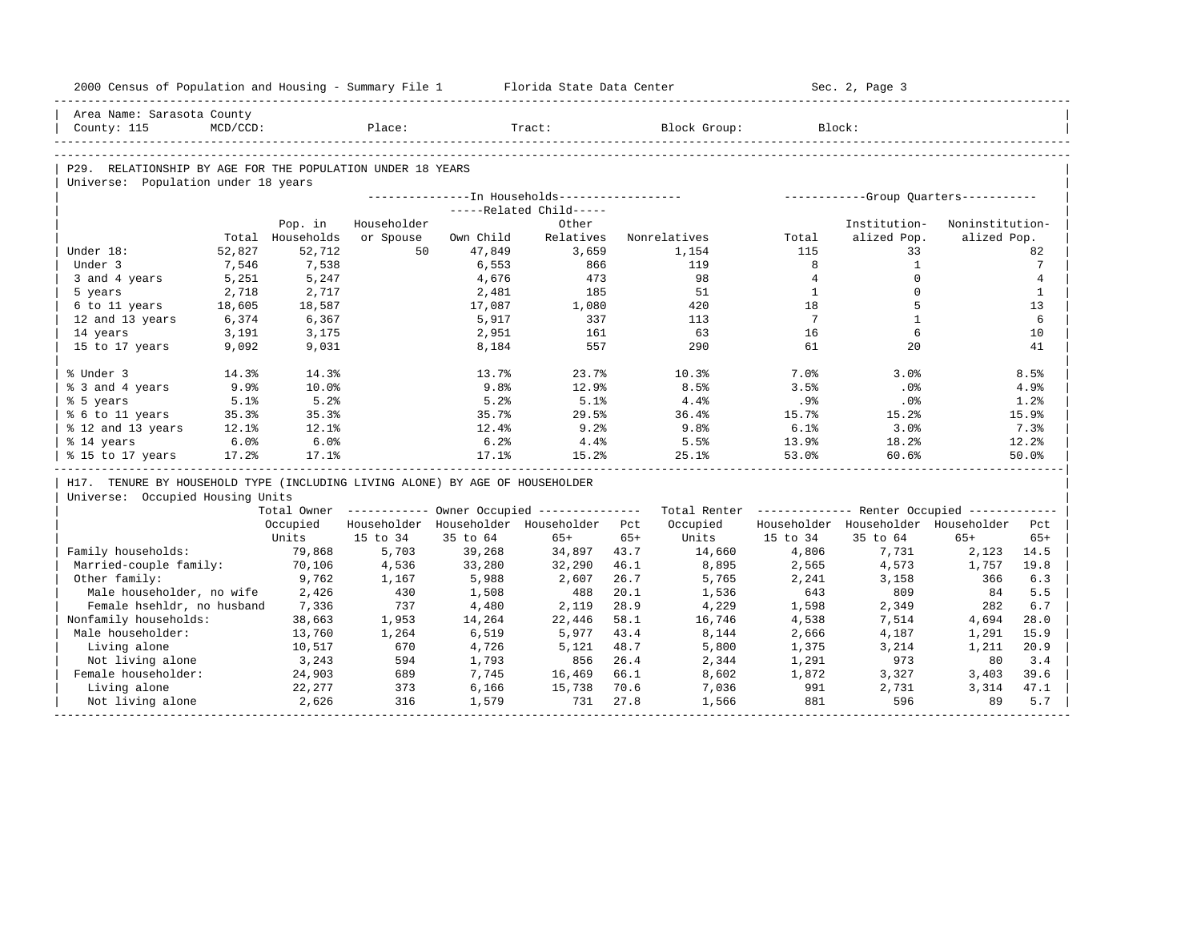| 2000 Census of Population and Housing - Summary File 1 Florida State Data Center |          |                  |             |           |                                         |       |                                                                                                               |                | Sec. 2, Page 3                          |                 |                 |
|----------------------------------------------------------------------------------|----------|------------------|-------------|-----------|-----------------------------------------|-------|---------------------------------------------------------------------------------------------------------------|----------------|-----------------------------------------|-----------------|-----------------|
| Area Name: Sarasota County                                                       |          |                  |             |           |                                         |       |                                                                                                               |                |                                         |                 |                 |
| County: 115                                                                      | MCD/CCD: |                  | Place:      |           | Tract:                                  |       | Block Group:                                                                                                  |                | Block:                                  |                 |                 |
|                                                                                  |          |                  |             |           |                                         |       |                                                                                                               |                |                                         |                 |                 |
| P29. RELATIONSHIP BY AGE FOR THE POPULATION UNDER 18 YEARS                       |          |                  |             |           |                                         |       |                                                                                                               |                |                                         |                 |                 |
| Universe: Population under 18 years                                              |          |                  |             |           |                                         |       |                                                                                                               |                |                                         |                 |                 |
|                                                                                  |          |                  |             |           |                                         |       |                                                                                                               |                |                                         |                 |                 |
|                                                                                  |          |                  |             |           | -----Related Child-----                 |       |                                                                                                               |                |                                         |                 |                 |
|                                                                                  |          | Pop. in          | Householder |           | Other                                   |       |                                                                                                               |                | Institution-                            | Noninstitution- |                 |
|                                                                                  |          | Total Households | or Spouse   | Own Child | Relatives                               |       | Nonrelatives                                                                                                  | Total          | alized Pop.                             | alized Pop.     |                 |
| Under 18:                                                                        | 52,827   | 52,712           | 50          | 47,849    | 3,659                                   |       | 1,154                                                                                                         | 115            | 33                                      |                 | 82              |
| Under 3                                                                          | 7,546    | 7,538            |             | 6,553     | 866                                     |       | 119                                                                                                           | 8              | $\mathbf{1}$                            |                 | $7\phantom{.0}$ |
| 3 and 4 years                                                                    | 5,251    | 5,247            |             | 4,676     | 473                                     |       | 98                                                                                                            | $\overline{4}$ | $\mathbf 0$                             |                 | $\overline{4}$  |
| 5 years                                                                          | 2,718    | 2,717            |             | 2,481     | 185                                     |       | 51                                                                                                            | <sup>1</sup>   | $\Omega$                                |                 | $\mathbf{1}$    |
| 6 to 11 years                                                                    | 18,605   | 18,587           |             | 17,087    | 1,080                                   |       | 420                                                                                                           | 18             | 5                                       |                 | 13              |
| 12 and 13 years                                                                  | 6,374    | 6,367            |             | 5,917     | 337                                     |       | 113                                                                                                           | $\overline{7}$ | $\overline{1}$                          |                 | 6               |
| 14 years                                                                         | 3,191    | 3,175            |             | 2,951     | 161                                     |       | 63                                                                                                            | 16             | 6                                       |                 | 10              |
| 15 to 17 years                                                                   | 9,092    | 9,031            |             | 8,184     | 557                                     |       | 290                                                                                                           | 61             | 20                                      |                 | 41              |
| % Under 3                                                                        | 14.3%    | 14.3%            |             | 13.7%     | 23.7%                                   |       | 10.3%                                                                                                         | 7.0%           | 3.0%                                    |                 | 8.5%            |
| % 3 and 4 years                                                                  | 9.9%     | 10.0%            |             | 9.8%      | 12.9%                                   |       | 8.5%                                                                                                          | 3.5%           | .0%                                     |                 | 4.9%            |
| % 5 years                                                                        | 5.1%     | 5.2%             |             | 5.2%      | 5.1%                                    |       | 4.4%                                                                                                          | $.9\%$         | $.0\%$                                  |                 | 1.2%            |
| % 6 to 11 years                                                                  | 35.3%    | 35.3%            |             | 35.7%     | 29.5%                                   |       | 36.4%                                                                                                         | 15.7%          | 15.2%                                   |                 | 15.9%           |
| % 12 and 13 years                                                                | 12.1%    | 12.1%            |             | 12.4%     | 9.2%                                    |       | 9.8 <sub>8</sub>                                                                                              | 6.1%           | 3.0%                                    |                 | 7.3%            |
| % 14 years                                                                       | 6.0%     | 6.0%             |             | 6.2%      | 4.4%                                    |       | 5.5%                                                                                                          | 13.9%          | 18.2%                                   |                 | 12.2%           |
| % 15 to 17 years                                                                 | 17.2%    | 17.1%            |             | 17.1%     | 15.2%                                   |       | 25.1%                                                                                                         | 53.0%          | 60.6%                                   |                 | 50.0%           |
| H17. TENURE BY HOUSEHOLD TYPE (INCLUDING LIVING ALONE) BY AGE OF HOUSEHOLDER     |          |                  |             |           |                                         |       |                                                                                                               |                |                                         |                 |                 |
| Universe: Occupied Housing Units                                                 |          |                  |             |           |                                         |       |                                                                                                               |                |                                         |                 |                 |
|                                                                                  |          |                  |             |           |                                         |       | Total Owner ----------- Owner Occupied -------------- Total Renter ------------- Renter Occupied ------------ |                |                                         |                 |                 |
|                                                                                  |          | Occupied         |             |           | Householder Householder Householder Pct |       | Occupied                                                                                                      |                | Householder Householder Householder Pct |                 |                 |
|                                                                                  |          | Units            | 15 to 34    | 35 to 64  | $65+$                                   | $65+$ | Units                                                                                                         | 15 to 34       | 35 to 64                                | $65+$           | $65+$           |
| Family households:                                                               |          | 79,868           | 5,703       | 39,268    | 34,897                                  | 43.7  | 14,660                                                                                                        | 4,806          | 7,731                                   | 2,123           | 14.5            |
| Married-couple family:                                                           |          | 70,106           | 4,536       | 33,280    | 32,290                                  | 46.1  | 8,895                                                                                                         | 2,565          | 4,573                                   | 1,757           | 19.8            |
| Other family:                                                                    |          | 9,762            | 1,167       | 5,988     | 2,607                                   | 26.7  | 5,765                                                                                                         | 2,241          | 3,158                                   | 366             | 6.3             |
| Male householder, no wife 2,426                                                  |          |                  | 430         | 1,508     | 488                                     | 20.1  | 1,536                                                                                                         | 643            | 809                                     | 84              | 5.5             |
| Female hsehldr, no husband 7,336                                                 |          |                  | 737         | 4,480     | 2,119                                   | 28.9  | 4,229                                                                                                         | 1,598          | 2,349                                   | 282             | 6.7             |
| Nonfamily households:                                                            |          | 38,663           | 1,953       | 14,264    | 22,446                                  | 58.1  | 16,746                                                                                                        | 4,538          | 7,514                                   | 4,694           | 28.0            |
| Male householder:                                                                |          | 13,760           | 1,264       | 6,519     | 5,977                                   | 43.4  | 8,144                                                                                                         | 2,666          | 4,187                                   | 1,291           | 15.9            |
| Living alone                                                                     |          | 10,517           | 670         | 4,726     | 5,121                                   | 48.7  | 5,800                                                                                                         | 1,375          | 3,214                                   | 1,211           | 20.9            |
| Not living alone                                                                 |          | 3,243            | 594         | 1,793     | 856                                     | 26.4  | 2,344                                                                                                         | 1,291          | 973                                     | 80              | 3.4             |
| Female householder:                                                              |          | 24,903           | 689         | 7,745     | 16,469                                  | 66.1  | 8,602                                                                                                         | 1,872          | 3,327                                   | 3,403           | 39.6            |
| Living alone                                                                     |          | 22,277           | 373         | 6,166     | 15,738                                  | 70.6  | 7,036                                                                                                         | 991            | 2,731                                   | 3,314           | 47.1            |
| Not living alone                                                                 |          | 2,626            | 316         | 1,579     | 731                                     | 27.8  | 1,566                                                                                                         | 881            | 596                                     | 89              | 5.7             |
|                                                                                  |          |                  |             |           |                                         |       |                                                                                                               |                |                                         |                 |                 |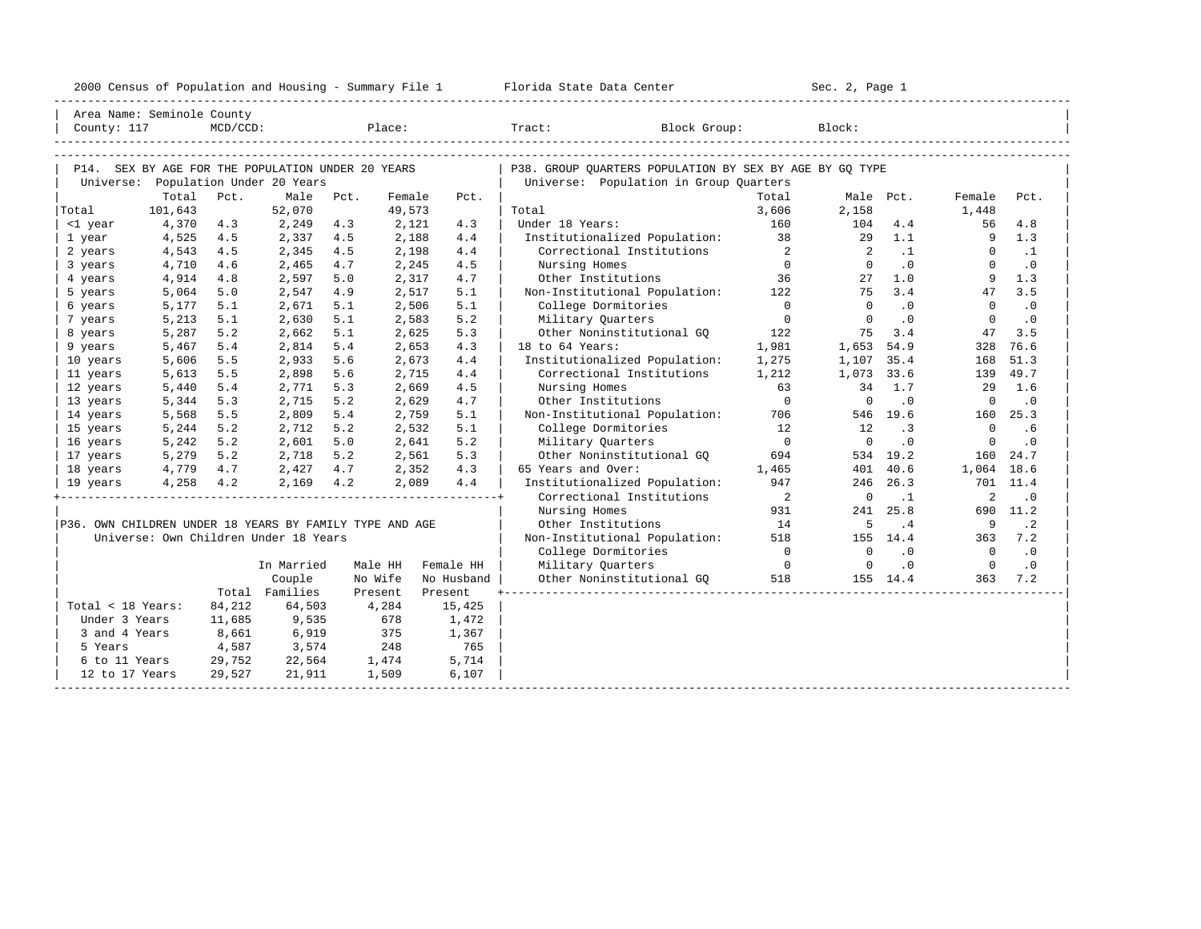|  |  |  | 2000 Census of Population and Housing - Summary File 1 |  |  |  |  |  |  |  |
|--|--|--|--------------------------------------------------------|--|--|--|--|--|--|--|
|--|--|--|--------------------------------------------------------|--|--|--|--|--|--|--|

|                                                         | Area Name: Seminole County                                                               |             |                |      |         |            |                                                                                                   |                            |                |            |                |                             |  |
|---------------------------------------------------------|------------------------------------------------------------------------------------------|-------------|----------------|------|---------|------------|---------------------------------------------------------------------------------------------------|----------------------------|----------------|------------|----------------|-----------------------------|--|
| County: 117                                             |                                                                                          | $MCD/CCD$ : |                |      |         | Place:     | Tract: Block Group:                                                                               |                            | Block:         |            |                |                             |  |
|                                                         |                                                                                          |             |                |      |         |            |                                                                                                   |                            |                |            |                |                             |  |
|                                                         |                                                                                          |             |                |      |         |            |                                                                                                   |                            |                |            |                |                             |  |
|                                                         | P14. SEX BY AGE FOR THE POPULATION UNDER 20 YEARS<br>Universe: Population Under 20 Years |             |                |      |         |            | P38. GROUP OUARTERS POPULATION BY SEX BY AGE BY GO TYPE<br>Universe: Population in Group Quarters |                            |                |            |                |                             |  |
|                                                         | Total                                                                                    | Pct.        | Male           | Pct. | Female  | Pct.       |                                                                                                   | Total                      |                | Male Pct.  | Female         | Pct.                        |  |
| Total                                                   | 101,643                                                                                  |             | 52,070         |      | 49,573  |            | Total                                                                                             | 3,606                      | 2,158          |            | 1,448          |                             |  |
| <1 year                                                 | 4,370                                                                                    | 4.3         | 2,249          | 4.3  | 2,121   | 4.3        | Under 18 Years:                                                                                   | 160                        | 104            | 4.4        | 56             | 4.8                         |  |
| 1 year                                                  | 4,525                                                                                    | 4.5         | 2,337          | 4.5  | 2,188   | 4.4        | Institutionalized Population:                                                                     | 38                         | 29             | 1.1        | 9              | 1.3                         |  |
| 2 years                                                 | 4,543                                                                                    | 4.5         | 2,345          | 4.5  | 2,198   | 4.4        | Correctional Institutions                                                                         | $\overline{\phantom{0}}$ 2 | $\overline{2}$ | $\ldots$ 1 | $\Omega$       | $\cdot$ 1                   |  |
| 3 years                                                 | 4,710                                                                                    | 4.6         | 2,465          | 4.7  | 2,245   | 4.5        | Nursing Homes                                                                                     | $\bigcap$                  | $\overline{0}$ | .0         | $\Omega$       | $\cdot$ 0                   |  |
| 4 years                                                 | 4,914                                                                                    | 4.8         | 2,597          | 5.0  | 2,317   | 4.7        | Other Institutions                                                                                | 36                         | 27             | 1.0        | 9              | 1.3                         |  |
| 5 years                                                 | 5,064                                                                                    | 5.0         | 2,547          | 4.9  | 2,517   | 5.1        | Non-Institutional Population:                                                                     | 122                        | 75             | 3.4        | 47             | 3.5                         |  |
| 6 years                                                 | 5,177                                                                                    | 5.1         | 2,671          | 5.1  | 2,506   | 5.1        | College Dormitories                                                                               | $\overline{0}$             | $\Omega$       | .0         | $\Omega$       | $\cdot$ 0                   |  |
| 7 years                                                 | 5,213                                                                                    | 5.1         | 2,630          | 5.1  | 2,583   | 5.2        | Military Quarters                                                                                 | $\overline{0}$             | $\Omega$       | $\cdot$ 0  | $\mathbf{0}$   | $\cdot$ 0                   |  |
| 8 years                                                 | 5,287                                                                                    | 5.2         | 2,662          | 5.1  | 2,625   | 5.3        | Other Noninstitutional GO                                                                         | 122                        | 75             | 3.4        | 47             | 3.5                         |  |
| 9 years                                                 | 5,467                                                                                    | 5.4         | 2,814          | 5.4  | 2,653   | 4.3        | 18 to 64 Years:                                                                                   | 1,981                      | 1,653 54.9     |            | 328            | 76.6                        |  |
| 10 years                                                | 5,606                                                                                    | 5.5         | 2,933          | 5.6  | 2,673   | 4.4        | Institutionalized Population:                                                                     | 1,275                      | 1,107 35.4     |            | 168            | 51.3                        |  |
| 11 years                                                | 5,613                                                                                    | 5.5         | 2,898          | 5.6  | 2,715   | 4.4        | Correctional Institutions                                                                         | 1,212                      | 1,073 33.6     |            | 139            | 49.7                        |  |
| 12 years                                                | 5,440                                                                                    | 5.4         | 2,771          | 5.3  | 2,669   | 4.5        | Nursing Homes                                                                                     | 63                         | 34             | 1.7        | 29             | 1.6                         |  |
| 13 years                                                | 5,344                                                                                    | 5.3         | 2,715          | 5.2  | 2,629   | 4.7        | Other Institutions                                                                                | $\overline{0}$             | $\overline{0}$ | $\cdot$ 0  | $\overline{0}$ | $\cdot$ 0                   |  |
| 14 years                                                | 5,568                                                                                    | 5.5         | 2,809          | 5.4  | 2,759   | 5.1        | Non-Institutional Population:                                                                     | 706                        |                | 546 19.6   | 160            | 25.3                        |  |
| 15 years                                                | 5,244                                                                                    | 5.2         | 2,712          | 5.2  | 2,532   | 5.1        | College Dormitories                                                                               | 12                         | 12             | .3         | $\mathbf{0}$   | .6                          |  |
| 16 years                                                | 5,242                                                                                    | 5.2         | 2,601          | 5.0  | 2,641   | 5.2        | Military Quarters                                                                                 | $\overline{0}$             | $\Omega$       | $\cdot$ 0  | $\mathbf{0}$   | $\cdot$ 0                   |  |
| 17 years                                                | 5,279                                                                                    | 5.2         | 2,718          | 5.2  | 2,561   | 5.3        | Other Noninstitutional GQ                                                                         | 694                        |                | 534 19.2   | 160            | 24.7                        |  |
| 18 years                                                | 4,779 4.7                                                                                |             | 2,427 4.7      |      | 2,352   | 4.3        | 65 Years and Over:                                                                                | 1,465                      | 401            | 40.6       | 1,064 18.6     |                             |  |
| 19 years                                                | $4,258$ $4.2$                                                                            |             | 2,169 4.2      |      | 2,089   | 4.4        | Institutionalized Population:                                                                     | 947                        |                | 246 26.3   |                | 701 11.4                    |  |
|                                                         |                                                                                          |             |                |      |         |            | Correctional Institutions                                                                         | $\overline{\phantom{0}}$ 2 | $\overline{0}$ | $\cdot$ 1  | 2              | $\cdot$ 0                   |  |
|                                                         |                                                                                          |             |                |      |         |            | Nursing Homes                                                                                     | 931                        | 241            | 25.8       |                | 690 11.2                    |  |
| P36. OWN CHILDREN UNDER 18 YEARS BY FAMILY TYPE AND AGE |                                                                                          |             |                |      |         |            | Other Institutions                                                                                | 14                         | 5              | $\cdot$ 4  | - 9            | $\cdot$ 2                   |  |
|                                                         | Universe: Own Children Under 18 Years                                                    |             |                |      |         |            | Non-Institutional Population:                                                                     | 518                        |                | 155 14.4   | 363            | 7.2                         |  |
|                                                         |                                                                                          |             |                |      |         |            | College Dormitories                                                                               | $\overline{0}$             | $\Omega$       | .0         | $\Omega$       | $\overline{\phantom{0}}$ .0 |  |
|                                                         |                                                                                          |             | In Married     |      | Male HH | Female HH  | Military Quarters                                                                                 | $\overline{0}$             | $\overline{0}$ | .0         | $\overline{0}$ | $\cdot$ 0                   |  |
|                                                         |                                                                                          |             | Couple         |      | No Wife | No Husband | Other Noninstitutional GO 518                                                                     |                            |                | 155 14.4   | 363            | 7.2                         |  |
|                                                         |                                                                                          |             | Total Families |      | Present | Present    |                                                                                                   |                            |                |            |                |                             |  |
| Total < 18 Years:                                       |                                                                                          | 84,212      | 64,503         |      | 4,284   | 15,425     |                                                                                                   |                            |                |            |                |                             |  |
| Under 3 Years                                           |                                                                                          | 11,685      | 9,535          |      | 678     | 1,472      |                                                                                                   |                            |                |            |                |                             |  |
| 3 and 4 Years                                           |                                                                                          | 8,661       | 6,919          |      | 375     | 1,367      |                                                                                                   |                            |                |            |                |                             |  |
| 5 Years                                                 |                                                                                          | 4,587       | 3,574          |      | 248     | 765        |                                                                                                   |                            |                |            |                |                             |  |
| 6 to 11 Years                                           |                                                                                          | 29,752      | 22,564         |      | 1,474   | 5,714      |                                                                                                   |                            |                |            |                |                             |  |
| 12 to 17 Years                                          |                                                                                          | 29,527      | 21,911         |      | 1,509   | 6,107      |                                                                                                   |                            |                |            |                |                             |  |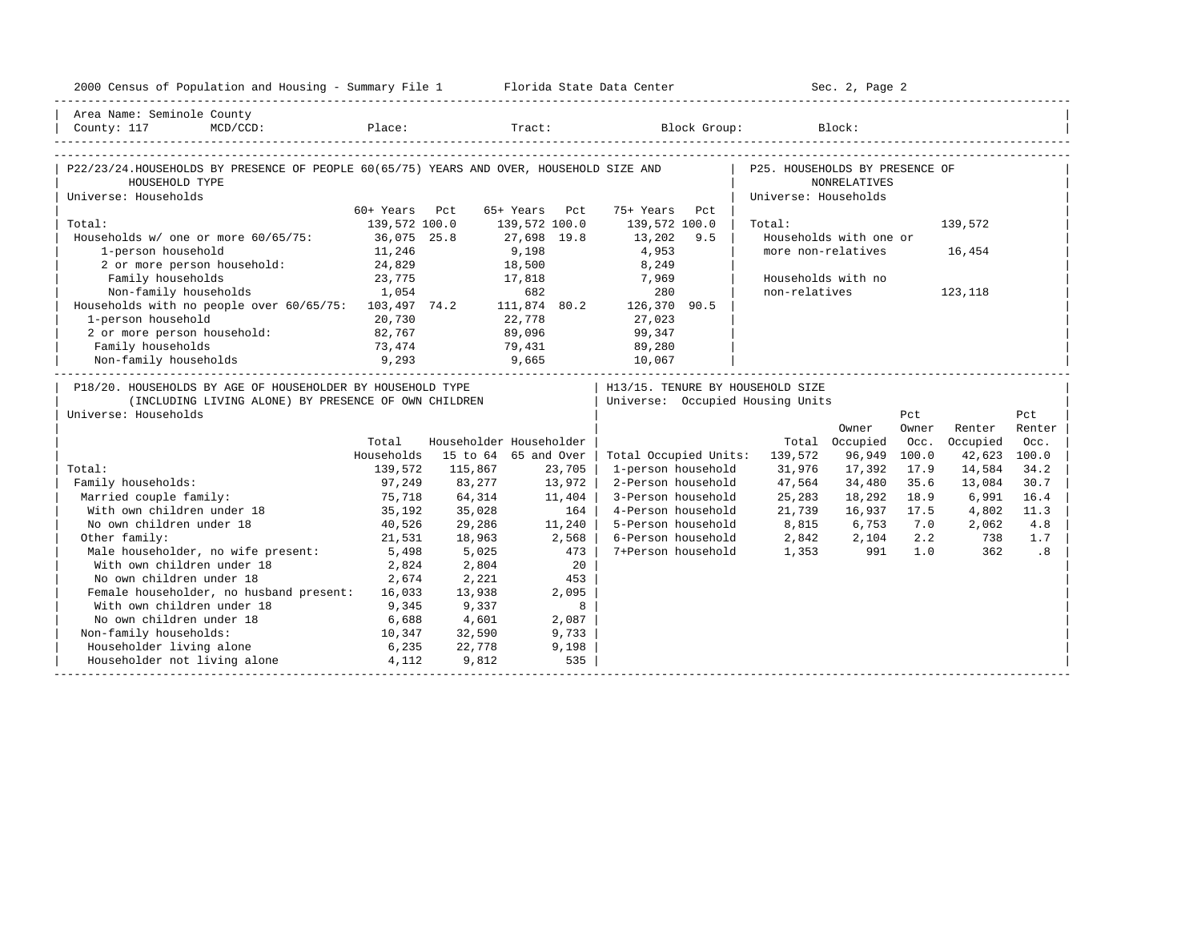| Area Name: Seminole County<br>MCD/CCD: Place: Tract: Block Group: Block:<br>County: 117<br>P22/23/24.HOUSEHOLDS BY PRESENCE OF PEOPLE 60(65/75) YEARS AND OVER, HOUSEHOLD SIZE AND<br>P25. HOUSEHOLDS BY PRESENCE OF<br>HOUSEHOLD TYPE<br><b>NONRELATIVES</b><br>Universe: Households<br>Universe: Households<br>60+ Years Pct<br>65+ Years Pct<br>75+ Years<br>Pct<br>Total:<br>139,572 100.0<br>139,572 100.0<br>139,572 100.0<br>139,572<br>Total:<br>Households w/ one or more 60/65/75: 36,075 25.8<br>27,698 19.8<br>13,202<br>Households with one or<br>9.5<br>9,198<br>1-person household<br>11,246<br>4,953<br>more non-relatives<br>16,454<br>18,500<br>24,829<br>2 or more person household:<br>8,249<br>Family households<br>23,775<br>17,818<br>Households with no<br>7,969<br>Non-family households<br>1,054<br>682<br>280<br>non-relatives<br>123,118<br>280 80 82<br>Households with no people over 60/65/75: 103,497 74.2 111,874 80.2 126,370 90.5<br>1-person household<br>22,778<br>20,730<br>27,023<br>2 or more person household:<br>82,767<br>89,096<br>99,347<br>Family households<br>73,474<br>79,431<br>89,280<br>9,293<br>9,665 10,067<br>Non-family households<br>P18/20. HOUSEHOLDS BY AGE OF HOUSEHOLDER BY HOUSEHOLD TYPE<br>  H13/15. TENURE BY HOUSEHOLD SIZE<br>(INCLUDING LIVING ALONE) BY PRESENCE OF OWN CHILDREN<br>Universe: Occupied Housing Units<br>Universe: Households<br>Pct<br>Pct<br>Owner<br>Renter<br>Owner<br>Renter<br>Householder Householder<br>Occupied<br>Total<br>Total Occupied<br>Occ.<br>Occ.<br>Households<br>15 to 64 65 and Over<br>Total Occupied Units: 139,572<br>96,949<br>42,623 100.0<br>100.0<br>Total:<br>139,572<br>115,867<br>23,705<br>1-person household<br>31,976<br>17,392<br>17.9<br>14,584<br>34.2<br>Family households:<br>97,249<br>83,277<br>13,972<br>2-Person household<br>47,564<br>34,480<br>35.6<br>13,084<br>30.7<br>Married couple family:<br>75,718<br>64,314<br>3-Person household<br>25,283<br>18,292<br>18.9<br>11,404<br>6,991<br>16.4<br>With own children under 18<br>35,192<br>35,028<br>164<br>4-Person household<br>21,739<br>16,937<br>17.5<br>4,802<br>11.3<br>8,815 6,753<br>No own children under 18<br>40,526<br>29,286<br>11,240<br>5-Person household<br>7.0<br>4.8<br>2,062<br>Other family:<br>6-Person household<br>2.2<br>21,531<br>18,963<br>2,568<br>2,842<br>2,104<br>738<br>1.7<br>Male householder, no wife present:<br>5,498<br>7+Person household<br>5,025<br>473<br>1,353<br>991<br>1.0<br>362<br>.8<br>With own children under 18<br>2,824<br>2,804<br>20<br>No own children under 18<br>2,674<br>2,221<br>453<br>Female householder, no husband present: 16,033<br>13,938<br>2,095<br>With own children under 18<br>9,345<br>9,337<br>8<br>No own children under 18<br>6,688<br>4,601<br>2,087<br>Non-family households:<br>10,347<br>32,590<br>9,733<br>Householder living alone<br>6,235<br>22,778<br>9,198<br>Householder not living alone 4,112<br>535<br>9,812 | 2000 Census of Population and Housing - Summary File 1 Florida State Data Center |  |  | Sec. 2, Page 2 |  |  |
|--------------------------------------------------------------------------------------------------------------------------------------------------------------------------------------------------------------------------------------------------------------------------------------------------------------------------------------------------------------------------------------------------------------------------------------------------------------------------------------------------------------------------------------------------------------------------------------------------------------------------------------------------------------------------------------------------------------------------------------------------------------------------------------------------------------------------------------------------------------------------------------------------------------------------------------------------------------------------------------------------------------------------------------------------------------------------------------------------------------------------------------------------------------------------------------------------------------------------------------------------------------------------------------------------------------------------------------------------------------------------------------------------------------------------------------------------------------------------------------------------------------------------------------------------------------------------------------------------------------------------------------------------------------------------------------------------------------------------------------------------------------------------------------------------------------------------------------------------------------------------------------------------------------------------------------------------------------------------------------------------------------------------------------------------------------------------------------------------------------------------------------------------------------------------------------------------------------------------------------------------------------------------------------------------------------------------------------------------------------------------------------------------------------------------------------------------------------------------------------------------------------------------------------------------------------------------------------------------------------------------------------------------------------------------------------------------------------------------------------------------------------------------------------------------------------------------------------------------------------------------------------------------------------------------------------------------------------------------------------------|----------------------------------------------------------------------------------|--|--|----------------|--|--|
|                                                                                                                                                                                                                                                                                                                                                                                                                                                                                                                                                                                                                                                                                                                                                                                                                                                                                                                                                                                                                                                                                                                                                                                                                                                                                                                                                                                                                                                                                                                                                                                                                                                                                                                                                                                                                                                                                                                                                                                                                                                                                                                                                                                                                                                                                                                                                                                                                                                                                                                                                                                                                                                                                                                                                                                                                                                                                                                                                                                            |                                                                                  |  |  |                |  |  |
|                                                                                                                                                                                                                                                                                                                                                                                                                                                                                                                                                                                                                                                                                                                                                                                                                                                                                                                                                                                                                                                                                                                                                                                                                                                                                                                                                                                                                                                                                                                                                                                                                                                                                                                                                                                                                                                                                                                                                                                                                                                                                                                                                                                                                                                                                                                                                                                                                                                                                                                                                                                                                                                                                                                                                                                                                                                                                                                                                                                            |                                                                                  |  |  |                |  |  |
|                                                                                                                                                                                                                                                                                                                                                                                                                                                                                                                                                                                                                                                                                                                                                                                                                                                                                                                                                                                                                                                                                                                                                                                                                                                                                                                                                                                                                                                                                                                                                                                                                                                                                                                                                                                                                                                                                                                                                                                                                                                                                                                                                                                                                                                                                                                                                                                                                                                                                                                                                                                                                                                                                                                                                                                                                                                                                                                                                                                            |                                                                                  |  |  |                |  |  |
|                                                                                                                                                                                                                                                                                                                                                                                                                                                                                                                                                                                                                                                                                                                                                                                                                                                                                                                                                                                                                                                                                                                                                                                                                                                                                                                                                                                                                                                                                                                                                                                                                                                                                                                                                                                                                                                                                                                                                                                                                                                                                                                                                                                                                                                                                                                                                                                                                                                                                                                                                                                                                                                                                                                                                                                                                                                                                                                                                                                            |                                                                                  |  |  |                |  |  |
|                                                                                                                                                                                                                                                                                                                                                                                                                                                                                                                                                                                                                                                                                                                                                                                                                                                                                                                                                                                                                                                                                                                                                                                                                                                                                                                                                                                                                                                                                                                                                                                                                                                                                                                                                                                                                                                                                                                                                                                                                                                                                                                                                                                                                                                                                                                                                                                                                                                                                                                                                                                                                                                                                                                                                                                                                                                                                                                                                                                            |                                                                                  |  |  |                |  |  |
|                                                                                                                                                                                                                                                                                                                                                                                                                                                                                                                                                                                                                                                                                                                                                                                                                                                                                                                                                                                                                                                                                                                                                                                                                                                                                                                                                                                                                                                                                                                                                                                                                                                                                                                                                                                                                                                                                                                                                                                                                                                                                                                                                                                                                                                                                                                                                                                                                                                                                                                                                                                                                                                                                                                                                                                                                                                                                                                                                                                            |                                                                                  |  |  |                |  |  |
|                                                                                                                                                                                                                                                                                                                                                                                                                                                                                                                                                                                                                                                                                                                                                                                                                                                                                                                                                                                                                                                                                                                                                                                                                                                                                                                                                                                                                                                                                                                                                                                                                                                                                                                                                                                                                                                                                                                                                                                                                                                                                                                                                                                                                                                                                                                                                                                                                                                                                                                                                                                                                                                                                                                                                                                                                                                                                                                                                                                            |                                                                                  |  |  |                |  |  |
|                                                                                                                                                                                                                                                                                                                                                                                                                                                                                                                                                                                                                                                                                                                                                                                                                                                                                                                                                                                                                                                                                                                                                                                                                                                                                                                                                                                                                                                                                                                                                                                                                                                                                                                                                                                                                                                                                                                                                                                                                                                                                                                                                                                                                                                                                                                                                                                                                                                                                                                                                                                                                                                                                                                                                                                                                                                                                                                                                                                            |                                                                                  |  |  |                |  |  |
|                                                                                                                                                                                                                                                                                                                                                                                                                                                                                                                                                                                                                                                                                                                                                                                                                                                                                                                                                                                                                                                                                                                                                                                                                                                                                                                                                                                                                                                                                                                                                                                                                                                                                                                                                                                                                                                                                                                                                                                                                                                                                                                                                                                                                                                                                                                                                                                                                                                                                                                                                                                                                                                                                                                                                                                                                                                                                                                                                                                            |                                                                                  |  |  |                |  |  |
|                                                                                                                                                                                                                                                                                                                                                                                                                                                                                                                                                                                                                                                                                                                                                                                                                                                                                                                                                                                                                                                                                                                                                                                                                                                                                                                                                                                                                                                                                                                                                                                                                                                                                                                                                                                                                                                                                                                                                                                                                                                                                                                                                                                                                                                                                                                                                                                                                                                                                                                                                                                                                                                                                                                                                                                                                                                                                                                                                                                            |                                                                                  |  |  |                |  |  |
|                                                                                                                                                                                                                                                                                                                                                                                                                                                                                                                                                                                                                                                                                                                                                                                                                                                                                                                                                                                                                                                                                                                                                                                                                                                                                                                                                                                                                                                                                                                                                                                                                                                                                                                                                                                                                                                                                                                                                                                                                                                                                                                                                                                                                                                                                                                                                                                                                                                                                                                                                                                                                                                                                                                                                                                                                                                                                                                                                                                            |                                                                                  |  |  |                |  |  |
|                                                                                                                                                                                                                                                                                                                                                                                                                                                                                                                                                                                                                                                                                                                                                                                                                                                                                                                                                                                                                                                                                                                                                                                                                                                                                                                                                                                                                                                                                                                                                                                                                                                                                                                                                                                                                                                                                                                                                                                                                                                                                                                                                                                                                                                                                                                                                                                                                                                                                                                                                                                                                                                                                                                                                                                                                                                                                                                                                                                            |                                                                                  |  |  |                |  |  |
|                                                                                                                                                                                                                                                                                                                                                                                                                                                                                                                                                                                                                                                                                                                                                                                                                                                                                                                                                                                                                                                                                                                                                                                                                                                                                                                                                                                                                                                                                                                                                                                                                                                                                                                                                                                                                                                                                                                                                                                                                                                                                                                                                                                                                                                                                                                                                                                                                                                                                                                                                                                                                                                                                                                                                                                                                                                                                                                                                                                            |                                                                                  |  |  |                |  |  |
|                                                                                                                                                                                                                                                                                                                                                                                                                                                                                                                                                                                                                                                                                                                                                                                                                                                                                                                                                                                                                                                                                                                                                                                                                                                                                                                                                                                                                                                                                                                                                                                                                                                                                                                                                                                                                                                                                                                                                                                                                                                                                                                                                                                                                                                                                                                                                                                                                                                                                                                                                                                                                                                                                                                                                                                                                                                                                                                                                                                            |                                                                                  |  |  |                |  |  |
|                                                                                                                                                                                                                                                                                                                                                                                                                                                                                                                                                                                                                                                                                                                                                                                                                                                                                                                                                                                                                                                                                                                                                                                                                                                                                                                                                                                                                                                                                                                                                                                                                                                                                                                                                                                                                                                                                                                                                                                                                                                                                                                                                                                                                                                                                                                                                                                                                                                                                                                                                                                                                                                                                                                                                                                                                                                                                                                                                                                            |                                                                                  |  |  |                |  |  |
|                                                                                                                                                                                                                                                                                                                                                                                                                                                                                                                                                                                                                                                                                                                                                                                                                                                                                                                                                                                                                                                                                                                                                                                                                                                                                                                                                                                                                                                                                                                                                                                                                                                                                                                                                                                                                                                                                                                                                                                                                                                                                                                                                                                                                                                                                                                                                                                                                                                                                                                                                                                                                                                                                                                                                                                                                                                                                                                                                                                            |                                                                                  |  |  |                |  |  |
|                                                                                                                                                                                                                                                                                                                                                                                                                                                                                                                                                                                                                                                                                                                                                                                                                                                                                                                                                                                                                                                                                                                                                                                                                                                                                                                                                                                                                                                                                                                                                                                                                                                                                                                                                                                                                                                                                                                                                                                                                                                                                                                                                                                                                                                                                                                                                                                                                                                                                                                                                                                                                                                                                                                                                                                                                                                                                                                                                                                            |                                                                                  |  |  |                |  |  |
|                                                                                                                                                                                                                                                                                                                                                                                                                                                                                                                                                                                                                                                                                                                                                                                                                                                                                                                                                                                                                                                                                                                                                                                                                                                                                                                                                                                                                                                                                                                                                                                                                                                                                                                                                                                                                                                                                                                                                                                                                                                                                                                                                                                                                                                                                                                                                                                                                                                                                                                                                                                                                                                                                                                                                                                                                                                                                                                                                                                            |                                                                                  |  |  |                |  |  |
|                                                                                                                                                                                                                                                                                                                                                                                                                                                                                                                                                                                                                                                                                                                                                                                                                                                                                                                                                                                                                                                                                                                                                                                                                                                                                                                                                                                                                                                                                                                                                                                                                                                                                                                                                                                                                                                                                                                                                                                                                                                                                                                                                                                                                                                                                                                                                                                                                                                                                                                                                                                                                                                                                                                                                                                                                                                                                                                                                                                            |                                                                                  |  |  |                |  |  |
|                                                                                                                                                                                                                                                                                                                                                                                                                                                                                                                                                                                                                                                                                                                                                                                                                                                                                                                                                                                                                                                                                                                                                                                                                                                                                                                                                                                                                                                                                                                                                                                                                                                                                                                                                                                                                                                                                                                                                                                                                                                                                                                                                                                                                                                                                                                                                                                                                                                                                                                                                                                                                                                                                                                                                                                                                                                                                                                                                                                            |                                                                                  |  |  |                |  |  |
|                                                                                                                                                                                                                                                                                                                                                                                                                                                                                                                                                                                                                                                                                                                                                                                                                                                                                                                                                                                                                                                                                                                                                                                                                                                                                                                                                                                                                                                                                                                                                                                                                                                                                                                                                                                                                                                                                                                                                                                                                                                                                                                                                                                                                                                                                                                                                                                                                                                                                                                                                                                                                                                                                                                                                                                                                                                                                                                                                                                            |                                                                                  |  |  |                |  |  |
|                                                                                                                                                                                                                                                                                                                                                                                                                                                                                                                                                                                                                                                                                                                                                                                                                                                                                                                                                                                                                                                                                                                                                                                                                                                                                                                                                                                                                                                                                                                                                                                                                                                                                                                                                                                                                                                                                                                                                                                                                                                                                                                                                                                                                                                                                                                                                                                                                                                                                                                                                                                                                                                                                                                                                                                                                                                                                                                                                                                            |                                                                                  |  |  |                |  |  |
|                                                                                                                                                                                                                                                                                                                                                                                                                                                                                                                                                                                                                                                                                                                                                                                                                                                                                                                                                                                                                                                                                                                                                                                                                                                                                                                                                                                                                                                                                                                                                                                                                                                                                                                                                                                                                                                                                                                                                                                                                                                                                                                                                                                                                                                                                                                                                                                                                                                                                                                                                                                                                                                                                                                                                                                                                                                                                                                                                                                            |                                                                                  |  |  |                |  |  |
|                                                                                                                                                                                                                                                                                                                                                                                                                                                                                                                                                                                                                                                                                                                                                                                                                                                                                                                                                                                                                                                                                                                                                                                                                                                                                                                                                                                                                                                                                                                                                                                                                                                                                                                                                                                                                                                                                                                                                                                                                                                                                                                                                                                                                                                                                                                                                                                                                                                                                                                                                                                                                                                                                                                                                                                                                                                                                                                                                                                            |                                                                                  |  |  |                |  |  |
|                                                                                                                                                                                                                                                                                                                                                                                                                                                                                                                                                                                                                                                                                                                                                                                                                                                                                                                                                                                                                                                                                                                                                                                                                                                                                                                                                                                                                                                                                                                                                                                                                                                                                                                                                                                                                                                                                                                                                                                                                                                                                                                                                                                                                                                                                                                                                                                                                                                                                                                                                                                                                                                                                                                                                                                                                                                                                                                                                                                            |                                                                                  |  |  |                |  |  |
|                                                                                                                                                                                                                                                                                                                                                                                                                                                                                                                                                                                                                                                                                                                                                                                                                                                                                                                                                                                                                                                                                                                                                                                                                                                                                                                                                                                                                                                                                                                                                                                                                                                                                                                                                                                                                                                                                                                                                                                                                                                                                                                                                                                                                                                                                                                                                                                                                                                                                                                                                                                                                                                                                                                                                                                                                                                                                                                                                                                            |                                                                                  |  |  |                |  |  |
|                                                                                                                                                                                                                                                                                                                                                                                                                                                                                                                                                                                                                                                                                                                                                                                                                                                                                                                                                                                                                                                                                                                                                                                                                                                                                                                                                                                                                                                                                                                                                                                                                                                                                                                                                                                                                                                                                                                                                                                                                                                                                                                                                                                                                                                                                                                                                                                                                                                                                                                                                                                                                                                                                                                                                                                                                                                                                                                                                                                            |                                                                                  |  |  |                |  |  |
|                                                                                                                                                                                                                                                                                                                                                                                                                                                                                                                                                                                                                                                                                                                                                                                                                                                                                                                                                                                                                                                                                                                                                                                                                                                                                                                                                                                                                                                                                                                                                                                                                                                                                                                                                                                                                                                                                                                                                                                                                                                                                                                                                                                                                                                                                                                                                                                                                                                                                                                                                                                                                                                                                                                                                                                                                                                                                                                                                                                            |                                                                                  |  |  |                |  |  |
|                                                                                                                                                                                                                                                                                                                                                                                                                                                                                                                                                                                                                                                                                                                                                                                                                                                                                                                                                                                                                                                                                                                                                                                                                                                                                                                                                                                                                                                                                                                                                                                                                                                                                                                                                                                                                                                                                                                                                                                                                                                                                                                                                                                                                                                                                                                                                                                                                                                                                                                                                                                                                                                                                                                                                                                                                                                                                                                                                                                            |                                                                                  |  |  |                |  |  |
|                                                                                                                                                                                                                                                                                                                                                                                                                                                                                                                                                                                                                                                                                                                                                                                                                                                                                                                                                                                                                                                                                                                                                                                                                                                                                                                                                                                                                                                                                                                                                                                                                                                                                                                                                                                                                                                                                                                                                                                                                                                                                                                                                                                                                                                                                                                                                                                                                                                                                                                                                                                                                                                                                                                                                                                                                                                                                                                                                                                            |                                                                                  |  |  |                |  |  |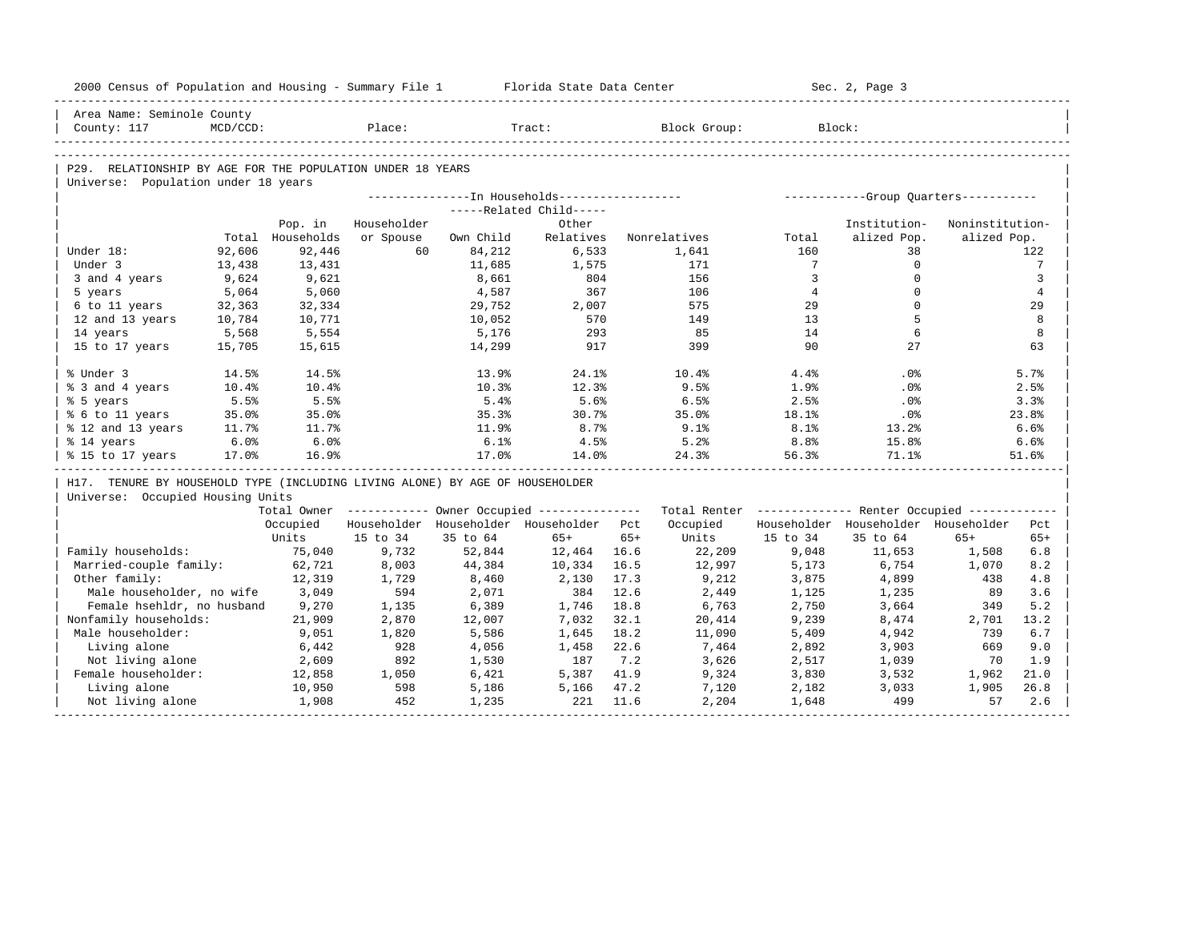| 2000 Census of Population and Housing - Summary File 1 Florida State Data Center |          |                  |             |           |                                                  |       |                                                                                                               |                | Sec. 2, Page 3                               |                 |                 |
|----------------------------------------------------------------------------------|----------|------------------|-------------|-----------|--------------------------------------------------|-------|---------------------------------------------------------------------------------------------------------------|----------------|----------------------------------------------|-----------------|-----------------|
| Area Name: Seminole County                                                       |          |                  |             |           |                                                  |       |                                                                                                               |                |                                              |                 |                 |
| County: 117                                                                      | MCD/CCD: |                  | Place:      |           | Tract:                                           |       | Block Group:                                                                                                  |                | Block:                                       |                 |                 |
|                                                                                  |          |                  |             |           |                                                  |       |                                                                                                               |                |                                              |                 |                 |
| P29. RELATIONSHIP BY AGE FOR THE POPULATION UNDER 18 YEARS                       |          |                  |             |           |                                                  |       |                                                                                                               |                |                                              |                 |                 |
| Universe: Population under 18 years                                              |          |                  |             |           |                                                  |       |                                                                                                               |                |                                              |                 |                 |
|                                                                                  |          |                  |             |           |                                                  |       |                                                                                                               |                |                                              |                 |                 |
|                                                                                  |          |                  |             |           | -----Related Child-----                          |       |                                                                                                               |                |                                              |                 |                 |
|                                                                                  |          | Pop. in          | Householder |           | Other                                            |       |                                                                                                               |                | Institution-                                 | Noninstitution- |                 |
|                                                                                  |          | Total Households | or Spouse   | Own Child | Relatives                                        |       | Nonrelatives                                                                                                  | Total          | alized Pop.                                  | alized Pop.     |                 |
| Under 18:                                                                        | 92,606   | 92,446           | 60          | 84,212    | 6,533                                            |       | 1,641                                                                                                         | 160            | 38                                           |                 | 122             |
| Under 3                                                                          | 13,438   | 13,431           |             | 11,685    | 1,575                                            |       | 171                                                                                                           | $7\phantom{0}$ | $\circ$                                      |                 | $7\phantom{.0}$ |
| 3 and 4 years                                                                    | 9,624    | 9,621            |             | 8,661     | 804                                              |       | 156                                                                                                           | $\overline{3}$ | $\Omega$                                     |                 | 3               |
| 5 years                                                                          | 5,064    | 5,060            |             | 4,587     | 367                                              |       | 106                                                                                                           | $\overline{4}$ | $\Omega$                                     |                 | $\overline{4}$  |
| 6 to 11 years                                                                    | 32,363   | 32,334           |             | 29,752    | 2,007                                            |       | 575                                                                                                           | 29             | $\mathbf 0$<br>5                             |                 | 29              |
| 12 and 13 years                                                                  | 10,784   | 10,771           |             | 10,052    | 570                                              |       | 149                                                                                                           | 13             | 6                                            |                 | 8               |
| 14 years                                                                         | 5,568    | 5,554            |             | 5,176     | 293<br>917                                       |       | 85<br>399                                                                                                     | 14<br>90       | 27                                           |                 | 8               |
| 15 to 17 years                                                                   | 15,705   | 15,615           |             | 14,299    |                                                  |       |                                                                                                               |                |                                              |                 | 63              |
| % Under 3                                                                        | 14.5%    | 14.5%            |             | 13.9%     | 24.1%                                            |       | 10.4%                                                                                                         | 4.4%           | $.0\%$                                       |                 | 5.7%            |
| % 3 and 4 years                                                                  | 10.4%    | 10.4%            |             | 10.3%     | 12.3%                                            |       | 9.5%                                                                                                          | 1.9%           | $.0\%$                                       |                 | 2.5%            |
| % 5 years                                                                        | 5.5%     | 5.5%             |             | 5.4%      | 5.6%                                             |       | 6.5%                                                                                                          | 2.5%           | $.0\%$                                       |                 | 3.3%            |
| % 6 to 11 years                                                                  | 35.0%    | 35.0%            |             | 35.3%     | 30.7%                                            |       | 35.0%                                                                                                         | 18.1%          | $.0\%$                                       |                 | 23.8%           |
| % 12 and 13 years                                                                | 11.7%    | 11.7%            |             | 11.9%     | 8.7%                                             |       | $9.1$ $%$                                                                                                     | 8.1%           | 13.2%                                        |                 | 6.6%            |
| % 14 years                                                                       | 6.0%     | 6.0%             |             | 6.1%      | 4.5%                                             |       | 5.2%                                                                                                          | 8.8%           | 15.8%                                        |                 | 6.6%            |
| % 15 to 17 years                                                                 | 17.0%    | 16.9%            |             | 17.0%     | 14.0%                                            |       | 24.3%                                                                                                         | 56.3%          | 71.1%                                        |                 | 51.6%           |
| H17. TENURE BY HOUSEHOLD TYPE (INCLUDING LIVING ALONE) BY AGE OF HOUSEHOLDER     |          |                  |             |           |                                                  |       |                                                                                                               |                |                                              |                 |                 |
| Universe: Occupied Housing Units                                                 |          |                  |             |           |                                                  |       |                                                                                                               |                |                                              |                 |                 |
|                                                                                  |          |                  |             |           |                                                  |       | Total Owner ----------- Owner Occupied -------------- Total Renter ------------- Renter Occupied ------------ |                |                                              |                 |                 |
|                                                                                  |          |                  |             |           | Occupied Householder Householder Householder Pct |       |                                                                                                               |                | Occupied Householder Householder Householder |                 | Pct             |
|                                                                                  |          | Units            | 15 to 34    | 35 to 64  | 65+                                              | $65+$ | Units                                                                                                         | 15 to 34       | 35 to 64                                     | $65+$           | $65+$           |
| Family households:                                                               |          | 75,040           | 9,732       | 52,844    | 12,464 16.6                                      |       | 22,209                                                                                                        | 9,048          | 11,653                                       | 1,508           | 6.8             |
| Married-couple family:                                                           |          | 62,721           | 8,003       | 44,384    | 10,334                                           | 16.5  | 12,997                                                                                                        | 5,173          | 6,754                                        | 1,070           | 8.2             |
| Other family:                                                                    |          | 12,319           | 1,729       | 8,460     | 2,130                                            | 17.3  | 9,212                                                                                                         | 3,875          | 4,899                                        | 438             | 4.8             |
| Male householder, no wife 3,049                                                  |          |                  | 594         | 2,071     | 384                                              | 12.6  | 2,449                                                                                                         | 1,125          | 1,235                                        | 89              | 3.6             |
| Female hsehldr, no husband                                                       |          | 9,270            | 1,135       | 6,389     | 1,746                                            | 18.8  | 6,763                                                                                                         | 2,750          | 3,664                                        | 349             | 5.2             |
| Nonfamily households:                                                            |          | 21,909           | 2,870       | 12,007    | 7,032                                            | 32.1  | 20,414                                                                                                        | 9,239          | 8,474                                        | 2,701           | 13.2            |
| Male householder:                                                                |          | 9,051            | 1,820       | 5,586     | 1,645                                            | 18.2  | 11,090                                                                                                        | 5,409          | 4,942                                        | 739             | 6.7             |
| Living alone                                                                     |          | 6,442            | 928         | 4,056     | 1,458                                            | 22.6  | 7,464                                                                                                         | 2,892          | 3,903                                        | 669             | 9.0             |
| Not living alone                                                                 |          | 2,609            | 892         | 1,530     | 187                                              | 7.2   | 3,626                                                                                                         | 2,517          | 1,039                                        | 70              | 1.9             |
| Female householder:                                                              |          | 12,858           | 1,050       | 6,421     | 5,387 41.9                                       |       | 9,324                                                                                                         | 3,830          | 3,532                                        | 1,962           | 21.0            |
| Living alone                                                                     |          | 10,950           | 598         | 5,186     | 5,166 47.2                                       |       | 7,120                                                                                                         | 2,182          | 3,033                                        | 1,905           | 26.8            |
| Not living alone                                                                 |          | 1,908            | 452         | 1,235     | 221                                              | 11.6  | 2,204                                                                                                         | 1,648          | 499                                          | 57              | 2.6             |
|                                                                                  |          |                  |             |           |                                                  |       |                                                                                                               |                |                                              |                 |                 |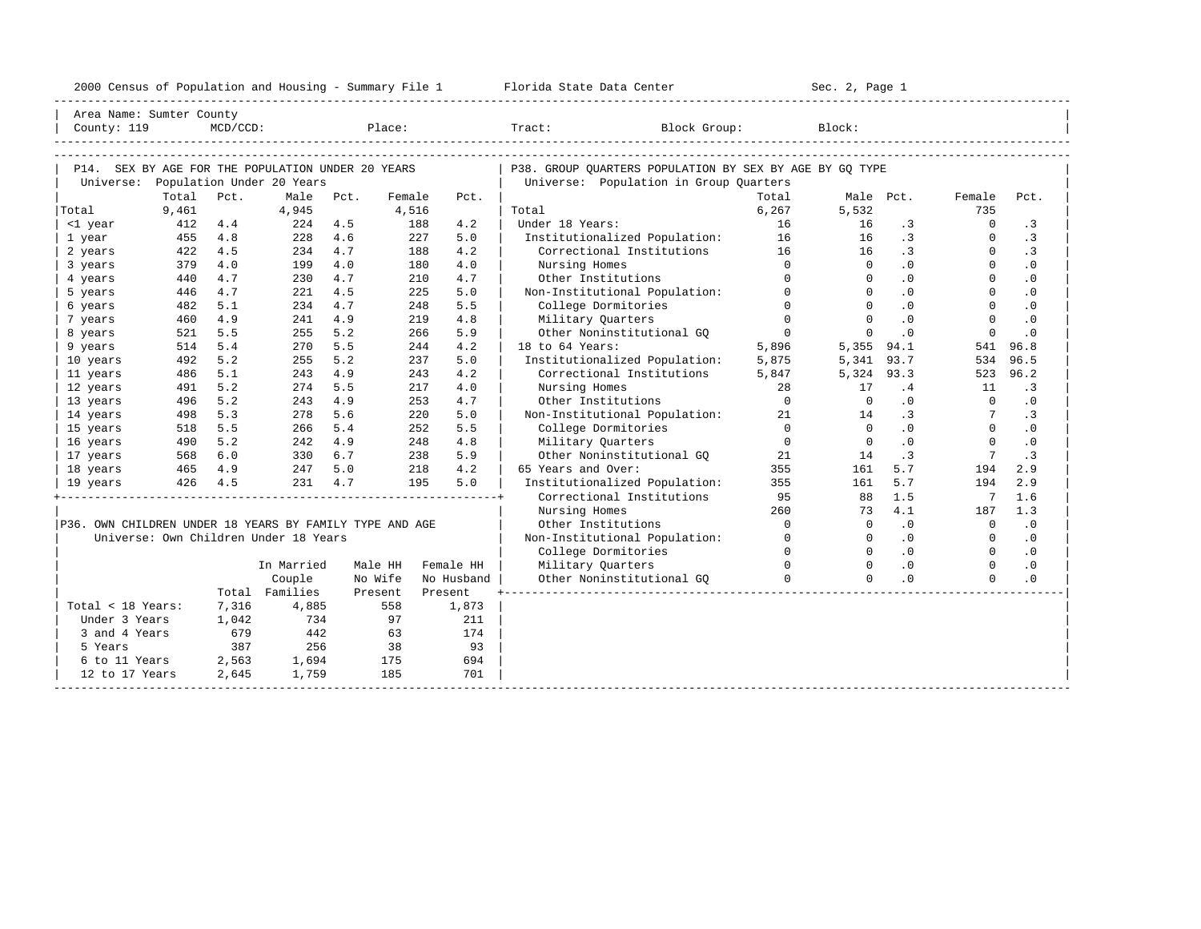| 2000 Census of Population and Housing - Summary File 1 |  | Florida State Data Center | Sec. 2, Page 1 |
|--------------------------------------------------------|--|---------------------------|----------------|
|--------------------------------------------------------|--|---------------------------|----------------|

| County: 119                                             | Area Name: Sumter County | $MCD/CCD$ : |                                                                                |      | Place:  |           |            | Tract:<br>Block Group:                                                                            |                | Block:         |                |                 |           |
|---------------------------------------------------------|--------------------------|-------------|--------------------------------------------------------------------------------|------|---------|-----------|------------|---------------------------------------------------------------------------------------------------|----------------|----------------|----------------|-----------------|-----------|
| Universe:                                               |                          |             | P14. SEX BY AGE FOR THE POPULATION UNDER 20 YEARS<br>Population Under 20 Years |      |         |           |            | P38. GROUP OUARTERS POPULATION BY SEX BY AGE BY GO TYPE<br>Universe: Population in Group Quarters |                |                |                |                 |           |
|                                                         | Total                    | Pct.        | Male                                                                           | Pct. | Female  |           | Pct.       |                                                                                                   | Total          |                | Male Pct.      | Female          | Pct.      |
| Total                                                   | 9,461                    |             | 4,945                                                                          |      | 4,516   |           |            | Total                                                                                             | 6,267          | 5,532          |                | 735             |           |
| <1 year                                                 | 412                      | 4.4         | 224                                                                            | 4.5  |         | 188       | 4.2        | Under 18 Years:                                                                                   | 16             | 16             | $\cdot$ 3      | $\Omega$        | $\cdot$ 3 |
| 1 year                                                  | 455                      | 4.8         | 228                                                                            | 4.6  |         | 227       | 5.0        | Institutionalized Population:                                                                     | 16             | 16             | $\cdot$ 3      | $\Omega$        | $\cdot$ 3 |
| 2 years                                                 | 422                      | 4.5         | 234                                                                            | 4.7  |         | 188       | 4.2        | Correctional Institutions                                                                         | 16             | 16             | $\cdot$ 3      | $\Omega$        | $\cdot$ 3 |
| 3 years                                                 | 379                      | 4.0         | 199                                                                            | 4.0  |         | 180       | 4.0        | Nursing Homes                                                                                     | $\Omega$       | $\Omega$       | .0             | $\Omega$        | $\cdot$ 0 |
| 4 years                                                 | 440                      | 4.7         | 230                                                                            | 4.7  |         | 210       | 4.7        | Other Institutions                                                                                | $\Omega$       | $\Omega$       | $\cdot$ 0      | $\Omega$        | $\cdot$ 0 |
| 5 years                                                 | 446                      | 4.7         | 221                                                                            | 4.5  |         | 225       | 5.0        | Non-Institutional Population:                                                                     | $\Omega$       | $\Omega$       | .0             | $\Omega$        | $\cdot$ 0 |
| 6 years                                                 | 482                      | 5.1         | 234                                                                            | 4.7  |         | 248       | 5.5        | College Dormitories                                                                               | $\Omega$       | $\Omega$       | .0             | $\Omega$        | $\cdot$ 0 |
| 7 years                                                 | 460                      | 4.9         | 241                                                                            | 4.9  |         | 219       | 4.8        | Military Quarters                                                                                 | $\Omega$       | $\Omega$       | $\cdot$ 0      | $\Omega$        | $\cdot$ 0 |
| 8 years                                                 | 521                      | 5.5         | 255                                                                            | 5.2  |         | 266       | 5.9        | Other Noninstitutional GO                                                                         | $\overline{0}$ | $\Omega$       | .0             | $\Omega$        | $\cdot$ 0 |
| 9 years                                                 | 514                      | 5.4         | 270                                                                            | 5.5  |         | 244       | 4.2        | 18 to 64 Years:                                                                                   | 5,896          |                | 5,355 94.1     | 541             | 96.8      |
| 10 years                                                | 492                      | 5.2         | 255                                                                            | 5.2  |         | 237       | 5.0        | Institutionalized Population:                                                                     | 5,875          | 5,341 93.7     |                | 534             | 96.5      |
| 11 years                                                | 486                      | 5.1         | 243                                                                            | 4.9  |         | 243       | 4.2        | Correctional Institutions                                                                         | 5,847          | 5,324 93.3     |                |                 | 523 96.2  |
| 12 years                                                | 491                      | 5.2         | 274                                                                            | 5.5  |         | 217       | 4.0        | Nursing Homes                                                                                     | 28             | 17             | .4             | 11              | $\cdot$ 3 |
| 13 years                                                | 496                      | 5.2         | 243                                                                            | 4.9  |         | 253       | 4.7        | Other Institutions                                                                                | $\Omega$       | $\overline{0}$ | $\cdot$ 0      | $\overline{0}$  | $\cdot$ 0 |
| 14 years                                                | 498                      | 5.3         | 278                                                                            | 5.6  |         | 2.20      | 5.0        | Non-Institutional Population:                                                                     | 21             | 14             | $\cdot$ 3      | 7 <sup>7</sup>  | $\cdot$ 3 |
| 15 years                                                | 518                      | 5.5         | 266                                                                            | 5.4  |         | 252       | 5.5        | College Dormitories                                                                               | $\Omega$       | $\bigcap$      | .0             | $\Omega$        | $\cdot$ 0 |
| 16 years                                                | 490                      | 5.2         | 242                                                                            | 4.9  |         | 248       | 4.8        | Military Quarters                                                                                 | $\overline{0}$ | $\Omega$       | $\cdot$ 0      | $\Omega$        | $\cdot$ 0 |
| 17 years                                                | $568$ $6.0$<br>465 4 0   |             | 330                                                                            | 6.7  |         | 238       | 5.9        | Other Noninstitutional GQ                                                                         | 21             | 14             | $\cdot$ 3      | $7\phantom{.0}$ | $\cdot$ 3 |
| 18 years                                                |                          |             | 247                                                                            | 5.0  |         | 218       | 4.2        | 65 Years and Over:                                                                                | 355            | 161            | 5.7            | 194             | 2.9       |
| 19 years                                                |                          | 426 4.5     | 231                                                                            | 4.7  |         | 195       | 5.0        | Institutionalized Population:                                                                     | 355            | 161            | 5.7            | 194             | 2.9       |
|                                                         |                          |             |                                                                                |      |         |           |            | Correctional Institutions                                                                         | 95             | 88             | 1.5            | 7               | 1.6       |
|                                                         |                          |             |                                                                                |      |         |           |            | Nursing Homes                                                                                     | 260            | 73             | 4.1            | 187             | 1.3       |
| P36. OWN CHILDREN UNDER 18 YEARS BY FAMILY TYPE AND AGE |                          |             |                                                                                |      |         |           |            | Other Institutions                                                                                | $\Omega$       | $\Omega$       | .0             | $\overline{0}$  | .0        |
|                                                         |                          |             | Universe: Own Children Under 18 Years                                          |      |         |           |            | Non-Institutional Population:                                                                     | $\Omega$       | $\Omega$       | $\cdot$ 0      | $\Omega$        | $\cdot$ 0 |
|                                                         |                          |             |                                                                                |      |         |           |            | College Dormitories                                                                               | $\Omega$       | $\Omega$       | $\cdot$ 0      | $\Omega$        | $\cdot$ 0 |
|                                                         |                          |             | In Married                                                                     |      | Male HH | Female HH |            | Military Quarters                                                                                 | $\Omega$       | $\Omega$       | $\overline{0}$ | $\Omega$        | $\cdot$ 0 |
|                                                         |                          |             | Couple                                                                         |      | No Wife |           | No Husband | Other Noninstitutional GO                                                                         | $\Omega$       | $\Omega$       | .0             | $\Omega$        | $\cdot$ 0 |
|                                                         |                          |             | Total Families                                                                 |      | Present | Present   |            |                                                                                                   |                |                |                |                 |           |
| Total < 18 Years:                                       |                          | 7,316       | 4,885                                                                          |      | 558     |           | 1,873      |                                                                                                   |                |                |                |                 |           |
| Under 3 Years                                           |                          | 1,042       | 734                                                                            |      | 97      |           | 211        |                                                                                                   |                |                |                |                 |           |
| 3 and 4 Years                                           |                          | 679         | 442                                                                            |      | 63      |           | 174        |                                                                                                   |                |                |                |                 |           |
| 5 Years                                                 |                          | 387         | 256                                                                            |      | 38      |           | 93         |                                                                                                   |                |                |                |                 |           |
| 6 to 11 Years                                           |                          | 2,563       | 1,694                                                                          |      | 175     |           | 694        |                                                                                                   |                |                |                |                 |           |
| 12 to 17 Years                                          |                          | 2,645       | 1,759                                                                          |      | 185     |           | 701        |                                                                                                   |                |                |                |                 |           |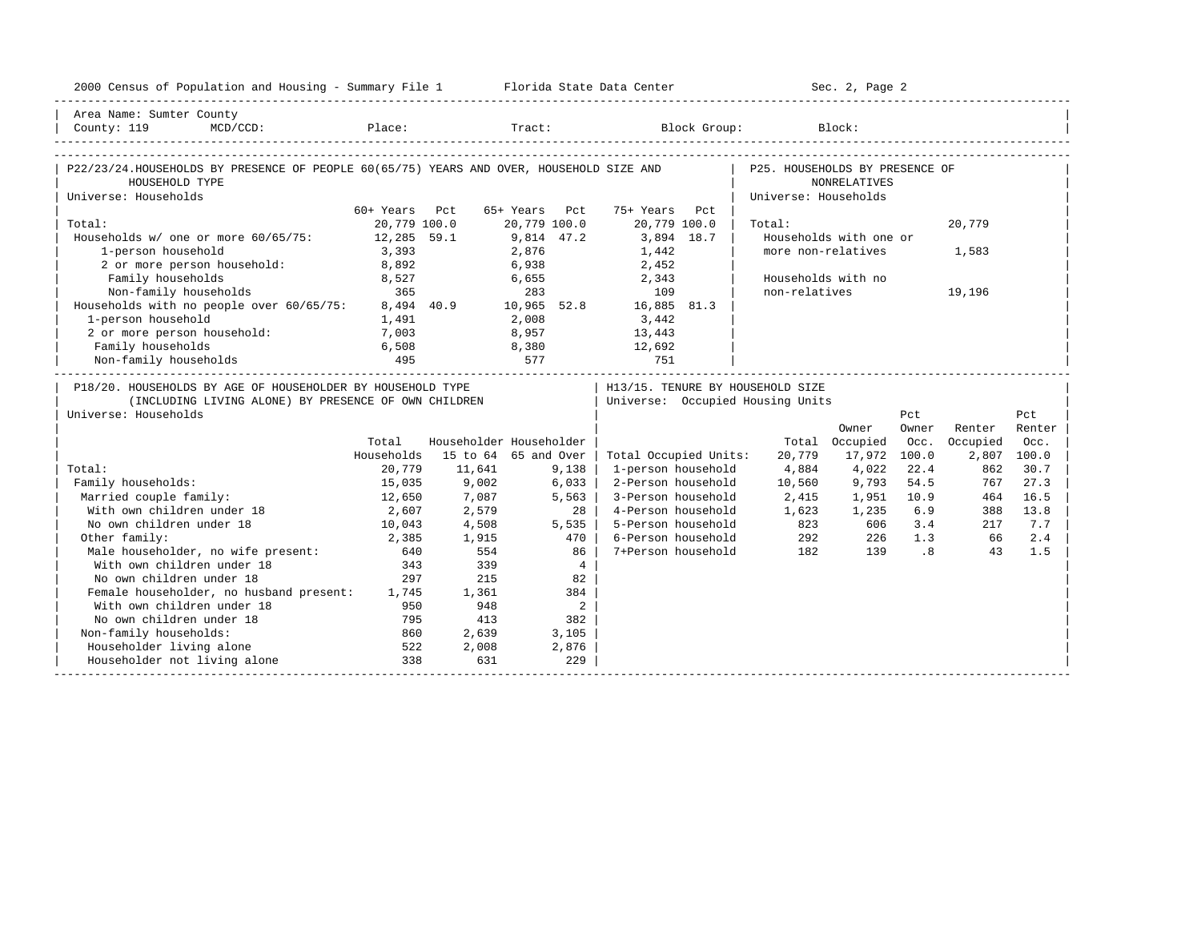| 2000 Census of Population and Housing - Summary File 1 Florida State Data Center                                                           |               |                         |               |                            |                                                             |                      | Sec. 2, Page 2         |                             |             |        |
|--------------------------------------------------------------------------------------------------------------------------------------------|---------------|-------------------------|---------------|----------------------------|-------------------------------------------------------------|----------------------|------------------------|-----------------------------|-------------|--------|
| Area Name: Sumter County                                                                                                                   |               |                         |               |                            |                                                             |                      |                        |                             |             |        |
| County: 119<br>$MCD / CCD$ :                                                                                                               |               |                         |               |                            | Place: Tract: Block Group: Block:                           |                      |                        |                             |             |        |
|                                                                                                                                            |               |                         |               |                            |                                                             |                      |                        |                             |             |        |
| P22/23/24.HOUSEHOLDS BY PRESENCE OF PEOPLE 60(65/75) YEARS AND OVER, HOUSEHOLD SIZE AND   P25. HOUSEHOLDS BY PRESENCE OF<br>HOUSEHOLD TYPE |               |                         |               |                            |                                                             |                      | NONRELATIVES           |                             |             |        |
| Universe: Households                                                                                                                       |               |                         |               |                            |                                                             | Universe: Households |                        |                             |             |        |
|                                                                                                                                            | 60+ Years Pct |                         | 65+ Years Pct |                            | 75+ Years Pct                                               |                      |                        |                             |             |        |
| Total:                                                                                                                                     | 20,779 100.0  |                         | 20,779 100.0  |                            | 20,779 100.0                                                | Total:               |                        |                             | 20,779      |        |
| Households w/ one or more 60/65/75: 12,285 59.1                                                                                            |               |                         | 9,814 47.2    |                            | 3,894 18.7                                                  |                      | Households with one or |                             |             |        |
| 1-person household                                                                                                                         | 3,393         |                         | 2,876         |                            | 1,442                                                       | more non-relatives   |                        |                             | 1,583       |        |
| 2 or more person household:                                                                                                                | 8,892         |                         | 6,938         |                            | 2,452                                                       |                      |                        |                             |             |        |
| Family households                                                                                                                          | 8,527         | 6,655                   |               |                            | 2,343                                                       |                      | Households with no     |                             |             |        |
| Non-family households                                                                                                                      | 365           |                         |               |                            | $365$ $283$ $109$<br>8,494 40.9 $10,965$ 52.8 $16,885$ 81.3 | non-relatives        |                        |                             | 19,196      |        |
| Households with no people over 60/65/75:                                                                                                   |               |                         |               |                            |                                                             |                      |                        |                             |             |        |
| 1-person household                                                                                                                         | 1,491         |                         | 2,008         |                            | 3,442                                                       |                      |                        |                             |             |        |
| 2 or more person household: 7,003                                                                                                          |               |                         |               |                            | 8,957 13,443                                                |                      |                        |                             |             |        |
| Family households                                                                                                                          | 6,508<br>495  |                         |               |                            | 12,692                                                      |                      |                        |                             |             |        |
| Non-family households                                                                                                                      |               | 8,380<br>577            |               |                            | 751                                                         |                      |                        |                             |             |        |
| P18/20. HOUSEHOLDS BY AGE OF HOUSEHOLDER BY HOUSEHOLD TYPE                                                                                 |               |                         |               |                            | H13/15. TENURE BY HOUSEHOLD SIZE                            |                      |                        |                             |             |        |
| (INCLUDING LIVING ALONE) BY PRESENCE OF OWN CHILDREN                                                                                       |               |                         |               |                            | Universe: Occupied Housing Units                            |                      |                        |                             |             |        |
| Universe: Households                                                                                                                       |               |                         |               |                            |                                                             |                      |                        | Pct                         |             | Pct.   |
|                                                                                                                                            |               |                         |               |                            |                                                             |                      | Owner                  | Owner                       | Renter      | Renter |
|                                                                                                                                            | Total         | Householder Householder |               |                            |                                                             |                      | Total Occupied         | Occ.                        | Occupied    | Occ.   |
|                                                                                                                                            | Households    | 15 to 64 65 and Over    |               |                            | Total Occupied Units:                                       | 20,779               | 17,972                 | 100.0                       | 2,807 100.0 |        |
| Total:                                                                                                                                     | 20,779        | 11,641                  |               | 9,138                      | 1-person household                                          | 4,884                | 4,022                  | 22.4                        | 862         | 30.7   |
| Family households:                                                                                                                         | 15,035        | 9.002                   | 6,033         |                            | 2-Person household                                          | 10,560               | 9,793                  | 54.5                        | 767         | 27.3   |
| Married couple family:                                                                                                                     | 12,650        | 7,087                   |               | 5,563                      | 3-Person household                                          | 2,415                | 1,951                  | 10.9                        | 464         | 16.5   |
| With own children under 18                                                                                                                 | 2,607         | 2,579                   |               | 28 I                       | 4-Person household                                          | 1,623                | 1,235                  | 6.9                         | 388         | 13.8   |
| No own children under 18                                                                                                                   | 10,043        | 4,508                   |               | 5,535                      | 5-Person household                                          | 823                  | 606                    | 3.4                         | 217         | 7.7    |
| Other family:                                                                                                                              | 2,385         | 1,915                   |               | 470                        | 6-Person household                                          |                      | 226                    | 1.3                         | 66          | 2.4    |
| Male householder, no wife present:                                                                                                         | 640           | 554                     |               | 86                         | 7+Person household                                          | 292<br>182           | 139                    | $\overline{\phantom{0}}$ .8 | 43          | 1.5    |
| With own children under 18                                                                                                                 | 343           | 339                     |               | $\overline{4}$             |                                                             |                      |                        |                             |             |        |
| No own children under 18                                                                                                                   | 297           | 215                     |               | 82                         |                                                             |                      |                        |                             |             |        |
| Female householder, no husband present: 1,745 1,361                                                                                        |               |                         |               | 384                        |                                                             |                      |                        |                             |             |        |
| With own children under 18                                                                                                                 | 950           | 948                     |               | $\overline{\phantom{a}}$ 2 |                                                             |                      |                        |                             |             |        |
| No own children under 18                                                                                                                   | 795           | 413                     |               | 382                        |                                                             |                      |                        |                             |             |        |
| Non-family households:                                                                                                                     | 860           | 2,639                   |               | 3,105                      |                                                             |                      |                        |                             |             |        |
| Householder living alone                                                                                                                   | 522           | 2,008                   |               | 2,876                      |                                                             |                      |                        |                             |             |        |
| Householder not living alone                                                                                                               | 338           | 631                     |               | 229                        |                                                             |                      |                        |                             |             |        |
|                                                                                                                                            |               |                         |               |                            |                                                             |                      |                        |                             |             |        |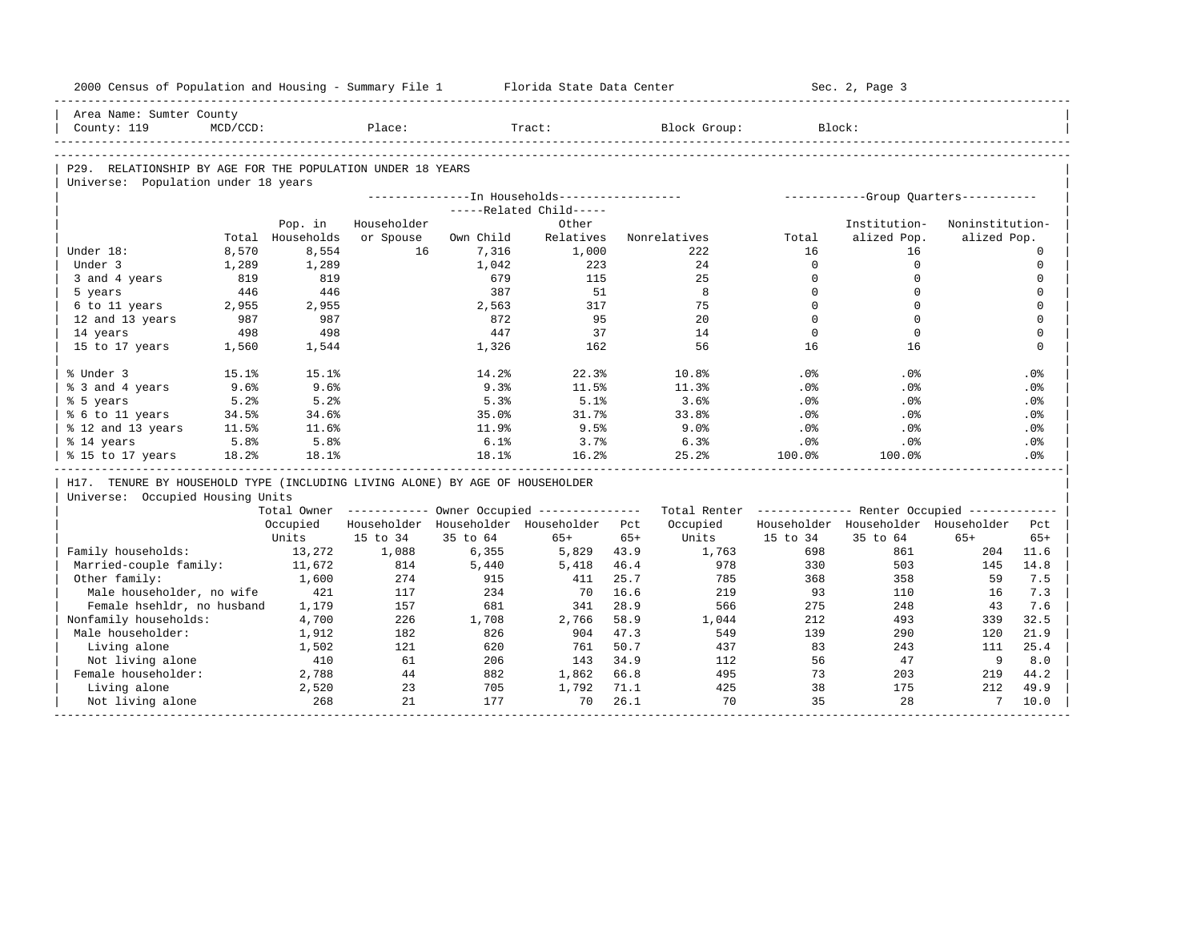| 2000 Census of Population and Housing - Summary File 1 Florida State Data Center |             |                  |             |           |                                               |       |                                                                                                               |             | Sec. 2, Page 3                        |                 |             |
|----------------------------------------------------------------------------------|-------------|------------------|-------------|-----------|-----------------------------------------------|-------|---------------------------------------------------------------------------------------------------------------|-------------|---------------------------------------|-----------------|-------------|
| Area Name: Sumter County                                                         |             |                  |             |           |                                               |       |                                                                                                               |             |                                       |                 |             |
| County: 119                                                                      | $MCD/CCD$ : |                  | Place:      |           | Tract:                                        |       | Block Group:                                                                                                  |             | Block:                                |                 |             |
|                                                                                  |             |                  |             |           |                                               |       |                                                                                                               |             |                                       |                 |             |
| P29. RELATIONSHIP BY AGE FOR THE POPULATION UNDER 18 YEARS                       |             |                  |             |           |                                               |       |                                                                                                               |             |                                       |                 |             |
| Universe: Population under 18 years                                              |             |                  |             |           |                                               |       |                                                                                                               |             |                                       |                 |             |
|                                                                                  |             |                  |             |           | ---------------In Households----------------- |       |                                                                                                               |             | ------------Group Quarters----------- |                 |             |
|                                                                                  |             |                  |             |           | -----Related Child-----                       |       |                                                                                                               |             |                                       |                 |             |
|                                                                                  |             | Pop. in          | Householder |           | Other                                         |       |                                                                                                               |             | Institution-                          | Noninstitution- |             |
|                                                                                  |             | Total Households | or Spouse   | Own Child | Relatives                                     |       | Nonrelatives                                                                                                  | Total       | alized Pop.                           | alized Pop.     |             |
| Under 18:                                                                        | 8,570       | 8,554            | 16          | 7,316     | 1,000                                         |       | 222                                                                                                           | 16          | 16                                    |                 | $\mathbf 0$ |
| Under 3                                                                          | 1,289       | 1,289            |             | 1,042     | 223                                           |       | 24                                                                                                            | $\mathbf 0$ | $\mathbf 0$                           |                 | $\mathbf 0$ |
| 3 and 4 years                                                                    | 819         | 819              |             | 679       | 115                                           |       | 25                                                                                                            | $\Omega$    | $\Omega$                              |                 | $\mathbf 0$ |
| 5 years                                                                          | 446         | 446              |             | 387       | 51                                            |       | 8                                                                                                             | $\Omega$    | $\Omega$                              |                 | $\mathbf 0$ |
| 6 to 11 years                                                                    | 2,955       | 2,955            |             | 2,563     | 317                                           |       | 75                                                                                                            | $\mathbf 0$ | $\Omega$                              |                 | $\mathbf 0$ |
| 12 and 13 years                                                                  | 987         | 987              |             | 872       | 95                                            |       | 2.0                                                                                                           | $\Omega$    | $\Omega$                              |                 | $\Omega$    |
| 14 years                                                                         | 498         | 498              |             | 447       | 37                                            |       | 14                                                                                                            | $\Omega$    | $\Omega$                              |                 | $\mathbf 0$ |
| 15 to 17 years                                                                   | 1,560       | 1,544            |             | 1,326     | 162                                           |       | 56                                                                                                            | 16          | 16                                    |                 | $\Omega$    |
| % Under 3                                                                        | 15.1%       | 15.1%            |             | 14.2%     | 22.3%                                         |       | 10.8%                                                                                                         | .0%         | .0%                                   |                 | .0%         |
| % 3 and 4 years                                                                  | 9.6%        | 9.6%             |             | 9.3%      | 11.5%                                         |       | 11.3%                                                                                                         | .0%         | .0%                                   |                 | .0%         |
| % 5 years                                                                        | 5.2%        | 5.2%             |             | 5.3%      | 5.1%                                          |       | 3.6%                                                                                                          | .0%         | .0%                                   |                 | .0%         |
| % 6 to 11 years                                                                  | 34.5%       | 34.6%            |             | 35.0%     | 31.7%                                         |       | 33.8%                                                                                                         | $.0\%$      | .0%                                   |                 | $.0\%$      |
| % 12 and 13 years                                                                | 11.5%       | 11.6%            |             | 11.9%     | 9.5%                                          |       | 9.0%                                                                                                          | .0%         | .0%                                   |                 | $.0\%$      |
| % 14 years                                                                       | 5.8%        | 5.8%             |             | 6.1%      | 3.7%                                          |       | 6.3%                                                                                                          | $.0\%$      | $.0\%$                                |                 | .0%         |
| % 15 to 17 years                                                                 | 18.2%       | 18.1%            |             | 18.1%     | 16.2%                                         |       | 25.2%                                                                                                         | 100.0%      | 100.0%                                |                 | .0%         |
| H17. TENURE BY HOUSEHOLD TYPE (INCLUDING LIVING ALONE) BY AGE OF HOUSEHOLDER     |             |                  |             |           |                                               |       |                                                                                                               |             |                                       |                 |             |
| Universe: Occupied Housing Units                                                 |             |                  |             |           |                                               |       |                                                                                                               |             |                                       |                 |             |
|                                                                                  |             |                  |             |           |                                               |       | Total Owner ----------- Owner Occupied -------------- Total Renter ------------- Renter Occupied ------------ |             |                                       |                 |             |
|                                                                                  |             | Occupied         |             |           | Householder Householder Householder Pct       |       | Occupied                                                                                                      |             | Householder Householder Householder   |                 | Pct.        |
|                                                                                  |             | Units            | 15 to 34    | 35 to 64  | $65+$                                         | $65+$ | Units                                                                                                         | 15 to 34    | 35 to 64                              | $65+$           | $65+$       |
| Family households:                                                               |             | 13,272           | 1,088       | 6,355     | 5,829                                         | 43.9  | 1,763                                                                                                         | 698         | 861                                   | 204             | 11.6        |
| Married-couple family:                                                           |             | 11,672           | 814         | 5,440     | 5,418                                         | 46.4  | 978                                                                                                           | 330         | 503                                   | 145             | 14.8        |
| Other family:                                                                    |             | 1,600            | 274         | 915       | 411                                           | 25.7  | 785                                                                                                           | 368         | 358                                   | 59              | 7.5         |
| Male householder, no wife                                                        |             | 421              | 117         | 234       | 70                                            | 16.6  | 219                                                                                                           | 93          | 110                                   | 16              | 7.3         |
| Female hsehldr, no husband                                                       |             | 1,179            | 157         | 681       | 341                                           | 28.9  | 566                                                                                                           | 275         | 248                                   | 43              | 7.6         |
| Nonfamily households:                                                            |             | 4,700            | 226         | 1,708     | 2,766                                         | 58.9  | 1,044                                                                                                         | 212         | 493                                   | 339             | 32.5        |
|                                                                                  |             | 1,912            | 182         | 826       | 904                                           | 47.3  | 549                                                                                                           | 139         | 290                                   | 120             | 21.9        |
| Male householder:                                                                |             |                  |             |           |                                               |       |                                                                                                               | 83          | 243                                   | 111             | 25.4        |
| Living alone                                                                     |             | 1,502            | 121         | 620       | 761                                           | 50.7  | 437                                                                                                           |             |                                       |                 |             |
| Not living alone                                                                 |             | 410              | 61          | 206       | 143 34.9                                      |       | 112                                                                                                           | 56          | 47                                    | 9               | 8.0         |
| Female householder:                                                              |             | 2,788            | 44          | 882       | 1,862                                         | 66.8  | 495                                                                                                           | 73          | 203                                   | 219             | 44.2        |
| Living alone                                                                     |             | 2,520            | 23          | 705       | 1,792                                         | 71.1  | 425                                                                                                           | 38          | 175                                   | 212             | 49.9        |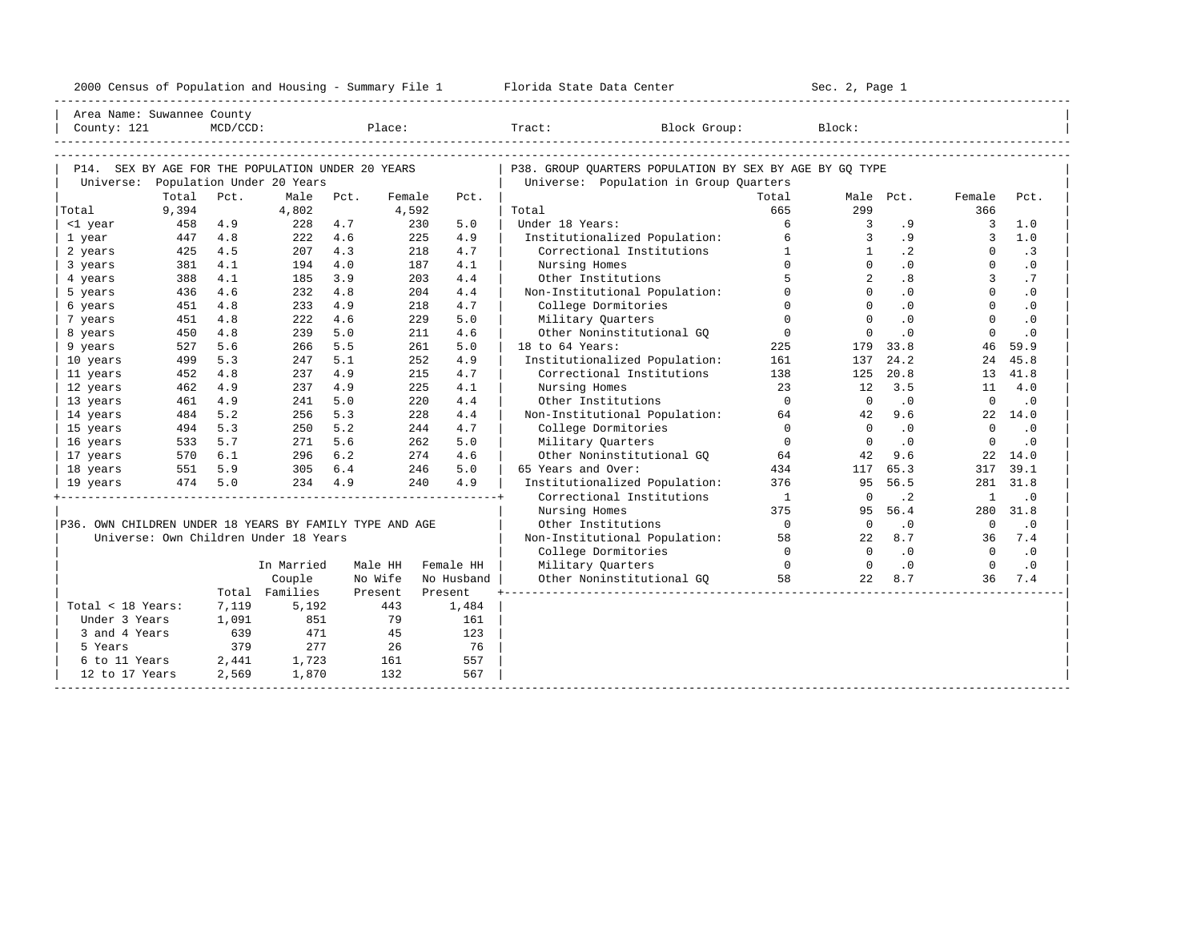| 2000<br>ensus! | and<br>Population | ---<br>Summa:<br>$-$<br>Housing | lorida<br>Data<br>otatt<br>cence. | ، م ج<br>Page<br>$3-1$ |  |
|----------------|-------------------|---------------------------------|-----------------------------------|------------------------|--|
|                |                   |                                 |                                   |                        |  |

| Area Name: Suwannee County                              |         |             |                                       |      |         |            |                                                         |                |                         |           |                |                             |
|---------------------------------------------------------|---------|-------------|---------------------------------------|------|---------|------------|---------------------------------------------------------|----------------|-------------------------|-----------|----------------|-----------------------------|
| County: 121                                             |         | $MCD/CCD$ : |                                       |      | Place:  |            | Tract:<br>Block Group:                                  |                | Block:                  |           |                |                             |
|                                                         |         |             |                                       |      |         |            |                                                         |                |                         |           |                |                             |
| P14. SEX BY AGE FOR THE POPULATION UNDER 20 YEARS       |         |             |                                       |      |         |            | P38. GROUP OUARTERS POPULATION BY SEX BY AGE BY GO TYPE |                |                         |           |                |                             |
| Universe:                                               |         |             | Population Under 20 Years             |      |         |            | Universe: Population in Group Quarters                  |                |                         |           |                |                             |
|                                                         | Total   | Pct.        | Male                                  | Pct. | Female  | Pct.       |                                                         | Total          |                         | Male Pct. | Female         | Pct.                        |
| Total                                                   | 9,394   |             | 4,802                                 |      | 4,592   |            | Total                                                   | 665            | 299                     |           | 366            |                             |
| <1 year                                                 | 458     | 4.9         | 228                                   | 4.7  | 230     | 5.0        | Under 18 Years:                                         | $6^{\circ}$    | $\overline{\mathbf{3}}$ | .9        | 3              | 1.0                         |
| 1 year                                                  | 447     | 4.8         | 222                                   | 4.6  | 225     | 4.9        | Institutionalized Population:                           | 6              | 3                       | .9        | 3              | 1.0                         |
| 2 years                                                 | 425     | 4.5         | 207                                   | 4.3  | 218     | 4.7        | Correctional Institutions                               | 1              | $\mathbf{1}$            | $\cdot$ 2 | $\Omega$       | $\cdot$ 3                   |
| 3 years                                                 | 381     | 4.1         | 194                                   | 4.0  | 187     | 4.1        | Nursing Homes                                           | $\mathbf 0$    | $\Omega$                | .0        | 0              | $\cdot$ 0                   |
| 4 years                                                 | 388     | 4.1         | 185                                   | 3.9  | 203     | 4.4        | Other Institutions                                      | 5              | $\overline{2}$          | .8        | 3              | .7                          |
| 5 years                                                 | 436     | 4.6         | 232                                   | 4.8  | 204     | 4.4        | Non-Institutional Population:                           | $\Omega$       | $\Omega$                | $\cdot$ 0 | $\Omega$       | $\cdot$ 0                   |
| 6 years                                                 | 451     | 4.8         | 233                                   | 4.9  | 218     | 4.7        | College Dormitories                                     | $\Omega$       | $\Omega$                | $\cdot$ 0 | $\Omega$       | $\cdot$ 0                   |
| 7 years                                                 | 451     | 4.8         | 222                                   | 4.6  | 229     | 5.0        | Military Ouarters                                       | $\Omega$       | $\Omega$                | $\cdot$ 0 | $\Omega$       | $\cdot$ 0                   |
| 8 years                                                 | 450     | 4.8         | 239                                   | 5.0  | 211     | 4.6        | Other Noninstitutional GO                               | $\overline{0}$ | $\Omega$                | $\cdot$ 0 | $\Omega$       | $\cdot$ 0                   |
| 9 years                                                 | 527     | 5.6         | 266                                   | 5.5  | 261     | 5.0        | 18 to 64 Years:                                         | 225            | 179                     | 33.8      | 46             | 59.9                        |
| 10 years                                                | 499     | 5.3         | 247                                   | 5.1  | 252     | 4.9        | Institutionalized Population:                           | 161            | 137                     | 24.2      | 24             | 45.8                        |
| 11 years                                                | 452     | 4.8         | 237                                   | 4.9  | 215     | 4.7        | Correctional Institutions                               | 138            | 125                     | 20.8      | 13             | 41.8                        |
| 12 years                                                | 462     | 4.9         | 237                                   | 4.9  | 225     | 4.1        | Nursing Homes                                           | 23             | 12                      | 3.5       | 11             | 4.0                         |
| 13 years                                                | 461     | 4.9         | 241                                   | 5.0  | 220     | 4.4        | Other Institutions                                      | $\Omega$       | $\Omega$                | $\cdot$ 0 | $\overline{0}$ | $\cdot$ 0                   |
| 14 years                                                | 484     | 5.2         | 256                                   | 5.3  | 228     | 4.4        | Non-Institutional Population:                           | 64             | 42                      | 9.6       |                | 22 14.0                     |
| 15 years                                                | 494     | 5.3         | 250                                   | 5.2  | 2.44    | 4.7        | College Dormitories                                     | $\mathbf{0}$   | $\Omega$                | $\cdot$ 0 | $\Omega$       | $\cdot$ 0                   |
| 16 years                                                | 533     | 5.7         | 271                                   | 5.6  | 262     | 5.0        | Military Quarters                                       | $\Omega$       | $\Omega$                | $\cdot$ 0 | $\Omega$       | $\cdot$ 0                   |
| 17 years                                                | 570     | 6.1         | 296                                   | 6.2  | 274     | 4.6        | Other Noninstitutional GO                               | 64             | 42                      | 9.6       | 22             | 14.0                        |
| 18 years                                                | 551     | 5.9         | 305                                   | 6.4  | 246     | 5.0        | 65 Years and Over:                                      | 434            | 117                     | 65.3      | 317            | 39.1                        |
| 19 years                                                | 474 5.0 |             | 234 4.9                               |      | 240     | 4.9        | Institutionalized Population:                           | 376            | 95                      | 56.5      | 281            | 31.8                        |
|                                                         |         |             |                                       |      |         |            | Correctional Institutions                               | $\overline{1}$ | $\Omega$                | $\cdot$ 2 | <sup>1</sup>   | $\cdot$ 0                   |
|                                                         |         |             |                                       |      |         |            | Nursing Homes                                           | 375            | 95                      | 56.4      | 280            | 31.8                        |
| P36. OWN CHILDREN UNDER 18 YEARS BY FAMILY TYPE AND AGE |         |             |                                       |      |         |            | Other Institutions                                      | $\overline{0}$ | $\Omega$                | $\cdot$ 0 | $\overline{0}$ | $\overline{\phantom{0}}$ .0 |
|                                                         |         |             | Universe: Own Children Under 18 Years |      |         |            | Non-Institutional Population:                           | 58             | 22                      | 8.7       | 36             | 7.4                         |
|                                                         |         |             |                                       |      |         |            | College Dormitories                                     | $\Omega$       | $\overline{0}$          | $\cdot$ 0 | $\Omega$       | $\cdot$ 0                   |
|                                                         |         |             | In Married                            |      | Male HH | Female HH  | Military Quarters                                       | $\overline{0}$ | $\Omega$                | $\cdot$ 0 | $\Omega$       | $\cdot$ 0                   |
|                                                         |         |             | Couple                                |      | No Wife | No Husband | Other Noninstitutional GO                               | 58             | 22                      | 8.7       | 36             | 7.4                         |
|                                                         |         |             | Total Families                        |      | Present | Present    |                                                         |                |                         |           |                |                             |
| Total < 18 Years:                                       |         | 7,119       | 5,192                                 |      | 443     | 1,484      |                                                         |                |                         |           |                |                             |
| Under 3 Years                                           |         | 1,091       | 851                                   |      | 79      | 161        |                                                         |                |                         |           |                |                             |
| 3 and 4 Years                                           |         | 639         | 471                                   |      | 45      | 123        |                                                         |                |                         |           |                |                             |
| 5 Years                                                 |         | 379         | 277                                   |      | 26      | 76         |                                                         |                |                         |           |                |                             |
| 6 to 11 Years                                           |         | 2,441       | 1,723                                 |      | 161     | 557        |                                                         |                |                         |           |                |                             |
| 12 to 17 Years                                          |         | 2,569       | 1,870                                 |      | 132     | 567        |                                                         |                |                         |           |                |                             |
|                                                         |         |             |                                       |      |         |            |                                                         |                |                         |           |                |                             |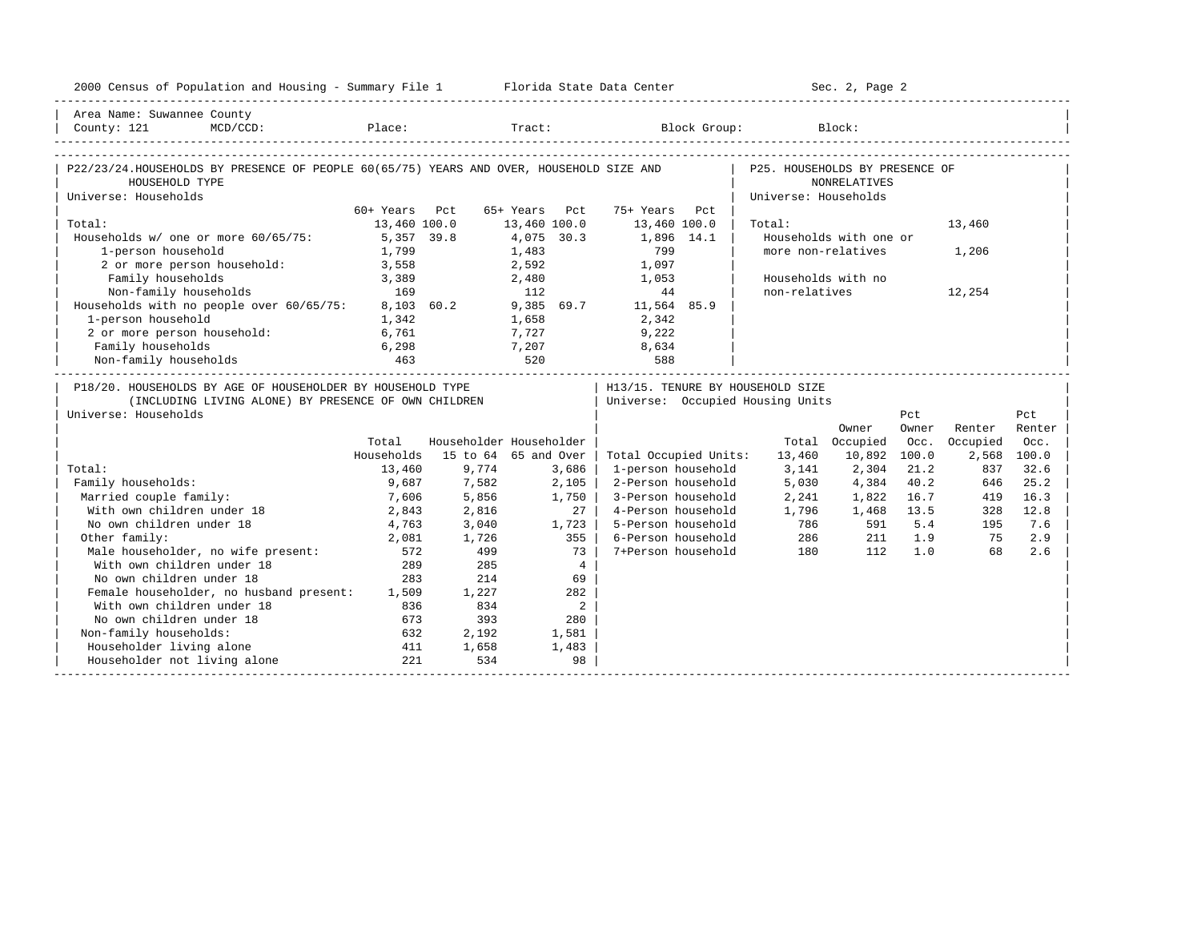| 2000 Census of Population and Housing - Summary File 1 Florida State Data Center                                                           |               |                                             |                            |                                       |                      | Sec. 2, Page 2         |       |          |             |
|--------------------------------------------------------------------------------------------------------------------------------------------|---------------|---------------------------------------------|----------------------------|---------------------------------------|----------------------|------------------------|-------|----------|-------------|
| Area Name: Suwannee County                                                                                                                 |               |                                             |                            |                                       |                      |                        |       |          |             |
| County: 121<br>$MCD / CCD$ :                                                                                                               |               | Place: Tract:                               |                            |                                       | Block Group: Block:  |                        |       |          |             |
|                                                                                                                                            |               |                                             |                            |                                       |                      |                        |       |          |             |
| P22/23/24.HOUSEHOLDS BY PRESENCE OF PEOPLE 60(65/75) YEARS AND OVER, HOUSEHOLD SIZE AND   P25. HOUSEHOLDS BY PRESENCE OF<br>HOUSEHOLD TYPE |               |                                             |                            |                                       |                      | NONRELATIVES           |       |          |             |
| Universe: Households                                                                                                                       |               |                                             |                            |                                       | Universe: Households |                        |       |          |             |
|                                                                                                                                            | 60+ Years Pct |                                             | 65+ Years Pct              | 75+ Years Pct                         |                      |                        |       |          |             |
| Total:                                                                                                                                     | 13,460 100.0  |                                             | 13,460 100.0               | 13,460 100.0                          | Total:               |                        |       | 13,460   |             |
| Households w/ one or more 60/65/75: 5,357 39.8                                                                                             |               |                                             | 4,075 30.3                 | 1,896 14.1                            |                      | Households with one or |       |          |             |
| 1-person household                                                                                                                         | 1,799         |                                             | 1,483                      | 799                                   |                      | more non-relatives     |       | 1,206    |             |
| 2 or more person household:                                                                                                                | 3,558         |                                             | 2,592                      | 1,097                                 |                      |                        |       |          |             |
| Family households                                                                                                                          | 3,389         |                                             | 2,480                      | 1,053                                 |                      | Households with no     |       |          |             |
| Non-family households<br>Non-family households 169<br>Households with no people over 60/65/75: 8,103 60.2                                  | 169           |                                             | 112                        | 44                                    | non-relatives        |                        |       | 12,254   |             |
|                                                                                                                                            |               |                                             |                            | 9,385 69.7 11,564 85.9                |                      |                        |       |          |             |
| 1-person household                                                                                                                         | 1,342         |                                             | 1,658                      | 2,342                                 |                      |                        |       |          |             |
| 2 or more person household: 6,761                                                                                                          |               |                                             | 7,727                      | 9,222                                 |                      |                        |       |          |             |
| Family households                                                                                                                          | 6,298         |                                             |                            | 8,634                                 |                      |                        |       |          |             |
| Non-family households                                                                                                                      | 463           | $\begin{array}{c} 7,207 \\ 520 \end{array}$ |                            | 588                                   |                      |                        |       |          |             |
| P18/20. HOUSEHOLDS BY AGE OF HOUSEHOLDER BY HOUSEHOLD TYPE                                                                                 |               |                                             |                            | H13/15. TENURE BY HOUSEHOLD SIZE      |                      |                        |       |          |             |
| (INCLUDING LIVING ALONE) BY PRESENCE OF OWN CHILDREN                                                                                       |               |                                             |                            | Universe: Occupied Housing Units      |                      |                        |       |          |             |
| Universe: Households                                                                                                                       |               |                                             |                            |                                       |                      |                        | Pct   |          | Pct         |
|                                                                                                                                            |               |                                             |                            |                                       |                      | Owner                  | Owner | Renter   | Renter      |
|                                                                                                                                            | Total         |                                             | Householder Householder    |                                       |                      | Total Occupied         | Occ.  | Occupied | Occ.        |
|                                                                                                                                            | Households    |                                             | 15 to 64 65 and Over       | Total Occupied Units:                 | 13,460               | 10,892                 | 100.0 |          | 2,568 100.0 |
| Total:                                                                                                                                     | 13,460        | 9,774                                       | 3,686                      | 1-person household                    | 3,141                | 2,304                  | 21.2  | 837      | 32.6        |
| Family households:                                                                                                                         | 9,687         | 7,582                                       | 2,105                      | 2-Person household                    | 5,030                | 4,384                  | 40.2  | 646      | 25.2        |
| Married couple family:                                                                                                                     | 7,606         | 5,856                                       | 1,750                      | 3-Person household                    | 2,241                | 1,822                  | 16.7  | 419      | 16.3        |
| With own children under 18                                                                                                                 | 2,843         | 2,816                                       |                            | 4-Person household<br>27 <sub>1</sub> | 1,796                | 1,468                  | 13.5  | 328      | 12.8        |
| No own children under 18                                                                                                                   | 4,763         | 3,040                                       | 1,723                      | 5-Person household                    | 786                  | 591                    | 5.4   | 195      | 7.6         |
| Other family:                                                                                                                              | 2,081         | 1,726                                       | 355                        | 6-Person household                    | 286                  | 211                    | 1.9   | 75       | 2.9         |
| Male householder, no wife present:                                                                                                         | 572           | 499                                         | 73                         | 7+Person household                    | 180                  | 112                    | 1.0   | 68       | 2.6         |
| With own children under 18                                                                                                                 | 289           | 285                                         |                            | $\overline{4}$                        |                      |                        |       |          |             |
| No own children under 18                                                                                                                   | 283           | 214                                         | 69                         |                                       |                      |                        |       |          |             |
| Female householder, no husband present: 1,509                                                                                              |               | 1,227                                       | 282                        |                                       |                      |                        |       |          |             |
| With own children under 18                                                                                                                 | 836           | 834                                         | $\overline{\phantom{a}}^2$ |                                       |                      |                        |       |          |             |
| No own children under 18                                                                                                                   | 673           | 393                                         | 280                        |                                       |                      |                        |       |          |             |
| Non-family households:                                                                                                                     | 632           | 2,192                                       | 1,581                      |                                       |                      |                        |       |          |             |
| Householder living alone                                                                                                                   | 411           | 1,658                                       | 1,483                      |                                       |                      |                        |       |          |             |
| Householder not living alone                                                                                                               | 221           | 534                                         | 98                         |                                       |                      |                        |       |          |             |
|                                                                                                                                            |               |                                             |                            |                                       |                      |                        |       |          |             |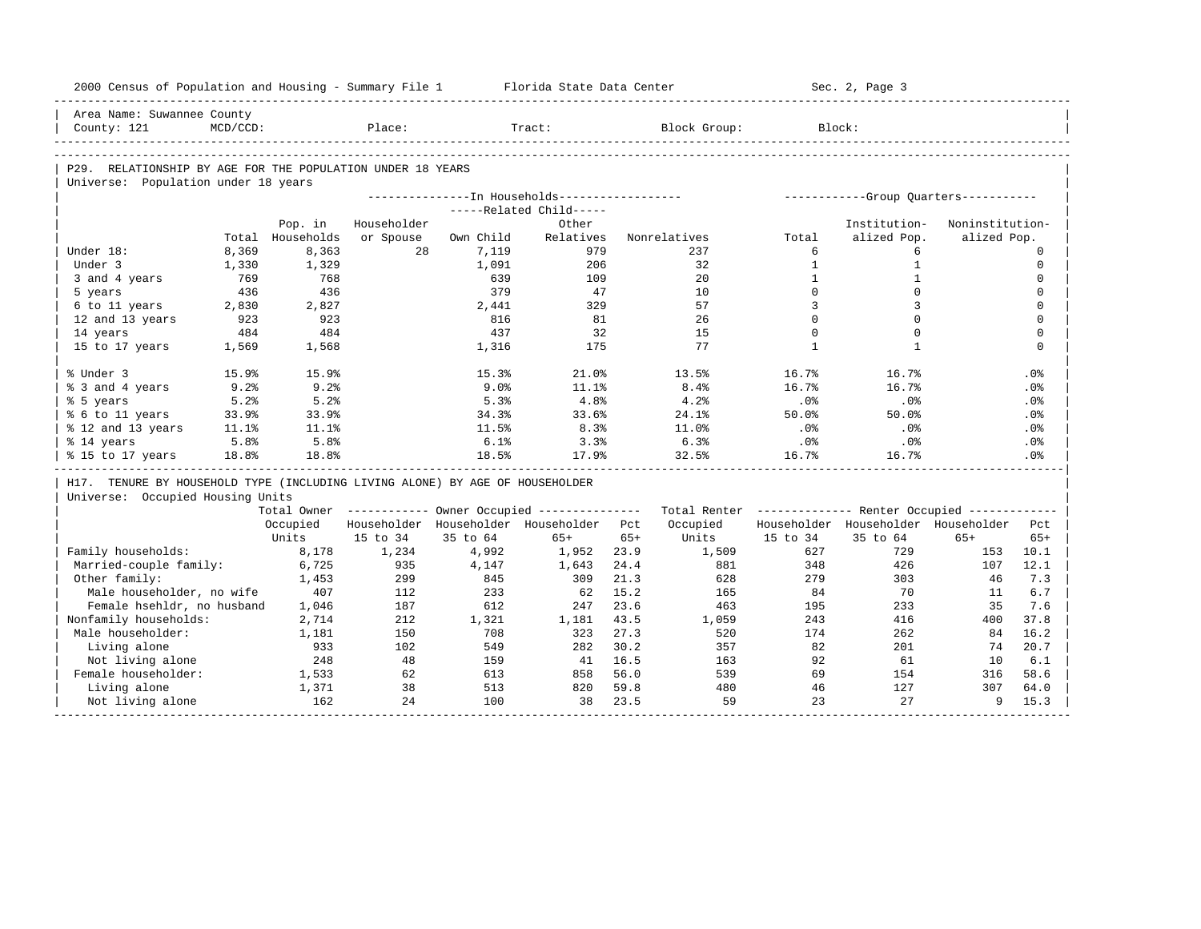| 2000 Census of Population and Housing - Summary File 1 Florida State Data Center |             |                             |                                                        |           |                                               |       |                                                         |                | Sec. 2, Page 3                        |                 |              |
|----------------------------------------------------------------------------------|-------------|-----------------------------|--------------------------------------------------------|-----------|-----------------------------------------------|-------|---------------------------------------------------------|----------------|---------------------------------------|-----------------|--------------|
| Area Name: Suwannee County                                                       |             |                             |                                                        |           |                                               |       |                                                         |                |                                       |                 |              |
| County: 121                                                                      | $MCD/CCD$ : |                             | Place:                                                 |           | Tract:                                        |       | Block Group:                                            |                | Block:                                |                 |              |
|                                                                                  |             |                             |                                                        |           |                                               |       |                                                         |                |                                       |                 |              |
| P29. RELATIONSHIP BY AGE FOR THE POPULATION UNDER 18 YEARS                       |             |                             |                                                        |           |                                               |       |                                                         |                |                                       |                 |              |
| Universe: Population under 18 years                                              |             |                             |                                                        |           |                                               |       |                                                         |                |                                       |                 |              |
|                                                                                  |             |                             |                                                        |           | ---------------In Households----------------- |       |                                                         |                | ------------Group Quarters----------- |                 |              |
|                                                                                  |             |                             | Householder                                            |           | -----Related Child-----                       |       |                                                         |                | Institution-                          | Noninstitution- |              |
|                                                                                  |             | Pop. in<br>Total Households | or Spouse                                              | Own Child | Other<br>Relatives                            |       | Nonrelatives                                            | Total          | alized Pop.                           | alized Pop.     |              |
| Under 18:                                                                        | 8,369       | 8,363                       | 2.8                                                    | 7,119     | 979                                           |       | 237                                                     | 6              | 6                                     |                 | $\Omega$     |
| Under 3                                                                          | 1,330       | 1,329                       |                                                        | 1,091     | 206                                           |       | 32                                                      | $\mathbf{1}$   | $\mathbf{1}$                          |                 | $\mathbf{0}$ |
| 3 and 4 years                                                                    | 769         | 768                         |                                                        | 639       | 109                                           |       | 20                                                      | $\mathbf{1}$   | $\mathbf{1}$                          |                 | $\mathbf 0$  |
| 5 years                                                                          | 436         | 436                         |                                                        | 379       | 47                                            |       | 10                                                      | $\Omega$       | $\Omega$                              |                 | $\mathbf 0$  |
| 6 to 11 years                                                                    | 2,830       | 2,827                       |                                                        | 2,441     | 329                                           |       | 57                                                      | $\overline{3}$ | 3                                     |                 | $\mathbf 0$  |
| 12 and 13 years                                                                  | 923         | 923                         |                                                        | 816       | 81                                            |       | 2.6                                                     | $\Omega$       | $\Omega$                              |                 | $\Omega$     |
| 14 years                                                                         | 484         | 484                         |                                                        | 437       | 32                                            |       | 15                                                      | $\Omega$       | $\Omega$                              |                 | $\mathbf{0}$ |
| 15 to 17 years                                                                   | 1,569       | 1,568                       |                                                        | 1,316     | 175                                           |       | 77                                                      | $\mathbf{1}$   | $\mathbf{1}$                          |                 | $\Omega$     |
|                                                                                  |             |                             |                                                        |           |                                               |       |                                                         |                |                                       |                 |              |
| % Under 3                                                                        | 15.9%       | 15.9%                       |                                                        | 15.3%     | 21.0%                                         |       | 13.5%                                                   | 16.7%          | 16.7%                                 |                 | .0%          |
| % 3 and 4 years                                                                  | 9.2%        | 9.2%                        |                                                        | 9.0%      | 11.1%                                         |       | 8.4%                                                    | 16.7%          | 16.7%                                 |                 | .0%          |
| % 5 years                                                                        | 5.2%        | 5.2%                        |                                                        | 5.3%      | 4.8%                                          |       | 4.2%                                                    | .0%            | .0%                                   |                 | .0%          |
| % 6 to 11 years                                                                  | 33.9%       | 33.9%                       |                                                        | 34.3%     | 33.6%                                         |       | 24.1%                                                   | 50.0%          | 50.0%                                 |                 | .0%          |
| % 12 and 13 years                                                                | 11.1%       | 11.1%                       |                                                        | 11.5%     | 8.3%                                          |       | 11.0%                                                   | .0%            | .0%                                   |                 | .0%          |
| % 14 years                                                                       | 5.8%        | 5.8%                        |                                                        | 6.1%      | 3.3%                                          |       | 6.3%                                                    | .0%            | .0%                                   |                 | .0%          |
| % 15 to 17 years                                                                 | 18.8%       | 18.8%                       |                                                        | 18.5%     | 17.9%                                         |       | 32.5%                                                   | 16.7%          | 16.7%                                 |                 | .0%          |
|                                                                                  |             |                             |                                                        |           |                                               |       |                                                         |                |                                       |                 |              |
| H17. TENURE BY HOUSEHOLD TYPE (INCLUDING LIVING ALONE) BY AGE OF HOUSEHOLDER     |             |                             |                                                        |           |                                               |       |                                                         |                |                                       |                 |              |
| Universe: Occupied Housing Units                                                 |             |                             |                                                        |           |                                               |       |                                                         |                |                                       |                 |              |
|                                                                                  |             |                             | Total Owner ------------ Owner Occupied -------------- |           |                                               |       | Total Renter ------------- Renter Occupied ------------ |                |                                       |                 |              |
|                                                                                  |             | Occupied                    |                                                        |           | Householder Householder Householder Pct       |       | Occupied                                                |                | Householder Householder Householder   |                 | Pct.         |
|                                                                                  |             | Units                       | 15 to 34                                               | 35 to 64  | $65+$                                         | $65+$ | Units                                                   | 15 to 34       | 35 to 64                              | $65+$           | $65+$        |
| Family households:                                                               |             | 8,178                       | 1,234                                                  | 4,992     | 1,952                                         | 23.9  | 1,509                                                   | 627            | 729                                   | 153             | 10.1         |
| Married-couple family:                                                           |             | 6,725                       | 935                                                    | 4,147     | 1,643                                         | 24.4  | 881                                                     | 348            | 426                                   | 107             | 12.1         |
| Other family:                                                                    |             | 1,453                       | 299                                                    | 845       | 309                                           | 21.3  | 628                                                     | 279            | 303                                   | 46              | 7.3          |
| Male householder, no wife                                                        |             | 407                         | 112                                                    | 233       | 62                                            | 15.2  | 165                                                     | 84             | 70                                    | 11              | 6.7          |
| Female hsehldr, no husband                                                       |             | 1,046                       | 187                                                    | 612       | 247                                           | 23.6  | 463                                                     | 195            | 233                                   | 35              | 7.6          |
| Nonfamily households:                                                            |             | 2,714                       | 212                                                    | 1,321     | 1,181                                         | 43.5  | 1,059                                                   | 243            | 416                                   | 400             | 37.8         |
| Male householder:                                                                |             | 1,181                       | 150                                                    | 708       | 323                                           | 27.3  | 520                                                     | 174            | 262                                   | 84              | 16.2         |
| Living alone                                                                     |             | 933                         | 102                                                    | 549       | 282                                           | 30.2  | 357                                                     | 82             | 201                                   | 74              | 20.7         |
| Not living alone                                                                 |             | 248                         | 48                                                     | 159       | 41                                            | 16.5  | 163                                                     | 92             | 61                                    | 10              | 6.1          |
| Female householder:                                                              |             | 1,533                       | 62                                                     | 613       | 858                                           | 56.0  | 539                                                     | 69             | 154                                   | 316             | 58.6         |
| Living alone                                                                     |             | 1,371                       | 38                                                     | 513       | 820                                           | 59.8  | 480                                                     | 46             | 127                                   | 307             | 64.0         |
| Not living alone                                                                 |             | 162                         | 24                                                     | 100       | 38                                            | 23.5  | 59                                                      | 23             | 27                                    | 9               | 15.3         |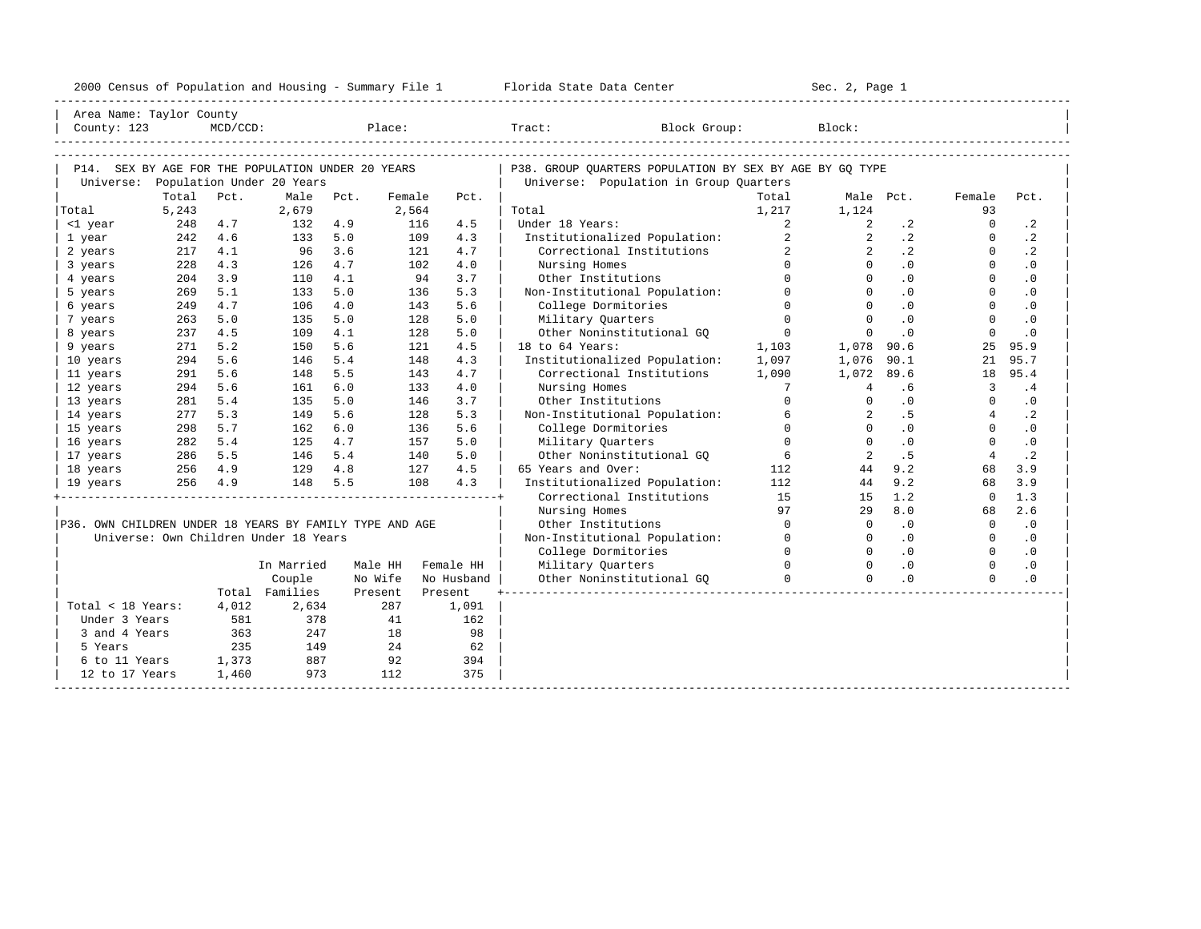| Area Name: Taylor County<br>P14. SEX BY AGE FOR THE POPULATION UNDER 20 YEARS<br>P38. GROUP OUARTERS POPULATION BY SEX BY AGE BY GO TYPE<br>Universe: Population Under 20 Years<br>Universe: Population in Group Quarters<br>Total<br>Pct.<br>Male<br>Pct.<br>Female<br>Pct.<br>Total<br>Male Pct.<br>Female<br>Pct.<br>5,243<br>2,679<br>2,564<br>1,217<br>Total<br>Total<br>1,124<br>93<br>248<br>4.7<br>116<br>$\overline{a}$<br>$\overline{a}$<br>$\cdot$ 2<br>$\circ$<br>$\cdot$ 2<br><1 year<br>132 4.9<br>4.5<br>Under 18 Years:<br>$\overline{2}$<br>$\cdot$ 2<br>4.6<br>5.0<br>4.3<br>Institutionalized Population:<br>$\overline{2}$<br>$\cdot$ 2<br>$\Omega$<br>242<br>133<br>109<br>1 year<br>$\overline{a}$<br>$\overline{2}$<br>$\cdot$ 2<br>$\cdot$ 2<br>4.1<br>3.6<br>4.7<br>Correctional Institutions<br>$\Omega$<br>2 years<br>217<br>96<br>121<br>4.3<br>4.7<br>4.0<br>$\Omega$<br>$\Omega$<br>.0<br>$\Omega$<br>$\cdot$ 0<br>228<br>126<br>102<br>Nursing Homes<br>3 years<br>$\Omega$<br>$\Omega$<br>$\Omega$<br>204<br>3.9<br>4.1<br>3.7<br>Other Institutions<br>.0<br>$\cdot$ 0<br>110<br>94<br>4 years<br>5.1<br>5.0<br>$\Omega$<br>$\cdot$ 0<br>$\mathbf{0}$<br>$\cdot$ 0<br>5 years<br>269<br>133<br>136<br>5.3<br>Non-Institutional Population:<br>$\mathbf{0}$<br>4.7<br>4.0<br>$\Omega$<br>$\Omega$<br>$\cdot$ 0<br>$\Omega$<br>$\cdot$ 0<br>6 years<br>249<br>106<br>143<br>5.6<br>College Dormitories<br>$\Omega$<br>$\Omega$<br>$\cdot$ 0<br>$\Omega$<br>263<br>5.0<br>135<br>5.0<br>128<br>5.0<br>Military Quarters<br>$\cdot$ 0<br>7 years<br>4.5<br>4.1<br>Other Noninstitutional GO<br>$\circ$<br>$\cdot$ 0<br>$\mathbf 0$<br>$\cdot$ 0<br>8 years<br>237<br>109<br>128<br>5.0<br>$\mathbf{0}$<br>18 to 64 Years:<br>271<br>5.2<br>5.6<br>121<br>4.5<br>1,103<br>1,078<br>25<br>95.9<br>9 years<br>150<br>90.6<br>5.6<br>5.4<br>Institutionalized Population:<br>1,097<br>90.1<br>95.7<br>294<br>146<br>148<br>4.3<br>1,076<br>21<br>10 years<br>1,090<br>95.4<br>5.6<br>5.5<br>4.7<br>Correctional Institutions<br>1,072<br>89.6<br>11 years<br>291<br>148<br>143<br>18<br>294<br>.4<br>12 years<br>5.6<br>6.0<br>133<br>4.0<br>Nursing Homes<br>$7\overline{ }$<br>$\overline{4}$<br>.6<br>$\overline{3}$<br>161<br>$\Omega$<br>5.4<br>5.0<br>3.7<br>Other Institutions<br>.0<br>$\cdot$ 0<br>13 years<br>281<br>135<br>146<br>$\Omega$<br>$\Omega$<br>5.3<br>5.6<br>5.3<br>$\overline{a}$<br>.5<br>$\cdot$ 2<br>277<br>128<br>Non-Institutional Population:<br>6<br>$\overline{4}$<br>14 years<br>149<br>298<br>5.7<br>6.0<br>5.6<br>$\Omega$<br>$\Omega$<br>.0<br>$\Omega$<br>$\cdot$ 0<br>15 years<br>162<br>136<br>College Dormitories<br>$\Omega$<br>$\Omega$<br>5.4<br>4.7<br>$\cdot$ 0<br>$\Omega$<br>$\cdot$ 0<br>16 years<br>282<br>125<br>157<br>5.0<br>Military Quarters<br>6<br>$\overline{a}$<br>.5<br>$\cdot$ 2<br>286 5.5<br>5.4<br>Other Noninstitutional GO<br>$\overline{4}$<br>17 years<br>146<br>140<br>5.0<br>256 4.9<br>129<br>4.8<br>127<br>4.5<br>65 Years and Over:<br>112<br>44<br>9.2<br>68<br>3.9<br>18 years<br>256 4.9<br>5.5<br>108<br>4.3<br>112<br>9.2<br>68<br>3.9<br>148<br>Institutionalized Population:<br>44<br>19 years<br>15<br>1.2<br>$\Omega$<br>1.3<br>Correctional Institutions<br>15<br>97<br>8.0<br>2.6<br>Nursing Homes<br>29<br>68<br>$\Omega$<br>.0<br>$\cdot$ 0<br>P36. OWN CHILDREN UNDER 18 YEARS BY FAMILY TYPE AND AGE<br>$\overline{0}$<br>$\mathbf{0}$<br>Other Institutions<br>Universe: Own Children Under 18 Years<br>$\Omega$<br>$\cdot$ 0<br>$\Omega$<br>$\cdot$ 0<br>Non-Institutional Population:<br>$\Omega$<br>College Dormitories<br>$\cdot$ 0<br>$\Omega$<br>$\cdot$ 0<br>$\Omega$<br>$\Omega$<br>$\Omega$<br>$\Omega$<br>$\cdot$ 0<br>$\Omega$<br>$\cdot$ 0<br>In Married<br>Military Quarters<br>Male HH<br>Female HH<br>$\Omega$<br>$\Omega$<br>Couple<br>No Wife<br>.0<br>$\Omega$<br>$\cdot$ 0<br>No Husband  <br>Other Noninstitutional GO<br>Total Families<br>-------------------------------<br>Present<br>Present<br>Total < 18 Years:<br>4,012<br>2,634<br>287<br>1,091<br>378<br>Under 3 Years<br>581<br>41<br>162<br>363<br>247<br>98<br>3 and 4 Years<br>18<br>235<br>149<br>24<br>62<br>5 Years<br>1,373<br>887<br>92<br>6 to 11 Years<br>394<br>973<br>1,460<br>112<br>375<br>12 to 17 Years | 2000 Census of Population and Housing - Summary File 1 Florida State Data Center |  |  |  |  |  |  |  | Sec. 2, Page 1 |  |  |
|------------------------------------------------------------------------------------------------------------------------------------------------------------------------------------------------------------------------------------------------------------------------------------------------------------------------------------------------------------------------------------------------------------------------------------------------------------------------------------------------------------------------------------------------------------------------------------------------------------------------------------------------------------------------------------------------------------------------------------------------------------------------------------------------------------------------------------------------------------------------------------------------------------------------------------------------------------------------------------------------------------------------------------------------------------------------------------------------------------------------------------------------------------------------------------------------------------------------------------------------------------------------------------------------------------------------------------------------------------------------------------------------------------------------------------------------------------------------------------------------------------------------------------------------------------------------------------------------------------------------------------------------------------------------------------------------------------------------------------------------------------------------------------------------------------------------------------------------------------------------------------------------------------------------------------------------------------------------------------------------------------------------------------------------------------------------------------------------------------------------------------------------------------------------------------------------------------------------------------------------------------------------------------------------------------------------------------------------------------------------------------------------------------------------------------------------------------------------------------------------------------------------------------------------------------------------------------------------------------------------------------------------------------------------------------------------------------------------------------------------------------------------------------------------------------------------------------------------------------------------------------------------------------------------------------------------------------------------------------------------------------------------------------------------------------------------------------------------------------------------------------------------------------------------------------------------------------------------------------------------------------------------------------------------------------------------------------------------------------------------------------------------------------------------------------------------------------------------------------------------------------------------------------------------------------------------------------------------------------------------------------------------------------------------------------------------------------------------------------------------------------------------------------------------------------------------------------------------------------------------------------------------------------------------------------------------------------------------------------------------------------------------------------------------------------------------------------------------------------------------------------------------------------------------------------------------------------------------------------------------------------------------------------------------------------------------|----------------------------------------------------------------------------------|--|--|--|--|--|--|--|----------------|--|--|
|                                                                                                                                                                                                                                                                                                                                                                                                                                                                                                                                                                                                                                                                                                                                                                                                                                                                                                                                                                                                                                                                                                                                                                                                                                                                                                                                                                                                                                                                                                                                                                                                                                                                                                                                                                                                                                                                                                                                                                                                                                                                                                                                                                                                                                                                                                                                                                                                                                                                                                                                                                                                                                                                                                                                                                                                                                                                                                                                                                                                                                                                                                                                                                                                                                                                                                                                                                                                                                                                                                                                                                                                                                                                                                                                                                                                                                                                                                                                                                                                                                                                                                                                                                                                                                                                                                                        |                                                                                  |  |  |  |  |  |  |  |                |  |  |
|                                                                                                                                                                                                                                                                                                                                                                                                                                                                                                                                                                                                                                                                                                                                                                                                                                                                                                                                                                                                                                                                                                                                                                                                                                                                                                                                                                                                                                                                                                                                                                                                                                                                                                                                                                                                                                                                                                                                                                                                                                                                                                                                                                                                                                                                                                                                                                                                                                                                                                                                                                                                                                                                                                                                                                                                                                                                                                                                                                                                                                                                                                                                                                                                                                                                                                                                                                                                                                                                                                                                                                                                                                                                                                                                                                                                                                                                                                                                                                                                                                                                                                                                                                                                                                                                                                                        |                                                                                  |  |  |  |  |  |  |  |                |  |  |
|                                                                                                                                                                                                                                                                                                                                                                                                                                                                                                                                                                                                                                                                                                                                                                                                                                                                                                                                                                                                                                                                                                                                                                                                                                                                                                                                                                                                                                                                                                                                                                                                                                                                                                                                                                                                                                                                                                                                                                                                                                                                                                                                                                                                                                                                                                                                                                                                                                                                                                                                                                                                                                                                                                                                                                                                                                                                                                                                                                                                                                                                                                                                                                                                                                                                                                                                                                                                                                                                                                                                                                                                                                                                                                                                                                                                                                                                                                                                                                                                                                                                                                                                                                                                                                                                                                                        |                                                                                  |  |  |  |  |  |  |  |                |  |  |
|                                                                                                                                                                                                                                                                                                                                                                                                                                                                                                                                                                                                                                                                                                                                                                                                                                                                                                                                                                                                                                                                                                                                                                                                                                                                                                                                                                                                                                                                                                                                                                                                                                                                                                                                                                                                                                                                                                                                                                                                                                                                                                                                                                                                                                                                                                                                                                                                                                                                                                                                                                                                                                                                                                                                                                                                                                                                                                                                                                                                                                                                                                                                                                                                                                                                                                                                                                                                                                                                                                                                                                                                                                                                                                                                                                                                                                                                                                                                                                                                                                                                                                                                                                                                                                                                                                                        |                                                                                  |  |  |  |  |  |  |  |                |  |  |
|                                                                                                                                                                                                                                                                                                                                                                                                                                                                                                                                                                                                                                                                                                                                                                                                                                                                                                                                                                                                                                                                                                                                                                                                                                                                                                                                                                                                                                                                                                                                                                                                                                                                                                                                                                                                                                                                                                                                                                                                                                                                                                                                                                                                                                                                                                                                                                                                                                                                                                                                                                                                                                                                                                                                                                                                                                                                                                                                                                                                                                                                                                                                                                                                                                                                                                                                                                                                                                                                                                                                                                                                                                                                                                                                                                                                                                                                                                                                                                                                                                                                                                                                                                                                                                                                                                                        |                                                                                  |  |  |  |  |  |  |  |                |  |  |
|                                                                                                                                                                                                                                                                                                                                                                                                                                                                                                                                                                                                                                                                                                                                                                                                                                                                                                                                                                                                                                                                                                                                                                                                                                                                                                                                                                                                                                                                                                                                                                                                                                                                                                                                                                                                                                                                                                                                                                                                                                                                                                                                                                                                                                                                                                                                                                                                                                                                                                                                                                                                                                                                                                                                                                                                                                                                                                                                                                                                                                                                                                                                                                                                                                                                                                                                                                                                                                                                                                                                                                                                                                                                                                                                                                                                                                                                                                                                                                                                                                                                                                                                                                                                                                                                                                                        |                                                                                  |  |  |  |  |  |  |  |                |  |  |
|                                                                                                                                                                                                                                                                                                                                                                                                                                                                                                                                                                                                                                                                                                                                                                                                                                                                                                                                                                                                                                                                                                                                                                                                                                                                                                                                                                                                                                                                                                                                                                                                                                                                                                                                                                                                                                                                                                                                                                                                                                                                                                                                                                                                                                                                                                                                                                                                                                                                                                                                                                                                                                                                                                                                                                                                                                                                                                                                                                                                                                                                                                                                                                                                                                                                                                                                                                                                                                                                                                                                                                                                                                                                                                                                                                                                                                                                                                                                                                                                                                                                                                                                                                                                                                                                                                                        |                                                                                  |  |  |  |  |  |  |  |                |  |  |
|                                                                                                                                                                                                                                                                                                                                                                                                                                                                                                                                                                                                                                                                                                                                                                                                                                                                                                                                                                                                                                                                                                                                                                                                                                                                                                                                                                                                                                                                                                                                                                                                                                                                                                                                                                                                                                                                                                                                                                                                                                                                                                                                                                                                                                                                                                                                                                                                                                                                                                                                                                                                                                                                                                                                                                                                                                                                                                                                                                                                                                                                                                                                                                                                                                                                                                                                                                                                                                                                                                                                                                                                                                                                                                                                                                                                                                                                                                                                                                                                                                                                                                                                                                                                                                                                                                                        |                                                                                  |  |  |  |  |  |  |  |                |  |  |
|                                                                                                                                                                                                                                                                                                                                                                                                                                                                                                                                                                                                                                                                                                                                                                                                                                                                                                                                                                                                                                                                                                                                                                                                                                                                                                                                                                                                                                                                                                                                                                                                                                                                                                                                                                                                                                                                                                                                                                                                                                                                                                                                                                                                                                                                                                                                                                                                                                                                                                                                                                                                                                                                                                                                                                                                                                                                                                                                                                                                                                                                                                                                                                                                                                                                                                                                                                                                                                                                                                                                                                                                                                                                                                                                                                                                                                                                                                                                                                                                                                                                                                                                                                                                                                                                                                                        |                                                                                  |  |  |  |  |  |  |  |                |  |  |
|                                                                                                                                                                                                                                                                                                                                                                                                                                                                                                                                                                                                                                                                                                                                                                                                                                                                                                                                                                                                                                                                                                                                                                                                                                                                                                                                                                                                                                                                                                                                                                                                                                                                                                                                                                                                                                                                                                                                                                                                                                                                                                                                                                                                                                                                                                                                                                                                                                                                                                                                                                                                                                                                                                                                                                                                                                                                                                                                                                                                                                                                                                                                                                                                                                                                                                                                                                                                                                                                                                                                                                                                                                                                                                                                                                                                                                                                                                                                                                                                                                                                                                                                                                                                                                                                                                                        |                                                                                  |  |  |  |  |  |  |  |                |  |  |
|                                                                                                                                                                                                                                                                                                                                                                                                                                                                                                                                                                                                                                                                                                                                                                                                                                                                                                                                                                                                                                                                                                                                                                                                                                                                                                                                                                                                                                                                                                                                                                                                                                                                                                                                                                                                                                                                                                                                                                                                                                                                                                                                                                                                                                                                                                                                                                                                                                                                                                                                                                                                                                                                                                                                                                                                                                                                                                                                                                                                                                                                                                                                                                                                                                                                                                                                                                                                                                                                                                                                                                                                                                                                                                                                                                                                                                                                                                                                                                                                                                                                                                                                                                                                                                                                                                                        |                                                                                  |  |  |  |  |  |  |  |                |  |  |
|                                                                                                                                                                                                                                                                                                                                                                                                                                                                                                                                                                                                                                                                                                                                                                                                                                                                                                                                                                                                                                                                                                                                                                                                                                                                                                                                                                                                                                                                                                                                                                                                                                                                                                                                                                                                                                                                                                                                                                                                                                                                                                                                                                                                                                                                                                                                                                                                                                                                                                                                                                                                                                                                                                                                                                                                                                                                                                                                                                                                                                                                                                                                                                                                                                                                                                                                                                                                                                                                                                                                                                                                                                                                                                                                                                                                                                                                                                                                                                                                                                                                                                                                                                                                                                                                                                                        |                                                                                  |  |  |  |  |  |  |  |                |  |  |
|                                                                                                                                                                                                                                                                                                                                                                                                                                                                                                                                                                                                                                                                                                                                                                                                                                                                                                                                                                                                                                                                                                                                                                                                                                                                                                                                                                                                                                                                                                                                                                                                                                                                                                                                                                                                                                                                                                                                                                                                                                                                                                                                                                                                                                                                                                                                                                                                                                                                                                                                                                                                                                                                                                                                                                                                                                                                                                                                                                                                                                                                                                                                                                                                                                                                                                                                                                                                                                                                                                                                                                                                                                                                                                                                                                                                                                                                                                                                                                                                                                                                                                                                                                                                                                                                                                                        |                                                                                  |  |  |  |  |  |  |  |                |  |  |
|                                                                                                                                                                                                                                                                                                                                                                                                                                                                                                                                                                                                                                                                                                                                                                                                                                                                                                                                                                                                                                                                                                                                                                                                                                                                                                                                                                                                                                                                                                                                                                                                                                                                                                                                                                                                                                                                                                                                                                                                                                                                                                                                                                                                                                                                                                                                                                                                                                                                                                                                                                                                                                                                                                                                                                                                                                                                                                                                                                                                                                                                                                                                                                                                                                                                                                                                                                                                                                                                                                                                                                                                                                                                                                                                                                                                                                                                                                                                                                                                                                                                                                                                                                                                                                                                                                                        |                                                                                  |  |  |  |  |  |  |  |                |  |  |
|                                                                                                                                                                                                                                                                                                                                                                                                                                                                                                                                                                                                                                                                                                                                                                                                                                                                                                                                                                                                                                                                                                                                                                                                                                                                                                                                                                                                                                                                                                                                                                                                                                                                                                                                                                                                                                                                                                                                                                                                                                                                                                                                                                                                                                                                                                                                                                                                                                                                                                                                                                                                                                                                                                                                                                                                                                                                                                                                                                                                                                                                                                                                                                                                                                                                                                                                                                                                                                                                                                                                                                                                                                                                                                                                                                                                                                                                                                                                                                                                                                                                                                                                                                                                                                                                                                                        |                                                                                  |  |  |  |  |  |  |  |                |  |  |
|                                                                                                                                                                                                                                                                                                                                                                                                                                                                                                                                                                                                                                                                                                                                                                                                                                                                                                                                                                                                                                                                                                                                                                                                                                                                                                                                                                                                                                                                                                                                                                                                                                                                                                                                                                                                                                                                                                                                                                                                                                                                                                                                                                                                                                                                                                                                                                                                                                                                                                                                                                                                                                                                                                                                                                                                                                                                                                                                                                                                                                                                                                                                                                                                                                                                                                                                                                                                                                                                                                                                                                                                                                                                                                                                                                                                                                                                                                                                                                                                                                                                                                                                                                                                                                                                                                                        |                                                                                  |  |  |  |  |  |  |  |                |  |  |
|                                                                                                                                                                                                                                                                                                                                                                                                                                                                                                                                                                                                                                                                                                                                                                                                                                                                                                                                                                                                                                                                                                                                                                                                                                                                                                                                                                                                                                                                                                                                                                                                                                                                                                                                                                                                                                                                                                                                                                                                                                                                                                                                                                                                                                                                                                                                                                                                                                                                                                                                                                                                                                                                                                                                                                                                                                                                                                                                                                                                                                                                                                                                                                                                                                                                                                                                                                                                                                                                                                                                                                                                                                                                                                                                                                                                                                                                                                                                                                                                                                                                                                                                                                                                                                                                                                                        |                                                                                  |  |  |  |  |  |  |  |                |  |  |
|                                                                                                                                                                                                                                                                                                                                                                                                                                                                                                                                                                                                                                                                                                                                                                                                                                                                                                                                                                                                                                                                                                                                                                                                                                                                                                                                                                                                                                                                                                                                                                                                                                                                                                                                                                                                                                                                                                                                                                                                                                                                                                                                                                                                                                                                                                                                                                                                                                                                                                                                                                                                                                                                                                                                                                                                                                                                                                                                                                                                                                                                                                                                                                                                                                                                                                                                                                                                                                                                                                                                                                                                                                                                                                                                                                                                                                                                                                                                                                                                                                                                                                                                                                                                                                                                                                                        |                                                                                  |  |  |  |  |  |  |  |                |  |  |
|                                                                                                                                                                                                                                                                                                                                                                                                                                                                                                                                                                                                                                                                                                                                                                                                                                                                                                                                                                                                                                                                                                                                                                                                                                                                                                                                                                                                                                                                                                                                                                                                                                                                                                                                                                                                                                                                                                                                                                                                                                                                                                                                                                                                                                                                                                                                                                                                                                                                                                                                                                                                                                                                                                                                                                                                                                                                                                                                                                                                                                                                                                                                                                                                                                                                                                                                                                                                                                                                                                                                                                                                                                                                                                                                                                                                                                                                                                                                                                                                                                                                                                                                                                                                                                                                                                                        |                                                                                  |  |  |  |  |  |  |  |                |  |  |
|                                                                                                                                                                                                                                                                                                                                                                                                                                                                                                                                                                                                                                                                                                                                                                                                                                                                                                                                                                                                                                                                                                                                                                                                                                                                                                                                                                                                                                                                                                                                                                                                                                                                                                                                                                                                                                                                                                                                                                                                                                                                                                                                                                                                                                                                                                                                                                                                                                                                                                                                                                                                                                                                                                                                                                                                                                                                                                                                                                                                                                                                                                                                                                                                                                                                                                                                                                                                                                                                                                                                                                                                                                                                                                                                                                                                                                                                                                                                                                                                                                                                                                                                                                                                                                                                                                                        |                                                                                  |  |  |  |  |  |  |  |                |  |  |
|                                                                                                                                                                                                                                                                                                                                                                                                                                                                                                                                                                                                                                                                                                                                                                                                                                                                                                                                                                                                                                                                                                                                                                                                                                                                                                                                                                                                                                                                                                                                                                                                                                                                                                                                                                                                                                                                                                                                                                                                                                                                                                                                                                                                                                                                                                                                                                                                                                                                                                                                                                                                                                                                                                                                                                                                                                                                                                                                                                                                                                                                                                                                                                                                                                                                                                                                                                                                                                                                                                                                                                                                                                                                                                                                                                                                                                                                                                                                                                                                                                                                                                                                                                                                                                                                                                                        |                                                                                  |  |  |  |  |  |  |  |                |  |  |
|                                                                                                                                                                                                                                                                                                                                                                                                                                                                                                                                                                                                                                                                                                                                                                                                                                                                                                                                                                                                                                                                                                                                                                                                                                                                                                                                                                                                                                                                                                                                                                                                                                                                                                                                                                                                                                                                                                                                                                                                                                                                                                                                                                                                                                                                                                                                                                                                                                                                                                                                                                                                                                                                                                                                                                                                                                                                                                                                                                                                                                                                                                                                                                                                                                                                                                                                                                                                                                                                                                                                                                                                                                                                                                                                                                                                                                                                                                                                                                                                                                                                                                                                                                                                                                                                                                                        |                                                                                  |  |  |  |  |  |  |  |                |  |  |
|                                                                                                                                                                                                                                                                                                                                                                                                                                                                                                                                                                                                                                                                                                                                                                                                                                                                                                                                                                                                                                                                                                                                                                                                                                                                                                                                                                                                                                                                                                                                                                                                                                                                                                                                                                                                                                                                                                                                                                                                                                                                                                                                                                                                                                                                                                                                                                                                                                                                                                                                                                                                                                                                                                                                                                                                                                                                                                                                                                                                                                                                                                                                                                                                                                                                                                                                                                                                                                                                                                                                                                                                                                                                                                                                                                                                                                                                                                                                                                                                                                                                                                                                                                                                                                                                                                                        |                                                                                  |  |  |  |  |  |  |  |                |  |  |
|                                                                                                                                                                                                                                                                                                                                                                                                                                                                                                                                                                                                                                                                                                                                                                                                                                                                                                                                                                                                                                                                                                                                                                                                                                                                                                                                                                                                                                                                                                                                                                                                                                                                                                                                                                                                                                                                                                                                                                                                                                                                                                                                                                                                                                                                                                                                                                                                                                                                                                                                                                                                                                                                                                                                                                                                                                                                                                                                                                                                                                                                                                                                                                                                                                                                                                                                                                                                                                                                                                                                                                                                                                                                                                                                                                                                                                                                                                                                                                                                                                                                                                                                                                                                                                                                                                                        |                                                                                  |  |  |  |  |  |  |  |                |  |  |
|                                                                                                                                                                                                                                                                                                                                                                                                                                                                                                                                                                                                                                                                                                                                                                                                                                                                                                                                                                                                                                                                                                                                                                                                                                                                                                                                                                                                                                                                                                                                                                                                                                                                                                                                                                                                                                                                                                                                                                                                                                                                                                                                                                                                                                                                                                                                                                                                                                                                                                                                                                                                                                                                                                                                                                                                                                                                                                                                                                                                                                                                                                                                                                                                                                                                                                                                                                                                                                                                                                                                                                                                                                                                                                                                                                                                                                                                                                                                                                                                                                                                                                                                                                                                                                                                                                                        |                                                                                  |  |  |  |  |  |  |  |                |  |  |
|                                                                                                                                                                                                                                                                                                                                                                                                                                                                                                                                                                                                                                                                                                                                                                                                                                                                                                                                                                                                                                                                                                                                                                                                                                                                                                                                                                                                                                                                                                                                                                                                                                                                                                                                                                                                                                                                                                                                                                                                                                                                                                                                                                                                                                                                                                                                                                                                                                                                                                                                                                                                                                                                                                                                                                                                                                                                                                                                                                                                                                                                                                                                                                                                                                                                                                                                                                                                                                                                                                                                                                                                                                                                                                                                                                                                                                                                                                                                                                                                                                                                                                                                                                                                                                                                                                                        |                                                                                  |  |  |  |  |  |  |  |                |  |  |
|                                                                                                                                                                                                                                                                                                                                                                                                                                                                                                                                                                                                                                                                                                                                                                                                                                                                                                                                                                                                                                                                                                                                                                                                                                                                                                                                                                                                                                                                                                                                                                                                                                                                                                                                                                                                                                                                                                                                                                                                                                                                                                                                                                                                                                                                                                                                                                                                                                                                                                                                                                                                                                                                                                                                                                                                                                                                                                                                                                                                                                                                                                                                                                                                                                                                                                                                                                                                                                                                                                                                                                                                                                                                                                                                                                                                                                                                                                                                                                                                                                                                                                                                                                                                                                                                                                                        |                                                                                  |  |  |  |  |  |  |  |                |  |  |
|                                                                                                                                                                                                                                                                                                                                                                                                                                                                                                                                                                                                                                                                                                                                                                                                                                                                                                                                                                                                                                                                                                                                                                                                                                                                                                                                                                                                                                                                                                                                                                                                                                                                                                                                                                                                                                                                                                                                                                                                                                                                                                                                                                                                                                                                                                                                                                                                                                                                                                                                                                                                                                                                                                                                                                                                                                                                                                                                                                                                                                                                                                                                                                                                                                                                                                                                                                                                                                                                                                                                                                                                                                                                                                                                                                                                                                                                                                                                                                                                                                                                                                                                                                                                                                                                                                                        |                                                                                  |  |  |  |  |  |  |  |                |  |  |
|                                                                                                                                                                                                                                                                                                                                                                                                                                                                                                                                                                                                                                                                                                                                                                                                                                                                                                                                                                                                                                                                                                                                                                                                                                                                                                                                                                                                                                                                                                                                                                                                                                                                                                                                                                                                                                                                                                                                                                                                                                                                                                                                                                                                                                                                                                                                                                                                                                                                                                                                                                                                                                                                                                                                                                                                                                                                                                                                                                                                                                                                                                                                                                                                                                                                                                                                                                                                                                                                                                                                                                                                                                                                                                                                                                                                                                                                                                                                                                                                                                                                                                                                                                                                                                                                                                                        |                                                                                  |  |  |  |  |  |  |  |                |  |  |
|                                                                                                                                                                                                                                                                                                                                                                                                                                                                                                                                                                                                                                                                                                                                                                                                                                                                                                                                                                                                                                                                                                                                                                                                                                                                                                                                                                                                                                                                                                                                                                                                                                                                                                                                                                                                                                                                                                                                                                                                                                                                                                                                                                                                                                                                                                                                                                                                                                                                                                                                                                                                                                                                                                                                                                                                                                                                                                                                                                                                                                                                                                                                                                                                                                                                                                                                                                                                                                                                                                                                                                                                                                                                                                                                                                                                                                                                                                                                                                                                                                                                                                                                                                                                                                                                                                                        |                                                                                  |  |  |  |  |  |  |  |                |  |  |
|                                                                                                                                                                                                                                                                                                                                                                                                                                                                                                                                                                                                                                                                                                                                                                                                                                                                                                                                                                                                                                                                                                                                                                                                                                                                                                                                                                                                                                                                                                                                                                                                                                                                                                                                                                                                                                                                                                                                                                                                                                                                                                                                                                                                                                                                                                                                                                                                                                                                                                                                                                                                                                                                                                                                                                                                                                                                                                                                                                                                                                                                                                                                                                                                                                                                                                                                                                                                                                                                                                                                                                                                                                                                                                                                                                                                                                                                                                                                                                                                                                                                                                                                                                                                                                                                                                                        |                                                                                  |  |  |  |  |  |  |  |                |  |  |
|                                                                                                                                                                                                                                                                                                                                                                                                                                                                                                                                                                                                                                                                                                                                                                                                                                                                                                                                                                                                                                                                                                                                                                                                                                                                                                                                                                                                                                                                                                                                                                                                                                                                                                                                                                                                                                                                                                                                                                                                                                                                                                                                                                                                                                                                                                                                                                                                                                                                                                                                                                                                                                                                                                                                                                                                                                                                                                                                                                                                                                                                                                                                                                                                                                                                                                                                                                                                                                                                                                                                                                                                                                                                                                                                                                                                                                                                                                                                                                                                                                                                                                                                                                                                                                                                                                                        |                                                                                  |  |  |  |  |  |  |  |                |  |  |
|                                                                                                                                                                                                                                                                                                                                                                                                                                                                                                                                                                                                                                                                                                                                                                                                                                                                                                                                                                                                                                                                                                                                                                                                                                                                                                                                                                                                                                                                                                                                                                                                                                                                                                                                                                                                                                                                                                                                                                                                                                                                                                                                                                                                                                                                                                                                                                                                                                                                                                                                                                                                                                                                                                                                                                                                                                                                                                                                                                                                                                                                                                                                                                                                                                                                                                                                                                                                                                                                                                                                                                                                                                                                                                                                                                                                                                                                                                                                                                                                                                                                                                                                                                                                                                                                                                                        |                                                                                  |  |  |  |  |  |  |  |                |  |  |
|                                                                                                                                                                                                                                                                                                                                                                                                                                                                                                                                                                                                                                                                                                                                                                                                                                                                                                                                                                                                                                                                                                                                                                                                                                                                                                                                                                                                                                                                                                                                                                                                                                                                                                                                                                                                                                                                                                                                                                                                                                                                                                                                                                                                                                                                                                                                                                                                                                                                                                                                                                                                                                                                                                                                                                                                                                                                                                                                                                                                                                                                                                                                                                                                                                                                                                                                                                                                                                                                                                                                                                                                                                                                                                                                                                                                                                                                                                                                                                                                                                                                                                                                                                                                                                                                                                                        |                                                                                  |  |  |  |  |  |  |  |                |  |  |
|                                                                                                                                                                                                                                                                                                                                                                                                                                                                                                                                                                                                                                                                                                                                                                                                                                                                                                                                                                                                                                                                                                                                                                                                                                                                                                                                                                                                                                                                                                                                                                                                                                                                                                                                                                                                                                                                                                                                                                                                                                                                                                                                                                                                                                                                                                                                                                                                                                                                                                                                                                                                                                                                                                                                                                                                                                                                                                                                                                                                                                                                                                                                                                                                                                                                                                                                                                                                                                                                                                                                                                                                                                                                                                                                                                                                                                                                                                                                                                                                                                                                                                                                                                                                                                                                                                                        |                                                                                  |  |  |  |  |  |  |  |                |  |  |
|                                                                                                                                                                                                                                                                                                                                                                                                                                                                                                                                                                                                                                                                                                                                                                                                                                                                                                                                                                                                                                                                                                                                                                                                                                                                                                                                                                                                                                                                                                                                                                                                                                                                                                                                                                                                                                                                                                                                                                                                                                                                                                                                                                                                                                                                                                                                                                                                                                                                                                                                                                                                                                                                                                                                                                                                                                                                                                                                                                                                                                                                                                                                                                                                                                                                                                                                                                                                                                                                                                                                                                                                                                                                                                                                                                                                                                                                                                                                                                                                                                                                                                                                                                                                                                                                                                                        |                                                                                  |  |  |  |  |  |  |  |                |  |  |
|                                                                                                                                                                                                                                                                                                                                                                                                                                                                                                                                                                                                                                                                                                                                                                                                                                                                                                                                                                                                                                                                                                                                                                                                                                                                                                                                                                                                                                                                                                                                                                                                                                                                                                                                                                                                                                                                                                                                                                                                                                                                                                                                                                                                                                                                                                                                                                                                                                                                                                                                                                                                                                                                                                                                                                                                                                                                                                                                                                                                                                                                                                                                                                                                                                                                                                                                                                                                                                                                                                                                                                                                                                                                                                                                                                                                                                                                                                                                                                                                                                                                                                                                                                                                                                                                                                                        |                                                                                  |  |  |  |  |  |  |  |                |  |  |
|                                                                                                                                                                                                                                                                                                                                                                                                                                                                                                                                                                                                                                                                                                                                                                                                                                                                                                                                                                                                                                                                                                                                                                                                                                                                                                                                                                                                                                                                                                                                                                                                                                                                                                                                                                                                                                                                                                                                                                                                                                                                                                                                                                                                                                                                                                                                                                                                                                                                                                                                                                                                                                                                                                                                                                                                                                                                                                                                                                                                                                                                                                                                                                                                                                                                                                                                                                                                                                                                                                                                                                                                                                                                                                                                                                                                                                                                                                                                                                                                                                                                                                                                                                                                                                                                                                                        |                                                                                  |  |  |  |  |  |  |  |                |  |  |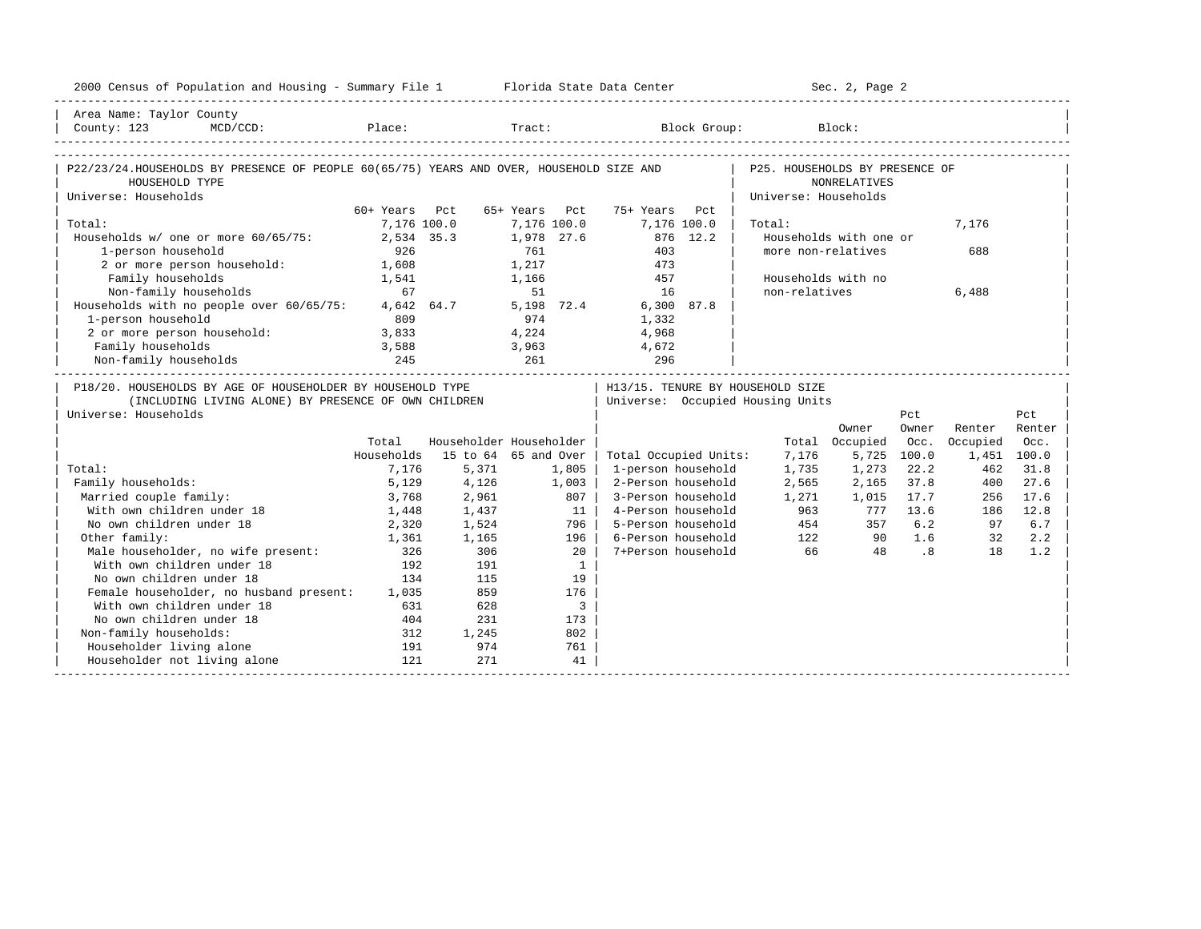| Area Name: Taylor County<br>MCD/CCD: Place: Tract: Block Group:<br>County: 123<br>Block:<br>P22/23/24.HOUSEHOLDS BY PRESENCE OF PEOPLE 60(65/75) YEARS AND OVER, HOUSEHOLD SIZE AND<br>P25. HOUSEHOLDS BY PRESENCE OF<br><b>NONRELATIVES</b><br>HOUSEHOLD TYPE<br>Universe: Households<br>Universe: Households<br>60+ Years Pct<br>65+ Years Pct<br>75+ Years Pct<br>Total:<br>7,176 100.0<br>7,176 100.0<br>7,176 100.0<br>7,176<br>Total:<br>Households w/ one or more 60/65/75:<br>2,534 35.3<br>1,978 27.6<br>876 12.2<br>Households with one or<br>1-person household<br>926<br>761<br>403<br>more non-relatives<br>688<br>2 or more person household:<br>1,608<br>1,217<br>473<br>Family households<br>1,166<br>457<br>Households with no<br>1,541<br>Non-family households<br>67<br>51<br>non-relatives<br>16<br>6,488<br>4,642 64.7<br>5,198 72.4<br>6,300 87.8<br>Households with no people over 60/65/75:<br>1-person household<br>809<br>974<br>1,332<br>2 or more person household:<br>3,833<br>4,224<br>4,968<br>Family households<br>3,588<br>3,963<br>4,672<br>Non-family households<br>245<br>261<br>296<br>P18/20. HOUSEHOLDS BY AGE OF HOUSEHOLDER BY HOUSEHOLD TYPE<br>H13/15. TENURE BY HOUSEHOLD SIZE<br>(INCLUDING LIVING ALONE) BY PRESENCE OF OWN CHILDREN<br>Universe: Occupied Housing Units<br>Universe: Households<br>Pct<br>Pct<br>Owner<br>Renter<br>Renter<br>Owner<br>Householder Householder<br>Total Occupied<br>Occupied<br>Total<br>Occ.<br>Occ.<br>Households<br>15 to 64 65 and Over<br>Total Occupied Units:<br>5,725 100.0<br>1,451 100.0<br>7,176<br>1,735<br>Total:<br>5,371<br>1,805<br>1-person household<br>1,273<br>22.2<br>462<br>31.8<br>7,176<br>Family households:<br>5,129<br>4,126<br>1,003<br>2-Person household<br>2,565<br>2,165<br>37.8<br>400<br>27.6<br>Married couple family:<br>2,961<br>807  <br>3-Person household<br>1,271<br>17.7<br>17.6<br>3,768<br>1,015<br>256<br>With own children under 18<br>1,437<br>11 <sup>1</sup><br>4-Person household<br>963<br>777 13.6<br>12.8<br>1,448<br>186<br>No own children under 18<br>5-Person household<br>2,320<br>1,524<br>796  <br>454<br>357<br>6.2<br>97<br>6.7<br>Other family:<br>6-Person household<br>122<br>1.6<br>1,361<br>1,165<br>196 l<br>90<br>32<br>2.2<br>Male householder, no wife present:<br>306<br>7+Person household<br>66<br>$\overline{\phantom{0}}$ .8<br>1.2<br>326<br>$20-1$<br>18<br>48<br>With own children under 18<br>192<br>191<br>$\mathbf{1}$<br>No own children under 18<br>115<br>134<br>19<br>Female householder, no husband present: 1,035<br>859<br>176<br>With own children under 18<br>$\mathbf{3}$<br>631<br>628<br>No own children under 18<br>231<br>404<br>173<br>Non-family households:<br>802<br>312<br>1,245<br>Householder living alone<br>974<br>191<br>761<br>Householder not living alone<br>121<br>271<br>41 | 2000 Census of Population and Housing - Summary File 1 Florida State Data Center |  |  |  | Sec. 2, Page 2 |  |  |
|---------------------------------------------------------------------------------------------------------------------------------------------------------------------------------------------------------------------------------------------------------------------------------------------------------------------------------------------------------------------------------------------------------------------------------------------------------------------------------------------------------------------------------------------------------------------------------------------------------------------------------------------------------------------------------------------------------------------------------------------------------------------------------------------------------------------------------------------------------------------------------------------------------------------------------------------------------------------------------------------------------------------------------------------------------------------------------------------------------------------------------------------------------------------------------------------------------------------------------------------------------------------------------------------------------------------------------------------------------------------------------------------------------------------------------------------------------------------------------------------------------------------------------------------------------------------------------------------------------------------------------------------------------------------------------------------------------------------------------------------------------------------------------------------------------------------------------------------------------------------------------------------------------------------------------------------------------------------------------------------------------------------------------------------------------------------------------------------------------------------------------------------------------------------------------------------------------------------------------------------------------------------------------------------------------------------------------------------------------------------------------------------------------------------------------------------------------------------------------------------------------------------------------------------------------------------------------------------------------------------------------------------------------------------------------------------------------------------------------------------------------------------------------------------------------------------------------------------------------------------------|----------------------------------------------------------------------------------|--|--|--|----------------|--|--|
|                                                                                                                                                                                                                                                                                                                                                                                                                                                                                                                                                                                                                                                                                                                                                                                                                                                                                                                                                                                                                                                                                                                                                                                                                                                                                                                                                                                                                                                                                                                                                                                                                                                                                                                                                                                                                                                                                                                                                                                                                                                                                                                                                                                                                                                                                                                                                                                                                                                                                                                                                                                                                                                                                                                                                                                                                                                                           |                                                                                  |  |  |  |                |  |  |
|                                                                                                                                                                                                                                                                                                                                                                                                                                                                                                                                                                                                                                                                                                                                                                                                                                                                                                                                                                                                                                                                                                                                                                                                                                                                                                                                                                                                                                                                                                                                                                                                                                                                                                                                                                                                                                                                                                                                                                                                                                                                                                                                                                                                                                                                                                                                                                                                                                                                                                                                                                                                                                                                                                                                                                                                                                                                           |                                                                                  |  |  |  |                |  |  |
|                                                                                                                                                                                                                                                                                                                                                                                                                                                                                                                                                                                                                                                                                                                                                                                                                                                                                                                                                                                                                                                                                                                                                                                                                                                                                                                                                                                                                                                                                                                                                                                                                                                                                                                                                                                                                                                                                                                                                                                                                                                                                                                                                                                                                                                                                                                                                                                                                                                                                                                                                                                                                                                                                                                                                                                                                                                                           |                                                                                  |  |  |  |                |  |  |
|                                                                                                                                                                                                                                                                                                                                                                                                                                                                                                                                                                                                                                                                                                                                                                                                                                                                                                                                                                                                                                                                                                                                                                                                                                                                                                                                                                                                                                                                                                                                                                                                                                                                                                                                                                                                                                                                                                                                                                                                                                                                                                                                                                                                                                                                                                                                                                                                                                                                                                                                                                                                                                                                                                                                                                                                                                                                           |                                                                                  |  |  |  |                |  |  |
|                                                                                                                                                                                                                                                                                                                                                                                                                                                                                                                                                                                                                                                                                                                                                                                                                                                                                                                                                                                                                                                                                                                                                                                                                                                                                                                                                                                                                                                                                                                                                                                                                                                                                                                                                                                                                                                                                                                                                                                                                                                                                                                                                                                                                                                                                                                                                                                                                                                                                                                                                                                                                                                                                                                                                                                                                                                                           |                                                                                  |  |  |  |                |  |  |
|                                                                                                                                                                                                                                                                                                                                                                                                                                                                                                                                                                                                                                                                                                                                                                                                                                                                                                                                                                                                                                                                                                                                                                                                                                                                                                                                                                                                                                                                                                                                                                                                                                                                                                                                                                                                                                                                                                                                                                                                                                                                                                                                                                                                                                                                                                                                                                                                                                                                                                                                                                                                                                                                                                                                                                                                                                                                           |                                                                                  |  |  |  |                |  |  |
|                                                                                                                                                                                                                                                                                                                                                                                                                                                                                                                                                                                                                                                                                                                                                                                                                                                                                                                                                                                                                                                                                                                                                                                                                                                                                                                                                                                                                                                                                                                                                                                                                                                                                                                                                                                                                                                                                                                                                                                                                                                                                                                                                                                                                                                                                                                                                                                                                                                                                                                                                                                                                                                                                                                                                                                                                                                                           |                                                                                  |  |  |  |                |  |  |
|                                                                                                                                                                                                                                                                                                                                                                                                                                                                                                                                                                                                                                                                                                                                                                                                                                                                                                                                                                                                                                                                                                                                                                                                                                                                                                                                                                                                                                                                                                                                                                                                                                                                                                                                                                                                                                                                                                                                                                                                                                                                                                                                                                                                                                                                                                                                                                                                                                                                                                                                                                                                                                                                                                                                                                                                                                                                           |                                                                                  |  |  |  |                |  |  |
|                                                                                                                                                                                                                                                                                                                                                                                                                                                                                                                                                                                                                                                                                                                                                                                                                                                                                                                                                                                                                                                                                                                                                                                                                                                                                                                                                                                                                                                                                                                                                                                                                                                                                                                                                                                                                                                                                                                                                                                                                                                                                                                                                                                                                                                                                                                                                                                                                                                                                                                                                                                                                                                                                                                                                                                                                                                                           |                                                                                  |  |  |  |                |  |  |
|                                                                                                                                                                                                                                                                                                                                                                                                                                                                                                                                                                                                                                                                                                                                                                                                                                                                                                                                                                                                                                                                                                                                                                                                                                                                                                                                                                                                                                                                                                                                                                                                                                                                                                                                                                                                                                                                                                                                                                                                                                                                                                                                                                                                                                                                                                                                                                                                                                                                                                                                                                                                                                                                                                                                                                                                                                                                           |                                                                                  |  |  |  |                |  |  |
|                                                                                                                                                                                                                                                                                                                                                                                                                                                                                                                                                                                                                                                                                                                                                                                                                                                                                                                                                                                                                                                                                                                                                                                                                                                                                                                                                                                                                                                                                                                                                                                                                                                                                                                                                                                                                                                                                                                                                                                                                                                                                                                                                                                                                                                                                                                                                                                                                                                                                                                                                                                                                                                                                                                                                                                                                                                                           |                                                                                  |  |  |  |                |  |  |
|                                                                                                                                                                                                                                                                                                                                                                                                                                                                                                                                                                                                                                                                                                                                                                                                                                                                                                                                                                                                                                                                                                                                                                                                                                                                                                                                                                                                                                                                                                                                                                                                                                                                                                                                                                                                                                                                                                                                                                                                                                                                                                                                                                                                                                                                                                                                                                                                                                                                                                                                                                                                                                                                                                                                                                                                                                                                           |                                                                                  |  |  |  |                |  |  |
|                                                                                                                                                                                                                                                                                                                                                                                                                                                                                                                                                                                                                                                                                                                                                                                                                                                                                                                                                                                                                                                                                                                                                                                                                                                                                                                                                                                                                                                                                                                                                                                                                                                                                                                                                                                                                                                                                                                                                                                                                                                                                                                                                                                                                                                                                                                                                                                                                                                                                                                                                                                                                                                                                                                                                                                                                                                                           |                                                                                  |  |  |  |                |  |  |
|                                                                                                                                                                                                                                                                                                                                                                                                                                                                                                                                                                                                                                                                                                                                                                                                                                                                                                                                                                                                                                                                                                                                                                                                                                                                                                                                                                                                                                                                                                                                                                                                                                                                                                                                                                                                                                                                                                                                                                                                                                                                                                                                                                                                                                                                                                                                                                                                                                                                                                                                                                                                                                                                                                                                                                                                                                                                           |                                                                                  |  |  |  |                |  |  |
|                                                                                                                                                                                                                                                                                                                                                                                                                                                                                                                                                                                                                                                                                                                                                                                                                                                                                                                                                                                                                                                                                                                                                                                                                                                                                                                                                                                                                                                                                                                                                                                                                                                                                                                                                                                                                                                                                                                                                                                                                                                                                                                                                                                                                                                                                                                                                                                                                                                                                                                                                                                                                                                                                                                                                                                                                                                                           |                                                                                  |  |  |  |                |  |  |
|                                                                                                                                                                                                                                                                                                                                                                                                                                                                                                                                                                                                                                                                                                                                                                                                                                                                                                                                                                                                                                                                                                                                                                                                                                                                                                                                                                                                                                                                                                                                                                                                                                                                                                                                                                                                                                                                                                                                                                                                                                                                                                                                                                                                                                                                                                                                                                                                                                                                                                                                                                                                                                                                                                                                                                                                                                                                           |                                                                                  |  |  |  |                |  |  |
|                                                                                                                                                                                                                                                                                                                                                                                                                                                                                                                                                                                                                                                                                                                                                                                                                                                                                                                                                                                                                                                                                                                                                                                                                                                                                                                                                                                                                                                                                                                                                                                                                                                                                                                                                                                                                                                                                                                                                                                                                                                                                                                                                                                                                                                                                                                                                                                                                                                                                                                                                                                                                                                                                                                                                                                                                                                                           |                                                                                  |  |  |  |                |  |  |
|                                                                                                                                                                                                                                                                                                                                                                                                                                                                                                                                                                                                                                                                                                                                                                                                                                                                                                                                                                                                                                                                                                                                                                                                                                                                                                                                                                                                                                                                                                                                                                                                                                                                                                                                                                                                                                                                                                                                                                                                                                                                                                                                                                                                                                                                                                                                                                                                                                                                                                                                                                                                                                                                                                                                                                                                                                                                           |                                                                                  |  |  |  |                |  |  |
|                                                                                                                                                                                                                                                                                                                                                                                                                                                                                                                                                                                                                                                                                                                                                                                                                                                                                                                                                                                                                                                                                                                                                                                                                                                                                                                                                                                                                                                                                                                                                                                                                                                                                                                                                                                                                                                                                                                                                                                                                                                                                                                                                                                                                                                                                                                                                                                                                                                                                                                                                                                                                                                                                                                                                                                                                                                                           |                                                                                  |  |  |  |                |  |  |
|                                                                                                                                                                                                                                                                                                                                                                                                                                                                                                                                                                                                                                                                                                                                                                                                                                                                                                                                                                                                                                                                                                                                                                                                                                                                                                                                                                                                                                                                                                                                                                                                                                                                                                                                                                                                                                                                                                                                                                                                                                                                                                                                                                                                                                                                                                                                                                                                                                                                                                                                                                                                                                                                                                                                                                                                                                                                           |                                                                                  |  |  |  |                |  |  |
|                                                                                                                                                                                                                                                                                                                                                                                                                                                                                                                                                                                                                                                                                                                                                                                                                                                                                                                                                                                                                                                                                                                                                                                                                                                                                                                                                                                                                                                                                                                                                                                                                                                                                                                                                                                                                                                                                                                                                                                                                                                                                                                                                                                                                                                                                                                                                                                                                                                                                                                                                                                                                                                                                                                                                                                                                                                                           |                                                                                  |  |  |  |                |  |  |
|                                                                                                                                                                                                                                                                                                                                                                                                                                                                                                                                                                                                                                                                                                                                                                                                                                                                                                                                                                                                                                                                                                                                                                                                                                                                                                                                                                                                                                                                                                                                                                                                                                                                                                                                                                                                                                                                                                                                                                                                                                                                                                                                                                                                                                                                                                                                                                                                                                                                                                                                                                                                                                                                                                                                                                                                                                                                           |                                                                                  |  |  |  |                |  |  |
|                                                                                                                                                                                                                                                                                                                                                                                                                                                                                                                                                                                                                                                                                                                                                                                                                                                                                                                                                                                                                                                                                                                                                                                                                                                                                                                                                                                                                                                                                                                                                                                                                                                                                                                                                                                                                                                                                                                                                                                                                                                                                                                                                                                                                                                                                                                                                                                                                                                                                                                                                                                                                                                                                                                                                                                                                                                                           |                                                                                  |  |  |  |                |  |  |
|                                                                                                                                                                                                                                                                                                                                                                                                                                                                                                                                                                                                                                                                                                                                                                                                                                                                                                                                                                                                                                                                                                                                                                                                                                                                                                                                                                                                                                                                                                                                                                                                                                                                                                                                                                                                                                                                                                                                                                                                                                                                                                                                                                                                                                                                                                                                                                                                                                                                                                                                                                                                                                                                                                                                                                                                                                                                           |                                                                                  |  |  |  |                |  |  |
|                                                                                                                                                                                                                                                                                                                                                                                                                                                                                                                                                                                                                                                                                                                                                                                                                                                                                                                                                                                                                                                                                                                                                                                                                                                                                                                                                                                                                                                                                                                                                                                                                                                                                                                                                                                                                                                                                                                                                                                                                                                                                                                                                                                                                                                                                                                                                                                                                                                                                                                                                                                                                                                                                                                                                                                                                                                                           |                                                                                  |  |  |  |                |  |  |
|                                                                                                                                                                                                                                                                                                                                                                                                                                                                                                                                                                                                                                                                                                                                                                                                                                                                                                                                                                                                                                                                                                                                                                                                                                                                                                                                                                                                                                                                                                                                                                                                                                                                                                                                                                                                                                                                                                                                                                                                                                                                                                                                                                                                                                                                                                                                                                                                                                                                                                                                                                                                                                                                                                                                                                                                                                                                           |                                                                                  |  |  |  |                |  |  |
|                                                                                                                                                                                                                                                                                                                                                                                                                                                                                                                                                                                                                                                                                                                                                                                                                                                                                                                                                                                                                                                                                                                                                                                                                                                                                                                                                                                                                                                                                                                                                                                                                                                                                                                                                                                                                                                                                                                                                                                                                                                                                                                                                                                                                                                                                                                                                                                                                                                                                                                                                                                                                                                                                                                                                                                                                                                                           |                                                                                  |  |  |  |                |  |  |
|                                                                                                                                                                                                                                                                                                                                                                                                                                                                                                                                                                                                                                                                                                                                                                                                                                                                                                                                                                                                                                                                                                                                                                                                                                                                                                                                                                                                                                                                                                                                                                                                                                                                                                                                                                                                                                                                                                                                                                                                                                                                                                                                                                                                                                                                                                                                                                                                                                                                                                                                                                                                                                                                                                                                                                                                                                                                           |                                                                                  |  |  |  |                |  |  |
|                                                                                                                                                                                                                                                                                                                                                                                                                                                                                                                                                                                                                                                                                                                                                                                                                                                                                                                                                                                                                                                                                                                                                                                                                                                                                                                                                                                                                                                                                                                                                                                                                                                                                                                                                                                                                                                                                                                                                                                                                                                                                                                                                                                                                                                                                                                                                                                                                                                                                                                                                                                                                                                                                                                                                                                                                                                                           |                                                                                  |  |  |  |                |  |  |
|                                                                                                                                                                                                                                                                                                                                                                                                                                                                                                                                                                                                                                                                                                                                                                                                                                                                                                                                                                                                                                                                                                                                                                                                                                                                                                                                                                                                                                                                                                                                                                                                                                                                                                                                                                                                                                                                                                                                                                                                                                                                                                                                                                                                                                                                                                                                                                                                                                                                                                                                                                                                                                                                                                                                                                                                                                                                           |                                                                                  |  |  |  |                |  |  |
|                                                                                                                                                                                                                                                                                                                                                                                                                                                                                                                                                                                                                                                                                                                                                                                                                                                                                                                                                                                                                                                                                                                                                                                                                                                                                                                                                                                                                                                                                                                                                                                                                                                                                                                                                                                                                                                                                                                                                                                                                                                                                                                                                                                                                                                                                                                                                                                                                                                                                                                                                                                                                                                                                                                                                                                                                                                                           |                                                                                  |  |  |  |                |  |  |
|                                                                                                                                                                                                                                                                                                                                                                                                                                                                                                                                                                                                                                                                                                                                                                                                                                                                                                                                                                                                                                                                                                                                                                                                                                                                                                                                                                                                                                                                                                                                                                                                                                                                                                                                                                                                                                                                                                                                                                                                                                                                                                                                                                                                                                                                                                                                                                                                                                                                                                                                                                                                                                                                                                                                                                                                                                                                           |                                                                                  |  |  |  |                |  |  |
|                                                                                                                                                                                                                                                                                                                                                                                                                                                                                                                                                                                                                                                                                                                                                                                                                                                                                                                                                                                                                                                                                                                                                                                                                                                                                                                                                                                                                                                                                                                                                                                                                                                                                                                                                                                                                                                                                                                                                                                                                                                                                                                                                                                                                                                                                                                                                                                                                                                                                                                                                                                                                                                                                                                                                                                                                                                                           |                                                                                  |  |  |  |                |  |  |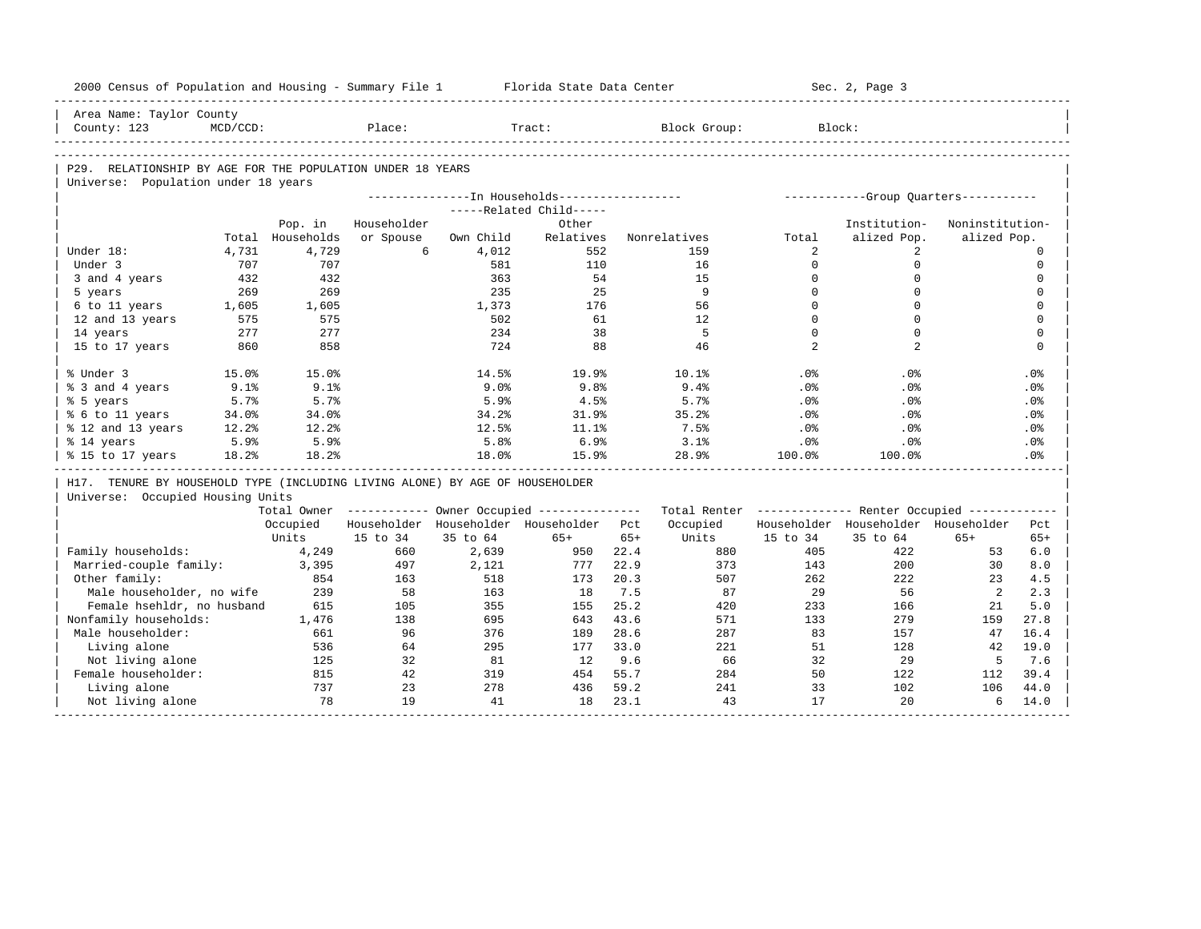| 2000 Census of Population and Housing - Summary File 1                                            |             |            |             |           | Florida State Data Center                             |       |                                                         |                | Sec. 2, Page 3                       |                 |             |
|---------------------------------------------------------------------------------------------------|-------------|------------|-------------|-----------|-------------------------------------------------------|-------|---------------------------------------------------------|----------------|--------------------------------------|-----------------|-------------|
| Area Name: Taylor County<br>County: 123                                                           | $MCD/CCD$ : |            | Place:      |           | Tract:                                                |       | Block Group:                                            | Block:         |                                      |                 |             |
|                                                                                                   |             |            |             |           |                                                       |       |                                                         |                |                                      |                 |             |
|                                                                                                   |             |            |             |           |                                                       |       |                                                         |                |                                      |                 |             |
| P29. RELATIONSHIP BY AGE FOR THE POPULATION UNDER 18 YEARS<br>Universe: Population under 18 years |             |            |             |           |                                                       |       |                                                         |                |                                      |                 |             |
|                                                                                                   |             |            |             |           | ---------------In Households------------------        |       |                                                         |                | -----------Group Ouarters----------- |                 |             |
|                                                                                                   |             |            |             |           | -----Related Child-----                               |       |                                                         |                |                                      |                 |             |
|                                                                                                   |             | Pop. in    | Householder |           | Other                                                 |       |                                                         |                | Institution-                         | Noninstitution- |             |
|                                                                                                   | Total       | Households | or Spouse   | Own Child | Relatives                                             |       | Nonrelatives                                            | Total          | alized Pop.                          | alized Pop.     |             |
| Under 18:                                                                                         | 4,731       | 4,729      | 6           | 4,012     | 552                                                   |       | 159                                                     | 2              | 2                                    |                 | $\circ$     |
| Under 3                                                                                           | 707         | 707        |             | 581       | 110                                                   |       | 16                                                      | $\Omega$       | $\mathbf 0$                          |                 | $\mathbf 0$ |
| 3 and 4 years                                                                                     | 432         | 432        |             | 363       | 54                                                    |       | 15                                                      | $\mathbf 0$    | $\mathbf 0$                          |                 | $\mathbf 0$ |
| 5 years                                                                                           | 269         | 269        |             | 235       | 25                                                    |       | 9                                                       | $\Omega$       | $\Omega$                             |                 | $\mathbf 0$ |
| 6 to 11 years                                                                                     | 1,605       | 1,605      |             | 1,373     | 176                                                   |       | 56                                                      | $\mathbf{0}$   | $\Omega$                             |                 | $\mathbf 0$ |
| 12 and 13 years                                                                                   | 575         | 575        |             | 502       | 61                                                    |       | 12                                                      | $\Omega$       | $\Omega$                             |                 | $\mathbf 0$ |
| 14 years                                                                                          | 277         | 277        |             | 234       | 38                                                    |       | 5                                                       | $\Omega$       | $\Omega$                             |                 | $\Omega$    |
| 15 to 17 years                                                                                    | 860         | 858        |             | 724       | 88                                                    |       | 46                                                      | $\overline{2}$ | 2                                    |                 | $\mathbf 0$ |
|                                                                                                   |             |            |             |           |                                                       |       |                                                         |                |                                      |                 |             |
| % Under 3                                                                                         | 15.0%       | 15.0%      |             | 14.5%     | 19.9%                                                 |       | 10.1%                                                   | .0%            | .0%                                  |                 | .0%         |
| % 3 and 4 years                                                                                   | 9.1%        | 9.1%       |             | 9.0%      | 9.8%                                                  |       | 9.4%                                                    | $.0\%$         | $.0\%$                               |                 | $.0\%$      |
| % 5 years                                                                                         | 5.7%        | 5.7%       |             | 5.9%      | 4.5%                                                  |       | 5.7%                                                    | .0%            | .0%                                  |                 | .0%         |
| % 6 to 11 years                                                                                   | 34.0%       | 34.0%      |             | 34.2%     | 31.9%                                                 |       | 35.2%                                                   | $.0\%$         | $.0\%$                               |                 | $.0\%$      |
| % 12 and 13 years                                                                                 | 12.2%       | 12.2%      |             | 12.5%     | 11.1%                                                 |       | 7.5%                                                    | .0%            | .0%                                  |                 | .0%         |
| % 14 years                                                                                        | 5.9%        | 5.9%       |             | 5.8%      | 6.9%                                                  |       | 3.1%                                                    | .0%            | $.0\%$                               |                 | $.0\%$      |
| % 15 to 17 years                                                                                  | 18.2%       | 18.2%      |             | 18.0%     | 15.9%                                                 |       | 28.9%                                                   | 100.0%         | 100.0%                               |                 | .0%         |
|                                                                                                   |             |            |             |           |                                                       |       |                                                         |                |                                      |                 |             |
| H17. TENURE BY HOUSEHOLD TYPE (INCLUDING LIVING ALONE) BY AGE OF HOUSEHOLDER                      |             |            |             |           |                                                       |       |                                                         |                |                                      |                 |             |
| Universe: Occupied Housing Units                                                                  |             |            |             |           |                                                       |       |                                                         |                |                                      |                 |             |
|                                                                                                   |             |            |             |           | Total Owner ----------- Owner Occupied -------------- |       | Total Renter ------------- Renter Occupied ------------ |                |                                      |                 |             |
|                                                                                                   |             | Occupied   |             |           | Householder Householder Householder                   | Pct   | Occupied                                                |                | Householder Householder Householder  |                 | Pct         |
|                                                                                                   |             | Units      | 15 to 34    | 35 to 64  | $65+$                                                 | $65+$ | Units                                                   | 15 to 34       | 35 to 64                             | $65+$           | $65+$       |
| Family households:                                                                                |             | 4,249      | 660         | 2,639     | 950                                                   | 22.4  | 880                                                     | 405            | 422                                  | 53              | 6.0         |
| Married-couple family:                                                                            |             | 3,395      | 497         | 2,121     | 777                                                   | 22.9  | 373                                                     | 143            | 200                                  | 30              | 8.0         |
| Other family:                                                                                     |             | 854        | 163         | 518       | 173                                                   | 20.3  | 507                                                     | 262            | 222                                  | 23              | 4.5         |
| Male householder, no wife                                                                         |             | 239        | 58          | 163       | 18                                                    | 7.5   | 87                                                      | 29             | 56                                   | 2               | 2.3         |
| Female hsehldr, no husband                                                                        |             | 615        | 105         | 355       | 155                                                   | 25.2  | 420                                                     | 233            | 166                                  | 21              | 5.0         |
| Nonfamily households:                                                                             |             | 1,476      | 138         | 695       | 643                                                   | 43.6  | 571                                                     | 133            | 279                                  | 159             | 27.8        |
| Male householder:                                                                                 |             | 661        | 96          | 376       | 189                                                   | 28.6  | 287                                                     | 83             | 157                                  | 47              | 16.4        |
| Living alone                                                                                      |             | 536        | 64          | 295       | 177                                                   | 33.0  | 221                                                     | 51             | 128                                  | 42              | 19.0        |
| Not living alone                                                                                  |             | 125        | 32          | 81        | 12                                                    | 9.6   | 66                                                      | 32             | 29                                   | 5               | 7.6         |
| Female householder:                                                                               |             | 815        | 42          | 319       | 454                                                   | 55.7  | 284                                                     | 50             | 122                                  | 112             | 39.4        |
| Living alone                                                                                      |             | 737        | 23          | 278       | 436                                                   | 59.2  | 241                                                     | 33             | 102                                  | 106             | 44.0        |
| Not living alone                                                                                  |             | 78         | 19          | 41        | 18                                                    | 23.1  | 43                                                      | 17             | 20                                   | 6               | 14.0        |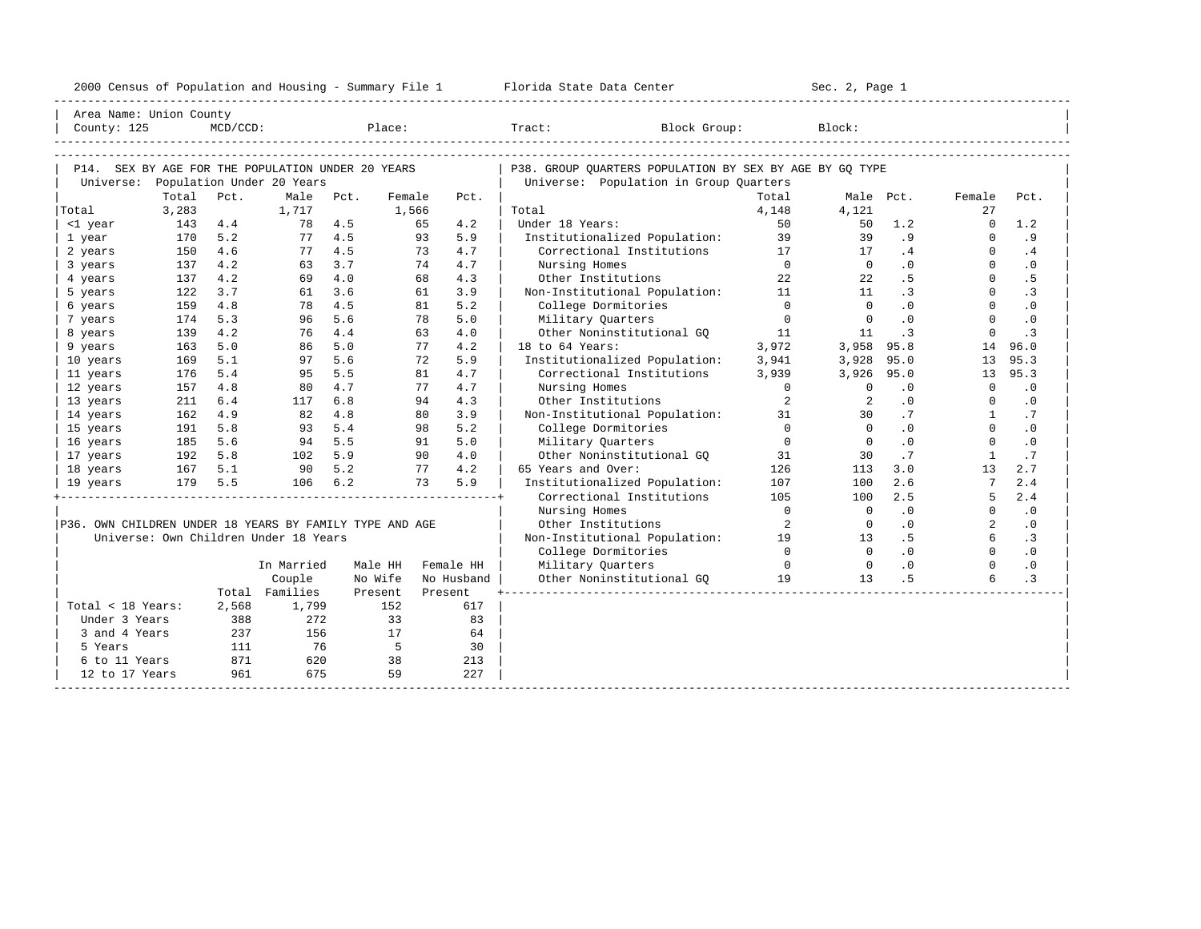| 2000<br>ensus! | and<br>Population | ---<br>Summa:<br>$-$<br>Housing | lorida<br>Data<br>otatt<br>cence. | ، م ج<br>Page<br>$3-1$ |  |
|----------------|-------------------|---------------------------------|-----------------------------------|------------------------|--|
|                |                   |                                 |                                   |                        |  |

| Area Name: Union County                                 |                |             |                                             |         |                 |            |                                                            |            |                |           |              |           |
|---------------------------------------------------------|----------------|-------------|---------------------------------------------|---------|-----------------|------------|------------------------------------------------------------|------------|----------------|-----------|--------------|-----------|
| County: 125                                             |                | $MCD/CCD$ : |                                             | Place:  |                 |            | Tract:<br>Block Group:                                     |            | Block:         |           |              |           |
|                                                         |                |             |                                             |         |                 |            |                                                            |            |                |           |              |           |
|                                                         |                |             |                                             |         |                 |            |                                                            |            |                |           |              |           |
| P14. SEX BY AGE FOR THE POPULATION UNDER 20 YEARS       |                |             |                                             |         |                 |            | P38. GROUP OUARTERS POPULATION BY SEX BY AGE BY GO TYPE    |            |                |           |              |           |
|                                                         |                | Pct.        | Universe: Population Under 20 Years<br>Male |         |                 |            | Universe: Population in Group Quarters                     | Total      |                |           |              |           |
|                                                         | Total<br>3,283 |             | 1,717                                       | Pct.    | Female<br>1,566 | Pct.       | Total                                                      | 4,148      | 4,121          | Male Pct. | Female<br>27 | Pct.      |
| Total                                                   | 143            | 4.4         | 78                                          | 4.5     | 65              | 4.2        | Under 18 Years:                                            | 50         | 50             | 1.2       | $\Omega$     | 1.2       |
| <1 year<br>1 year                                       | 170            | 5.2         | 77                                          | 4.5     | 93              | 5.9        | Institutionalized Population:                              | 39         | 39             | .9        | $\Omega$     | .9        |
| 2 years                                                 | 150            | 4.6         | 77                                          | 4.5     | 73              | 4.7        | Correctional Institutions                                  | 17         | 17             | .4        | $\Omega$     | .4        |
| 3 years                                                 | 137            | 4.2         | 63                                          | 3.7     | 74              | 4.7        | Nursing Homes                                              | $\bigcirc$ | $\overline{0}$ | $\cdot$ 0 | $\Omega$     | $\cdot$ 0 |
| 4 years                                                 | 137            | 4.2         | 69                                          | 4.0     | 68              | 4.3        | Other Institutions                                         | 22         | 22             | .5        | $\Omega$     | . 5       |
| 5 years                                                 | 122            | 3.7         | 61                                          | 3.6     | 61              | 3.9        | Non-Institutional Population: 11                           |            | 11             | $\cdot$ 3 | $\Omega$     | $\cdot$ 3 |
| 6 years                                                 | 159            | 4.8         | 78                                          | 4.5     | 81              | 5.2        | College Dormitories                                        | $\Omega$   | $\Omega$       | .0        | $\Omega$     | $\cdot$ 0 |
|                                                         | 174            | 5.3         | 96                                          | 5.6     | 78              | 5.0        | Military Quarters                                          | $\Omega$   | $\overline{0}$ | .0        | $\Omega$     | $\cdot$ 0 |
| 7 years                                                 | 139            | 4.2         | 76                                          | 4.4     | 63              | 4.0        | Other Noninstitutional GO                                  | 11         | 11             | $\cdot$ 3 | $\Omega$     | $\cdot$ 3 |
| 8 years                                                 | 163            | 5.0         | 86                                          | 5.0     | 77              | 4.2        | 18 to 64 Years:                                            | 3,972      | 3,958          | 95.8      | 14           | 96.0      |
| 9 years                                                 |                | 5.1         |                                             | 5.6     | 72              | 5.9        |                                                            |            |                | 95.0      |              | 95.3      |
| 10 years                                                | 169            | 5.4         | 97                                          | 5.5     | 81              | 4.7        | Institutionalized Population:<br>Correctional Institutions | 3,941      | 3,928          |           | 13           |           |
| 11 years                                                | 176            |             | 95                                          |         |                 |            |                                                            | 3,939      | 3,926          | 95.0      | 13           | 95.3      |
| 12 years                                                | 157            | 4.8         | 80                                          | 4.7     | 77              | 4.7        | Nursing Homes                                              | $\Omega$   | $\Omega$       | .0        | $\Omega$     | .0        |
| 13 years                                                | 211            | 6.4         | 117                                         | 6.8     | 94              | 4.3        | Other Institutions                                         | 2          | 2              | $\cdot$ 0 | $\Omega$     | $\cdot$ 0 |
| 14 years                                                | 162            | 4.9         | 82                                          | 4.8     | 80              | 3.9        | Non-Institutional Population:                              | 31         | 30             | .7        | $\mathbf{1}$ | .7        |
| 15 years                                                | 191            | 5.8         | 93                                          | 5.4     | 98              | 5.2        | College Dormitories                                        | $\Omega$   | $\Omega$       | .0        | $\Omega$     | .0        |
| 16 years                                                | 185            | 5.6         | 94                                          | 5.5     | 91              | 5.0        | Military Quarters                                          | $\Omega$   | $\Omega$       | .0        | $\Omega$     | .0        |
| 17 years                                                | 192            | 5.8         | 102                                         | 5.9     | 90              | 4.0        | Other Noninstitutional GO                                  | 31         | 30             | .7        | $\mathbf{1}$ | .7        |
| 18 years                                                | 167            | 5.1         | 90                                          | 5.2     | 77              | 4.2        | 65 Years and Over:                                         | 126        | 113            | 3.0       | 13           | 2.7       |
| 19 years                                                | 179            | 5.5         | 106                                         | $6.2$   | 73              | 5.9        | Institutionalized Population:                              | 107        | 100            | 2.6       |              | 2.4       |
|                                                         |                |             |                                             |         |                 |            | Correctional Institutions                                  | 105        | 100            | 2.5       | 5            | 2.4       |
|                                                         |                |             |                                             |         |                 |            | Nursing Homes                                              | $\bigcap$  | $\overline{0}$ | .0        | $\Omega$     | $\cdot$ 0 |
| P36. OWN CHILDREN UNDER 18 YEARS BY FAMILY TYPE AND AGE |                |             |                                             |         |                 |            | Other Institutions                                         | 2          | $\overline{0}$ | .0        | 2            | .0        |
|                                                         |                |             | Universe: Own Children Under 18 Years       |         |                 |            | Non-Institutional Population:                              | 19         | 13             | .5        | 6            | $\cdot$ 3 |
|                                                         |                |             |                                             |         |                 |            | College Dormitories                                        | $\bigcap$  | $\overline{0}$ | .0        | $\Omega$     | .0        |
|                                                         |                |             | In Married                                  | Male HH |                 | Female HH  | Military Ouarters                                          | $\Omega$   | $\overline{0}$ | $\cdot$ 0 | $\Omega$     | $\cdot$ 0 |
|                                                         |                |             | Couple                                      | No Wife |                 | No Husband | Other Noninstitutional GO                                  | 19         | 13             | . 5       | 6            | $\cdot$ 3 |
|                                                         |                |             | Total Families                              | Present |                 | Present    |                                                            |            |                |           |              |           |
| Total < 18 Years:                                       |                | 2,568       | 1,799                                       |         | 152             | 617        |                                                            |            |                |           |              |           |
| Under 3 Years                                           |                | 388         | 272                                         |         | 33              | 83         |                                                            |            |                |           |              |           |
| 3 and 4 Years                                           |                | 237         | 156                                         |         | 17              | 64         |                                                            |            |                |           |              |           |
| 5 Years                                                 |                | 111         | 76                                          |         | $5^{\circ}$     | 30         |                                                            |            |                |           |              |           |
| 6 to 11 Years                                           |                | 871         | 620                                         |         | 38              | 213        |                                                            |            |                |           |              |           |
| 12 to 17 Years                                          |                | 961         | 675                                         |         | 59              | 227        |                                                            |            |                |           |              |           |
|                                                         |                |             |                                             |         |                 |            |                                                            |            |                |           |              |           |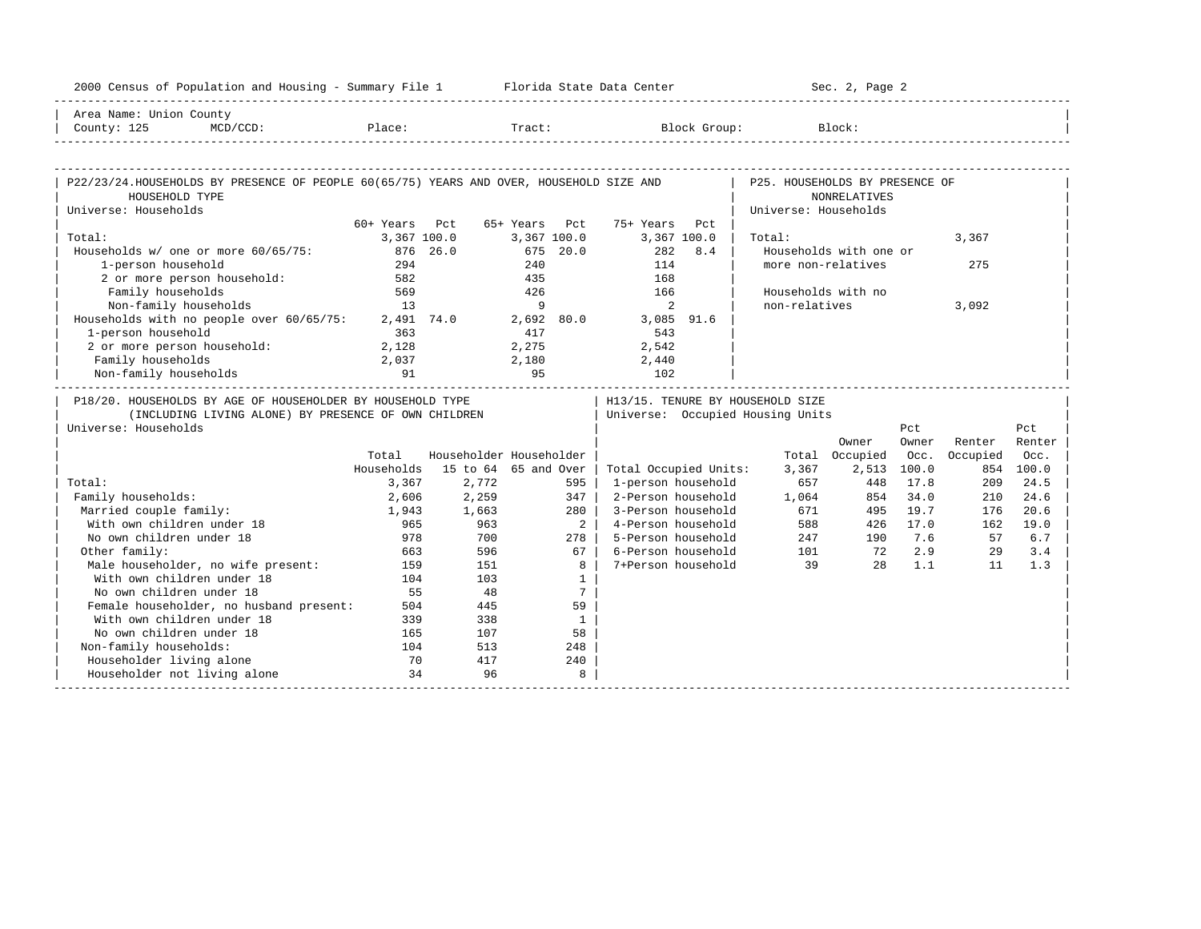| 2000 Census of Population and Housing - Summary File 1 Florida State Data Center                                                           |               |              |                                 |                                                                      |                                | Sec. 2, Page 2            |       |          |           |
|--------------------------------------------------------------------------------------------------------------------------------------------|---------------|--------------|---------------------------------|----------------------------------------------------------------------|--------------------------------|---------------------------|-------|----------|-----------|
| Area Name: Union County<br>County: 125                                                                                                     |               |              |                                 | MCD/CCD: Place: Tract: Block Group: Block: Block:                    |                                |                           |       |          |           |
|                                                                                                                                            |               |              |                                 |                                                                      |                                |                           |       |          |           |
| P22/23/24.HOUSEHOLDS BY PRESENCE OF PEOPLE 60(65/75) YEARS AND OVER, HOUSEHOLD SIZE AND<br>HOUSEHOLD TYPE                                  |               |              |                                 |                                                                      | P25. HOUSEHOLDS BY PRESENCE OF | <b>NONRELATIVES</b>       |       |          |           |
| Universe: Households                                                                                                                       |               |              |                                 |                                                                      | Universe: Households           |                           |       |          |           |
|                                                                                                                                            | 60+ Years Pct |              | 65+ Years Pct                   | 75+ Years<br>P.c.t.                                                  |                                |                           |       |          |           |
| Total:                                                                                                                                     |               | 3,367 100.0  | 3,367 100.0                     | 3,367 100.0                                                          | Total:                         |                           |       | 3,367    |           |
| Households w/ one or more 60/65/75:                                                                                                        | 876 26.0      |              | 675 20.0                        | 282<br>8.4                                                           |                                | Households with one or    |       |          |           |
| 1-person household                                                                                                                         | 294           |              | 240                             | 114                                                                  |                                | more non-relatives        |       | 275      |           |
| 2 or more person household:                                                                                                                | 582           |              | 435                             | 168                                                                  |                                |                           |       |          |           |
| Family households                                                                                                                          | 569           |              | 426                             | 166                                                                  |                                | Households with no        |       |          |           |
| Non-family households                                                                                                                      | 13            |              | $\overline{9}$                  | 2                                                                    | non-relatives                  |                           |       | 3,092    |           |
| Households with no people over 60/65/75:                                                                                                   |               | $2,491$ 74.0 |                                 | 2,692 80.0 3,085 91.6                                                |                                |                           |       |          |           |
| 1-person household                                                                                                                         | 363           |              | 417                             | 543                                                                  |                                |                           |       |          |           |
| 2 or more person household:                                                                                                                | 2,128         |              | 2,275<br>2,180                  | 2,542                                                                |                                |                           |       |          |           |
| Family households                                                                                                                          | 2,037         |              |                                 | 2,440                                                                |                                |                           |       |          |           |
| Non-family households                                                                                                                      | 91            |              | 95                              | 102                                                                  |                                |                           |       |          |           |
| P18/20. HOUSEHOLDS BY AGE OF HOUSEHOLDER BY HOUSEHOLD TYPE<br>(INCLUDING LIVING ALONE) BY PRESENCE OF OWN CHILDREN<br>Universe: Households |               |              |                                 | H13/15. TENURE BY HOUSEHOLD SIZE<br>Universe: Occupied Housing Units |                                |                           | Pct   |          | Pct       |
|                                                                                                                                            |               |              |                                 |                                                                      |                                | Owner                     | Owner | Renter   | Renter    |
|                                                                                                                                            | Total         |              | Householder Householder         |                                                                      |                                | Total Occupied            | Occ.  | Occupied | Occ.      |
|                                                                                                                                            |               |              | Households 15 to 64 65 and Over | Total Occupied Units:                                                | 3,367                          | 2,513                     | 100.0 |          | 854 100.0 |
| Total:                                                                                                                                     | 3,367         | 2,772        | 595                             | 1-person household                                                   | 657                            | 448                       | 17.8  | 209      | 24.5      |
| Family households:                                                                                                                         | 2,606         | 2,259        | 347                             | 2-Person household                                                   | 1,064                          | 854                       | 34.0  | 210      | 24.6      |
| Married couple family:                                                                                                                     | 1,943         | 1,663        | 280                             | 3-Person household                                                   | 671                            | 495                       | 19.7  | 176      | 20.6      |
| With own children under 18                                                                                                                 | 965           | 963          | $\overline{a}$                  | 4-Person household                                                   |                                | 588<br>426                | 17.0  | 162      | 19.0      |
| No own children under 18                                                                                                                   | 978           | 700          | 278                             | 5-Person household                                                   |                                |                           |       | 57       | 6.7       |
| Other family:                                                                                                                              | 663           | 596          | 67                              | 6-Person household                                                   |                                | 247 190 7.6<br>101 72 2.9 |       | 29       | 3.4       |
| Male householder, no wife present:                                                                                                         | 159           | 151          | 8                               | 7+Person household                                                   | 39                             | 2.8                       | 1.1   | 11       | 1.3       |
| With own children under 18                                                                                                                 | 104           | 103          | $\mathbf{1}$                    |                                                                      |                                |                           |       |          |           |
| No own children under 18                                                                                                                   | 55            | 48           | 7                               |                                                                      |                                |                           |       |          |           |
| Female householder, no husband present:                                                                                                    | 504           | 445          | 59                              |                                                                      |                                |                           |       |          |           |
| With own children under 18                                                                                                                 | 339           | 338          | $\mathbf{1}$                    |                                                                      |                                |                           |       |          |           |
| No own children under 18                                                                                                                   | 165           | 107          | 58                              |                                                                      |                                |                           |       |          |           |
| Non-family households:                                                                                                                     | 104           | 513          | 248                             |                                                                      |                                |                           |       |          |           |
| Householder living alone                                                                                                                   | 70            | 417          | 240                             |                                                                      |                                |                           |       |          |           |
| Householder not living alone                                                                                                               | 34            | 96           | 8                               |                                                                      |                                |                           |       |          |           |
|                                                                                                                                            |               |              |                                 |                                                                      |                                |                           |       |          |           |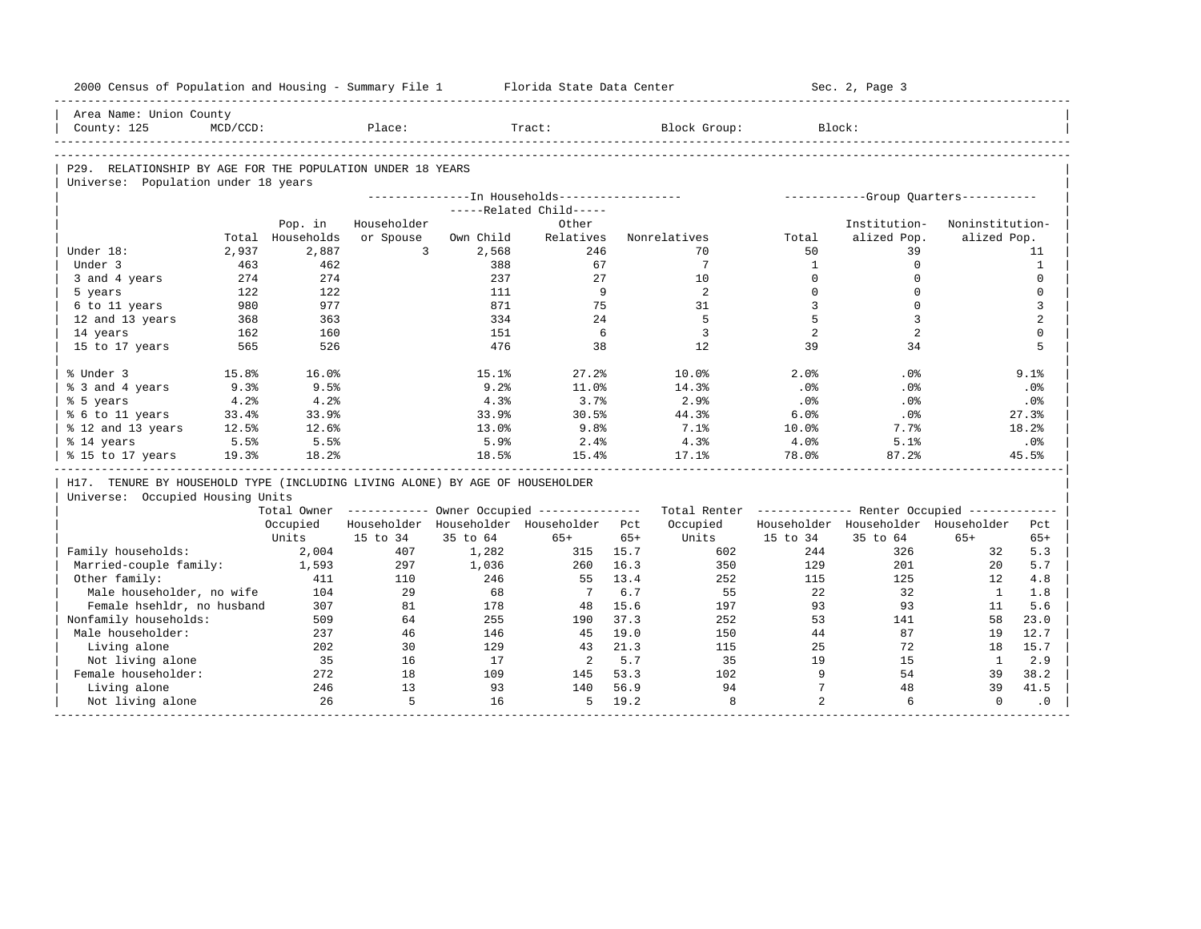| 2000 Census of Population and Housing - Summary File 1                       |             |                  |                |           | Florida State Data Center                              |       |                                                         |                 | Sec. 2, Page 3                        |                 |                                             |
|------------------------------------------------------------------------------|-------------|------------------|----------------|-----------|--------------------------------------------------------|-------|---------------------------------------------------------|-----------------|---------------------------------------|-----------------|---------------------------------------------|
| Area Name: Union County                                                      |             |                  |                |           |                                                        |       |                                                         |                 |                                       |                 |                                             |
| County: 125                                                                  | $MCD/CCD$ : |                  | Place:         |           | Tract:                                                 |       | Block Group:                                            | Block:          |                                       |                 |                                             |
|                                                                              |             |                  |                |           |                                                        |       |                                                         |                 |                                       |                 |                                             |
| P29. RELATIONSHIP BY AGE FOR THE POPULATION UNDER 18 YEARS                   |             |                  |                |           |                                                        |       |                                                         |                 |                                       |                 |                                             |
| Universe: Population under 18 years                                          |             |                  |                |           |                                                        |       |                                                         |                 |                                       |                 |                                             |
|                                                                              |             |                  |                |           | ---------------In Households------------------         |       |                                                         |                 | ------------Group Ouarters----------- |                 |                                             |
|                                                                              |             |                  |                |           | -----Related Child-----                                |       |                                                         |                 |                                       |                 |                                             |
|                                                                              |             | Pop. in          | Householder    |           | Other                                                  |       |                                                         |                 | Institution-                          | Noninstitution- |                                             |
|                                                                              |             | Total Households | or Spouse      | Own Child | Relatives                                              |       | Nonrelatives                                            | Total           | alized Pop.                           | alized Pop.     |                                             |
| Under 18:                                                                    | 2,937       | 2,887            | $\overline{3}$ | 2,568     | 246                                                    |       | 70                                                      | 50              | 39                                    |                 | 11                                          |
| Under 3                                                                      | 463         | 462              |                | 388       | 67                                                     |       | 7                                                       | 1               | $\circ$                               |                 | $\mathbf{1}$                                |
| 3 and 4 years                                                                | 274         | 274              |                | 237       | 27                                                     |       | 10                                                      | $\Omega$        | $\mathbf 0$                           |                 | $\Omega$                                    |
| 5 years                                                                      | 122         | 122              |                | 111       | 9                                                      |       | 2                                                       | $\Omega$        | $\Omega$                              |                 | $\mathbf 0$                                 |
| 6 to 11 years                                                                | 980         | 977              |                | 871       | 75                                                     |       | 31                                                      | $\overline{3}$  | $\mathbf 0$                           |                 | 3                                           |
| 12 and 13 years                                                              | 368         | 363              |                | 334       | 24                                                     |       | 5                                                       | 5               | $\overline{3}$                        |                 | 2                                           |
| 14 years                                                                     | 162         | 160              |                | 151       | 6                                                      |       | 3                                                       | 2               | 2                                     |                 | $\mathbf 0$                                 |
| 15 to 17 years                                                               | 565         | 526              |                | 476       | 38                                                     |       | 12                                                      | 39              | 34                                    |                 | 5                                           |
| % Under 3                                                                    | 15.8%       | 16.0%            |                | 15.1%     | 27.2%                                                  |       | 10.0%                                                   | 2.0%            | .0%                                   |                 | $9.1$ $%$                                   |
| % 3 and 4 years                                                              | 9.3%        | 9.5%             |                | 9.2%      | 11.0%                                                  |       | 14.3%                                                   | .0%             | .0%                                   |                 | .0%                                         |
| % 5 years                                                                    | 4.2%        | 4.2%             |                | 4.3%      | 3.7%                                                   |       | 2.9%                                                    | .0%             | .0%                                   |                 | .0%                                         |
| % 6 to 11 years                                                              | 33.4%       | 33.9%            |                | 33.9%     | 30.5%                                                  |       | 44.3%                                                   | 6.0%            | $.0\%$                                |                 | 27.3%                                       |
| % 12 and 13 years                                                            | 12.5%       | 12.6%            |                | 13.0%     | 9.8%                                                   |       | 7.1%                                                    | 10.0%           | 7.7%                                  |                 | 18.2%                                       |
| % 14 years                                                                   | 5.5%        | 5.5%             |                | 5.9%      | 2.4%                                                   |       | 4.3%                                                    | 4.0%            | 5.1%                                  |                 | .0%                                         |
| % 15 to 17 years                                                             | 19.3%       | 18.2%            |                | 18.5%     | 15.4%                                                  |       | 17.1%                                                   | 78.0%           | 87.2%                                 |                 | 45.5%                                       |
| H17. TENURE BY HOUSEHOLD TYPE (INCLUDING LIVING ALONE) BY AGE OF HOUSEHOLDER |             |                  |                |           |                                                        |       |                                                         |                 |                                       |                 |                                             |
| Universe: Occupied Housing Units                                             |             |                  |                |           |                                                        |       |                                                         |                 |                                       |                 |                                             |
|                                                                              |             |                  |                |           | Total Owner ------------ Owner Occupied -------------- |       | Total Renter ------------- Renter Occupied ------------ |                 |                                       |                 |                                             |
|                                                                              |             | Occupied         |                |           | Householder Householder Householder Pct                |       | Occupied                                                |                 | Householder Householder Householder   |                 | Pct                                         |
|                                                                              |             | Units            | 15 to 34       | 35 to 64  | $65+$                                                  | $65+$ | Units                                                   | 15 to 34        | 35 to 64                              | $65+$           | $65+$                                       |
| Family households:                                                           |             | 2,004            | 407            | 1,282     | 315                                                    | 15.7  | 602                                                     | 244             | 326                                   | 32              | 5.3                                         |
| Married-couple family:                                                       |             | 1,593            | 297            | 1,036     | 260                                                    | 16.3  | 350                                                     | 129             | 201                                   | 20              | 5.7                                         |
| Other family:                                                                |             | 411              | 110            | 246       | 55                                                     | 13.4  | 252                                                     | 115             | 125                                   | 12              | 4.8                                         |
| Male householder, no wife                                                    |             | 104              | 29             | 68        | $\overline{7}$                                         | 6.7   | 55                                                      | 22              | 32                                    | $\mathbf{1}$    | 1.8                                         |
|                                                                              |             |                  |                |           | 48                                                     | 15.6  | 197                                                     | 93              | 93                                    | 11              | 5.6                                         |
| Female hsehldr, no husband                                                   |             | 307              | 81             | 178       |                                                        |       |                                                         |                 |                                       |                 |                                             |
| Nonfamily households:                                                        |             | 509              | 64             | 255       | 190                                                    | 37.3  | 252                                                     | 53              | 141                                   | 58              |                                             |
| Male householder:                                                            |             | 237              | 46             | 146       | 45                                                     | 19.0  | 150                                                     | 44              | 87                                    | 19              |                                             |
| Living alone                                                                 |             | 202              | 30             | 129       | 43                                                     | 21.3  | 115                                                     | 25              | 72                                    | 18              |                                             |
| Not living alone                                                             |             | 35               | 16             | 17        | $\overline{2}$                                         | 5.7   | 35                                                      | 19              | 15                                    | $\mathbf{1}$    |                                             |
| Female householder:                                                          |             | 272              | 18             | 109       | 145                                                    | 53.3  | 102                                                     | 9               | 54                                    | 39              |                                             |
| Living alone                                                                 |             | 246              | 13             | 93        | 140                                                    | 56.9  | 94                                                      | $7\overline{ }$ | 48                                    | 39              | 23.0<br>12.7<br>15.7<br>2.9<br>38.2<br>41.5 |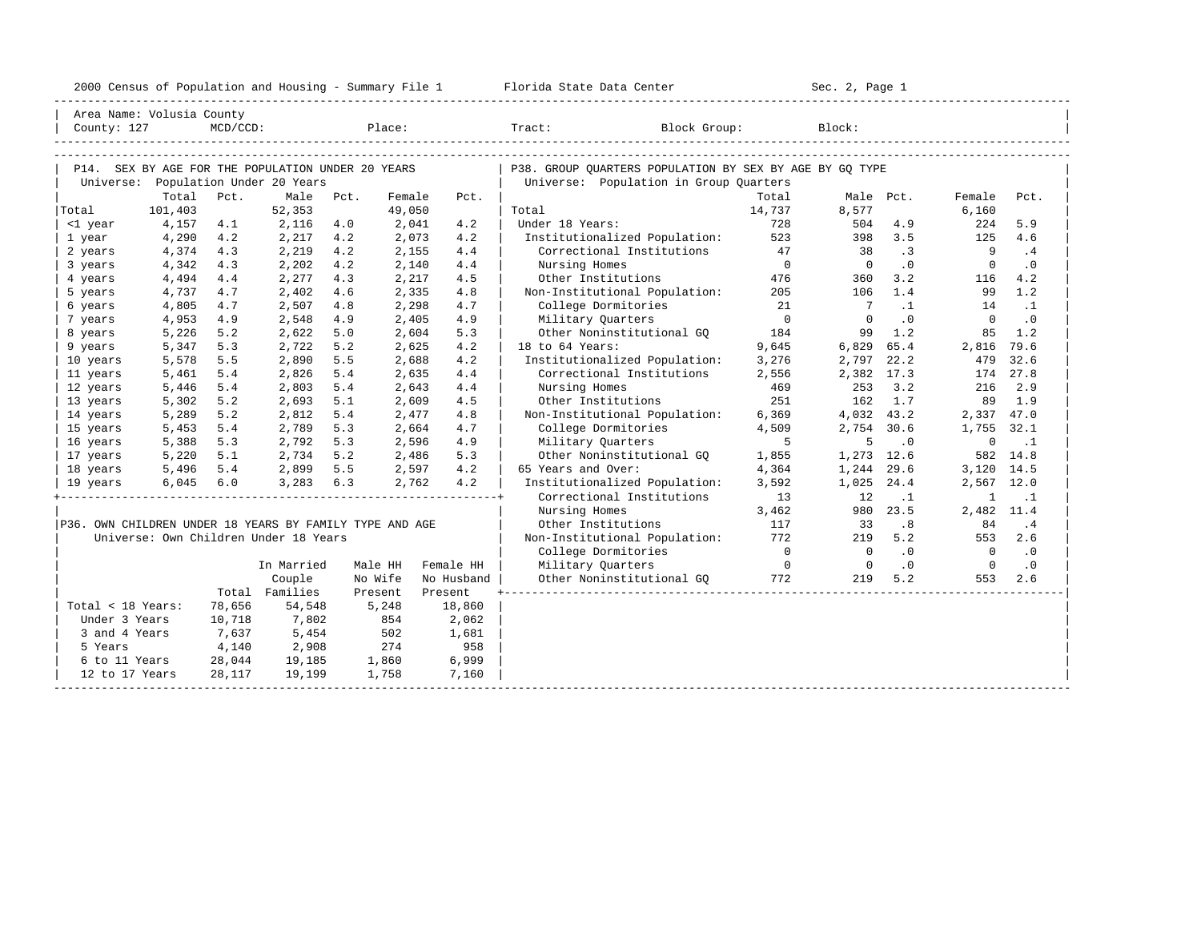| 2000<br>ensus! | and<br>Population | ---<br>Summa:<br>$-$<br>Housing | lorida<br>Data<br>otatt<br>cence. | ، م ج<br>Page<br>$3-1$ |  |
|----------------|-------------------|---------------------------------|-----------------------------------|------------------------|--|
|                |                   |                                 |                                   |                        |  |

|                                                         | Area Name: Volusia County |             |                                                   |         |        |            |                                                         |                |                |           |                |           |
|---------------------------------------------------------|---------------------------|-------------|---------------------------------------------------|---------|--------|------------|---------------------------------------------------------|----------------|----------------|-----------|----------------|-----------|
| County: 127                                             |                           | $MCD/CCD$ : |                                                   |         |        | Place:     | Tract: Block Group:                                     |                | Block:         |           |                |           |
|                                                         |                           |             |                                                   |         |        |            |                                                         |                |                |           |                |           |
|                                                         |                           |             |                                                   |         |        |            |                                                         |                |                |           |                |           |
|                                                         |                           |             | P14. SEX BY AGE FOR THE POPULATION UNDER 20 YEARS |         |        |            | P38. GROUP OUARTERS POPULATION BY SEX BY AGE BY GO TYPE |                |                |           |                |           |
|                                                         |                           |             | Universe: Population Under 20 Years               |         |        |            | Universe: Population in Group Quarters                  |                |                |           |                |           |
|                                                         | Total                     | Pct.        | Male                                              | Pct.    | Female | Pct.       |                                                         | Total          | Male Pct.      |           | Female         | Pct.      |
| Total                                                   | 101,403                   |             | 52,353                                            |         | 49,050 |            | Total                                                   | 14,737         | 8,577          |           | 6,160          |           |
| <1 year                                                 | 4,157                     | 4.1         | 2,116                                             | 4.0     | 2,041  | 4.2        | Under 18 Years:                                         | 728            | 504            | 4.9       | 224            | 5.9       |
| 1 year                                                  | 4,290                     | 4.2         | 2,217                                             | 4.2     | 2,073  | 4.2        | Institutionalized Population:                           | 523            | 398            | 3.5       | 125            | 4.6       |
| 2 years                                                 | 4,374                     | 4.3         | 2,219                                             | 4.2     | 2,155  | 4.4        | Correctional Institutions                               | 47             | 38             | $\cdot$ 3 | - 9            | .4        |
| 3 years                                                 | 4,342                     | 4.3         | 2,202                                             | 4.2     | 2,140  | 4.4        | Nursing Homes                                           | $\overline{0}$ | $\overline{0}$ | $\cdot$ 0 | $\overline{0}$ | $\cdot$ 0 |
| 4 years                                                 | 4,494                     | 4.4         | 2,277                                             | 4.3     | 2,217  | 4.5        | Other Institutions                                      | 476            | 360            | 3.2       | 116            | 4.2       |
| 5 years                                                 | 4,737                     | 4.7         | 2,402                                             | 4.6     | 2,335  | 4.8        | Non-Institutional Population:                           | 205            | 106            | 1.4       | 99             | 1.2       |
| 6 years                                                 | 4,805                     | 4.7         | 2,507                                             | 4.8     | 2,298  | 4.7        | College Dormitories                                     | 21             | $\overline{7}$ | $\cdot$ 1 | 14             | $\cdot$ 1 |
| 7 years                                                 | 4,953                     | 4.9         | 2,548                                             | 4.9     | 2,405  | 4.9        | Military Quarters                                       | $\overline{0}$ | $\Omega$       | $\cdot$ 0 | $\overline{0}$ | $\cdot$ 0 |
| 8 years                                                 | 5,226                     | 5.2         | 2,622                                             | 5.0     | 2,604  | 5.3        | Other Noninstitutional GO 184                           |                | 99             | 1.2       | 85             | 1.2       |
| 9 years                                                 | 5,347                     | 5.3         | 2,722                                             | 5.2     | 2,625  | 4.2        | 18 to 64 Years:                                         | 9,645          | 6,829          | 65.4      | 2,816          | 79.6      |
| 10 years                                                | 5,578                     | 5.5         | 2,890                                             | 5.5     | 2,688  | 4.2        | Institutionalized Population:                           | 3,276          | 2,797          | 22.2      | 479            | 32.6      |
| 11 years                                                | 5,461                     | 5.4         | 2,826                                             | 5.4     | 2,635  | 4.4        | Correctional Institutions                               | 2,556          | 2,382 17.3     |           |                | 174 27.8  |
| 12 years                                                | 5,446                     | 5.4         | 2,803                                             | 5.4     | 2,643  | 4.4        | Nursing Homes                                           | 469            | 253            | 3.2       | 216            | 2.9       |
| 13 years                                                | 5,302                     | 5.2         | 2,693                                             | 5.1     | 2,609  | 4.5        | Other Institutions                                      | 251            | 162            | 1.7       | 89             | 1.9       |
| 14 years                                                | 5,289                     | 5.2         | 2,812                                             | 5.4     | 2,477  | 4.8        | Non-Institutional Population:                           | 6,369          | 4,032 43.2     |           | 2,337 47.0     |           |
| 15 years                                                | 5,453                     | 5.4         | 2,789                                             | 5.3     | 2,664  | 4.7        | College Dormitories                                     | 4,509          | 2,754 30.6     |           | 1,755          | 32.1      |
| 16 years                                                | 5,388                     | 5.3         | 2,792                                             | 5.3     | 2,596  | 4.9        | Military Ouarters                                       | 5              | 5              | .0        | $\mathbf 0$    | $\cdot$ 1 |
| 17 years                                                | 5,220                     | 5.1         | 2,734                                             | 5.2     | 2,486  | 5.3        | Other Noninstitutional GO                               | 1,855          | 1,273 12.6     |           | 582            | 14.8      |
| 18 years                                                | 5,496                     | 5.4         | 2,899                                             | 5.5     | 2,597  | 4.2        | 65 Years and Over:                                      | 4,364          | 1,244 29.6     |           | 3,120          | 14.5      |
| 19 years                                                | 6,045                     | 6.0         | $3,283$ 6.3                                       |         | 2,762  | 4.2        | Institutionalized Population:                           | 3,592          | 1,025          | 24.4      | 2,567          | 12.0      |
|                                                         |                           |             |                                                   |         |        |            | Correctional Institutions                               | 13             | 12             | $\cdot$ 1 | $\mathbf{1}$   | $\cdot$ 1 |
|                                                         |                           |             |                                                   |         |        |            | Nursing Homes                                           | 3,462          | 980            | 23.5      | 2,482 11.4     |           |
| P36. OWN CHILDREN UNDER 18 YEARS BY FAMILY TYPE AND AGE |                           |             |                                                   |         |        |            | Other Institutions                                      | 117            | 33             | .8        | 84             | $\cdot$ 4 |
|                                                         |                           |             | Universe: Own Children Under 18 Years             |         |        |            | Non-Institutional Population:                           | 772            | 219            | 5.2       | 553            | 2.6       |
|                                                         |                           |             |                                                   |         |        |            | College Dormitories                                     | $\overline{0}$ | $\overline{0}$ | $\cdot$ 0 | $\overline{0}$ | $\cdot$ 0 |
|                                                         |                           |             | In Married                                        | Male HH |        | Female HH  | Military Quarters                                       | $\overline{0}$ | $\overline{0}$ | .0        | $\overline{0}$ | $\cdot$ 0 |
|                                                         |                           |             | Couple                                            | No Wife |        | No Husband | Other Noninstitutional GQ                               |                | 772<br>219     | 5.2       | 553            | 2.6       |
|                                                         |                           |             | Total Families                                    | Present |        | Present    |                                                         |                |                |           |                |           |
| Total < 18 Years:                                       |                           | 78,656      | 54,548                                            |         | 5,248  | 18,860     |                                                         |                |                |           |                |           |
| Under 3 Years                                           |                           | 10,718      | 7,802                                             |         | 854    | 2,062      |                                                         |                |                |           |                |           |
| 3 and 4 Years                                           |                           | 7,637       | 5,454                                             |         | 502    | 1,681      |                                                         |                |                |           |                |           |
| 5 Years                                                 |                           | 4,140       | 2,908                                             |         | 274    | 958        |                                                         |                |                |           |                |           |
| 6 to 11 Years                                           |                           | 28,044      | 19,185                                            | 1,860   |        | 6,999      |                                                         |                |                |           |                |           |
| 12 to 17 Years                                          |                           | 28,117      | 19,199                                            | 1,758   |        | 7,160      |                                                         |                |                |           |                |           |
|                                                         |                           |             |                                                   |         |        |            |                                                         |                |                |           |                |           |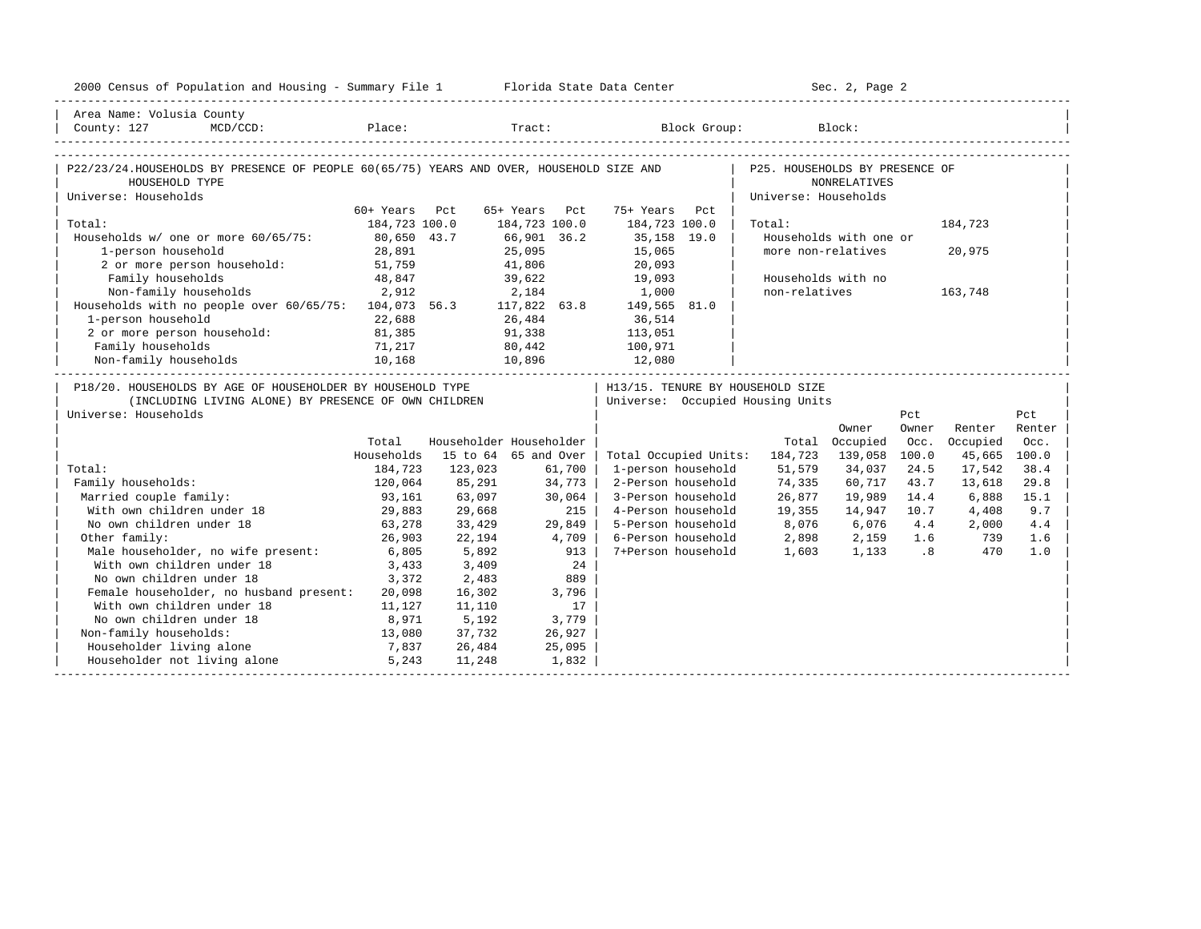| 2000 Census of Population and Housing - Summary File 1 Florida State Data Center                                           |                                |         |                                 |                                   | Sec. 2, Page 2                            |                        |       |              |        |
|----------------------------------------------------------------------------------------------------------------------------|--------------------------------|---------|---------------------------------|-----------------------------------|-------------------------------------------|------------------------|-------|--------------|--------|
| Area Name: Volusia County                                                                                                  |                                |         |                                 |                                   |                                           |                        |       |              |        |
| County: 127<br>$MCD / CCD$ :                                                                                               |                                |         |                                 | Place: Tract: Block Group: Block: |                                           |                        |       |              |        |
|                                                                                                                            |                                |         |                                 |                                   |                                           |                        |       |              |        |
| P22/23/24.HOUSEHOLDS BY PRESENCE OF PEOPLE 60(65/75) YEARS AND OVER, HOUSEHOLD SIZE AND P25. HOUSEHOLDS BY PRESENCE OF     |                                |         |                                 |                                   |                                           |                        |       |              |        |
| HOUSEHOLD TYPE                                                                                                             |                                |         |                                 |                                   |                                           | NONRELATIVES           |       |              |        |
| Universe: Households                                                                                                       |                                |         |                                 |                                   | Universe: Households                      |                        |       |              |        |
| Total:                                                                                                                     | 60+ Years Pct<br>184,723 100.0 |         | 65+ Years Pct<br>184,723 100.0  | 75+ Years Pct<br>184,723 100.0    | Total:                                    |                        |       | 184,723      |        |
| Households w/ one or more 60/65/75: 80,650 43.7                                                                            |                                |         | 66,901 36.2                     | 35,158 19.0                       |                                           | Households with one or |       |              |        |
| 1-person household                                                                                                         | 28,891                         |         |                                 | 15,065                            | more non-relatives                        |                        |       | 20,975       |        |
| 2 or more person household:                                                                                                |                                |         | 25,095<br>41,806                | $\frac{1}{20}$ , 093              |                                           |                        |       |              |        |
| Family households                                                                                                          | 51,759<br>48,847               |         | 39,622 19,093                   |                                   | Households with no                        |                        |       |              |        |
| 2,912                                                                                                                      |                                |         |                                 |                                   | non-relatives                             |                        |       | 163,748      |        |
| Non-family households 2,912 2,184 1,000<br>Households with no people over 60/65/75: 104,073 56.3 117,822 63.8 149,565 81.0 |                                |         |                                 |                                   |                                           |                        |       |              |        |
| 1-person household                                                                                                         | 22,688                         |         | 26,484 36,514                   |                                   |                                           |                        |       |              |        |
| 2 or more person household: 81,385                                                                                         |                                |         | 91,338 113,051                  |                                   |                                           |                        |       |              |        |
|                                                                                                                            |                                |         |                                 |                                   |                                           |                        |       |              |        |
| ramily nouseholds 31,217<br>Non-family households 310,168                                                                  |                                |         | 80,442 100,971<br>10,896 12,080 |                                   |                                           |                        |       |              |        |
|                                                                                                                            |                                |         |                                 |                                   |                                           |                        |       |              |        |
| P18/20. HOUSEHOLDS BY AGE OF HOUSEHOLDER BY HOUSEHOLD TYPE                                                                 |                                |         |                                 | H13/15. TENURE BY HOUSEHOLD SIZE  |                                           |                        |       |              |        |
| (INCLUDING LIVING ALONE) BY PRESENCE OF OWN CHILDREN                                                                       |                                |         |                                 | Universe: Occupied Housing Units  |                                           |                        |       |              |        |
| Universe: Households                                                                                                       |                                |         |                                 |                                   |                                           |                        | Pct   |              | Pct    |
|                                                                                                                            |                                |         |                                 |                                   |                                           | Owner                  | Owner | Renter       | Renter |
|                                                                                                                            | Total                          |         | Householder Householder         |                                   |                                           | Total Occupied         | Occ.  | Occupied     | Occ.   |
|                                                                                                                            | Households                     |         | 15 to 64 65 and Over            | Total Occupied Units:             | 184,723                                   | 139,058                | 100.0 | 45,665 100.0 |        |
| Total:                                                                                                                     | 184,723                        | 123,023 | 61,700                          | 1-person household                | 51,579                                    | 34,037                 | 24.5  | 17,542       | 38.4   |
| Family households:                                                                                                         | 120,064                        | 85,291  | 34,773                          | 2-Person household                | 74,335                                    | 60,717                 | 43.7  | 13,618       | 29.8   |
| Married couple family:                                                                                                     | 93,161                         | 63,097  | 30,064                          | 3-Person household                | 26,877                                    | 19,989                 | 14.4  | 6,888        | 15.1   |
| With own children under 18                                                                                                 | 29,883                         | 29,668  | 215                             | 4-Person household                | 19,355                                    | 14,947                 | 10.7  | 4,408        | 9.7    |
| No own children under 18                                                                                                   | 63,278                         | 33,429  | 29,849                          | 5-Person household                | 8,076                                     | 6,076                  | 4.4   | 2,000        | 4.4    |
| Other family:                                                                                                              | 26,903                         | 22,194  | 4,709                           | 6-Person household                |                                           |                        |       |              | 1.6    |
| Male householder, no wife present: 6,805                                                                                   |                                | 5,892   | 913                             | 7+Person household                | 2,898 2,159 1.6 739<br>1,603 1,133 .8 470 |                        |       |              | 1.0    |
| With own children under 18                                                                                                 | 3,433                          | 3,409   | 24                              |                                   |                                           |                        |       |              |        |
| No own children under 18                                                                                                   | 3,372                          | 2,483   | 889                             |                                   |                                           |                        |       |              |        |
| Female householder, no husband present: 20,098                                                                             |                                | 16,302  | 3,796                           |                                   |                                           |                        |       |              |        |
| With own children under 18                                                                                                 | 11, 127                        | 11,110  | 17                              |                                   |                                           |                        |       |              |        |
| No own children under 18<br>8,971                                                                                          |                                | 5,192   | 3,779                           |                                   |                                           |                        |       |              |        |
| Non-family households:                                                                                                     | 13,080                         | 37,732  | 26,927                          |                                   |                                           |                        |       |              |        |
| Householder living alone                                                                                                   | 7,837                          | 26,484  | 25,095                          |                                   |                                           |                        |       |              |        |
| Householder not living alone 5,243                                                                                         |                                | 11,248  | 1,832                           |                                   |                                           |                        |       |              |        |
|                                                                                                                            |                                |         |                                 |                                   |                                           |                        |       |              |        |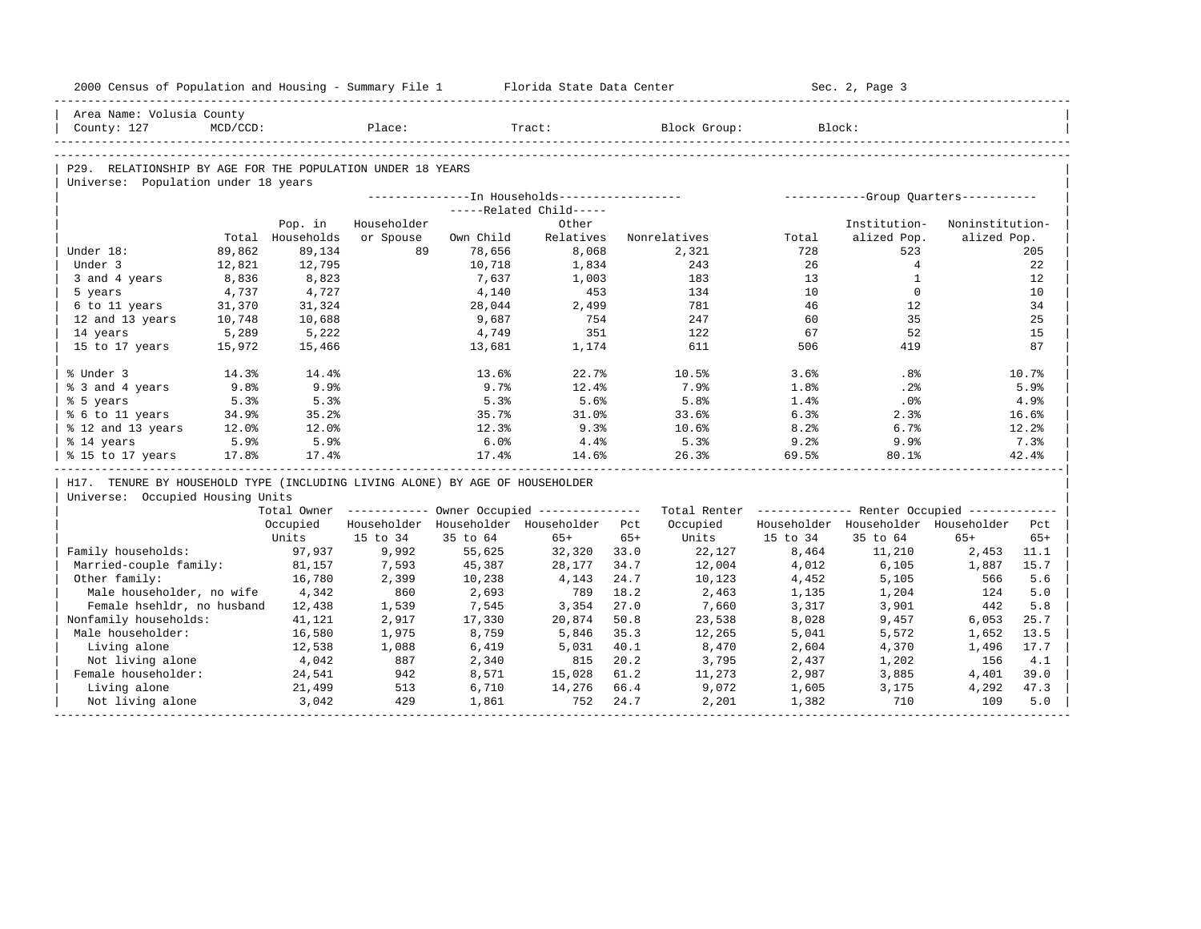| 2000 Census of Population and Housing - Summary File 1 Florida State Data Center |          |                             |                          |           |                                         |       |                                                                                                               |                | Sec. 2, Page 3                                   |                                |       |
|----------------------------------------------------------------------------------|----------|-----------------------------|--------------------------|-----------|-----------------------------------------|-------|---------------------------------------------------------------------------------------------------------------|----------------|--------------------------------------------------|--------------------------------|-------|
| Area Name: Volusia County                                                        |          |                             |                          |           |                                         |       |                                                                                                               |                |                                                  |                                |       |
| County: 127                                                                      | MCD/CCD: |                             | Place:                   |           | Tract:                                  |       | Block Group:                                                                                                  |                | Block:                                           |                                |       |
|                                                                                  |          |                             |                          |           |                                         |       |                                                                                                               |                |                                                  |                                |       |
| P29. RELATIONSHIP BY AGE FOR THE POPULATION UNDER 18 YEARS                       |          |                             |                          |           |                                         |       |                                                                                                               |                |                                                  |                                |       |
| Universe: Population under 18 years                                              |          |                             |                          |           |                                         |       |                                                                                                               |                |                                                  |                                |       |
|                                                                                  |          |                             |                          |           |                                         |       |                                                                                                               |                |                                                  |                                |       |
|                                                                                  |          |                             |                          |           | -----Related Child-----                 |       |                                                                                                               |                |                                                  |                                |       |
|                                                                                  |          | Pop. in<br>Total Households | Householder<br>or Spouse | Own Child | Other<br>Relatives                      |       | Nonrelatives                                                                                                  | Total          | Institution-<br>alized Pop.                      | Noninstitution-<br>alized Pop. |       |
| Under 18:                                                                        | 89,862   | 89,134                      | 89                       | 78,656    | 8,068                                   |       | 2,321                                                                                                         | 728            | 523                                              |                                | 205   |
| Under 3                                                                          | 12,821   | 12,795                      |                          | 10,718    | 1,834                                   |       | 243                                                                                                           | 26             | 4                                                |                                | 22    |
| 3 and 4 years                                                                    | 8,836    | 8,823                       |                          | 7,637     | 1,003                                   |       | 183                                                                                                           | 13             | $\mathbf{1}$                                     |                                | 12    |
| 5 years                                                                          | 4,737    | 4,727                       |                          | 4,140     | 453                                     |       | 134                                                                                                           | 10             | $\Omega$                                         |                                | 10    |
| 6 to 11 years                                                                    | 31,370   | 31,324                      |                          | 28,044    | 2,499                                   |       | 781                                                                                                           | 46             | 12                                               |                                | 34    |
| 12 and 13 years                                                                  | 10,748   | 10,688                      |                          | 9,687     | 754                                     |       | 247                                                                                                           | 60             | 35                                               |                                | 25    |
| 14 years                                                                         | 5,289    | 5,222                       |                          | 4,749     | 351                                     |       | 122                                                                                                           | 67             | 52                                               |                                | 15    |
| 15 to 17 years                                                                   | 15,972   | 15,466                      |                          | 13,681    | 1,174                                   |       | 611                                                                                                           | 506            | 419                                              |                                | 87    |
|                                                                                  |          |                             |                          |           |                                         |       |                                                                                                               |                |                                                  |                                |       |
| % Under 3                                                                        | 14.3%    | 14.4%                       |                          | 13.6%     | 22.7%                                   |       | 10.5%                                                                                                         | 3.6%           | $.8\%$                                           |                                | 10.7% |
| % 3 and 4 years                                                                  | 9.8%     | 9.9%                        |                          | 9.7%      | 12.4%                                   |       | 7.9%                                                                                                          | 1.8%           | .2%                                              |                                | 5.9%  |
| % 5 years                                                                        | 5.3%     | 5.3%                        |                          | 5.3%      | 5.6%                                    |       | 5.8%                                                                                                          | $1.4\%$        | $.0\%$                                           |                                | 4.9%  |
| % 6 to 11 years                                                                  | 34.9%    | 35.2%                       |                          | 35.7%     | 31.0%                                   |       | 33.6%                                                                                                         | 6.3%           | 2.3%                                             |                                | 16.6% |
| % 12 and 13 years                                                                | 12.0%    | $12.0$ $%$                  |                          | 12.3%     | 9.3%                                    |       | 10.6%                                                                                                         | 8.2%           | 6.7%                                             |                                | 12.2% |
| % 14 years                                                                       | 5.9%     | 5.9%                        |                          | 6.0%      | 4.4%                                    |       | 5.3%                                                                                                          | 9.2%           | 9.9%                                             |                                | 7.3%  |
| % 15 to 17 years                                                                 | 17.8%    | 17.4%                       |                          | 17.4%     | 14.6%                                   |       | 26.3%                                                                                                         | 69.5%          | 80.1%                                            |                                | 42.4% |
| H17. TENURE BY HOUSEHOLD TYPE (INCLUDING LIVING ALONE) BY AGE OF HOUSEHOLDER     |          |                             |                          |           |                                         |       |                                                                                                               |                |                                                  |                                |       |
| Universe: Occupied Housing Units                                                 |          |                             |                          |           |                                         |       |                                                                                                               |                |                                                  |                                |       |
|                                                                                  |          |                             |                          |           |                                         |       | Total Owner ----------- Owner Occupied -------------- Total Renter ------------- Renter Occupied ------------ |                |                                                  |                                |       |
|                                                                                  |          | Occupied                    |                          |           | Householder Householder Householder Pct |       |                                                                                                               |                | Occupied Householder Householder Householder Pct |                                |       |
|                                                                                  |          | Units                       | 15 to 34                 | 35 to 64  | $65+$                                   | $65+$ |                                                                                                               | Units 15 to 34 | 35 to 64                                         | $65+$                          | $65+$ |
| Family households:                                                               |          | 97,937                      | 9,992                    | 55,625    | 32,320 33.0                             |       | 22,127                                                                                                        | 8,464          | 11,210                                           | 2,453                          | 11.1  |
| Married-couple family:                                                           |          | 81,157                      | 7,593                    | 45,387    | 28,177                                  | 34.7  | 12,004                                                                                                        | 4,012          | 6,105                                            | 1,887                          | 15.7  |
| Other family:                                                                    |          | 16,780                      | 2,399                    | 10,238    | 4,143                                   | 24.7  | 10,123                                                                                                        | 4,452          | 5,105                                            | 566                            | 5.6   |
| Male householder, no wife 4,342                                                  |          |                             | 860                      | 2,693     | 789                                     | 18.2  | 2,463                                                                                                         | 1,135          | 1,204                                            | 124                            | 5.0   |
| Female hsehldr, no husband 12,438                                                |          |                             | 1,539                    | 7,545     | 3,354                                   | 27.0  | 7,660                                                                                                         | 3,317          | 3,901                                            | 442                            | 5.8   |
| Nonfamily households:                                                            |          | 41,121                      | 2,917                    | 17,330    | 20,874                                  | 50.8  | 23,538                                                                                                        | 8,028          | 9,457                                            | 6,053                          | 25.7  |
| Male householder:                                                                |          | 16,580                      | 1,975                    | 8,759     | 5,846                                   | 35.3  | 12,265                                                                                                        | 5,041          | 5,572                                            | 1,652                          | 13.5  |
| Living alone                                                                     |          | 12,538                      | 1,088                    | 6,419     | 5,031                                   | 40.1  | 8,470                                                                                                         | 2,604          | 4,370                                            | 1,496                          | 17.7  |
| Not living alone                                                                 |          | 4,042                       | 887                      | 2,340     | 815                                     | 20.2  | 3,795                                                                                                         | 2,437          | 1,202                                            | 156                            | 4.1   |
| Female householder:                                                              |          | 24,541                      | 942                      | 8,571     | 15,028                                  | 61.2  | 11,273                                                                                                        | 2,987          | 3,885                                            | 4,401                          | 39.0  |
| Living alone                                                                     |          | 21,499                      | 513                      | 6,710     | 14,276 66.4                             |       | 9,072                                                                                                         | 1,605          | 3,175                                            | 4,292                          | 47.3  |
| Not living alone                                                                 |          | 3,042                       | 429                      | 1,861     | 752                                     | 24.7  | 2,201                                                                                                         | 1,382          | 710                                              | 109                            | 5.0   |
|                                                                                  |          |                             |                          |           |                                         |       |                                                                                                               |                |                                                  |                                |       |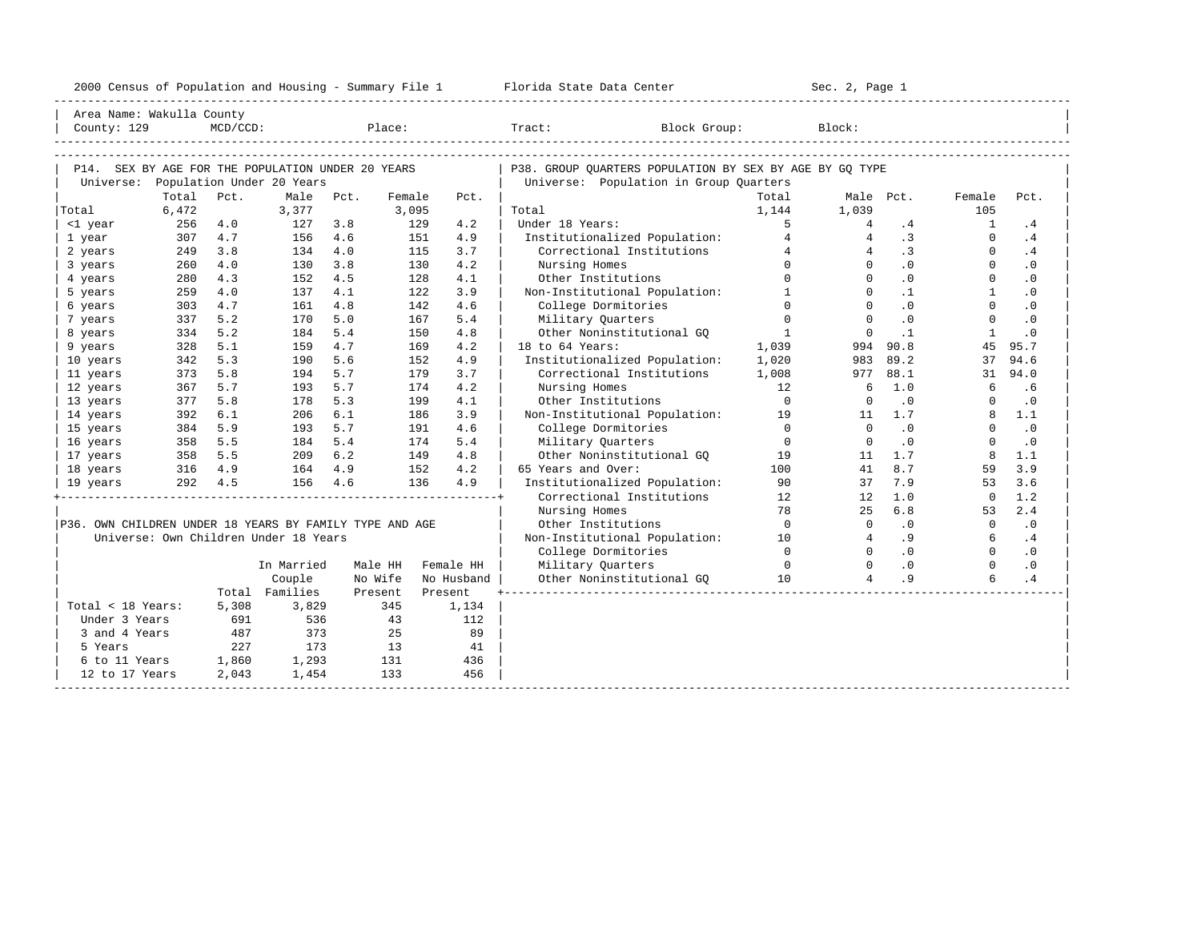| 2000<br>ensus! | and<br>Population | ---<br>Summa:<br>$-$<br>Housing | lorida<br>Data<br>otatt<br>cence. | ، م ج<br>Page<br>$3-1$ |  |
|----------------|-------------------|---------------------------------|-----------------------------------|------------------------|--|
|                |                   |                                 |                                   |                        |  |

| Area Name: Wakulla County                               |           |             |                                       |      |         |            |                                                         |                |                 |                            |                |           |
|---------------------------------------------------------|-----------|-------------|---------------------------------------|------|---------|------------|---------------------------------------------------------|----------------|-----------------|----------------------------|----------------|-----------|
| County: 129                                             |           | $MCD/CCD$ : |                                       |      | Place:  |            | Tract:<br>Block Group:                                  |                | Block:          |                            |                |           |
|                                                         |           |             |                                       |      |         |            |                                                         |                |                 |                            |                |           |
|                                                         |           |             |                                       |      |         |            |                                                         |                |                 |                            |                |           |
| P14. SEX BY AGE FOR THE POPULATION UNDER 20 YEARS       |           |             |                                       |      |         |            | P38. GROUP QUARTERS POPULATION BY SEX BY AGE BY GQ TYPE |                |                 |                            |                |           |
| Universe:                                               |           |             | Population Under 20 Years             |      |         |            | Universe: Population in Group Quarters                  |                |                 |                            |                |           |
|                                                         | Total     | Pct.        | Male                                  | Pct. | Female  | Pct.       |                                                         | Total          |                 | Male Pct.                  | Female         | Pct.      |
| Total                                                   | 6,472     |             | 3,377                                 |      | 3,095   |            | Total                                                   | 1,144          | 1,039           |                            | 105            |           |
| <1 year                                                 | 256       | 4.0         | 127                                   | 3.8  | 129     | 4.2        | Under 18 Years:                                         | 5              | 4               | .4                         | $\mathbf{1}$   | .4        |
| 1 year                                                  | 307       | 4.7         | 156                                   | 4.6  | 151     | 4.9        | Institutionalized Population:                           | $\overline{4}$ | $\overline{4}$  | $\cdot$ 3                  | $\Omega$       | .4        |
| 2 years                                                 | 249       | 3.8         | 134                                   | 4.0  | 115     | 3.7        | Correctional Institutions                               | $\overline{4}$ | $\overline{4}$  | .3                         | $\Omega$       | .4        |
| 3 years                                                 | 260       | 4.0         | 130                                   | 3.8  | 130     | 4.2        | Nursing Homes                                           | $\Omega$       | $\Omega$        | .0                         | $\circ$        | $\cdot$ 0 |
| 4 years                                                 | 280       | 4.3         | 152                                   | 4.5  | 128     | 4.1        | Other Institutions                                      | $\Omega$       | $\Omega$        | .0                         | $\Omega$       | $\cdot$ 0 |
| 5 years                                                 | 259       | 4.0         | 137                                   | 4.1  | 122     | 3.9        | Non-Institutional Population:                           | <sup>1</sup>   | $\Omega$        | $\cdot$ 1                  | $\overline{1}$ | $\cdot$ 0 |
| 6 years                                                 | 303       | 4.7         | 161                                   | 4.8  | 142     | 4.6        | College Dormitories                                     | $\Omega$       | $\Omega$        | $\cdot$ 0                  | $\Omega$       | $\cdot$ 0 |
| 7 years                                                 | 337       | 5.2         | 170                                   | 5.0  |         | 5.4<br>167 | Military Quarters                                       | $\Omega$       | $\Omega$        | .0                         | $\Omega$       | $\cdot$ 0 |
| 8 years                                                 | 334       | 5.2         | 184                                   | 5.4  |         | 150<br>4.8 | Other Noninstitutional GO                               | $\overline{1}$ | $\Omega$        | $\cdot$ 1                  | $\mathbf{1}$   | $\cdot$ 0 |
| 9 years                                                 | 328       | 5.1         | 159                                   | 4.7  |         | 4.2<br>169 | 18 to 64 Years:                                         | 1,039          | 994             | 90.8                       | 45             | 95.7      |
| 10 years                                                | 342       | 5.3         | 190                                   | 5.6  |         | 4.9<br>152 | Institutionalized Population:                           | 1,020          | 983             | 89.2                       | 37             | 94.6      |
| 11 years                                                | 373       | 5.8         | 194                                   | 5.7  | 179     | 3.7        | Correctional Institutions                               | 1,008          | 977             | 88.1                       | 31             | 94.0      |
| 12 years                                                | 367       | 5.7         | 193                                   | 5.7  | 174     | 4.2        | Nursing Homes                                           | 12             | -6              | 1.0                        | 6              | .6        |
| 13 years                                                | 377       | 5.8         | 178                                   | 5.3  |         | 199<br>4.1 | Other Institutions                                      | $\overline{0}$ | $\Omega$        | $\cdot$ 0                  | $\Omega$       | $\cdot$ 0 |
| 14 years                                                | 392       | 6.1         | 206                                   | 6.1  | 186     | 3.9        | Non-Institutional Population: 19                        |                | 11              | 1.7                        | 8              | 1.1       |
| 15 years                                                | 384       | 5.9         | 193                                   | 5.7  |         | 4.6<br>191 | College Dormitories                                     | $\overline{0}$ | $\Omega$        | $\cdot$ 0                  | $\Omega$       | $\cdot$ 0 |
| 16 years                                                | 358       | 5.5         | 184                                   | 5.4  |         | 5.4<br>174 | Military Ouarters                                       | $\Omega$       | $\Omega$        | $\cdot$ 0                  | $\Omega$       | $\cdot$ 0 |
| 17 years                                                | 358       | 5.5         | 209                                   | 6.2  | 149     | 4.8        | Other Noninstitutional GQ 19                            |                | 11              | 1.7                        | 8              | 1.1       |
| 18 years                                                | $316$ 4.9 |             | 164                                   | 4.9  | 152     | 4.2        | 65 Years and Over:                                      | 100            | 41              | 8.7                        | 59             | 3.9       |
| 19 years                                                |           | 292 4.5     | 156                                   | 4.6  | 136     | 4.9        | Institutionalized Population:                           | 90             | 37              | 7.9                        | 53             | 3.6       |
|                                                         |           |             |                                       |      |         |            | Correctional Institutions                               | 12             | 12              | 1.0                        | $\Omega$       | 1.2       |
|                                                         |           |             |                                       |      |         |            | Nursing Homes                                           | 78             | 25              | 6.8                        | 53             | 2.4       |
| P36. OWN CHILDREN UNDER 18 YEARS BY FAMILY TYPE AND AGE |           |             |                                       |      |         |            | Other Institutions                                      | $\overline{0}$ | $\circ$         | $\cdot$ 0                  | $\overline{0}$ | $\cdot$ 0 |
|                                                         |           |             | Universe: Own Children Under 18 Years |      |         |            | Non-Institutional Population: 10                        |                | $4\overline{ }$ | .9                         | 6              | .4        |
|                                                         |           |             |                                       |      |         |            | College Dormitories                                     | $\overline{0}$ | $\Omega$        | $\overline{\phantom{0}}$ . | $\Omega$       | $\cdot$ 0 |
|                                                         |           |             | In Married                            |      | Male HH | Female HH  | Military Quarters                                       | $\overline{0}$ | $\Omega$        | $\overline{0}$             | $\Omega$       | $\cdot$ 0 |
|                                                         |           |             | Couple                                |      | No Wife | No Husband | Other Noninstitutional GQ 10                            |                | $\overline{4}$  | .9                         | 6              | .4        |
|                                                         |           |             | Total Families                        |      | Present | Present    |                                                         |                |                 |                            |                |           |
| Total < 18 Years:                                       |           | 5,308       | 3,829                                 |      | 345     | 1,134      |                                                         |                |                 |                            |                |           |
| Under 3 Years                                           |           | 691         | 536                                   |      | 43      | 112        |                                                         |                |                 |                            |                |           |
| 3 and 4 Years                                           |           | 487         | 373                                   |      | 25      | 89         |                                                         |                |                 |                            |                |           |
| 5 Years                                                 |           | 227         | 173                                   |      | 13      | 41         |                                                         |                |                 |                            |                |           |
| 6 to 11 Years 1,860                                     |           |             | 1,293                                 |      | 131     | 436        |                                                         |                |                 |                            |                |           |
| 12 to 17 Years                                          |           | 2,043       | 1,454                                 |      | 133     | 456        |                                                         |                |                 |                            |                |           |
|                                                         |           |             |                                       |      |         |            |                                                         |                |                 |                            |                |           |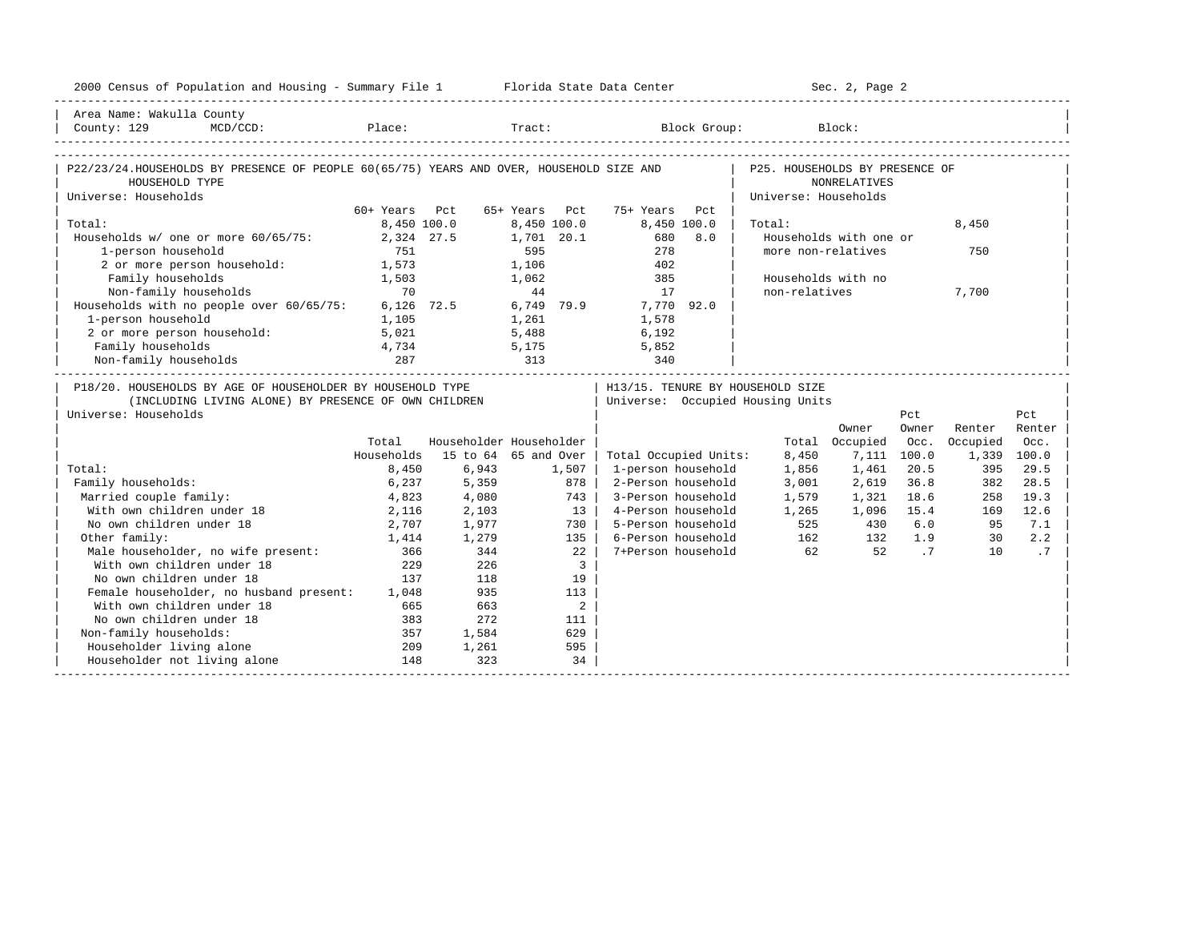| 2000 Census of Population and Housing - Summary File 1 Florida State Data Center                                   |               |             |                           |                                                                      |                                | Sec. 2, Page 2          |                |                    |                |
|--------------------------------------------------------------------------------------------------------------------|---------------|-------------|---------------------------|----------------------------------------------------------------------|--------------------------------|-------------------------|----------------|--------------------|----------------|
| Area Name: Wakulla County<br>County: 129                                                                           |               |             |                           | MCD/CCD: Place: Tract: Block Group:                                  |                                | Block:                  |                |                    |                |
| P22/23/24.HOUSEHOLDS BY PRESENCE OF PEOPLE 60(65/75) YEARS AND OVER, HOUSEHOLD SIZE AND<br>HOUSEHOLD TYPE          |               |             |                           |                                                                      | P25. HOUSEHOLDS BY PRESENCE OF | <b>NONRELATIVES</b>     |                |                    |                |
| Universe: Households                                                                                               |               |             |                           |                                                                      | Universe: Households           |                         |                |                    |                |
|                                                                                                                    | 60+ Years Pct |             | 65+ Years Pct             | 75+ Years Pct                                                        |                                |                         |                |                    |                |
| Total:<br>Households w/ one or more 60/65/75:                                                                      | 2,324 27.5    | 8,450 100.0 | 8,450 100.0<br>1,701 20.1 | 8,450 100.0<br>680<br>8.0                                            | Total:                         | Households with one or  |                | 8,450              |                |
| 1-person household                                                                                                 | 751           |             | 595                       | 278                                                                  |                                | more non-relatives      |                | 750                |                |
| 2 or more person household:                                                                                        | 1,573         |             | 1,106                     | 402                                                                  |                                |                         |                |                    |                |
| Family households                                                                                                  | 1,503         |             | 1,062                     | 385                                                                  |                                | Households with no      |                |                    |                |
| Non-family households                                                                                              | 70            |             | 44                        | 17                                                                   | non-relatives                  |                         |                | 7,700              |                |
| Households with no people over 60/65/75:                                                                           | $6.126$ 72.5  |             | 6,749 79.9                | 7,770 92.0                                                           |                                |                         |                |                    |                |
| 1-person household                                                                                                 | 1,105         |             | 1,261                     | 1,578                                                                |                                |                         |                |                    |                |
| 2 or more person household:                                                                                        | 5,021         |             | 5,488                     | 6,192                                                                |                                |                         |                |                    |                |
| Family households                                                                                                  | 4,734         |             | 5,175                     | 5,852                                                                |                                |                         |                |                    |                |
| Non-family households                                                                                              | 287           | 313         |                           | 340                                                                  |                                |                         |                |                    |                |
| P18/20. HOUSEHOLDS BY AGE OF HOUSEHOLDER BY HOUSEHOLD TYPE<br>(INCLUDING LIVING ALONE) BY PRESENCE OF OWN CHILDREN |               |             |                           | H13/15. TENURE BY HOUSEHOLD SIZE<br>Universe: Occupied Housing Units |                                |                         |                |                    |                |
| Universe: Households                                                                                               |               |             |                           |                                                                      |                                |                         | Pct            |                    | Pct            |
|                                                                                                                    | Total         |             | Householder Householder   |                                                                      |                                | Owner<br>Total Occupied | Owner<br>Occ.  | Renter<br>Occupied | Renter<br>Occ. |
|                                                                                                                    | Households    |             | 15 to 64 65 and Over      | Total Occupied Units:                                                | 8,450                          | 7.111                   | 100.0          | 1,339 100.0        |                |
| Total:                                                                                                             | 8,450         | 6,943       | 1,507                     | 1-person household                                                   | 1,856                          | 1,461                   | 20.5           | 395                | 29.5           |
| Family households:                                                                                                 | 6,237         | 5,359       | 878                       | 2-Person household                                                   | 3,001                          | 2,619                   | 36.8           | 382                | 28.5           |
| Married couple family:                                                                                             | 4,823         | 4,080       | 743 l                     | 3-Person household                                                   | 1,579                          | 1,321                   | 18.6           | 258                | 19.3           |
| With own children under 18                                                                                         | 2,116         | 2,103       | $13-1$                    | 4-Person household                                                   | 1,265                          | 1,096 15.4              |                | 169                | 12.6           |
| No own children under 18                                                                                           | 2,707         | 1,977       | 730 l                     | 5-Person household                                                   | 525                            | 430                     | 6.0            | 95                 | 7.1            |
| Other family:                                                                                                      | 1,414         | 1,279       | 135                       | 6-Person household                                                   |                                | 162 132                 | 1.9            | 30                 | 2.2            |
| Male householder, no wife present:<br>With own children under 18                                                   | 366           | 344         | $22 \quad$                | 7+Person household                                                   | 62                             | 52                      | $\overline{7}$ | 10                 | .7             |
| With own children under 18                                                                                         | 229           | 226         | $\overline{3}$            |                                                                      |                                |                         |                |                    |                |
| No own children under 18                                                                                           | 137           | 118         | 19                        |                                                                      |                                |                         |                |                    |                |
| Female householder, no husband present: 1,048                                                                      |               | 935         | 113                       |                                                                      |                                |                         |                |                    |                |
| With own children under 18                                                                                         | 665           | 663         | 2                         |                                                                      |                                |                         |                |                    |                |
| No own children under 18                                                                                           | 383           | 2.72        | 111                       |                                                                      |                                |                         |                |                    |                |
| Non-family households:                                                                                             | 357           | 1,584       | 629                       |                                                                      |                                |                         |                |                    |                |
| Householder living alone                                                                                           | 209           | 1,261       | 595                       |                                                                      |                                |                         |                |                    |                |
| Householder not living alone                                                                                       | 148           | 323         | 34                        |                                                                      |                                |                         |                |                    |                |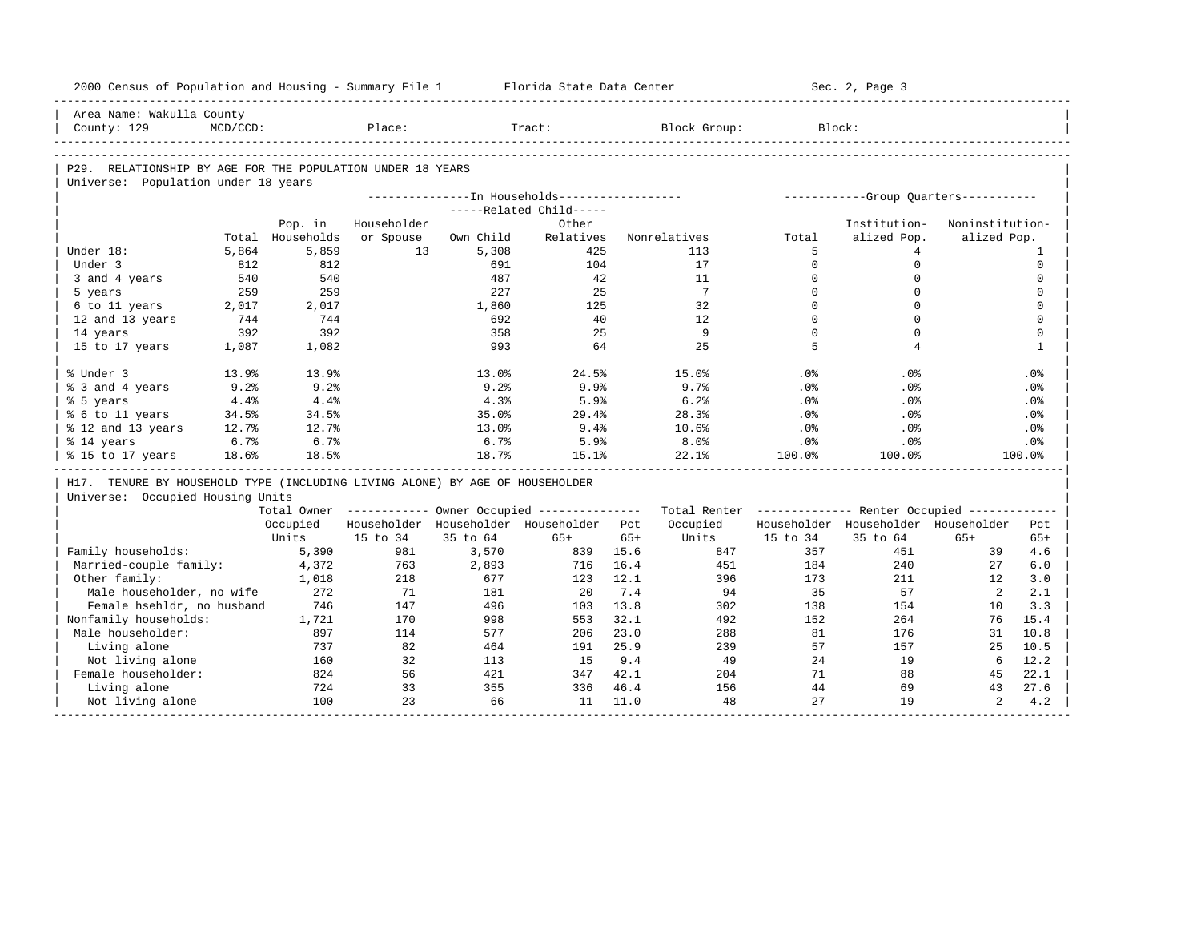|                            | 2000 Census of Population and Housing - Summary File 1 Florida State Data Center |              |             |              |                                                       |       |                                                         |                         | Sec. 2, Page 3                       |                 |                            |
|----------------------------|----------------------------------------------------------------------------------|--------------|-------------|--------------|-------------------------------------------------------|-------|---------------------------------------------------------|-------------------------|--------------------------------------|-----------------|----------------------------|
| Area Name: Wakulla County  |                                                                                  |              |             |              |                                                       |       |                                                         |                         |                                      |                 |                            |
| County: 129                | $MCD/CCD$ :                                                                      |              | Place:      |              | Tract:                                                |       | Block Group:                                            |                         | Block:                               |                 |                            |
|                            |                                                                                  |              |             |              |                                                       |       |                                                         |                         |                                      |                 |                            |
|                            | P29. RELATIONSHIP BY AGE FOR THE POPULATION UNDER 18 YEARS                       |              |             |              |                                                       |       |                                                         |                         |                                      |                 |                            |
|                            | Universe: Population under 18 years                                              |              |             |              |                                                       |       |                                                         |                         |                                      |                 |                            |
|                            |                                                                                  |              |             |              | ---------------In Households-----------------         |       |                                                         |                         | -----------Group Quarters----------- |                 |                            |
|                            |                                                                                  |              |             |              | -----Related Child-----                               |       |                                                         |                         |                                      |                 |                            |
|                            |                                                                                  | Pop. in      | Householder |              | Other                                                 |       |                                                         |                         | Institution-                         | Noninstitution- |                            |
|                            | Total                                                                            | Households   | or Spouse   | Own Child    | Relatives                                             |       | Nonrelatives                                            | Total                   | alized Pop.                          | alized Pop.     |                            |
| Under 18:                  | 5,864                                                                            | 5,859        | 13          | 5,308        | 425                                                   |       | 113                                                     | 5                       | 4                                    |                 | 1                          |
| Under 3                    | 812                                                                              | 812          |             | 691          | 104                                                   |       | 17                                                      | $\Omega$                | $\mathbf 0$                          |                 | $\mathbf 0$                |
| 3 and 4 years              | 540                                                                              | 540          |             | 487          | 42                                                    |       | 11                                                      | $\mathbf 0$<br>$\Omega$ | $\mathsf{O}\xspace$                  |                 | $\mathbf 0$                |
| 5 years                    | 259<br>2,017                                                                     | 259          |             | 227<br>1,860 | 25<br>125                                             |       | 7<br>32                                                 | $\mathbf{0}$            | $\Omega$<br>$\mathbf 0$              |                 | $\mathbf 0$<br>$\mathbf 0$ |
| 6 to 11 years              | 744                                                                              | 2,017<br>744 |             | 692          | 40                                                    |       | 12                                                      | $\Omega$                | $\Omega$                             |                 | $\Omega$                   |
| 12 and 13 years            | 392                                                                              | 392          |             | 358          | 25                                                    |       | 9                                                       | $\Omega$                | $\Omega$                             |                 | $\mathbf 0$                |
| 14 years<br>15 to 17 years | 1,087                                                                            | 1,082        |             | 993          | 64                                                    |       | 2.5                                                     | 5                       | $\overline{4}$                       |                 | $\mathbf{1}$               |
|                            |                                                                                  |              |             |              |                                                       |       |                                                         |                         |                                      |                 |                            |
| % Under 3                  | 13.9%                                                                            | 13.9%        |             | 13.0%        | 24.5%                                                 |       | 15.0%                                                   | .0%                     | .0%                                  |                 | .0%                        |
| % 3 and 4 years            | 9.2%                                                                             | 9.2%         |             | 9.2%         | 9.9%                                                  |       | 9.7%                                                    | .0%                     | .0%                                  |                 | .0%                        |
| % 5 years                  | 4.4%                                                                             | 4.4%         |             | 4.3%         | 5.9%                                                  |       | 6.2%                                                    | .0%                     | $.0\%$                               |                 | $.0\%$                     |
| % 6 to 11 years            | 34.5%                                                                            | 34.5%        |             | 35.0%        | 29.4%                                                 |       | 28.3%                                                   | .0%                     | .0%                                  |                 | .0%                        |
| % 12 and 13 years          | 12.7%                                                                            | 12.7%        |             | 13.0%        | 9.4%                                                  |       | 10.6%                                                   | $.0\%$                  | $.0\%$                               |                 | $.0\%$                     |
| % 14 years                 | 6.7%                                                                             | 6.7%         |             | 6.7%         | 5.9%                                                  |       | 8.0%                                                    | .0%                     | $.0\%$                               |                 | .0%                        |
| % 15 to 17 years           | 18.6%                                                                            | 18.5%        |             | 18.7%        | 15.1%                                                 |       | 22.1%                                                   | 100.0%                  | 100.0%                               |                 | 100.0%                     |
|                            | H17. TENURE BY HOUSEHOLD TYPE (INCLUDING LIVING ALONE) BY AGE OF HOUSEHOLDER     |              |             |              |                                                       |       |                                                         |                         |                                      |                 |                            |
|                            | Universe: Occupied Housing Units                                                 |              |             |              |                                                       |       |                                                         |                         |                                      |                 |                            |
|                            |                                                                                  |              |             |              | Total Owner ----------- Owner Occupied -------------- |       | Total Renter ------------- Renter Occupied ------------ |                         |                                      |                 |                            |
|                            |                                                                                  | Occupied     |             |              | Householder Householder Householder Pct               |       | Occupied                                                |                         | Householder Householder Householder  |                 | Pct                        |
|                            |                                                                                  | Units        | 15 to 34    | 35 to 64     | $65+$                                                 | $65+$ | Units                                                   | 15 to 34                | 35 to 64                             | $65+$           | $65+$                      |
| Family households:         |                                                                                  | 5,390        | 981         | 3,570        | 839                                                   | 15.6  | 847                                                     | 357                     | 451                                  | 39              | 4.6                        |
| Married-couple family:     |                                                                                  | 4,372        | 763         | 2,893        | 716                                                   | 16.4  | 451                                                     | 184                     | 240                                  | 27              | 6.0                        |
| Other family:              |                                                                                  | 1,018        | 218         | 677          | 123                                                   | 12.1  | 396                                                     | 173                     | 211                                  | 12              | 3.0                        |
|                            | Male householder, no wife                                                        | 272          | -71         | 181          | 20                                                    | 7.4   | 94                                                      | 35                      | 57                                   | 2               | 2.1                        |
|                            | Female hsehldr, no husband                                                       | 746          | 147         | 496          | 103                                                   | 13.8  | 302                                                     | 138                     | 154                                  | 10              | 3.3                        |
| Nonfamily households:      |                                                                                  | 1,721        | 170         | 998          | 553                                                   | 32.1  | 492                                                     | 152                     | 264                                  | 76              | 15.4                       |
| Male householder:          |                                                                                  | 897          | 114         | 577          | 206                                                   | 23.0  | 288                                                     | 81                      | 176                                  | 31              | 10.8                       |
| Living alone               |                                                                                  | 737          | 82          | 464          | 191                                                   | 25.9  | 239                                                     | 57                      | 157                                  | 25              | 10.5                       |
| Not living alone           |                                                                                  | 160          | 32          | 113          | 15                                                    | 9.4   | - 49                                                    | 24                      | 19                                   | 6               | 12.2                       |
| Female householder:        |                                                                                  | 824          | 56          | 421          | 347                                                   | 42.1  | 204                                                     | 71                      | 88                                   | 45              | 22.1                       |
| Living alone               |                                                                                  | 724          | 33          | 355<br>66    | 336                                                   | 46.4  | 156                                                     | 44<br>27                | 69<br>19                             | 43              | 27.6                       |
| Not living alone           |                                                                                  | 100          | 23          |              | 11                                                    | 11.0  | 48                                                      |                         |                                      | $\overline{a}$  | 4.2                        |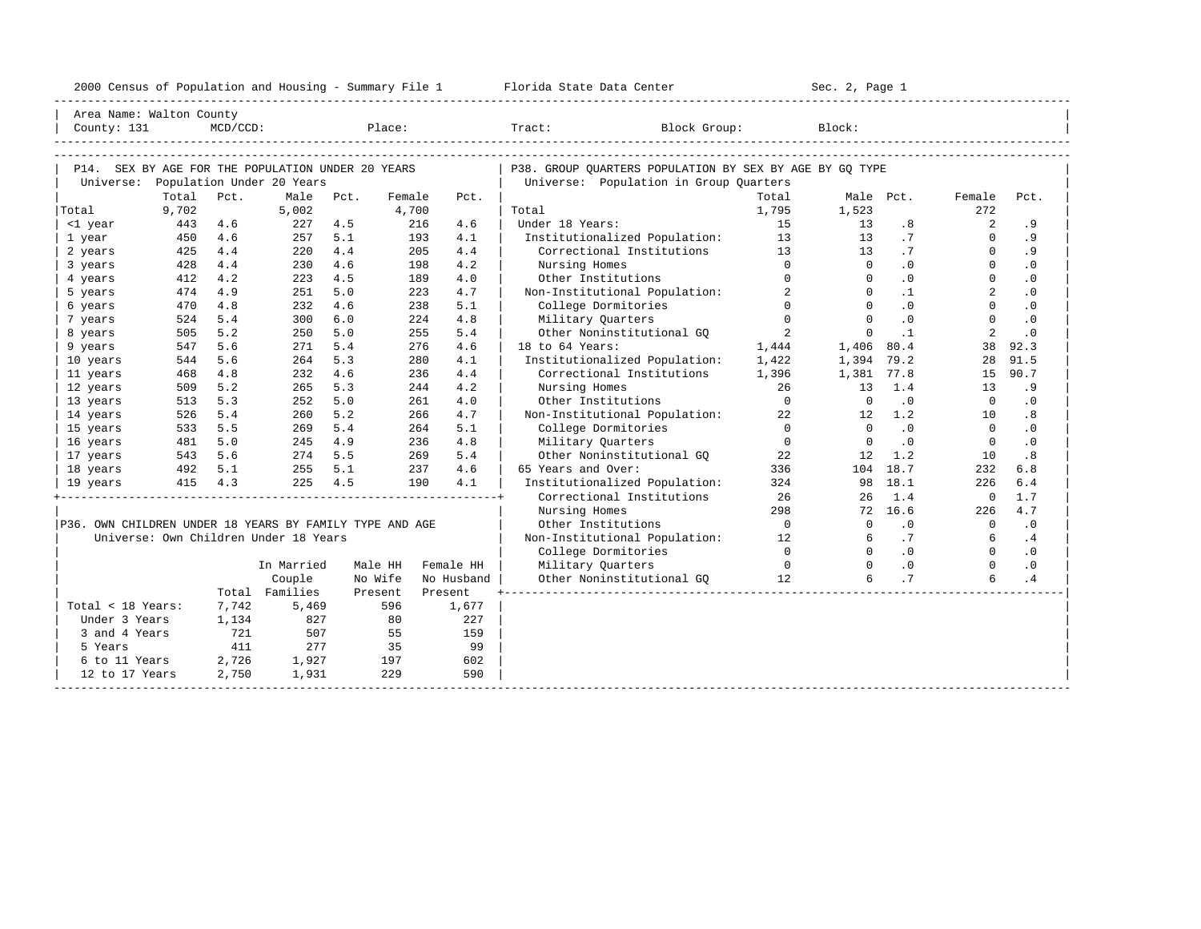|                                                         |            |             |                                       |            |            |            | 2000 Census of Population and Housing - Summary File 1 Florida State Data Center |                  | Sec. 2, Page 1               |                |                            |                        |  |
|---------------------------------------------------------|------------|-------------|---------------------------------------|------------|------------|------------|----------------------------------------------------------------------------------|------------------|------------------------------|----------------|----------------------------|------------------------|--|
| Area Name: Walton County                                |            |             |                                       |            |            |            |                                                                                  |                  |                              |                |                            |                        |  |
| County: 131                                             |            | $MCD/CCD$ : |                                       |            | Place:     |            | Block Group:<br>Tract:                                                           |                  | Block:                       |                |                            |                        |  |
|                                                         |            |             |                                       |            |            |            |                                                                                  |                  |                              |                |                            |                        |  |
| P14. SEX BY AGE FOR THE POPULATION UNDER 20 YEARS       |            |             |                                       |            |            |            | P38. GROUP OUARTERS POPULATION BY SEX BY AGE BY GO TYPE                          |                  |                              |                |                            |                        |  |
| Universe: Population Under 20 Years                     |            |             |                                       |            |            |            | Universe: Population in Group Quarters                                           |                  |                              |                |                            |                        |  |
|                                                         | Total      | Pct.        | Male                                  | Pct.       | Female     | Pct.       |                                                                                  | Total            |                              | Male Pct.      | Female                     | Pct.                   |  |
| Total                                                   | 9,702      |             | 5,002                                 |            | 4,700      |            | Total                                                                            | 1,795            | 1,523                        |                | 272                        |                        |  |
| <1 year                                                 | 443        | 4.6         | $227$ 4.5                             |            | 216        | 4.6        | Under 18 Years:                                                                  | 15               | 13                           | .8             | $\overline{a}$<br>$\Omega$ | .9                     |  |
| 1 year                                                  | 450        | 4.6         | 257                                   | 5.1        | 193        | 4.1        | Institutionalized Population: 13                                                 |                  | 13                           | .7             | $\Omega$                   | . 9                    |  |
| 2 years                                                 | 425<br>428 | 4.4<br>4.4  | 220<br>230                            | 4.4<br>4.6 | 205<br>198 | 4.4<br>4.2 | Correctional Institutions 13                                                     | $\Omega$         | 13<br>$\Omega$               | .7<br>.0       | $\Omega$                   | . 9<br>.0              |  |
| 3 years                                                 |            | 4.2         |                                       |            |            |            | Nursing Homes                                                                    | $\Omega$         | $\Omega$                     | $\cdot$ 0      | $\Omega$                   |                        |  |
| 4 years                                                 | 412        |             | 223                                   | 4.5<br>5.0 | 189        | 4.0        | Other Institutions                                                               | $\overline{a}$   | $\Omega$                     | $\cdot$ 1      | $\overline{a}$             | $\cdot$ 0              |  |
| 5 years                                                 | 474        | 4.9<br>4.8  | 251<br>232                            | 4.6        | 223<br>238 | 4.7<br>5.1 | Non-Institutional Population:                                                    | $\Omega$         | $\Omega$                     | .0             | $\Omega$                   | $\cdot$ 0<br>$\cdot$ 0 |  |
| 6 years                                                 | 470<br>524 | 5.4         | 300                                   | 6.0        | 224        | 4.8        | College Dormitories                                                              | $\Omega$         | $\Omega$                     | .0             | $\Omega$                   | $\cdot$ 0              |  |
| 7 years                                                 | 505        | 5.2         | 250                                   | 5.0        | 255        | 5.4        | Military Quarters<br>Other Noninstitutional GO                                   | 2                | $\mathbf{0}$                 | $\cdot$ 1      | 2                          | $\cdot$ 0              |  |
| 8 years                                                 | 547        | 5.6         | 271                                   | 5.4        | 276        | 4.6        | 18 to 64 Years:                                                                  |                  |                              | 80.4           | 38                         | 92.3                   |  |
| 9 years                                                 | 544        | 5.6         | 264                                   | 5.3        | 280        | 4.1        |                                                                                  | 1,444            | 1,406                        |                | 28                         | 91.5                   |  |
| 10 years                                                |            |             |                                       | 4.6        |            |            | Institutionalized Population:                                                    | 1,422            | 1,394 79.2                   |                |                            | 90.7                   |  |
| 11 years                                                | 468        | 4.8         | 232                                   |            | 236        | 4.4        | Correctional Institutions                                                        | 1,396            | 1,381 77.8                   |                | 15                         |                        |  |
| 12 years                                                | 509        | 5.2         | 265                                   | 5.3        | 244<br>261 | 4.2        | Nursing Homes                                                                    | 26<br>$\bigcirc$ | 13<br>$\Omega$               | 1.4<br>.0      | 13<br>$\Omega$             | .9                     |  |
| 13 years                                                | 513        | 5.3         | 252                                   | 5.0        |            | 4.0        | Other Institutions                                                               |                  |                              |                |                            | $\cdot$ 0              |  |
| 14 years                                                | 526        | 5.4         | 260                                   | 5.2        | 266        | 4.7        | Non-Institutional Population:                                                    | 22<br>$\Omega$   | 12<br>$\Omega$               | 1.2            | 10<br>$\Omega$             | .8                     |  |
| 15 years                                                | 533        | 5.5         | 269                                   | 5.4        | 264        | 5.1        | College Dormitories                                                              |                  |                              | .0             |                            | $\cdot$ 0              |  |
| 16 years                                                | 481        | 5.0         | 245                                   | 4.9        | 236        | 4.8        | Military Quarters                                                                | $\Omega$         | $\Omega$                     | $\cdot$ 0      | $\Omega$                   | $\cdot$ 0              |  |
| 17 years                                                | 543        | 5.6         | 274                                   | 5.5        | 269        | 5.4        | Other Noninstitutional GO                                                        | 22               | 12                           | 1.2            | 10                         | .8                     |  |
| 18 years                                                |            | 492 5.1     | $255$ $5.1$                           |            | 237        | 4.6        | 65 Years and Over:                                                               | 336              |                              | 104 18.7       | 232                        | 6.8                    |  |
| 19 years                                                |            | 415 4.3     | $225$ 4.5                             |            | 190        | 4.1        | Institutionalized Population:                                                    | 324              |                              | 98 18.1        | 226                        | 6.4                    |  |
|                                                         |            |             |                                       |            |            |            | Correctional Institutions                                                        | 26               | 26                           | 1.4            | $\mathbf{0}$               | 1.7                    |  |
|                                                         |            |             |                                       |            |            |            | Nursing Homes                                                                    | 298              |                              | 72 16.6        | 226                        | 4.7                    |  |
| P36. OWN CHILDREN UNDER 18 YEARS BY FAMILY TYPE AND AGE |            |             |                                       |            |            |            | Other Institutions                                                               | $\bigcirc$       | $\Omega$                     | .0             | $\overline{0}$             | $\cdot$ 0              |  |
|                                                         |            |             | Universe: Own Children Under 18 Years |            |            |            | Non-Institutional Population: 12                                                 |                  | 6                            | .7             | $6\overline{6}$            | .4                     |  |
|                                                         |            |             |                                       |            |            |            | College Dormitories                                                              | $\Omega$         | $\Omega$<br>$\overline{0}$ 0 | $\cdot$ 0      | $\Omega$                   | .0                     |  |
|                                                         |            |             | In Married                            | Male HH    |            | Female HH  | Military Quarters                                                                |                  |                              | $\cdot$ 0      | $\Omega$                   | $\cdot$ 0              |  |
|                                                         |            |             | Couple                                | No Wife    |            | No Husband | Other Noninstitutional GQ 12                                                     |                  | 6                            | $\overline{1}$ | 6                          | .4                     |  |
|                                                         |            |             | Total Families                        | Present    |            | Present    |                                                                                  |                  |                              |                |                            |                        |  |
| Total < 18 Years:                                       |            | 7,742       | 5,469                                 |            | 596        | 1,677      |                                                                                  |                  |                              |                |                            |                        |  |
| Under 3 Years                                           |            | 1,134       | 827                                   |            | 80         | 227        |                                                                                  |                  |                              |                |                            |                        |  |
| 3 and 4 Years                                           |            | 721         | 507                                   |            | 55         | 159        |                                                                                  |                  |                              |                |                            |                        |  |
| 5 Years                                                 |            | 411         | 277                                   |            | 35         | 99         |                                                                                  |                  |                              |                |                            |                        |  |
| 6 to 11 Years                                           |            | 2,726       | 1,927                                 |            | 197        | 602        |                                                                                  |                  |                              |                |                            |                        |  |
| 12 to 17 Years                                          |            | 2,750       | 1,931                                 |            | 229        | 590        |                                                                                  |                  |                              |                |                            |                        |  |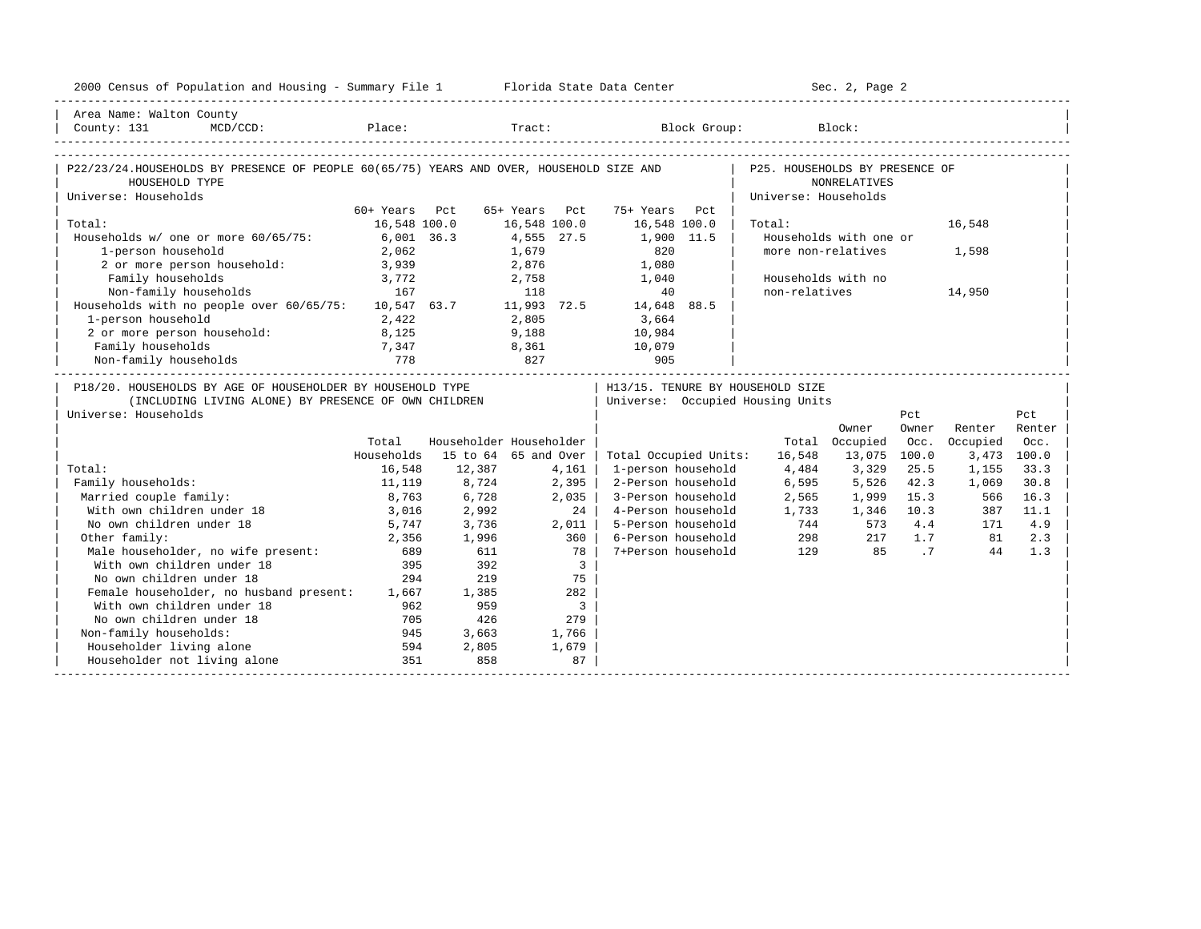| 2000 Census of Population and Housing - Summary File 1 Florida State Data Center                                                                                   |               |                  |                            |                                   |                      | Sec. 2, Page 2           |       |               |        |
|--------------------------------------------------------------------------------------------------------------------------------------------------------------------|---------------|------------------|----------------------------|-----------------------------------|----------------------|--------------------------|-------|---------------|--------|
| Area Name: Walton County                                                                                                                                           |               |                  |                            |                                   |                      |                          |       |               |        |
| County: 131<br>$MCD / CCD$ :                                                                                                                                       |               |                  |                            | Place: Tract: Block Group: Block: |                      |                          |       |               |        |
|                                                                                                                                                                    |               |                  |                            |                                   |                      |                          |       |               |        |
| P22/23/24.HOUSEHOLDS BY PRESENCE OF PEOPLE 60(65/75) YEARS AND OVER, HOUSEHOLD SIZE AND   P25. HOUSEHOLDS BY PRESENCE OF                                           |               |                  |                            |                                   |                      |                          |       |               |        |
| HOUSEHOLD TYPE                                                                                                                                                     |               |                  |                            |                                   |                      | NONRELATIVES             |       |               |        |
| Universe: Households                                                                                                                                               |               |                  |                            |                                   | Universe: Households |                          |       |               |        |
|                                                                                                                                                                    | 60+ Years Pct |                  | 65+ Years Pct              | 75+ Years Pct                     |                      |                          |       |               |        |
| Total:                                                                                                                                                             | 16,548 100.0  |                  | 16,548 100.0               | 16,548 100.0                      | Total:               |                          |       | 16,548        |        |
| Households w/ one or more 60/65/75: 6,001 36.3                                                                                                                     |               |                  | 4,555 27.5                 | 1,900 11.5                        |                      | Households with one or   |       |               |        |
| 1-person household                                                                                                                                                 | 2,062         |                  | 1,679                      | 820                               |                      | more non-relatives       |       | 1,598         |        |
| 2 or more person household:                                                                                                                                        | 3,939         |                  | 2,876                      | 1,080                             |                      |                          |       |               |        |
| Family households                                                                                                                                                  | 3,772         |                  | 2,758                      | 1,040                             |                      | Households with no       |       |               |        |
| Faulty households<br>Non-family households<br>Households with no people over 60/65/75: 10,547 63.7 11,993 72.5 14,648 88.5<br>1 norson bousehold 2,422 2,805 3,664 |               |                  |                            |                                   | non-relatives        |                          |       | 14,950        |        |
|                                                                                                                                                                    |               |                  |                            |                                   |                      |                          |       |               |        |
|                                                                                                                                                                    |               |                  |                            |                                   |                      |                          |       |               |        |
| 2 or more person household: 8,125                                                                                                                                  |               |                  | 9,188 10,984               |                                   |                      |                          |       |               |        |
| Family households                                                                                                                                                  | 7,347<br>778  | $8,361$<br>$827$ |                            | 10,079                            |                      |                          |       |               |        |
| Non-family households                                                                                                                                              |               |                  |                            | 905                               |                      |                          |       |               |        |
| P18/20. HOUSEHOLDS BY AGE OF HOUSEHOLDER BY HOUSEHOLD TYPE                                                                                                         |               |                  |                            | H13/15. TENURE BY HOUSEHOLD SIZE  |                      |                          |       |               |        |
| (INCLUDING LIVING ALONE) BY PRESENCE OF OWN CHILDREN                                                                                                               |               |                  |                            | Universe: Occupied Housing Units  |                      |                          |       |               |        |
| Universe: Households                                                                                                                                               |               |                  |                            |                                   |                      |                          | Pct   |               | Pct    |
|                                                                                                                                                                    |               |                  |                            |                                   |                      | Owner                    | Owner | Renter        | Renter |
|                                                                                                                                                                    | Total         |                  | Householder Householder    |                                   |                      | Total Occupied           |       | Occ. Occupied | Occ.   |
|                                                                                                                                                                    | Households    |                  | 15 to 64 65 and Over       | Total Occupied Units:             | 16,548               | 13,075                   | 100.0 | 3,473 100.0   |        |
| Total:                                                                                                                                                             | 16,548        | 12,387           | 4,161                      | 1-person household                | 4,484                | 3,329                    | 25.5  | 1,155         | 33.3   |
| Family households:                                                                                                                                                 | 11,119        | 8,724            | 2,395                      | 2-Person household                | 6,595                | 5,526                    | 42.3  | 1,069         | 30.8   |
| Married couple family:                                                                                                                                             | 8,763         | 6,728            | 2,035                      | 3-Person household                | 2,565                | 1,999                    | 15.3  | 566           | 16.3   |
| With own children under 18                                                                                                                                         | 3,016         | 2,992            | 24 I                       | 4-Person household                | 1,733                | 1,346                    | 10.3  | 387           | 11.1   |
| No own children under 18                                                                                                                                           | 5,747         | 3,736            | 2,011                      | 5-Person household                |                      | 744 573                  | 4.4   | 171           | 4.9    |
| Other family:                                                                                                                                                      | 2,356         | 1,996            | 360                        | 6-Person household                |                      |                          | 1.7   | 81            | 2.3    |
| Male householder, no wife present:                                                                                                                                 | 689           | 611              | 78                         | 7+Person household                |                      | 298 217 1.7<br>129 85 .7 |       | 44            | 1.3    |
| With own children under 18                                                                                                                                         | 395           | 392              | $\overline{3}$             |                                   |                      |                          |       |               |        |
| No own children under 18                                                                                                                                           | 294           | 219              | 75                         |                                   |                      |                          |       |               |        |
| Female householder, no husband present: 1,667 1,385                                                                                                                |               |                  | 282                        |                                   |                      |                          |       |               |        |
| With own children under 18                                                                                                                                         | 962           | 959              | $\overline{\phantom{a}}$ 3 |                                   |                      |                          |       |               |        |
| No own children under 18                                                                                                                                           | 705           | 426              | 279                        |                                   |                      |                          |       |               |        |
| Non-family households:                                                                                                                                             | 945           | 3,663            | 1,766                      |                                   |                      |                          |       |               |        |
| Householder living alone                                                                                                                                           | 594           | 2,805            | 1,679                      |                                   |                      |                          |       |               |        |
| Householder not living alone                                                                                                                                       | 351           | 858              | 87                         |                                   |                      |                          |       |               |        |
|                                                                                                                                                                    |               |                  |                            |                                   |                      |                          |       |               |        |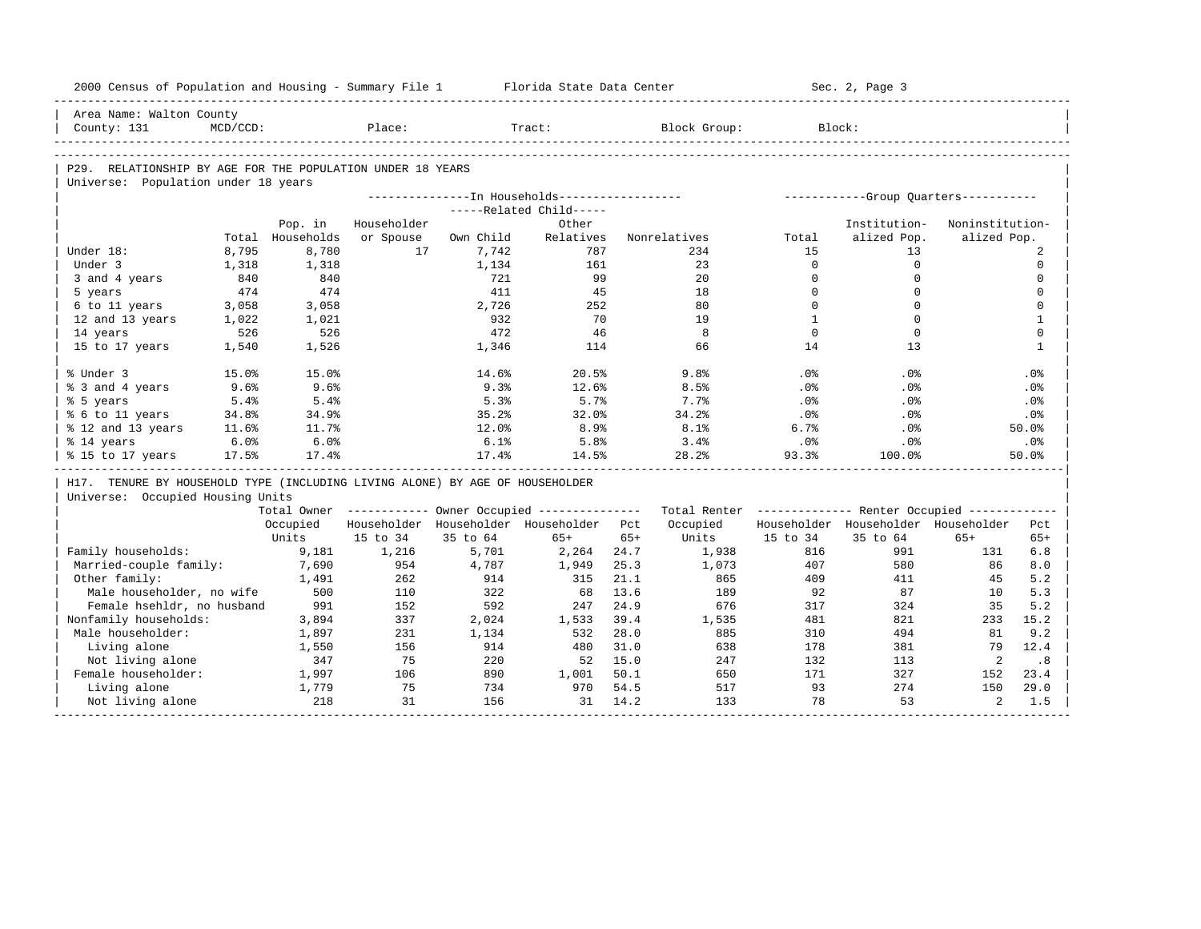| 2000 Census of Population and Housing - Summary File 1 Florida State Data Center |             |                  |             |           |                                                       |       |                                                         |                          | Sec. 2, Page 3                        |                 |              |
|----------------------------------------------------------------------------------|-------------|------------------|-------------|-----------|-------------------------------------------------------|-------|---------------------------------------------------------|--------------------------|---------------------------------------|-----------------|--------------|
| Area Name: Walton County                                                         |             |                  |             |           |                                                       |       |                                                         |                          |                                       |                 |              |
| County: 131                                                                      | $MCD/CCD$ : |                  | Place:      |           | Tract:                                                |       | Block Group:                                            |                          | Block:                                |                 |              |
|                                                                                  |             |                  |             |           |                                                       |       |                                                         |                          |                                       |                 |              |
| P29. RELATIONSHIP BY AGE FOR THE POPULATION UNDER 18 YEARS                       |             |                  |             |           |                                                       |       |                                                         |                          |                                       |                 |              |
| Universe: Population under 18 years                                              |             |                  |             |           |                                                       |       |                                                         |                          |                                       |                 |              |
|                                                                                  |             |                  |             |           | ---------------- In Households------------------      |       |                                                         |                          | ------------Group Quarters----------- |                 |              |
|                                                                                  |             |                  |             |           | -----Related Child-----                               |       |                                                         |                          |                                       |                 |              |
|                                                                                  |             | Pop. in          | Householder |           | Other                                                 |       |                                                         |                          | Institution-                          | Noninstitution- |              |
|                                                                                  |             | Total Households | or Spouse   | Own Child | Relatives                                             |       | Nonrelatives                                            | Total                    | alized Pop.                           | alized Pop.     |              |
| Under 18:                                                                        | 8,795       | 8,780            | 17          | 7,742     | 787                                                   |       | 234                                                     | 15                       | 13                                    |                 | 2            |
| Under 3                                                                          | 1,318       | 1,318            |             | 1,134     | 161                                                   |       | 23                                                      | $\Omega$                 | $\mathbf 0$                           |                 | $\mathbf 0$  |
| 3 and 4 years                                                                    | 840         | 840              |             | 721       | 99                                                    |       | 20                                                      | $\mathbf{0}$             | $\mathbf 0$                           |                 | $\mathbf 0$  |
| 5 years                                                                          | 474         | 474              |             | 411       | 45                                                    |       | 18                                                      | $\Omega$                 | $\Omega$                              |                 | $\mathbf 0$  |
| 6 to 11 years                                                                    | 3,058       | 3,058            |             | 2,726     | 252                                                   |       | 80                                                      | $\mathbf 0$              | $\mathbf 0$                           |                 | $\mathbf 0$  |
| 12 and 13 years                                                                  | 1,022       | 1,021            |             | 932       | 70                                                    |       | 19                                                      | $\mathbf{1}$<br>$\Omega$ | $\Omega$<br>$\Omega$                  |                 | $\mathbf{1}$ |
| 14 years                                                                         | 526         | 526              |             | 472       | 46                                                    |       | 8                                                       |                          |                                       |                 | $\mathbf 0$  |
| 15 to 17 years                                                                   | 1,540       | 1,526            |             | 1,346     | 114                                                   |       | 66                                                      | 14                       | 13                                    |                 | $\mathbf{1}$ |
| % Under 3                                                                        | 15.0%       | 15.0%            |             | 14.6%     | 20.5%                                                 |       | 9.8%                                                    | . 0%                     | $.0\%$                                |                 | $.0\%$       |
| % 3 and 4 years                                                                  | 9.6%        | 9.6%             |             | 9.3%      | 12.6%                                                 |       | 8.5%                                                    | .0%                      | .0%                                   |                 | .0%          |
| % 5 years                                                                        | 5.4%        | 5.4%             |             | 5.3%      | 5.7%                                                  |       | 7.7%                                                    | .0%                      | $.0\%$                                |                 | $.0\%$       |
| % 6 to 11 years                                                                  | 34.8%       | 34.9%            |             | 35.2%     | 32.0%                                                 |       | 34.2%                                                   | .0%                      | .0%                                   |                 | .0%          |
| % 12 and 13 years                                                                | 11.6%       | 11.7%            |             | 12.0%     | 8.9%                                                  |       | 8.1%                                                    | 6.7%                     | $.0\%$                                |                 | 50.0%        |
| % 14 years                                                                       | 6.0%        | 6.0%             |             | 6.1%      | 5.8%                                                  |       | 3.4%                                                    | .0%                      | $.0\%$                                |                 | .0%          |
| % 15 to 17 years                                                                 | 17.5%       | 17.4%            |             | 17.4%     | 14.5%                                                 |       | 28.2%                                                   | 93.3%                    | 100.0%                                |                 | 50.0%        |
| H17. TENURE BY HOUSEHOLD TYPE (INCLUDING LIVING ALONE) BY AGE OF HOUSEHOLDER     |             |                  |             |           |                                                       |       |                                                         |                          |                                       |                 |              |
| Universe: Occupied Housing Units                                                 |             |                  |             |           |                                                       |       |                                                         |                          |                                       |                 |              |
|                                                                                  |             |                  |             |           | Total Owner ----------- Owner Occupied -------------- |       | Total Renter ------------- Renter Occupied ------------ |                          |                                       |                 |              |
|                                                                                  |             | Occupied         |             |           | Householder Householder Householder Pct               |       | Occupied                                                |                          | Householder Householder Householder   |                 | Pct          |
|                                                                                  |             | Units            | 15 to 34    | 35 to 64  | $65+$                                                 | $65+$ | Units                                                   | 15 to 34                 | 35 to 64                              | $65+$           | $65+$        |
| Family households:                                                               |             | 9,181            | 1,216       | 5,701     | 2,264                                                 | 24.7  | 1,938                                                   | 816                      | 991                                   | 131             | 6.8          |
| Married-couple family:                                                           |             | 7,690            | 954         | 4,787     | 1,949                                                 | 25.3  | 1,073                                                   | 407                      | 580                                   | 86              | 8.0          |
| Other family:                                                                    |             | 1,491            | 262         | 914       | 315                                                   | 21.1  | 865                                                     | 409                      | 411                                   | 45              | 5.2          |
| Male householder, no wife                                                        |             | 500              | 110         | 322       | 68                                                    | 13.6  | 189                                                     | 92                       | 87                                    | 10              | 5.3          |
| Female hsehldr, no husband                                                       |             | 991              | 152         | 592       | 247                                                   | 24.9  | 676                                                     | 317                      | 324                                   | 35              | 5.2          |
| Nonfamily households:                                                            |             | 3,894            | 337         | 2,024     | 1,533                                                 | 39.4  | 1,535                                                   | 481                      | 821                                   | 233             | 15.2         |
| Male householder:                                                                |             | 1,897            | 231         | 1,134     | 532                                                   | 28.0  | 885                                                     | 310                      | 494                                   | 81              | 9.2          |
| Living alone                                                                     |             | 1,550            | 156         | 914       | 480                                                   | 31.0  | 638                                                     | 178                      | 381                                   | 79              | 12.4         |
| Not living alone                                                                 |             | 347              | 75          | 220       | 52                                                    | 15.0  | 247                                                     | 132                      | 113                                   | 2               | .8           |
| Female householder:                                                              |             | 1,997            | 106         | 890       | 1,001                                                 | 50.1  | 650                                                     | 171                      | 327                                   | 152             | 23.4         |
|                                                                                  |             |                  |             |           |                                                       |       |                                                         |                          |                                       |                 | 29.0         |
| Living alone                                                                     |             | 1,779            | 75          | 734       | 970                                                   | 54.5  | 517                                                     | 93                       | 274                                   | 150             |              |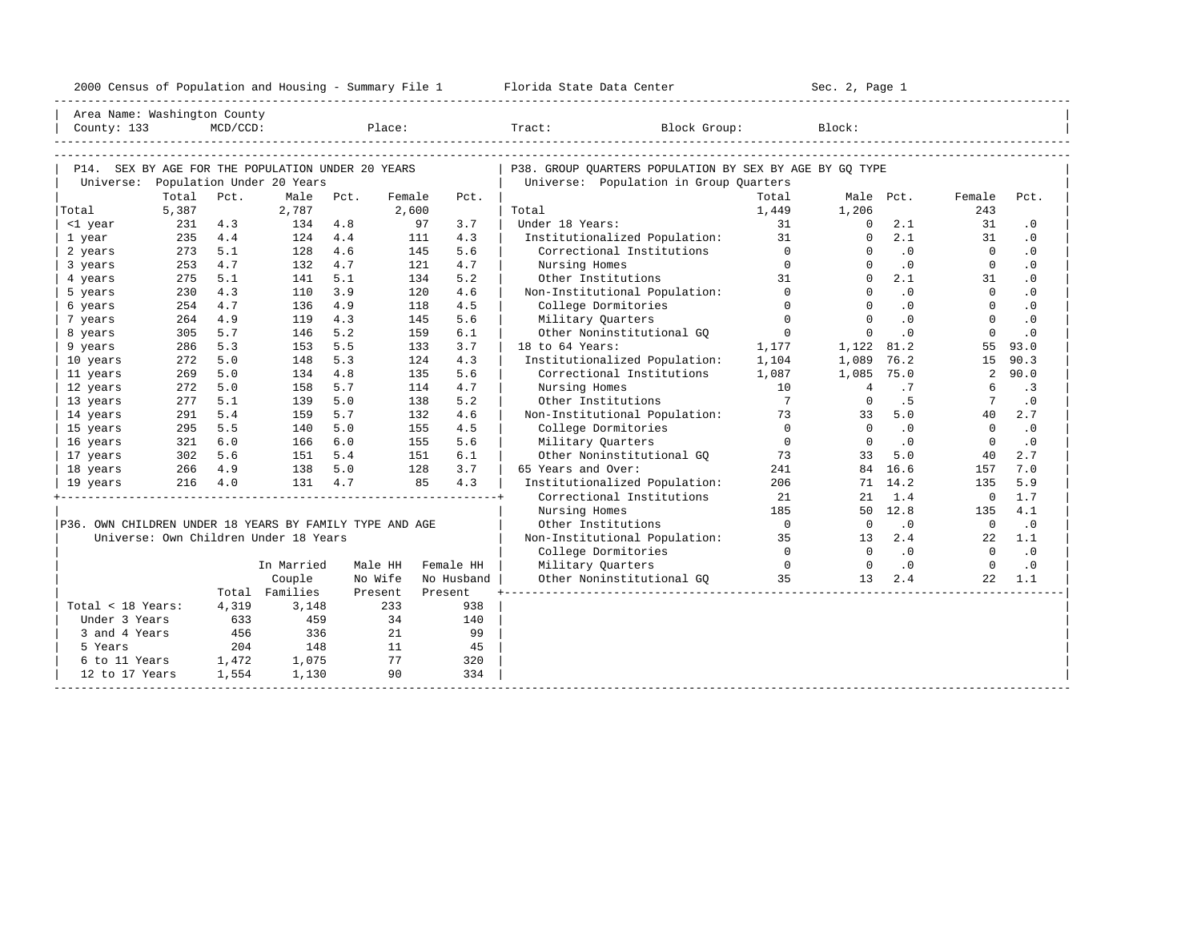| 2000<br>ensus! | and<br>Population | ---<br>Summa:<br>$-$<br>Housing | lorida<br>Data<br>otatt<br>cence. | ، م ج<br>Page<br>$3-1$ |  |
|----------------|-------------------|---------------------------------|-----------------------------------|------------------------|--|
|                |                   |                                 |                                   |                        |  |

| Area Name: Washington County                            |            |             |                                       |            |            |            |                                                                                                                                                                                                                                                                                                                                                         |                |                      |           |                |                             |
|---------------------------------------------------------|------------|-------------|---------------------------------------|------------|------------|------------|---------------------------------------------------------------------------------------------------------------------------------------------------------------------------------------------------------------------------------------------------------------------------------------------------------------------------------------------------------|----------------|----------------------|-----------|----------------|-----------------------------|
| County: 133                                             |            | $MCD/CCD$ : |                                       |            | Place:     |            | Tract:<br>Block Group:                                                                                                                                                                                                                                                                                                                                  |                | Block:               |           |                |                             |
|                                                         |            |             |                                       |            |            |            |                                                                                                                                                                                                                                                                                                                                                         |                |                      |           |                |                             |
|                                                         |            |             |                                       |            |            |            |                                                                                                                                                                                                                                                                                                                                                         |                |                      |           |                |                             |
| P14. SEX BY AGE FOR THE POPULATION UNDER 20 YEARS       |            |             |                                       |            |            |            | P38. GROUP OUARTERS POPULATION BY SEX BY AGE BY GO TYPE                                                                                                                                                                                                                                                                                                 |                |                      |           |                |                             |
| Universe: Population Under 20 Years                     |            |             |                                       |            |            |            | Universe: Population in Group Quarters                                                                                                                                                                                                                                                                                                                  |                |                      |           |                |                             |
|                                                         | Total      | Pct.        | Male                                  | Pct.       | Female     | Pct.       |                                                                                                                                                                                                                                                                                                                                                         | Total          |                      | Male Pct. | Female         | Pct.                        |
| Total                                                   | 5,387      |             | 2,787                                 |            | 2,600      |            | Total                                                                                                                                                                                                                                                                                                                                                   | 1,449          | 1,206                |           | 243            |                             |
| <1 year                                                 | 231        | 4.3         | 134                                   | 4.8        | 97         | 3.7        | Under 18 Years:                                                                                                                                                                                                                                                                                                                                         | 31             | $\Omega$             | 2.1       | 31             | .0                          |
| 1 year                                                  | 235        | 4.4         | 124                                   | 4.4<br>4.6 | 111<br>145 | 4.3<br>5.6 | Institutionalized Population: 31<br>Correctional Institutions                                                                                                                                                                                                                                                                                           | $\overline{0}$ | $\Omega$<br>$\Omega$ | 2.1<br>.0 | 31<br>$\Omega$ | $\cdot$ 0                   |
| 2 years<br>3 years                                      | 273        | 5.1<br>4.7  | 128                                   | 4.7        | 121        | 4.7        | Nursing Homes                                                                                                                                                                                                                                                                                                                                           | $\Omega$       | $\Omega$             | $\cdot$ 0 | $\mathbf{0}$   | $\cdot$ 0<br>$\cdot$ 0      |
| 4 years                                                 | 253<br>275 | 5.1         | 132                                   | 5.1        | 134        | 5.2        | Other Institutions                                                                                                                                                                                                                                                                                                                                      | 31             | $\Omega$             | 2.1       | 31             | $\cdot$ 0                   |
| 5 years                                                 | 230        | 4.3         | 141<br>110                            | 3.9        | 120        | 4.6        | Non-Institutional Population: 0                                                                                                                                                                                                                                                                                                                         |                | $\Omega$             | .0        | $\Omega$       | $\cdot$ 0                   |
| 6 years                                                 | 254        | 4.7         | 136                                   | 4.9        | 118        | 4.5        | College Dormitories                                                                                                                                                                                                                                                                                                                                     | $\Omega$       | $\Omega$             | .0        | $\Omega$       | $\cdot$ 0                   |
| 7 years                                                 | 264        | 4.9         | 119                                   | 4.3        | 145        | 5.6        | Military Quarters                                                                                                                                                                                                                                                                                                                                       | $\Omega$       | $\Omega$             | .0        | $\Omega$       | $\cdot$ 0                   |
| 8 years                                                 | 305        | 5.7         | 146                                   | 5.2        | 159        | 6.1        | Other Noninstitutional GO                                                                                                                                                                                                                                                                                                                               | $\overline{0}$ | $\Omega$             | $\cdot$ 0 | $\Omega$       | $\cdot$ 0                   |
| 9 years                                                 | 286        | 5.3         | 153                                   | 5.5        | 133        | 3.7        | $18$ to $64$ Years:                                                                                                                                                                                                                                                                                                                                     | 1,177          | 1,122 81.2           |           | 55             | 93.0                        |
| 10 years                                                | 272        | 5.0         | 148                                   | 5.3        | 124        | 4.3        | Institutionalized Population:                                                                                                                                                                                                                                                                                                                           | 1,104          | 1,089                | 76.2      | 15             | 90.3                        |
| 11 years                                                | 269        | 5.0         | 134                                   | 4.8        | 135        | 5.6        | Correctional Institutions                                                                                                                                                                                                                                                                                                                               | 1,087          | 1,085 75.0           |           | 2              | 90.0                        |
| 12 years                                                | 272        | 5.0         | 158                                   | 5.7        | 114        | 4.7        | Nursing Homes                                                                                                                                                                                                                                                                                                                                           | 10             | $\overline{4}$       | .7        | 6              | $\cdot$ 3                   |
| 13 years                                                | 277        | 5.1         | 139                                   | 5.0        | 138        | 5.2        | Other Institutions                                                                                                                                                                                                                                                                                                                                      | $\overline{7}$ | $\Omega$             | .5        |                | $\cdot$ 0                   |
| 14 years                                                | 291        | 5.4         | 159                                   | 5.7        | 132        | 4.6        | Non-Institutional Population: 73                                                                                                                                                                                                                                                                                                                        |                | 33                   | 5.0       | 40             | 2.7                         |
| 15 years                                                | 295        | 5.5         | 140                                   | 5.0        | 155        | 4.5        | College Dormitories                                                                                                                                                                                                                                                                                                                                     | $\overline{0}$ | $\Omega$             | .0        | $\Omega$       | $\cdot$ 0                   |
| 16 years                                                | 321        | 6.0         | 166                                   | 6.0        | 155        | 5.6        | Military Ouarters                                                                                                                                                                                                                                                                                                                                       | $\overline{0}$ | $\Omega$             | $\cdot$ 0 | $\Omega$       | $\cdot$ 0                   |
| 17 years                                                | 302        | 5.6         | 151                                   | 5.4        | 151        | 6.1        | Other Noninstitutional GQ 3                                                                                                                                                                                                                                                                                                                             |                | 33                   | 5.0       | 40             | 2.7                         |
| 18 years                                                | 266        | 4.9         | 138                                   | 5.0        | 128        | 3.7        | 65 Years and Over:                                                                                                                                                                                                                                                                                                                                      | 241            |                      | 84 16.6   | 157            | 7.0                         |
| 19 years                                                | $216$ 4.0  |             | 131                                   | 4.7        | 85         | 4.3        | Institutionalized Population:                                                                                                                                                                                                                                                                                                                           | 206            |                      | 71 14.2   | 135            | 5.9                         |
|                                                         |            |             |                                       |            |            |            | Correctional Institutions                                                                                                                                                                                                                                                                                                                               | 21             | 21                   | 1.4       | $\overline{0}$ | 1.7                         |
|                                                         |            |             |                                       |            |            |            | Nursing Homes                                                                                                                                                                                                                                                                                                                                           | 185            |                      | 50 12.8   | 135            | 4.1                         |
| P36. OWN CHILDREN UNDER 18 YEARS BY FAMILY TYPE AND AGE |            |             |                                       |            |            |            | Other Institutions                                                                                                                                                                                                                                                                                                                                      | $\overline{0}$ | $\overline{0}$       | $\cdot$ 0 | $\overline{0}$ | $\cdot$ 0                   |
|                                                         |            |             | Universe: Own Children Under 18 Years |            |            |            | Non-Institutional Population: 35                                                                                                                                                                                                                                                                                                                        |                | 13                   | 2.4       | 22             | 1.1                         |
|                                                         |            |             |                                       |            |            |            | College Dormitories                                                                                                                                                                                                                                                                                                                                     | $\overline{a}$ | $\Omega$             | .0        | $\bigcap$      | $\overline{\phantom{0}}$ .0 |
|                                                         |            |             | In Married                            |            | Male HH    | Female HH  | $\overline{a}$ and $\overline{a}$ and $\overline{a}$ and $\overline{a}$ and $\overline{a}$ and $\overline{a}$ and $\overline{a}$ and $\overline{a}$ and $\overline{a}$ and $\overline{a}$ and $\overline{a}$ and $\overline{a}$ and $\overline{a}$ and $\overline{a}$ and $\overline{a}$ and $\overline{a}$ and $\overline{a}$ and<br>Military Quarters |                | $\overline{a}$       | $\cdot$ 0 | $\bigcap$      | $\cdot$ 0                   |
|                                                         |            |             | Couple                                |            | No Wife    | No Husband | Other Noninstitutional GQ 35                                                                                                                                                                                                                                                                                                                            |                | 1.3                  | 2.4       | 2.2            | 1.1                         |
|                                                         |            |             | Total Families                        |            | Present    | Present    |                                                                                                                                                                                                                                                                                                                                                         |                |                      |           |                |                             |
| Total < 18 Years:                                       |            | 4,319       | 3,148                                 |            | 233        | 938        |                                                                                                                                                                                                                                                                                                                                                         |                |                      |           |                |                             |
| Under 3 Years                                           |            | 633         | 459                                   |            | 34         | 140        |                                                                                                                                                                                                                                                                                                                                                         |                |                      |           |                |                             |
| 3 and 4 Years                                           |            | 456         | 336                                   |            | 21         | 99         |                                                                                                                                                                                                                                                                                                                                                         |                |                      |           |                |                             |
| 5 Years                                                 |            | 204         | 148                                   |            | 11         | 45         |                                                                                                                                                                                                                                                                                                                                                         |                |                      |           |                |                             |
| 6 to 11 Years 1,472                                     |            |             | 1,075                                 |            | 77         | 320        |                                                                                                                                                                                                                                                                                                                                                         |                |                      |           |                |                             |
| 12 to 17 Years                                          |            | 1,554       | 1,130                                 |            | 90         | 334        |                                                                                                                                                                                                                                                                                                                                                         |                |                      |           |                |                             |
|                                                         |            |             |                                       |            |            |            |                                                                                                                                                                                                                                                                                                                                                         |                |                      |           |                |                             |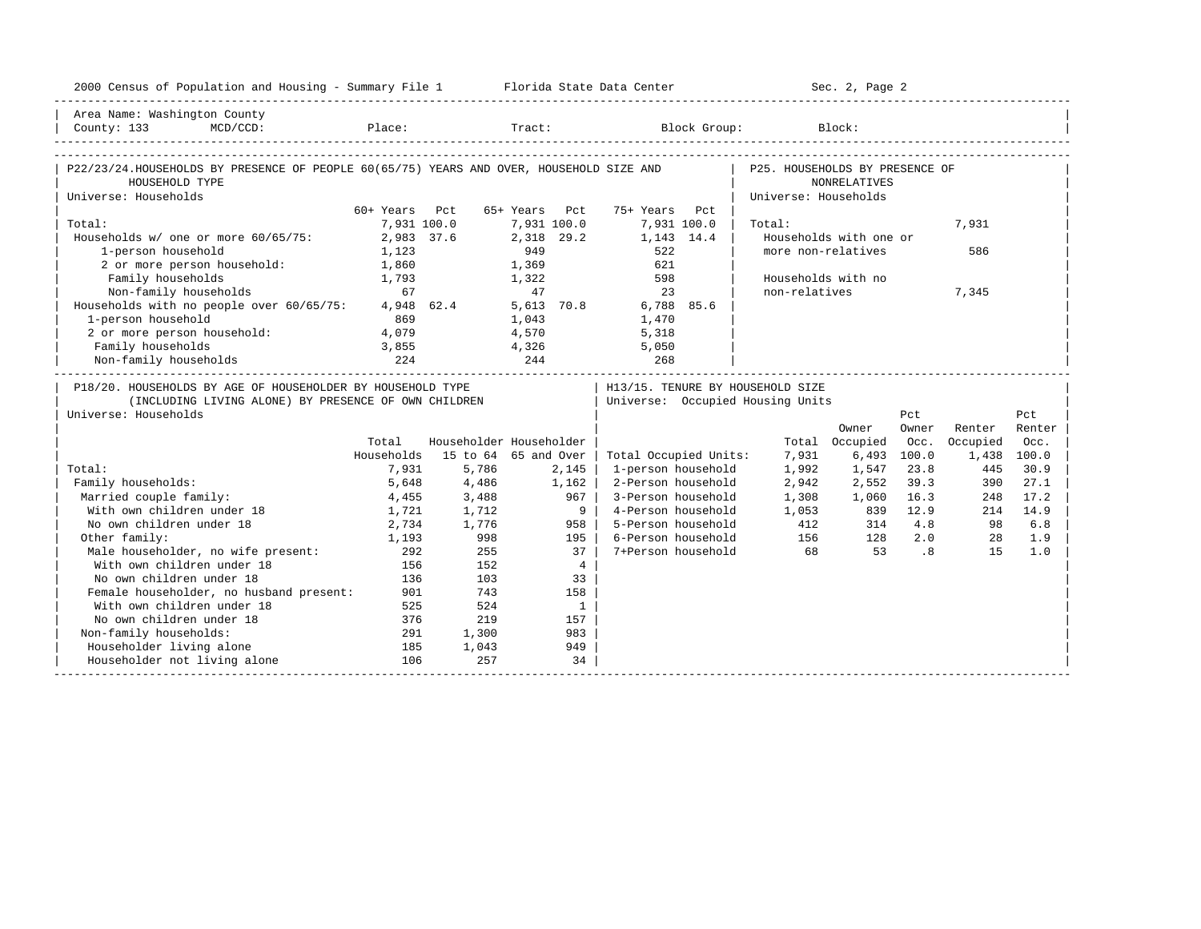| 2000 Census of Population and Housing - Summary File 1 Florida State Data Center                                                                                                                                                    |               |                                  |                         |                                      |                      | Sec. 2, Page 2                      |                             |          |        |
|-------------------------------------------------------------------------------------------------------------------------------------------------------------------------------------------------------------------------------------|---------------|----------------------------------|-------------------------|--------------------------------------|----------------------|-------------------------------------|-----------------------------|----------|--------|
| Area Name: Washington County                                                                                                                                                                                                        |               |                                  |                         |                                      |                      |                                     |                             |          |        |
| $MCD/CCD$ :<br>County: 133                                                                                                                                                                                                          |               |                                  |                         | Place: Tract: Block Group: Block:    |                      |                                     |                             |          |        |
|                                                                                                                                                                                                                                     |               |                                  |                         |                                      |                      |                                     |                             |          |        |
| P22/23/24.HOUSEHOLDS BY PRESENCE OF PEOPLE 60(65/75) YEARS AND OVER, HOUSEHOLD SIZE AND<br>HOUSEHOLD TYPE                                                                                                                           |               |                                  |                         | P25. HOUSEHOLDS BY PRESENCE OF       | <b>NONRELATIVES</b>  |                                     |                             |          |        |
| Universe: Households                                                                                                                                                                                                                |               |                                  |                         |                                      | Universe: Households |                                     |                             |          |        |
|                                                                                                                                                                                                                                     | 60+ Years Pct |                                  | 65+ Years Pct           | 75+ Years Pct                        |                      |                                     |                             |          |        |
| Total:                                                                                                                                                                                                                              | 7,931 100.0   |                                  | 7,931 100.0             | 7,931 100.0                          | Total:               |                                     |                             | 7,931    |        |
| Households w/ one or more 60/65/75:                                                                                                                                                                                                 | 2,983 37.6    |                                  | 2,318 29.2              | 1,143 14.4                           |                      | Households with one or              |                             |          |        |
| 1-person household                                                                                                                                                                                                                  | 1,123         |                                  | 949                     | 522                                  |                      | more non-relatives                  |                             | 586      |        |
| 2 or more person household:                                                                                                                                                                                                         | 1,860         |                                  | 1,369                   | 621                                  |                      |                                     |                             |          |        |
| Family households                                                                                                                                                                                                                   | 1,793         |                                  | 1,322                   | 598                                  |                      | Households with no                  |                             |          |        |
| Non-family households                                                                                                                                                                                                               | 67            |                                  | 47                      | 23                                   | non-relatives        |                                     |                             | 7,345    |        |
| Households with no people over 60/65/75:                                                                                                                                                                                            |               | 4,948 62.4                       | 5,613 70.8              | 6,788 85.6                           |                      |                                     |                             |          |        |
| 1-person household                                                                                                                                                                                                                  | 869           |                                  | 1,043                   | 1,470                                |                      |                                     |                             |          |        |
| 2 or more person household:                                                                                                                                                                                                         | 4,079         |                                  | 4,570                   | 5,318                                |                      |                                     |                             |          |        |
| Family households                                                                                                                                                                                                                   | 3,855         |                                  | 4,326                   | 5,050                                |                      |                                     |                             |          |        |
| Non-family households                                                                                                                                                                                                               | 224           | 244                              |                         | 268                                  |                      | ___________________________________ |                             |          |        |
| P18/20. HOUSEHOLDS BY AGE OF HOUSEHOLDER BY HOUSEHOLD TYPE                                                                                                                                                                          |               |                                  |                         | H13/15. TENURE BY HOUSEHOLD SIZE     |                      |                                     |                             |          |        |
| (INCLUDING LIVING ALONE) BY PRESENCE OF OWN CHILDREN                                                                                                                                                                                |               | Universe: Occupied Housing Units |                         |                                      |                      |                                     |                             |          |        |
| Universe: Households                                                                                                                                                                                                                |               |                                  |                         |                                      |                      |                                     | Pct                         |          | Pct    |
|                                                                                                                                                                                                                                     |               |                                  |                         |                                      |                      | Owner                               | Owner                       | Renter   | Renter |
|                                                                                                                                                                                                                                     | Total         |                                  | Householder Householder |                                      |                      | Total Occupied                      | Occ.                        | Occupied | Occ.   |
|                                                                                                                                                                                                                                     | Households    |                                  | 15 to 64 65 and Over    | Total Occupied Units:                | 7,931                | 6,493                               | 100.0                       | 1,438    | 100.0  |
| Total:                                                                                                                                                                                                                              | 7,931         | 5,786                            | 2,145                   | 1-person household                   | 1,992                | 1,547                               | 23.8                        | 445      | 30.9   |
| Family households:                                                                                                                                                                                                                  | 5,648         | 4,486                            | 1,162                   | 2-Person household                   | 2,942                | 2,552                               | 39.3                        | 390      | 27.1   |
| Married couple family:                                                                                                                                                                                                              | 4,455         | 3,488                            | 967                     | 3-Person household                   | 1,308                | 1,060                               | 16.3                        | 248      | 17.2   |
| With own children under 18                                                                                                                                                                                                          | 1,721         | 1,712                            |                         | 9 <sup>1</sup><br>4-Person household | 1,053                | 839                                 | 12.9                        | 214      | 14.9   |
| No own children under 18                                                                                                                                                                                                            | 2,734         | 1,776                            | 958                     | 5-Person household                   | 412                  | 314                                 | 4.8                         | 98       | 6.8    |
| Other family:                                                                                                                                                                                                                       | 1,193         | 998                              | 195                     | 6-Person household                   |                      | 156 128                             | 2.0                         | 28       | 1.9    |
| )ther family.<br>Male householder, no wife present:<br>All the set of the set of the set of the set of the set of the set of the set of the set of the set of the set of the set of the set of the set of the set of the set of the | 292           | 255                              | 37                      | 7+Person household                   | 68                   | 53                                  | $\overline{\phantom{0}}$ .8 | 1.5      | 1.0    |
|                                                                                                                                                                                                                                     | 156           | 152                              |                         | $4\overline{ }$                      |                      |                                     |                             |          |        |
| No own children under 18                                                                                                                                                                                                            | 136           | 103                              | 33                      |                                      |                      |                                     |                             |          |        |
| Female householder, no husband present:                                                                                                                                                                                             | 901           | 743                              | 158                     |                                      |                      |                                     |                             |          |        |
| With own children under 18                                                                                                                                                                                                          | 525           | 524                              | $\overline{1}$          |                                      |                      |                                     |                             |          |        |
| No own children under 18                                                                                                                                                                                                            | 376           | 219                              | 157                     |                                      |                      |                                     |                             |          |        |
| Non-family households:                                                                                                                                                                                                              | 291           | 1,300                            | 983                     |                                      |                      |                                     |                             |          |        |
| Householder living alone                                                                                                                                                                                                            | 185           | 1,043                            | 949                     |                                      |                      |                                     |                             |          |        |
| Householder not living alone                                                                                                                                                                                                        | 106           | 257                              | 34                      |                                      |                      |                                     |                             |          |        |